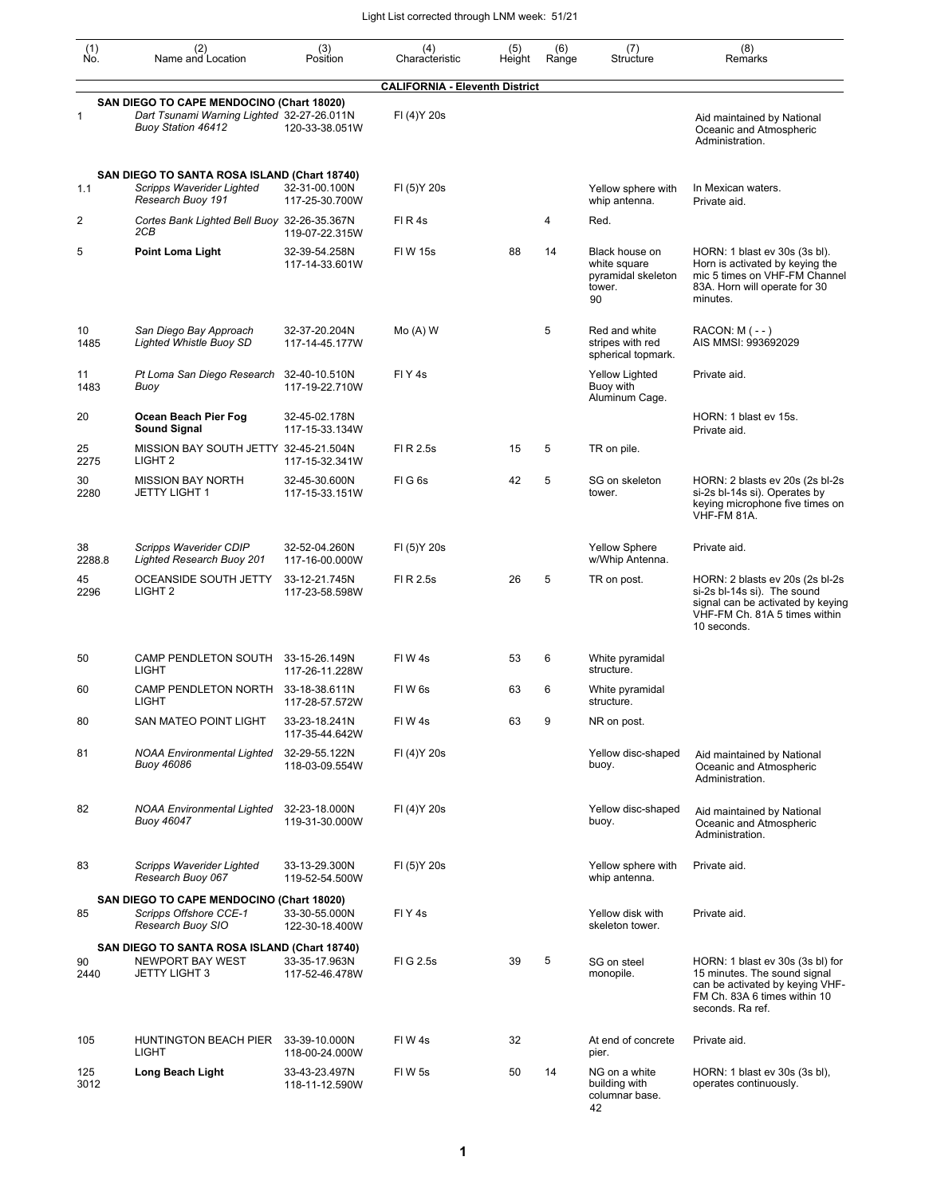| $\begin{smallmatrix} (1) \\ \mathsf{No} \end{smallmatrix}$ | (2)<br>Name and Location                                                                                             | (3)<br>Position                 | (4)<br>Characteristic                 | (5)<br>Height | (6)<br>Range | (7)<br>Structure                                                     | (8)<br>Remarks                                                                                                                                          |
|------------------------------------------------------------|----------------------------------------------------------------------------------------------------------------------|---------------------------------|---------------------------------------|---------------|--------------|----------------------------------------------------------------------|---------------------------------------------------------------------------------------------------------------------------------------------------------|
|                                                            |                                                                                                                      |                                 | <b>CALIFORNIA - Eleventh District</b> |               |              |                                                                      |                                                                                                                                                         |
| 1                                                          | SAN DIEGO TO CAPE MENDOCINO (Chart 18020)<br>Dart Tsunami Warning Lighted 32-27-26.011N<br><b>Buoy Station 46412</b> | 120-33-38.051W                  | FI (4) Y 20s                          |               |              |                                                                      | Aid maintained by National<br>Oceanic and Atmospheric<br>Administration.                                                                                |
| 1.1                                                        | SAN DIEGO TO SANTA ROSA ISLAND (Chart 18740)<br>Scripps Waverider Lighted<br>Research Buoy 191                       | 32-31-00.100N<br>117-25-30.700W | FI (5) Y 20s                          |               |              | Yellow sphere with<br>whip antenna.                                  | In Mexican waters.<br>Private aid.                                                                                                                      |
| 2                                                          | Cortes Bank Lighted Bell Buoy 32-26-35.367N<br>2CB                                                                   | 119-07-22.315W                  | FIR4s                                 |               | 4            | Red.                                                                 |                                                                                                                                                         |
| 5                                                          | <b>Point Loma Light</b>                                                                                              | 32-39-54.258N<br>117-14-33.601W | <b>FIW 15s</b>                        | 88            | 14           | Black house on<br>white square<br>pyramidal skeleton<br>tower.<br>90 | HORN: 1 blast ev 30s (3s bl).<br>Horn is activated by keying the<br>mic 5 times on VHF-FM Channel<br>83A. Horn will operate for 30<br>minutes.          |
| 10<br>1485                                                 | San Diego Bay Approach<br><b>Lighted Whistle Buoy SD</b>                                                             | 32-37-20.204N<br>117-14-45.177W | $Mo(A)$ W                             |               | 5            | Red and white<br>stripes with red<br>spherical topmark.              | $RACON: M (- - )$<br>AIS MMSI: 993692029                                                                                                                |
| 11<br>1483                                                 | Pt Loma San Diego Research<br>Buoy                                                                                   | 32-40-10.510N<br>117-19-22.710W | FIY <sub>4s</sub>                     |               |              | <b>Yellow Lighted</b><br>Buoy with<br>Aluminum Cage.                 | Private aid.                                                                                                                                            |
| 20                                                         | Ocean Beach Pier Fog<br>Sound Signal                                                                                 | 32-45-02.178N<br>117-15-33.134W |                                       |               |              |                                                                      | HORN: 1 blast ev 15s.<br>Private aid.                                                                                                                   |
| 25<br>2275                                                 | MISSION BAY SOUTH JETTY 32-45-21.504N<br>LIGHT <sub>2</sub>                                                          | 117-15-32.341W                  | FI R 2.5s                             | 15            | 5            | TR on pile.                                                          |                                                                                                                                                         |
| 30<br>2280                                                 | <b>MISSION BAY NORTH</b><br><b>JETTY LIGHT 1</b>                                                                     | 32-45-30.600N<br>117-15-33.151W | FIG6s                                 | 42            | 5            | SG on skeleton<br>tower.                                             | HORN: 2 blasts ev 20s (2s bl-2s<br>si-2s bl-14s si). Operates by<br>keying microphone five times on<br>VHF-FM 81A.                                      |
| 38<br>2288.8                                               | Scripps Waverider CDIP<br>Lighted Research Buoy 201                                                                  | 32-52-04.260N<br>117-16-00.000W | FI (5) Y 20s                          |               |              | <b>Yellow Sphere</b><br>w/Whip Antenna.                              | Private aid.                                                                                                                                            |
| 45<br>2296                                                 | OCEANSIDE SOUTH JETTY<br>LIGHT <sub>2</sub>                                                                          | 33-12-21.745N<br>117-23-58.598W | FI R 2.5s                             | 26            | 5            | TR on post.                                                          | HORN: 2 blasts ev 20s (2s bl-2s<br>si-2s bl-14s si). The sound<br>signal can be activated by keying<br>VHF-FM Ch. 81A 5 times within<br>10 seconds.     |
| 50                                                         | CAMP PENDLETON SOUTH<br>LIGHT                                                                                        | 33-15-26.149N<br>117-26-11.228W | FIW4s                                 | 53            | 6            | White pyramidal<br>structure.                                        |                                                                                                                                                         |
| 60                                                         | CAMP PENDLETON NORTH<br>LIGHT                                                                                        | 33-18-38.611N<br>117-28-57.572W | FIW <sub>6s</sub>                     | 63            | 6            | White pyramidal<br>structure.                                        |                                                                                                                                                         |
| 80                                                         | SAN MATEO POINT LIGHT                                                                                                | 33-23-18.241N<br>117-35-44.642W | FIW4s                                 | 63            | 9            | NR on post.                                                          |                                                                                                                                                         |
| 81                                                         | <b>NOAA Environmental Lighted</b><br><b>Buoy 46086</b>                                                               | 32-29-55.122N<br>118-03-09.554W | FI (4) Y 20s                          |               |              | Yellow disc-shaped<br>buoy.                                          | Aid maintained by National<br>Oceanic and Atmospheric<br>Administration.                                                                                |
| 82                                                         | <b>NOAA Environmental Lighted</b><br><b>Buoy 46047</b>                                                               | 32-23-18.000N<br>119-31-30.000W | FI (4) Y 20s                          |               |              | Yellow disc-shaped<br>buoy.                                          | Aid maintained by National<br>Oceanic and Atmospheric<br>Administration.                                                                                |
| 83                                                         | Scripps Waverider Lighted<br>Research Buoy 067                                                                       | 33-13-29.300N<br>119-52-54.500W | FI (5) Y 20s                          |               |              | Yellow sphere with<br>whip antenna.                                  | Private aid.                                                                                                                                            |
| 85                                                         | SAN DIEGO TO CAPE MENDOCINO (Chart 18020)<br>Scripps Offshore CCE-1<br>Research Buoy SIO                             | 33-30-55.000N<br>122-30-18.400W | FIY <sub>4s</sub>                     |               |              | Yellow disk with<br>skeleton tower.                                  | Private aid.                                                                                                                                            |
| 90<br>2440                                                 | SAN DIEGO TO SANTA ROSA ISLAND (Chart 18740)<br>NEWPORT BAY WEST<br><b>JETTY LIGHT 3</b>                             | 33-35-17.963N<br>117-52-46.478W | FIG 2.5s                              | 39            | 5            | SG on steel<br>monopile.                                             | HORN: 1 blast ev 30s (3s bl) for<br>15 minutes. The sound signal<br>can be activated by keying VHF-<br>FM Ch. 83A 6 times within 10<br>seconds. Ra ref. |
| 105                                                        | HUNTINGTON BEACH PIER<br>LIGHT                                                                                       | 33-39-10.000N<br>118-00-24.000W | FIW4s                                 | 32            |              | At end of concrete<br>pier.                                          | Private aid.                                                                                                                                            |
| 125<br>3012                                                | Long Beach Light                                                                                                     | 33-43-23.497N<br>118-11-12.590W | FIW 5s                                | 50            | 14           | NG on a white<br>building with<br>columnar base.<br>42               | HORN: 1 blast ev 30s (3s bl),<br>operates continuously.                                                                                                 |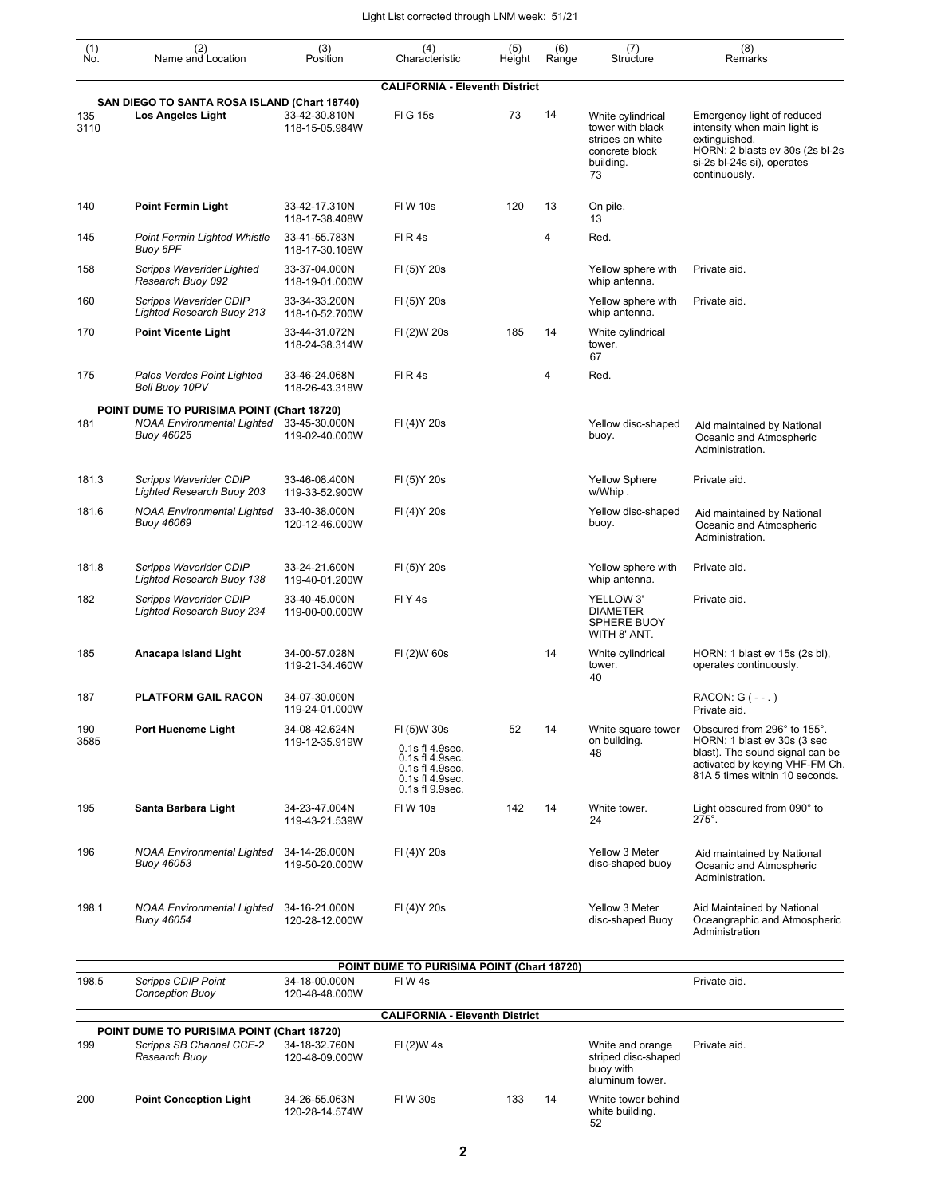| $\begin{smallmatrix} (1) \\ \mathsf{No} \end{smallmatrix}$ | (2)<br>Name and Location                                                                                    | (3)<br>Position                 | (4)<br>Characteristic                                                                   | (5)<br>Height | (6)<br>Range | (7)<br>Structure                                                                               | (8)<br>Remarks                                                                                                                                                    |
|------------------------------------------------------------|-------------------------------------------------------------------------------------------------------------|---------------------------------|-----------------------------------------------------------------------------------------|---------------|--------------|------------------------------------------------------------------------------------------------|-------------------------------------------------------------------------------------------------------------------------------------------------------------------|
|                                                            |                                                                                                             |                                 | <b>CALIFORNIA - Eleventh District</b>                                                   |               |              |                                                                                                |                                                                                                                                                                   |
| 135<br>3110                                                | SAN DIEGO TO SANTA ROSA ISLAND (Chart 18740)<br>Los Angeles Light                                           | 33-42-30.810N<br>118-15-05.984W | <b>FIG 15s</b>                                                                          | 73            | 14           | White cylindrical<br>tower with black<br>stripes on white<br>concrete block<br>building.<br>73 | Emergency light of reduced<br>intensity when main light is<br>extinguished.<br>HORN: 2 blasts ev 30s (2s bl-2s<br>si-2s bl-24s si), operates<br>continuously.     |
| 140                                                        | <b>Point Fermin Light</b>                                                                                   | 33-42-17.310N<br>118-17-38.408W | <b>FIW 10s</b>                                                                          | 120           | 13           | On pile.<br>13                                                                                 |                                                                                                                                                                   |
| 145                                                        | Point Fermin Lighted Whistle<br>Buoy 6PF                                                                    | 33-41-55.783N<br>118-17-30.106W | FIR4s                                                                                   |               | 4            | Red.                                                                                           |                                                                                                                                                                   |
| 158                                                        | Scripps Waverider Lighted<br>Research Buoy 092                                                              | 33-37-04.000N<br>118-19-01.000W | FI (5) Y 20s                                                                            |               |              | Yellow sphere with<br>whip antenna.                                                            | Private aid.                                                                                                                                                      |
| 160                                                        | Scripps Waverider CDIP<br><b>Lighted Research Buoy 213</b>                                                  | 33-34-33.200N<br>118-10-52.700W | FI (5) Y 20s                                                                            |               |              | Yellow sphere with<br>whip antenna.                                                            | Private aid.                                                                                                                                                      |
| 170                                                        | <b>Point Vicente Light</b>                                                                                  | 33-44-31.072N<br>118-24-38.314W | FI (2)W 20s                                                                             | 185           | 14           | White cylindrical<br>tower.<br>67                                                              |                                                                                                                                                                   |
| 175                                                        | Palos Verdes Point Lighted<br>Bell Buoy 10PV                                                                | 33-46-24.068N<br>118-26-43.318W | FIR4s                                                                                   |               | 4            | Red.                                                                                           |                                                                                                                                                                   |
| 181                                                        | POINT DUME TO PURISIMA POINT (Chart 18720)<br>NOAA Environmental Lighted 33-45-30.000N<br><b>Buoy 46025</b> | 119-02-40.000W                  | FI (4) Y 20s                                                                            |               |              | Yellow disc-shaped<br>buoy.                                                                    | Aid maintained by National<br>Oceanic and Atmospheric<br>Administration.                                                                                          |
| 181.3                                                      | Scripps Waverider CDIP<br>Lighted Research Buoy 203                                                         | 33-46-08.400N<br>119-33-52.900W | FI (5) Y 20s                                                                            |               |              | <b>Yellow Sphere</b><br>w/Whip.                                                                | Private aid.                                                                                                                                                      |
| 181.6                                                      | <b>NOAA Environmental Lighted</b><br><b>Buoy 46069</b>                                                      | 33-40-38.000N<br>120-12-46.000W | FI (4) Y 20s                                                                            |               |              | Yellow disc-shaped<br>buoy.                                                                    | Aid maintained by National<br>Oceanic and Atmospheric<br>Administration.                                                                                          |
| 181.8                                                      | Scripps Waverider CDIP<br>Lighted Research Buoy 138                                                         | 33-24-21.600N<br>119-40-01.200W | FI (5) Y 20s                                                                            |               |              | Yellow sphere with<br>whip antenna.                                                            | Private aid.                                                                                                                                                      |
| 182                                                        | Scripps Waverider CDIP<br><b>Lighted Research Buoy 234</b>                                                  | 33-40-45.000N<br>119-00-00.000W | FIY <sub>4s</sub>                                                                       |               |              | YELLOW 3'<br><b>DIAMETER</b><br>SPHERE BUOY<br>WITH 8' ANT.                                    | Private aid.                                                                                                                                                      |
| 185                                                        | Anacapa Island Light                                                                                        | 34-00-57.028N<br>119-21-34.460W | FI (2)W 60s                                                                             |               | 14           | White cylindrical<br>tower.<br>40                                                              | HORN: 1 blast ev 15s (2s bl),<br>operates continuously.                                                                                                           |
| 187                                                        | PLATFORM GAIL RACON                                                                                         | 34-07-30.000N<br>119-24-01.000W |                                                                                         |               |              |                                                                                                | RACON: G (--.)<br>Private aid.                                                                                                                                    |
| 190<br>3585                                                | Port Hueneme Light                                                                                          | 34-08-42.624N<br>119-12-35.919W | FI (5)W 30s<br>0.1s fl 4.9sec.<br>0.1s fl 4.9sec.<br>0.1s fl 4.9sec.<br>0.1s fl 4.9sec. | 52            | 14           | White square tower<br>on building.<br>48                                                       | Obscured from 296° to 155°.<br>HORN: 1 blast ev 30s (3 sec<br>blast). The sound signal can be<br>activated by keying VHF-FM Ch.<br>81A 5 times within 10 seconds. |
| 195                                                        | Santa Barbara Light                                                                                         | 34-23-47.004N<br>119-43-21.539W | 0.1s fl 9.9sec.<br><b>FIW 10s</b>                                                       | 142           | 14           | White tower.<br>24                                                                             | Light obscured from 090° to<br>$275^\circ$ .                                                                                                                      |
| 196                                                        | NOAA Environmental Lighted<br><b>Buoy 46053</b>                                                             | 34-14-26.000N<br>119-50-20.000W | FI (4) Y 20s                                                                            |               |              | Yellow 3 Meter<br>disc-shaped buoy                                                             | Aid maintained by National<br>Oceanic and Atmospheric<br>Administration.                                                                                          |
| 198.1                                                      | NOAA Environmental Lighted<br>Buoy 46054                                                                    | 34-16-21.000N<br>120-28-12.000W | FI (4) Y 20s                                                                            |               |              | Yellow 3 Meter<br>disc-shaped Buoy                                                             | Aid Maintained by National<br>Oceangraphic and Atmospheric<br>Administration                                                                                      |
|                                                            |                                                                                                             |                                 | POINT DUME TO PURISIMA POINT (Chart 18720)                                              |               |              |                                                                                                |                                                                                                                                                                   |
| 198.5                                                      | <b>Scripps CDIP Point</b><br><b>Conception Buoy</b>                                                         | 34-18-00.000N<br>120-48-48.000W | FIW 4s                                                                                  |               |              |                                                                                                | Private aid.                                                                                                                                                      |
|                                                            |                                                                                                             |                                 | <b>CALIFORNIA - Eleventh District</b>                                                   |               |              |                                                                                                |                                                                                                                                                                   |
| 199                                                        | POINT DUME TO PURISIMA POINT (Chart 18720)<br>Scripps SB Channel CCE-2<br>Research Buoy                     | 34-18-32.760N<br>120-48-09.000W | FI (2)W 4s                                                                              |               |              | White and orange<br>striped disc-shaped<br>buoy with<br>aluminum tower.                        | Private aid.                                                                                                                                                      |
| 200                                                        | <b>Point Conception Light</b>                                                                               | 34-26-55.063N<br>120-28-14.574W | <b>FIW30s</b>                                                                           | 133           | 14           | White tower behind<br>white building.                                                          |                                                                                                                                                                   |

52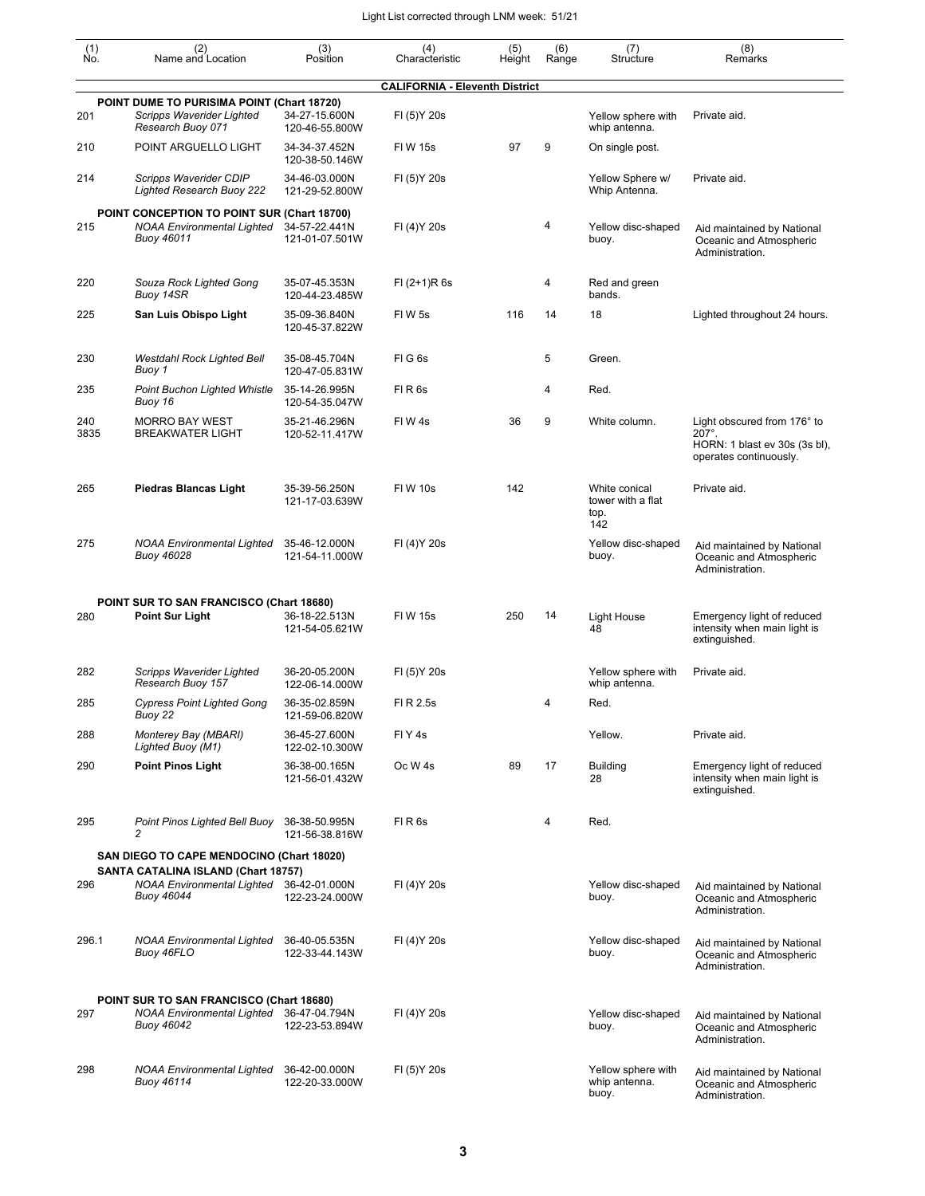| $\begin{smallmatrix} (1) \ N0. \end{smallmatrix}$ | (2)<br>Name and Location                                                                     | (3)<br>Position                 | (4)<br>Characteristic                 | (5)<br>Height | (6)<br>Range | (7)<br>Structure                                  | (8)<br>Remarks                                                                                          |
|---------------------------------------------------|----------------------------------------------------------------------------------------------|---------------------------------|---------------------------------------|---------------|--------------|---------------------------------------------------|---------------------------------------------------------------------------------------------------------|
|                                                   |                                                                                              |                                 | <b>CALIFORNIA - Eleventh District</b> |               |              |                                                   |                                                                                                         |
| 201                                               | POINT DUME TO PURISIMA POINT (Chart 18720)<br>Scripps Waverider Lighted<br>Research Buoy 071 | 34-27-15.600N<br>120-46-55.800W | FI (5) Y 20s                          |               |              | Yellow sphere with<br>whip antenna.               | Private aid.                                                                                            |
| 210                                               | POINT ARGUELLO LIGHT                                                                         | 34-34-37.452N<br>120-38-50.146W | <b>FIW 15s</b>                        | 97            | 9            | On single post.                                   |                                                                                                         |
| 214                                               | Scripps Waverider CDIP<br><b>Lighted Research Buoy 222</b>                                   | 34-46-03.000N<br>121-29-52.800W | FI (5) Y 20s                          |               |              | Yellow Sphere w/<br>Whip Antenna.                 | Private aid.                                                                                            |
| 215                                               | POINT CONCEPTION TO POINT SUR (Chart 18700)<br>NOAA Environmental Lighted<br>Buoy 46011      | 34-57-22.441N<br>121-01-07.501W | FI (4) Y 20s                          |               | 4            | Yellow disc-shaped<br>buoy.                       | Aid maintained by National<br>Oceanic and Atmospheric<br>Administration.                                |
| 220                                               | Souza Rock Lighted Gong<br>Buoy 14SR                                                         | 35-07-45.353N<br>120-44-23.485W | $FI (2+1)R 6s$                        |               | 4            | Red and green<br>bands.                           |                                                                                                         |
| 225                                               | San Luis Obispo Light                                                                        | 35-09-36.840N<br>120-45-37.822W | <b>FIW5s</b>                          | 116           | 14           | 18                                                | Lighted throughout 24 hours.                                                                            |
| 230                                               | Westdahl Rock Lighted Bell<br>Buoy 1                                                         | 35-08-45.704N<br>120-47-05.831W | FIG6s                                 |               | 5            | Green.                                            |                                                                                                         |
| 235                                               | <b>Point Buchon Lighted Whistle</b><br>Buoy 16                                               | 35-14-26.995N<br>120-54-35.047W | FIR <sub>6s</sub>                     |               | 4            | Red.                                              |                                                                                                         |
| 240<br>3835                                       | <b>MORRO BAY WEST</b><br><b>BREAKWATER LIGHT</b>                                             | 35-21-46.296N<br>120-52-11.417W | FIW4s                                 | 36            | 9            | White column.                                     | Light obscured from 176° to<br>$207^\circ$ .<br>HORN: 1 blast ev 30s (3s bl),<br>operates continuously. |
| 265                                               | <b>Piedras Blancas Light</b>                                                                 | 35-39-56.250N<br>121-17-03.639W | <b>FIW 10s</b>                        | 142           |              | White conical<br>tower with a flat<br>top.<br>142 | Private aid.                                                                                            |
| 275                                               | <b>NOAA Environmental Lighted</b><br>Buoy 46028                                              | 35-46-12.000N<br>121-54-11.000W | FI (4) Y 20s                          |               |              | Yellow disc-shaped<br>buoy.                       | Aid maintained by National<br>Oceanic and Atmospheric<br>Administration.                                |
| 280                                               | POINT SUR TO SAN FRANCISCO (Chart 18680)<br><b>Point Sur Light</b>                           | 36-18-22.513N<br>121-54-05.621W | <b>FIW 15s</b>                        | 250           | 14           | <b>Light House</b><br>48                          | Emergency light of reduced<br>intensity when main light is<br>extinguished.                             |
| 282                                               | Scripps Waverider Lighted                                                                    | 36-20-05.200N                   | FI (5) Y 20s                          |               |              | Yellow sphere with                                | Private aid.                                                                                            |
|                                                   | Research Buoy 157<br><b>Cypress Point Lighted Gong</b>                                       | 122-06-14.000W                  | FI R 2.5s                             |               | 4            | whip antenna.                                     |                                                                                                         |
| 285                                               | Buoy 22                                                                                      | 36-35-02.859N<br>121-59-06.820W |                                       |               |              | Red.                                              |                                                                                                         |
| 288                                               | Monterey Bay (MBARI)<br>Lighted Buoy (M1)                                                    | 36-45-27.600N<br>122-02-10.300W | FIY <sub>4s</sub>                     |               |              | Yellow.                                           | Private aid.                                                                                            |
| 290                                               | <b>Point Pinos Light</b>                                                                     | 36-38-00.165N<br>121-56-01.432W | Oc W <sub>4s</sub>                    | 89            | 17           | <b>Building</b><br>28                             | Emergency light of reduced<br>intensity when main light is<br>extinguished.                             |
| 295                                               | Point Pinos Lighted Bell Buoy<br>2                                                           | 36-38-50.995N<br>121-56-38.816W | $FI$ R $6s$                           |               | 4            | Red.                                              |                                                                                                         |
|                                                   | SAN DIEGO TO CAPE MENDOCINO (Chart 18020)<br>SANTA CATALINA ISLAND (Chart 18757)             |                                 |                                       |               |              |                                                   |                                                                                                         |
| 296                                               | NOAA Environmental Lighted 36-42-01.000N<br>Buoy 46044                                       | 122-23-24.000W                  | FI (4) Y 20s                          |               |              | Yellow disc-shaped<br>buoy.                       | Aid maintained by National<br>Oceanic and Atmospheric<br>Administration.                                |
| 296.1                                             | <b>NOAA Environmental Lighted</b><br>Buoy 46FLO                                              | 36-40-05.535N<br>122-33-44.143W | FI (4) Y 20s                          |               |              | Yellow disc-shaped<br>buoy.                       | Aid maintained by National<br>Oceanic and Atmospheric<br>Administration.                                |
| 297                                               | POINT SUR TO SAN FRANCISCO (Chart 18680)<br><b>NOAA Environmental Lighted</b><br>Buoy 46042  | 36-47-04.794N<br>122-23-53.894W | FI (4) Y 20s                          |               |              | Yellow disc-shaped<br>buoy.                       | Aid maintained by National<br>Oceanic and Atmospheric<br>Administration.                                |
| 298                                               | <b>NOAA Environmental Lighted</b><br>Buoy 46114                                              | 36-42-00.000N<br>122-20-33.000W | FI (5) Y 20s                          |               |              | Yellow sphere with<br>whip antenna.<br>buoy.      | Aid maintained by National<br>Oceanic and Atmospheric<br>Administration.                                |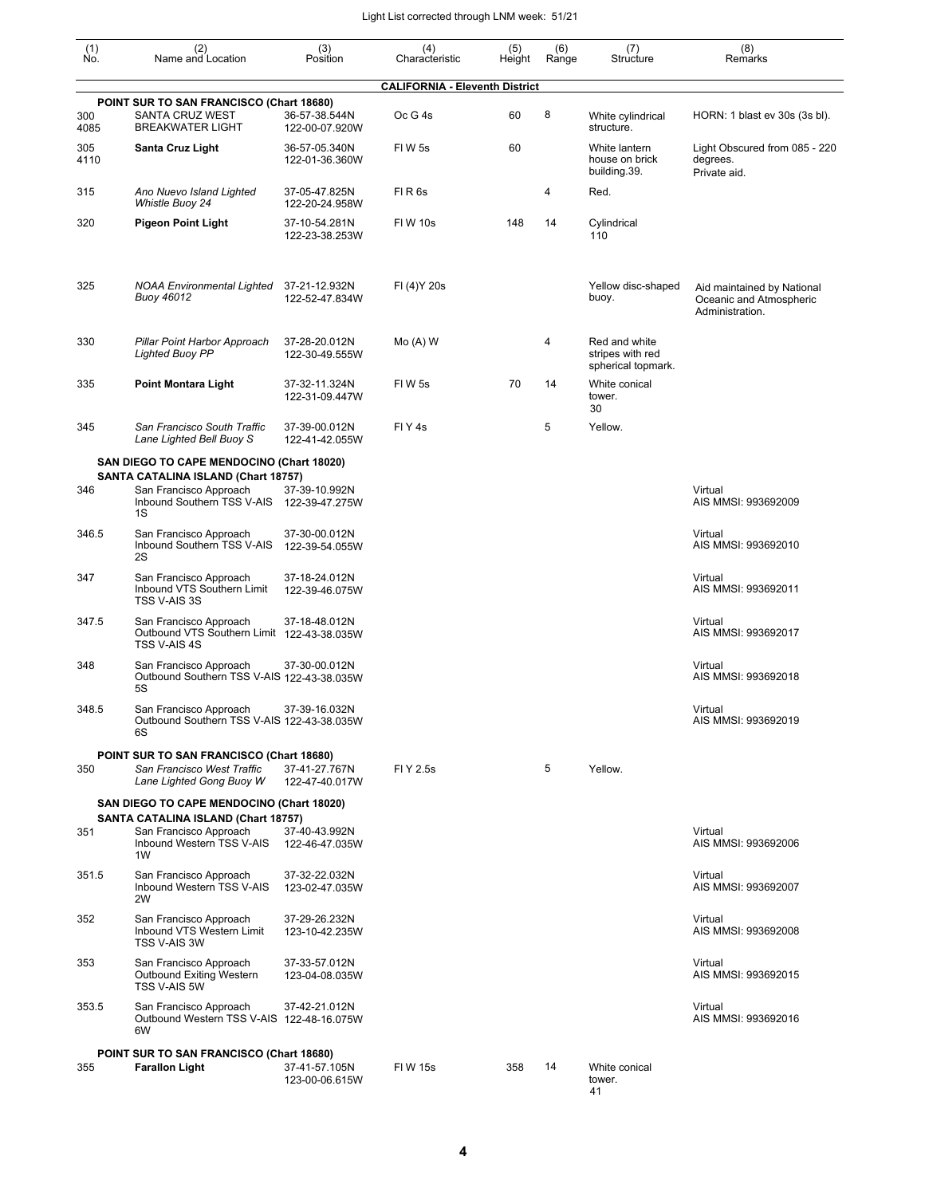| $\begin{smallmatrix} (1) \ N0. \end{smallmatrix}$ | (2)<br>Name and Location                                                                          | (3)<br>Position                 | (4)<br>Characteristic                 | (5)<br>Height | (6)<br>Range | (7)<br>Structure                                        | (8)<br>Remarks                                                           |
|---------------------------------------------------|---------------------------------------------------------------------------------------------------|---------------------------------|---------------------------------------|---------------|--------------|---------------------------------------------------------|--------------------------------------------------------------------------|
|                                                   |                                                                                                   |                                 | <b>CALIFORNIA - Eleventh District</b> |               |              |                                                         |                                                                          |
| 300<br>4085                                       | POINT SUR TO SAN FRANCISCO (Chart 18680)<br>SANTA CRUZ WEST<br><b>BREAKWATER LIGHT</b>            | 36-57-38.544N<br>122-00-07.920W | Oc G 4s                               | 60            | 8            | White cylindrical<br>structure.                         | HORN: 1 blast ev 30s (3s bl).                                            |
| 305<br>4110                                       | Santa Cruz Light                                                                                  | 36-57-05.340N<br>122-01-36.360W | FIW 5s                                | 60            |              | White lantern<br>house on brick<br>building.39.         | Light Obscured from 085 - 220<br>degrees.<br>Private aid.                |
| 315                                               | Ano Nuevo Island Lighted<br>Whistle Buoy 24                                                       | 37-05-47.825N<br>122-20-24.958W | FIR <sub>6s</sub>                     |               | 4            | Red.                                                    |                                                                          |
| 320                                               | <b>Pigeon Point Light</b>                                                                         | 37-10-54.281N<br>122-23-38.253W | <b>FIW 10s</b>                        | 148           | 14           | Cylindrical<br>110                                      |                                                                          |
| 325                                               | NOAA Environmental Lighted<br>Buoy 46012                                                          | 37-21-12.932N<br>122-52-47.834W | FI (4) Y 20s                          |               |              | Yellow disc-shaped<br>buoy.                             | Aid maintained by National<br>Oceanic and Atmospheric<br>Administration. |
| 330                                               | Pillar Point Harbor Approach<br><b>Lighted Buoy PP</b>                                            | 37-28-20.012N<br>122-30-49.555W | $Mo(A)$ W                             |               | 4            | Red and white<br>stripes with red<br>spherical topmark. |                                                                          |
| 335                                               | <b>Point Montara Light</b>                                                                        | 37-32-11.324N<br>122-31-09.447W | FIW 5s                                | 70            | 14           | White conical<br>tower.<br>30                           |                                                                          |
| 345                                               | San Francisco South Traffic<br>Lane Lighted Bell Buoy S                                           | 37-39-00.012N<br>122-41-42.055W | FIY <sub>4s</sub>                     |               | 5            | Yellow.                                                 |                                                                          |
|                                                   | SAN DIEGO TO CAPE MENDOCINO (Chart 18020)                                                         |                                 |                                       |               |              |                                                         |                                                                          |
| 346                                               | SANTA CATALINA ISLAND (Chart 18757)<br>San Francisco Approach<br>Inbound Southern TSS V-AIS<br>1S | 37-39-10.992N<br>122-39-47.275W |                                       |               |              |                                                         | Virtual<br>AIS MMSI: 993692009                                           |
| 346.5                                             | San Francisco Approach<br>Inbound Southern TSS V-AIS<br>2S                                        | 37-30-00.012N<br>122-39-54.055W |                                       |               |              |                                                         | Virtual<br>AIS MMSI: 993692010                                           |
| 347                                               | San Francisco Approach<br>Inbound VTS Southern Limit<br>TSS V-AIS 3S                              | 37-18-24.012N<br>122-39-46.075W |                                       |               |              |                                                         | Virtual<br>AIS MMSI: 993692011                                           |
| 347.5                                             | San Francisco Approach<br>Outbound VTS Southern Limit 122-43-38.035W<br>TSS V-AIS 4S              | 37-18-48.012N                   |                                       |               |              |                                                         | Virtual<br>AIS MMSI: 993692017                                           |
| 348                                               | San Francisco Approach<br>Outbound Southern TSS V-AIS 122-43-38.035W<br>5S                        | 37-30-00.012N                   |                                       |               |              |                                                         | Virtual<br>AIS MMSI: 993692018                                           |
| 348.5                                             | San Francisco Approach<br>Outbound Southern TSS V-AIS 122-43-38.035W<br>6S                        | 37-39-16.032N                   |                                       |               |              |                                                         | Virtual<br>AIS MMSI: 993692019                                           |
|                                                   | POINT SUR TO SAN FRANCISCO (Chart 18680)                                                          |                                 |                                       |               |              |                                                         |                                                                          |
| 350                                               | San Francisco West Traffic<br>Lane Lighted Gong Buoy W                                            | 37-41-27.767N<br>122-47-40.017W | FI Y 2.5s                             |               | 5            | Yellow.                                                 |                                                                          |
|                                                   | SAN DIEGO TO CAPE MENDOCINO (Chart 18020)                                                         |                                 |                                       |               |              |                                                         |                                                                          |
| 351                                               | SANTA CATALINA ISLAND (Chart 18757)<br>San Francisco Approach<br>Inbound Western TSS V-AIS<br>1W  | 37-40-43.992N<br>122-46-47.035W |                                       |               |              |                                                         | Virtual<br>AIS MMSI: 993692006                                           |
| 351.5                                             | San Francisco Approach<br>Inbound Western TSS V-AIS<br>2W                                         | 37-32-22.032N<br>123-02-47.035W |                                       |               |              |                                                         | Virtual<br>AIS MMSI: 993692007                                           |
| 352                                               | San Francisco Approach<br>Inbound VTS Western Limit<br>TSS V-AIS 3W                               | 37-29-26.232N<br>123-10-42.235W |                                       |               |              |                                                         | Virtual<br>AIS MMSI: 993692008                                           |
| 353                                               | San Francisco Approach<br>Outbound Exiting Western<br>TSS V-AIS 5W                                | 37-33-57.012N<br>123-04-08.035W |                                       |               |              |                                                         | Virtual<br>AIS MMSI: 993692015                                           |
| 353.5                                             | San Francisco Approach<br>Outbound Western TSS V-AIS 122-48-16.075W<br>6W                         | 37-42-21.012N                   |                                       |               |              |                                                         | Virtual<br>AIS MMSI: 993692016                                           |
|                                                   | POINT SUR TO SAN FRANCISCO (Chart 18680)                                                          |                                 |                                       |               |              |                                                         |                                                                          |
| 355                                               | <b>Farallon Light</b>                                                                             | 37-41-57.105N<br>123-00-06.615W | FI W 15s                              | 358           | 14           | White conical<br>tower.<br>41                           |                                                                          |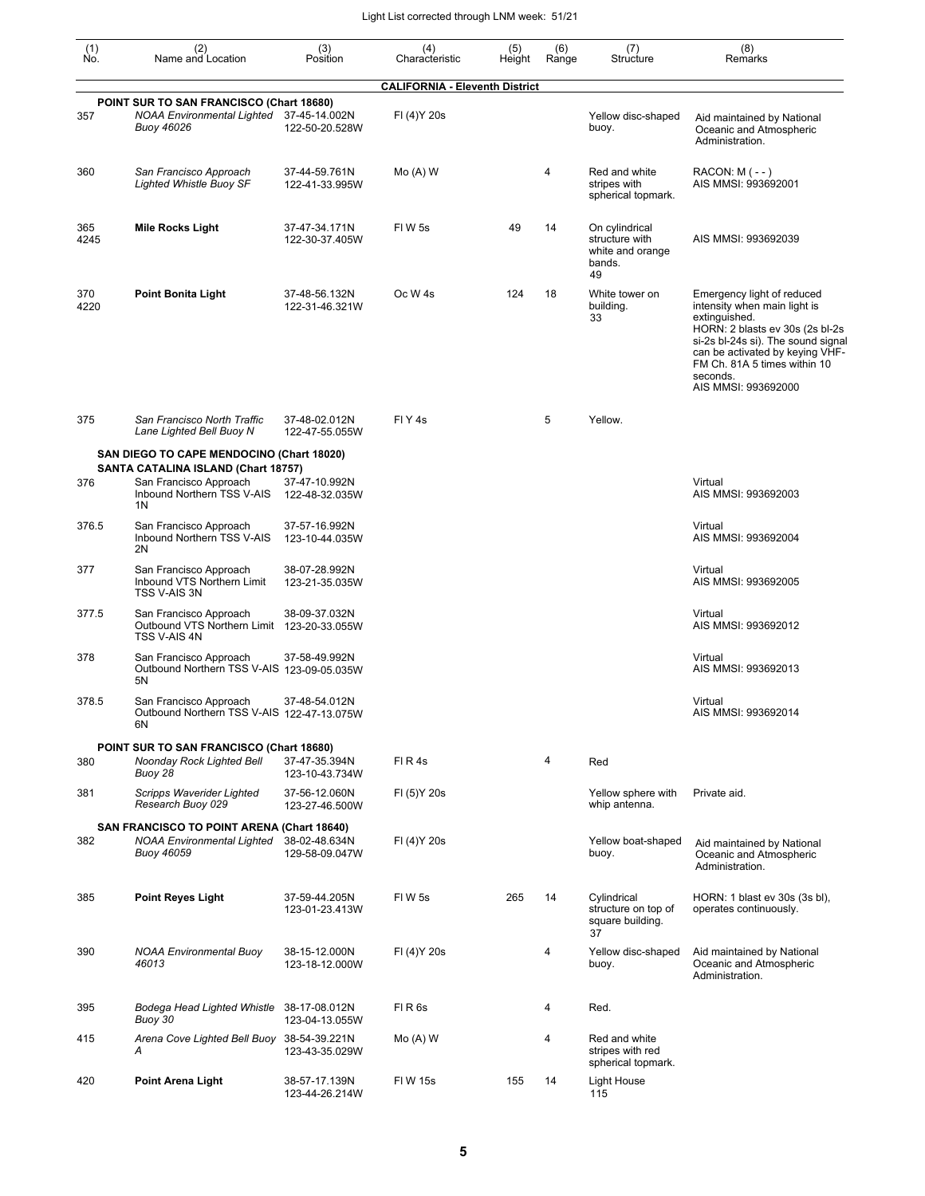| (1)<br>No.  | (2)<br>Name and Location                                                                           | (3)<br>Position                 | (4)<br>Characteristic                 | (5)<br>Height | (6)<br>Range | (7)<br>Structure                                                     | (8)<br>Remarks                                                                                                                                                                                                                                             |
|-------------|----------------------------------------------------------------------------------------------------|---------------------------------|---------------------------------------|---------------|--------------|----------------------------------------------------------------------|------------------------------------------------------------------------------------------------------------------------------------------------------------------------------------------------------------------------------------------------------------|
|             |                                                                                                    |                                 | <b>CALIFORNIA - Eleventh District</b> |               |              |                                                                      |                                                                                                                                                                                                                                                            |
| 357         | POINT SUR TO SAN FRANCISCO (Chart 18680)<br>NOAA Environmental Lighted 37-45-14.002N<br>Buoy 46026 | 122-50-20.528W                  | FI (4) Y 20s                          |               |              | Yellow disc-shaped<br>buoy.                                          | Aid maintained by National<br>Oceanic and Atmospheric<br>Administration.                                                                                                                                                                                   |
| 360         | San Francisco Approach<br><b>Lighted Whistle Buoy SF</b>                                           | 37-44-59.761N<br>122-41-33.995W | $Mo(A)$ W                             |               | 4            | Red and white<br>stripes with<br>spherical topmark.                  | RACON: M (--)<br>AIS MMSI: 993692001                                                                                                                                                                                                                       |
| 365<br>4245 | <b>Mile Rocks Light</b>                                                                            | 37-47-34.171N<br>122-30-37.405W | FIW 5s                                | 49            | 14           | On cylindrical<br>structure with<br>white and orange<br>bands.<br>49 | AIS MMSI: 993692039                                                                                                                                                                                                                                        |
| 370<br>4220 | <b>Point Bonita Light</b>                                                                          | 37-48-56.132N<br>122-31-46.321W | Oc W <sub>4s</sub>                    | 124           | 18           | White tower on<br>building.<br>33                                    | Emergency light of reduced<br>intensity when main light is<br>extinguished.<br>HORN: 2 blasts ev 30s (2s bl-2s<br>si-2s bl-24s si). The sound signal<br>can be activated by keying VHF-<br>FM Ch. 81A 5 times within 10<br>seconds.<br>AIS MMSI: 993692000 |
| 375         | San Francisco North Traffic<br>Lane Lighted Bell Buoy N                                            | 37-48-02.012N<br>122-47-55.055W | FIY <sub>4s</sub>                     |               | 5            | Yellow.                                                              |                                                                                                                                                                                                                                                            |
|             | SAN DIEGO TO CAPE MENDOCINO (Chart 18020)                                                          |                                 |                                       |               |              |                                                                      |                                                                                                                                                                                                                                                            |
| 376         | SANTA CATALINA ISLAND (Chart 18757)<br>San Francisco Approach<br>Inbound Northern TSS V-AIS<br>1N  | 37-47-10.992N<br>122-48-32.035W |                                       |               |              |                                                                      | Virtual<br>AIS MMSI: 993692003                                                                                                                                                                                                                             |
| 376.5       | San Francisco Approach<br>Inbound Northern TSS V-AIS<br>2N                                         | 37-57-16.992N<br>123-10-44.035W |                                       |               |              |                                                                      | Virtual<br>AIS MMSI: 993692004                                                                                                                                                                                                                             |
| 377         | San Francisco Approach<br>Inbound VTS Northern Limit<br>TSS V-AIS 3N                               | 38-07-28.992N<br>123-21-35.035W |                                       |               |              |                                                                      | Virtual<br>AIS MMSI: 993692005                                                                                                                                                                                                                             |
| 377.5       | San Francisco Approach<br>Outbound VTS Northern Limit 123-20-33.055W<br>TSS V-AIS 4N               | 38-09-37.032N                   |                                       |               |              |                                                                      | Virtual<br>AIS MMSI: 993692012                                                                                                                                                                                                                             |
| 378         | San Francisco Approach<br>Outbound Northern TSS V-AIS 123-09-05.035W<br>5N                         | 37-58-49.992N                   |                                       |               |              |                                                                      | Virtual<br>AIS MMSI: 993692013                                                                                                                                                                                                                             |
| 378.5       | San Francisco Approach<br>Outbound Northern TSS V-AIS 122-47-13.075W<br>6N                         | 37-48-54.012N                   |                                       |               |              |                                                                      | Virtual<br>AIS MMSI: 993692014                                                                                                                                                                                                                             |
| 380         | POINT SUR TO SAN FRANCISCO (Chart 18680)<br>Noonday Rock Lighted Bell<br>Buoy 28                   | 37-47-35.394N<br>123-10-43.734W | FIR4s                                 |               | 4            | Red                                                                  |                                                                                                                                                                                                                                                            |
| 381         | Scripps Waverider Lighted<br>Research Buoy 029                                                     | 37-56-12.060N<br>123-27-46.500W | FI (5) Y 20s                          |               |              | Yellow sphere with<br>whip antenna.                                  | Private aid.                                                                                                                                                                                                                                               |
| 382         | SAN FRANCISCO TO POINT ARENA (Chart 18640)<br>NOAA Environmental Lighted<br>Buoy 46059             | 38-02-48.634N<br>129-58-09.047W | FI (4) Y 20s                          |               |              | Yellow boat-shaped<br>buoy.                                          | Aid maintained by National<br>Oceanic and Atmospheric<br>Administration.                                                                                                                                                                                   |
| 385         | <b>Point Reyes Light</b>                                                                           | 37-59-44.205N<br>123-01-23.413W | FIW 5s                                | 265           | 14           | Cylindrical<br>structure on top of<br>square building.<br>37         | HORN: 1 blast ev 30s (3s bl),<br>operates continuously.                                                                                                                                                                                                    |
| 390         | <b>NOAA Environmental Buoy</b><br>46013                                                            | 38-15-12.000N<br>123-18-12.000W | FI (4) Y 20s                          |               | 4            | Yellow disc-shaped<br>buoy.                                          | Aid maintained by National<br>Oceanic and Atmospheric<br>Administration.                                                                                                                                                                                   |
| 395         | Bodega Head Lighted Whistle<br>Buoy 30                                                             | 38-17-08.012N<br>123-04-13.055W | FIR <sub>6s</sub>                     |               | 4            | Red.                                                                 |                                                                                                                                                                                                                                                            |
| 415         | Arena Cove Lighted Bell Buoy 38-54-39.221N<br>А                                                    | 123-43-35.029W                  | $Mo(A)$ W                             |               | 4            | Red and white<br>stripes with red<br>spherical topmark.              |                                                                                                                                                                                                                                                            |
| 420         | Point Arena Light                                                                                  | 38-57-17.139N<br>123-44-26.214W | <b>FIW 15s</b>                        | 155           | 14           | Light House<br>115                                                   |                                                                                                                                                                                                                                                            |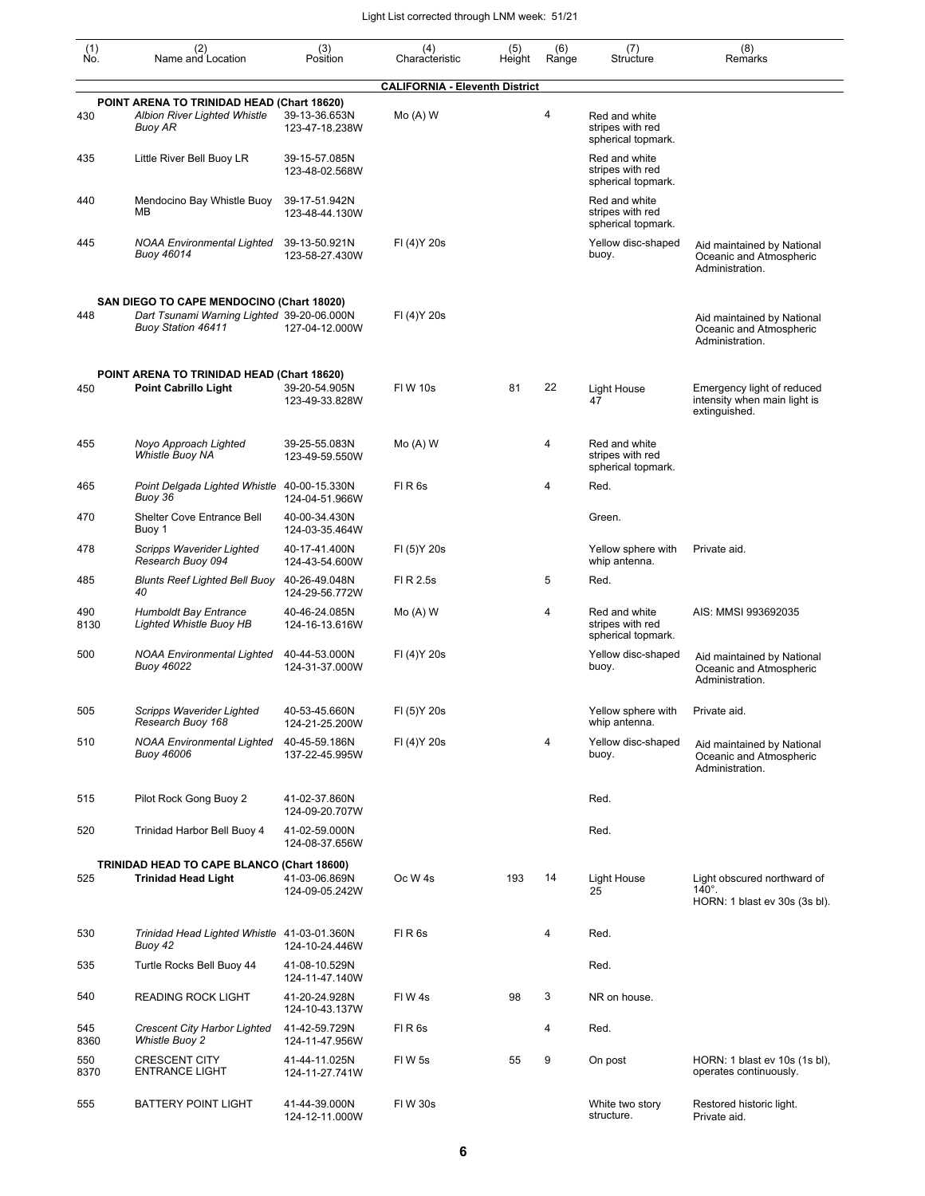| $\begin{smallmatrix} (1) \ N0. \end{smallmatrix}$ | (2)<br>Name and Location                                                                     | (3)<br>Position                 | (4)<br>Characteristic                 | (5)<br>Height | (6)<br>Range | (7)<br>Structure                                        | (8)<br>Remarks                                                                |
|---------------------------------------------------|----------------------------------------------------------------------------------------------|---------------------------------|---------------------------------------|---------------|--------------|---------------------------------------------------------|-------------------------------------------------------------------------------|
|                                                   |                                                                                              |                                 | <b>CALIFORNIA - Eleventh District</b> |               |              |                                                         |                                                                               |
| 430                                               | POINT ARENA TO TRINIDAD HEAD (Chart 18620)<br><b>Albion River Lighted Whistle</b><br>Buoy AR | 39-13-36.653N<br>123-47-18.238W | $Mo(A)$ W                             |               | 4            | Red and white<br>stripes with red<br>spherical topmark. |                                                                               |
| 435                                               | Little River Bell Buoy LR                                                                    | 39-15-57.085N<br>123-48-02.568W |                                       |               |              | Red and white<br>stripes with red<br>spherical topmark. |                                                                               |
| 440                                               | Mendocino Bay Whistle Buoy<br>MВ                                                             | 39-17-51.942N<br>123-48-44.130W |                                       |               |              | Red and white<br>stripes with red<br>spherical topmark. |                                                                               |
| 445                                               | <b>NOAA Environmental Lighted</b><br><b>Buoy 46014</b>                                       | 39-13-50.921N<br>123-58-27.430W | FI (4) Y 20s                          |               |              | Yellow disc-shaped<br>buoy.                             | Aid maintained by National<br>Oceanic and Atmospheric<br>Administration.      |
|                                                   | SAN DIEGO TO CAPE MENDOCINO (Chart 18020)                                                    |                                 |                                       |               |              |                                                         |                                                                               |
| 448                                               | Dart Tsunami Warning Lighted 39-20-06.000N<br><b>Buoy Station 46411</b>                      | 127-04-12.000W                  | FI (4) Y 20s                          |               |              |                                                         | Aid maintained by National<br>Oceanic and Atmospheric<br>Administration.      |
| 450                                               | POINT ARENA TO TRINIDAD HEAD (Chart 18620)<br><b>Point Cabrillo Light</b>                    | 39-20-54.905N<br>123-49-33.828W | <b>FIW 10s</b>                        | 81            | 22           | <b>Light House</b><br>47                                | Emergency light of reduced<br>intensity when main light is<br>extinguished.   |
| 455                                               | Noyo Approach Lighted<br>Whistle Buoy NA                                                     | 39-25-55.083N<br>123-49-59.550W | $Mo(A)$ W                             |               | 4            | Red and white<br>stripes with red<br>spherical topmark. |                                                                               |
| 465                                               | Point Delgada Lighted Whistle<br>Buoy 36                                                     | 40-00-15.330N<br>124-04-51.966W | FIR <sub>6s</sub>                     |               | 4            | Red.                                                    |                                                                               |
| 470                                               | Shelter Cove Entrance Bell<br>Buoy 1                                                         | 40-00-34.430N<br>124-03-35.464W |                                       |               |              | Green.                                                  |                                                                               |
| 478                                               | Scripps Waverider Lighted<br>Research Buoy 094                                               | 40-17-41.400N<br>124-43-54.600W | FI (5) Y 20s                          |               |              | Yellow sphere with<br>whip antenna.                     | Private aid.                                                                  |
| 485                                               | <b>Blunts Reef Lighted Bell Buoy</b><br>40                                                   | 40-26-49.048N<br>124-29-56.772W | FI R 2.5s                             |               | 5            | Red.                                                    |                                                                               |
| 490<br>8130                                       | <b>Humboldt Bay Entrance</b><br><b>Lighted Whistle Buoy HB</b>                               | 40-46-24.085N<br>124-16-13.616W | $Mo(A)$ W                             |               | 4            | Red and white<br>stripes with red<br>spherical topmark. | AIS: MMSI 993692035                                                           |
| 500                                               | <b>NOAA Environmental Lighted</b><br><b>Buoy 46022</b>                                       | 40-44-53.000N<br>124-31-37.000W | FI (4) Y 20s                          |               |              | Yellow disc-shaped<br>buoy.                             | Aid maintained by National<br>Oceanic and Atmospheric<br>Administration.      |
| 505                                               | Scripps Waverider Lighted<br>Research Buoy 168                                               | 40-53-45.660N<br>124-21-25.200W | FI (5) Y 20s                          |               |              | Yellow sphere with Private aid.<br>whip antenna.        |                                                                               |
| 510                                               | <b>NOAA Environmental Lighted</b><br><b>Buoy 46006</b>                                       | 40-45-59.186N<br>137-22-45.995W | FI (4) Y 20s                          |               | 4            | Yellow disc-shaped<br>buoy.                             | Aid maintained by National<br>Oceanic and Atmospheric<br>Administration.      |
| 515                                               | Pilot Rock Gong Buoy 2                                                                       | 41-02-37.860N<br>124-09-20.707W |                                       |               |              | Red.                                                    |                                                                               |
| 520                                               | Trinidad Harbor Bell Buoy 4                                                                  | 41-02-59.000N<br>124-08-37.656W |                                       |               |              | Red.                                                    |                                                                               |
| 525                                               | TRINIDAD HEAD TO CAPE BLANCO (Chart 18600)<br><b>Trinidad Head Light</b>                     | 41-03-06.869N<br>124-09-05.242W | Oc W <sub>4s</sub>                    | 193           | 14           | <b>Light House</b><br>25                                | Light obscured northward of<br>$140^\circ$ .<br>HORN: 1 blast ev 30s (3s bl). |
| 530                                               | Trinidad Head Lighted Whistle 41-03-01.360N<br>Buoy 42                                       | 124-10-24.446W                  | FIR <sub>6s</sub>                     |               | 4            | Red.                                                    |                                                                               |
| 535                                               | Turtle Rocks Bell Buoy 44                                                                    | 41-08-10.529N<br>124-11-47.140W |                                       |               |              | Red.                                                    |                                                                               |
| 540                                               | <b>READING ROCK LIGHT</b>                                                                    | 41-20-24.928N<br>124-10-43.137W | FIW4s                                 | 98            | 3            | NR on house.                                            |                                                                               |
| 545<br>8360                                       | <b>Crescent City Harbor Lighted</b><br>Whistle Buoy 2                                        | 41-42-59.729N<br>124-11-47.956W | FIR <sub>6s</sub>                     |               | 4            | Red.                                                    |                                                                               |
| 550<br>8370                                       | <b>CRESCENT CITY</b><br><b>ENTRANCE LIGHT</b>                                                | 41-44-11.025N<br>124-11-27.741W | FIW <sub>5s</sub>                     | 55            | 9            | On post                                                 | HORN: 1 blast ev 10s (1s bl),<br>operates continuously.                       |
| 555                                               | <b>BATTERY POINT LIGHT</b>                                                                   | 41-44-39.000N<br>124-12-11.000W | FIW 30s                               |               |              | White two story<br>structure.                           | Restored historic light.<br>Private aid.                                      |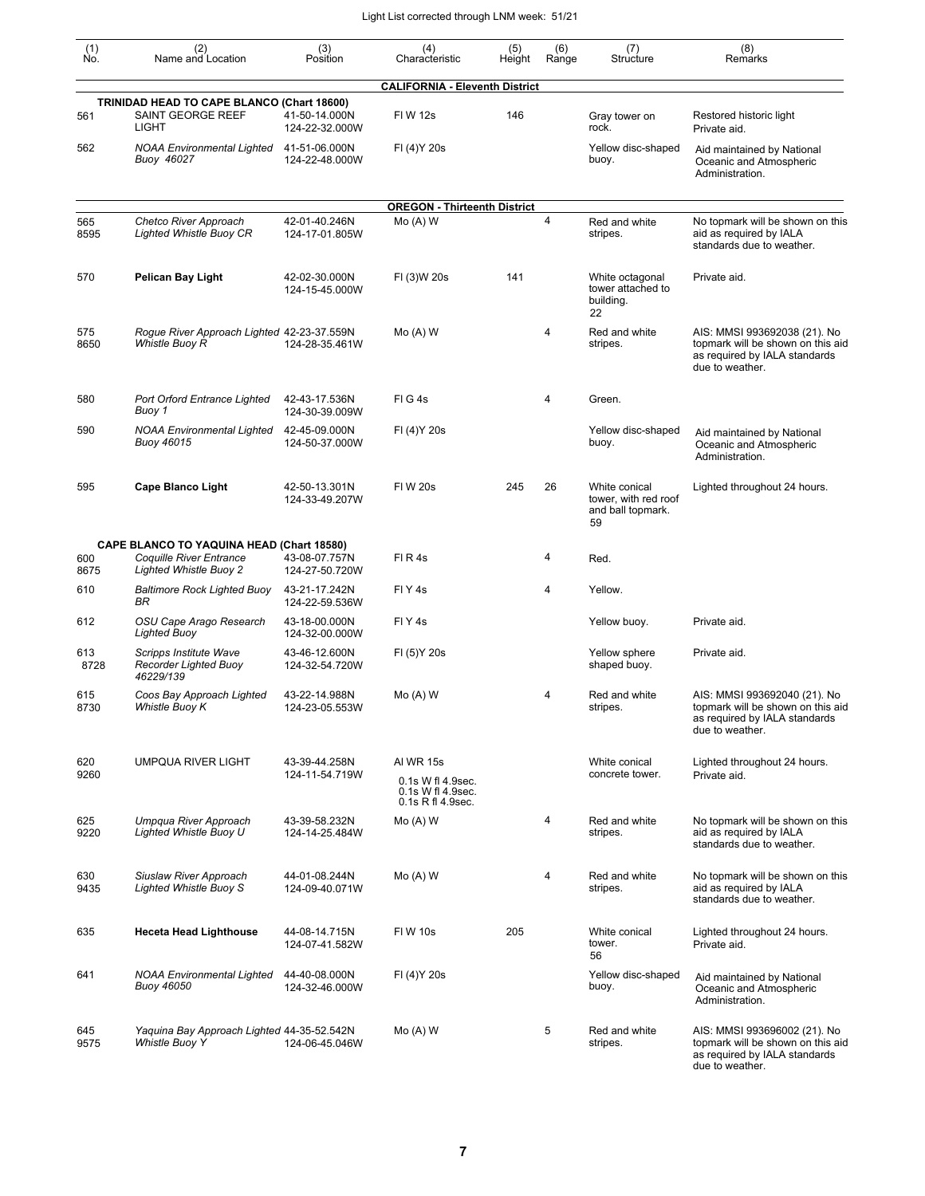| $\begin{smallmatrix} (1) \\ \mathsf{No} \end{smallmatrix}$ | (2)<br>Name and Location                                                        | (3)<br>Position                 | (4)<br>Characteristic                                                           | (5)<br>Height | (6)<br>Range | (7)<br>Structure                                                 | (8)<br>Remarks                                                                                                        |
|------------------------------------------------------------|---------------------------------------------------------------------------------|---------------------------------|---------------------------------------------------------------------------------|---------------|--------------|------------------------------------------------------------------|-----------------------------------------------------------------------------------------------------------------------|
|                                                            |                                                                                 |                                 | <b>CALIFORNIA - Eleventh District</b>                                           |               |              |                                                                  |                                                                                                                       |
| 561                                                        | TRINIDAD HEAD TO CAPE BLANCO (Chart 18600)<br>SAINT GEORGE REEF<br><b>LIGHT</b> | 41-50-14.000N<br>124-22-32.000W | FIW 12s                                                                         | 146           |              | Gray tower on<br>rock.                                           | Restored historic light<br>Private aid.                                                                               |
| 562                                                        | <b>NOAA Environmental Lighted</b><br>Buoy 46027                                 | 41-51-06.000N<br>124-22-48.000W | FI (4) Y 20s                                                                    |               |              | Yellow disc-shaped<br>buoy.                                      | Aid maintained by National<br>Oceanic and Atmospheric<br>Administration.                                              |
|                                                            |                                                                                 |                                 | <b>OREGON - Thirteenth District</b>                                             |               |              |                                                                  |                                                                                                                       |
| 565<br>8595                                                | Chetco River Approach<br><b>Lighted Whistle Buoy CR</b>                         | 42-01-40.246N<br>124-17-01.805W | $Mo(A)$ W                                                                       |               | 4            | Red and white<br>stripes.                                        | No topmark will be shown on this<br>aid as required by IALA<br>standards due to weather.                              |
| 570                                                        | <b>Pelican Bay Light</b>                                                        | 42-02-30.000N<br>124-15-45.000W | FI (3)W 20s                                                                     | 141           |              | White octagonal<br>tower attached to<br>building.<br>22          | Private aid.                                                                                                          |
| 575<br>8650                                                | Rogue River Approach Lighted 42-23-37.559N<br>Whistle Buoy R                    | 124-28-35.461W                  | $Mo(A)$ W                                                                       |               | 4            | Red and white<br>stripes.                                        | AIS: MMSI 993692038 (21). No<br>topmark will be shown on this aid<br>as required by IALA standards<br>due to weather. |
| 580                                                        | <b>Port Orford Entrance Lighted</b><br>Buoy 1                                   | 42-43-17.536N<br>124-30-39.009W | FIG4s                                                                           |               | 4            | Green.                                                           |                                                                                                                       |
| 590                                                        | <b>NOAA Environmental Lighted</b><br><b>Buoy 46015</b>                          | 42-45-09.000N<br>124-50-37.000W | FI (4) Y 20s                                                                    |               |              | Yellow disc-shaped<br>buoy.                                      | Aid maintained by National<br>Oceanic and Atmospheric<br>Administration.                                              |
| 595                                                        | <b>Cape Blanco Light</b>                                                        | 42-50-13.301N<br>124-33-49.207W | <b>FIW 20s</b>                                                                  | 245           | 26           | White conical<br>tower, with red roof<br>and ball topmark.<br>59 | Lighted throughout 24 hours.                                                                                          |
|                                                            | <b>CAPE BLANCO TO YAQUINA HEAD (Chart 18580)</b>                                |                                 |                                                                                 |               |              |                                                                  |                                                                                                                       |
| 600<br>8675                                                | Coquille River Entrance<br><b>Lighted Whistle Buoy 2</b>                        | 43-08-07.757N<br>124-27-50.720W | FIR4s                                                                           |               | 4            | Red.                                                             |                                                                                                                       |
| 610                                                        | <b>Baltimore Rock Lighted Buoy</b><br>BR                                        | 43-21-17.242N<br>124-22-59.536W | FIY <sub>4s</sub>                                                               |               | 4            | Yellow.                                                          |                                                                                                                       |
| 612                                                        | OSU Cape Arago Research<br><b>Lighted Buoy</b>                                  | 43-18-00.000N<br>124-32-00.000W | FIY <sub>4s</sub>                                                               |               |              | Yellow buoy.                                                     | Private aid.                                                                                                          |
| 613<br>8728                                                | Scripps Institute Wave<br><b>Recorder Lighted Buoy</b><br>46229/139             | 43-46-12.600N<br>124-32-54.720W | FI (5) Y 20s                                                                    |               |              | Yellow sphere<br>shaped buoy.                                    | Private aid.                                                                                                          |
| 615<br>8730                                                | Coos Bay Approach Lighted<br>Whistle Buov K                                     | 43-22-14.988N<br>124-23-05.553W | $Mo(A)$ W                                                                       |               | 4            | Red and white<br>stripes.                                        | AIS: MMSI 993692040 (21). No<br>topmark will be shown on this aid<br>as required by IALA standards<br>due to weather. |
| 620<br>9260                                                | <b>UMPQUA RIVER LIGHT</b>                                                       | 43-39-44.258N<br>124-11-54.719W | <b>AI WR 15s</b><br>0.1s W fl 4.9sec.<br>0.1s W fl 4.9sec.<br>0.1s R fl 4.9sec. |               |              | White conical<br>concrete tower.                                 | Lighted throughout 24 hours.<br>Private aid.                                                                          |
| 625<br>9220                                                | Umpqua River Approach<br>Lighted Whistle Buoy U                                 | 43-39-58.232N<br>124-14-25.484W | Mo (A) W                                                                        |               | 4            | Red and white<br>stripes.                                        | No topmark will be shown on this<br>aid as required by IALA<br>standards due to weather.                              |
| 630<br>9435                                                | Siuslaw River Approach<br><b>Lighted Whistle Buoy S</b>                         | 44-01-08.244N<br>124-09-40.071W | $Mo(A)$ W                                                                       |               | 4            | Red and white<br>stripes.                                        | No topmark will be shown on this<br>aid as required by IALA<br>standards due to weather.                              |
| 635                                                        | <b>Heceta Head Lighthouse</b>                                                   | 44-08-14.715N<br>124-07-41.582W | <b>FIW 10s</b>                                                                  | 205           |              | White conical<br>tower.<br>56                                    | Lighted throughout 24 hours.<br>Private aid.                                                                          |
| 641                                                        | <b>NOAA Environmental Lighted</b><br><b>Buoy 46050</b>                          | 44-40-08.000N<br>124-32-46.000W | FI (4) Y 20s                                                                    |               |              | Yellow disc-shaped<br>buoy.                                      | Aid maintained by National<br>Oceanic and Atmospheric<br>Administration.                                              |
| 645<br>9575                                                | Yaquina Bay Approach Lighted 44-35-52.542N<br>Whistle Buoy Y                    | 124-06-45.046W                  | $Mo(A)$ W                                                                       |               | 5            | Red and white<br>stripes.                                        | AIS: MMSI 993696002 (21). No<br>topmark will be shown on this aid<br>as required by IALA standards<br>due to weather. |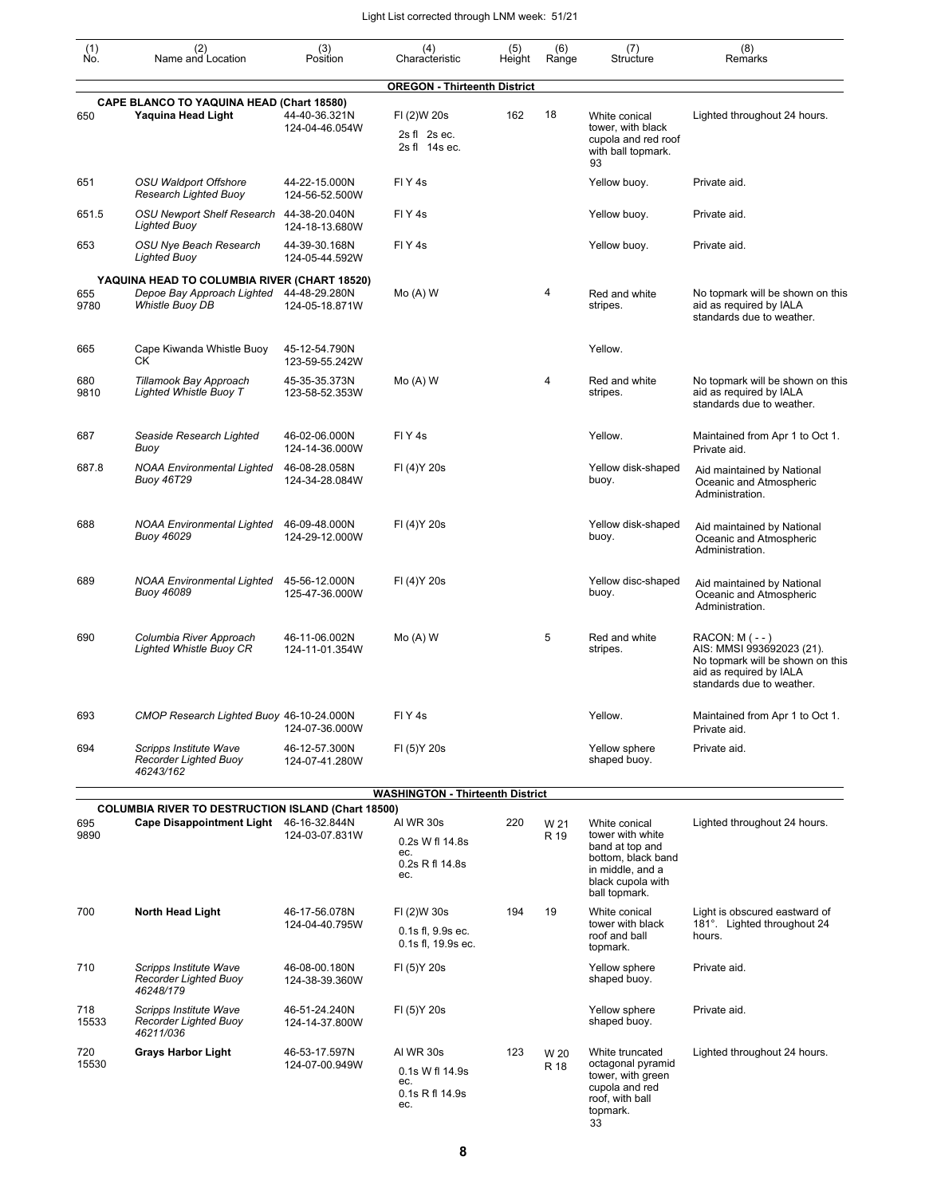|                                                   |                                                                        |                                 | (4)                                                           | (5)    | (6)          |                                                                                                            | (8)                                                                                                                                        |
|---------------------------------------------------|------------------------------------------------------------------------|---------------------------------|---------------------------------------------------------------|--------|--------------|------------------------------------------------------------------------------------------------------------|--------------------------------------------------------------------------------------------------------------------------------------------|
| $\begin{smallmatrix} (1) \ N0. \end{smallmatrix}$ | (2)<br>Name and Location                                               | (3)<br>Position                 | Characteristic                                                | Height | Range        | (7)<br>Structure                                                                                           | Remarks                                                                                                                                    |
|                                                   |                                                                        |                                 | <b>OREGON - Thirteenth District</b>                           |        |              |                                                                                                            |                                                                                                                                            |
| 650                                               | <b>CAPE BLANCO TO YAQUINA HEAD (Chart 18580)</b><br>Yaquina Head Light | 44-40-36.321N<br>124-04-46.054W | FI (2)W 20s                                                   | 162    | 18           | White conical<br>tower, with black                                                                         | Lighted throughout 24 hours.                                                                                                               |
|                                                   |                                                                        |                                 | 2s fl 2s ec.<br>2s fl 14s ec.                                 |        |              | cupola and red roof<br>with ball topmark.<br>93                                                            |                                                                                                                                            |
| 651                                               | OSU Waldport Offshore<br>Research Lighted Buoy                         | 44-22-15.000N<br>124-56-52.500W | FIY <sub>4s</sub>                                             |        |              | Yellow buoy.                                                                                               | Private aid.                                                                                                                               |
| 651.5                                             | OSU Newport Shelf Research 44-38-20.040N<br><b>Lighted Buoy</b>        | 124-18-13.680W                  | FIY <sub>4s</sub>                                             |        |              | Yellow buoy.                                                                                               | Private aid.                                                                                                                               |
| 653                                               | OSU Nye Beach Research<br><b>Lighted Buoy</b>                          | 44-39-30.168N<br>124-05-44.592W | FIY <sub>4s</sub>                                             |        |              | Yellow buoy.                                                                                               | Private aid.                                                                                                                               |
|                                                   | YAQUINA HEAD TO COLUMBIA RIVER (CHART 18520)                           |                                 |                                                               |        |              |                                                                                                            |                                                                                                                                            |
| 655<br>9780                                       | Depoe Bay Approach Lighted<br>Whistle Buoy DB                          | 44-48-29.280N<br>124-05-18.871W | $Mo(A)$ W                                                     |        | 4            | Red and white<br>stripes.                                                                                  | No topmark will be shown on this<br>aid as required by IALA<br>standards due to weather.                                                   |
| 665                                               | Cape Kiwanda Whistle Buoy<br>СK                                        | 45-12-54.790N<br>123-59-55.242W |                                                               |        |              | Yellow.                                                                                                    |                                                                                                                                            |
| 680<br>9810                                       | Tillamook Bay Approach<br>Lighted Whistle Buoy T                       | 45-35-35.373N<br>123-58-52.353W | $Mo(A)$ W                                                     |        | 4            | Red and white<br>stripes.                                                                                  | No topmark will be shown on this<br>aid as required by IALA<br>standards due to weather.                                                   |
| 687                                               | Seaside Research Lighted<br>Buoy                                       | 46-02-06.000N<br>124-14-36.000W | FIY <sub>4s</sub>                                             |        |              | Yellow.                                                                                                    | Maintained from Apr 1 to Oct 1.<br>Private aid.                                                                                            |
| 687.8                                             | <b>NOAA Environmental Lighted</b><br><b>Buoy 46T29</b>                 | 46-08-28.058N<br>124-34-28.084W | FI (4) Y 20s                                                  |        |              | Yellow disk-shaped<br>buoy.                                                                                | Aid maintained by National<br>Oceanic and Atmospheric<br>Administration.                                                                   |
| 688                                               | <b>NOAA Environmental Lighted</b><br><b>Buoy 46029</b>                 | 46-09-48.000N<br>124-29-12.000W | FI (4) Y 20s                                                  |        |              | Yellow disk-shaped<br>buoy.                                                                                | Aid maintained by National<br>Oceanic and Atmospheric<br>Administration.                                                                   |
| 689                                               | <b>NOAA Environmental Lighted</b><br>Buoy 46089                        | 45-56-12.000N<br>125-47-36.000W | FI (4) Y 20s                                                  |        |              | Yellow disc-shaped<br>buoy.                                                                                | Aid maintained by National<br>Oceanic and Atmospheric<br>Administration.                                                                   |
| 690                                               | Columbia River Approach<br><b>Lighted Whistle Buoy CR</b>              | 46-11-06.002N<br>124-11-01.354W | $Mo(A)$ W                                                     |        | 5            | Red and white<br>stripes.                                                                                  | $RACON: M (- - )$<br>AIS: MMSI 993692023 (21).<br>No topmark will be shown on this<br>aid as required by IALA<br>standards due to weather. |
| 693                                               | CMOP Research Lighted Buoy 46-10-24.000N                               | 124-07-36.000W                  | FIY <sub>4s</sub>                                             |        |              | Yellow.                                                                                                    | Maintained from Apr 1 to Oct 1.<br>Private aid.                                                                                            |
| 694                                               | Scripps Institute Wave<br>Recorder Lighted Buoy<br>46243/162           | 46-12-57.300N<br>124-07-41.280W | FI (5) Y 20s                                                  |        |              | Yellow sphere<br>shaped buoy.                                                                              | Private aid.                                                                                                                               |
|                                                   |                                                                        |                                 | <b>WASHINGTON - Thirteenth District</b>                       |        |              |                                                                                                            |                                                                                                                                            |
|                                                   | <b>COLUMBIA RIVER TO DESTRUCTION ISLAND (Chart 18500)</b>              |                                 |                                                               |        |              |                                                                                                            |                                                                                                                                            |
| 695<br>9890                                       | Cape Disappointment Light 46-16-32.844N                                | 124-03-07.831W                  | AI WR 30s<br>0.2s W fl 14.8s<br>ec.<br>0.2s R fl 14.8s        | 220    | W 21<br>R 19 | White conical<br>tower with white<br>band at top and<br>bottom, black band                                 | Lighted throughout 24 hours.                                                                                                               |
|                                                   |                                                                        |                                 | ec.                                                           |        |              | in middle, and a<br>black cupola with<br>ball topmark.                                                     |                                                                                                                                            |
| 700                                               | North Head Light                                                       | 46-17-56.078N                   | FI (2)W 30s                                                   | 194    | 19           | White conical                                                                                              | Light is obscured eastward of                                                                                                              |
|                                                   |                                                                        | 124-04-40.795W                  | 0.1s fl, 9.9s ec.<br>0.1s fl, 19.9s ec.                       |        |              | tower with black<br>roof and ball<br>topmark.                                                              | 181°. Lighted throughout 24<br>hours.                                                                                                      |
| 710                                               | Scripps Institute Wave<br>Recorder Lighted Buoy<br>46248/179           | 46-08-00.180N<br>124-38-39.360W | FI (5) Y 20s                                                  |        |              | Yellow sphere<br>shaped buoy.                                                                              | Private aid.                                                                                                                               |
| 718<br>15533                                      | Scripps Institute Wave<br>Recorder Lighted Buoy<br>46211/036           | 46-51-24.240N<br>124-14-37.800W | FI (5) Y 20s                                                  |        |              | Yellow sphere<br>shaped buoy.                                                                              | Private aid.                                                                                                                               |
| 720<br>15530                                      | <b>Grays Harbor Light</b>                                              | 46-53-17.597N<br>124-07-00.949W | AI WR 30s<br>0.1s W fl 14.9s<br>ec.<br>0.1s R fl 14.9s<br>ec. | 123    | W 20<br>R 18 | White truncated<br>octagonal pyramid<br>tower, with green<br>cupola and red<br>roof, with ball<br>topmark. | Lighted throughout 24 hours.                                                                                                               |

33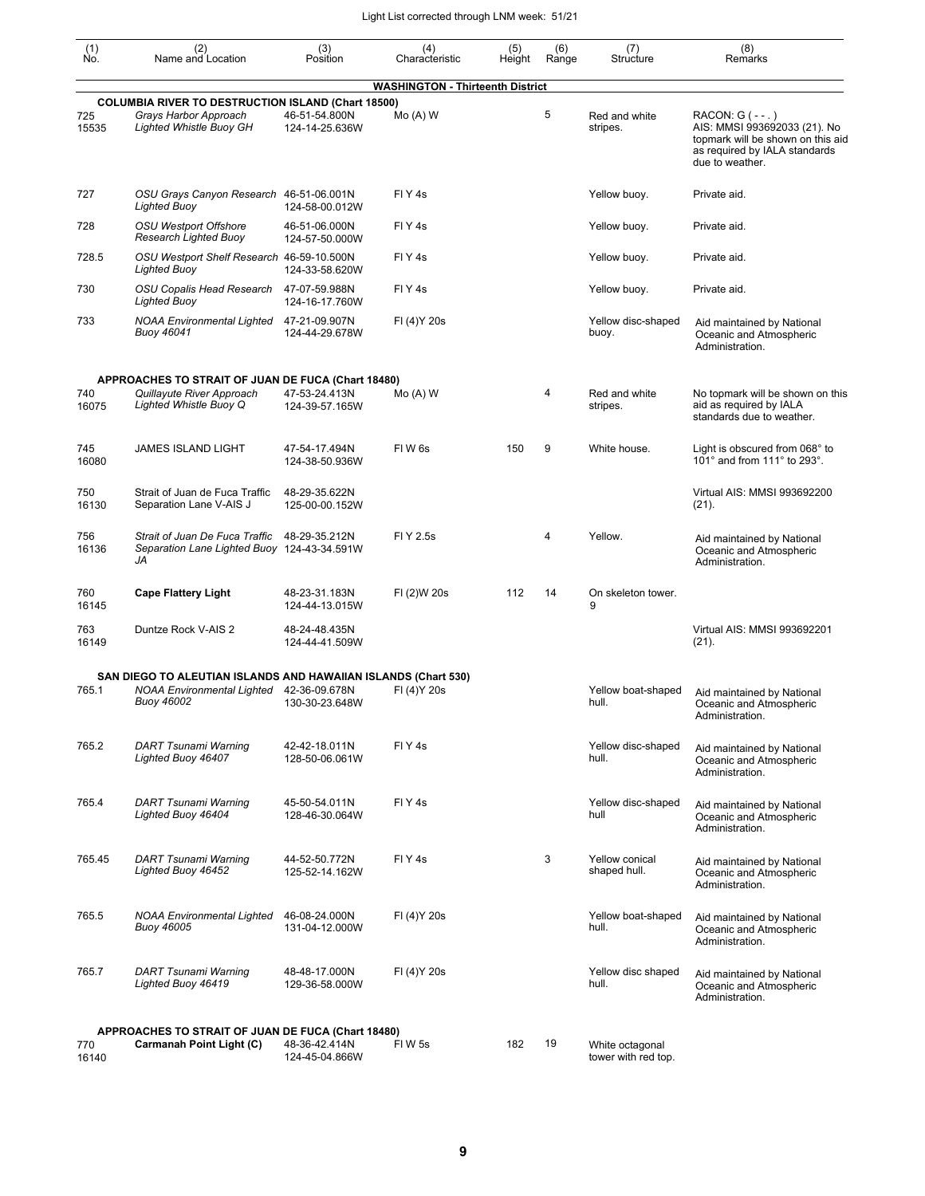| $\begin{smallmatrix} (1) \ N0. \end{smallmatrix}$ | (2)<br>Name and Location                                                                                             | (3)<br>Position                 | (4)<br>Characteristic                   | (5)<br>Height | (6)<br>Range | (7)<br>Structure                       | (8)<br>Remarks                                                                                                                              |
|---------------------------------------------------|----------------------------------------------------------------------------------------------------------------------|---------------------------------|-----------------------------------------|---------------|--------------|----------------------------------------|---------------------------------------------------------------------------------------------------------------------------------------------|
|                                                   |                                                                                                                      |                                 | <b>WASHINGTON - Thirteenth District</b> |               |              |                                        |                                                                                                                                             |
| 725<br>15535                                      | <b>COLUMBIA RIVER TO DESTRUCTION ISLAND (Chart 18500)</b><br>Grays Harbor Approach<br><b>Lighted Whistle Buoy GH</b> | 46-51-54.800N<br>124-14-25.636W | $Mo(A)$ W                               |               | 5            | Red and white<br>stripes.              | RACON: G ( - - . )<br>AIS: MMSI 993692033 (21). No<br>topmark will be shown on this aid<br>as required by IALA standards<br>due to weather. |
| 727                                               | OSU Grays Canyon Research 46-51-06.001N<br><b>Lighted Buoy</b>                                                       | 124-58-00.012W                  | FIY <sub>4s</sub>                       |               |              | Yellow buoy.                           | Private aid.                                                                                                                                |
| 728                                               | <b>OSU Westport Offshore</b><br>Research Lighted Buoy                                                                | 46-51-06.000N<br>124-57-50.000W | FIY <sub>4s</sub>                       |               |              | Yellow buoy.                           | Private aid.                                                                                                                                |
| 728.5                                             | OSU Westport Shelf Research 46-59-10.500N<br><b>Lighted Buoy</b>                                                     | 124-33-58.620W                  | FIY <sub>4s</sub>                       |               |              | Yellow buoy.                           | Private aid.                                                                                                                                |
| 730                                               | OSU Copalis Head Research<br><b>Lighted Buoy</b>                                                                     | 47-07-59.988N<br>124-16-17.760W | FIY <sub>4s</sub>                       |               |              | Yellow buoy.                           | Private aid.                                                                                                                                |
| 733                                               | <b>NOAA Environmental Lighted</b><br><b>Buoy 46041</b>                                                               | 47-21-09.907N<br>124-44-29.678W | FI (4) Y 20s                            |               |              | Yellow disc-shaped<br>buoy.            | Aid maintained by National<br>Oceanic and Atmospheric<br>Administration.                                                                    |
|                                                   | APPROACHES TO STRAIT OF JUAN DE FUCA (Chart 18480)                                                                   |                                 |                                         |               |              |                                        |                                                                                                                                             |
| 740<br>16075                                      | Quillayute River Approach<br>Lighted Whistle Buoy Q                                                                  | 47-53-24.413N<br>124-39-57.165W | $Mo(A)$ W                               |               | 4            | Red and white<br>stripes.              | No topmark will be shown on this<br>aid as required by IALA<br>standards due to weather.                                                    |
| 745<br>16080                                      | <b>JAMES ISLAND LIGHT</b>                                                                                            | 47-54-17.494N<br>124-38-50.936W | FIW <sub>6s</sub>                       | 150           | 9            | White house.                           | Light is obscured from 068° to<br>101° and from 111° to 293°.                                                                               |
| 750<br>16130                                      | Strait of Juan de Fuca Traffic<br>Separation Lane V-AIS J                                                            | 48-29-35.622N<br>125-00-00.152W |                                         |               |              |                                        | Virtual AIS: MMSI 993692200<br>$(21)$ .                                                                                                     |
| 756<br>16136                                      | Strait of Juan De Fuca Traffic<br>Separation Lane Lighted Buoy 124-43-34.591W<br>JA                                  | 48-29-35.212N                   | FI Y 2.5s                               |               | 4            | Yellow.                                | Aid maintained by National<br>Oceanic and Atmospheric<br>Administration.                                                                    |
| 760<br>16145                                      | <b>Cape Flattery Light</b>                                                                                           | 48-23-31.183N<br>124-44-13.015W | FI (2)W 20s                             | 112           | 14           | On skeleton tower.<br>9                |                                                                                                                                             |
| 763<br>16149                                      | Duntze Rock V-AIS 2                                                                                                  | 48-24-48.435N<br>124-44-41.509W |                                         |               |              |                                        | Virtual AIS: MMSI 993692201<br>$(21)$ .                                                                                                     |
|                                                   | SAN DIEGO TO ALEUTIAN ISLANDS AND HAWAIIAN ISLANDS (Chart 530)                                                       |                                 |                                         |               |              |                                        |                                                                                                                                             |
| 765.1                                             | <b>NOAA Environmental Lighted</b><br>Buoy 46002                                                                      | 42-36-09.678N<br>130-30-23.648W | FI (4) Y 20s                            |               |              | Yellow boat-shaped<br>hull.            | Aid maintained by National<br>Oceanic and Atmospheric<br>Administration.                                                                    |
| 765.2                                             | DART Tsunami Warning<br>Lighted Buoy 46407                                                                           | 42-42-18.011N<br>128-50-06.061W | FIY <sub>4s</sub>                       |               |              | Yellow disc-shaped<br>hull.            | Aid maintained by National<br>Oceanic and Atmospheric<br>Administration.                                                                    |
| 765.4                                             | DART Tsunami Warning<br>Lighted Buoy 46404                                                                           | 45-50-54.011N<br>128-46-30.064W | FIY <sub>4s</sub>                       |               |              | Yellow disc-shaped<br>hull             | Aid maintained by National<br>Oceanic and Atmospheric<br>Administration.                                                                    |
| 765.45                                            | DART Tsunami Warning<br>Lighted Buoy 46452                                                                           | 44-52-50.772N<br>125-52-14.162W | FIY <sub>4s</sub>                       |               | 3            | Yellow conical<br>shaped hull.         | Aid maintained by National<br>Oceanic and Atmospheric<br>Administration.                                                                    |
| 765.5                                             | <b>NOAA Environmental Lighted</b><br>Buoy 46005                                                                      | 46-08-24.000N<br>131-04-12.000W | FI (4) Y 20s                            |               |              | Yellow boat-shaped<br>hull.            | Aid maintained by National<br>Oceanic and Atmospheric<br>Administration.                                                                    |
| 765.7                                             | DART Tsunami Warning<br>Lighted Buoy 46419                                                                           | 48-48-17.000N<br>129-36-58.000W | FI (4) Y 20s                            |               |              | Yellow disc shaped<br>hull.            | Aid maintained by National<br>Oceanic and Atmospheric<br>Administration.                                                                    |
|                                                   | APPROACHES TO STRAIT OF JUAN DE FUCA (Chart 18480)                                                                   |                                 |                                         |               |              |                                        |                                                                                                                                             |
| 770<br>16140                                      | Carmanah Point Light (C)                                                                                             | 48-36-42.414N<br>124-45-04.866W | FIW 5s                                  | 182           | 19           | White octagonal<br>tower with red top. |                                                                                                                                             |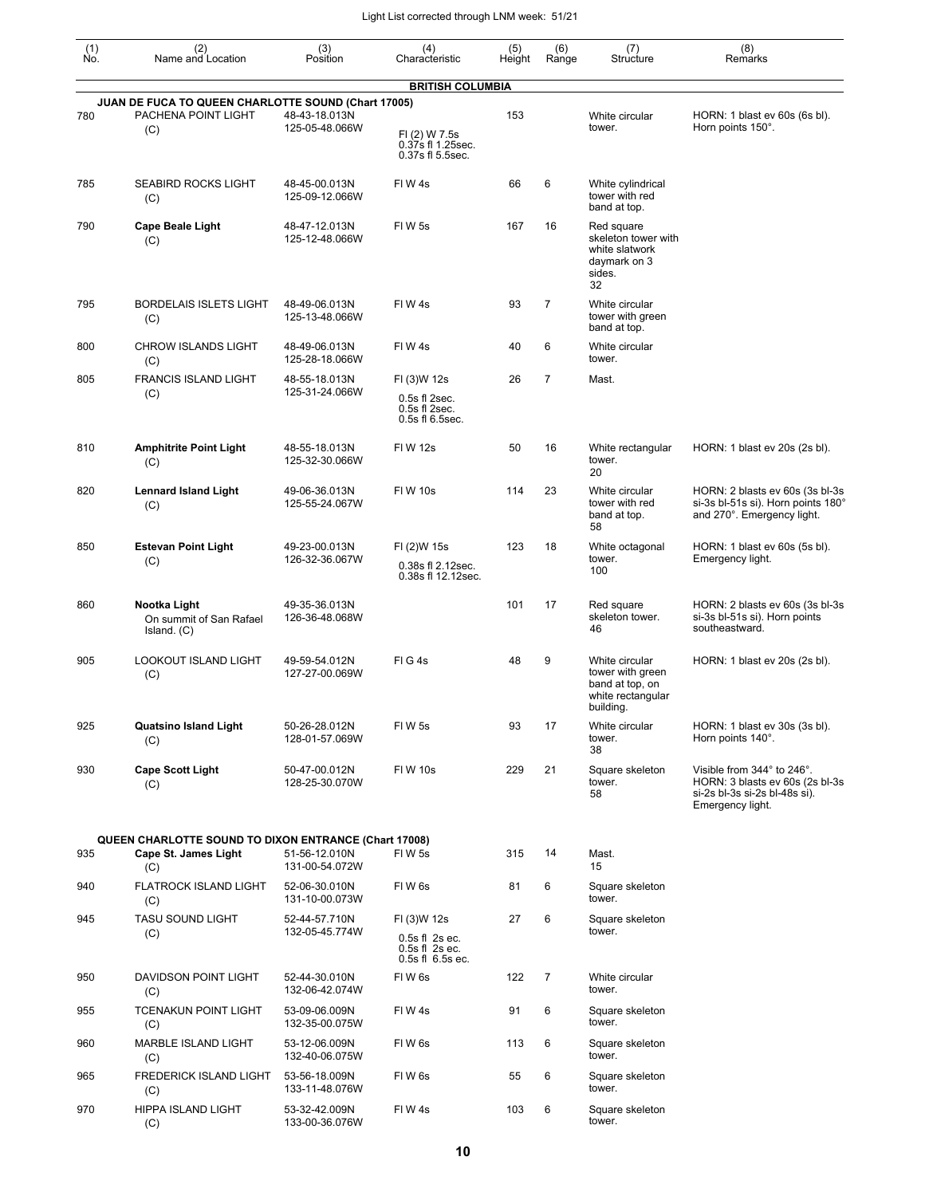| $\begin{smallmatrix} (1) \\ \mathsf{No} \end{smallmatrix}$ | (2)<br>Name and Location                                                             | (3)<br>Position                 | (4)<br>Characteristic                                               | (5)<br>Height | (6)<br>Range   | (7)<br>Structure                                                                        | (8)<br>Remarks                                                                                                     |
|------------------------------------------------------------|--------------------------------------------------------------------------------------|---------------------------------|---------------------------------------------------------------------|---------------|----------------|-----------------------------------------------------------------------------------------|--------------------------------------------------------------------------------------------------------------------|
|                                                            |                                                                                      |                                 | <b>BRITISH COLUMBIA</b>                                             |               |                |                                                                                         |                                                                                                                    |
|                                                            | JUAN DE FUCA TO QUEEN CHARLOTTE SOUND (Chart 17005)                                  |                                 |                                                                     |               |                |                                                                                         |                                                                                                                    |
| 780                                                        | PACHENA POINT LIGHT<br>(C)                                                           | 48-43-18.013N<br>125-05-48.066W | FI (2) W 7.5s<br>0.37s fl 1.25sec.<br>0.37s fl 5.5sec.              | 153           |                | White circular<br>tower.                                                                | HORN: 1 blast ev 60s (6s bl).<br>Horn points 150°.                                                                 |
| 785                                                        | <b>SEABIRD ROCKS LIGHT</b><br>(C)                                                    | 48-45-00.013N<br>125-09-12.066W | FIW 4s                                                              | 66            | 6              | White cylindrical<br>tower with red<br>band at top.                                     |                                                                                                                    |
| 790                                                        | <b>Cape Beale Light</b><br>(C)                                                       | 48-47-12.013N<br>125-12-48.066W | FIW 5s                                                              | 167           | 16             | Red square<br>skeleton tower with<br>white slatwork<br>daymark on 3<br>sides.<br>32     |                                                                                                                    |
| 795                                                        | <b>BORDELAIS ISLETS LIGHT</b><br>(C)                                                 | 48-49-06.013N<br>125-13-48.066W | FIW4s                                                               | 93            | $\overline{7}$ | White circular<br>tower with green<br>band at top.                                      |                                                                                                                    |
| 800                                                        | <b>CHROW ISLANDS LIGHT</b><br>(C)                                                    | 48-49-06.013N<br>125-28-18.066W | FIW 4s                                                              | 40            | 6              | White circular<br>tower.                                                                |                                                                                                                    |
| 805                                                        | <b>FRANCIS ISLAND LIGHT</b><br>(C)                                                   | 48-55-18.013N<br>125-31-24.066W | FI (3)W 12s<br>0.5s fl 2sec.<br>0.5s fl 2sec.<br>0.5s fl 6.5sec.    | 26            | $\overline{7}$ | Mast.                                                                                   |                                                                                                                    |
| 810                                                        | <b>Amphitrite Point Light</b><br>(C)                                                 | 48-55-18.013N<br>125-32-30.066W | <b>FIW 12s</b>                                                      | 50            | 16             | White rectangular<br>tower.<br>20                                                       | HORN: 1 blast ev 20s (2s bl).                                                                                      |
| 820                                                        | <b>Lennard Island Light</b><br>(C)                                                   | 49-06-36.013N<br>125-55-24.067W | <b>FIW 10s</b>                                                      | 114           | 23             | White circular<br>tower with red<br>band at top.<br>58                                  | HORN: 2 blasts ev 60s (3s bl-3s<br>si-3s bl-51s si). Horn points 180°<br>and 270°. Emergency light.                |
| 850                                                        | <b>Estevan Point Light</b><br>(C)                                                    | 49-23-00.013N<br>126-32-36.067W | FI (2)W 15s<br>0.38s fl 2.12sec.<br>0.38s fl 12.12sec.              | 123           | 18             | White octagonal<br>tower.<br>100                                                        | HORN: 1 blast ev 60s (5s bl).<br>Emergency light.                                                                  |
| 860                                                        | Nootka Light<br>On summit of San Rafael<br>Island. (C)                               | 49-35-36.013N<br>126-36-48.068W |                                                                     | 101           | 17             | Red square<br>skeleton tower.<br>46                                                     | HORN: 2 blasts ev 60s (3s bl-3s<br>si-3s bl-51s si). Horn points<br>southeastward.                                 |
| 905                                                        | <b>LOOKOUT ISLAND LIGHT</b><br>(C)                                                   | 49-59-54.012N<br>127-27-00.069W | FIG4s                                                               | 48            | 9              | White circular<br>tower with green<br>band at top, on<br>white rectangular<br>building. | HORN: 1 blast ev 20s (2s bl).                                                                                      |
| 925                                                        | <b>Quatsino Island Light</b><br>(C)                                                  | 50-26-28.012N<br>128-01-57.069W | FIW <sub>5s</sub>                                                   | 93            | 17             | White circular<br>tower.<br>38                                                          | HORN: 1 blast ev 30s (3s bl).<br>Horn points 140°.                                                                 |
| 930                                                        | <b>Cape Scott Light</b><br>(C)                                                       | 50-47-00.012N<br>128-25-30.070W | <b>FIW 10s</b>                                                      | 229           | 21             | Square skeleton<br>tower.<br>58                                                         | Visible from 344° to 246°.<br>HORN: 3 blasts ev 60s (2s bl-3s<br>si-2s bl-3s si-2s bl-48s si).<br>Emergency light. |
| 935                                                        | QUEEN CHARLOTTE SOUND TO DIXON ENTRANCE (Chart 17008)<br>Cape St. James Light<br>(C) | 51-56-12.010N<br>131-00-54.072W | FIW 5s                                                              | 315           | 14             | Mast.<br>15                                                                             |                                                                                                                    |
| 940                                                        | <b>FLATROCK ISLAND LIGHT</b><br>(C)                                                  | 52-06-30.010N<br>131-10-00.073W | FIW6s                                                               | 81            | 6              | Square skeleton<br>tower.                                                               |                                                                                                                    |
| 945                                                        | TASU SOUND LIGHT<br>(C)                                                              | 52-44-57.710N<br>132-05-45.774W | FI (3)W 12s<br>0.5s fl 2s ec.<br>0.5s fl 2s ec.<br>0.5s fl 6.5s ec. | 27            | 6              | Square skeleton<br>tower.                                                               |                                                                                                                    |
| 950                                                        | DAVIDSON POINT LIGHT<br>(C)                                                          | 52-44-30.010N<br>132-06-42.074W | FIW <sub>6s</sub>                                                   | 122           | $\overline{7}$ | White circular<br>tower.                                                                |                                                                                                                    |
| 955                                                        | <b>TCENAKUN POINT LIGHT</b><br>(C)                                                   | 53-09-06.009N<br>132-35-00.075W | FIW4s                                                               | 91            | 6              | Square skeleton<br>tower.                                                               |                                                                                                                    |
| 960                                                        | MARBLE ISLAND LIGHT<br>(C)                                                           | 53-12-06.009N<br>132-40-06.075W | FIW6s                                                               | 113           | 6              | Square skeleton<br>tower.                                                               |                                                                                                                    |
| 965                                                        | FREDERICK ISLAND LIGHT<br>(C)                                                        | 53-56-18.009N<br>133-11-48.076W | FIW6s                                                               | 55            | 6              | Square skeleton<br>tower.                                                               |                                                                                                                    |
| 970                                                        | HIPPA ISLAND LIGHT<br>(C)                                                            | 53-32-42.009N<br>133-00-36.076W | FIW4s                                                               | 103           | 6              | Square skeleton<br>tower.                                                               |                                                                                                                    |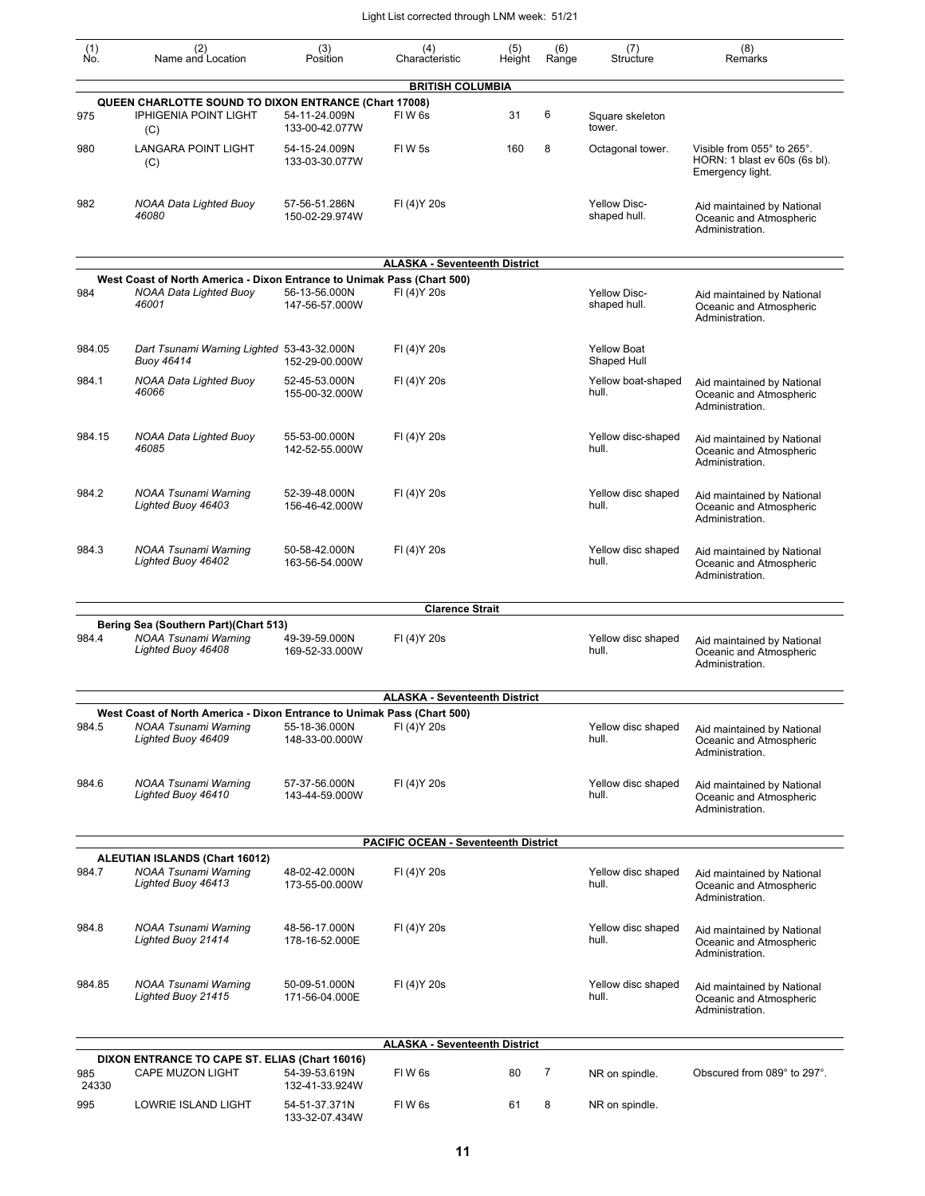| $\begin{smallmatrix} (1) \\ \mathsf{No} \end{smallmatrix}$ | (2)<br>Name and Location                                                                        | (3)<br>Position                 | (4)<br>Characteristic                       | (5)<br>Height | (6)<br>Range | (7)<br>Structure                    | (8)<br>Remarks                                                                  |
|------------------------------------------------------------|-------------------------------------------------------------------------------------------------|---------------------------------|---------------------------------------------|---------------|--------------|-------------------------------------|---------------------------------------------------------------------------------|
|                                                            |                                                                                                 |                                 | <b>BRITISH COLUMBIA</b>                     |               |              |                                     |                                                                                 |
|                                                            | QUEEN CHARLOTTE SOUND TO DIXON ENTRANCE (Chart 17008)                                           |                                 | FIW <sub>6s</sub>                           | 31            | 6            |                                     |                                                                                 |
| 975                                                        | <b>IPHIGENIA POINT LIGHT</b><br>(C)                                                             | 54-11-24.009N<br>133-00-42.077W |                                             |               |              | Square skeleton<br>tower.           |                                                                                 |
| 980                                                        | <b>LANGARA POINT LIGHT</b><br>(C)                                                               | 54-15-24.009N<br>133-03-30.077W | FIW 5s                                      | 160           | 8            | Octagonal tower.                    | Visible from 055° to 265°.<br>HORN: 1 blast ev 60s (6s bl).<br>Emergency light. |
| 982                                                        | NOAA Data Lighted Buoy<br>46080                                                                 | 57-56-51.286N<br>150-02-29.974W | FI (4) Y 20s                                |               |              | <b>Yellow Disc-</b><br>shaped hull. | Aid maintained by National<br>Oceanic and Atmospheric<br>Administration.        |
|                                                            |                                                                                                 |                                 | <b>ALASKA - Seventeenth District</b>        |               |              |                                     |                                                                                 |
|                                                            | West Coast of North America - Dixon Entrance to Unimak Pass (Chart 500)                         |                                 |                                             |               |              |                                     |                                                                                 |
| 984                                                        | NOAA Data Lighted Buoy<br>46001                                                                 | 56-13-56.000N<br>147-56-57.000W | FI (4) Y 20s                                |               |              | <b>Yellow Disc-</b><br>shaped hull. | Aid maintained by National<br>Oceanic and Atmospheric<br>Administration.        |
| 984.05                                                     | Dart Tsunami Warning Lighted 53-43-32.000N<br><b>Buoy 46414</b>                                 | 152-29-00.000W                  | FI (4) Y 20s                                |               |              | <b>Yellow Boat</b><br>Shaped Hull   |                                                                                 |
| 984.1                                                      | <b>NOAA Data Lighted Buoy</b><br>46066                                                          | 52-45-53.000N<br>155-00-32.000W | FI (4) Y 20s                                |               |              | Yellow boat-shaped<br>hull.         | Aid maintained by National<br>Oceanic and Atmospheric<br>Administration.        |
| 984.15                                                     | <b>NOAA Data Lighted Buoy</b><br>46085                                                          | 55-53-00.000N<br>142-52-55.000W | FI (4) Y 20s                                |               |              | Yellow disc-shaped<br>hull.         | Aid maintained by National<br>Oceanic and Atmospheric<br>Administration.        |
| 984.2                                                      | NOAA Tsunami Warning<br>Lighted Buoy 46403                                                      | 52-39-48.000N<br>156-46-42.000W | FI (4) Y 20s                                |               |              | Yellow disc shaped<br>hull.         | Aid maintained by National<br>Oceanic and Atmospheric<br>Administration.        |
| 984.3                                                      | <b>NOAA Tsunami Warning</b><br>Lighted Buoy 46402                                               | 50-58-42.000N<br>163-56-54.000W | FI (4) Y 20s                                |               |              | Yellow disc shaped<br>hull.         | Aid maintained by National<br>Oceanic and Atmospheric<br>Administration.        |
|                                                            |                                                                                                 |                                 | <b>Clarence Strait</b>                      |               |              |                                     |                                                                                 |
|                                                            | Bering Sea (Southern Part)(Chart 513)                                                           |                                 |                                             |               |              |                                     |                                                                                 |
| 984.4                                                      | NOAA Tsunami Warning<br>Lighted Buoy 46408                                                      | 49-39-59.000N<br>169-52-33.000W | FI (4) Y 20s                                |               |              | Yellow disc shaped<br>hull.         | Aid maintained by National<br>Oceanic and Atmospheric<br>Administration.        |
|                                                            |                                                                                                 |                                 | <b>ALASKA - Seventeenth District</b>        |               |              |                                     |                                                                                 |
| 984.5                                                      | West Coast of North America - Dixon Entrance to Unimak Pass (Chart 500)<br>NOAA Tsunami Warning | 55-18-36.000N                   | FI (4) Y 20s                                |               |              |                                     |                                                                                 |
|                                                            | Lighted Buoy 46409                                                                              | 148-33-00.000W                  |                                             |               |              | Yellow disc shaped<br>hull.         | Aid maintained by National<br>Oceanic and Atmospheric<br>Administration.        |
| 984.6                                                      | <b>NOAA Tsunami Warning</b><br>Lighted Buoy 46410                                               | 57-37-56.000N<br>143-44-59.000W | FI (4) Y 20s                                |               |              | Yellow disc shaped<br>hull.         | Aid maintained by National<br>Oceanic and Atmospheric<br>Administration.        |
|                                                            |                                                                                                 |                                 | <b>PACIFIC OCEAN - Seventeenth District</b> |               |              |                                     |                                                                                 |
|                                                            | <b>ALEUTIAN ISLANDS (Chart 16012)</b>                                                           |                                 |                                             |               |              |                                     |                                                                                 |
| 984.7                                                      | NOAA Tsunami Warning<br>Lighted Buoy 46413                                                      | 48-02-42.000N<br>173-55-00.000W | FI (4) Y 20s                                |               |              | Yellow disc shaped<br>hull.         | Aid maintained by National<br>Oceanic and Atmospheric<br>Administration.        |
| 984.8                                                      | <b>NOAA Tsunami Warning</b><br>Lighted Buoy 21414                                               | 48-56-17.000N<br>178-16-52.000E | FI (4) Y 20s                                |               |              | Yellow disc shaped<br>hull.         | Aid maintained by National<br>Oceanic and Atmospheric<br>Administration.        |
| 984.85                                                     | <b>NOAA Tsunami Warning</b><br>Lighted Buoy 21415                                               | 50-09-51.000N<br>171-56-04.000E | FI (4) Y 20s                                |               |              | Yellow disc shaped<br>hull.         | Aid maintained by National<br>Oceanic and Atmospheric<br>Administration.        |
|                                                            |                                                                                                 |                                 |                                             |               |              |                                     |                                                                                 |
|                                                            |                                                                                                 |                                 | <b>ALASKA - Seventeenth District</b>        |               |              |                                     |                                                                                 |
| 985                                                        | DIXON ENTRANCE TO CAPE ST. ELIAS (Chart 16016)<br><b>CAPE MUZON LIGHT</b>                       | 54-39-53.619N                   | FIW <sub>6s</sub>                           | 80            | 7            | NR on spindle.                      | Obscured from 089° to 297°.                                                     |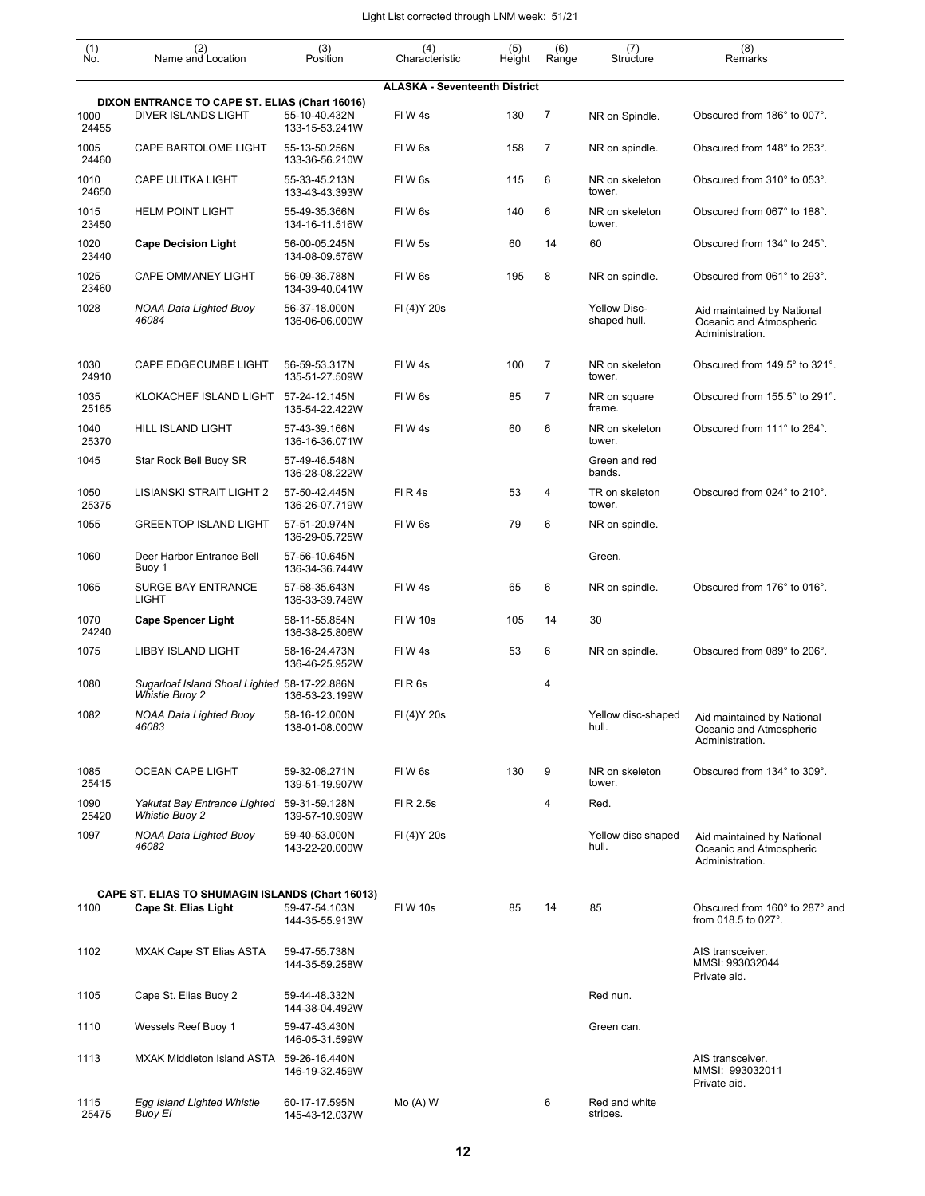| $\begin{smallmatrix} (1) \\ \mathsf{No} \end{smallmatrix}$ | (2)<br>Name and Location                                              | (3)<br>Position                 | (4)<br>Characteristic                | (5)<br>Height | (6)<br>Range   | (7)<br>Structure                    | (8)<br>Remarks                                                           |
|------------------------------------------------------------|-----------------------------------------------------------------------|---------------------------------|--------------------------------------|---------------|----------------|-------------------------------------|--------------------------------------------------------------------------|
|                                                            |                                                                       |                                 | <b>ALASKA - Seventeenth District</b> |               |                |                                     |                                                                          |
|                                                            | DIXON ENTRANCE TO CAPE ST. ELIAS (Chart 16016)                        |                                 |                                      |               |                |                                     |                                                                          |
| 1000<br>24455                                              | DIVER ISLANDS LIGHT                                                   | 55-10-40.432N<br>133-15-53.241W | FIW4s                                | 130           | 7              | NR on Spindle.                      | Obscured from 186° to 007°.                                              |
| 1005<br>24460                                              | CAPE BARTOLOME LIGHT                                                  | 55-13-50.256N<br>133-36-56.210W | FIW <sub>6s</sub>                    | 158           | $\overline{7}$ | NR on spindle.                      | Obscured from 148° to 263°.                                              |
| 1010<br>24650                                              | <b>CAPE ULITKA LIGHT</b>                                              | 55-33-45.213N<br>133-43-43.393W | FIW <sub>6s</sub>                    | 115           | 6              | NR on skeleton<br>tower.            | Obscured from 310° to 053°.                                              |
| 1015<br>23450                                              | <b>HELM POINT LIGHT</b>                                               | 55-49-35.366N<br>134-16-11.516W | FIW <sub>6s</sub>                    | 140           | 6              | NR on skeleton<br>tower.            | Obscured from 067° to 188°.                                              |
| 1020<br>23440                                              | <b>Cape Decision Light</b>                                            | 56-00-05.245N<br>134-08-09.576W | FIW 5s                               | 60            | 14             | 60                                  | Obscured from 134° to 245°.                                              |
| 1025<br>23460                                              | <b>CAPE OMMANEY LIGHT</b>                                             | 56-09-36.788N<br>134-39-40.041W | FIW <sub>6s</sub>                    | 195           | 8              | NR on spindle.                      | Obscured from 061° to 293°.                                              |
| 1028                                                       | NOAA Data Lighted Buoy<br>46084                                       | 56-37-18.000N<br>136-06-06.000W | FI (4) Y 20s                         |               |                | <b>Yellow Disc-</b><br>shaped hull. | Aid maintained by National<br>Oceanic and Atmospheric<br>Administration. |
| 1030<br>24910                                              | <b>CAPE EDGECUMBE LIGHT</b>                                           | 56-59-53.317N<br>135-51-27.509W | FIW4s                                | 100           | $\overline{7}$ | NR on skeleton<br>tower.            | Obscured from 149.5° to 321°.                                            |
| 1035<br>25165                                              | KLOKACHEF ISLAND LIGHT                                                | 57-24-12.145N<br>135-54-22.422W | FIW <sub>6s</sub>                    | 85            | $\overline{7}$ | NR on square<br>frame.              | Obscured from 155.5° to 291°.                                            |
| 1040<br>25370                                              | HILL ISLAND LIGHT                                                     | 57-43-39.166N<br>136-16-36.071W | FIW4s                                | 60            | 6              | NR on skeleton<br>tower.            | Obscured from 111° to 264°.                                              |
| 1045                                                       | Star Rock Bell Buoy SR                                                | 57-49-46.548N<br>136-28-08.222W |                                      |               |                | Green and red<br>bands.             |                                                                          |
| 1050<br>25375                                              | LISIANSKI STRAIT LIGHT 2                                              | 57-50-42.445N<br>136-26-07.719W | FIR4s                                | 53            | 4              | TR on skeleton<br>tower.            | Obscured from 024° to 210°.                                              |
| 1055                                                       | <b>GREENTOP ISLAND LIGHT</b>                                          | 57-51-20.974N<br>136-29-05.725W | FIW6s                                | 79            | 6              | NR on spindle.                      |                                                                          |
| 1060                                                       | Deer Harbor Entrance Bell<br>Buoy 1                                   | 57-56-10.645N<br>136-34-36.744W |                                      |               |                | Green.                              |                                                                          |
| 1065                                                       | <b>SURGE BAY ENTRANCE</b><br><b>LIGHT</b>                             | 57-58-35.643N<br>136-33-39.746W | FIW4s                                | 65            | 6              | NR on spindle.                      | Obscured from 176° to 016°.                                              |
| 1070<br>24240                                              | <b>Cape Spencer Light</b>                                             | 58-11-55.854N<br>136-38-25.806W | <b>FIW 10s</b>                       | 105           | 14             | 30                                  |                                                                          |
| 1075                                                       | <b>LIBBY ISLAND LIGHT</b>                                             | 58-16-24.473N<br>136-46-25.952W | FIW4s                                | 53            | 6              | NR on spindle.                      | Obscured from 089° to 206°.                                              |
| 1080                                                       | Sugarloaf Island Shoal Lighted 58-17-22.886N<br><b>Whistle Buoy 2</b> | 136-53-23.199W                  | FIR <sub>6s</sub>                    |               | 4              |                                     |                                                                          |
| 1082                                                       | NOAA Data Lighted Buoy<br>46083                                       | 58-16-12.000N<br>138-01-08.000W | FI (4) Y 20s                         |               |                | Yellow disc-shaped<br>hull.         | Aid maintained by National<br>Oceanic and Atmospheric<br>Administration. |
| 1085<br>25415                                              | OCEAN CAPE LIGHT                                                      | 59-32-08.271N<br>139-51-19.907W | FIW6s                                | 130           | 9              | NR on skeleton<br>tower.            | Obscured from 134° to 309°.                                              |
| 1090<br>25420                                              | Yakutat Bay Entrance Lighted<br><b>Whistle Buoy 2</b>                 | 59-31-59.128N<br>139-57-10.909W | FI R 2.5s                            |               | 4              | Red.                                |                                                                          |
| 1097                                                       | <b>NOAA Data Lighted Buoy</b><br>46082                                | 59-40-53.000N<br>143-22-20.000W | FI (4) Y 20s                         |               |                | Yellow disc shaped<br>hull.         | Aid maintained by National<br>Oceanic and Atmospheric<br>Administration. |
|                                                            | CAPE ST. ELIAS TO SHUMAGIN ISLANDS (Chart 16013)                      |                                 |                                      |               |                |                                     |                                                                          |
| 1100                                                       | Cape St. Elias Light                                                  | 59-47-54.103N<br>144-35-55.913W | <b>FIW 10s</b>                       | 85            | 14             | 85                                  | Obscured from 160° to 287° and<br>from 018.5 to 027°.                    |
| 1102                                                       | <b>MXAK Cape ST Elias ASTA</b>                                        | 59-47-55.738N<br>144-35-59.258W |                                      |               |                |                                     | AIS transceiver.<br>MMSI: 993032044<br>Private aid.                      |
| 1105                                                       | Cape St. Elias Buoy 2                                                 | 59-44-48.332N<br>144-38-04.492W |                                      |               |                | Red nun.                            |                                                                          |
| 1110                                                       | Wessels Reef Buoy 1                                                   | 59-47-43.430N<br>146-05-31.599W |                                      |               |                | Green can.                          |                                                                          |
| 1113                                                       | MXAK Middleton Island ASTA 59-26-16.440N                              | 146-19-32.459W                  |                                      |               |                |                                     | AIS transceiver.<br>MMSI: 993032011<br>Private aid.                      |
| 1115<br>25475                                              | Egg Island Lighted Whistle<br><b>Buoy El</b>                          | 60-17-17.595N<br>145-43-12.037W | $Mo(A)$ W                            |               | 6              | Red and white<br>stripes.           |                                                                          |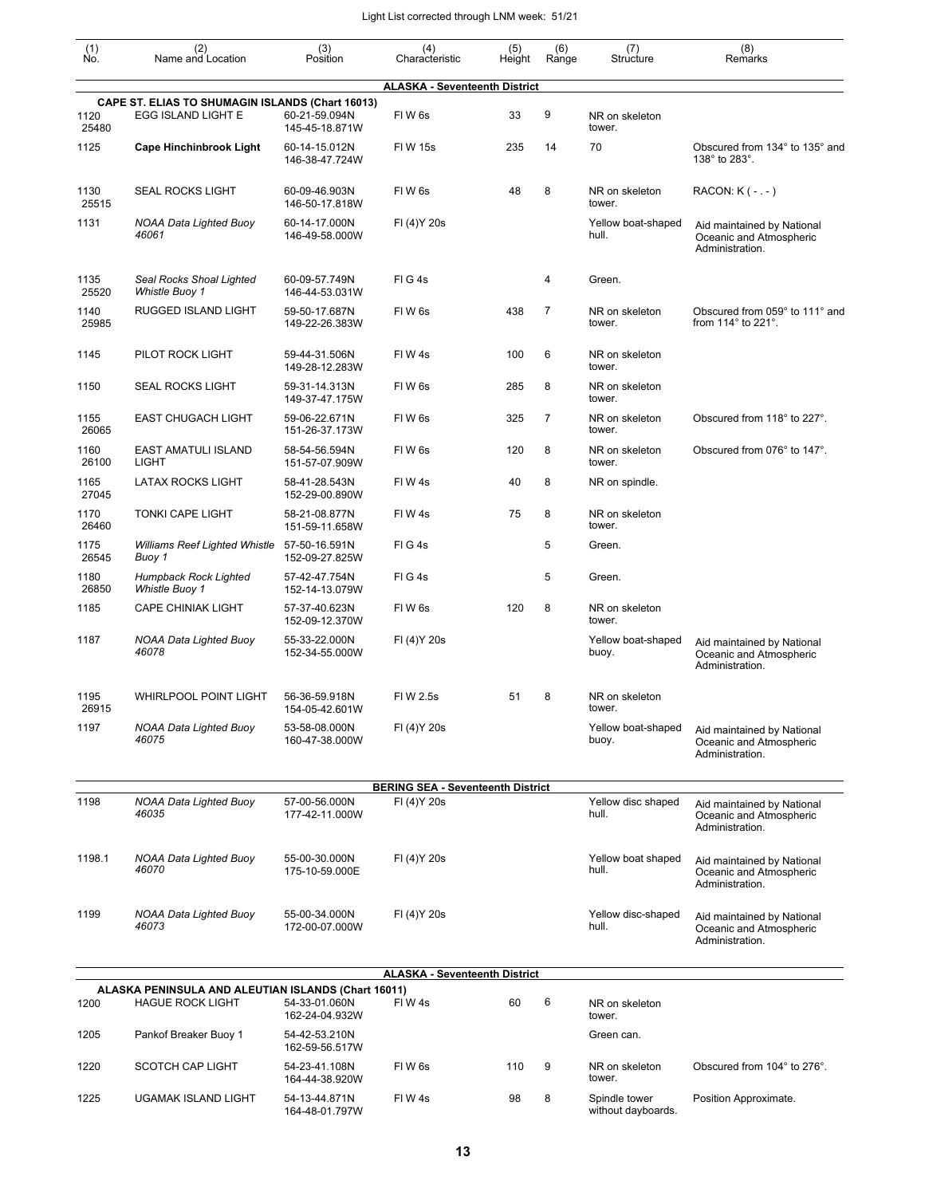| (1)<br>No.    | (2)<br>Name and Location                                                       | (3)<br>Position                                   | (4)<br>Characteristic                    | (5)<br>Height | (6)<br>Range   | (7)<br>Structure                    | (8)<br>Remarks                                                           |
|---------------|--------------------------------------------------------------------------------|---------------------------------------------------|------------------------------------------|---------------|----------------|-------------------------------------|--------------------------------------------------------------------------|
|               |                                                                                |                                                   | <b>ALASKA - Seventeenth District</b>     |               |                |                                     |                                                                          |
| 1120<br>25480 | CAPE ST. ELIAS TO SHUMAGIN ISLANDS (Chart 16013)<br>EGG ISLAND LIGHT E         | 60-21-59.094N<br>145-45-18.871W                   | FIW <sub>6s</sub>                        | 33            | 9              | NR on skeleton<br>tower.            |                                                                          |
| 1125          | <b>Cape Hinchinbrook Light</b>                                                 | 60-14-15.012N<br>146-38-47.724W                   | <b>FIW 15s</b>                           | 235           | 14             | 70                                  | Obscured from 134° to 135° and<br>138° to 283°.                          |
| 1130<br>25515 | <b>SEAL ROCKS LIGHT</b>                                                        | 60-09-46.903N<br>146-50-17.818W                   | FIW <sub>6s</sub>                        | 48            | 8              | NR on skeleton<br>tower.            | RACON: K ( - . - )                                                       |
| 1131          | <b>NOAA Data Lighted Buoy</b><br>46061                                         | 60-14-17.000N<br>146-49-58.000W                   | FI (4) Y 20s                             |               |                | Yellow boat-shaped<br>hull.         | Aid maintained by National<br>Oceanic and Atmospheric<br>Administration. |
| 1135<br>25520 | Seal Rocks Shoal Lighted<br><b>Whistle Buoy 1</b>                              | 60-09-57.749N<br>146-44-53.031W                   | FIG4s                                    |               | 4              | Green.                              |                                                                          |
| 1140<br>25985 | RUGGED ISLAND LIGHT                                                            | 59-50-17.687N<br>149-22-26.383W                   | FIW <sub>6s</sub>                        | 438           | $\overline{7}$ | NR on skeleton<br>tower.            | Obscured from 059° to 111° and<br>from $114^\circ$ to $221^\circ$ .      |
| 1145          | PILOT ROCK LIGHT                                                               | 59-44-31.506N<br>149-28-12.283W                   | FIW 4s                                   | 100           | 6              | NR on skeleton<br>tower.            |                                                                          |
| 1150          | <b>SEAL ROCKS LIGHT</b>                                                        | 59-31-14.313N<br>149-37-47.175W                   | FIW <sub>6s</sub>                        | 285           | 8              | NR on skeleton<br>tower.            |                                                                          |
| 1155<br>26065 | <b>EAST CHUGACH LIGHT</b>                                                      | 59-06-22.671N<br>151-26-37.173W                   | FIW <sub>6s</sub>                        | 325           | $\overline{7}$ | NR on skeleton<br>tower.            | Obscured from 118° to 227°.                                              |
| 1160<br>26100 | <b>EAST AMATULI ISLAND</b><br><b>LIGHT</b>                                     | 58-54-56.594N<br>151-57-07.909W                   | FIW <sub>6s</sub>                        | 120           | 8              | NR on skeleton<br>tower.            | Obscured from 076° to 147°.                                              |
| 1165<br>27045 | <b>LATAX ROCKS LIGHT</b>                                                       | 58-41-28.543N<br>152-29-00.890W                   | FIW 4s                                   | 40            | 8              | NR on spindle.                      |                                                                          |
| 1170<br>26460 | <b>TONKI CAPE LIGHT</b>                                                        | 58-21-08.877N<br>151-59-11.658W                   | FIW 4s                                   | 75            | 8              | NR on skeleton<br>tower.            |                                                                          |
| 1175<br>26545 | <b>Williams Reef Lighted Whistle</b><br>Buoy 1                                 | 57-50-16.591N<br>152-09-27.825W                   | FIG4s                                    |               | 5              | Green.                              |                                                                          |
| 1180<br>26850 | Humpback Rock Lighted<br>Whistle Buoy 1                                        | 57-42-47.754N<br>152-14-13.079W                   | FIG4s                                    |               | 5              | Green.                              |                                                                          |
| 1185          | <b>CAPE CHINIAK LIGHT</b>                                                      | 57-37-40.623N<br>152-09-12.370W                   | FIW <sub>6s</sub>                        | 120           | 8              | NR on skeleton<br>tower.            |                                                                          |
| 1187          | <b>NOAA Data Lighted Buoy</b><br>46078                                         | 55-33-22.000N<br>152-34-55.000W                   | FI (4) Y 20s                             |               |                | Yellow boat-shaped<br>buoy.         | Aid maintained by National<br>Oceanic and Atmospheric<br>Administration. |
| 1195<br>26915 | <b>WHIRLPOOL POINT LIGHT</b>                                                   | 56-36-59.918N<br>154-05-42.601W                   | FI W 2.5s                                | 51            | 8              | NR on skeleton<br>tower.            |                                                                          |
| 1197          | NOAA Data Lighted Buoy<br>46075                                                | 53-58-08.000N<br>160-47-38.000W                   | FI (4) Y 20s                             |               |                | Yellow boat-shaped<br>buoy.         | Aid maintained by National<br>Oceanic and Atmospheric<br>Administration. |
|               |                                                                                |                                                   | <b>BERING SEA - Seventeenth District</b> |               |                |                                     |                                                                          |
| 1198          | <b>NOAA Data Lighted Buoy</b><br>46035                                         | 57-00-56.000N<br>177-42-11.000W                   | FI (4) Y 20s                             |               |                | Yellow disc shaped<br>hull.         | Aid maintained by National<br>Oceanic and Atmospheric<br>Administration. |
| 1198.1        | <b>NOAA Data Lighted Buoy</b><br>46070                                         | 55-00-30.000N<br>175-10-59.000E                   | FI (4) Y 20s                             |               |                | Yellow boat shaped<br>hull.         | Aid maintained by National<br>Oceanic and Atmospheric<br>Administration. |
| 1199          | NOAA Data Lighted Buoy<br>46073                                                | 55-00-34.000N<br>172-00-07.000W                   | FI (4) Y 20s                             |               |                | Yellow disc-shaped<br>hull.         | Aid maintained by National<br>Oceanic and Atmospheric<br>Administration. |
|               |                                                                                |                                                   | <b>ALASKA - Seventeenth District</b>     |               |                |                                     |                                                                          |
| 1200          | ALASKA PENINSULA AND ALEUTIAN ISLANDS (Chart 16011)<br><b>HAGUE ROCK LIGHT</b> | 54-33-01.060N                                     | FIW4s                                    | 60            | 6              | NR on skeleton                      |                                                                          |
| 1205          | Pankof Breaker Buoy 1                                                          | 162-24-04.932W<br>54-42-53.210N<br>162-59-56.517W |                                          |               |                | tower.<br>Green can.                |                                                                          |
| 1220          | SCOTCH CAP LIGHT                                                               | 54-23-41.108N<br>164-44-38.920W                   | FIW <sub>6s</sub>                        | 110           | 9              | NR on skeleton<br>tower.            | Obscured from 104° to 276°.                                              |
| 1225          | UGAMAK ISLAND LIGHT                                                            | 54-13-44.871N<br>164-48-01.797W                   | FIW4s                                    | 98            | 8              | Spindle tower<br>without dayboards. | Position Approximate.                                                    |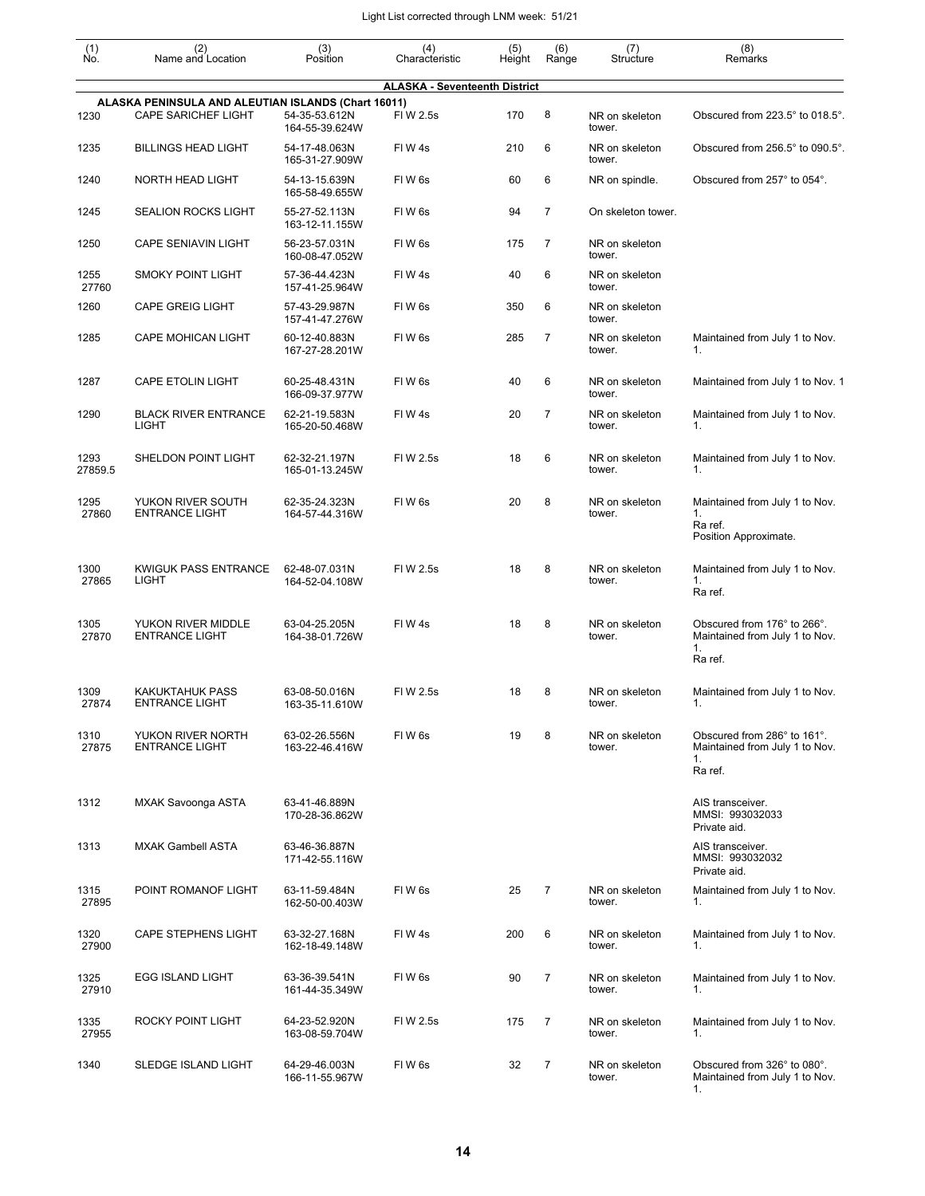| $\begin{smallmatrix} (1) \\ \mathsf{No} \end{smallmatrix}$ | (2)<br>Name and Location                                                          | (3)<br>Position                 | (4)                                  | (5)    | (6)            | (7)<br>Structure         | (8)<br>Remarks                                                                 |
|------------------------------------------------------------|-----------------------------------------------------------------------------------|---------------------------------|--------------------------------------|--------|----------------|--------------------------|--------------------------------------------------------------------------------|
|                                                            |                                                                                   |                                 | Characteristic                       | Height | Range          |                          |                                                                                |
|                                                            |                                                                                   |                                 | <b>ALASKA - Seventeenth District</b> |        |                |                          |                                                                                |
| 1230                                                       | ALASKA PENINSULA AND ALEUTIAN ISLANDS (Chart 16011)<br><b>CAPE SARICHEF LIGHT</b> | 54-35-53.612N<br>164-55-39.624W | FIW 2.5s                             | 170    | 8              | NR on skeleton<br>tower. | Obscured from 223.5° to 018.5°.                                                |
| 1235                                                       | <b>BILLINGS HEAD LIGHT</b>                                                        | 54-17-48.063N<br>165-31-27.909W | FIW4s                                | 210    | 6              | NR on skeleton<br>tower. | Obscured from 256.5° to 090.5°.                                                |
| 1240                                                       | NORTH HEAD LIGHT                                                                  | 54-13-15.639N<br>165-58-49.655W | FIW <sub>6s</sub>                    | 60     | 6              | NR on spindle.           | Obscured from 257° to 054°.                                                    |
| 1245                                                       | <b>SEALION ROCKS LIGHT</b>                                                        | 55-27-52.113N<br>163-12-11.155W | FIW <sub>6s</sub>                    | 94     | $\overline{7}$ | On skeleton tower.       |                                                                                |
| 1250                                                       | <b>CAPE SENIAVIN LIGHT</b>                                                        | 56-23-57.031N<br>160-08-47.052W | FIW <sub>6s</sub>                    | 175    | $\overline{7}$ | NR on skeleton<br>tower. |                                                                                |
| 1255<br>27760                                              | <b>SMOKY POINT LIGHT</b>                                                          | 57-36-44.423N<br>157-41-25.964W | FIW4s                                | 40     | 6              | NR on skeleton<br>tower. |                                                                                |
| 1260                                                       | <b>CAPE GREIG LIGHT</b>                                                           | 57-43-29.987N<br>157-41-47.276W | FIW <sub>6s</sub>                    | 350    | 6              | NR on skeleton<br>tower. |                                                                                |
| 1285                                                       | <b>CAPE MOHICAN LIGHT</b>                                                         | 60-12-40.883N<br>167-27-28.201W | FIW <sub>6s</sub>                    | 285    | 7              | NR on skeleton<br>tower. | Maintained from July 1 to Nov.<br>1.                                           |
| 1287                                                       | CAPE ETOLIN LIGHT                                                                 | 60-25-48.431N<br>166-09-37.977W | FIW6s                                | 40     | 6              | NR on skeleton<br>tower. | Maintained from July 1 to Nov. 1                                               |
| 1290                                                       | <b>BLACK RIVER ENTRANCE</b><br><b>LIGHT</b>                                       | 62-21-19.583N<br>165-20-50.468W | FIW4s                                | 20     | $\overline{7}$ | NR on skeleton<br>tower. | Maintained from July 1 to Nov.<br>1.                                           |
| 1293<br>27859.5                                            | SHELDON POINT LIGHT                                                               | 62-32-21.197N<br>165-01-13.245W | FIW 2.5s                             | 18     | 6              | NR on skeleton<br>tower. | Maintained from July 1 to Nov.<br>1.                                           |
| 1295<br>27860                                              | YUKON RIVER SOUTH<br><b>ENTRANCE LIGHT</b>                                        | 62-35-24.323N<br>164-57-44.316W | FIW <sub>6s</sub>                    | 20     | 8              | NR on skeleton<br>tower. | Maintained from July 1 to Nov.<br>1.<br>Ra ref.<br>Position Approximate.       |
| 1300<br>27865                                              | <b>KWIGUK PASS ENTRANCE</b><br><b>LIGHT</b>                                       | 62-48-07.031N<br>164-52-04.108W | FIW 2.5s                             | 18     | 8              | NR on skeleton<br>tower. | Maintained from July 1 to Nov.<br>1.<br>Ra ref.                                |
| 1305<br>27870                                              | YUKON RIVER MIDDLE<br><b>ENTRANCE LIGHT</b>                                       | 63-04-25.205N<br>164-38-01.726W | FIW4s                                | 18     | 8              | NR on skeleton<br>tower. | Obscured from 176° to 266°.<br>Maintained from July 1 to Nov.<br>1.<br>Ra ref. |
| 1309<br>27874                                              | <b>KAKUKTAHUK PASS</b><br><b>ENTRANCE LIGHT</b>                                   | 63-08-50.016N<br>163-35-11.610W | FI W 2.5s                            | 18     | 8              | NR on skeleton<br>tower. | Maintained from July 1 to Nov.<br>1.                                           |
| 1310<br>27875                                              | YUKON RIVER NORTH<br><b>ENTRANCE LIGHT</b>                                        | 63-02-26.556N<br>163-22-46.416W | FIW <sub>6s</sub>                    | 19     | 8              | NR on skeleton<br>tower. | Obscured from 286° to 161°.<br>Maintained from July 1 to Nov.<br>1.<br>Ra ref. |
| 1312                                                       | MXAK Savoonga ASTA                                                                | 63-41-46.889N<br>170-28-36.862W |                                      |        |                |                          | AIS transceiver.<br>MMSI: 993032033<br>Private aid.                            |
| 1313                                                       | <b>MXAK Gambell ASTA</b>                                                          | 63-46-36.887N<br>171-42-55.116W |                                      |        |                |                          | AIS transceiver.<br>MMSI: 993032032<br>Private aid.                            |
| 1315<br>27895                                              | POINT ROMANOF LIGHT                                                               | 63-11-59.484N<br>162-50-00.403W | FIW <sub>6s</sub>                    | 25     | 7              | NR on skeleton<br>tower. | Maintained from July 1 to Nov.<br>1.                                           |
| 1320<br>27900                                              | <b>CAPE STEPHENS LIGHT</b>                                                        | 63-32-27.168N<br>162-18-49.148W | FIW4s                                | 200    | 6              | NR on skeleton<br>tower. | Maintained from July 1 to Nov.<br>1.                                           |
| 1325<br>27910                                              | <b>EGG ISLAND LIGHT</b>                                                           | 63-36-39.541N<br>161-44-35.349W | FIW <sub>6s</sub>                    | 90     | $\overline{7}$ | NR on skeleton<br>tower. | Maintained from July 1 to Nov.<br>1.                                           |
| 1335<br>27955                                              | ROCKY POINT LIGHT                                                                 | 64-23-52.920N<br>163-08-59.704W | FIW 2.5s                             | 175    | 7              | NR on skeleton<br>tower. | Maintained from July 1 to Nov.<br>1.                                           |
| 1340                                                       | SLEDGE ISLAND LIGHT                                                               | 64-29-46.003N<br>166-11-55.967W | FIW <sub>6s</sub>                    | 32     | 7              | NR on skeleton<br>tower. | Obscured from 326° to 080°.<br>Maintained from July 1 to Nov.<br>1.            |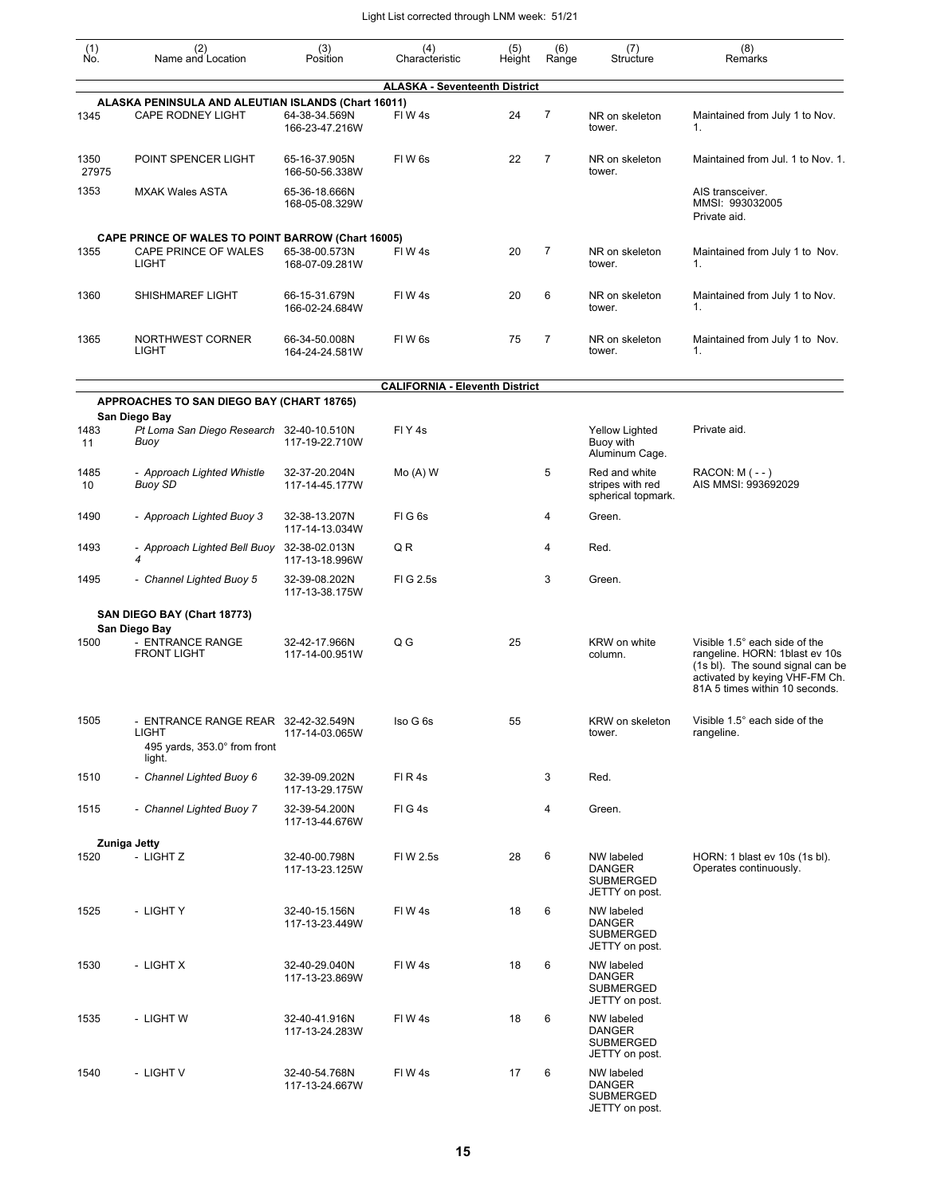| $\begin{smallmatrix} (1) \ N0. \end{smallmatrix}$ | (2)<br>Name and Location                                                                   | (3)<br>Position                 | (4)<br>Characteristic                 | (5)<br>Height | (6)<br>Range   | (7)<br>Structure                                                  | (8)<br>Remarks                                                                                                                                                          |
|---------------------------------------------------|--------------------------------------------------------------------------------------------|---------------------------------|---------------------------------------|---------------|----------------|-------------------------------------------------------------------|-------------------------------------------------------------------------------------------------------------------------------------------------------------------------|
|                                                   |                                                                                            |                                 | <b>ALASKA - Seventeenth District</b>  |               |                |                                                                   |                                                                                                                                                                         |
|                                                   | ALASKA PENINSULA AND ALEUTIAN ISLANDS (Chart 16011)                                        |                                 |                                       |               |                |                                                                   |                                                                                                                                                                         |
| 1345                                              | <b>CAPE RODNEY LIGHT</b>                                                                   | 64-38-34.569N<br>166-23-47.216W | FIW4s                                 | 24            | $\overline{7}$ | NR on skeleton<br>tower.                                          | Maintained from July 1 to Nov.<br>1.                                                                                                                                    |
| 1350<br>27975                                     | POINT SPENCER LIGHT                                                                        | 65-16-37.905N<br>166-50-56.338W | FIW <sub>6s</sub>                     | 22            | $\overline{7}$ | NR on skeleton<br>tower.                                          | Maintained from Jul. 1 to Nov. 1.                                                                                                                                       |
| 1353                                              | <b>MXAK Wales ASTA</b>                                                                     | 65-36-18.666N<br>168-05-08.329W |                                       |               |                |                                                                   | AIS transceiver.<br>MMSI: 993032005<br>Private aid.                                                                                                                     |
| 1355                                              | <b>CAPE PRINCE OF WALES TO POINT BARROW (Chart 16005)</b><br>CAPE PRINCE OF WALES<br>LIGHT | 65-38-00.573N<br>168-07-09.281W | FIW4s                                 | 20            | $\overline{7}$ | NR on skeleton<br>tower.                                          | Maintained from July 1 to Nov.<br>1.                                                                                                                                    |
| 1360                                              | SHISHMAREF LIGHT                                                                           | 66-15-31.679N<br>166-02-24.684W | FIW <sub>4s</sub>                     | 20            | 6              | NR on skeleton<br>tower.                                          | Maintained from July 1 to Nov.<br>1.                                                                                                                                    |
| 1365                                              | NORTHWEST CORNER<br><b>LIGHT</b>                                                           | 66-34-50.008N<br>164-24-24.581W | FIW <sub>6s</sub>                     | 75            | $\overline{7}$ | NR on skeleton<br>tower.                                          | Maintained from July 1 to Nov.<br>1.                                                                                                                                    |
|                                                   |                                                                                            |                                 | <b>CALIFORNIA - Eleventh District</b> |               |                |                                                                   |                                                                                                                                                                         |
|                                                   | APPROACHES TO SAN DIEGO BAY (CHART 18765)                                                  |                                 |                                       |               |                |                                                                   |                                                                                                                                                                         |
| 1483<br>11                                        | San Diego Bay<br>Pt Loma San Diego Research 32-40-10.510N<br>Buoy                          | 117-19-22.710W                  | FIY <sub>4s</sub>                     |               |                | <b>Yellow Lighted</b><br>Buoy with<br>Aluminum Cage.              | Private aid.                                                                                                                                                            |
| 1485<br>10                                        | - Approach Lighted Whistle<br><b>Buoy SD</b>                                               | 32-37-20.204N<br>117-14-45.177W | $Mo(A)$ W                             |               | 5              | Red and white<br>stripes with red<br>spherical topmark.           | $RACON: M (- - )$<br>AIS MMSI: 993692029                                                                                                                                |
| 1490                                              | - Approach Lighted Buoy 3                                                                  | 32-38-13.207N<br>117-14-13.034W | FIG6s                                 |               | 4              | Green.                                                            |                                                                                                                                                                         |
| 1493                                              | - Approach Lighted Bell Buoy<br>4                                                          | 32-38-02.013N<br>117-13-18.996W | Q R                                   |               | 4              | Red.                                                              |                                                                                                                                                                         |
| 1495                                              | - Channel Lighted Buoy 5                                                                   | 32-39-08.202N<br>117-13-38.175W | FIG 2.5s                              |               | 3              | Green.                                                            |                                                                                                                                                                         |
|                                                   | SAN DIEGO BAY (Chart 18773)                                                                |                                 |                                       |               |                |                                                                   |                                                                                                                                                                         |
| 1500                                              | San Diego Bay<br>- ENTRANCE RANGE<br><b>FRONT LIGHT</b>                                    | 32-42-17.966N<br>117-14-00.951W | Q G                                   | 25            |                | KRW on white<br>column.                                           | Visible 1.5° each side of the<br>rangeline. HORN: 1blast ev 10s<br>(1s bl). The sound signal can be<br>activated by keying VHF-FM Ch.<br>81A 5 times within 10 seconds. |
| 1505                                              | - ENTRANCE RANGE REAR 32-42-32.549N<br>LIGHT<br>495 yards, 353.0° from front<br>light.     | 117-14-03.065W                  | Iso G 6s                              | 55            |                | KRW on skeleton<br>tower.                                         | Visible 1.5° each side of the<br>rangeline.                                                                                                                             |
| 1510                                              | - Channel Lighted Buoy 6                                                                   | 32-39-09.202N<br>117-13-29.175W | FIR4s                                 |               | 3              | Red.                                                              |                                                                                                                                                                         |
| 1515                                              | - Channel Lighted Buoy 7                                                                   | 32-39-54.200N<br>117-13-44.676W | FIG4s                                 |               | 4              | Green.                                                            |                                                                                                                                                                         |
|                                                   | Zuniga Jetty                                                                               |                                 |                                       |               |                |                                                                   |                                                                                                                                                                         |
| 1520                                              | - LIGHT Z                                                                                  | 32-40-00.798N<br>117-13-23.125W | FIW 2.5s                              | 28            | 6              | NW labeled<br><b>DANGER</b><br>SUBMERGED<br>JETTY on post.        | HORN: 1 blast ev 10s (1s bl).<br>Operates continuously.                                                                                                                 |
| 1525                                              | - LIGHT Y                                                                                  | 32-40-15.156N<br>117-13-23.449W | FIW4s                                 | 18            | 6              | NW labeled<br><b>DANGER</b><br>SUBMERGED<br>JETTY on post.        |                                                                                                                                                                         |
| 1530                                              | - LIGHT X                                                                                  | 32-40-29.040N<br>117-13-23.869W | FIW4s                                 | 18            | 6              | NW labeled<br><b>DANGER</b><br>SUBMERGED<br>JETTY on post.        |                                                                                                                                                                         |
| 1535                                              | - LIGHT W                                                                                  | 32-40-41.916N<br>117-13-24.283W | FIW4s                                 | 18            | 6              | NW labeled<br><b>DANGER</b><br><b>SUBMERGED</b><br>JETTY on post. |                                                                                                                                                                         |
| 1540                                              | - LIGHT V                                                                                  | 32-40-54.768N<br>117-13-24.667W | FIW4s                                 | 17            | 6              | NW labeled<br><b>DANGER</b><br><b>SUBMERGED</b><br>JETTY on post. |                                                                                                                                                                         |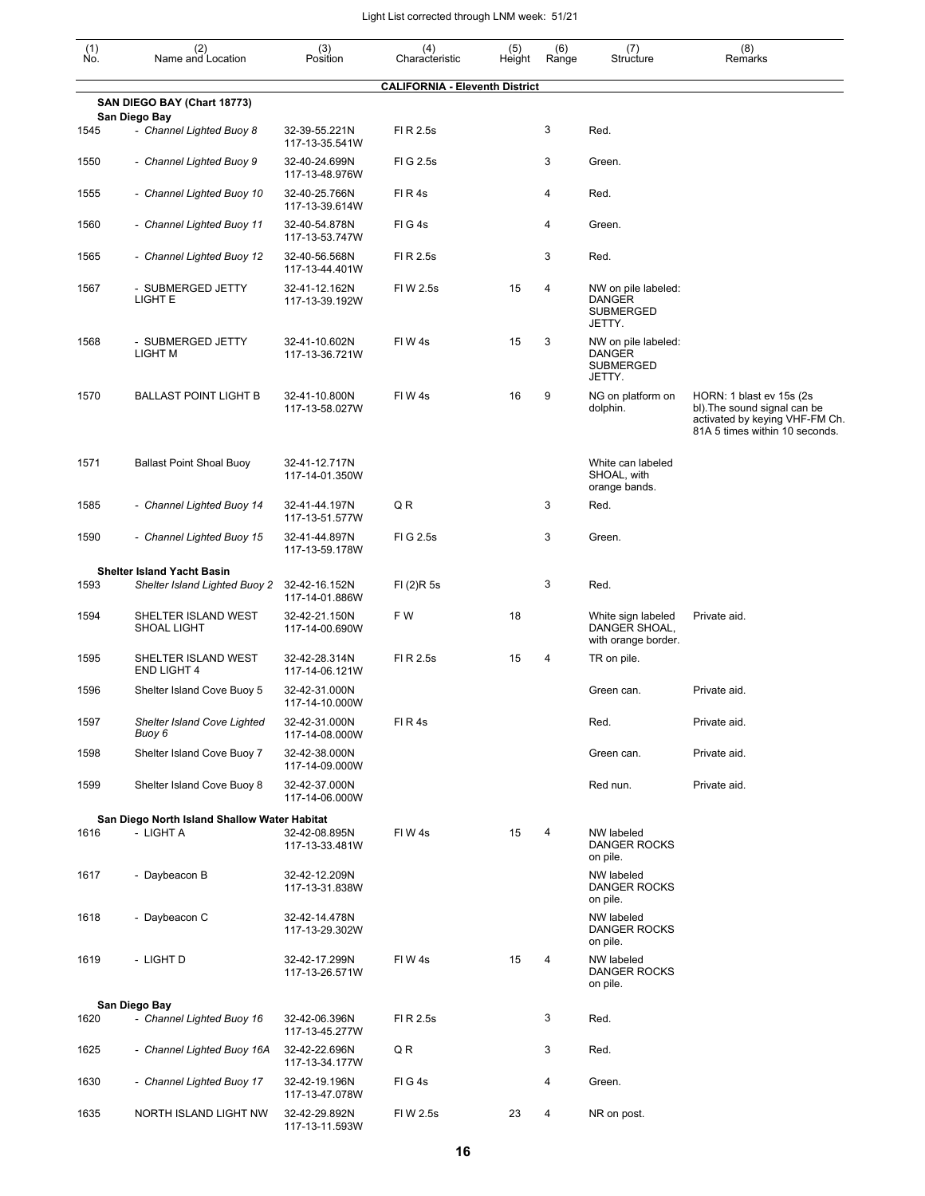| $\begin{smallmatrix} (1) \\ \mathsf{No} \end{smallmatrix}$ | (2)<br>Name and Location                     | $(3)$<br>Position               | (4)<br>Characteristic                 | (5)<br>Height | (6)<br>Range | (7)<br>Structure                                                   | (8)<br>Remarks                                                                                                                |
|------------------------------------------------------------|----------------------------------------------|---------------------------------|---------------------------------------|---------------|--------------|--------------------------------------------------------------------|-------------------------------------------------------------------------------------------------------------------------------|
|                                                            |                                              |                                 | <b>CALIFORNIA - Eleventh District</b> |               |              |                                                                    |                                                                                                                               |
|                                                            | SAN DIEGO BAY (Chart 18773)<br>San Diego Bay |                                 |                                       |               |              |                                                                    |                                                                                                                               |
| 1545                                                       | - Channel Lighted Buoy 8                     | 32-39-55.221N<br>117-13-35.541W | FI R 2.5s                             |               | 3            | Red.                                                               |                                                                                                                               |
| 1550                                                       | - Channel Lighted Buoy 9                     | 32-40-24.699N<br>117-13-48.976W | FIG 2.5s                              |               | 3            | Green.                                                             |                                                                                                                               |
| 1555                                                       | - Channel Lighted Buoy 10                    | 32-40-25.766N<br>117-13-39.614W | FIR4s                                 |               | 4            | Red.                                                               |                                                                                                                               |
| 1560                                                       | - Channel Lighted Buoy 11                    | 32-40-54.878N<br>117-13-53.747W | FIG4s                                 |               | 4            | Green.                                                             |                                                                                                                               |
| 1565                                                       | - Channel Lighted Buoy 12                    | 32-40-56.568N<br>117-13-44.401W | FI R 2.5s                             |               | 3            | Red.                                                               |                                                                                                                               |
| 1567                                                       | - SUBMERGED JETTY<br>LIGHT E                 | 32-41-12.162N<br>117-13-39.192W | FI W 2.5s                             | 15            | 4            | NW on pile labeled:<br><b>DANGER</b><br><b>SUBMERGED</b><br>JETTY. |                                                                                                                               |
| 1568                                                       | - SUBMERGED JETTY<br>LIGHT M                 | 32-41-10.602N<br>117-13-36.721W | FIW4s                                 | 15            | 3            | NW on pile labeled:<br><b>DANGER</b><br><b>SUBMERGED</b><br>JETTY. |                                                                                                                               |
| 1570                                                       | <b>BALLAST POINT LIGHT B</b>                 | 32-41-10.800N<br>117-13-58.027W | FIW 4s                                | 16            | 9            | NG on platform on<br>dolphin.                                      | HORN: 1 blast ev 15s (2s)<br>bl). The sound signal can be<br>activated by keying VHF-FM Ch.<br>81A 5 times within 10 seconds. |
| 1571                                                       | <b>Ballast Point Shoal Buoy</b>              | 32-41-12.717N<br>117-14-01.350W |                                       |               |              | White can labeled<br>SHOAL, with<br>orange bands.                  |                                                                                                                               |
| 1585                                                       | - Channel Lighted Buoy 14                    | 32-41-44.197N<br>117-13-51.577W | QR                                    |               | 3            | Red.                                                               |                                                                                                                               |
| 1590                                                       | - Channel Lighted Buoy 15                    | 32-41-44.897N<br>117-13-59.178W | FIG 2.5s                              |               | 3            | Green.                                                             |                                                                                                                               |
|                                                            | <b>Shelter Island Yacht Basin</b>            |                                 |                                       |               |              |                                                                    |                                                                                                                               |
| 1593                                                       | Shelter Island Lighted Buoy 2                | 32-42-16.152N<br>117-14-01.886W | FI(2)R5s                              |               | 3            | Red.                                                               |                                                                                                                               |
| 1594                                                       | SHELTER ISLAND WEST<br><b>SHOAL LIGHT</b>    | 32-42-21.150N<br>117-14-00.690W | F W                                   | 18            |              | White sign labeled<br>DANGER SHOAL.<br>with orange border.         | Private aid.                                                                                                                  |
| 1595                                                       | SHELTER ISLAND WEST<br><b>END LIGHT 4</b>    | 32-42-28.314N<br>117-14-06.121W | FI R 2.5s                             | 15            | 4            | TR on pile.                                                        |                                                                                                                               |
| 1596                                                       | Shelter Island Cove Buoy 5                   | 32-42-31.000N<br>117-14-10.000W |                                       |               |              | Green can.                                                         | Private aid.                                                                                                                  |
| 1597                                                       | Shelter Island Cove Lighted<br>Buoy 6        | 32-42-31.000N<br>117-14-08.000W | FIR4s                                 |               |              | Red.                                                               | Private aid.                                                                                                                  |
| 1598                                                       | Shelter Island Cove Buoy 7                   | 32-42-38.000N<br>117-14-09.000W |                                       |               |              | Green can.                                                         | Private aid.                                                                                                                  |
| 1599                                                       | Shelter Island Cove Buoy 8                   | 32-42-37.000N<br>117-14-06.000W |                                       |               |              | Red nun.                                                           | Private aid.                                                                                                                  |
|                                                            | San Diego North Island Shallow Water Habitat |                                 |                                       |               |              |                                                                    |                                                                                                                               |
| 1616                                                       | - LIGHT A                                    | 32-42-08.895N<br>117-13-33.481W | FIW4s                                 | 15            | 4            | NW labeled<br>DANGER ROCKS<br>on pile.                             |                                                                                                                               |
| 1617                                                       | - Daybeacon B                                | 32-42-12.209N<br>117-13-31.838W |                                       |               |              | NW labeled<br>DANGER ROCKS<br>on pile.                             |                                                                                                                               |
| 1618                                                       | - Daybeacon C                                | 32-42-14.478N<br>117-13-29.302W |                                       |               |              | NW labeled<br>DANGER ROCKS<br>on pile.                             |                                                                                                                               |
| 1619                                                       | - LIGHT D                                    | 32-42-17.299N<br>117-13-26.571W | FIW4s                                 | 15            | 4            | NW labeled<br>DANGER ROCKS<br>on pile.                             |                                                                                                                               |
|                                                            | San Diego Bay                                |                                 |                                       |               |              |                                                                    |                                                                                                                               |
| 1620                                                       | - Channel Lighted Buoy 16                    | 32-42-06.396N<br>117-13-45.277W | FI R 2.5s                             |               | 3            | Red.                                                               |                                                                                                                               |
| 1625                                                       | - Channel Lighted Buoy 16A                   | 32-42-22.696N<br>117-13-34.177W | QR                                    |               | 3            | Red.                                                               |                                                                                                                               |
| 1630                                                       | - Channel Lighted Buoy 17                    | 32-42-19.196N<br>117-13-47.078W | FIG4s                                 |               | 4            | Green.                                                             |                                                                                                                               |
| 1635                                                       | NORTH ISLAND LIGHT NW                        | 32-42-29.892N<br>117-13-11.593W | FI W 2.5s                             | 23            | 4            | NR on post.                                                        |                                                                                                                               |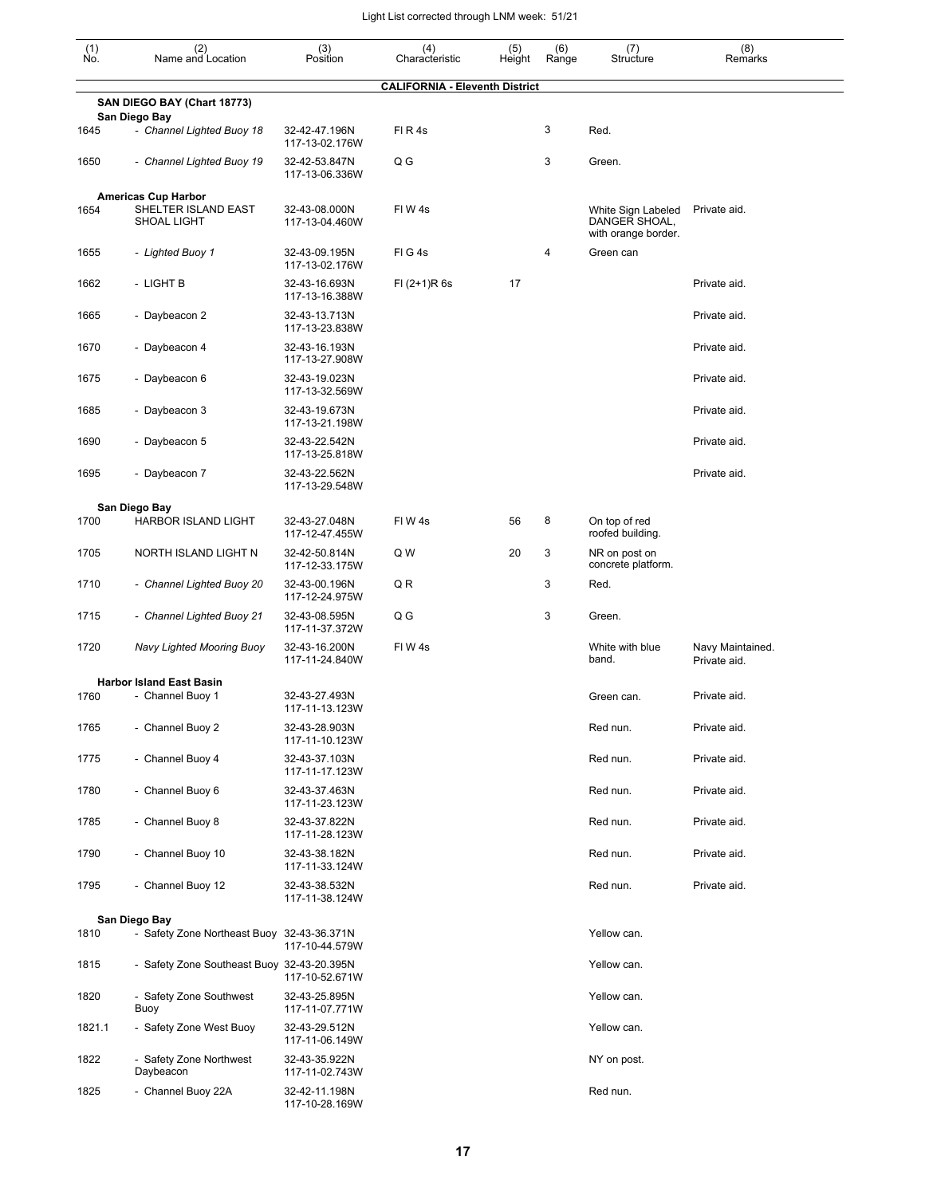| $\begin{smallmatrix} (1) \ N0. \end{smallmatrix}$ | (2)<br>Name and Location                   | (3)<br>Position                 | (4)<br>Characteristic                 | (5)<br>Height | (6)<br>Range | (7)<br>Structure                                           | (8)<br>Remarks                   |
|---------------------------------------------------|--------------------------------------------|---------------------------------|---------------------------------------|---------------|--------------|------------------------------------------------------------|----------------------------------|
|                                                   |                                            |                                 | <b>CALIFORNIA - Eleventh District</b> |               |              |                                                            |                                  |
|                                                   | SAN DIEGO BAY (Chart 18773)                |                                 |                                       |               |              |                                                            |                                  |
| 1645                                              | San Diego Bay<br>- Channel Lighted Buoy 18 | 32-42-47.196N<br>117-13-02.176W | FIR4s                                 |               | 3            | Red.                                                       |                                  |
| 1650                                              | - Channel Lighted Buoy 19                  | 32-42-53.847N<br>117-13-06.336W | Q G                                   |               | 3            | Green.                                                     |                                  |
|                                                   | <b>Americas Cup Harbor</b>                 |                                 |                                       |               |              |                                                            |                                  |
| 1654                                              | SHELTER ISLAND EAST<br><b>SHOAL LIGHT</b>  | 32-43-08.000N<br>117-13-04.460W | FIW4s                                 |               |              | White Sign Labeled<br>DANGER SHOAL,<br>with orange border. | Private aid.                     |
| 1655                                              | - Lighted Buoy 1                           | 32-43-09.195N<br>117-13-02.176W | FIG4s                                 |               | 4            | Green can                                                  |                                  |
| 1662                                              | - LIGHT B                                  | 32-43-16.693N<br>117-13-16.388W | $FI (2+1)R 6s$                        | 17            |              |                                                            | Private aid.                     |
| 1665                                              | - Daybeacon 2                              | 32-43-13.713N<br>117-13-23.838W |                                       |               |              |                                                            | Private aid.                     |
| 1670                                              | - Daybeacon 4                              | 32-43-16.193N<br>117-13-27.908W |                                       |               |              |                                                            | Private aid.                     |
| 1675                                              | - Daybeacon 6                              | 32-43-19.023N<br>117-13-32.569W |                                       |               |              |                                                            | Private aid.                     |
| 1685                                              | - Daybeacon 3                              | 32-43-19.673N<br>117-13-21.198W |                                       |               |              |                                                            | Private aid.                     |
| 1690                                              | - Daybeacon 5                              | 32-43-22.542N<br>117-13-25.818W |                                       |               |              |                                                            | Private aid.                     |
| 1695                                              | - Daybeacon 7                              | 32-43-22.562N<br>117-13-29.548W |                                       |               |              |                                                            | Private aid.                     |
|                                                   | San Diego Bay                              |                                 |                                       |               |              |                                                            |                                  |
| 1700                                              | HARBOR ISLAND LIGHT                        | 32-43-27.048N<br>117-12-47.455W | FIW4s                                 | 56            | 8            | On top of red<br>roofed building.                          |                                  |
| 1705                                              | NORTH ISLAND LIGHT N                       | 32-42-50.814N<br>117-12-33.175W | Q W                                   | 20            | 3            | NR on post on<br>concrete platform.                        |                                  |
| 1710                                              | - Channel Lighted Buoy 20                  | 32-43-00.196N<br>117-12-24.975W | Q R                                   |               | 3            | Red.                                                       |                                  |
| 1715                                              | - Channel Lighted Buoy 21                  | 32-43-08.595N<br>117-11-37.372W | Q G                                   |               | 3            | Green.                                                     |                                  |
| 1720                                              | Navy Lighted Mooring Buoy                  | 32-43-16.200N<br>117-11-24.840W | FIW4s                                 |               |              | White with blue<br>band.                                   | Navy Maintained.<br>Private aid. |
|                                                   | <b>Harbor Island East Basin</b>            |                                 |                                       |               |              |                                                            |                                  |
| 1760                                              | - Channel Buoy 1                           | 32-43-27.493N<br>117-11-13.123W |                                       |               |              | Green can.                                                 | Private aid.                     |
| 1765                                              | - Channel Buoy 2                           | 32-43-28.903N<br>117-11-10.123W |                                       |               |              | Red nun.                                                   | Private aid.                     |
| 1775                                              | - Channel Buoy 4                           | 32-43-37.103N<br>117-11-17.123W |                                       |               |              | Red nun.                                                   | Private aid.                     |
| 1780                                              | - Channel Buoy 6                           | 32-43-37.463N<br>117-11-23.123W |                                       |               |              | Red nun.                                                   | Private aid.                     |
| 1785                                              | - Channel Buoy 8                           | 32-43-37.822N<br>117-11-28.123W |                                       |               |              | Red nun.                                                   | Private aid.                     |
| 1790                                              | - Channel Buoy 10                          | 32-43-38.182N<br>117-11-33.124W |                                       |               |              | Red nun.                                                   | Private aid.                     |
| 1795                                              | - Channel Buoy 12                          | 32-43-38.532N<br>117-11-38.124W |                                       |               |              | Red nun.                                                   | Private aid.                     |
|                                                   | San Diego Bay                              |                                 |                                       |               |              |                                                            |                                  |
| 1810                                              | - Safety Zone Northeast Buoy 32-43-36.371N | 117-10-44.579W                  |                                       |               |              | Yellow can.                                                |                                  |
| 1815                                              | - Safety Zone Southeast Buoy 32-43-20.395N | 117-10-52.671W                  |                                       |               |              | Yellow can.                                                |                                  |
| 1820                                              | - Safety Zone Southwest<br>Buoy            | 32-43-25.895N<br>117-11-07.771W |                                       |               |              | Yellow can.                                                |                                  |
| 1821.1                                            | - Safety Zone West Buoy                    | 32-43-29.512N<br>117-11-06.149W |                                       |               |              | Yellow can.                                                |                                  |
| 1822                                              | - Safety Zone Northwest<br>Daybeacon       | 32-43-35.922N<br>117-11-02.743W |                                       |               |              | NY on post.                                                |                                  |
| 1825                                              | - Channel Buoy 22A                         | 32-42-11.198N<br>117-10-28.169W |                                       |               |              | Red nun.                                                   |                                  |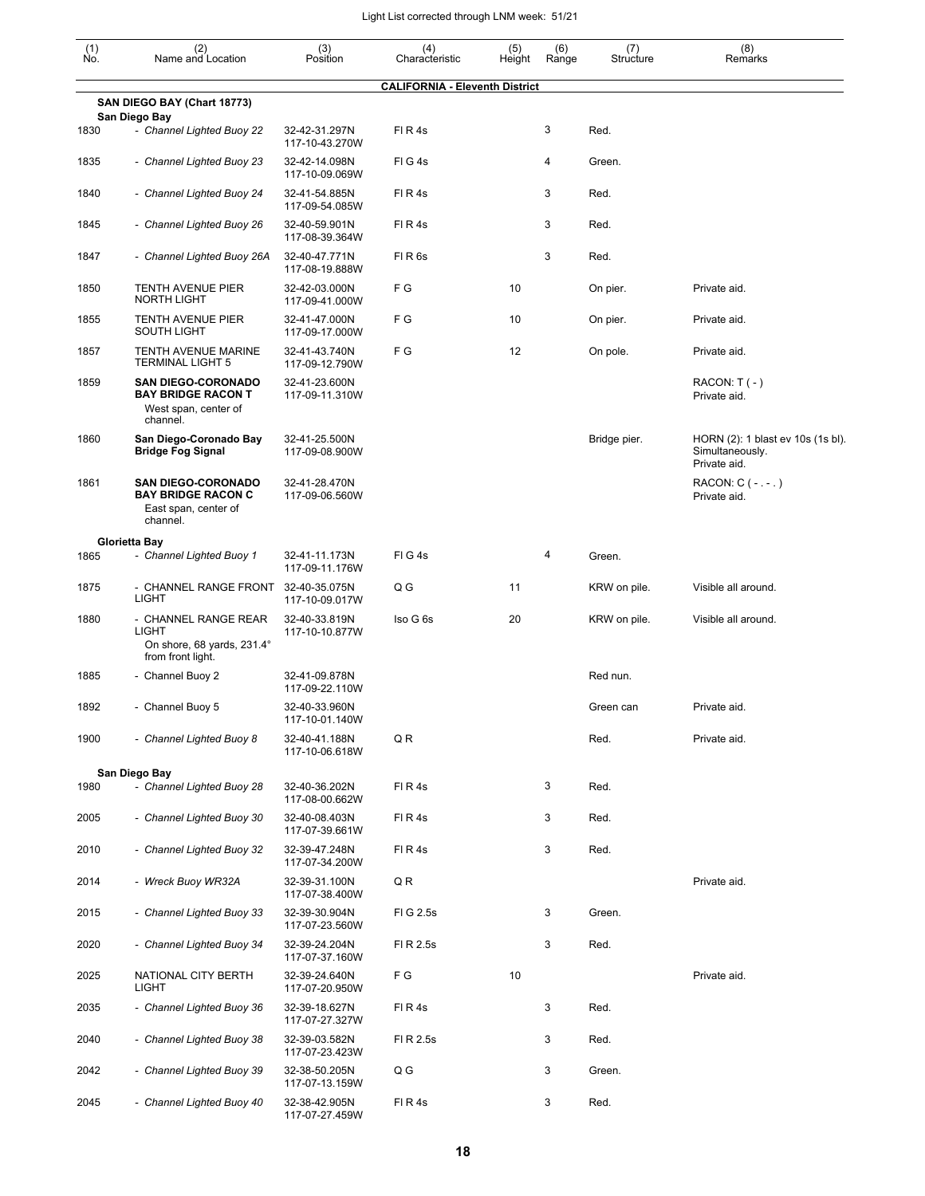| (1)<br>No. | (2)<br>Name and Location                                                                   | (3)<br>Position                 | (4)<br>Characteristic                 | (5)<br>Height | (6)<br>Range | (7)<br>Structure | (8)<br>Remarks                                                       |
|------------|--------------------------------------------------------------------------------------------|---------------------------------|---------------------------------------|---------------|--------------|------------------|----------------------------------------------------------------------|
|            |                                                                                            |                                 | <b>CALIFORNIA - Eleventh District</b> |               |              |                  |                                                                      |
|            | SAN DIEGO BAY (Chart 18773)                                                                |                                 |                                       |               |              |                  |                                                                      |
| 1830       | San Diego Bay<br>- Channel Lighted Buoy 22                                                 | 32-42-31.297N<br>117-10-43.270W | FIR4s                                 |               | 3            | Red.             |                                                                      |
| 1835       | - Channel Lighted Buoy 23                                                                  | 32-42-14.098N<br>117-10-09.069W | FIG4s                                 |               | 4            | Green.           |                                                                      |
| 1840       | - Channel Lighted Buoy 24                                                                  | 32-41-54.885N<br>117-09-54.085W | FIR4s                                 |               | 3            | Red.             |                                                                      |
| 1845       | - Channel Lighted Buoy 26                                                                  | 32-40-59.901N<br>117-08-39.364W | FIR4s                                 |               | 3            | Red.             |                                                                      |
| 1847       | - Channel Lighted Buoy 26A                                                                 | 32-40-47.771N<br>117-08-19.888W | FIR <sub>6s</sub>                     |               | 3            | Red.             |                                                                      |
| 1850       | <b>TENTH AVENUE PIER</b><br><b>NORTH LIGHT</b>                                             | 32-42-03.000N<br>117-09-41.000W | F G                                   | 10            |              | On pier.         | Private aid.                                                         |
| 1855       | <b>TENTH AVENUE PIER</b><br><b>SOUTH LIGHT</b>                                             | 32-41-47.000N<br>117-09-17.000W | FG                                    | 10            |              | On pier.         | Private aid.                                                         |
| 1857       | <b>TENTH AVENUE MARINE</b><br><b>TERMINAL LIGHT 5</b>                                      | 32-41-43.740N<br>117-09-12.790W | F G                                   | 12            |              | On pole.         | Private aid.                                                         |
| 1859       | <b>SAN DIEGO-CORONADO</b><br><b>BAY BRIDGE RACON T</b><br>West span, center of<br>channel. | 32-41-23.600N<br>117-09-11.310W |                                       |               |              |                  | $RACON: T(-)$<br>Private aid.                                        |
| 1860       | San Diego-Coronado Bay<br><b>Bridge Fog Signal</b>                                         | 32-41-25.500N<br>117-09-08.900W |                                       |               |              | Bridge pier.     | HORN (2): 1 blast ev 10s (1s bl).<br>Simultaneously.<br>Private aid. |
| 1861       | <b>SAN DIEGO-CORONADO</b><br><b>BAY BRIDGE RACON C</b><br>East span, center of<br>channel. | 32-41-28.470N<br>117-09-06.560W |                                       |               |              |                  | RACON: $C$ ( - . - . )<br>Private aid.                               |
|            | Glorietta Bay                                                                              |                                 |                                       |               |              |                  |                                                                      |
| 1865       | - Channel Lighted Buoy 1                                                                   | 32-41-11.173N<br>117-09-11.176W | FIG4s                                 |               | 4            | Green.           |                                                                      |
| 1875       | - CHANNEL RANGE FRONT<br><b>LIGHT</b>                                                      | 32-40-35.075N<br>117-10-09.017W | Q G                                   | 11            |              | KRW on pile.     | Visible all around.                                                  |
| 1880       | - CHANNEL RANGE REAR<br><b>LIGHT</b><br>On shore, 68 yards, 231.4°<br>from front light.    | 32-40-33.819N<br>117-10-10.877W | Iso G 6s                              | 20            |              | KRW on pile.     | Visible all around.                                                  |
| 1885       | - Channel Buoy 2                                                                           | 32-41-09.878N<br>117-09-22.110W |                                       |               |              | Red nun.         |                                                                      |
| 1892       | - Channel Buoy 5                                                                           | 32-40-33.960N<br>117-10-01.140W |                                       |               |              | Green can        | Private aid.                                                         |
| 1900       | - Channel Lighted Buoy 8                                                                   | 32-40-41.188N<br>117-10-06.618W | Q R                                   |               |              | Red.             | Private aid.                                                         |
|            | San Diego Bay                                                                              |                                 |                                       |               |              |                  |                                                                      |
| 1980       | - Channel Lighted Buoy 28                                                                  | 32-40-36.202N<br>117-08-00.662W | FIR4s                                 |               | 3            | Red.             |                                                                      |
| 2005       | - Channel Lighted Buoy 30                                                                  | 32-40-08.403N<br>117-07-39.661W | FIR4s                                 |               | 3            | Red.             |                                                                      |
| 2010       | - Channel Lighted Buoy 32                                                                  | 32-39-47.248N<br>117-07-34.200W | FIR4s                                 |               | 3            | Red.             |                                                                      |
| 2014       | - Wreck Buoy WR32A                                                                         | 32-39-31.100N<br>117-07-38.400W | Q R                                   |               |              |                  | Private aid.                                                         |
| 2015       | - Channel Lighted Buoy 33                                                                  | 32-39-30.904N<br>117-07-23.560W | FI G 2.5s                             |               | 3            | Green.           |                                                                      |
| 2020       | - Channel Lighted Buoy 34                                                                  | 32-39-24.204N<br>117-07-37.160W | FI R 2.5s                             |               | 3            | Red.             |                                                                      |
| 2025       | NATIONAL CITY BERTH<br>LIGHT                                                               | 32-39-24.640N<br>117-07-20.950W | F G                                   | 10            |              |                  | Private aid.                                                         |
| 2035       | - Channel Lighted Buoy 36                                                                  | 32-39-18.627N<br>117-07-27.327W | FIR4s                                 |               | 3            | Red.             |                                                                      |
| 2040       | - Channel Lighted Buoy 38                                                                  | 32-39-03.582N<br>117-07-23.423W | FI R 2.5s                             |               | 3            | Red.             |                                                                      |
| 2042       | - Channel Lighted Buoy 39                                                                  | 32-38-50.205N<br>117-07-13.159W | Q G                                   |               | 3            | Green.           |                                                                      |
| 2045       | - Channel Lighted Buoy 40                                                                  | 32-38-42.905N<br>117-07-27.459W | FIR4s                                 |               | 3            | Red.             |                                                                      |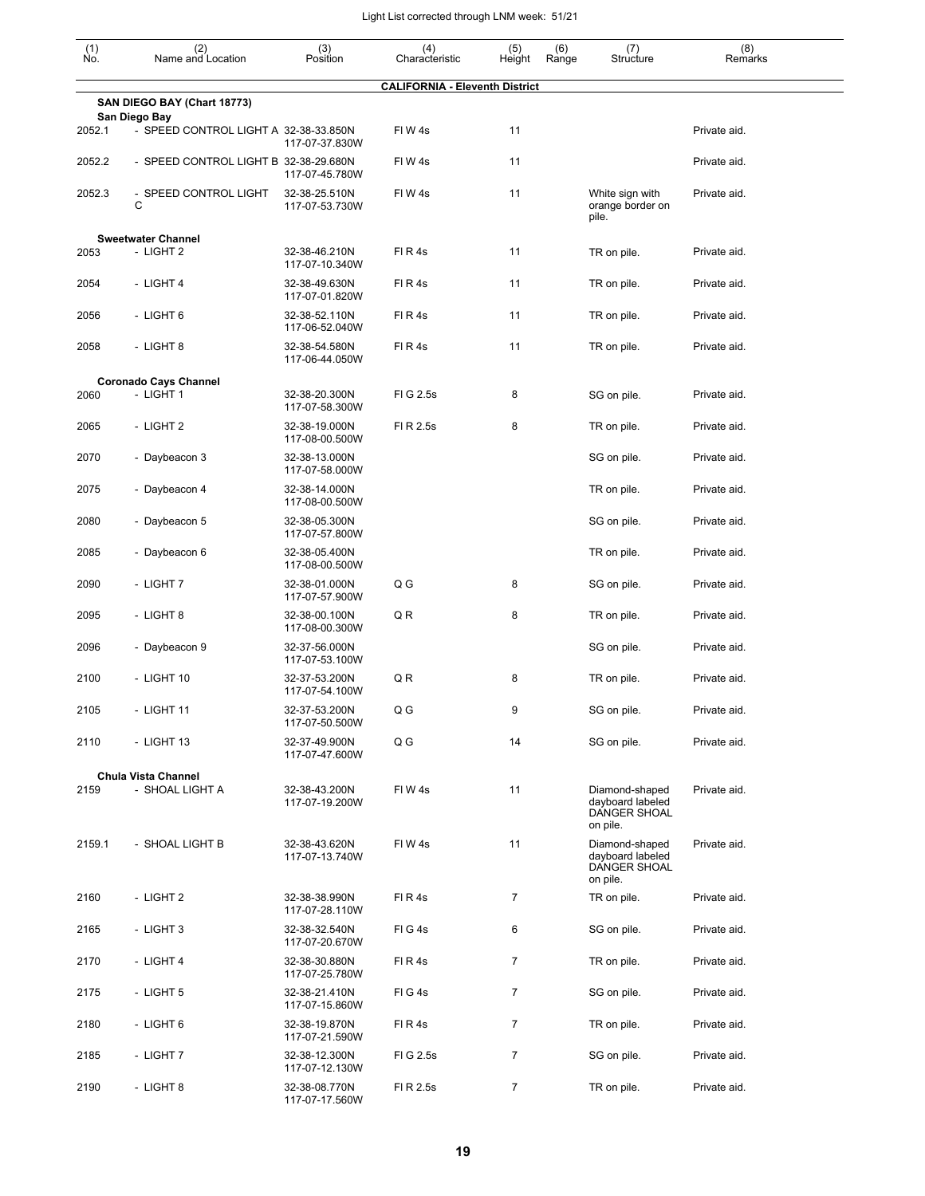| $\begin{smallmatrix} (1) \ N0. \end{smallmatrix}$ | (2)<br>Name and Location                               | (3)<br>Position                 | (4)<br>Characteristic                 | (5)<br>Height  | (6)<br>Range | (7)<br>Structure                                               | (8)<br>Remarks |
|---------------------------------------------------|--------------------------------------------------------|---------------------------------|---------------------------------------|----------------|--------------|----------------------------------------------------------------|----------------|
|                                                   |                                                        |                                 | <b>CALIFORNIA - Eleventh District</b> |                |              |                                                                |                |
|                                                   | SAN DIEGO BAY (Chart 18773)                            |                                 |                                       |                |              |                                                                |                |
| 2052.1                                            | San Diego Bay<br>- SPEED CONTROL LIGHT A 32-38-33.850N | 117-07-37.830W                  | FIW4s                                 | 11             |              |                                                                | Private aid.   |
| 2052.2                                            | - SPEED CONTROL LIGHT B 32-38-29.680N                  | 117-07-45.780W                  | FIW4s                                 | 11             |              |                                                                | Private aid.   |
| 2052.3                                            | - SPEED CONTROL LIGHT<br>C                             | 32-38-25.510N<br>117-07-53.730W | FIW4s                                 | 11             |              | White sign with<br>orange border on<br>pile.                   | Private aid.   |
|                                                   | <b>Sweetwater Channel</b>                              |                                 |                                       |                |              |                                                                |                |
| 2053                                              | - LIGHT 2                                              | 32-38-46.210N<br>117-07-10.340W | FIR4s                                 | 11             |              | TR on pile.                                                    | Private aid.   |
| 2054                                              | - LIGHT 4                                              | 32-38-49.630N<br>117-07-01.820W | FIR4s                                 | 11             |              | TR on pile.                                                    | Private aid.   |
| 2056                                              | - LIGHT 6                                              | 32-38-52.110N<br>117-06-52.040W | FIR4s                                 | 11             |              | TR on pile.                                                    | Private aid.   |
| 2058                                              | - LIGHT 8                                              | 32-38-54.580N<br>117-06-44.050W | FIR4s                                 | 11             |              | TR on pile.                                                    | Private aid.   |
|                                                   | <b>Coronado Cays Channel</b>                           |                                 |                                       |                |              |                                                                |                |
| 2060                                              | - LIGHT 1                                              | 32-38-20.300N<br>117-07-58.300W | FIG 2.5s                              | 8              |              | SG on pile.                                                    | Private aid.   |
| 2065                                              | - LIGHT 2                                              | 32-38-19.000N<br>117-08-00.500W | FI R 2.5s                             | 8              |              | TR on pile.                                                    | Private aid.   |
| 2070                                              | - Daybeacon 3                                          | 32-38-13.000N<br>117-07-58.000W |                                       |                |              | SG on pile.                                                    | Private aid.   |
| 2075                                              | - Daybeacon 4                                          | 32-38-14.000N<br>117-08-00.500W |                                       |                |              | TR on pile.                                                    | Private aid.   |
| 2080                                              | - Daybeacon 5                                          | 32-38-05.300N<br>117-07-57.800W |                                       |                |              | SG on pile.                                                    | Private aid.   |
| 2085                                              | - Daybeacon 6                                          | 32-38-05.400N<br>117-08-00.500W |                                       |                |              | TR on pile.                                                    | Private aid.   |
| 2090                                              | - LIGHT 7                                              | 32-38-01.000N<br>117-07-57.900W | Q G                                   | 8              |              | SG on pile.                                                    | Private aid.   |
| 2095                                              | - LIGHT 8                                              | 32-38-00.100N<br>117-08-00.300W | QR                                    | 8              |              | TR on pile.                                                    | Private aid.   |
| 2096                                              | - Daybeacon 9                                          | 32-37-56.000N<br>117-07-53.100W |                                       |                |              | SG on pile.                                                    | Private aid.   |
| 2100                                              | - LIGHT 10                                             | 32-37-53.200N<br>117-07-54.100W | Q R                                   | 8              |              | TR on pile.                                                    | Private aid.   |
| 2105                                              | - LIGHT 11                                             | 32-37-53.200N<br>117-07-50.500W | Q G                                   | 9              |              | SG on pile.                                                    | Private aid.   |
| 2110                                              | - LIGHT 13                                             | 32-37-49.900N<br>117-07-47.600W | Q G                                   | 14             |              | SG on pile.                                                    | Private aid.   |
|                                                   | <b>Chula Vista Channel</b>                             |                                 |                                       |                |              |                                                                |                |
| 2159                                              | - SHOAL LIGHT A                                        | 32-38-43.200N<br>117-07-19.200W | FIW4s                                 | 11             |              | Diamond-shaped<br>dayboard labeled<br>DANGER SHOAL<br>on pile. | Private aid.   |
| 2159.1                                            | - SHOAL LIGHT B                                        | 32-38-43.620N<br>117-07-13.740W | FIW4s                                 | 11             |              | Diamond-shaped<br>dayboard labeled<br>DANGER SHOAL<br>on pile. | Private aid.   |
| 2160                                              | - LIGHT 2                                              | 32-38-38.990N<br>117-07-28.110W | FIR4s                                 | $\overline{7}$ |              | TR on pile.                                                    | Private aid.   |
| 2165                                              | - LIGHT 3                                              | 32-38-32.540N<br>117-07-20.670W | FIG4s                                 | 6              |              | SG on pile.                                                    | Private aid.   |
| 2170                                              | - LIGHT 4                                              | 32-38-30.880N<br>117-07-25.780W | FIR4s                                 | $\overline{7}$ |              | TR on pile.                                                    | Private aid.   |
| 2175                                              | - LIGHT 5                                              | 32-38-21.410N<br>117-07-15.860W | FIG4s                                 | $\overline{7}$ |              | SG on pile.                                                    | Private aid.   |
| 2180                                              | - LIGHT 6                                              | 32-38-19.870N<br>117-07-21.590W | FIR4s                                 | $\overline{7}$ |              | TR on pile.                                                    | Private aid.   |
| 2185                                              | - LIGHT 7                                              | 32-38-12.300N<br>117-07-12.130W | FIG 2.5s                              | $\overline{7}$ |              | SG on pile.                                                    | Private aid.   |
| 2190                                              | - LIGHT 8                                              | 32-38-08.770N<br>117-07-17.560W | FI R 2.5s                             | $\overline{7}$ |              | TR on pile.                                                    | Private aid.   |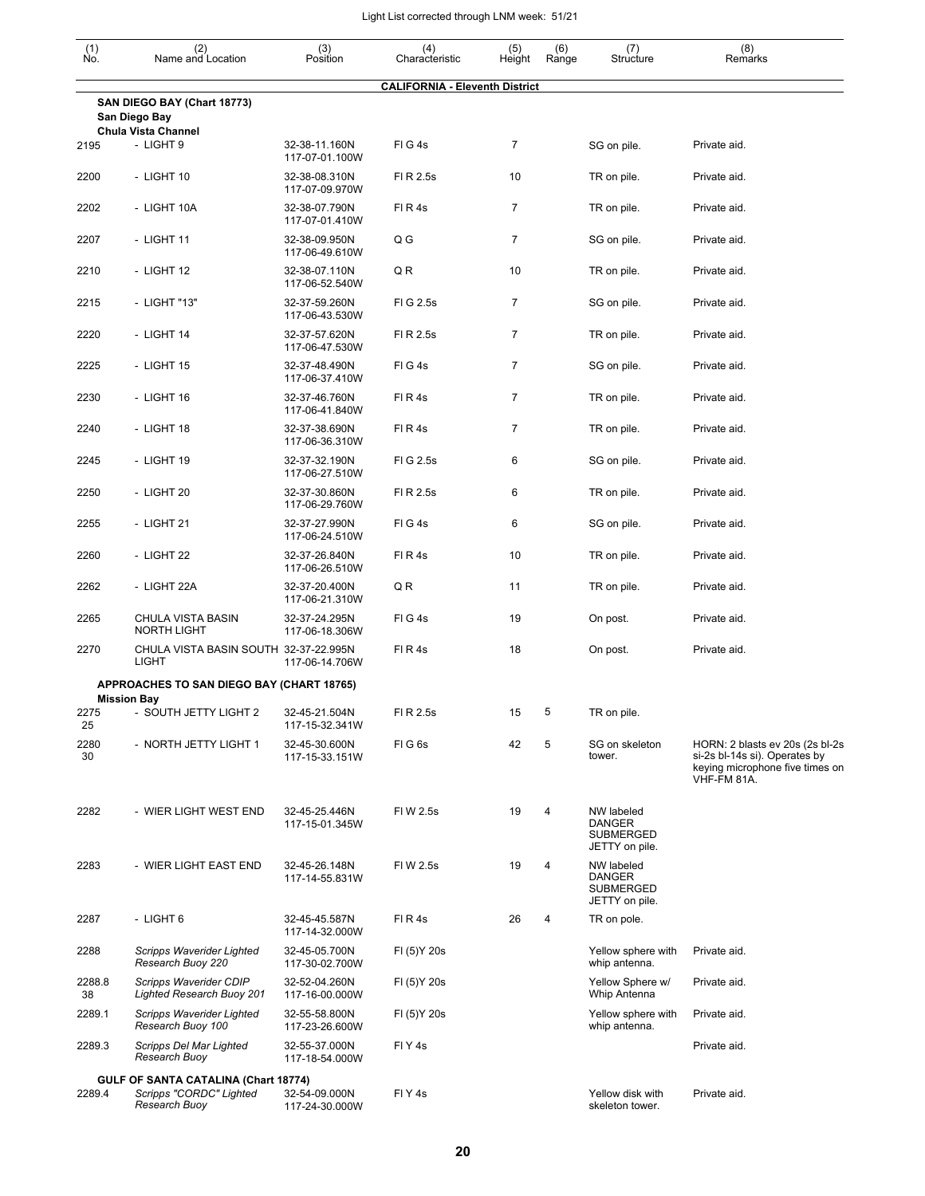| (1)<br>No.   | (2)<br>Name and Location                                                         | (3)<br>Position                 | (4)<br>Characteristic                 | (5)<br>Height  | (6)<br>Range | (7)<br>Structure                                                  | (8)<br>Remarks                                                                                                     |
|--------------|----------------------------------------------------------------------------------|---------------------------------|---------------------------------------|----------------|--------------|-------------------------------------------------------------------|--------------------------------------------------------------------------------------------------------------------|
|              |                                                                                  |                                 | <b>CALIFORNIA - Eleventh District</b> |                |              |                                                                   |                                                                                                                    |
|              | SAN DIEGO BAY (Chart 18773)<br>San Diego Bay<br><b>Chula Vista Channel</b>       |                                 |                                       |                |              |                                                                   |                                                                                                                    |
| 2195         | - LIGHT 9                                                                        | 32-38-11.160N<br>117-07-01.100W | FIG4s                                 | 7              |              | SG on pile.                                                       | Private aid.                                                                                                       |
| 2200         | - LIGHT 10                                                                       | 32-38-08.310N<br>117-07-09.970W | FI R 2.5s                             | 10             |              | TR on pile.                                                       | Private aid.                                                                                                       |
| 2202         | - LIGHT 10A                                                                      | 32-38-07.790N<br>117-07-01.410W | FIR4s                                 | 7              |              | TR on pile.                                                       | Private aid.                                                                                                       |
| 2207         | - LIGHT 11                                                                       | 32-38-09.950N<br>117-06-49.610W | Q G                                   | 7              |              | SG on pile.                                                       | Private aid.                                                                                                       |
| 2210         | - LIGHT 12                                                                       | 32-38-07.110N<br>117-06-52.540W | QR                                    | 10             |              | TR on pile.                                                       | Private aid.                                                                                                       |
| 2215         | - LIGHT "13"                                                                     | 32-37-59.260N<br>117-06-43.530W | FIG 2.5s                              | $\overline{7}$ |              | SG on pile.                                                       | Private aid.                                                                                                       |
| 2220         | - LIGHT 14                                                                       | 32-37-57.620N<br>117-06-47.530W | FI R 2.5s                             | $\overline{7}$ |              | TR on pile.                                                       | Private aid.                                                                                                       |
| 2225         | - LIGHT 15                                                                       | 32-37-48.490N<br>117-06-37.410W | FIG4s                                 | 7              |              | SG on pile.                                                       | Private aid.                                                                                                       |
| 2230         | - LIGHT 16                                                                       | 32-37-46.760N<br>117-06-41.840W | FIR4s                                 | $\overline{7}$ |              | TR on pile.                                                       | Private aid.                                                                                                       |
| 2240         | - LIGHT 18                                                                       | 32-37-38.690N<br>117-06-36.310W | FIR4s                                 | 7              |              | TR on pile.                                                       | Private aid.                                                                                                       |
| 2245         | - LIGHT 19                                                                       | 32-37-32.190N<br>117-06-27.510W | FIG 2.5s                              | 6              |              | SG on pile.                                                       | Private aid.                                                                                                       |
| 2250         | - LIGHT 20                                                                       | 32-37-30.860N<br>117-06-29.760W | FI R 2.5s                             | 6              |              | TR on pile.                                                       | Private aid.                                                                                                       |
| 2255         | - LIGHT 21                                                                       | 32-37-27.990N<br>117-06-24.510W | FIG4s                                 | 6              |              | SG on pile.                                                       | Private aid.                                                                                                       |
| 2260         | - LIGHT 22                                                                       | 32-37-26.840N<br>117-06-26.510W | FIR4s                                 | 10             |              | TR on pile.                                                       | Private aid.                                                                                                       |
| 2262         | - LIGHT 22A                                                                      | 32-37-20.400N<br>117-06-21.310W | QR                                    | 11             |              | TR on pile.                                                       | Private aid.                                                                                                       |
| 2265         | CHULA VISTA BASIN<br><b>NORTH LIGHT</b>                                          | 32-37-24.295N<br>117-06-18.306W | FIG4s                                 | 19             |              | On post.                                                          | Private aid.                                                                                                       |
| 2270         | CHULA VISTA BASIN SOUTH 32-37-22.995N<br><b>LIGHT</b>                            | 117-06-14.706W                  | FIR4s                                 | 18             |              | On post.                                                          | Private aid.                                                                                                       |
|              | APPROACHES TO SAN DIEGO BAY (CHART 18765)<br><b>Mission Bay</b>                  |                                 |                                       |                |              |                                                                   |                                                                                                                    |
| 2275<br>25   | - SOUTH JETTY LIGHT 2                                                            | 32-45-21.504N<br>117-15-32.341W | FI R 2.5s                             | 15             | 5            | TR on pile.                                                       |                                                                                                                    |
| 2280<br>30   | - NORTH JETTY LIGHT 1                                                            | 32-45-30.600N<br>117-15-33.151W | FIG6s                                 | 42             | 5            | SG on skeleton<br>tower.                                          | HORN: 2 blasts ev 20s (2s bl-2s<br>si-2s bl-14s si). Operates by<br>keying microphone five times on<br>VHF-FM 81A. |
| 2282         | - WIER LIGHT WEST END                                                            | 32-45-25.446N<br>117-15-01.345W | FIW 2.5s                              | 19             | 4            | NW labeled<br><b>DANGER</b><br><b>SUBMERGED</b><br>JETTY on pile. |                                                                                                                    |
| 2283         | - WIER LIGHT EAST END                                                            | 32-45-26.148N<br>117-14-55.831W | FIW 2.5s                              | 19             | 4            | NW labeled<br><b>DANGER</b><br>SUBMERGED<br>JETTY on pile.        |                                                                                                                    |
| 2287         | - LIGHT 6                                                                        | 32-45-45.587N<br>117-14-32.000W | FIR4s                                 | 26             | 4            | TR on pole.                                                       |                                                                                                                    |
| 2288         | Scripps Waverider Lighted<br>Research Buoy 220                                   | 32-45-05.700N<br>117-30-02.700W | FI (5) Y 20s                          |                |              | Yellow sphere with<br>whip antenna.                               | Private aid.                                                                                                       |
| 2288.8<br>38 | Scripps Waverider CDIP<br>Lighted Research Buoy 201                              | 32-52-04.260N<br>117-16-00.000W | FI (5) Y 20s                          |                |              | Yellow Sphere w/<br>Whip Antenna                                  | Private aid.                                                                                                       |
| 2289.1       | Scripps Waverider Lighted<br>Research Buoy 100                                   | 32-55-58.800N<br>117-23-26.600W | FI (5) Y 20s                          |                |              | Yellow sphere with<br>whip antenna.                               | Private aid.                                                                                                       |
| 2289.3       | Scripps Del Mar Lighted<br>Research Buoy                                         | 32-55-37.000N<br>117-18-54.000W | FIY <sub>4s</sub>                     |                |              |                                                                   | Private aid.                                                                                                       |
| 2289.4       | GULF OF SANTA CATALINA (Chart 18774)<br>Scripps "CORDC" Lighted<br>Research Buoy | 32-54-09.000N<br>117-24-30.000W | FIY <sub>4</sub> s                    |                |              | Yellow disk with<br>skeleton tower.                               | Private aid.                                                                                                       |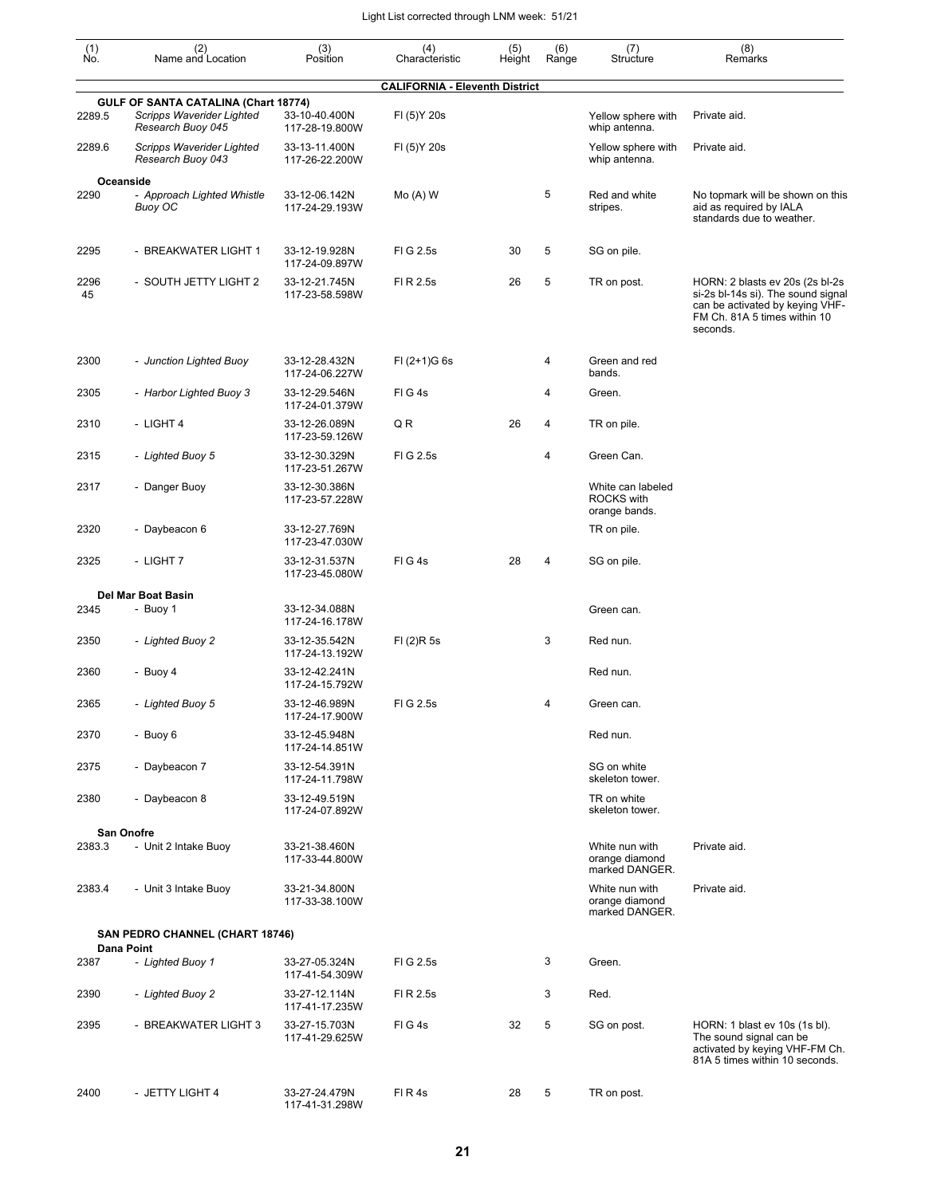| (1)<br>No. | (2)<br>Name and Location                                                               | (3)<br>Position                 | (4)<br>Characteristic                 | (5)<br>Height | (6)<br>Range | (7)<br>Structure                                        | (8)<br>Remarks                                                                                                                                       |
|------------|----------------------------------------------------------------------------------------|---------------------------------|---------------------------------------|---------------|--------------|---------------------------------------------------------|------------------------------------------------------------------------------------------------------------------------------------------------------|
|            |                                                                                        |                                 | <b>CALIFORNIA - Eleventh District</b> |               |              |                                                         |                                                                                                                                                      |
| 2289.5     | GULF OF SANTA CATALINA (Chart 18774)<br>Scripps Waverider Lighted<br>Research Buoy 045 | 33-10-40.400N<br>117-28-19.800W | FI (5) Y 20s                          |               |              | Yellow sphere with<br>whip antenna.                     | Private aid.                                                                                                                                         |
| 2289.6     | Scripps Waverider Lighted<br>Research Buoy 043                                         | 33-13-11.400N<br>117-26-22.200W | FI (5) Y 20s                          |               |              | Yellow sphere with<br>whip antenna.                     | Private aid.                                                                                                                                         |
| 2290       | Oceanside<br>- Approach Lighted Whistle<br><b>Buoy OC</b>                              | 33-12-06.142N<br>117-24-29.193W | $Mo(A)$ W                             |               | 5            | Red and white<br>stripes.                               | No topmark will be shown on this<br>aid as required by IALA<br>standards due to weather.                                                             |
| 2295       | - BREAKWATER LIGHT 1                                                                   | 33-12-19.928N<br>117-24-09.897W | FIG 2.5s                              | 30            | 5            | SG on pile.                                             |                                                                                                                                                      |
| 2296<br>45 | - SOUTH JETTY LIGHT 2                                                                  | 33-12-21.745N<br>117-23-58.598W | FI R 2.5s                             | 26            | 5            | TR on post.                                             | HORN: 2 blasts ev 20s (2s bl-2s<br>si-2s bl-14s si). The sound signal<br>can be activated by keying VHF-<br>FM Ch. 81A 5 times within 10<br>seconds. |
| 2300       | - Junction Lighted Buoy                                                                | 33-12-28.432N<br>117-24-06.227W | $FI (2+1)G 6s$                        |               | 4            | Green and red<br>bands.                                 |                                                                                                                                                      |
| 2305       | - Harbor Lighted Buoy 3                                                                | 33-12-29.546N<br>117-24-01.379W | FIG4s                                 |               | 4            | Green.                                                  |                                                                                                                                                      |
| 2310       | - LIGHT 4                                                                              | 33-12-26.089N<br>117-23-59.126W | Q R                                   | 26            | 4            | TR on pile.                                             |                                                                                                                                                      |
| 2315       | - Lighted Buoy 5                                                                       | 33-12-30.329N<br>117-23-51.267W | FIG 2.5s                              |               | 4            | Green Can.                                              |                                                                                                                                                      |
| 2317       | - Danger Buoy                                                                          | 33-12-30.386N<br>117-23-57.228W |                                       |               |              | White can labeled<br><b>ROCKS with</b><br>orange bands. |                                                                                                                                                      |
| 2320       | - Daybeacon 6                                                                          | 33-12-27.769N<br>117-23-47.030W |                                       |               |              | TR on pile.                                             |                                                                                                                                                      |
| 2325       | - LIGHT 7                                                                              | 33-12-31.537N<br>117-23-45.080W | FIG4s                                 | 28            | 4            | SG on pile.                                             |                                                                                                                                                      |
|            | Del Mar Boat Basin                                                                     |                                 |                                       |               |              |                                                         |                                                                                                                                                      |
| 2345       | - Buoy 1                                                                               | 33-12-34.088N<br>117-24-16.178W |                                       |               |              | Green can.                                              |                                                                                                                                                      |
| 2350       | - Lighted Buoy 2                                                                       | 33-12-35.542N<br>117-24-13.192W | FI (2)R 5s                            |               | 3            | Red nun.                                                |                                                                                                                                                      |
| 2360       | - Buoy 4                                                                               | 33-12-42.241N<br>117-24-15.792W |                                       |               |              | Red nun.                                                |                                                                                                                                                      |
| 2365       | - Lighted Buoy 5                                                                       | 33-12-46.989N<br>117-24-17.900W | FIG 2.5s                              |               | 4            | Green can.                                              |                                                                                                                                                      |
| 2370       | - Buoy 6                                                                               | 33-12-45.948N<br>117-24-14.851W |                                       |               |              | Red nun.                                                |                                                                                                                                                      |
| 2375       | - Daybeacon 7                                                                          | 33-12-54.391N<br>117-24-11.798W |                                       |               |              | SG on white<br>skeleton tower.                          |                                                                                                                                                      |
| 2380       | - Daybeacon 8                                                                          | 33-12-49.519N<br>117-24-07.892W |                                       |               |              | TR on white<br>skeleton tower.                          |                                                                                                                                                      |
|            | San Onofre                                                                             |                                 |                                       |               |              |                                                         |                                                                                                                                                      |
| 2383.3     | - Unit 2 Intake Buoy                                                                   | 33-21-38.460N<br>117-33-44.800W |                                       |               |              | White nun with<br>orange diamond<br>marked DANGER.      | Private aid.                                                                                                                                         |
| 2383.4     | - Unit 3 Intake Buoy                                                                   | 33-21-34.800N<br>117-33-38.100W |                                       |               |              | White nun with<br>orange diamond<br>marked DANGER.      | Private aid.                                                                                                                                         |
|            | SAN PEDRO CHANNEL (CHART 18746)                                                        |                                 |                                       |               |              |                                                         |                                                                                                                                                      |
| 2387       | Dana Point<br>- Lighted Buoy 1                                                         | 33-27-05.324N<br>117-41-54.309W | FIG 2.5s                              |               | 3            | Green.                                                  |                                                                                                                                                      |
| 2390       | - Lighted Buoy 2                                                                       | 33-27-12.114N<br>117-41-17.235W | FI R 2.5s                             |               | 3            | Red.                                                    |                                                                                                                                                      |
| 2395       | - BREAKWATER LIGHT 3                                                                   | 33-27-15.703N<br>117-41-29.625W | FIG4s                                 | 32            | 5            | SG on post.                                             | HORN: 1 blast ev 10s (1s bl).<br>The sound signal can be<br>activated by keying VHF-FM Ch.<br>81A 5 times within 10 seconds.                         |
| 2400       | - JETTY LIGHT 4                                                                        | 33-27-24.479N                   | FIR4s                                 | 28            | 5            | TR on post.                                             |                                                                                                                                                      |

117-41-31.298W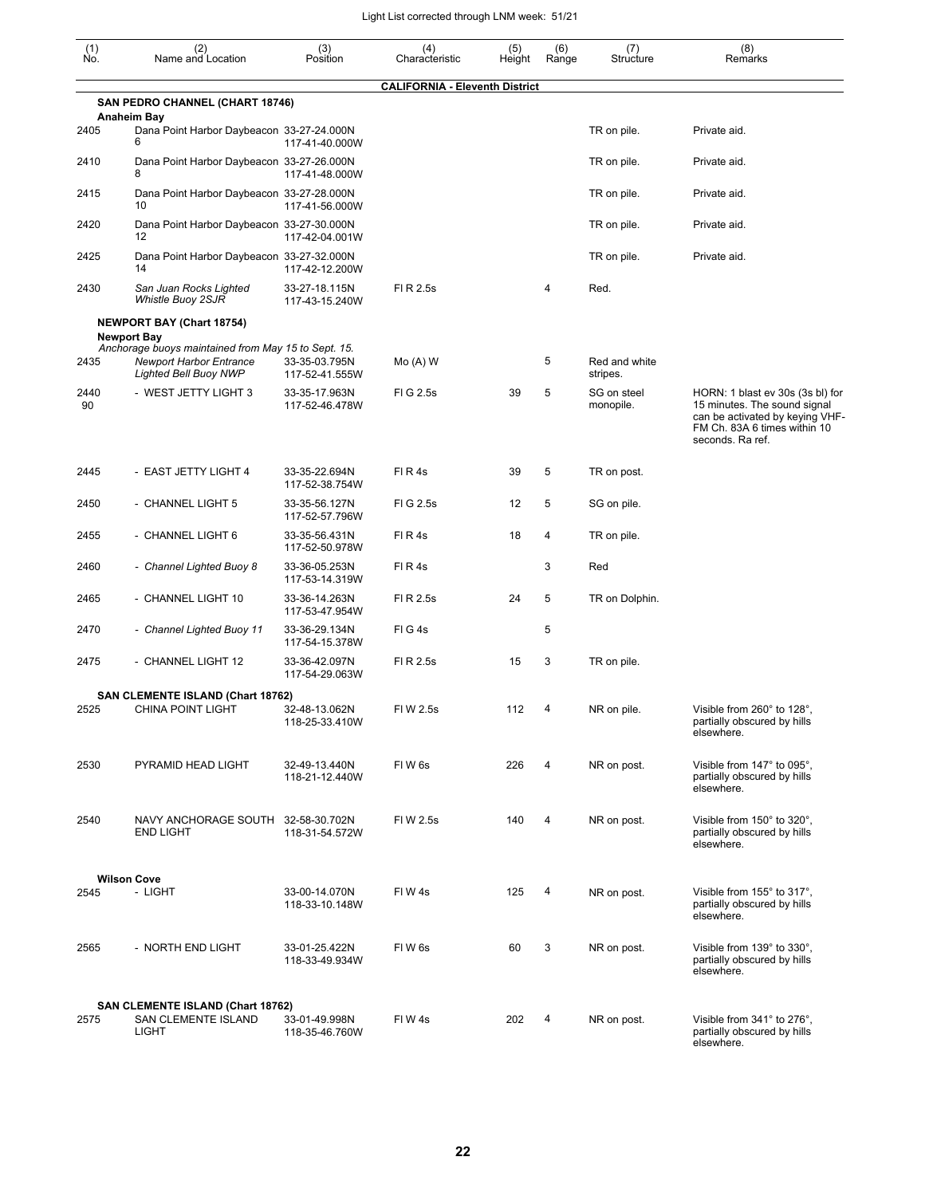| (1)        | (2)                                                                                                                                         | (3)                             | (4)                                   | (5)    | (6)   | (7)                       | (8)                                                                                                                                                     |
|------------|---------------------------------------------------------------------------------------------------------------------------------------------|---------------------------------|---------------------------------------|--------|-------|---------------------------|---------------------------------------------------------------------------------------------------------------------------------------------------------|
| Ño.        | Name and Location                                                                                                                           | Position                        | Characteristic                        | Height | Range | Structure                 | Remarks                                                                                                                                                 |
|            | SAN PEDRO CHANNEL (CHART 18746)                                                                                                             |                                 | <b>CALIFORNIA - Eleventh District</b> |        |       |                           |                                                                                                                                                         |
| 2405       | <b>Anaheim Bay</b><br>Dana Point Harbor Daybeacon 33-27-24.000N<br>6                                                                        | 117-41-40.000W                  |                                       |        |       | TR on pile.               | Private aid.                                                                                                                                            |
| 2410       | Dana Point Harbor Daybeacon 33-27-26.000N                                                                                                   | 117-41-48.000W                  |                                       |        |       | TR on pile.               | Private aid.                                                                                                                                            |
| 2415       | Dana Point Harbor Daybeacon 33-27-28.000N<br>10                                                                                             | 117-41-56.000W                  |                                       |        |       | TR on pile.               | Private aid.                                                                                                                                            |
| 2420       | Dana Point Harbor Daybeacon 33-27-30.000N<br>12                                                                                             | 117-42-04.001W                  |                                       |        |       | TR on pile.               | Private aid.                                                                                                                                            |
| 2425       | Dana Point Harbor Daybeacon 33-27-32.000N<br>14                                                                                             | 117-42-12.200W                  |                                       |        |       | TR on pile.               | Private aid.                                                                                                                                            |
| 2430       | San Juan Rocks Lighted<br>Whistle Buoy 2SJR                                                                                                 | 33-27-18.115N<br>117-43-15.240W | FI R 2.5s                             |        | 4     | Red.                      |                                                                                                                                                         |
|            | <b>NEWPORT BAY (Chart 18754)</b>                                                                                                            |                                 |                                       |        |       |                           |                                                                                                                                                         |
| 2435       | <b>Newport Bay</b><br>Anchorage buoys maintained from May 15 to Sept. 15.<br><b>Newport Harbor Entrance</b><br><b>Lighted Bell Buoy NWP</b> | 33-35-03.795N<br>117-52-41.555W | $Mo(A)$ W                             |        | 5     | Red and white<br>stripes. |                                                                                                                                                         |
| 2440<br>90 | - WEST JETTY LIGHT 3                                                                                                                        | 33-35-17.963N<br>117-52-46.478W | FIG 2.5s                              | 39     | 5     | SG on steel<br>monopile.  | HORN: 1 blast ev 30s (3s bl) for<br>15 minutes. The sound signal<br>can be activated by keying VHF-<br>FM Ch. 83A 6 times within 10<br>seconds. Ra ref. |
| 2445       | - EAST JETTY LIGHT 4                                                                                                                        | 33-35-22.694N<br>117-52-38.754W | FIR4s                                 | 39     | 5     | TR on post.               |                                                                                                                                                         |
| 2450       | - CHANNEL LIGHT 5                                                                                                                           | 33-35-56.127N<br>117-52-57.796W | FI G 2.5s                             | 12     | 5     | SG on pile.               |                                                                                                                                                         |
| 2455       | - CHANNEL LIGHT 6                                                                                                                           | 33-35-56.431N<br>117-52-50.978W | FIR4s                                 | 18     | 4     | TR on pile.               |                                                                                                                                                         |
| 2460       | - Channel Lighted Buoy 8                                                                                                                    | 33-36-05.253N<br>117-53-14.319W | FIR4s                                 |        | 3     | Red                       |                                                                                                                                                         |
| 2465       | - CHANNEL LIGHT 10                                                                                                                          | 33-36-14.263N<br>117-53-47.954W | FI R 2.5s                             | 24     | 5     | TR on Dolphin.            |                                                                                                                                                         |
| 2470       | - Channel Lighted Buoy 11                                                                                                                   | 33-36-29.134N<br>117-54-15.378W | FIG4s                                 |        | 5     |                           |                                                                                                                                                         |
| 2475       | - CHANNEL LIGHT 12                                                                                                                          | 33-36-42.097N<br>117-54-29.063W | FI R 2.5s                             | 15     | 3     | TR on pile.               |                                                                                                                                                         |
| 2525       | <b>SAN CLEMENTE ISLAND (Chart 18762)</b><br>CHINA POINT LIGHT                                                                               | 32-48-13.062N<br>118-25-33.410W | FIW 2.5s                              | 112    | 4     | NR on pile.               | Visible from 260° to 128°<br>partially obscured by hills<br>elsewhere.                                                                                  |
| 2530       | PYRAMID HEAD LIGHT                                                                                                                          | 32-49-13.440N<br>118-21-12.440W | FIW 6s                                | 226    | 4     | NR on post.               | Visible from 147° to 095°,<br>partially obscured by hills<br>elsewhere.                                                                                 |
| 2540       | NAVY ANCHORAGE SOUTH 32-58-30.702N<br><b>END LIGHT</b>                                                                                      | 118-31-54.572W                  | FI W 2.5s                             | 140    | 4     | NR on post.               | Visible from 150° to 320°,<br>partially obscured by hills<br>elsewhere.                                                                                 |
|            | <b>Wilson Cove</b>                                                                                                                          |                                 |                                       |        |       |                           |                                                                                                                                                         |
| 2545       | - LIGHT                                                                                                                                     | 33-00-14.070N<br>118-33-10.148W | FIW4s                                 | 125    | 4     | NR on post.               | Visible from 155° to 317°,<br>partially obscured by hills<br>elsewhere.                                                                                 |
| 2565       | - NORTH END LIGHT                                                                                                                           | 33-01-25.422N<br>118-33-49.934W | FIW 6s                                | 60     | 3     | NR on post.               | Visible from 139° to 330°,<br>partially obscured by hills<br>elsewhere.                                                                                 |
|            | SAN CLEMENTE ISLAND (Chart 18762)                                                                                                           |                                 |                                       |        |       |                           |                                                                                                                                                         |
| 2575       | SAN CLEMENTE ISLAND<br><b>LIGHT</b>                                                                                                         | 33-01-49.998N<br>118-35-46.760W | FIW4s                                 | 202    | 4     | NR on post.               | Visible from 341° to 276°,<br>partially obscured by hills<br>elsewhere.                                                                                 |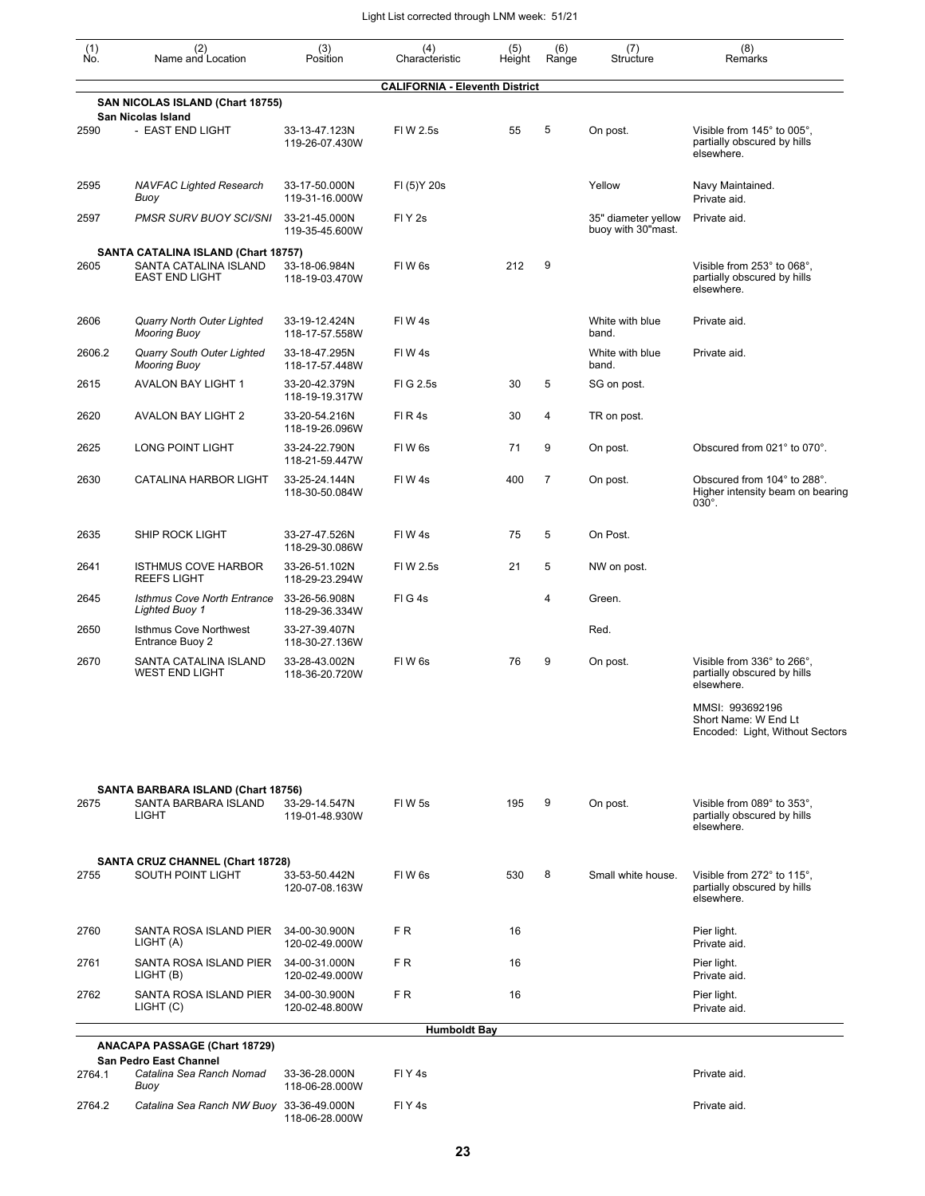| $\begin{smallmatrix} (1) \\ \mathsf{No} \end{smallmatrix}$ | (2)<br>Name and Location                                                              | (3)<br>Position                 | (4)<br>Characteristic                 | (5)<br>Height | (6)<br>Range   | (7)<br>Structure                          | (8)<br>Remarks                                                             |
|------------------------------------------------------------|---------------------------------------------------------------------------------------|---------------------------------|---------------------------------------|---------------|----------------|-------------------------------------------|----------------------------------------------------------------------------|
|                                                            |                                                                                       |                                 | <b>CALIFORNIA - Eleventh District</b> |               |                |                                           |                                                                            |
|                                                            | SAN NICOLAS ISLAND (Chart 18755)<br>San Nicolas Island                                |                                 |                                       |               |                |                                           |                                                                            |
| 2590                                                       | - EAST END LIGHT                                                                      | 33-13-47.123N<br>119-26-07.430W | FIW 2.5s                              | 55            | 5              | On post.                                  | Visible from 145° to 005°,<br>partially obscured by hills<br>elsewhere.    |
| 2595                                                       | <b>NAVFAC Lighted Research</b><br>Buoy                                                | 33-17-50.000N<br>119-31-16.000W | FI (5) Y 20s                          |               |                | Yellow                                    | Navy Maintained.<br>Private aid.                                           |
| 2597                                                       | PMSR SURV BUOY SCI/SNI                                                                | 33-21-45.000N<br>119-35-45.600W | FIY <sub>2s</sub>                     |               |                | 35" diameter yellow<br>buoy with 30"mast. | Private aid.                                                               |
| 2605                                                       | SANTA CATALINA ISLAND (Chart 18757)<br>SANTA CATALINA ISLAND<br><b>EAST END LIGHT</b> | 33-18-06.984N<br>118-19-03.470W | FIW <sub>6s</sub>                     | 212           | 9              |                                           | Visible from 253° to 068°,<br>partially obscured by hills<br>elsewhere.    |
| 2606                                                       | Quarry North Outer Lighted<br><b>Mooring Buoy</b>                                     | 33-19-12.424N<br>118-17-57.558W | FIW 4s                                |               |                | White with blue<br>band.                  | Private aid.                                                               |
| 2606.2                                                     | Quarry South Outer Lighted<br><b>Mooring Buoy</b>                                     | 33-18-47.295N<br>118-17-57.448W | FIW4s                                 |               |                | White with blue<br>band.                  | Private aid.                                                               |
| 2615                                                       | <b>AVALON BAY LIGHT 1</b>                                                             | 33-20-42.379N<br>118-19-19.317W | FIG 2.5s                              | 30            | 5              | SG on post.                               |                                                                            |
| 2620                                                       | <b>AVALON BAY LIGHT 2</b>                                                             | 33-20-54.216N<br>118-19-26.096W | FIR4s                                 | 30            | 4              | TR on post.                               |                                                                            |
| 2625                                                       | LONG POINT LIGHT                                                                      | 33-24-22.790N<br>118-21-59.447W | FIW <sub>6s</sub>                     | 71            | 9              | On post.                                  | Obscured from 021° to 070°.                                                |
| 2630                                                       | <b>CATALINA HARBOR LIGHT</b>                                                          | 33-25-24.144N<br>118-30-50.084W | FIW4s                                 | 400           | $\overline{7}$ | On post.                                  | Obscured from 104° to 288°.<br>Higher intensity beam on bearing<br>030°.   |
| 2635                                                       | SHIP ROCK LIGHT                                                                       | 33-27-47.526N<br>118-29-30.086W | FIW4s                                 | 75            | 5              | On Post.                                  |                                                                            |
| 2641                                                       | <b>ISTHMUS COVE HARBOR</b><br><b>REEFS LIGHT</b>                                      | 33-26-51.102N<br>118-29-23.294W | FIW 2.5s                              | 21            | 5              | NW on post.                               |                                                                            |
| 2645                                                       | <b>Isthmus Cove North Entrance</b><br><b>Lighted Buoy 1</b>                           | 33-26-56.908N<br>118-29-36.334W | FIG4s                                 |               | 4              | Green.                                    |                                                                            |
| 2650                                                       | <b>Isthmus Cove Northwest</b><br>Entrance Buoy 2                                      | 33-27-39.407N<br>118-30-27.136W |                                       |               |                | Red.                                      |                                                                            |
| 2670                                                       | SANTA CATALINA ISLAND<br><b>WEST END LIGHT</b>                                        | 33-28-43.002N<br>118-36-20.720W | FIW <sub>6s</sub>                     | 76            | 9              | On post.                                  | Visible from 336° to 266°.<br>partially obscured by hills<br>elsewhere.    |
|                                                            |                                                                                       |                                 |                                       |               |                |                                           | MMSI: 993692196<br>Short Name: W End Lt<br>Encoded: Light, Without Sectors |
| 2675                                                       | SANTA BARBARA ISLAND (Chart 18756)<br>SANTA BARBARA ISLAND<br><b>LIGHT</b>            | 33-29-14.547N<br>119-01-48.930W | FIW 5s                                | 195           | 9              | On post.                                  | Visible from 089° to 353°.<br>partially obscured by hills<br>elsewhere.    |
|                                                            | SANTA CRUZ CHANNEL (Chart 18728)                                                      |                                 |                                       |               |                |                                           |                                                                            |
| 2755                                                       | SOUTH POINT LIGHT                                                                     | 33-53-50.442N<br>120-07-08.163W | FIW <sub>6s</sub>                     | 530           | 8              | Small white house.                        | Visible from 272° to 115°,<br>partially obscured by hills<br>elsewhere.    |
| 2760                                                       | SANTA ROSA ISLAND PIER<br>LIGHT (A)                                                   | 34-00-30.900N<br>120-02-49.000W | FR                                    | 16            |                |                                           | Pier light.<br>Private aid.                                                |
| 2761                                                       | SANTA ROSA ISLAND PIER<br>LIGHT (B)                                                   | 34-00-31.000N<br>120-02-49.000W | FR.                                   | 16            |                |                                           | Pier light.<br>Private aid.                                                |
| 2762                                                       | SANTA ROSA ISLAND PIER<br>LIGHT (C)                                                   | 34-00-30.900N<br>120-02-48.800W | FR                                    | 16            |                |                                           | Pier light.<br>Private aid.                                                |
|                                                            |                                                                                       |                                 | <b>Humboldt Bay</b>                   |               |                |                                           |                                                                            |
|                                                            | <b>ANACAPA PASSAGE (Chart 18729)</b>                                                  |                                 |                                       |               |                |                                           |                                                                            |
| 2764.1                                                     | <b>San Pedro East Channel</b><br>Catalina Sea Ranch Nomad<br>Buoy                     | 33-36-28.000N<br>118-06-28.000W | FIY <sub>4s</sub>                     |               |                |                                           | Private aid.                                                               |
| 2764.2                                                     | Catalina Sea Ranch NW Buoy 33-36-49.000N                                              | 118-06-28.000W                  | FIY <sub>4s</sub>                     |               |                |                                           | Private aid.                                                               |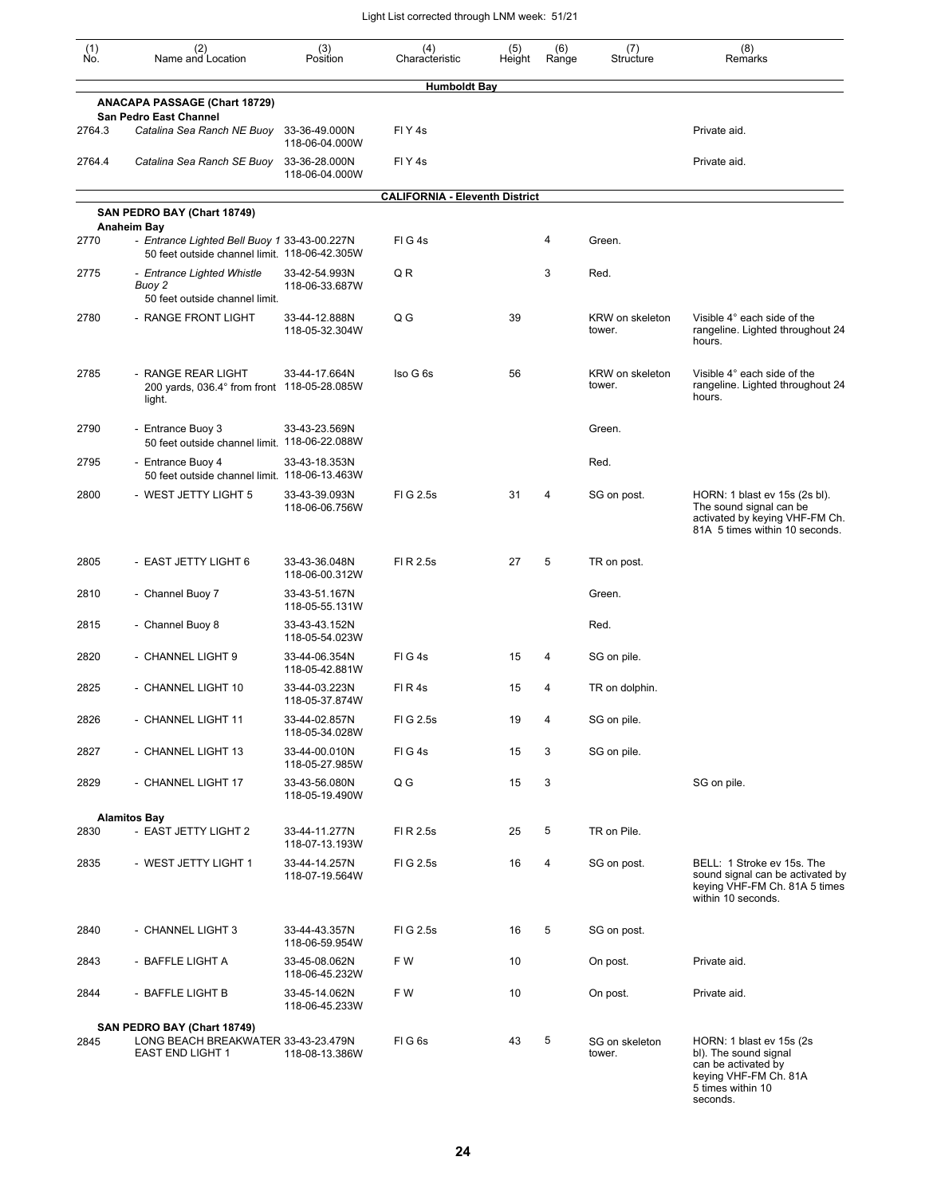| (1)<br>No. | (2)<br>Name and Location                                                                      | (3)<br>Position                 | (4)<br>Characteristic                 | (5)<br>Height | (6)<br>Range | (7)<br>Structure          | (8)<br>Remarks                                                                                                                      |
|------------|-----------------------------------------------------------------------------------------------|---------------------------------|---------------------------------------|---------------|--------------|---------------------------|-------------------------------------------------------------------------------------------------------------------------------------|
|            |                                                                                               |                                 | <b>Humboldt Bay</b>                   |               |              |                           |                                                                                                                                     |
|            | <b>ANACAPA PASSAGE (Chart 18729)</b><br>San Pedro East Channel                                |                                 |                                       |               |              |                           |                                                                                                                                     |
| 2764.3     | Catalina Sea Ranch NE Buoy                                                                    | 33-36-49.000N<br>118-06-04.000W | FIY4s                                 |               |              |                           | Private aid.                                                                                                                        |
| 2764.4     | Catalina Sea Ranch SE Buoy                                                                    | 33-36-28.000N<br>118-06-04.000W | FIY <sub>4s</sub>                     |               |              |                           | Private aid.                                                                                                                        |
|            | SAN PEDRO BAY (Chart 18749)                                                                   |                                 | <b>CALIFORNIA - Eleventh District</b> |               |              |                           |                                                                                                                                     |
|            | Anaheim Bay                                                                                   |                                 |                                       |               |              |                           |                                                                                                                                     |
| 2770       | - Entrance Lighted Bell Buoy 1 33-43-00.227N<br>50 feet outside channel limit. 118-06-42.305W |                                 | FIG4s                                 |               | 4            | Green.                    |                                                                                                                                     |
| 2775       | - Entrance Lighted Whistle<br>Buoy 2<br>50 feet outside channel limit.                        | 33-42-54.993N<br>118-06-33.687W | Q R                                   |               | 3            | Red.                      |                                                                                                                                     |
| 2780       | - RANGE FRONT LIGHT                                                                           | 33-44-12.888N<br>118-05-32.304W | Q G                                   | 39            |              | KRW on skeleton<br>tower. | Visible 4° each side of the<br>rangeline. Lighted throughout 24<br>hours.                                                           |
| 2785       | - RANGE REAR LIGHT<br>200 yards, 036.4° from front 118-05-28.085W<br>light.                   | 33-44-17.664N                   | Iso G 6s                              | 56            |              | KRW on skeleton<br>tower. | Visible 4° each side of the<br>rangeline. Lighted throughout 24<br>hours.                                                           |
| 2790       | - Entrance Buoy 3<br>50 feet outside channel limit. 118-06-22.088W                            | 33-43-23.569N                   |                                       |               |              | Green.                    |                                                                                                                                     |
| 2795       | - Entrance Buoy 4<br>50 feet outside channel limit. 118-06-13.463W                            | 33-43-18.353N                   |                                       |               |              | Red.                      |                                                                                                                                     |
| 2800       | - WEST JETTY LIGHT 5                                                                          | 33-43-39.093N<br>118-06-06.756W | FIG 2.5s                              | 31            | 4            | SG on post.               | HORN: 1 blast ev 15s (2s bl).<br>The sound signal can be<br>activated by keying VHF-FM Ch.<br>81A 5 times within 10 seconds.        |
| 2805       | - EAST JETTY LIGHT 6                                                                          | 33-43-36.048N<br>118-06-00.312W | FI R 2.5s                             | 27            | 5            | TR on post.               |                                                                                                                                     |
| 2810       | - Channel Buoy 7                                                                              | 33-43-51.167N<br>118-05-55.131W |                                       |               |              | Green.                    |                                                                                                                                     |
| 2815       | - Channel Buoy 8                                                                              | 33-43-43.152N<br>118-05-54.023W |                                       |               |              | Red.                      |                                                                                                                                     |
| 2820       | - CHANNEL LIGHT 9                                                                             | 33-44-06.354N<br>118-05-42.881W | FIG4s                                 | 15            | 4            | SG on pile.               |                                                                                                                                     |
| 2825       | - CHANNEL LIGHT 10                                                                            | 33-44-03.223N<br>118-05-37.874W | FIR4s                                 | 15            | 4            | TR on dolphin.            |                                                                                                                                     |
| 2826       | - CHANNEL LIGHT 11                                                                            | 33-44-02.857N<br>118-05-34.028W | FIG 2.5s                              | 19            | 4            | SG on pile.               |                                                                                                                                     |
| 2827       | - CHANNEL LIGHT 13                                                                            | 33-44-00.010N<br>118-05-27.985W | FIG4s                                 | 15            | 3            | SG on pile.               |                                                                                                                                     |
| 2829       | - CHANNEL LIGHT 17                                                                            | 33-43-56.080N<br>118-05-19.490W | Q G                                   | 15            | 3            |                           | SG on pile.                                                                                                                         |
|            | <b>Alamitos Bay</b>                                                                           |                                 |                                       |               |              |                           |                                                                                                                                     |
| 2830       | - EAST JETTY LIGHT 2                                                                          | 33-44-11.277N<br>118-07-13.193W | FI R 2.5s                             | 25            | 5            | TR on Pile.               |                                                                                                                                     |
| 2835       | - WEST JETTY LIGHT 1                                                                          | 33-44-14.257N<br>118-07-19.564W | FIG 2.5s                              | 16            | 4            | SG on post.               | BELL: 1 Stroke ev 15s. The<br>sound signal can be activated by<br>keying VHF-FM Ch. 81A 5 times<br>within 10 seconds.               |
| 2840       | - CHANNEL LIGHT 3                                                                             | 33-44-43.357N<br>118-06-59.954W | FIG 2.5s                              | 16            | 5            | SG on post.               |                                                                                                                                     |
| 2843       | - BAFFLE LIGHT A                                                                              | 33-45-08.062N<br>118-06-45.232W | F W                                   | 10            |              | On post.                  | Private aid.                                                                                                                        |
| 2844       | - BAFFLE LIGHT B                                                                              | 33-45-14.062N<br>118-06-45.233W | F W                                   | 10            |              | On post.                  | Private aid.                                                                                                                        |
|            | SAN PEDRO BAY (Chart 18749)                                                                   |                                 |                                       |               |              |                           |                                                                                                                                     |
| 2845       | LONG BEACH BREAKWATER 33-43-23.479N<br><b>EAST END LIGHT 1</b>                                | 118-08-13.386W                  | FIG6s                                 | 43            | 5            | SG on skeleton<br>tower.  | HORN: 1 blast ev 15s (2s)<br>bl). The sound signal<br>can be activated by<br>keying VHF-FM Ch. 81A<br>5 times within 10<br>seconds. |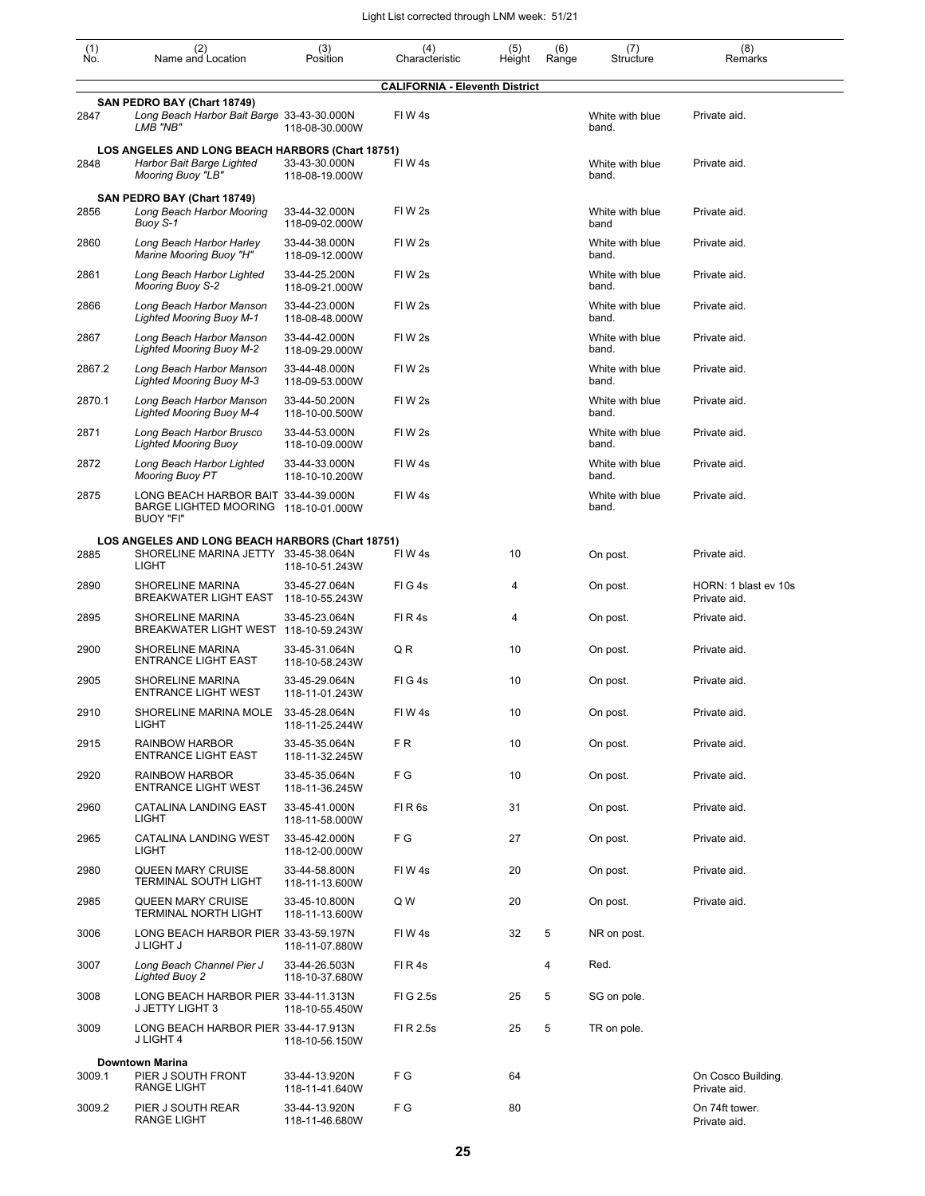| $\begin{smallmatrix} (1) \ N0. \end{smallmatrix}$ | (2)<br>Name and Location                                                                                  | (3)<br>Position                 | (4)<br>Characteristic                 | (5)<br>Height | (6)<br>Range | (7)<br>Structure         | (8)<br>Remarks                       |  |  |  |
|---------------------------------------------------|-----------------------------------------------------------------------------------------------------------|---------------------------------|---------------------------------------|---------------|--------------|--------------------------|--------------------------------------|--|--|--|
|                                                   |                                                                                                           |                                 | <b>CALIFORNIA - Eleventh District</b> |               |              |                          |                                      |  |  |  |
| 2847                                              | SAN PEDRO BAY (Chart 18749)<br>Long Beach Harbor Bait Barge 33-43-30.000N<br>LMB "NB"                     | 118-08-30.000W                  | FIW4s                                 |               |              | White with blue<br>band. | Private aid.                         |  |  |  |
| 2848                                              | LOS ANGELES AND LONG BEACH HARBORS (Chart 18751)<br>Harbor Bait Barge Lighted<br><b>Mooring Buoy "LB"</b> | 33-43-30.000N<br>118-08-19.000W | FIW4s                                 |               |              | White with blue<br>band. | Private aid.                         |  |  |  |
| 2856                                              | SAN PEDRO BAY (Chart 18749)<br>Long Beach Harbor Mooring<br>Buoy S-1                                      | 33-44-32.000N<br>118-09-02.000W | FIW <sub>2s</sub>                     |               |              | White with blue<br>band  | Private aid.                         |  |  |  |
| 2860                                              | Long Beach Harbor Harley<br>Marine Mooring Buoy "H"                                                       | 33-44-38.000N<br>118-09-12.000W | FIW 2s                                |               |              | White with blue<br>band. | Private aid.                         |  |  |  |
| 2861                                              | Long Beach Harbor Lighted<br><b>Mooring Buoy S-2</b>                                                      | 33-44-25.200N<br>118-09-21.000W | FIW 2s                                |               |              | White with blue<br>band. | Private aid.                         |  |  |  |
| 2866                                              | Long Beach Harbor Manson<br><b>Lighted Mooring Buoy M-1</b>                                               | 33-44-23.000N<br>118-08-48.000W | FIW <sub>2s</sub>                     |               |              | White with blue<br>band. | Private aid.                         |  |  |  |
| 2867                                              | Long Beach Harbor Manson<br><b>Lighted Mooring Buoy M-2</b>                                               | 33-44-42.000N<br>118-09-29.000W | FIW <sub>2s</sub>                     |               |              | White with blue<br>band. | Private aid.                         |  |  |  |
| 2867.2                                            | Long Beach Harbor Manson<br><b>Lighted Mooring Buoy M-3</b>                                               | 33-44-48.000N<br>118-09-53.000W | FIW <sub>2s</sub>                     |               |              | White with blue<br>band. | Private aid.                         |  |  |  |
| 2870.1                                            | Long Beach Harbor Manson<br><b>Lighted Mooring Buoy M-4</b>                                               | 33-44-50.200N<br>118-10-00.500W | FIW <sub>2s</sub>                     |               |              | White with blue<br>band. | Private aid.                         |  |  |  |
| 2871                                              | Long Beach Harbor Brusco<br><b>Lighted Mooring Buoy</b>                                                   | 33-44-53.000N<br>118-10-09.000W | FIW <sub>2s</sub>                     |               |              | White with blue<br>band. | Private aid.                         |  |  |  |
| 2872                                              | Long Beach Harbor Lighted<br><b>Mooring Buoy PT</b>                                                       | 33-44-33.000N<br>118-10-10.200W | FIW4s                                 |               |              | White with blue<br>band. | Private aid.                         |  |  |  |
| 2875                                              | LONG BEACH HARBOR BAIT 33-44-39.000N<br>BARGE LIGHTED MOORING 118-10-01.000W<br>BUOY "FI"                 |                                 | FIW4s                                 |               |              | White with blue<br>band. | Private aid.                         |  |  |  |
| LOS ANGELES AND LONG BEACH HARBORS (Chart 18751)  |                                                                                                           |                                 |                                       |               |              |                          |                                      |  |  |  |
| 2885                                              | SHORELINE MARINA JETTY 33-45-38.064N<br>LIGHT                                                             | 118-10-51.243W                  | FIW4s                                 | 10            |              | On post.                 | Private aid.                         |  |  |  |
| 2890                                              | SHORELINE MARINA<br>BREAKWATER LIGHT EAST                                                                 | 33-45-27.064N<br>118-10-55.243W | FIG4s                                 | 4             |              | On post.                 | HORN: 1 blast ev 10s<br>Private aid. |  |  |  |
| 2895                                              | SHORELINE MARINA<br>BREAKWATER LIGHT WEST 118-10-59.243W                                                  | 33-45-23.064N                   | FIR4s                                 | 4             |              | On post.                 | Private aid.                         |  |  |  |
| 2900                                              | SHORELINE MARINA<br><b>ENTRANCE LIGHT EAST</b>                                                            | 33-45-31.064N<br>118-10-58.243W | Q R                                   | 10            |              | On post.                 | Private aid.                         |  |  |  |
| 2905                                              | SHORELINE MARINA<br><b>ENTRANCE LIGHT WEST</b>                                                            | 33-45-29.064N<br>118-11-01.243W | FIG4s                                 | 10            |              | On post.                 | Private aid.                         |  |  |  |
| 2910                                              | SHORELINE MARINA MOLE 33-45-28.064N<br>LIGHT                                                              | 118-11-25.244W                  | FIW4s                                 | 10            |              | On post.                 | Private aid.                         |  |  |  |
| 2915                                              | <b>RAINBOW HARBOR</b><br><b>ENTRANCE LIGHT EAST</b>                                                       | 33-45-35.064N<br>118-11-32.245W | FR.                                   | 10            |              | On post.                 | Private aid.                         |  |  |  |
| 2920                                              | <b>RAINBOW HARBOR</b><br><b>ENTRANCE LIGHT WEST</b>                                                       | 33-45-35.064N<br>118-11-36.245W | F G                                   | 10            |              | On post.                 | Private aid.                         |  |  |  |
| 2960                                              | CATALINA LANDING EAST<br>LIGHT                                                                            | 33-45-41.000N<br>118-11-58.000W | FIR <sub>6s</sub>                     | 31            |              | On post.                 | Private aid.                         |  |  |  |
| 2965                                              | CATALINA LANDING WEST<br>LIGHT                                                                            | 33-45-42.000N<br>118-12-00.000W | F G                                   | 27            |              | On post.                 | Private aid.                         |  |  |  |
| 2980                                              | <b>QUEEN MARY CRUISE</b><br><b>TERMINAL SOUTH LIGHT</b>                                                   | 33-44-58.800N<br>118-11-13.600W | FIW4s                                 | 20            |              | On post.                 | Private aid.                         |  |  |  |
| 2985                                              | <b>QUEEN MARY CRUISE</b><br><b>TERMINAL NORTH LIGHT</b>                                                   | 33-45-10.800N<br>118-11-13.600W | Q W                                   | 20            |              | On post.                 | Private aid.                         |  |  |  |
| 3006                                              | LONG BEACH HARBOR PIER 33-43-59.197N<br>J LIGHT J                                                         | 118-11-07.880W                  | FIW4s                                 | 32            | 5            | NR on post.              |                                      |  |  |  |
| 3007                                              | Long Beach Channel Pier J<br><b>Lighted Buoy 2</b>                                                        | 33-44-26.503N<br>118-10-37.680W | FIR4s                                 |               | 4            | Red.                     |                                      |  |  |  |
| 3008                                              | LONG BEACH HARBOR PIER 33-44-11.313N<br>J JETTY LIGHT 3                                                   | 118-10-55.450W                  | FIG 2.5s                              | 25            | 5            | SG on pole.              |                                      |  |  |  |
| 3009                                              | LONG BEACH HARBOR PIER 33-44-17.913N<br>J LIGHT 4                                                         | 118-10-56.150W                  | FI R 2.5s                             | 25            | 5            | TR on pole.              |                                      |  |  |  |
| 3009.1                                            | <b>Downtown Marina</b><br>PIER J SOUTH FRONT<br><b>RANGE LIGHT</b>                                        | 33-44-13.920N<br>118-11-41.640W | F G                                   | 64            |              |                          | On Cosco Building.<br>Private aid.   |  |  |  |
| 3009.2                                            | PIER J SOUTH REAR<br><b>RANGE LIGHT</b>                                                                   | 33-44-13.920N<br>118-11-46.680W | F G                                   | 80            |              |                          | On 74ft tower.<br>Private aid.       |  |  |  |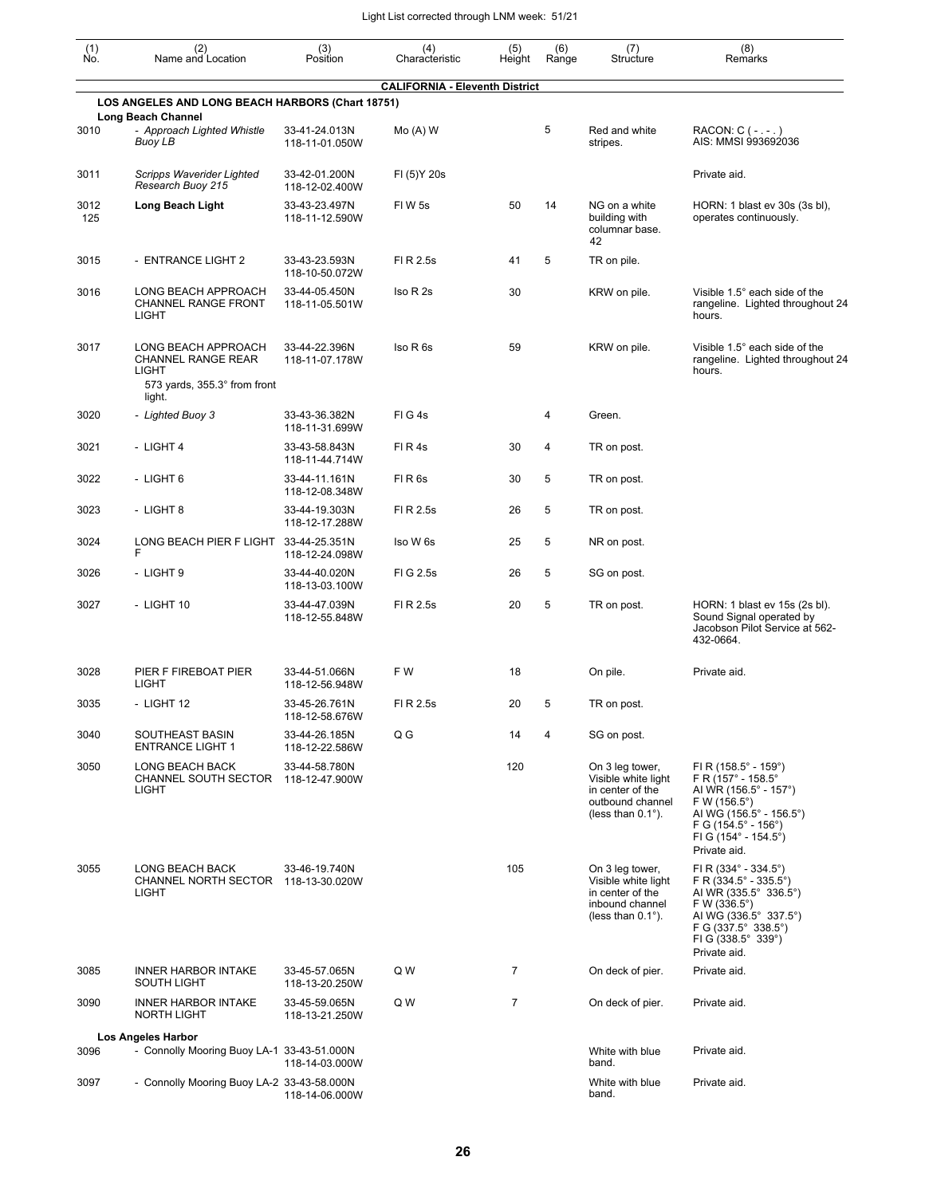| (1)<br>Ño.  | (2)<br>Name and Location                                                           | (3)<br>Position                 | (4)<br>Characteristic                 | (5)<br>Height | (6)<br>Range | (7)<br>Structure                                                                                            | (8)<br>Remarks                                                                                                                                                                                                                    |
|-------------|------------------------------------------------------------------------------------|---------------------------------|---------------------------------------|---------------|--------------|-------------------------------------------------------------------------------------------------------------|-----------------------------------------------------------------------------------------------------------------------------------------------------------------------------------------------------------------------------------|
|             | LOS ANGELES AND LONG BEACH HARBORS (Chart 18751)                                   |                                 | <b>CALIFORNIA - Eleventh District</b> |               |              |                                                                                                             |                                                                                                                                                                                                                                   |
| 3010        | <b>Long Beach Channel</b><br>- Approach Lighted Whistle                            | 33-41-24.013N                   | $Mo(A)$ W                             |               | 5            | Red and white                                                                                               | $RACON: C (-, -, )$                                                                                                                                                                                                               |
|             | Buoy LB                                                                            | 118-11-01.050W                  |                                       |               |              | stripes.                                                                                                    | AIS: MMSI 993692036                                                                                                                                                                                                               |
| 3011        | Scripps Waverider Lighted<br>Research Buoy 215                                     | 33-42-01.200N<br>118-12-02.400W | FI (5) Y 20s                          |               |              |                                                                                                             | Private aid.                                                                                                                                                                                                                      |
| 3012<br>125 | Long Beach Light                                                                   | 33-43-23.497N<br>118-11-12.590W | <b>FIW5s</b>                          | 50            | 14           | NG on a white<br>building with<br>columnar base.<br>42                                                      | HORN: 1 blast ev 30s (3s bl),<br>operates continuously.                                                                                                                                                                           |
| 3015        | - ENTRANCE LIGHT 2                                                                 | 33-43-23.593N<br>118-10-50.072W | FI R 2.5s                             | 41            | 5            | TR on pile.                                                                                                 |                                                                                                                                                                                                                                   |
| 3016        | LONG BEACH APPROACH<br>CHANNEL RANGE FRONT<br><b>LIGHT</b>                         | 33-44-05.450N<br>118-11-05.501W | Iso R 2s                              | 30            |              | KRW on pile.                                                                                                | Visible 1.5° each side of the<br>rangeline. Lighted throughout 24<br>hours.                                                                                                                                                       |
| 3017        | LONG BEACH APPROACH<br>CHANNEL RANGE REAR<br>LIGHT<br>573 yards, 355.3° from front | 33-44-22.396N<br>118-11-07.178W | Iso R 6s                              | 59            |              | KRW on pile.                                                                                                | Visible 1.5° each side of the<br>rangeline. Lighted throughout 24<br>hours.                                                                                                                                                       |
|             | light.                                                                             |                                 |                                       |               |              |                                                                                                             |                                                                                                                                                                                                                                   |
| 3020        | - Lighted Buoy 3                                                                   | 33-43-36.382N<br>118-11-31.699W | FIG4s                                 |               | 4            | Green.                                                                                                      |                                                                                                                                                                                                                                   |
| 3021        | - LIGHT 4                                                                          | 33-43-58.843N<br>118-11-44.714W | FIR4s                                 | 30            | 4            | TR on post.                                                                                                 |                                                                                                                                                                                                                                   |
| 3022        | - LIGHT 6                                                                          | 33-44-11.161N<br>118-12-08.348W | FIR <sub>6s</sub>                     | 30            | 5            | TR on post.                                                                                                 |                                                                                                                                                                                                                                   |
| 3023        | - LIGHT 8                                                                          | 33-44-19.303N<br>118-12-17.288W | FI R 2.5s                             | 26            | 5            | TR on post.                                                                                                 |                                                                                                                                                                                                                                   |
| 3024        | LONG BEACH PIER F LIGHT<br>F                                                       | 33-44-25.351N<br>118-12-24.098W | Iso W 6s                              | 25            | 5            | NR on post.                                                                                                 |                                                                                                                                                                                                                                   |
| 3026        | - LIGHT 9                                                                          | 33-44-40.020N<br>118-13-03.100W | FIG 2.5s                              | 26            | 5            | SG on post.                                                                                                 |                                                                                                                                                                                                                                   |
| 3027        | - LIGHT 10                                                                         | 33-44-47.039N<br>118-12-55.848W | FI R 2.5s                             | 20            | 5            | TR on post.                                                                                                 | HORN: 1 blast ev 15s (2s bl).<br>Sound Signal operated by<br>Jacobson Pilot Service at 562-<br>432-0664.                                                                                                                          |
| 3028        | PIER F FIREBOAT PIER<br><b>LIGHT</b>                                               | 33-44-51.066N<br>118-12-56.948W | F W                                   | 18            |              | On pile.                                                                                                    | Private aid.                                                                                                                                                                                                                      |
| 3035        | - LIGHT 12                                                                         | 33-45-26.761N<br>118-12-58.676W | FI R 2.5s                             | 20            | 5            | TR on post.                                                                                                 |                                                                                                                                                                                                                                   |
| 3040        | SOUTHEAST BASIN<br><b>ENTRANCE LIGHT 1</b>                                         | 33-44-26.185N<br>118-12-22.586W | Q G                                   | 14            | 4            | SG on post.                                                                                                 |                                                                                                                                                                                                                                   |
| 3050        | <b>LONG BEACH BACK</b><br>CHANNEL SOUTH SECTOR<br>LIGHT                            | 33-44-58.780N<br>118-12-47.900W |                                       | 120           |              | On 3 leg tower,<br>Visible white light<br>in center of the<br>outbound channel<br>(less than $0.1^\circ$ ). | FI R (158.5 $^{\circ}$ - 159 $^{\circ}$ )<br>F R (157° - 158.5°<br>AI WR (156.5° - 157°)<br>F W (156.5°)<br>AI WG (156.5° - 156.5°)<br>$FG (154.5^{\circ} - 156^{\circ})$<br>FI G $(154^{\circ} - 154.5^{\circ})$<br>Private aid. |
| 3055        | LONG BEACH BACK<br>CHANNEL NORTH SECTOR 118-13-30.020W<br><b>LIGHT</b>             | 33-46-19.740N                   |                                       | 105           |              | On 3 leg tower,<br>Visible white light<br>in center of the<br>inbound channel<br>(less than $0.1^\circ$ ).  | FI R $(334^{\circ} - 334.5^{\circ})$<br>$F R (334.5^{\circ} - 335.5^{\circ})$<br>AI WR (335.5° 336.5°)<br>F W (336.5°)<br>AI WG (336.5° 337.5°)<br>F G (337.5° 338.5°)<br>FI G (338.5° 339°)<br>Private aid.                      |
| 3085        | <b>INNER HARBOR INTAKE</b><br>SOUTH LIGHT                                          | 33-45-57.065N<br>118-13-20.250W | Q W                                   | 7             |              | On deck of pier.                                                                                            | Private aid.                                                                                                                                                                                                                      |
| 3090        | <b>INNER HARBOR INTAKE</b><br>NORTH LIGHT                                          | 33-45-59.065N<br>118-13-21.250W | Q W                                   | 7             |              | On deck of pier.                                                                                            | Private aid.                                                                                                                                                                                                                      |
| 3096        | Los Angeles Harbor<br>- Connolly Mooring Buoy LA-1 33-43-51.000N                   | 118-14-03.000W                  |                                       |               |              | White with blue<br>band.                                                                                    | Private aid.                                                                                                                                                                                                                      |
| 3097        | - Connolly Mooring Buoy LA-2 33-43-58.000N                                         | 118-14-06.000W                  |                                       |               |              | White with blue<br>band.                                                                                    | Private aid.                                                                                                                                                                                                                      |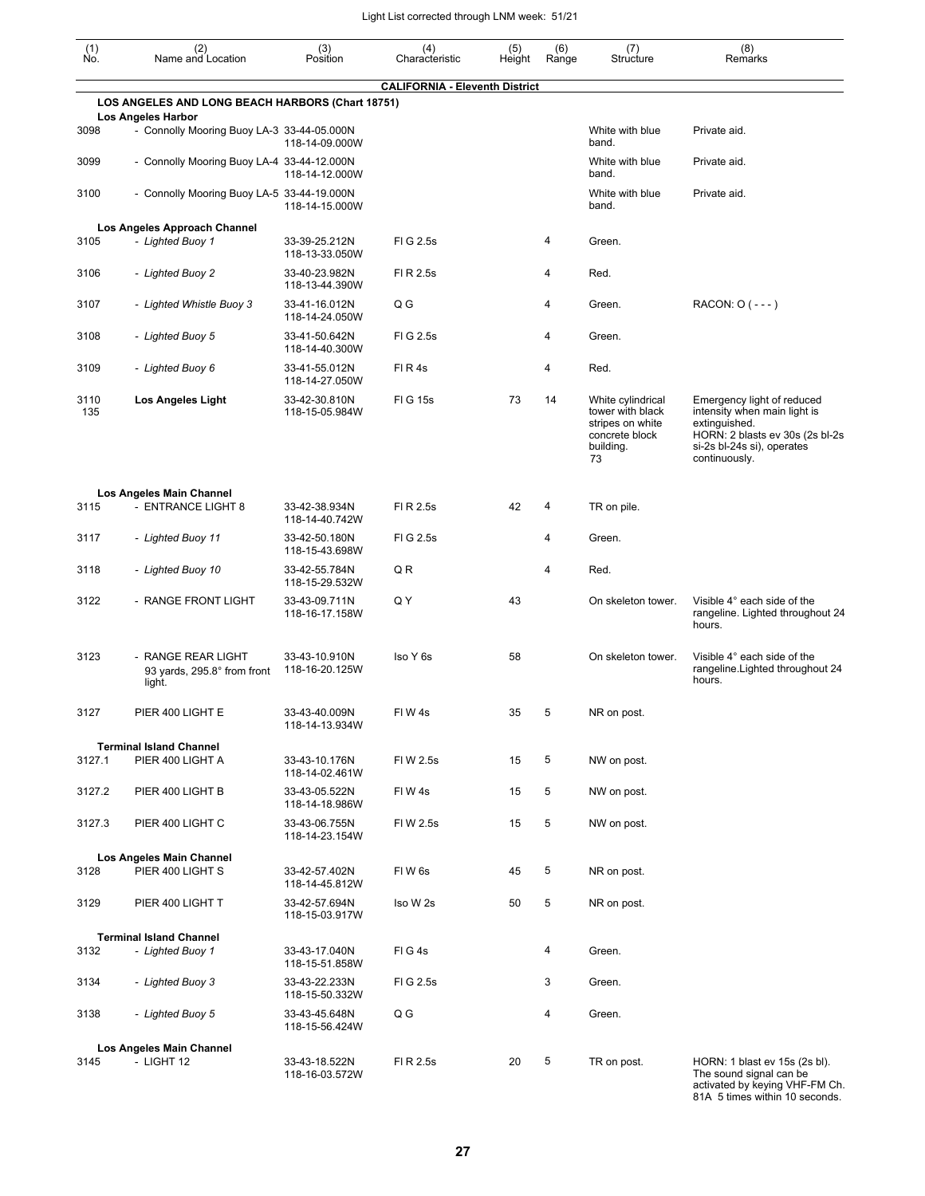| $\begin{smallmatrix} (1) \\ \mathsf{No} \end{smallmatrix}$ | (2)<br>Name and Location                                                | (3)<br>Position                 | (4)<br>Characteristic                 | (5)<br>Height | (6)<br>Range | (7)<br>Structure                                                                               | (8)<br>Remarks                                                                                                                                                |
|------------------------------------------------------------|-------------------------------------------------------------------------|---------------------------------|---------------------------------------|---------------|--------------|------------------------------------------------------------------------------------------------|---------------------------------------------------------------------------------------------------------------------------------------------------------------|
|                                                            |                                                                         |                                 | <b>CALIFORNIA - Eleventh District</b> |               |              |                                                                                                |                                                                                                                                                               |
|                                                            | LOS ANGELES AND LONG BEACH HARBORS (Chart 18751)                        |                                 |                                       |               |              |                                                                                                |                                                                                                                                                               |
| 3098                                                       | <b>Los Angeles Harbor</b><br>- Connolly Mooring Buoy LA-3 33-44-05.000N | 118-14-09.000W                  |                                       |               |              | White with blue<br>band.                                                                       | Private aid.                                                                                                                                                  |
| 3099                                                       | - Connolly Mooring Buoy LA-4 33-44-12.000N                              | 118-14-12.000W                  |                                       |               |              | White with blue<br>band.                                                                       | Private aid.                                                                                                                                                  |
| 3100                                                       | - Connolly Mooring Buoy LA-5 33-44-19.000N                              | 118-14-15.000W                  |                                       |               |              | White with blue<br>band.                                                                       | Private aid.                                                                                                                                                  |
|                                                            | Los Angeles Approach Channel                                            |                                 |                                       |               |              |                                                                                                |                                                                                                                                                               |
| 3105                                                       | - Lighted Buoy 1                                                        | 33-39-25.212N<br>118-13-33.050W | FIG 2.5s                              |               | 4            | Green.                                                                                         |                                                                                                                                                               |
| 3106                                                       | - Lighted Buoy 2                                                        | 33-40-23.982N<br>118-13-44.390W | FI R 2.5s                             |               | 4            | Red.                                                                                           |                                                                                                                                                               |
| 3107                                                       | - Lighted Whistle Buoy 3                                                | 33-41-16.012N<br>118-14-24.050W | Q G                                   |               | 4            | Green.                                                                                         | RACON: 0 (---)                                                                                                                                                |
| 3108                                                       | - Lighted Buoy 5                                                        | 33-41-50.642N<br>118-14-40.300W | FIG 2.5s                              |               | 4            | Green.                                                                                         |                                                                                                                                                               |
| 3109                                                       | - Lighted Buoy 6                                                        | 33-41-55.012N<br>118-14-27.050W | FIR4s                                 |               | 4            | Red.                                                                                           |                                                                                                                                                               |
| 3110<br>135                                                | <b>Los Angeles Light</b>                                                | 33-42-30.810N<br>118-15-05.984W | <b>FIG 15s</b>                        | 73            | 14           | White cylindrical<br>tower with black<br>stripes on white<br>concrete block<br>building.<br>73 | Emergency light of reduced<br>intensity when main light is<br>extinguished.<br>HORN: 2 blasts ev 30s (2s bl-2s<br>si-2s bl-24s si), operates<br>continuously. |
|                                                            | Los Angeles Main Channel                                                |                                 |                                       |               |              |                                                                                                |                                                                                                                                                               |
| 3115                                                       | - ENTRANCE LIGHT 8                                                      | 33-42-38.934N<br>118-14-40.742W | FI R 2.5s                             | 42            | 4            | TR on pile.                                                                                    |                                                                                                                                                               |
| 3117                                                       | - Lighted Buoy 11                                                       | 33-42-50.180N<br>118-15-43.698W | FIG 2.5s                              |               | 4            | Green.                                                                                         |                                                                                                                                                               |
| 3118                                                       | - Lighted Buoy 10                                                       | 33-42-55.784N<br>118-15-29.532W | Q R                                   |               | 4            | Red.                                                                                           |                                                                                                                                                               |
| 3122                                                       | - RANGE FRONT LIGHT                                                     | 33-43-09.711N<br>118-16-17.158W | Q Y                                   | 43            |              | On skeleton tower.                                                                             | Visible 4° each side of the<br>rangeline. Lighted throughout 24<br>hours.                                                                                     |
| 3123                                                       | - RANGE REAR LIGHT<br>93 yards, 295.8° from front<br>light.             | 33-43-10.910N<br>118-16-20.125W | Iso Y 6s                              | 58            |              | On skeleton tower.                                                                             | Visible 4° each side of the<br>rangeline. Lighted throughout 24<br>hours.                                                                                     |
| 3127                                                       | PIER 400 LIGHT E                                                        | 33-43-40.009N<br>118-14-13.934W | FIW4s                                 | 35            |              | NR on post.                                                                                    |                                                                                                                                                               |
|                                                            | <b>Terminal Island Channel</b>                                          |                                 |                                       |               |              |                                                                                                |                                                                                                                                                               |
| 3127.1                                                     | PIER 400 LIGHT A                                                        | 33-43-10.176N<br>118-14-02.461W | FIW 2.5s                              | 15            | 5            | NW on post.                                                                                    |                                                                                                                                                               |
| 3127.2                                                     | PIER 400 LIGHT B                                                        | 33-43-05.522N<br>118-14-18.986W | FIW4s                                 | 15            | 5            | NW on post.                                                                                    |                                                                                                                                                               |
| 3127.3                                                     | PIER 400 LIGHT C                                                        | 33-43-06.755N<br>118-14-23.154W | FIW 2.5s                              | 15            | 5            | NW on post.                                                                                    |                                                                                                                                                               |
|                                                            | Los Angeles Main Channel                                                |                                 |                                       |               |              |                                                                                                |                                                                                                                                                               |
| 3128                                                       | PIER 400 LIGHT S                                                        | 33-42-57.402N<br>118-14-45.812W | FIW6s                                 | 45            | 5            | NR on post.                                                                                    |                                                                                                                                                               |
| 3129                                                       | PIER 400 LIGHT T                                                        | 33-42-57.694N<br>118-15-03.917W | Iso W 2s                              | 50            | 5            | NR on post.                                                                                    |                                                                                                                                                               |
| 3132                                                       | <b>Terminal Island Channel</b><br>- Lighted Buoy 1                      | 33-43-17.040N<br>118-15-51.858W | FIG4s                                 |               | 4            | Green.                                                                                         |                                                                                                                                                               |
| 3134                                                       | - Lighted Buoy 3                                                        | 33-43-22.233N<br>118-15-50.332W | FIG 2.5s                              |               | 3            | Green.                                                                                         |                                                                                                                                                               |
| 3138                                                       | - Lighted Buoy 5                                                        | 33-43-45.648N<br>118-15-56.424W | Q G                                   |               | 4            | Green.                                                                                         |                                                                                                                                                               |
| 3145                                                       | Los Angeles Main Channel<br>- LIGHT 12                                  | 33-43-18.522N<br>118-16-03.572W | FI R 2.5s                             | 20            | 5            | TR on post.                                                                                    | HORN: 1 blast ev 15s (2s bl).<br>The sound signal can be<br>activated by keving VHE-FM Ch                                                                     |

activated by keying VHF-FM Ch. 81A 5 times within 10 seconds.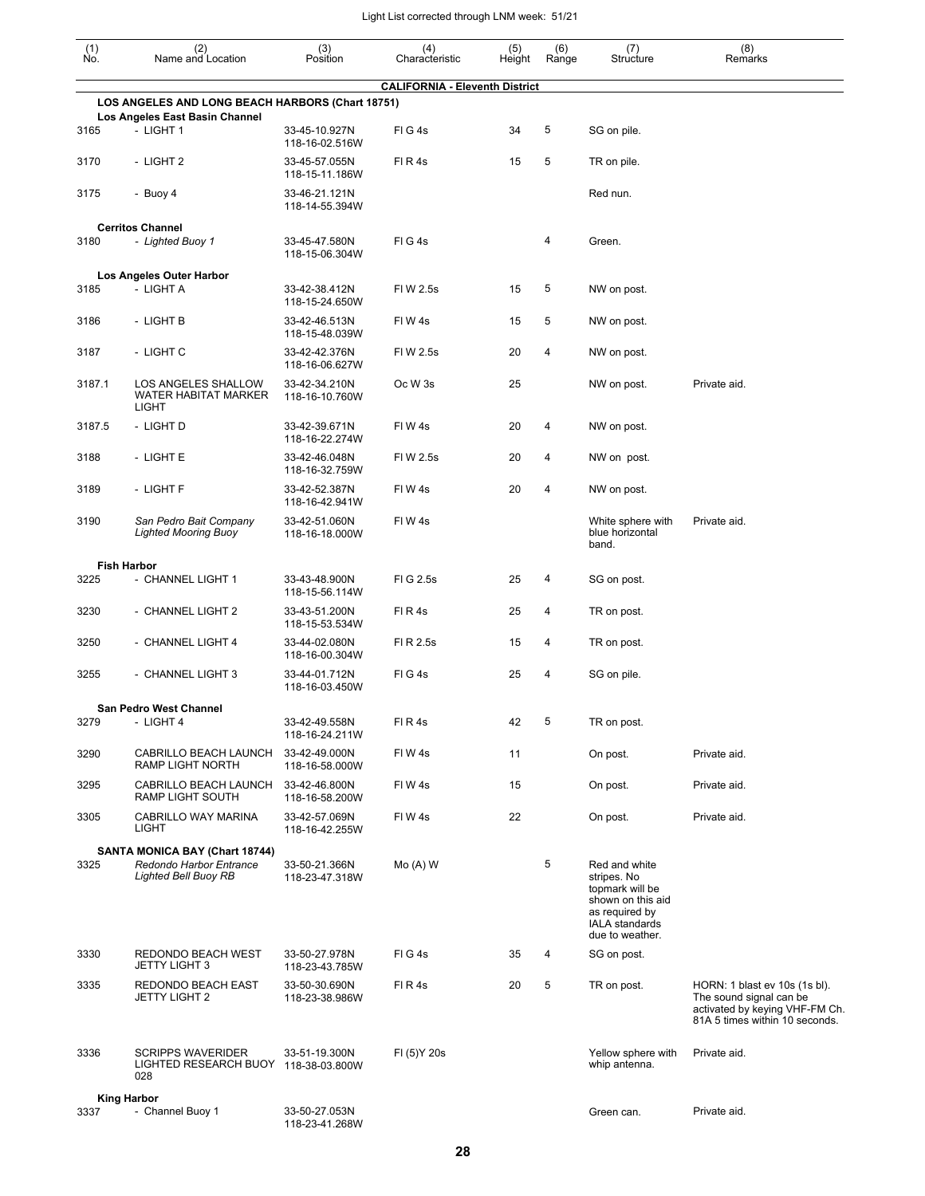| $\begin{smallmatrix} (1) \\ \mathsf{No} \end{smallmatrix}$ | (2)<br>Name and Location                                                                 | (3)<br>Position                 | (4)<br>Characteristic                 | (5)<br>Height | (6)<br>Range | (7)<br>Structure                                                                                                                   | (8)<br>Remarks                                                                                                               |
|------------------------------------------------------------|------------------------------------------------------------------------------------------|---------------------------------|---------------------------------------|---------------|--------------|------------------------------------------------------------------------------------------------------------------------------------|------------------------------------------------------------------------------------------------------------------------------|
|                                                            |                                                                                          |                                 |                                       |               |              |                                                                                                                                    |                                                                                                                              |
|                                                            | LOS ANGELES AND LONG BEACH HARBORS (Chart 18751)                                         |                                 | <b>CALIFORNIA - Eleventh District</b> |               |              |                                                                                                                                    |                                                                                                                              |
| 3165                                                       | Los Angeles East Basin Channel<br>- LIGHT 1                                              | 33-45-10.927N                   | FIG4s                                 | 34            | 5            | SG on pile.                                                                                                                        |                                                                                                                              |
|                                                            |                                                                                          | 118-16-02.516W                  |                                       |               |              |                                                                                                                                    |                                                                                                                              |
| 3170                                                       | - LIGHT 2                                                                                | 33-45-57.055N<br>118-15-11.186W | FIR4s                                 | 15            | 5            | TR on pile.                                                                                                                        |                                                                                                                              |
| 3175                                                       | - Buoy 4                                                                                 | 33-46-21.121N<br>118-14-55.394W |                                       |               |              | Red nun.                                                                                                                           |                                                                                                                              |
|                                                            | <b>Cerritos Channel</b>                                                                  |                                 |                                       |               |              |                                                                                                                                    |                                                                                                                              |
| 3180                                                       | - Lighted Buoy 1                                                                         | 33-45-47.580N<br>118-15-06.304W | FIG4s                                 |               | 4            | Green.                                                                                                                             |                                                                                                                              |
|                                                            | Los Angeles Outer Harbor                                                                 |                                 |                                       |               |              |                                                                                                                                    |                                                                                                                              |
| 3185                                                       | - LIGHT A                                                                                | 33-42-38.412N<br>118-15-24.650W | FIW 2.5s                              | 15            | 5            | NW on post.                                                                                                                        |                                                                                                                              |
| 3186                                                       | - LIGHT B                                                                                | 33-42-46.513N<br>118-15-48.039W | FIW4s                                 | 15            | 5            | NW on post.                                                                                                                        |                                                                                                                              |
| 3187                                                       | - LIGHT C                                                                                | 33-42-42.376N<br>118-16-06.627W | FIW 2.5s                              | 20            | 4            | NW on post.                                                                                                                        |                                                                                                                              |
| 3187.1                                                     | LOS ANGELES SHALLOW<br><b>WATER HABITAT MARKER</b><br><b>LIGHT</b>                       | 33-42-34.210N<br>118-16-10.760W | Oc W 3s                               | 25            |              | NW on post.                                                                                                                        | Private aid.                                                                                                                 |
| 3187.5                                                     | - LIGHT D                                                                                | 33-42-39.671N<br>118-16-22.274W | FIW4s                                 | 20            | 4            | NW on post.                                                                                                                        |                                                                                                                              |
| 3188                                                       | - LIGHT E                                                                                | 33-42-46.048N<br>118-16-32.759W | FIW 2.5s                              | 20            | 4            | NW on post.                                                                                                                        |                                                                                                                              |
| 3189                                                       | - LIGHT F                                                                                | 33-42-52.387N<br>118-16-42.941W | FIW4s                                 | 20            | 4            | NW on post.                                                                                                                        |                                                                                                                              |
| 3190                                                       | San Pedro Bait Company<br><b>Lighted Mooring Buoy</b>                                    | 33-42-51.060N<br>118-16-18.000W | FIW4s                                 |               |              | White sphere with<br>blue horizontal<br>band.                                                                                      | Private aid.                                                                                                                 |
|                                                            | <b>Fish Harbor</b>                                                                       |                                 |                                       |               |              |                                                                                                                                    |                                                                                                                              |
| 3225                                                       | - CHANNEL LIGHT 1                                                                        | 33-43-48.900N<br>118-15-56.114W | FIG 2.5s                              | 25            | 4            | SG on post.                                                                                                                        |                                                                                                                              |
| 3230                                                       | - CHANNEL LIGHT 2                                                                        | 33-43-51.200N<br>118-15-53.534W | FIR4s                                 | 25            | 4            | TR on post.                                                                                                                        |                                                                                                                              |
| 3250                                                       | - CHANNEL LIGHT 4                                                                        | 33-44-02.080N<br>118-16-00.304W | FI R 2.5s                             | 15            | 4            | TR on post.                                                                                                                        |                                                                                                                              |
| 3255                                                       | - CHANNEL LIGHT 3                                                                        | 33-44-01.712N<br>118-16-03.450W | FIG4s                                 | 25            | 4            | SG on pile.                                                                                                                        |                                                                                                                              |
| 3279                                                       | San Pedro West Channel<br>- LIGHT 4                                                      | 33-42-49.558N                   | FIR4s                                 | 42            | 5            | TR on post.                                                                                                                        |                                                                                                                              |
|                                                            |                                                                                          | 118-16-24.211W                  |                                       |               |              |                                                                                                                                    |                                                                                                                              |
| 3290                                                       | CABRILLO BEACH LAUNCH<br>RAMP LIGHT NORTH                                                | 33-42-49.000N<br>118-16-58.000W | FIW4s                                 | 11            |              | On post.                                                                                                                           | Private aid.                                                                                                                 |
| 3295                                                       | CABRILLO BEACH LAUNCH<br>RAMP LIGHT SOUTH                                                | 33-42-46.800N<br>118-16-58.200W | FIW4s                                 | 15            |              | On post.                                                                                                                           | Private aid.                                                                                                                 |
| 3305                                                       | CABRILLO WAY MARINA<br><b>LIGHT</b>                                                      | 33-42-57.069N<br>118-16-42.255W | FIW4s                                 | 22            |              | On post.                                                                                                                           | Private aid.                                                                                                                 |
| 3325                                                       | SANTA MONICA BAY (Chart 18744)<br>Redondo Harbor Entrance<br><b>Lighted Bell Buoy RB</b> | 33-50-21.366N<br>118-23-47.318W | $Mo(A)$ W                             |               | 5            | Red and white<br>stripes. No<br>topmark will be<br>shown on this aid<br>as required by<br><b>IALA</b> standards<br>due to weather. |                                                                                                                              |
| 3330                                                       | REDONDO BEACH WEST<br><b>JETTY LIGHT 3</b>                                               | 33-50-27.978N<br>118-23-43.785W | FIG4s                                 | 35            | 4            | SG on post.                                                                                                                        |                                                                                                                              |
| 3335                                                       | REDONDO BEACH EAST<br><b>JETTY LIGHT 2</b>                                               | 33-50-30.690N<br>118-23-38.986W | FIR4s                                 | 20            | 5            | TR on post.                                                                                                                        | HORN: 1 blast ev 10s (1s bl).<br>The sound signal can be<br>activated by keying VHF-FM Ch.<br>81A 5 times within 10 seconds. |
| 3336                                                       | <b>SCRIPPS WAVERIDER</b><br>LIGHTED RESEARCH BUOY 118-38-03.800W<br>028                  | 33-51-19.300N                   | FI (5) Y 20s                          |               |              | Yellow sphere with<br>whip antenna.                                                                                                | Private aid.                                                                                                                 |
| 3337                                                       | <b>King Harbor</b><br>- Channel Buoy 1                                                   | 33-50-27.053N                   |                                       |               |              | Green can.                                                                                                                         | Private aid.                                                                                                                 |
|                                                            |                                                                                          |                                 |                                       |               |              |                                                                                                                                    |                                                                                                                              |

118-23-41.268W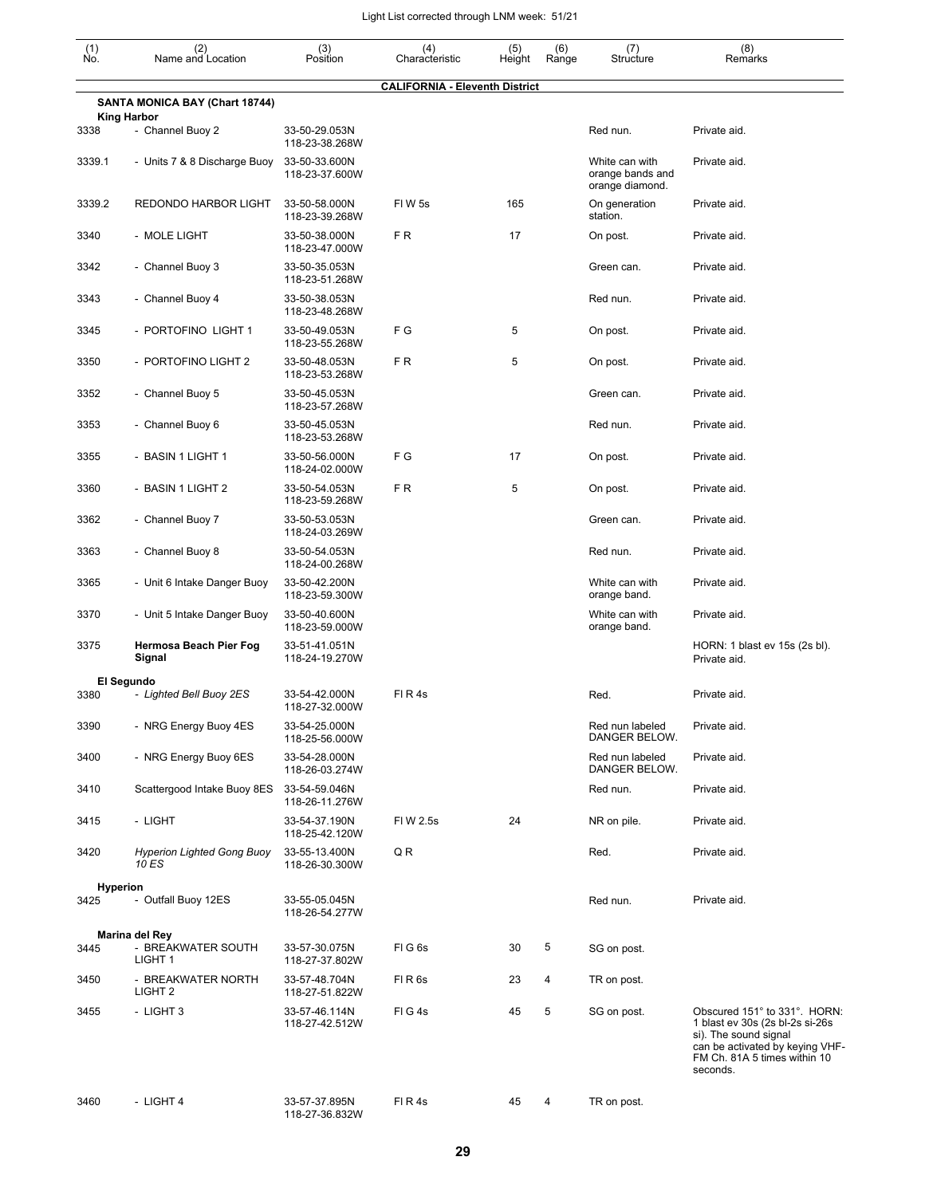| $\begin{smallmatrix} (1) \ N0. \end{smallmatrix}$ | (2)<br>Name and Location                             | (3)<br>Position                 | (4)<br>Characteristic                 | (5)<br>Height | (6)<br>Range | (7)<br>Structure                                      | (8)<br>Remarks                                                                                                                                                           |
|---------------------------------------------------|------------------------------------------------------|---------------------------------|---------------------------------------|---------------|--------------|-------------------------------------------------------|--------------------------------------------------------------------------------------------------------------------------------------------------------------------------|
|                                                   |                                                      |                                 | <b>CALIFORNIA - Eleventh District</b> |               |              |                                                       |                                                                                                                                                                          |
|                                                   | SANTA MONICA BAY (Chart 18744)<br><b>King Harbor</b> |                                 |                                       |               |              |                                                       |                                                                                                                                                                          |
| 3338                                              | - Channel Buoy 2                                     | 33-50-29.053N<br>118-23-38.268W |                                       |               |              | Red nun.                                              | Private aid.                                                                                                                                                             |
| 3339.1                                            | - Units 7 & 8 Discharge Buoy                         | 33-50-33.600N<br>118-23-37.600W |                                       |               |              | White can with<br>orange bands and<br>orange diamond. | Private aid.                                                                                                                                                             |
| 3339.2                                            | REDONDO HARBOR LIGHT                                 | 33-50-58.000N<br>118-23-39.268W | FIW <sub>5s</sub>                     | 165           |              | On generation<br>station.                             | Private aid.                                                                                                                                                             |
| 3340                                              | - MOLE LIGHT                                         | 33-50-38.000N<br>118-23-47.000W | FR                                    | 17            |              | On post.                                              | Private aid.                                                                                                                                                             |
| 3342                                              | - Channel Buoy 3                                     | 33-50-35.053N<br>118-23-51.268W |                                       |               |              | Green can.                                            | Private aid.                                                                                                                                                             |
| 3343                                              | - Channel Buoy 4                                     | 33-50-38.053N<br>118-23-48.268W |                                       |               |              | Red nun.                                              | Private aid.                                                                                                                                                             |
| 3345                                              | - PORTOFINO LIGHT 1                                  | 33-50-49.053N<br>118-23-55.268W | F G                                   | 5             |              | On post.                                              | Private aid.                                                                                                                                                             |
| 3350                                              | - PORTOFINO LIGHT 2                                  | 33-50-48.053N<br>118-23-53.268W | FR.                                   | 5             |              | On post.                                              | Private aid.                                                                                                                                                             |
| 3352                                              | - Channel Buoy 5                                     | 33-50-45.053N<br>118-23-57.268W |                                       |               |              | Green can.                                            | Private aid.                                                                                                                                                             |
| 3353                                              | - Channel Buoy 6                                     | 33-50-45.053N<br>118-23-53.268W |                                       |               |              | Red nun.                                              | Private aid.                                                                                                                                                             |
| 3355                                              | - BASIN 1 LIGHT 1                                    | 33-50-56.000N<br>118-24-02.000W | F G                                   | 17            |              | On post.                                              | Private aid.                                                                                                                                                             |
| 3360                                              | - BASIN 1 LIGHT 2                                    | 33-50-54.053N<br>118-23-59.268W | FR.                                   | 5             |              | On post.                                              | Private aid.                                                                                                                                                             |
| 3362                                              | - Channel Buoy 7                                     | 33-50-53.053N<br>118-24-03.269W |                                       |               |              | Green can.                                            | Private aid.                                                                                                                                                             |
| 3363                                              | - Channel Buoy 8                                     | 33-50-54.053N<br>118-24-00.268W |                                       |               |              | Red nun.                                              | Private aid.                                                                                                                                                             |
| 3365                                              | - Unit 6 Intake Danger Buoy                          | 33-50-42.200N<br>118-23-59.300W |                                       |               |              | White can with<br>orange band.                        | Private aid.                                                                                                                                                             |
| 3370                                              | - Unit 5 Intake Danger Buoy                          | 33-50-40.600N<br>118-23-59.000W |                                       |               |              | White can with<br>orange band.                        | Private aid.                                                                                                                                                             |
| 3375                                              | Hermosa Beach Pier Fog<br>Signal                     | 33-51-41.051N<br>118-24-19.270W |                                       |               |              |                                                       | HORN: 1 blast ev 15s (2s bl).<br>Private aid.                                                                                                                            |
|                                                   | El Segundo                                           |                                 |                                       |               |              |                                                       |                                                                                                                                                                          |
| 3380                                              | - Lighted Bell Buoy 2ES                              | 33-54-42.000N<br>118-27-32.000W | FIR4s                                 |               |              | Red.                                                  | Private aid.                                                                                                                                                             |
| 3390                                              | - NRG Energy Buoy 4ES                                | 33-54-25.000N<br>118-25-56.000W |                                       |               |              | Red nun labeled<br>DANGER BELOW.                      | Private aid.                                                                                                                                                             |
| 3400                                              | - NRG Energy Buoy 6ES                                | 33-54-28.000N<br>118-26-03.274W |                                       |               |              | Red nun labeled<br>DANGER BELOW.                      | Private aid.                                                                                                                                                             |
| 3410                                              | Scattergood Intake Buoy 8ES                          | 33-54-59.046N<br>118-26-11.276W |                                       |               |              | Red nun.                                              | Private aid.                                                                                                                                                             |
| 3415                                              | - LIGHT                                              | 33-54-37.190N<br>118-25-42.120W | FIW 2.5s                              | 24            |              | NR on pile.                                           | Private aid.                                                                                                                                                             |
| 3420                                              | <b>Hyperion Lighted Gong Buoy</b><br>10 ES           | 33-55-13.400N<br>118-26-30.300W | QR                                    |               |              | Red.                                                  | Private aid.                                                                                                                                                             |
|                                                   | <b>Hyperion</b>                                      |                                 |                                       |               |              |                                                       |                                                                                                                                                                          |
| 3425                                              | - Outfall Buoy 12ES                                  | 33-55-05.045N<br>118-26-54.277W |                                       |               |              | Red nun.                                              | Private aid.                                                                                                                                                             |
|                                                   | Marina del Rey                                       |                                 |                                       |               |              |                                                       |                                                                                                                                                                          |
| 3445                                              | - BREAKWATER SOUTH<br>LIGHT <sub>1</sub>             | 33-57-30.075N<br>118-27-37.802W | FIG6s                                 | 30            | 5            | SG on post.                                           |                                                                                                                                                                          |
| 3450                                              | - BREAKWATER NORTH<br>LIGHT <sub>2</sub>             | 33-57-48.704N<br>118-27-51.822W | FIR <sub>6s</sub>                     | 23            | 4            | TR on post.                                           |                                                                                                                                                                          |
| 3455                                              | - LIGHT 3                                            | 33-57-46.114N<br>118-27-42.512W | FIG4s                                 | 45            | 5            | SG on post.                                           | Obscured 151° to 331°. HORN:<br>1 blast ev 30s (2s bl-2s si-26s)<br>si). The sound signal<br>can be activated by keying VHF-<br>FM Ch. 81A 5 times within 10<br>seconds. |
| 3460                                              | - LIGHT 4                                            | 33-57-37.895N                   | FIR4s                                 | 45            | 4            | TR on post.                                           |                                                                                                                                                                          |

118-27-36.832W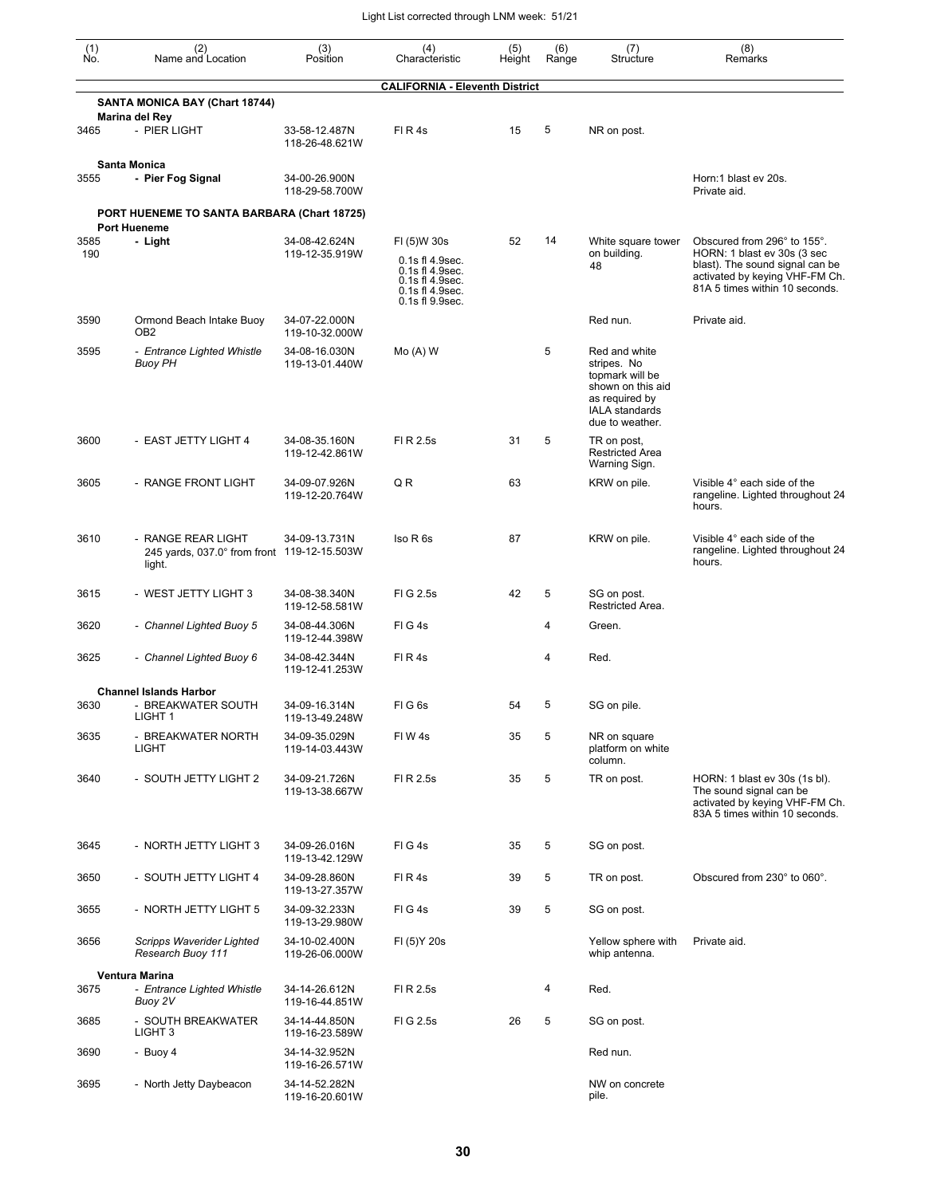| (1)<br>No.  | (2)<br>Name and Location                                                    | (3)<br>Position                 | (4)<br>Characteristic                                                                                      | (5)<br>Height | (6)<br>Range | (7)<br>Structure                                                                                                                   | (8)<br>Remarks                                                                                                                                                    |
|-------------|-----------------------------------------------------------------------------|---------------------------------|------------------------------------------------------------------------------------------------------------|---------------|--------------|------------------------------------------------------------------------------------------------------------------------------------|-------------------------------------------------------------------------------------------------------------------------------------------------------------------|
|             |                                                                             |                                 | <b>CALIFORNIA - Eleventh District</b>                                                                      |               |              |                                                                                                                                    |                                                                                                                                                                   |
|             | SANTA MONICA BAY (Chart 18744)<br>Marina del Rey                            |                                 |                                                                                                            |               |              |                                                                                                                                    |                                                                                                                                                                   |
| 3465        | - PIER LIGHT                                                                | 33-58-12.487N<br>118-26-48.621W | FIR4s                                                                                                      | 15            | 5            | NR on post.                                                                                                                        |                                                                                                                                                                   |
| 3555        | Santa Monica<br>- Pier Fog Signal                                           | 34-00-26.900N<br>118-29-58.700W |                                                                                                            |               |              |                                                                                                                                    | Horn:1 blast ev 20s.<br>Private aid.                                                                                                                              |
|             | PORT HUENEME TO SANTA BARBARA (Chart 18725)<br><b>Port Hueneme</b>          |                                 |                                                                                                            |               |              |                                                                                                                                    |                                                                                                                                                                   |
| 3585<br>190 | - Light                                                                     | 34-08-42.624N<br>119-12-35.919W | FI (5)W 30s<br>0.1s fl 4.9sec.<br>0.1s fl 4.9sec.<br>0.1s fl 4.9sec.<br>0.1s fl 4.9sec.<br>0.1s fl 9.9sec. | 52            | 14           | White square tower<br>on building.<br>48                                                                                           | Obscured from 296° to 155°.<br>HORN: 1 blast ev 30s (3 sec<br>blast). The sound signal can be<br>activated by keying VHF-FM Ch.<br>81A 5 times within 10 seconds. |
| 3590        | Ormond Beach Intake Buoy<br>OB <sub>2</sub>                                 | 34-07-22.000N<br>119-10-32.000W |                                                                                                            |               |              | Red nun.                                                                                                                           | Private aid.                                                                                                                                                      |
| 3595        | - Entrance Lighted Whistle<br><b>Buoy PH</b>                                | 34-08-16.030N<br>119-13-01.440W | $Mo(A)$ W                                                                                                  |               | 5            | Red and white<br>stripes. No<br>topmark will be<br>shown on this aid<br>as required by<br><b>IALA</b> standards<br>due to weather. |                                                                                                                                                                   |
| 3600        | - EAST JETTY LIGHT 4                                                        | 34-08-35.160N<br>119-12-42.861W | FI R 2.5s                                                                                                  | 31            | 5            | TR on post,<br><b>Restricted Area</b><br>Warning Sign.                                                                             |                                                                                                                                                                   |
| 3605        | - RANGE FRONT LIGHT                                                         | 34-09-07.926N<br>119-12-20.764W | Q R                                                                                                        | 63            |              | KRW on pile.                                                                                                                       | Visible 4° each side of the<br>rangeline. Lighted throughout 24<br>hours.                                                                                         |
| 3610        | - RANGE REAR LIGHT<br>245 yards, 037.0° from front 119-12-15.503W<br>light. | 34-09-13.731N                   | Iso R 6s                                                                                                   | 87            |              | KRW on pile.                                                                                                                       | Visible 4° each side of the<br>rangeline. Lighted throughout 24<br>hours.                                                                                         |
| 3615        | - WEST JETTY LIGHT 3                                                        | 34-08-38.340N<br>119-12-58.581W | FIG 2.5s                                                                                                   | 42            | 5            | SG on post.<br>Restricted Area.                                                                                                    |                                                                                                                                                                   |
| 3620        | - Channel Lighted Buoy 5                                                    | 34-08-44.306N<br>119-12-44.398W | FIG4s                                                                                                      |               | 4            | Green.                                                                                                                             |                                                                                                                                                                   |
| 3625        | - Channel Lighted Buoy 6                                                    | 34-08-42.344N<br>119-12-41.253W | FIR4s                                                                                                      |               | 4            | Red.                                                                                                                               |                                                                                                                                                                   |
|             | <b>Channel Islands Harbor</b>                                               |                                 |                                                                                                            |               |              |                                                                                                                                    |                                                                                                                                                                   |
| 3630        | - BREAKWATER SOUTH<br>LIGHT 1                                               | 34-09-16.314N<br>119-13-49.248W | FIG <sub>6s</sub>                                                                                          | 54            | 5            | SG on pile.                                                                                                                        |                                                                                                                                                                   |
| 3635        | - BREAKWATER NORTH<br><b>LIGHT</b>                                          | 34-09-35.029N<br>119-14-03.443W | FIW4s                                                                                                      | 35            | 5            | NR on square<br>platform on white<br>column.                                                                                       |                                                                                                                                                                   |
| 3640        | - SOUTH JETTY LIGHT 2                                                       | 34-09-21.726N<br>119-13-38.667W | FI R 2.5s                                                                                                  | 35            | 5            | TR on post.                                                                                                                        | HORN: 1 blast ev 30s (1s bl).<br>The sound signal can be<br>activated by keying VHF-FM Ch.<br>83A 5 times within 10 seconds.                                      |
| 3645        | - NORTH JETTY LIGHT 3                                                       | 34-09-26.016N<br>119-13-42.129W | FIG4s                                                                                                      | 35            | 5            | SG on post.                                                                                                                        |                                                                                                                                                                   |
| 3650        | - SOUTH JETTY LIGHT 4                                                       | 34-09-28.860N<br>119-13-27.357W | FIR4s                                                                                                      | 39            | 5            | TR on post.                                                                                                                        | Obscured from 230° to 060°.                                                                                                                                       |
| 3655        | - NORTH JETTY LIGHT 5                                                       | 34-09-32.233N<br>119-13-29.980W | FIG4s                                                                                                      | 39            | 5            | SG on post.                                                                                                                        |                                                                                                                                                                   |
| 3656        | Scripps Waverider Lighted<br>Research Buoy 111                              | 34-10-02.400N<br>119-26-06.000W | FI (5) Y 20s                                                                                               |               |              | Yellow sphere with<br>whip antenna.                                                                                                | Private aid.                                                                                                                                                      |
|             | Ventura Marina                                                              |                                 |                                                                                                            |               |              |                                                                                                                                    |                                                                                                                                                                   |
| 3675        | - Entrance Lighted Whistle<br>Buoy 2V                                       | 34-14-26.612N<br>119-16-44.851W | FI R 2.5s                                                                                                  |               | 4            | Red.                                                                                                                               |                                                                                                                                                                   |
| 3685        | - SOUTH BREAKWATER<br>LIGHT <sub>3</sub>                                    | 34-14-44.850N<br>119-16-23.589W | FIG 2.5s                                                                                                   | 26            | 5            | SG on post.                                                                                                                        |                                                                                                                                                                   |
| 3690        | - Buoy 4                                                                    | 34-14-32.952N<br>119-16-26.571W |                                                                                                            |               |              | Red nun.                                                                                                                           |                                                                                                                                                                   |
| 3695        | - North Jetty Daybeacon                                                     | 34-14-52.282N<br>119-16-20.601W |                                                                                                            |               |              | NW on concrete<br>pile.                                                                                                            |                                                                                                                                                                   |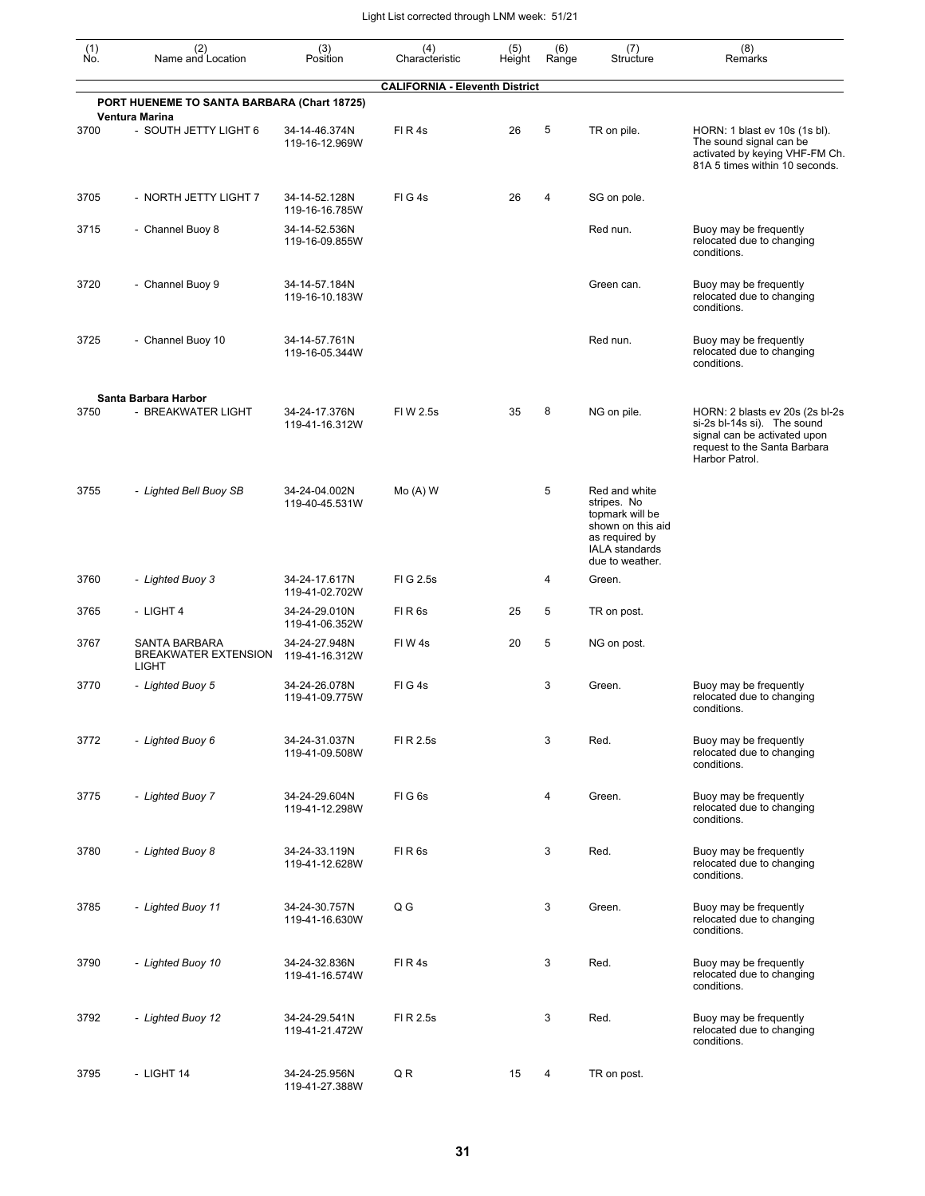| $\begin{smallmatrix} (1) \ N0. \end{smallmatrix}$ | (2)<br>Name and Location                       | (3)<br>Position                 | (4)<br>Characteristic                 | (5)<br>Height | (6)<br>Range | (7)<br>Structure                                                                                                                   | (8)<br>Remarks                                                                                                                                   |
|---------------------------------------------------|------------------------------------------------|---------------------------------|---------------------------------------|---------------|--------------|------------------------------------------------------------------------------------------------------------------------------------|--------------------------------------------------------------------------------------------------------------------------------------------------|
|                                                   |                                                |                                 | <b>CALIFORNIA - Eleventh District</b> |               |              |                                                                                                                                    |                                                                                                                                                  |
|                                                   | PORT HUENEME TO SANTA BARBARA (Chart 18725)    |                                 |                                       |               |              |                                                                                                                                    |                                                                                                                                                  |
| 3700                                              | <b>Ventura Marina</b><br>- SOUTH JETTY LIGHT 6 | 34-14-46.374N<br>119-16-12.969W | FIR4s                                 | 26            | 5            | TR on pile.                                                                                                                        | HORN: 1 blast ev 10s (1s bl).<br>The sound signal can be<br>activated by keying VHF-FM Ch.<br>81A 5 times within 10 seconds.                     |
| 3705                                              | - NORTH JETTY LIGHT 7                          | 34-14-52.128N<br>119-16-16.785W | $FI$ G 4s                             | 26            | 4            | SG on pole.                                                                                                                        |                                                                                                                                                  |
| 3715                                              | - Channel Buoy 8                               | 34-14-52.536N<br>119-16-09.855W |                                       |               |              | Red nun.                                                                                                                           | Buoy may be frequently<br>relocated due to changing<br>conditions.                                                                               |
| 3720                                              | - Channel Buoy 9                               | 34-14-57.184N<br>119-16-10.183W |                                       |               |              | Green can.                                                                                                                         | Buoy may be frequently<br>relocated due to changing<br>conditions.                                                                               |
| 3725                                              | - Channel Buoy 10                              | 34-14-57.761N<br>119-16-05.344W |                                       |               |              | Red nun.                                                                                                                           | Buoy may be frequently<br>relocated due to changing<br>conditions.                                                                               |
|                                                   | Santa Barbara Harbor                           |                                 |                                       |               |              |                                                                                                                                    |                                                                                                                                                  |
| 3750                                              | - BREAKWATER LIGHT                             | 34-24-17.376N<br>119-41-16.312W | FIW 2.5s                              | 35            | 8            | NG on pile.                                                                                                                        | HORN: 2 blasts ev 20s (2s bl-2s<br>si-2s bl-14s si). The sound<br>signal can be activated upon<br>request to the Santa Barbara<br>Harbor Patrol. |
| 3755                                              | - Lighted Bell Buoy SB                         | 34-24-04.002N<br>119-40-45.531W | $Mo(A)$ W                             |               | 5            | Red and white<br>stripes. No<br>topmark will be<br>shown on this aid<br>as required by<br><b>IALA</b> standards<br>due to weather. |                                                                                                                                                  |
| 3760                                              | - Lighted Buoy 3                               | 34-24-17.617N<br>119-41-02.702W | FIG 2.5s                              |               | 4            | Green.                                                                                                                             |                                                                                                                                                  |
| 3765                                              | - LIGHT 4                                      | 34-24-29.010N<br>119-41-06.352W | FIR6s                                 | 25            | 5            | TR on post.                                                                                                                        |                                                                                                                                                  |
| 3767                                              | SANTA BARBARA<br>BREAKWATER EXTENSION<br>LIGHT | 34-24-27.948N<br>119-41-16.312W | FIW 4s                                | 20            | 5            | NG on post.                                                                                                                        |                                                                                                                                                  |
| 3770                                              | - Lighted Buoy 5                               | 34-24-26.078N<br>119-41-09.775W | FIG4s                                 |               | 3            | Green.                                                                                                                             | Buoy may be frequently<br>relocated due to changing<br>conditions.                                                                               |
| 3772                                              | - Lighted Buoy 6                               | 34-24-31.037N<br>119-41-09.508W | FI R 2.5s                             |               | 3            | Red.                                                                                                                               | Buoy may be frequently<br>relocated due to changing<br>conditions.                                                                               |
| 3775                                              | - Lighted Buoy 7                               | 34-24-29.604N<br>119-41-12.298W | FIG6s                                 |               | 4            | Green.                                                                                                                             | Buoy may be frequently<br>relocated due to changing<br>conditions.                                                                               |
| 3780                                              | - Lighted Buoy 8                               | 34-24-33.119N<br>119-41-12.628W | FIR6s                                 |               | 3            | Red.                                                                                                                               | Buoy may be frequently<br>relocated due to changing<br>conditions.                                                                               |
| 3785                                              | - Lighted Buoy 11                              | 34-24-30.757N<br>119-41-16.630W | Q G                                   |               | 3            | Green.                                                                                                                             | Buoy may be frequently<br>relocated due to changing<br>conditions.                                                                               |
| 3790                                              | - Lighted Buoy 10                              | 34-24-32.836N<br>119-41-16.574W | FIR4s                                 |               | 3            | Red.                                                                                                                               | Buoy may be frequently<br>relocated due to changing<br>conditions.                                                                               |
| 3792                                              | - Lighted Buoy 12                              | 34-24-29.541N<br>119-41-21.472W | FI R 2.5s                             |               | 3            | Red.                                                                                                                               | Buoy may be frequently<br>relocated due to changing<br>conditions.                                                                               |
| 3795                                              | - LIGHT 14                                     | 34-24-25.956N<br>119-41-27.388W | Q R                                   | 15            | 4            | TR on post.                                                                                                                        |                                                                                                                                                  |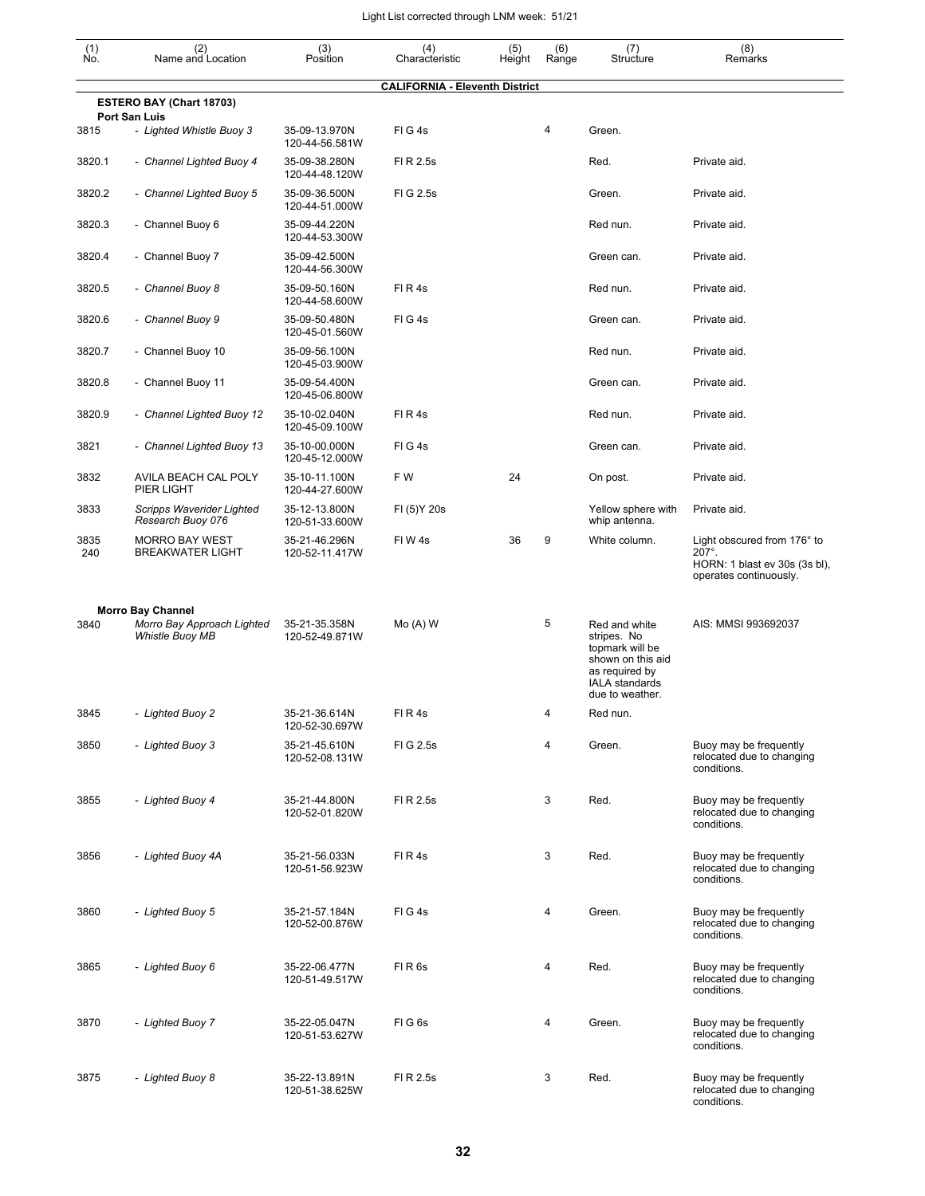| $\begin{smallmatrix} (1) \\ \mathsf{No}. \end{smallmatrix}$ | (2)<br>Name and Location                                                         | (3)<br>Position                 | (4)<br>Characteristic                 | (5)<br>Height | (6)<br>Range | (7)<br>Structure                                                                                                                   | (8)<br>Remarks                                                                                          |
|-------------------------------------------------------------|----------------------------------------------------------------------------------|---------------------------------|---------------------------------------|---------------|--------------|------------------------------------------------------------------------------------------------------------------------------------|---------------------------------------------------------------------------------------------------------|
|                                                             |                                                                                  |                                 | <b>CALIFORNIA - Eleventh District</b> |               |              |                                                                                                                                    |                                                                                                         |
|                                                             | <b>ESTERO BAY (Chart 18703)</b><br>Port San Luis                                 |                                 |                                       |               |              |                                                                                                                                    |                                                                                                         |
| 3815                                                        | - Lighted Whistle Buoy 3                                                         | 35-09-13.970N<br>120-44-56.581W | $FI$ G 4s                             |               | 4            | Green.                                                                                                                             |                                                                                                         |
| 3820.1                                                      | - Channel Lighted Buoy 4                                                         | 35-09-38.280N<br>120-44-48.120W | FI R 2.5s                             |               |              | Red.                                                                                                                               | Private aid.                                                                                            |
| 3820.2                                                      | - Channel Lighted Buoy 5                                                         | 35-09-36.500N<br>120-44-51.000W | FIG 2.5s                              |               |              | Green.                                                                                                                             | Private aid.                                                                                            |
| 3820.3                                                      | - Channel Buoy 6                                                                 | 35-09-44.220N<br>120-44-53.300W |                                       |               |              | Red nun.                                                                                                                           | Private aid.                                                                                            |
| 3820.4                                                      | - Channel Buoy 7                                                                 | 35-09-42.500N<br>120-44-56.300W |                                       |               |              | Green can.                                                                                                                         | Private aid.                                                                                            |
| 3820.5                                                      | - Channel Buoy 8                                                                 | 35-09-50.160N<br>120-44-58.600W | FIR4s                                 |               |              | Red nun.                                                                                                                           | Private aid.                                                                                            |
| 3820.6                                                      | - Channel Buoy 9                                                                 | 35-09-50.480N<br>120-45-01.560W | FIG4s                                 |               |              | Green can.                                                                                                                         | Private aid.                                                                                            |
| 3820.7                                                      | - Channel Buoy 10                                                                | 35-09-56.100N<br>120-45-03.900W |                                       |               |              | Red nun.                                                                                                                           | Private aid.                                                                                            |
| 3820.8                                                      | - Channel Buoy 11                                                                | 35-09-54.400N<br>120-45-06.800W |                                       |               |              | Green can.                                                                                                                         | Private aid.                                                                                            |
| 3820.9                                                      | - Channel Lighted Buoy 12                                                        | 35-10-02.040N<br>120-45-09.100W | FIR4s                                 |               |              | Red nun.                                                                                                                           | Private aid.                                                                                            |
| 3821                                                        | - Channel Lighted Buoy 13                                                        | 35-10-00.000N<br>120-45-12.000W | $FI$ G 4s                             |               |              | Green can.                                                                                                                         | Private aid.                                                                                            |
| 3832                                                        | AVILA BEACH CAL POLY<br>PIER LIGHT                                               | 35-10-11.100N<br>120-44-27.600W | F W                                   | 24            |              | On post.                                                                                                                           | Private aid.                                                                                            |
| 3833                                                        | Scripps Waverider Lighted<br>Research Buoy 076                                   | 35-12-13.800N<br>120-51-33.600W | FI (5) Y 20s                          |               |              | Yellow sphere with<br>whip antenna.                                                                                                | Private aid.                                                                                            |
| 3835<br>240                                                 | <b>MORRO BAY WEST</b><br><b>BREAKWATER LIGHT</b>                                 | 35-21-46.296N<br>120-52-11.417W | FIW4s                                 | 36            | 9            | White column.                                                                                                                      | Light obscured from 176° to<br>$207^\circ$ .<br>HORN: 1 blast ev 30s (3s bl),<br>operates continuously. |
| 3840                                                        | <b>Morro Bay Channel</b><br>Morro Bay Approach Lighted<br><b>Whistle Buoy MB</b> | 35-21-35.358N<br>120-52-49.871W | $Mo(A)$ W                             |               | 5            | Red and white<br>stripes. No<br>topmark will be<br>shown on this aid<br>as required by<br><b>IALA</b> standards<br>due to weather. | AIS: MMSI 993692037                                                                                     |
| 3845                                                        | - Lighted Buoy 2                                                                 | 35-21-36.614N<br>120-52-30.697W | FIR4s                                 |               | 4            | Red nun.                                                                                                                           |                                                                                                         |
| 3850                                                        | - Lighted Buoy 3                                                                 | 35-21-45.610N<br>120-52-08.131W | FIG 2.5s                              |               | 4            | Green.                                                                                                                             | Buoy may be frequently<br>relocated due to changing<br>conditions.                                      |
| 3855                                                        | - Lighted Buoy 4                                                                 | 35-21-44.800N<br>120-52-01.820W | FI R 2.5s                             |               | 3            | Red.                                                                                                                               | Buoy may be frequently<br>relocated due to changing<br>conditions.                                      |
| 3856                                                        | - Lighted Buoy 4A                                                                | 35-21-56.033N<br>120-51-56.923W | FIR4s                                 |               | 3            | Red.                                                                                                                               | Buoy may be frequently<br>relocated due to changing<br>conditions.                                      |
| 3860                                                        | - Lighted Buoy 5                                                                 | 35-21-57.184N<br>120-52-00.876W | FIG4s                                 |               | 4            | Green.                                                                                                                             | Buoy may be frequently<br>relocated due to changing<br>conditions.                                      |
| 3865                                                        | - Lighted Buoy 6                                                                 | 35-22-06.477N<br>120-51-49.517W | FIR <sub>6s</sub>                     |               | 4            | Red.                                                                                                                               | Buoy may be frequently<br>relocated due to changing<br>conditions.                                      |
| 3870                                                        | - Lighted Buoy 7                                                                 | 35-22-05.047N<br>120-51-53.627W | FIG6s                                 |               | 4            | Green.                                                                                                                             | Buoy may be frequently<br>relocated due to changing<br>conditions.                                      |
| 3875                                                        | - Lighted Buoy 8                                                                 | 35-22-13.891N<br>120-51-38.625W | FI R 2.5s                             |               | 3            | Red.                                                                                                                               | Buoy may be frequently<br>relocated due to changing<br>conditions.                                      |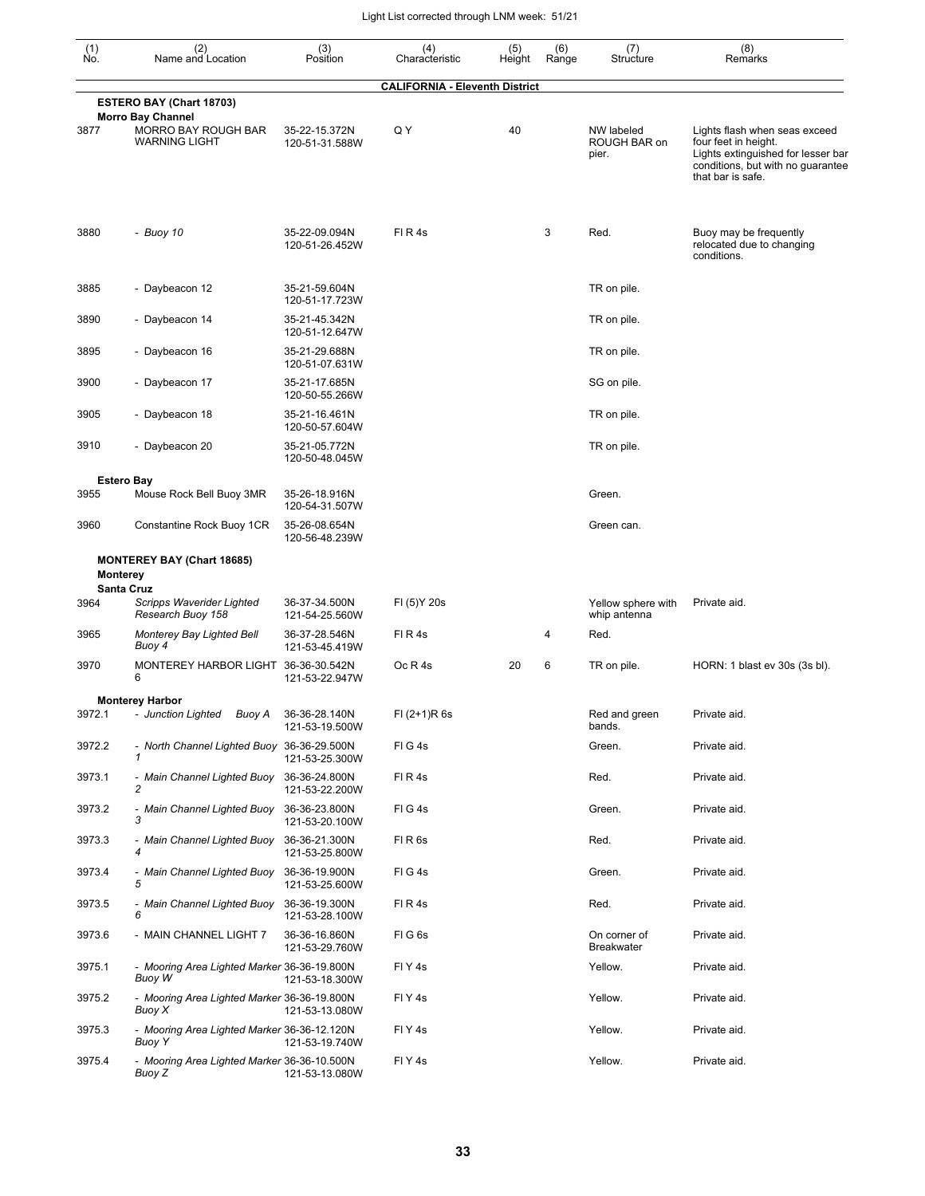| $\begin{smallmatrix} (1) \ N0. \end{smallmatrix}$ | (2)<br>Name and Location                                                | (3)<br>Position                 | (4)<br>Characteristic                 | (5)<br>Height | (6)<br>Range | (7)<br>Structure                    | (8)<br>Remarks                                                                                                                                        |
|---------------------------------------------------|-------------------------------------------------------------------------|---------------------------------|---------------------------------------|---------------|--------------|-------------------------------------|-------------------------------------------------------------------------------------------------------------------------------------------------------|
|                                                   |                                                                         |                                 | <b>CALIFORNIA - Eleventh District</b> |               |              |                                     |                                                                                                                                                       |
|                                                   | ESTERO BAY (Chart 18703)                                                |                                 |                                       |               |              |                                     |                                                                                                                                                       |
| 3877                                              | <b>Morro Bay Channel</b><br>MORRO BAY ROUGH BAR<br><b>WARNING LIGHT</b> | 35-22-15.372N<br>120-51-31.588W | Q Y                                   | 40            |              | NW labeled<br>ROUGH BAR on<br>pier. | Lights flash when seas exceed<br>four feet in height.<br>Lights extinguished for lesser bar<br>conditions, but with no guarantee<br>that bar is safe. |
| 3880                                              | - Buoy 10                                                               | 35-22-09.094N<br>120-51-26.452W | $FI$ R 4s                             |               | 3            | Red.                                | Buoy may be frequently<br>relocated due to changing<br>conditions.                                                                                    |
| 3885                                              | - Daybeacon 12                                                          | 35-21-59.604N<br>120-51-17.723W |                                       |               |              | TR on pile.                         |                                                                                                                                                       |
| 3890                                              | - Daybeacon 14                                                          | 35-21-45.342N<br>120-51-12.647W |                                       |               |              | TR on pile.                         |                                                                                                                                                       |
| 3895                                              | - Daybeacon 16                                                          | 35-21-29.688N<br>120-51-07.631W |                                       |               |              | TR on pile.                         |                                                                                                                                                       |
| 3900                                              | - Daybeacon 17                                                          | 35-21-17.685N<br>120-50-55.266W |                                       |               |              | SG on pile.                         |                                                                                                                                                       |
| 3905                                              | - Daybeacon 18                                                          | 35-21-16.461N<br>120-50-57.604W |                                       |               |              | TR on pile.                         |                                                                                                                                                       |
| 3910                                              | - Daybeacon 20                                                          | 35-21-05.772N<br>120-50-48.045W |                                       |               |              | TR on pile.                         |                                                                                                                                                       |
|                                                   | <b>Estero Bay</b>                                                       |                                 |                                       |               |              |                                     |                                                                                                                                                       |
| 3955                                              | Mouse Rock Bell Buoy 3MR                                                | 35-26-18.916N<br>120-54-31.507W |                                       |               |              | Green.                              |                                                                                                                                                       |
| 3960                                              | Constantine Rock Buoy 1CR                                               | 35-26-08.654N<br>120-56-48.239W |                                       |               |              | Green can.                          |                                                                                                                                                       |
|                                                   | <b>MONTEREY BAY (Chart 18685)</b><br><b>Monterey</b>                    |                                 |                                       |               |              |                                     |                                                                                                                                                       |
| 3964                                              | <b>Santa Cruz</b><br>Scripps Waverider Lighted<br>Research Buoy 158     | 36-37-34.500N<br>121-54-25.560W | FI (5) Y 20s                          |               |              | Yellow sphere with<br>whip antenna  | Private aid.                                                                                                                                          |
| 3965                                              | Monterey Bay Lighted Bell<br>Buoy 4                                     | 36-37-28.546N<br>121-53-45.419W | FIR4s                                 |               | 4            | Red.                                |                                                                                                                                                       |
| 3970                                              | MONTEREY HARBOR LIGHT<br>6                                              | 36-36-30.542N<br>121-53-22.947W | Oc R 4s                               | 20            | 6            | TR on pile.                         | HORN: 1 blast ev 30s (3s bl).                                                                                                                         |
|                                                   | <b>Monterey Harbor</b>                                                  |                                 |                                       |               |              |                                     |                                                                                                                                                       |
| 3972.1                                            | - Junction Lighted Buoy A                                               | 36-36-28.140N<br>121-53-19.500W | $FI (2+1)R 6s$                        |               |              | Red and green<br>bands.             | Private aid.                                                                                                                                          |
| 3972.2                                            | - North Channel Lighted Buoy 36-36-29.500N<br>1                         | 121-53-25.300W                  | FIG4s                                 |               |              | Green.                              | Private aid.                                                                                                                                          |
| 3973.1                                            | - Main Channel Lighted Buoy<br>$\overline{c}$                           | 36-36-24.800N<br>121-53-22.200W | FIR4s                                 |               |              | Red.                                | Private aid.                                                                                                                                          |
| 3973.2                                            | - Main Channel Lighted Buoy<br>3                                        | 36-36-23.800N<br>121-53-20.100W | FIG4s                                 |               |              | Green.                              | Private aid.                                                                                                                                          |
| 3973.3                                            | - Main Channel Lighted Buoy<br>4                                        | 36-36-21.300N<br>121-53-25.800W | FIR <sub>6s</sub>                     |               |              | Red.                                | Private aid.                                                                                                                                          |
| 3973.4                                            | - Main Channel Lighted Buoy<br>5                                        | 36-36-19.900N<br>121-53-25.600W | FIG4s                                 |               |              | Green.                              | Private aid.                                                                                                                                          |
| 3973.5                                            | - Main Channel Lighted Buoy 36-36-19.300N<br>6                          | 121-53-28.100W                  | FIR4s                                 |               |              | Red.                                | Private aid.                                                                                                                                          |
| 3973.6                                            | - MAIN CHANNEL LIGHT 7                                                  | 36-36-16.860N<br>121-53-29.760W | FIG6s                                 |               |              | On corner of<br><b>Breakwater</b>   | Private aid.                                                                                                                                          |
| 3975.1                                            | - Mooring Area Lighted Marker 36-36-19.800N<br>Buoy W                   | 121-53-18.300W                  | FIY <sub>4s</sub>                     |               |              | Yellow.                             | Private aid.                                                                                                                                          |
| 3975.2                                            | - Mooring Area Lighted Marker 36-36-19.800N<br>Buoy X                   | 121-53-13.080W                  | FIY <sub>4s</sub>                     |               |              | Yellow.                             | Private aid.                                                                                                                                          |
| 3975.3                                            | - Mooring Area Lighted Marker 36-36-12.120N<br>Buoy Y                   | 121-53-19.740W                  | FIY <sub>4s</sub>                     |               |              | Yellow.                             | Private aid.                                                                                                                                          |
| 3975.4                                            | - Mooring Area Lighted Marker 36-36-10.500N<br>Buoy Z                   | 121-53-13.080W                  | FIY <sub>4s</sub>                     |               |              | Yellow.                             | Private aid.                                                                                                                                          |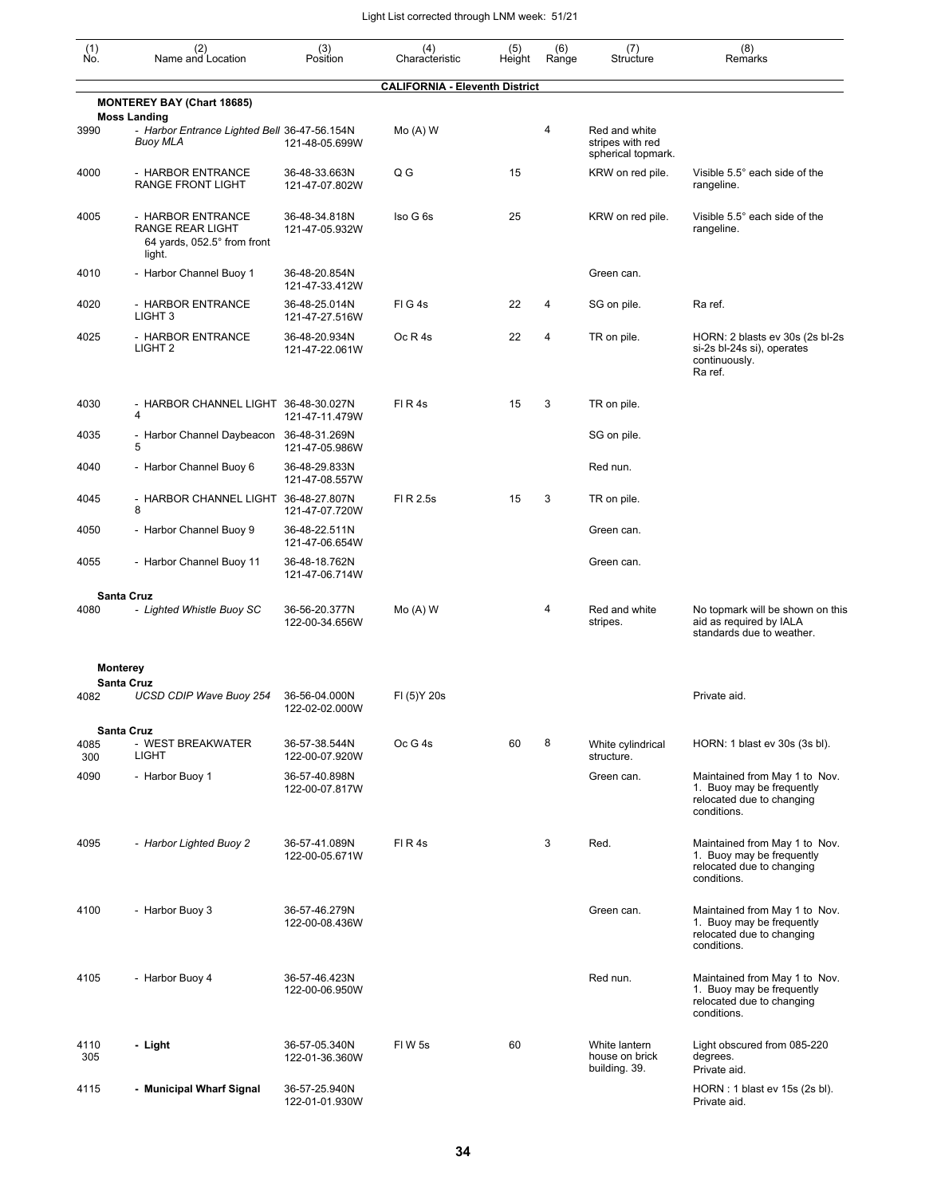| (1)<br>Ño.  | (2)<br>Name and Location                                                               | (3)<br>Position                 | (4)<br>Characteristic                 | (5)<br>Height | (6)<br>Range | (7)<br>Structure                                        | (8)<br>Remarks                                                                                         |
|-------------|----------------------------------------------------------------------------------------|---------------------------------|---------------------------------------|---------------|--------------|---------------------------------------------------------|--------------------------------------------------------------------------------------------------------|
|             |                                                                                        |                                 | <b>CALIFORNIA - Eleventh District</b> |               |              |                                                         |                                                                                                        |
|             | <b>MONTEREY BAY (Chart 18685)</b>                                                      |                                 |                                       |               |              |                                                         |                                                                                                        |
| 3990        | <b>Moss Landing</b><br>- Harbor Entrance Lighted Bell 36-47-56.154N<br><b>Buoy MLA</b> | 121-48-05.699W                  | $Mo(A)$ W                             |               | 4            | Red and white<br>stripes with red<br>spherical topmark. |                                                                                                        |
| 4000        | - HARBOR ENTRANCE<br><b>RANGE FRONT LIGHT</b>                                          | 36-48-33.663N<br>121-47-07.802W | Q G                                   | 15            |              | KRW on red pile.                                        | Visible 5.5° each side of the<br>rangeline.                                                            |
| 4005        | - HARBOR ENTRANCE<br>RANGE REAR LIGHT<br>64 yards, 052.5° from front<br>light.         | 36-48-34.818N<br>121-47-05.932W | Iso G 6s                              | 25            |              | KRW on red pile.                                        | Visible 5.5° each side of the<br>rangeline.                                                            |
| 4010        | - Harbor Channel Buoy 1                                                                | 36-48-20.854N<br>121-47-33.412W |                                       |               |              | Green can.                                              |                                                                                                        |
| 4020        | - HARBOR ENTRANCE<br>LIGHT <sub>3</sub>                                                | 36-48-25.014N<br>121-47-27.516W | FIG4s                                 | 22            | 4            | SG on pile.                                             | Ra ref.                                                                                                |
| 4025        | - HARBOR ENTRANCE<br>LIGHT <sub>2</sub>                                                | 36-48-20.934N<br>121-47-22.061W | Oc R 4s                               | 22            | 4            | TR on pile.                                             | HORN: 2 blasts ev 30s (2s bl-2s<br>si-2s bl-24s si), operates<br>continuously.<br>Ra ref.              |
| 4030        | - HARBOR CHANNEL LIGHT 36-48-30.027N<br>4                                              | 121-47-11.479W                  | FIR4s                                 | 15            | 3            | TR on pile.                                             |                                                                                                        |
| 4035        | - Harbor Channel Daybeacon 36-48-31.269N<br>5                                          | 121-47-05.986W                  |                                       |               |              | SG on pile.                                             |                                                                                                        |
| 4040        | - Harbor Channel Buoy 6                                                                | 36-48-29.833N<br>121-47-08.557W |                                       |               |              | Red nun.                                                |                                                                                                        |
| 4045        | - HARBOR CHANNEL LIGHT 36-48-27.807N<br>8                                              | 121-47-07.720W                  | FI R 2.5s                             | 15            | 3            | TR on pile.                                             |                                                                                                        |
| 4050        | - Harbor Channel Buoy 9                                                                | 36-48-22.511N<br>121-47-06.654W |                                       |               |              | Green can.                                              |                                                                                                        |
| 4055        | - Harbor Channel Buoy 11                                                               | 36-48-18.762N<br>121-47-06.714W |                                       |               |              | Green can.                                              |                                                                                                        |
| 4080        | <b>Santa Cruz</b><br>- Lighted Whistle Buoy SC                                         | 36-56-20.377N<br>122-00-34.656W | $Mo(A)$ W                             |               | 4            | Red and white<br>stripes.                               | No topmark will be shown on this<br>aid as required by IALA<br>standards due to weather.               |
|             | <b>Monterey</b>                                                                        |                                 |                                       |               |              |                                                         |                                                                                                        |
| 4082        | <b>Santa Cruz</b><br>UCSD CDIP Wave Buoy 254                                           | 36-56-04.000N<br>122-02-02.000W | FI (5) Y 20s                          |               |              |                                                         | Private aid.                                                                                           |
| 4085<br>300 | <b>Santa Cruz</b><br>- WEST BREAKWATER<br><b>LIGHT</b>                                 | 36-57-38.544N<br>122-00-07.920W | Oc G 4s                               | 60            | 8            | White cylindrical<br>structure.                         | HORN: 1 blast ev 30s (3s bl).                                                                          |
| 4090        | - Harbor Buoy 1                                                                        | 36-57-40.898N<br>122-00-07.817W |                                       |               |              | Green can.                                              | Maintained from May 1 to Nov.<br>1. Buoy may be frequently<br>relocated due to changing<br>conditions. |
| 4095        | - Harbor Lighted Buoy 2                                                                | 36-57-41.089N<br>122-00-05.671W | FIR4s                                 |               | 3            | Red.                                                    | Maintained from May 1 to Nov.<br>1. Buoy may be frequently<br>relocated due to changing<br>conditions. |
| 4100        | - Harbor Buoy 3                                                                        | 36-57-46.279N<br>122-00-08.436W |                                       |               |              | Green can.                                              | Maintained from May 1 to Nov.<br>1. Buoy may be frequently<br>relocated due to changing<br>conditions. |
| 4105        | - Harbor Buoy 4                                                                        | 36-57-46.423N<br>122-00-06.950W |                                       |               |              | Red nun.                                                | Maintained from May 1 to Nov.<br>1. Buoy may be frequently<br>relocated due to changing<br>conditions. |
| 4110<br>305 | - Light                                                                                | 36-57-05.340N<br>122-01-36.360W | FIW 5s                                | 60            |              | White lantern<br>house on brick<br>building. 39.        | Light obscured from 085-220<br>degrees.<br>Private aid.                                                |
| 4115        | - Municipal Wharf Signal                                                               | 36-57-25.940N<br>122-01-01.930W |                                       |               |              |                                                         | HORN : 1 blast ev 15s (2s bl).<br>Private aid.                                                         |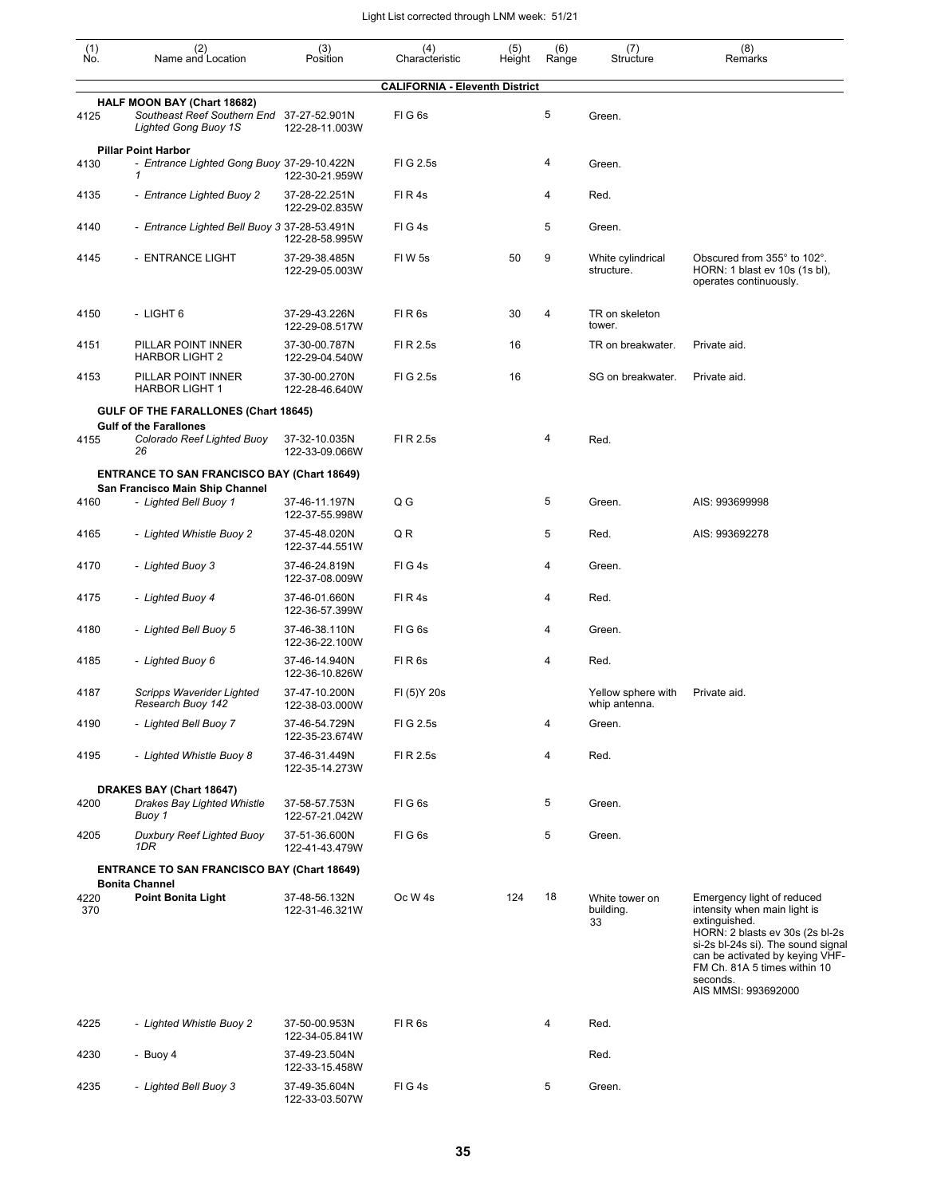| (1)<br>Ño.  | (2)<br>Name and Location                                                                         | (3)<br>Position                 | (4)<br>Characteristic                 | (5)<br>Height | (6)<br>Range | (7)<br>Structure                    | (8)<br>Remarks                                                                                                                                                                                                                                             |
|-------------|--------------------------------------------------------------------------------------------------|---------------------------------|---------------------------------------|---------------|--------------|-------------------------------------|------------------------------------------------------------------------------------------------------------------------------------------------------------------------------------------------------------------------------------------------------------|
|             |                                                                                                  |                                 | <b>CALIFORNIA - Eleventh District</b> |               |              |                                     |                                                                                                                                                                                                                                                            |
| 4125        | HALF MOON BAY (Chart 18682)<br>Southeast Reef Southern End 37-27-52.901N<br>Lighted Gong Buoy 1S | 122-28-11.003W                  | FIG <sub>6s</sub>                     |               | 5            | Green.                              |                                                                                                                                                                                                                                                            |
| 4130        | <b>Pillar Point Harbor</b><br>- Entrance Lighted Gong Buoy 37-29-10.422N<br>1                    | 122-30-21.959W                  | FIG 2.5s                              |               | 4            | Green.                              |                                                                                                                                                                                                                                                            |
| 4135        | - Entrance Lighted Buoy 2                                                                        | 37-28-22.251N<br>122-29-02.835W | FIR4s                                 |               | 4            | Red.                                |                                                                                                                                                                                                                                                            |
| 4140        | - Entrance Lighted Bell Buoy 3 37-28-53.491N                                                     | 122-28-58.995W                  | FIG4s                                 |               | 5            | Green.                              |                                                                                                                                                                                                                                                            |
| 4145        | - ENTRANCE LIGHT                                                                                 | 37-29-38.485N<br>122-29-05.003W | FIW <sub>5s</sub>                     | 50            | 9            | White cylindrical<br>structure.     | Obscured from 355° to 102°.<br>HORN: 1 blast ev 10s (1s bl),<br>operates continuously.                                                                                                                                                                     |
| 4150        | - LIGHT 6                                                                                        | 37-29-43.226N<br>122-29-08.517W | FIR <sub>6s</sub>                     | 30            | 4            | TR on skeleton<br>tower.            |                                                                                                                                                                                                                                                            |
| 4151        | PILLAR POINT INNER<br><b>HARBOR LIGHT 2</b>                                                      | 37-30-00.787N<br>122-29-04.540W | FI R 2.5s                             | 16            |              | TR on breakwater.                   | Private aid.                                                                                                                                                                                                                                               |
| 4153        | PILLAR POINT INNER<br><b>HARBOR LIGHT 1</b>                                                      | 37-30-00.270N<br>122-28-46.640W | FI G 2.5s                             | 16            |              | SG on breakwater.                   | Private aid.                                                                                                                                                                                                                                               |
|             | GULF OF THE FARALLONES (Chart 18645)<br><b>Gulf of the Farallones</b>                            |                                 |                                       |               |              |                                     |                                                                                                                                                                                                                                                            |
| 4155        | Colorado Reef Lighted Buoy<br>26                                                                 | 37-32-10.035N<br>122-33-09.066W | FI R 2.5s                             |               | 4            | Red.                                |                                                                                                                                                                                                                                                            |
|             | <b>ENTRANCE TO SAN FRANCISCO BAY (Chart 18649)</b>                                               |                                 |                                       |               |              |                                     |                                                                                                                                                                                                                                                            |
| 4160        | San Francisco Main Ship Channel<br>- Lighted Bell Buoy 1                                         | 37-46-11.197N<br>122-37-55.998W | Q G                                   |               | 5            | Green.                              | AIS: 993699998                                                                                                                                                                                                                                             |
| 4165        | - Lighted Whistle Buoy 2                                                                         | 37-45-48.020N<br>122-37-44.551W | Q R                                   |               | 5            | Red.                                | AIS: 993692278                                                                                                                                                                                                                                             |
| 4170        | - Lighted Buoy 3                                                                                 | 37-46-24.819N<br>122-37-08.009W | FIG4s                                 |               | 4            | Green.                              |                                                                                                                                                                                                                                                            |
| 4175        | - Lighted Buoy 4                                                                                 | 37-46-01.660N<br>122-36-57.399W | FIR4s                                 |               | 4            | Red.                                |                                                                                                                                                                                                                                                            |
| 4180        | - Lighted Bell Buoy 5                                                                            | 37-46-38.110N<br>122-36-22.100W | FIG <sub>6s</sub>                     |               | 4            | Green.                              |                                                                                                                                                                                                                                                            |
| 4185        | - Lighted Buoy 6                                                                                 | 37-46-14.940N<br>122-36-10.826W | FIR <sub>6s</sub>                     |               | 4            | Red.                                |                                                                                                                                                                                                                                                            |
| 4187        | Scripps Waverider Lighted<br>Research Buoy 142                                                   | 37-47-10.200N<br>122-38-03.000W | FI (5) Y 20s                          |               |              | Yellow sphere with<br>whip antenna. | Private aid.                                                                                                                                                                                                                                               |
| 4190        | - Lighted Bell Buoy 7                                                                            | 37-46-54.729N<br>122-35-23.674W | FIG 2.5s                              |               | 4            | Green.                              |                                                                                                                                                                                                                                                            |
| 4195        | - Lighted Whistle Buoy 8                                                                         | 37-46-31.449N<br>122-35-14.273W | FI R 2.5s                             |               | 4            | Red.                                |                                                                                                                                                                                                                                                            |
| 4200        | DRAKES BAY (Chart 18647)<br><b>Drakes Bay Lighted Whistle</b>                                    | 37-58-57.753N                   | FIG <sub>6s</sub>                     |               | 5            | Green.                              |                                                                                                                                                                                                                                                            |
| 4205        | Buoy 1<br>Duxbury Reef Lighted Buoy                                                              | 122-57-21.042W<br>37-51-36.600N | FIG6s                                 |               | 5            | Green.                              |                                                                                                                                                                                                                                                            |
|             | 1DR<br><b>ENTRANCE TO SAN FRANCISCO BAY (Chart 18649)</b>                                        | 122-41-43.479W                  |                                       |               |              |                                     |                                                                                                                                                                                                                                                            |
|             | <b>Bonita Channel</b>                                                                            |                                 |                                       |               | 18           |                                     |                                                                                                                                                                                                                                                            |
| 4220<br>370 | <b>Point Bonita Light</b>                                                                        | 37-48-56.132N<br>122-31-46.321W | Oc W <sub>4s</sub>                    | 124           |              | White tower on<br>building.<br>33   | Emergency light of reduced<br>intensity when main light is<br>extinguished.<br>HORN: 2 blasts ev 30s (2s bl-2s<br>si-2s bl-24s si). The sound signal<br>can be activated by keying VHF-<br>FM Ch. 81A 5 times within 10<br>seconds.<br>AIS MMSI: 993692000 |
| 4225        | - Lighted Whistle Buoy 2                                                                         | 37-50-00.953N<br>122-34-05.841W | FIR <sub>6s</sub>                     |               | 4            | Red.                                |                                                                                                                                                                                                                                                            |
| 4230        | - Buoy 4                                                                                         | 37-49-23.504N<br>122-33-15.458W |                                       |               |              | Red.                                |                                                                                                                                                                                                                                                            |
| 4235        | - Lighted Bell Buoy 3                                                                            | 37-49-35.604N<br>122-33-03.507W | FIG4s                                 |               | 5            | Green.                              |                                                                                                                                                                                                                                                            |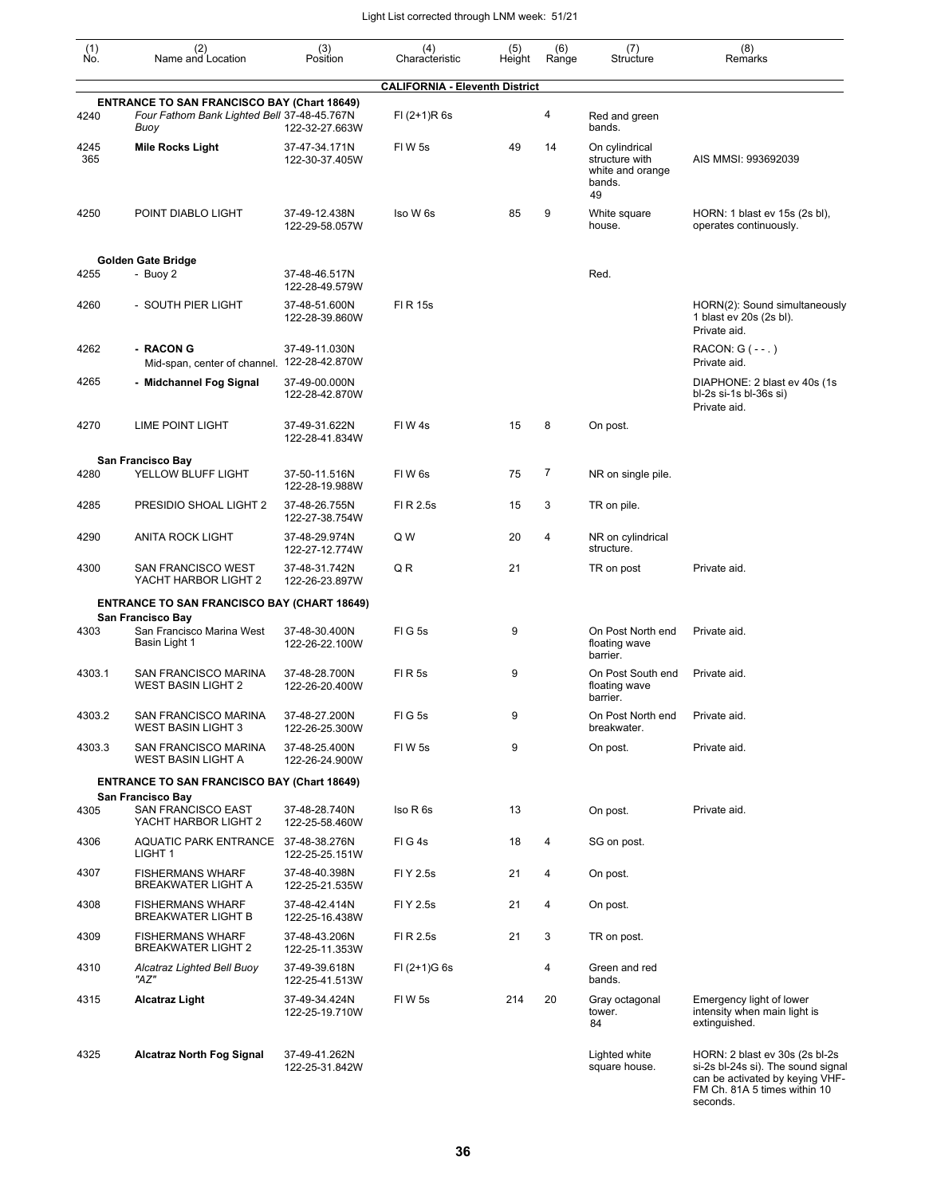| $\begin{smallmatrix} (1) \\ \mathsf{No} \end{smallmatrix}$ | (2)<br>Name and Location                                                                                  | (3)<br>Position                 | (4)<br>Characteristic                 | (5)<br>Height | (6)<br>Range | (7)<br>Structure                                                     | (8)<br>Remarks                                                                                                                                      |
|------------------------------------------------------------|-----------------------------------------------------------------------------------------------------------|---------------------------------|---------------------------------------|---------------|--------------|----------------------------------------------------------------------|-----------------------------------------------------------------------------------------------------------------------------------------------------|
|                                                            |                                                                                                           |                                 | <b>CALIFORNIA - Eleventh District</b> |               |              |                                                                      |                                                                                                                                                     |
| 4240                                                       | <b>ENTRANCE TO SAN FRANCISCO BAY (Chart 18649)</b><br>Four Fathom Bank Lighted Bell 37-48-45.767N<br>Buoy | 122-32-27.663W                  | $FI (2+1)R 6s$                        |               | 4            | Red and green<br>bands.                                              |                                                                                                                                                     |
| 4245<br>365                                                | <b>Mile Rocks Light</b>                                                                                   | 37-47-34.171N<br>122-30-37.405W | FIW <sub>5s</sub>                     | 49            | 14           | On cylindrical<br>structure with<br>white and orange<br>bands.<br>49 | AIS MMSI: 993692039                                                                                                                                 |
| 4250                                                       | POINT DIABLO LIGHT                                                                                        | 37-49-12.438N<br>122-29-58.057W | Iso W 6s                              | 85            | 9            | White square<br>house.                                               | HORN: 1 blast ev 15s (2s bl),<br>operates continuously.                                                                                             |
|                                                            | Golden Gate Bridge                                                                                        |                                 |                                       |               |              |                                                                      |                                                                                                                                                     |
| 4255                                                       | - Buoy 2                                                                                                  | 37-48-46.517N<br>122-28-49.579W |                                       |               |              | Red.                                                                 |                                                                                                                                                     |
| 4260                                                       | - SOUTH PIER LIGHT                                                                                        | 37-48-51.600N<br>122-28-39.860W | FI R 15s                              |               |              |                                                                      | HORN(2): Sound simultaneously<br>1 blast ev 20s (2s bl).<br>Private aid.                                                                            |
| 4262                                                       | - RACON G<br>Mid-span, center of channel. 122-28-42.870W                                                  | 37-49-11.030N                   |                                       |               |              |                                                                      | RACON: $G$ ( $-$ -.)<br>Private aid.                                                                                                                |
| 4265                                                       | - Midchannel Fog Signal                                                                                   | 37-49-00.000N<br>122-28-42.870W |                                       |               |              |                                                                      | DIAPHONE: 2 blast ev 40s (1s)<br>bl-2s si-1s bl-36s si)<br>Private aid.                                                                             |
| 4270                                                       | LIME POINT LIGHT                                                                                          | 37-49-31.622N<br>122-28-41.834W | FIW4s                                 | 15            | 8            | On post.                                                             |                                                                                                                                                     |
| 4280                                                       | San Francisco Bay<br>YELLOW BLUFF LIGHT                                                                   | 37-50-11.516N<br>122-28-19.988W | FIW <sub>6s</sub>                     | 75            | 7            | NR on single pile.                                                   |                                                                                                                                                     |
| 4285                                                       | PRESIDIO SHOAL LIGHT 2                                                                                    | 37-48-26.755N<br>122-27-38.754W | FI R 2.5s                             | 15            | 3            | TR on pile.                                                          |                                                                                                                                                     |
| 4290                                                       | <b>ANITA ROCK LIGHT</b>                                                                                   | 37-48-29.974N<br>122-27-12.774W | Q W                                   | 20            | 4            | NR on cylindrical<br>structure.                                      |                                                                                                                                                     |
| 4300                                                       | SAN FRANCISCO WEST<br>YACHT HARBOR LIGHT 2                                                                | 37-48-31.742N<br>122-26-23.897W | Q R                                   | 21            |              | TR on post                                                           | Private aid.                                                                                                                                        |
|                                                            | <b>ENTRANCE TO SAN FRANCISCO BAY (CHART 18649)</b>                                                        |                                 |                                       |               |              |                                                                      |                                                                                                                                                     |
| 4303                                                       | San Francisco Bay<br>San Francisco Marina West                                                            | 37-48-30.400N                   | <b>FIG5s</b>                          | 9             |              | On Post North end                                                    | Private aid.                                                                                                                                        |
|                                                            | Basin Light 1                                                                                             | 122-26-22.100W                  |                                       |               |              | floating wave<br>barrier.                                            |                                                                                                                                                     |
| 4303.1                                                     | <b>SAN FRANCISCO MARINA</b><br><b>WEST BASIN LIGHT 2</b>                                                  | 37-48-28.700N<br>122-26-20.400W | FIR <sub>5s</sub>                     | 9             |              | On Post South end<br>floating wave<br>barrier.                       | Private aid.                                                                                                                                        |
| 4303.2                                                     | SAN FRANCISCO MARINA<br><b>WEST BASIN LIGHT 3</b>                                                         | 37-48-27.200N<br>122-26-25.300W | FIG5s                                 | 9             |              | On Post North end<br>breakwater.                                     | Private aid.                                                                                                                                        |
| 4303.3                                                     | SAN FRANCISCO MARINA<br><b>WEST BASIN LIGHT A</b>                                                         | 37-48-25.400N<br>122-26-24.900W | FIW <sub>5s</sub>                     | 9             |              | On post.                                                             | Private aid.                                                                                                                                        |
|                                                            | <b>ENTRANCE TO SAN FRANCISCO BAY (Chart 18649)</b>                                                        |                                 |                                       |               |              |                                                                      |                                                                                                                                                     |
| 4305                                                       | San Francisco Bay<br>SAN FRANCISCO EAST<br>YACHT HARBOR LIGHT 2                                           | 37-48-28.740N<br>122-25-58.460W | Iso R 6s                              | 13            |              | On post.                                                             | Private aid.                                                                                                                                        |
| 4306                                                       | AQUATIC PARK ENTRANCE 37-48-38.276N<br>LIGHT 1                                                            | 122-25-25.151W                  | FIG4s                                 | 18            | 4            | SG on post.                                                          |                                                                                                                                                     |
| 4307                                                       | <b>FISHERMANS WHARF</b><br><b>BREAKWATER LIGHT A</b>                                                      | 37-48-40.398N<br>122-25-21.535W | FI Y 2.5s                             | 21            | 4            | On post.                                                             |                                                                                                                                                     |
| 4308                                                       | <b>FISHERMANS WHARF</b><br><b>BREAKWATER LIGHT B</b>                                                      | 37-48-42.414N<br>122-25-16.438W | FI Y 2.5s                             | 21            | 4            | On post.                                                             |                                                                                                                                                     |
| 4309                                                       | <b>FISHERMANS WHARF</b><br><b>BREAKWATER LIGHT 2</b>                                                      | 37-48-43.206N<br>122-25-11.353W | FI R 2.5s                             | 21            | 3            | TR on post.                                                          |                                                                                                                                                     |
| 4310                                                       | Alcatraz Lighted Bell Buoy<br>"AZ"                                                                        | 37-49-39.618N<br>122-25-41.513W | $FI (2+1)G 6s$                        |               | 4            | Green and red<br>bands.                                              |                                                                                                                                                     |
| 4315                                                       | <b>Alcatraz Light</b>                                                                                     | 37-49-34.424N<br>122-25-19.710W | FIW 5s                                | 214           | 20           | Gray octagonal<br>tower.<br>84                                       | Emergency light of lower<br>intensity when main light is<br>extinguished.                                                                           |
| 4325                                                       | <b>Alcatraz North Fog Signal</b>                                                                          | 37-49-41.262N<br>122-25-31.842W |                                       |               |              | Lighted white<br>square house.                                       | HORN: 2 blast ev 30s (2s bl-2s<br>si-2s bl-24s si). The sound signal<br>can be activated by keying VHF-<br>FM Ch. 81A 5 times within 10<br>seconds. |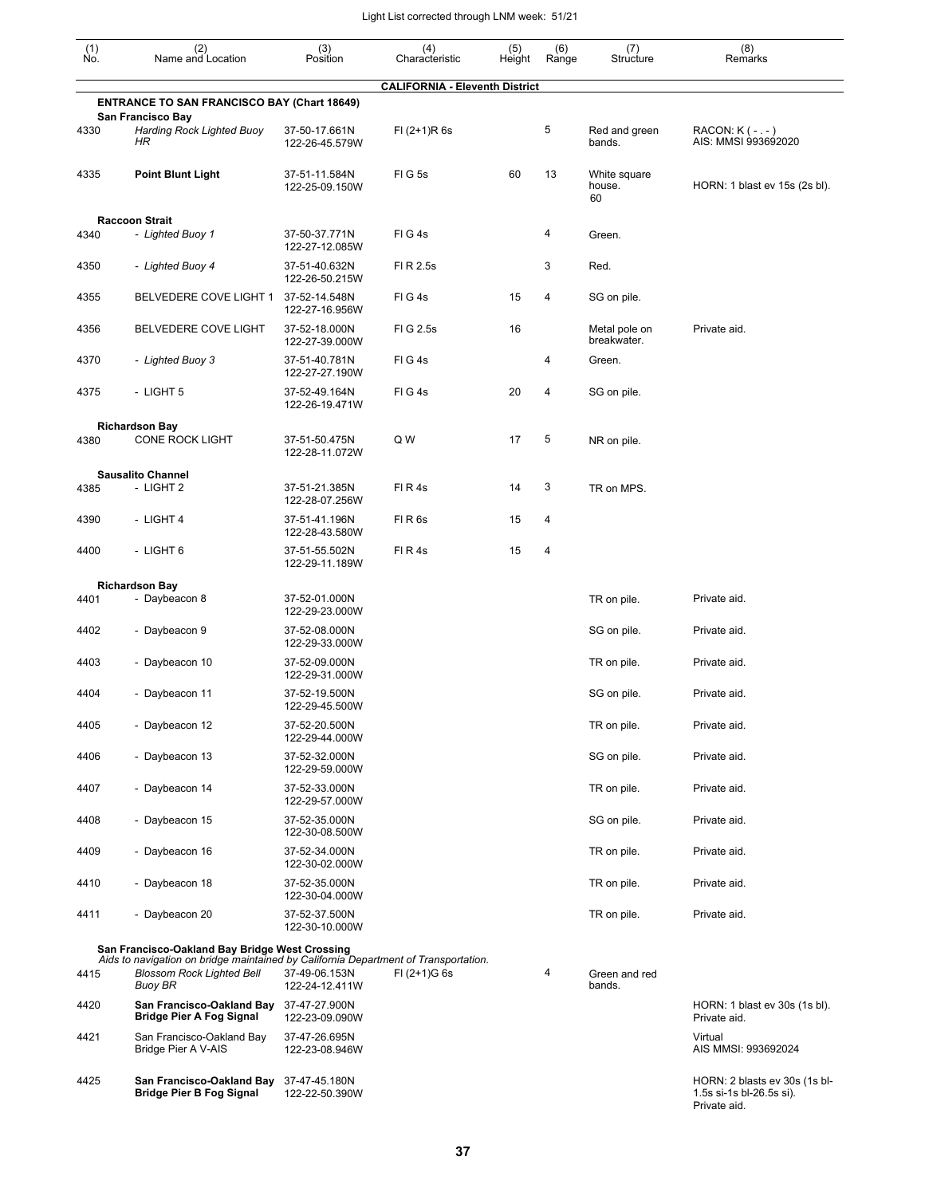| (1)<br>No. | (2)<br>Name and Location                                                                                                                  | $(3)$<br>Position               | (4)<br>Characteristic                 | (5)<br>Height | (6)<br>Range | (7)<br>Structure             | (8)<br>Remarks                                                            |
|------------|-------------------------------------------------------------------------------------------------------------------------------------------|---------------------------------|---------------------------------------|---------------|--------------|------------------------------|---------------------------------------------------------------------------|
|            |                                                                                                                                           |                                 | <b>CALIFORNIA - Eleventh District</b> |               |              |                              |                                                                           |
|            | <b>ENTRANCE TO SAN FRANCISCO BAY (Chart 18649)</b>                                                                                        |                                 |                                       |               |              |                              |                                                                           |
| 4330       | San Francisco Bay<br><b>Harding Rock Lighted Buoy</b><br>HR                                                                               | 37-50-17.661N<br>122-26-45.579W | $FI (2+1)R 6s$                        |               | 5            | Red and green<br>bands.      | RACON: K (-.-)<br>AIS: MMSI 993692020                                     |
| 4335       | <b>Point Blunt Light</b>                                                                                                                  | 37-51-11.584N<br>122-25-09.150W | FIG5s                                 | 60            | 13           | White square<br>house.<br>60 | HORN: 1 blast ev 15s (2s bl).                                             |
|            | <b>Raccoon Strait</b>                                                                                                                     |                                 |                                       |               |              |                              |                                                                           |
| 4340       | - Lighted Buoy 1                                                                                                                          | 37-50-37.771N<br>122-27-12.085W | FIG4s                                 |               | 4            | Green.                       |                                                                           |
| 4350       | - Lighted Buoy 4                                                                                                                          | 37-51-40.632N<br>122-26-50.215W | FI R 2.5s                             |               | 3            | Red.                         |                                                                           |
| 4355       | BELVEDERE COVE LIGHT 1                                                                                                                    | 37-52-14.548N<br>122-27-16.956W | FIG4s                                 | 15            | 4            | SG on pile.                  |                                                                           |
| 4356       | BELVEDERE COVE LIGHT                                                                                                                      | 37-52-18.000N<br>122-27-39.000W | FIG 2.5s                              | 16            |              | Metal pole on<br>breakwater. | Private aid.                                                              |
| 4370       | - Lighted Buoy 3                                                                                                                          | 37-51-40.781N<br>122-27-27.190W | FIG4s                                 |               | 4            | Green.                       |                                                                           |
| 4375       | - LIGHT 5                                                                                                                                 | 37-52-49.164N<br>122-26-19.471W | FIG4s                                 | 20            | 4            | SG on pile.                  |                                                                           |
| 4380       | <b>Richardson Bay</b><br><b>CONE ROCK LIGHT</b>                                                                                           | 37-51-50.475N<br>122-28-11.072W | Q W                                   | 17            | 5            | NR on pile.                  |                                                                           |
|            | <b>Sausalito Channel</b>                                                                                                                  |                                 |                                       |               |              |                              |                                                                           |
| 4385       | - LIGHT 2                                                                                                                                 | 37-51-21.385N<br>122-28-07.256W | FIR4s                                 | 14            | 3            | TR on MPS.                   |                                                                           |
| 4390       | - LIGHT 4                                                                                                                                 | 37-51-41.196N<br>122-28-43.580W | FIR <sub>6s</sub>                     | 15            | 4            |                              |                                                                           |
| 4400       | - LIGHT 6                                                                                                                                 | 37-51-55.502N<br>122-29-11.189W | FIR4s                                 | 15            | 4            |                              |                                                                           |
|            | <b>Richardson Bay</b>                                                                                                                     |                                 |                                       |               |              |                              |                                                                           |
| 4401       | - Daybeacon 8                                                                                                                             | 37-52-01.000N<br>122-29-23.000W |                                       |               |              | TR on pile.                  | Private aid.                                                              |
| 4402       | - Daybeacon 9                                                                                                                             | 37-52-08.000N<br>122-29-33.000W |                                       |               |              | SG on pile.                  | Private aid.                                                              |
| 4403       | - Daybeacon 10                                                                                                                            | 37-52-09.000N<br>122-29-31.000W |                                       |               |              | TR on pile.                  | Private aid.                                                              |
| 4404       | - Daybeacon 11                                                                                                                            | 37-52-19.500N<br>122-29-45.500W |                                       |               |              | SG on pile.                  | Private aid.                                                              |
| 4405       | - Daybeacon 12                                                                                                                            | 37-52-20.500N<br>122-29-44.000W |                                       |               |              | TR on pile.                  | Private aid.                                                              |
| 4406       | - Daybeacon 13                                                                                                                            | 37-52-32.000N<br>122-29-59.000W |                                       |               |              | SG on pile.                  | Private aid.                                                              |
| 4407       | - Daybeacon 14                                                                                                                            | 37-52-33.000N<br>122-29-57.000W |                                       |               |              | TR on pile.                  | Private aid.                                                              |
| 4408       | - Daybeacon 15                                                                                                                            | 37-52-35.000N<br>122-30-08.500W |                                       |               |              | SG on pile.                  | Private aid.                                                              |
| 4409       | - Daybeacon 16                                                                                                                            | 37-52-34.000N<br>122-30-02.000W |                                       |               |              | TR on pile.                  | Private aid.                                                              |
| 4410       | - Daybeacon 18                                                                                                                            | 37-52-35.000N<br>122-30-04.000W |                                       |               |              | TR on pile.                  | Private aid.                                                              |
| 4411       | - Daybeacon 20                                                                                                                            | 37-52-37.500N<br>122-30-10.000W |                                       |               |              | TR on pile.                  | Private aid.                                                              |
|            | San Francisco-Oakland Bay Bridge West Crossing                                                                                            |                                 |                                       |               |              |                              |                                                                           |
| 4415       | Aids to navigation on bridge maintained by California Department of Transportation.<br><b>Blossom Rock Lighted Bell</b><br><b>Buoy BR</b> | 37-49-06.153N<br>122-24-12.411W | $FI (2+1)G 6s$                        |               | 4            | Green and red<br>bands.      |                                                                           |
| 4420       | San Francisco-Oakland Bay<br><b>Bridge Pier A Fog Signal</b>                                                                              | 37-47-27.900N<br>122-23-09.090W |                                       |               |              |                              | HORN: 1 blast ev 30s (1s bl).<br>Private aid.                             |
| 4421       | San Francisco-Oakland Bay<br>Bridge Pier A V-AIS                                                                                          | 37-47-26.695N<br>122-23-08.946W |                                       |               |              |                              | Virtual<br>AIS MMSI: 993692024                                            |
| 4425       | San Francisco-Oakland Bay<br><b>Bridge Pier B Fog Signal</b>                                                                              | 37-47-45.180N<br>122-22-50.390W |                                       |               |              |                              | HORN: 2 blasts ev 30s (1s bl-<br>1.5s si-1s bl-26.5s si).<br>Private aid. |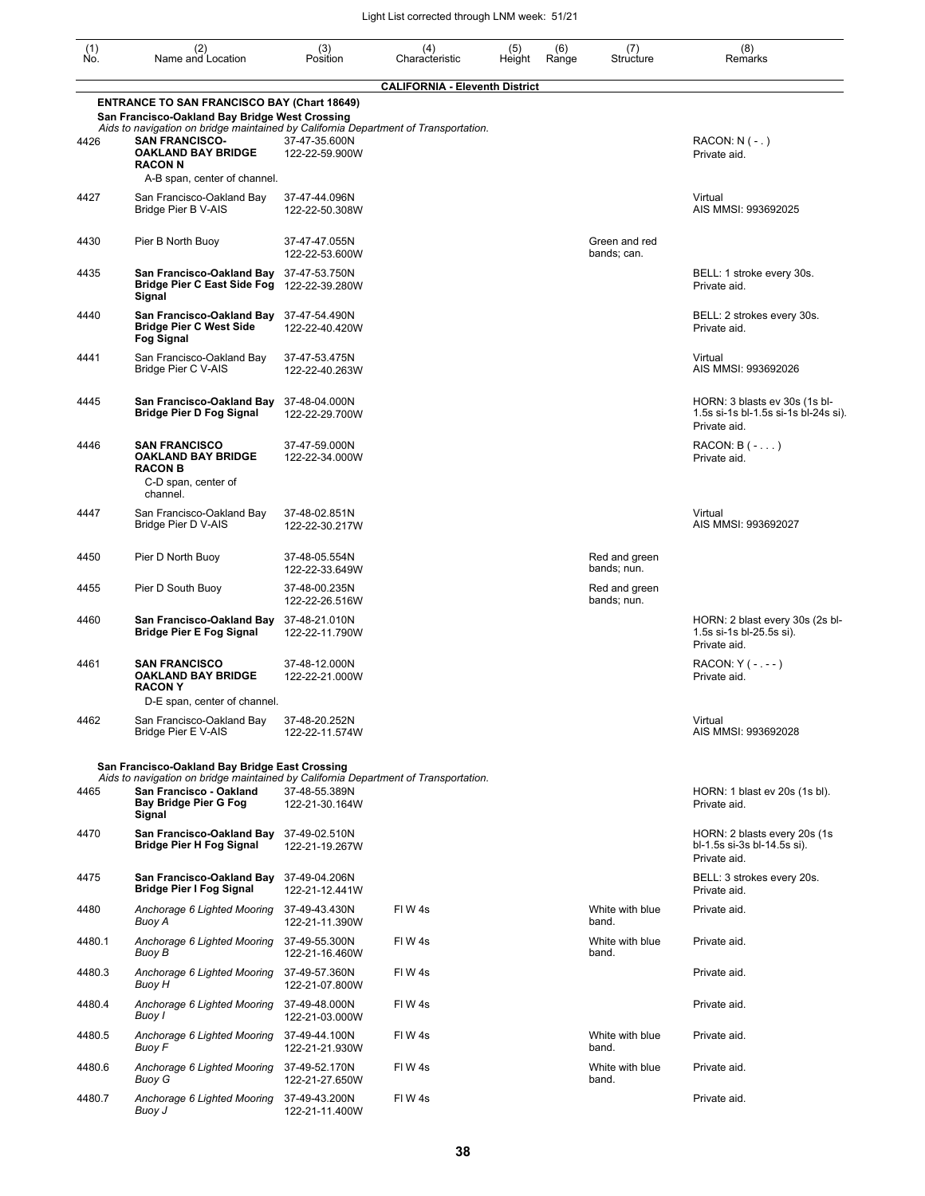| (1)<br>No. | (2)<br>Name and Location                                                                                                                                    | (3)<br>Position                 | (4)<br>Characteristic                 | (5)<br>Height | (6)<br>Range | (7)<br>Structure             | (8)<br>Remarks                                                                        |
|------------|-------------------------------------------------------------------------------------------------------------------------------------------------------------|---------------------------------|---------------------------------------|---------------|--------------|------------------------------|---------------------------------------------------------------------------------------|
|            |                                                                                                                                                             |                                 | <b>CALIFORNIA - Eleventh District</b> |               |              |                              |                                                                                       |
|            | <b>ENTRANCE TO SAN FRANCISCO BAY (Chart 18649)</b><br>San Francisco-Oakland Bay Bridge West Crossing                                                        |                                 |                                       |               |              |                              |                                                                                       |
| 4426       | Aids to navigation on bridge maintained by California Department of Transportation.<br><b>SAN FRANCISCO-</b><br><b>OAKLAND BAY BRIDGE</b><br><b>RACON N</b> | 37-47-35.600N<br>122-22-59.900W |                                       |               |              |                              | $RACON: N (-.)$<br>Private aid.                                                       |
|            | A-B span, center of channel.                                                                                                                                |                                 |                                       |               |              |                              |                                                                                       |
| 4427       | San Francisco-Oakland Bay<br>Bridge Pier B V-AIS                                                                                                            | 37-47-44.096N<br>122-22-50.308W |                                       |               |              |                              | Virtual<br>AIS MMSI: 993692025                                                        |
| 4430       | Pier B North Buoy                                                                                                                                           | 37-47-47.055N<br>122-22-53.600W |                                       |               |              | Green and red<br>bands; can. |                                                                                       |
| 4435       | San Francisco-Oakland Bay<br><b>Bridge Pier C East Side Fog</b><br>Signal                                                                                   | 37-47-53.750N<br>122-22-39.280W |                                       |               |              |                              | BELL: 1 stroke every 30s.<br>Private aid.                                             |
| 4440       | San Francisco-Oakland Bay<br><b>Bridge Pier C West Side</b><br><b>Fog Signal</b>                                                                            | 37-47-54.490N<br>122-22-40.420W |                                       |               |              |                              | BELL: 2 strokes every 30s.<br>Private aid.                                            |
| 4441       | San Francisco-Oakland Bay<br>Bridge Pier C V-AIS                                                                                                            | 37-47-53.475N<br>122-22-40.263W |                                       |               |              |                              | Virtual<br>AIS MMSI: 993692026                                                        |
| 4445       | San Francisco-Oakland Bay<br><b>Bridge Pier D Fog Signal</b>                                                                                                | 37-48-04.000N<br>122-22-29.700W |                                       |               |              |                              | HORN: 3 blasts ev 30s (1s bl-<br>1.5s si-1s bl-1.5s si-1s bl-24s si).<br>Private aid. |
| 4446       | <b>SAN FRANCISCO</b><br><b>OAKLAND BAY BRIDGE</b><br><b>RACON B</b><br>C-D span, center of                                                                  | 37-47-59.000N<br>122-22-34.000W |                                       |               |              |                              | $RACON: B(-)$<br>Private aid.                                                         |
| 4447       | channel.<br>San Francisco-Oakland Bay<br>Bridge Pier D V-AIS                                                                                                | 37-48-02.851N<br>122-22-30.217W |                                       |               |              |                              | Virtual<br>AIS MMSI: 993692027                                                        |
| 4450       | Pier D North Buoy                                                                                                                                           | 37-48-05.554N<br>122-22-33.649W |                                       |               |              | Red and green<br>bands; nun. |                                                                                       |
| 4455       | Pier D South Buoy                                                                                                                                           | 37-48-00.235N<br>122-22-26.516W |                                       |               |              | Red and green<br>bands; nun. |                                                                                       |
| 4460       | San Francisco-Oakland Bay<br><b>Bridge Pier E Fog Signal</b>                                                                                                | 37-48-21.010N<br>122-22-11.790W |                                       |               |              |                              | HORN: 2 blast every 30s (2s bl-<br>1.5s si-1s bl-25.5s si).<br>Private aid.           |
| 4461       | <b>SAN FRANCISCO</b><br><b>OAKLAND BAY BRIDGE</b><br><b>RACONY</b><br>D-E span, center of channel.                                                          | 37-48-12.000N<br>122-22-21.000W |                                       |               |              |                              | RACON: Y ( - . - - )<br>Private aid.                                                  |
| 4462       | San Francisco-Oakland Bay<br>Bridge Pier E V-AIS                                                                                                            | 37-48-20.252N<br>122-22-11.574W |                                       |               |              |                              | Virtual<br>AIS MMSI: 993692028                                                        |
|            | San Francisco-Oakland Bay Bridge East Crossing                                                                                                              |                                 |                                       |               |              |                              |                                                                                       |
| 4465       | Aids to navigation on bridge maintained by California Department of Transportation.<br>San Francisco - Oakland<br><b>Bay Bridge Pier G Fog</b><br>Signal    | 37-48-55.389N<br>122-21-30.164W |                                       |               |              |                              | HORN: 1 blast ev 20s (1s bl).<br>Private aid.                                         |
| 4470       | San Francisco-Oakland Bay<br><b>Bridge Pier H Fog Signal</b>                                                                                                | 37-49-02.510N<br>122-21-19.267W |                                       |               |              |                              | HORN: 2 blasts every 20s (1s)<br>bl-1.5s si-3s bl-14.5s si).<br>Private aid.          |
| 4475       | San Francisco-Oakland Bay<br><b>Bridge Pier I Fog Signal</b>                                                                                                | 37-49-04.206N<br>122-21-12.441W |                                       |               |              |                              | BELL: 3 strokes every 20s.<br>Private aid.                                            |
| 4480       | Anchorage 6 Lighted Mooring<br>Buoy A                                                                                                                       | 37-49-43.430N<br>122-21-11.390W | FIW4s                                 |               |              | White with blue<br>band.     | Private aid.                                                                          |
| 4480.1     | Anchorage 6 Lighted Mooring<br>Buoy B                                                                                                                       | 37-49-55.300N<br>122-21-16.460W | FIW4s                                 |               |              | White with blue<br>band.     | Private aid.                                                                          |
| 4480.3     | Anchorage 6 Lighted Mooring<br>Buoy H                                                                                                                       | 37-49-57.360N<br>122-21-07.800W | FIW4s                                 |               |              |                              | Private aid.                                                                          |
| 4480.4     | Anchorage 6 Lighted Mooring<br>Buoy I                                                                                                                       | 37-49-48.000N<br>122-21-03.000W | FIW4s                                 |               |              |                              | Private aid.                                                                          |
| 4480.5     | Anchorage 6 Lighted Mooring<br>Buoy F                                                                                                                       | 37-49-44.100N<br>122-21-21.930W | FIW4s                                 |               |              | White with blue<br>band.     | Private aid.                                                                          |
| 4480.6     | Anchorage 6 Lighted Mooring<br>Buoy G                                                                                                                       | 37-49-52.170N<br>122-21-27.650W | FIW4s                                 |               |              | White with blue<br>band.     | Private aid.                                                                          |
| 4480.7     | Anchorage 6 Lighted Mooring<br>Buoy J                                                                                                                       | 37-49-43.200N<br>122-21-11.400W | FIW 4s                                |               |              |                              | Private aid.                                                                          |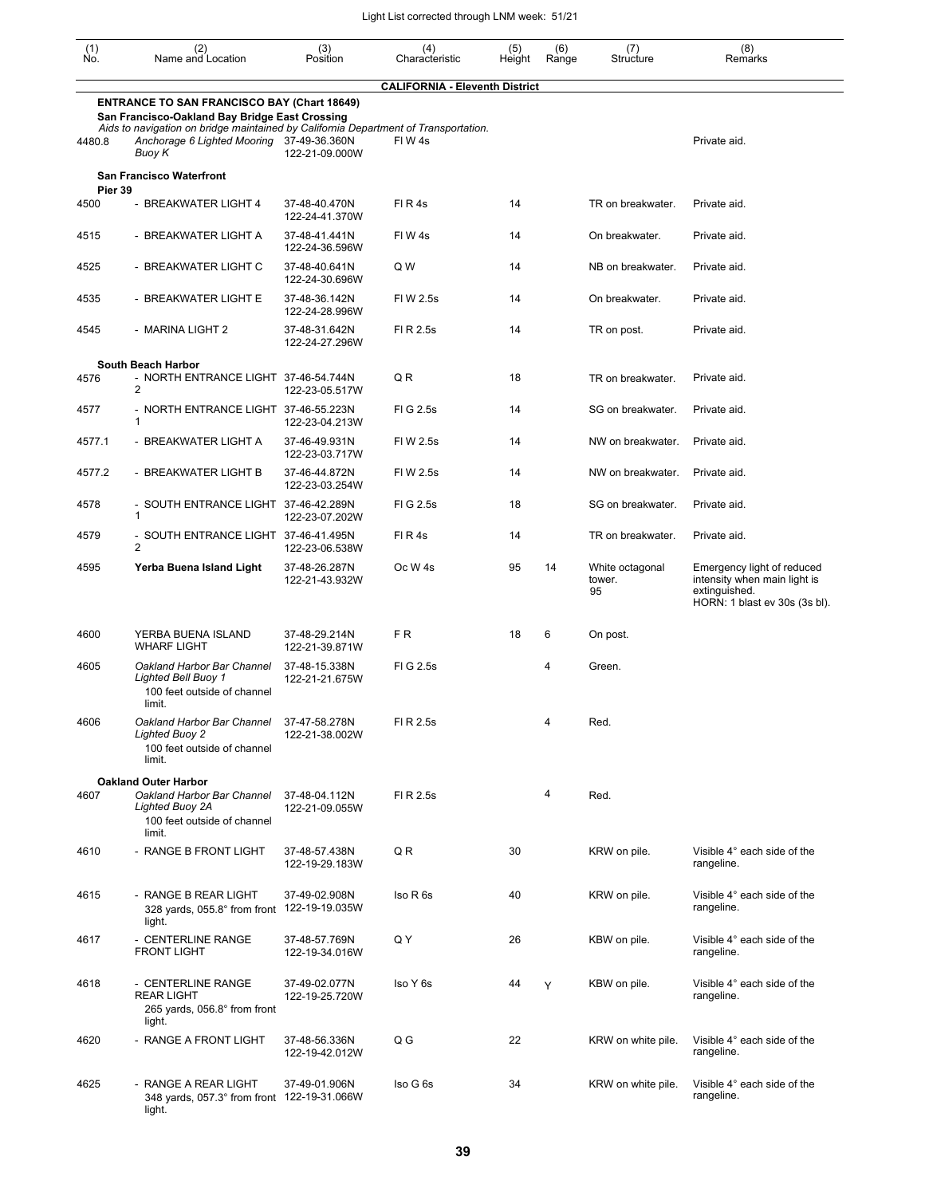| $\begin{smallmatrix} (1) \\ \mathsf{No} \end{smallmatrix}$ | (2)<br>Name and Location                                                                                                                                                                    | (3)<br>Position                 | (4)<br>Characteristic                 | (5)<br>Height | (6)<br>Range | (7)<br>Structure                | (8)<br>Remarks                                                                                               |
|------------------------------------------------------------|---------------------------------------------------------------------------------------------------------------------------------------------------------------------------------------------|---------------------------------|---------------------------------------|---------------|--------------|---------------------------------|--------------------------------------------------------------------------------------------------------------|
|                                                            |                                                                                                                                                                                             |                                 | <b>CALIFORNIA - Eleventh District</b> |               |              |                                 |                                                                                                              |
|                                                            | <b>ENTRANCE TO SAN FRANCISCO BAY (Chart 18649)</b><br>San Francisco-Oakland Bay Bridge East Crossing<br>Aids to navigation on bridge maintained by California Department of Transportation. |                                 |                                       |               |              |                                 |                                                                                                              |
| 4480.8                                                     | Anchorage 6 Lighted Mooring 37-49-36.360N<br>Buoy K                                                                                                                                         | 122-21-09.000W                  | FIW4s                                 |               |              |                                 | Private aid.                                                                                                 |
| Pier 39                                                    | <b>San Francisco Waterfront</b>                                                                                                                                                             |                                 |                                       |               |              |                                 |                                                                                                              |
| 4500                                                       | - BREAKWATER LIGHT 4                                                                                                                                                                        | 37-48-40.470N<br>122-24-41.370W | FI R 4s                               | 14            |              | TR on breakwater.               | Private aid.                                                                                                 |
| 4515                                                       | - BREAKWATER LIGHT A                                                                                                                                                                        | 37-48-41.441N<br>122-24-36.596W | FIW4s                                 | 14            |              | On breakwater.                  | Private aid.                                                                                                 |
| 4525                                                       | - BREAKWATER LIGHT C                                                                                                                                                                        | 37-48-40.641N<br>122-24-30.696W | Q W                                   | 14            |              | NB on breakwater.               | Private aid.                                                                                                 |
| 4535                                                       | - BREAKWATER LIGHT E                                                                                                                                                                        | 37-48-36.142N<br>122-24-28.996W | FIW 2.5s                              | 14            |              | On breakwater.                  | Private aid.                                                                                                 |
| 4545                                                       | - MARINA LIGHT 2                                                                                                                                                                            | 37-48-31.642N<br>122-24-27.296W | FI R 2.5s                             | 14            |              | TR on post.                     | Private aid.                                                                                                 |
|                                                            | <b>South Beach Harbor</b>                                                                                                                                                                   |                                 |                                       |               |              |                                 |                                                                                                              |
| 4576                                                       | - NORTH ENTRANCE LIGHT 37-46-54.744N<br>2                                                                                                                                                   | 122-23-05.517W                  | QR                                    | 18            |              | TR on breakwater.               | Private aid.                                                                                                 |
| 4577                                                       | - NORTH ENTRANCE LIGHT 37-46-55.223N<br>$\mathbf{1}$                                                                                                                                        | 122-23-04.213W                  | FIG 2.5s                              | 14            |              | SG on breakwater.               | Private aid.                                                                                                 |
| 4577.1                                                     | - BREAKWATER LIGHT A                                                                                                                                                                        | 37-46-49.931N<br>122-23-03.717W | FIW 2.5s                              | 14            |              | NW on breakwater.               | Private aid.                                                                                                 |
| 4577.2                                                     | - BREAKWATER LIGHT B                                                                                                                                                                        | 37-46-44.872N<br>122-23-03.254W | FIW 2.5s                              | 14            |              | NW on breakwater.               | Private aid.                                                                                                 |
| 4578                                                       | - SOUTH ENTRANCE LIGHT<br>$\mathbf{1}$                                                                                                                                                      | 37-46-42.289N<br>122-23-07.202W | FIG 2.5s                              | 18            |              | SG on breakwater.               | Private aid.                                                                                                 |
| 4579                                                       | - SOUTH ENTRANCE LIGHT 37-46-41.495N<br>$\overline{2}$                                                                                                                                      | 122-23-06.538W                  | FIR4s                                 | 14            |              | TR on breakwater.               | Private aid.                                                                                                 |
| 4595                                                       | Yerba Buena Island Light                                                                                                                                                                    | 37-48-26.287N<br>122-21-43.932W | Oc W 4s                               | 95            | 14           | White octagonal<br>tower.<br>95 | Emergency light of reduced<br>intensity when main light is<br>extinguished.<br>HORN: 1 blast ev 30s (3s bl). |
| 4600                                                       | YERBA BUENA ISLAND<br><b>WHARF LIGHT</b>                                                                                                                                                    | 37-48-29.214N<br>122-21-39.871W | FR.                                   | 18            | 6            | On post.                        |                                                                                                              |
| 4605                                                       | Oakland Harbor Bar Channel<br><b>Lighted Bell Buoy 1</b><br>100 feet outside of channel<br>limit.                                                                                           | 37-48-15.338N<br>122-21-21.675W | FIG 2.5s                              |               | 4            | Green.                          |                                                                                                              |
| 4606                                                       | Oakland Harbor Bar Channel<br><b>Lighted Buoy 2</b><br>100 feet outside of channel<br>limit.                                                                                                | 37-47-58.278N<br>122-21-38.002W | FI R 2.5s                             |               | 4            | Red.                            |                                                                                                              |
| 4607                                                       | <b>Oakland Outer Harbor</b><br>Oakland Harbor Bar Channel<br>Lighted Buoy 2A<br>100 feet outside of channel<br>limit.                                                                       | 37-48-04.112N<br>122-21-09.055W | FI R 2.5s                             |               | 4            | Red.                            |                                                                                                              |
| 4610                                                       | - RANGE B FRONT LIGHT                                                                                                                                                                       | 37-48-57.438N<br>122-19-29.183W | QR                                    | 30            |              | KRW on pile.                    | Visible 4° each side of the<br>rangeline.                                                                    |
| 4615                                                       | - RANGE B REAR LIGHT<br>328 yards, 055.8° from front<br>light.                                                                                                                              | 37-49-02.908N<br>122-19-19.035W | Iso R 6s                              | 40            |              | KRW on pile.                    | Visible 4° each side of the<br>rangeline.                                                                    |
| 4617                                                       | - CENTERLINE RANGE<br><b>FRONT LIGHT</b>                                                                                                                                                    | 37-48-57.769N<br>122-19-34.016W | Q Y                                   | 26            |              | KBW on pile.                    | Visible 4° each side of the<br>rangeline.                                                                    |
| 4618                                                       | - CENTERLINE RANGE<br><b>REAR LIGHT</b><br>265 yards, 056.8° from front<br>light.                                                                                                           | 37-49-02.077N<br>122-19-25.720W | Iso Y 6s                              | 44            | Υ            | KBW on pile.                    | Visible 4° each side of the<br>rangeline.                                                                    |
| 4620                                                       | - RANGE A FRONT LIGHT                                                                                                                                                                       | 37-48-56.336N<br>122-19-42.012W | Q G                                   | 22            |              | KRW on white pile.              | Visible 4° each side of the<br>rangeline.                                                                    |
| 4625                                                       | - RANGE A REAR LIGHT<br>348 yards, 057.3° from front<br>light.                                                                                                                              | 37-49-01.906N<br>122-19-31.066W | Iso G 6s                              | 34            |              | KRW on white pile.              | Visible 4° each side of the<br>rangeline.                                                                    |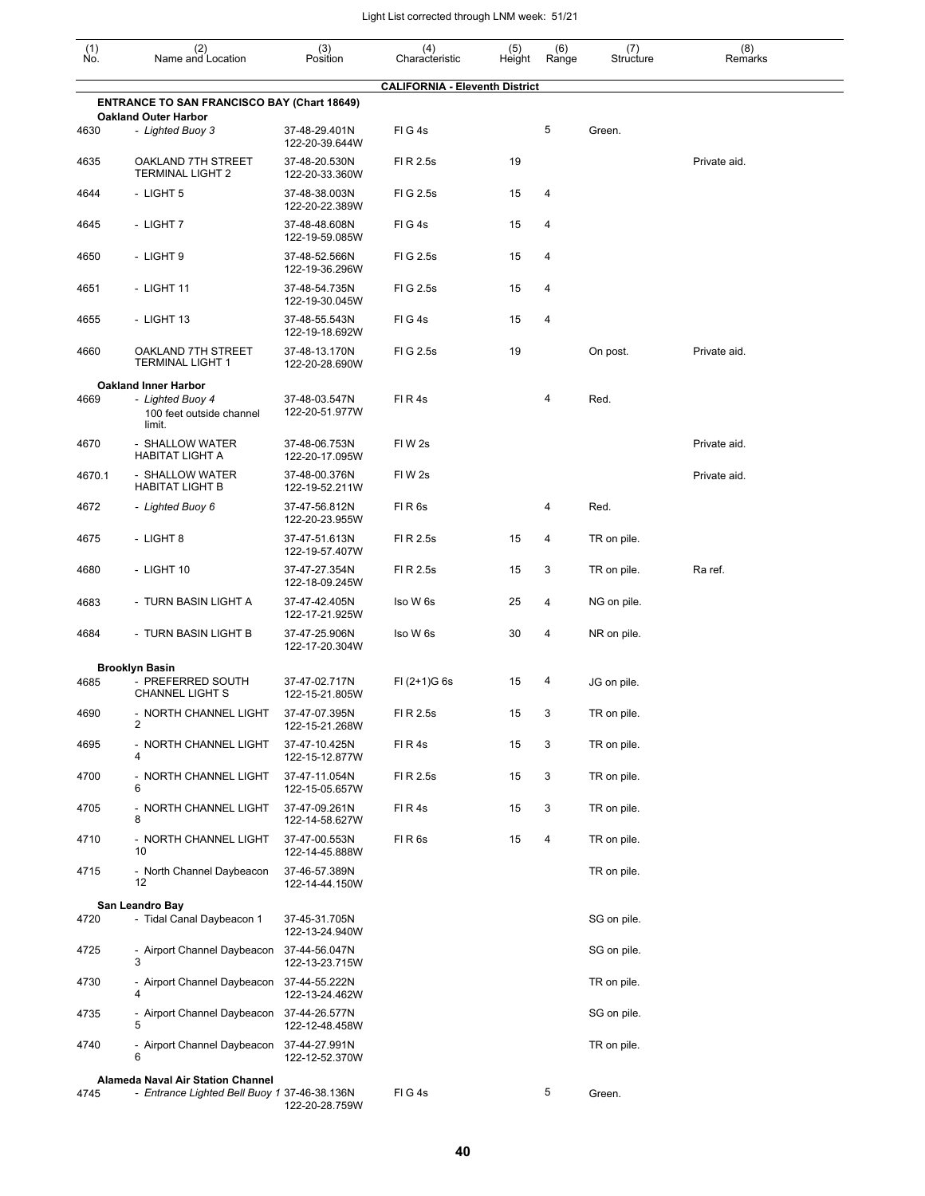| $\begin{smallmatrix} (1) \ N0. \end{smallmatrix}$ | (2)<br>Name and Location                                                          | (3)<br>Position                 | (4)<br>Characteristic                 | (5)<br>Height | (6)<br>Range | (7)<br>Structure | (8)<br>Remarks |
|---------------------------------------------------|-----------------------------------------------------------------------------------|---------------------------------|---------------------------------------|---------------|--------------|------------------|----------------|
|                                                   |                                                                                   |                                 | <b>CALIFORNIA - Eleventh District</b> |               |              |                  |                |
|                                                   | <b>ENTRANCE TO SAN FRANCISCO BAY (Chart 18649)</b><br><b>Oakland Outer Harbor</b> |                                 |                                       |               |              |                  |                |
| 4630                                              | - Lighted Buoy 3                                                                  | 37-48-29.401N<br>122-20-39.644W | FIG4s                                 |               | 5            | Green.           |                |
| 4635                                              | OAKLAND 7TH STREET<br><b>TERMINAL LIGHT 2</b>                                     | 37-48-20.530N<br>122-20-33.360W | FI R 2.5s                             | 19            |              |                  | Private aid.   |
| 4644                                              | - LIGHT 5                                                                         | 37-48-38.003N<br>122-20-22.389W | FIG 2.5s                              | 15            | 4            |                  |                |
| 4645                                              | - LIGHT 7                                                                         | 37-48-48.608N<br>122-19-59.085W | FIG4s                                 | 15            | 4            |                  |                |
| 4650                                              | - LIGHT 9                                                                         | 37-48-52.566N<br>122-19-36.296W | FIG 2.5s                              | 15            | 4            |                  |                |
| 4651                                              | - LIGHT 11                                                                        | 37-48-54.735N<br>122-19-30.045W | FIG 2.5s                              | 15            | 4            |                  |                |
| 4655                                              | - LIGHT 13                                                                        | 37-48-55.543N<br>122-19-18.692W | FIG4s                                 | 15            | 4            |                  |                |
| 4660                                              | OAKLAND 7TH STREET<br><b>TERMINAL LIGHT 1</b>                                     | 37-48-13.170N<br>122-20-28.690W | FIG 2.5s                              | 19            |              | On post.         | Private aid.   |
|                                                   | <b>Oakland Inner Harbor</b>                                                       |                                 |                                       |               |              |                  |                |
| 4669                                              | - Lighted Buoy 4<br>100 feet outside channel<br>limit.                            | 37-48-03.547N<br>122-20-51.977W | FIR4s                                 |               | 4            | Red.             |                |
| 4670                                              | - SHALLOW WATER<br><b>HABITAT LIGHT A</b>                                         | 37-48-06.753N<br>122-20-17.095W | FIW <sub>2s</sub>                     |               |              |                  | Private aid.   |
| 4670.1                                            | - SHALLOW WATER<br><b>HABITAT LIGHT B</b>                                         | 37-48-00.376N<br>122-19-52.211W | FIW <sub>2s</sub>                     |               |              |                  | Private aid.   |
| 4672                                              | - Lighted Buoy 6                                                                  | 37-47-56.812N<br>122-20-23.955W | FIR6s                                 |               | 4            | Red.             |                |
| 4675                                              | - LIGHT 8                                                                         | 37-47-51.613N<br>122-19-57.407W | FI R 2.5s                             | 15            | 4            | TR on pile.      |                |
| 4680                                              | - LIGHT 10                                                                        | 37-47-27.354N<br>122-18-09.245W | FI R 2.5s                             | 15            | 3            | TR on pile.      | Ra ref.        |
| 4683                                              | - TURN BASIN LIGHT A                                                              | 37-47-42.405N<br>122-17-21.925W | Iso W 6s                              | 25            | 4            | NG on pile.      |                |
| 4684                                              | - TURN BASIN LIGHT B                                                              | 37-47-25.906N<br>122-17-20.304W | Iso W 6s                              | 30            | 4            | NR on pile.      |                |
|                                                   | <b>Brooklyn Basin</b>                                                             |                                 |                                       |               |              |                  |                |
| 4685                                              | - PREFERRED SOUTH<br><b>CHANNEL LIGHT S</b>                                       | 37-47-02.717N<br>122-15-21.805W | $FI (2+1)G 6s$                        | 15            | 4            | JG on pile.      |                |
| 4690                                              | - NORTH CHANNEL LIGHT<br>$\overline{2}$                                           | 37-47-07.395N<br>122-15-21.268W | FI R 2.5s                             | 15            | 3            | TR on pile.      |                |
| 4695                                              | - NORTH CHANNEL LIGHT<br>4                                                        | 37-47-10.425N<br>122-15-12.877W | FIR4s                                 | 15            | 3            | TR on pile.      |                |
| 4700                                              | - NORTH CHANNEL LIGHT<br>6                                                        | 37-47-11.054N<br>122-15-05.657W | FI R 2.5s                             | 15            | 3            | TR on pile.      |                |
| 4705                                              | - NORTH CHANNEL LIGHT<br>8                                                        | 37-47-09.261N<br>122-14-58.627W | FIR4s                                 | 15            | 3            | TR on pile.      |                |
| 4710                                              | - NORTH CHANNEL LIGHT<br>10                                                       | 37-47-00.553N<br>122-14-45.888W | FIR6s                                 | 15            | 4            | TR on pile.      |                |
| 4715                                              | - North Channel Daybeacon<br>12                                                   | 37-46-57.389N<br>122-14-44.150W |                                       |               |              | TR on pile.      |                |
| 4720                                              | San Leandro Bay<br>- Tidal Canal Daybeacon 1                                      | 37-45-31.705N                   |                                       |               |              | SG on pile.      |                |
| 4725                                              | - Airport Channel Daybeacon                                                       | 122-13-24.940W<br>37-44-56.047N |                                       |               |              | SG on pile.      |                |
|                                                   | 3                                                                                 | 122-13-23.715W                  |                                       |               |              |                  |                |
| 4730                                              | - Airport Channel Daybeacon<br>4                                                  | 37-44-55.222N<br>122-13-24.462W |                                       |               |              | TR on pile.      |                |
| 4735                                              | - Airport Channel Daybeacon<br>5                                                  | 37-44-26.577N<br>122-12-48.458W |                                       |               |              | SG on pile.      |                |
| 4740                                              | - Airport Channel Daybeacon 37-44-27.991N<br>6                                    | 122-12-52.370W                  |                                       |               |              | TR on pile.      |                |
|                                                   | <b>Alameda Naval Air Station Channel</b>                                          |                                 |                                       |               |              |                  |                |
| 4745                                              | - Entrance Lighted Bell Buoy 1 37-46-38.136N                                      | 122-20-28.759W                  | FIG4s                                 |               | 5            | Green.           |                |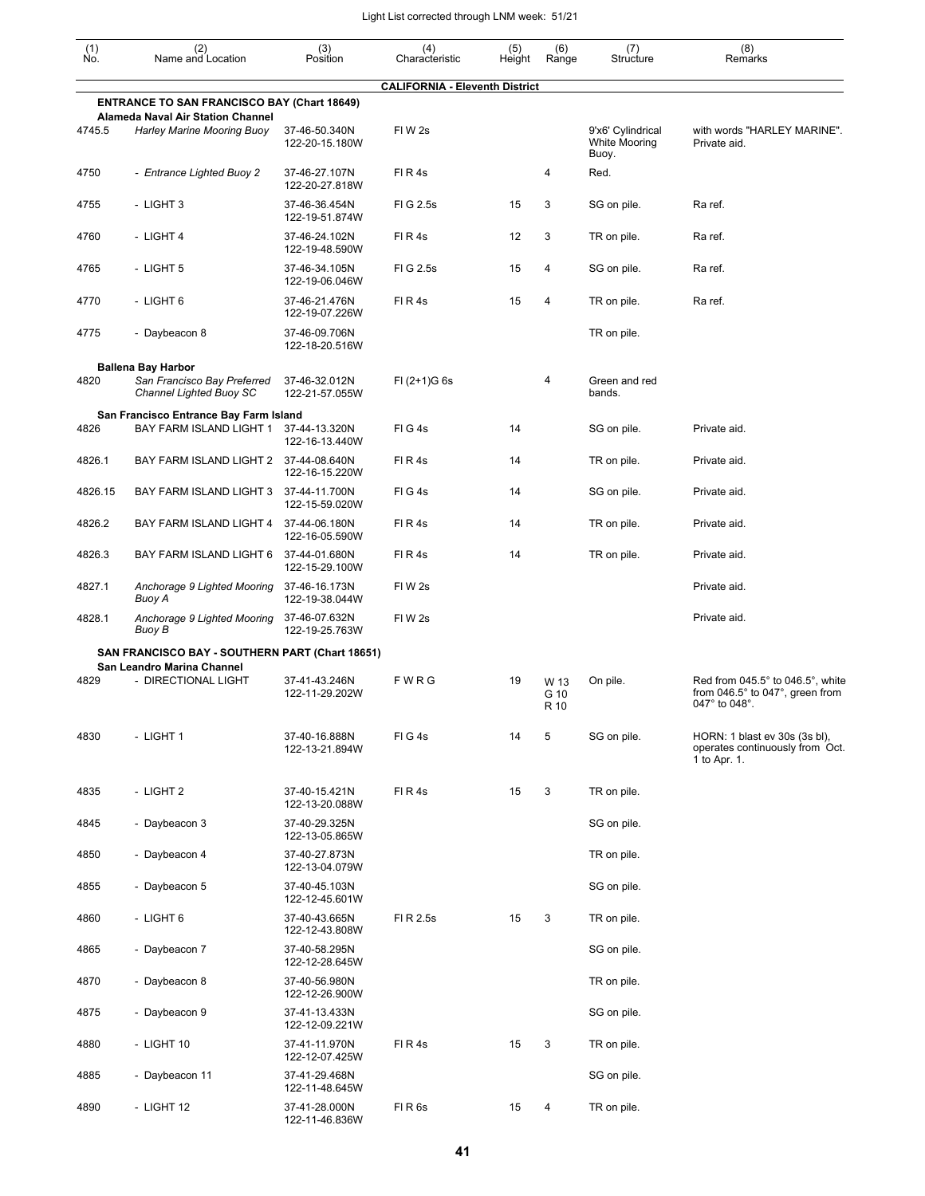| $\begin{smallmatrix} (1) \\ \mathsf{No} \end{smallmatrix}$ | (2)<br>Name and Location                                                                       | (3)<br>Position                 | (4)<br>Characteristic                 | (5)<br>Height | (6)<br>Range | (7)<br>Structure                                   | (8)<br>Remarks                                                                   |
|------------------------------------------------------------|------------------------------------------------------------------------------------------------|---------------------------------|---------------------------------------|---------------|--------------|----------------------------------------------------|----------------------------------------------------------------------------------|
|                                                            |                                                                                                |                                 | <b>CALIFORNIA - Eleventh District</b> |               |              |                                                    |                                                                                  |
|                                                            | <b>ENTRANCE TO SAN FRANCISCO BAY (Chart 18649)</b><br><b>Alameda Naval Air Station Channel</b> |                                 |                                       |               |              |                                                    |                                                                                  |
| 4745.5                                                     | <b>Harley Marine Mooring Buoy</b>                                                              | 37-46-50.340N<br>122-20-15.180W | FIW <sub>2s</sub>                     |               |              | 9'x6' Cylindrical<br><b>White Mooring</b><br>Buoy. | with words "HARLEY MARINE".<br>Private aid.                                      |
| 4750                                                       | - Entrance Lighted Buoy 2                                                                      | 37-46-27.107N<br>122-20-27.818W | FIR4s                                 |               | 4            | Red.                                               |                                                                                  |
| 4755                                                       | - LIGHT 3                                                                                      | 37-46-36.454N<br>122-19-51.874W | FIG 2.5s                              | 15            | 3            | SG on pile.                                        | Ra ref.                                                                          |
| 4760                                                       | - LIGHT 4                                                                                      | 37-46-24.102N<br>122-19-48.590W | FIR4s                                 | 12            | 3            | TR on pile.                                        | Ra ref.                                                                          |
| 4765                                                       | - LIGHT 5                                                                                      | 37-46-34.105N<br>122-19-06.046W | FIG 2.5s                              | 15            | 4            | SG on pile.                                        | Ra ref.                                                                          |
| 4770                                                       | - LIGHT 6                                                                                      | 37-46-21.476N<br>122-19-07.226W | FIR4s                                 | 15            | 4            | TR on pile.                                        | Ra ref.                                                                          |
| 4775                                                       | - Daybeacon 8                                                                                  | 37-46-09.706N<br>122-18-20.516W |                                       |               |              | TR on pile.                                        |                                                                                  |
|                                                            | <b>Ballena Bay Harbor</b>                                                                      |                                 |                                       |               |              |                                                    |                                                                                  |
| 4820                                                       | San Francisco Bay Preferred<br>Channel Lighted Buoy SC                                         | 37-46-32.012N<br>122-21-57.055W | $FI (2+1)G 6s$                        |               | 4            | Green and red<br>bands.                            |                                                                                  |
| 4826                                                       | San Francisco Entrance Bay Farm Island<br>BAY FARM ISLAND LIGHT 1                              | 37-44-13.320N<br>122-16-13.440W | FIG4s                                 | 14            |              | SG on pile.                                        | Private aid.                                                                     |
| 4826.1                                                     | BAY FARM ISLAND LIGHT 2                                                                        | 37-44-08.640N<br>122-16-15.220W | FIR4s                                 | 14            |              | TR on pile.                                        | Private aid.                                                                     |
| 4826.15                                                    | BAY FARM ISLAND LIGHT 3                                                                        | 37-44-11.700N<br>122-15-59.020W | FIG4s                                 | 14            |              | SG on pile.                                        | Private aid.                                                                     |
| 4826.2                                                     | BAY FARM ISLAND LIGHT 4                                                                        | 37-44-06.180N<br>122-16-05.590W | FIR4s                                 | 14            |              | TR on pile.                                        | Private aid.                                                                     |
| 4826.3                                                     | BAY FARM ISLAND LIGHT 6                                                                        | 37-44-01.680N<br>122-15-29.100W | FIR4s                                 | 14            |              | TR on pile.                                        | Private aid.                                                                     |
| 4827.1                                                     | Anchorage 9 Lighted Mooring<br>Buoy A                                                          | 37-46-16.173N<br>122-19-38.044W | FIW <sub>2s</sub>                     |               |              |                                                    | Private aid.                                                                     |
| 4828.1                                                     | Anchorage 9 Lighted Mooring<br>Buoy B                                                          | 37-46-07.632N<br>122-19-25.763W | FIW <sub>2s</sub>                     |               |              |                                                    | Private aid.                                                                     |
|                                                            | SAN FRANCISCO BAY - SOUTHERN PART (Chart 18651)                                                |                                 |                                       |               |              |                                                    |                                                                                  |
| 4829                                                       | San Leandro Marina Channel<br>- DIRECTIONAL LIGHT                                              | 37-41-43.246N                   | FWRG                                  | 19            | W 13         | On pile.                                           | Red from $045.5^\circ$ to $046.5^\circ$ , white                                  |
|                                                            |                                                                                                | 122-11-29.202W                  |                                       |               | G 10<br>R 10 |                                                    | from 046.5° to 047°, green from<br>047° to 048°.                                 |
| 4830                                                       | - LIGHT 1                                                                                      | 37-40-16.888N<br>122-13-21.894W | FIG4s                                 | 14            | 5            | SG on pile.                                        | HORN: 1 blast ev 30s (3s bl),<br>operates continuously from Oct.<br>1 to Apr. 1. |
| 4835                                                       | - LIGHT 2                                                                                      | 37-40-15.421N<br>122-13-20.088W | FIR4s                                 | 15            | 3            | TR on pile.                                        |                                                                                  |
| 4845                                                       | - Daybeacon 3                                                                                  | 37-40-29.325N<br>122-13-05.865W |                                       |               |              | SG on pile.                                        |                                                                                  |
| 4850                                                       | - Daybeacon 4                                                                                  | 37-40-27.873N<br>122-13-04.079W |                                       |               |              | TR on pile.                                        |                                                                                  |
| 4855                                                       | - Daybeacon 5                                                                                  | 37-40-45.103N<br>122-12-45.601W |                                       |               |              | SG on pile.                                        |                                                                                  |
| 4860                                                       | - LIGHT 6                                                                                      | 37-40-43.665N<br>122-12-43.808W | FI R 2.5s                             | 15            | 3            | TR on pile.                                        |                                                                                  |
| 4865                                                       | - Daybeacon 7                                                                                  | 37-40-58.295N<br>122-12-28.645W |                                       |               |              | SG on pile.                                        |                                                                                  |
| 4870                                                       | - Daybeacon 8                                                                                  | 37-40-56.980N<br>122-12-26.900W |                                       |               |              | TR on pile.                                        |                                                                                  |
| 4875                                                       | - Daybeacon 9                                                                                  | 37-41-13.433N<br>122-12-09.221W |                                       |               |              | SG on pile.                                        |                                                                                  |
| 4880                                                       | - LIGHT 10                                                                                     | 37-41-11.970N<br>122-12-07.425W | FIR4s                                 | 15            | 3            | TR on pile.                                        |                                                                                  |
| 4885                                                       | - Daybeacon 11                                                                                 | 37-41-29.468N<br>122-11-48.645W |                                       |               |              | SG on pile.                                        |                                                                                  |
| 4890                                                       | - LIGHT 12                                                                                     | 37-41-28.000N<br>122-11-46.836W | FIR <sub>6s</sub>                     | 15            | 4            | TR on pile.                                        |                                                                                  |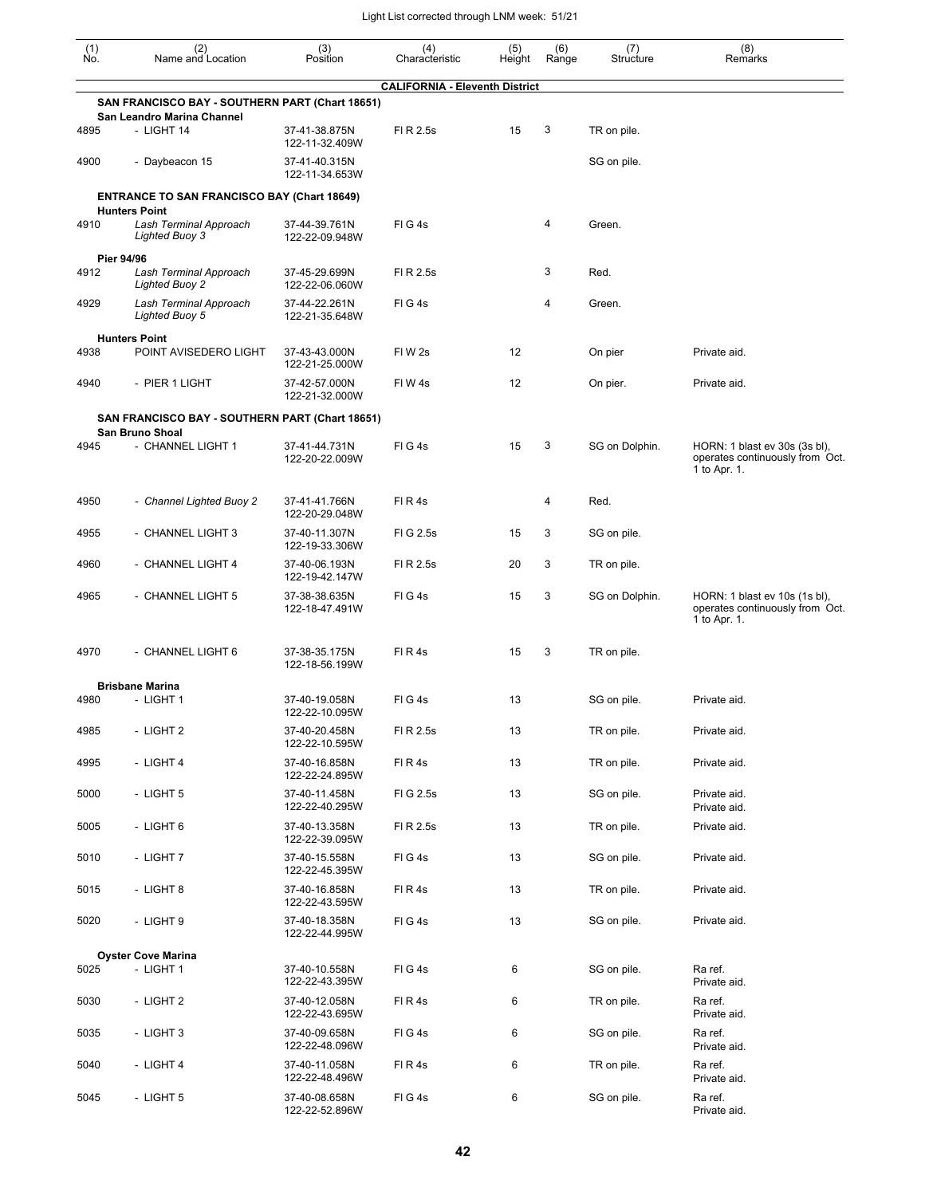| $\begin{smallmatrix} (1) \\ \mathsf{No} \end{smallmatrix}$ | (2)<br>Name and Location                                                | (3)<br>Position                 | (4)<br>Characteristic                 | (5)<br>Height | (6)<br>Range | (7)<br>Structure | (8)<br>Remarks                                                                   |
|------------------------------------------------------------|-------------------------------------------------------------------------|---------------------------------|---------------------------------------|---------------|--------------|------------------|----------------------------------------------------------------------------------|
|                                                            |                                                                         |                                 | <b>CALIFORNIA - Eleventh District</b> |               |              |                  |                                                                                  |
|                                                            | SAN FRANCISCO BAY - SOUTHERN PART (Chart 18651)                         |                                 |                                       |               |              |                  |                                                                                  |
| 4895                                                       | San Leandro Marina Channel<br>- LIGHT 14                                | 37-41-38.875N<br>122-11-32.409W | FI R 2.5s                             | 15            | 3            | TR on pile.      |                                                                                  |
| 4900                                                       | - Daybeacon 15                                                          | 37-41-40.315N<br>122-11-34.653W |                                       |               |              | SG on pile.      |                                                                                  |
|                                                            | <b>ENTRANCE TO SAN FRANCISCO BAY (Chart 18649)</b>                      |                                 |                                       |               |              |                  |                                                                                  |
| 4910                                                       | <b>Hunters Point</b><br>Lash Terminal Approach<br><b>Lighted Buoy 3</b> | 37-44-39.761N<br>122-22-09.948W | FIG4s                                 |               | 4            | Green.           |                                                                                  |
|                                                            | Pier 94/96                                                              |                                 |                                       |               |              |                  |                                                                                  |
| 4912                                                       | Lash Terminal Approach<br><b>Lighted Buoy 2</b>                         | 37-45-29.699N<br>122-22-06.060W | FI R 2.5s                             |               | 3            | Red.             |                                                                                  |
| 4929                                                       | Lash Terminal Approach<br><b>Lighted Buoy 5</b>                         | 37-44-22.261N<br>122-21-35.648W | FIG4s                                 |               | 4            | Green.           |                                                                                  |
| 4938                                                       | <b>Hunters Point</b><br>POINT AVISEDERO LIGHT                           | 37-43-43.000N                   | FIW <sub>2s</sub>                     | 12            |              | On pier          | Private aid.                                                                     |
|                                                            |                                                                         | 122-21-25.000W                  |                                       |               |              |                  |                                                                                  |
| 4940                                                       | - PIER 1 LIGHT                                                          | 37-42-57.000N<br>122-21-32.000W | FIW4s                                 | 12            |              | On pier.         | Private aid.                                                                     |
|                                                            | SAN FRANCISCO BAY - SOUTHERN PART (Chart 18651)                         |                                 |                                       |               |              |                  |                                                                                  |
| 4945                                                       | <b>San Bruno Shoal</b><br>- CHANNEL LIGHT 1                             | 37-41-44.731N<br>122-20-22.009W | FIG4s                                 | 15            | 3            | SG on Dolphin.   | HORN: 1 blast ev 30s (3s bl),<br>operates continuously from Oct.<br>1 to Apr. 1. |
| 4950                                                       | - Channel Lighted Buoy 2                                                | 37-41-41.766N<br>122-20-29.048W | FIR4s                                 |               | 4            | Red.             |                                                                                  |
| 4955                                                       | - CHANNEL LIGHT 3                                                       | 37-40-11.307N<br>122-19-33.306W | FI G 2.5s                             | 15            | 3            | SG on pile.      |                                                                                  |
| 4960                                                       | - CHANNEL LIGHT 4                                                       | 37-40-06.193N<br>122-19-42.147W | FI R 2.5s                             | 20            | 3            | TR on pile.      |                                                                                  |
| 4965                                                       | - CHANNEL LIGHT 5                                                       | 37-38-38.635N<br>122-18-47.491W | FIG4s                                 | 15            | 3            | SG on Dolphin.   | HORN: 1 blast ev 10s (1s bl),<br>operates continuously from Oct.<br>1 to Apr. 1. |
| 4970                                                       | - CHANNEL LIGHT 6                                                       | 37-38-35.175N<br>122-18-56.199W | FIR4s                                 | 15            | 3            | TR on pile.      |                                                                                  |
|                                                            | <b>Brisbane Marina</b>                                                  |                                 |                                       |               |              |                  |                                                                                  |
| 4980                                                       | - LIGHT 1                                                               | 37-40-19.058N<br>122-22-10.095W | $FI$ G 4s                             | 13            |              | SG on pile.      | Private aid.                                                                     |
| 4985                                                       | - LIGHT 2                                                               | 37-40-20.458N<br>122-22-10.595W | FI R 2.5s                             | 13            |              | TR on pile.      | Private aid.                                                                     |
| 4995                                                       | - LIGHT 4                                                               | 37-40-16.858N<br>122-22-24.895W | FIR4s                                 | 13            |              | TR on pile.      | Private aid.                                                                     |
| 5000                                                       | - LIGHT 5                                                               | 37-40-11.458N<br>122-22-40.295W | FIG 2.5s                              | 13            |              | SG on pile.      | Private aid.<br>Private aid.                                                     |
| 5005                                                       | - LIGHT 6                                                               | 37-40-13.358N<br>122-22-39.095W | FI R 2.5s                             | 13            |              | TR on pile.      | Private aid.                                                                     |
| 5010                                                       | - LIGHT 7                                                               | 37-40-15.558N<br>122-22-45.395W | FIG4s                                 | 13            |              | SG on pile.      | Private aid.                                                                     |
| 5015                                                       | - LIGHT 8                                                               | 37-40-16.858N<br>122-22-43.595W | FIR4s                                 | 13            |              | TR on pile.      | Private aid.                                                                     |
| 5020                                                       | - LIGHT 9                                                               | 37-40-18.358N<br>122-22-44.995W | FIG4s                                 | 13            |              | SG on pile.      | Private aid.                                                                     |
|                                                            | <b>Oyster Cove Marina</b>                                               |                                 |                                       |               |              |                  |                                                                                  |
| 5025                                                       | - LIGHT 1                                                               | 37-40-10.558N<br>122-22-43.395W | FIG4s                                 | 6             |              | SG on pile.      | Ra ref.<br>Private aid.                                                          |
| 5030                                                       | - LIGHT 2                                                               | 37-40-12.058N<br>122-22-43.695W | FIR4s                                 | 6             |              | TR on pile.      | Ra ref.<br>Private aid.                                                          |
| 5035                                                       | - LIGHT 3                                                               | 37-40-09.658N<br>122-22-48.096W | FIG4s                                 | 6             |              | SG on pile.      | Ra ref.<br>Private aid.                                                          |
| 5040                                                       | - LIGHT 4                                                               | 37-40-11.058N<br>122-22-48.496W | FIR4s                                 | 6             |              | TR on pile.      | Ra ref.<br>Private aid.                                                          |
| 5045                                                       | - LIGHT 5                                                               | 37-40-08.658N<br>122-22-52.896W | FIG4s                                 | 6             |              | SG on pile.      | Ra ref.<br>Private aid.                                                          |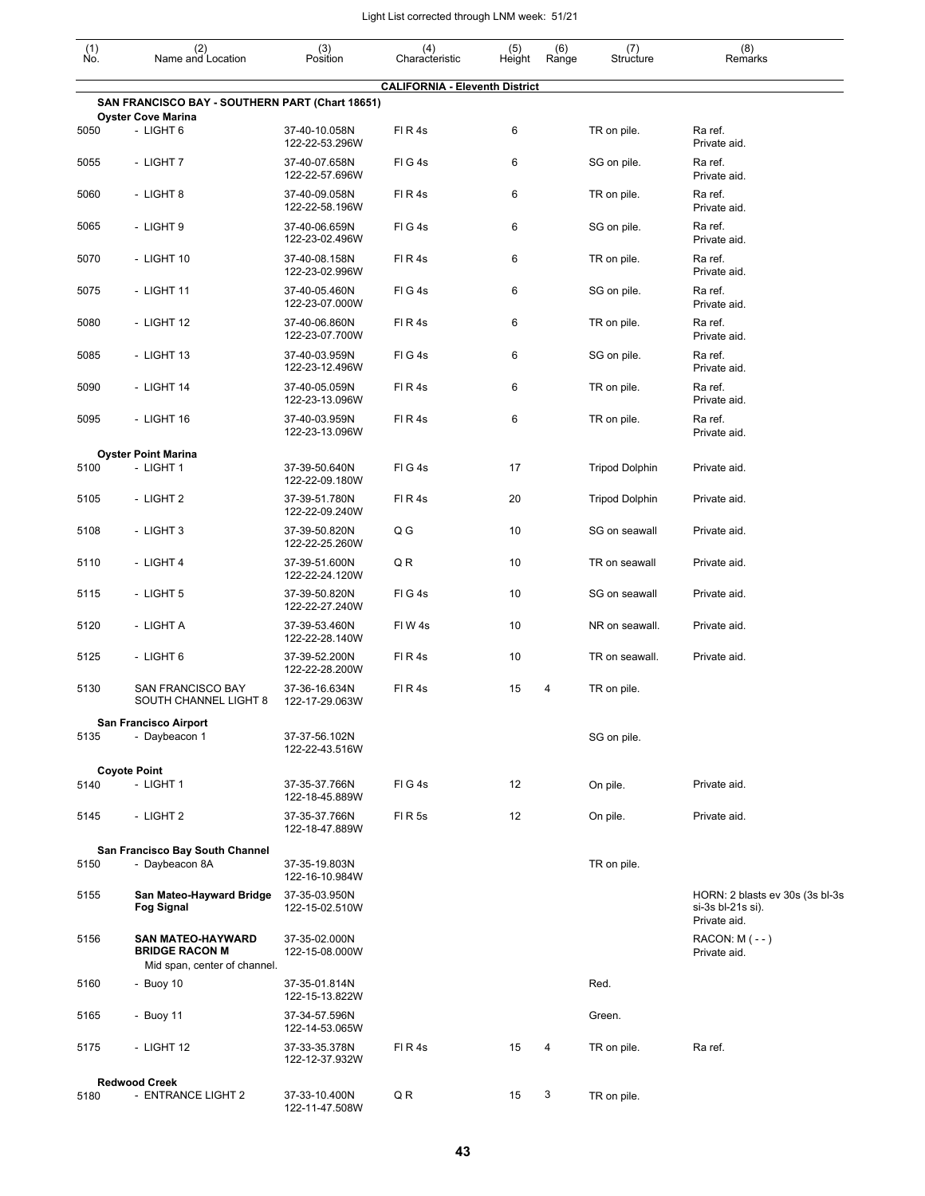| $\begin{smallmatrix} (1) \\ \mathsf{No} \end{smallmatrix}$ | (2)<br>Name and Location                                                          | (3)<br>Position                 | (4)<br>Characteristic                 | (5)<br>Height | (6)<br>Range | (7)<br>Structure      | (8)<br>Remarks                                       |
|------------------------------------------------------------|-----------------------------------------------------------------------------------|---------------------------------|---------------------------------------|---------------|--------------|-----------------------|------------------------------------------------------|
|                                                            |                                                                                   |                                 | <b>CALIFORNIA - Eleventh District</b> |               |              |                       |                                                      |
|                                                            | SAN FRANCISCO BAY - SOUTHERN PART (Chart 18651)                                   |                                 |                                       |               |              |                       |                                                      |
| 5050                                                       | <b>Oyster Cove Marina</b><br>- LIGHT 6                                            | 37-40-10.058N<br>122-22-53.296W | FIR4s                                 | 6             |              | TR on pile.           | Ra ref.<br>Private aid.                              |
| 5055                                                       | - LIGHT 7                                                                         | 37-40-07.658N<br>122-22-57.696W | FIG4s                                 | 6             |              | SG on pile.           | Ra ref.<br>Private aid.                              |
| 5060                                                       | - LIGHT 8                                                                         | 37-40-09.058N<br>122-22-58.196W | FIR4s                                 | 6             |              | TR on pile.           | Ra ref.<br>Private aid.                              |
| 5065                                                       | - LIGHT 9                                                                         | 37-40-06.659N<br>122-23-02.496W | FIG4s                                 | 6             |              | SG on pile.           | Ra ref.<br>Private aid.                              |
| 5070                                                       | - LIGHT 10                                                                        | 37-40-08.158N<br>122-23-02.996W | FIR4s                                 | 6             |              | TR on pile.           | Ra ref.<br>Private aid.                              |
| 5075                                                       | - LIGHT 11                                                                        | 37-40-05.460N<br>122-23-07.000W | FIG4s                                 | 6             |              | SG on pile.           | Ra ref.<br>Private aid.                              |
| 5080                                                       | - LIGHT 12                                                                        | 37-40-06.860N<br>122-23-07.700W | FIR4s                                 | 6             |              | TR on pile.           | Ra ref.<br>Private aid.                              |
| 5085                                                       | - LIGHT 13                                                                        | 37-40-03.959N<br>122-23-12.496W | FIG4s                                 | 6             |              | SG on pile.           | Ra ref.<br>Private aid.                              |
| 5090                                                       | - LIGHT 14                                                                        | 37-40-05.059N<br>122-23-13.096W | FIR4s                                 | 6             |              | TR on pile.           | Ra ref.<br>Private aid.                              |
| 5095                                                       | - LIGHT 16                                                                        | 37-40-03.959N<br>122-23-13.096W | FIR4s                                 | 6             |              | TR on pile.           | Ra ref.<br>Private aid.                              |
|                                                            | <b>Oyster Point Marina</b>                                                        |                                 |                                       |               |              |                       |                                                      |
| 5100                                                       | - LIGHT 1                                                                         | 37-39-50.640N<br>122-22-09.180W | FIG4s                                 | 17            |              | <b>Tripod Dolphin</b> | Private aid.                                         |
| 5105                                                       | - LIGHT 2                                                                         | 37-39-51.780N<br>122-22-09.240W | FIR4s                                 | 20            |              | <b>Tripod Dolphin</b> | Private aid.                                         |
| 5108                                                       | - LIGHT 3                                                                         | 37-39-50.820N<br>122-22-25.260W | Q G                                   | 10            |              | SG on seawall         | Private aid.                                         |
| 5110                                                       | - LIGHT 4                                                                         | 37-39-51.600N<br>122-22-24.120W | Q R                                   | 10            |              | TR on seawall         | Private aid.                                         |
| 5115                                                       | - LIGHT 5                                                                         | 37-39-50.820N<br>122-22-27.240W | FIG4s                                 | 10            |              | SG on seawall         | Private aid.                                         |
| 5120                                                       | - LIGHT A                                                                         | 37-39-53.460N<br>122-22-28.140W | FIW4s                                 | 10            |              | NR on seawall.        | Private aid.                                         |
| 5125                                                       | - LIGHT 6                                                                         | 37-39-52.200N<br>122-22-28.200W | FIR4s                                 | 10            |              | TR on seawall.        | Private aid.                                         |
| 5130                                                       | <b>SAN FRANCISCO BAY</b><br>SOUTH CHANNEL LIGHT 8                                 | 37-36-16.634N<br>122-17-29.063W | FIR4s                                 | 15            | 4            | TR on pile.           |                                                      |
| 5135                                                       | <b>San Francisco Airport</b><br>- Daybeacon 1                                     | 37-37-56.102N<br>122-22-43.516W |                                       |               |              | SG on pile.           |                                                      |
|                                                            | <b>Coyote Point</b>                                                               |                                 |                                       |               |              |                       |                                                      |
| 5140                                                       | - LIGHT 1                                                                         | 37-35-37.766N<br>122-18-45.889W | FIG4s                                 | 12            |              | On pile.              | Private aid.                                         |
| 5145                                                       | - LIGHT 2                                                                         | 37-35-37.766N<br>122-18-47.889W | <b>FIR5s</b>                          | 12            |              | On pile.              | Private aid.                                         |
|                                                            | San Francisco Bay South Channel                                                   |                                 |                                       |               |              |                       |                                                      |
| 5150                                                       | - Daybeacon 8A                                                                    | 37-35-19.803N<br>122-16-10.984W |                                       |               |              | TR on pile.           |                                                      |
| 5155                                                       | San Mateo-Hayward Bridge<br><b>Fog Signal</b>                                     | 37-35-03.950N<br>122-15-02.510W |                                       |               |              |                       | HORN: 2 blasts ev 30s (3s bl-3s<br>si-3s bl-21s si). |
| 5156                                                       | <b>SAN MATEO-HAYWARD</b><br><b>BRIDGE RACON M</b><br>Mid span, center of channel. | 37-35-02.000N<br>122-15-08.000W |                                       |               |              |                       | Private aid.<br>$RACON: M (- - )$<br>Private aid.    |
| 5160                                                       | - Buoy $10$                                                                       | 37-35-01.814N<br>122-15-13.822W |                                       |               |              | Red.                  |                                                      |
| 5165                                                       | - Buoy 11                                                                         | 37-34-57.596N<br>122-14-53.065W |                                       |               |              | Green.                |                                                      |
| 5175                                                       | - LIGHT 12                                                                        | 37-33-35.378N<br>122-12-37.932W | FIR4s                                 | 15            | 4            | TR on pile.           | Ra ref.                                              |
|                                                            | <b>Redwood Creek</b>                                                              |                                 |                                       |               |              |                       |                                                      |
| 5180                                                       | - ENTRANCE LIGHT 2                                                                | 37-33-10.400N<br>122-11-47.508W | Q R                                   | 15            | 3            | TR on pile.           |                                                      |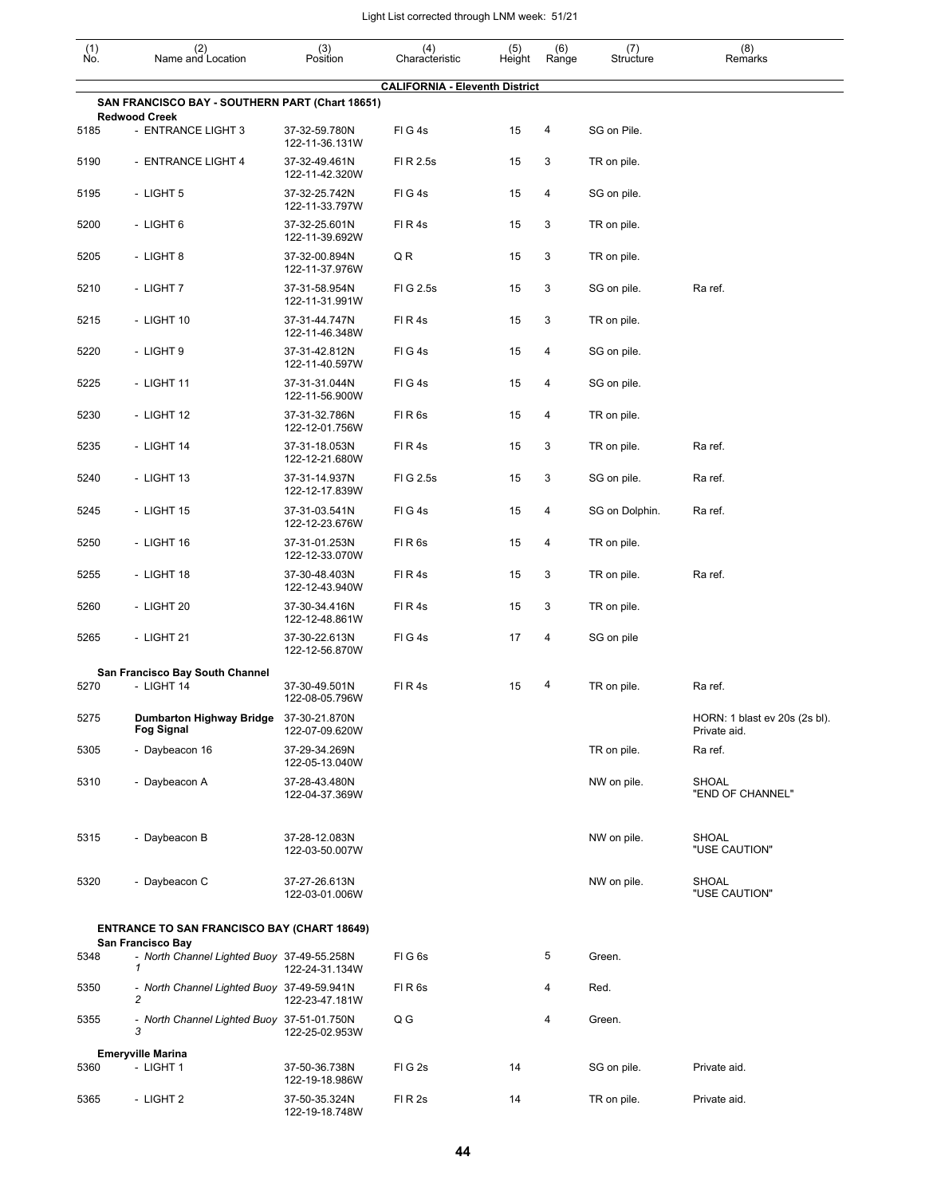| $\begin{smallmatrix} (1) \\ \mathsf{No} \end{smallmatrix}$ | (2)<br>Name and Location                                                | (3)<br>Position                 | (4)<br>Characteristic                 | (5)<br>Height | (6)<br>Range | (7)<br>Structure | (8)<br>Remarks                                |
|------------------------------------------------------------|-------------------------------------------------------------------------|---------------------------------|---------------------------------------|---------------|--------------|------------------|-----------------------------------------------|
|                                                            |                                                                         |                                 | <b>CALIFORNIA - Eleventh District</b> |               |              |                  |                                               |
|                                                            | SAN FRANCISCO BAY - SOUTHERN PART (Chart 18651)<br><b>Redwood Creek</b> |                                 |                                       |               |              |                  |                                               |
| 5185                                                       | - ENTRANCE LIGHT 3                                                      | 37-32-59.780N<br>122-11-36.131W | FIG4s                                 | 15            | 4            | SG on Pile.      |                                               |
| 5190                                                       | - ENTRANCE LIGHT 4                                                      | 37-32-49.461N<br>122-11-42.320W | FI R 2.5s                             | 15            | 3            | TR on pile.      |                                               |
| 5195                                                       | - LIGHT 5                                                               | 37-32-25.742N<br>122-11-33.797W | FIG4s                                 | 15            | 4            | SG on pile.      |                                               |
| 5200                                                       | - LIGHT 6                                                               | 37-32-25.601N<br>122-11-39.692W | FIR4s                                 | 15            | 3            | TR on pile.      |                                               |
| 5205                                                       | - LIGHT 8                                                               | 37-32-00.894N<br>122-11-37.976W | Q R                                   | 15            | 3            | TR on pile.      |                                               |
| 5210                                                       | - LIGHT 7                                                               | 37-31-58.954N<br>122-11-31.991W | FIG 2.5s                              | 15            | 3            | SG on pile.      | Ra ref.                                       |
| 5215                                                       | - LIGHT 10                                                              | 37-31-44.747N<br>122-11-46.348W | FIR4s                                 | 15            | 3            | TR on pile.      |                                               |
| 5220                                                       | - LIGHT 9                                                               | 37-31-42.812N<br>122-11-40.597W | FIG4s                                 | 15            | 4            | SG on pile.      |                                               |
| 5225                                                       | - LIGHT 11                                                              | 37-31-31.044N<br>122-11-56.900W | FIG4s                                 | 15            | 4            | SG on pile.      |                                               |
| 5230                                                       | - LIGHT 12                                                              | 37-31-32.786N<br>122-12-01.756W | FIR <sub>6s</sub>                     | 15            | 4            | TR on pile.      |                                               |
| 5235                                                       | - LIGHT 14                                                              | 37-31-18.053N<br>122-12-21.680W | FIR4s                                 | 15            | 3            | TR on pile.      | Ra ref.                                       |
| 5240                                                       | - LIGHT 13                                                              | 37-31-14.937N<br>122-12-17.839W | FIG 2.5s                              | 15            | 3            | SG on pile.      | Ra ref.                                       |
| 5245                                                       | - LIGHT 15                                                              | 37-31-03.541N<br>122-12-23.676W | FIG4s                                 | 15            | 4            | SG on Dolphin.   | Ra ref.                                       |
| 5250                                                       | - LIGHT 16                                                              | 37-31-01.253N<br>122-12-33.070W | FIR <sub>6s</sub>                     | 15            | 4            | TR on pile.      |                                               |
| 5255                                                       | - LIGHT 18                                                              | 37-30-48.403N<br>122-12-43.940W | FIR4s                                 | 15            | 3            | TR on pile.      | Ra ref.                                       |
| 5260                                                       | - LIGHT 20                                                              | 37-30-34.416N<br>122-12-48.861W | FIR4s                                 | 15            | 3            | TR on pile.      |                                               |
| 5265                                                       | - LIGHT 21                                                              | 37-30-22.613N<br>122-12-56.870W | FIG4s                                 | 17            | 4            | SG on pile       |                                               |
|                                                            | San Francisco Bay South Channel                                         |                                 |                                       |               |              |                  |                                               |
| 5270                                                       | - LIGHT 14                                                              | 37-30-49.501N<br>122-08-05.796W | FIR4s                                 | 15            | 4            | TR on pile.      | Ra ref.                                       |
| 5275                                                       | Dumbarton Highway Bridge 37-30-21.870N<br><b>Fog Signal</b>             | 122-07-09.620W                  |                                       |               |              |                  | HORN: 1 blast ev 20s (2s bl).<br>Private aid. |
| 5305                                                       | - Daybeacon 16                                                          | 37-29-34.269N<br>122-05-13.040W |                                       |               |              | TR on pile.      | Ra ref.                                       |
| 5310                                                       | - Daybeacon A                                                           | 37-28-43.480N<br>122-04-37.369W |                                       |               |              | NW on pile.      | <b>SHOAL</b><br>"END OF CHANNEL"              |
| 5315                                                       | - Daybeacon B                                                           | 37-28-12.083N<br>122-03-50.007W |                                       |               |              | NW on pile.      | SHOAL<br>"USE CAUTION"                        |
| 5320                                                       | - Daybeacon C                                                           | 37-27-26.613N<br>122-03-01.006W |                                       |               |              | NW on pile.      | SHOAL<br>"USE CAUTION"                        |
|                                                            | <b>ENTRANCE TO SAN FRANCISCO BAY (CHART 18649)</b>                      |                                 |                                       |               |              |                  |                                               |
| 5348                                                       | San Francisco Bay<br>- North Channel Lighted Buoy 37-49-55.258N<br>1    | 122-24-31.134W                  | FIG6s                                 |               | 5            | Green.           |                                               |
| 5350                                                       | - North Channel Lighted Buoy 37-49-59.941N<br>2                         | 122-23-47.181W                  | FIR <sub>6s</sub>                     |               | 4            | Red.             |                                               |
| 5355                                                       | - North Channel Lighted Buoy 37-51-01.750N<br>3                         | 122-25-02.953W                  | Q G                                   |               | 4            | Green.           |                                               |
|                                                            | <b>Emeryville Marina</b>                                                |                                 |                                       |               |              |                  |                                               |
| 5360                                                       | - LIGHT 1                                                               | 37-50-36.738N<br>122-19-18.986W | FIG <sub>2s</sub>                     | 14            |              | SG on pile.      | Private aid.                                  |
| 5365                                                       | - LIGHT 2                                                               | 37-50-35.324N                   | FIR <sub>2s</sub>                     | 14            |              | TR on pile.      | Private aid.                                  |

122-19-18.748W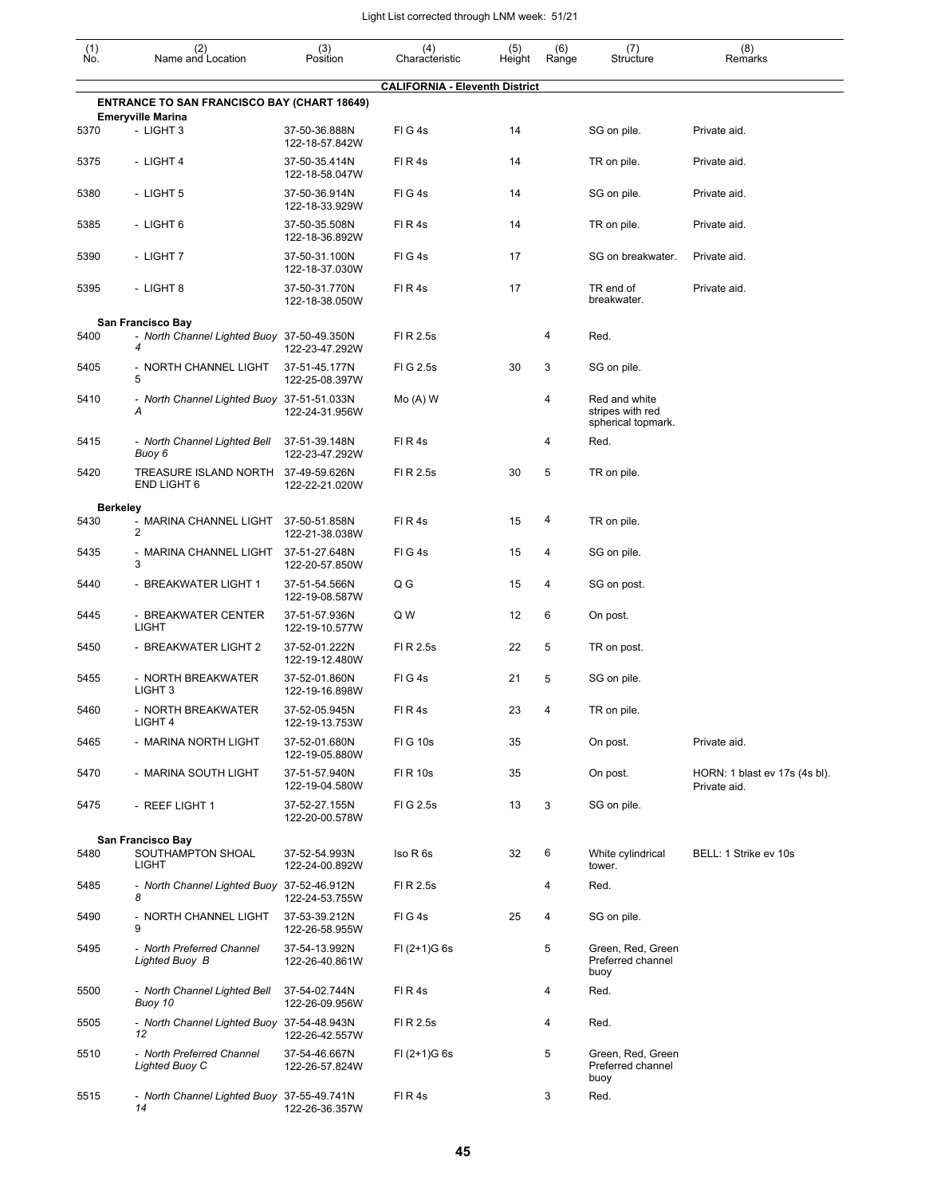| $\begin{smallmatrix} (1) \\ \mathsf{No} \end{smallmatrix}$ | (2)<br>Name and Location                           | (3)<br>Position                 | (4)<br>Characteristic                 | (5)<br>Height | (6)<br>Range | (7)<br>Structure                                        | (8)<br>Remarks                                |
|------------------------------------------------------------|----------------------------------------------------|---------------------------------|---------------------------------------|---------------|--------------|---------------------------------------------------------|-----------------------------------------------|
|                                                            |                                                    |                                 | <b>CALIFORNIA - Eleventh District</b> |               |              |                                                         |                                               |
|                                                            | <b>ENTRANCE TO SAN FRANCISCO BAY (CHART 18649)</b> |                                 |                                       |               |              |                                                         |                                               |
| 5370                                                       | <b>Emeryville Marina</b><br>- LIGHT 3              | 37-50-36.888N<br>122-18-57.842W | FIG4s                                 | 14            |              | SG on pile.                                             | Private aid.                                  |
| 5375                                                       | - LIGHT 4                                          | 37-50-35.414N<br>122-18-58.047W | FIR4s                                 | 14            |              | TR on pile.                                             | Private aid.                                  |
| 5380                                                       | - LIGHT 5                                          | 37-50-36.914N<br>122-18-33.929W | FIG4s                                 | 14            |              | SG on pile.                                             | Private aid.                                  |
| 5385                                                       | - LIGHT 6                                          | 37-50-35.508N<br>122-18-36.892W | FIR4s                                 | 14            |              | TR on pile.                                             | Private aid.                                  |
| 5390                                                       | - LIGHT 7                                          | 37-50-31.100N<br>122-18-37.030W | FIG4s                                 | 17            |              | SG on breakwater.                                       | Private aid.                                  |
| 5395                                                       | - LIGHT 8                                          | 37-50-31.770N<br>122-18-38.050W | FIR4s                                 | 17            |              | TR end of<br>breakwater.                                | Private aid.                                  |
|                                                            | San Francisco Bay                                  |                                 |                                       |               |              |                                                         |                                               |
| 5400                                                       | - North Channel Lighted Buoy 37-50-49.350N<br>4    | 122-23-47.292W                  | FI R 2.5s                             |               | 4            | Red.                                                    |                                               |
| 5405                                                       | - NORTH CHANNEL LIGHT<br>5                         | 37-51-45.177N<br>122-25-08.397W | FIG 2.5s                              | 30            | 3            | SG on pile.                                             |                                               |
| 5410                                                       | - North Channel Lighted Buoy 37-51-51.033N<br>Α    | 122-24-31.956W                  | $Mo(A)$ W                             |               | 4            | Red and white<br>stripes with red<br>spherical topmark. |                                               |
| 5415                                                       | - North Channel Lighted Bell<br>Buoy 6             | 37-51-39.148N<br>122-23-47.292W | FIR4s                                 |               | 4            | Red.                                                    |                                               |
| 5420                                                       | TREASURE ISLAND NORTH<br><b>END LIGHT 6</b>        | 37-49-59.626N<br>122-22-21.020W | FI R 2.5s                             | 30            | 5            | TR on pile.                                             |                                               |
| <b>Berkeley</b>                                            |                                                    |                                 |                                       |               |              |                                                         |                                               |
| 5430                                                       | - MARINA CHANNEL LIGHT<br>$\overline{2}$           | 37-50-51.858N<br>122-21-38.038W | FIR4s                                 | 15            | 4            | TR on pile.                                             |                                               |
| 5435                                                       | - MARINA CHANNEL LIGHT<br>3                        | 37-51-27.648N<br>122-20-57.850W | FIG4s                                 | 15            | 4            | SG on pile.                                             |                                               |
| 5440                                                       | - BREAKWATER LIGHT 1                               | 37-51-54.566N<br>122-19-08.587W | Q G                                   | 15            | 4            | SG on post.                                             |                                               |
| 5445                                                       | - BREAKWATER CENTER<br><b>LIGHT</b>                | 37-51-57.936N<br>122-19-10.577W | Q W                                   | 12            | 6            | On post.                                                |                                               |
| 5450                                                       | - BREAKWATER LIGHT 2                               | 37-52-01.222N<br>122-19-12.480W | FI R 2.5s                             | 22            | 5            | TR on post.                                             |                                               |
| 5455                                                       | - NORTH BREAKWATER<br>LIGHT 3                      | 37-52-01.860N<br>122-19-16.898W | FIG4s                                 | 21            | 5            | SG on pile.                                             |                                               |
| 5460                                                       | - NORTH BREAKWATER<br>LIGHT 4                      | 37-52-05.945N<br>122-19-13.753W | FIR4s                                 | 23            |              | TR on pile.                                             |                                               |
| 5465                                                       | - MARINA NORTH LIGHT                               | 37-52-01.680N<br>122-19-05.880W | FIG 10s                               | 35            |              | On post.                                                | Private aid.                                  |
| 5470                                                       | - MARINA SOUTH LIGHT                               | 37-51-57.940N<br>122-19-04.580W | FI R 10s                              | 35            |              | On post.                                                | HORN: 1 blast ev 17s (4s bl).<br>Private aid. |
| 5475                                                       | - REEF LIGHT 1                                     | 37-52-27.155N<br>122-20-00.578W | FIG 2.5s                              | 13            | 3            | SG on pile.                                             |                                               |
|                                                            | San Francisco Bay                                  |                                 |                                       |               |              |                                                         |                                               |
| 5480                                                       | SOUTHAMPTON SHOAL<br>LIGHT                         | 37-52-54.993N<br>122-24-00.892W | Iso R 6s                              | 32            | 6            | White cylindrical<br>tower.                             | BELL: 1 Strike ev 10s                         |
| 5485                                                       | - North Channel Lighted Buoy 37-52-46.912N<br>8    | 122-24-53.755W                  | FI R 2.5s                             |               | 4            | Red.                                                    |                                               |
| 5490                                                       | - NORTH CHANNEL LIGHT<br>9                         | 37-53-39.212N<br>122-26-58.955W | FIG4s                                 | 25            | 4            | SG on pile.                                             |                                               |
| 5495                                                       | - North Preferred Channel<br>Lighted Buoy B        | 37-54-13.992N<br>122-26-40.861W | $FI (2+1)G 6s$                        |               | 5            | Green, Red, Green<br>Preferred channel<br>buoy          |                                               |
| 5500                                                       | - North Channel Lighted Bell<br>Buoy 10            | 37-54-02.744N<br>122-26-09.956W | FIR4s                                 |               | 4            | Red.                                                    |                                               |
| 5505                                                       | - North Channel Lighted Buoy 37-54-48.943N<br>12   | 122-26-42.557W                  | FI R 2.5s                             |               | 4            | Red.                                                    |                                               |
| 5510                                                       | - North Preferred Channel<br>Lighted Buoy C        | 37-54-46.667N<br>122-26-57.824W | $FI (2+1)G 6s$                        |               | 5            | Green, Red, Green<br>Preferred channel<br>buoy          |                                               |
| 5515                                                       | - North Channel Lighted Buoy 37-55-49.741N<br>14   | 122-26-36.357W                  | FIR4s                                 |               | 3            | Red.                                                    |                                               |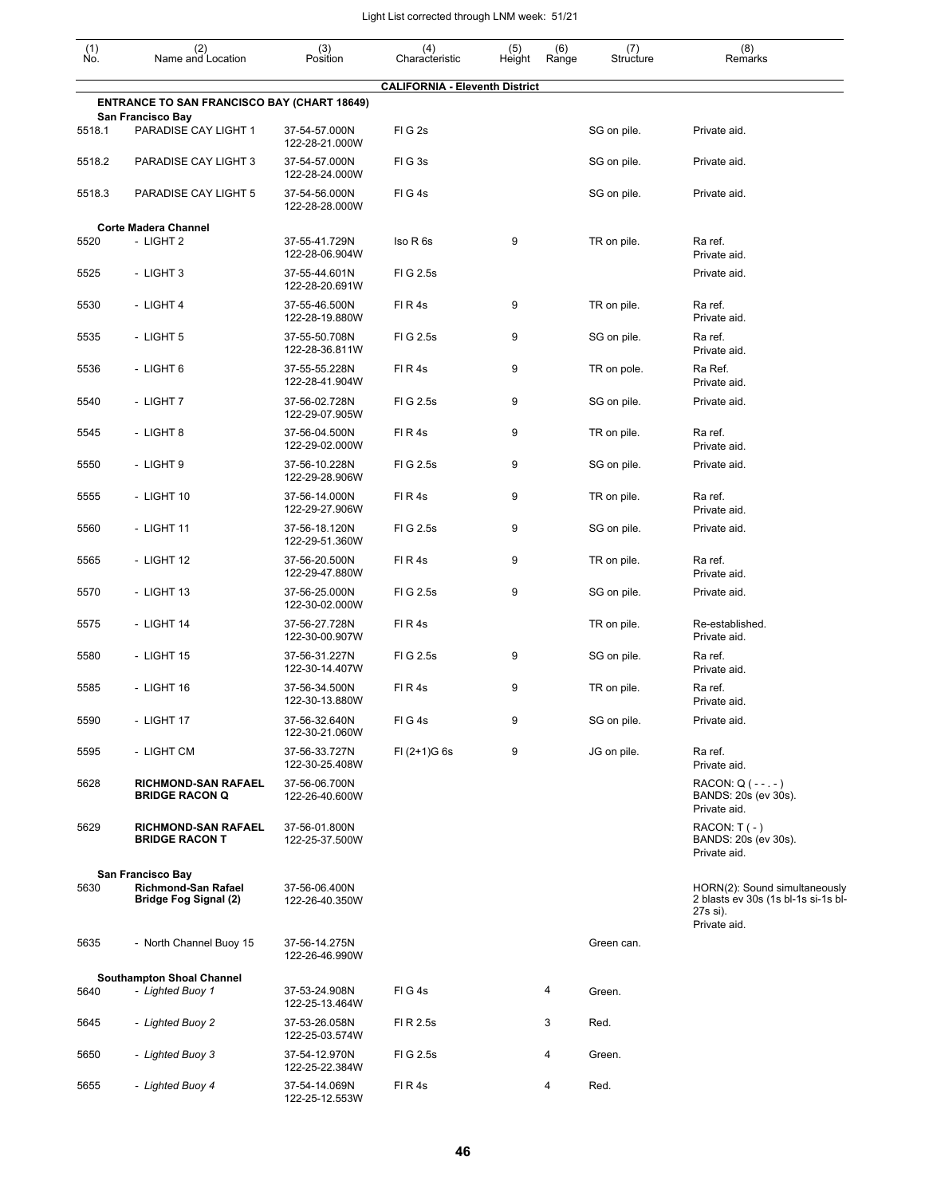| $\begin{smallmatrix} (1) \\ \mathsf{No}. \end{smallmatrix}$ | (2)<br>Name and Location                                   | (3)<br>Position                 | (4)<br>Characteristic                 | (5)<br>Height | (6)<br>Range | (7)<br>Structure | (8)<br>Remarks                                                                                   |
|-------------------------------------------------------------|------------------------------------------------------------|---------------------------------|---------------------------------------|---------------|--------------|------------------|--------------------------------------------------------------------------------------------------|
|                                                             |                                                            |                                 | <b>CALIFORNIA - Eleventh District</b> |               |              |                  |                                                                                                  |
|                                                             | <b>ENTRANCE TO SAN FRANCISCO BAY (CHART 18649)</b>         |                                 |                                       |               |              |                  |                                                                                                  |
| 5518.1                                                      | San Francisco Bay<br>PARADISE CAY LIGHT 1                  | 37-54-57.000N<br>122-28-21.000W | FIG <sub>2s</sub>                     |               |              | SG on pile.      | Private aid.                                                                                     |
| 5518.2                                                      | PARADISE CAY LIGHT 3                                       | 37-54-57.000N<br>122-28-24.000W | FIG3s                                 |               |              | SG on pile.      | Private aid.                                                                                     |
| 5518.3                                                      | PARADISE CAY LIGHT 5                                       | 37-54-56.000N<br>122-28-28.000W | FIG4s                                 |               |              | SG on pile.      | Private aid.                                                                                     |
|                                                             | <b>Corte Madera Channel</b>                                |                                 |                                       |               |              |                  |                                                                                                  |
| 5520                                                        | - LIGHT 2                                                  | 37-55-41.729N<br>122-28-06.904W | Iso R 6s                              | 9             |              | TR on pile.      | Ra ref.<br>Private aid.                                                                          |
| 5525                                                        | - LIGHT 3                                                  | 37-55-44.601N<br>122-28-20.691W | FIG 2.5s                              |               |              |                  | Private aid.                                                                                     |
| 5530                                                        | - LIGHT 4                                                  | 37-55-46.500N<br>122-28-19.880W | FIR4s                                 | 9             |              | TR on pile.      | Ra ref.<br>Private aid.                                                                          |
| 5535                                                        | - LIGHT 5                                                  | 37-55-50.708N<br>122-28-36.811W | FIG 2.5s                              | 9             |              | SG on pile.      | Ra ref.<br>Private aid.                                                                          |
| 5536                                                        | - LIGHT 6                                                  | 37-55-55.228N<br>122-28-41.904W | FIR4s                                 | 9             |              | TR on pole.      | Ra Ref.<br>Private aid.                                                                          |
| 5540                                                        | - LIGHT 7                                                  | 37-56-02.728N<br>122-29-07.905W | FIG 2.5s                              | 9             |              | SG on pile.      | Private aid.                                                                                     |
| 5545                                                        | - LIGHT 8                                                  | 37-56-04.500N<br>122-29-02.000W | FIR4s                                 | 9             |              | TR on pile.      | Ra ref.<br>Private aid.                                                                          |
| 5550                                                        | - LIGHT 9                                                  | 37-56-10.228N<br>122-29-28.906W | FIG 2.5s                              | 9             |              | SG on pile.      | Private aid.                                                                                     |
| 5555                                                        | - LIGHT 10                                                 | 37-56-14.000N<br>122-29-27.906W | FIR4s                                 | 9             |              | TR on pile.      | Ra ref.<br>Private aid.                                                                          |
| 5560                                                        | - LIGHT 11                                                 | 37-56-18.120N<br>122-29-51.360W | FIG 2.5s                              | 9             |              | SG on pile.      | Private aid.                                                                                     |
| 5565                                                        | - LIGHT 12                                                 | 37-56-20.500N<br>122-29-47.880W | FIR4s                                 | 9             |              | TR on pile.      | Ra ref.<br>Private aid.                                                                          |
| 5570                                                        | - LIGHT 13                                                 | 37-56-25.000N<br>122-30-02.000W | FIG 2.5s                              | 9             |              | SG on pile.      | Private aid.                                                                                     |
| 5575                                                        | - LIGHT 14                                                 | 37-56-27.728N<br>122-30-00.907W | FIR4s                                 |               |              | TR on pile.      | Re-established.<br>Private aid.                                                                  |
| 5580                                                        | - LIGHT 15                                                 | 37-56-31.227N<br>122-30-14.407W | FIG 2.5s                              | 9             |              | SG on pile.      | Ra ref.<br>Private aid.                                                                          |
| 5585                                                        | - LIGHT 16                                                 | 37-56-34.500N<br>122-30-13.880W | FIR4s                                 | 9             |              | TR on pile.      | Ra ref.<br>Private aid.                                                                          |
| 5590                                                        | - LIGHT 17                                                 | 37-56-32.640N<br>122-30-21.060W | FIG4s                                 | 9             |              | SG on pile.      | Private aid.                                                                                     |
| 5595                                                        | - LIGHT CM                                                 | 37-56-33.727N<br>122-30-25.408W | $FI (2+1)G 6s$                        | 9             |              | JG on pile.      | Ra ref.<br>Private aid.                                                                          |
| 5628                                                        | <b>RICHMOND-SAN RAFAEL</b><br><b>BRIDGE RACON Q</b>        | 37-56-06.700N<br>122-26-40.600W |                                       |               |              |                  | RACON: $Q(--.)$<br>BANDS: 20s (ev 30s).<br>Private aid.                                          |
| 5629                                                        | <b>RICHMOND-SAN RAFAEL</b><br><b>BRIDGE RACON T</b>        | 37-56-01.800N<br>122-25-37.500W |                                       |               |              |                  | $RACON: T(-)$<br>BANDS: 20s (ev 30s).<br>Private aid.                                            |
|                                                             | San Francisco Bay                                          |                                 |                                       |               |              |                  |                                                                                                  |
| 5630                                                        | <b>Richmond-San Rafael</b><br><b>Bridge Fog Signal (2)</b> | 37-56-06.400N<br>122-26-40.350W |                                       |               |              |                  | HORN(2): Sound simultaneously<br>2 blasts ev 30s (1s bl-1s si-1s bl-<br>27s si).<br>Private aid. |
| 5635                                                        | - North Channel Buoy 15                                    | 37-56-14.275N<br>122-26-46.990W |                                       |               |              | Green can.       |                                                                                                  |
|                                                             | <b>Southampton Shoal Channel</b>                           |                                 |                                       |               |              |                  |                                                                                                  |
| 5640                                                        | - Lighted Buoy 1                                           | 37-53-24.908N<br>122-25-13.464W | FIG4s                                 |               | 4            | Green.           |                                                                                                  |
| 5645                                                        | - Lighted Buoy 2                                           | 37-53-26.058N<br>122-25-03.574W | FI R 2.5s                             |               | 3            | Red.             |                                                                                                  |
| 5650                                                        | - Lighted Buoy 3                                           | 37-54-12.970N<br>122-25-22.384W | FIG 2.5s                              |               | 4            | Green.           |                                                                                                  |
| 5655                                                        | - Lighted Buoy 4                                           | 37-54-14.069N<br>122-25-12.553W | FIR4s                                 |               | 4            | Red.             |                                                                                                  |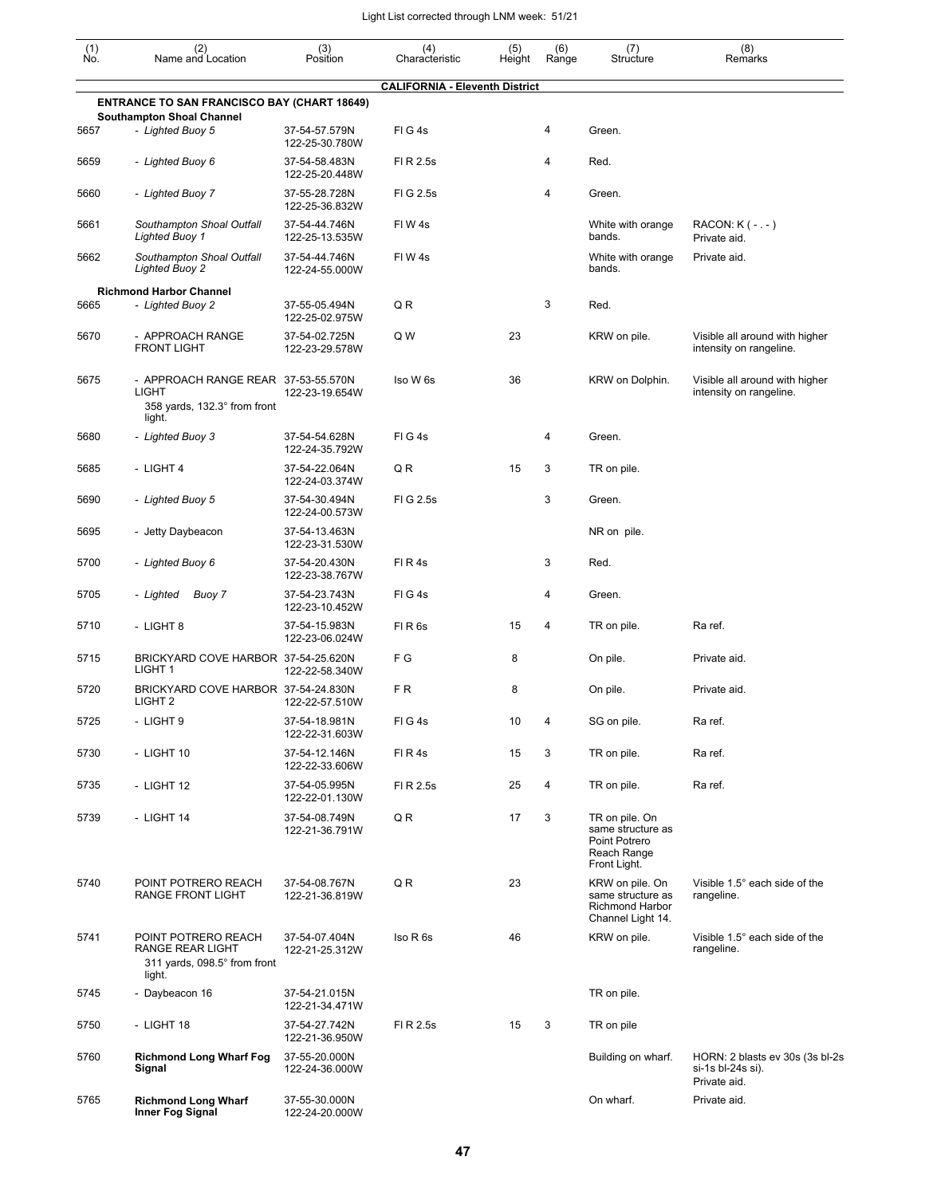| $\begin{smallmatrix} (1) \ N0. \end{smallmatrix}$ | (2)<br>Name and Location                                                                      | (3)<br>Position                 | (4)<br>Characteristic                 | (5)<br>Height | (6)<br>Range   | (7)<br>Structure                                                                    | (8)<br>Remarks                                                       |
|---------------------------------------------------|-----------------------------------------------------------------------------------------------|---------------------------------|---------------------------------------|---------------|----------------|-------------------------------------------------------------------------------------|----------------------------------------------------------------------|
|                                                   |                                                                                               |                                 | <b>CALIFORNIA - Eleventh District</b> |               |                |                                                                                     |                                                                      |
|                                                   | <b>ENTRANCE TO SAN FRANCISCO BAY (CHART 18649)</b>                                            |                                 |                                       |               |                |                                                                                     |                                                                      |
| 5657                                              | <b>Southampton Shoal Channel</b><br>- Lighted Buoy 5                                          | 37-54-57.579N<br>122-25-30.780W | FIG4s                                 |               | 4              | Green.                                                                              |                                                                      |
| 5659                                              | - Lighted Buoy 6                                                                              | 37-54-58.483N<br>122-25-20.448W | FI R 2.5s                             |               | 4              | Red.                                                                                |                                                                      |
| 5660                                              | - Lighted Buoy 7                                                                              | 37-55-28.728N<br>122-25-36.832W | FIG 2.5s                              |               | 4              | Green.                                                                              |                                                                      |
| 5661                                              | Southampton Shoal Outfall<br><b>Lighted Buoy 1</b>                                            | 37-54-44.746N<br>122-25-13.535W | FIW4s                                 |               |                | White with orange<br>bands.                                                         | RACON: $K(-,-)$<br>Private aid.                                      |
| 5662                                              | Southampton Shoal Outfall<br><b>Lighted Buoy 2</b>                                            | 37-54-44.746N<br>122-24-55.000W | FIW4s                                 |               |                | White with orange<br>bands.                                                         | Private aid.                                                         |
|                                                   | <b>Richmond Harbor Channel</b>                                                                |                                 |                                       |               |                |                                                                                     |                                                                      |
| 5665                                              | - Lighted Buoy 2                                                                              | 37-55-05.494N<br>122-25-02.975W | Q R                                   |               | 3              | Red.                                                                                |                                                                      |
| 5670                                              | - APPROACH RANGE<br><b>FRONT LIGHT</b>                                                        | 37-54-02.725N<br>122-23-29.578W | Q W                                   | 23            |                | KRW on pile.                                                                        | Visible all around with higher<br>intensity on rangeline.            |
| 5675                                              | - APPROACH RANGE REAR 37-53-55.570N<br><b>LIGHT</b><br>358 yards, 132.3° from front<br>light. | 122-23-19.654W                  | Iso W 6s                              | 36            |                | KRW on Dolphin.                                                                     | Visible all around with higher<br>intensity on rangeline.            |
| 5680                                              | - Lighted Buoy 3                                                                              | 37-54-54.628N<br>122-24-35.792W | FIG4s                                 |               | 4              | Green.                                                                              |                                                                      |
| 5685                                              | - LIGHT 4                                                                                     | 37-54-22.064N<br>122-24-03.374W | QR                                    | 15            | 3              | TR on pile.                                                                         |                                                                      |
| 5690                                              | - Lighted Buoy 5                                                                              | 37-54-30.494N<br>122-24-00.573W | FIG 2.5s                              |               | 3              | Green.                                                                              |                                                                      |
| 5695                                              | - Jetty Daybeacon                                                                             | 37-54-13.463N<br>122-23-31.530W |                                       |               |                | NR on pile.                                                                         |                                                                      |
| 5700                                              | - Lighted Buoy 6                                                                              | 37-54-20.430N<br>122-23-38.767W | FIR4s                                 |               | 3              | Red.                                                                                |                                                                      |
| 5705                                              | - Lighted<br>Buoy 7                                                                           | 37-54-23.743N<br>122-23-10.452W | FIG4s                                 |               | 4              | Green.                                                                              |                                                                      |
| 5710                                              | - LIGHT 8                                                                                     | 37-54-15.983N<br>122-23-06.024W | FIR <sub>6s</sub>                     | 15            | 4              | TR on pile.                                                                         | Ra ref.                                                              |
| 5715                                              | BRICKYARD COVE HARBOR 37-54-25.620N<br>LIGHT <sub>1</sub>                                     | 122-22-58.340W                  | F G                                   | 8             |                | On pile.                                                                            | Private aid.                                                         |
| 5720                                              | BRICKYARD COVE HARBOR 37-54-24.830N<br>LIGHT <sub>2</sub>                                     | 122-22-57.510W                  | FR                                    | 8             |                | On pile.                                                                            | Private aid.                                                         |
| 5725                                              | - LIGHT 9                                                                                     | 37-54-18.981N<br>122-22-31.603W | FIG4s                                 | 10            | 4              | SG on pile.                                                                         | Ra ref.                                                              |
| 5730                                              | - LIGHT 10                                                                                    | 37-54-12.146N<br>122-22-33.606W | FIR4s                                 | 15            | 3              | TR on pile.                                                                         | Ra ref.                                                              |
| 5735                                              | - LIGHT 12                                                                                    | 37-54-05.995N<br>122-22-01.130W | FI R 2.5s                             | 25            | $\overline{4}$ | TR on pile.                                                                         | Ra ref.                                                              |
| 5739                                              | - LIGHT 14                                                                                    | 37-54-08.749N<br>122-21-36.791W | QR                                    | 17            | 3              | TR on pile. On<br>same structure as<br>Point Potrero<br>Reach Range<br>Front Light. |                                                                      |
| 5740                                              | POINT POTRERO REACH<br><b>RANGE FRONT LIGHT</b>                                               | 37-54-08.767N<br>122-21-36.819W | QR                                    | 23            |                | KRW on pile. On<br>same structure as<br>Richmond Harbor<br>Channel Light 14.        | Visible 1.5° each side of the<br>rangeline.                          |
| 5741                                              | POINT POTRERO REACH<br><b>RANGE REAR LIGHT</b><br>311 yards, 098.5° from front<br>light.      | 37-54-07.404N<br>122-21-25.312W | Iso R 6s                              | 46            |                | KRW on pile.                                                                        | Visible 1.5° each side of the<br>rangeline.                          |
| 5745                                              | - Daybeacon 16                                                                                | 37-54-21.015N<br>122-21-34.471W |                                       |               |                | TR on pile.                                                                         |                                                                      |
| 5750                                              | - LIGHT 18                                                                                    | 37-54-27.742N<br>122-21-36.950W | FI R 2.5s                             | 15            | 3              | TR on pile                                                                          |                                                                      |
| 5760                                              | <b>Richmond Long Wharf Fog</b><br>Signal                                                      | 37-55-20.000N<br>122-24-36.000W |                                       |               |                | Building on wharf.                                                                  | HORN: 2 blasts ev 30s (3s bl-2s<br>si-1s bl-24s si).<br>Private aid. |
| 5765                                              | <b>Richmond Long Wharf</b><br>Inner Fog Signal                                                | 37-55-30.000N<br>122-24-20.000W |                                       |               |                | On wharf.                                                                           | Private aid.                                                         |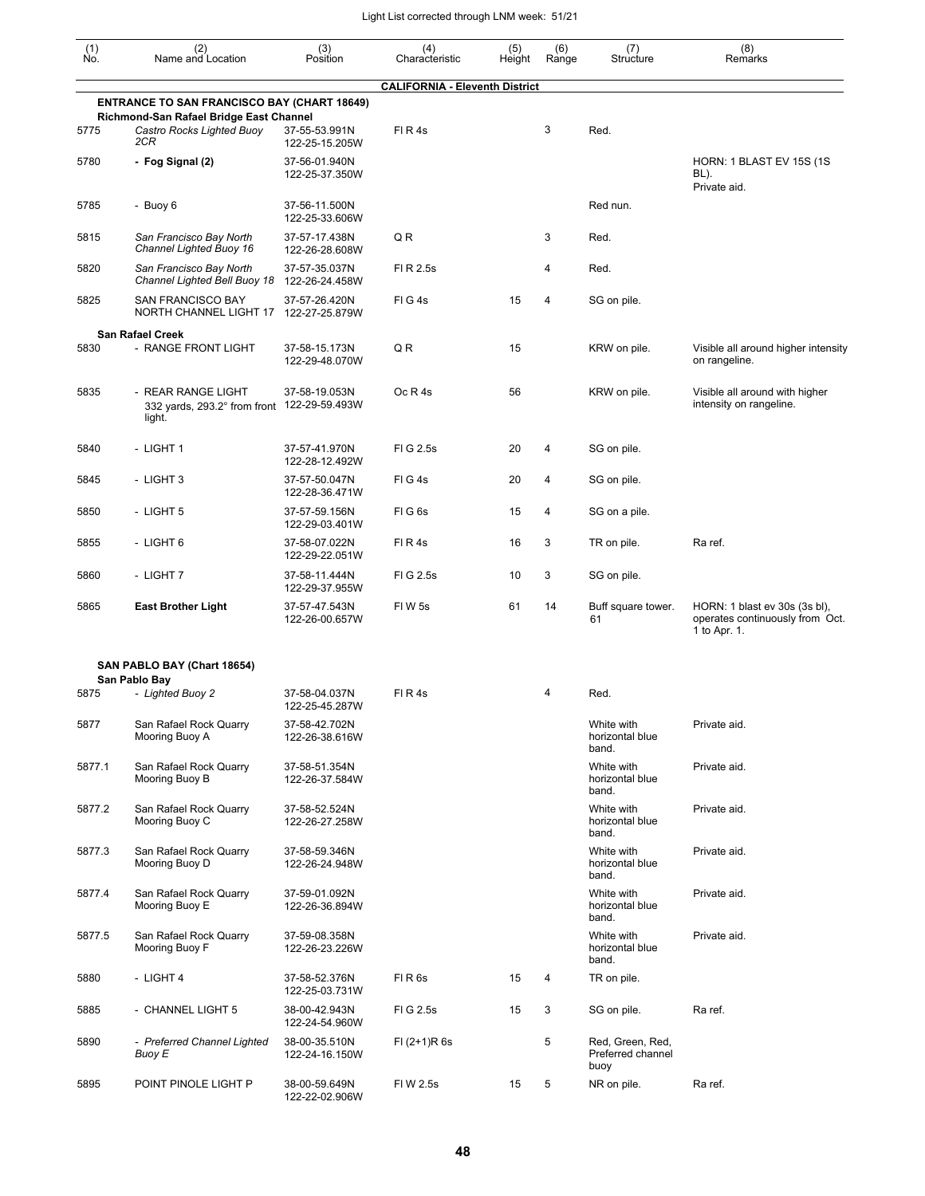| $\begin{smallmatrix} (1) \\ \mathsf{No} \end{smallmatrix}$ | (2)<br>Name and Location                                                    | (3)<br>Position                 | (4)<br>Characteristic                 | (5)<br>Height | (6)<br>Range | (7)<br>Structure                              | (8)<br>Remarks                                                                   |
|------------------------------------------------------------|-----------------------------------------------------------------------------|---------------------------------|---------------------------------------|---------------|--------------|-----------------------------------------------|----------------------------------------------------------------------------------|
|                                                            |                                                                             |                                 | <b>CALIFORNIA - Eleventh District</b> |               |              |                                               |                                                                                  |
|                                                            | <b>ENTRANCE TO SAN FRANCISCO BAY (CHART 18649)</b>                          |                                 |                                       |               |              |                                               |                                                                                  |
| 5775                                                       | Richmond-San Rafael Bridge East Channel<br>Castro Rocks Lighted Buoy<br>2CR | 37-55-53.991N<br>122-25-15.205W | FIR4s                                 |               | 3            | Red.                                          |                                                                                  |
| 5780                                                       | - Fog Signal (2)                                                            | 37-56-01.940N<br>122-25-37.350W |                                       |               |              |                                               | <b>HORN: 1 BLAST EV 15S (1S</b><br>BL).<br>Private aid.                          |
| 5785                                                       | - Buoy 6                                                                    | 37-56-11.500N<br>122-25-33.606W |                                       |               |              | Red nun.                                      |                                                                                  |
| 5815                                                       | San Francisco Bay North<br>Channel Lighted Buoy 16                          | 37-57-17.438N<br>122-26-28.608W | QR                                    |               | 3            | Red.                                          |                                                                                  |
| 5820                                                       | San Francisco Bay North<br>Channel Lighted Bell Buoy 18                     | 37-57-35.037N<br>122-26-24.458W | FI R 2.5s                             |               | 4            | Red.                                          |                                                                                  |
| 5825                                                       | <b>SAN FRANCISCO BAY</b><br>NORTH CHANNEL LIGHT 17                          | 37-57-26.420N<br>122-27-25.879W | FIG4s                                 | 15            | 4            | SG on pile.                                   |                                                                                  |
|                                                            | <b>San Rafael Creek</b>                                                     |                                 |                                       |               |              |                                               |                                                                                  |
| 5830                                                       | - RANGE FRONT LIGHT                                                         | 37-58-15.173N<br>122-29-48.070W | QR                                    | 15            |              | KRW on pile.                                  | Visible all around higher intensity<br>on rangeline.                             |
| 5835                                                       | - REAR RANGE LIGHT<br>332 yards, 293.2° from front<br>light.                | 37-58-19.053N<br>122-29-59.493W | Oc R 4s                               | 56            |              | KRW on pile.                                  | Visible all around with higher<br>intensity on rangeline.                        |
| 5840                                                       | - LIGHT 1                                                                   | 37-57-41.970N<br>122-28-12.492W | FIG 2.5s                              | 20            | 4            | SG on pile.                                   |                                                                                  |
| 5845                                                       | - LIGHT 3                                                                   | 37-57-50.047N<br>122-28-36.471W | FIG4s                                 | 20            | 4            | SG on pile.                                   |                                                                                  |
| 5850                                                       | - LIGHT 5                                                                   | 37-57-59.156N<br>122-29-03.401W | FIG6s                                 | 15            | 4            | SG on a pile.                                 |                                                                                  |
| 5855                                                       | - LIGHT 6                                                                   | 37-58-07.022N<br>122-29-22.051W | FIR4s                                 | 16            | 3            | TR on pile.                                   | Ra ref.                                                                          |
| 5860                                                       | - LIGHT 7                                                                   | 37-58-11.444N<br>122-29-37.955W | FIG 2.5s                              | 10            | 3            | SG on pile.                                   |                                                                                  |
| 5865                                                       | <b>East Brother Light</b>                                                   | 37-57-47.543N<br>122-26-00.657W | FIW 5s                                | 61            | 14           | Buff square tower.<br>61                      | HORN: 1 blast ev 30s (3s bl),<br>operates continuously from Oct.<br>1 to Apr. 1. |
|                                                            | SAN PABLO BAY (Chart 18654)                                                 |                                 |                                       |               |              |                                               |                                                                                  |
| 5875                                                       | San Pablo Bay<br>- Lighted Buoy 2                                           | 37-58-04.037N<br>122-25-45.287W | FIR4s                                 |               | 4            | Red.                                          |                                                                                  |
| 5877                                                       | San Rafael Rock Quarry<br>Mooring Buoy A                                    | 37-58-42.702N<br>122-26-38.616W |                                       |               |              | White with<br>horizontal blue<br>band.        | Private aid.                                                                     |
| 5877.1                                                     | San Rafael Rock Quarry<br>Mooring Buoy B                                    | 37-58-51.354N<br>122-26-37.584W |                                       |               |              | White with<br>horizontal blue<br>band.        | Private aid.                                                                     |
| 5877.2                                                     | San Rafael Rock Quarry<br>Mooring Buoy C                                    | 37-58-52.524N<br>122-26-27.258W |                                       |               |              | White with<br>horizontal blue<br>band.        | Private aid.                                                                     |
| 5877.3                                                     | San Rafael Rock Quarry<br>Mooring Buoy D                                    | 37-58-59.346N<br>122-26-24.948W |                                       |               |              | White with<br>horizontal blue<br>band.        | Private aid.                                                                     |
| 5877.4                                                     | San Rafael Rock Quarry<br>Mooring Buoy E                                    | 37-59-01.092N<br>122-26-36.894W |                                       |               |              | White with<br>horizontal blue<br>band.        | Private aid.                                                                     |
| 5877.5                                                     | San Rafael Rock Quarry<br>Mooring Buoy F                                    | 37-59-08.358N<br>122-26-23.226W |                                       |               |              | White with<br>horizontal blue<br>band.        | Private aid.                                                                     |
| 5880                                                       | - LIGHT 4                                                                   | 37-58-52.376N<br>122-25-03.731W | FIR <sub>6s</sub>                     | 15            | 4            | TR on pile.                                   |                                                                                  |
| 5885                                                       | - CHANNEL LIGHT 5                                                           | 38-00-42.943N<br>122-24-54.960W | FIG 2.5s                              | 15            | 3            | SG on pile.                                   | Ra ref.                                                                          |
| 5890                                                       | - Preferred Channel Lighted<br>Buoy E                                       | 38-00-35.510N<br>122-24-16.150W | $FI (2+1)R 6s$                        |               | 5            | Red, Green, Red,<br>Preferred channel<br>buoy |                                                                                  |
| 5895                                                       | POINT PINOLE LIGHT P                                                        | 38-00-59.649N<br>122-22-02.906W | FIW 2.5s                              | 15            | 5            | NR on pile.                                   | Ra ref.                                                                          |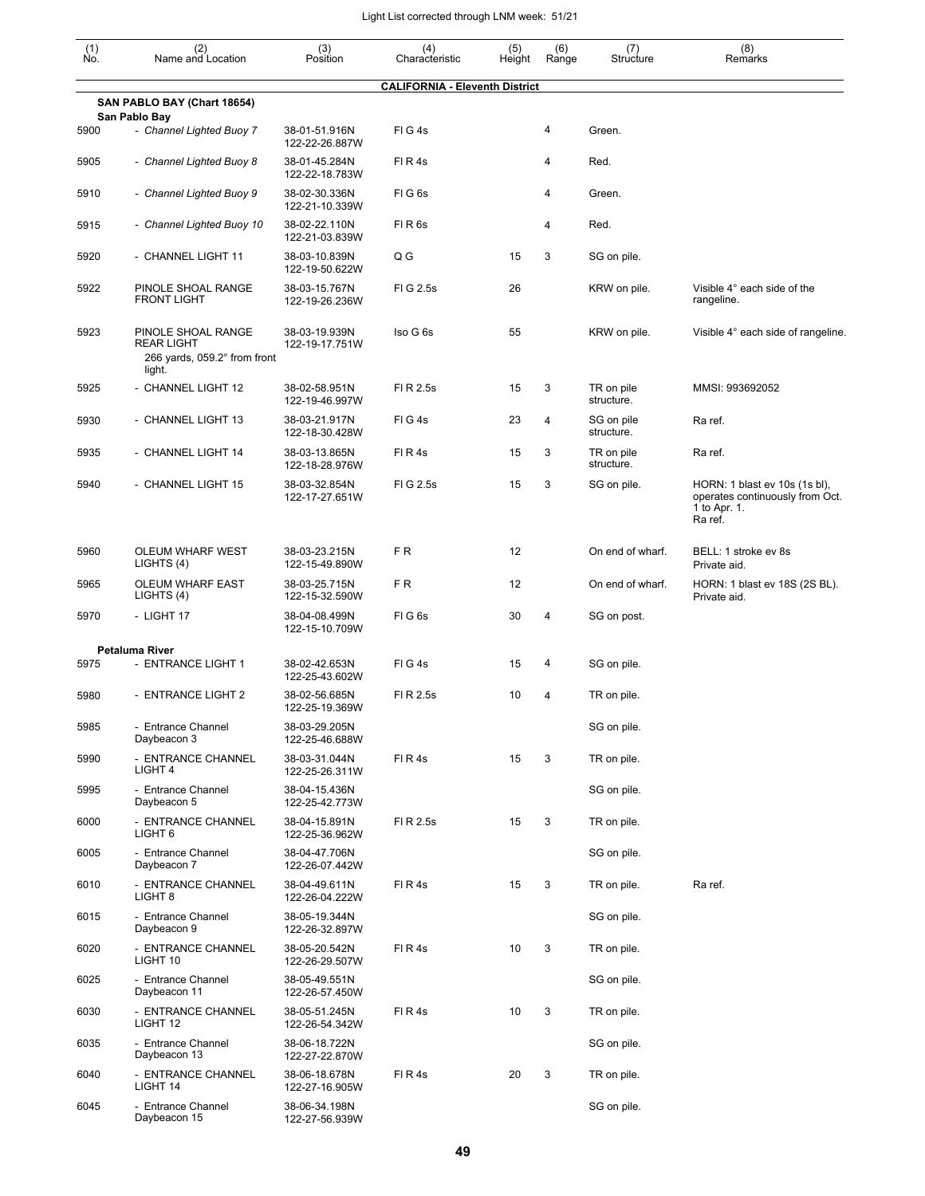| (1)<br>Ńó. | (2)<br>Name and Location                                                          | (3)<br>Position                 | (4)<br>Characteristic                 | (5)<br>Height | (6)<br>Range | (7)<br>Structure         | (8)<br>Remarks                                                                              |
|------------|-----------------------------------------------------------------------------------|---------------------------------|---------------------------------------|---------------|--------------|--------------------------|---------------------------------------------------------------------------------------------|
|            |                                                                                   |                                 | <b>CALIFORNIA - Eleventh District</b> |               |              |                          |                                                                                             |
|            | SAN PABLO BAY (Chart 18654)                                                       |                                 |                                       |               |              |                          |                                                                                             |
| 5900       | San Pablo Bay<br>- Channel Lighted Buoy 7                                         | 38-01-51.916N<br>122-22-26.887W | FIG4s                                 |               | 4            | Green.                   |                                                                                             |
| 5905       | - Channel Lighted Buoy 8                                                          | 38-01-45.284N<br>122-22-18.783W | FIR4s                                 |               | 4            | Red.                     |                                                                                             |
| 5910       | - Channel Lighted Buoy 9                                                          | 38-02-30.336N<br>122-21-10.339W | FIG <sub>6s</sub>                     |               | 4            | Green.                   |                                                                                             |
| 5915       | - Channel Lighted Buoy 10                                                         | 38-02-22.110N<br>122-21-03.839W | FIR <sub>6s</sub>                     |               | 4            | Red.                     |                                                                                             |
| 5920       | - CHANNEL LIGHT 11                                                                | 38-03-10.839N<br>122-19-50.622W | Q G                                   | 15            | 3            | SG on pile.              |                                                                                             |
| 5922       | PINOLE SHOAL RANGE<br><b>FRONT LIGHT</b>                                          | 38-03-15.767N<br>122-19-26.236W | FIG 2.5s                              | 26            |              | KRW on pile.             | Visible 4° each side of the<br>rangeline.                                                   |
| 5923       | PINOLE SHOAL RANGE<br><b>REAR LIGHT</b><br>266 yards, 059.2° from front<br>light. | 38-03-19.939N<br>122-19-17.751W | Iso G 6s                              | 55            |              | KRW on pile.             | Visible 4° each side of rangeline.                                                          |
| 5925       | - CHANNEL LIGHT 12                                                                | 38-02-58.951N<br>122-19-46.997W | FI R 2.5s                             | 15            | 3            | TR on pile<br>structure. | MMSI: 993692052                                                                             |
| 5930       | - CHANNEL LIGHT 13                                                                | 38-03-21.917N<br>122-18-30.428W | FIG4s                                 | 23            | 4            | SG on pile<br>structure. | Ra ref.                                                                                     |
| 5935       | - CHANNEL LIGHT 14                                                                | 38-03-13.865N<br>122-18-28.976W | FIR4s                                 | 15            | 3            | TR on pile<br>structure. | Ra ref.                                                                                     |
| 5940       | - CHANNEL LIGHT 15                                                                | 38-03-32.854N<br>122-17-27.651W | FIG 2.5s                              | 15            | 3            | SG on pile.              | HORN: 1 blast ev 10s (1s bl),<br>operates continuously from Oct.<br>1 to Apr. 1.<br>Ra ref. |
| 5960       | OLEUM WHARF WEST<br>LIGHTS (4)                                                    | 38-03-23.215N<br>122-15-49.890W | FR.                                   | 12            |              | On end of wharf.         | BELL: 1 stroke ev 8s<br>Private aid.                                                        |
| 5965       | OLEUM WHARF EAST<br>LIGHTS (4)                                                    | 38-03-25.715N<br>122-15-32.590W | FR.                                   | 12            |              | On end of wharf.         | HORN: 1 blast ev 18S (2S BL).<br>Private aid.                                               |
| 5970       | - LIGHT 17                                                                        | 38-04-08.499N<br>122-15-10.709W | FIG <sub>6s</sub>                     | 30            | 4            | SG on post.              |                                                                                             |
| 5975       | Petaluma River<br>- ENTRANCE LIGHT 1                                              | 38-02-42.653N<br>122-25-43.602W | FIG4s                                 | 15            | 4            | SG on pile.              |                                                                                             |
| 5980       | - ENTRANCE LIGHT 2                                                                | 38-02-56.685N<br>122-25-19.369W | FI R 2.5s                             | 10            | 4            | TR on pile.              |                                                                                             |
| 5985       | - Entrance Channel<br>Daybeacon 3                                                 | 38-03-29.205N<br>122-25-46.688W |                                       |               |              | SG on pile.              |                                                                                             |
| 5990       | - ENTRANCE CHANNEL<br>LIGHT <sub>4</sub>                                          | 38-03-31.044N<br>122-25-26.311W | FIR4s                                 | 15            | 3            | TR on pile.              |                                                                                             |
| 5995       | - Entrance Channel<br>Daybeacon 5                                                 | 38-04-15.436N<br>122-25-42.773W |                                       |               |              | SG on pile.              |                                                                                             |
| 6000       | - ENTRANCE CHANNEL<br>LIGHT 6                                                     | 38-04-15.891N<br>122-25-36.962W | FI R 2.5s                             | 15            | 3            | TR on pile.              |                                                                                             |
| 6005       | - Entrance Channel<br>Daybeacon 7                                                 | 38-04-47.706N<br>122-26-07.442W |                                       |               |              | SG on pile.              |                                                                                             |
| 6010       | - ENTRANCE CHANNEL<br>LIGHT <sub>8</sub>                                          | 38-04-49.611N<br>122-26-04.222W | FIR4s                                 | 15            | 3            | TR on pile.              | Ra ref.                                                                                     |
| 6015       | - Entrance Channel<br>Daybeacon 9                                                 | 38-05-19.344N<br>122-26-32.897W |                                       |               |              | SG on pile.              |                                                                                             |
| 6020       | - ENTRANCE CHANNEL<br>LIGHT 10                                                    | 38-05-20.542N<br>122-26-29.507W | FIR4s                                 | 10            | 3            | TR on pile.              |                                                                                             |
| 6025       | - Entrance Channel<br>Daybeacon 11                                                | 38-05-49.551N<br>122-26-57.450W |                                       |               |              | SG on pile.              |                                                                                             |
| 6030       | - ENTRANCE CHANNEL<br>LIGHT 12                                                    | 38-05-51.245N<br>122-26-54.342W | FIR4s                                 | 10            | 3            | TR on pile.              |                                                                                             |
| 6035       | - Entrance Channel<br>Daybeacon 13                                                | 38-06-18.722N<br>122-27-22.870W |                                       |               |              | SG on pile.              |                                                                                             |
| 6040       | - ENTRANCE CHANNEL<br>LIGHT 14                                                    | 38-06-18.678N<br>122-27-16.905W | FIR4s                                 | 20            | 3            | TR on pile.              |                                                                                             |
| 6045       | - Entrance Channel<br>Daybeacon 15                                                | 38-06-34.198N<br>122-27-56.939W |                                       |               |              | SG on pile.              |                                                                                             |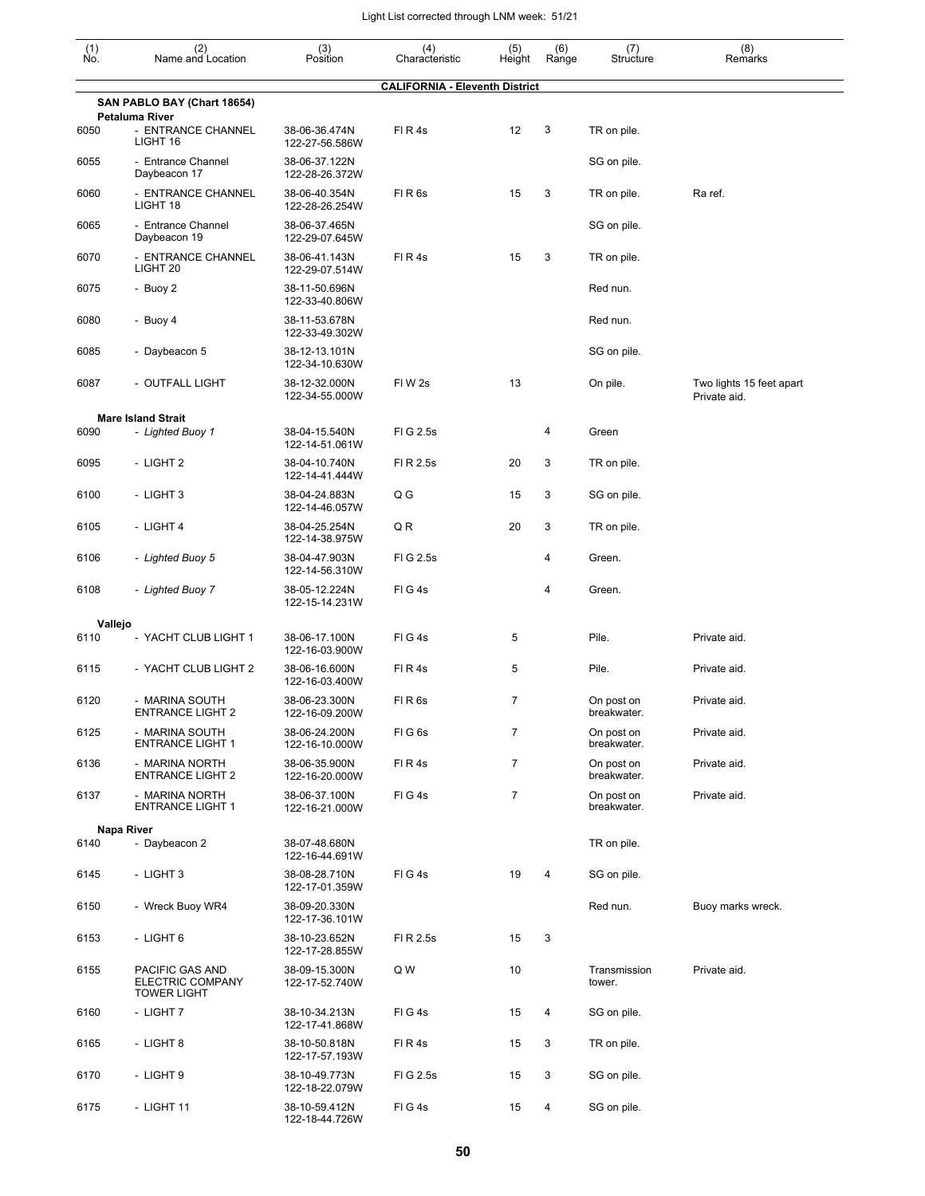| (1)<br>No. | (2)<br>Name and Location                                  | (3)<br>Position                 | (4)<br>Characteristic                 | (5)<br>Height  | (6)<br>Range   | (7)<br>Structure          | (8)<br>Remarks                           |
|------------|-----------------------------------------------------------|---------------------------------|---------------------------------------|----------------|----------------|---------------------------|------------------------------------------|
|            |                                                           |                                 | <b>CALIFORNIA - Eleventh District</b> |                |                |                           |                                          |
|            | SAN PABLO BAY (Chart 18654)<br><b>Petaluma River</b>      |                                 |                                       |                |                |                           |                                          |
| 6050       | - ENTRANCE CHANNEL<br>LIGHT 16                            | 38-06-36.474N<br>122-27-56.586W | FIR4s                                 | 12             | 3              | TR on pile.               |                                          |
| 6055       | - Entrance Channel<br>Daybeacon 17                        | 38-06-37.122N<br>122-28-26.372W |                                       |                |                | SG on pile.               |                                          |
| 6060       | - ENTRANCE CHANNEL<br>LIGHT 18                            | 38-06-40.354N<br>122-28-26.254W | FIR <sub>6s</sub>                     | 15             | 3              | TR on pile.               | Ra ref.                                  |
| 6065       | - Entrance Channel<br>Daybeacon 19                        | 38-06-37.465N<br>122-29-07.645W |                                       |                |                | SG on pile.               |                                          |
| 6070       | - ENTRANCE CHANNEL<br>LIGHT <sub>20</sub>                 | 38-06-41.143N<br>122-29-07.514W | FIR4s                                 | 15             | 3              | TR on pile.               |                                          |
| 6075       | - Buoy 2                                                  | 38-11-50.696N<br>122-33-40.806W |                                       |                |                | Red nun.                  |                                          |
| 6080       | - Buoy 4                                                  | 38-11-53.678N<br>122-33-49.302W |                                       |                |                | Red nun.                  |                                          |
| 6085       | - Daybeacon 5                                             | 38-12-13.101N<br>122-34-10.630W |                                       |                |                | SG on pile.               |                                          |
| 6087       | - OUTFALL LIGHT                                           | 38-12-32.000N<br>122-34-55.000W | FIW <sub>2s</sub>                     | 13             |                | On pile.                  | Two lights 15 feet apart<br>Private aid. |
|            | <b>Mare Island Strait</b>                                 |                                 |                                       |                |                |                           |                                          |
| 6090       | - Lighted Buoy 1                                          | 38-04-15.540N<br>122-14-51.061W | FIG 2.5s                              |                | 4              | Green                     |                                          |
| 6095       | - LIGHT 2                                                 | 38-04-10.740N<br>122-14-41.444W | FI R 2.5s                             | 20             | 3              | TR on pile.               |                                          |
| 6100       | - LIGHT 3                                                 | 38-04-24.883N<br>122-14-46.057W | Q G                                   | 15             | 3              | SG on pile.               |                                          |
| 6105       | - LIGHT 4                                                 | 38-04-25.254N<br>122-14-38.975W | Q R                                   | 20             | 3              | TR on pile.               |                                          |
| 6106       | - Lighted Buoy 5                                          | 38-04-47.903N<br>122-14-56.310W | FIG 2.5s                              |                | 4              | Green.                    |                                          |
| 6108       | - Lighted Buoy 7                                          | 38-05-12.224N<br>122-15-14.231W | FIG4s                                 |                | 4              | Green.                    |                                          |
| Vallejo    |                                                           |                                 |                                       |                |                |                           |                                          |
| 6110       | - YACHT CLUB LIGHT 1                                      | 38-06-17.100N<br>122-16-03.900W | FIG4s                                 | 5              |                | Pile.                     | Private aid.                             |
| 6115       | - YACHT CLUB LIGHT 2                                      | 38-06-16.600N<br>122-16-03.400W | FIR4s                                 | 5              |                | Pile.                     | Private aid.                             |
| 6120       | - MARINA SOUTH<br>ENTRANCE LIGHT 2                        | 38-06-23.300N<br>122-16-09.200W | FIR6s                                 | $\overline{7}$ |                | On post on<br>breakwater. | Private aid.                             |
| 6125       | - MARINA SOUTH<br><b>ENTRANCE LIGHT 1</b>                 | 38-06-24.200N<br>122-16-10.000W | FIG6s                                 | $\overline{7}$ |                | On post on<br>breakwater. | Private aid.                             |
| 6136       | - MARINA NORTH<br><b>ENTRANCE LIGHT 2</b>                 | 38-06-35.900N<br>122-16-20.000W | FIR4s                                 | $\overline{7}$ |                | On post on<br>breakwater. | Private aid.                             |
| 6137       | - MARINA NORTH<br><b>ENTRANCE LIGHT 1</b>                 | 38-06-37.100N<br>122-16-21.000W | FIG4s                                 | $\overline{7}$ |                | On post on<br>breakwater. | Private aid.                             |
|            | Napa River                                                |                                 |                                       |                |                |                           |                                          |
| 6140       | - Daybeacon 2                                             | 38-07-48.680N<br>122-16-44.691W |                                       |                |                | TR on pile.               |                                          |
| 6145       | - LIGHT 3                                                 | 38-08-28.710N<br>122-17-01.359W | FIG4s                                 | 19             | $\overline{4}$ | SG on pile.               |                                          |
| 6150       | - Wreck Buoy WR4                                          | 38-09-20.330N<br>122-17-36.101W |                                       |                |                | Red nun.                  | Buoy marks wreck.                        |
| 6153       | - LIGHT 6                                                 | 38-10-23.652N<br>122-17-28.855W | FI R 2.5s                             | 15             | 3              |                           |                                          |
| 6155       | PACIFIC GAS AND<br>ELECTRIC COMPANY<br><b>TOWER LIGHT</b> | 38-09-15.300N<br>122-17-52.740W | Q W                                   | 10             |                | Transmission<br>tower.    | Private aid.                             |
| 6160       | - LIGHT 7                                                 | 38-10-34.213N<br>122-17-41.868W | FIG4s                                 | 15             | $\overline{4}$ | SG on pile.               |                                          |
| 6165       | - LIGHT 8                                                 | 38-10-50.818N<br>122-17-57.193W | FIR4s                                 | 15             | 3              | TR on pile.               |                                          |
| 6170       | - LIGHT 9                                                 | 38-10-49.773N<br>122-18-22.079W | FIG 2.5s                              | 15             | 3              | SG on pile.               |                                          |
| 6175       | - LIGHT 11                                                | 38-10-59.412N<br>122-18-44.726W | FIG4s                                 | 15             | 4              | SG on pile.               |                                          |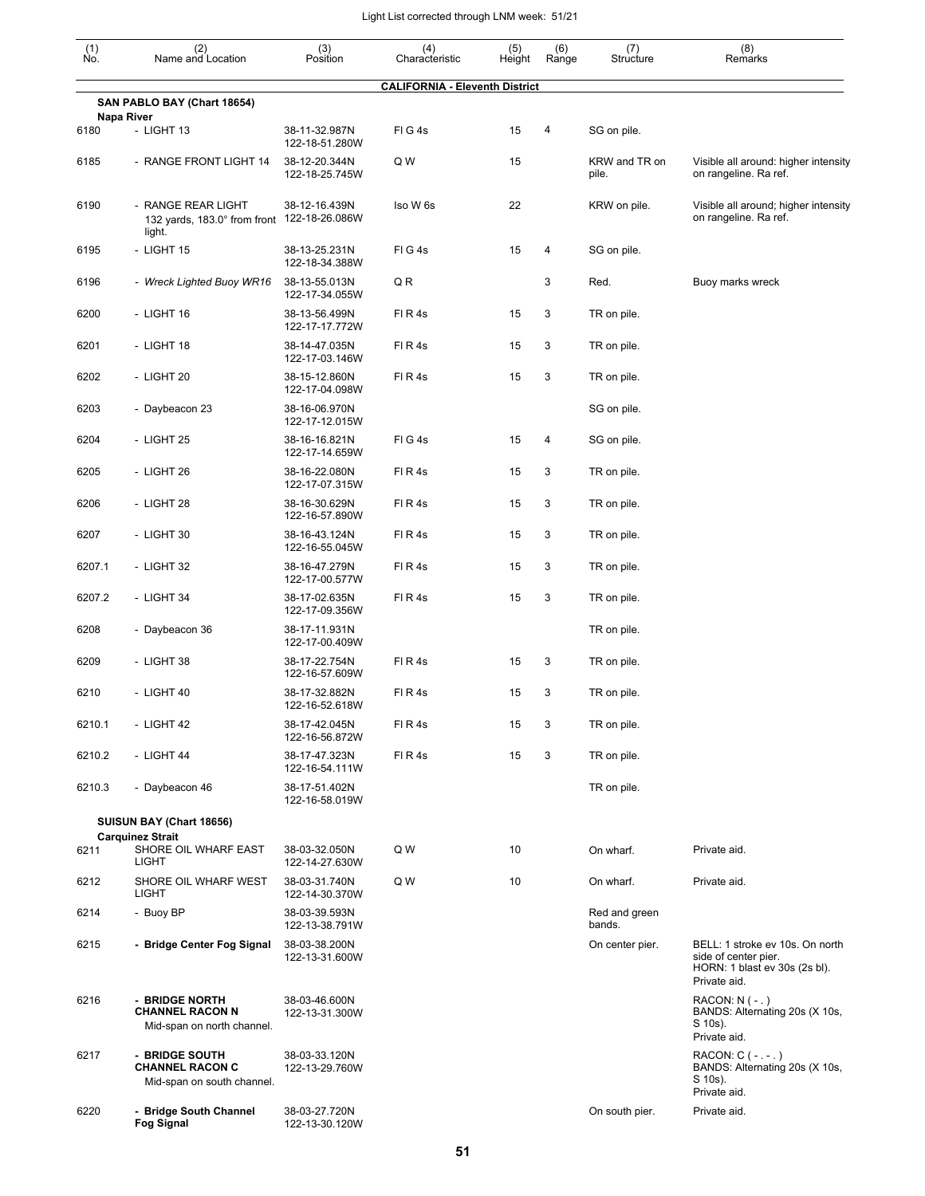| $\begin{smallmatrix} (1) \ N0. \end{smallmatrix}$ | (2)<br>Name and Location                                                    | (3)<br>Position                 | (4)<br>Characteristic                 | (5)<br>Height | (6)<br>Range | (7)<br>Structure        | (8)<br>Remarks                                                                                           |
|---------------------------------------------------|-----------------------------------------------------------------------------|---------------------------------|---------------------------------------|---------------|--------------|-------------------------|----------------------------------------------------------------------------------------------------------|
|                                                   |                                                                             |                                 | <b>CALIFORNIA - Eleventh District</b> |               |              |                         |                                                                                                          |
|                                                   | SAN PABLO BAY (Chart 18654)                                                 |                                 |                                       |               |              |                         |                                                                                                          |
| 6180                                              | Napa River<br>- LIGHT 13                                                    | 38-11-32.987N<br>122-18-51.280W | FIG4s                                 | 15            | 4            | SG on pile.             |                                                                                                          |
| 6185                                              | - RANGE FRONT LIGHT 14                                                      | 38-12-20.344N<br>122-18-25.745W | Q W                                   | 15            |              | KRW and TR on<br>pile.  | Visible all around: higher intensity<br>on rangeline. Ra ref.                                            |
| 6190                                              | - RANGE REAR LIGHT<br>132 yards, 183.0° from front 122-18-26.086W<br>light. | 38-12-16.439N                   | Iso W 6s                              | 22            |              | KRW on pile.            | Visible all around; higher intensity<br>on rangeline. Ra ref.                                            |
| 6195                                              | - LIGHT 15                                                                  | 38-13-25.231N<br>122-18-34.388W | FIG4s                                 | 15            | 4            | SG on pile.             |                                                                                                          |
| 6196                                              | - Wreck Lighted Buoy WR16                                                   | 38-13-55.013N<br>122-17-34.055W | Q R                                   |               | 3            | Red.                    | Buoy marks wreck                                                                                         |
| 6200                                              | - LIGHT 16                                                                  | 38-13-56.499N<br>122-17-17.772W | FIR4s                                 | 15            | 3            | TR on pile.             |                                                                                                          |
| 6201                                              | - LIGHT 18                                                                  | 38-14-47.035N<br>122-17-03.146W | FIR4s                                 | 15            | 3            | TR on pile.             |                                                                                                          |
| 6202                                              | - LIGHT 20                                                                  | 38-15-12.860N<br>122-17-04.098W | FIR4s                                 | 15            | 3            | TR on pile.             |                                                                                                          |
| 6203                                              | - Daybeacon 23                                                              | 38-16-06.970N<br>122-17-12.015W |                                       |               |              | SG on pile.             |                                                                                                          |
| 6204                                              | - LIGHT 25                                                                  | 38-16-16.821N<br>122-17-14.659W | FIG4s                                 | 15            | 4            | SG on pile.             |                                                                                                          |
| 6205                                              | - LIGHT 26                                                                  | 38-16-22.080N<br>122-17-07.315W | FIR4s                                 | 15            | 3            | TR on pile.             |                                                                                                          |
| 6206                                              | - LIGHT 28                                                                  | 38-16-30.629N<br>122-16-57.890W | FIR4s                                 | 15            | 3            | TR on pile.             |                                                                                                          |
| 6207                                              | - LIGHT 30                                                                  | 38-16-43.124N<br>122-16-55.045W | FIR4s                                 | 15            | 3            | TR on pile.             |                                                                                                          |
| 6207.1                                            | - LIGHT 32                                                                  | 38-16-47.279N<br>122-17-00.577W | FIR4s                                 | 15            | 3            | TR on pile.             |                                                                                                          |
| 6207.2                                            | - LIGHT 34                                                                  | 38-17-02.635N<br>122-17-09.356W | FIR4s                                 | 15            | 3            | TR on pile.             |                                                                                                          |
| 6208                                              | - Daybeacon 36                                                              | 38-17-11.931N<br>122-17-00.409W |                                       |               |              | TR on pile.             |                                                                                                          |
| 6209                                              | - LIGHT 38                                                                  | 38-17-22.754N<br>122-16-57.609W | FIR4s                                 | 15            | 3            | TR on pile.             |                                                                                                          |
| 6210                                              | - LIGHT 40                                                                  | 38-17-32.882N<br>122-16-52.618W | FIR4s                                 | 15            | 3            | TR on pile.             |                                                                                                          |
| 6210.1                                            | - LIGHT 42                                                                  | 38-17-42.045N<br>122-16-56.872W | FIR4s                                 | 15            | 3            | TR on pile.             |                                                                                                          |
| 6210.2                                            | - LIGHT 44                                                                  | 38-17-47.323N<br>122-16-54.111W | FIR4s                                 | 15            | 3            | TR on pile.             |                                                                                                          |
| 6210.3                                            | - Daybeacon 46                                                              | 38-17-51.402N<br>122-16-58.019W |                                       |               |              | TR on pile.             |                                                                                                          |
|                                                   | SUISUN BAY (Chart 18656)                                                    |                                 |                                       |               |              |                         |                                                                                                          |
| 6211                                              | <b>Carquinez Strait</b><br>SHORE OIL WHARF EAST<br>LIGHT                    | 38-03-32.050N<br>122-14-27.630W | Q W                                   | 10            |              | On wharf.               | Private aid.                                                                                             |
| 6212                                              | SHORE OIL WHARF WEST<br><b>LIGHT</b>                                        | 38-03-31.740N<br>122-14-30.370W | Q W                                   | 10            |              | On wharf.               | Private aid.                                                                                             |
| 6214                                              | - Buoy BP                                                                   | 38-03-39.593N<br>122-13-38.791W |                                       |               |              | Red and green<br>bands. |                                                                                                          |
| 6215                                              | - Bridge Center Fog Signal                                                  | 38-03-38.200N<br>122-13-31.600W |                                       |               |              | On center pier.         | BELL: 1 stroke ev 10s. On north<br>side of center pier.<br>HORN: 1 blast ev 30s (2s bl).<br>Private aid. |
| 6216                                              | - BRIDGE NORTH<br><b>CHANNEL RACON N</b><br>Mid-span on north channel.      | 38-03-46.600N<br>122-13-31.300W |                                       |               |              |                         | $RACON: N (-.)$<br>BANDS: Alternating 20s (X 10s,<br>S 10s).<br>Private aid.                             |
| 6217                                              | - BRIDGE SOUTH<br><b>CHANNEL RACON C</b><br>Mid-span on south channel.      | 38-03-33.120N<br>122-13-29.760W |                                       |               |              |                         | RACON: $C$ ( $- -$ .)<br>BANDS: Alternating 20s (X 10s,<br>S 10s).<br>Private aid.                       |
| 6220                                              | - Bridge South Channel<br><b>Fog Signal</b>                                 | 38-03-27.720N<br>122-13-30.120W |                                       |               |              | On south pier.          | Private aid.                                                                                             |

122-13-30.120W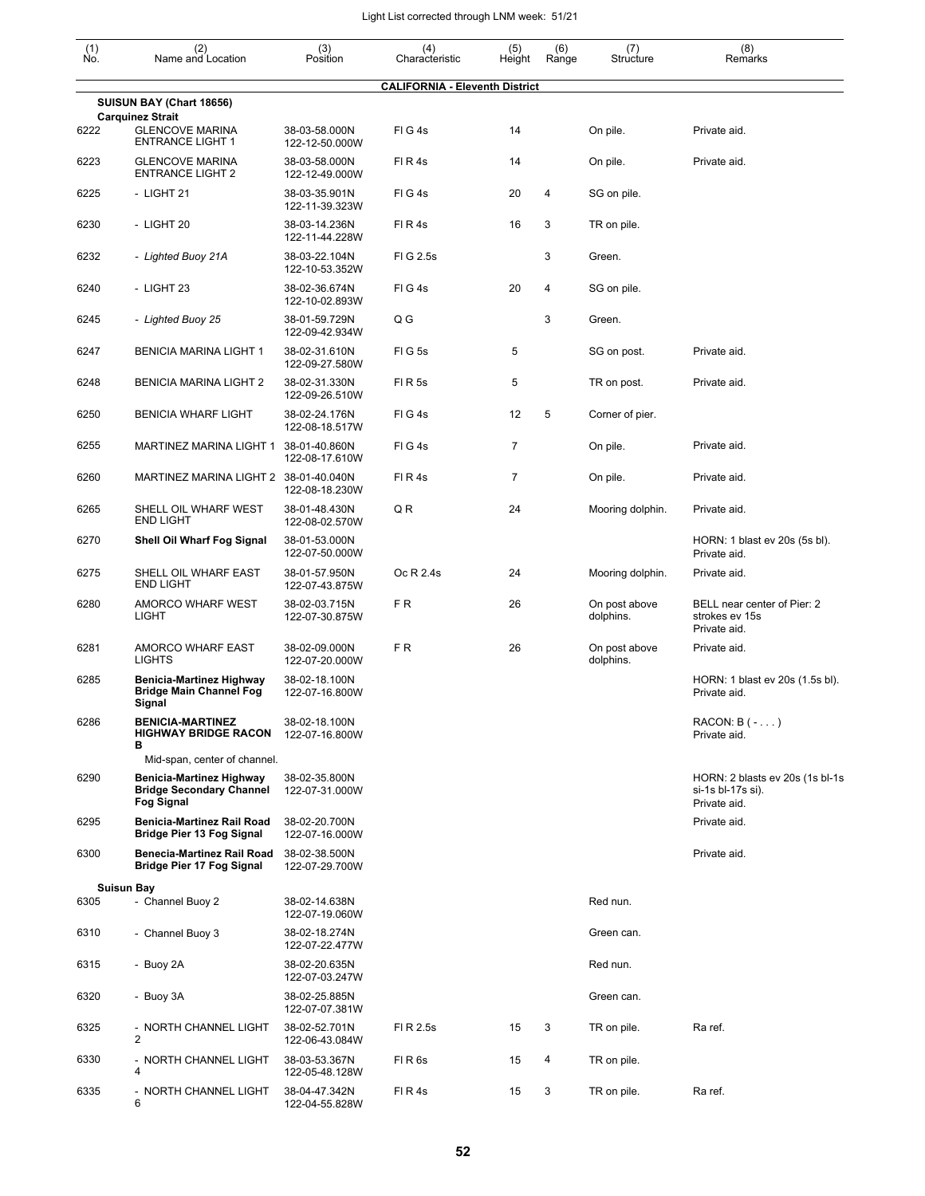| $\begin{smallmatrix} (1) \ N0. \end{smallmatrix}$ | (2)<br>Name and Location                                                                | (3)<br>Position                 | (4)<br>Characteristic                 | (5)<br>Height  | (6)<br>Range | (7)<br>Structure           | (8)<br>Remarks                                                       |
|---------------------------------------------------|-----------------------------------------------------------------------------------------|---------------------------------|---------------------------------------|----------------|--------------|----------------------------|----------------------------------------------------------------------|
|                                                   |                                                                                         |                                 | <b>CALIFORNIA - Eleventh District</b> |                |              |                            |                                                                      |
|                                                   | SUISUN BAY (Chart 18656)<br><b>Carquinez Strait</b>                                     |                                 |                                       |                |              |                            |                                                                      |
| 6222                                              | <b>GLENCOVE MARINA</b><br><b>ENTRANCE LIGHT 1</b>                                       | 38-03-58.000N<br>122-12-50.000W | FIG4s                                 | 14             |              | On pile.                   | Private aid.                                                         |
| 6223                                              | <b>GLENCOVE MARINA</b><br><b>ENTRANCE LIGHT 2</b>                                       | 38-03-58.000N<br>122-12-49.000W | FIR4s                                 | 14             |              | On pile.                   | Private aid.                                                         |
| 6225                                              | - LIGHT 21                                                                              | 38-03-35.901N<br>122-11-39.323W | FIG4s                                 | 20             | 4            | SG on pile.                |                                                                      |
| 6230                                              | - LIGHT 20                                                                              | 38-03-14.236N<br>122-11-44.228W | FIR4s                                 | 16             | 3            | TR on pile.                |                                                                      |
| 6232                                              | - Lighted Buoy 21A                                                                      | 38-03-22.104N<br>122-10-53.352W | FIG 2.5s                              |                | 3            | Green.                     |                                                                      |
| 6240                                              | - LIGHT 23                                                                              | 38-02-36.674N<br>122-10-02.893W | FIG4s                                 | 20             | 4            | SG on pile.                |                                                                      |
| 6245                                              | - Lighted Buoy 25                                                                       | 38-01-59.729N<br>122-09-42.934W | Q G                                   |                | 3            | Green.                     |                                                                      |
| 6247                                              | <b>BENICIA MARINA LIGHT 1</b>                                                           | 38-02-31.610N<br>122-09-27.580W | FIG5s                                 | 5              |              | SG on post.                | Private aid.                                                         |
| 6248                                              | <b>BENICIA MARINA LIGHT 2</b>                                                           | 38-02-31.330N<br>122-09-26.510W | <b>FIR5s</b>                          | 5              |              | TR on post.                | Private aid.                                                         |
| 6250                                              | <b>BENICIA WHARF LIGHT</b>                                                              | 38-02-24.176N<br>122-08-18.517W | FIG4s                                 | 12             | 5            | Corner of pier.            |                                                                      |
| 6255                                              | MARTINEZ MARINA LIGHT 1                                                                 | 38-01-40.860N<br>122-08-17.610W | FIG4s                                 | $\overline{7}$ |              | On pile.                   | Private aid.                                                         |
| 6260                                              | MARTINEZ MARINA LIGHT 2 38-01-40.040N                                                   | 122-08-18.230W                  | FIR4s                                 | $\overline{7}$ |              | On pile.                   | Private aid.                                                         |
| 6265                                              | SHELL OIL WHARF WEST<br><b>END LIGHT</b>                                                | 38-01-48.430N<br>122-08-02.570W | QR                                    | 24             |              | Mooring dolphin.           | Private aid.                                                         |
| 6270                                              | Shell Oil Wharf Fog Signal                                                              | 38-01-53.000N<br>122-07-50.000W |                                       |                |              |                            | HORN: 1 blast ev 20s (5s bl).<br>Private aid.                        |
| 6275                                              | SHELL OIL WHARF EAST<br><b>END LIGHT</b>                                                | 38-01-57.950N<br>122-07-43.875W | Oc R 2.4s                             | 24             |              | Mooring dolphin.           | Private aid.                                                         |
| 6280                                              | AMORCO WHARF WEST<br>LIGHT                                                              | 38-02-03.715N<br>122-07-30.875W | FR.                                   | 26             |              | On post above<br>dolphins. | BELL near center of Pier: 2<br>strokes ev 15s<br>Private aid.        |
| 6281                                              | AMORCO WHARF EAST<br><b>LIGHTS</b>                                                      | 38-02-09.000N<br>122-07-20.000W | FR.                                   | 26             |              | On post above<br>dolphins. | Private aid.                                                         |
| 6285                                              | <b>Benicia-Martinez Highway</b><br><b>Bridge Main Channel Fog</b><br>Signal             | 38-02-18.100N<br>122-07-16.800W |                                       |                |              |                            | HORN: 1 blast ev 20s (1.5s bl).<br>Private aid.                      |
| 6286                                              | <b>BENICIA-MARTINEZ</b><br><b>HIGHWAY BRIDGE RACON</b><br>в                             | 38-02-18.100N<br>122-07-16.800W |                                       |                |              |                            | $RACON: B(-)$<br>Private aid.                                        |
|                                                   | Mid-span, center of channel.                                                            |                                 |                                       |                |              |                            |                                                                      |
| 6290                                              | <b>Benicia-Martinez Highway</b><br><b>Bridge Secondary Channel</b><br><b>Fog Signal</b> | 38-02-35.800N<br>122-07-31.000W |                                       |                |              |                            | HORN: 2 blasts ev 20s (1s bl-1s<br>si-1s bl-17s si).<br>Private aid. |
| 6295                                              | Benicia-Martinez Rail Road<br><b>Bridge Pier 13 Fog Signal</b>                          | 38-02-20.700N<br>122-07-16.000W |                                       |                |              |                            | Private aid.                                                         |
| 6300                                              | <b>Benecia-Martinez Rail Road</b><br><b>Bridge Pier 17 Fog Signal</b>                   | 38-02-38.500N<br>122-07-29.700W |                                       |                |              |                            | Private aid.                                                         |
| 6305                                              | <b>Suisun Bay</b><br>- Channel Buoy 2                                                   | 38-02-14.638N<br>122-07-19.060W |                                       |                |              | Red nun.                   |                                                                      |
| 6310                                              | - Channel Buoy 3                                                                        | 38-02-18.274N<br>122-07-22.477W |                                       |                |              | Green can.                 |                                                                      |
| 6315                                              | - Buoy 2A                                                                               | 38-02-20.635N<br>122-07-03.247W |                                       |                |              | Red nun.                   |                                                                      |
| 6320                                              | - Buoy 3A                                                                               | 38-02-25.885N<br>122-07-07.381W |                                       |                |              | Green can.                 |                                                                      |
| 6325                                              | - NORTH CHANNEL LIGHT<br>$\overline{2}$                                                 | 38-02-52.701N<br>122-06-43.084W | FI R 2.5s                             | 15             | 3            | TR on pile.                | Ra ref.                                                              |
| 6330                                              | - NORTH CHANNEL LIGHT<br>4                                                              | 38-03-53.367N<br>122-05-48.128W | FIR <sub>6s</sub>                     | 15             | 4            | TR on pile.                |                                                                      |
| 6335                                              | - NORTH CHANNEL LIGHT<br>6                                                              | 38-04-47.342N<br>122-04-55.828W | FIR4s                                 | 15             | 3            | TR on pile.                | Ra ref.                                                              |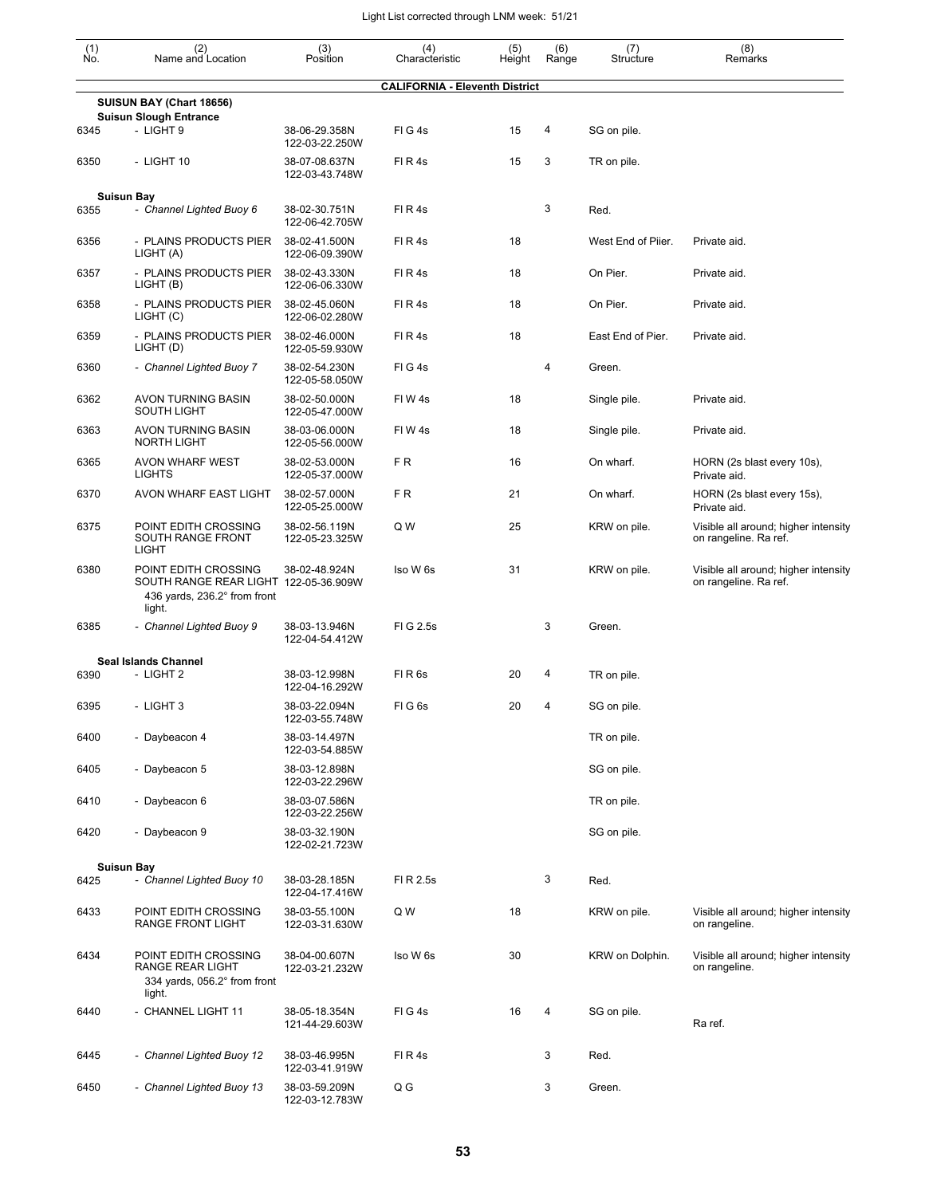| $\begin{smallmatrix} (1) \\ \mathsf{No} \end{smallmatrix}$ | (2)<br>Name and Location                                                                                | (3)<br>Position                 | (4)<br>Characteristic                 | (5)<br>Height | (6)<br>Range | (7)<br>Structure   | (8)<br>Remarks                                                |
|------------------------------------------------------------|---------------------------------------------------------------------------------------------------------|---------------------------------|---------------------------------------|---------------|--------------|--------------------|---------------------------------------------------------------|
|                                                            |                                                                                                         |                                 | <b>CALIFORNIA - Eleventh District</b> |               |              |                    |                                                               |
|                                                            | SUISUN BAY (Chart 18656)<br><b>Suisun Slough Entrance</b>                                               |                                 |                                       |               |              |                    |                                                               |
| 6345                                                       | - LIGHT 9                                                                                               | 38-06-29.358N<br>122-03-22.250W | FIG4s                                 | 15            | 4            | SG on pile.        |                                                               |
| 6350                                                       | - LIGHT 10                                                                                              | 38-07-08.637N<br>122-03-43.748W | FIR4s                                 | 15            | 3            | TR on pile.        |                                                               |
|                                                            | <b>Suisun Bay</b>                                                                                       |                                 |                                       |               |              |                    |                                                               |
| 6355                                                       | - Channel Lighted Buoy 6                                                                                | 38-02-30.751N<br>122-06-42.705W | FIR4s                                 |               | 3            | Red.               |                                                               |
| 6356                                                       | - PLAINS PRODUCTS PIER<br>LIGHT (A)                                                                     | 38-02-41.500N<br>122-06-09.390W | FIR4s                                 | 18            |              | West End of Piier. | Private aid.                                                  |
| 6357                                                       | - PLAINS PRODUCTS PIER<br>LIGHT (B)                                                                     | 38-02-43.330N<br>122-06-06.330W | FIR4s                                 | 18            |              | On Pier.           | Private aid.                                                  |
| 6358                                                       | - PLAINS PRODUCTS PIER<br>LIGHT (C)                                                                     | 38-02-45.060N<br>122-06-02.280W | FIR4s                                 | 18            |              | On Pier.           | Private aid.                                                  |
| 6359                                                       | - PLAINS PRODUCTS PIER<br>LIGHT (D)                                                                     | 38-02-46.000N<br>122-05-59.930W | FI R 4s                               | 18            |              | East End of Pier.  | Private aid.                                                  |
| 6360                                                       | - Channel Lighted Buoy 7                                                                                | 38-02-54.230N<br>122-05-58.050W | FIG4s                                 |               | 4            | Green.             |                                                               |
| 6362                                                       | <b>AVON TURNING BASIN</b><br>SOUTH LIGHT                                                                | 38-02-50.000N<br>122-05-47.000W | FIW4s                                 | 18            |              | Single pile.       | Private aid.                                                  |
| 6363                                                       | AVON TURNING BASIN<br><b>NORTH LIGHT</b>                                                                | 38-03-06.000N<br>122-05-56.000W | FIW4s                                 | 18            |              | Single pile.       | Private aid.                                                  |
| 6365                                                       | AVON WHARF WEST<br><b>LIGHTS</b>                                                                        | 38-02-53.000N<br>122-05-37.000W | FR.                                   | 16            |              | On wharf.          | HORN (2s blast every 10s),<br>Private aid.                    |
| 6370                                                       | AVON WHARF EAST LIGHT                                                                                   | 38-02-57.000N<br>122-05-25.000W | FR.                                   | 21            |              | On wharf.          | HORN (2s blast every 15s),<br>Private aid.                    |
| 6375                                                       | POINT EDITH CROSSING<br>SOUTH RANGE FRONT<br><b>LIGHT</b>                                               | 38-02-56.119N<br>122-05-23.325W | Q W                                   | 25            |              | KRW on pile.       | Visible all around; higher intensity<br>on rangeline. Ra ref. |
| 6380                                                       | POINT EDITH CROSSING<br>SOUTH RANGE REAR LIGHT 122-05-36.909W<br>436 yards, 236.2° from front<br>light. | 38-02-48.924N                   | Iso W 6s                              | 31            |              | KRW on pile.       | Visible all around; higher intensity<br>on rangeline. Ra ref. |
| 6385                                                       | - Channel Lighted Buoy 9                                                                                | 38-03-13.946N<br>122-04-54.412W | FIG 2.5s                              |               | 3            | Green.             |                                                               |
|                                                            | Seal Islands Channel                                                                                    |                                 |                                       |               |              |                    |                                                               |
| 6390                                                       | - LIGHT 2                                                                                               | 38-03-12.998N<br>122-04-16.292W | FIR <sub>6s</sub>                     | 20            | 4            | TR on pile.        |                                                               |
| 6395                                                       | - LIGHT 3                                                                                               | 38-03-22.094N<br>122-03-55.748W | FIG <sub>6s</sub>                     | 20            | 4            | SG on pile.        |                                                               |
| 6400                                                       | - Daybeacon 4                                                                                           | 38-03-14.497N<br>122-03-54.885W |                                       |               |              | TR on pile.        |                                                               |
| 6405                                                       | - Daybeacon 5                                                                                           | 38-03-12.898N<br>122-03-22.296W |                                       |               |              | SG on pile.        |                                                               |
| 6410                                                       | - Daybeacon 6                                                                                           | 38-03-07.586N<br>122-03-22.256W |                                       |               |              | TR on pile.        |                                                               |
| 6420                                                       | - Daybeacon 9                                                                                           | 38-03-32.190N<br>122-02-21.723W |                                       |               |              | SG on pile.        |                                                               |
|                                                            | <b>Suisun Bay</b>                                                                                       |                                 |                                       |               |              |                    |                                                               |
| 6425                                                       | - Channel Lighted Buoy 10                                                                               | 38-03-28.185N<br>122-04-17.416W | FI R 2.5s                             |               | 3            | Red.               |                                                               |
| 6433                                                       | POINT EDITH CROSSING<br>RANGE FRONT LIGHT                                                               | 38-03-55.100N<br>122-03-31.630W | Q W                                   | 18            |              | KRW on pile.       | Visible all around; higher intensity<br>on rangeline.         |
| 6434                                                       | POINT EDITH CROSSING<br>RANGE REAR LIGHT<br>334 yards, 056.2° from front<br>light.                      | 38-04-00.607N<br>122-03-21.232W | Iso W 6s                              | 30            |              | KRW on Dolphin.    | Visible all around; higher intensity<br>on rangeline.         |
| 6440                                                       | - CHANNEL LIGHT 11                                                                                      | 38-05-18.354N<br>121-44-29.603W | FIG4s                                 | 16            | 4            | SG on pile.        | Ra ref.                                                       |
| 6445                                                       | - Channel Lighted Buoy 12                                                                               | 38-03-46.995N<br>122-03-41.919W | FIR4s                                 |               | 3            | Red.               |                                                               |
| 6450                                                       | - Channel Lighted Buoy 13                                                                               | 38-03-59.209N<br>122-03-12.783W | Q G                                   |               | 3            | Green.             |                                                               |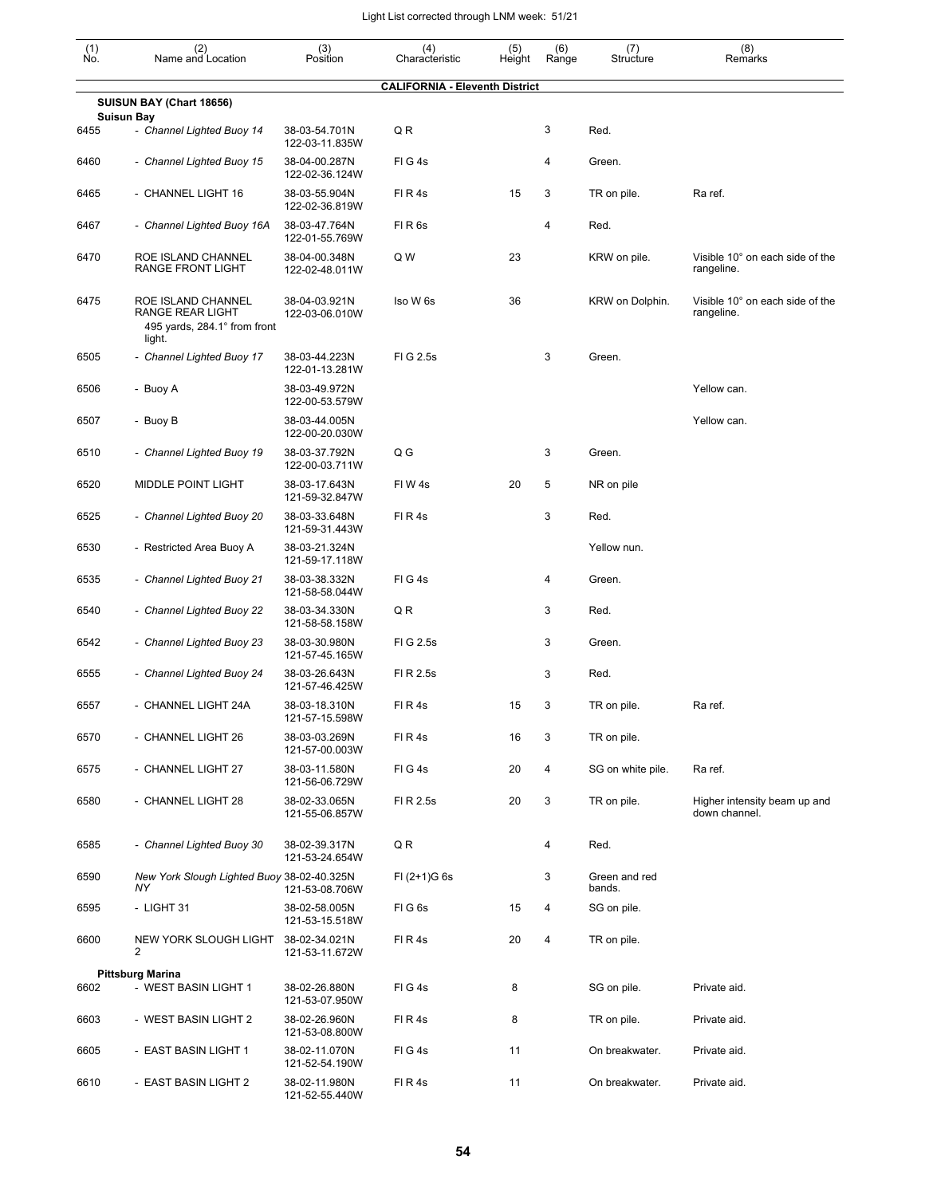| $\begin{smallmatrix} (1) \\ \mathsf{No} \end{smallmatrix}$ | (2)<br>Name and Location                                                         | (3)<br>Position                 | (4)<br>Characteristic                 | (5)<br>Height | (6)<br>Range | (7)<br>Structure        | (8)<br>Remarks                                |
|------------------------------------------------------------|----------------------------------------------------------------------------------|---------------------------------|---------------------------------------|---------------|--------------|-------------------------|-----------------------------------------------|
|                                                            |                                                                                  |                                 | <b>CALIFORNIA - Eleventh District</b> |               |              |                         |                                               |
|                                                            | SUISUN BAY (Chart 18656)                                                         |                                 |                                       |               |              |                         |                                               |
| 6455                                                       | <b>Suisun Bay</b><br>- Channel Lighted Buoy 14                                   | 38-03-54.701N<br>122-03-11.835W | QR                                    |               | 3            | Red.                    |                                               |
| 6460                                                       | - Channel Lighted Buoy 15                                                        | 38-04-00.287N<br>122-02-36.124W | FIG4s                                 |               | 4            | Green.                  |                                               |
| 6465                                                       | - CHANNEL LIGHT 16                                                               | 38-03-55.904N<br>122-02-36.819W | FIR4s                                 | 15            | 3            | TR on pile.             | Ra ref.                                       |
| 6467                                                       | - Channel Lighted Buoy 16A                                                       | 38-03-47.764N<br>122-01-55.769W | FIR <sub>6s</sub>                     |               | 4            | Red.                    |                                               |
| 6470                                                       | ROE ISLAND CHANNEL<br>RANGE FRONT LIGHT                                          | 38-04-00.348N<br>122-02-48.011W | Q W                                   | 23            |              | KRW on pile.            | Visible 10° on each side of the<br>rangeline. |
| 6475                                                       | ROE ISLAND CHANNEL<br>RANGE REAR LIGHT<br>495 yards, 284.1° from front<br>light. | 38-04-03.921N<br>122-03-06.010W | Iso W 6s                              | 36            |              | KRW on Dolphin.         | Visible 10° on each side of the<br>rangeline. |
| 6505                                                       | - Channel Lighted Buoy 17                                                        | 38-03-44.223N<br>122-01-13.281W | FIG 2.5s                              |               | 3            | Green.                  |                                               |
| 6506                                                       | - Buoy A                                                                         | 38-03-49.972N<br>122-00-53.579W |                                       |               |              |                         | Yellow can.                                   |
| 6507                                                       | - Buoy B                                                                         | 38-03-44.005N<br>122-00-20.030W |                                       |               |              |                         | Yellow can.                                   |
| 6510                                                       | - Channel Lighted Buoy 19                                                        | 38-03-37.792N<br>122-00-03.711W | Q G                                   |               | 3            | Green.                  |                                               |
| 6520                                                       | MIDDLE POINT LIGHT                                                               | 38-03-17.643N<br>121-59-32.847W | FIW4s                                 | 20            | 5            | NR on pile              |                                               |
| 6525                                                       | - Channel Lighted Buoy 20                                                        | 38-03-33.648N<br>121-59-31.443W | FIR4s                                 |               | 3            | Red.                    |                                               |
| 6530                                                       | - Restricted Area Buoy A                                                         | 38-03-21.324N<br>121-59-17.118W |                                       |               |              | Yellow nun.             |                                               |
| 6535                                                       | - Channel Lighted Buoy 21                                                        | 38-03-38.332N<br>121-58-58.044W | FIG4s                                 |               | 4            | Green.                  |                                               |
| 6540                                                       | - Channel Lighted Buoy 22                                                        | 38-03-34.330N<br>121-58-58.158W | QR                                    |               | 3            | Red.                    |                                               |
| 6542                                                       | - Channel Lighted Buoy 23                                                        | 38-03-30.980N<br>121-57-45.165W | FIG 2.5s                              |               | 3            | Green.                  |                                               |
| 6555                                                       | - Channel Lighted Buoy 24                                                        | 38-03-26.643N<br>121-57-46.425W | FI R 2.5s                             |               | 3            | Red.                    |                                               |
| 6557                                                       | - CHANNEL LIGHT 24A                                                              | 38-03-18.310N<br>121-57-15.598W | FIR4s                                 | 15            | 3            | TR on pile.             | Ra ref.                                       |
| 6570                                                       | - CHANNEL LIGHT 26                                                               | 38-03-03.269N<br>121-57-00.003W | FIR4s                                 | 16            | 3            | TR on pile.             |                                               |
| 6575                                                       | - CHANNEL LIGHT 27                                                               | 38-03-11.580N<br>121-56-06.729W | FIG4s                                 | 20            | 4            | SG on white pile.       | Ra ref.                                       |
| 6580                                                       | - CHANNEL LIGHT 28                                                               | 38-02-33.065N<br>121-55-06.857W | FI R 2.5s                             | 20            | 3            | TR on pile.             | Higher intensity beam up and<br>down channel. |
| 6585                                                       | - Channel Lighted Buoy 30                                                        | 38-02-39.317N<br>121-53-24.654W | QR                                    |               | 4            | Red.                    |                                               |
| 6590                                                       | New York Slough Lighted Buoy 38-02-40.325N<br><b>NY</b>                          | 121-53-08.706W                  | $FI (2+1)G 6s$                        |               | 3            | Green and red<br>bands. |                                               |
| 6595                                                       | - LIGHT 31                                                                       | 38-02-58.005N<br>121-53-15.518W | FIG6s                                 | 15            | 4            | SG on pile.             |                                               |
| 6600                                                       | NEW YORK SLOUGH LIGHT<br>2                                                       | 38-02-34.021N<br>121-53-11.672W | FIR4s                                 | 20            | 4            | TR on pile.             |                                               |
| 6602                                                       | <b>Pittsburg Marina</b><br>- WEST BASIN LIGHT 1                                  | 38-02-26.880N<br>121-53-07.950W | FIG4s                                 | 8             |              | SG on pile.             | Private aid.                                  |
| 6603                                                       | - WEST BASIN LIGHT 2                                                             | 38-02-26.960N<br>121-53-08.800W | FIR4s                                 | 8             |              | TR on pile.             | Private aid.                                  |
| 6605                                                       | - EAST BASIN LIGHT 1                                                             | 38-02-11.070N<br>121-52-54.190W | FIG4s                                 | 11            |              | On breakwater.          | Private aid.                                  |
| 6610                                                       | - EAST BASIN LIGHT 2                                                             | 38-02-11.980N<br>121-52-55.440W | FIR4s                                 | 11            |              | On breakwater.          | Private aid.                                  |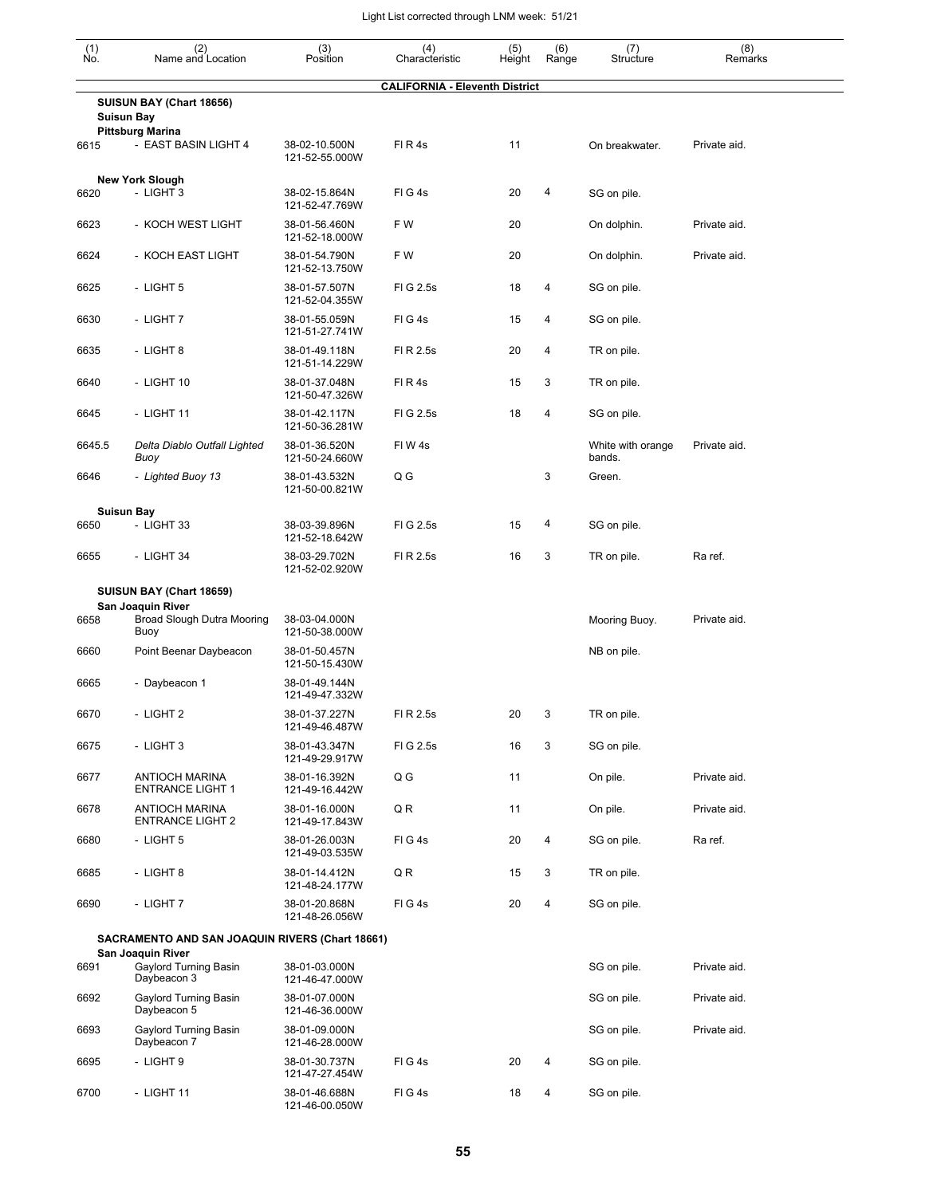| (1)<br>No. | (2)<br>Name and Location                                  | (3)<br>Position                 | (4)<br>Characteristic                 | (5)<br>Height | (6)<br>Range | (7)<br>Structure            | (8)<br>Remarks |
|------------|-----------------------------------------------------------|---------------------------------|---------------------------------------|---------------|--------------|-----------------------------|----------------|
|            |                                                           |                                 | <b>CALIFORNIA - Eleventh District</b> |               |              |                             |                |
|            | SUISUN BAY (Chart 18656)<br><b>Suisun Bay</b>             |                                 |                                       |               |              |                             |                |
| 6615       | <b>Pittsburg Marina</b><br>- EAST BASIN LIGHT 4           | 38-02-10.500N<br>121-52-55.000W | FIR4s                                 | 11            |              | On breakwater.              | Private aid.   |
| 6620       | <b>New York Slough</b><br>- LIGHT 3                       | 38-02-15.864N<br>121-52-47.769W | FIG4s                                 | 20            | 4            | SG on pile.                 |                |
| 6623       | - KOCH WEST LIGHT                                         | 38-01-56.460N<br>121-52-18.000W | F W                                   | 20            |              | On dolphin.                 | Private aid.   |
| 6624       | - KOCH EAST LIGHT                                         | 38-01-54.790N<br>121-52-13.750W | F W                                   | 20            |              | On dolphin.                 | Private aid.   |
| 6625       | - LIGHT 5                                                 | 38-01-57.507N<br>121-52-04.355W | FIG 2.5s                              | 18            | 4            | SG on pile.                 |                |
| 6630       | - LIGHT 7                                                 | 38-01-55.059N<br>121-51-27.741W | FIG4s                                 | 15            | 4            | SG on pile.                 |                |
| 6635       | - LIGHT 8                                                 | 38-01-49.118N<br>121-51-14.229W | FI R 2.5s                             | 20            | 4            | TR on pile.                 |                |
| 6640       | - LIGHT 10                                                | 38-01-37.048N<br>121-50-47.326W | FIR4s                                 | 15            | 3            | TR on pile.                 |                |
| 6645       | - LIGHT 11                                                | 38-01-42.117N<br>121-50-36.281W | FIG 2.5s                              | 18            | 4            | SG on pile.                 |                |
| 6645.5     | Delta Diablo Outfall Lighted<br>Buoy                      | 38-01-36.520N<br>121-50-24.660W | FIW4s                                 |               |              | White with orange<br>bands. | Private aid.   |
| 6646       | - Lighted Buoy 13                                         | 38-01-43.532N<br>121-50-00.821W | Q G                                   |               | 3            | Green.                      |                |
|            | <b>Suisun Bay</b>                                         |                                 |                                       |               |              |                             |                |
| 6650       | - LIGHT 33                                                | 38-03-39.896N<br>121-52-18.642W | FIG 2.5s                              | 15            | 4            | SG on pile.                 |                |
| 6655       | - LIGHT 34                                                | 38-03-29.702N<br>121-52-02.920W | FI R 2.5s                             | 16            | 3            | TR on pile.                 | Ra ref.        |
|            | SUISUN BAY (Chart 18659)                                  |                                 |                                       |               |              |                             |                |
| 6658       | San Joaquin River<br>Broad Slough Dutra Mooring<br>Buoy   | 38-03-04.000N<br>121-50-38.000W |                                       |               |              | Mooring Buoy.               | Private aid.   |
| 6660       | Point Beenar Daybeacon                                    | 38-01-50.457N<br>121-50-15.430W |                                       |               |              | NB on pile.                 |                |
| 6665       | - Daybeacon 1                                             | 38-01-49.144N<br>121-49-47.332W |                                       |               |              |                             |                |
| 6670       | - LIGHT 2                                                 | 38-01-37.227N<br>121-49-46.487W | FI R 2.5s                             | 20            | 3            | TR on pile.                 |                |
| 6675       | - LIGHT 3                                                 | 38-01-43.347N<br>121-49-29.917W | FIG 2.5s                              | 16            | 3            | SG on pile.                 |                |
| 6677       | <b>ANTIOCH MARINA</b><br><b>ENTRANCE LIGHT 1</b>          | 38-01-16.392N<br>121-49-16.442W | Q G                                   | 11            |              | On pile.                    | Private aid.   |
| 6678       | <b>ANTIOCH MARINA</b><br><b>ENTRANCE LIGHT 2</b>          | 38-01-16.000N<br>121-49-17.843W | Q R                                   | 11            |              | On pile.                    | Private aid.   |
| 6680       | - LIGHT 5                                                 | 38-01-26.003N<br>121-49-03.535W | FIG4s                                 | 20            | 4            | SG on pile.                 | Ra ref.        |
| 6685       | - LIGHT 8                                                 | 38-01-14.412N<br>121-48-24.177W | Q R                                   | 15            | 3            | TR on pile.                 |                |
| 6690       | - LIGHT 7                                                 | 38-01-20.868N<br>121-48-26.056W | FIG4s                                 | 20            | 4            | SG on pile.                 |                |
|            | SACRAMENTO AND SAN JOAQUIN RIVERS (Chart 18661)           |                                 |                                       |               |              |                             |                |
| 6691       | San Joaquin River<br>Gaylord Turning Basin<br>Daybeacon 3 | 38-01-03.000N<br>121-46-47.000W |                                       |               |              | SG on pile.                 | Private aid.   |
| 6692       | <b>Gaylord Turning Basin</b><br>Daybeacon 5               | 38-01-07.000N<br>121-46-36.000W |                                       |               |              | SG on pile.                 | Private aid.   |
| 6693       | Gaylord Turning Basin<br>Daybeacon 7                      | 38-01-09.000N<br>121-46-28.000W |                                       |               |              | SG on pile.                 | Private aid.   |
| 6695       | - LIGHT 9                                                 | 38-01-30.737N<br>121-47-27.454W | FIG4s                                 | 20            | 4            | SG on pile.                 |                |
| 6700       | - LIGHT 11                                                | 38-01-46.688N<br>121-46-00.050W | FIG4s                                 | 18            | 4            | SG on pile.                 |                |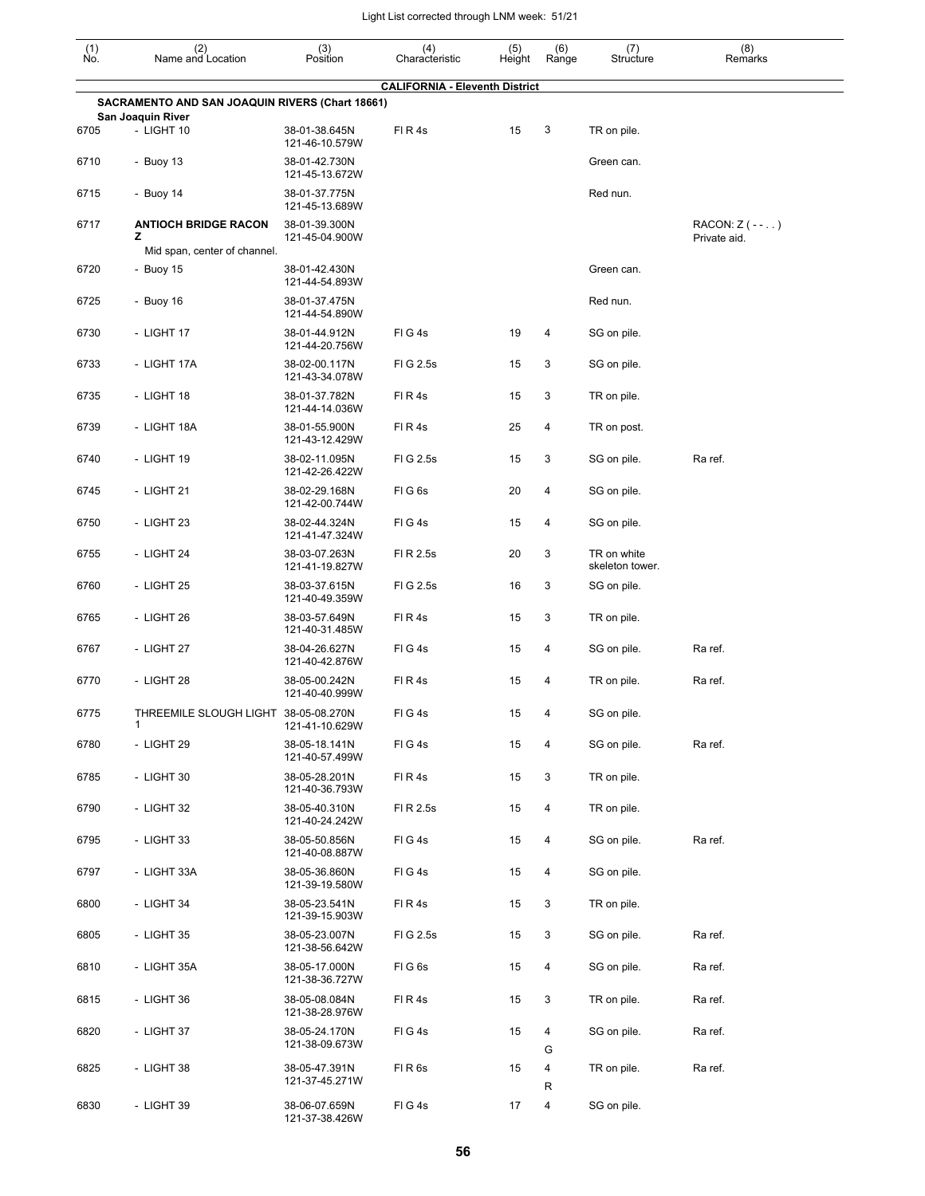| $\begin{smallmatrix} (1) \\ \mathsf{No} \end{smallmatrix}$ | (2)<br>Name and Location                               | (3)<br>Position                 | (4)<br>Characteristic                 | (5)<br>Height | (6)<br>Range   | (7)<br>Structure               | (8)<br>Remarks                     |
|------------------------------------------------------------|--------------------------------------------------------|---------------------------------|---------------------------------------|---------------|----------------|--------------------------------|------------------------------------|
|                                                            |                                                        |                                 | <b>CALIFORNIA - Eleventh District</b> |               |                |                                |                                    |
|                                                            | <b>SACRAMENTO AND SAN JOAQUIN RIVERS (Chart 18661)</b> |                                 |                                       |               |                |                                |                                    |
| 6705                                                       | San Joaquin River<br>- LIGHT 10                        | 38-01-38.645N<br>121-46-10.579W | FIR4s                                 | 15            | 3              | TR on pile.                    |                                    |
| 6710                                                       | - Buoy 13                                              | 38-01-42.730N<br>121-45-13.672W |                                       |               |                | Green can.                     |                                    |
| 6715                                                       | - Buoy 14                                              | 38-01-37.775N<br>121-45-13.689W |                                       |               |                | Red nun.                       |                                    |
| 6717                                                       | <b>ANTIOCH BRIDGE RACON</b><br>z                       | 38-01-39.300N<br>121-45-04.900W |                                       |               |                |                                | RACON: $Z$ ( - - )<br>Private aid. |
|                                                            | Mid span, center of channel.                           |                                 |                                       |               |                |                                |                                    |
| 6720                                                       | - Buoy 15                                              | 38-01-42.430N<br>121-44-54.893W |                                       |               |                | Green can.                     |                                    |
| 6725                                                       | - Buoy 16                                              | 38-01-37.475N<br>121-44-54.890W |                                       |               |                | Red nun.                       |                                    |
| 6730                                                       | - LIGHT 17                                             | 38-01-44.912N<br>121-44-20.756W | FIG4s                                 | 19            | 4              | SG on pile.                    |                                    |
| 6733                                                       | - LIGHT 17A                                            | 38-02-00.117N<br>121-43-34.078W | FIG 2.5s                              | 15            | 3              | SG on pile.                    |                                    |
| 6735                                                       | - LIGHT 18                                             | 38-01-37.782N<br>121-44-14.036W | FIR4s                                 | 15            | 3              | TR on pile.                    |                                    |
| 6739                                                       | - LIGHT 18A                                            | 38-01-55.900N<br>121-43-12.429W | FIR4s                                 | 25            | 4              | TR on post.                    |                                    |
| 6740                                                       | - LIGHT 19                                             | 38-02-11.095N<br>121-42-26.422W | FIG 2.5s                              | 15            | 3              | SG on pile.                    | Ra ref.                            |
| 6745                                                       | - LIGHT 21                                             | 38-02-29.168N<br>121-42-00.744W | FIG6s                                 | 20            | 4              | SG on pile.                    |                                    |
| 6750                                                       | - LIGHT 23                                             | 38-02-44.324N<br>121-41-47.324W | FIG4s                                 | 15            | 4              | SG on pile.                    |                                    |
| 6755                                                       | - LIGHT 24                                             | 38-03-07.263N<br>121-41-19.827W | FI R 2.5s                             | 20            | 3              | TR on white<br>skeleton tower. |                                    |
| 6760                                                       | - LIGHT 25                                             | 38-03-37.615N<br>121-40-49.359W | FIG 2.5s                              | 16            | 3              | SG on pile.                    |                                    |
| 6765                                                       | - LIGHT 26                                             | 38-03-57.649N<br>121-40-31.485W | FIR4s                                 | 15            | 3              | TR on pile.                    |                                    |
| 6767                                                       | - LIGHT 27                                             | 38-04-26.627N<br>121-40-42.876W | FIG4s                                 | 15            | 4              | SG on pile.                    | Ra ref.                            |
| 6770                                                       | - LIGHT 28                                             | 38-05-00.242N<br>121-40-40.999W | FIR4s                                 | 15            | 4              | TR on pile.                    | Ra ref.                            |
| 6775                                                       | THREEMILE SLOUGH LIGHT 38-05-08.270N<br>1              | 121-41-10.629W                  | FIG4s                                 | 15            | 4              | SG on pile.                    |                                    |
| 6780                                                       | - LIGHT 29                                             | 38-05-18.141N<br>121-40-57.499W | FIG4s                                 | 15            | $\overline{4}$ | SG on pile.                    | Ra ref.                            |
| 6785                                                       | - LIGHT 30                                             | 38-05-28.201N<br>121-40-36.793W | FIR4s                                 | 15            | 3              | TR on pile.                    |                                    |
| 6790                                                       | - LIGHT 32                                             | 38-05-40.310N<br>121-40-24.242W | FI R 2.5s                             | 15            | 4              | TR on pile.                    |                                    |
| 6795                                                       | - LIGHT 33                                             | 38-05-50.856N<br>121-40-08.887W | FIG4s                                 | 15            | 4              | SG on pile.                    | Ra ref.                            |
| 6797                                                       | - LIGHT 33A                                            | 38-05-36.860N<br>121-39-19.580W | FIG4s                                 | 15            | 4              | SG on pile.                    |                                    |
| 6800                                                       | - LIGHT 34                                             | 38-05-23.541N<br>121-39-15.903W | FIR4s                                 | 15            | 3              | TR on pile.                    |                                    |
| 6805                                                       | - LIGHT 35                                             | 38-05-23.007N<br>121-38-56.642W | FIG 2.5s                              | 15            | 3              | SG on pile.                    | Ra ref.                            |
| 6810                                                       | - LIGHT 35A                                            | 38-05-17.000N<br>121-38-36.727W | FIG6s                                 | 15            | 4              | SG on pile.                    | Ra ref.                            |
| 6815                                                       | - LIGHT 36                                             | 38-05-08.084N<br>121-38-28.976W | FIR4s                                 | 15            | 3              | TR on pile.                    | Ra ref.                            |
| 6820                                                       | - LIGHT 37                                             | 38-05-24.170N<br>121-38-09.673W | FIG4s                                 | 15            | 4<br>G         | SG on pile.                    | Ra ref.                            |
| 6825                                                       | - LIGHT 38                                             | 38-05-47.391N<br>121-37-45.271W | FIR6s                                 | 15            | 4              | TR on pile.                    | Ra ref.                            |
| 6830                                                       | - LIGHT 39                                             | 38-06-07.659N<br>121-37-38.426W | FIG4s                                 | 17            | R<br>4         | SG on pile.                    |                                    |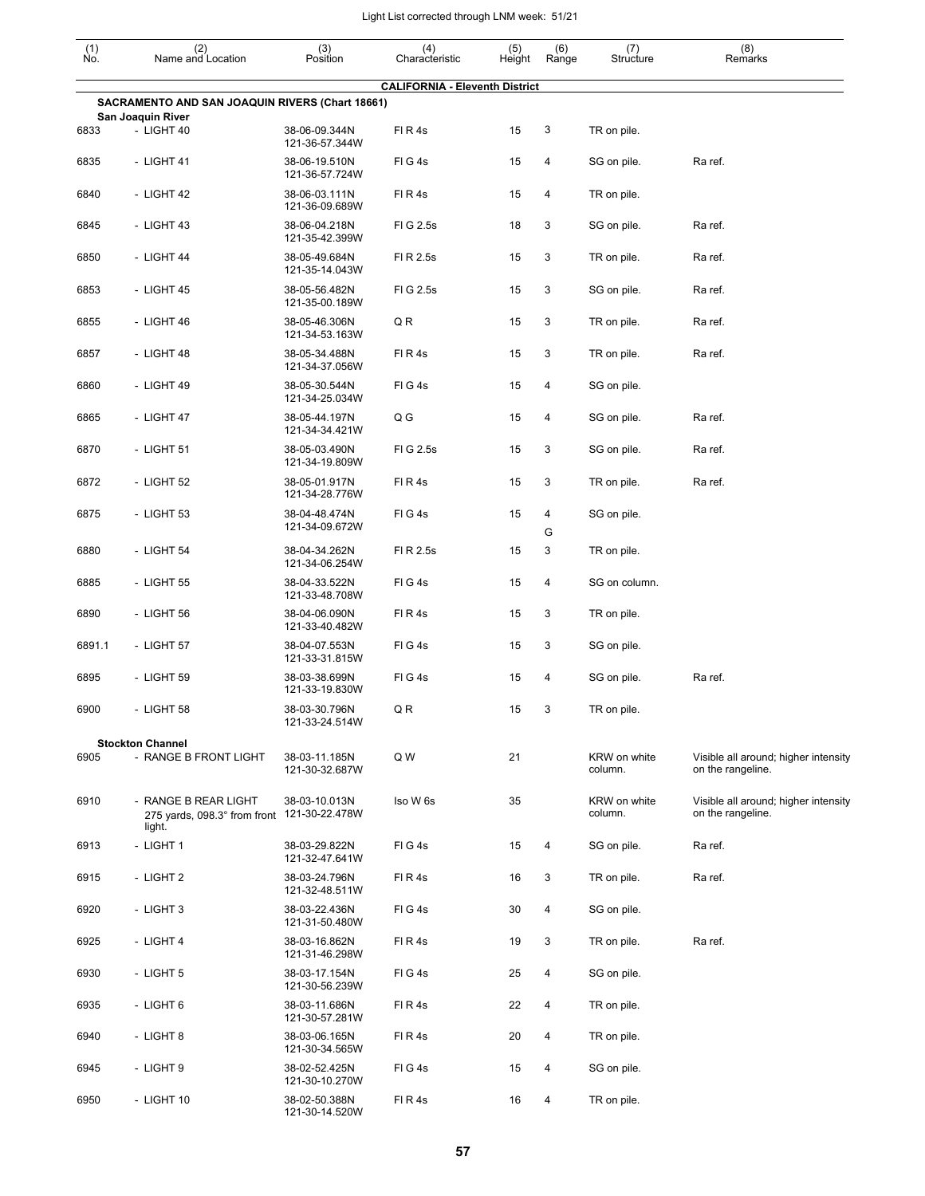| $\begin{smallmatrix} (1) \\ \mathsf{No}. \end{smallmatrix}$ | (2)<br>Name and Location                                                      | (3)<br>Position                 | (4)<br>Characteristic                 | (5)<br>Height | (6)<br>Range | (7)<br>Structure        | (8)<br>Remarks                                            |
|-------------------------------------------------------------|-------------------------------------------------------------------------------|---------------------------------|---------------------------------------|---------------|--------------|-------------------------|-----------------------------------------------------------|
|                                                             |                                                                               |                                 | <b>CALIFORNIA - Eleventh District</b> |               |              |                         |                                                           |
|                                                             | SACRAMENTO AND SAN JOAQUIN RIVERS (Chart 18661)<br>San Joaquin River          |                                 |                                       |               |              |                         |                                                           |
| 6833                                                        | - LIGHT 40                                                                    | 38-06-09.344N<br>121-36-57.344W | FIR4s                                 | 15            | 3            | TR on pile.             |                                                           |
| 6835                                                        | $-$ LIGHT 41                                                                  | 38-06-19.510N<br>121-36-57.724W | FIG4s                                 | 15            | 4            | SG on pile.             | Ra ref.                                                   |
| 6840                                                        | - LIGHT 42                                                                    | 38-06-03.111N<br>121-36-09.689W | FIR4s                                 | 15            | 4            | TR on pile.             |                                                           |
| 6845                                                        | $-$ LIGHT 43                                                                  | 38-06-04.218N<br>121-35-42.399W | FIG 2.5s                              | 18            | 3            | SG on pile.             | Ra ref.                                                   |
| 6850                                                        | - LIGHT 44                                                                    | 38-05-49.684N<br>121-35-14.043W | FI R 2.5s                             | 15            | 3            | TR on pile.             | Ra ref.                                                   |
| 6853                                                        | - LIGHT 45                                                                    | 38-05-56.482N<br>121-35-00.189W | FIG 2.5s                              | 15            | 3            | SG on pile.             | Ra ref.                                                   |
| 6855                                                        | - LIGHT 46                                                                    | 38-05-46.306N<br>121-34-53.163W | Q R                                   | 15            | 3            | TR on pile.             | Ra ref.                                                   |
| 6857                                                        | - LIGHT 48                                                                    | 38-05-34.488N<br>121-34-37.056W | FIR4s                                 | 15            | 3            | TR on pile.             | Ra ref.                                                   |
| 6860                                                        | - LIGHT 49                                                                    | 38-05-30.544N<br>121-34-25.034W | FIG4s                                 | 15            | 4            | SG on pile.             |                                                           |
| 6865                                                        | - LIGHT 47                                                                    | 38-05-44.197N<br>121-34-34.421W | Q G                                   | 15            | 4            | SG on pile.             | Ra ref.                                                   |
| 6870                                                        | - LIGHT 51                                                                    | 38-05-03.490N<br>121-34-19.809W | FIG 2.5s                              | 15            | 3            | SG on pile.             | Ra ref.                                                   |
| 6872                                                        | - LIGHT 52                                                                    | 38-05-01.917N<br>121-34-28.776W | FIR4s                                 | 15            | 3            | TR on pile.             | Ra ref.                                                   |
| 6875                                                        | - LIGHT 53                                                                    | 38-04-48.474N<br>121-34-09.672W | FIG4s                                 | 15            | 4<br>G       | SG on pile.             |                                                           |
| 6880                                                        | - LIGHT 54                                                                    | 38-04-34.262N<br>121-34-06.254W | FI R 2.5s                             | 15            | 3            | TR on pile.             |                                                           |
| 6885                                                        | - LIGHT 55                                                                    | 38-04-33.522N<br>121-33-48.708W | FIG4s                                 | 15            | 4            | SG on column.           |                                                           |
| 6890                                                        | - LIGHT 56                                                                    | 38-04-06.090N<br>121-33-40.482W | FIR4s                                 | 15            | 3            | TR on pile.             |                                                           |
| 6891.1                                                      | - LIGHT 57                                                                    | 38-04-07.553N<br>121-33-31.815W | FIG4s                                 | 15            | 3            | SG on pile.             |                                                           |
| 6895                                                        | - LIGHT 59                                                                    | 38-03-38.699N<br>121-33-19.830W | FIG4s                                 | 15            | 4            | SG on pile.             | Ra ref.                                                   |
| 6900                                                        | - LIGHT 58                                                                    | 38-03-30.796N<br>121-33-24.514W | Q R                                   | 15            | 3            | TR on pile.             |                                                           |
|                                                             | <b>Stockton Channel</b>                                                       |                                 |                                       |               |              |                         |                                                           |
| 6905                                                        | - RANGE B FRONT LIGHT                                                         | 38-03-11.185N<br>121-30-32.687W | Q W                                   | 21            |              | KRW on white<br>column. | Visible all around; higher intensity<br>on the rangeline. |
| 6910                                                        | - RANGE B REAR LIGHT<br>275 yards, 098.3° from front 121-30-22.478W<br>light. | 38-03-10.013N                   | Iso W 6s                              | 35            |              | KRW on white<br>column. | Visible all around; higher intensity<br>on the rangeline. |
| 6913                                                        | - LIGHT 1                                                                     | 38-03-29.822N<br>121-32-47.641W | FIG4s                                 | 15            | 4            | SG on pile.             | Ra ref.                                                   |
| 6915                                                        | - LIGHT 2                                                                     | 38-03-24.796N<br>121-32-48.511W | FIR4s                                 | 16            | 3            | TR on pile.             | Ra ref.                                                   |
| 6920                                                        | - LIGHT 3                                                                     | 38-03-22.436N<br>121-31-50.480W | FIG4s                                 | 30            | 4            | SG on pile.             |                                                           |
| 6925                                                        | - LIGHT 4                                                                     | 38-03-16.862N<br>121-31-46.298W | FIR4s                                 | 19            | 3            | TR on pile.             | Ra ref.                                                   |
| 6930                                                        | - LIGHT 5                                                                     | 38-03-17.154N<br>121-30-56.239W | FIG4s                                 | 25            | 4            | SG on pile.             |                                                           |
| 6935                                                        | - LIGHT 6                                                                     | 38-03-11.686N<br>121-30-57.281W | FIR4s                                 | 22            | 4            | TR on pile.             |                                                           |
| 6940                                                        | - LIGHT 8                                                                     | 38-03-06.165N<br>121-30-34.565W | FIR4s                                 | 20            | 4            | TR on pile.             |                                                           |
| 6945                                                        | - LIGHT 9                                                                     | 38-02-52.425N<br>121-30-10.270W | FIG4s                                 | 15            | 4            | SG on pile.             |                                                           |
| 6950                                                        | - LIGHT 10                                                                    | 38-02-50.388N<br>121-30-14.520W | FIR4s                                 | 16            | 4            | TR on pile.             |                                                           |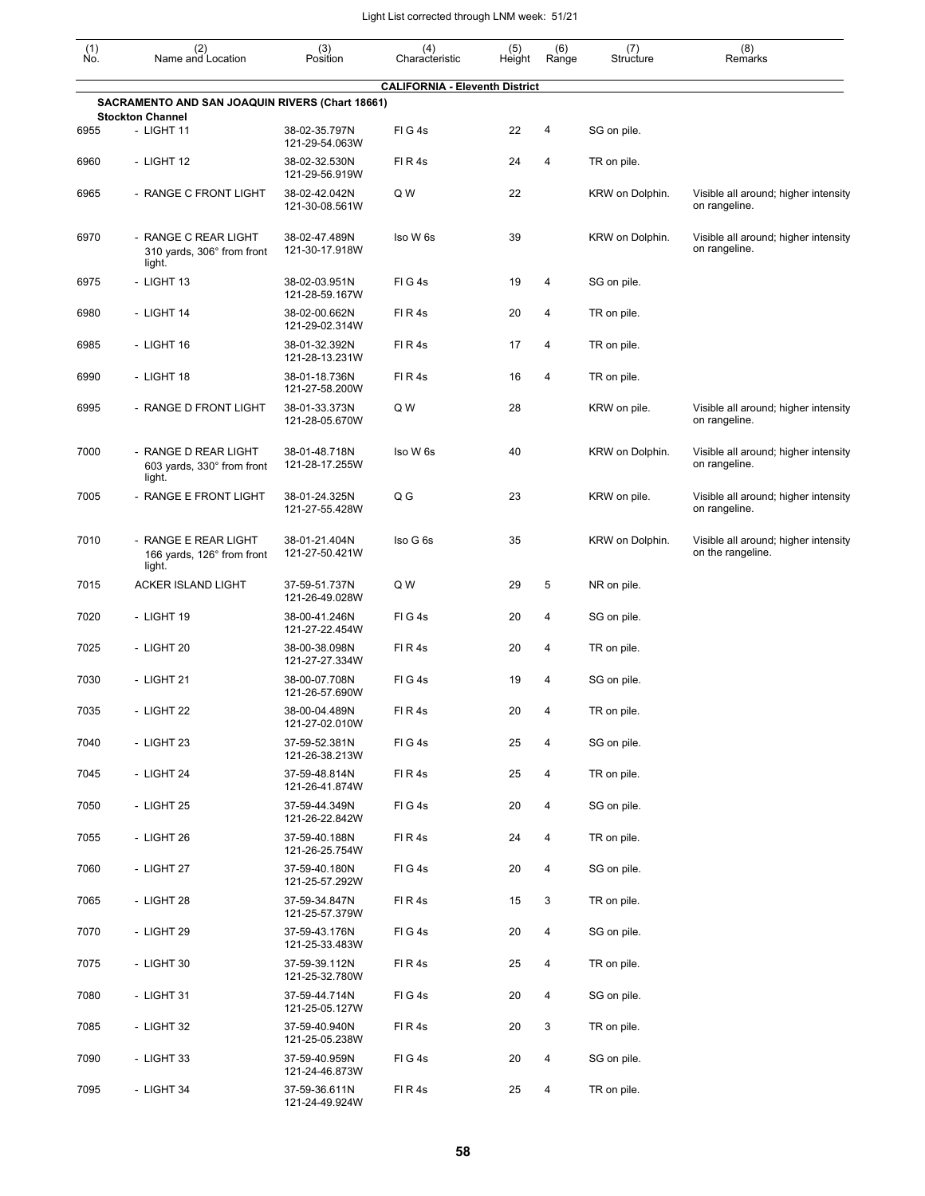| $\begin{smallmatrix} (1) \\ \mathsf{No} \end{smallmatrix}$ | (2)<br>Name and Location                                                   | (3)<br>Position                 | (4)<br>Characteristic                 | (5)<br>Height | (6)<br>Range | (7)<br>Structure | (8)<br>Remarks                                            |
|------------------------------------------------------------|----------------------------------------------------------------------------|---------------------------------|---------------------------------------|---------------|--------------|------------------|-----------------------------------------------------------|
|                                                            |                                                                            |                                 | <b>CALIFORNIA - Eleventh District</b> |               |              |                  |                                                           |
|                                                            | SACRAMENTO AND SAN JOAQUIN RIVERS (Chart 18661)<br><b>Stockton Channel</b> |                                 |                                       |               |              |                  |                                                           |
| 6955                                                       | - LIGHT 11                                                                 | 38-02-35.797N<br>121-29-54.063W | FIG4s                                 | 22            | 4            | SG on pile.      |                                                           |
| 6960                                                       | - LIGHT 12                                                                 | 38-02-32.530N<br>121-29-56.919W | FIR4s                                 | 24            | 4            | TR on pile.      |                                                           |
| 6965                                                       | - RANGE C FRONT LIGHT                                                      | 38-02-42.042N<br>121-30-08.561W | Q W                                   | 22            |              | KRW on Dolphin.  | Visible all around; higher intensity<br>on rangeline.     |
| 6970                                                       | - RANGE C REAR LIGHT<br>310 yards, 306° from front<br>light.               | 38-02-47.489N<br>121-30-17.918W | Iso W 6s                              | 39            |              | KRW on Dolphin.  | Visible all around; higher intensity<br>on rangeline.     |
| 6975                                                       | - LIGHT 13                                                                 | 38-02-03.951N<br>121-28-59.167W | FIG4s                                 | 19            | 4            | SG on pile.      |                                                           |
| 6980                                                       | - LIGHT 14                                                                 | 38-02-00.662N<br>121-29-02.314W | FIR4s                                 | 20            | 4            | TR on pile.      |                                                           |
| 6985                                                       | - LIGHT 16                                                                 | 38-01-32.392N<br>121-28-13.231W | FIR4s                                 | 17            | 4            | TR on pile.      |                                                           |
| 6990                                                       | - LIGHT 18                                                                 | 38-01-18.736N<br>121-27-58.200W | FIR4s                                 | 16            | 4            | TR on pile.      |                                                           |
| 6995                                                       | - RANGE D FRONT LIGHT                                                      | 38-01-33.373N<br>121-28-05.670W | Q W                                   | 28            |              | KRW on pile.     | Visible all around; higher intensity<br>on rangeline.     |
| 7000                                                       | - RANGE D REAR LIGHT<br>603 yards, 330° from front<br>light.               | 38-01-48.718N<br>121-28-17.255W | Iso W 6s                              | 40            |              | KRW on Dolphin.  | Visible all around; higher intensity<br>on rangeline.     |
| 7005                                                       | - RANGE E FRONT LIGHT                                                      | 38-01-24.325N<br>121-27-55.428W | Q G                                   | 23            |              | KRW on pile.     | Visible all around; higher intensity<br>on rangeline.     |
| 7010                                                       | - RANGE E REAR LIGHT<br>166 yards, 126° from front<br>light.               | 38-01-21.404N<br>121-27-50.421W | Iso G 6s                              | 35            |              | KRW on Dolphin.  | Visible all around; higher intensity<br>on the rangeline. |
| 7015                                                       | <b>ACKER ISLAND LIGHT</b>                                                  | 37-59-51.737N<br>121-26-49.028W | Q W                                   | 29            | 5            | NR on pile.      |                                                           |
| 7020                                                       | - LIGHT 19                                                                 | 38-00-41.246N<br>121-27-22.454W | FIG4s                                 | 20            | 4            | SG on pile.      |                                                           |
| 7025                                                       | - LIGHT 20                                                                 | 38-00-38.098N<br>121-27-27.334W | FIR4s                                 | 20            | 4            | TR on pile.      |                                                           |
| 7030                                                       | - LIGHT 21                                                                 | 38-00-07.708N<br>121-26-57.690W | FIG4s                                 | 19            | 4            | SG on pile.      |                                                           |
| 7035                                                       | - LIGHT 22                                                                 | 38-00-04.489N<br>121-27-02.010W | FIR4s                                 | 20            | 4            | TR on pile.      |                                                           |
| 7040                                                       | - LIGHT 23                                                                 | 37-59-52.381N<br>121-26-38.213W | FIG4s                                 | 25            | 4            | SG on pile.      |                                                           |
| 7045                                                       | - LIGHT 24                                                                 | 37-59-48.814N<br>121-26-41.874W | FIR4s                                 | 25            | 4            | TR on pile.      |                                                           |
| 7050                                                       | - LIGHT 25                                                                 | 37-59-44.349N<br>121-26-22.842W | FIG4s                                 | 20            | 4            | SG on pile.      |                                                           |
| 7055                                                       | - LIGHT 26                                                                 | 37-59-40.188N<br>121-26-25.754W | FIR4s                                 | 24            | 4            | TR on pile.      |                                                           |
| 7060                                                       | - LIGHT 27                                                                 | 37-59-40.180N<br>121-25-57.292W | FIG4s                                 | 20            | 4            | SG on pile.      |                                                           |
| 7065                                                       | - LIGHT 28                                                                 | 37-59-34.847N<br>121-25-57.379W | FIR4s                                 | 15            | 3            | TR on pile.      |                                                           |
| 7070                                                       | - LIGHT 29                                                                 | 37-59-43.176N<br>121-25-33.483W | FIG4s                                 | 20            | 4            | SG on pile.      |                                                           |
| 7075                                                       | - LIGHT 30                                                                 | 37-59-39.112N<br>121-25-32.780W | FIR4s                                 | 25            | 4            | TR on pile.      |                                                           |
| 7080                                                       | - LIGHT 31                                                                 | 37-59-44.714N<br>121-25-05.127W | FIG4s                                 | 20            | 4            | SG on pile.      |                                                           |
| 7085                                                       | - LIGHT 32                                                                 | 37-59-40.940N<br>121-25-05.238W | FIR4s                                 | 20            | 3            | TR on pile.      |                                                           |
| 7090                                                       | - LIGHT 33                                                                 | 37-59-40.959N<br>121-24-46.873W | FIG4s                                 | 20            | 4            | SG on pile.      |                                                           |
| 7095                                                       | - LIGHT 34                                                                 | 37-59-36.611N<br>121-24-49.924W | FIR4s                                 | 25            | 4            | TR on pile.      |                                                           |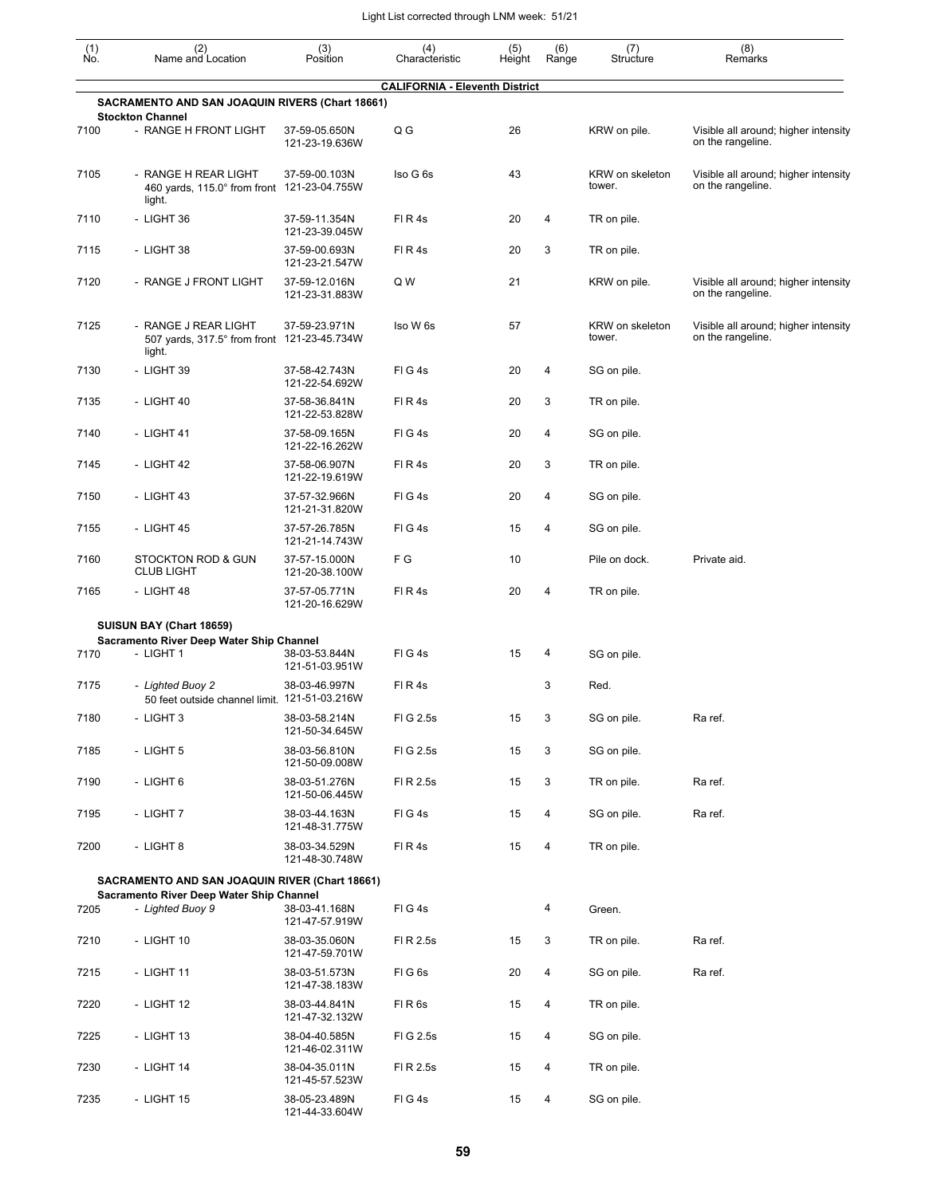| $\begin{smallmatrix} (1) \\ \mathsf{No} \end{smallmatrix}$ | (2)<br>Name and Location                                                      | (3)<br>Position                 | (4)<br>Characteristic                 | (5)<br>Height | (6)<br>Range | (7)<br>Structure          | (8)<br>Remarks                                            |
|------------------------------------------------------------|-------------------------------------------------------------------------------|---------------------------------|---------------------------------------|---------------|--------------|---------------------------|-----------------------------------------------------------|
|                                                            |                                                                               |                                 | <b>CALIFORNIA - Eleventh District</b> |               |              |                           |                                                           |
|                                                            | SACRAMENTO AND SAN JOAQUIN RIVERS (Chart 18661)<br><b>Stockton Channel</b>    |                                 |                                       |               |              |                           |                                                           |
| 7100                                                       | - RANGE H FRONT LIGHT                                                         | 37-59-05.650N<br>121-23-19.636W | Q G                                   | 26            |              | KRW on pile.              | Visible all around; higher intensity<br>on the rangeline. |
| 7105                                                       | - RANGE H REAR LIGHT<br>460 yards, 115.0° from front 121-23-04.755W<br>light. | 37-59-00.103N                   | Iso G 6s                              | 43            |              | KRW on skeleton<br>tower. | Visible all around; higher intensity<br>on the rangeline. |
| 7110                                                       | - LIGHT 36                                                                    | 37-59-11.354N<br>121-23-39.045W | FIR4s                                 | 20            | 4            | TR on pile.               |                                                           |
| 7115                                                       | - LIGHT 38                                                                    | 37-59-00.693N<br>121-23-21.547W | FIR4s                                 | 20            | 3            | TR on pile.               |                                                           |
| 7120                                                       | - RANGE J FRONT LIGHT                                                         | 37-59-12.016N<br>121-23-31.883W | Q W                                   | 21            |              | KRW on pile.              | Visible all around; higher intensity<br>on the rangeline. |
| 7125                                                       | - RANGE J REAR LIGHT<br>507 yards, 317.5° from front<br>light.                | 37-59-23.971N<br>121-23-45.734W | Iso W 6s                              | 57            |              | KRW on skeleton<br>tower. | Visible all around; higher intensity<br>on the rangeline. |
| 7130                                                       | - LIGHT 39                                                                    | 37-58-42.743N<br>121-22-54.692W | FIG4s                                 | 20            | 4            | SG on pile.               |                                                           |
| 7135                                                       | - LIGHT 40                                                                    | 37-58-36.841N<br>121-22-53.828W | FIR4s                                 | 20            | 3            | TR on pile.               |                                                           |
| 7140                                                       | - LIGHT 41                                                                    | 37-58-09.165N<br>121-22-16.262W | FIG4s                                 | 20            | 4            | SG on pile.               |                                                           |
| 7145                                                       | - LIGHT 42                                                                    | 37-58-06.907N<br>121-22-19.619W | FIR4s                                 | 20            | 3            | TR on pile.               |                                                           |
| 7150                                                       | - LIGHT 43                                                                    | 37-57-32.966N<br>121-21-31.820W | FIG4s                                 | 20            | 4            | SG on pile.               |                                                           |
| 7155                                                       | - LIGHT 45                                                                    | 37-57-26.785N<br>121-21-14.743W | FIG4s                                 | 15            | 4            | SG on pile.               |                                                           |
| 7160                                                       | <b>STOCKTON ROD &amp; GUN</b><br><b>CLUB LIGHT</b>                            | 37-57-15.000N<br>121-20-38.100W | F G                                   | 10            |              | Pile on dock.             | Private aid.                                              |
| 7165                                                       | - LIGHT 48                                                                    | 37-57-05.771N<br>121-20-16.629W | FIR4s                                 | 20            | 4            | TR on pile.               |                                                           |
|                                                            | SUISUN BAY (Chart 18659)                                                      |                                 |                                       |               |              |                           |                                                           |
| 7170                                                       | Sacramento River Deep Water Ship Channel<br>- LIGHT 1                         | 38-03-53.844N<br>121-51-03.951W | FIG4s                                 | 15            | 4            | SG on pile.               |                                                           |
| 7175                                                       | - Lighted Buoy 2<br>50 feet outside channel limit. 121-51-03.216W             | 38-03-46.997N                   | FIR4s                                 |               | 3            | Red.                      |                                                           |
| 7180                                                       | - LIGHT 3                                                                     | 38-03-58.214N<br>121-50-34.645W | FI G 2.5s                             | 15            | 3            | SG on pile.               | Ra ref.                                                   |
| 7185                                                       | - LIGHT 5                                                                     | 38-03-56.810N<br>121-50-09.008W | FIG 2.5s                              | 15            | 3            | SG on pile.               |                                                           |
| 7190                                                       | - LIGHT 6                                                                     | 38-03-51.276N<br>121-50-06.445W | FI R 2.5s                             | 15            | 3            | TR on pile.               | Ra ref.                                                   |
| 7195                                                       | - LIGHT 7                                                                     | 38-03-44.163N<br>121-48-31.775W | FIG4s                                 | 15            | 4            | SG on pile.               | Ra ref.                                                   |
| 7200                                                       | - LIGHT 8                                                                     | 38-03-34.529N<br>121-48-30.748W | FIR4s                                 | 15            | 4            | TR on pile.               |                                                           |
|                                                            | SACRAMENTO AND SAN JOAQUIN RIVER (Chart 18661)                                |                                 |                                       |               |              |                           |                                                           |
| 7205                                                       | Sacramento River Deep Water Ship Channel<br>- Lighted Buoy 9                  | 38-03-41.168N<br>121-47-57.919W | FIG4s                                 |               | 4            | Green.                    |                                                           |
| 7210                                                       | - LIGHT 10                                                                    | 38-03-35.060N<br>121-47-59.701W | FI R 2.5s                             | 15            | 3            | TR on pile.               | Ra ref.                                                   |
| 7215                                                       | - LIGHT 11                                                                    | 38-03-51.573N<br>121-47-38.183W | FIG6s                                 | 20            | 4            | SG on pile.               | Ra ref.                                                   |
| 7220                                                       | - LIGHT 12                                                                    | 38-03-44.841N<br>121-47-32.132W | FIR6s                                 | 15            | 4            | TR on pile.               |                                                           |
| 7225                                                       | - LIGHT 13                                                                    | 38-04-40.585N<br>121-46-02.311W | FIG 2.5s                              | 15            | 4            | SG on pile.               |                                                           |
| 7230                                                       | - LIGHT 14                                                                    | 38-04-35.011N<br>121-45-57.523W | FI R 2.5s                             | 15            | 4            | TR on pile.               |                                                           |
| 7235                                                       | - LIGHT 15                                                                    | 38-05-23.489N<br>121-44-33.604W | FIG4s                                 | 15            | 4            | SG on pile.               |                                                           |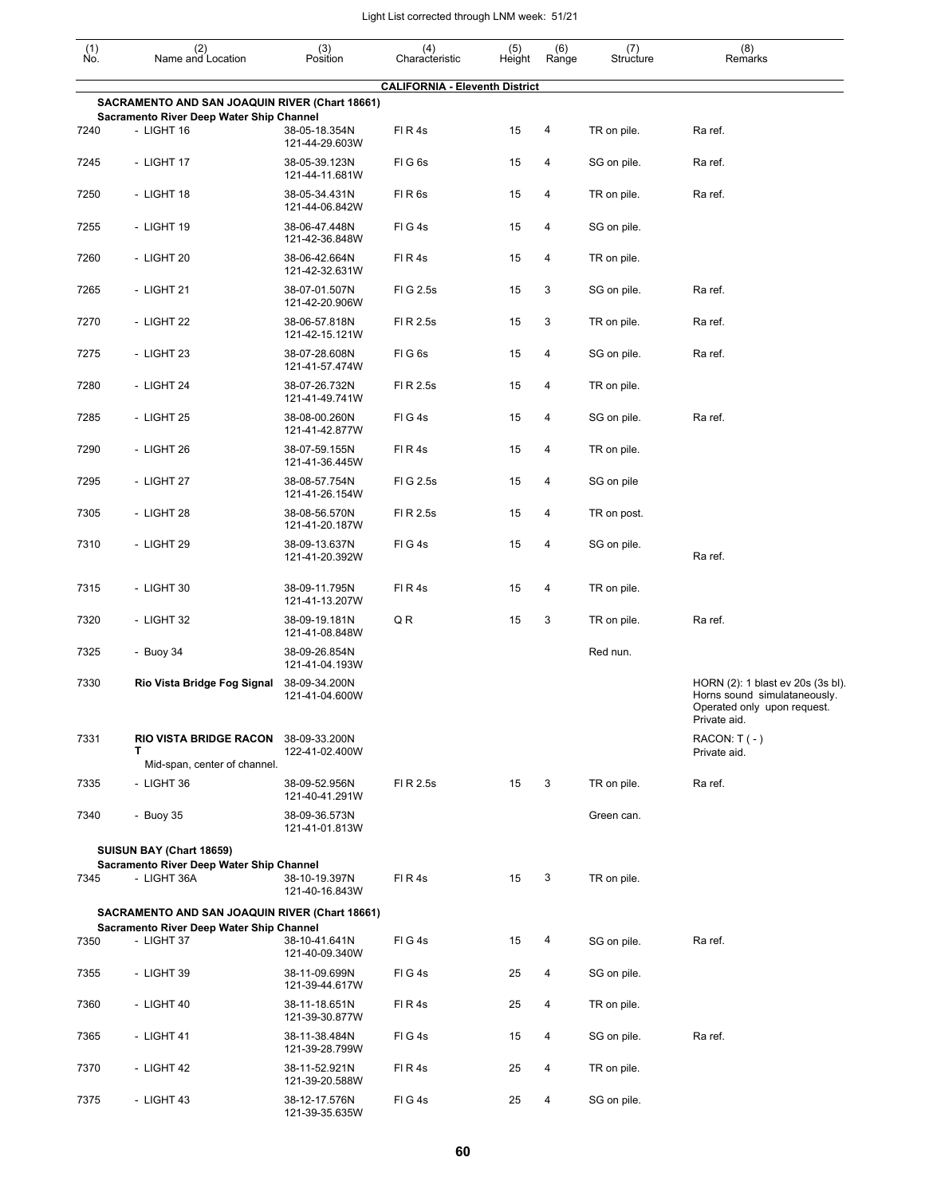| $\begin{smallmatrix} (1) \\ \mathsf{No} \end{smallmatrix}$ | (2)<br>Name and Location                                                                   | (3)<br>Position                                   | (4)<br>Characteristic                 | (5)<br>Height | (6)<br>Range | (7)<br>Structure | (8)<br>Remarks                                                                                                   |
|------------------------------------------------------------|--------------------------------------------------------------------------------------------|---------------------------------------------------|---------------------------------------|---------------|--------------|------------------|------------------------------------------------------------------------------------------------------------------|
|                                                            |                                                                                            |                                                   | <b>CALIFORNIA - Eleventh District</b> |               |              |                  |                                                                                                                  |
|                                                            | SACRAMENTO AND SAN JOAQUIN RIVER (Chart 18661)<br>Sacramento River Deep Water Ship Channel |                                                   |                                       |               |              |                  |                                                                                                                  |
| 7240                                                       | - LIGHT 16                                                                                 | 38-05-18.354N<br>121-44-29.603W                   | FIR4s                                 | 15            | 4            | TR on pile.      | Ra ref.                                                                                                          |
| 7245                                                       | - LIGHT 17                                                                                 | 38-05-39.123N<br>121-44-11.681W                   | FIG6s                                 | 15            | 4            | SG on pile.      | Ra ref.                                                                                                          |
| 7250                                                       | - LIGHT 18                                                                                 | 38-05-34.431N<br>121-44-06.842W                   | FIR6s                                 | 15            | 4            | TR on pile.      | Ra ref.                                                                                                          |
| 7255                                                       | - LIGHT 19                                                                                 | 38-06-47.448N<br>121-42-36.848W                   | FIG4s                                 | 15            | 4            | SG on pile.      |                                                                                                                  |
| 7260                                                       | - LIGHT 20                                                                                 | 38-06-42.664N<br>121-42-32.631W                   | FIR4s                                 | 15            | 4            | TR on pile.      |                                                                                                                  |
| 7265                                                       | - LIGHT 21                                                                                 | 38-07-01.507N<br>121-42-20.906W                   | FIG 2.5s                              | 15            | 3            | SG on pile.      | Ra ref.                                                                                                          |
| 7270                                                       | - LIGHT 22                                                                                 | 38-06-57.818N<br>121-42-15.121W                   | FI R 2.5s                             | 15            | 3            | TR on pile.      | Ra ref.                                                                                                          |
| 7275                                                       | - LIGHT 23                                                                                 | 38-07-28.608N<br>121-41-57.474W                   | FIG6s                                 | 15            | 4            | SG on pile.      | Ra ref.                                                                                                          |
| 7280                                                       | - LIGHT 24                                                                                 | 38-07-26.732N<br>121-41-49.741W                   | FI R 2.5s                             | 15            | 4            | TR on pile.      |                                                                                                                  |
| 7285                                                       | - LIGHT 25                                                                                 | 38-08-00.260N<br>121-41-42.877W                   | FIG4s                                 | 15            | 4            | SG on pile.      | Ra ref.                                                                                                          |
| 7290                                                       | - LIGHT 26                                                                                 | 38-07-59.155N<br>121-41-36.445W                   | FIR4s                                 | 15            | 4            | TR on pile.      |                                                                                                                  |
| 7295                                                       | - LIGHT 27                                                                                 | 38-08-57.754N<br>121-41-26.154W                   | FIG 2.5s                              | 15            | 4            | SG on pile       |                                                                                                                  |
| 7305                                                       | - LIGHT 28                                                                                 | 38-08-56.570N<br>121-41-20.187W                   | FI R 2.5s                             | 15            | 4            | TR on post.      |                                                                                                                  |
| 7310                                                       | - LIGHT 29                                                                                 | 38-09-13.637N<br>121-41-20.392W                   | FIG4s                                 | 15            | 4            | SG on pile.      | Ra ref.                                                                                                          |
| 7315                                                       | - LIGHT 30                                                                                 | 38-09-11.795N<br>121-41-13.207W                   | FIR4s                                 | 15            | 4            | TR on pile.      |                                                                                                                  |
| 7320                                                       | - LIGHT 32                                                                                 | 38-09-19.181N<br>121-41-08.848W                   | QR                                    | 15            | 3            | TR on pile.      | Ra ref.                                                                                                          |
| 7325                                                       | - Buoy 34                                                                                  | 38-09-26.854N<br>121-41-04.193W                   |                                       |               |              | Red nun.         |                                                                                                                  |
| 7330                                                       | Rio Vista Bridge Fog Signal                                                                | 38-09-34.200N<br>121-41-04.600W                   |                                       |               |              |                  | HORN (2): 1 blast ev 20s (3s bl).<br>Horns sound simulataneously.<br>Operated only upon request.<br>Private aid. |
| 7331                                                       | <b>RIO VISTA BRIDGE RACON</b><br>т                                                         | 38-09-33.200N<br>122-41-02.400W                   |                                       |               |              |                  | $RACON: T(-)$<br>Private aid.                                                                                    |
|                                                            | Mid-span, center of channel.                                                               |                                                   |                                       |               |              |                  |                                                                                                                  |
| 7335                                                       | - LIGHT 36                                                                                 | 38-09-52.956N<br>121-40-41.291W                   | FI R 2.5s                             | 15            | 3            | TR on pile.      | Ra ref.                                                                                                          |
| 7340                                                       | - Buoy 35                                                                                  | 38-09-36.573N<br>121-41-01.813W                   |                                       |               |              | Green can.       |                                                                                                                  |
|                                                            | SUISUN BAY (Chart 18659)<br>Sacramento River Deep Water Ship Channel                       |                                                   |                                       |               |              |                  |                                                                                                                  |
| 7345                                                       | - LIGHT 36A                                                                                | 38-10-19.397N<br>121-40-16.843W                   | FIR4s                                 | 15            | 3            | TR on pile.      |                                                                                                                  |
|                                                            | SACRAMENTO AND SAN JOAQUIN RIVER (Chart 18661)                                             |                                                   |                                       |               |              |                  |                                                                                                                  |
| 7350                                                       | Sacramento River Deep Water Ship Channel<br>- LIGHT 37                                     | 38-10-41.641N                                     | FIG4s                                 | 15            | 4            | SG on pile.      | Ra ref.                                                                                                          |
| 7355                                                       | - LIGHT 39                                                                                 | 121-40-09.340W<br>38-11-09.699N<br>121-39-44.617W | FIG4s                                 | 25            | 4            | SG on pile.      |                                                                                                                  |
| 7360                                                       | - LIGHT 40                                                                                 | 38-11-18.651N<br>121-39-30.877W                   | FIR4s                                 | 25            | 4            | TR on pile.      |                                                                                                                  |
| 7365                                                       | - LIGHT 41                                                                                 | 38-11-38.484N<br>121-39-28.799W                   | FIG4s                                 | 15            | 4            | SG on pile.      | Ra ref.                                                                                                          |
| 7370                                                       | - LIGHT 42                                                                                 | 38-11-52.921N<br>121-39-20.588W                   | FIR4s                                 | 25            | 4            | TR on pile.      |                                                                                                                  |
| 7375                                                       | - LIGHT 43                                                                                 | 38-12-17.576N<br>121-39-35.635W                   | FIG4s                                 | 25            | 4            | SG on pile.      |                                                                                                                  |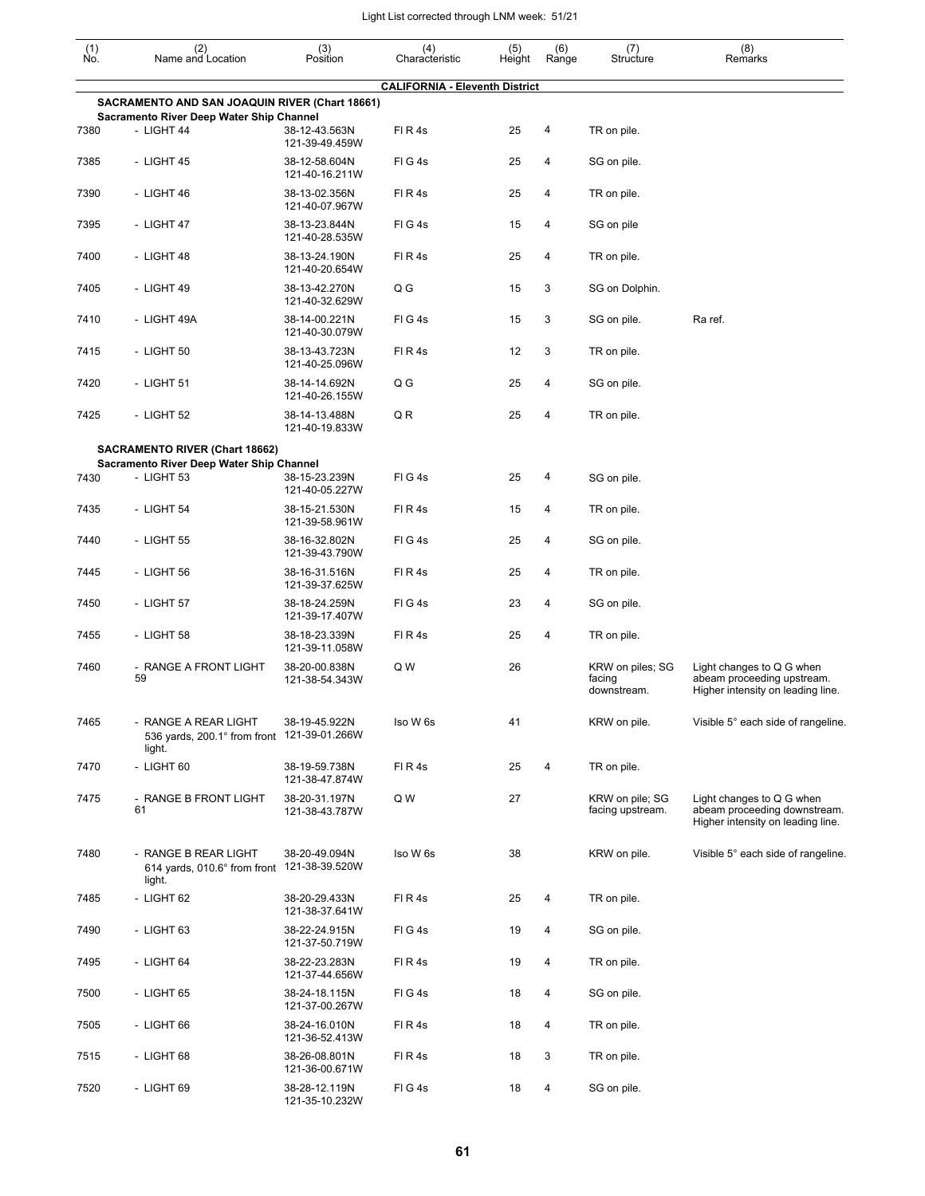| $\begin{smallmatrix} (1) \\ \mathsf{No} \end{smallmatrix}$ | (2)<br>Name and Location                                                                   | (3)<br>Position                                  | (4)<br>Characteristic                 | (5)<br>Height | (6)<br>Range | (7)<br>Structure                          | (8)<br>Remarks                                                                                 |
|------------------------------------------------------------|--------------------------------------------------------------------------------------------|--------------------------------------------------|---------------------------------------|---------------|--------------|-------------------------------------------|------------------------------------------------------------------------------------------------|
|                                                            |                                                                                            |                                                  | <b>CALIFORNIA - Eleventh District</b> |               |              |                                           |                                                                                                |
|                                                            | SACRAMENTO AND SAN JOAQUIN RIVER (Chart 18661)<br>Sacramento River Deep Water Ship Channel |                                                  |                                       |               |              |                                           |                                                                                                |
| 7380                                                       | - LIGHT 44                                                                                 | 38-12-43.563N<br>121-39-49.459W                  | FIR4s                                 | 25            | 4            | TR on pile.                               |                                                                                                |
| 7385                                                       | - LIGHT 45                                                                                 | 38-12-58.604N<br>121-40-16.211W                  | FIG4s                                 | 25            | 4            | SG on pile.                               |                                                                                                |
| 7390                                                       | - LIGHT 46                                                                                 | 38-13-02.356N<br>121-40-07.967W                  | FIR4s                                 | 25            | 4            | TR on pile.                               |                                                                                                |
| 7395                                                       | - LIGHT 47                                                                                 | 38-13-23.844N<br>121-40-28.535W                  | FIG4s                                 | 15            | 4            | SG on pile                                |                                                                                                |
| 7400                                                       | - LIGHT 48                                                                                 | 38-13-24.190N<br>121-40-20.654W                  | FIR4s                                 | 25            | 4            | TR on pile.                               |                                                                                                |
| 7405                                                       | - LIGHT 49                                                                                 | 38-13-42.270N<br>121-40-32.629W                  | Q G                                   | 15            | 3            | SG on Dolphin.                            |                                                                                                |
| 7410                                                       | - LIGHT 49A                                                                                | 38-14-00.221N<br>121-40-30.079W                  | FIG4s                                 | 15            | 3            | SG on pile.                               | Ra ref.                                                                                        |
| 7415                                                       | $-$ LIGHT 50                                                                               | 38-13-43.723N<br>121-40-25.096W                  | FIR4s                                 | 12            | 3            | TR on pile.                               |                                                                                                |
| 7420                                                       | - LIGHT 51                                                                                 | 38-14-14.692N<br>121-40-26.155W                  | Q G                                   | 25            | 4            | SG on pile.                               |                                                                                                |
| 7425                                                       | - LIGHT 52                                                                                 | 38-14-13.488N<br>121-40-19.833W                  | QR                                    | 25            | 4            | TR on pile.                               |                                                                                                |
|                                                            | <b>SACRAMENTO RIVER (Chart 18662)</b>                                                      |                                                  |                                       |               |              |                                           |                                                                                                |
|                                                            | Sacramento River Deep Water Ship Channel                                                   |                                                  |                                       |               | 4            |                                           |                                                                                                |
| 7430<br>7435                                               | - LIGHT 53<br>- LIGHT 54                                                                   | 38-15-23.239N<br>121-40-05.227W<br>38-15-21.530N | FIG4s<br>FIR4s                        | 25<br>15      | 4            | SG on pile.<br>TR on pile.                |                                                                                                |
|                                                            |                                                                                            | 121-39-58.961W                                   |                                       |               |              |                                           |                                                                                                |
| 7440                                                       | - LIGHT 55                                                                                 | 38-16-32.802N<br>121-39-43.790W                  | FIG4s                                 | 25            | 4            | SG on pile.                               |                                                                                                |
| 7445                                                       | - LIGHT 56                                                                                 | 38-16-31.516N<br>121-39-37.625W                  | FIR4s                                 | 25            | 4            | TR on pile.                               |                                                                                                |
| 7450                                                       | - LIGHT 57                                                                                 | 38-18-24.259N<br>121-39-17.407W                  | FIG4s                                 | 23            | 4            | SG on pile.                               |                                                                                                |
| 7455                                                       | - LIGHT 58                                                                                 | 38-18-23.339N<br>121-39-11.058W                  | FIR4s                                 | 25            | 4            | TR on pile.                               |                                                                                                |
| 7460                                                       | - RANGE A FRONT LIGHT<br>59                                                                | 38-20-00.838N<br>121-38-54.343W                  | Q W                                   | 26            |              | KRW on piles; SG<br>facing<br>downstream. | Light changes to Q G when<br>abeam proceeding upstream.<br>Higher intensity on leading line.   |
| 7465                                                       | - RANGE A REAR LIGHT<br>536 yards, 200.1° from front 121-39-01.266W<br>light.              | 38-19-45.922N                                    | Iso W 6s                              | 41            |              | KRW on pile.                              | Visible 5° each side of rangeline.                                                             |
| 7470                                                       | - LIGHT 60                                                                                 | 38-19-59.738N<br>121-38-47.874W                  | FIR4s                                 | 25            | 4            | TR on pile.                               |                                                                                                |
| 7475                                                       | - RANGE B FRONT LIGHT<br>61                                                                | 38-20-31.197N<br>121-38-43.787W                  | Q W                                   | 27            |              | KRW on pile; SG<br>facing upstream.       | Light changes to Q G when<br>abeam proceeding downstream.<br>Higher intensity on leading line. |
| 7480                                                       | - RANGE B REAR LIGHT<br>614 yards, 010.6° from front 121-38-39.520W<br>light.              | 38-20-49.094N                                    | Iso W 6s                              | 38            |              | KRW on pile.                              | Visible 5° each side of rangeline.                                                             |
| 7485                                                       | - LIGHT 62                                                                                 | 38-20-29.433N<br>121-38-37.641W                  | FIR4s                                 | 25            | 4            | TR on pile.                               |                                                                                                |
| 7490                                                       | - LIGHT 63                                                                                 | 38-22-24.915N<br>121-37-50.719W                  | FIG4s                                 | 19            | 4            | SG on pile.                               |                                                                                                |
| 7495                                                       | - LIGHT 64                                                                                 | 38-22-23.283N<br>121-37-44.656W                  | FIR4s                                 | 19            | 4            | TR on pile.                               |                                                                                                |
| 7500                                                       | - LIGHT 65                                                                                 | 38-24-18.115N<br>121-37-00.267W                  | FIG4s                                 | 18            | 4            | SG on pile.                               |                                                                                                |
| 7505                                                       | - LIGHT 66                                                                                 | 38-24-16.010N<br>121-36-52.413W                  | FIR4s                                 | 18            | 4            | TR on pile.                               |                                                                                                |
| 7515                                                       | - LIGHT 68                                                                                 | 38-26-08.801N<br>121-36-00.671W                  | FIR4s                                 | 18            | 3            | TR on pile.                               |                                                                                                |
| 7520                                                       | - LIGHT 69                                                                                 | 38-28-12.119N<br>121-35-10.232W                  | FIG4s                                 | 18            | 4            | SG on pile.                               |                                                                                                |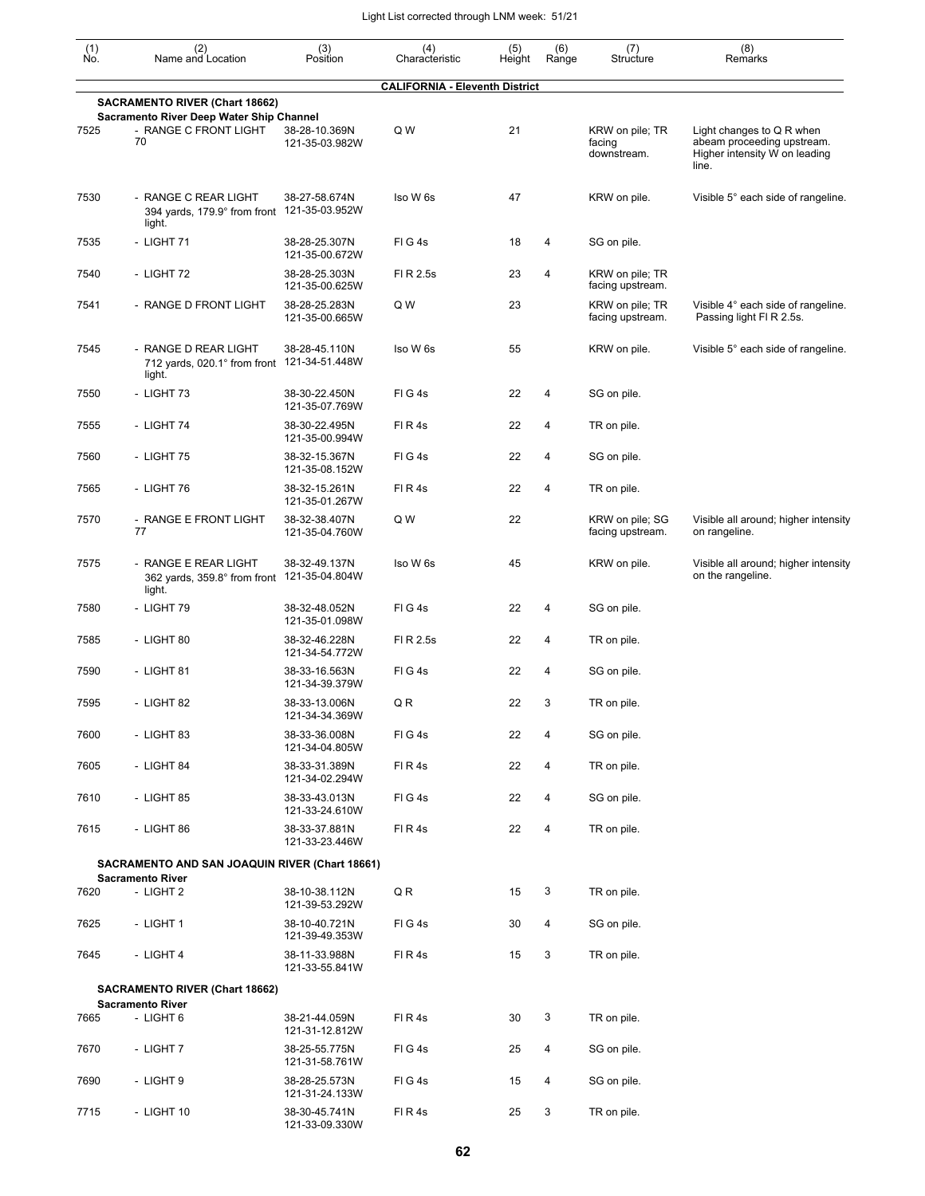| (1)<br>No. | (2)<br>Name and Location                                                          | (3)<br>Position                 | (4)<br>Characteristic                 | (5)<br>Height | (6)<br>Range | (7)<br>Structure                         | (8)<br>Remarks                                                                                    |
|------------|-----------------------------------------------------------------------------------|---------------------------------|---------------------------------------|---------------|--------------|------------------------------------------|---------------------------------------------------------------------------------------------------|
|            |                                                                                   |                                 | <b>CALIFORNIA - Eleventh District</b> |               |              |                                          |                                                                                                   |
|            | <b>SACRAMENTO RIVER (Chart 18662)</b><br>Sacramento River Deep Water Ship Channel |                                 |                                       |               |              |                                          |                                                                                                   |
| 7525       | - RANGE C FRONT LIGHT<br>70                                                       | 38-28-10.369N<br>121-35-03.982W | Q W                                   | 21            |              | KRW on pile; TR<br>facing<br>downstream. | Light changes to Q R when<br>abeam proceeding upstream.<br>Higher intensity W on leading<br>line. |
| 7530       | - RANGE C REAR LIGHT<br>394 yards, 179.9° from front 121-35-03.952W<br>light.     | 38-27-58.674N                   | Iso W 6s                              | 47            |              | KRW on pile.                             | Visible 5° each side of rangeline.                                                                |
| 7535       | - LIGHT 71                                                                        | 38-28-25.307N<br>121-35-00.672W | FIG4s                                 | 18            | 4            | SG on pile.                              |                                                                                                   |
| 7540       | - LIGHT 72                                                                        | 38-28-25.303N<br>121-35-00.625W | FI R 2.5s                             | 23            | 4            | KRW on pile; TR<br>facing upstream.      |                                                                                                   |
| 7541       | - RANGE D FRONT LIGHT                                                             | 38-28-25.283N<br>121-35-00.665W | Q W                                   | 23            |              | KRW on pile; TR<br>facing upstream.      | Visible 4° each side of rangeline.<br>Passing light FI R 2.5s.                                    |
| 7545       | - RANGE D REAR LIGHT<br>712 yards, 020.1° from front 121-34-51.448W<br>light.     | 38-28-45.110N                   | Iso W 6s                              | 55            |              | KRW on pile.                             | Visible 5° each side of rangeline.                                                                |
| 7550       | - LIGHT 73                                                                        | 38-30-22.450N<br>121-35-07.769W | FIG4s                                 | 22            | 4            | SG on pile.                              |                                                                                                   |
| 7555       | - LIGHT 74                                                                        | 38-30-22.495N<br>121-35-00.994W | FIR4s                                 | 22            | 4            | TR on pile.                              |                                                                                                   |
| 7560       | - LIGHT 75                                                                        | 38-32-15.367N<br>121-35-08.152W | FIG4s                                 | 22            | 4            | SG on pile.                              |                                                                                                   |
| 7565       | - LIGHT 76                                                                        | 38-32-15.261N<br>121-35-01.267W | FIR4s                                 | 22            | 4            | TR on pile.                              |                                                                                                   |
| 7570       | - RANGE E FRONT LIGHT<br>77                                                       | 38-32-38.407N<br>121-35-04.760W | Q W                                   | 22            |              | KRW on pile; SG<br>facing upstream.      | Visible all around; higher intensity<br>on rangeline.                                             |
| 7575       | - RANGE E REAR LIGHT<br>362 yards, 359.8° from front 121-35-04.804W<br>light.     | 38-32-49.137N                   | Iso W 6s                              | 45            |              | KRW on pile.                             | Visible all around; higher intensity<br>on the rangeline.                                         |
| 7580       | - LIGHT 79                                                                        | 38-32-48.052N<br>121-35-01.098W | FIG4s                                 | 22            | 4            | SG on pile.                              |                                                                                                   |
| 7585       | - LIGHT 80                                                                        | 38-32-46.228N<br>121-34-54.772W | FI R 2.5s                             | 22            | 4            | TR on pile.                              |                                                                                                   |
| 7590       | - LIGHT 81                                                                        | 38-33-16.563N<br>121-34-39.379W | FIG4s                                 | 22            | 4            | SG on pile.                              |                                                                                                   |
| 7595       | - LIGHT 82                                                                        | 38-33-13.006N<br>121-34-34.369W | Q R                                   | 22            | 3            | TR on pile.                              |                                                                                                   |
| 7600       | - LIGHT 83                                                                        | 38-33-36.008N<br>121-34-04.805W | FIG4s                                 | 22            | 4            | SG on pile.                              |                                                                                                   |
| 7605       | - LIGHT 84                                                                        | 38-33-31.389N<br>121-34-02.294W | FIR4s                                 | 22            | 4            | TR on pile.                              |                                                                                                   |
| 7610       | - LIGHT 85                                                                        | 38-33-43.013N<br>121-33-24.610W | FIG4s                                 | 22            | 4            | SG on pile.                              |                                                                                                   |
| 7615       | - LIGHT 86                                                                        | 38-33-37.881N<br>121-33-23.446W | FIR4s                                 | 22            | 4            | TR on pile.                              |                                                                                                   |
|            | SACRAMENTO AND SAN JOAQUIN RIVER (Chart 18661)                                    |                                 |                                       |               |              |                                          |                                                                                                   |
| 7620       | <b>Sacramento River</b><br>- LIGHT 2                                              | 38-10-38.112N                   | QR                                    | 15            | 3            | TR on pile.                              |                                                                                                   |
| 7625       | - LIGHT 1                                                                         | 121-39-53.292W<br>38-10-40.721N | FIG4s                                 | 30            | 4            | SG on pile.                              |                                                                                                   |
| 7645       | - LIGHT 4                                                                         | 121-39-49.353W<br>38-11-33.988N | FIR4s                                 | 15            | 3            | TR on pile.                              |                                                                                                   |
|            | <b>SACRAMENTO RIVER (Chart 18662)</b>                                             | 121-33-55.841W                  |                                       |               |              |                                          |                                                                                                   |
|            | <b>Sacramento River</b>                                                           |                                 |                                       |               |              |                                          |                                                                                                   |
| 7665       | - LIGHT 6                                                                         | 38-21-44.059N<br>121-31-12.812W | FIR4s                                 | 30            | 3            | TR on pile.                              |                                                                                                   |
| 7670       | - LIGHT 7                                                                         | 38-25-55.775N<br>121-31-58.761W | FIG4s                                 | 25            | 4            | SG on pile.                              |                                                                                                   |
| 7690       | - LIGHT 9                                                                         | 38-28-25.573N<br>121-31-24.133W | FIG4s                                 | 15            | 4            | SG on pile.                              |                                                                                                   |
| 7715       | - LIGHT 10                                                                        | 38-30-45.741N<br>121-33-09.330W | FIR4s                                 | 25            | 3            | TR on pile.                              |                                                                                                   |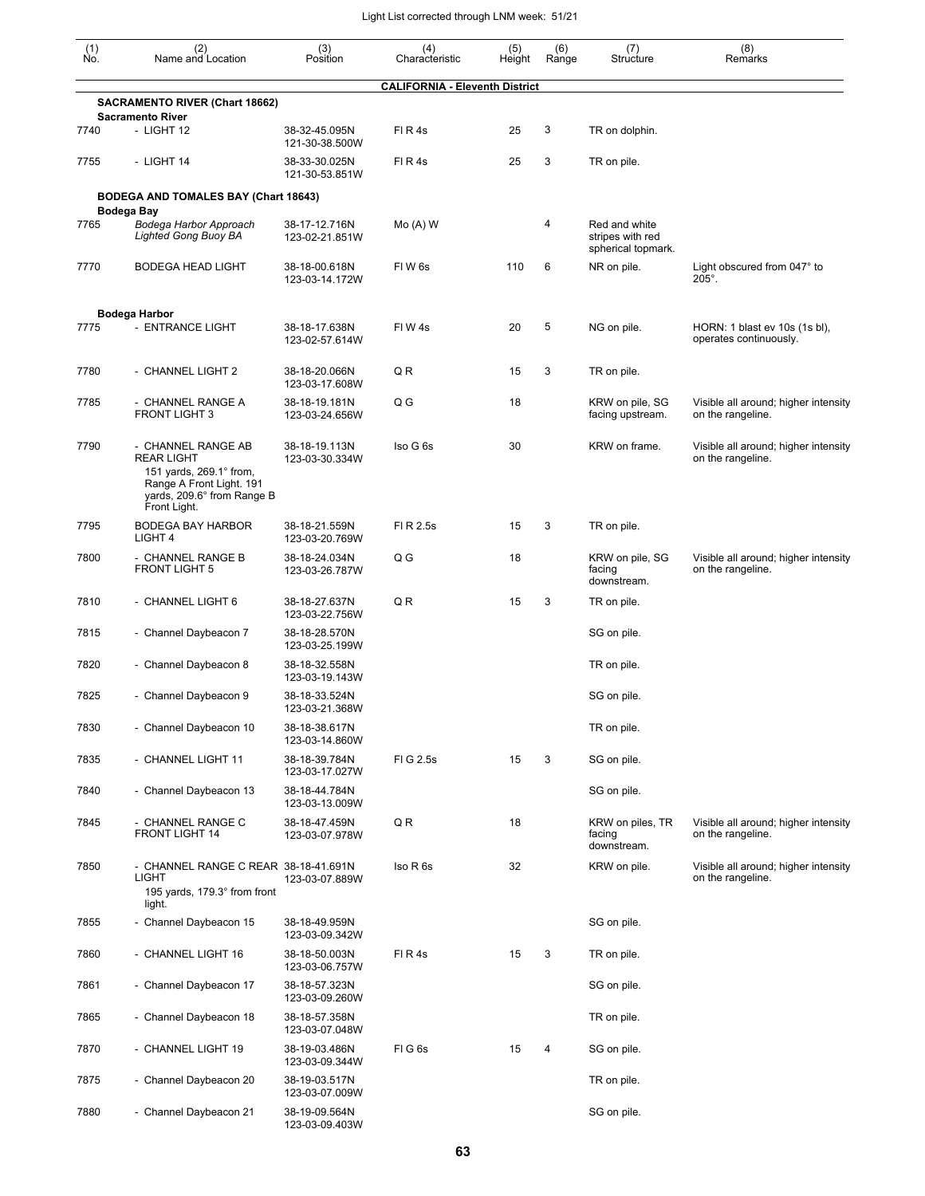| (1)<br>No. | (2)<br>Name and Location                                                                                                                     | (3)<br>Position                 | (4)<br>Characteristic                 | (5)<br>Height | (6)<br>Range | (7)<br>Structure                                        | (8)<br>Remarks                                            |
|------------|----------------------------------------------------------------------------------------------------------------------------------------------|---------------------------------|---------------------------------------|---------------|--------------|---------------------------------------------------------|-----------------------------------------------------------|
|            |                                                                                                                                              |                                 | <b>CALIFORNIA - Eleventh District</b> |               |              |                                                         |                                                           |
|            | <b>SACRAMENTO RIVER (Chart 18662)</b><br><b>Sacramento River</b>                                                                             |                                 |                                       |               |              |                                                         |                                                           |
| 7740       | - LIGHT 12                                                                                                                                   | 38-32-45.095N<br>121-30-38.500W | FIR4s                                 | 25            | 3            | TR on dolphin.                                          |                                                           |
| 7755       | - LIGHT 14                                                                                                                                   | 38-33-30.025N<br>121-30-53.851W | FIR4s                                 | 25            | 3            | TR on pile.                                             |                                                           |
|            | <b>BODEGA AND TOMALES BAY (Chart 18643)</b>                                                                                                  |                                 |                                       |               |              |                                                         |                                                           |
| 7765       | Bodega Bay<br>Bodega Harbor Approach<br><b>Lighted Gong Buoy BA</b>                                                                          | 38-17-12.716N<br>123-02-21.851W | $Mo(A)$ W                             |               | 4            | Red and white<br>stripes with red<br>spherical topmark. |                                                           |
| 7770       | <b>BODEGA HEAD LIGHT</b>                                                                                                                     | 38-18-00.618N<br>123-03-14.172W | FIW <sub>6s</sub>                     | 110           | 6            | NR on pile.                                             | Light obscured from 047° to<br>$205^\circ$ .              |
|            | Bodega Harbor                                                                                                                                |                                 |                                       |               |              |                                                         |                                                           |
| 7775       | - ENTRANCE LIGHT                                                                                                                             | 38-18-17.638N<br>123-02-57.614W | FIW4s                                 | 20            | 5            | NG on pile.                                             | HORN: 1 blast ev 10s (1s bl),<br>operates continuously.   |
| 7780       | - CHANNEL LIGHT 2                                                                                                                            | 38-18-20.066N<br>123-03-17.608W | Q R                                   | 15            | 3            | TR on pile.                                             |                                                           |
| 7785       | - CHANNEL RANGE A<br><b>FRONT LIGHT 3</b>                                                                                                    | 38-18-19.181N<br>123-03-24.656W | Q G                                   | 18            |              | KRW on pile, SG<br>facing upstream.                     | Visible all around; higher intensity<br>on the rangeline. |
| 7790       | - CHANNEL RANGE AB<br><b>REAR LIGHT</b><br>151 yards, 269.1° from,<br>Range A Front Light. 191<br>yards, 209.6° from Range B<br>Front Light. | 38-18-19.113N<br>123-03-30.334W | Iso G 6s                              | 30            |              | KRW on frame.                                           | Visible all around; higher intensity<br>on the rangeline. |
| 7795       | <b>BODEGA BAY HARBOR</b><br>LIGHT 4                                                                                                          | 38-18-21.559N<br>123-03-20.769W | FI R 2.5s                             | 15            | 3            | TR on pile.                                             |                                                           |
| 7800       | - CHANNEL RANGE B<br><b>FRONT LIGHT 5</b>                                                                                                    | 38-18-24.034N<br>123-03-26.787W | $Q$ $G$                               | 18            |              | KRW on pile, SG<br>facing<br>downstream.                | Visible all around; higher intensity<br>on the rangeline. |
| 7810       | - CHANNEL LIGHT 6                                                                                                                            | 38-18-27.637N<br>123-03-22.756W | QR                                    | 15            | 3            | TR on pile.                                             |                                                           |
| 7815       | - Channel Daybeacon 7                                                                                                                        | 38-18-28.570N<br>123-03-25.199W |                                       |               |              | SG on pile.                                             |                                                           |
| 7820       | - Channel Daybeacon 8                                                                                                                        | 38-18-32.558N<br>123-03-19.143W |                                       |               |              | TR on pile.                                             |                                                           |
| 7825       | - Channel Daybeacon 9                                                                                                                        | 38-18-33.524N<br>123-03-21.368W |                                       |               |              | SG on pile.                                             |                                                           |
| 7830       | - Channel Daybeacon 10                                                                                                                       | 38-18-38.617N<br>123-03-14.860W |                                       |               |              | TR on pile.                                             |                                                           |
| 7835       | - CHANNEL LIGHT 11                                                                                                                           | 38-18-39.784N<br>123-03-17.027W | FIG 2.5s                              | 15            | 3            | SG on pile.                                             |                                                           |
| 7840       | - Channel Daybeacon 13                                                                                                                       | 38-18-44.784N<br>123-03-13.009W |                                       |               |              | SG on pile.                                             |                                                           |
| 7845       | - CHANNEL RANGE C<br><b>FRONT LIGHT 14</b>                                                                                                   | 38-18-47.459N<br>123-03-07.978W | QR                                    | 18            |              | KRW on piles, TR<br>facing<br>downstream.               | Visible all around; higher intensity<br>on the rangeline. |
| 7850       | - CHANNEL RANGE C REAR 38-18-41.691N<br>LIGHT<br>195 yards, 179.3° from front<br>light.                                                      | 123-03-07.889W                  | Iso R 6s                              | 32            |              | KRW on pile.                                            | Visible all around; higher intensity<br>on the rangeline. |
| 7855       | - Channel Daybeacon 15                                                                                                                       | 38-18-49.959N<br>123-03-09.342W |                                       |               |              | SG on pile.                                             |                                                           |
| 7860       | - CHANNEL LIGHT 16                                                                                                                           | 38-18-50.003N<br>123-03-06.757W | FIR4s                                 | 15            | 3            | TR on pile.                                             |                                                           |
| 7861       | - Channel Daybeacon 17                                                                                                                       | 38-18-57.323N<br>123-03-09.260W |                                       |               |              | SG on pile.                                             |                                                           |
| 7865       | - Channel Daybeacon 18                                                                                                                       | 38-18-57.358N<br>123-03-07.048W |                                       |               |              | TR on pile.                                             |                                                           |
| 7870       | - CHANNEL LIGHT 19                                                                                                                           | 38-19-03.486N<br>123-03-09.344W | FIG6s                                 | 15            | 4            | SG on pile.                                             |                                                           |
| 7875       | - Channel Daybeacon 20                                                                                                                       | 38-19-03.517N<br>123-03-07.009W |                                       |               |              | TR on pile.                                             |                                                           |
| 7880       | - Channel Daybeacon 21                                                                                                                       | 38-19-09.564N<br>123-03-09.403W |                                       |               |              | SG on pile.                                             |                                                           |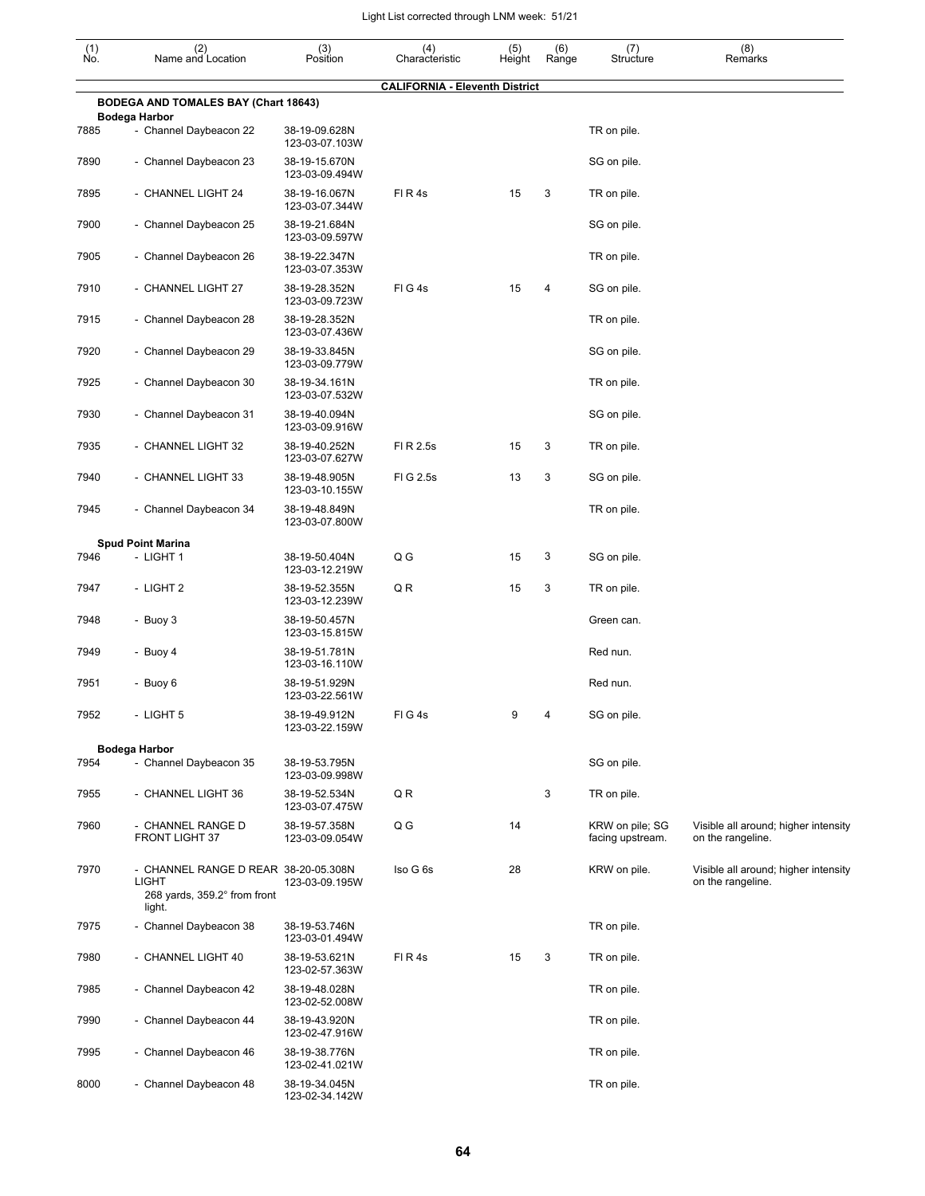| $\begin{smallmatrix} (1) \\ \mathsf{No}. \end{smallmatrix}$ | (2)<br>Name and Location                                                             | (3)<br>Position                 | (4)<br>Characteristic                 | (5)<br>Height | (6)<br>Range | (7)<br>Structure                    | (8)<br>Remarks                                            |
|-------------------------------------------------------------|--------------------------------------------------------------------------------------|---------------------------------|---------------------------------------|---------------|--------------|-------------------------------------|-----------------------------------------------------------|
|                                                             |                                                                                      |                                 | <b>CALIFORNIA - Eleventh District</b> |               |              |                                     |                                                           |
|                                                             | BODEGA AND TOMALES BAY (Chart 18643)<br><b>Bodega Harbor</b>                         |                                 |                                       |               |              |                                     |                                                           |
| 7885                                                        | - Channel Daybeacon 22                                                               | 38-19-09.628N<br>123-03-07.103W |                                       |               |              | TR on pile.                         |                                                           |
| 7890                                                        | - Channel Daybeacon 23                                                               | 38-19-15.670N<br>123-03-09.494W |                                       |               |              | SG on pile.                         |                                                           |
| 7895                                                        | - CHANNEL LIGHT 24                                                                   | 38-19-16.067N<br>123-03-07.344W | FIR4s                                 | 15            | 3            | TR on pile.                         |                                                           |
| 7900                                                        | - Channel Daybeacon 25                                                               | 38-19-21.684N<br>123-03-09.597W |                                       |               |              | SG on pile.                         |                                                           |
| 7905                                                        | - Channel Daybeacon 26                                                               | 38-19-22.347N<br>123-03-07.353W |                                       |               |              | TR on pile.                         |                                                           |
| 7910                                                        | - CHANNEL LIGHT 27                                                                   | 38-19-28.352N<br>123-03-09.723W | FIG4s                                 | 15            | 4            | SG on pile.                         |                                                           |
| 7915                                                        | - Channel Daybeacon 28                                                               | 38-19-28.352N<br>123-03-07.436W |                                       |               |              | TR on pile.                         |                                                           |
| 7920                                                        | - Channel Daybeacon 29                                                               | 38-19-33.845N<br>123-03-09.779W |                                       |               |              | SG on pile.                         |                                                           |
| 7925                                                        | - Channel Daybeacon 30                                                               | 38-19-34.161N<br>123-03-07.532W |                                       |               |              | TR on pile.                         |                                                           |
| 7930                                                        | - Channel Daybeacon 31                                                               | 38-19-40.094N<br>123-03-09.916W |                                       |               |              | SG on pile.                         |                                                           |
| 7935                                                        | - CHANNEL LIGHT 32                                                                   | 38-19-40.252N<br>123-03-07.627W | FI R 2.5s                             | 15            | 3            | TR on pile.                         |                                                           |
| 7940                                                        | - CHANNEL LIGHT 33                                                                   | 38-19-48.905N<br>123-03-10.155W | FIG 2.5s                              | 13            | 3            | SG on pile.                         |                                                           |
| 7945                                                        | - Channel Daybeacon 34                                                               | 38-19-48.849N<br>123-03-07.800W |                                       |               |              | TR on pile.                         |                                                           |
|                                                             | <b>Spud Point Marina</b>                                                             |                                 |                                       |               |              |                                     |                                                           |
| 7946                                                        | - LIGHT 1                                                                            | 38-19-50.404N<br>123-03-12.219W | Q G                                   | 15            | 3            | SG on pile.                         |                                                           |
| 7947                                                        | - LIGHT 2                                                                            | 38-19-52.355N<br>123-03-12.239W | Q R                                   | 15            | 3            | TR on pile.                         |                                                           |
| 7948                                                        | - Buoy 3                                                                             | 38-19-50.457N<br>123-03-15.815W |                                       |               |              | Green can.                          |                                                           |
| 7949                                                        | - Buoy 4                                                                             | 38-19-51.781N<br>123-03-16.110W |                                       |               |              | Red nun.                            |                                                           |
| 7951                                                        | - Buoy 6                                                                             | 38-19-51.929N<br>123-03-22.561W |                                       |               |              | Red nun.                            |                                                           |
| 7952                                                        | - LIGHT 5                                                                            | 38-19-49.912N<br>123-03-22.159W | FIG4s                                 |               |              | SG on pile.                         |                                                           |
|                                                             | <b>Bodega Harbor</b>                                                                 |                                 |                                       |               |              |                                     |                                                           |
| 7954                                                        | - Channel Daybeacon 35                                                               | 38-19-53.795N<br>123-03-09.998W |                                       |               |              | SG on pile.                         |                                                           |
| 7955                                                        | - CHANNEL LIGHT 36                                                                   | 38-19-52.534N<br>123-03-07.475W | QR                                    |               | 3            | TR on pile.                         |                                                           |
| 7960                                                        | - CHANNEL RANGE D<br><b>FRONT LIGHT 37</b>                                           | 38-19-57.358N<br>123-03-09.054W | Q G                                   | 14            |              | KRW on pile; SG<br>facing upstream. | Visible all around; higher intensity<br>on the rangeline. |
| 7970                                                        | - CHANNEL RANGE D REAR 38-20-05.308N<br><b>LIGHT</b><br>268 yards, 359.2° from front | 123-03-09.195W                  | Iso G 6s                              | 28            |              | KRW on pile.                        | Visible all around; higher intensity<br>on the rangeline. |
|                                                             | light.                                                                               |                                 |                                       |               |              |                                     |                                                           |
| 7975                                                        | - Channel Daybeacon 38                                                               | 38-19-53.746N<br>123-03-01.494W |                                       |               |              | TR on pile.                         |                                                           |
| 7980                                                        | - CHANNEL LIGHT 40                                                                   | 38-19-53.621N<br>123-02-57.363W | FIR4s                                 | 15            | 3            | TR on pile.                         |                                                           |
| 7985                                                        | - Channel Daybeacon 42                                                               | 38-19-48.028N<br>123-02-52.008W |                                       |               |              | TR on pile.                         |                                                           |
| 7990                                                        | - Channel Daybeacon 44                                                               | 38-19-43.920N<br>123-02-47.916W |                                       |               |              | TR on pile.                         |                                                           |
| 7995                                                        | - Channel Daybeacon 46                                                               | 38-19-38.776N<br>123-02-41.021W |                                       |               |              | TR on pile.                         |                                                           |
| 8000                                                        | - Channel Daybeacon 48                                                               | 38-19-34.045N<br>123-02-34.142W |                                       |               |              | TR on pile.                         |                                                           |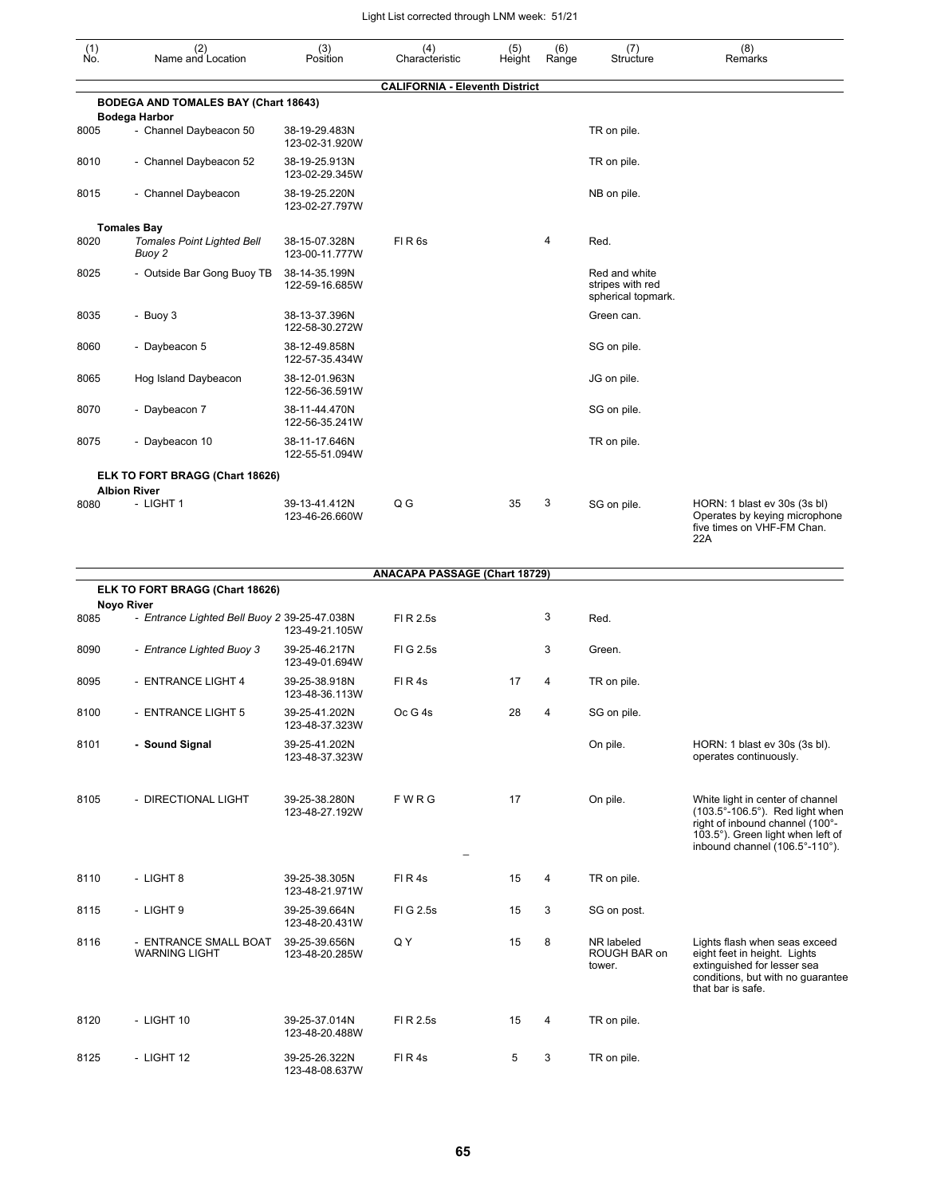| $\begin{smallmatrix} (1) \\ \mathsf{No} \end{smallmatrix}$ | (2)<br>Name and Location                                          | (3)<br>Position                 | (4)<br>Characteristic                 | (5)<br>Height | (6)<br>Range | (7)<br>Structure                                        | (8)<br>Remarks                                                                                                                                                                |
|------------------------------------------------------------|-------------------------------------------------------------------|---------------------------------|---------------------------------------|---------------|--------------|---------------------------------------------------------|-------------------------------------------------------------------------------------------------------------------------------------------------------------------------------|
|                                                            | <b>BODEGA AND TOMALES BAY (Chart 18643)</b>                       |                                 | <b>CALIFORNIA - Eleventh District</b> |               |              |                                                         |                                                                                                                                                                               |
|                                                            | <b>Bodega Harbor</b>                                              |                                 |                                       |               |              |                                                         |                                                                                                                                                                               |
| 8005                                                       | - Channel Daybeacon 50                                            | 38-19-29.483N<br>123-02-31.920W |                                       |               |              | TR on pile.                                             |                                                                                                                                                                               |
| 8010                                                       | - Channel Daybeacon 52                                            | 38-19-25.913N<br>123-02-29.345W |                                       |               |              | TR on pile.                                             |                                                                                                                                                                               |
| 8015                                                       | - Channel Daybeacon                                               | 38-19-25.220N<br>123-02-27.797W |                                       |               |              | NB on pile.                                             |                                                                                                                                                                               |
|                                                            | <b>Tomales Bay</b>                                                |                                 |                                       |               |              |                                                         |                                                                                                                                                                               |
| 8020                                                       | <b>Tomales Point Lighted Bell</b><br>Buoy 2                       | 38-15-07.328N<br>123-00-11.777W | FIR <sub>6s</sub>                     |               | 4            | Red.                                                    |                                                                                                                                                                               |
| 8025                                                       | - Outside Bar Gong Buoy TB                                        | 38-14-35.199N<br>122-59-16.685W |                                       |               |              | Red and white<br>stripes with red<br>spherical topmark. |                                                                                                                                                                               |
| 8035                                                       | - Buoy 3                                                          | 38-13-37.396N<br>122-58-30.272W |                                       |               |              | Green can.                                              |                                                                                                                                                                               |
| 8060                                                       | - Daybeacon 5                                                     | 38-12-49.858N<br>122-57-35.434W |                                       |               |              | SG on pile.                                             |                                                                                                                                                                               |
| 8065                                                       | Hog Island Daybeacon                                              | 38-12-01.963N<br>122-56-36.591W |                                       |               |              | JG on pile.                                             |                                                                                                                                                                               |
| 8070                                                       | - Daybeacon 7                                                     | 38-11-44.470N<br>122-56-35.241W |                                       |               |              | SG on pile.                                             |                                                                                                                                                                               |
| 8075                                                       | - Daybeacon 10                                                    | 38-11-17.646N<br>122-55-51.094W |                                       |               |              | TR on pile.                                             |                                                                                                                                                                               |
|                                                            | ELK TO FORT BRAGG (Chart 18626)<br><b>Albion River</b>            |                                 |                                       |               |              |                                                         |                                                                                                                                                                               |
| 8080                                                       | - LIGHT 1                                                         | 39-13-41.412N<br>123-46-26.660W | Q G                                   | 35            | 3            | SG on pile.                                             | HORN: 1 blast ev 30s (3s bl)<br>Operates by keying microphone<br>five times on VHF-FM Chan.<br>22A                                                                            |
|                                                            |                                                                   |                                 | <b>ANACAPA PASSAGE (Chart 18729)</b>  |               |              |                                                         |                                                                                                                                                                               |
|                                                            | ELK TO FORT BRAGG (Chart 18626)                                   |                                 |                                       |               |              |                                                         |                                                                                                                                                                               |
| 8085                                                       | <b>Noyo River</b><br>- Entrance Lighted Bell Buoy 2 39-25-47.038N | 123-49-21.105W                  | FI R 2.5s                             |               | 3            | Red.                                                    |                                                                                                                                                                               |
| 8090                                                       | - Entrance Lighted Buoy 3                                         | 39-25-46.217N<br>123-49-01.694W | FIG 2.5s                              |               | 3            | Green.                                                  |                                                                                                                                                                               |
| 8095                                                       | - ENTRANCE LIGHT 4                                                | 39-25-38.918N<br>123-48-36.113W | FIR4s                                 | 17            | 4            | TR on pile.                                             |                                                                                                                                                                               |
| 8100                                                       | - ENTRANCE LIGHT 5                                                | 39-25-41.202N<br>123-48-37.323W | Oc G 4s                               | 28            | 4            | SG on pile.                                             |                                                                                                                                                                               |
| 8101                                                       | - Sound Signal                                                    | 39-25-41.202N<br>123-48-37.323W |                                       |               |              | On pile.                                                | HORN: 1 blast ev 30s (3s bl).<br>operates continuously.                                                                                                                       |
| 8105                                                       | - DIRECTIONAL LIGHT                                               | 39-25-38.280N<br>123-48-27.192W | FWRG                                  | 17            |              | On pile.                                                | White light in center of channel<br>(103.5°-106.5°). Red light when<br>right of inbound channel (100°-<br>103.5°). Green light when left of<br>inbound channel (106.5°-110°). |
| 8110                                                       | - LIGHT 8                                                         | 39-25-38.305N<br>123-48-21.971W | FIR4s                                 | 15            | 4            | TR on pile.                                             |                                                                                                                                                                               |
| 8115                                                       | - LIGHT 9                                                         | 39-25-39.664N<br>123-48-20.431W | FIG 2.5s                              | 15            | 3            | SG on post.                                             |                                                                                                                                                                               |
| 8116                                                       | - ENTRANCE SMALL BOAT<br><b>WARNING LIGHT</b>                     | 39-25-39.656N<br>123-48-20.285W | Q Y                                   | 15            | 8            | NR labeled<br>ROUGH BAR on<br>tower.                    | Lights flash when seas exceed<br>eight feet in height. Lights<br>extinguished for lesser sea<br>conditions, but with no guarantee<br>that bar is safe.                        |
| 8120                                                       | - LIGHT 10                                                        | 39-25-37.014N<br>123-48-20.488W | FI R 2.5s                             | 15            | 4            | TR on pile.                                             |                                                                                                                                                                               |
| 8125                                                       | - LIGHT 12                                                        | 39-25-26.322N                   | FIR4s                                 | 5             | 3            | TR on pile.                                             |                                                                                                                                                                               |

123-48-08.637W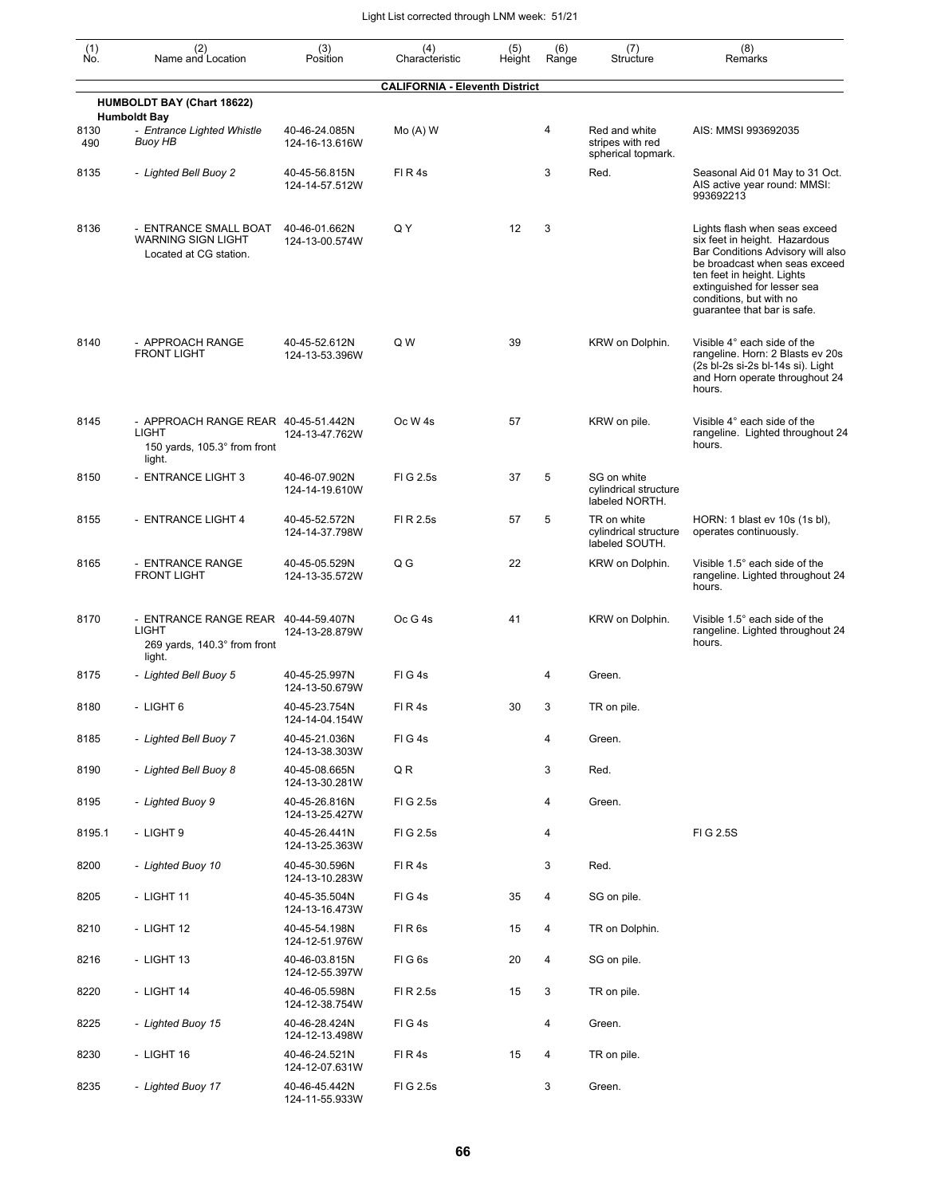| (1)<br>No.  | (2)<br>Name and Location                                                                      | (3)<br>Position                 | (4)<br>Characteristic                 | (5)<br>Height | (6)<br>Range | (7)<br>Structure                                        | (8)<br>Remarks                                                                                                                                                                                                                                              |
|-------------|-----------------------------------------------------------------------------------------------|---------------------------------|---------------------------------------|---------------|--------------|---------------------------------------------------------|-------------------------------------------------------------------------------------------------------------------------------------------------------------------------------------------------------------------------------------------------------------|
|             |                                                                                               |                                 | <b>CALIFORNIA - Eleventh District</b> |               |              |                                                         |                                                                                                                                                                                                                                                             |
|             | <b>HUMBOLDT BAY (Chart 18622)</b><br><b>Humboldt Bay</b>                                      |                                 |                                       |               |              |                                                         |                                                                                                                                                                                                                                                             |
| 8130<br>490 | - Entrance Lighted Whistle<br><b>Buoy HB</b>                                                  | 40-46-24.085N<br>124-16-13.616W | $Mo(A)$ W                             |               | 4            | Red and white<br>stripes with red<br>spherical topmark. | AIS: MMSI 993692035                                                                                                                                                                                                                                         |
| 8135        | - Lighted Bell Buoy 2                                                                         | 40-45-56.815N<br>124-14-57.512W | FIR4s                                 |               | 3            | Red.                                                    | Seasonal Aid 01 May to 31 Oct.<br>AIS active year round: MMSI:<br>993692213                                                                                                                                                                                 |
| 8136        | - ENTRANCE SMALL BOAT<br><b>WARNING SIGN LIGHT</b><br>Located at CG station.                  | 40-46-01.662N<br>124-13-00.574W | Q Y                                   | 12            | 3            |                                                         | Lights flash when seas exceed<br>six feet in height. Hazardous<br>Bar Conditions Advisory will also<br>be broadcast when seas exceed<br>ten feet in height. Lights<br>extinguished for lesser sea<br>conditions, but with no<br>guarantee that bar is safe. |
| 8140        | - APPROACH RANGE<br><b>FRONT LIGHT</b>                                                        | 40-45-52.612N<br>124-13-53.396W | Q W                                   | 39            |              | KRW on Dolphin.                                         | Visible 4° each side of the<br>rangeline. Horn: 2 Blasts ev 20s<br>(2s bl-2s si-2s bl-14s si). Light<br>and Horn operate throughout 24<br>hours.                                                                                                            |
| 8145        | - APPROACH RANGE REAR 40-45-51.442N<br>LIGHT<br>150 yards, 105.3° from front<br>light.        | 124-13-47.762W                  | Oc W <sub>4s</sub>                    | 57            |              | KRW on pile.                                            | Visible 4° each side of the<br>rangeline. Lighted throughout 24<br>hours.                                                                                                                                                                                   |
| 8150        | - ENTRANCE LIGHT 3                                                                            | 40-46-07.902N<br>124-14-19.610W | FIG 2.5s                              | 37            | 5            | SG on white<br>cylindrical structure<br>labeled NORTH.  |                                                                                                                                                                                                                                                             |
| 8155        | - ENTRANCE LIGHT 4                                                                            | 40-45-52.572N<br>124-14-37.798W | FI R 2.5s                             | 57            | 5            | TR on white<br>cylindrical structure<br>labeled SOUTH.  | HORN: 1 blast ev 10s (1s bl),<br>operates continuously.                                                                                                                                                                                                     |
| 8165        | - ENTRANCE RANGE<br><b>FRONT LIGHT</b>                                                        | 40-45-05.529N<br>124-13-35.572W | Q G                                   | 22            |              | KRW on Dolphin.                                         | Visible 1.5° each side of the<br>rangeline. Lighted throughout 24<br>hours.                                                                                                                                                                                 |
| 8170        | - ENTRANCE RANGE REAR 40-44-59.407N<br><b>LIGHT</b><br>269 yards, 140.3° from front<br>light. | 124-13-28.879W                  | Oc G 4s                               | 41            |              | KRW on Dolphin.                                         | Visible 1.5° each side of the<br>rangeline. Lighted throughout 24<br>hours.                                                                                                                                                                                 |
| 8175        | - Lighted Bell Buoy 5                                                                         | 40-45-25.997N<br>124-13-50.679W | FIG4s                                 |               | 4            | Green.                                                  |                                                                                                                                                                                                                                                             |
| 8180        | - LIGHT 6                                                                                     | 40-45-23.754N<br>124-14-04.154W | FIR4s                                 | 30            | 3            | TR on pile.                                             |                                                                                                                                                                                                                                                             |
| 8185        | - Lighted Bell Buoy 7                                                                         | 40-45-21.036N<br>124-13-38.303W | FIG4s                                 |               | 4            | Green.                                                  |                                                                                                                                                                                                                                                             |
| 8190        | - Lighted Bell Buoy 8                                                                         | 40-45-08.665N<br>124-13-30.281W | Q R                                   |               | 3            | Red.                                                    |                                                                                                                                                                                                                                                             |
| 8195        | - Lighted Buoy 9                                                                              | 40-45-26.816N<br>124-13-25.427W | FI G 2.5s                             |               | 4            | Green.                                                  |                                                                                                                                                                                                                                                             |
| 8195.1      | - LIGHT 9                                                                                     | 40-45-26.441N<br>124-13-25.363W | FIG 2.5s                              |               | 4            |                                                         | FIG 2.5S                                                                                                                                                                                                                                                    |
| 8200        | - Lighted Buoy 10                                                                             | 40-45-30.596N<br>124-13-10.283W | FIR4s                                 |               | 3            | Red.                                                    |                                                                                                                                                                                                                                                             |
| 8205        | - LIGHT 11                                                                                    | 40-45-35.504N<br>124-13-16.473W | FIG4s                                 | 35            | 4            | SG on pile.                                             |                                                                                                                                                                                                                                                             |
| 8210        | - LIGHT 12                                                                                    | 40-45-54.198N<br>124-12-51.976W | FIR6s                                 | 15            | 4            | TR on Dolphin.                                          |                                                                                                                                                                                                                                                             |
| 8216        | - LIGHT 13                                                                                    | 40-46-03.815N<br>124-12-55.397W | FIG6s                                 | 20            | 4            | SG on pile.                                             |                                                                                                                                                                                                                                                             |
| 8220        | - LIGHT 14                                                                                    | 40-46-05.598N<br>124-12-38.754W | FI R 2.5s                             | 15            | 3            | TR on pile.                                             |                                                                                                                                                                                                                                                             |
| 8225        | - Lighted Buoy 15                                                                             | 40-46-28.424N<br>124-12-13.498W | FIG4s                                 |               | 4            | Green.                                                  |                                                                                                                                                                                                                                                             |
| 8230        | - LIGHT 16                                                                                    | 40-46-24.521N<br>124-12-07.631W | FIR4s                                 | 15            | 4            | TR on pile.                                             |                                                                                                                                                                                                                                                             |
| 8235        | - Lighted Buoy 17                                                                             | 40-46-45.442N<br>124-11-55.933W | FIG 2.5s                              |               | 3            | Green.                                                  |                                                                                                                                                                                                                                                             |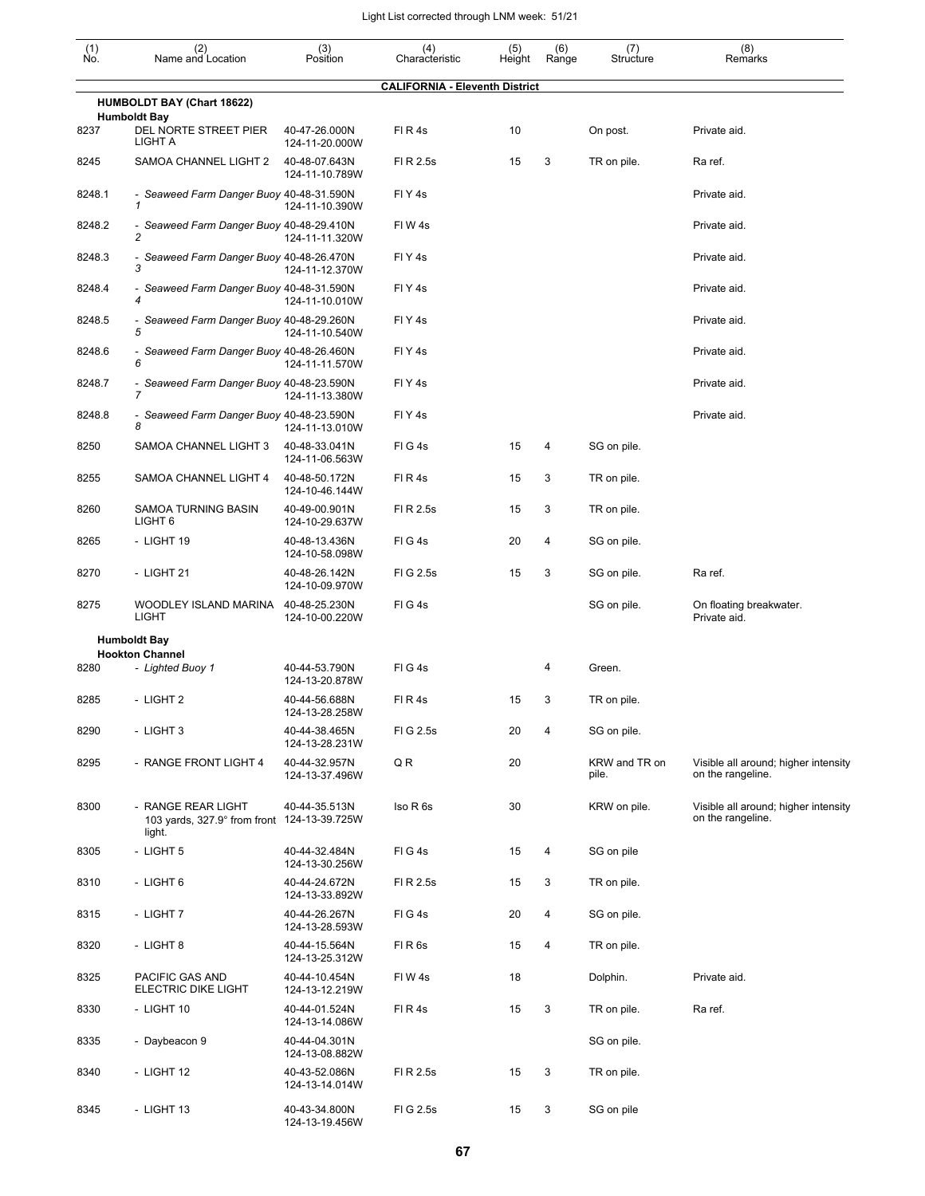| $\begin{smallmatrix} (1) \\ \mathsf{No} \end{smallmatrix}$ | (2)<br>Name and Location                                     | (3)<br>Position                 | (4)<br>Characteristic                 | (5)<br>Height | (6)<br>Range | (7)<br>Structure       | (8)<br>Remarks                                            |
|------------------------------------------------------------|--------------------------------------------------------------|---------------------------------|---------------------------------------|---------------|--------------|------------------------|-----------------------------------------------------------|
|                                                            |                                                              |                                 | <b>CALIFORNIA - Eleventh District</b> |               |              |                        |                                                           |
|                                                            | <b>HUMBOLDT BAY (Chart 18622)</b><br><b>Humboldt Bay</b>     |                                 |                                       |               |              |                        |                                                           |
| 8237                                                       | DEL NORTE STREET PIER<br>LIGHT A                             | 40-47-26.000N<br>124-11-20.000W | FIR4s                                 | 10            |              | On post.               | Private aid.                                              |
| 8245                                                       | SAMOA CHANNEL LIGHT 2                                        | 40-48-07.643N<br>124-11-10.789W | FI R 2.5s                             | 15            | 3            | TR on pile.            | Ra ref.                                                   |
| 8248.1                                                     | - Seaweed Farm Danger Buoy 40-48-31.590N<br>$\mathbf{1}$     | 124-11-10.390W                  | FIY <sub>4s</sub>                     |               |              |                        | Private aid.                                              |
| 8248.2                                                     | - Seaweed Farm Danger Buoy 40-48-29.410N<br>$\overline{c}$   | 124-11-11.320W                  | FIW4s                                 |               |              |                        | Private aid.                                              |
| 8248.3                                                     | - Seaweed Farm Danger Buoy 40-48-26.470N<br>3                | 124-11-12.370W                  | FIY <sub>4s</sub>                     |               |              |                        | Private aid.                                              |
| 8248.4                                                     | - Seaweed Farm Danger Buoy 40-48-31.590N<br>4                | 124-11-10.010W                  | FIY <sub>4s</sub>                     |               |              |                        | Private aid.                                              |
| 8248.5                                                     | - Seaweed Farm Danger Buoy 40-48-29.260N<br>5                | 124-11-10.540W                  | FIY <sub>4s</sub>                     |               |              |                        | Private aid.                                              |
| 8248.6                                                     | - Seaweed Farm Danger Buoy 40-48-26.460N<br>6                | 124-11-11.570W                  | FIY <sub>4s</sub>                     |               |              |                        | Private aid.                                              |
| 8248.7                                                     | - Seaweed Farm Danger Buoy 40-48-23.590N<br>$\overline{7}$   | 124-11-13.380W                  | FIY <sub>4s</sub>                     |               |              |                        | Private aid.                                              |
| 8248.8                                                     | - Seaweed Farm Danger Buoy 40-48-23.590N<br>8                | 124-11-13.010W                  | FIY <sub>4s</sub>                     |               |              |                        | Private aid.                                              |
| 8250                                                       | SAMOA CHANNEL LIGHT 3                                        | 40-48-33.041N<br>124-11-06.563W | FIG4s                                 | 15            | 4            | SG on pile.            |                                                           |
| 8255                                                       | SAMOA CHANNEL LIGHT 4                                        | 40-48-50.172N<br>124-10-46.144W | FIR4s                                 | 15            | 3            | TR on pile.            |                                                           |
| 8260                                                       | SAMOA TURNING BASIN<br>LIGHT <sub>6</sub>                    | 40-49-00.901N<br>124-10-29.637W | FI R 2.5s                             | 15            | 3            | TR on pile.            |                                                           |
| 8265                                                       | - LIGHT 19                                                   | 40-48-13.436N<br>124-10-58.098W | FIG4s                                 | 20            | 4            | SG on pile.            |                                                           |
| 8270                                                       | - LIGHT 21                                                   | 40-48-26.142N<br>124-10-09.970W | FIG 2.5s                              | 15            | 3            | SG on pile.            | Ra ref.                                                   |
| 8275                                                       | WOODLEY ISLAND MARINA<br><b>LIGHT</b>                        | 40-48-25.230N<br>124-10-00.220W | FIG4s                                 |               |              | SG on pile.            | On floating breakwater.<br>Private aid.                   |
|                                                            | <b>Humboldt Bay</b>                                          |                                 |                                       |               |              |                        |                                                           |
|                                                            | <b>Hookton Channel</b>                                       |                                 |                                       |               |              |                        |                                                           |
| 8280                                                       | - Lighted Buoy 1                                             | 40-44-53.790N<br>124-13-20.878W | FIG4s                                 |               | 4            | Green.                 |                                                           |
| 8285                                                       | - LIGHT 2                                                    | 40-44-56.688N<br>124-13-28.258W | FIR4s                                 | 15            | 3            | TR on pile.            |                                                           |
| 8290                                                       | - LIGHT 3                                                    | 40-44-38.465N<br>124-13-28.231W | FIG 2.5s                              | 20            | 4            | SG on pile.            |                                                           |
| 8295                                                       | - RANGE FRONT LIGHT 4                                        | 40-44-32.957N<br>124-13-37.496W | QR                                    | 20            |              | KRW and TR on<br>pile. | Visible all around; higher intensity<br>on the rangeline. |
| 8300                                                       | - RANGE REAR LIGHT<br>103 yards, 327.9° from front<br>light. | 40-44-35.513N<br>124-13-39.725W | Iso R 6s                              | 30            |              | KRW on pile.           | Visible all around; higher intensity<br>on the rangeline. |
| 8305                                                       | - LIGHT 5                                                    | 40-44-32.484N<br>124-13-30.256W | FIG4s                                 | 15            | 4            | SG on pile             |                                                           |
| 8310                                                       | - LIGHT 6                                                    | 40-44-24.672N<br>124-13-33.892W | FI R 2.5s                             | 15            | 3            | TR on pile.            |                                                           |
| 8315                                                       | - LIGHT 7                                                    | 40-44-26.267N<br>124-13-28.593W | FIG4s                                 | 20            | 4            | SG on pile.            |                                                           |
| 8320                                                       | - LIGHT 8                                                    | 40-44-15.564N<br>124-13-25.312W | FIR <sub>6s</sub>                     | 15            | 4            | TR on pile.            |                                                           |
| 8325                                                       | PACIFIC GAS AND<br><b>ELECTRIC DIKE LIGHT</b>                | 40-44-10.454N<br>124-13-12.219W | FIW4s                                 | 18            |              | Dolphin.               | Private aid.                                              |
| 8330                                                       | - LIGHT 10                                                   | 40-44-01.524N<br>124-13-14.086W | FIR4s                                 | 15            | 3            | TR on pile.            | Ra ref.                                                   |
| 8335                                                       | - Daybeacon 9                                                | 40-44-04.301N<br>124-13-08.882W |                                       |               |              | SG on pile.            |                                                           |
| 8340                                                       | - LIGHT 12                                                   | 40-43-52.086N<br>124-13-14.014W | FI R 2.5s                             | 15            | 3            | TR on pile.            |                                                           |
| 8345                                                       | - LIGHT 13                                                   | 40-43-34.800N                   | FIG 2.5s                              | 15            | 3            | SG on pile             |                                                           |

124-13-19.456W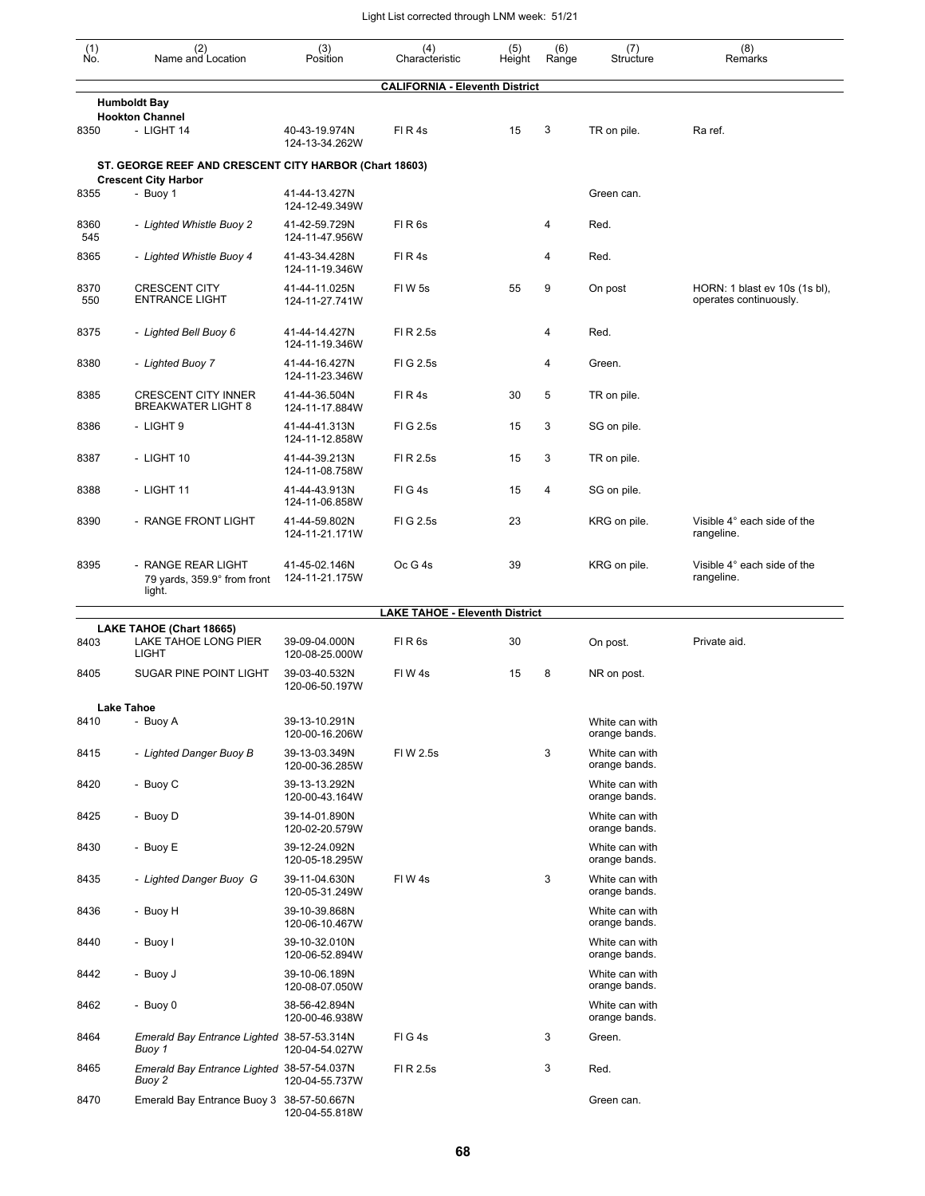| $\begin{smallmatrix} (1) \\ \mathsf{No} \end{smallmatrix}$ | (2)<br>Name and Location                                                              | (3)<br>Position                 | (4)<br>Characteristic                 | (5)<br>Height | (6)<br>Range | (7)<br>Structure                | (8)<br>Remarks                                          |
|------------------------------------------------------------|---------------------------------------------------------------------------------------|---------------------------------|---------------------------------------|---------------|--------------|---------------------------------|---------------------------------------------------------|
|                                                            |                                                                                       |                                 | <b>CALIFORNIA - Eleventh District</b> |               |              |                                 |                                                         |
|                                                            | <b>Humboldt Bay</b><br><b>Hookton Channel</b>                                         |                                 |                                       |               |              |                                 |                                                         |
| 8350                                                       | - LIGHT 14                                                                            | 40-43-19.974N<br>124-13-34.262W | FIR4s                                 | 15            | 3            | TR on pile.                     | Ra ref.                                                 |
|                                                            | ST. GEORGE REEF AND CRESCENT CITY HARBOR (Chart 18603)<br><b>Crescent City Harbor</b> |                                 |                                       |               |              |                                 |                                                         |
| 8355                                                       | - Buoy 1                                                                              | 41-44-13.427N<br>124-12-49.349W |                                       |               |              | Green can.                      |                                                         |
| 8360<br>545                                                | - Lighted Whistle Buoy 2                                                              | 41-42-59.729N<br>124-11-47.956W | FIR6s                                 |               | 4            | Red.                            |                                                         |
| 8365                                                       | - Lighted Whistle Buoy 4                                                              | 41-43-34.428N<br>124-11-19.346W | FIR4s                                 |               | 4            | Red.                            |                                                         |
| 8370<br>550                                                | <b>CRESCENT CITY</b><br><b>ENTRANCE LIGHT</b>                                         | 41-44-11.025N<br>124-11-27.741W | FIW <sub>5s</sub>                     | 55            | 9            | On post                         | HORN: 1 blast ev 10s (1s bl),<br>operates continuously. |
| 8375                                                       | - Lighted Bell Buoy 6                                                                 | 41-44-14.427N<br>124-11-19.346W | FI R 2.5s                             |               | 4            | Red.                            |                                                         |
| 8380                                                       | - Lighted Buoy 7                                                                      | 41-44-16.427N<br>124-11-23.346W | FIG 2.5s                              |               | 4            | Green.                          |                                                         |
| 8385                                                       | <b>CRESCENT CITY INNER</b><br><b>BREAKWATER LIGHT 8</b>                               | 41-44-36.504N<br>124-11-17.884W | FIR4s                                 | 30            | 5            | TR on pile.                     |                                                         |
| 8386                                                       | - LIGHT 9                                                                             | 41-44-41.313N<br>124-11-12.858W | FIG 2.5s                              | 15            | 3            | SG on pile.                     |                                                         |
| 8387                                                       | - LIGHT 10                                                                            | 41-44-39.213N<br>124-11-08.758W | FI R 2.5s                             | 15            | 3            | TR on pile.                     |                                                         |
| 8388                                                       | - LIGHT 11                                                                            | 41-44-43.913N<br>124-11-06.858W | FIG4s                                 | 15            | 4            | SG on pile.                     |                                                         |
| 8390                                                       | - RANGE FRONT LIGHT                                                                   | 41-44-59.802N<br>124-11-21.171W | FIG 2.5s                              | 23            |              | KRG on pile.                    | Visible 4° each side of the<br>rangeline.               |
| 8395                                                       | - RANGE REAR LIGHT<br>79 yards, 359.9° from front<br>light.                           | 41-45-02.146N<br>124-11-21.175W | Oc G 4s                               | 39            |              | KRG on pile.                    | Visible 4° each side of the<br>rangeline.               |
|                                                            |                                                                                       |                                 | <b>LAKE TAHOE - Eleventh District</b> |               |              |                                 |                                                         |
|                                                            | LAKE TAHOE (Chart 18665)                                                              |                                 |                                       |               |              |                                 |                                                         |
| 8403                                                       | LAKE TAHOE LONG PIER<br><b>LIGHT</b>                                                  | 39-09-04.000N<br>120-08-25.000W | FIR6s                                 | 30            |              | On post.                        | Private aid.                                            |
| 8405                                                       | SUGAR PINE POINT LIGHT                                                                | 39-03-40.532N<br>120-06-50.197W | FIW4s                                 | 15            | 8            | NR on post.                     |                                                         |
|                                                            | Lake Tahoe                                                                            |                                 |                                       |               |              |                                 |                                                         |
| 8410                                                       | - Buoy A                                                                              | 39-13-10.291N<br>120-00-16.206W |                                       |               |              | White can with<br>orange bands. |                                                         |
| 8415                                                       | - Lighted Danger Buoy B                                                               | 39-13-03.349N<br>120-00-36.285W | FIW 2.5s                              |               | 3            | White can with<br>orange bands. |                                                         |
| 8420                                                       | - Buoy C                                                                              | 39-13-13.292N<br>120-00-43.164W |                                       |               |              | White can with<br>orange bands. |                                                         |
| 8425                                                       | - Buoy D                                                                              | 39-14-01.890N<br>120-02-20.579W |                                       |               |              | White can with<br>orange bands. |                                                         |
| 8430                                                       | - Buoy E                                                                              | 39-12-24.092N<br>120-05-18.295W |                                       |               |              | White can with<br>orange bands. |                                                         |
| 8435                                                       | - Lighted Danger Buoy G                                                               | 39-11-04.630N<br>120-05-31.249W | FIW4s                                 |               | 3            | White can with<br>orange bands. |                                                         |
| 8436                                                       | - Buoy H                                                                              | 39-10-39.868N<br>120-06-10.467W |                                       |               |              | White can with<br>orange bands. |                                                         |
| 8440                                                       | - Buoy I                                                                              | 39-10-32.010N<br>120-06-52.894W |                                       |               |              | White can with<br>orange bands. |                                                         |
| 8442                                                       | - Buoy J                                                                              | 39-10-06.189N<br>120-08-07.050W |                                       |               |              | White can with<br>orange bands. |                                                         |
| 8462                                                       | - Buoy 0                                                                              | 38-56-42.894N<br>120-00-46.938W |                                       |               |              | White can with<br>orange bands. |                                                         |
| 8464                                                       | Emerald Bay Entrance Lighted 38-57-53.314N<br>Buoy 1                                  | 120-04-54.027W                  | FIG4s                                 |               | 3            | Green.                          |                                                         |
| 8465                                                       | Emerald Bay Entrance Lighted 38-57-54.037N<br>Buoy 2                                  | 120-04-55.737W                  | FI R 2.5s                             |               | 3            | Red.                            |                                                         |
| 8470                                                       | Emerald Bay Entrance Buoy 3 38-57-50.667N                                             | 120-04-55.818W                  |                                       |               |              | Green can.                      |                                                         |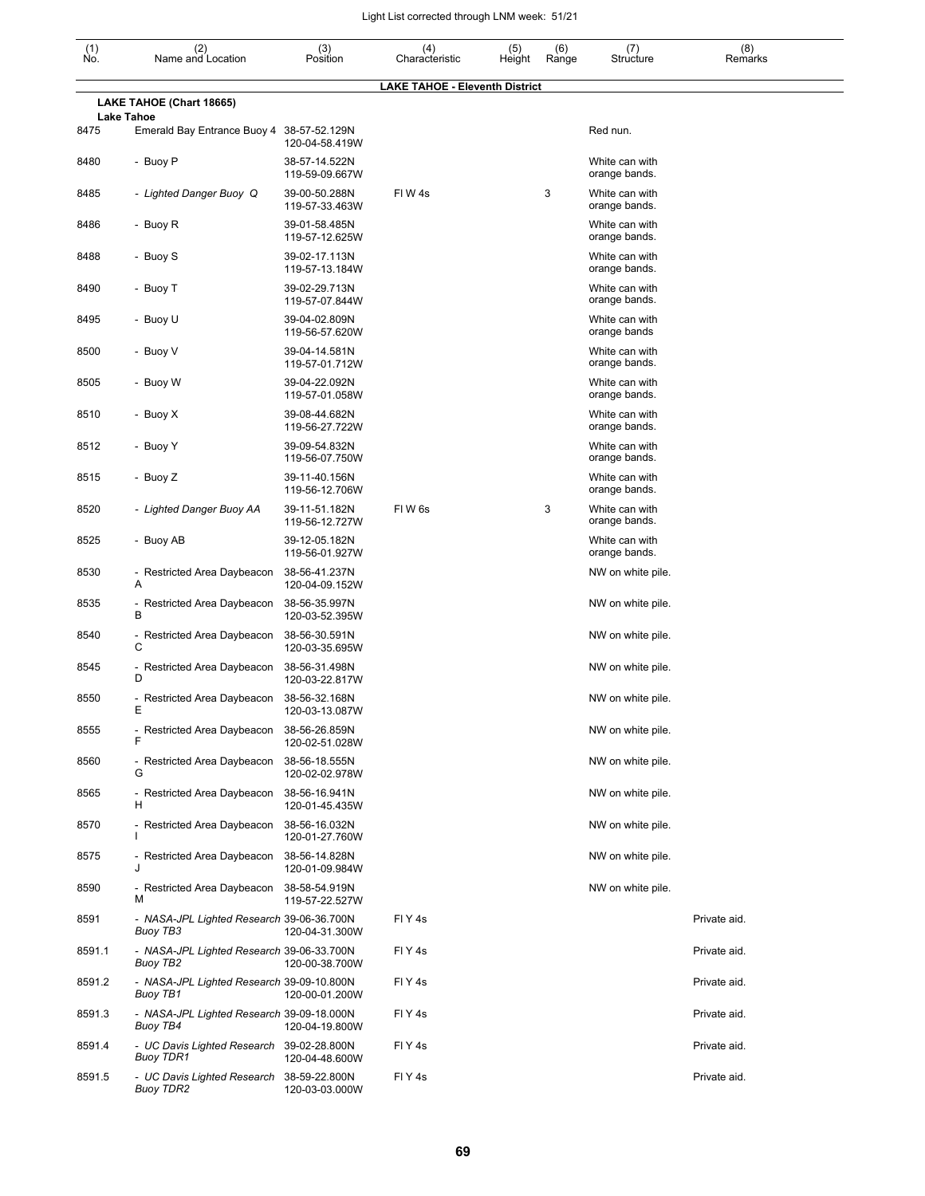| $\begin{smallmatrix} (1) \\ \mathsf{No} \end{smallmatrix}$ | (2)<br>Name and Location                                      | (3)<br>Position                 | (4)<br>Characteristic                 | (5)<br>Height | (6)<br>Range | (7)<br>Structure                | (8)<br>Remarks |
|------------------------------------------------------------|---------------------------------------------------------------|---------------------------------|---------------------------------------|---------------|--------------|---------------------------------|----------------|
|                                                            | LAKE TAHOE (Chart 18665)                                      |                                 | <b>LAKE TAHOE - Eleventh District</b> |               |              |                                 |                |
| 8475                                                       | <b>Lake Tahoe</b><br>Emerald Bay Entrance Buoy 4              | 38-57-52.129N                   |                                       |               |              | Red nun.                        |                |
|                                                            |                                                               | 120-04-58.419W                  |                                       |               |              |                                 |                |
| 8480                                                       | - Buoy P                                                      | 38-57-14.522N<br>119-59-09.667W |                                       |               |              | White can with<br>orange bands. |                |
| 8485                                                       | - Lighted Danger Buoy Q                                       | 39-00-50.288N<br>119-57-33.463W | FIW4s                                 |               | 3            | White can with<br>orange bands. |                |
| 8486                                                       | - Buoy R                                                      | 39-01-58.485N<br>119-57-12.625W |                                       |               |              | White can with<br>orange bands. |                |
| 8488                                                       | - Buoy S                                                      | 39-02-17.113N<br>119-57-13.184W |                                       |               |              | White can with<br>orange bands. |                |
| 8490                                                       | - Buoy T                                                      | 39-02-29.713N<br>119-57-07.844W |                                       |               |              | White can with<br>orange bands. |                |
| 8495                                                       | - Buoy U                                                      | 39-04-02.809N<br>119-56-57.620W |                                       |               |              | White can with<br>orange bands  |                |
| 8500                                                       | - Buoy V                                                      | 39-04-14.581N<br>119-57-01.712W |                                       |               |              | White can with<br>orange bands. |                |
| 8505                                                       | - Buoy W                                                      | 39-04-22.092N<br>119-57-01.058W |                                       |               |              | White can with<br>orange bands. |                |
| 8510                                                       | - Buoy X                                                      | 39-08-44.682N<br>119-56-27.722W |                                       |               |              | White can with<br>orange bands. |                |
| 8512                                                       | - Buoy Y                                                      | 39-09-54.832N<br>119-56-07.750W |                                       |               |              | White can with<br>orange bands. |                |
| 8515                                                       | - Buoy Z                                                      | 39-11-40.156N<br>119-56-12.706W |                                       |               |              | White can with<br>orange bands. |                |
| 8520                                                       | - Lighted Danger Buoy AA                                      | 39-11-51.182N<br>119-56-12.727W | FIW <sub>6s</sub>                     |               | 3            | White can with<br>orange bands. |                |
| 8525                                                       | - Buoy AB                                                     | 39-12-05.182N<br>119-56-01.927W |                                       |               |              | White can with<br>orange bands. |                |
| 8530                                                       | - Restricted Area Daybeacon<br>Α                              | 38-56-41.237N<br>120-04-09.152W |                                       |               |              | NW on white pile.               |                |
| 8535                                                       | - Restricted Area Daybeacon<br>в                              | 38-56-35.997N<br>120-03-52.395W |                                       |               |              | NW on white pile.               |                |
| 8540                                                       | - Restricted Area Daybeacon<br>С                              | 38-56-30.591N<br>120-03-35.695W |                                       |               |              | NW on white pile.               |                |
| 8545                                                       | - Restricted Area Daybeacon<br>D                              | 38-56-31.498N<br>120-03-22.817W |                                       |               |              | NW on white pile.               |                |
| 8550                                                       | - Restricted Area Daybeacon<br>Ε                              | 38-56-32.168N<br>120-03-13.087W |                                       |               |              | NW on white pile.               |                |
| 8555                                                       | - Restricted Area Daybeacon<br>F                              | 38-56-26.859N<br>120-02-51.028W |                                       |               |              | NW on white pile.               |                |
| 8560                                                       | - Restricted Area Daybeacon<br>G                              | 38-56-18.555N<br>120-02-02.978W |                                       |               |              | NW on white pile.               |                |
| 8565                                                       | - Restricted Area Daybeacon<br>н                              | 38-56-16.941N<br>120-01-45.435W |                                       |               |              | NW on white pile.               |                |
| 8570                                                       | - Restricted Area Daybeacon<br>ı                              | 38-56-16.032N<br>120-01-27.760W |                                       |               |              | NW on white pile.               |                |
| 8575                                                       | - Restricted Area Daybeacon<br>J                              | 38-56-14.828N<br>120-01-09.984W |                                       |               |              | NW on white pile.               |                |
| 8590                                                       | - Restricted Area Daybeacon<br>м                              | 38-58-54.919N<br>119-57-22.527W |                                       |               |              | NW on white pile.               |                |
| 8591                                                       | - NASA-JPL Lighted Research 39-06-36.700N<br>Buoy TB3         | 120-04-31.300W                  | FIY <sub>4</sub> s                    |               |              |                                 | Private aid.   |
| 8591.1                                                     | - NASA-JPL Lighted Research 39-06-33.700N<br>Buoy TB2         | 120-00-38.700W                  | FIY4s                                 |               |              |                                 | Private aid.   |
| 8591.2                                                     | - NASA-JPL Lighted Research 39-09-10.800N<br>Buoy TB1         | 120-00-01.200W                  | FIY <sub>4</sub> s                    |               |              |                                 | Private aid.   |
| 8591.3                                                     | - NASA-JPL Lighted Research 39-09-18.000N<br>Buoy TB4         | 120-04-19.800W                  | FIY <sub>4</sub> s                    |               |              |                                 | Private aid.   |
| 8591.4                                                     | - UC Davis Lighted Research 39-02-28.800N<br>Buoy TDR1        | 120-04-48.600W                  | FIY <sub>4</sub> s                    |               |              |                                 | Private aid.   |
| 8591.5                                                     | - UC Davis Lighted Research 38-59-22.800N<br><b>Buoy TDR2</b> | 120-03-03.000W                  | FIY4s                                 |               |              |                                 | Private aid.   |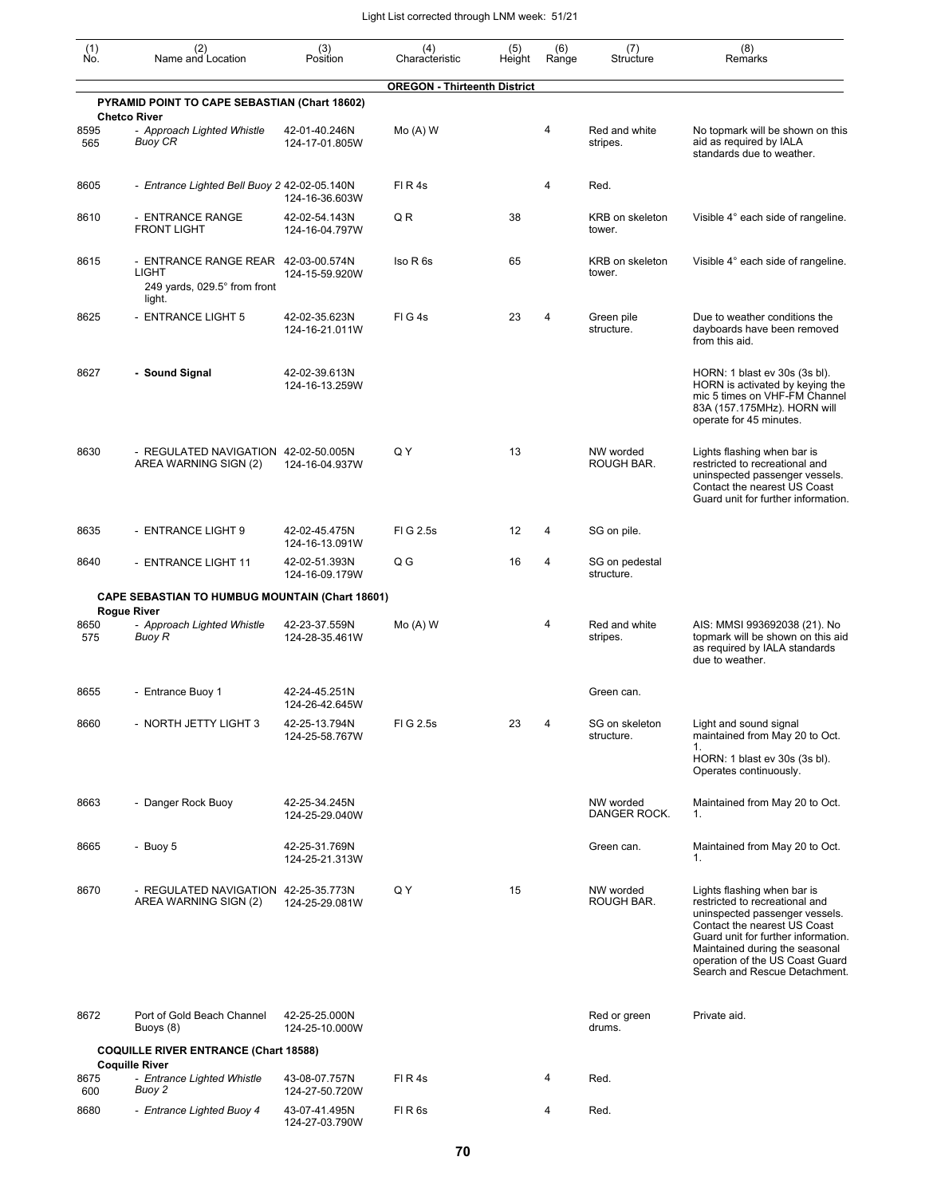| (1)<br>Ñó.  | (2)<br>Name and Location                                                               | (3)<br>Position                 | (4)<br>Characteristic               | (5)<br>Height | (6)<br>Range   | (7)<br>Structure             | (8)<br>Remarks                                                                                                                                                                                                                                                               |
|-------------|----------------------------------------------------------------------------------------|---------------------------------|-------------------------------------|---------------|----------------|------------------------------|------------------------------------------------------------------------------------------------------------------------------------------------------------------------------------------------------------------------------------------------------------------------------|
|             | PYRAMID POINT TO CAPE SEBASTIAN (Chart 18602)                                          |                                 | <b>OREGON - Thirteenth District</b> |               |                |                              |                                                                                                                                                                                                                                                                              |
| 8595<br>565 | <b>Chetco River</b><br>- Approach Lighted Whistle<br>Buoy CR                           | 42-01-40.246N<br>124-17-01.805W | $Mo(A)$ W                           |               | 4              | Red and white<br>stripes.    | No topmark will be shown on this<br>aid as required by IALA                                                                                                                                                                                                                  |
|             |                                                                                        |                                 |                                     |               |                |                              | standards due to weather.                                                                                                                                                                                                                                                    |
| 8605        | - Entrance Lighted Bell Buoy 2 42-02-05.140N                                           | 124-16-36.603W                  | FIR4s                               |               | 4              | Red.                         |                                                                                                                                                                                                                                                                              |
| 8610        | - ENTRANCE RANGE<br><b>FRONT LIGHT</b>                                                 | 42-02-54.143N<br>124-16-04.797W | QR                                  | 38            |                | KRB on skeleton<br>tower.    | Visible 4° each side of rangeline.                                                                                                                                                                                                                                           |
| 8615        | - ENTRANCE RANGE REAR 42-03-00.574N<br>LIGHT<br>249 yards, 029.5° from front<br>light. | 124-15-59.920W                  | Iso R <sub>6s</sub>                 | 65            |                | KRB on skeleton<br>tower.    | Visible 4° each side of rangeline.                                                                                                                                                                                                                                           |
| 8625        | - ENTRANCE LIGHT 5                                                                     | 42-02-35.623N<br>124-16-21.011W | FIG4s                               | 23            | $\overline{4}$ | Green pile<br>structure.     | Due to weather conditions the<br>dayboards have been removed<br>from this aid.                                                                                                                                                                                               |
| 8627        | - Sound Signal                                                                         | 42-02-39.613N<br>124-16-13.259W |                                     |               |                |                              | HORN: 1 blast ev 30s (3s bl).<br>HORN is activated by keying the<br>mic 5 times on VHF-FM Channel<br>83A (157.175MHz). HORN will<br>operate for 45 minutes.                                                                                                                  |
| 8630        | - REGULATED NAVIGATION 42-02-50.005N<br>AREA WARNING SIGN (2)                          | 124-16-04.937W                  | QY                                  | 13            |                | NW worded<br>ROUGH BAR.      | Lights flashing when bar is<br>restricted to recreational and<br>uninspected passenger vessels.<br>Contact the nearest US Coast<br>Guard unit for further information.                                                                                                       |
| 8635        | - ENTRANCE LIGHT 9                                                                     | 42-02-45.475N<br>124-16-13.091W | FIG 2.5s                            | 12            | 4              | SG on pile.                  |                                                                                                                                                                                                                                                                              |
| 8640        | - ENTRANCE LIGHT 11                                                                    | 42-02-51.393N<br>124-16-09.179W | Q G                                 | 16            | 4              | SG on pedestal<br>structure. |                                                                                                                                                                                                                                                                              |
|             | <b>CAPE SEBASTIAN TO HUMBUG MOUNTAIN (Chart 18601)</b><br><b>Rogue River</b>           |                                 |                                     |               |                |                              |                                                                                                                                                                                                                                                                              |
| 8650<br>575 | - Approach Lighted Whistle<br>Buoy R                                                   | 42-23-37.559N<br>124-28-35.461W | $Mo(A)$ W                           |               | 4              | Red and white<br>stripes.    | AIS: MMSI 993692038 (21). No<br>topmark will be shown on this aid<br>as required by IALA standards<br>due to weather.                                                                                                                                                        |
| 8655        | - Entrance Buoy 1                                                                      | 42-24-45.251N<br>124-26-42.645W |                                     |               |                | Green can.                   |                                                                                                                                                                                                                                                                              |
| 8660        | - NORTH JETTY LIGHT 3                                                                  | 42-25-13.794N<br>124-25-58.767W | FIG 2.5s                            | 23            | 4              | SG on skeleton<br>structure. | Light and sound signal<br>maintained from May 20 to Oct.<br>1.                                                                                                                                                                                                               |
|             |                                                                                        |                                 |                                     |               |                |                              | HORN: 1 blast ev 30s (3s bl).<br>Operates continuously.                                                                                                                                                                                                                      |
| 8663        | - Danger Rock Buoy                                                                     | 42-25-34.245N<br>124-25-29.040W |                                     |               |                | NW worded<br>DANGER ROCK.    | Maintained from May 20 to Oct.<br>1.                                                                                                                                                                                                                                         |
| 8665        | - Buoy 5                                                                               | 42-25-31.769N<br>124-25-21.313W |                                     |               |                | Green can.                   | Maintained from May 20 to Oct.<br>1.                                                                                                                                                                                                                                         |
| 8670        | - REGULATED NAVIGATION 42-25-35.773N<br>AREA WARNING SIGN (2)                          | 124-25-29.081W                  | Q Y                                 | 15            |                | NW worded<br>ROUGH BAR.      | Lights flashing when bar is<br>restricted to recreational and<br>uninspected passenger vessels.<br>Contact the nearest US Coast<br>Guard unit for further information.<br>Maintained during the seasonal<br>operation of the US Coast Guard<br>Search and Rescue Detachment. |
| 8672        | Port of Gold Beach Channel<br>Buoys (8)                                                | 42-25-25.000N<br>124-25-10.000W |                                     |               |                | Red or green<br>drums.       | Private aid.                                                                                                                                                                                                                                                                 |
|             | <b>COQUILLE RIVER ENTRANCE (Chart 18588)</b><br><b>Coquille River</b>                  |                                 |                                     |               |                |                              |                                                                                                                                                                                                                                                                              |
| 8675<br>600 | - Entrance Lighted Whistle<br>Buoy 2                                                   | 43-08-07.757N<br>124-27-50.720W | FIR4s                               |               | 4              | Red.                         |                                                                                                                                                                                                                                                                              |
| 8680        | - Entrance Lighted Buoy 4                                                              | 43-07-41.495N<br>124-27-03.790W | FIR <sub>6s</sub>                   |               | 4              | Red.                         |                                                                                                                                                                                                                                                                              |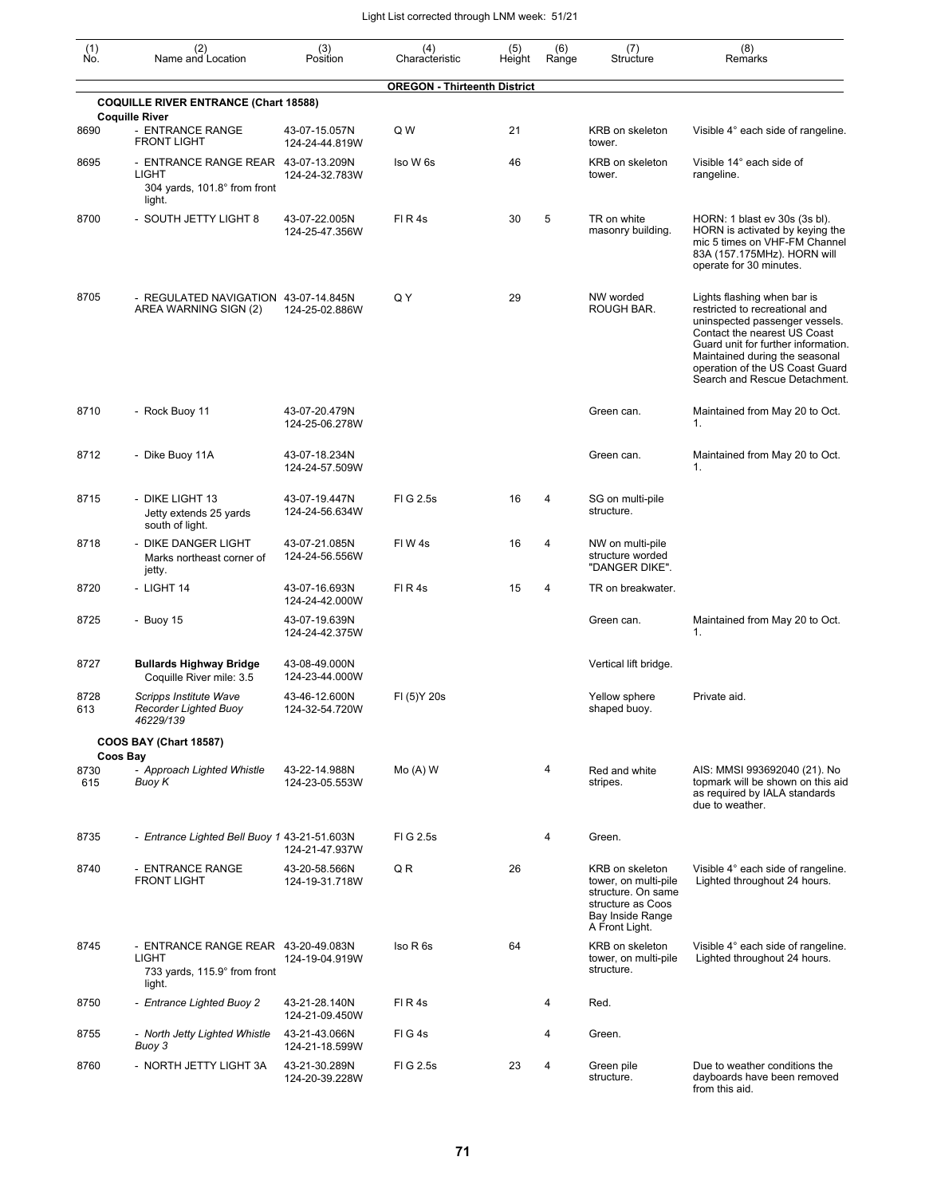| (1)<br>No.              | (2)<br>Name and Location                                                               | (3)<br>Position                 | (4)<br>Characteristic               | (5)<br>Height | (6)<br>Range   | (7)<br>Structure                                                                                                         | (8)<br>Remarks                                                                                                                                                                                                                                                               |
|-------------------------|----------------------------------------------------------------------------------------|---------------------------------|-------------------------------------|---------------|----------------|--------------------------------------------------------------------------------------------------------------------------|------------------------------------------------------------------------------------------------------------------------------------------------------------------------------------------------------------------------------------------------------------------------------|
|                         |                                                                                        |                                 | <b>OREGON - Thirteenth District</b> |               |                |                                                                                                                          |                                                                                                                                                                                                                                                                              |
|                         | <b>COQUILLE RIVER ENTRANCE (Chart 18588)</b>                                           |                                 |                                     |               |                |                                                                                                                          |                                                                                                                                                                                                                                                                              |
| 8690                    | <b>Coquille River</b><br>- ENTRANCE RANGE<br><b>FRONT LIGHT</b>                        | 43-07-15.057N<br>124-24-44.819W | Q W                                 | 21            |                | KRB on skeleton<br>tower.                                                                                                | Visible 4° each side of rangeline.                                                                                                                                                                                                                                           |
| 8695                    | - ENTRANCE RANGE REAR 43-07-13.209N<br>LIGHT<br>304 yards, 101.8° from front<br>light. | 124-24-32.783W                  | Iso W 6s                            | 46            |                | KRB on skeleton<br>tower.                                                                                                | Visible 14° each side of<br>rangeline.                                                                                                                                                                                                                                       |
| 8700                    | - SOUTH JETTY LIGHT 8                                                                  | 43-07-22.005N<br>124-25-47.356W | FIR4s                               | 30            | 5              | TR on white<br>masonry building.                                                                                         | HORN: 1 blast ev 30s (3s bl).<br>HORN is activated by keying the<br>mic 5 times on VHF-FM Channel<br>83A (157.175MHz). HORN will<br>operate for 30 minutes.                                                                                                                  |
| 8705                    | - REGULATED NAVIGATION 43-07-14.845N<br>AREA WARNING SIGN (2)                          | 124-25-02.886W                  | Q Y                                 | 29            |                | NW worded<br>ROUGH BAR.                                                                                                  | Lights flashing when bar is<br>restricted to recreational and<br>uninspected passenger vessels.<br>Contact the nearest US Coast<br>Guard unit for further information.<br>Maintained during the seasonal<br>operation of the US Coast Guard<br>Search and Rescue Detachment. |
| 8710                    | - Rock Buoy 11                                                                         | 43-07-20.479N<br>124-25-06.278W |                                     |               |                | Green can.                                                                                                               | Maintained from May 20 to Oct.<br>1.                                                                                                                                                                                                                                         |
| 8712                    | - Dike Buoy 11A                                                                        | 43-07-18.234N<br>124-24-57.509W |                                     |               |                | Green can.                                                                                                               | Maintained from May 20 to Oct.<br>1.                                                                                                                                                                                                                                         |
| 8715                    | - DIKE LIGHT 13<br>Jetty extends 25 yards<br>south of light.                           | 43-07-19.447N<br>124-24-56.634W | FIG 2.5s                            | 16            | 4              | SG on multi-pile<br>structure.                                                                                           |                                                                                                                                                                                                                                                                              |
| 8718                    | DIKE DANGER LIGHT<br>Marks northeast corner of<br>jetty.                               | 43-07-21.085N<br>124-24-56.556W | FIW4s                               | 16            | 4              | NW on multi-pile<br>structure worded<br>"DANGER DIKE".                                                                   |                                                                                                                                                                                                                                                                              |
| 8720                    | - LIGHT 14                                                                             | 43-07-16.693N<br>124-24-42.000W | FIR4s                               | 15            | 4              | TR on breakwater.                                                                                                        |                                                                                                                                                                                                                                                                              |
| 8725                    | - Buoy 15                                                                              | 43-07-19.639N<br>124-24-42.375W |                                     |               |                | Green can.                                                                                                               | Maintained from May 20 to Oct.<br>1.                                                                                                                                                                                                                                         |
| 8727                    | <b>Bullards Highway Bridge</b><br>Coquille River mile: 3.5                             | 43-08-49.000N<br>124-23-44.000W |                                     |               |                | Vertical lift bridge.                                                                                                    |                                                                                                                                                                                                                                                                              |
| 8728<br>613             | Scripps Institute Wave<br>Recorder Lighted Buoy<br>46229/139                           | 43-46-12.600N<br>124-32-54.720W | FI (5) Y 20s                        |               |                | Yellow sphere<br>shaped buoy.                                                                                            | Private aid.                                                                                                                                                                                                                                                                 |
|                         | <b>COOS BAY (Chart 18587)</b>                                                          |                                 |                                     |               |                |                                                                                                                          |                                                                                                                                                                                                                                                                              |
| Coos Bay<br>8730<br>615 | - Approach Lighted Whistle<br>Buoy K                                                   | 43-22-14.988N<br>124-23-05.553W | $Mo(A)$ W                           |               | 4              | Red and white<br>stripes.                                                                                                | AIS: MMSI 993692040 (21). No<br>topmark will be shown on this aid<br>as required by IALA standards<br>due to weather.                                                                                                                                                        |
| 8735                    | - Entrance Lighted Bell Buoy 1 43-21-51.603N                                           | 124-21-47.937W                  | FIG 2.5s                            |               | 4              | Green.                                                                                                                   |                                                                                                                                                                                                                                                                              |
| 8740                    | - ENTRANCE RANGE<br><b>FRONT LIGHT</b>                                                 | 43-20-58.566N<br>124-19-31.718W | QR.                                 | 26            |                | KRB on skeleton<br>tower, on multi-pile<br>structure. On same<br>structure as Coos<br>Bay Inside Range<br>A Front Light. | Visible 4° each side of rangeline.<br>Lighted throughout 24 hours.                                                                                                                                                                                                           |
| 8745                    | - ENTRANCE RANGE REAR 43-20-49.083N<br>LIGHT<br>733 yards, 115.9° from front<br>light. | 124-19-04.919W                  | Iso R 6s                            | 64            |                | KRB on skeleton<br>tower, on multi-pile<br>structure.                                                                    | Visible 4° each side of rangeline.<br>Lighted throughout 24 hours.                                                                                                                                                                                                           |
| 8750                    | - Entrance Lighted Buoy 2                                                              | 43-21-28.140N<br>124-21-09.450W | FIR4s                               |               | 4              | Red.                                                                                                                     |                                                                                                                                                                                                                                                                              |
| 8755                    | - North Jetty Lighted Whistle<br>Buoy 3                                                | 43-21-43.066N<br>124-21-18.599W | FIG4s                               |               | 4              | Green.                                                                                                                   |                                                                                                                                                                                                                                                                              |
| 8760                    | - NORTH JETTY LIGHT 3A                                                                 | 43-21-30.289N<br>124-20-39.228W | FIG 2.5s                            | 23            | $\overline{4}$ | Green pile<br>structure.                                                                                                 | Due to weather conditions the<br>dayboards have been removed<br>from this aid.                                                                                                                                                                                               |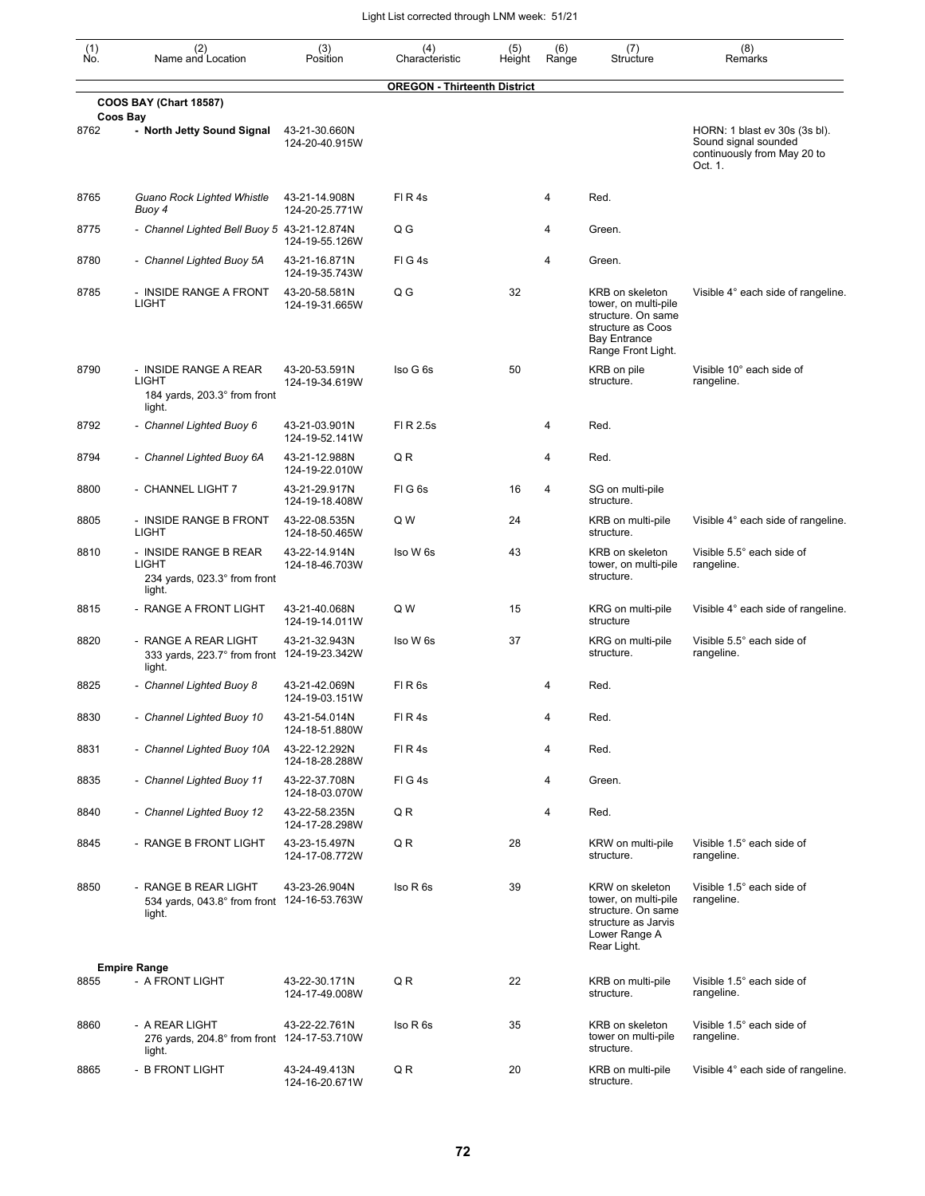| (1)<br>Ño. | (2)<br>Name and Location                                                      | (3)<br>Position                 | (4)<br>Characteristic               | (5)<br>Height | (6)<br>Range | (7)<br>Structure                                                                                                                | (8)<br>Remarks                                                                                  |
|------------|-------------------------------------------------------------------------------|---------------------------------|-------------------------------------|---------------|--------------|---------------------------------------------------------------------------------------------------------------------------------|-------------------------------------------------------------------------------------------------|
|            | <b>COOS BAY (Chart 18587)</b>                                                 |                                 | <b>OREGON - Thirteenth District</b> |               |              |                                                                                                                                 |                                                                                                 |
|            | Coos Bay                                                                      |                                 |                                     |               |              |                                                                                                                                 |                                                                                                 |
| 8762       | - North Jetty Sound Signal                                                    | 43-21-30.660N<br>124-20-40.915W |                                     |               |              |                                                                                                                                 | HORN: 1 blast ev 30s (3s bl).<br>Sound signal sounded<br>continuously from May 20 to<br>Oct. 1. |
| 8765       | Guano Rock Lighted Whistle<br>Buoy 4                                          | 43-21-14.908N<br>124-20-25.771W | FIR4s                               |               | 4            | Red.                                                                                                                            |                                                                                                 |
| 8775       | - Channel Lighted Bell Buoy 5 43-21-12.874N                                   | 124-19-55.126W                  | Q G                                 |               | 4            | Green.                                                                                                                          |                                                                                                 |
| 8780       | - Channel Lighted Buoy 5A                                                     | 43-21-16.871N<br>124-19-35.743W | FIG4s                               |               | 4            | Green.                                                                                                                          |                                                                                                 |
| 8785       | - INSIDE RANGE A FRONT<br><b>LIGHT</b>                                        | 43-20-58.581N<br>124-19-31.665W | Q G                                 | 32            |              | KRB on skeleton<br>tower, on multi-pile<br>structure. On same<br>structure as Coos<br><b>Bay Entrance</b><br>Range Front Light. | Visible 4° each side of rangeline.                                                              |
| 8790       | - INSIDE RANGE A REAR<br>LIGHT<br>184 yards, 203.3° from front<br>light.      | 43-20-53.591N<br>124-19-34.619W | Iso G 6s                            | 50            |              | KRB on pile<br>structure.                                                                                                       | Visible 10° each side of<br>rangeline.                                                          |
| 8792       | - Channel Lighted Buoy 6                                                      | 43-21-03.901N<br>124-19-52.141W | FI R 2.5s                           |               | 4            | Red.                                                                                                                            |                                                                                                 |
| 8794       | - Channel Lighted Buoy 6A                                                     | 43-21-12.988N<br>124-19-22.010W | QR                                  |               | 4            | Red.                                                                                                                            |                                                                                                 |
| 8800       | - CHANNEL LIGHT 7                                                             | 43-21-29.917N<br>124-19-18.408W | FIG6s                               | 16            | 4            | SG on multi-pile<br>structure.                                                                                                  |                                                                                                 |
| 8805       | - INSIDE RANGE B FRONT<br><b>LIGHT</b>                                        | 43-22-08.535N<br>124-18-50.465W | Q W                                 | 24            |              | KRB on multi-pile<br>structure.                                                                                                 | Visible 4° each side of rangeline.                                                              |
| 8810       | - INSIDE RANGE B REAR<br>LIGHT<br>234 yards, 023.3° from front<br>light.      | 43-22-14.914N<br>124-18-46.703W | Iso W 6s                            | 43            |              | KRB on skeleton<br>tower, on multi-pile<br>structure.                                                                           | Visible 5.5° each side of<br>rangeline.                                                         |
| 8815       | - RANGE A FRONT LIGHT                                                         | 43-21-40.068N<br>124-19-14.011W | Q W                                 | 15            |              | KRG on multi-pile<br>structure                                                                                                  | Visible 4° each side of rangeline.                                                              |
| 8820       | - RANGE A REAR LIGHT<br>333 yards, 223.7° from front 124-19-23.342W<br>light. | 43-21-32.943N                   | Iso W 6s                            | 37            |              | KRG on multi-pile<br>structure.                                                                                                 | Visible 5.5° each side of<br>rangeline.                                                         |
| 8825       | - Channel Lighted Buoy 8                                                      | 43-21-42.069N<br>124-19-03.151W | FIR <sub>6s</sub>                   |               | 4            | Red.                                                                                                                            |                                                                                                 |
| 8830       | - Channel Lighted Buoy 10                                                     | 43-21-54.014N<br>124-18-51.880W | FIR4s                               |               | 4            | Red.                                                                                                                            |                                                                                                 |
| 8831       | - Channel Lighted Buoy 10A                                                    | 43-22-12.292N<br>124-18-28.288W | FIR4s                               |               | 4            | Red.                                                                                                                            |                                                                                                 |
| 8835       | - Channel Lighted Buoy 11                                                     | 43-22-37.708N<br>124-18-03.070W | FIG4s                               |               | 4            | Green.                                                                                                                          |                                                                                                 |
| 8840       | - Channel Lighted Buoy 12                                                     | 43-22-58.235N<br>124-17-28.298W | Q R                                 |               | 4            | Red.                                                                                                                            |                                                                                                 |
| 8845       | - RANGE B FRONT LIGHT                                                         | 43-23-15.497N<br>124-17-08.772W | QR                                  | 28            |              | KRW on multi-pile<br>structure.                                                                                                 | Visible 1.5° each side of<br>rangeline.                                                         |
| 8850       | - RANGE B REAR LIGHT<br>534 yards, 043.8° from front 124-16-53.763W<br>light. | 43-23-26.904N                   | Iso R <sub>6s</sub>                 | 39            |              | KRW on skeleton<br>tower, on multi-pile<br>structure. On same<br>structure as Jarvis<br>Lower Range A<br>Rear Light.            | Visible 1.5° each side of<br>rangeline.                                                         |
|            | <b>Empire Range</b>                                                           |                                 |                                     |               |              |                                                                                                                                 |                                                                                                 |
| 8855       | - A FRONT LIGHT                                                               | 43-22-30.171N<br>124-17-49.008W | Q R                                 | 22            |              | KRB on multi-pile<br>structure.                                                                                                 | Visible 1.5° each side of<br>rangeline.                                                         |
| 8860       | - A REAR LIGHT<br>276 yards, 204.8° from front 124-17-53.710W<br>light.       | 43-22-22.761N                   | Iso R 6s                            | 35            |              | KRB on skeleton<br>tower on multi-pile<br>structure.                                                                            | Visible 1.5° each side of<br>rangeline.                                                         |
| 8865       | - B FRONT LIGHT                                                               | 43-24-49.413N<br>124-16-20.671W | QR                                  | 20            |              | KRB on multi-pile<br>structure.                                                                                                 | Visible 4° each side of rangeline.                                                              |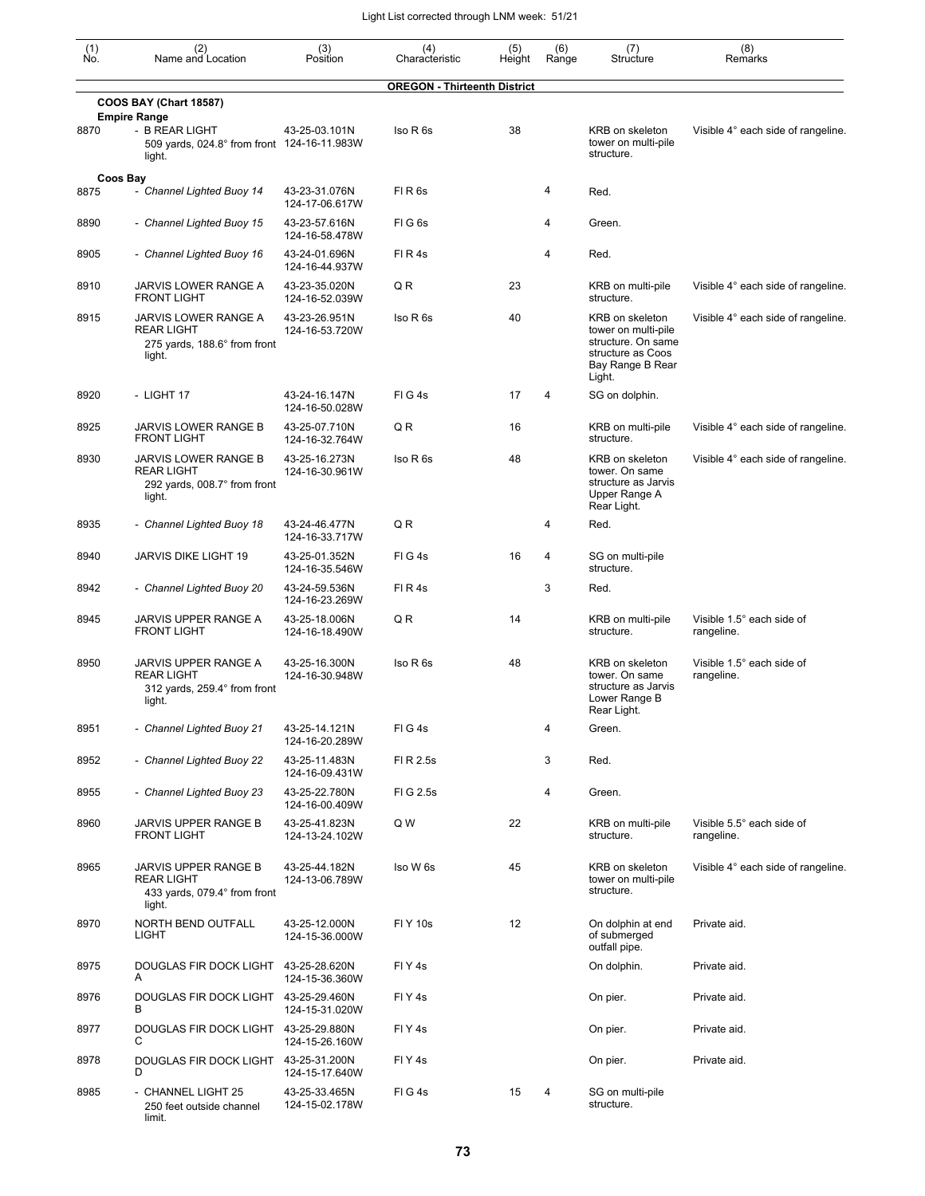| (1)<br>Ño. | (2)<br>Name and Location                                                                       | (3)<br>Position                 | (4)<br>Characteristic               | (5)<br>Height | (6)<br>Range | (7)<br>Structure                                                                                                | (8)<br>Remarks                          |
|------------|------------------------------------------------------------------------------------------------|---------------------------------|-------------------------------------|---------------|--------------|-----------------------------------------------------------------------------------------------------------------|-----------------------------------------|
|            |                                                                                                |                                 | <b>OREGON - Thirteenth District</b> |               |              |                                                                                                                 |                                         |
|            | <b>COOS BAY (Chart 18587)</b>                                                                  |                                 |                                     |               |              |                                                                                                                 |                                         |
| 8870       | <b>Empire Range</b><br>- B REAR LIGHT<br>509 yards, 024.8° from front 124-16-11.983W<br>light. | 43-25-03.101N                   | Iso R 6s                            | 38            |              | KRB on skeleton<br>tower on multi-pile<br>structure.                                                            | Visible 4° each side of rangeline.      |
| 8875       | Coos Bay<br>- Channel Lighted Buoy 14                                                          | 43-23-31.076N                   | FIR <sub>6s</sub>                   |               | 4            | Red.                                                                                                            |                                         |
|            |                                                                                                | 124-17-06.617W                  |                                     |               |              |                                                                                                                 |                                         |
| 8890       | - Channel Lighted Buoy 15                                                                      | 43-23-57.616N<br>124-16-58.478W | FIG <sub>6s</sub>                   |               | 4            | Green.                                                                                                          |                                         |
| 8905       | - Channel Lighted Buoy 16                                                                      | 43-24-01.696N<br>124-16-44.937W | FIR4s                               |               | 4            | Red.                                                                                                            |                                         |
| 8910       | JARVIS LOWER RANGE A<br><b>FRONT LIGHT</b>                                                     | 43-23-35.020N<br>124-16-52.039W | QR                                  | 23            |              | KRB on multi-pile<br>structure.                                                                                 | Visible 4° each side of rangeline.      |
| 8915       | JARVIS LOWER RANGE A<br><b>REAR LIGHT</b><br>275 yards, 188.6° from front<br>light.            | 43-23-26.951N<br>124-16-53.720W | Iso R 6s                            | 40            |              | KRB on skeleton<br>tower on multi-pile<br>structure. On same<br>structure as Coos<br>Bay Range B Rear<br>Light. | Visible 4° each side of rangeline.      |
| 8920       | - LIGHT 17                                                                                     | 43-24-16.147N<br>124-16-50.028W | $FI$ G 4s                           | 17            | 4            | SG on dolphin.                                                                                                  |                                         |
| 8925       | JARVIS LOWER RANGE B<br><b>FRONT LIGHT</b>                                                     | 43-25-07.710N<br>124-16-32.764W | Q R                                 | 16            |              | KRB on multi-pile<br>structure.                                                                                 | Visible 4° each side of rangeline.      |
| 8930       | JARVIS LOWER RANGE B<br><b>REAR LIGHT</b><br>292 yards, 008.7° from front<br>light.            | 43-25-16.273N<br>124-16-30.961W | Iso R 6s                            | 48            |              | <b>KRB</b> on skeleton<br>tower. On same<br>structure as Jarvis<br>Upper Range A<br>Rear Light.                 | Visible 4° each side of rangeline.      |
| 8935       | - Channel Lighted Buoy 18                                                                      | 43-24-46.477N<br>124-16-33.717W | QR                                  |               | 4            | Red.                                                                                                            |                                         |
| 8940       | JARVIS DIKE LIGHT 19                                                                           | 43-25-01.352N<br>124-16-35.546W | FIG4s                               | 16            | 4            | SG on multi-pile<br>structure.                                                                                  |                                         |
| 8942       | - Channel Lighted Buoy 20                                                                      | 43-24-59.536N<br>124-16-23.269W | FIR4s                               |               | 3            | Red.                                                                                                            |                                         |
| 8945       | JARVIS UPPER RANGE A<br><b>FRONT LIGHT</b>                                                     | 43-25-18.006N<br>124-16-18.490W | Q R                                 | 14            |              | KRB on multi-pile<br>structure.                                                                                 | Visible 1.5° each side of<br>rangeline. |
| 8950       | JARVIS UPPER RANGE A<br><b>REAR LIGHT</b><br>312 yards, 259.4° from front<br>light.            | 43-25-16.300N<br>124-16-30.948W | Iso R <sub>6s</sub>                 | 48            |              | <b>KRB on skeleton</b><br>tower. On same<br>structure as Jarvis<br>Lower Range B<br>Rear Light.                 | Visible 1.5° each side of<br>rangeline. |
| 8951       | - Channel Lighted Buoy 21                                                                      | 43-25-14.121N<br>124-16-20.289W | FIG4s                               |               | 4            | Green.                                                                                                          |                                         |
| 8952       | - Channel Lighted Buoy 22                                                                      | 43-25-11.483N<br>124-16-09.431W | FI R 2.5s                           |               | 3            | Red.                                                                                                            |                                         |
| 8955       | - Channel Lighted Buoy 23                                                                      | 43-25-22.780N<br>124-16-00.409W | FIG 2.5s                            |               | 4            | Green.                                                                                                          |                                         |
| 8960       | JARVIS UPPER RANGE B<br><b>FRONT LIGHT</b>                                                     | 43-25-41.823N<br>124-13-24.102W | Q W                                 | 22            |              | KRB on multi-pile<br>structure.                                                                                 | Visible 5.5° each side of<br>rangeline. |
| 8965       | JARVIS UPPER RANGE B<br><b>REAR LIGHT</b><br>433 yards, 079.4° from front<br>light.            | 43-25-44.182N<br>124-13-06.789W | Iso W 6s                            | 45            |              | KRB on skeleton<br>tower on multi-pile<br>structure.                                                            | Visible 4° each side of rangeline.      |
| 8970       | NORTH BEND OUTFALL<br><b>LIGHT</b>                                                             | 43-25-12.000N<br>124-15-36.000W | <b>FIY 10s</b>                      | 12            |              | On dolphin at end<br>of submerged<br>outfall pipe.                                                              | Private aid.                            |
| 8975       | DOUGLAS FIR DOCK LIGHT<br>A                                                                    | 43-25-28.620N<br>124-15-36.360W | FIY4s                               |               |              | On dolphin.                                                                                                     | Private aid.                            |
| 8976       | DOUGLAS FIR DOCK LIGHT 43-25-29.460N<br>В                                                      | 124-15-31.020W                  | FIY4s                               |               |              | On pier.                                                                                                        | Private aid.                            |
| 8977       | DOUGLAS FIR DOCK LIGHT<br>С                                                                    | 43-25-29.880N<br>124-15-26.160W | FIY4s                               |               |              | On pier.                                                                                                        | Private aid.                            |
| 8978       | DOUGLAS FIR DOCK LIGHT<br>D                                                                    | 43-25-31.200N<br>124-15-17.640W | FIY <sub>4s</sub>                   |               |              | On pier.                                                                                                        | Private aid.                            |
| 8985       | - CHANNEL LIGHT 25<br>250 feet outside channel<br>limit.                                       | 43-25-33.465N<br>124-15-02.178W | FIG4s                               | 15            | 4            | SG on multi-pile<br>structure.                                                                                  |                                         |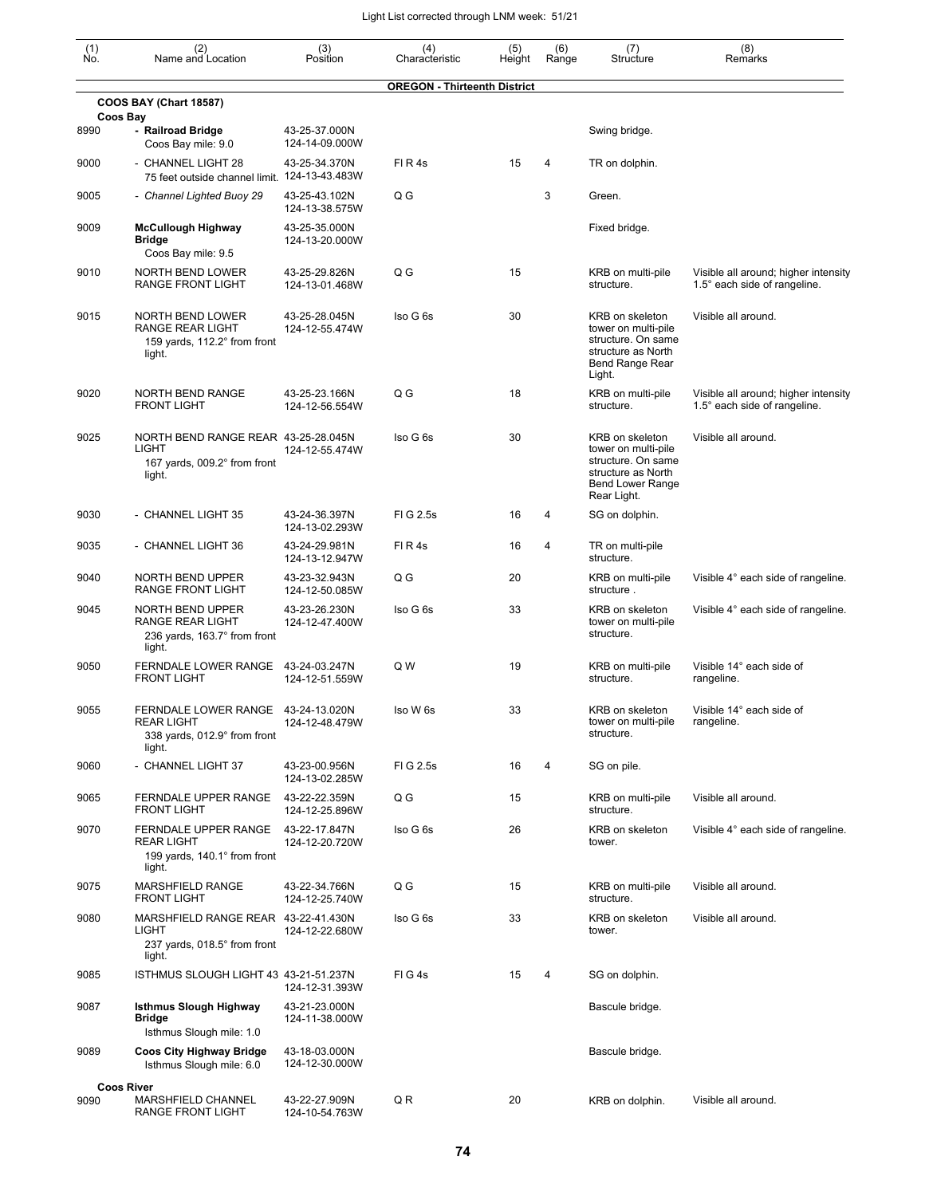| $\begin{smallmatrix} (1) \\ \mathsf{No} \end{smallmatrix}$ | (2)<br>Name and Location                                                                          | (3)<br>Position                 | (4)<br>Characteristic               | (5)<br>Height | (6)<br>Range   | (7)<br>Structure                                                                                                             | (8)<br>Remarks                                                       |
|------------------------------------------------------------|---------------------------------------------------------------------------------------------------|---------------------------------|-------------------------------------|---------------|----------------|------------------------------------------------------------------------------------------------------------------------------|----------------------------------------------------------------------|
|                                                            |                                                                                                   |                                 | <b>OREGON - Thirteenth District</b> |               |                |                                                                                                                              |                                                                      |
|                                                            | <b>COOS BAY (Chart 18587)</b>                                                                     |                                 |                                     |               |                |                                                                                                                              |                                                                      |
| 8990                                                       | Coos Bay<br>- Railroad Bridge<br>Coos Bay mile: 9.0                                               | 43-25-37.000N<br>124-14-09.000W |                                     |               |                | Swing bridge.                                                                                                                |                                                                      |
| 9000                                                       | - CHANNEL LIGHT 28<br>75 feet outside channel limit. 124-13-43.483W                               | 43-25-34.370N                   | FIR4s                               | 15            | 4              | TR on dolphin.                                                                                                               |                                                                      |
| 9005                                                       | - Channel Lighted Buoy 29                                                                         | 43-25-43.102N<br>124-13-38.575W | Q G                                 |               | 3              | Green.                                                                                                                       |                                                                      |
| 9009                                                       | <b>McCullough Highway</b><br>Bridge<br>Coos Bay mile: 9.5                                         | 43-25-35.000N<br>124-13-20.000W |                                     |               |                | Fixed bridge.                                                                                                                |                                                                      |
| 9010                                                       | NORTH BEND LOWER<br><b>RANGE FRONT LIGHT</b>                                                      | 43-25-29.826N<br>124-13-01.468W | Q G                                 | 15            |                | KRB on multi-pile<br>structure.                                                                                              | Visible all around; higher intensity<br>1.5° each side of rangeline. |
| 9015                                                       | NORTH BEND LOWER<br>RANGE REAR LIGHT<br>159 yards, 112.2° from front<br>light.                    | 43-25-28.045N<br>124-12-55.474W | Iso G 6s                            | 30            |                | KRB on skeleton<br>tower on multi-pile<br>structure. On same<br>structure as North<br><b>Bend Range Rear</b><br>Light.       | Visible all around.                                                  |
| 9020                                                       | <b>NORTH BEND RANGE</b><br><b>FRONT LIGHT</b>                                                     | 43-25-23.166N<br>124-12-56.554W | Q G                                 | 18            |                | KRB on multi-pile<br>structure.                                                                                              | Visible all around; higher intensity<br>1.5° each side of rangeline. |
| 9025                                                       | NORTH BEND RANGE REAR 43-25-28.045N<br><b>LIGHT</b><br>167 yards, 009.2° from front<br>light.     | 124-12-55.474W                  | Iso G 6s                            | 30            |                | KRB on skeleton<br>tower on multi-pile<br>structure. On same<br>structure as North<br><b>Bend Lower Range</b><br>Rear Light. | Visible all around.                                                  |
| 9030                                                       | - CHANNEL LIGHT 35                                                                                | 43-24-36.397N<br>124-13-02.293W | FIG 2.5s                            | 16            | $\overline{4}$ | SG on dolphin.                                                                                                               |                                                                      |
| 9035                                                       | - CHANNEL LIGHT 36                                                                                | 43-24-29.981N<br>124-13-12.947W | FIR4s                               | 16            | 4              | TR on multi-pile<br>structure.                                                                                               |                                                                      |
| 9040                                                       | NORTH BEND UPPER<br><b>RANGE FRONT LIGHT</b>                                                      | 43-23-32.943N<br>124-12-50.085W | Q G                                 | 20            |                | KRB on multi-pile<br>structure.                                                                                              | Visible 4° each side of rangeline.                                   |
| 9045                                                       | NORTH BEND UPPER<br><b>RANGE REAR LIGHT</b><br>236 yards, 163.7° from front<br>light.             | 43-23-26.230N<br>124-12-47.400W | Iso G 6s                            | 33            |                | KRB on skeleton<br>tower on multi-pile<br>structure.                                                                         | Visible 4° each side of rangeline.                                   |
| 9050                                                       | FERNDALE LOWER RANGE 43-24-03.247N<br><b>FRONT LIGHT</b>                                          | 124-12-51.559W                  | Q W                                 | 19            |                | KRB on multi-pile<br>structure.                                                                                              | Visible 14° each side of<br>rangeline.                               |
| 9055                                                       | FERNDALE LOWER RANGE 43-24-13.020N<br><b>REAR LIGHT</b><br>338 yards, 012.9° from front<br>light. | 124-12-48.479W                  | Iso W 6s                            | 33            |                | KRB on skeleton<br>tower on multi-pile<br>structure.                                                                         | Visible 14° each side of<br>rangeline.                               |
| 9060                                                       | - CHANNEL LIGHT 37                                                                                | 43-23-00.956N<br>124-13-02.285W | FIG 2.5s                            | 16            | 4              | SG on pile.                                                                                                                  |                                                                      |
| 9065                                                       | <b>FERNDALE UPPER RANGE</b><br><b>FRONT LIGHT</b>                                                 | 43-22-22.359N<br>124-12-25.896W | Q G                                 | 15            |                | KRB on multi-pile<br>structure.                                                                                              | Visible all around.                                                  |
| 9070                                                       | FERNDALE UPPER RANGE<br><b>REAR LIGHT</b><br>199 yards, 140.1° from front<br>light.               | 43-22-17.847N<br>124-12-20.720W | Iso G 6s                            | 26            |                | KRB on skeleton<br>tower.                                                                                                    | Visible 4° each side of rangeline.                                   |
| 9075                                                       | MARSHFIELD RANGE<br><b>FRONT LIGHT</b>                                                            | 43-22-34.766N<br>124-12-25.740W | Q G                                 | 15            |                | KRB on multi-pile<br>structure.                                                                                              | Visible all around.                                                  |
| 9080                                                       | MARSHFIELD RANGE REAR 43-22-41.430N<br><b>LIGHT</b><br>237 yards, 018.5° from front<br>light.     | 124-12-22.680W                  | Iso G 6s                            | 33            |                | KRB on skeleton<br>tower.                                                                                                    | Visible all around.                                                  |
| 9085                                                       | ISTHMUS SLOUGH LIGHT 43 43-21-51.237N                                                             | 124-12-31.393W                  | FIG4s                               | 15            | 4              | SG on dolphin.                                                                                                               |                                                                      |
| 9087                                                       | <b>Isthmus Slough Highway</b><br><b>Bridge</b><br>Isthmus Slough mile: 1.0                        | 43-21-23.000N<br>124-11-38.000W |                                     |               |                | Bascule bridge.                                                                                                              |                                                                      |
| 9089                                                       | <b>Coos City Highway Bridge</b><br>Isthmus Slough mile: 6.0                                       | 43-18-03.000N<br>124-12-30.000W |                                     |               |                | Bascule bridge.                                                                                                              |                                                                      |
|                                                            | <b>Coos River</b>                                                                                 |                                 |                                     |               |                |                                                                                                                              |                                                                      |
| 9090                                                       | MARSHFIELD CHANNEL<br>RANGE FRONT LIGHT                                                           | 43-22-27.909N<br>124-10-54.763W | Q R                                 | 20            |                | KRB on dolphin.                                                                                                              | Visible all around.                                                  |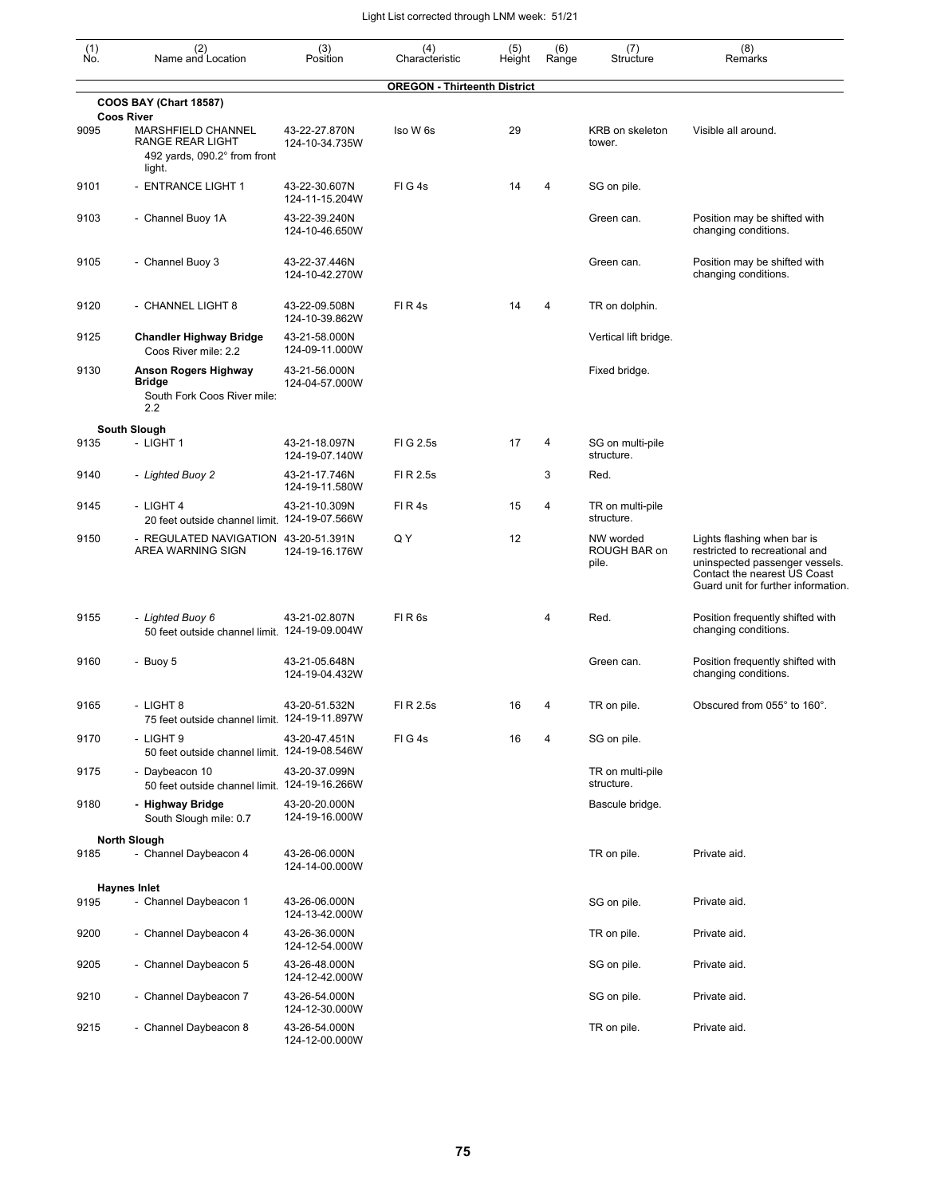| $\begin{smallmatrix} (1) \\ \mathsf{No} \end{smallmatrix}$ | (2)<br>Name and Location                                                           | (3)<br>Position                 | (4)<br>Characteristic               | (5)<br>Height | (6)<br>Range | (7)<br>Structure                   | (8)<br>Remarks                                                                                                                                                         |
|------------------------------------------------------------|------------------------------------------------------------------------------------|---------------------------------|-------------------------------------|---------------|--------------|------------------------------------|------------------------------------------------------------------------------------------------------------------------------------------------------------------------|
|                                                            |                                                                                    |                                 | <b>OREGON - Thirteenth District</b> |               |              |                                    |                                                                                                                                                                        |
|                                                            | <b>COOS BAY (Chart 18587)</b><br><b>Coos River</b>                                 |                                 |                                     |               |              |                                    |                                                                                                                                                                        |
| 9095                                                       | MARSHFIELD CHANNEL<br>RANGE REAR LIGHT<br>492 yards, 090.2° from front<br>light.   | 43-22-27.870N<br>124-10-34.735W | Iso W 6s                            | 29            |              | KRB on skeleton<br>tower.          | Visible all around.                                                                                                                                                    |
| 9101                                                       | - ENTRANCE LIGHT 1                                                                 | 43-22-30.607N<br>124-11-15.204W | FIG4s                               | 14            | 4            | SG on pile.                        |                                                                                                                                                                        |
| 9103                                                       | - Channel Buoy 1A                                                                  | 43-22-39.240N<br>124-10-46.650W |                                     |               |              | Green can.                         | Position may be shifted with<br>changing conditions.                                                                                                                   |
| 9105                                                       | - Channel Buoy 3                                                                   | 43-22-37.446N<br>124-10-42.270W |                                     |               |              | Green can.                         | Position may be shifted with<br>changing conditions.                                                                                                                   |
| 9120                                                       | - CHANNEL LIGHT 8                                                                  | 43-22-09.508N<br>124-10-39.862W | FIR4s                               | 14            | 4            | TR on dolphin.                     |                                                                                                                                                                        |
| 9125                                                       | <b>Chandler Highway Bridge</b><br>Coos River mile: 2.2                             | 43-21-58.000N<br>124-09-11.000W |                                     |               |              | Vertical lift bridge.              |                                                                                                                                                                        |
| 9130                                                       | <b>Anson Rogers Highway</b><br><b>Bridge</b><br>South Fork Coos River mile:<br>2.2 | 43-21-56.000N<br>124-04-57.000W |                                     |               |              | Fixed bridge.                      |                                                                                                                                                                        |
|                                                            | South Slough                                                                       |                                 |                                     |               |              |                                    |                                                                                                                                                                        |
| 9135                                                       | - LIGHT 1                                                                          | 43-21-18.097N<br>124-19-07.140W | FIG 2.5s                            | 17            | 4            | SG on multi-pile<br>structure.     |                                                                                                                                                                        |
| 9140                                                       | - Lighted Buoy 2                                                                   | 43-21-17.746N<br>124-19-11.580W | FI R 2.5s                           |               | 3            | Red.                               |                                                                                                                                                                        |
| 9145                                                       | - LIGHT 4<br>20 feet outside channel limit. 124-19-07.566W                         | 43-21-10.309N                   | FIR4s                               | 15            | 4            | TR on multi-pile<br>structure.     |                                                                                                                                                                        |
| 9150                                                       | - REGULATED NAVIGATION 43-20-51.391N<br>AREA WARNING SIGN                          | 124-19-16.176W                  | QY                                  | 12            |              | NW worded<br>ROUGH BAR on<br>pile. | Lights flashing when bar is<br>restricted to recreational and<br>uninspected passenger vessels.<br>Contact the nearest US Coast<br>Guard unit for further information. |
| 9155                                                       | - Lighted Buoy 6<br>50 feet outside channel limit. 124-19-09.004W                  | 43-21-02.807N                   | FIR6s                               |               | 4            | Red.                               | Position frequently shifted with<br>changing conditions.                                                                                                               |
| 9160                                                       | - Buoy 5                                                                           | 43-21-05.648N<br>124-19-04.432W |                                     |               |              | Green can.                         | Position frequently shifted with<br>changing conditions.                                                                                                               |
| 9165                                                       | - LIGHT 8<br>75 feet outside channel limit. 124-19-11.897W                         | 43-20-51.532N                   | FI R 2.5s                           | 16            | 4            | TR on pile.                        | Obscured from 055° to 160°.                                                                                                                                            |
| 9170                                                       | $-$ LIGHT 9<br>50 feet outside channel limit. 124-19-08.546W                       | 43-20-47.451N                   | FIG4s                               | 16            | 4            | SG on pile.                        |                                                                                                                                                                        |
| 9175                                                       | - Daybeacon 10<br>50 feet outside channel limit. 124-19-16.266W                    | 43-20-37.099N                   |                                     |               |              | TR on multi-pile<br>structure.     |                                                                                                                                                                        |
| 9180                                                       | - Highway Bridge<br>South Slough mile: 0.7                                         | 43-20-20.000N<br>124-19-16.000W |                                     |               |              | Bascule bridge.                    |                                                                                                                                                                        |
|                                                            | <b>North Slough</b>                                                                |                                 |                                     |               |              |                                    |                                                                                                                                                                        |
| 9185                                                       | - Channel Daybeacon 4                                                              | 43-26-06.000N<br>124-14-00.000W |                                     |               |              | TR on pile.                        | Private aid.                                                                                                                                                           |
|                                                            | <b>Haynes Inlet</b>                                                                |                                 |                                     |               |              |                                    |                                                                                                                                                                        |
| 9195                                                       | - Channel Daybeacon 1                                                              | 43-26-06.000N<br>124-13-42.000W |                                     |               |              | SG on pile.                        | Private aid.                                                                                                                                                           |
| 9200                                                       | - Channel Daybeacon 4                                                              | 43-26-36.000N<br>124-12-54.000W |                                     |               |              | TR on pile.                        | Private aid.                                                                                                                                                           |
| 9205                                                       | - Channel Daybeacon 5                                                              | 43-26-48.000N<br>124-12-42.000W |                                     |               |              | SG on pile.                        | Private aid.                                                                                                                                                           |
| 9210                                                       | - Channel Daybeacon 7                                                              | 43-26-54.000N<br>124-12-30.000W |                                     |               |              | SG on pile.                        | Private aid.                                                                                                                                                           |
| 9215                                                       | - Channel Daybeacon 8                                                              | 43-26-54.000N<br>124-12-00.000W |                                     |               |              | TR on pile.                        | Private aid.                                                                                                                                                           |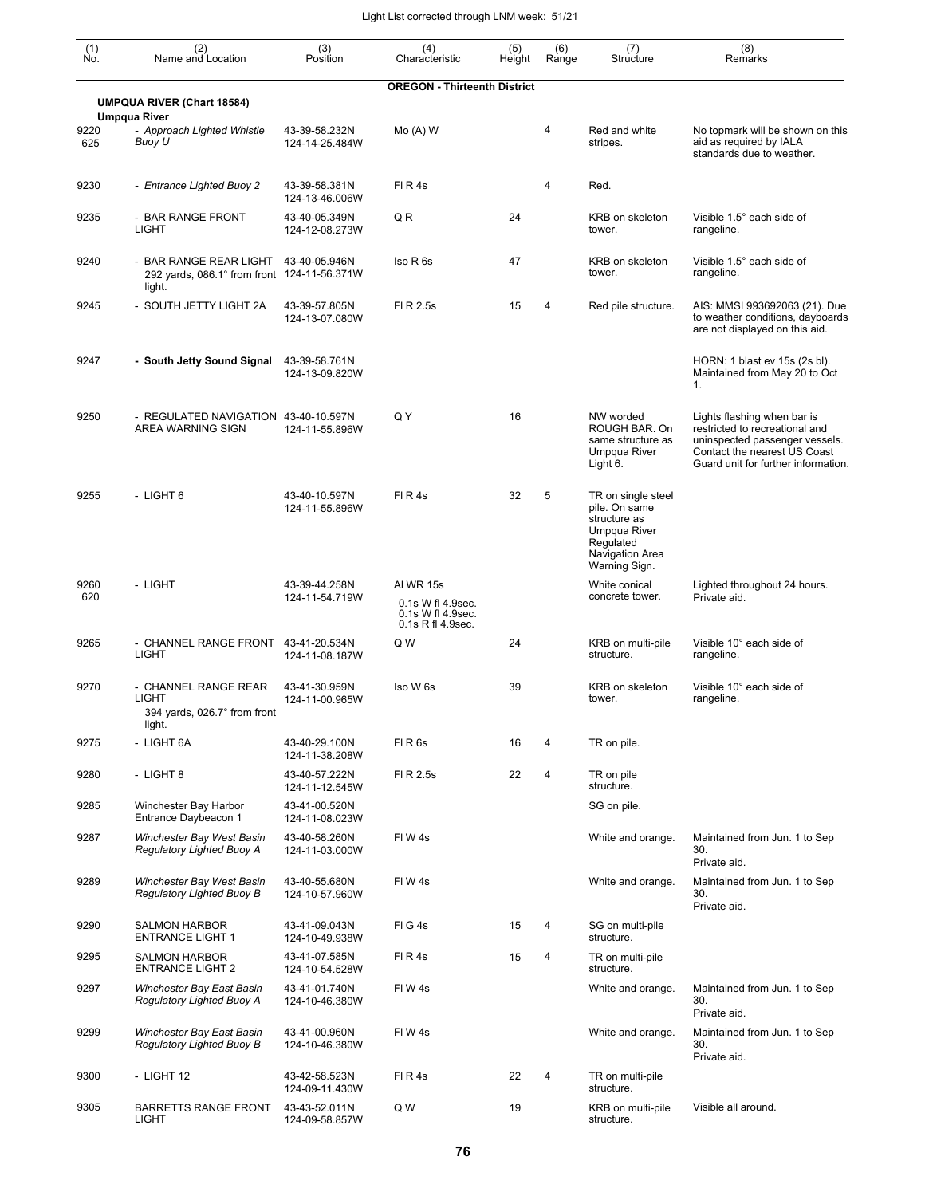| (1)         | (2)<br>Name and Location                                                        | (3)                             | (4)                                                                      | (5)    | (6)   | (7)                                                                                                                  | (8)                                                                                                                                                                    |
|-------------|---------------------------------------------------------------------------------|---------------------------------|--------------------------------------------------------------------------|--------|-------|----------------------------------------------------------------------------------------------------------------------|------------------------------------------------------------------------------------------------------------------------------------------------------------------------|
| No.         |                                                                                 | Position                        | Characteristic                                                           | Height | Range | Structure                                                                                                            | Remarks                                                                                                                                                                |
|             | <b>UMPQUA RIVER (Chart 18584)</b>                                               |                                 | <b>OREGON - Thirteenth District</b>                                      |        |       |                                                                                                                      |                                                                                                                                                                        |
| 9220<br>625 | <b>Umpqua River</b><br>- Approach Lighted Whistle<br>Buoy U                     | 43-39-58.232N<br>124-14-25.484W | $Mo(A)$ W                                                                |        | 4     | Red and white<br>stripes.                                                                                            | No topmark will be shown on this<br>aid as required by IALA<br>standards due to weather.                                                                               |
| 9230        | - Entrance Lighted Buoy 2                                                       | 43-39-58.381N<br>124-13-46.006W | FIR4s                                                                    |        | 4     | Red.                                                                                                                 |                                                                                                                                                                        |
| 9235        | - BAR RANGE FRONT<br><b>LIGHT</b>                                               | 43-40-05.349N<br>124-12-08.273W | QR                                                                       | 24     |       | KRB on skeleton<br>tower.                                                                                            | Visible 1.5° each side of<br>rangeline.                                                                                                                                |
| 9240        | - BAR RANGE REAR LIGHT<br>292 yards, 086.1° from front 124-11-56.371W<br>light. | 43-40-05.946N                   | Iso R 6s                                                                 | 47     |       | KRB on skeleton<br>tower.                                                                                            | Visible 1.5° each side of<br>rangeline.                                                                                                                                |
| 9245        | - SOUTH JETTY LIGHT 2A                                                          | 43-39-57.805N<br>124-13-07.080W | FI R 2.5s                                                                | 15     | 4     | Red pile structure.                                                                                                  | AIS: MMSI 993692063 (21). Due<br>to weather conditions, dayboards<br>are not displayed on this aid.                                                                    |
| 9247        | - South Jetty Sound Signal                                                      | 43-39-58.761N<br>124-13-09.820W |                                                                          |        |       |                                                                                                                      | HORN: 1 blast ev 15s (2s bl).<br>Maintained from May 20 to Oct<br>1.                                                                                                   |
| 9250        | - REGULATED NAVIGATION 43-40-10.597N<br>AREA WARNING SIGN                       | 124-11-55.896W                  | Q Y                                                                      | 16     |       | NW worded<br>ROUGH BAR. On<br>same structure as<br><b>Umpqua River</b><br>Light 6.                                   | Lights flashing when bar is<br>restricted to recreational and<br>uninspected passenger vessels.<br>Contact the nearest US Coast<br>Guard unit for further information. |
| 9255        | - LIGHT 6                                                                       | 43-40-10.597N<br>124-11-55.896W | FIR4s                                                                    | 32     | 5     | TR on single steel<br>pile. On same<br>structure as<br>Umpqua River<br>Regulated<br>Navigation Area<br>Warning Sign. |                                                                                                                                                                        |
| 9260<br>620 | - LIGHT                                                                         | 43-39-44.258N<br>124-11-54.719W | AI WR 15s<br>0.1s W fl 4.9sec.<br>0.1s W fl 4.9sec.<br>0.1s R fl 4.9sec. |        |       | White conical<br>concrete tower.                                                                                     | Lighted throughout 24 hours.<br>Private aid.                                                                                                                           |
| 9265        | - CHANNEL RANGE FRONT 43-41-20.534N<br><b>LIGHT</b>                             | 124-11-08.187W                  | Q W                                                                      | 24     |       | KRB on multi-pile<br>structure.                                                                                      | Visible 10° each side of<br>rangeline.                                                                                                                                 |
| 9270        | - CHANNEL RANGE REAR<br>LIGHT<br>394 yards, 026.7° from front<br>light.         | 43-41-30.959N<br>124-11-00.965W | Iso W 6s                                                                 | 39     |       | KRB on skeleton<br>tower.                                                                                            | Visible 10° each side of<br>rangeline.                                                                                                                                 |
| 9275        | - LIGHT 6A                                                                      | 43-40-29.100N<br>124-11-38.208W | FIR6s                                                                    | 16     | 4     | TR on pile.                                                                                                          |                                                                                                                                                                        |
| 9280        | - LIGHT 8                                                                       | 43-40-57.222N<br>124-11-12.545W | FI R 2.5s                                                                | 22     | 4     | TR on pile<br>structure.                                                                                             |                                                                                                                                                                        |
| 9285        | Winchester Bay Harbor<br>Entrance Daybeacon 1                                   | 43-41-00.520N<br>124-11-08.023W |                                                                          |        |       | SG on pile.                                                                                                          |                                                                                                                                                                        |
| 9287        | Winchester Bay West Basin<br>Regulatory Lighted Buoy A                          | 43-40-58.260N<br>124-11-03.000W | FIW4s                                                                    |        |       | White and orange.                                                                                                    | Maintained from Jun. 1 to Sep<br>30.<br>Private aid.                                                                                                                   |
| 9289        | Winchester Bay West Basin<br>Regulatory Lighted Buoy B                          | 43-40-55.680N<br>124-10-57.960W | FIW4s                                                                    |        |       | White and orange.                                                                                                    | Maintained from Jun. 1 to Sep<br>30.<br>Private aid.                                                                                                                   |
| 9290        | <b>SALMON HARBOR</b><br><b>ENTRANCE LIGHT 1</b>                                 | 43-41-09.043N<br>124-10-49.938W | FIG4s                                                                    | 15     | 4     | SG on multi-pile<br>structure.                                                                                       |                                                                                                                                                                        |
| 9295        | <b>SALMON HARBOR</b><br><b>ENTRANCE LIGHT 2</b>                                 | 43-41-07.585N<br>124-10-54.528W | FIR4s                                                                    | 15     | 4     | TR on multi-pile<br>structure.                                                                                       |                                                                                                                                                                        |
| 9297        | Winchester Bay East Basin<br>Regulatory Lighted Buoy A                          | 43-41-01.740N<br>124-10-46.380W | FIW4s                                                                    |        |       | White and orange.                                                                                                    | Maintained from Jun. 1 to Sep<br>30.<br>Private aid.                                                                                                                   |
| 9299        | Winchester Bay East Basin<br>Regulatory Lighted Buoy B                          | 43-41-00.960N<br>124-10-46.380W | FIW4s                                                                    |        |       | White and orange.                                                                                                    | Maintained from Jun. 1 to Sep<br>30.<br>Private aid.                                                                                                                   |
| 9300        | - LIGHT 12                                                                      | 43-42-58.523N<br>124-09-11.430W | FIR4s                                                                    | 22     | 4     | TR on multi-pile<br>structure.                                                                                       |                                                                                                                                                                        |
| 9305        | <b>BARRETTS RANGE FRONT</b><br><b>LIGHT</b>                                     | 43-43-52.011N<br>124-09-58.857W | Q W                                                                      | 19     |       | KRB on multi-pile<br>structure.                                                                                      | Visible all around.                                                                                                                                                    |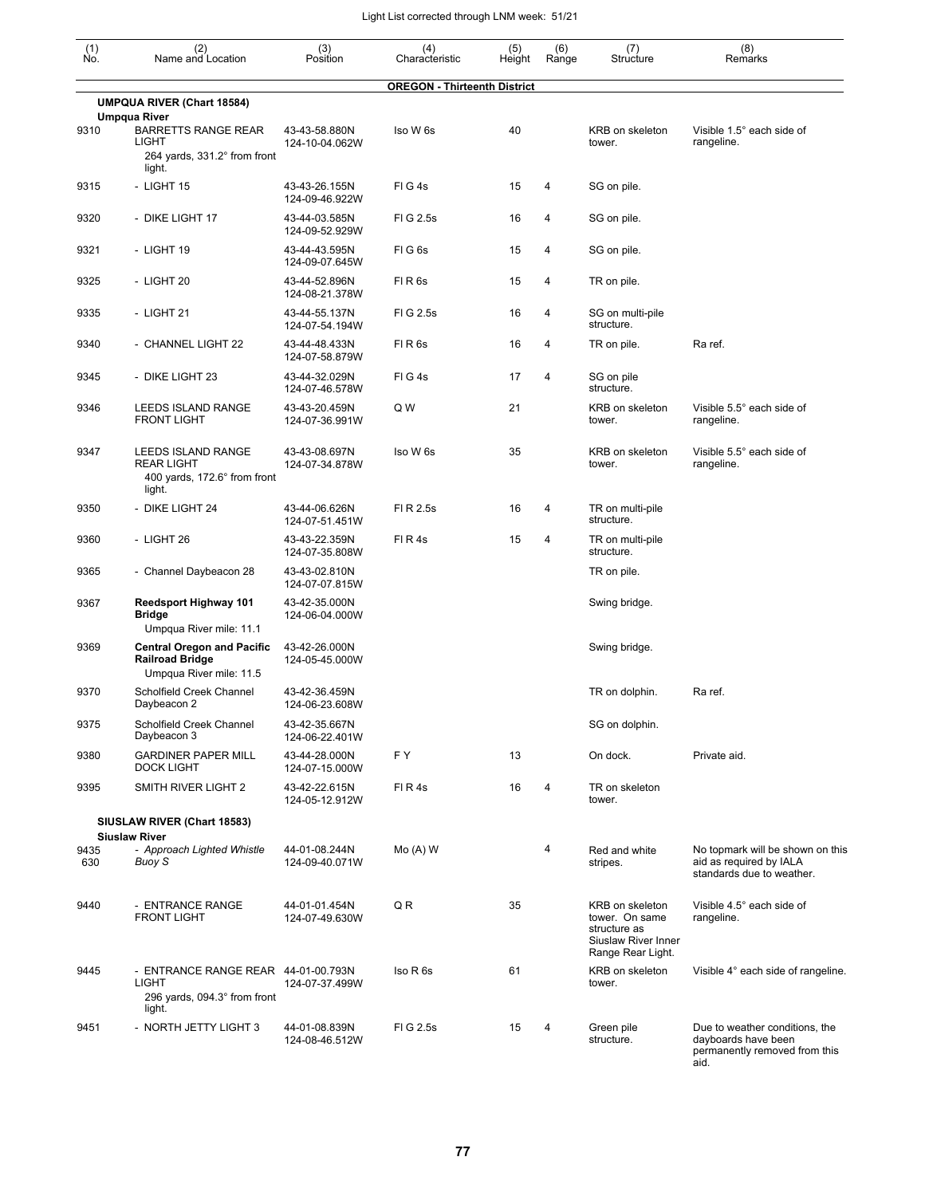| $\begin{smallmatrix} (1) \\ \mathsf{No} \end{smallmatrix}$ | (2)<br>Name and Location                                                               | (3)<br>Position                 | (4)<br>Characteristic               | (5)<br>Height | (6)<br>Range | (7)<br>Structure                                                                              | (8)<br>Remarks                                                                                 |
|------------------------------------------------------------|----------------------------------------------------------------------------------------|---------------------------------|-------------------------------------|---------------|--------------|-----------------------------------------------------------------------------------------------|------------------------------------------------------------------------------------------------|
|                                                            |                                                                                        |                                 | <b>OREGON - Thirteenth District</b> |               |              |                                                                                               |                                                                                                |
|                                                            | <b>UMPQUA RIVER (Chart 18584)</b><br><b>Umpqua River</b>                               |                                 |                                     |               |              |                                                                                               |                                                                                                |
| 9310                                                       | <b>BARRETTS RANGE REAR</b><br>LIGHT<br>264 yards, 331.2° from front                    | 43-43-58.880N<br>124-10-04.062W | Iso W 6s                            | 40            |              | <b>KRB</b> on skeleton<br>tower.                                                              | Visible 1.5° each side of<br>rangeline.                                                        |
| 9315                                                       | light.<br>- LIGHT 15                                                                   | 43-43-26.155N<br>124-09-46.922W | FIG4s                               | 15            | 4            | SG on pile.                                                                                   |                                                                                                |
| 9320                                                       | - DIKE LIGHT 17                                                                        | 43-44-03.585N<br>124-09-52.929W | FIG 2.5s                            | 16            | 4            | SG on pile.                                                                                   |                                                                                                |
| 9321                                                       | - LIGHT 19                                                                             | 43-44-43.595N<br>124-09-07.645W | FIG <sub>6s</sub>                   | 15            | 4            | SG on pile.                                                                                   |                                                                                                |
| 9325                                                       | - LIGHT 20                                                                             | 43-44-52.896N<br>124-08-21.378W | FIR <sub>6s</sub>                   | 15            | 4            | TR on pile.                                                                                   |                                                                                                |
| 9335                                                       | - LIGHT 21                                                                             | 43-44-55.137N<br>124-07-54.194W | FI G 2.5s                           | 16            | 4            | SG on multi-pile<br>structure.                                                                |                                                                                                |
| 9340                                                       | - CHANNEL LIGHT 22                                                                     | 43-44-48.433N<br>124-07-58.879W | FIR <sub>6s</sub>                   | 16            | 4            | TR on pile.                                                                                   | Ra ref.                                                                                        |
| 9345                                                       | - DIKE LIGHT 23                                                                        | 43-44-32.029N<br>124-07-46.578W | FIG4s                               | 17            | 4            | SG on pile<br>structure.                                                                      |                                                                                                |
| 9346                                                       | LEEDS ISLAND RANGE<br><b>FRONT LIGHT</b>                                               | 43-43-20.459N<br>124-07-36.991W | Q W                                 | 21            |              | KRB on skeleton<br>tower.                                                                     | Visible 5.5° each side of<br>rangeline.                                                        |
| 9347                                                       | LEEDS ISLAND RANGE<br><b>REAR LIGHT</b><br>400 yards, 172.6° from front<br>light.      | 43-43-08.697N<br>124-07-34.878W | Iso W 6s                            | 35            |              | KRB on skeleton<br>tower.                                                                     | Visible 5.5° each side of<br>rangeline.                                                        |
| 9350                                                       | - DIKE LIGHT 24                                                                        | 43-44-06.626N<br>124-07-51.451W | FI R 2.5s                           | 16            | 4            | TR on multi-pile<br>structure.                                                                |                                                                                                |
| 9360                                                       | - LIGHT 26                                                                             | 43-43-22.359N<br>124-07-35.808W | FIR4s                               | 15            | 4            | TR on multi-pile<br>structure.                                                                |                                                                                                |
| 9365                                                       | - Channel Daybeacon 28                                                                 | 43-43-02.810N<br>124-07-07.815W |                                     |               |              | TR on pile.                                                                                   |                                                                                                |
| 9367                                                       | <b>Reedsport Highway 101</b><br><b>Bridge</b><br>Umpqua River mile: 11.1               | 43-42-35.000N<br>124-06-04.000W |                                     |               |              | Swing bridge.                                                                                 |                                                                                                |
| 9369                                                       | <b>Central Oregon and Pacific</b><br><b>Railroad Bridge</b><br>Umpqua River mile: 11.5 | 43-42-26.000N<br>124-05-45.000W |                                     |               |              | Swing bridge.                                                                                 |                                                                                                |
| 9370                                                       | Scholfield Creek Channel<br>Daybeacon 2                                                | 43-42-36.459N<br>124-06-23.608W |                                     |               |              | TR on dolphin.                                                                                | Ra ref.                                                                                        |
| 9375                                                       | Scholfield Creek Channel<br>Daybeacon 3                                                | 43-42-35.667N<br>124-06-22.401W |                                     |               |              | SG on dolphin.                                                                                |                                                                                                |
| 9380                                                       | <b>GARDINER PAPER MILL</b><br><b>DOCK LIGHT</b>                                        | 43-44-28.000N<br>124-07-15.000W | FY.                                 | 13            |              | On dock.                                                                                      | Private aid.                                                                                   |
| 9395                                                       | SMITH RIVER LIGHT 2                                                                    | 43-42-22.615N<br>124-05-12.912W | FIR4s                               | 16            | 4            | TR on skeleton<br>tower.                                                                      |                                                                                                |
|                                                            | SIUSLAW RIVER (Chart 18583)                                                            |                                 |                                     |               |              |                                                                                               |                                                                                                |
| 9435<br>630                                                | <b>Siuslaw River</b><br>- Approach Lighted Whistle<br>Buoy S                           | 44-01-08.244N<br>124-09-40.071W | $Mo(A)$ W                           |               | 4            | Red and white<br>stripes.                                                                     | No topmark will be shown on this<br>aid as required by IALA<br>standards due to weather.       |
| 9440                                                       | - ENTRANCE RANGE<br><b>FRONT LIGHT</b>                                                 | 44-01-01.454N<br>124-07-49.630W | QR                                  | 35            |              | KRB on skeleton<br>tower. On same<br>structure as<br>Siuslaw River Inner<br>Range Rear Light. | Visible 4.5° each side of<br>rangeline.                                                        |
| 9445                                                       | - ENTRANCE RANGE REAR 44-01-00.793N<br>LIGHT<br>296 yards, 094.3° from front<br>light. | 124-07-37.499W                  | Iso R 6s                            | 61            |              | KRB on skeleton<br>tower.                                                                     | Visible 4° each side of rangeline.                                                             |
| 9451                                                       | - NORTH JETTY LIGHT 3                                                                  | 44-01-08.839N<br>124-08-46.512W | FIG 2.5s                            | 15            | 4            | Green pile<br>structure.                                                                      | Due to weather conditions, the<br>dayboards have been<br>permanently removed from this<br>aid. |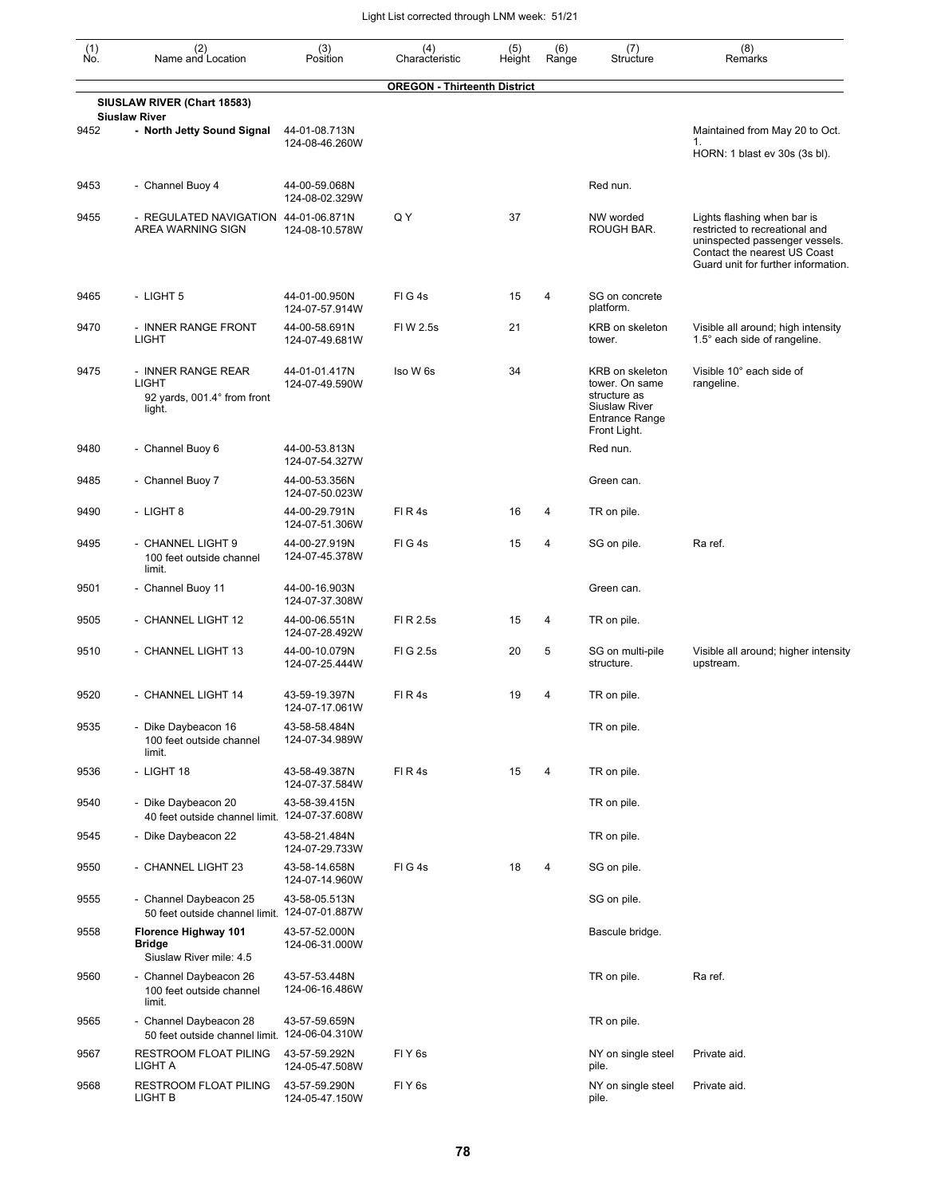| (1)<br>No. | (2)<br>Name and Location                                                    | (3)<br>Position                 | (4)<br>Characteristic               | (5)<br>Height | (6)<br>Range   | (7)<br>Structure                                                                                                   | (8)<br>Remarks                                                                                                                                                         |
|------------|-----------------------------------------------------------------------------|---------------------------------|-------------------------------------|---------------|----------------|--------------------------------------------------------------------------------------------------------------------|------------------------------------------------------------------------------------------------------------------------------------------------------------------------|
|            |                                                                             |                                 | <b>OREGON - Thirteenth District</b> |               |                |                                                                                                                    |                                                                                                                                                                        |
|            | SIUSLAW RIVER (Chart 18583)<br><b>Siuslaw River</b>                         |                                 |                                     |               |                |                                                                                                                    |                                                                                                                                                                        |
| 9452       | - North Jetty Sound Signal                                                  | 44-01-08.713N<br>124-08-46.260W |                                     |               |                |                                                                                                                    | Maintained from May 20 to Oct.<br>1.<br>HORN: 1 blast ev 30s (3s bl).                                                                                                  |
| 9453       | - Channel Buoy 4                                                            | 44-00-59.068N<br>124-08-02.329W |                                     |               |                | Red nun.                                                                                                           |                                                                                                                                                                        |
| 9455       | - REGULATED NAVIGATION 44-01-06.871N<br>AREA WARNING SIGN                   | 124-08-10.578W                  | Q Y                                 | 37            |                | NW worded<br>ROUGH BAR.                                                                                            | Lights flashing when bar is<br>restricted to recreational and<br>uninspected passenger vessels.<br>Contact the nearest US Coast<br>Guard unit for further information. |
| 9465       | - LIGHT 5                                                                   | 44-01-00.950N<br>124-07-57.914W | FIG4s                               | 15            | 4              | SG on concrete<br>platform.                                                                                        |                                                                                                                                                                        |
| 9470       | - INNER RANGE FRONT<br><b>LIGHT</b>                                         | 44-00-58.691N<br>124-07-49.681W | FIW 2.5s                            | 21            |                | KRB on skeleton<br>tower.                                                                                          | Visible all around; high intensity<br>1.5° each side of rangeline.                                                                                                     |
| 9475       | - INNER RANGE REAR<br><b>LIGHT</b><br>92 yards, 001.4° from front<br>light. | 44-01-01.417N<br>124-07-49.590W | Iso W 6s                            | 34            |                | KRB on skeleton<br>tower. On same<br>structure as<br><b>Siuslaw River</b><br><b>Entrance Range</b><br>Front Light. | Visible 10° each side of<br>rangeline.                                                                                                                                 |
| 9480       | - Channel Buoy 6                                                            | 44-00-53.813N<br>124-07-54.327W |                                     |               |                | Red nun.                                                                                                           |                                                                                                                                                                        |
| 9485       | - Channel Buoy 7                                                            | 44-00-53.356N<br>124-07-50.023W |                                     |               |                | Green can.                                                                                                         |                                                                                                                                                                        |
| 9490       | - LIGHT 8                                                                   | 44-00-29.791N<br>124-07-51.306W | FIR4s                               | 16            | $\overline{4}$ | TR on pile.                                                                                                        |                                                                                                                                                                        |
| 9495       | - CHANNEL LIGHT 9<br>100 feet outside channel<br>limit.                     | 44-00-27.919N<br>124-07-45.378W | FIG4s                               | 15            | 4              | SG on pile.                                                                                                        | Ra ref.                                                                                                                                                                |
| 9501       | - Channel Buoy 11                                                           | 44-00-16.903N<br>124-07-37.308W |                                     |               |                | Green can.                                                                                                         |                                                                                                                                                                        |
| 9505       | - CHANNEL LIGHT 12                                                          | 44-00-06.551N<br>124-07-28.492W | FI R 2.5s                           | 15            | 4              | TR on pile.                                                                                                        |                                                                                                                                                                        |
| 9510       | - CHANNEL LIGHT 13                                                          | 44-00-10.079N<br>124-07-25.444W | FIG 2.5s                            | 20            | 5              | SG on multi-pile<br>structure.                                                                                     | Visible all around; higher intensity<br>upstream.                                                                                                                      |
| 9520       | - CHANNEL LIGHT 14                                                          | 43-59-19.397N<br>124-07-17.061W | FIR4s                               | 19            | 4              | TR on pile.                                                                                                        |                                                                                                                                                                        |
| 9535       | - Dike Daybeacon 16<br>100 feet outside channel<br>limit.                   | 43-58-58.484N<br>124-07-34.989W |                                     |               |                | TR on pile.                                                                                                        |                                                                                                                                                                        |
| 9536       | - LIGHT 18                                                                  | 43-58-49.387N<br>124-07-37.584W | FIR4s                               | 15            | 4              | TR on pile.                                                                                                        |                                                                                                                                                                        |
| 9540       | - Dike Daybeacon 20<br>40 feet outside channel limit. 124-07-37.608W        | 43-58-39.415N                   |                                     |               |                | TR on pile.                                                                                                        |                                                                                                                                                                        |
| 9545       | - Dike Daybeacon 22                                                         | 43-58-21.484N<br>124-07-29.733W |                                     |               |                | TR on pile.                                                                                                        |                                                                                                                                                                        |
| 9550       | - CHANNEL LIGHT 23                                                          | 43-58-14.658N<br>124-07-14.960W | FIG4s                               | 18            | $\overline{4}$ | SG on pile.                                                                                                        |                                                                                                                                                                        |
| 9555       | - Channel Daybeacon 25<br>50 feet outside channel limit. 124-07-01.887W     | 43-58-05.513N                   |                                     |               |                | SG on pile.                                                                                                        |                                                                                                                                                                        |
| 9558       | Florence Highway 101<br>Bridge<br>Siuslaw River mile: 4.5                   | 43-57-52.000N<br>124-06-31.000W |                                     |               |                | Bascule bridge.                                                                                                    |                                                                                                                                                                        |
| 9560       | - Channel Daybeacon 26<br>100 feet outside channel<br>limit.                | 43-57-53.448N<br>124-06-16.486W |                                     |               |                | TR on pile.                                                                                                        | Ra ref.                                                                                                                                                                |
| 9565       | - Channel Daybeacon 28<br>50 feet outside channel limit. 124-06-04.310W     | 43-57-59.659N                   |                                     |               |                | TR on pile.                                                                                                        |                                                                                                                                                                        |
| 9567       | RESTROOM FLOAT PILING<br>LIGHT A                                            | 43-57-59.292N<br>124-05-47.508W | FIY <sub>6s</sub>                   |               |                | NY on single steel<br>pile.                                                                                        | Private aid.                                                                                                                                                           |
| 9568       | <b>RESTROOM FLOAT PILING</b><br>LIGHT B                                     | 43-57-59.290N<br>124-05-47.150W | FIY <sub>6s</sub>                   |               |                | NY on single steel<br>pile.                                                                                        | Private aid.                                                                                                                                                           |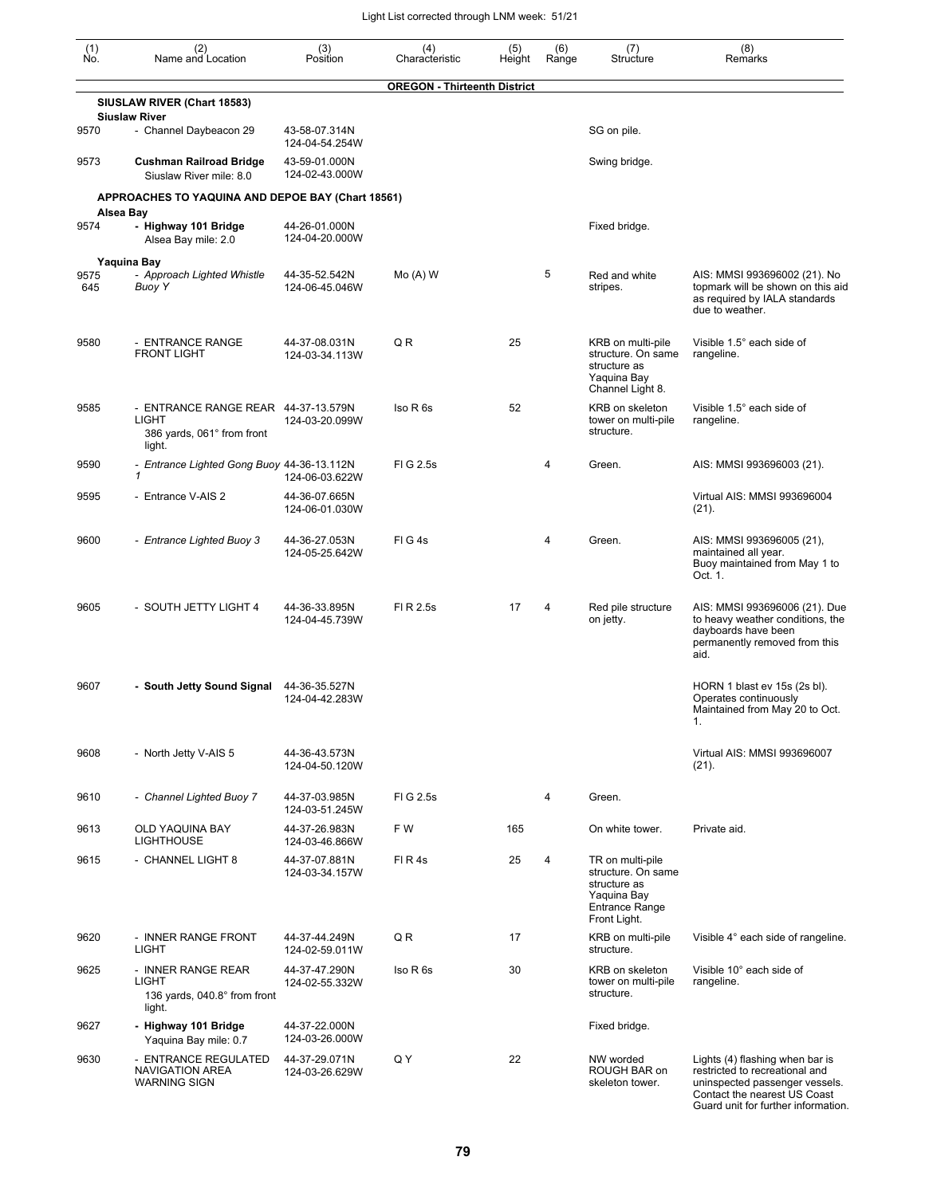| (1)<br>Ño.  | (2)<br>Name and Location                                                                    | (3)<br>Position                 | (4)<br>Characteristic               | (5)<br>Height | (6)<br>Range   | (7)<br>Structure                                                                                               | (8)<br>Remarks                                                                                                                                                             |
|-------------|---------------------------------------------------------------------------------------------|---------------------------------|-------------------------------------|---------------|----------------|----------------------------------------------------------------------------------------------------------------|----------------------------------------------------------------------------------------------------------------------------------------------------------------------------|
|             |                                                                                             |                                 | <b>OREGON - Thirteenth District</b> |               |                |                                                                                                                |                                                                                                                                                                            |
|             | SIUSLAW RIVER (Chart 18583)<br><b>Siuslaw River</b>                                         |                                 |                                     |               |                |                                                                                                                |                                                                                                                                                                            |
| 9570        | - Channel Daybeacon 29                                                                      | 43-58-07.314N<br>124-04-54.254W |                                     |               |                | SG on pile.                                                                                                    |                                                                                                                                                                            |
| 9573        | <b>Cushman Railroad Bridge</b><br>Siuslaw River mile: 8.0                                   | 43-59-01.000N<br>124-02-43.000W |                                     |               |                | Swing bridge.                                                                                                  |                                                                                                                                                                            |
|             | APPROACHES TO YAQUINA AND DEPOE BAY (Chart 18561)                                           |                                 |                                     |               |                |                                                                                                                |                                                                                                                                                                            |
| 9574        | Alsea Bay<br>- Highway 101 Bridge<br>Alsea Bay mile: 2.0                                    | 44-26-01.000N<br>124-04-20.000W |                                     |               |                | Fixed bridge.                                                                                                  |                                                                                                                                                                            |
|             | Yaquina Bay                                                                                 |                                 |                                     |               |                |                                                                                                                |                                                                                                                                                                            |
| 9575<br>645 | - Approach Lighted Whistle<br>Buoy Y                                                        | 44-35-52.542N<br>124-06-45.046W | $Mo(A)$ W                           |               | 5              | Red and white<br>stripes.                                                                                      | AIS: MMSI 993696002 (21). No<br>topmark will be shown on this aid<br>as required by IALA standards<br>due to weather.                                                      |
| 9580        | - ENTRANCE RANGE<br><b>FRONT LIGHT</b>                                                      | 44-37-08.031N<br>124-03-34.113W | Q R                                 | 25            |                | KRB on multi-pile<br>structure. On same<br>structure as<br>Yaquina Bay<br>Channel Light 8.                     | Visible 1.5° each side of<br>rangeline.                                                                                                                                    |
| 9585        | - ENTRANCE RANGE REAR 44-37-13.579N<br><b>LIGHT</b><br>386 yards, 061° from front<br>light. | 124-03-20.099W                  | Iso R 6s                            | 52            |                | KRB on skeleton<br>tower on multi-pile<br>structure.                                                           | Visible 1.5° each side of<br>rangeline.                                                                                                                                    |
| 9590        | - Entrance Lighted Gong Buoy 44-36-13.112N<br>1                                             | 124-06-03.622W                  | FIG 2.5s                            |               | 4              | Green.                                                                                                         | AIS: MMSI 993696003 (21).                                                                                                                                                  |
| 9595        | - Entrance V-AIS 2                                                                          | 44-36-07.665N<br>124-06-01.030W |                                     |               |                |                                                                                                                | Virtual AIS: MMSI 993696004<br>(21).                                                                                                                                       |
| 9600        | - Entrance Lighted Buoy 3                                                                   | 44-36-27.053N<br>124-05-25.642W | FIG4s                               |               | 4              | Green.                                                                                                         | AIS: MMSI 993696005 (21),<br>maintained all year.<br>Buoy maintained from May 1 to<br>Oct. 1.                                                                              |
| 9605        | - SOUTH JETTY LIGHT 4                                                                       | 44-36-33.895N<br>124-04-45.739W | FI R 2.5s                           | 17            | 4              | Red pile structure<br>on jetty.                                                                                | AIS: MMSI 993696006 (21). Due<br>to heavy weather conditions, the<br>dayboards have been<br>permanently removed from this<br>aid.                                          |
| 9607        | - South Jetty Sound Signal                                                                  | 44-36-35.527N<br>124-04-42.283W |                                     |               |                |                                                                                                                | HORN 1 blast ev 15s (2s bl).<br>Operates continuously<br>Maintained from May 20 to Oct.<br>1.                                                                              |
| 9608        | - North Jetty V-AIS 5                                                                       | 44-36-43.573N<br>124-04-50.120W |                                     |               |                |                                                                                                                | Virtual AIS: MMSI 993696007<br>$(21)$ .                                                                                                                                    |
| 9610        | - Channel Lighted Buoy 7                                                                    | 44-37-03.985N<br>124-03-51.245W | FIG 2.5s                            |               | $\overline{4}$ | Green.                                                                                                         |                                                                                                                                                                            |
| 9613        | OLD YAQUINA BAY<br><b>LIGHTHOUSE</b>                                                        | 44-37-26.983N<br>124-03-46.866W | F W                                 | 165           |                | On white tower.                                                                                                | Private aid.                                                                                                                                                               |
| 9615        | - CHANNEL LIGHT 8                                                                           | 44-37-07.881N<br>124-03-34.157W | FIR4s                               | 25            | 4              | TR on multi-pile<br>structure. On same<br>structure as<br>Yaguina Bay<br><b>Entrance Range</b><br>Front Light. |                                                                                                                                                                            |
| 9620        | - INNER RANGE FRONT<br>LIGHT                                                                | 44-37-44.249N<br>124-02-59.011W | Q R                                 | 17            |                | KRB on multi-pile<br>structure.                                                                                | Visible 4° each side of rangeline.                                                                                                                                         |
| 9625        | - INNER RANGE REAR<br>LIGHT<br>136 yards, 040.8° from front<br>light.                       | 44-37-47.290N<br>124-02-55.332W | Iso R 6s                            | 30            |                | KRB on skeleton<br>tower on multi-pile<br>structure.                                                           | Visible 10° each side of<br>rangeline.                                                                                                                                     |
| 9627        | - Highway 101 Bridge<br>Yaquina Bay mile: 0.7                                               | 44-37-22.000N<br>124-03-26.000W |                                     |               |                | Fixed bridge.                                                                                                  |                                                                                                                                                                            |
| 9630        | - ENTRANCE REGULATED<br><b>NAVIGATION AREA</b><br><b>WARNING SIGN</b>                       | 44-37-29.071N<br>124-03-26.629W | Q Y                                 | 22            |                | NW worded<br>ROUGH BAR on<br>skeleton tower.                                                                   | Lights (4) flashing when bar is<br>restricted to recreational and<br>uninspected passenger vessels.<br>Contact the nearest US Coast<br>Guard unit for further information. |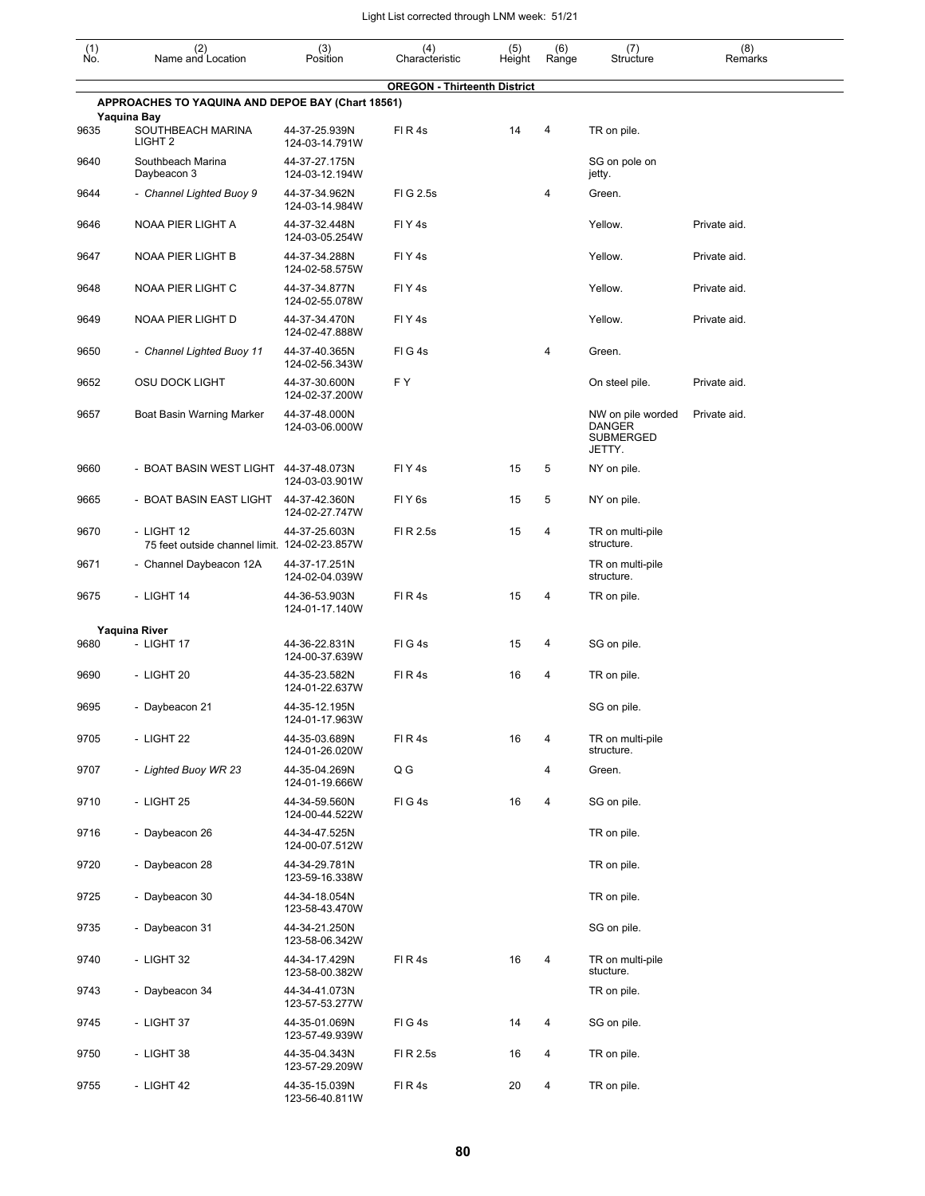| $\begin{smallmatrix} (1) \\ \mathsf{No} \end{smallmatrix}$ | (2)<br>Name and Location                                    | (3)<br>Position                 | (4)<br>Characteristic               | (5)<br>Height | (6)<br>Range | (7)<br>Structure                                                 | (8)<br>Remarks |
|------------------------------------------------------------|-------------------------------------------------------------|---------------------------------|-------------------------------------|---------------|--------------|------------------------------------------------------------------|----------------|
|                                                            | APPROACHES TO YAQUINA AND DEPOE BAY (Chart 18561)           |                                 | <b>OREGON - Thirteenth District</b> |               |              |                                                                  |                |
|                                                            | Yaquina Bay                                                 |                                 |                                     |               |              |                                                                  |                |
| 9635                                                       | SOUTHBEACH MARINA<br>LIGHT <sub>2</sub>                     | 44-37-25.939N<br>124-03-14.791W | FIR4s                               | 14            | 4            | TR on pile.                                                      |                |
| 9640                                                       | Southbeach Marina<br>Daybeacon 3                            | 44-37-27.175N<br>124-03-12.194W |                                     |               |              | SG on pole on<br>jetty.                                          |                |
| 9644                                                       | - Channel Lighted Buoy 9                                    | 44-37-34.962N<br>124-03-14.984W | FIG 2.5s                            |               | 4            | Green.                                                           |                |
| 9646                                                       | NOAA PIER LIGHT A                                           | 44-37-32.448N<br>124-03-05.254W | FIY <sub>4s</sub>                   |               |              | Yellow.                                                          | Private aid.   |
| 9647                                                       | NOAA PIER LIGHT B                                           | 44-37-34.288N<br>124-02-58.575W | FIY <sub>4s</sub>                   |               |              | Yellow.                                                          | Private aid.   |
| 9648                                                       | NOAA PIER LIGHT C                                           | 44-37-34.877N<br>124-02-55.078W | FIY <sub>4s</sub>                   |               |              | Yellow.                                                          | Private aid.   |
| 9649                                                       | NOAA PIER LIGHT D                                           | 44-37-34.470N<br>124-02-47.888W | FIY <sub>4s</sub>                   |               |              | Yellow.                                                          | Private aid.   |
| 9650                                                       | - Channel Lighted Buoy 11                                   | 44-37-40.365N<br>124-02-56.343W | FIG4s                               |               | 4            | Green.                                                           |                |
| 9652                                                       | <b>OSU DOCK LIGHT</b>                                       | 44-37-30.600N<br>124-02-37.200W | F Y                                 |               |              | On steel pile.                                                   | Private aid.   |
| 9657                                                       | Boat Basin Warning Marker                                   | 44-37-48.000N<br>124-03-06.000W |                                     |               |              | NW on pile worded<br><b>DANGER</b><br><b>SUBMERGED</b><br>JETTY. | Private aid.   |
| 9660                                                       | - BOAT BASIN WEST LIGHT 44-37-48.073N                       | 124-03-03.901W                  | FIY <sub>4s</sub>                   | 15            | 5            | NY on pile.                                                      |                |
| 9665                                                       | - BOAT BASIN EAST LIGHT                                     | 44-37-42.360N<br>124-02-27.747W | FIY <sub>6s</sub>                   | 15            | 5            | NY on pile.                                                      |                |
| 9670                                                       | - LIGHT 12<br>75 feet outside channel limit. 124-02-23.857W | 44-37-25.603N                   | FI R 2.5s                           | 15            | 4            | TR on multi-pile<br>structure.                                   |                |
| 9671                                                       | - Channel Daybeacon 12A                                     | 44-37-17.251N<br>124-02-04.039W |                                     |               |              | TR on multi-pile<br>structure.                                   |                |
| 9675                                                       | - LIGHT 14                                                  | 44-36-53.903N<br>124-01-17.140W | FIR4s                               | 15            | 4            | TR on pile.                                                      |                |
|                                                            | <b>Yaquina River</b>                                        |                                 |                                     |               |              |                                                                  |                |
| 9680                                                       | - LIGHT 17                                                  | 44-36-22.831N<br>124-00-37.639W | FIG4s                               | 15            | 4            | SG on pile.                                                      |                |
| 9690                                                       | - LIGHT 20                                                  | 44-35-23.582N<br>124-01-22.637W | FIR4s                               | 16            | 4            | TR on pile.                                                      |                |
| 9695                                                       | - Daybeacon 21                                              | 44-35-12.195N<br>124-01-17.963W |                                     |               |              | SG on pile.                                                      |                |
| 9705                                                       | - LIGHT 22                                                  | 44-35-03.689N<br>124-01-26.020W | FIR4s                               | 16            | 4            | TR on multi-pile<br>structure.                                   |                |
| 9707                                                       | - Lighted Buoy WR 23                                        | 44-35-04.269N<br>124-01-19.666W | Q G                                 |               | 4            | Green.                                                           |                |
| 9710                                                       | - LIGHT 25                                                  | 44-34-59.560N<br>124-00-44.522W | FIG4s                               | 16            | 4            | SG on pile.                                                      |                |
| 9716                                                       | - Daybeacon 26                                              | 44-34-47.525N<br>124-00-07.512W |                                     |               |              | TR on pile.                                                      |                |
| 9720                                                       | - Daybeacon 28                                              | 44-34-29.781N<br>123-59-16.338W |                                     |               |              | TR on pile.                                                      |                |
| 9725                                                       | - Daybeacon 30                                              | 44-34-18.054N<br>123-58-43.470W |                                     |               |              | TR on pile.                                                      |                |
| 9735                                                       | - Daybeacon 31                                              | 44-34-21.250N<br>123-58-06.342W |                                     |               |              | SG on pile.                                                      |                |
| 9740                                                       | - LIGHT 32                                                  | 44-34-17.429N<br>123-58-00.382W | FIR4s                               | 16            | 4            | TR on multi-pile<br>stucture.                                    |                |
| 9743                                                       | - Daybeacon 34                                              | 44-34-41.073N<br>123-57-53.277W |                                     |               |              | TR on pile.                                                      |                |
| 9745                                                       | - LIGHT 37                                                  | 44-35-01.069N<br>123-57-49.939W | FIG4s                               | 14            | 4            | SG on pile.                                                      |                |
| 9750                                                       | - LIGHT 38                                                  | 44-35-04.343N<br>123-57-29.209W | FI R 2.5s                           | 16            | 4            | TR on pile.                                                      |                |
| 9755                                                       | - LIGHT 42                                                  | 44-35-15.039N<br>123-56-40.811W | FIR4s                               | 20            | 4            | TR on pile.                                                      |                |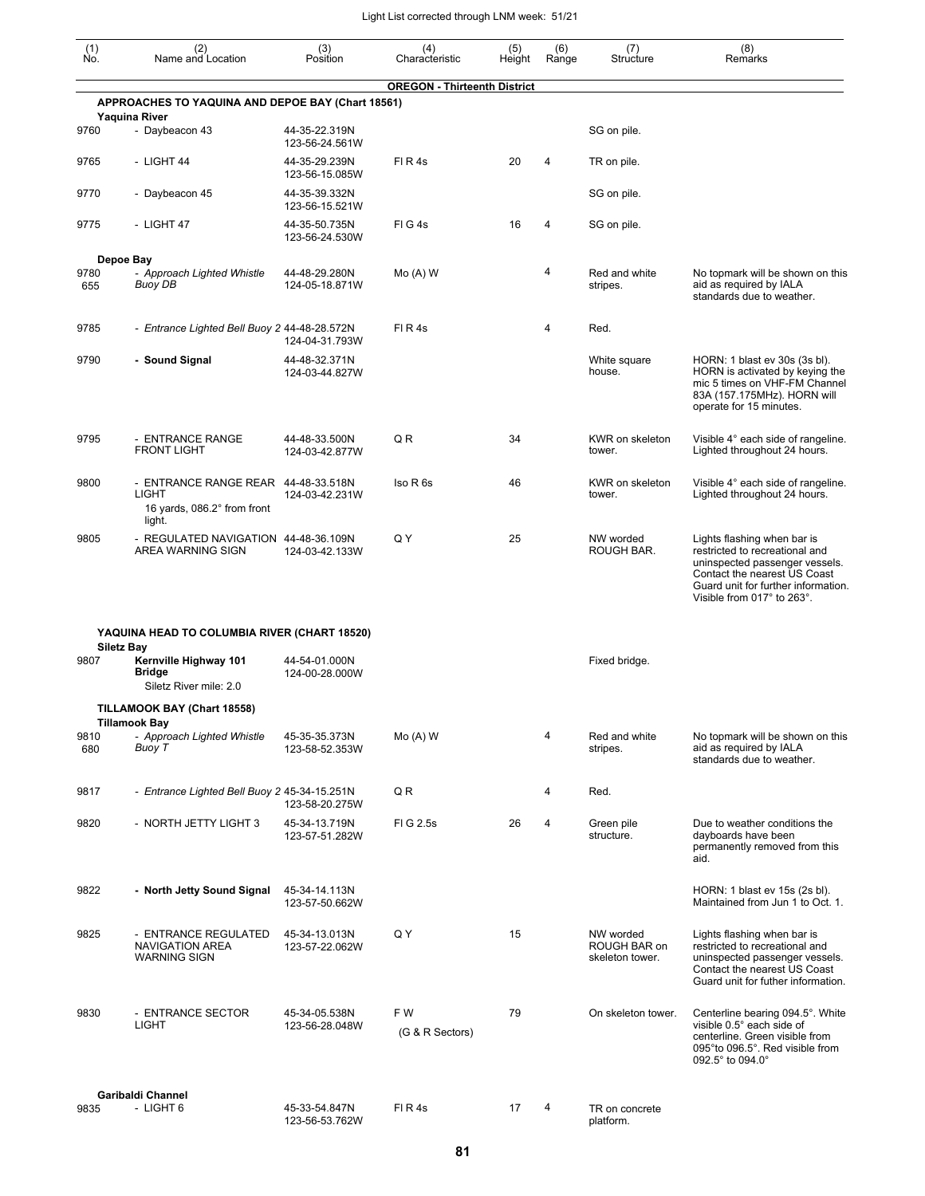| $\begin{smallmatrix} (1) \\ \mathsf{No} \end{smallmatrix}$ | (2)<br>Name and Location                                                              | (3)<br>Position                 | (4)<br>Characteristic               | (5)<br>Height | (6)<br>Range | (7)<br>Structure                             | (8)<br>Remarks                                                                                                                                                                                       |
|------------------------------------------------------------|---------------------------------------------------------------------------------------|---------------------------------|-------------------------------------|---------------|--------------|----------------------------------------------|------------------------------------------------------------------------------------------------------------------------------------------------------------------------------------------------------|
|                                                            |                                                                                       |                                 | <b>OREGON - Thirteenth District</b> |               |              |                                              |                                                                                                                                                                                                      |
|                                                            | APPROACHES TO YAQUINA AND DEPOE BAY (Chart 18561)                                     |                                 |                                     |               |              |                                              |                                                                                                                                                                                                      |
| 9760                                                       | <b>Yaquina River</b><br>- Daybeacon 43                                                | 44-35-22.319N<br>123-56-24.561W |                                     |               |              | SG on pile.                                  |                                                                                                                                                                                                      |
| 9765                                                       | - LIGHT 44                                                                            | 44-35-29.239N<br>123-56-15.085W | FIR4s                               | 20            | 4            | TR on pile.                                  |                                                                                                                                                                                                      |
| 9770                                                       | - Daybeacon 45                                                                        | 44-35-39.332N<br>123-56-15.521W |                                     |               |              | SG on pile.                                  |                                                                                                                                                                                                      |
| 9775                                                       | - LIGHT 47                                                                            | 44-35-50.735N<br>123-56-24.530W | FIG4s                               | 16            | 4            | SG on pile.                                  |                                                                                                                                                                                                      |
|                                                            | Depoe Bay                                                                             |                                 |                                     |               |              |                                              |                                                                                                                                                                                                      |
| 9780<br>655                                                | - Approach Lighted Whistle<br>Buoy DB                                                 | 44-48-29.280N<br>124-05-18.871W | $Mo(A)$ W                           |               | 4            | Red and white<br>stripes.                    | No topmark will be shown on this<br>aid as required by IALA<br>standards due to weather.                                                                                                             |
| 9785                                                       | - Entrance Lighted Bell Buoy 2 44-48-28.572N                                          | 124-04-31.793W                  | FIR4s                               |               | 4            | Red.                                         |                                                                                                                                                                                                      |
| 9790                                                       | - Sound Signal                                                                        | 44-48-32.371N<br>124-03-44.827W |                                     |               |              | White square<br>house.                       | HORN: 1 blast ev 30s (3s bl).<br>HORN is activated by keying the<br>mic 5 times on VHF-FM Channel<br>83A (157.175MHz). HORN will<br>operate for 15 minutes.                                          |
| 9795                                                       | - ENTRANCE RANGE<br><b>FRONT LIGHT</b>                                                | 44-48-33.500N<br>124-03-42.877W | Q R                                 | 34            |              | KWR on skeleton<br>tower.                    | Visible 4° each side of rangeline.<br>Lighted throughout 24 hours.                                                                                                                                   |
| 9800                                                       | - ENTRANCE RANGE REAR 44-48-33.518N<br>LIGHT<br>16 yards, 086.2° from front<br>light. | 124-03-42.231W                  | Iso R 6s                            | 46            |              | KWR on skeleton<br>tower.                    | Visible 4° each side of rangeline.<br>Lighted throughout 24 hours.                                                                                                                                   |
| 9805                                                       | - REGULATED NAVIGATION 44-48-36.109N<br>AREA WARNING SIGN                             | 124-03-42.133W                  | Q Y                                 | 25            |              | NW worded<br>ROUGH BAR.                      | Lights flashing when bar is<br>restricted to recreational and<br>uninspected passenger vessels.<br>Contact the nearest US Coast<br>Guard unit for further information.<br>Visible from 017° to 263°. |
|                                                            | YAQUINA HEAD TO COLUMBIA RIVER (CHART 18520)                                          |                                 |                                     |               |              |                                              |                                                                                                                                                                                                      |
| 9807                                                       | <b>Siletz Bay</b><br>Kernville Highway 101<br><b>Bridge</b><br>Siletz River mile: 2.0 | 44-54-01.000N<br>124-00-28.000W |                                     |               |              | Fixed bridge.                                |                                                                                                                                                                                                      |
|                                                            | TILLAMOOK BAY (Chart 18558)                                                           |                                 |                                     |               |              |                                              |                                                                                                                                                                                                      |
| 9810<br>680                                                | <b>Tillamook Bay</b><br>- Approach Lighted Whistle<br>Buoy T                          | 45-35-35.373N<br>123-58-52.353W | $Mo(A)$ W                           |               | 4            | Red and white<br>stripes.                    | No topmark will be shown on this<br>aid as required by IALA<br>standards due to weather.                                                                                                             |
| 9817                                                       | - Entrance Lighted Bell Buoy 2 45-34-15.251N                                          | 123-58-20.275W                  | Q R                                 |               | 4            | Red.                                         |                                                                                                                                                                                                      |
| 9820                                                       | - NORTH JETTY LIGHT 3                                                                 | 45-34-13.719N<br>123-57-51.282W | FIG 2.5s                            | 26            | 4            | Green pile<br>structure.                     | Due to weather conditions the<br>dayboards have been<br>permanently removed from this<br>aid.                                                                                                        |
| 9822                                                       | - North Jetty Sound Signal                                                            | 45-34-14.113N<br>123-57-50.662W |                                     |               |              |                                              | HORN: 1 blast ev 15s (2s bl).<br>Maintained from Jun 1 to Oct. 1.                                                                                                                                    |
| 9825                                                       | - ENTRANCE REGULATED<br>NAVIGATION AREA<br><b>WARNING SIGN</b>                        | 45-34-13.013N<br>123-57-22.062W | Q Y                                 | 15            |              | NW worded<br>ROUGH BAR on<br>skeleton tower. | Lights flashing when bar is<br>restricted to recreational and<br>uninspected passenger vessels.<br>Contact the nearest US Coast<br>Guard unit for futher information.                                |
| 9830                                                       | - ENTRANCE SECTOR<br><b>LIGHT</b>                                                     | 45-34-05.538N<br>123-56-28.048W | F W<br>(G & R Sectors)              | 79            |              | On skeleton tower.                           | Centerline bearing 094.5°. White<br>visible 0.5° each side of<br>centerline. Green visible from<br>095°to 096.5°. Red visible from<br>092.5° to 094.0°                                               |
|                                                            | Garibaldi Channel                                                                     |                                 |                                     |               |              |                                              |                                                                                                                                                                                                      |
| 9835                                                       | - LIGHT 6                                                                             | 45-33-54.847N<br>123-56-53.762W | FIR4s                               | 17            | 4            | TR on concrete<br>platform.                  |                                                                                                                                                                                                      |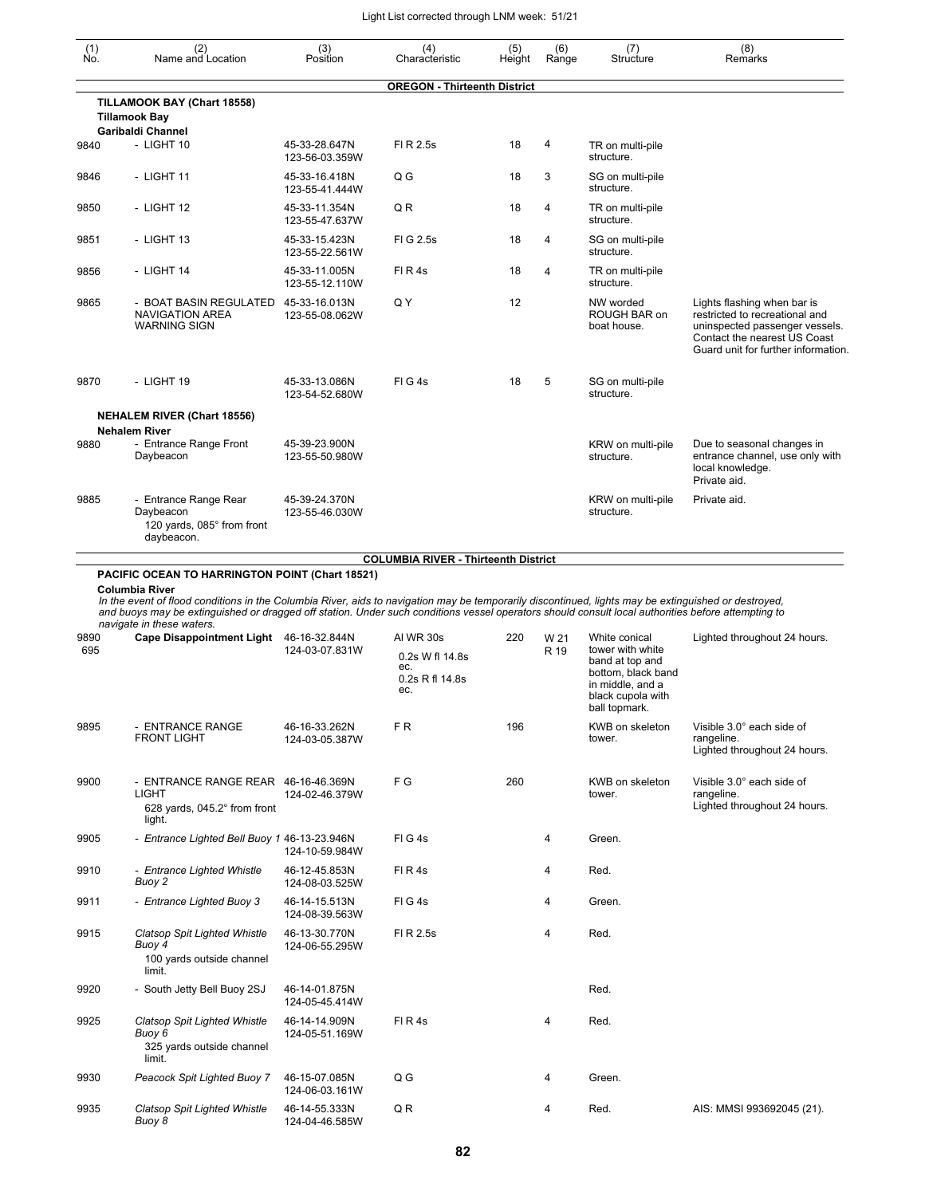| $\begin{smallmatrix} (1) \\ \mathsf{No} \end{smallmatrix}$ | (2)<br>Name and Location                                                                                                                                                                                                   | (3)<br>Position                 | (4)<br>Characteristic               | (5)<br>Height | (6)<br>Range   | (7)<br>Structure                                            | (8)<br>Remarks                                                                                                                                                         |
|------------------------------------------------------------|----------------------------------------------------------------------------------------------------------------------------------------------------------------------------------------------------------------------------|---------------------------------|-------------------------------------|---------------|----------------|-------------------------------------------------------------|------------------------------------------------------------------------------------------------------------------------------------------------------------------------|
|                                                            |                                                                                                                                                                                                                            |                                 | <b>OREGON - Thirteenth District</b> |               |                |                                                             |                                                                                                                                                                        |
|                                                            | TILLAMOOK BAY (Chart 18558)<br><b>Tillamook Bay</b><br><b>Garibaldi Channel</b>                                                                                                                                            |                                 |                                     |               |                |                                                             |                                                                                                                                                                        |
| 9840                                                       | $-$ LIGHT 10                                                                                                                                                                                                               | 45-33-28.647N<br>123-56-03.359W | FI R 2.5s                           | 18            | 4              | TR on multi-pile<br>structure.                              |                                                                                                                                                                        |
| 9846                                                       | - LIGHT 11                                                                                                                                                                                                                 | 45-33-16.418N<br>123-55-41.444W | Q G                                 | 18            | 3              | SG on multi-pile<br>structure.                              |                                                                                                                                                                        |
| 9850                                                       | - LIGHT 12                                                                                                                                                                                                                 | 45-33-11.354N<br>123-55-47.637W | QR                                  | 18            | 4              | TR on multi-pile<br>structure.                              |                                                                                                                                                                        |
| 9851                                                       | - LIGHT 13                                                                                                                                                                                                                 | 45-33-15.423N<br>123-55-22.561W | FIG 2.5s                            | 18            | $\overline{4}$ | SG on multi-pile<br>structure.                              |                                                                                                                                                                        |
| 9856                                                       | - LIGHT 14                                                                                                                                                                                                                 | 45-33-11.005N<br>123-55-12.110W | FIR4s                               | 18            | $\overline{4}$ | TR on multi-pile<br>structure.                              |                                                                                                                                                                        |
| 9865                                                       | - BOAT BASIN REGULATED 45-33-16.013N<br><b>NAVIGATION AREA</b><br><b>WARNING SIGN</b>                                                                                                                                      | 123-55-08.062W                  | Q Y                                 | 12            |                | NW worded<br>ROUGH BAR on<br>boat house.                    | Lights flashing when bar is<br>restricted to recreational and<br>uninspected passenger vessels.<br>Contact the nearest US Coast<br>Guard unit for further information. |
| 9870                                                       | - LIGHT 19                                                                                                                                                                                                                 | 45-33-13.086N<br>123-54-52.680W | $FI$ G 4s                           | 18            | 5              | SG on multi-pile<br>structure.                              |                                                                                                                                                                        |
|                                                            | <b>NEHALEM RIVER (Chart 18556)</b><br><b>Nehalem River</b>                                                                                                                                                                 |                                 |                                     |               |                |                                                             |                                                                                                                                                                        |
| 9880                                                       | - Entrance Range Front<br>Daybeacon                                                                                                                                                                                        | 45-39-23.900N<br>123-55-50.980W |                                     |               |                | KRW on multi-pile<br>structure.                             | Due to seasonal changes in<br>entrance channel, use only with<br>local knowledge.<br>Private aid.                                                                      |
| 9885                                                       | - Entrance Range Rear<br>Daybeacon<br>120 yards, 085° from front<br>daybeacon.                                                                                                                                             | 45-39-24.370N<br>123-55-46.030W |                                     |               |                | KRW on multi-pile<br>structure.                             | Private aid.                                                                                                                                                           |
| 9890<br>695                                                | and buoys may be extinguished or dragged off station. Under such conditions vessel operators should consult local authorities before attempting to<br>navigate in these waters.<br>Cape Disappointment Light 46-16-32.844N | 124-03-07.831W                  | AI WR 30s<br>0.2s W fl 14.8s        | 220           | W 21<br>R 19   | White conical<br>tower with white<br>band at top and        | Lighted throughout 24 hours.                                                                                                                                           |
|                                                            |                                                                                                                                                                                                                            |                                 | ec.<br>0.2s R fl 14.8s<br>ec.       |               |                | bottom, black band<br>in middle, and a<br>black cupola with |                                                                                                                                                                        |
| 9895                                                       | - ENTRANCE RANGE                                                                                                                                                                                                           | 46-16-33.262N                   | FR.                                 | 196           |                | ball topmark.<br>KWB on skeleton                            | Visible 3.0° each side of                                                                                                                                              |
|                                                            | <b>FRONT LIGHT</b>                                                                                                                                                                                                         | 124-03-05.387W                  |                                     |               |                | tower.                                                      | rangeline.<br>Lighted throughout 24 hours.                                                                                                                             |
| 9900                                                       | - ENTRANCE RANGE REAR 46-16-46.369N<br><b>LIGHT</b>                                                                                                                                                                        | 124-02-46.379W                  | FG                                  | 260           |                | KWB on skeleton<br>tower.                                   | Visible 3.0° each side of<br>rangeline.                                                                                                                                |
|                                                            | 628 yards, 045.2° from front<br>light.                                                                                                                                                                                     |                                 |                                     |               |                |                                                             | Lighted throughout 24 hours.                                                                                                                                           |
| 9905                                                       | - Entrance Lighted Bell Buoy 1 46-13-23.946N                                                                                                                                                                               | 124-10-59.984W                  | FIG4s                               |               | 4              | Green.                                                      |                                                                                                                                                                        |
| 9910                                                       | - Entrance Lighted Whistle<br>Buoy 2                                                                                                                                                                                       | 46-12-45.853N<br>124-08-03.525W | FIR4s                               |               | 4              | Red.                                                        |                                                                                                                                                                        |
| 9911                                                       | - Entrance Lighted Buoy 3                                                                                                                                                                                                  | 46-14-15.513N<br>124-08-39.563W | FIG4s                               |               | 4              | Green.                                                      |                                                                                                                                                                        |
| 9915                                                       | Clatsop Spit Lighted Whistle<br>Buoy 4<br>100 yards outside channel<br>limit.                                                                                                                                              | 46-13-30.770N<br>124-06-55.295W | FI R 2.5s                           |               | 4              | Red.                                                        |                                                                                                                                                                        |
| 9920                                                       | - South Jetty Bell Buoy 2SJ                                                                                                                                                                                                | 46-14-01.875N<br>124-05-45.414W |                                     |               |                | Red.                                                        |                                                                                                                                                                        |
| 9925                                                       | Clatsop Spit Lighted Whistle<br>Buoy 6<br>325 yards outside channel<br>limit.                                                                                                                                              | 46-14-14.909N<br>124-05-51.169W | FIR4s                               |               | 4              | Red.                                                        |                                                                                                                                                                        |
| 9930                                                       | Peacock Spit Lighted Buoy 7                                                                                                                                                                                                | 46-15-07.085N<br>124-06-03.161W | Q G                                 |               | 4              | Green.                                                      |                                                                                                                                                                        |
| 9935                                                       | <b>Clatsop Spit Lighted Whistle</b><br>Buoy 8                                                                                                                                                                              | 46-14-55.333N<br>124-04-46.585W | Q R                                 |               | 4              | Red.                                                        | AIS: MMSI 993692045 (21).                                                                                                                                              |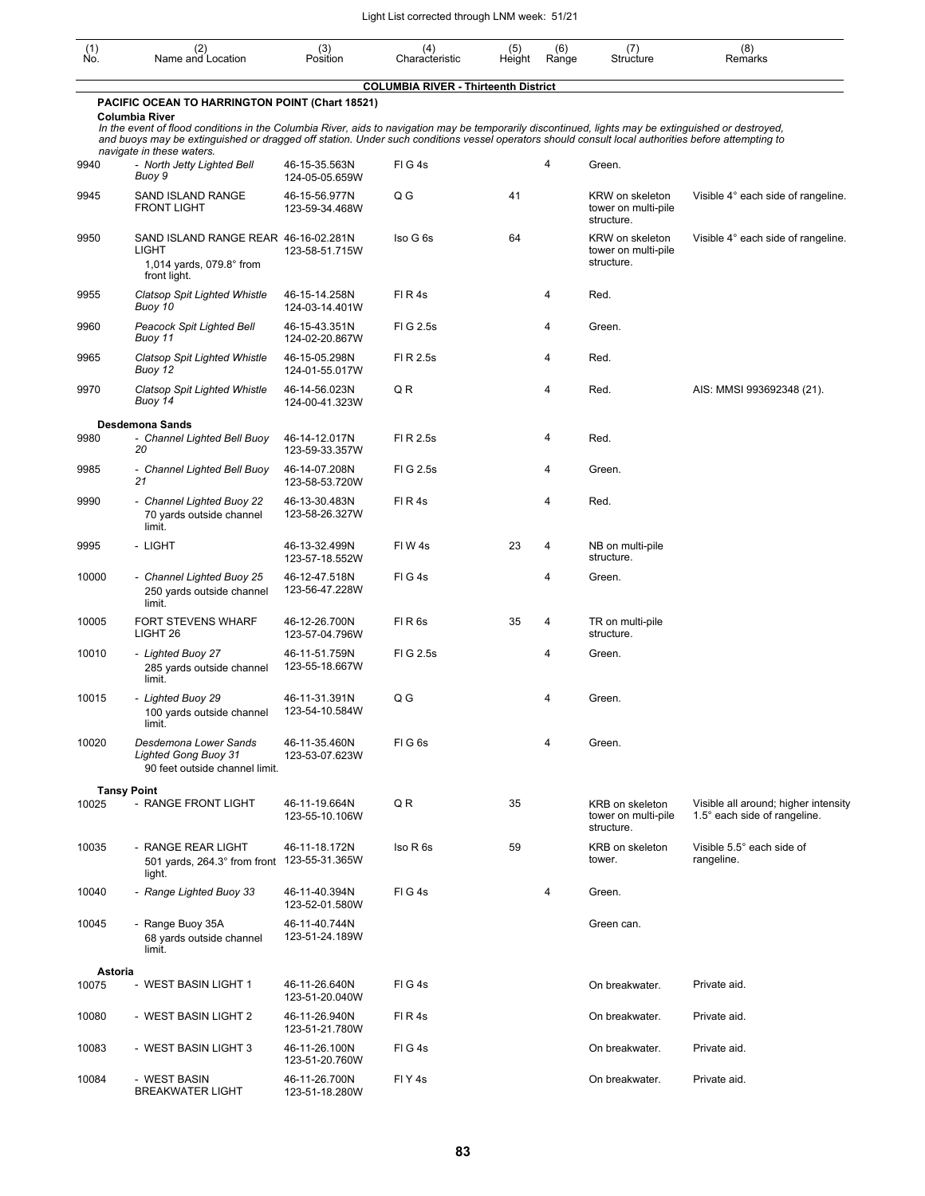| (1)<br>Ño. | (2)<br>Name and Location                                                                                                                                                                                                                                                                                                                                                        | (3)<br>Position                 | (4)<br>Characteristic                       | (5)<br>Height | (6)<br>Range   | (7)<br>Structure                                     | (8)<br>Remarks                                                       |
|------------|---------------------------------------------------------------------------------------------------------------------------------------------------------------------------------------------------------------------------------------------------------------------------------------------------------------------------------------------------------------------------------|---------------------------------|---------------------------------------------|---------------|----------------|------------------------------------------------------|----------------------------------------------------------------------|
|            |                                                                                                                                                                                                                                                                                                                                                                                 |                                 | <b>COLUMBIA RIVER - Thirteenth District</b> |               |                |                                                      |                                                                      |
|            | PACIFIC OCEAN TO HARRINGTON POINT (Chart 18521)<br>Columbia River<br>In the event of flood conditions in the Columbia River, aids to navigation may be temporarily discontinued, lights may be extinguished or destroyed,<br>and buoys may be extinguished or dragged off station. Under such conditions vessel operators should consult local authorities before attempting to |                                 |                                             |               |                |                                                      |                                                                      |
| 9940       | navigate in these waters.<br>- North Jetty Lighted Bell<br>Buoy 9                                                                                                                                                                                                                                                                                                               | 46-15-35.563N<br>124-05-05.659W | FIG4s                                       |               | 4              | Green.                                               |                                                                      |
| 9945       | SAND ISLAND RANGE<br><b>FRONT LIGHT</b>                                                                                                                                                                                                                                                                                                                                         | 46-15-56.977N<br>123-59-34.468W | Q G                                         | 41            |                | KRW on skeleton<br>tower on multi-pile<br>structure. | Visible 4° each side of rangeline.                                   |
| 9950       | SAND ISLAND RANGE REAR 46-16-02.281N<br>LIGHT<br>1,014 yards, 079.8° from<br>front light.                                                                                                                                                                                                                                                                                       | 123-58-51.715W                  | Iso G 6s                                    | 64            |                | KRW on skeleton<br>tower on multi-pile<br>structure. | Visible 4° each side of rangeline.                                   |
| 9955       | <b>Clatsop Spit Lighted Whistle</b><br>Buoy 10                                                                                                                                                                                                                                                                                                                                  | 46-15-14.258N<br>124-03-14.401W | FIR4s                                       |               | 4              | Red.                                                 |                                                                      |
| 9960       | Peacock Spit Lighted Bell<br>Buoy 11                                                                                                                                                                                                                                                                                                                                            | 46-15-43.351N<br>124-02-20.867W | FIG 2.5s                                    |               | 4              | Green.                                               |                                                                      |
| 9965       | <b>Clatsop Spit Lighted Whistle</b><br>Buoy 12                                                                                                                                                                                                                                                                                                                                  | 46-15-05.298N<br>124-01-55.017W | FI R 2.5s                                   |               | 4              | Red.                                                 |                                                                      |
| 9970       | Clatsop Spit Lighted Whistle<br>Buoy 14                                                                                                                                                                                                                                                                                                                                         | 46-14-56.023N<br>124-00-41.323W | Q R                                         |               | 4              | Red.                                                 | AIS: MMSI 993692348 (21).                                            |
| 9980       | Desdemona Sands<br>- Channel Lighted Bell Buoy                                                                                                                                                                                                                                                                                                                                  | 46-14-12.017N                   | FI R 2.5s                                   |               | 4              | Red.                                                 |                                                                      |
|            | 20                                                                                                                                                                                                                                                                                                                                                                              | 123-59-33.357W                  |                                             |               |                |                                                      |                                                                      |
| 9985       | - Channel Lighted Bell Buoy<br>21                                                                                                                                                                                                                                                                                                                                               | 46-14-07.208N<br>123-58-53.720W | FIG 2.5s                                    |               | 4              | Green.                                               |                                                                      |
| 9990       | - Channel Lighted Buoy 22<br>70 yards outside channel<br>limit.                                                                                                                                                                                                                                                                                                                 | 46-13-30.483N<br>123-58-26.327W | FIR4s                                       |               | 4              | Red.                                                 |                                                                      |
| 9995       | - LIGHT                                                                                                                                                                                                                                                                                                                                                                         | 46-13-32.499N<br>123-57-18.552W | FIW 4s                                      | 23            | 4              | NB on multi-pile<br>structure.                       |                                                                      |
| 10000      | - Channel Lighted Buoy 25<br>250 yards outside channel<br>limit.                                                                                                                                                                                                                                                                                                                | 46-12-47.518N<br>123-56-47.228W | FIG4s                                       |               | $\overline{4}$ | Green.                                               |                                                                      |
| 10005      | <b>FORT STEVENS WHARF</b><br>LIGHT <sub>26</sub>                                                                                                                                                                                                                                                                                                                                | 46-12-26.700N<br>123-57-04.796W | FIR <sub>6s</sub>                           | 35            | 4              | TR on multi-pile<br>structure.                       |                                                                      |
| 10010      | - Lighted Buoy 27<br>285 yards outside channel<br>limit.                                                                                                                                                                                                                                                                                                                        | 46-11-51.759N<br>123-55-18.667W | FI G 2.5s                                   |               | 4              | Green.                                               |                                                                      |
| 10015      | - Lighted Buoy 29<br>100 yards outside channel<br>limit.                                                                                                                                                                                                                                                                                                                        | 46-11-31.391N<br>123-54-10.584W | Q G                                         |               | 4              | Green.                                               |                                                                      |
| 10020      | Desdemona Lower Sands<br><b>Lighted Gong Buoy 31</b><br>90 feet outside channel limit.                                                                                                                                                                                                                                                                                          | 46-11-35.460N<br>123-53-07.623W | FIG <sub>6s</sub>                           |               | 4              | Green.                                               |                                                                      |
|            | <b>Tansy Point</b>                                                                                                                                                                                                                                                                                                                                                              |                                 |                                             |               |                |                                                      |                                                                      |
| 10025      | - RANGE FRONT LIGHT                                                                                                                                                                                                                                                                                                                                                             | 46-11-19.664N<br>123-55-10.106W | Q R                                         | 35            |                | KRB on skeleton<br>tower on multi-pile<br>structure. | Visible all around; higher intensity<br>1.5° each side of rangeline. |
| 10035      | - RANGE REAR LIGHT<br>501 yards, 264.3° from front 123-55-31.365W<br>light.                                                                                                                                                                                                                                                                                                     | 46-11-18.172N                   | Iso R 6s                                    | 59            |                | KRB on skeleton<br>tower.                            | Visible 5.5° each side of<br>rangeline.                              |
| 10040      | - Range Lighted Buoy 33                                                                                                                                                                                                                                                                                                                                                         | 46-11-40.394N<br>123-52-01.580W | FIG4s                                       |               | 4              | Green.                                               |                                                                      |
| 10045      | - Range Buoy 35A<br>68 yards outside channel<br>limit.                                                                                                                                                                                                                                                                                                                          | 46-11-40.744N<br>123-51-24.189W |                                             |               |                | Green can.                                           |                                                                      |
| Astoria    |                                                                                                                                                                                                                                                                                                                                                                                 |                                 |                                             |               |                |                                                      |                                                                      |
| 10075      | - WEST BASIN LIGHT 1                                                                                                                                                                                                                                                                                                                                                            | 46-11-26.640N<br>123-51-20.040W | FIG4s                                       |               |                | On breakwater.                                       | Private aid.                                                         |
| 10080      | - WEST BASIN LIGHT 2                                                                                                                                                                                                                                                                                                                                                            | 46-11-26.940N<br>123-51-21.780W | FIR4s                                       |               |                | On breakwater.                                       | Private aid.                                                         |
| 10083      | - WEST BASIN LIGHT 3                                                                                                                                                                                                                                                                                                                                                            | 46-11-26.100N<br>123-51-20.760W | FIG4s                                       |               |                | On breakwater.                                       | Private aid.                                                         |
| 10084      | - WEST BASIN<br><b>BREAKWATER LIGHT</b>                                                                                                                                                                                                                                                                                                                                         | 46-11-26.700N<br>123-51-18.280W | FIY <sub>4</sub> s                          |               |                | On breakwater.                                       | Private aid.                                                         |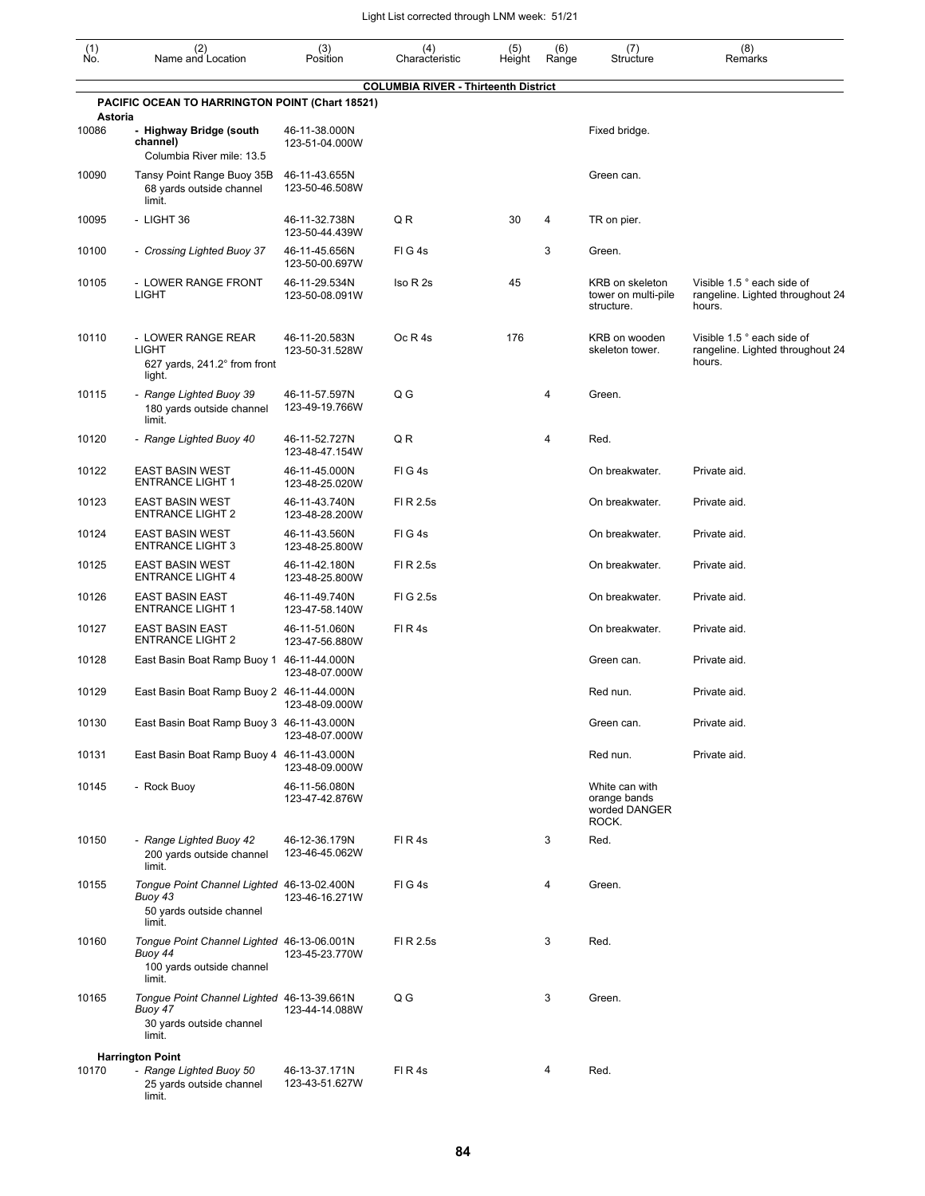| $\begin{smallmatrix} (1) \\ \mathsf{No} \end{smallmatrix}$ | (2)<br>Name and Location                                                                     | (3)<br>Position                 | (4)<br>Characteristic                       | (5)<br>Height | (6)<br>Range | (7)<br>Structure                                         | (8)<br>Remarks                                                           |
|------------------------------------------------------------|----------------------------------------------------------------------------------------------|---------------------------------|---------------------------------------------|---------------|--------------|----------------------------------------------------------|--------------------------------------------------------------------------|
|                                                            | PACIFIC OCEAN TO HARRINGTON POINT (Chart 18521)                                              |                                 | <b>COLUMBIA RIVER - Thirteenth District</b> |               |              |                                                          |                                                                          |
| Astoria                                                    |                                                                                              |                                 |                                             |               |              |                                                          |                                                                          |
| 10086                                                      | - Highway Bridge (south<br>channel)<br>Columbia River mile: 13.5                             | 46-11-38.000N<br>123-51-04.000W |                                             |               |              | Fixed bridge.                                            |                                                                          |
| 10090                                                      | Tansy Point Range Buoy 35B<br>68 yards outside channel<br>limit.                             | 46-11-43.655N<br>123-50-46.508W |                                             |               |              | Green can.                                               |                                                                          |
| 10095                                                      | - LIGHT 36                                                                                   | 46-11-32.738N<br>123-50-44.439W | QR                                          | 30            | 4            | TR on pier.                                              |                                                                          |
| 10100                                                      | - Crossing Lighted Buoy 37                                                                   | 46-11-45.656N<br>123-50-00.697W | FIG4s                                       |               | 3            | Green.                                                   |                                                                          |
| 10105                                                      | - LOWER RANGE FRONT<br><b>LIGHT</b>                                                          | 46-11-29.534N<br>123-50-08.091W | Iso R 2s                                    | 45            |              | KRB on skeleton<br>tower on multi-pile<br>structure.     | Visible 1.5 ° each side of<br>rangeline. Lighted throughout 24<br>hours. |
| 10110                                                      | - LOWER RANGE REAR<br><b>LIGHT</b><br>627 yards, $241.2^\circ$ from front<br>light.          | 46-11-20.583N<br>123-50-31.528W | Oc R 4s                                     | 176           |              | KRB on wooden<br>skeleton tower.                         | Visible 1.5 ° each side of<br>rangeline. Lighted throughout 24<br>hours. |
| 10115                                                      | - Range Lighted Buoy 39<br>180 yards outside channel<br>limit.                               | 46-11-57.597N<br>123-49-19.766W | $Q$ $G$                                     |               | 4            | Green.                                                   |                                                                          |
| 10120                                                      | - Range Lighted Buoy 40                                                                      | 46-11-52.727N<br>123-48-47.154W | QR                                          |               | 4            | Red.                                                     |                                                                          |
| 10122                                                      | <b>EAST BASIN WEST</b><br><b>ENTRANCE LIGHT 1</b>                                            | 46-11-45.000N<br>123-48-25.020W | FIG4s                                       |               |              | On breakwater.                                           | Private aid.                                                             |
| 10123                                                      | <b>EAST BASIN WEST</b><br><b>ENTRANCE LIGHT 2</b>                                            | 46-11-43.740N<br>123-48-28.200W | FI R 2.5s                                   |               |              | On breakwater.                                           | Private aid.                                                             |
| 10124                                                      | <b>EAST BASIN WEST</b><br><b>ENTRANCE LIGHT 3</b>                                            | 46-11-43.560N<br>123-48-25.800W | FIG4s                                       |               |              | On breakwater.                                           | Private aid.                                                             |
| 10125                                                      | <b>EAST BASIN WEST</b><br><b>ENTRANCE LIGHT 4</b>                                            | 46-11-42.180N<br>123-48-25.800W | FI R 2.5s                                   |               |              | On breakwater.                                           | Private aid.                                                             |
| 10126                                                      | <b>EAST BASIN EAST</b><br><b>ENTRANCE LIGHT 1</b>                                            | 46-11-49.740N<br>123-47-58.140W | FIG 2.5s                                    |               |              | On breakwater.                                           | Private aid.                                                             |
| 10127                                                      | <b>EAST BASIN EAST</b><br><b>ENTRANCE LIGHT 2</b>                                            | 46-11-51.060N<br>123-47-56.880W | FIR4s                                       |               |              | On breakwater.                                           | Private aid.                                                             |
| 10128                                                      | East Basin Boat Ramp Buoy 1 46-11-44.000N                                                    | 123-48-07.000W                  |                                             |               |              | Green can.                                               | Private aid.                                                             |
| 10129                                                      | East Basin Boat Ramp Buoy 2 46-11-44.000N                                                    | 123-48-09.000W                  |                                             |               |              | Red nun.                                                 | Private aid.                                                             |
| 10130                                                      | East Basin Boat Ramp Buoy 3 46-11-43.000N                                                    | 123-48-07.000W                  |                                             |               |              | Green can.                                               | Private aid.                                                             |
| 10131                                                      | East Basin Boat Ramp Buoy 4 46-11-43.000N                                                    | 123-48-09.000W                  |                                             |               |              | Red nun.                                                 | Private aid.                                                             |
| 10145                                                      | - Rock Buoy                                                                                  | 46-11-56.080N<br>123-47-42.876W |                                             |               |              | White can with<br>orange bands<br>worded DANGER<br>ROCK. |                                                                          |
| 10150                                                      | - Range Lighted Buoy 42<br>200 yards outside channel<br>limit.                               | 46-12-36.179N<br>123-46-45.062W | FIR4s                                       |               | 3            | Red.                                                     |                                                                          |
| 10155                                                      | Tongue Point Channel Lighted 46-13-02.400N<br>Buoy 43<br>50 yards outside channel<br>limit.  | 123-46-16.271W                  | FIG4s                                       |               | 4            | Green.                                                   |                                                                          |
| 10160                                                      | Tongue Point Channel Lighted 46-13-06.001N<br>Buoy 44<br>100 yards outside channel<br>limit. | 123-45-23.770W                  | FI R 2.5s                                   |               | 3            | Red.                                                     |                                                                          |
| 10165                                                      | Tongue Point Channel Lighted 46-13-39.661N<br>Buoy 47<br>30 yards outside channel<br>limit.  | 123-44-14.088W                  | Q G                                         |               | 3            | Green.                                                   |                                                                          |
|                                                            | <b>Harrington Point</b>                                                                      |                                 |                                             |               |              |                                                          |                                                                          |
| 10170                                                      | - Range Lighted Buoy 50<br>25 yards outside channel<br>limit.                                | 46-13-37.171N<br>123-43-51.627W | FIR4s                                       |               | 4            | Red.                                                     |                                                                          |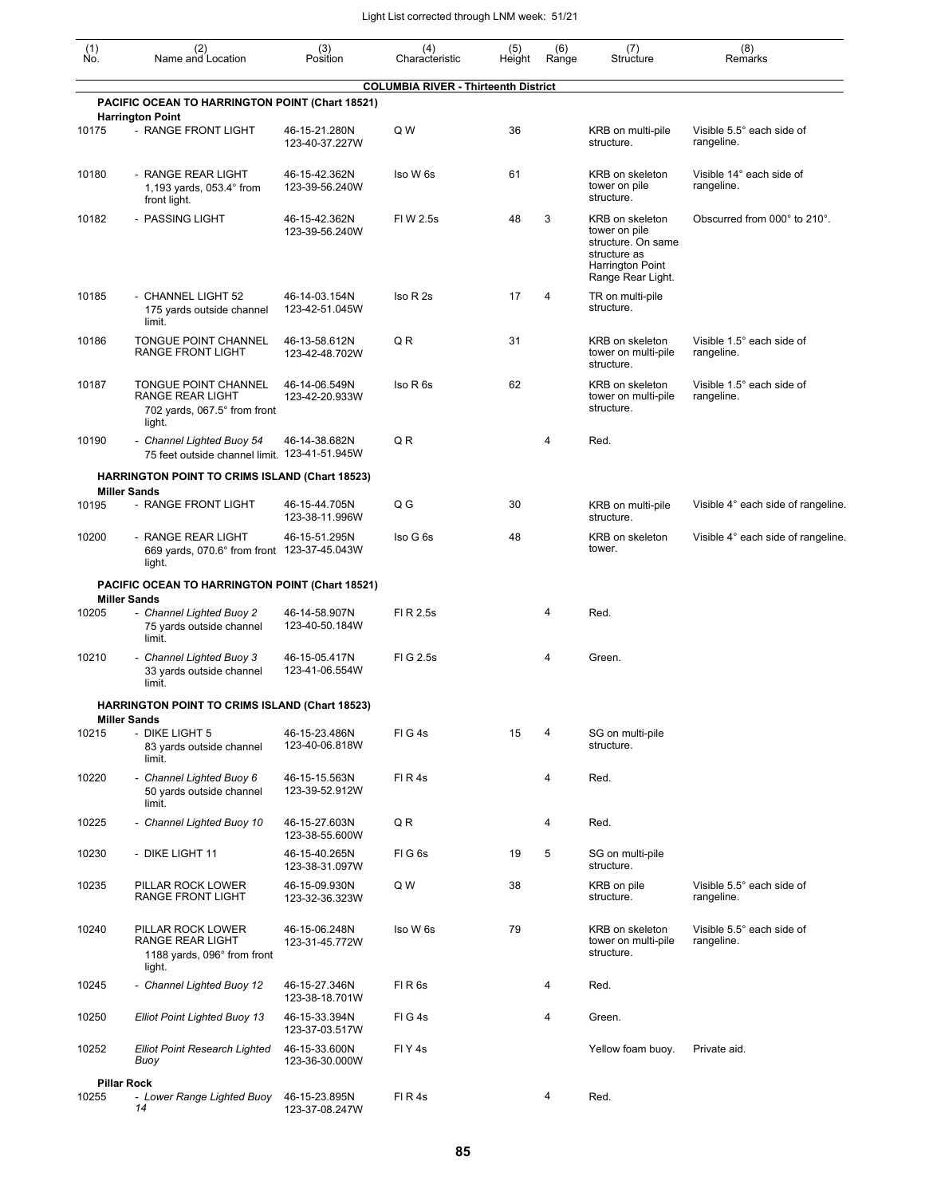| (1)<br>Ńó. | (2)<br>Name and Location                                                              | (3)<br>Position                 | (4)<br>Characteristic                       | (5)<br>Height | (6)<br>Range | (7)<br>Structure                                                                                                | (8)<br>Remarks                          |
|------------|---------------------------------------------------------------------------------------|---------------------------------|---------------------------------------------|---------------|--------------|-----------------------------------------------------------------------------------------------------------------|-----------------------------------------|
|            | PACIFIC OCEAN TO HARRINGTON POINT (Chart 18521)                                       |                                 | <b>COLUMBIA RIVER - Thirteenth District</b> |               |              |                                                                                                                 |                                         |
|            | <b>Harrington Point</b>                                                               |                                 |                                             |               |              |                                                                                                                 |                                         |
| 10175      | - RANGE FRONT LIGHT                                                                   | 46-15-21.280N<br>123-40-37.227W | Q W                                         | 36            |              | KRB on multi-pile<br>structure.                                                                                 | Visible 5.5° each side of<br>rangeline. |
| 10180      | - RANGE REAR LIGHT<br>1,193 yards, $053.4^{\circ}$ from<br>front light.               | 46-15-42.362N<br>123-39-56.240W | Iso W 6s                                    | 61            |              | KRB on skeleton<br>tower on pile<br>structure.                                                                  | Visible 14° each side of<br>rangeline.  |
| 10182      | - PASSING LIGHT                                                                       | 46-15-42.362N<br>123-39-56.240W | FI W 2.5s                                   | 48            | 3            | KRB on skeleton<br>tower on pile<br>structure. On same<br>structure as<br>Harrington Point<br>Range Rear Light. | Obscurred from 000° to 210°.            |
| 10185      | - CHANNEL LIGHT 52<br>175 yards outside channel<br>limit.                             | 46-14-03.154N<br>123-42-51.045W | Iso R 2s                                    | 17            | 4            | TR on multi-pile<br>structure.                                                                                  |                                         |
| 10186      | TONGUE POINT CHANNEL<br>RANGE FRONT LIGHT                                             | 46-13-58.612N<br>123-42-48.702W | Q R                                         | 31            |              | KRB on skeleton<br>tower on multi-pile<br>structure.                                                            | Visible 1.5° each side of<br>rangeline. |
| 10187      | TONGUE POINT CHANNEL<br>RANGE REAR LIGHT<br>702 yards, 067.5° from front<br>light.    | 46-14-06.549N<br>123-42-20.933W | Iso R 6s                                    | 62            |              | KRB on skeleton<br>tower on multi-pile<br>structure.                                                            | Visible 1.5° each side of<br>rangeline. |
| 10190      | - Channel Lighted Buoy 54<br>75 feet outside channel limit. 123-41-51.945W            | 46-14-38.682N                   | Q R                                         |               | 4            | Red.                                                                                                            |                                         |
|            | <b>HARRINGTON POINT TO CRIMS ISLAND (Chart 18523)</b>                                 |                                 |                                             |               |              |                                                                                                                 |                                         |
| 10195      | <b>Miller Sands</b><br>- RANGE FRONT LIGHT                                            | 46-15-44.705N<br>123-38-11.996W | Q G                                         | 30            |              | KRB on multi-pile<br>structure.                                                                                 | Visible 4° each side of rangeline.      |
| 10200      | - RANGE REAR LIGHT<br>669 yards, 070.6° from front 123-37-45.043W<br>light.           | 46-15-51.295N                   | Iso G 6s                                    | 48            |              | KRB on skeleton<br>tower.                                                                                       | Visible 4° each side of rangeline.      |
|            | PACIFIC OCEAN TO HARRINGTON POINT (Chart 18521)                                       |                                 |                                             |               |              |                                                                                                                 |                                         |
| 10205      | <b>Miller Sands</b><br>- Channel Lighted Buoy 2<br>75 yards outside channel<br>limit. | 46-14-58.907N<br>123-40-50.184W | FI R 2.5s                                   |               | 4            | Red.                                                                                                            |                                         |
| 10210      | - Channel Lighted Buoy 3<br>33 yards outside channel<br>limit.                        | 46-15-05.417N<br>123-41-06.554W | FIG 2.5s                                    |               | 4            | Green.                                                                                                          |                                         |
|            | <b>HARRINGTON POINT TO CRIMS ISLAND (Chart 18523)</b>                                 |                                 |                                             |               |              |                                                                                                                 |                                         |
| 10215      | <b>Miller Sands</b><br>- DIKE LIGHT 5<br>83 yards outside channel<br>limit.           | 46-15-23.486N<br>123-40-06.818W | FIG4s                                       | 15            | 4            | SG on multi-pile<br>structure.                                                                                  |                                         |
| 10220      | - Channel Lighted Buoy 6<br>50 yards outside channel<br>limit.                        | 46-15-15.563N<br>123-39-52.912W | FIR4s                                       |               | 4            | Red.                                                                                                            |                                         |
| 10225      | - Channel Lighted Buoy 10                                                             | 46-15-27.603N<br>123-38-55.600W | Q R                                         |               | 4            | Red.                                                                                                            |                                         |
| 10230      | - DIKE LIGHT 11                                                                       | 46-15-40.265N<br>123-38-31.097W | FIG6s                                       | 19            | 5            | SG on multi-pile<br>structure.                                                                                  |                                         |
| 10235      | PILLAR ROCK LOWER<br><b>RANGE FRONT LIGHT</b>                                         | 46-15-09.930N<br>123-32-36.323W | Q W                                         | 38            |              | KRB on pile<br>structure.                                                                                       | Visible 5.5° each side of<br>rangeline. |
| 10240      | PILLAR ROCK LOWER<br>RANGE REAR LIGHT<br>1188 yards, 096° from front<br>light.        | 46-15-06.248N<br>123-31-45.772W | Iso W 6s                                    | 79            |              | KRB on skeleton<br>tower on multi-pile<br>structure.                                                            | Visible 5.5° each side of<br>rangeline. |
| 10245      | - Channel Lighted Buoy 12                                                             | 46-15-27.346N<br>123-38-18.701W | FIR6s                                       |               | 4            | Red.                                                                                                            |                                         |
| 10250      | <b>Elliot Point Lighted Buoy 13</b>                                                   | 46-15-33.394N<br>123-37-03.517W | FIG4s                                       |               | 4            | Green.                                                                                                          |                                         |
| 10252      | <b>Elliot Point Research Lighted</b><br>Buoy                                          | 46-15-33.600N<br>123-36-30.000W | FIY <sub>4s</sub>                           |               |              | Yellow foam buoy.                                                                                               | Private aid.                            |
|            | <b>Pillar Rock</b>                                                                    |                                 |                                             |               |              |                                                                                                                 |                                         |
| 10255      | - Lower Range Lighted Buoy<br>14                                                      | 46-15-23.895N<br>123-37-08.247W | FIR4s                                       |               | 4            | Red.                                                                                                            |                                         |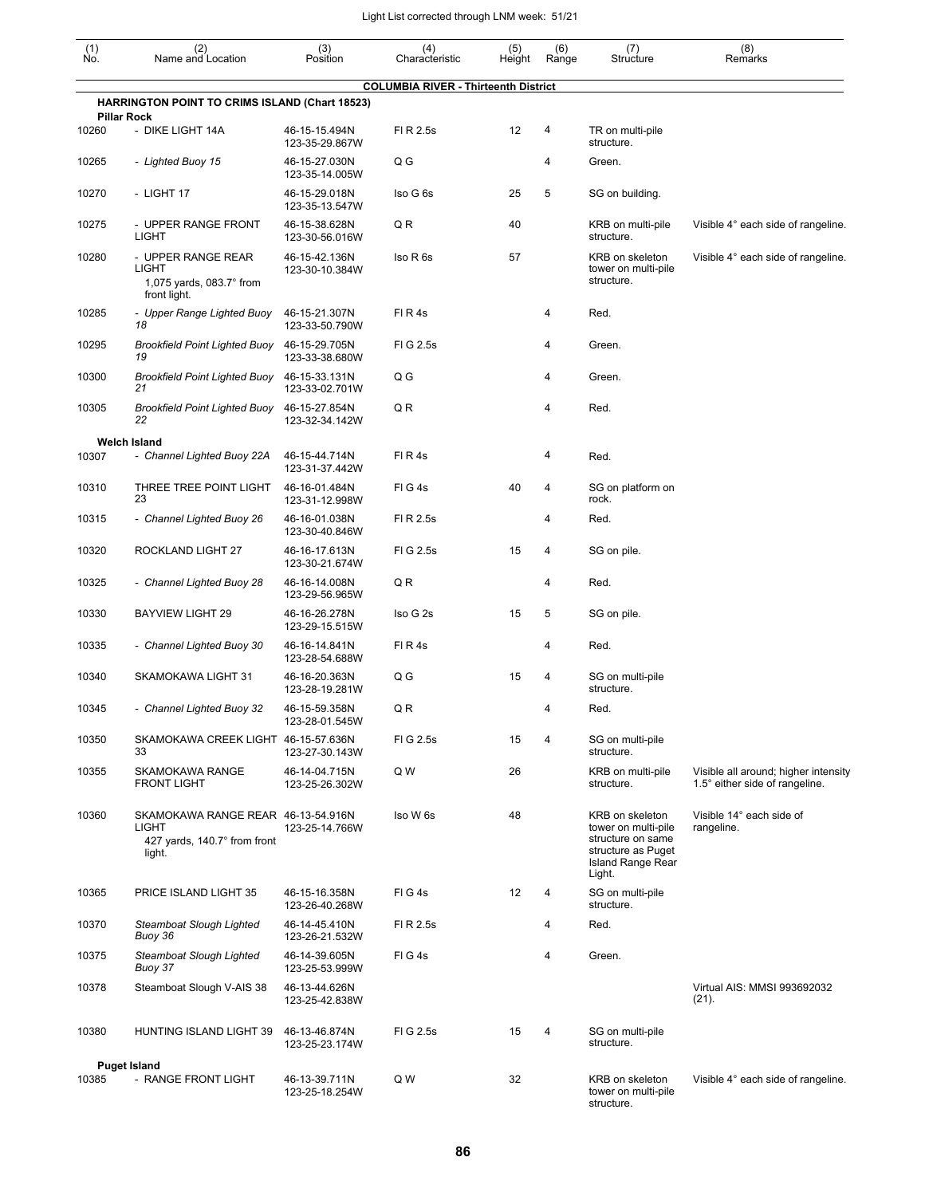| (1)<br>No.         | (2)<br>Name and Location                                                              | (3)<br>Position                 | (4)<br>Characteristic                       | (5)<br>Height | (6)<br>Range | (7)<br>Structure                                                                                                        | (8)<br>Remarks                                                         |
|--------------------|---------------------------------------------------------------------------------------|---------------------------------|---------------------------------------------|---------------|--------------|-------------------------------------------------------------------------------------------------------------------------|------------------------------------------------------------------------|
|                    |                                                                                       |                                 | <b>COLUMBIA RIVER - Thirteenth District</b> |               |              |                                                                                                                         |                                                                        |
| <b>Pillar Rock</b> | <b>HARRINGTON POINT TO CRIMS ISLAND (Chart 18523)</b>                                 |                                 |                                             |               |              |                                                                                                                         |                                                                        |
| 10260              | - DIKE LIGHT 14A                                                                      | 46-15-15.494N<br>123-35-29.867W | FI R 2.5s                                   | 12            | 4            | TR on multi-pile<br>structure.                                                                                          |                                                                        |
| 10265              | - Lighted Buoy 15                                                                     | 46-15-27.030N<br>123-35-14.005W | Q G                                         |               | 4            | Green.                                                                                                                  |                                                                        |
| 10270              | - LIGHT 17                                                                            | 46-15-29.018N<br>123-35-13.547W | Iso G 6s                                    | 25            | 5            | SG on building.                                                                                                         |                                                                        |
| 10275              | - UPPER RANGE FRONT<br><b>LIGHT</b>                                                   | 46-15-38.628N<br>123-30-56.016W | Q R                                         | 40            |              | KRB on multi-pile<br>structure.                                                                                         | Visible 4° each side of rangeline.                                     |
| 10280              | - UPPER RANGE REAR<br>LIGHT<br>1,075 yards, $083.7^\circ$ from<br>front light.        | 46-15-42.136N<br>123-30-10.384W | Iso R 6s                                    | 57            |              | KRB on skeleton<br>tower on multi-pile<br>structure.                                                                    | Visible 4° each side of rangeline.                                     |
| 10285              | - Upper Range Lighted Buoy<br>18                                                      | 46-15-21.307N<br>123-33-50.790W | FIR4s                                       |               | 4            | Red.                                                                                                                    |                                                                        |
| 10295              | Brookfield Point Lighted Buoy<br>19                                                   | 46-15-29.705N<br>123-33-38.680W | FIG 2.5s                                    |               | 4            | Green.                                                                                                                  |                                                                        |
| 10300              | <b>Brookfield Point Lighted Buoy</b><br>21                                            | 46-15-33.131N<br>123-33-02.701W | Q G                                         |               | 4            | Green.                                                                                                                  |                                                                        |
| 10305              | <b>Brookfield Point Lighted Buoy</b><br>22                                            | 46-15-27.854N<br>123-32-34.142W | Q R                                         |               | 4            | Red.                                                                                                                    |                                                                        |
| 10307              | <b>Welch Island</b><br>- Channel Lighted Buoy 22A                                     | 46-15-44.714N<br>123-31-37.442W | FIR4s                                       |               | 4            | Red.                                                                                                                    |                                                                        |
| 10310              | THREE TREE POINT LIGHT<br>23                                                          | 46-16-01.484N<br>123-31-12.998W | FIG4s                                       | 40            | 4            | SG on platform on<br>rock.                                                                                              |                                                                        |
| 10315              | - Channel Lighted Buoy 26                                                             | 46-16-01.038N<br>123-30-40.846W | FI R 2.5s                                   |               | 4            | Red.                                                                                                                    |                                                                        |
| 10320              | ROCKLAND LIGHT 27                                                                     | 46-16-17.613N<br>123-30-21.674W | FIG 2.5s                                    | 15            | 4            | SG on pile.                                                                                                             |                                                                        |
| 10325              | - Channel Lighted Buoy 28                                                             | 46-16-14.008N<br>123-29-56.965W | Q R                                         |               | 4            | Red.                                                                                                                    |                                                                        |
| 10330              | <b>BAYVIEW LIGHT 29</b>                                                               | 46-16-26.278N<br>123-29-15.515W | Iso G 2s                                    | 15            | 5            | SG on pile.                                                                                                             |                                                                        |
| 10335              | - Channel Lighted Buoy 30                                                             | 46-16-14.841N<br>123-28-54.688W | FIR4s                                       |               | 4            | Red.                                                                                                                    |                                                                        |
| 10340              | SKAMOKAWA LIGHT 31                                                                    | 46-16-20.363N<br>123-28-19.281W | Q G                                         | 15            | 4            | SG on multi-pile<br>structure.                                                                                          |                                                                        |
| 10345              | - Channel Lighted Buoy 32                                                             | 46-15-59.358N<br>123-28-01.545W | Q R                                         |               | 4            | Red.                                                                                                                    |                                                                        |
| 10350              | SKAMOKAWA CREEK LIGHT 46-15-57.636N<br>33                                             | 123-27-30.143W                  | FIG 2.5s                                    | 15            | 4            | SG on multi-pile<br>structure.                                                                                          |                                                                        |
| 10355              | SKAMOKAWA RANGE<br><b>FRONT LIGHT</b>                                                 | 46-14-04.715N<br>123-25-26.302W | Q W                                         | 26            |              | KRB on multi-pile<br>structure.                                                                                         | Visible all around; higher intensity<br>1.5° either side of rangeline. |
| 10360              | SKAMOKAWA RANGE REAR 46-13-54.916N<br>LIGHT<br>427 yards, 140.7° from front<br>light. | 123-25-14.766W                  | Iso W 6s                                    | 48            |              | KRB on skeleton<br>tower on multi-pile<br>structure on same<br>structure as Puget<br><b>Island Range Rear</b><br>Light. | Visible 14° each side of<br>rangeline.                                 |
| 10365              | PRICE ISLAND LIGHT 35                                                                 | 46-15-16.358N<br>123-26-40.268W | FIG4s                                       | 12            | 4            | SG on multi-pile<br>structure.                                                                                          |                                                                        |
| 10370              | Steamboat Slough Lighted<br>Buoy 36                                                   | 46-14-45.410N<br>123-26-21.532W | FI R 2.5s                                   |               | 4            | Red.                                                                                                                    |                                                                        |
| 10375              | Steamboat Slough Lighted<br>Buoy 37                                                   | 46-14-39.605N<br>123-25-53.999W | FIG4s                                       |               | 4            | Green.                                                                                                                  |                                                                        |
| 10378              | Steamboat Slough V-AIS 38                                                             | 46-13-44.626N<br>123-25-42.838W |                                             |               |              |                                                                                                                         | Virtual AIS: MMSI 993692032<br>(21).                                   |
| 10380              | HUNTING ISLAND LIGHT 39                                                               | 46-13-46.874N<br>123-25-23.174W | FIG 2.5s                                    | 15            | 4            | SG on multi-pile<br>structure.                                                                                          |                                                                        |
| 10385              | <b>Puget Island</b><br>- RANGE FRONT LIGHT                                            | 46-13-39.711N<br>123-25-18.254W | Q W                                         | 32            |              | KRB on skeleton<br>tower on multi-pile<br>structure.                                                                    | Visible 4° each side of rangeline.                                     |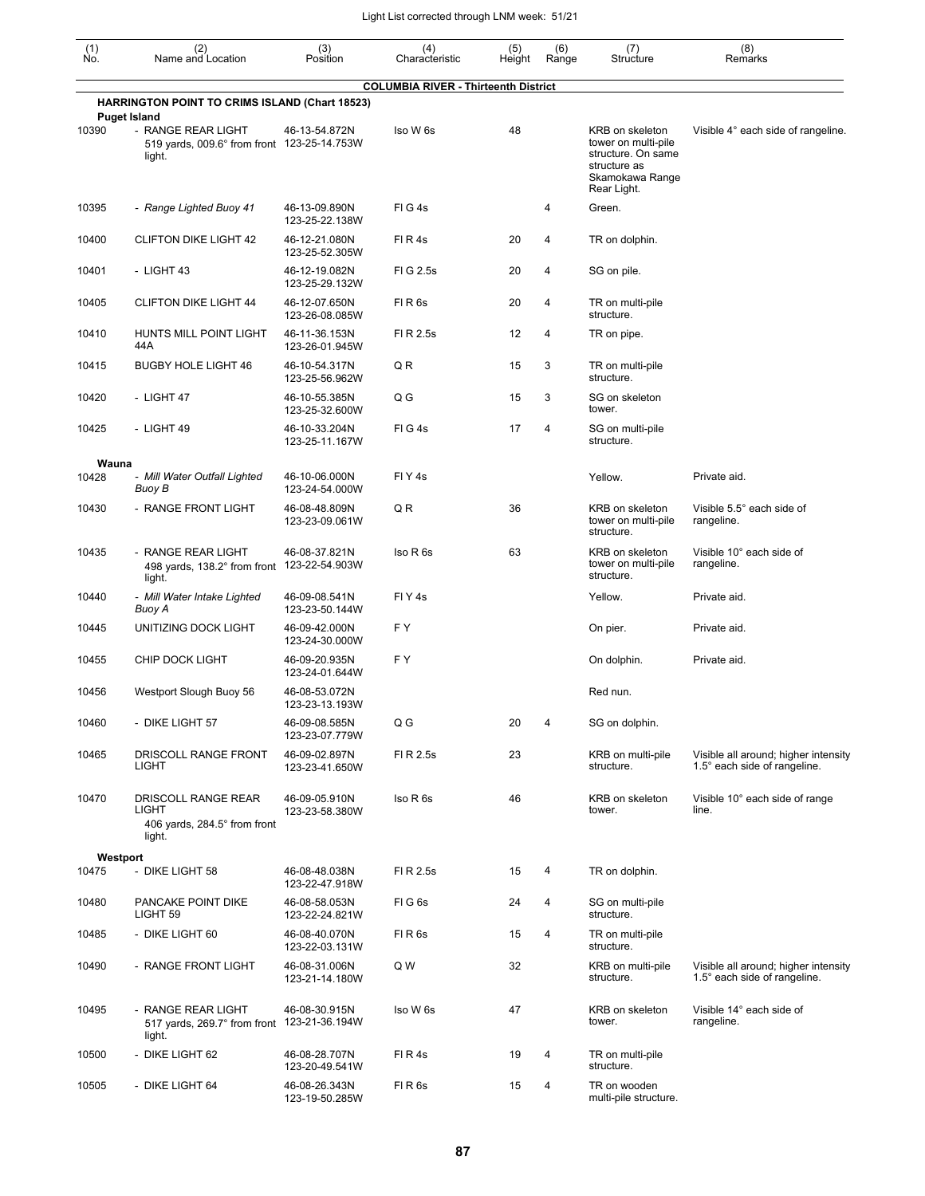| (1)<br>Ño. | (2)<br>Name and Location                                                                           | (3)<br>Position                 | (4)<br>Characteristic                       | (5)<br>Height | (6)<br>Range   | (7)<br>Structure                                                                                               | (8)<br>Remarks                                                       |
|------------|----------------------------------------------------------------------------------------------------|---------------------------------|---------------------------------------------|---------------|----------------|----------------------------------------------------------------------------------------------------------------|----------------------------------------------------------------------|
|            | <b>HARRINGTON POINT TO CRIMS ISLAND (Chart 18523)</b>                                              |                                 | <b>COLUMBIA RIVER - Thirteenth District</b> |               |                |                                                                                                                |                                                                      |
| 10390      | <b>Puget Island</b><br>- RANGE REAR LIGHT<br>519 yards, 009.6° from front 123-25-14.753W<br>light. | 46-13-54.872N                   | Iso W 6s                                    | 48            |                | KRB on skeleton<br>tower on multi-pile<br>structure. On same<br>structure as<br>Skamokawa Range<br>Rear Light. | Visible 4° each side of rangeline.                                   |
| 10395      | - Range Lighted Buoy 41                                                                            | 46-13-09.890N<br>123-25-22.138W | FIG4s                                       |               | 4              | Green.                                                                                                         |                                                                      |
| 10400      | <b>CLIFTON DIKE LIGHT 42</b>                                                                       | 46-12-21.080N<br>123-25-52.305W | FIR4s                                       | 20            | 4              | TR on dolphin.                                                                                                 |                                                                      |
| 10401      | - LIGHT 43                                                                                         | 46-12-19.082N<br>123-25-29.132W | FIG 2.5s                                    | 20            | 4              | SG on pile.                                                                                                    |                                                                      |
| 10405      | <b>CLIFTON DIKE LIGHT 44</b>                                                                       | 46-12-07.650N<br>123-26-08.085W | FIR <sub>6s</sub>                           | 20            | 4              | TR on multi-pile<br>structure.                                                                                 |                                                                      |
| 10410      | HUNTS MILL POINT LIGHT<br>44A                                                                      | 46-11-36.153N<br>123-26-01.945W | FI R 2.5s                                   | 12            | $\overline{4}$ | TR on pipe.                                                                                                    |                                                                      |
| 10415      | <b>BUGBY HOLE LIGHT 46</b>                                                                         | 46-10-54.317N<br>123-25-56.962W | QR                                          | 15            | 3              | TR on multi-pile<br>structure.                                                                                 |                                                                      |
| 10420      | - LIGHT 47                                                                                         | 46-10-55.385N<br>123-25-32.600W | Q G                                         | 15            | 3              | SG on skeleton<br>tower.                                                                                       |                                                                      |
| 10425      | - LIGHT 49                                                                                         | 46-10-33.204N<br>123-25-11.167W | FIG4s                                       | 17            | 4              | SG on multi-pile<br>structure.                                                                                 |                                                                      |
| Wauna      |                                                                                                    |                                 |                                             |               |                |                                                                                                                |                                                                      |
| 10428      | - Mill Water Outfall Lighted<br>Buoy B                                                             | 46-10-06.000N<br>123-24-54.000W | FIY <sub>4s</sub>                           |               |                | Yellow.                                                                                                        | Private aid.                                                         |
| 10430      | - RANGE FRONT LIGHT                                                                                | 46-08-48.809N<br>123-23-09.061W | QR                                          | 36            |                | KRB on skeleton<br>tower on multi-pile<br>structure.                                                           | Visible 5.5° each side of<br>rangeline.                              |
| 10435      | - RANGE REAR LIGHT<br>498 yards, 138.2° from front<br>light.                                       | 46-08-37.821N<br>123-22-54.903W | Iso R 6s                                    | 63            |                | KRB on skeleton<br>tower on multi-pile<br>structure.                                                           | Visible 10° each side of<br>rangeline.                               |
| 10440      | - Mill Water Intake Lighted<br>Buoy A                                                              | 46-09-08.541N<br>123-23-50.144W | FIY <sub>4s</sub>                           |               |                | Yellow.                                                                                                        | Private aid.                                                         |
| 10445      | UNITIZING DOCK LIGHT                                                                               | 46-09-42.000N<br>123-24-30.000W | F Y                                         |               |                | On pier.                                                                                                       | Private aid.                                                         |
| 10455      | CHIP DOCK LIGHT                                                                                    | 46-09-20.935N<br>123-24-01.644W | F Y                                         |               |                | On dolphin.                                                                                                    | Private aid.                                                         |
| 10456      | Westport Slough Buoy 56                                                                            | 46-08-53.072N<br>123-23-13.193W |                                             |               |                | Red nun.                                                                                                       |                                                                      |
| 10460      | - DIKE LIGHT 57                                                                                    | 46-09-08.585N<br>123-23-07.779W | Q G                                         | 20            | 4              | SG on dolphin.                                                                                                 |                                                                      |
| 10465      | DRISCOLL RANGE FRONT<br>LIGHT                                                                      | 46-09-02.897N<br>123-23-41.650W | FI R 2.5s                                   | 23            |                | KRB on multi-pile<br>structure.                                                                                | Visible all around; higher intensity<br>1.5° each side of rangeline. |
| 10470      | DRISCOLL RANGE REAR<br>LIGHT<br>406 yards, 284.5° from front<br>light.                             | 46-09-05.910N<br>123-23-58.380W | Iso R 6s                                    | 46            |                | KRB on skeleton<br>tower.                                                                                      | Visible 10° each side of range<br>line.                              |
|            | Westport                                                                                           |                                 |                                             |               |                |                                                                                                                |                                                                      |
| 10475      | - DIKE LIGHT 58                                                                                    | 46-08-48.038N<br>123-22-47.918W | FI R 2.5s                                   | 15            | 4              | TR on dolphin.                                                                                                 |                                                                      |
| 10480      | PANCAKE POINT DIKE<br>LIGHT <sub>59</sub>                                                          | 46-08-58.053N<br>123-22-24.821W | FIG6s                                       | 24            | 4              | SG on multi-pile<br>structure.                                                                                 |                                                                      |
| 10485      | - DIKE LIGHT 60                                                                                    | 46-08-40.070N<br>123-22-03.131W | FIR <sub>6s</sub>                           | 15            | 4              | TR on multi-pile<br>structure.                                                                                 |                                                                      |
| 10490      | - RANGE FRONT LIGHT                                                                                | 46-08-31.006N<br>123-21-14.180W | Q W                                         | 32            |                | KRB on multi-pile<br>structure.                                                                                | Visible all around; higher intensity<br>1.5° each side of rangeline. |
| 10495      | - RANGE REAR LIGHT<br>517 yards, 269.7° from front 123-21-36.194W<br>light.                        | 46-08-30.915N                   | Iso W 6s                                    | 47            |                | KRB on skeleton<br>tower.                                                                                      | Visible 14° each side of<br>rangeline.                               |
| 10500      | - DIKE LIGHT 62                                                                                    | 46-08-28.707N<br>123-20-49.541W | FIR4s                                       | 19            | 4              | TR on multi-pile<br>structure.                                                                                 |                                                                      |
| 10505      | - DIKE LIGHT 64                                                                                    | 46-08-26.343N<br>123-19-50.285W | FIR <sub>6s</sub>                           | 15            | 4              | TR on wooden<br>multi-pile structure.                                                                          |                                                                      |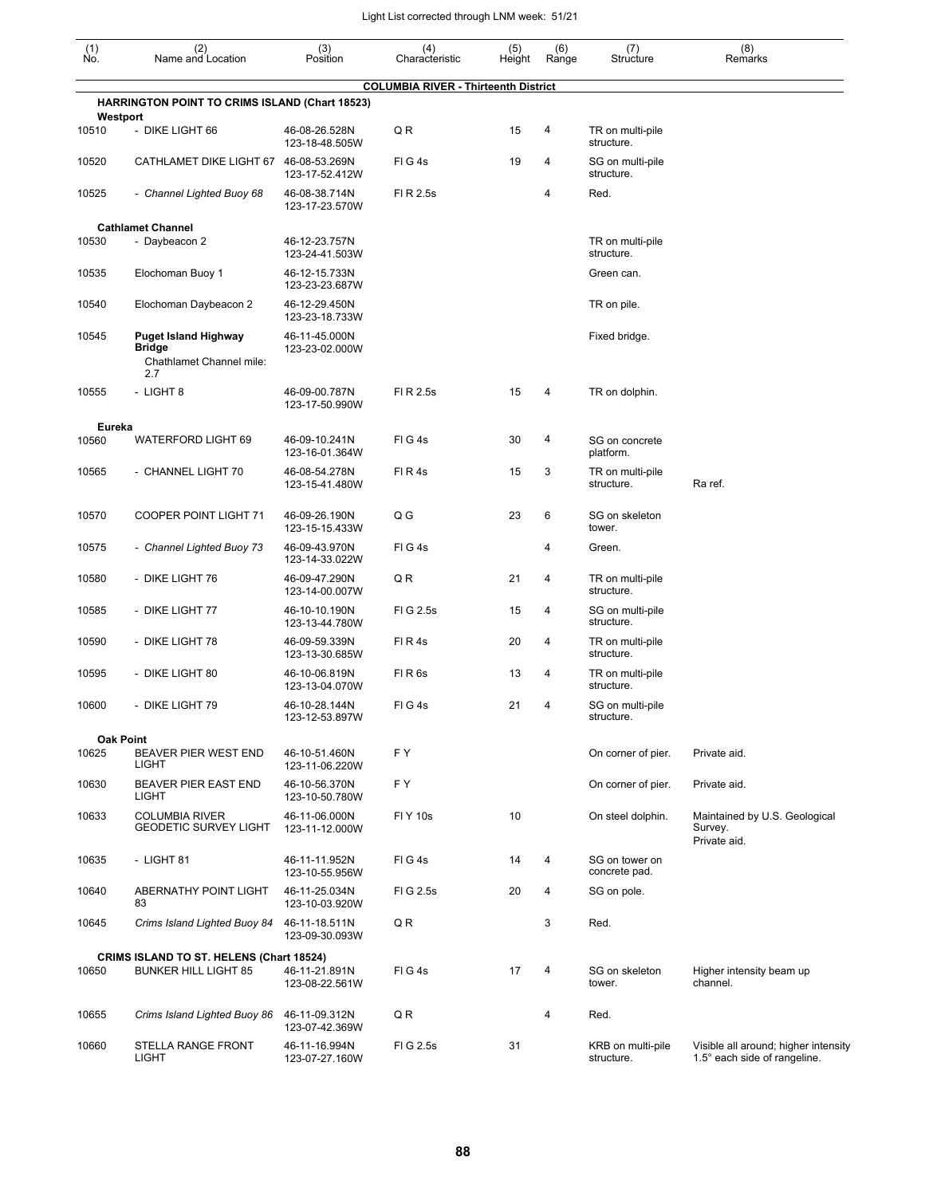| $\begin{smallmatrix} (1) \\ \mathsf{No} \end{smallmatrix}$ | (2)<br>Name and Location                                                        | (3)<br>Position                 | (4)<br>Characteristic                       | (5)<br>Height | (6)<br>Range | (7)<br>Structure                | (8)<br>Remarks                                                       |
|------------------------------------------------------------|---------------------------------------------------------------------------------|---------------------------------|---------------------------------------------|---------------|--------------|---------------------------------|----------------------------------------------------------------------|
|                                                            |                                                                                 |                                 | <b>COLUMBIA RIVER - Thirteenth District</b> |               |              |                                 |                                                                      |
|                                                            | <b>HARRINGTON POINT TO CRIMS ISLAND (Chart 18523)</b>                           |                                 |                                             |               |              |                                 |                                                                      |
| 10510                                                      | Westport<br>- DIKE LIGHT 66                                                     | 46-08-26.528N<br>123-18-48.505W | QR                                          | 15            | 4            | TR on multi-pile<br>structure.  |                                                                      |
| 10520                                                      | CATHLAMET DIKE LIGHT 67 46-08-53.269N                                           | 123-17-52.412W                  | FIG4s                                       | 19            | 4            | SG on multi-pile<br>structure.  |                                                                      |
| 10525                                                      | - Channel Lighted Buoy 68                                                       | 46-08-38.714N<br>123-17-23.570W | FI R 2.5s                                   |               | 4            | Red.                            |                                                                      |
| 10530                                                      | <b>Cathlamet Channel</b><br>- Daybeacon 2                                       | 46-12-23.757N<br>123-24-41.503W |                                             |               |              | TR on multi-pile<br>structure.  |                                                                      |
| 10535                                                      | Elochoman Buoy 1                                                                | 46-12-15.733N<br>123-23-23.687W |                                             |               |              | Green can.                      |                                                                      |
| 10540                                                      | Elochoman Daybeacon 2                                                           | 46-12-29.450N<br>123-23-18.733W |                                             |               |              | TR on pile.                     |                                                                      |
| 10545                                                      | <b>Puget Island Highway</b><br><b>Bridge</b><br>Chathlamet Channel mile:<br>2.7 | 46-11-45.000N<br>123-23-02.000W |                                             |               |              | Fixed bridge.                   |                                                                      |
| 10555                                                      | - LIGHT 8                                                                       | 46-09-00.787N<br>123-17-50.990W | FI R 2.5s                                   | 15            | 4            | TR on dolphin.                  |                                                                      |
| Eureka                                                     |                                                                                 |                                 |                                             |               |              |                                 |                                                                      |
| 10560                                                      | <b>WATERFORD LIGHT 69</b>                                                       | 46-09-10.241N<br>123-16-01.364W | FIG4s                                       | 30            | 4            | SG on concrete<br>platform.     |                                                                      |
| 10565                                                      | - CHANNEL LIGHT 70                                                              | 46-08-54.278N<br>123-15-41.480W | FIR4s                                       | 15            | 3            | TR on multi-pile<br>structure.  | Ra ref.                                                              |
| 10570                                                      | <b>COOPER POINT LIGHT 71</b>                                                    | 46-09-26.190N<br>123-15-15.433W | Q G                                         | 23            | 6            | SG on skeleton<br>tower.        |                                                                      |
| 10575                                                      | - Channel Lighted Buoy 73                                                       | 46-09-43.970N<br>123-14-33.022W | FIG4s                                       |               | 4            | Green.                          |                                                                      |
| 10580                                                      | - DIKE LIGHT 76                                                                 | 46-09-47.290N<br>123-14-00.007W | QR                                          | 21            | 4            | TR on multi-pile<br>structure.  |                                                                      |
| 10585                                                      | - DIKE LIGHT 77                                                                 | 46-10-10.190N<br>123-13-44.780W | FIG 2.5s                                    | 15            | 4            | SG on multi-pile<br>structure.  |                                                                      |
| 10590                                                      | - DIKE LIGHT 78                                                                 | 46-09-59.339N<br>123-13-30.685W | FIR4s                                       | 20            | 4            | TR on multi-pile<br>structure.  |                                                                      |
| 10595                                                      | - DIKE LIGHT 80                                                                 | 46-10-06.819N<br>123-13-04.070W | FIR <sub>6s</sub>                           | 13            | 4            | TR on multi-pile<br>structure.  |                                                                      |
| 10600                                                      | - DIKE LIGHT 79                                                                 | 46-10-28.144N<br>123-12-53.897W | FIG4s                                       | 21            | 4            | SG on multi-pile<br>structure.  |                                                                      |
| 10625                                                      | <b>Oak Point</b><br>BEAVER PIER WEST END<br><b>LIGHT</b>                        | 46-10-51.460N<br>123-11-06.220W | FY                                          |               |              | On corner of pier.              | Private aid.                                                         |
| 10630                                                      | BEAVER PIER EAST END<br>LIGHT                                                   | 46-10-56.370N<br>123-10-50.780W | FY                                          |               |              | On corner of pier.              | Private aid.                                                         |
| 10633                                                      | <b>COLUMBIA RIVER</b><br><b>GEODETIC SURVEY LIGHT</b>                           | 46-11-06.000N<br>123-11-12.000W | <b>FIY 10s</b>                              | 10            |              | On steel dolphin.               | Maintained by U.S. Geological<br>Survey.<br>Private aid.             |
| 10635                                                      | - LIGHT 81                                                                      | 46-11-11.952N<br>123-10-55.956W | FIG4s                                       | 14            | 4            | SG on tower on<br>concrete pad. |                                                                      |
| 10640                                                      | ABERNATHY POINT LIGHT<br>83                                                     | 46-11-25.034N<br>123-10-03.920W | FIG 2.5s                                    | 20            | 4            | SG on pole.                     |                                                                      |
| 10645                                                      | Crims Island Lighted Buoy 84                                                    | 46-11-18.511N<br>123-09-30.093W | QR                                          |               | 3            | Red.                            |                                                                      |
| 10650                                                      | CRIMS ISLAND TO ST. HELENS (Chart 18524)<br><b>BUNKER HILL LIGHT 85</b>         | 46-11-21.891N<br>123-08-22.561W | FIG4s                                       | 17            | 4            | SG on skeleton<br>tower.        | Higher intensity beam up<br>channel.                                 |
| 10655                                                      | Crims Island Lighted Buoy 86                                                    | 46-11-09.312N<br>123-07-42.369W | QR                                          |               | 4            | Red.                            |                                                                      |
| 10660                                                      | STELLA RANGE FRONT<br><b>LIGHT</b>                                              | 46-11-16.994N<br>123-07-27.160W | FIG 2.5s                                    | 31            |              | KRB on multi-pile<br>structure. | Visible all around; higher intensity<br>1.5° each side of rangeline. |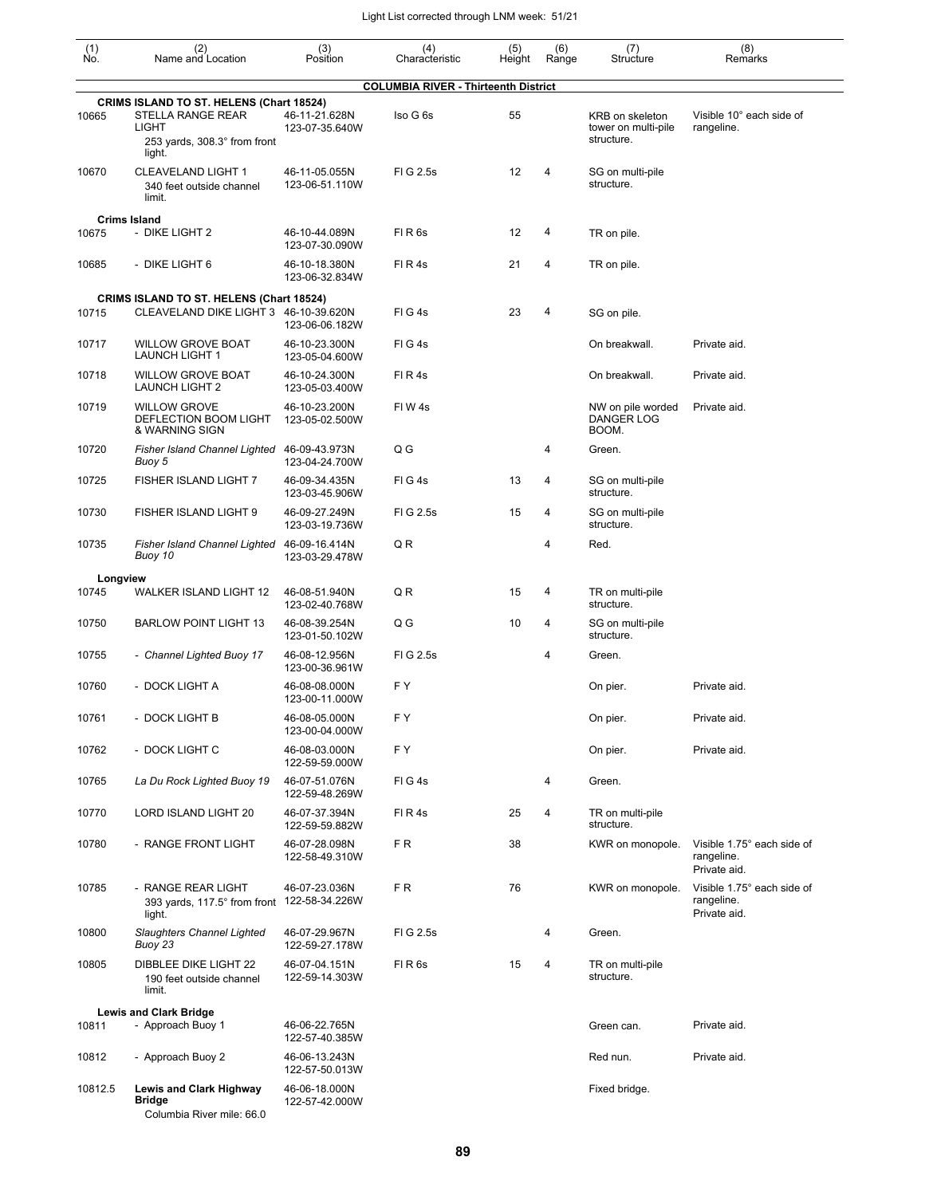| (1)<br>No. | (2)<br>Name and Location                                                                                             | (3)<br>Position                 | (4)<br>Characteristic                       | (5)<br>Height | (6)<br>Range | (7)<br>Structure                                     | (8)<br>Remarks                                           |
|------------|----------------------------------------------------------------------------------------------------------------------|---------------------------------|---------------------------------------------|---------------|--------------|------------------------------------------------------|----------------------------------------------------------|
|            |                                                                                                                      |                                 | <b>COLUMBIA RIVER - Thirteenth District</b> |               |              |                                                      |                                                          |
| 10665      | <b>CRIMS ISLAND TO ST. HELENS (Chart 18524)</b><br>STELLA RANGE REAR<br><b>LIGHT</b><br>253 yards, 308.3° from front | 46-11-21.628N<br>123-07-35.640W | Iso G 6s                                    | 55            |              | KRB on skeleton<br>tower on multi-pile<br>structure. | Visible 10° each side of<br>rangeline.                   |
| 10670      | light.<br><b>CLEAVELAND LIGHT 1</b><br>340 feet outside channel<br>limit.                                            | 46-11-05.055N<br>123-06-51.110W | FIG 2.5s                                    | 12            | 4            | SG on multi-pile<br>structure.                       |                                                          |
|            | <b>Crims Island</b>                                                                                                  |                                 |                                             |               |              |                                                      |                                                          |
| 10675      | - DIKE LIGHT 2                                                                                                       | 46-10-44.089N<br>123-07-30.090W | FIR <sub>6s</sub>                           | 12            | 4            | TR on pile.                                          |                                                          |
| 10685      | - DIKE LIGHT 6                                                                                                       | 46-10-18.380N<br>123-06-32.834W | FIR4s                                       | 21            | 4            | TR on pile.                                          |                                                          |
|            | <b>CRIMS ISLAND TO ST. HELENS (Chart 18524)</b>                                                                      |                                 |                                             |               |              |                                                      |                                                          |
| 10715      | CLEAVELAND DIKE LIGHT 3 46-10-39.620N                                                                                | 123-06-06.182W                  | FIG4s                                       | 23            | 4            | SG on pile.                                          |                                                          |
| 10717      | <b>WILLOW GROVE BOAT</b><br><b>LAUNCH LIGHT 1</b>                                                                    | 46-10-23.300N<br>123-05-04.600W | FIG4s                                       |               |              | On breakwall.                                        | Private aid.                                             |
| 10718      | <b>WILLOW GROVE BOAT</b><br><b>LAUNCH LIGHT 2</b>                                                                    | 46-10-24.300N<br>123-05-03.400W | FIR4s                                       |               |              | On breakwall.                                        | Private aid.                                             |
| 10719      | <b>WILLOW GROVE</b><br>DEFLECTION BOOM LIGHT<br>& WARNING SIGN                                                       | 46-10-23.200N<br>123-05-02.500W | FIW4s                                       |               |              | NW on pile worded<br><b>DANGER LOG</b><br>BOOM.      | Private aid.                                             |
| 10720      | <b>Fisher Island Channel Lighted</b><br>Buoy 5                                                                       | 46-09-43.973N<br>123-04-24.700W | Q G                                         |               | 4            | Green.                                               |                                                          |
| 10725      | FISHER ISLAND LIGHT 7                                                                                                | 46-09-34.435N<br>123-03-45.906W | FIG4s                                       | 13            | 4            | SG on multi-pile<br>structure.                       |                                                          |
| 10730      | FISHER ISLAND LIGHT 9                                                                                                | 46-09-27.249N<br>123-03-19.736W | FIG 2.5s                                    | 15            | 4            | SG on multi-pile<br>structure.                       |                                                          |
| 10735      | <b>Fisher Island Channel Lighted</b><br>Buoy 10                                                                      | 46-09-16.414N<br>123-03-29.478W | QR                                          |               | 4            | Red.                                                 |                                                          |
| Longview   |                                                                                                                      |                                 |                                             |               |              |                                                      |                                                          |
| 10745      | WALKER ISLAND LIGHT 12                                                                                               | 46-08-51.940N<br>123-02-40.768W | QR                                          | 15            | 4            | TR on multi-pile<br>structure.                       |                                                          |
| 10750      | <b>BARLOW POINT LIGHT 13</b>                                                                                         | 46-08-39.254N<br>123-01-50.102W | Q G                                         | 10            | 4            | SG on multi-pile<br>structure.                       |                                                          |
| 10755      | - Channel Lighted Buoy 17                                                                                            | 46-08-12.956N<br>123-00-36.961W | FIG 2.5s                                    |               | 4            | Green.                                               |                                                          |
| 10760      | - DOCK LIGHT A                                                                                                       | 46-08-08.000N<br>123-00-11.000W | F Y                                         |               |              | On pier.                                             | Private aid.                                             |
| 10761      | - DOCK LIGHT B                                                                                                       | 46-08-05.000N<br>123-00-04.000W | FY                                          |               |              | On pier.                                             | Private aid.                                             |
| 10762      | - DOCK LIGHT C                                                                                                       | 46-08-03.000N<br>122-59-59.000W | FY                                          |               |              | On pier.                                             | Private aid.                                             |
| 10765      | La Du Rock Lighted Buoy 19                                                                                           | 46-07-51.076N<br>122-59-48.269W | FIG4s                                       |               | 4            | Green.                                               |                                                          |
| 10770      | LORD ISLAND LIGHT 20                                                                                                 | 46-07-37.394N<br>122-59-59.882W | FIR4s                                       | 25            | 4            | TR on multi-pile<br>structure.                       |                                                          |
| 10780      | - RANGE FRONT LIGHT                                                                                                  | 46-07-28.098N<br>122-58-49.310W | FR.                                         | 38            |              | KWR on monopole.                                     | Visible 1.75° each side of<br>rangeline.<br>Private aid. |
| 10785      | - RANGE REAR LIGHT<br>393 yards, 117.5° from front 122-58-34.226W<br>light.                                          | 46-07-23.036N                   | FR.                                         | 76            |              | KWR on monopole.                                     | Visible 1.75° each side of<br>rangeline.<br>Private aid. |
| 10800      | Slaughters Channel Lighted<br>Buoy 23                                                                                | 46-07-29.967N<br>122-59-27.178W | FIG 2.5s                                    |               | 4            | Green.                                               |                                                          |
| 10805      | DIBBLEE DIKE LIGHT 22<br>190 feet outside channel<br>limit.                                                          | 46-07-04.151N<br>122-59-14.303W | FIR <sub>6s</sub>                           | 15            | 4            | TR on multi-pile<br>structure.                       |                                                          |
| 10811      | <b>Lewis and Clark Bridge</b><br>- Approach Buoy 1                                                                   | 46-06-22.765N<br>122-57-40.385W |                                             |               |              | Green can.                                           | Private aid.                                             |
| 10812      | - Approach Buoy 2                                                                                                    | 46-06-13.243N<br>122-57-50.013W |                                             |               |              | Red nun.                                             | Private aid.                                             |
| 10812.5    | <b>Lewis and Clark Highway</b><br><b>Bridge</b><br>Columbia River mile: 66.0                                         | 46-06-18.000N<br>122-57-42.000W |                                             |               |              | Fixed bridge.                                        |                                                          |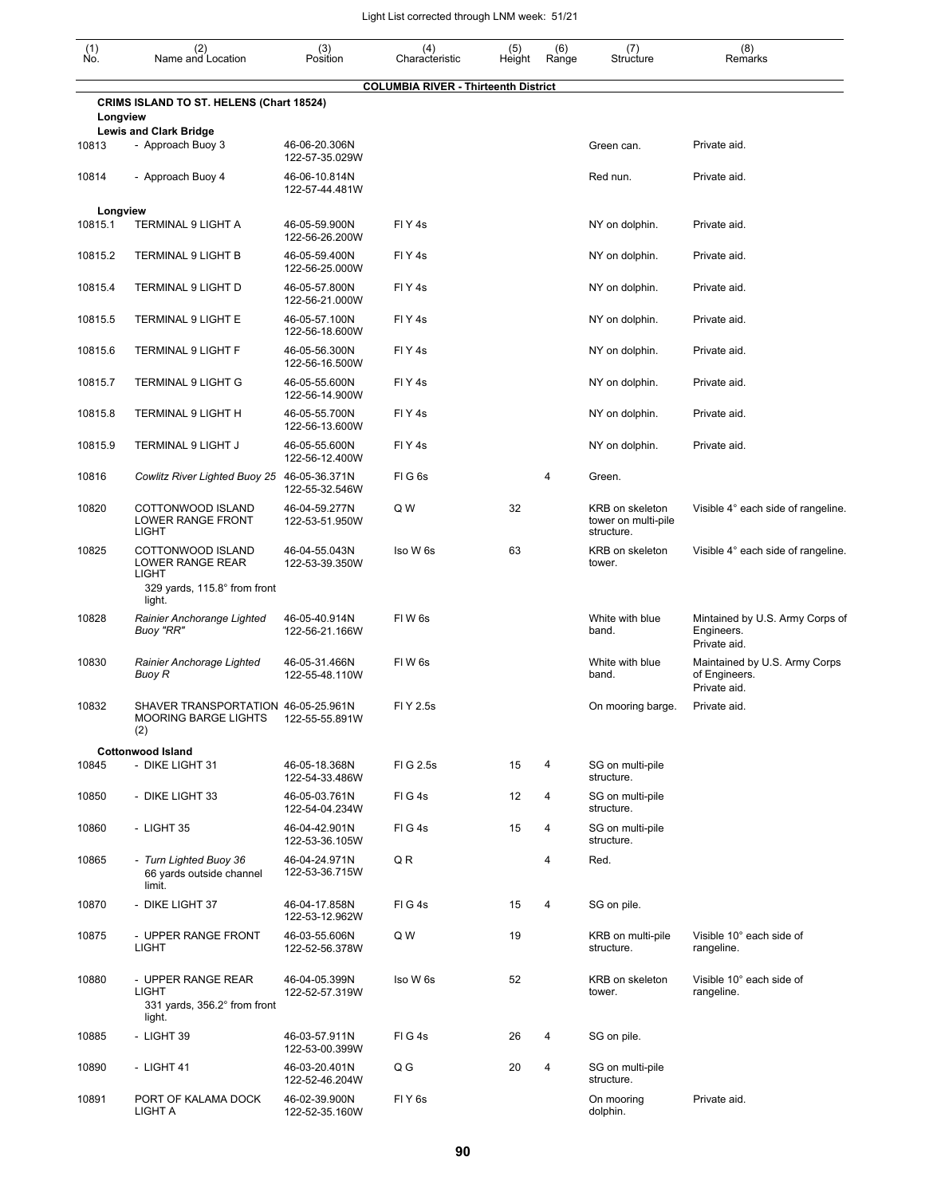| (1)<br>No. | (2)<br>Name and Location                                                                 | (3)<br>Position                                   | (4)<br>Characteristic                       | (5)<br>Height | (6)<br>Range | (7)<br>Structure                                     | (8)<br>Remarks                                                 |
|------------|------------------------------------------------------------------------------------------|---------------------------------------------------|---------------------------------------------|---------------|--------------|------------------------------------------------------|----------------------------------------------------------------|
|            |                                                                                          |                                                   | <b>COLUMBIA RIVER - Thirteenth District</b> |               |              |                                                      |                                                                |
| Longview   | <b>CRIMS ISLAND TO ST. HELENS (Chart 18524)</b>                                          |                                                   |                                             |               |              |                                                      |                                                                |
|            | <b>Lewis and Clark Bridge</b>                                                            |                                                   |                                             |               |              |                                                      |                                                                |
| 10813      | - Approach Buoy 3                                                                        | 46-06-20.306N<br>122-57-35.029W                   |                                             |               |              | Green can.                                           | Private aid.                                                   |
| 10814      | - Approach Buoy 4                                                                        | 46-06-10.814N<br>122-57-44.481W                   |                                             |               |              | Red nun.                                             | Private aid.                                                   |
| Longview   |                                                                                          |                                                   |                                             |               |              |                                                      |                                                                |
| 10815.1    | TERMINAL 9 LIGHT A                                                                       | 46-05-59.900N<br>122-56-26.200W                   | FIY4s                                       |               |              | NY on dolphin.                                       | Private aid.                                                   |
| 10815.2    | <b>TERMINAL 9 LIGHT B</b>                                                                | 46-05-59.400N<br>122-56-25.000W                   | FIY4s                                       |               |              | NY on dolphin.                                       | Private aid.                                                   |
| 10815.4    | <b>TERMINAL 9 LIGHT D</b>                                                                | 46-05-57.800N<br>122-56-21.000W                   | FIY4s                                       |               |              | NY on dolphin.                                       | Private aid.                                                   |
| 10815.5    | TERMINAL 9 LIGHT E                                                                       | 46-05-57.100N<br>122-56-18.600W                   | FIY4s                                       |               |              | NY on dolphin.                                       | Private aid.                                                   |
| 10815.6    | <b>TERMINAL 9 LIGHT F</b>                                                                | 46-05-56.300N<br>122-56-16.500W                   | FIY4s                                       |               |              | NY on dolphin.                                       | Private aid.                                                   |
| 10815.7    | <b>TERMINAL 9 LIGHT G</b>                                                                | 46-05-55.600N<br>122-56-14.900W                   | FIY4s                                       |               |              | NY on dolphin.                                       | Private aid.                                                   |
| 10815.8    | <b>TERMINAL 9 LIGHT H</b>                                                                | 46-05-55.700N<br>122-56-13.600W                   | FIY <sub>4s</sub>                           |               |              | NY on dolphin.                                       | Private aid.                                                   |
| 10815.9    | <b>TERMINAL 9 LIGHT J</b>                                                                | 46-05-55.600N                                     | FIY4s                                       |               |              | NY on dolphin.                                       | Private aid.                                                   |
| 10816      | Cowlitz River Lighted Buoy 25 46-05-36.371N                                              | 122-56-12.400W                                    | FIG6s                                       |               | 4            | Green.                                               |                                                                |
| 10820      | COTTONWOOD ISLAND<br>LOWER RANGE FRONT<br><b>LIGHT</b>                                   | 122-55-32.546W<br>46-04-59.277N<br>122-53-51.950W | Q W                                         | 32            |              | KRB on skeleton<br>tower on multi-pile<br>structure. | Visible 4° each side of rangeline.                             |
| 10825      | COTTONWOOD ISLAND<br>LOWER RANGE REAR<br>LIGHT<br>329 yards, 115.8° from front<br>light. | 46-04-55.043N<br>122-53-39.350W                   | Iso W 6s                                    | 63            |              | KRB on skeleton<br>tower.                            | Visible 4° each side of rangeline.                             |
| 10828      | Rainier Anchorange Lighted<br>Buoy "RR"                                                  | 46-05-40.914N<br>122-56-21.166W                   | FIW <sub>6s</sub>                           |               |              | White with blue<br>band.                             | Mintained by U.S. Army Corps of<br>Engineers.<br>Private aid.  |
| 10830      | Rainier Anchorage Lighted<br>Buoy R                                                      | 46-05-31.466N<br>122-55-48.110W                   | FIW <sub>6s</sub>                           |               |              | White with blue<br>band.                             | Maintained by U.S. Army Corps<br>of Engineers.<br>Private aid. |
| 10832      | SHAVER TRANSPORTATION 46-05-25.961N<br><b>MOORING BARGE LIGHTS</b><br>(2)                | 122-55-55.891W                                    | FI Y 2.5s                                   |               |              | On mooring barge.                                    | Private aid.                                                   |
|            | <b>Cottonwood Island</b>                                                                 |                                                   |                                             |               |              |                                                      |                                                                |
| 10845      | - DIKE LIGHT 31                                                                          | 46-05-18.368N<br>122-54-33.486W                   | FIG 2.5s                                    | 15            | 4            | SG on multi-pile<br>structure.                       |                                                                |
| 10850      | - DIKE LIGHT 33                                                                          | 46-05-03.761N<br>122-54-04.234W                   | FIG4s                                       | 12            | 4            | SG on multi-pile<br>structure.                       |                                                                |
| 10860      | - LIGHT 35                                                                               | 46-04-42.901N<br>122-53-36.105W                   | FIG4s                                       | 15            | 4            | SG on multi-pile<br>structure.                       |                                                                |
| 10865      | - Turn Lighted Buoy 36<br>66 yards outside channel<br>limit.                             | 46-04-24.971N<br>122-53-36.715W                   | Q R                                         |               | 4            | Red.                                                 |                                                                |
| 10870      | - DIKE LIGHT 37                                                                          | 46-04-17.858N<br>122-53-12.962W                   | FIG4s                                       | 15            | 4            | SG on pile.                                          |                                                                |
| 10875      | - UPPER RANGE FRONT<br>LIGHT                                                             | 46-03-55.606N<br>122-52-56.378W                   | Q W                                         | 19            |              | KRB on multi-pile<br>structure.                      | Visible 10° each side of<br>rangeline.                         |
| 10880      | - UPPER RANGE REAR<br>LIGHT<br>331 yards, 356.2° from front<br>light.                    | 46-04-05.399N<br>122-52-57.319W                   | Iso W 6s                                    | 52            |              | KRB on skeleton<br>tower.                            | Visible 10° each side of<br>rangeline.                         |
| 10885      | - LIGHT 39                                                                               | 46-03-57.911N<br>122-53-00.399W                   | FIG4s                                       | 26            | 4            | SG on pile.                                          |                                                                |
| 10890      | - LIGHT 41                                                                               | 46-03-20.401N<br>122-52-46.204W                   | Q G                                         | 20            | 4            | SG on multi-pile<br>structure.                       |                                                                |
| 10891      | PORT OF KALAMA DOCK<br>LIGHT A                                                           | 46-02-39.900N<br>122-52-35.160W                   | FIY <sub>6s</sub>                           |               |              | On mooring<br>dolphin.                               | Private aid.                                                   |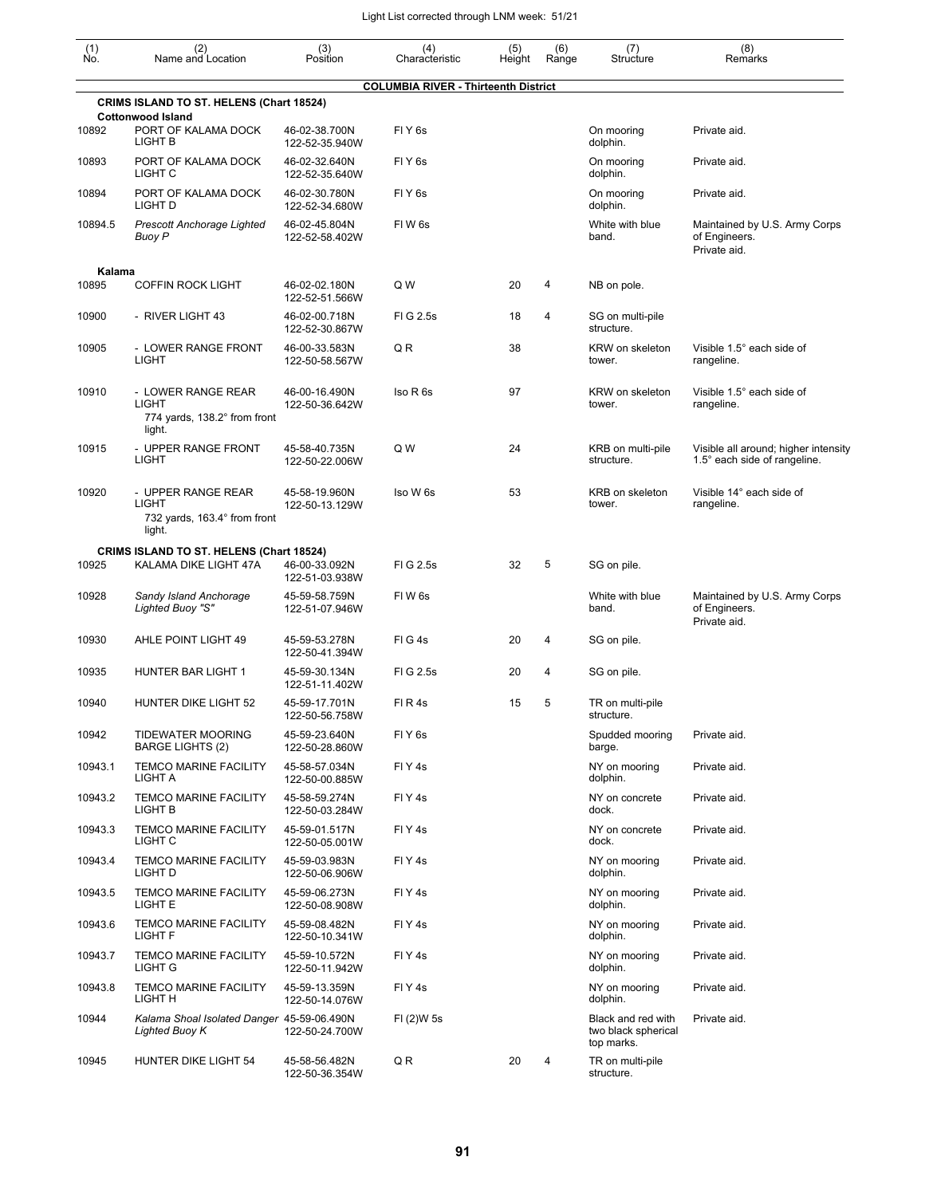| $\begin{smallmatrix} (1) \\ \mathsf{No} \end{smallmatrix}$ | (2)<br>Name and Location                                                     | (3)<br>Position                 | (4)<br>Characteristic                       | (5)<br>Height | (6)<br>Range | (7)<br>Structure                                        | (8)<br>Remarks                                                       |
|------------------------------------------------------------|------------------------------------------------------------------------------|---------------------------------|---------------------------------------------|---------------|--------------|---------------------------------------------------------|----------------------------------------------------------------------|
|                                                            |                                                                              |                                 | <b>COLUMBIA RIVER - Thirteenth District</b> |               |              |                                                         |                                                                      |
|                                                            | <b>CRIMS ISLAND TO ST. HELENS (Chart 18524)</b>                              |                                 |                                             |               |              |                                                         |                                                                      |
| 10892                                                      | <b>Cottonwood Island</b><br>PORT OF KALAMA DOCK<br><b>LIGHT B</b>            | 46-02-38.700N<br>122-52-35.940W | FIY <sub>6s</sub>                           |               |              | On mooring<br>dolphin.                                  | Private aid.                                                         |
| 10893                                                      | PORT OF KALAMA DOCK<br>LIGHT <sub>C</sub>                                    | 46-02-32.640N<br>122-52-35.640W | FIY <sub>6s</sub>                           |               |              | On mooring<br>dolphin.                                  | Private aid.                                                         |
| 10894                                                      | PORT OF KALAMA DOCK<br>LIGHT D                                               | 46-02-30.780N<br>122-52-34.680W | FIY <sub>6s</sub>                           |               |              | On mooring<br>dolphin.                                  | Private aid.                                                         |
| 10894.5                                                    | <b>Prescott Anchorage Lighted</b><br><b>Buoy P</b>                           | 46-02-45.804N<br>122-52-58.402W | FIW <sub>6s</sub>                           |               |              | White with blue<br>band.                                | Maintained by U.S. Army Corps<br>of Engineers.<br>Private aid.       |
| Kalama                                                     |                                                                              |                                 |                                             |               |              |                                                         |                                                                      |
| 10895                                                      | <b>COFFIN ROCK LIGHT</b>                                                     | 46-02-02.180N<br>122-52-51.566W | Q W                                         | 20            | 4            | NB on pole.                                             |                                                                      |
| 10900                                                      | - RIVER LIGHT 43                                                             | 46-02-00.718N<br>122-52-30.867W | FIG 2.5s                                    | 18            | 4            | SG on multi-pile<br>structure.                          |                                                                      |
| 10905                                                      | - LOWER RANGE FRONT<br><b>LIGHT</b>                                          | 46-00-33.583N<br>122-50-58.567W | QR                                          | 38            |              | KRW on skeleton<br>tower.                               | Visible 1.5° each side of<br>rangeline.                              |
| 10910                                                      | - LOWER RANGE REAR<br><b>LIGHT</b><br>774 yards, 138.2° from front<br>light. | 46-00-16.490N<br>122-50-36.642W | Iso R 6s                                    | 97            |              | KRW on skeleton<br>tower.                               | Visible 1.5° each side of<br>rangeline.                              |
| 10915                                                      | - UPPER RANGE FRONT<br>LIGHT                                                 | 45-58-40.735N<br>122-50-22.006W | Q W                                         | 24            |              | KRB on multi-pile<br>structure.                         | Visible all around; higher intensity<br>1.5° each side of rangeline. |
| 10920                                                      | - UPPER RANGE REAR<br><b>LIGHT</b><br>732 yards, 163.4° from front<br>light. | 45-58-19.960N<br>122-50-13.129W | Iso W 6s                                    | 53            |              | <b>KRB</b> on skeleton<br>tower.                        | Visible 14° each side of<br>rangeline.                               |
|                                                            | <b>CRIMS ISLAND TO ST. HELENS (Chart 18524)</b>                              |                                 |                                             |               |              |                                                         |                                                                      |
| 10925                                                      | KALAMA DIKE LIGHT 47A                                                        | 46-00-33.092N<br>122-51-03.938W | FIG 2.5s                                    | 32            | 5            | SG on pile.                                             |                                                                      |
| 10928                                                      | Sandy Island Anchorage<br>Lighted Buoy "S"                                   | 45-59-58.759N<br>122-51-07.946W | FIW <sub>6s</sub>                           |               |              | White with blue<br>band.                                | Maintained by U.S. Army Corps<br>of Engineers.<br>Private aid.       |
| 10930                                                      | AHLE POINT LIGHT 49                                                          | 45-59-53.278N<br>122-50-41.394W | FIG4s                                       | 20            | 4            | SG on pile.                                             |                                                                      |
| 10935                                                      | <b>HUNTER BAR LIGHT 1</b>                                                    | 45-59-30.134N<br>122-51-11.402W | FIG 2.5s                                    | 20            | 4            | SG on pile.                                             |                                                                      |
| 10940                                                      | <b>HUNTER DIKE LIGHT 52</b>                                                  | 45-59-17.701N<br>122-50-56.758W | FIR4s                                       | 15            | 5            | TR on multi-pile<br>structure.                          |                                                                      |
| 10942                                                      | <b>TIDEWATER MOORING</b><br><b>BARGE LIGHTS (2)</b>                          | 45-59-23.640N<br>122-50-28.860W | FIY <sub>6s</sub>                           |               |              | Spudded mooring<br>barge.                               | Private aid.                                                         |
| 10943.1                                                    | <b>TEMCO MARINE FACILITY</b><br>LIGHT A                                      | 45-58-57.034N<br>122-50-00.885W | FIY4s                                       |               |              | NY on mooring<br>dolphin.                               | Private aid.                                                         |
| 10943.2                                                    | <b>TEMCO MARINE FACILITY</b><br>LIGHT B                                      | 45-58-59.274N<br>122-50-03.284W | FIY4s                                       |               |              | NY on concrete<br>dock.                                 | Private aid.                                                         |
| 10943.3                                                    | <b>TEMCO MARINE FACILITY</b><br>LIGHT C                                      | 45-59-01.517N<br>122-50-05.001W | FIY4s                                       |               |              | NY on concrete<br>dock.                                 | Private aid.                                                         |
| 10943.4                                                    | <b>TEMCO MARINE FACILITY</b><br>LIGHT D                                      | 45-59-03.983N<br>122-50-06.906W | FIY4s                                       |               |              | NY on mooring<br>dolphin.                               | Private aid.                                                         |
| 10943.5                                                    | <b>TEMCO MARINE FACILITY</b><br>LIGHT E                                      | 45-59-06.273N<br>122-50-08.908W | FIY <sub>4s</sub>                           |               |              | NY on mooring<br>dolphin.                               | Private aid.                                                         |
| 10943.6                                                    | <b>TEMCO MARINE FACILITY</b><br>LIGHT F                                      | 45-59-08.482N<br>122-50-10.341W | FIY4s                                       |               |              | NY on mooring<br>dolphin.                               | Private aid.                                                         |
| 10943.7                                                    | <b>TEMCO MARINE FACILITY</b><br>LIGHT G                                      | 45-59-10.572N<br>122-50-11.942W | FIY4s                                       |               |              | NY on mooring<br>dolphin.                               | Private aid.                                                         |
| 10943.8                                                    | <b>TEMCO MARINE FACILITY</b><br>LIGHT H                                      | 45-59-13.359N<br>122-50-14.076W | FIY4s                                       |               |              | NY on mooring<br>dolphin.                               | Private aid.                                                         |
| 10944                                                      | Kalama Shoal Isolated Danger 45-59-06.490N<br>Lighted Buoy K                 | 122-50-24.700W                  | FI(2)W 5s                                   |               |              | Black and red with<br>two black spherical<br>top marks. | Private aid.                                                         |
| 10945                                                      | <b>HUNTER DIKE LIGHT 54</b>                                                  | 45-58-56.482N<br>122-50-36.354W | Q R                                         | 20            | 4            | TR on multi-pile<br>structure.                          |                                                                      |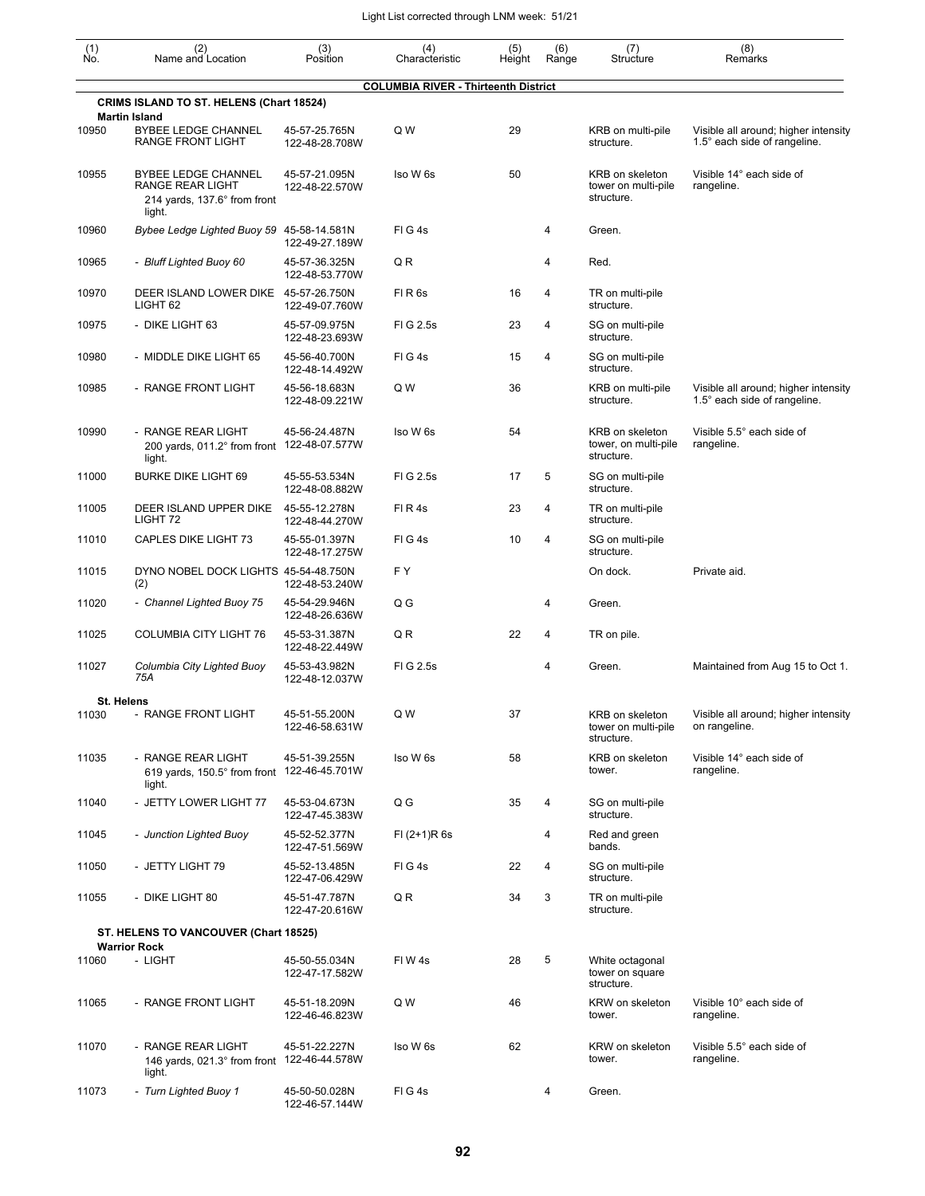| (1)<br>Ño. | (2)<br>Name and Location                                                                 | (3)<br>Position                 | (4)<br>Characteristic                       | (5)<br>Height | (6)<br>Range | (7)<br>Structure                                      | (8)<br>Remarks                                                       |
|------------|------------------------------------------------------------------------------------------|---------------------------------|---------------------------------------------|---------------|--------------|-------------------------------------------------------|----------------------------------------------------------------------|
|            | <b>CRIMS ISLAND TO ST. HELENS (Chart 18524)</b>                                          |                                 | <b>COLUMBIA RIVER - Thirteenth District</b> |               |              |                                                       |                                                                      |
|            | <b>Martin Island</b>                                                                     |                                 |                                             |               |              |                                                       |                                                                      |
| 10950      | <b>BYBEE LEDGE CHANNEL</b><br>RANGE FRONT LIGHT                                          | 45-57-25.765N<br>122-48-28.708W | Q W                                         | 29            |              | KRB on multi-pile<br>structure.                       | Visible all around; higher intensity<br>1.5° each side of rangeline. |
| 10955      | <b>BYBEE LEDGE CHANNEL</b><br>RANGE REAR LIGHT<br>214 yards, 137.6° from front<br>light. | 45-57-21.095N<br>122-48-22.570W | Iso W 6s                                    | 50            |              | KRB on skeleton<br>tower on multi-pile<br>structure.  | Visible 14° each side of<br>rangeline.                               |
| 10960      | Bybee Ledge Lighted Buoy 59 45-58-14.581N                                                | 122-49-27.189W                  | FIG4s                                       |               | 4            | Green.                                                |                                                                      |
| 10965      | - Bluff Lighted Buoy 60                                                                  | 45-57-36.325N<br>122-48-53.770W | QR                                          |               | 4            | Red.                                                  |                                                                      |
| 10970      | DEER ISLAND LOWER DIKE 45-57-26.750N<br>LIGHT 62                                         | 122-49-07.760W                  | FIR <sub>6s</sub>                           | 16            | 4            | TR on multi-pile<br>structure.                        |                                                                      |
| 10975      | - DIKE LIGHT 63                                                                          | 45-57-09.975N<br>122-48-23.693W | FIG 2.5s                                    | 23            | 4            | SG on multi-pile<br>structure.                        |                                                                      |
| 10980      | - MIDDLE DIKE LIGHT 65                                                                   | 45-56-40.700N<br>122-48-14.492W | FIG4s                                       | 15            | 4            | SG on multi-pile<br>structure.                        |                                                                      |
| 10985      | - RANGE FRONT LIGHT                                                                      | 45-56-18.683N<br>122-48-09.221W | Q W                                         | 36            |              | KRB on multi-pile<br>structure.                       | Visible all around; higher intensity<br>1.5° each side of rangeline. |
| 10990      | - RANGE REAR LIGHT<br>200 yards, 011.2° from front 122-48-07.577W<br>light.              | 45-56-24.487N                   | Iso W 6s                                    | 54            |              | KRB on skeleton<br>tower, on multi-pile<br>structure. | Visible 5.5° each side of<br>rangeline.                              |
| 11000      | <b>BURKE DIKE LIGHT 69</b>                                                               | 45-55-53.534N<br>122-48-08.882W | FIG 2.5s                                    | 17            | 5            | SG on multi-pile<br>structure.                        |                                                                      |
| 11005      | DEER ISLAND UPPER DIKE<br>LIGHT 72                                                       | 45-55-12.278N<br>122-48-44.270W | FIR4s                                       | 23            | 4            | TR on multi-pile<br>structure.                        |                                                                      |
| 11010      | <b>CAPLES DIKE LIGHT 73</b>                                                              | 45-55-01.397N<br>122-48-17.275W | FIG4s                                       | 10            | 4            | SG on multi-pile<br>structure.                        |                                                                      |
| 11015      | DYNO NOBEL DOCK LIGHTS 45-54-48.750N<br>(2)                                              | 122-48-53.240W                  | FΥ                                          |               |              | On dock.                                              | Private aid.                                                         |
| 11020      | - Channel Lighted Buoy 75                                                                | 45-54-29.946N<br>122-48-26.636W | Q G                                         |               | 4            | Green.                                                |                                                                      |
| 11025      | <b>COLUMBIA CITY LIGHT 76</b>                                                            | 45-53-31.387N<br>122-48-22.449W | Q R                                         | 22            | 4            | TR on pile.                                           |                                                                      |
| 11027      | Columbia City Lighted Buoy<br>75A                                                        | 45-53-43.982N<br>122-48-12.037W | FIG 2.5s                                    |               | 4            | Green.                                                | Maintained from Aug 15 to Oct 1.                                     |
|            | St. Helens                                                                               |                                 |                                             |               |              |                                                       |                                                                      |
| 11030      | RANGE FRONT LIGHT                                                                        | 45-51-55.200N<br>122-46-58.631W | Q W                                         | 37            |              | KRB on skeleton<br>tower on multi-pile<br>structure.  | Visible all around; higher intensity<br>on rangeline.                |
| 11035      | - RANGE REAR LIGHT<br>619 yards, 150.5° from front 122-46-45.701W<br>light.              | 45-51-39.255N                   | Iso W 6s                                    | 58            |              | KRB on skeleton<br>tower.                             | Visible 14° each side of<br>rangeline.                               |
| 11040      | - JETTY LOWER LIGHT 77                                                                   | 45-53-04.673N<br>122-47-45.383W | Q G                                         | 35            | 4            | SG on multi-pile<br>structure.                        |                                                                      |
| 11045      | - Junction Lighted Buoy                                                                  | 45-52-52.377N<br>122-47-51.569W | $FI (2+1)R 6s$                              |               | 4            | Red and green<br>bands.                               |                                                                      |
| 11050      | - JETTY LIGHT 79                                                                         | 45-52-13.485N<br>122-47-06.429W | FIG4s                                       | 22            | 4            | SG on multi-pile<br>structure.                        |                                                                      |
| 11055      | - DIKE LIGHT 80                                                                          | 45-51-47.787N<br>122-47-20.616W | Q R                                         | 34            | 3            | TR on multi-pile<br>structure.                        |                                                                      |
|            | ST. HELENS TO VANCOUVER (Chart 18525)                                                    |                                 |                                             |               |              |                                                       |                                                                      |
|            | <b>Warrior Rock</b>                                                                      |                                 |                                             |               |              |                                                       |                                                                      |
| 11060      | - LIGHT                                                                                  | 45-50-55.034N<br>122-47-17.582W | FIW4s                                       | 28            | 5            | White octagonal<br>tower on square<br>structure.      |                                                                      |
| 11065      | - RANGE FRONT LIGHT                                                                      | 45-51-18.209N<br>122-46-46.823W | Q W                                         | 46            |              | KRW on skeleton<br>tower.                             | Visible 10° each side of<br>rangeline.                               |
| 11070      | - RANGE REAR LIGHT<br>146 yards, 021.3° from front 122-46-44.578W<br>light.              | 45-51-22.227N                   | Iso W 6s                                    | 62            |              | KRW on skeleton<br>tower.                             | Visible 5.5° each side of<br>rangeline.                              |
| 11073      | - Turn Lighted Buoy 1                                                                    | 45-50-50.028N                   | FIG4s                                       |               | 4            | Green.                                                |                                                                      |

122-46-57.144W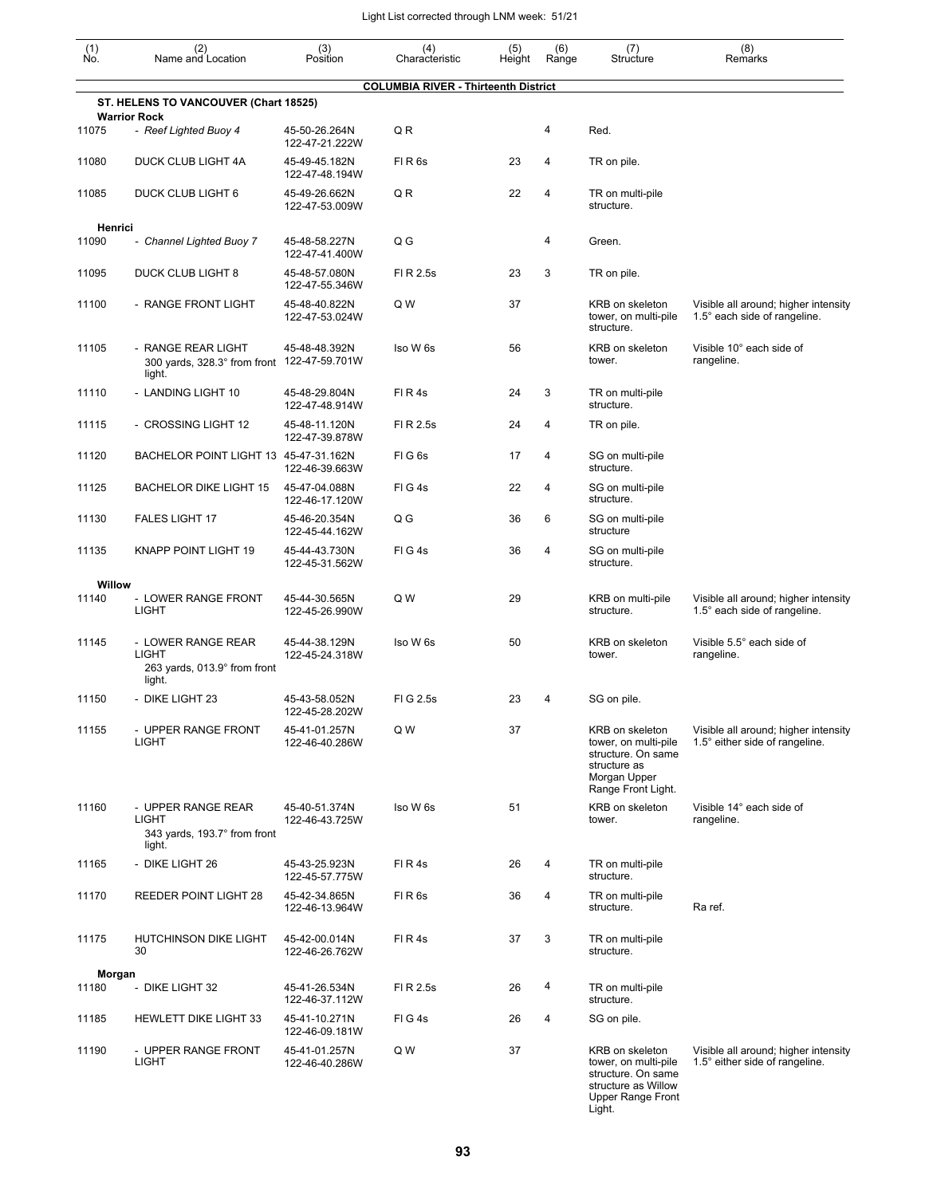| (1)<br>Ño. | (2)<br>Name and Location                                                     | (3)<br>Position                 | (4)<br>Characteristic                       | (5)<br>Height | (6)<br>Range | (7)<br>Structure                                                                                                           | (8)<br>Remarks                                                         |
|------------|------------------------------------------------------------------------------|---------------------------------|---------------------------------------------|---------------|--------------|----------------------------------------------------------------------------------------------------------------------------|------------------------------------------------------------------------|
|            |                                                                              |                                 | <b>COLUMBIA RIVER - Thirteenth District</b> |               |              |                                                                                                                            |                                                                        |
|            | ST. HELENS TO VANCOUVER (Chart 18525)                                        |                                 |                                             |               |              |                                                                                                                            |                                                                        |
| 11075      | <b>Warrior Rock</b><br>- Reef Lighted Buoy 4                                 | 45-50-26.264N<br>122-47-21.222W | QR                                          |               | 4            | Red.                                                                                                                       |                                                                        |
| 11080      | DUCK CLUB LIGHT 4A                                                           | 45-49-45.182N<br>122-47-48.194W | FIR <sub>6s</sub>                           | 23            | 4            | TR on pile.                                                                                                                |                                                                        |
| 11085      | <b>DUCK CLUB LIGHT 6</b>                                                     | 45-49-26.662N<br>122-47-53.009W | QR                                          | 22            | 4            | TR on multi-pile<br>structure.                                                                                             |                                                                        |
| Henrici    |                                                                              |                                 |                                             |               |              |                                                                                                                            |                                                                        |
| 11090      | - Channel Lighted Buoy 7                                                     | 45-48-58.227N<br>122-47-41.400W | Q G                                         |               | 4            | Green.                                                                                                                     |                                                                        |
| 11095      | DUCK CLUB LIGHT 8                                                            | 45-48-57.080N<br>122-47-55.346W | FI R 2.5s                                   | 23            | 3            | TR on pile.                                                                                                                |                                                                        |
| 11100      | - RANGE FRONT LIGHT                                                          | 45-48-40.822N<br>122-47-53.024W | Q W                                         | 37            |              | KRB on skeleton<br>tower, on multi-pile<br>structure.                                                                      | Visible all around; higher intensity<br>1.5° each side of rangeline.   |
| 11105      | - RANGE REAR LIGHT<br>300 yards, 328.3° from front 122-47-59.701W<br>light.  | 45-48-48.392N                   | Iso W 6s                                    | 56            |              | KRB on skeleton<br>tower.                                                                                                  | Visible 10° each side of<br>rangeline.                                 |
| 11110      | - LANDING LIGHT 10                                                           | 45-48-29.804N<br>122-47-48.914W | FIR4s                                       | 24            | 3            | TR on multi-pile<br>structure.                                                                                             |                                                                        |
| 11115      | - CROSSING LIGHT 12                                                          | 45-48-11.120N<br>122-47-39.878W | FI R 2.5s                                   | 24            | 4            | TR on pile.                                                                                                                |                                                                        |
| 11120      | BACHELOR POINT LIGHT 13 45-47-31.162N                                        | 122-46-39.663W                  | FIG <sub>6s</sub>                           | 17            | 4            | SG on multi-pile<br>structure.                                                                                             |                                                                        |
| 11125      | <b>BACHELOR DIKE LIGHT 15</b>                                                | 45-47-04.088N<br>122-46-17.120W | FIG4s                                       | 22            | 4            | SG on multi-pile<br>structure.                                                                                             |                                                                        |
| 11130      | <b>FALES LIGHT 17</b>                                                        | 45-46-20.354N<br>122-45-44.162W | Q G                                         | 36            | 6            | SG on multi-pile<br>structure                                                                                              |                                                                        |
| 11135      | <b>KNAPP POINT LIGHT 19</b>                                                  | 45-44-43.730N<br>122-45-31.562W | FIG4s                                       | 36            | 4            | SG on multi-pile<br>structure.                                                                                             |                                                                        |
| Willow     |                                                                              |                                 |                                             |               |              |                                                                                                                            |                                                                        |
| 11140      | - LOWER RANGE FRONT<br>LIGHT                                                 | 45-44-30.565N<br>122-45-26.990W | Q W                                         | 29            |              | KRB on multi-pile<br>structure.                                                                                            | Visible all around; higher intensity<br>1.5° each side of rangeline.   |
| 11145      | - LOWER RANGE REAR<br><b>LIGHT</b><br>263 yards, 013.9° from front<br>light. | 45-44-38.129N<br>122-45-24.318W | Iso W 6s                                    | 50            |              | KRB on skeleton<br>tower.                                                                                                  | Visible 5.5° each side of<br>rangeline.                                |
| 11150      | - DIKE LIGHT 23                                                              | 45-43-58.052N<br>122-45-28.202W | FIG 2.5s                                    | 23            | 4            | SG on pile.                                                                                                                |                                                                        |
| 11155      | - UPPER RANGE FRONT<br><b>LIGHT</b>                                          | 45-41-01.257N<br>122-46-40.286W | Q W                                         | 37            |              | KRB on skeleton<br>tower, on multi-pile<br>structure. On same<br>structure as<br>Morgan Upper<br>Range Front Light.        | Visible all around; higher intensity<br>1.5° either side of rangeline. |
| 11160      | - UPPER RANGE REAR<br><b>LIGHT</b><br>343 yards, 193.7° from front<br>light. | 45-40-51.374N<br>122-46-43.725W | Iso W 6s                                    | 51            |              | KRB on skeleton<br>tower.                                                                                                  | Visible 14° each side of<br>rangeline.                                 |
| 11165      | - DIKE LIGHT 26                                                              | 45-43-25.923N<br>122-45-57.775W | FIR4s                                       | 26            | 4            | TR on multi-pile<br>structure.                                                                                             |                                                                        |
| 11170      | <b>REEDER POINT LIGHT 28</b>                                                 | 45-42-34.865N<br>122-46-13.964W | FIR <sub>6s</sub>                           | 36            | 4            | TR on multi-pile<br>structure.                                                                                             | Ra ref.                                                                |
| 11175      | HUTCHINSON DIKE LIGHT<br>30                                                  | 45-42-00.014N<br>122-46-26.762W | FIR4s                                       | 37            | 3            | TR on multi-pile<br>structure.                                                                                             |                                                                        |
| Morgan     |                                                                              |                                 |                                             |               |              |                                                                                                                            |                                                                        |
| 11180      | - DIKE LIGHT 32                                                              | 45-41-26.534N<br>122-46-37.112W | FI R 2.5s                                   | 26            | 4            | TR on multi-pile<br>structure.                                                                                             |                                                                        |
| 11185      | <b>HEWLETT DIKE LIGHT 33</b>                                                 | 45-41-10.271N<br>122-46-09.181W | FIG4s                                       | 26            | 4            | SG on pile.                                                                                                                |                                                                        |
| 11190      | - UPPER RANGE FRONT<br><b>LIGHT</b>                                          | 45-41-01.257N<br>122-46-40.286W | Q W                                         | 37            |              | KRB on skeleton<br>tower, on multi-pile<br>structure. On same<br>structure as Willow<br><b>Upper Range Front</b><br>Light. | Visible all around; higher intensity<br>1.5° either side of rangeline. |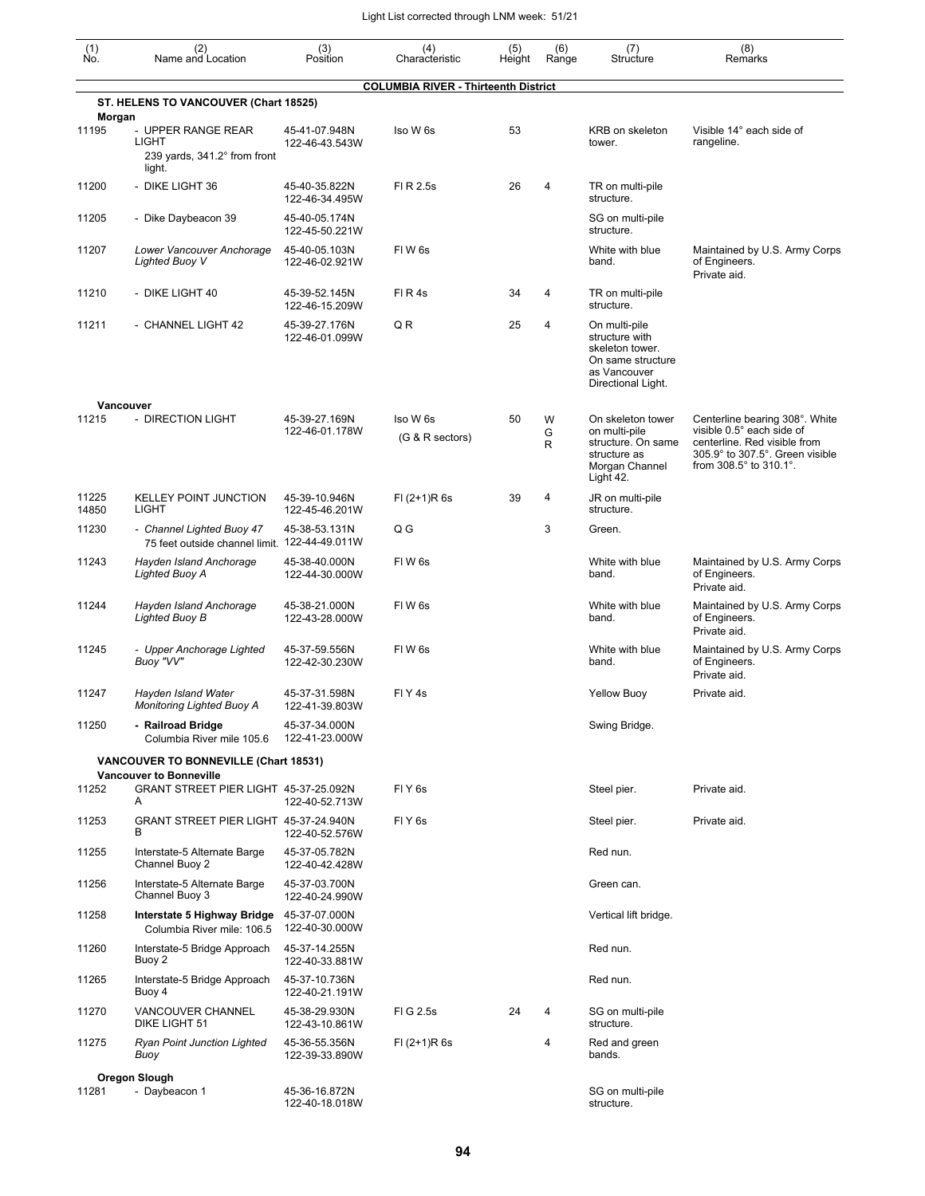| $\begin{smallmatrix} (1) \\ \mathsf{No} \end{smallmatrix}$ | (2)<br>Name and Location                                                     | (3)<br>Position                 | (4)<br>Characteristic                       | (5)<br>Height | (6)<br>Range | (7)<br>Structure                                                                                              | (8)<br>Remarks                                                                                                                                           |
|------------------------------------------------------------|------------------------------------------------------------------------------|---------------------------------|---------------------------------------------|---------------|--------------|---------------------------------------------------------------------------------------------------------------|----------------------------------------------------------------------------------------------------------------------------------------------------------|
|                                                            | ST. HELENS TO VANCOUVER (Chart 18525)                                        |                                 | <b>COLUMBIA RIVER - Thirteenth District</b> |               |              |                                                                                                               |                                                                                                                                                          |
| Morgan<br>11195                                            | - UPPER RANGE REAR<br><b>LIGHT</b><br>239 yards, 341.2° from front<br>light. | 45-41-07.948N<br>122-46-43.543W | Iso W 6s                                    | 53            |              | KRB on skeleton<br>tower.                                                                                     | Visible 14° each side of<br>rangeline.                                                                                                                   |
| 11200                                                      | - DIKE LIGHT 36                                                              | 45-40-35.822N<br>122-46-34.495W | FI R 2.5s                                   | 26            | 4            | TR on multi-pile<br>structure.                                                                                |                                                                                                                                                          |
| 11205                                                      | - Dike Daybeacon 39                                                          | 45-40-05.174N<br>122-45-50.221W |                                             |               |              | SG on multi-pile<br>structure.                                                                                |                                                                                                                                                          |
| 11207                                                      | Lower Vancouver Anchorage<br><b>Lighted Buoy V</b>                           | 45-40-05.103N<br>122-46-02.921W | FIW <sub>6s</sub>                           |               |              | White with blue<br>band.                                                                                      | Maintained by U.S. Army Corps<br>of Engineers.<br>Private aid.                                                                                           |
| 11210                                                      | - DIKE LIGHT 40                                                              | 45-39-52.145N<br>122-46-15.209W | FIR4s                                       | 34            | 4            | TR on multi-pile<br>structure.                                                                                |                                                                                                                                                          |
| 11211                                                      | - CHANNEL LIGHT 42                                                           | 45-39-27.176N<br>122-46-01.099W | QR                                          | 25            | 4            | On multi-pile<br>structure with<br>skeleton tower.<br>On same structure<br>as Vancouver<br>Directional Light. |                                                                                                                                                          |
|                                                            | Vancouver                                                                    |                                 |                                             |               |              |                                                                                                               |                                                                                                                                                          |
| 11215                                                      | - DIRECTION LIGHT                                                            | 45-39-27.169N<br>122-46-01.178W | Iso W 6s<br>(G & R sectors)                 | 50            | W<br>G<br>R  | On skeleton tower<br>on multi-pile<br>structure. On same<br>structure as<br>Morgan Channel<br>Light 42.       | Centerline bearing 308°. White<br>visible 0.5° each side of<br>centerline. Red visible from<br>305.9° to 307.5°. Green visible<br>from 308.5° to 310.1°. |
| 11225<br>14850                                             | <b>KELLEY POINT JUNCTION</b><br><b>LIGHT</b>                                 | 45-39-10.946N<br>122-45-46.201W | $FI (2+1)R 6s$                              | 39            | 4            | JR on multi-pile<br>structure.                                                                                |                                                                                                                                                          |
| 11230                                                      | - Channel Lighted Buoy 47<br>75 feet outside channel limit. 122-44-49.011W   | 45-38-53.131N                   | Q G                                         |               | 3            | Green.                                                                                                        |                                                                                                                                                          |
| 11243                                                      | Hayden Island Anchorage<br>Lighted Buoy A                                    | 45-38-40.000N<br>122-44-30.000W | FIW <sub>6s</sub>                           |               |              | White with blue<br>band.                                                                                      | Maintained by U.S. Army Corps<br>of Engineers.<br>Private aid.                                                                                           |
| 11244                                                      | Hayden Island Anchorage<br>Lighted Buoy B                                    | 45-38-21.000N<br>122-43-28.000W | FIW <sub>6s</sub>                           |               |              | White with blue<br>band.                                                                                      | Maintained by U.S. Army Corps<br>of Engineers.<br>Private aid.                                                                                           |
| 11245                                                      | - Upper Anchorage Lighted<br>Buoy "VV"                                       | 45-37-59.556N<br>122-42-30.230W | FIW <sub>6s</sub>                           |               |              | White with blue<br>band.                                                                                      | Maintained by U.S. Army Corps<br>of Engineers.<br>Private aid.                                                                                           |
| 11247                                                      | Hayden Island Water<br><b>Monitoring Lighted Buoy A</b>                      | 45-37-31.598N<br>122-41-39.803W | FIY <sub>4s</sub>                           |               |              | <b>Yellow Buoy</b>                                                                                            | Private aid.                                                                                                                                             |
| 11250                                                      | - Railroad Bridge<br>Columbia River mile 105.6                               | 45-37-34.000N<br>122-41-23.000W |                                             |               |              | Swing Bridge.                                                                                                 |                                                                                                                                                          |
|                                                            | VANCOUVER TO BONNEVILLE (Chart 18531)                                        |                                 |                                             |               |              |                                                                                                               |                                                                                                                                                          |
| 11252                                                      | <b>Vancouver to Bonneville</b><br>GRANT STREET PIER LIGHT 45-37-25.092N<br>A | 122-40-52.713W                  | FIY <sub>6s</sub>                           |               |              | Steel pier.                                                                                                   | Private aid.                                                                                                                                             |
| 11253                                                      | GRANT STREET PIER LIGHT 45-37-24.940N<br>в                                   | 122-40-52.576W                  | FIY <sub>6s</sub>                           |               |              | Steel pier.                                                                                                   | Private aid.                                                                                                                                             |
| 11255                                                      | Interstate-5 Alternate Barge<br>Channel Buoy 2                               | 45-37-05.782N<br>122-40-42.428W |                                             |               |              | Red nun.                                                                                                      |                                                                                                                                                          |
| 11256                                                      | Interstate-5 Alternate Barge<br>Channel Buoy 3                               | 45-37-03.700N<br>122-40-24.990W |                                             |               |              | Green can.                                                                                                    |                                                                                                                                                          |
| 11258                                                      | Interstate 5 Highway Bridge<br>Columbia River mile: 106.5                    | 45-37-07.000N<br>122-40-30.000W |                                             |               |              | Vertical lift bridge.                                                                                         |                                                                                                                                                          |
| 11260                                                      | Interstate-5 Bridge Approach<br>Buoy 2                                       | 45-37-14.255N<br>122-40-33.881W |                                             |               |              | Red nun.                                                                                                      |                                                                                                                                                          |
| 11265                                                      | Interstate-5 Bridge Approach<br>Buoy 4                                       | 45-37-10.736N<br>122-40-21.191W |                                             |               |              | Red nun.                                                                                                      |                                                                                                                                                          |
| 11270                                                      | VANCOUVER CHANNEL<br>DIKE LIGHT 51                                           | 45-38-29.930N<br>122-43-10.861W | FIG 2.5s                                    | 24            | 4            | SG on multi-pile<br>structure.                                                                                |                                                                                                                                                          |
| 11275                                                      | <b>Ryan Point Junction Lighted</b><br>Buoy                                   | 45-36-55.356N<br>122-39-33.890W | $FI (2+1)R 6s$                              |               | 4            | Red and green<br>bands.                                                                                       |                                                                                                                                                          |
|                                                            | Oregon Slough                                                                |                                 |                                             |               |              |                                                                                                               |                                                                                                                                                          |
| 11281                                                      | - Daybeacon 1                                                                | 45-36-16.872N<br>122-40-18.018W |                                             |               |              | SG on multi-pile<br>structure.                                                                                |                                                                                                                                                          |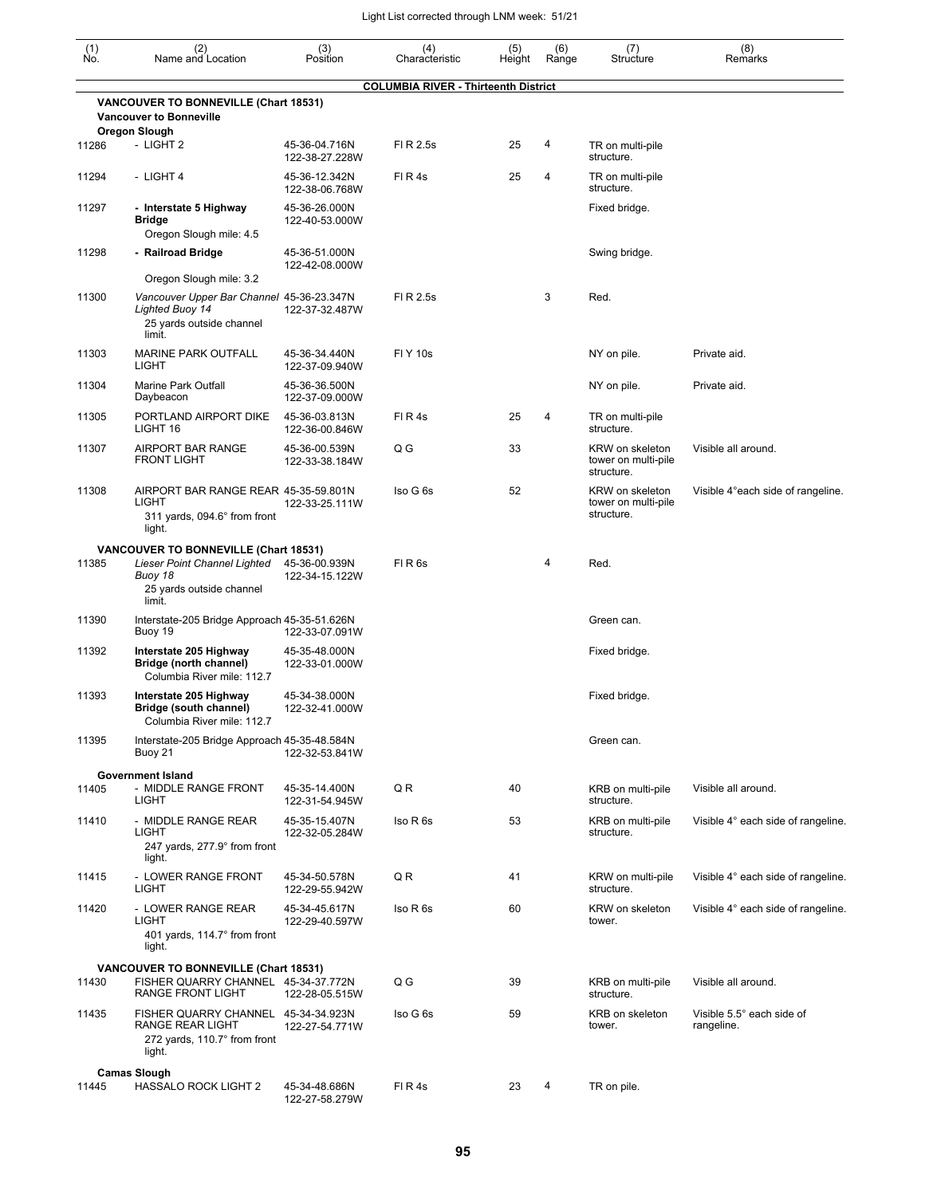| $\begin{smallmatrix} (1) \ N0. \end{smallmatrix}$ | (2)<br>Name and Location                                                                                                             | (3)<br>Position                 | (4)<br>Characteristic                       | (5)<br>Height | (6)<br>Range | (7)<br>Structure                                     | (8)<br>Remarks                          |
|---------------------------------------------------|--------------------------------------------------------------------------------------------------------------------------------------|---------------------------------|---------------------------------------------|---------------|--------------|------------------------------------------------------|-----------------------------------------|
|                                                   |                                                                                                                                      |                                 | <b>COLUMBIA RIVER - Thirteenth District</b> |               |              |                                                      |                                         |
|                                                   | <b>VANCOUVER TO BONNEVILLE (Chart 18531)</b><br><b>Vancouver to Bonneville</b>                                                       |                                 |                                             |               |              |                                                      |                                         |
| 11286                                             | Oregon Slough<br>- LIGHT 2                                                                                                           | 45-36-04.716N<br>122-38-27.228W | FI R 2.5s                                   | 25            | 4            | TR on multi-pile<br>structure.                       |                                         |
| 11294                                             | - LIGHT 4                                                                                                                            | 45-36-12.342N<br>122-38-06.768W | FIR4s                                       | 25            | 4            | TR on multi-pile<br>structure.                       |                                         |
| 11297                                             | - Interstate 5 Highway<br>Bridge<br>Oregon Slough mile: 4.5                                                                          | 45-36-26.000N<br>122-40-53.000W |                                             |               |              | Fixed bridge.                                        |                                         |
| 11298                                             | - Railroad Bridge                                                                                                                    | 45-36-51.000N<br>122-42-08.000W |                                             |               |              | Swing bridge.                                        |                                         |
| 11300                                             | Oregon Slough mile: 3.2<br>Vancouver Upper Bar Channel 45-36-23.347N<br><b>Lighted Buoy 14</b><br>25 yards outside channel<br>limit. | 122-37-32.487W                  | FI R 2.5s                                   |               | 3            | Red.                                                 |                                         |
| 11303                                             | <b>MARINE PARK OUTFALL</b><br>LIGHT                                                                                                  | 45-36-34.440N<br>122-37-09.940W | <b>FIY 10s</b>                              |               |              | NY on pile.                                          | Private aid.                            |
| 11304                                             | Marine Park Outfall<br>Daybeacon                                                                                                     | 45-36-36.500N<br>122-37-09.000W |                                             |               |              | NY on pile.                                          | Private aid.                            |
| 11305                                             | PORTLAND AIRPORT DIKE<br>LIGHT 16                                                                                                    | 45-36-03.813N<br>122-36-00.846W | FIR4s                                       | 25            | 4            | TR on multi-pile<br>structure.                       |                                         |
| 11307                                             | AIRPORT BAR RANGE<br><b>FRONT LIGHT</b>                                                                                              | 45-36-00.539N<br>122-33-38.184W | Q G                                         | 33            |              | KRW on skeleton<br>tower on multi-pile<br>structure. | Visible all around.                     |
| 11308                                             | AIRPORT BAR RANGE REAR 45-35-59.801N<br>LIGHT<br>311 yards, 094.6° from front<br>light.                                              | 122-33-25.111W                  | Iso G 6s                                    | 52            |              | KRW on skeleton<br>tower on multi-pile<br>structure. | Visible 4° each side of rangeline.      |
| 11385                                             | VANCOUVER TO BONNEVILLE (Chart 18531)<br>Lieser Point Channel Lighted<br>Buoy 18<br>25 yards outside channel<br>limit.               | 45-36-00.939N<br>122-34-15.122W | FIR <sub>6s</sub>                           |               | 4            | Red.                                                 |                                         |
| 11390                                             | Interstate-205 Bridge Approach 45-35-51.626N<br>Buoy 19                                                                              | 122-33-07.091W                  |                                             |               |              | Green can.                                           |                                         |
| 11392                                             | Interstate 205 Highway<br>Bridge (north channel)<br>Columbia River mile: 112.7                                                       | 45-35-48.000N<br>122-33-01.000W |                                             |               |              | Fixed bridge.                                        |                                         |
| 11393                                             | Interstate 205 Highway<br>Bridge (south channel)<br>Columbia River mile: 112.7                                                       | 45-34-38.000N<br>122-32-41.000W |                                             |               |              | Fixed bridge.                                        |                                         |
| 11395                                             | Interstate-205 Bridge Approach 45-35-48.584N<br>Buoy 21                                                                              | 122-32-53.841W                  |                                             |               |              | Green can.                                           |                                         |
| 11405                                             | <b>Government Island</b><br>- MIDDLE RANGE FRONT<br>LIGHT                                                                            | 45-35-14.400N<br>122-31-54.945W | Q R                                         | 40            |              | KRB on multi-pile<br>structure.                      | Visible all around.                     |
| 11410                                             | - MIDDLE RANGE REAR<br>LIGHT<br>247 yards, 277.9° from front<br>light.                                                               | 45-35-15.407N<br>122-32-05.284W | Iso R 6s                                    | 53            |              | KRB on multi-pile<br>structure.                      | Visible 4° each side of rangeline.      |
| 11415                                             | - LOWER RANGE FRONT<br><b>LIGHT</b>                                                                                                  | 45-34-50.578N<br>122-29-55.942W | Q R                                         | 41            |              | KRW on multi-pile<br>structure.                      | Visible 4° each side of rangeline.      |
| 11420                                             | - LOWER RANGE REAR<br><b>LIGHT</b><br>401 yards, 114.7° from front<br>light.                                                         | 45-34-45.617N<br>122-29-40.597W | Iso R 6s                                    | 60            |              | KRW on skeleton<br>tower.                            | Visible 4° each side of rangeline.      |
| 11430                                             | VANCOUVER TO BONNEVILLE (Chart 18531)<br>FISHER QUARRY CHANNEL 45-34-37.772N<br><b>RANGE FRONT LIGHT</b>                             | 122-28-05.515W                  | Q G                                         | 39            |              | KRB on multi-pile<br>structure.                      | Visible all around.                     |
| 11435                                             | FISHER QUARRY CHANNEL 45-34-34.923N<br>RANGE REAR LIGHT<br>272 yards, 110.7° from front<br>light.                                    | 122-27-54.771W                  | Iso G 6s                                    | 59            |              | KRB on skeleton<br>tower.                            | Visible 5.5° each side of<br>rangeline. |
|                                                   | <b>Camas Slough</b><br><b>HASSALO ROCK LIGHT 2</b>                                                                                   |                                 | FIR4s                                       | 23            | 4            |                                                      |                                         |
| 11445                                             |                                                                                                                                      | 45-34-48.686N<br>122-27-58.279W |                                             |               |              | TR on pile.                                          |                                         |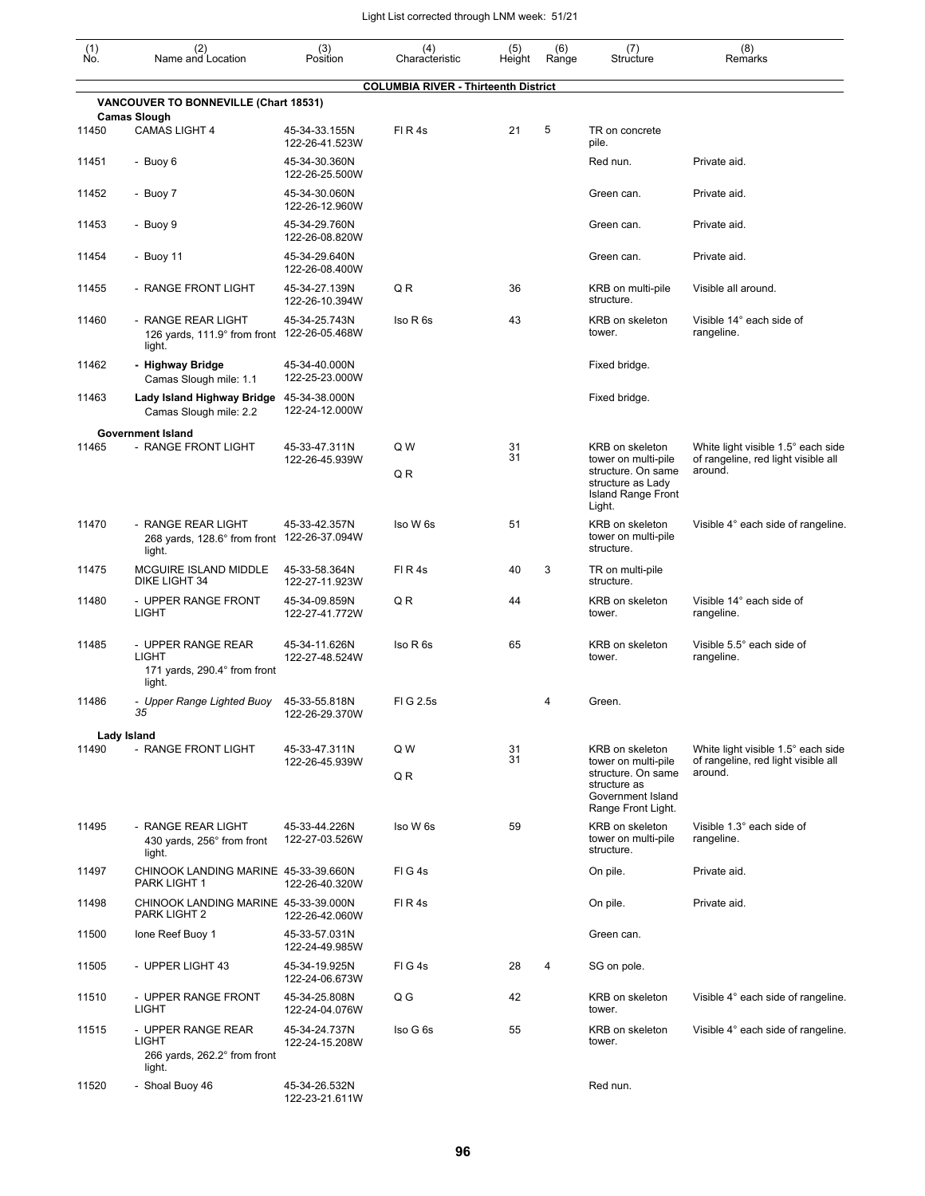| $\begin{smallmatrix} (1) \ N0. \end{smallmatrix}$ | (2)<br>Name and Location                                                    | (3)<br>Position                 | (4)<br>Characteristic                       | (5)<br>Height | (6)<br>Range | (7)<br>Structure                                                                            | (8)<br>Remarks                                                            |
|---------------------------------------------------|-----------------------------------------------------------------------------|---------------------------------|---------------------------------------------|---------------|--------------|---------------------------------------------------------------------------------------------|---------------------------------------------------------------------------|
|                                                   |                                                                             |                                 | <b>COLUMBIA RIVER - Thirteenth District</b> |               |              |                                                                                             |                                                                           |
|                                                   | VANCOUVER TO BONNEVILLE (Chart 18531)<br><b>Camas Slough</b>                |                                 |                                             |               |              |                                                                                             |                                                                           |
| 11450                                             | <b>CAMAS LIGHT 4</b>                                                        | 45-34-33.155N<br>122-26-41.523W | FIR4s                                       | 21            | 5            | TR on concrete<br>pile.                                                                     |                                                                           |
| 11451                                             | - Buoy 6                                                                    | 45-34-30.360N<br>122-26-25.500W |                                             |               |              | Red nun.                                                                                    | Private aid.                                                              |
| 11452                                             | - Buoy 7                                                                    | 45-34-30.060N<br>122-26-12.960W |                                             |               |              | Green can.                                                                                  | Private aid.                                                              |
| 11453                                             | - Buoy 9                                                                    | 45-34-29.760N<br>122-26-08.820W |                                             |               |              | Green can.                                                                                  | Private aid.                                                              |
| 11454                                             | - Buoy 11                                                                   | 45-34-29.640N<br>122-26-08.400W |                                             |               |              | Green can.                                                                                  | Private aid.                                                              |
| 11455                                             | - RANGE FRONT LIGHT                                                         | 45-34-27.139N<br>122-26-10.394W | QR                                          | 36            |              | KRB on multi-pile<br>structure.                                                             | Visible all around.                                                       |
| 11460                                             | - RANGE REAR LIGHT<br>126 yards, 111.9° from front 122-26-05.468W<br>light. | 45-34-25.743N                   | Iso R 6s                                    | 43            |              | KRB on skeleton<br>tower.                                                                   | Visible 14° each side of<br>rangeline.                                    |
| 11462                                             | - Highway Bridge<br>Camas Slough mile: 1.1                                  | 45-34-40.000N<br>122-25-23.000W |                                             |               |              | Fixed bridge.                                                                               |                                                                           |
| 11463                                             | Lady Island Highway Bridge 45-34-38.000N<br>Camas Slough mile: 2.2          | 122-24-12.000W                  |                                             |               |              | Fixed bridge.                                                                               |                                                                           |
| 11465                                             | <b>Government Island</b><br>- RANGE FRONT LIGHT                             | 45-33-47.311N                   | Q W                                         | 31            |              | KRB on skeleton                                                                             | White light visible 1.5° each side                                        |
|                                                   |                                                                             | 122-26-45.939W                  | QR                                          | 31            |              | tower on multi-pile<br>structure. On same<br>structure as Lady<br><b>Island Range Front</b> | of rangeline, red light visible all<br>around.                            |
|                                                   |                                                                             |                                 |                                             |               |              | Light.                                                                                      |                                                                           |
| 11470                                             | - RANGE REAR LIGHT<br>268 yards, 128.6° from front 122-26-37.094W<br>light. | 45-33-42.357N                   | Iso W 6s                                    | 51            |              | KRB on skeleton<br>tower on multi-pile<br>structure.                                        | Visible 4° each side of rangeline.                                        |
| 11475                                             | MCGUIRE ISLAND MIDDLE<br>DIKE LIGHT 34                                      | 45-33-58.364N<br>122-27-11.923W | FIR4s                                       | 40            | 3            | TR on multi-pile<br>structure.                                                              |                                                                           |
| 11480                                             | - UPPER RANGE FRONT<br>LIGHT                                                | 45-34-09.859N<br>122-27-41.772W | QR                                          | 44            |              | KRB on skeleton<br>tower.                                                                   | Visible 14° each side of<br>rangeline.                                    |
| 11485                                             | - UPPER RANGE REAR<br>LIGHT<br>171 yards, 290.4° from front<br>light.       | 45-34-11.626N<br>122-27-48.524W | Iso R 6s                                    | 65            |              | KRB on skeleton<br>tower.                                                                   | Visible 5.5° each side of<br>rangeline.                                   |
| 11486                                             | - Upper Range Lighted Buoy 45-33-55.818N<br>35                              | 122-26-29.370W                  | FIG 2.5s                                    |               | 4            | Green.                                                                                      |                                                                           |
|                                                   | Lady Island                                                                 |                                 |                                             |               |              |                                                                                             |                                                                           |
| 11490                                             | - RANGE FRONT LIGHT                                                         | 45-33-47.311N<br>122-26-45.939W | Q W                                         | 31<br>31      |              | KRB on skeleton<br>tower on multi-pile                                                      | White light visible 1.5° each side<br>of rangeline, red light visible all |
|                                                   |                                                                             |                                 | Q R                                         |               |              | structure. On same<br>structure as<br>Government Island<br>Range Front Light.               | around.                                                                   |
| 11495                                             | - RANGE REAR LIGHT<br>430 yards, 256° from front<br>light.                  | 45-33-44.226N<br>122-27-03.526W | Iso W 6s                                    | 59            |              | KRB on skeleton<br>tower on multi-pile<br>structure.                                        | Visible 1.3° each side of<br>rangeline.                                   |
| 11497                                             | CHINOOK LANDING MARINE 45-33-39.660N<br>PARK LIGHT 1                        | 122-26-40.320W                  | FIG4s                                       |               |              | On pile.                                                                                    | Private aid.                                                              |
| 11498                                             | CHINOOK LANDING MARINE 45-33-39.000N<br>PARK LIGHT 2                        | 122-26-42.060W                  | FIR4s                                       |               |              | On pile.                                                                                    | Private aid.                                                              |
| 11500                                             | Ione Reef Buoy 1                                                            | 45-33-57.031N<br>122-24-49.985W |                                             |               |              | Green can.                                                                                  |                                                                           |
| 11505                                             | - UPPER LIGHT 43                                                            | 45-34-19.925N<br>122-24-06.673W | FIG4s                                       | 28            | 4            | SG on pole.                                                                                 |                                                                           |
| 11510                                             | - UPPER RANGE FRONT<br>LIGHT                                                | 45-34-25.808N<br>122-24-04.076W | $Q$ $G$                                     | 42            |              | KRB on skeleton<br>tower.                                                                   | Visible 4° each side of rangeline.                                        |
| 11515                                             | - UPPER RANGE REAR<br>LIGHT<br>266 yards, 262.2° from front<br>light.       | 45-34-24.737N<br>122-24-15.208W | Iso G 6s                                    | 55            |              | KRB on skeleton<br>tower.                                                                   | Visible 4° each side of rangeline.                                        |
| 11520                                             | - Shoal Buoy 46                                                             | 45-34-26.532N<br>122-23-21.611W |                                             |               |              | Red nun.                                                                                    |                                                                           |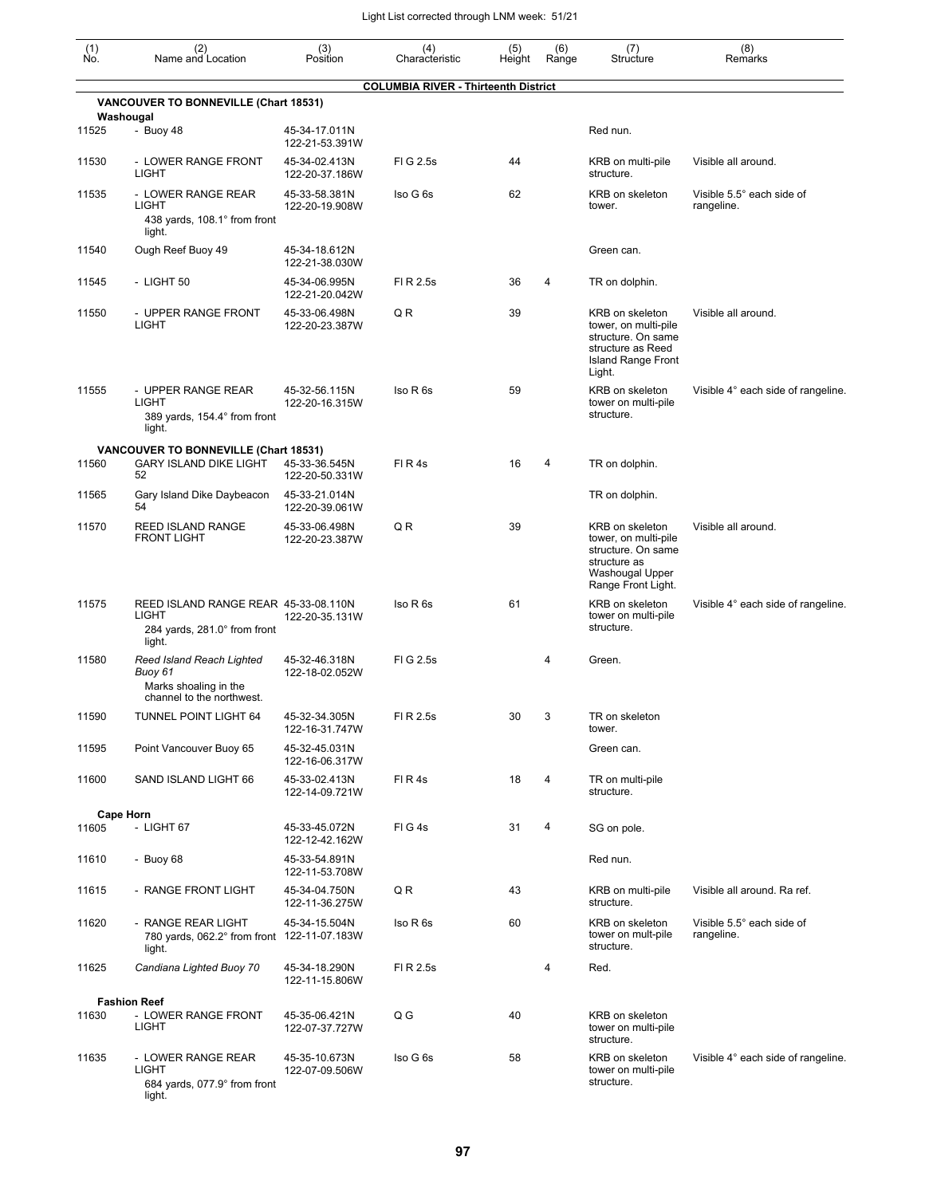| (1)<br>No. | (2)<br>Name and Location                                                                   | (3)<br>Position                 | (4)<br>Characteristic                       | (5)<br>Height | (6)<br>Range | (7)<br>Structure                                                                                                          | (8)<br>Remarks                          |
|------------|--------------------------------------------------------------------------------------------|---------------------------------|---------------------------------------------|---------------|--------------|---------------------------------------------------------------------------------------------------------------------------|-----------------------------------------|
|            |                                                                                            |                                 | <b>COLUMBIA RIVER - Thirteenth District</b> |               |              |                                                                                                                           |                                         |
|            | VANCOUVER TO BONNEVILLE (Chart 18531)<br>Washougal                                         |                                 |                                             |               |              |                                                                                                                           |                                         |
| 11525      | - Buoy 48                                                                                  | 45-34-17.011N<br>122-21-53.391W |                                             |               |              | Red nun.                                                                                                                  |                                         |
| 11530      | - LOWER RANGE FRONT<br><b>LIGHT</b>                                                        | 45-34-02.413N<br>122-20-37.186W | FIG 2.5s                                    | 44            |              | KRB on multi-pile<br>structure.                                                                                           | Visible all around.                     |
| 11535      | - LOWER RANGE REAR<br><b>LIGHT</b><br>438 yards, 108.1° from front<br>light.               | 45-33-58.381N<br>122-20-19.908W | Iso G 6s                                    | 62            |              | <b>KRB</b> on skeleton<br>tower.                                                                                          | Visible 5.5° each side of<br>rangeline. |
| 11540      | Ough Reef Buoy 49                                                                          | 45-34-18.612N<br>122-21-38.030W |                                             |               |              | Green can.                                                                                                                |                                         |
| 11545      | - LIGHT 50                                                                                 | 45-34-06.995N<br>122-21-20.042W | FI R 2.5s                                   | 36            | 4            | TR on dolphin.                                                                                                            |                                         |
| 11550      | - UPPER RANGE FRONT<br><b>LIGHT</b>                                                        | 45-33-06.498N<br>122-20-23.387W | QR                                          | 39            |              | KRB on skeleton<br>tower, on multi-pile<br>structure. On same<br>structure as Reed<br><b>Island Range Front</b><br>Light. | Visible all around.                     |
| 11555      | - UPPER RANGE REAR<br><b>LIGHT</b><br>389 yards, 154.4° from front<br>light.               | 45-32-56.115N<br>122-20-16.315W | Iso R 6s                                    | 59            |              | KRB on skeleton<br>tower on multi-pile<br>structure.                                                                      | Visible 4° each side of rangeline.      |
|            | <b>VANCOUVER TO BONNEVILLE (Chart 18531)</b>                                               |                                 |                                             |               |              |                                                                                                                           |                                         |
| 11560      | <b>GARY ISLAND DIKE LIGHT</b><br>52                                                        | 45-33-36.545N<br>122-20-50.331W | FIR4s                                       | 16            | 4            | TR on dolphin.                                                                                                            |                                         |
| 11565      | Gary Island Dike Daybeacon<br>54                                                           | 45-33-21.014N<br>122-20-39.061W |                                             |               |              | TR on dolphin.                                                                                                            |                                         |
| 11570      | REED ISLAND RANGE<br><b>FRONT LIGHT</b>                                                    | 45-33-06.498N<br>122-20-23.387W | QR                                          | 39            |              | KRB on skeleton<br>tower, on multi-pile<br>structure. On same<br>structure as<br>Washougal Upper<br>Range Front Light.    | Visible all around.                     |
| 11575      | REED ISLAND RANGE REAR 45-33-08.110N<br>LIGHT<br>284 yards, 281.0° from front<br>light.    | 122-20-35.131W                  | Iso R 6s                                    | 61            |              | KRB on skeleton<br>tower on multi-pile<br>structure.                                                                      | Visible 4° each side of rangeline.      |
| 11580      | Reed Island Reach Lighted<br>Buoy 61<br>Marks shoaling in the<br>channel to the northwest. | 45-32-46.318N<br>122-18-02.052W | FIG 2.5s                                    |               | 4            | Green.                                                                                                                    |                                         |
| 11590      | TUNNEL POINT LIGHT 64                                                                      | 45-32-34.305N<br>122-16-31.747W | FI R 2.5s                                   | 30            | 3            | TR on skeleton<br>tower.                                                                                                  |                                         |
| 11595      | Point Vancouver Buoy 65                                                                    | 45-32-45.031N<br>122-16-06.317W |                                             |               |              | Green can.                                                                                                                |                                         |
| 11600      | SAND ISLAND LIGHT 66                                                                       | 45-33-02.413N<br>122-14-09.721W | FIR4s                                       | 18            | 4            | TR on multi-pile<br>structure.                                                                                            |                                         |
|            | <b>Cape Horn</b>                                                                           |                                 |                                             |               |              |                                                                                                                           |                                         |
| 11605      | - LIGHT 67                                                                                 | 45-33-45.072N<br>122-12-42.162W | FIG4s                                       | 31            | 4            | SG on pole.                                                                                                               |                                         |
| 11610      | - Buoy $68$                                                                                | 45-33-54.891N<br>122-11-53.708W |                                             |               |              | Red nun.                                                                                                                  |                                         |
| 11615      | - RANGE FRONT LIGHT                                                                        | 45-34-04.750N<br>122-11-36.275W | QR                                          | 43            |              | KRB on multi-pile<br>structure.                                                                                           | Visible all around. Ra ref.             |
| 11620      | - RANGE REAR LIGHT<br>780 yards, 062.2° from front 122-11-07.183W<br>light.                | 45-34-15.504N                   | Iso R 6s                                    | 60            |              | KRB on skeleton<br>tower on mult-pile<br>structure.                                                                       | Visible 5.5° each side of<br>rangeline. |
| 11625      | Candiana Lighted Buoy 70                                                                   | 45-34-18.290N<br>122-11-15.806W | FI R 2.5s                                   |               | 4            | Red.                                                                                                                      |                                         |
|            | <b>Fashion Reef</b>                                                                        |                                 |                                             |               |              |                                                                                                                           |                                         |
| 11630      | - LOWER RANGE FRONT<br>LIGHT                                                               | 45-35-06.421N<br>122-07-37.727W | Q G                                         | 40            |              | KRB on skeleton<br>tower on multi-pile<br>structure.                                                                      |                                         |
| 11635      | - LOWER RANGE REAR<br><b>LIGHT</b><br>684 yards, 077.9° from front<br>light.               | 45-35-10.673N<br>122-07-09.506W | Iso G 6s                                    | 58            |              | KRB on skeleton<br>tower on multi-pile<br>structure.                                                                      | Visible 4° each side of rangeline.      |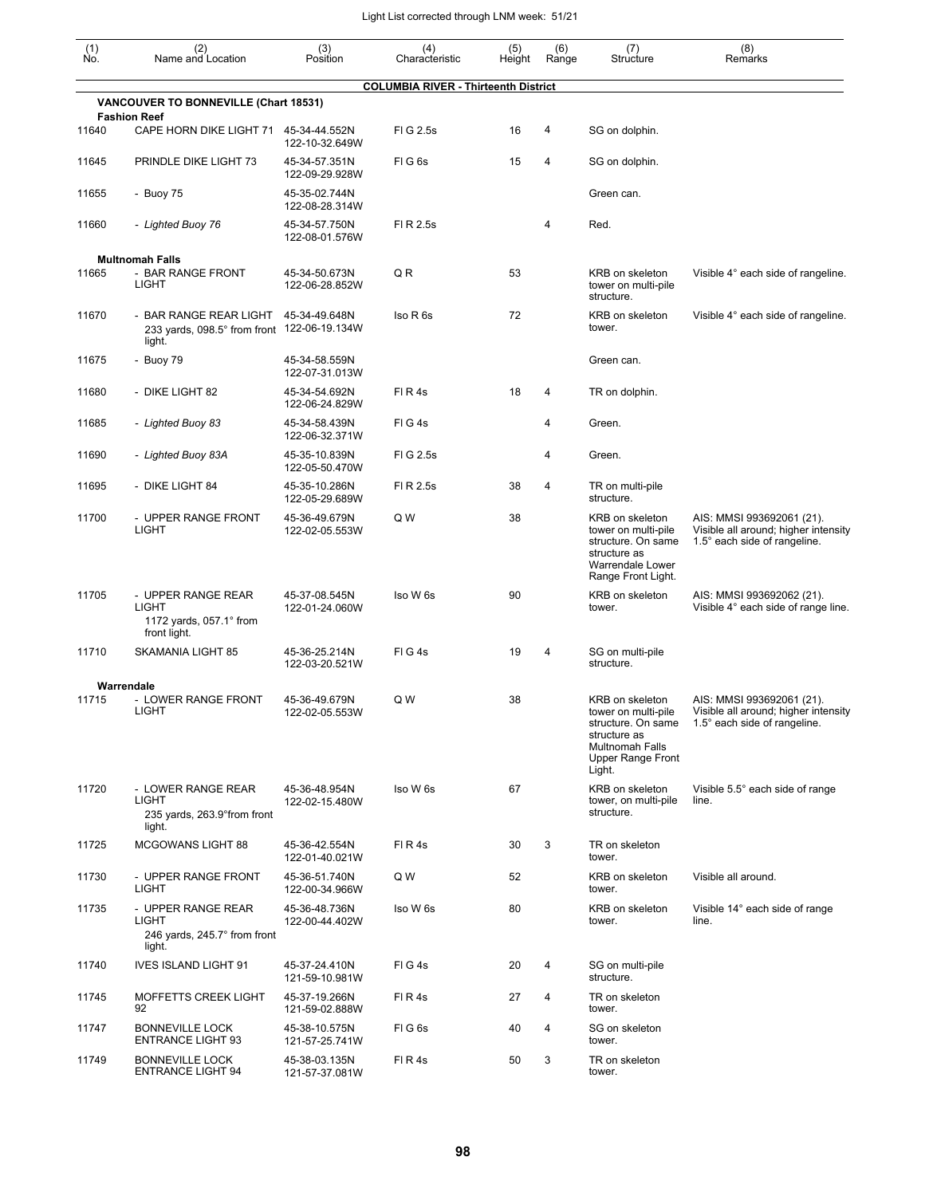| $\begin{smallmatrix} (1) \\ \mathsf{No} \end{smallmatrix}$ | (2)<br>Name and Location                                                        | (3)<br>Position                                   | (4)<br>Characteristic                       | (5)<br>Height | (6)<br>Range   | (7)<br>Structure                                                                                                               | (8)<br>Remarks                                                                                    |
|------------------------------------------------------------|---------------------------------------------------------------------------------|---------------------------------------------------|---------------------------------------------|---------------|----------------|--------------------------------------------------------------------------------------------------------------------------------|---------------------------------------------------------------------------------------------------|
|                                                            |                                                                                 |                                                   | <b>COLUMBIA RIVER - Thirteenth District</b> |               |                |                                                                                                                                |                                                                                                   |
|                                                            | VANCOUVER TO BONNEVILLE (Chart 18531)<br><b>Fashion Reef</b>                    |                                                   |                                             |               |                |                                                                                                                                |                                                                                                   |
| 11640                                                      | CAPE HORN DIKE LIGHT 71                                                         | 45-34-44.552N<br>122-10-32.649W                   | FIG 2.5s                                    | 16            | 4              | SG on dolphin.                                                                                                                 |                                                                                                   |
| 11645                                                      | PRINDLE DIKE LIGHT 73                                                           | 45-34-57.351N<br>122-09-29.928W                   | FIG <sub>6s</sub>                           | 15            | 4              | SG on dolphin.                                                                                                                 |                                                                                                   |
| 11655                                                      | - Buoy 75                                                                       | 45-35-02.744N<br>122-08-28.314W                   |                                             |               |                | Green can.                                                                                                                     |                                                                                                   |
| 11660                                                      | - Lighted Buoy 76                                                               | 45-34-57.750N<br>122-08-01.576W                   | FI R 2.5s                                   |               | 4              | Red.                                                                                                                           |                                                                                                   |
|                                                            | <b>Multnomah Falls</b>                                                          |                                                   |                                             |               |                |                                                                                                                                |                                                                                                   |
| 11665                                                      | - BAR RANGE FRONT<br><b>LIGHT</b>                                               | 45-34-50.673N<br>122-06-28.852W                   | QR                                          | 53            |                | KRB on skeleton<br>tower on multi-pile<br>structure.                                                                           | Visible 4° each side of rangeline.                                                                |
| 11670                                                      | - BAR RANGE REAR LIGHT<br>233 yards, 098.5° from front 122-06-19.134W<br>light. | 45-34-49.648N                                     | Iso R 6s                                    | 72            |                | KRB on skeleton<br>tower.                                                                                                      | Visible 4° each side of rangeline.                                                                |
| 11675                                                      | - Buoy 79                                                                       | 45-34-58.559N<br>122-07-31.013W                   |                                             |               |                | Green can.                                                                                                                     |                                                                                                   |
| 11680                                                      | - DIKE LIGHT 82                                                                 | 45-34-54.692N<br>122-06-24.829W                   | $FI$ R 4s                                   | 18            | 4              | TR on dolphin.                                                                                                                 |                                                                                                   |
| 11685                                                      | - Lighted Buoy 83                                                               | 45-34-58.439N<br>122-06-32.371W                   | FIG4s                                       |               | 4              | Green.                                                                                                                         |                                                                                                   |
| 11690                                                      | - Lighted Buoy 83A                                                              | 45-35-10.839N<br>122-05-50.470W                   | FIG 2.5s                                    |               | 4              | Green.                                                                                                                         |                                                                                                   |
| 11695                                                      | - DIKE LIGHT 84                                                                 | 45-35-10.286N<br>122-05-29.689W                   | FI R 2.5s                                   | 38            | 4              | TR on multi-pile<br>structure.                                                                                                 |                                                                                                   |
| 11700                                                      | - UPPER RANGE FRONT<br><b>LIGHT</b>                                             | 45-36-49.679N<br>122-02-05.553W                   | Q W                                         | 38            |                | KRB on skeleton<br>tower on multi-pile<br>structure. On same<br>structure as<br>Warrendale Lower<br>Range Front Light.         | AIS: MMSI 993692061 (21).<br>Visible all around; higher intensity<br>1.5° each side of rangeline. |
| 11705                                                      | - UPPER RANGE REAR<br>LIGHT<br>1172 yards, $057.1^\circ$ from<br>front light.   | 45-37-08.545N<br>122-01-24.060W                   | Iso W 6s                                    | 90            |                | <b>KRB</b> on skeleton<br>tower.                                                                                               | AIS: MMSI 993692062 (21).<br>Visible 4° each side of range line.                                  |
| 11710                                                      | <b>SKAMANIA LIGHT 85</b>                                                        | 45-36-25.214N<br>122-03-20.521W                   | FIG4s                                       | 19            | $\overline{4}$ | SG on multi-pile<br>structure.                                                                                                 |                                                                                                   |
|                                                            | Warrendale                                                                      |                                                   |                                             |               |                |                                                                                                                                |                                                                                                   |
| 11715                                                      | - LOWER RANGE FRONT<br>LIGHT                                                    | 45-36-49.679N<br>122-02-05.553W                   | Q W                                         | 38            |                | KRB on skeleton<br>tower on multi-pile<br>structure. On same<br>structure as<br>Multnomah Falls<br>Upper Range Front<br>Light. | AIS: MMSI 993692061 (21).<br>Visible all around; higher intensity<br>1.5° each side of rangeline. |
| 11720                                                      | - LOWER RANGE REAR<br>LIGHT<br>235 yards, 263.9° from front                     | 45-36-48.954N<br>122-02-15.480W                   | Iso W 6s                                    | 67            |                | KRB on skeleton<br>tower, on multi-pile<br>structure.                                                                          | Visible 5.5° each side of range<br>line.                                                          |
| 11725                                                      | light.<br><b>MCGOWANS LIGHT 88</b>                                              | 45-36-42.554N                                     | FIR4s                                       | 30            | 3              | TR on skeleton<br>tower.                                                                                                       |                                                                                                   |
| 11730                                                      | - UPPER RANGE FRONT<br>LIGHT                                                    | 122-01-40.021W<br>45-36-51.740N<br>122-00-34.966W | Q W                                         | 52            |                | KRB on skeleton<br>tower.                                                                                                      | Visible all around.                                                                               |
| 11735                                                      | - UPPER RANGE REAR<br>LIGHT<br>246 yards, 245.7° from front<br>light.           | 45-36-48.736N<br>122-00-44.402W                   | Iso W 6s                                    | 80            |                | KRB on skeleton<br>tower.                                                                                                      | Visible 14° each side of range<br>line.                                                           |
| 11740                                                      | <b>IVES ISLAND LIGHT 91</b>                                                     | 45-37-24.410N<br>121-59-10.981W                   | FIG4s                                       | 20            | 4              | SG on multi-pile<br>structure.                                                                                                 |                                                                                                   |
| 11745                                                      | MOFFETTS CREEK LIGHT<br>92                                                      | 45-37-19.266N<br>121-59-02.888W                   | FIR4s                                       | 27            | 4              | TR on skeleton<br>tower.                                                                                                       |                                                                                                   |
| 11747                                                      | <b>BONNEVILLE LOCK</b><br><b>ENTRANCE LIGHT 93</b>                              | 45-38-10.575N<br>121-57-25.741W                   | FIG6s                                       | 40            | 4              | SG on skeleton<br>tower.                                                                                                       |                                                                                                   |
| 11749                                                      | <b>BONNEVILLE LOCK</b><br><b>ENTRANCE LIGHT 94</b>                              | 45-38-03.135N<br>121-57-37.081W                   | FIR4s                                       | 50            | 3              | TR on skeleton<br>tower.                                                                                                       |                                                                                                   |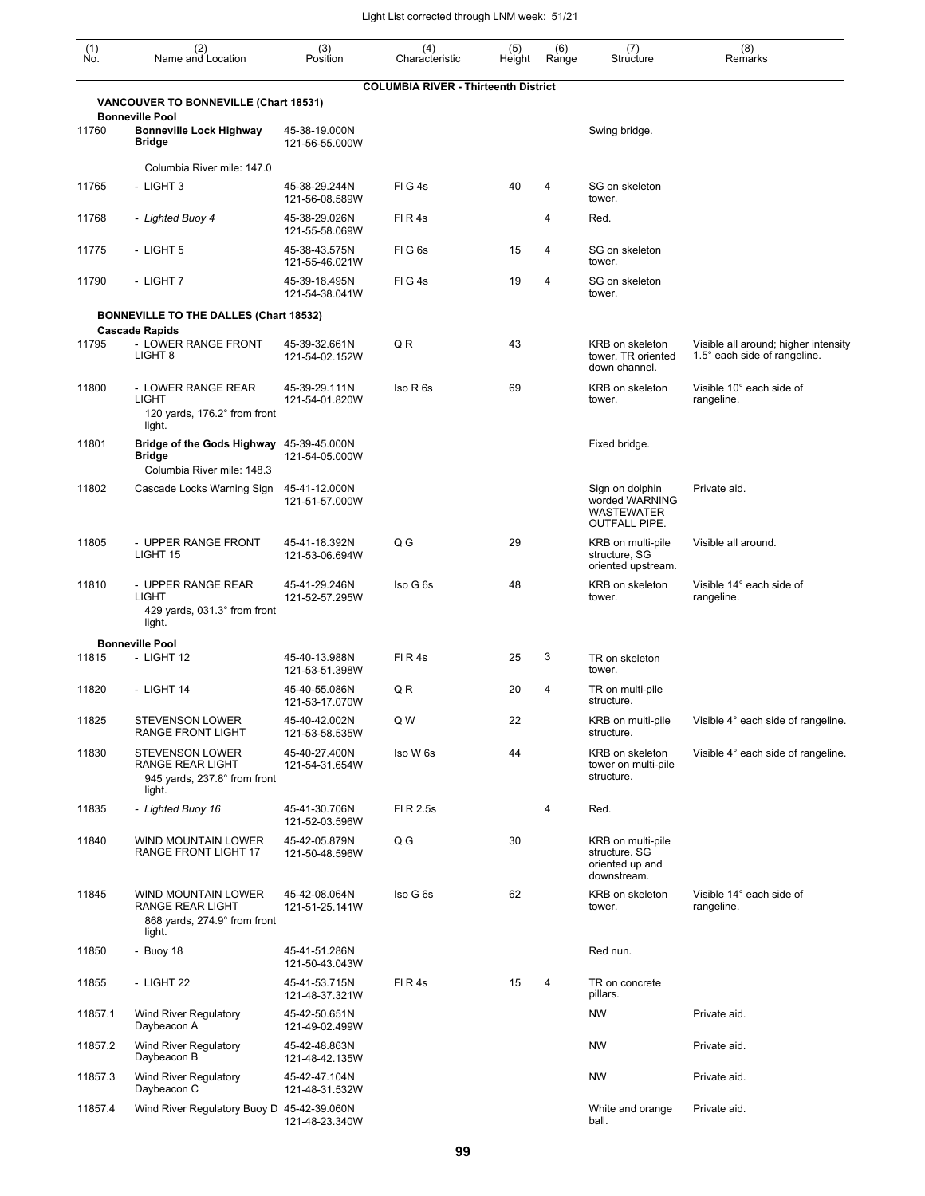| (1)<br>Ño. | (2)<br>Name and Location                                                                | (3)<br>Position                 | (4)<br>Characteristic                       | (5)<br>Height | (6)<br>Range   | (7)<br>Structure                                                               | (8)<br>Remarks                                                       |
|------------|-----------------------------------------------------------------------------------------|---------------------------------|---------------------------------------------|---------------|----------------|--------------------------------------------------------------------------------|----------------------------------------------------------------------|
|            |                                                                                         |                                 | <b>COLUMBIA RIVER - Thirteenth District</b> |               |                |                                                                                |                                                                      |
|            | VANCOUVER TO BONNEVILLE (Chart 18531)<br><b>Bonneville Pool</b>                         |                                 |                                             |               |                |                                                                                |                                                                      |
| 11760      | <b>Bonneville Lock Highway</b><br>Bridge                                                | 45-38-19.000N<br>121-56-55.000W |                                             |               |                | Swing bridge.                                                                  |                                                                      |
|            | Columbia River mile: 147.0                                                              |                                 |                                             |               |                |                                                                                |                                                                      |
| 11765      | - LIGHT 3                                                                               | 45-38-29.244N<br>121-56-08.589W | FIG4s                                       | 40            | 4              | SG on skeleton<br>tower.                                                       |                                                                      |
| 11768      | - Lighted Buoy 4                                                                        | 45-38-29.026N<br>121-55-58.069W | FIR <sub>4s</sub>                           |               | 4              | Red.                                                                           |                                                                      |
| 11775      | - LIGHT 5                                                                               | 45-38-43.575N<br>121-55-46.021W | FIG <sub>6s</sub>                           | 15            | 4              | SG on skeleton<br>tower.                                                       |                                                                      |
| 11790      | - LIGHT 7                                                                               | 45-39-18.495N<br>121-54-38.041W | FIG4s                                       | 19            | $\overline{4}$ | SG on skeleton<br>tower.                                                       |                                                                      |
|            | <b>BONNEVILLE TO THE DALLES (Chart 18532)</b>                                           |                                 |                                             |               |                |                                                                                |                                                                      |
|            | <b>Cascade Rapids</b>                                                                   |                                 |                                             |               |                |                                                                                |                                                                      |
| 11795      | - LOWER RANGE FRONT<br>LIGHT <sub>8</sub>                                               | 45-39-32.661N<br>121-54-02.152W | QR                                          | 43            |                | KRB on skeleton<br>tower, TR oriented<br>down channel.                         | Visible all around; higher intensity<br>1.5° each side of rangeline. |
| 11800      | - LOWER RANGE REAR<br>LIGHT<br>120 yards, 176.2° from front<br>light.                   | 45-39-29.111N<br>121-54-01.820W | Iso R 6s                                    | 69            |                | KRB on skeleton<br>tower.                                                      | Visible 10° each side of<br>rangeline.                               |
| 11801      | Bridge of the Gods Highway 45-39-45.000N<br><b>Bridge</b><br>Columbia River mile: 148.3 | 121-54-05.000W                  |                                             |               |                | Fixed bridge.                                                                  |                                                                      |
| 11802      | Cascade Locks Warning Sign                                                              | 45-41-12.000N<br>121-51-57.000W |                                             |               |                | Sign on dolphin<br>worded WARNING<br><b>WASTEWATER</b><br><b>OUTFALL PIPE.</b> | Private aid.                                                         |
| 11805      | - UPPER RANGE FRONT<br>LIGHT 15                                                         | 45-41-18.392N<br>121-53-06.694W | Q G                                         | 29            |                | KRB on multi-pile<br>structure, SG<br>oriented upstream.                       | Visible all around.                                                  |
| 11810      | - UPPER RANGE REAR<br>LIGHT<br>429 yards, 031.3° from front<br>light.                   | 45-41-29.246N<br>121-52-57.295W | Iso G 6s                                    | 48            |                | KRB on skeleton<br>tower.                                                      | Visible 14° each side of<br>rangeline.                               |
|            | <b>Bonneville Pool</b>                                                                  |                                 |                                             |               |                |                                                                                |                                                                      |
| 11815      | - LIGHT 12                                                                              | 45-40-13.988N<br>121-53-51.398W | FIR <sub>4s</sub>                           | 25            | 3              | TR on skeleton<br>tower.                                                       |                                                                      |
| 11820      | - LIGHT 14                                                                              | 45-40-55.086N<br>121-53-17.070W | QR                                          | 20            | 4              | TR on multi-pile<br>structure.                                                 |                                                                      |
| 11825      | STEVENSON LOWER<br><b>RANGE FRONT LIGHT</b>                                             | 45-40-42.002N<br>121-53-58.535W | Q W                                         | 22            |                | KRB on multi-pile<br>structure.                                                | Visible 4° each side of rangeline.                                   |
| 11830      | <b>STEVENSON LOWER</b><br>RANGE REAR LIGHT<br>945 yards, 237.8° from front<br>light.    | 45-40-27.400N<br>121-54-31.654W | Iso W 6s                                    | 44            |                | KRB on skeleton<br>tower on multi-pile<br>structure.                           | Visible 4° each side of rangeline.                                   |
| 11835      | - Lighted Buoy 16                                                                       | 45-41-30.706N<br>121-52-03.596W | FI R 2.5s                                   |               | 4              | Red.                                                                           |                                                                      |
| 11840      | WIND MOUNTAIN LOWER<br>RANGE FRONT LIGHT 17                                             | 45-42-05.879N<br>121-50-48.596W | $Q$ $G$                                     | 30            |                | KRB on multi-pile<br>structure. SG<br>oriented up and<br>downstream.           |                                                                      |
| 11845      | WIND MOUNTAIN LOWER<br>RANGE REAR LIGHT<br>868 yards, 274.9° from front<br>light.       | 45-42-08.064N<br>121-51-25.141W | Iso G 6s                                    | 62            |                | KRB on skeleton<br>tower.                                                      | Visible 14° each side of<br>rangeline.                               |
| 11850      | - Buoy 18                                                                               | 45-41-51.286N<br>121-50-43.043W |                                             |               |                | Red nun.                                                                       |                                                                      |
| 11855      | - LIGHT 22                                                                              | 45-41-53.715N<br>121-48-37.321W | FIR4s                                       | 15            | 4              | TR on concrete<br>pillars.                                                     |                                                                      |
| 11857.1    | <b>Wind River Regulatory</b><br>Daybeacon A                                             | 45-42-50.651N<br>121-49-02.499W |                                             |               |                | <b>NW</b>                                                                      | Private aid.                                                         |
| 11857.2    | <b>Wind River Regulatory</b><br>Daybeacon B                                             | 45-42-48.863N<br>121-48-42.135W |                                             |               |                | <b>NW</b>                                                                      | Private aid.                                                         |
| 11857.3    | <b>Wind River Regulatory</b><br>Daybeacon C                                             | 45-42-47.104N<br>121-48-31.532W |                                             |               |                | <b>NW</b>                                                                      | Private aid.                                                         |
| 11857.4    | Wind River Regulatory Buoy D 45-42-39.060N                                              | 121-48-23.340W                  |                                             |               |                | White and orange<br>ball.                                                      | Private aid.                                                         |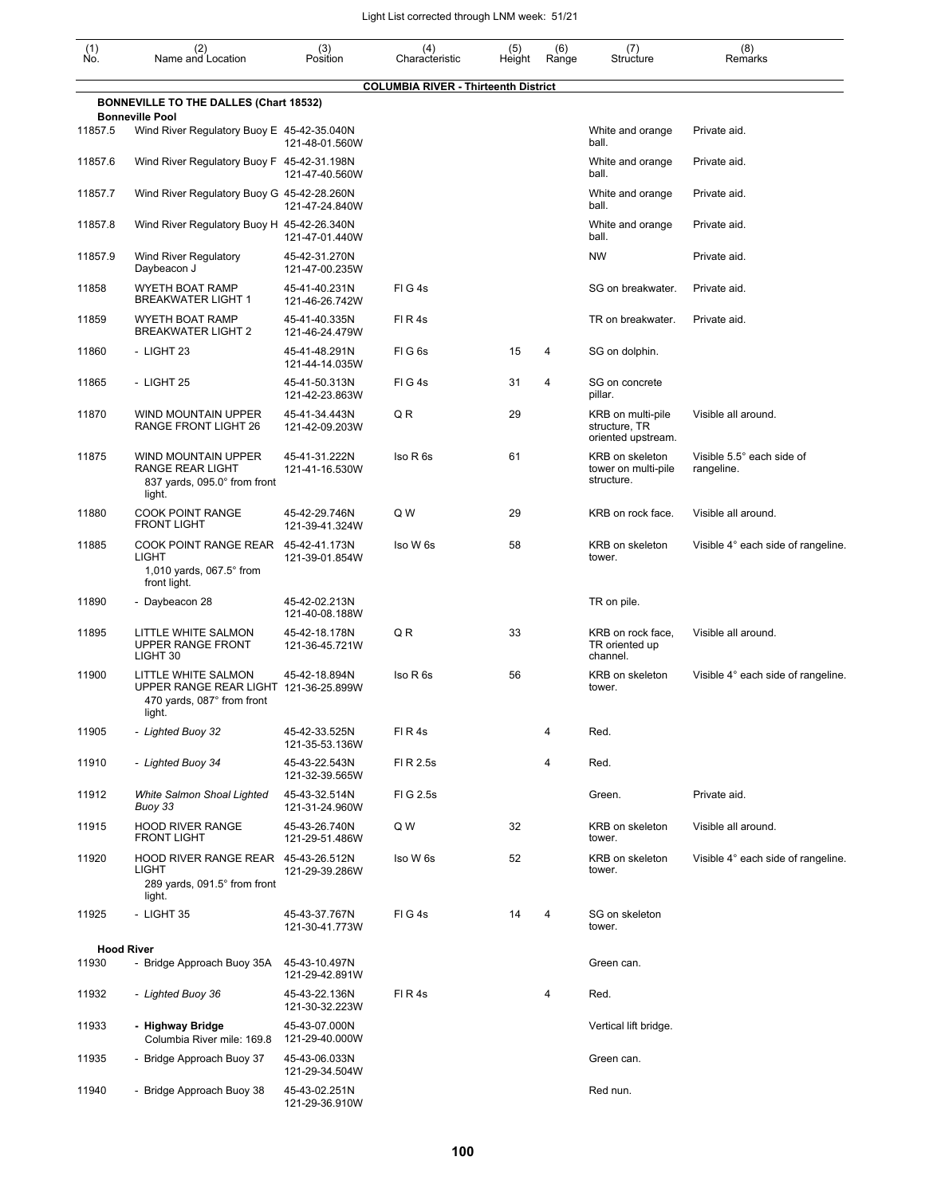| $\begin{smallmatrix} (1) \ N0. \end{smallmatrix}$ | (2)<br>Name and Location                                                                             | (3)<br>Position                 | (4)<br>Characteristic                       | (5)<br>Height | (6)<br>Range | (7)<br>Structure                                         | (8)<br>Remarks                          |
|---------------------------------------------------|------------------------------------------------------------------------------------------------------|---------------------------------|---------------------------------------------|---------------|--------------|----------------------------------------------------------|-----------------------------------------|
|                                                   |                                                                                                      |                                 | <b>COLUMBIA RIVER - Thirteenth District</b> |               |              |                                                          |                                         |
|                                                   | <b>BONNEVILLE TO THE DALLES (Chart 18532)</b><br><b>Bonneville Pool</b>                              |                                 |                                             |               |              |                                                          |                                         |
| 11857.5                                           | Wind River Regulatory Buoy E 45-42-35.040N                                                           | 121-48-01.560W                  |                                             |               |              | White and orange<br>ball.                                | Private aid.                            |
| 11857.6                                           | Wind River Regulatory Buoy F 45-42-31.198N                                                           | 121-47-40.560W                  |                                             |               |              | White and orange<br>ball.                                | Private aid.                            |
| 11857.7                                           | Wind River Regulatory Buoy G 45-42-28.260N                                                           | 121-47-24.840W                  |                                             |               |              | White and orange<br>ball.                                | Private aid.                            |
| 11857.8                                           | Wind River Regulatory Buoy H 45-42-26.340N                                                           | 121-47-01.440W                  |                                             |               |              | White and orange<br>ball.                                | Private aid.                            |
| 11857.9                                           | <b>Wind River Regulatory</b><br>Daybeacon J                                                          | 45-42-31.270N<br>121-47-00.235W |                                             |               |              | <b>NW</b>                                                | Private aid.                            |
| 11858                                             | WYETH BOAT RAMP<br><b>BREAKWATER LIGHT 1</b>                                                         | 45-41-40.231N<br>121-46-26.742W | FIG4s                                       |               |              | SG on breakwater.                                        | Private aid.                            |
| 11859                                             | WYETH BOAT RAMP<br><b>BREAKWATER LIGHT 2</b>                                                         | 45-41-40.335N<br>121-46-24.479W | FIR4s                                       |               |              | TR on breakwater.                                        | Private aid.                            |
| 11860                                             | - LIGHT 23                                                                                           | 45-41-48.291N<br>121-44-14.035W | FIG6s                                       | 15            | 4            | SG on dolphin.                                           |                                         |
| 11865                                             | - LIGHT 25                                                                                           | 45-41-50.313N<br>121-42-23.863W | FIG4s                                       | 31            | 4            | SG on concrete<br>pillar.                                |                                         |
| 11870                                             | WIND MOUNTAIN UPPER<br>RANGE FRONT LIGHT 26                                                          | 45-41-34.443N<br>121-42-09.203W | QR                                          | 29            |              | KRB on multi-pile<br>structure, TR<br>oriented upstream. | Visible all around.                     |
| 11875                                             | <b>WIND MOUNTAIN UPPER</b><br>RANGE REAR LIGHT<br>837 yards, 095.0° from front<br>light.             | 45-41-31.222N<br>121-41-16.530W | Iso R 6s                                    | 61            |              | KRB on skeleton<br>tower on multi-pile<br>structure.     | Visible 5.5° each side of<br>rangeline. |
| 11880                                             | <b>COOK POINT RANGE</b><br><b>FRONT LIGHT</b>                                                        | 45-42-29.746N<br>121-39-41.324W | Q W                                         | 29            |              | KRB on rock face.                                        | Visible all around.                     |
| 11885                                             | COOK POINT RANGE REAR<br>LIGHT<br>1,010 yards, 067.5° from<br>front light.                           | 45-42-41.173N<br>121-39-01.854W | Iso W 6s                                    | 58            |              | KRB on skeleton<br>tower.                                | Visible 4° each side of rangeline.      |
| 11890                                             | - Daybeacon 28                                                                                       | 45-42-02.213N<br>121-40-08.188W |                                             |               |              | TR on pile.                                              |                                         |
| 11895                                             | LITTLE WHITE SALMON<br>UPPER RANGE FRONT<br>LIGHT 30                                                 | 45-42-18.178N<br>121-36-45.721W | Q R                                         | 33            |              | KRB on rock face,<br>TR oriented up<br>channel.          | Visible all around.                     |
| 11900                                             | LITTLE WHITE SALMON<br>UPPER RANGE REAR LIGHT 121-36-25.899W<br>470 yards, 087° from front<br>light. | 45-42-18.894N                   | Iso R 6s                                    | 56            |              | KRB on skeleton<br>tower.                                | Visible 4° each side of rangeline.      |
| 11905                                             | - Lighted Buoy 32                                                                                    | 45-42-33.525N<br>121-35-53.136W | FIR4s                                       |               | 4            | Red.                                                     |                                         |
| 11910                                             | - Lighted Buoy 34                                                                                    | 45-43-22.543N<br>121-32-39.565W | FI R 2.5s                                   |               | 4            | Red.                                                     |                                         |
| 11912                                             | White Salmon Shoal Lighted<br>Buoy 33                                                                | 45-43-32.514N<br>121-31-24.960W | FI G 2.5s                                   |               |              | Green.                                                   | Private aid.                            |
| 11915                                             | <b>HOOD RIVER RANGE</b><br><b>FRONT LIGHT</b>                                                        | 45-43-26.740N<br>121-29-51.486W | Q W                                         | 32            |              | KRB on skeleton<br>tower.                                | Visible all around.                     |
| 11920                                             | HOOD RIVER RANGE REAR 45-43-26.512N<br>LIGHT<br>289 yards, 091.5° from front<br>light.               | 121-29-39.286W                  | Iso W 6s                                    | 52            |              | KRB on skeleton<br>tower.                                | Visible 4° each side of rangeline.      |
| 11925                                             | - LIGHT 35                                                                                           | 45-43-37.767N<br>121-30-41.773W | FIG4s                                       | 14            | 4            | SG on skeleton<br>tower.                                 |                                         |
|                                                   | <b>Hood River</b>                                                                                    |                                 |                                             |               |              |                                                          |                                         |
| 11930                                             | - Bridge Approach Buoy 35A                                                                           | 45-43-10.497N<br>121-29-42.891W |                                             |               |              | Green can.                                               |                                         |
| 11932                                             | - Lighted Buoy 36                                                                                    | 45-43-22.136N<br>121-30-32.223W | FIR4s                                       |               | 4            | Red.                                                     |                                         |
| 11933                                             | - Highway Bridge<br>Columbia River mile: 169.8                                                       | 45-43-07.000N<br>121-29-40.000W |                                             |               |              | Vertical lift bridge.                                    |                                         |
| 11935                                             | - Bridge Approach Buoy 37                                                                            | 45-43-06.033N<br>121-29-34.504W |                                             |               |              | Green can.                                               |                                         |
| 11940                                             | - Bridge Approach Buoy 38                                                                            | 45-43-02.251N                   |                                             |               |              | Red nun.                                                 |                                         |

121-29-36.910W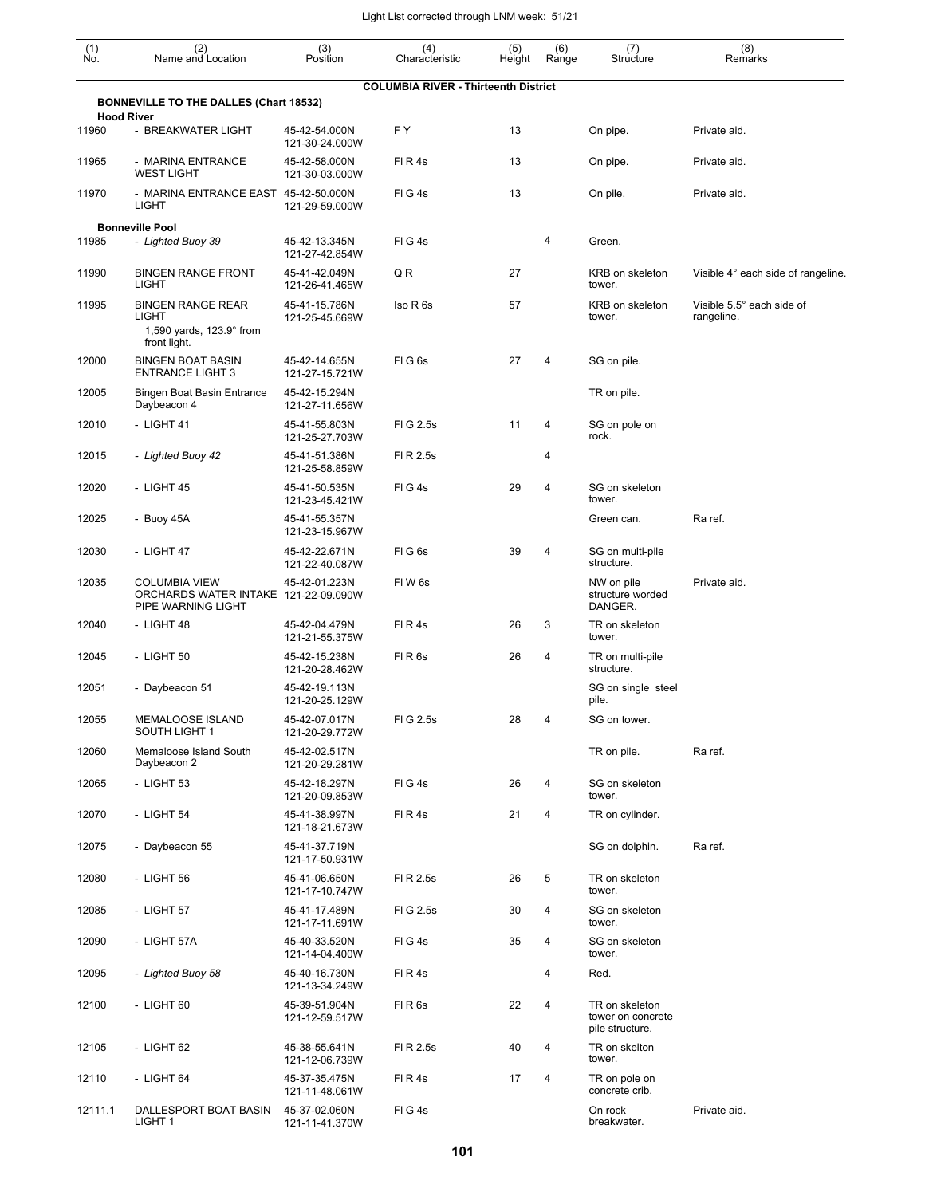| (1)<br>Ño. | (2)<br>Name and Location                                                                      | (3)<br>Position                 | (4)<br>Characteristic                       | (5)<br>Height | (6)<br>Range | (7)<br>Structure                                       | (8)<br>Remarks                          |
|------------|-----------------------------------------------------------------------------------------------|---------------------------------|---------------------------------------------|---------------|--------------|--------------------------------------------------------|-----------------------------------------|
|            |                                                                                               |                                 | <b>COLUMBIA RIVER - Thirteenth District</b> |               |              |                                                        |                                         |
|            | <b>BONNEVILLE TO THE DALLES (Chart 18532)</b>                                                 |                                 |                                             |               |              |                                                        |                                         |
| 11960      | <b>Hood River</b><br>- BREAKWATER LIGHT                                                       | 45-42-54.000N<br>121-30-24.000W | F Y                                         | 13            |              | On pipe.                                               | Private aid.                            |
| 11965      | - MARINA ENTRANCE<br><b>WEST LIGHT</b>                                                        | 45-42-58.000N<br>121-30-03.000W | FIR4s                                       | 13            |              | On pipe.                                               | Private aid.                            |
| 11970      | - MARINA ENTRANCE EAST 45-42-50.000N<br>LIGHT                                                 | 121-29-59.000W                  | FIG4s                                       | 13            |              | On pile.                                               | Private aid.                            |
|            | <b>Bonneville Pool</b>                                                                        |                                 |                                             |               |              |                                                        |                                         |
| 11985      | - Lighted Buoy 39                                                                             | 45-42-13.345N<br>121-27-42.854W | FIG4s                                       |               | 4            | Green.                                                 |                                         |
| 11990      | <b>BINGEN RANGE FRONT</b><br><b>LIGHT</b>                                                     | 45-41-42.049N<br>121-26-41.465W | QR                                          | 27            |              | KRB on skeleton<br>tower.                              | Visible 4° each side of rangeline.      |
| 11995      | <b>BINGEN RANGE REAR</b><br><b>LIGHT</b><br>1,590 yards, $123.9^{\circ}$ from<br>front light. | 45-41-15.786N<br>121-25-45.669W | Iso R 6s                                    | 57            |              | KRB on skeleton<br>tower.                              | Visible 5.5° each side of<br>rangeline. |
| 12000      | <b>BINGEN BOAT BASIN</b><br><b>ENTRANCE LIGHT 3</b>                                           | 45-42-14.655N<br>121-27-15.721W | FIG <sub>6s</sub>                           | 27            | 4            | SG on pile.                                            |                                         |
| 12005      | <b>Bingen Boat Basin Entrance</b><br>Daybeacon 4                                              | 45-42-15.294N<br>121-27-11.656W |                                             |               |              | TR on pile.                                            |                                         |
| 12010      | - LIGHT 41                                                                                    | 45-41-55.803N<br>121-25-27.703W | FIG 2.5s                                    | 11            | 4            | SG on pole on<br>rock.                                 |                                         |
| 12015      | - Lighted Buoy 42                                                                             | 45-41-51.386N<br>121-25-58.859W | FI R 2.5s                                   |               | 4            |                                                        |                                         |
| 12020      | - LIGHT 45                                                                                    | 45-41-50.535N<br>121-23-45.421W | FIG4s                                       | 29            | 4            | SG on skeleton<br>tower.                               |                                         |
| 12025      | - Buoy 45A                                                                                    | 45-41-55.357N<br>121-23-15.967W |                                             |               |              | Green can.                                             | Ra ref.                                 |
| 12030      | - LIGHT 47                                                                                    | 45-42-22.671N<br>121-22-40.087W | FIG <sub>6s</sub>                           | 39            | 4            | SG on multi-pile<br>structure.                         |                                         |
| 12035      | <b>COLUMBIA VIEW</b><br>ORCHARDS WATER INTAKE 121-22-09.090W<br>PIPE WARNING LIGHT            | 45-42-01.223N                   | FIW <sub>6s</sub>                           |               |              | NW on pile<br>structure worded<br>DANGER.              | Private aid.                            |
| 12040      | - LIGHT 48                                                                                    | 45-42-04.479N<br>121-21-55.375W | FIR4s                                       | 26            | 3            | TR on skeleton<br>tower.                               |                                         |
| 12045      | - LIGHT 50                                                                                    | 45-42-15.238N<br>121-20-28.462W | FIR <sub>6s</sub>                           | 26            | 4            | TR on multi-pile<br>structure.                         |                                         |
| 12051      | - Daybeacon 51                                                                                | 45-42-19.113N<br>121-20-25.129W |                                             |               |              | SG on single steel<br>pile.                            |                                         |
| 12055      | MEMALOOSE ISLAND<br>SOUTH LIGHT 1                                                             | 45-42-07.017N<br>121-20-29.772W | FIG 2.5s                                    | 28            | 4            | SG on tower.                                           |                                         |
| 12060      | Memaloose Island South<br>Daybeacon 2                                                         | 45-42-02.517N<br>121-20-29.281W |                                             |               |              | TR on pile.                                            | Ra ref.                                 |
| 12065      | - LIGHT 53                                                                                    | 45-42-18.297N<br>121-20-09.853W | FIG4s                                       | 26            | 4            | SG on skeleton<br>tower.                               |                                         |
| 12070      | - LIGHT 54                                                                                    | 45-41-38.997N<br>121-18-21.673W | FIR4s                                       | 21            | 4            | TR on cylinder.                                        |                                         |
| 12075      | - Daybeacon 55                                                                                | 45-41-37.719N<br>121-17-50.931W |                                             |               |              | SG on dolphin.                                         | Ra ref.                                 |
| 12080      | - LIGHT 56                                                                                    | 45-41-06.650N<br>121-17-10.747W | FI R 2.5s                                   | 26            | 5            | TR on skeleton<br>tower.                               |                                         |
| 12085      | - LIGHT 57                                                                                    | 45-41-17.489N<br>121-17-11.691W | FIG 2.5s                                    | 30            | 4            | SG on skeleton<br>tower.                               |                                         |
| 12090      | - LIGHT 57A                                                                                   | 45-40-33.520N<br>121-14-04.400W | FIG4s                                       | 35            | 4            | SG on skeleton<br>tower.                               |                                         |
| 12095      | - Lighted Buoy 58                                                                             | 45-40-16.730N<br>121-13-34.249W | FIR4s                                       |               | 4            | Red.                                                   |                                         |
| 12100      | - LIGHT 60                                                                                    | 45-39-51.904N<br>121-12-59.517W | FIR6s                                       | 22            | 4            | TR on skeleton<br>tower on concrete<br>pile structure. |                                         |
| 12105      | - LIGHT 62                                                                                    | 45-38-55.641N<br>121-12-06.739W | FI R 2.5s                                   | 40            | 4            | TR on skelton<br>tower.                                |                                         |
| 12110      | - LIGHT 64                                                                                    | 45-37-35.475N<br>121-11-48.061W | FIR4s                                       | 17            | 4            | TR on pole on<br>concrete crib.                        |                                         |
| 12111.1    | DALLESPORT BOAT BASIN<br>LIGHT 1                                                              | 45-37-02.060N<br>121-11-41.370W | FIG4s                                       |               |              | On rock<br>breakwater.                                 | Private aid.                            |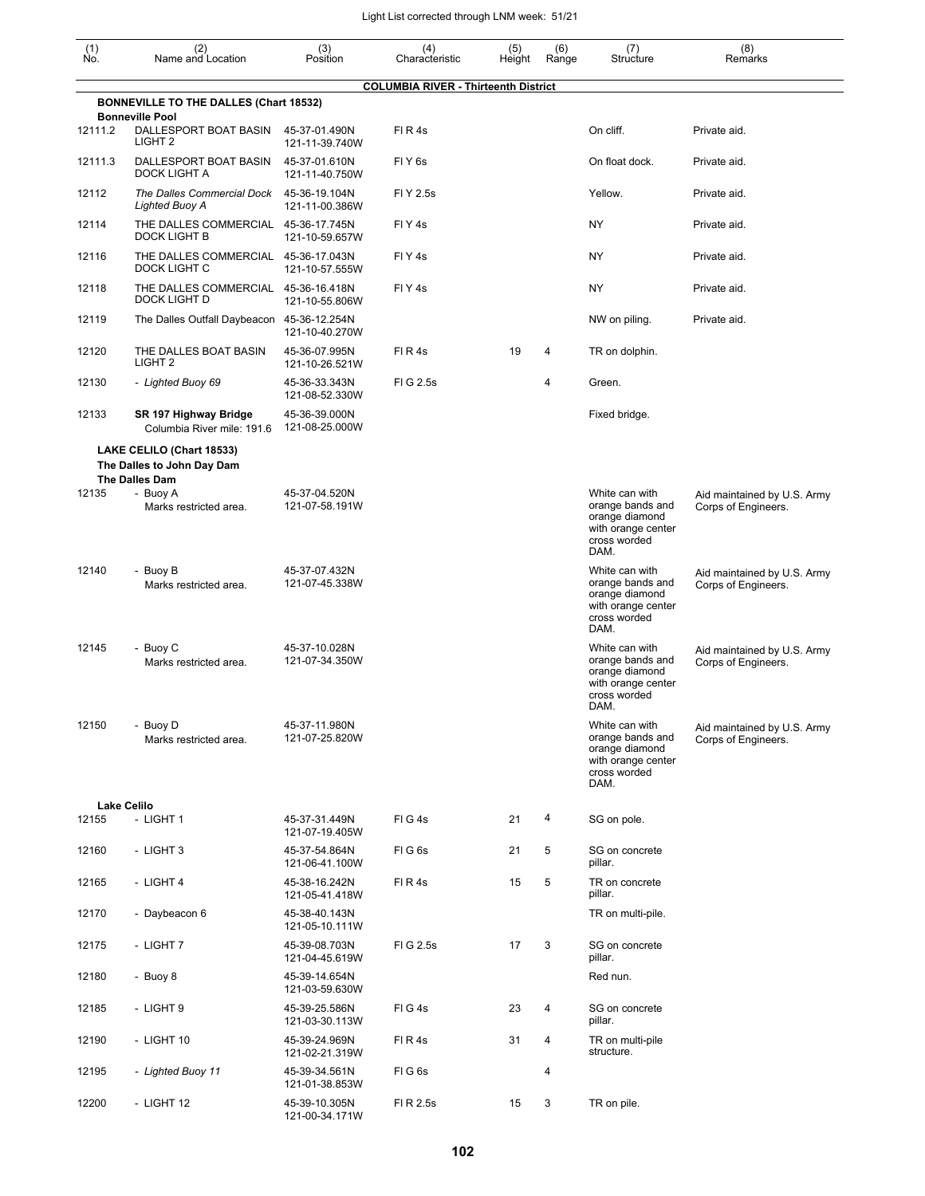| (1)<br>Ño. | (2)<br>Name and Location                                                         | (3)<br>Position                 | (4)<br>Characteristic                       | (5)<br>Height | (6)<br>Range | (7)<br>Structure                                                                                   | (8)<br>Remarks                                     |
|------------|----------------------------------------------------------------------------------|---------------------------------|---------------------------------------------|---------------|--------------|----------------------------------------------------------------------------------------------------|----------------------------------------------------|
|            | <b>BONNEVILLE TO THE DALLES (Chart 18532)</b>                                    |                                 | <b>COLUMBIA RIVER - Thirteenth District</b> |               |              |                                                                                                    |                                                    |
| 12111.2    | <b>Bonneville Pool</b><br>DALLESPORT BOAT BASIN                                  | 45-37-01.490N                   | FIR4s                                       |               |              | On cliff.                                                                                          | Private aid.                                       |
|            | LIGHT <sub>2</sub>                                                               | 121-11-39.740W                  |                                             |               |              |                                                                                                    |                                                    |
| 12111.3    | DALLESPORT BOAT BASIN<br>DOCK LIGHT A                                            | 45-37-01.610N<br>121-11-40.750W | FIY <sub>6s</sub>                           |               |              | On float dock.                                                                                     | Private aid.                                       |
| 12112      | The Dalles Commercial Dock<br>Lighted Buoy A                                     | 45-36-19.104N<br>121-11-00.386W | FI Y 2.5s                                   |               |              | Yellow.                                                                                            | Private aid.                                       |
| 12114      | THE DALLES COMMERCIAL 45-36-17.745N<br><b>DOCK LIGHT B</b>                       | 121-10-59.657W                  | FIY <sub>4s</sub>                           |               |              | <b>NY</b>                                                                                          | Private aid.                                       |
| 12116      | THE DALLES COMMERCIAL 45-36-17.043N<br>DOCK LIGHT C                              | 121-10-57.555W                  | FIY <sub>4s</sub>                           |               |              | <b>NY</b>                                                                                          | Private aid.                                       |
| 12118      | THE DALLES COMMERCIAL 45-36-16.418N<br>DOCK LIGHT D                              | 121-10-55.806W                  | FIY <sub>4s</sub>                           |               |              | NY                                                                                                 | Private aid.                                       |
| 12119      | The Dalles Outfall Daybeacon 45-36-12.254N                                       | 121-10-40.270W                  |                                             |               |              | NW on piling.                                                                                      | Private aid.                                       |
| 12120      | THE DALLES BOAT BASIN<br>LIGHT <sub>2</sub>                                      | 45-36-07.995N<br>121-10-26.521W | FIR4s                                       | 19            | 4            | TR on dolphin.                                                                                     |                                                    |
| 12130      | - Lighted Buoy 69                                                                | 45-36-33.343N<br>121-08-52.330W | FIG 2.5s                                    |               | 4            | Green.                                                                                             |                                                    |
| 12133      | SR 197 Highway Bridge<br>Columbia River mile: 191.6                              | 45-36-39.000N<br>121-08-25.000W |                                             |               |              | Fixed bridge.                                                                                      |                                                    |
|            | LAKE CELILO (Chart 18533)<br>The Dalles to John Day Dam<br><b>The Dalles Dam</b> |                                 |                                             |               |              |                                                                                                    |                                                    |
| 12135      | - Buoy A<br>Marks restricted area.                                               | 45-37-04.520N<br>121-07-58.191W |                                             |               |              | White can with<br>orange bands and<br>orange diamond<br>with orange center<br>cross worded<br>DAM. | Aid maintained by U.S. Army<br>Corps of Engineers. |
| 12140      | - Buoy B<br>Marks restricted area.                                               | 45-37-07.432N<br>121-07-45.338W |                                             |               |              | White can with<br>orange bands and<br>orange diamond<br>with orange center<br>cross worded<br>DAM. | Aid maintained by U.S. Army<br>Corps of Engineers. |
| 12145      | - Buoy C<br>Marks restricted area.                                               | 45-37-10.028N<br>121-07-34.350W |                                             |               |              | White can with<br>orange bands and<br>orange diamond<br>with orange center<br>cross worded<br>DAM. | Aid maintained by U.S. Army<br>Corps of Engineers. |
| 12150      | - Buoy D<br>Marks restricted area.                                               | 45-37-11.980N<br>121-07-25.820W |                                             |               |              | White can with<br>orange bands and<br>orange diamond<br>with orange center<br>cross worded<br>DAM. | Aid maintained by U.S. Army<br>Corps of Engineers. |
|            | <b>Lake Celilo</b>                                                               |                                 |                                             |               |              |                                                                                                    |                                                    |
| 12155      | - LIGHT 1                                                                        | 45-37-31.449N<br>121-07-19.405W | FIG4s                                       | 21            | 4            | SG on pole.                                                                                        |                                                    |
| 12160      | - LIGHT 3                                                                        | 45-37-54.864N<br>121-06-41.100W | FIG6s                                       | 21            | 5            | SG on concrete<br>pillar.                                                                          |                                                    |
| 12165      | - LIGHT 4                                                                        | 45-38-16.242N<br>121-05-41.418W | FIR4s                                       | 15            | 5            | TR on concrete<br>pillar.                                                                          |                                                    |
| 12170      | - Daybeacon 6                                                                    | 45-38-40.143N<br>121-05-10.111W |                                             |               |              | TR on multi-pile.                                                                                  |                                                    |
| 12175      | - LIGHT 7                                                                        | 45-39-08.703N<br>121-04-45.619W | FIG 2.5s                                    | 17            | 3            | SG on concrete<br>pillar.                                                                          |                                                    |
| 12180      | - Buoy 8                                                                         | 45-39-14.654N<br>121-03-59.630W |                                             |               |              | Red nun.                                                                                           |                                                    |
| 12185      | - LIGHT 9                                                                        | 45-39-25.586N<br>121-03-30.113W | FIG4s                                       | 23            | 4            | SG on concrete<br>pillar.                                                                          |                                                    |
| 12190      | - LIGHT 10                                                                       | 45-39-24.969N<br>121-02-21.319W | FIR4s                                       | 31            | 4            | TR on multi-pile<br>structure.                                                                     |                                                    |
| 12195      | - Lighted Buoy 11                                                                | 45-39-34.561N<br>121-01-38.853W | FIG6s                                       |               | 4            |                                                                                                    |                                                    |
| 12200      | - LIGHT 12                                                                       | 45-39-10.305N<br>121-00-34.171W | FI R 2.5s                                   | 15            | 3            | TR on pile.                                                                                        |                                                    |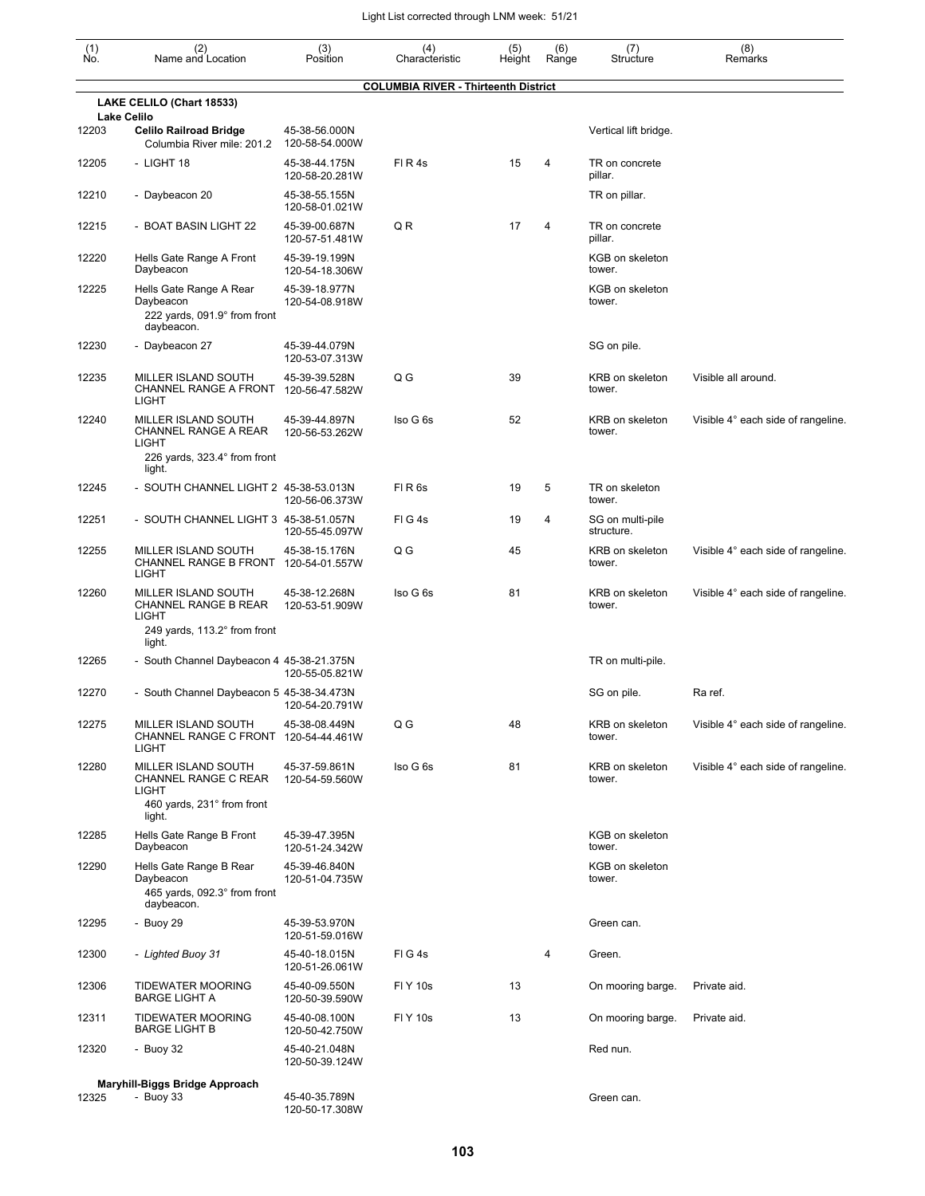| (1)<br>No. | (2)<br>Name and Location                                                                              | (3)<br>Position                 | (4)<br>Characteristic                       | (5)<br>Height | (6)<br>Range | (7)<br>Structure               | (8)<br>Remarks                     |
|------------|-------------------------------------------------------------------------------------------------------|---------------------------------|---------------------------------------------|---------------|--------------|--------------------------------|------------------------------------|
|            |                                                                                                       |                                 | <b>COLUMBIA RIVER - Thirteenth District</b> |               |              |                                |                                    |
|            | LAKE CELILO (Chart 18533)<br><b>Lake Celilo</b>                                                       |                                 |                                             |               |              |                                |                                    |
| 12203      | <b>Celilo Railroad Bridge</b><br>Columbia River mile: 201.2                                           | 45-38-56.000N<br>120-58-54.000W |                                             |               |              | Vertical lift bridge.          |                                    |
| 12205      | - LIGHT 18                                                                                            | 45-38-44.175N<br>120-58-20.281W | FIR4s                                       | 15            | 4            | TR on concrete<br>pillar.      |                                    |
| 12210      | - Daybeacon 20                                                                                        | 45-38-55.155N<br>120-58-01.021W |                                             |               |              | TR on pillar.                  |                                    |
| 12215      | - BOAT BASIN LIGHT 22                                                                                 | 45-39-00.687N<br>120-57-51.481W | Q R                                         | 17            | 4            | TR on concrete<br>pillar.      |                                    |
| 12220      | Hells Gate Range A Front<br>Daybeacon                                                                 | 45-39-19.199N<br>120-54-18.306W |                                             |               |              | KGB on skeleton<br>tower.      |                                    |
| 12225      | Hells Gate Range A Rear<br>Daybeacon<br>222 yards, 091.9° from front<br>daybeacon.                    | 45-39-18.977N<br>120-54-08.918W |                                             |               |              | KGB on skeleton<br>tower.      |                                    |
| 12230      | - Daybeacon 27                                                                                        | 45-39-44.079N<br>120-53-07.313W |                                             |               |              | SG on pile.                    |                                    |
| 12235      | MILLER ISLAND SOUTH<br>CHANNEL RANGE A FRONT<br><b>LIGHT</b>                                          | 45-39-39.528N<br>120-56-47.582W | Q G                                         | 39            |              | KRB on skeleton<br>tower.      | Visible all around.                |
| 12240      | MILLER ISLAND SOUTH<br>CHANNEL RANGE A REAR<br><b>LIGHT</b><br>226 yards, 323.4° from front<br>light. | 45-39-44.897N<br>120-56-53.262W | Iso G 6s                                    | 52            |              | KRB on skeleton<br>tower.      | Visible 4° each side of rangeline. |
| 12245      | - SOUTH CHANNEL LIGHT 2 45-38-53.013N                                                                 | 120-56-06.373W                  | FIR6s                                       | 19            | 5            | TR on skeleton<br>tower.       |                                    |
| 12251      | - SOUTH CHANNEL LIGHT 3 45-38-51.057N                                                                 | 120-55-45.097W                  | FIG4s                                       | 19            | 4            | SG on multi-pile<br>structure. |                                    |
| 12255      | MILLER ISLAND SOUTH<br>CHANNEL RANGE B FRONT 120-54-01.557W<br><b>LIGHT</b>                           | 45-38-15.176N                   | Q G                                         | 45            |              | KRB on skeleton<br>tower.      | Visible 4° each side of rangeline. |
| 12260      | MILLER ISLAND SOUTH<br>CHANNEL RANGE B REAR<br><b>LIGHT</b><br>249 yards, 113.2° from front<br>light. | 45-38-12.268N<br>120-53-51.909W | Iso G 6s                                    | 81            |              | KRB on skeleton<br>tower.      | Visible 4° each side of rangeline. |
| 12265      | - South Channel Daybeacon 4 45-38-21.375N                                                             | 120-55-05.821W                  |                                             |               |              | TR on multi-pile.              |                                    |
| 12270      | - South Channel Daybeacon 5 45-38-34.473N                                                             | 120-54-20.791W                  |                                             |               |              | SG on pile.                    | Ra ref.                            |
| 12275      | MILLER ISLAND SOUTH<br>CHANNEL RANGE C FRONT<br>LIGHT                                                 | 45-38-08.449N<br>120-54-44.461W | Q G                                         | 48            |              | KRB on skeleton<br>tower.      | Visible 4° each side of rangeline. |
| 12280      | MILLER ISLAND SOUTH<br>CHANNEL RANGE C REAR<br>LIGHT<br>460 yards, 231° from front<br>light.          | 45-37-59.861N<br>120-54-59.560W | Iso G 6s                                    | 81            |              | KRB on skeleton<br>tower.      | Visible 4° each side of rangeline. |
| 12285      | Hells Gate Range B Front<br>Daybeacon                                                                 | 45-39-47.395N<br>120-51-24.342W |                                             |               |              | KGB on skeleton<br>tower.      |                                    |
| 12290      | Hells Gate Range B Rear<br>Daybeacon<br>465 yards, 092.3° from front<br>daybeacon.                    | 45-39-46.840N<br>120-51-04.735W |                                             |               |              | KGB on skeleton<br>tower.      |                                    |
| 12295      | - Buoy 29                                                                                             | 45-39-53.970N<br>120-51-59.016W |                                             |               |              | Green can.                     |                                    |
| 12300      | - Lighted Buoy 31                                                                                     | 45-40-18.015N<br>120-51-26.061W | FIG4s                                       |               | 4            | Green.                         |                                    |
| 12306      | <b>TIDEWATER MOORING</b><br><b>BARGE LIGHT A</b>                                                      | 45-40-09.550N<br>120-50-39.590W | <b>FIY 10s</b>                              | 13            |              | On mooring barge.              | Private aid.                       |
| 12311      | <b>TIDEWATER MOORING</b><br><b>BARGE LIGHT B</b>                                                      | 45-40-08.100N<br>120-50-42.750W | <b>FIY 10s</b>                              | 13            |              | On mooring barge.              | Private aid.                       |
| 12320      | - Buoy 32                                                                                             | 45-40-21.048N<br>120-50-39.124W |                                             |               |              | Red nun.                       |                                    |
|            | Maryhill-Biggs Bridge Approach                                                                        |                                 |                                             |               |              |                                |                                    |
| 12325      | - Buoy 33                                                                                             | 45-40-35.789N<br>120-50-17.308W |                                             |               |              | Green can.                     |                                    |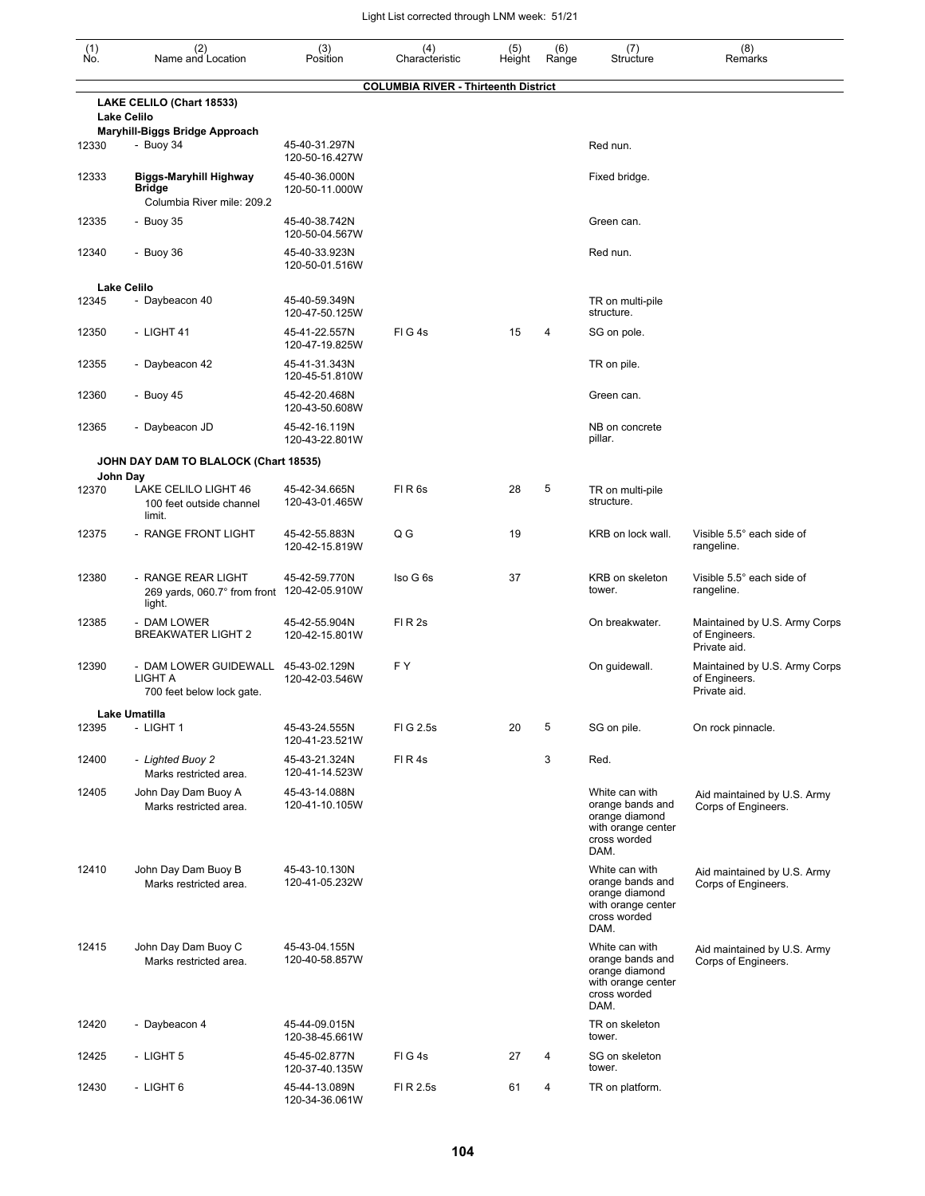| $\begin{smallmatrix} (1) \\ \mathsf{No} \end{smallmatrix}$ | (2)<br>Name and Location                                                     | (3)<br>Position                                   | (4)<br>Characteristic                       | (5)<br>Height | (6)<br>Range | (7)<br>Structure                                                                                   | (8)<br>Remarks                                                 |
|------------------------------------------------------------|------------------------------------------------------------------------------|---------------------------------------------------|---------------------------------------------|---------------|--------------|----------------------------------------------------------------------------------------------------|----------------------------------------------------------------|
|                                                            |                                                                              |                                                   | <b>COLUMBIA RIVER - Thirteenth District</b> |               |              |                                                                                                    |                                                                |
|                                                            | LAKE CELILO (Chart 18533)<br><b>Lake Celilo</b>                              |                                                   |                                             |               |              |                                                                                                    |                                                                |
| 12330                                                      | Maryhill-Biggs Bridge Approach<br>- Buoy 34                                  | 45-40-31.297N<br>120-50-16.427W                   |                                             |               |              | Red nun.                                                                                           |                                                                |
| 12333                                                      | <b>Biggs-Maryhill Highway</b><br><b>Bridge</b><br>Columbia River mile: 209.2 | 45-40-36.000N<br>120-50-11.000W                   |                                             |               |              | Fixed bridge.                                                                                      |                                                                |
| 12335                                                      | - Buoy 35                                                                    | 45-40-38.742N                                     |                                             |               |              | Green can.                                                                                         |                                                                |
| 12340                                                      | - Buoy 36                                                                    | 120-50-04.567W<br>45-40-33.923N<br>120-50-01.516W |                                             |               |              | Red nun.                                                                                           |                                                                |
|                                                            | <b>Lake Celilo</b>                                                           |                                                   |                                             |               |              |                                                                                                    |                                                                |
| 12345                                                      | - Daybeacon 40                                                               | 45-40-59.349N<br>120-47-50.125W                   |                                             |               |              | TR on multi-pile<br>structure.                                                                     |                                                                |
| 12350                                                      | - LIGHT 41                                                                   | 45-41-22.557N<br>120-47-19.825W                   | FIG4s                                       | 15            | 4            | SG on pole.                                                                                        |                                                                |
| 12355                                                      | - Daybeacon 42                                                               | 45-41-31.343N<br>120-45-51.810W                   |                                             |               |              | TR on pile.                                                                                        |                                                                |
| 12360                                                      | - Buoy 45                                                                    | 45-42-20.468N<br>120-43-50.608W                   |                                             |               |              | Green can.                                                                                         |                                                                |
| 12365                                                      | - Daybeacon JD                                                               | 45-42-16.119N<br>120-43-22.801W                   |                                             |               |              | NB on concrete<br>pillar.                                                                          |                                                                |
|                                                            | JOHN DAY DAM TO BLALOCK (Chart 18535)                                        |                                                   |                                             |               |              |                                                                                                    |                                                                |
| 12370                                                      | John Day<br>LAKE CELILO LIGHT 46<br>100 feet outside channel<br>limit.       | 45-42-34.665N<br>120-43-01.465W                   | FIR <sub>6s</sub>                           | 28            | 5            | TR on multi-pile<br>structure.                                                                     |                                                                |
| 12375                                                      | - RANGE FRONT LIGHT                                                          | 45-42-55.883N<br>120-42-15.819W                   | Q G                                         | 19            |              | KRB on lock wall.                                                                                  | Visible 5.5° each side of<br>rangeline.                        |
| 12380                                                      | - RANGE REAR LIGHT<br>269 yards, 060.7° from front 120-42-05.910W<br>light.  | 45-42-59.770N                                     | Iso G 6s                                    | 37            |              | KRB on skeleton<br>tower.                                                                          | Visible 5.5° each side of<br>rangeline.                        |
| 12385                                                      | - DAM LOWER<br><b>BREAKWATER LIGHT 2</b>                                     | 45-42-55.904N<br>120-42-15.801W                   | FIR <sub>2s</sub>                           |               |              | On breakwater.                                                                                     | Maintained by U.S. Army Corps<br>of Engineers.<br>Private aid. |
| 12390                                                      | - DAM LOWER GUIDEWALL<br>LIGHT A<br>700 feet below lock gate.                | 45-43-02.129N<br>120-42-03.546W                   | F Y                                         |               |              | On guidewall.                                                                                      | Maintained by U.S. Army Corps<br>of Engineers.<br>Private aid. |
|                                                            | Lake Umatilla                                                                |                                                   |                                             |               |              |                                                                                                    |                                                                |
| 12395                                                      | - LIGHT 1                                                                    | 45-43-24.555N<br>120-41-23.521W                   | FIG 2.5s                                    | 20            | 5            | SG on pile.                                                                                        | On rock pinnacle.                                              |
| 12400                                                      | - Lighted Buoy 2<br>Marks restricted area.                                   | 45-43-21.324N<br>120-41-14.523W                   | FIR4s                                       |               | 3            | Red.                                                                                               |                                                                |
| 12405                                                      | John Day Dam Buoy A<br>Marks restricted area.                                | 45-43-14.088N<br>120-41-10.105W                   |                                             |               |              | White can with<br>orange bands and<br>orange diamond<br>with orange center<br>cross worded<br>DAM. | Aid maintained by U.S. Army<br>Corps of Engineers.             |
| 12410                                                      | John Day Dam Buoy B<br>Marks restricted area.                                | 45-43-10.130N<br>120-41-05.232W                   |                                             |               |              | White can with<br>orange bands and<br>orange diamond<br>with orange center<br>cross worded<br>DAM. | Aid maintained by U.S. Army<br>Corps of Engineers.             |
| 12415                                                      | John Day Dam Buoy C<br>Marks restricted area.                                | 45-43-04.155N<br>120-40-58.857W                   |                                             |               |              | White can with<br>orange bands and<br>orange diamond<br>with orange center<br>cross worded<br>DAM. | Aid maintained by U.S. Army<br>Corps of Engineers.             |
| 12420                                                      | - Daybeacon 4                                                                | 45-44-09.015N<br>120-38-45.661W                   |                                             |               |              | TR on skeleton<br>tower.                                                                           |                                                                |
| 12425                                                      | - LIGHT 5                                                                    | 45-45-02.877N<br>120-37-40.135W                   | FIG4s                                       | 27            | 4            | SG on skeleton<br>tower.                                                                           |                                                                |
| 12430                                                      | - LIGHT 6                                                                    | 45-44-13.089N<br>120-34-36.061W                   | FI R 2.5s                                   | 61            | 4            | TR on platform.                                                                                    |                                                                |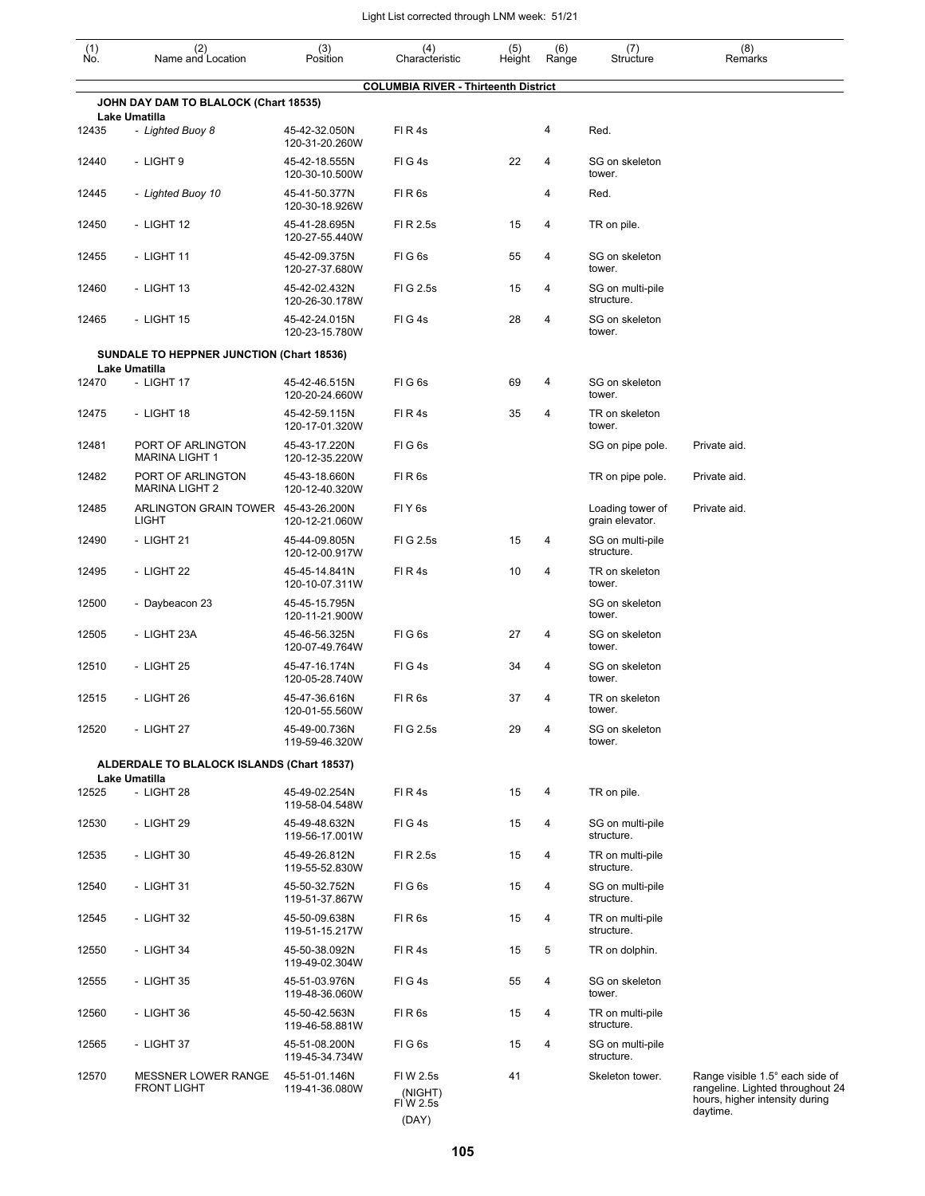| (1)<br>No. | (2)<br>Name and Location                               | (3)<br>Position                 | (4)<br>Characteristic                       | (5)<br>Height | (6)<br>Range   | (7)<br>Structure                    | (8)<br>Remarks                                                                                                    |
|------------|--------------------------------------------------------|---------------------------------|---------------------------------------------|---------------|----------------|-------------------------------------|-------------------------------------------------------------------------------------------------------------------|
|            |                                                        |                                 | <b>COLUMBIA RIVER - Thirteenth District</b> |               |                |                                     |                                                                                                                   |
|            | JOHN DAY DAM TO BLALOCK (Chart 18535)<br>Lake Umatilla |                                 |                                             |               |                |                                     |                                                                                                                   |
| 12435      | - Lighted Buoy 8                                       | 45-42-32.050N<br>120-31-20.260W | FIR4s                                       |               | 4              | Red.                                |                                                                                                                   |
| 12440      | - LIGHT 9                                              | 45-42-18.555N<br>120-30-10.500W | FIG4s                                       | 22            | $\overline{4}$ | SG on skeleton<br>tower.            |                                                                                                                   |
| 12445      | - Lighted Buoy 10                                      | 45-41-50.377N<br>120-30-18.926W | FIR <sub>6s</sub>                           |               | 4              | Red.                                |                                                                                                                   |
| 12450      | - LIGHT 12                                             | 45-41-28.695N<br>120-27-55.440W | FI R 2.5s                                   | 15            | 4              | TR on pile.                         |                                                                                                                   |
| 12455      | - LIGHT 11                                             | 45-42-09.375N<br>120-27-37.680W | FIG <sub>6s</sub>                           | 55            | 4              | SG on skeleton<br>tower.            |                                                                                                                   |
| 12460      | - LIGHT 13                                             | 45-42-02.432N<br>120-26-30.178W | FIG 2.5s                                    | 15            | 4              | SG on multi-pile<br>structure.      |                                                                                                                   |
| 12465      | - LIGHT 15                                             | 45-42-24.015N<br>120-23-15.780W | FIG4s                                       | 28            | 4              | SG on skeleton<br>tower.            |                                                                                                                   |
|            | <b>SUNDALE TO HEPPNER JUNCTION (Chart 18536)</b>       |                                 |                                             |               |                |                                     |                                                                                                                   |
| 12470      | Lake Umatilla<br>- LIGHT 17                            | 45-42-46.515N<br>120-20-24.660W | FIG6s                                       | 69            | 4              | SG on skeleton<br>tower.            |                                                                                                                   |
| 12475      | - LIGHT 18                                             | 45-42-59.115N<br>120-17-01.320W | FI R 4s                                     | 35            | 4              | TR on skeleton<br>tower.            |                                                                                                                   |
| 12481      | PORT OF ARLINGTON<br><b>MARINA LIGHT 1</b>             | 45-43-17.220N<br>120-12-35.220W | FIG6s                                       |               |                | SG on pipe pole.                    | Private aid.                                                                                                      |
| 12482      | PORT OF ARLINGTON<br><b>MARINA LIGHT 2</b>             | 45-43-18.660N<br>120-12-40.320W | FIR <sub>6s</sub>                           |               |                | TR on pipe pole.                    | Private aid.                                                                                                      |
| 12485      | ARLINGTON GRAIN TOWER 45-43-26.200N<br>LIGHT           | 120-12-21.060W                  | FIY <sub>6s</sub>                           |               |                | Loading tower of<br>grain elevator. | Private aid.                                                                                                      |
| 12490      | - LIGHT 21                                             | 45-44-09.805N<br>120-12-00.917W | FIG 2.5s                                    | 15            | 4              | SG on multi-pile<br>structure.      |                                                                                                                   |
| 12495      | - LIGHT 22                                             | 45-45-14.841N<br>120-10-07.311W | FIR4s                                       | 10            | 4              | TR on skeleton<br>tower.            |                                                                                                                   |
| 12500      | - Daybeacon 23                                         | 45-45-15.795N<br>120-11-21.900W |                                             |               |                | SG on skeleton<br>tower.            |                                                                                                                   |
| 12505      | - LIGHT 23A                                            | 45-46-56.325N<br>120-07-49.764W | FIG6s                                       | 27            | 4              | SG on skeleton<br>tower.            |                                                                                                                   |
| 12510      | - LIGHT 25                                             | 45-47-16.174N<br>120-05-28.740W | FIG4s                                       | 34            | 4              | SG on skeleton<br>tower.            |                                                                                                                   |
| 12515      | - LIGHT 26                                             | 45-47-36.616N<br>120-01-55.560W | FIR <sub>6s</sub>                           | 37            | 4              | TR on skeleton<br>tower.            |                                                                                                                   |
| 12520      | - LIGHT 27                                             | 45-49-00.736N<br>119-59-46.320W | FIG 2.5s                                    | 29            | 4              | SG on skeleton<br>tower.            |                                                                                                                   |
|            | ALDERDALE TO BLALOCK ISLANDS (Chart 18537)             |                                 |                                             |               |                |                                     |                                                                                                                   |
| 12525      | Lake Umatilla<br>- LIGHT 28                            | 45-49-02.254N<br>119-58-04.548W | FIR4s                                       | 15            | 4              | TR on pile.                         |                                                                                                                   |
| 12530      | - LIGHT 29                                             | 45-49-48.632N<br>119-56-17.001W | FIG4s                                       | 15            | 4              | SG on multi-pile<br>structure.      |                                                                                                                   |
| 12535      | - LIGHT 30                                             | 45-49-26.812N<br>119-55-52.830W | FI R 2.5s                                   | 15            | 4              | TR on multi-pile<br>structure.      |                                                                                                                   |
| 12540      | - LIGHT 31                                             | 45-50-32.752N<br>119-51-37.867W | FIG <sub>6s</sub>                           | 15            | 4              | SG on multi-pile<br>structure.      |                                                                                                                   |
| 12545      | - LIGHT 32                                             | 45-50-09.638N<br>119-51-15.217W | FIR <sub>6s</sub>                           | 15            | 4              | TR on multi-pile<br>structure.      |                                                                                                                   |
| 12550      | - LIGHT 34                                             | 45-50-38.092N<br>119-49-02.304W | FIR4s                                       | 15            | 5              | TR on dolphin.                      |                                                                                                                   |
| 12555      | - LIGHT 35                                             | 45-51-03.976N<br>119-48-36.060W | FIG4s                                       | 55            | 4              | SG on skeleton<br>tower.            |                                                                                                                   |
| 12560      | - LIGHT 36                                             | 45-50-42.563N<br>119-46-58.881W | FIR <sub>6s</sub>                           | 15            | 4              | TR on multi-pile<br>structure.      |                                                                                                                   |
| 12565      | - LIGHT 37                                             | 45-51-08.200N<br>119-45-34.734W | FIG6s                                       | 15            | 4              | SG on multi-pile<br>structure.      |                                                                                                                   |
| 12570      | <b>MESSNER LOWER RANGE</b><br><b>FRONT LIGHT</b>       | 45-51-01.146N<br>119-41-36.080W | FI W 2.5s<br>(NIGHT)<br>FIW 2.5s<br>(DAY)   | 41            |                | Skeleton tower.                     | Range visible 1.5° each side of<br>rangeline. Lighted throughout 24<br>hours, higher intensity during<br>daytime. |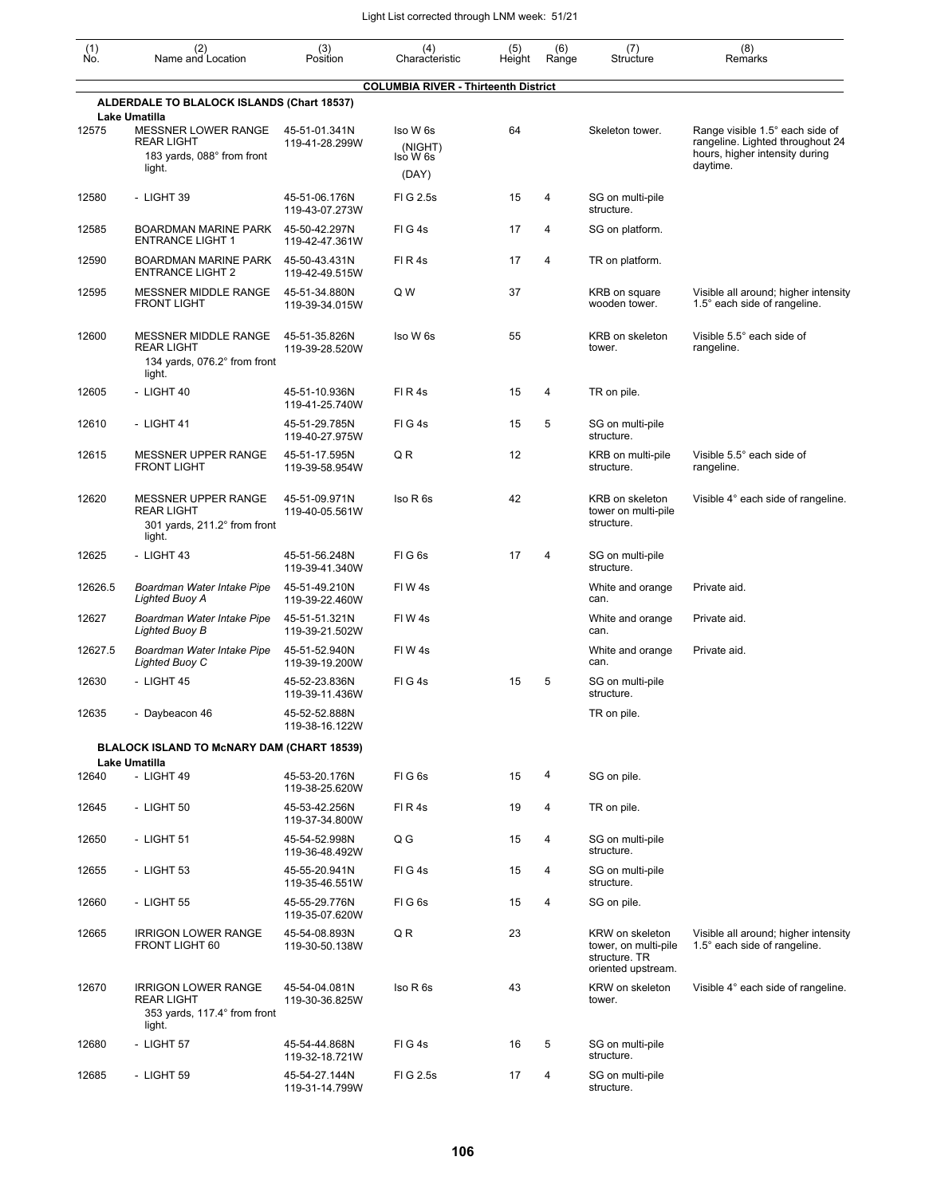| (1)<br>Ño. | (2)<br>Name and Location                                                                         | (3)<br>Position                 | (4)<br>Characteristic                       | (5)<br>Height | (6)<br>Range   | (7)<br>Structure                                                               | (8)<br>Remarks                                                                                                    |
|------------|--------------------------------------------------------------------------------------------------|---------------------------------|---------------------------------------------|---------------|----------------|--------------------------------------------------------------------------------|-------------------------------------------------------------------------------------------------------------------|
|            |                                                                                                  |                                 | <b>COLUMBIA RIVER - Thirteenth District</b> |               |                |                                                                                |                                                                                                                   |
|            | <b>ALDERDALE TO BLALOCK ISLANDS (Chart 18537)</b><br><b>Lake Umatilla</b>                        |                                 |                                             |               |                |                                                                                |                                                                                                                   |
| 12575      | MESSNER LOWER RANGE<br><b>REAR LIGHT</b><br>183 yards, 088° from front<br>light.                 | 45-51-01.341N<br>119-41-28.299W | Iso W 6s<br>(NIGHT)<br>lso W 6s<br>(DAY)    | 64            |                | Skeleton tower.                                                                | Range visible 1.5° each side of<br>rangeline. Lighted throughout 24<br>hours, higher intensity during<br>daytime. |
| 12580      | - LIGHT 39                                                                                       | 45-51-06.176N<br>119-43-07.273W | FI G 2.5s                                   | 15            | 4              | SG on multi-pile<br>structure.                                                 |                                                                                                                   |
| 12585      | <b>BOARDMAN MARINE PARK</b><br><b>ENTRANCE LIGHT 1</b>                                           | 45-50-42.297N<br>119-42-47.361W | FIG4s                                       | 17            | $\overline{4}$ | SG on platform.                                                                |                                                                                                                   |
| 12590      | <b>BOARDMAN MARINE PARK</b><br><b>ENTRANCE LIGHT 2</b>                                           | 45-50-43.431N<br>119-42-49.515W | FIR4s                                       | 17            | 4              | TR on platform.                                                                |                                                                                                                   |
| 12595      | MESSNER MIDDLE RANGE<br><b>FRONT LIGHT</b>                                                       | 45-51-34.880N<br>119-39-34.015W | Q W                                         | 37            |                | KRB on square<br>wooden tower.                                                 | Visible all around; higher intensity<br>1.5° each side of rangeline.                                              |
| 12600      | MESSNER MIDDLE RANGE<br><b>REAR LIGHT</b><br>134 yards, 076.2° from front<br>light.              | 45-51-35.826N<br>119-39-28.520W | Iso W 6s                                    | 55            |                | KRB on skeleton<br>tower.                                                      | Visible 5.5° each side of<br>rangeline.                                                                           |
| 12605      | - LIGHT 40                                                                                       | 45-51-10.936N<br>119-41-25.740W | FIR4s                                       | 15            | 4              | TR on pile.                                                                    |                                                                                                                   |
| 12610      | $-$ LIGHT 41                                                                                     | 45-51-29.785N<br>119-40-27.975W | FIG4s                                       | 15            | 5              | SG on multi-pile<br>structure.                                                 |                                                                                                                   |
| 12615      | MESSNER UPPER RANGE<br><b>FRONT LIGHT</b>                                                        | 45-51-17.595N<br>119-39-58.954W | Q R                                         | 12            |                | KRB on multi-pile<br>structure.                                                | Visible 5.5° each side of<br>rangeline.                                                                           |
| 12620      | <b>MESSNER UPPER RANGE</b><br><b>REAR LIGHT</b><br>301 yards, $211.2^\circ$ from front<br>light. | 45-51-09.971N<br>119-40-05.561W | Iso R 6s                                    | 42            |                | KRB on skeleton<br>tower on multi-pile<br>structure.                           | Visible 4° each side of rangeline.                                                                                |
| 12625      | - LIGHT 43                                                                                       | 45-51-56.248N<br>119-39-41.340W | FIG <sub>6s</sub>                           | 17            | 4              | SG on multi-pile<br>structure.                                                 |                                                                                                                   |
| 12626.5    | Boardman Water Intake Pipe<br>Lighted Buoy A                                                     | 45-51-49.210N<br>119-39-22.460W | FIW4s                                       |               |                | White and orange<br>can.                                                       | Private aid.                                                                                                      |
| 12627      | Boardman Water Intake Pipe<br>Lighted Buoy B                                                     | 45-51-51.321N<br>119-39-21.502W | FIW4s                                       |               |                | White and orange<br>can.                                                       | Private aid.                                                                                                      |
| 12627.5    | Boardman Water Intake Pipe<br>Lighted Buoy C                                                     | 45-51-52.940N<br>119-39-19.200W | FIW4s                                       |               |                | White and orange<br>can.                                                       | Private aid.                                                                                                      |
| 12630      | - LIGHT 45                                                                                       | 45-52-23.836N<br>119-39-11.436W | FIG4s                                       | 15            | 5              | SG on multi-pile<br>structure.                                                 |                                                                                                                   |
| 12635      | - Daybeacon 46                                                                                   | 45-52-52.888N<br>119-38-16.122W |                                             |               |                | TR on pile.                                                                    |                                                                                                                   |
|            | BLALOCK ISLAND TO MCNARY DAM (CHART 18539)                                                       |                                 |                                             |               |                |                                                                                |                                                                                                                   |
| 12640      | <b>Lake Umatilla</b><br>- LIGHT 49                                                               | 45-53-20.176N<br>119-38-25.620W | FIG6s                                       | 15            | 4              | SG on pile.                                                                    |                                                                                                                   |
| 12645      | - LIGHT 50                                                                                       | 45-53-42.256N<br>119-37-34.800W | FIR4s                                       | 19            | 4              | TR on pile.                                                                    |                                                                                                                   |
| 12650      | - LIGHT 51                                                                                       | 45-54-52.998N<br>119-36-48.492W | Q G                                         | 15            | 4              | SG on multi-pile<br>structure.                                                 |                                                                                                                   |
| 12655      | - LIGHT 53                                                                                       | 45-55-20.941N<br>119-35-46.551W | FIG4s                                       | 15            | 4              | SG on multi-pile<br>structure.                                                 |                                                                                                                   |
| 12660      | - LIGHT 55                                                                                       | 45-55-29.776N<br>119-35-07.620W | FIG6s                                       | 15            | 4              | SG on pile.                                                                    |                                                                                                                   |
| 12665      | <b>IRRIGON LOWER RANGE</b><br>FRONT LIGHT 60                                                     | 45-54-08.893N<br>119-30-50.138W | Q R                                         | 23            |                | KRW on skeleton<br>tower, on multi-pile<br>structure. TR<br>oriented upstream. | Visible all around; higher intensity<br>1.5° each side of rangeline.                                              |
| 12670      | <b>IRRIGON LOWER RANGE</b><br><b>REAR LIGHT</b><br>353 yards, 117.4° from front<br>light.        | 45-54-04.081N<br>119-30-36.825W | Iso R 6s                                    | 43            |                | KRW on skeleton<br>tower.                                                      | Visible 4° each side of rangeline.                                                                                |
| 12680      | - LIGHT 57                                                                                       | 45-54-44.868N<br>119-32-18.721W | FIG4s                                       | 16            | $\sqrt{5}$     | SG on multi-pile<br>structure.                                                 |                                                                                                                   |
| 12685      | - LIGHT 59                                                                                       | 45-54-27.144N<br>119-31-14.799W | FI G 2.5s                                   | 17            | 4              | SG on multi-pile<br>structure.                                                 |                                                                                                                   |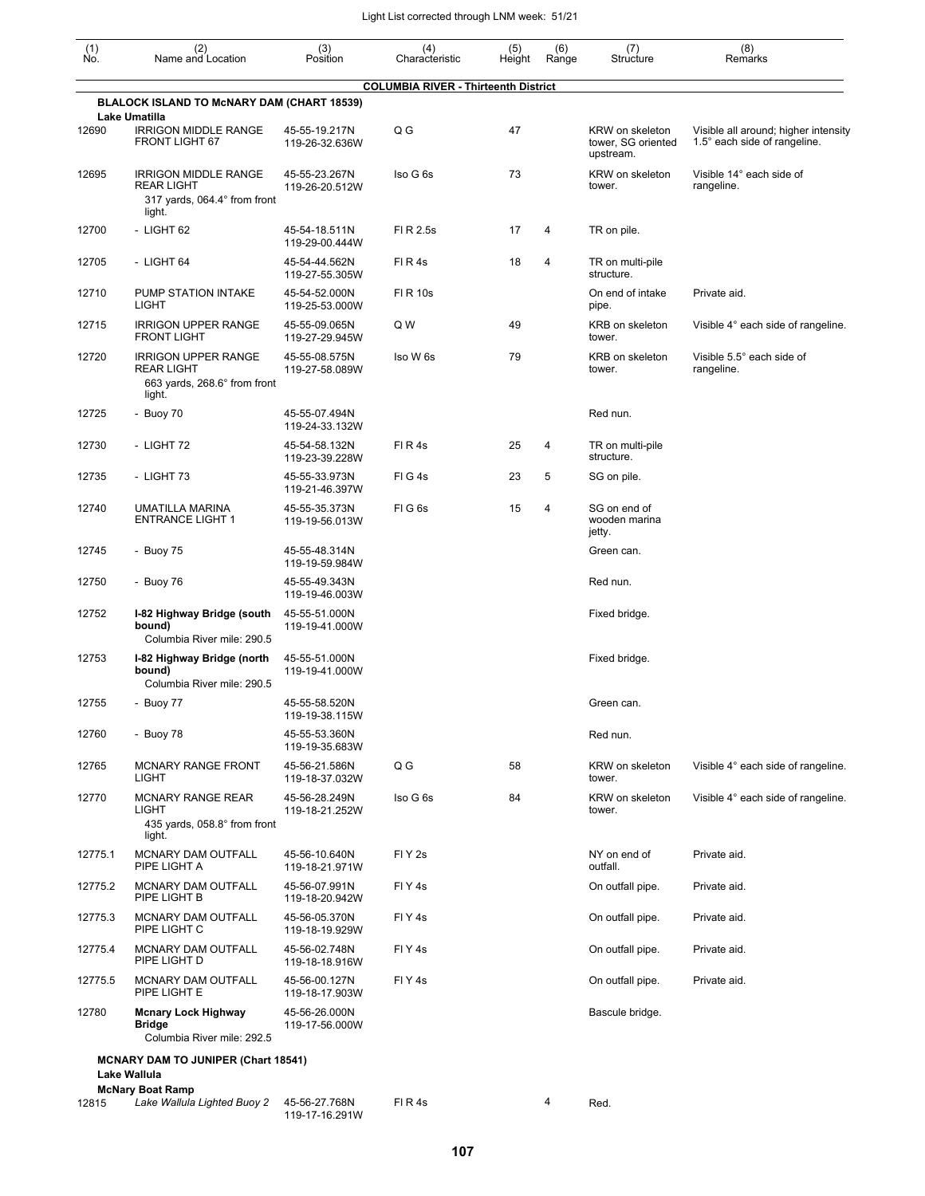| (1)<br>Ño. | (2)<br>Name and Location                                                                   | (3)<br>Position                 | (4)<br>Characteristic                       | (5)<br>Height | (6)<br>Range | (7)<br>Structure                        | (8)<br>Remarks                                                       |
|------------|--------------------------------------------------------------------------------------------|---------------------------------|---------------------------------------------|---------------|--------------|-----------------------------------------|----------------------------------------------------------------------|
|            | BLALOCK ISLAND TO McNARY DAM (CHART 18539)                                                 |                                 | <b>COLUMBIA RIVER - Thirteenth District</b> |               |              |                                         |                                                                      |
| 12690      | Lake Umatilla<br><b>IRRIGON MIDDLE RANGE</b>                                               | 45-55-19.217N                   | Q G                                         | 47            |              | KRW on skeleton                         |                                                                      |
|            | FRONT LIGHT 67                                                                             | 119-26-32.636W                  |                                             |               |              | tower, SG oriented<br>upstream.         | Visible all around; higher intensity<br>1.5° each side of rangeline. |
| 12695      | <b>IRRIGON MIDDLE RANGE</b><br><b>REAR LIGHT</b><br>317 yards, 064.4° from front<br>light. | 45-55-23.267N<br>119-26-20.512W | Iso G 6s                                    | 73            |              | KRW on skeleton<br>tower.               | Visible 14° each side of<br>rangeline.                               |
| 12700      | - LIGHT 62                                                                                 | 45-54-18.511N<br>119-29-00.444W | FI R 2.5s                                   | 17            | 4            | TR on pile.                             |                                                                      |
| 12705      | - LIGHT 64                                                                                 | 45-54-44.562N<br>119-27-55.305W | FIR4s                                       | 18            | 4            | TR on multi-pile<br>structure.          |                                                                      |
| 12710      | PUMP STATION INTAKE<br><b>LIGHT</b>                                                        | 45-54-52.000N<br>119-25-53.000W | <b>FIR10s</b>                               |               |              | On end of intake<br>pipe.               | Private aid.                                                         |
| 12715      | <b>IRRIGON UPPER RANGE</b><br><b>FRONT LIGHT</b>                                           | 45-55-09.065N<br>119-27-29.945W | Q W                                         | 49            |              | KRB on skeleton<br>tower.               | Visible 4° each side of rangeline.                                   |
| 12720      | <b>IRRIGON UPPER RANGE</b><br><b>REAR LIGHT</b><br>663 yards, 268.6° from front<br>light.  | 45-55-08.575N<br>119-27-58.089W | Iso W 6s                                    | 79            |              | KRB on skeleton<br>tower.               | Visible 5.5° each side of<br>rangeline.                              |
| 12725      | - Buoy 70                                                                                  | 45-55-07.494N<br>119-24-33.132W |                                             |               |              | Red nun.                                |                                                                      |
| 12730      | - LIGHT 72                                                                                 | 45-54-58.132N<br>119-23-39.228W | FIR4s                                       | 25            | 4            | TR on multi-pile<br>structure.          |                                                                      |
| 12735      | - LIGHT 73                                                                                 | 45-55-33.973N<br>119-21-46.397W | FIG4s                                       | 23            | 5            | SG on pile.                             |                                                                      |
| 12740      | UMATILLA MARINA<br><b>ENTRANCE LIGHT 1</b>                                                 | 45-55-35.373N<br>119-19-56.013W | FIG <sub>6s</sub>                           | 15            | 4            | SG on end of<br>wooden marina<br>jetty. |                                                                      |
| 12745      | - Buoy 75                                                                                  | 45-55-48.314N<br>119-19-59.984W |                                             |               |              | Green can.                              |                                                                      |
| 12750      | - Buoy 76                                                                                  | 45-55-49.343N<br>119-19-46.003W |                                             |               |              | Red nun.                                |                                                                      |
| 12752      | I-82 Highway Bridge (south<br>bound)<br>Columbia River mile: 290.5                         | 45-55-51.000N<br>119-19-41.000W |                                             |               |              | Fixed bridge.                           |                                                                      |
| 12753      | I-82 Highway Bridge (north<br>bound)<br>Columbia River mile: 290.5                         | 45-55-51.000N<br>119-19-41.000W |                                             |               |              | Fixed bridge.                           |                                                                      |
| 12755      | - Buoy 77                                                                                  | 45-55-58.520N<br>119-19-38.115W |                                             |               |              | Green can.                              |                                                                      |
| 12760      | - Buoy 78                                                                                  | 45-55-53.360N<br>119-19-35.683W |                                             |               |              | Red nun.                                |                                                                      |
| 12765      | <b>MCNARY RANGE FRONT</b><br><b>LIGHT</b>                                                  | 45-56-21.586N<br>119-18-37.032W | Q G                                         | 58            |              | KRW on skeleton<br>tower.               | Visible 4° each side of rangeline.                                   |
| 12770      | <b>MCNARY RANGE REAR</b><br>LIGHT<br>435 yards, 058.8° from front<br>light.                | 45-56-28.249N<br>119-18-21.252W | Iso G 6s                                    | 84            |              | KRW on skeleton<br>tower.               | Visible 4° each side of rangeline.                                   |
| 12775.1    | MCNARY DAM OUTFALL<br>PIPE LIGHT A                                                         | 45-56-10.640N<br>119-18-21.971W | FIY <sub>2s</sub>                           |               |              | NY on end of<br>outfall.                | Private aid.                                                         |
| 12775.2    | MCNARY DAM OUTFALL<br>PIPE LIGHT B                                                         | 45-56-07.991N<br>119-18-20.942W | FIY <sub>4s</sub>                           |               |              | On outfall pipe.                        | Private aid.                                                         |
| 12775.3    | MCNARY DAM OUTFALL<br>PIPE LIGHT C                                                         | 45-56-05.370N<br>119-18-19.929W | FIY <sub>4s</sub>                           |               |              | On outfall pipe.                        | Private aid.                                                         |
| 12775.4    | MCNARY DAM OUTFALL<br>PIPE LIGHT D                                                         | 45-56-02.748N<br>119-18-18.916W | FIY <sub>4s</sub>                           |               |              | On outfall pipe.                        | Private aid.                                                         |
| 12775.5    | MCNARY DAM OUTFALL<br>PIPE LIGHT E                                                         | 45-56-00.127N<br>119-18-17.903W | FIY <sub>4s</sub>                           |               |              | On outfall pipe.                        | Private aid.                                                         |
| 12780      | <b>Mcnary Lock Highway</b><br>Bridge<br>Columbia River mile: 292.5                         | 45-56-26.000N<br>119-17-56.000W |                                             |               |              | Bascule bridge.                         |                                                                      |
|            | <b>MCNARY DAM TO JUNIPER (Chart 18541)</b><br>Lake Wallula                                 |                                 |                                             |               |              |                                         |                                                                      |
| 12815      | <b>McNary Boat Ramp</b><br>Lake Wallula Lighted Buoy 2                                     | 45-56-27.768N                   | FIR4s                                       |               | 4            | Red.                                    |                                                                      |
|            |                                                                                            | 119-17-16.291W                  |                                             |               |              |                                         |                                                                      |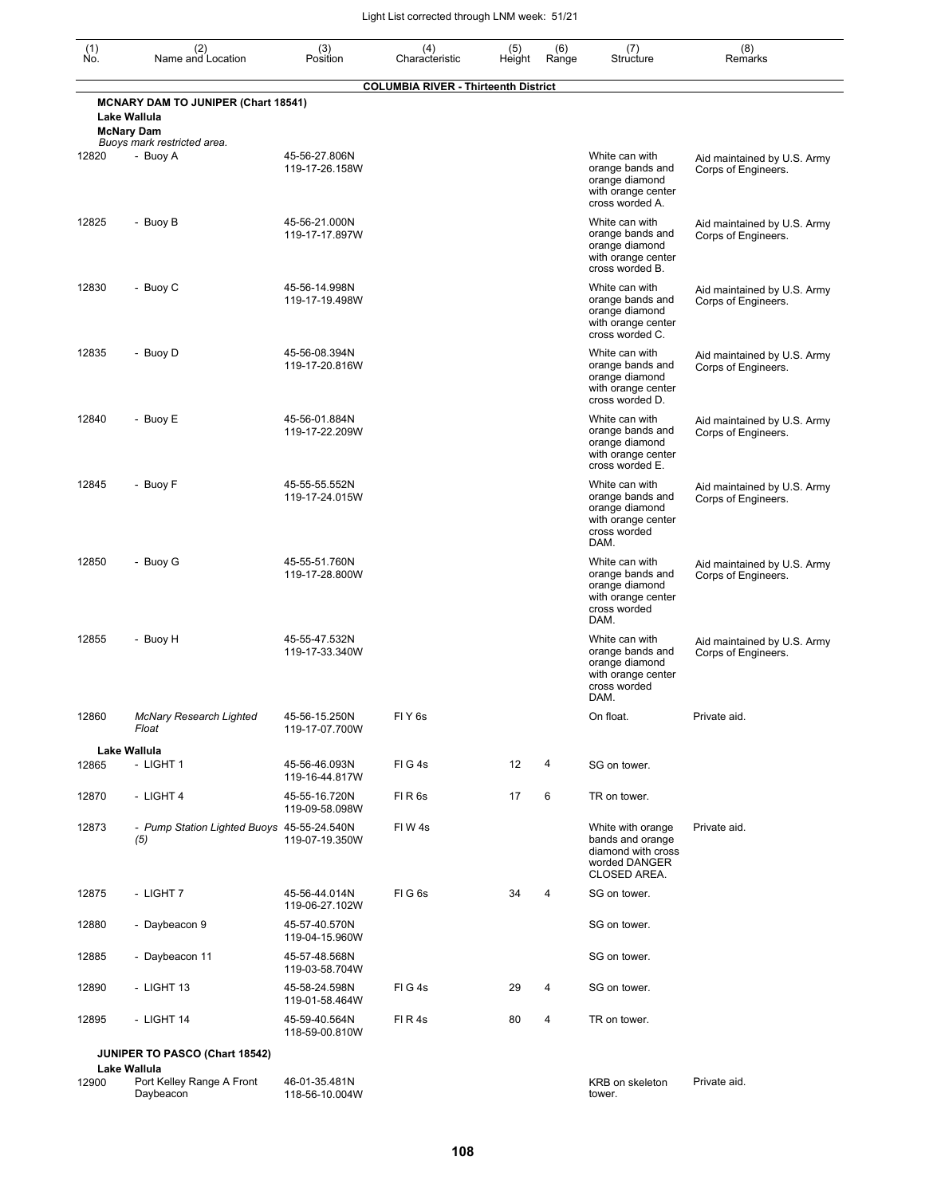| (1)<br>No. | (2)<br>Name and Location                                                                                       | (3)<br>Position                 | (4)<br>Characteristic                       | (5)<br>Height | (6)<br>Range | (7)<br>Structure                                                                                   | (8)<br>Remarks                                     |
|------------|----------------------------------------------------------------------------------------------------------------|---------------------------------|---------------------------------------------|---------------|--------------|----------------------------------------------------------------------------------------------------|----------------------------------------------------|
|            |                                                                                                                |                                 | <b>COLUMBIA RIVER - Thirteenth District</b> |               |              |                                                                                                    |                                                    |
|            | <b>MCNARY DAM TO JUNIPER (Chart 18541)</b><br>Lake Wallula<br><b>McNary Dam</b><br>Buoys mark restricted area. |                                 |                                             |               |              |                                                                                                    |                                                    |
| 12820      | - Buoy A                                                                                                       | 45-56-27.806N<br>119-17-26.158W |                                             |               |              | White can with<br>orange bands and<br>orange diamond<br>with orange center<br>cross worded A.      | Aid maintained by U.S. Army<br>Corps of Engineers. |
| 12825      | - Buoy B                                                                                                       | 45-56-21.000N<br>119-17-17.897W |                                             |               |              | White can with<br>orange bands and<br>orange diamond<br>with orange center<br>cross worded B.      | Aid maintained by U.S. Army<br>Corps of Engineers. |
| 12830      | - Buoy C                                                                                                       | 45-56-14.998N<br>119-17-19.498W |                                             |               |              | White can with<br>orange bands and<br>orange diamond<br>with orange center<br>cross worded C.      | Aid maintained by U.S. Army<br>Corps of Engineers. |
| 12835      | - Buoy D                                                                                                       | 45-56-08.394N<br>119-17-20.816W |                                             |               |              | White can with<br>orange bands and<br>orange diamond<br>with orange center<br>cross worded D.      | Aid maintained by U.S. Army<br>Corps of Engineers. |
| 12840      | - Buoy E                                                                                                       | 45-56-01.884N<br>119-17-22.209W |                                             |               |              | White can with<br>orange bands and<br>orange diamond<br>with orange center<br>cross worded E.      | Aid maintained by U.S. Army<br>Corps of Engineers. |
| 12845      | - Buoy F                                                                                                       | 45-55-55.552N<br>119-17-24.015W |                                             |               |              | White can with<br>orange bands and<br>orange diamond<br>with orange center<br>cross worded<br>DAM. | Aid maintained by U.S. Army<br>Corps of Engineers. |
| 12850      | - Buoy G                                                                                                       | 45-55-51.760N<br>119-17-28.800W |                                             |               |              | White can with<br>orange bands and<br>orange diamond<br>with orange center<br>cross worded<br>DAM. | Aid maintained by U.S. Army<br>Corps of Engineers. |
| 12855      | - Buoy H                                                                                                       | 45-55-47.532N<br>119-17-33.340W |                                             |               |              | White can with<br>orange bands and<br>orange diamond<br>with orange center<br>cross worded<br>DAM. | Aid maintained by U.S. Army<br>Corps of Engineers. |
| 12860      | <b>McNary Research Lighted</b><br>Float                                                                        | 45-56-15.250N<br>119-17-07.700W | FIY <sub>6s</sub>                           |               |              | On float.                                                                                          | Private aid.                                       |
| 12865      | Lake Wallula<br>- LIGHT 1                                                                                      | 45-56-46.093N<br>119-16-44.817W | FIG4s                                       | 12            | 4            | SG on tower.                                                                                       |                                                    |
| 12870      | - LIGHT 4                                                                                                      | 45-55-16.720N<br>119-09-58.098W | FIR <sub>6s</sub>                           | 17            | 6            | TR on tower.                                                                                       |                                                    |
| 12873      | - Pump Station Lighted Buoys 45-55-24.540N<br>(5)                                                              | 119-07-19.350W                  | FIW4s                                       |               |              | White with orange<br>bands and orange<br>diamond with cross<br>worded DANGER<br>CLOSED AREA.       | Private aid.                                       |
| 12875      | - LIGHT 7                                                                                                      | 45-56-44.014N<br>119-06-27.102W | FIG6s                                       | 34            | 4            | SG on tower.                                                                                       |                                                    |
| 12880      | - Daybeacon 9                                                                                                  | 45-57-40.570N<br>119-04-15.960W |                                             |               |              | SG on tower.                                                                                       |                                                    |
| 12885      | - Daybeacon 11                                                                                                 | 45-57-48.568N<br>119-03-58.704W |                                             |               |              | SG on tower.                                                                                       |                                                    |
| 12890      | - LIGHT 13                                                                                                     | 45-58-24.598N<br>119-01-58.464W | FIG4s                                       | 29            | 4            | SG on tower.                                                                                       |                                                    |
| 12895      | - LIGHT 14                                                                                                     | 45-59-40.564N<br>118-59-00.810W | FIR4s                                       | 80            | 4            | TR on tower.                                                                                       |                                                    |
|            | <b>JUNIPER TO PASCO (Chart 18542)</b>                                                                          |                                 |                                             |               |              |                                                                                                    |                                                    |
| 12900      | Port Kelley Range A Front                                                                                      | 46-01-35.481N                   |                                             |               |              | KRB on skeleton                                                                                    | Private aid.                                       |
|            | Lake Wallula<br>Daybeacon                                                                                      | 118-56-10.004W                  |                                             |               |              | tower.                                                                                             |                                                    |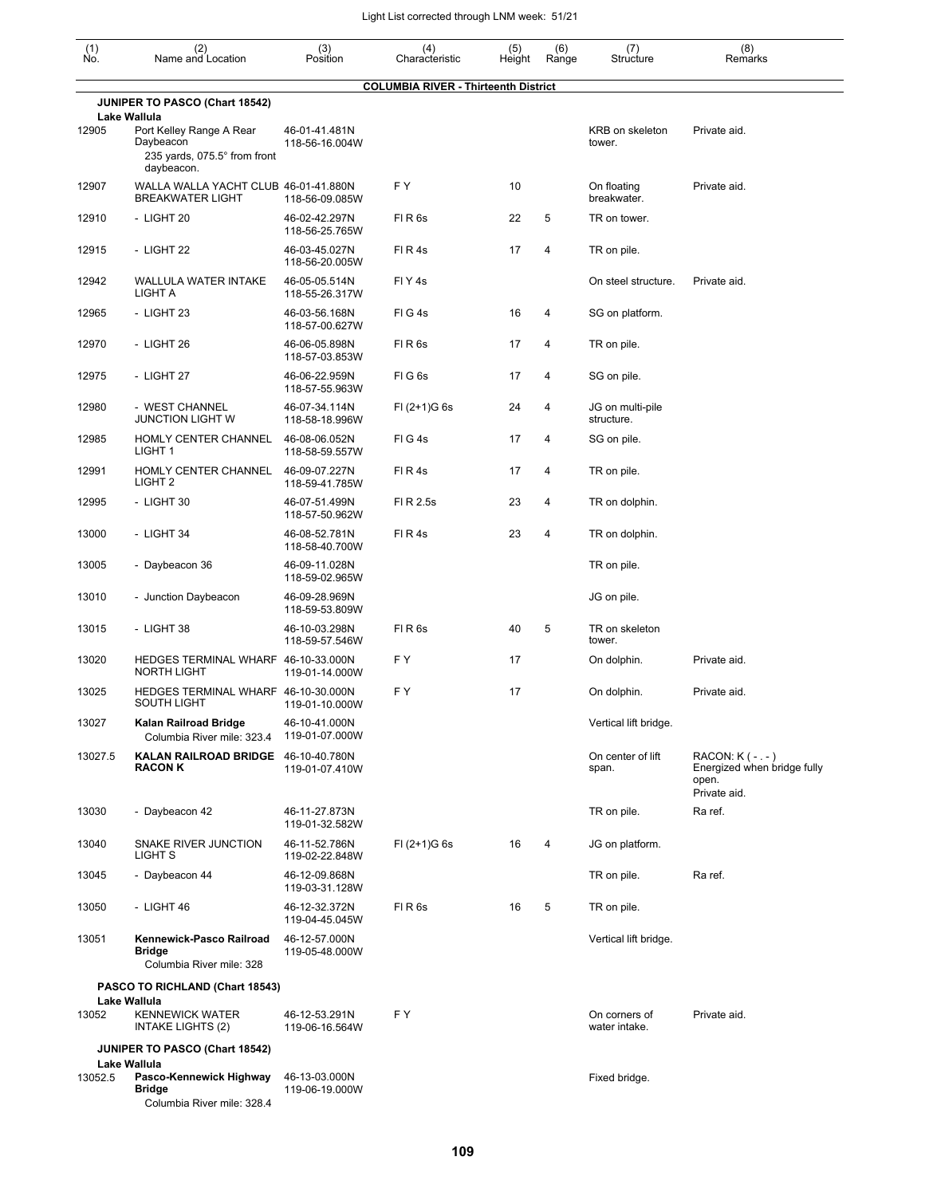| (1)<br>Ńó. | (2)<br>Name and Location                                                            | (3)<br>Position                 | (4)<br>Characteristic                       | (5)<br>Height | (6)<br>Range | (7)<br>Structure               | (8)<br>Remarks                                                             |
|------------|-------------------------------------------------------------------------------------|---------------------------------|---------------------------------------------|---------------|--------------|--------------------------------|----------------------------------------------------------------------------|
|            |                                                                                     |                                 | <b>COLUMBIA RIVER - Thirteenth District</b> |               |              |                                |                                                                            |
|            | JUNIPER TO PASCO (Chart 18542)<br>Lake Wallula                                      |                                 |                                             |               |              |                                |                                                                            |
| 12905      | Port Kelley Range A Rear<br>Daybeacon<br>235 yards, 075.5° from front<br>daybeacon. | 46-01-41.481N<br>118-56-16.004W |                                             |               |              | KRB on skeleton<br>tower.      | Private aid.                                                               |
| 12907      | WALLA WALLA YACHT CLUB 46-01-41.880N<br><b>BREAKWATER LIGHT</b>                     | 118-56-09.085W                  | FΥ                                          | 10            |              | On floating<br>breakwater.     | Private aid.                                                               |
| 12910      | - LIGHT 20                                                                          | 46-02-42.297N<br>118-56-25.765W | FIR <sub>6s</sub>                           | 22            | 5            | TR on tower.                   |                                                                            |
| 12915      | - LIGHT 22                                                                          | 46-03-45.027N<br>118-56-20.005W | FIR4s                                       | 17            | 4            | TR on pile.                    |                                                                            |
| 12942      | WALLULA WATER INTAKE<br>LIGHT A                                                     | 46-05-05.514N<br>118-55-26.317W | FIY4s                                       |               |              | On steel structure.            | Private aid.                                                               |
| 12965      | - LIGHT 23                                                                          | 46-03-56.168N<br>118-57-00.627W | FIG4s                                       | 16            | 4            | SG on platform.                |                                                                            |
| 12970      | - LIGHT 26                                                                          | 46-06-05.898N<br>118-57-03.853W | FIR6s                                       | 17            | 4            | TR on pile.                    |                                                                            |
| 12975      | - LIGHT 27                                                                          | 46-06-22.959N<br>118-57-55.963W | FIG <sub>6s</sub>                           | 17            | 4            | SG on pile.                    |                                                                            |
| 12980      | - WEST CHANNEL<br>JUNCTION LIGHT W                                                  | 46-07-34.114N<br>118-58-18.996W | $FI (2+1)G 6s$                              | 24            | 4            | JG on multi-pile<br>structure. |                                                                            |
| 12985      | HOMLY CENTER CHANNEL<br>LIGHT <sub>1</sub>                                          | 46-08-06.052N<br>118-58-59.557W | FIG4s                                       | 17            | 4            | SG on pile.                    |                                                                            |
| 12991      | HOMLY CENTER CHANNEL<br>LIGHT <sub>2</sub>                                          | 46-09-07.227N<br>118-59-41.785W | FIR4s                                       | 17            | 4            | TR on pile.                    |                                                                            |
| 12995      | - LIGHT 30                                                                          | 46-07-51.499N<br>118-57-50.962W | FI R 2.5s                                   | 23            | 4            | TR on dolphin.                 |                                                                            |
| 13000      | - LIGHT 34                                                                          | 46-08-52.781N<br>118-58-40.700W | FIR4s                                       | 23            | 4            | TR on dolphin.                 |                                                                            |
| 13005      | - Daybeacon 36                                                                      | 46-09-11.028N<br>118-59-02.965W |                                             |               |              | TR on pile.                    |                                                                            |
| 13010      | - Junction Daybeacon                                                                | 46-09-28.969N<br>118-59-53.809W |                                             |               |              | JG on pile.                    |                                                                            |
| 13015      | - LIGHT 38                                                                          | 46-10-03.298N<br>118-59-57.546W | FIR <sub>6s</sub>                           | 40            | 5            | TR on skeleton<br>tower.       |                                                                            |
| 13020      | HEDGES TERMINAL WHARF 46-10-33.000N<br><b>NORTH LIGHT</b>                           | 119-01-14.000W                  | F Y                                         | 17            |              | On dolphin.                    | Private aid.                                                               |
| 13025      | HEDGES TERMINAL WHARF 46-10-30.000N<br>SOUTH LIGHT                                  | 119-01-10.000W                  | FΥ                                          | 17            |              | On dolphin.                    | Private aid.                                                               |
| 13027      | Kalan Railroad Bridge<br>Columbia River mile: 323.4                                 | 46-10-41.000N<br>119-01-07.000W |                                             |               |              | Vertical lift bridge.          |                                                                            |
| 13027.5    | KALAN RAILROAD BRIDGE 46-10-40.780N<br><b>RACON K</b>                               | 119-01-07.410W                  |                                             |               |              | On center of lift<br>span.     | RACON: K ( - . - )<br>Energized when bridge fully<br>open.<br>Private aid. |
| 13030      | - Daybeacon 42                                                                      | 46-11-27.873N<br>119-01-32.582W |                                             |               |              | TR on pile.                    | Ra ref.                                                                    |
| 13040      | SNAKE RIVER JUNCTION<br>LIGHT S                                                     | 46-11-52.786N<br>119-02-22.848W | $FI (2+1)G 6s$                              | 16            | 4            | JG on platform.                |                                                                            |
| 13045      | - Daybeacon 44                                                                      | 46-12-09.868N<br>119-03-31.128W |                                             |               |              | TR on pile.                    | Ra ref.                                                                    |
| 13050      | - LIGHT 46                                                                          | 46-12-32.372N<br>119-04-45.045W | FIR6s                                       | 16            | 5            | TR on pile.                    |                                                                            |
| 13051      | Kennewick-Pasco Railroad<br><b>Bridge</b><br>Columbia River mile: 328               | 46-12-57.000N<br>119-05-48.000W |                                             |               |              | Vertical lift bridge.          |                                                                            |
|            | PASCO TO RICHLAND (Chart 18543)                                                     |                                 |                                             |               |              |                                |                                                                            |
| 13052      | Lake Wallula<br><b>KENNEWICK WATER</b><br>INTAKE LIGHTS (2)                         | 46-12-53.291N<br>119-06-16.564W | FY                                          |               |              | On corners of<br>water intake. | Private aid.                                                               |
|            | <b>JUNIPER TO PASCO (Chart 18542)</b><br>Lake Wallula                               |                                 |                                             |               |              |                                |                                                                            |
| 13052.5    | Pasco-Kennewick Highway<br><b>Bridge</b><br>Columbia River mile: 328.4              | 46-13-03.000N<br>119-06-19.000W |                                             |               |              | Fixed bridge.                  |                                                                            |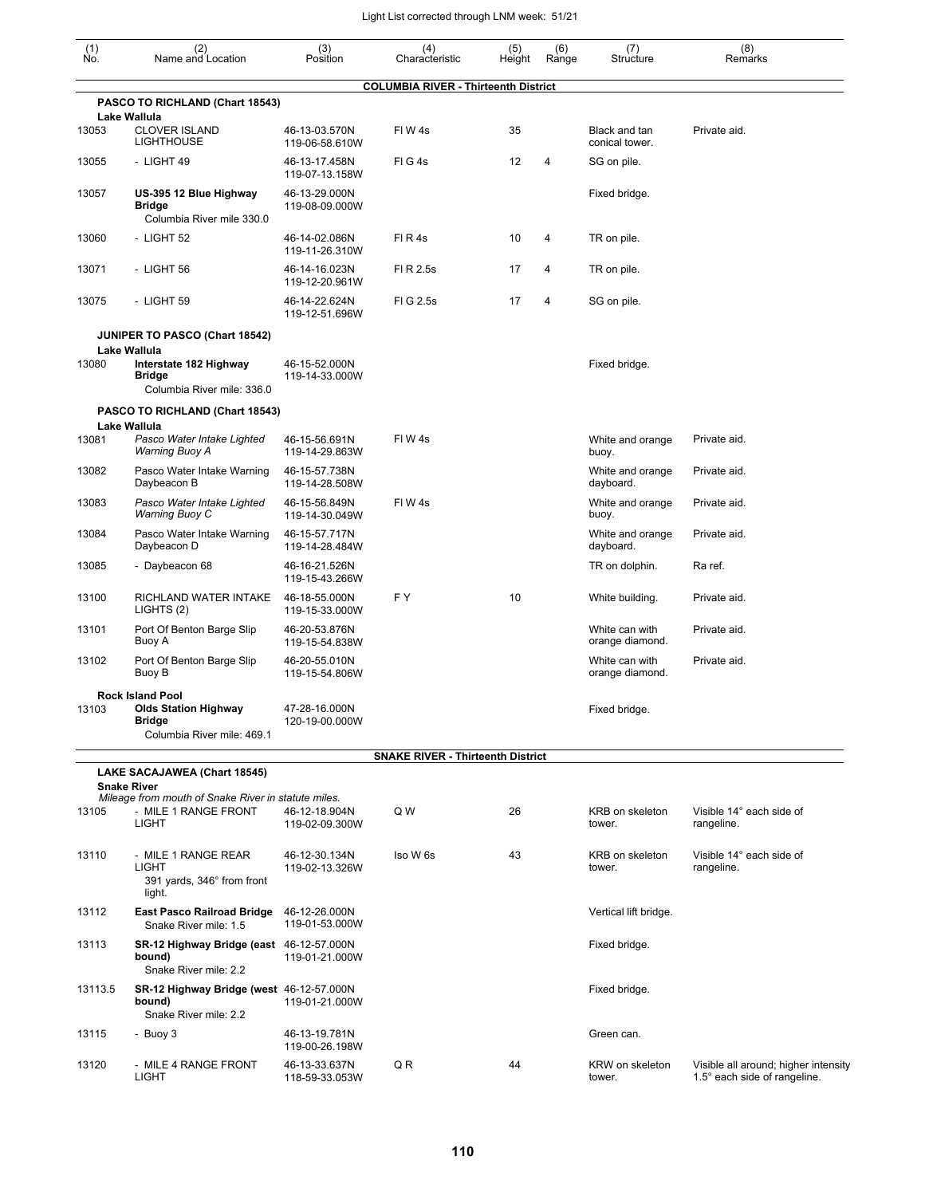| $\begin{smallmatrix} (1) \\ \mathsf{No} \end{smallmatrix}$ | (2)<br>Name and Location                                                              | (3)<br>Position                 | (4)<br>Characteristic                       | (5)<br>Height | (6)<br>Range | (7)<br>Structure                  | (8)<br>Remarks                                                       |
|------------------------------------------------------------|---------------------------------------------------------------------------------------|---------------------------------|---------------------------------------------|---------------|--------------|-----------------------------------|----------------------------------------------------------------------|
|                                                            |                                                                                       |                                 | <b>COLUMBIA RIVER - Thirteenth District</b> |               |              |                                   |                                                                      |
|                                                            | PASCO TO RICHLAND (Chart 18543)                                                       |                                 |                                             |               |              |                                   |                                                                      |
| 13053                                                      | Lake Wallula<br><b>CLOVER ISLAND</b><br><b>LIGHTHOUSE</b>                             | 46-13-03.570N<br>119-06-58.610W | FIW <sub>4s</sub>                           | 35            |              | Black and tan<br>conical tower.   | Private aid.                                                         |
| 13055                                                      | - LIGHT 49                                                                            | 46-13-17.458N<br>119-07-13.158W | FIG4s                                       | 12            | 4            | SG on pile.                       |                                                                      |
| 13057                                                      | US-395 12 Blue Highway<br><b>Bridge</b><br>Columbia River mile 330.0                  | 46-13-29.000N<br>119-08-09.000W |                                             |               |              | Fixed bridge.                     |                                                                      |
| 13060                                                      | - LIGHT 52                                                                            | 46-14-02.086N<br>119-11-26.310W | FIR4s                                       | 10            | 4            | TR on pile.                       |                                                                      |
| 13071                                                      | - LIGHT 56                                                                            | 46-14-16.023N<br>119-12-20.961W | FI R 2.5s                                   | 17            | 4            | TR on pile.                       |                                                                      |
| 13075                                                      | - LIGHT 59                                                                            | 46-14-22.624N<br>119-12-51.696W | FIG 2.5s                                    | 17            | 4            | SG on pile.                       |                                                                      |
|                                                            | JUNIPER TO PASCO (Chart 18542)                                                        |                                 |                                             |               |              |                                   |                                                                      |
| 13080                                                      | Lake Wallula<br>Interstate 182 Highway<br><b>Bridge</b><br>Columbia River mile: 336.0 | 46-15-52.000N<br>119-14-33.000W |                                             |               |              | Fixed bridge.                     |                                                                      |
|                                                            | PASCO TO RICHLAND (Chart 18543)                                                       |                                 |                                             |               |              |                                   |                                                                      |
| 13081                                                      | Lake Wallula<br>Pasco Water Intake Lighted<br>Warning Buoy A                          | 46-15-56.691N<br>119-14-29.863W | FIW4s                                       |               |              | White and orange<br>buoy.         | Private aid.                                                         |
| 13082                                                      | Pasco Water Intake Warning<br>Daybeacon B                                             | 46-15-57.738N<br>119-14-28.508W |                                             |               |              | White and orange<br>dayboard.     | Private aid.                                                         |
| 13083                                                      | Pasco Water Intake Lighted<br><b>Warning Buoy C</b>                                   | 46-15-56.849N<br>119-14-30.049W | FIW <sub>4s</sub>                           |               |              | White and orange<br>buoy.         | Private aid.                                                         |
| 13084                                                      | Pasco Water Intake Warning<br>Daybeacon D                                             | 46-15-57.717N<br>119-14-28.484W |                                             |               |              | White and orange<br>dayboard.     | Private aid.                                                         |
| 13085                                                      | - Daybeacon 68                                                                        | 46-16-21.526N<br>119-15-43.266W |                                             |               |              | TR on dolphin.                    | Ra ref.                                                              |
| 13100                                                      | RICHLAND WATER INTAKE<br>LIGHTS (2)                                                   | 46-18-55.000N<br>119-15-33.000W | FY                                          | 10            |              | White building.                   | Private aid.                                                         |
| 13101                                                      | Port Of Benton Barge Slip<br>Buoy A                                                   | 46-20-53.876N<br>119-15-54.838W |                                             |               |              | White can with<br>orange diamond. | Private aid.                                                         |
| 13102                                                      | Port Of Benton Barge Slip<br>Buoy B                                                   | 46-20-55.010N<br>119-15-54.806W |                                             |               |              | White can with<br>orange diamond. | Private aid.                                                         |
| 13103                                                      | <b>Rock Island Pool</b><br><b>Olds Station Highway</b>                                | 47-28-16.000N                   |                                             |               |              | Fixed bridge.                     |                                                                      |
|                                                            | <b>Bridge</b><br>Columbia River mile: 469.1                                           | 120-19-00.000W                  |                                             |               |              |                                   |                                                                      |
|                                                            |                                                                                       |                                 | <b>SNAKE RIVER - Thirteenth District</b>    |               |              |                                   |                                                                      |
|                                                            | LAKE SACAJAWEA (Chart 18545)<br><b>Snake River</b>                                    |                                 |                                             |               |              |                                   |                                                                      |
| 13105                                                      | Mileage from mouth of Snake River in statute miles.<br>- MILE 1 RANGE FRONT<br>LIGHT  | 46-12-18.904N<br>119-02-09.300W | Q W                                         | 26            |              | <b>KRB</b> on skeleton<br>tower.  | Visible 14° each side of<br>rangeline.                               |
| 13110                                                      | - MILE 1 RANGE REAR<br><b>LIGHT</b><br>391 yards, 346° from front<br>light.           | 46-12-30.134N<br>119-02-13.326W | Iso W 6s                                    | 43            |              | KRB on skeleton<br>tower.         | Visible 14° each side of<br>rangeline.                               |
| 13112                                                      | <b>East Pasco Railroad Bridge</b><br>Snake River mile: 1.5                            | 46-12-26.000N<br>119-01-53.000W |                                             |               |              | Vertical lift bridge.             |                                                                      |
| 13113                                                      | SR-12 Highway Bridge (east 46-12-57.000N<br>bound)<br>Snake River mile: 2.2           | 119-01-21.000W                  |                                             |               |              | Fixed bridge.                     |                                                                      |
| 13113.5                                                    | SR-12 Highway Bridge (west 46-12-57.000N<br>bound)<br>Snake River mile: 2.2           | 119-01-21.000W                  |                                             |               |              | Fixed bridge.                     |                                                                      |
| 13115                                                      | - Buoy 3                                                                              | 46-13-19.781N<br>119-00-26.198W |                                             |               |              | Green can.                        |                                                                      |
| 13120                                                      | - MILE 4 RANGE FRONT<br>LIGHT                                                         | 46-13-33.637N<br>118-59-33.053W | Q R                                         | 44            |              | KRW on skeleton<br>tower.         | Visible all around; higher intensity<br>1.5° each side of rangeline. |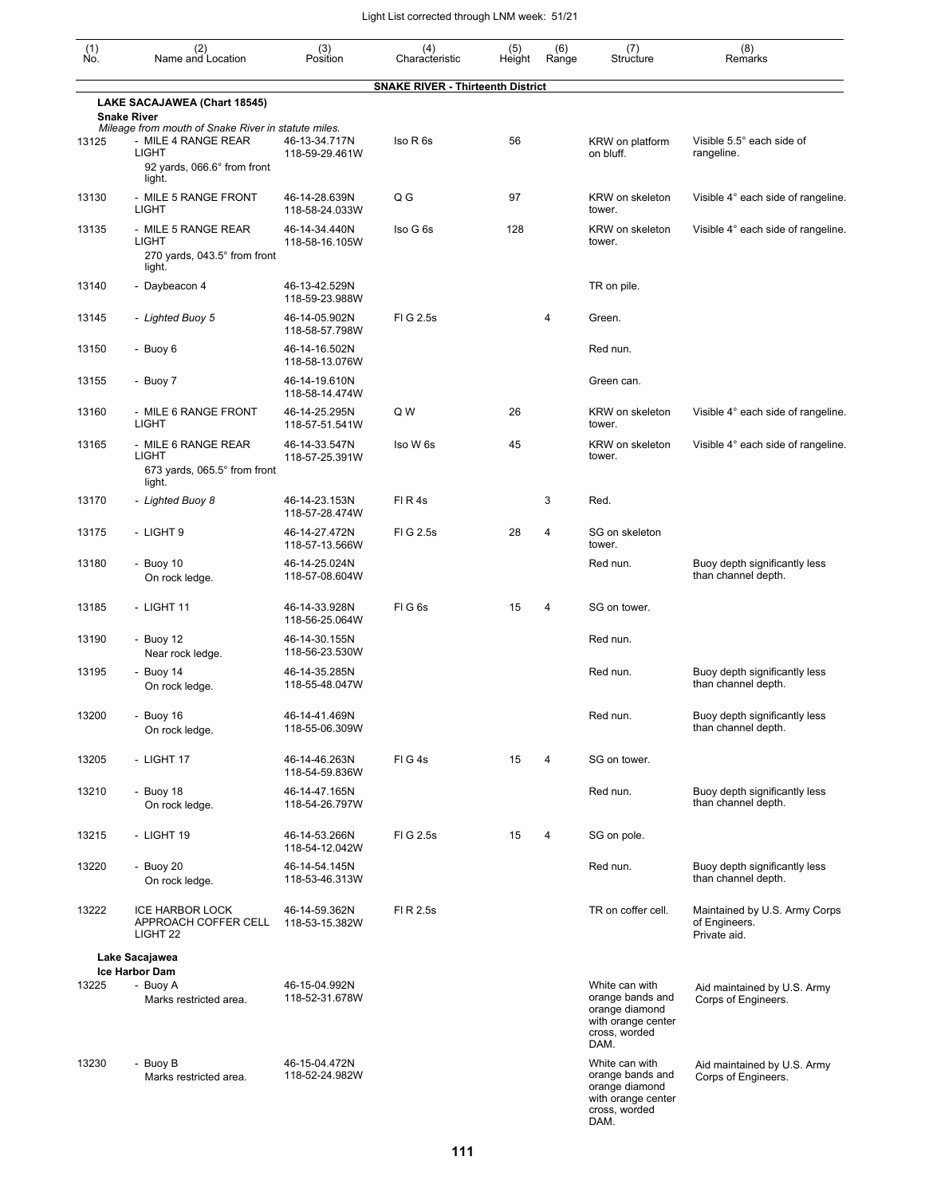| $(n)$<br>No. | (2)<br>Name and Location                                                                                                            | (3)<br>Position                 | (4)<br>Characteristic                    | (5)<br>Height | (6)<br>Range | (7)<br>Structure                                                                                    | (8)<br>Remarks                                                 |
|--------------|-------------------------------------------------------------------------------------------------------------------------------------|---------------------------------|------------------------------------------|---------------|--------------|-----------------------------------------------------------------------------------------------------|----------------------------------------------------------------|
|              |                                                                                                                                     |                                 | <b>SNAKE RIVER - Thirteenth District</b> |               |              |                                                                                                     |                                                                |
|              | LAKE SACAJAWEA (Chart 18545)<br><b>Snake River</b>                                                                                  |                                 |                                          |               |              |                                                                                                     |                                                                |
| 13125        | Mileage from mouth of Snake River in statute miles.<br>- MILE 4 RANGE REAR<br><b>LIGHT</b><br>92 yards, 066.6° from front<br>light. | 46-13-34.717N<br>118-59-29.461W | Iso R 6s                                 | 56            |              | KRW on platform<br>on bluff.                                                                        | Visible 5.5° each side of<br>rangeline.                        |
| 13130        | - MILE 5 RANGE FRONT<br><b>LIGHT</b>                                                                                                | 46-14-28.639N<br>118-58-24.033W | Q G                                      | 97            |              | KRW on skeleton<br>tower.                                                                           | Visible 4° each side of rangeline.                             |
| 13135        | - MILE 5 RANGE REAR<br><b>LIGHT</b><br>270 yards, 043.5° from front<br>light.                                                       | 46-14-34.440N<br>118-58-16.105W | Iso G 6s                                 | 128           |              | KRW on skeleton<br>tower.                                                                           | Visible 4° each side of rangeline.                             |
| 13140        | - Daybeacon 4                                                                                                                       | 46-13-42.529N<br>118-59-23.988W |                                          |               |              | TR on pile.                                                                                         |                                                                |
| 13145        | - Lighted Buoy 5                                                                                                                    | 46-14-05.902N<br>118-58-57.798W | FIG 2.5s                                 |               | 4            | Green.                                                                                              |                                                                |
| 13150        | - Buoy 6                                                                                                                            | 46-14-16.502N<br>118-58-13.076W |                                          |               |              | Red nun.                                                                                            |                                                                |
| 13155        | - Buoy 7                                                                                                                            | 46-14-19.610N<br>118-58-14.474W |                                          |               |              | Green can.                                                                                          |                                                                |
| 13160        | - MILE 6 RANGE FRONT<br><b>LIGHT</b>                                                                                                | 46-14-25.295N<br>118-57-51.541W | Q W                                      | 26            |              | KRW on skeleton<br>tower.                                                                           | Visible 4° each side of rangeline.                             |
| 13165        | - MILE 6 RANGE REAR<br><b>LIGHT</b><br>673 yards, 065.5° from front<br>light.                                                       | 46-14-33.547N<br>118-57-25.391W | Iso W 6s                                 | 45            |              | KRW on skeleton<br>tower.                                                                           | Visible 4° each side of rangeline.                             |
| 13170        | - Lighted Buoy 8                                                                                                                    | 46-14-23.153N<br>118-57-28.474W | FIR4s                                    |               | 3            | Red.                                                                                                |                                                                |
| 13175        | - LIGHT 9                                                                                                                           | 46-14-27.472N<br>118-57-13.566W | FIG 2.5s                                 | 28            | 4            | SG on skeleton<br>tower.                                                                            |                                                                |
| 13180        | - Buoy $10$<br>On rock ledge.                                                                                                       | 46-14-25.024N<br>118-57-08.604W |                                          |               |              | Red nun.                                                                                            | Buoy depth significantly less<br>than channel depth.           |
| 13185        | - LIGHT 11                                                                                                                          | 46-14-33.928N<br>118-56-25.064W | FIG <sub>6s</sub>                        | 15            | 4            | SG on tower.                                                                                        |                                                                |
| 13190        | - Buoy $12$<br>Near rock ledge.                                                                                                     | 46-14-30.155N<br>118-56-23.530W |                                          |               |              | Red nun.                                                                                            |                                                                |
| 13195        | - Buoy $14$<br>On rock ledge.                                                                                                       | 46-14-35.285N<br>118-55-48.047W |                                          |               |              | Red nun.                                                                                            | Buoy depth significantly less<br>than channel depth.           |
| 13200        | - Buoy 16<br>On rock ledge.                                                                                                         | 46-14-41.469N<br>118-55-06.309W |                                          |               |              | Red nun.                                                                                            | Buoy depth significantly less<br>than channel depth.           |
| 13205        | - LIGHT 17                                                                                                                          | 46-14-46.263N<br>118-54-59.836W | FIG4s                                    | 15            | 4            | SG on tower.                                                                                        |                                                                |
| 13210        | - Buoy 18<br>On rock ledge.                                                                                                         | 46-14-47.165N<br>118-54-26.797W |                                          |               |              | Red nun.                                                                                            | Buoy depth significantly less<br>than channel depth.           |
| 13215        | - LIGHT 19                                                                                                                          | 46-14-53.266N<br>118-54-12.042W | FIG 2.5s                                 | 15            | 4            | SG on pole.                                                                                         |                                                                |
| 13220        | - Buoy 20<br>On rock ledge.                                                                                                         | 46-14-54.145N<br>118-53-46.313W |                                          |               |              | Red nun.                                                                                            | Buoy depth significantly less<br>than channel depth.           |
| 13222        | <b>ICE HARBOR LOCK</b><br>APPROACH COFFER CELL<br>LIGHT 22                                                                          | 46-14-59.362N<br>118-53-15.382W | FI R 2.5s                                |               |              | TR on coffer cell.                                                                                  | Maintained by U.S. Army Corps<br>of Engineers.<br>Private aid. |
|              | Lake Sacajawea                                                                                                                      |                                 |                                          |               |              |                                                                                                     |                                                                |
| 13225        | Ice Harbor Dam<br>- Buoy A<br>Marks restricted area.                                                                                | 46-15-04.992N<br>118-52-31.678W |                                          |               |              | White can with<br>orange bands and<br>orange diamond<br>with orange center<br>cross, worded<br>DAM. | Aid maintained by U.S. Army<br>Corps of Engineers.             |
| 13230        | - Buoy B<br>Marks restricted area.                                                                                                  | 46-15-04.472N<br>118-52-24.982W |                                          |               |              | White can with<br>orange bands and<br>orange diamond<br>with orange center<br>cross, worded<br>DAM. | Aid maintained by U.S. Army<br>Corps of Engineers.             |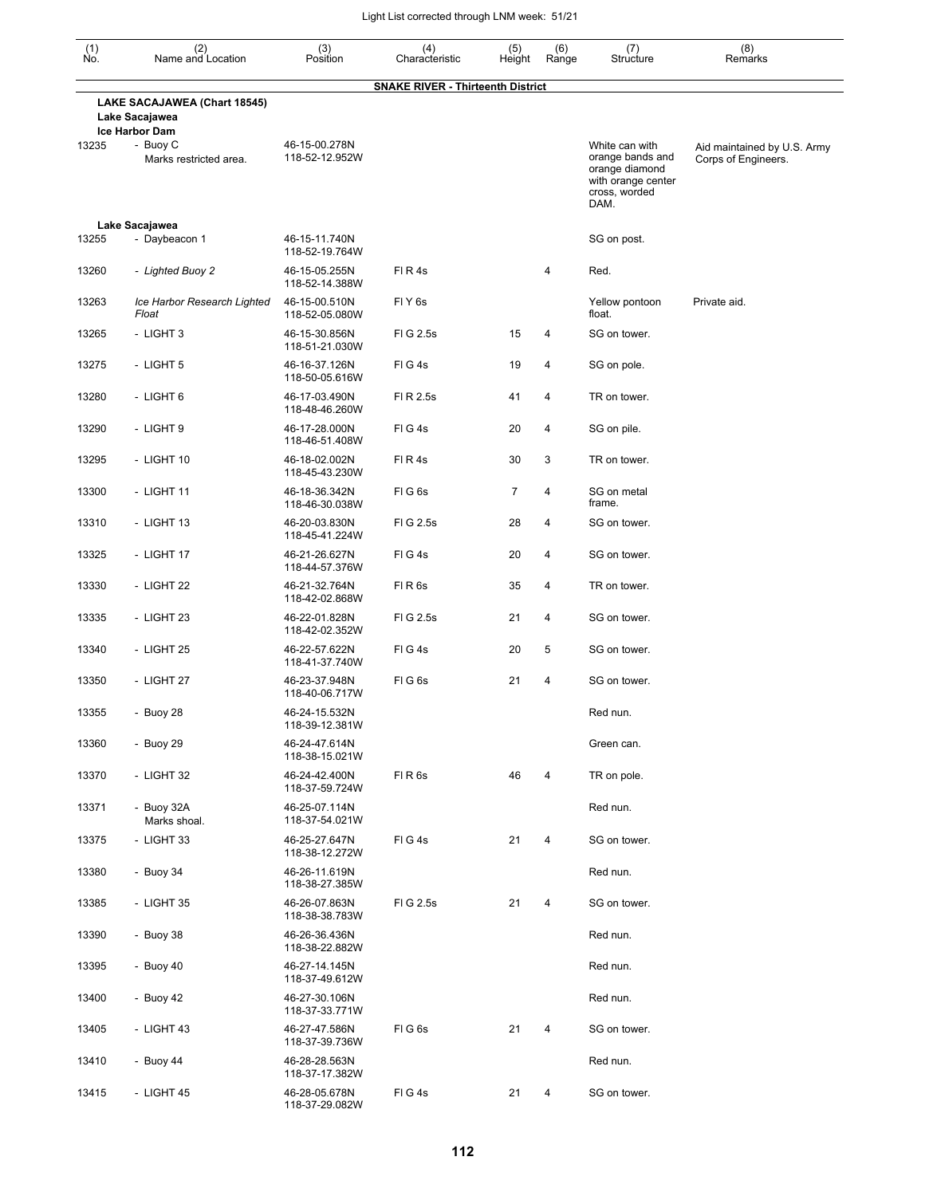| (1)<br>No. | (2)<br>Name and Location                             | (3)<br>Position                 | (4)<br>Characteristic                    | (5)<br>Height  | (6)<br>Range   | (7)<br>Structure                                                                                    | (8)<br>Remarks                                     |
|------------|------------------------------------------------------|---------------------------------|------------------------------------------|----------------|----------------|-----------------------------------------------------------------------------------------------------|----------------------------------------------------|
|            | LAKE SACAJAWEA (Chart 18545)<br>Lake Sacajawea       |                                 | <b>SNAKE RIVER - Thirteenth District</b> |                |                |                                                                                                     |                                                    |
| 13235      | Ice Harbor Dam<br>- Buoy C<br>Marks restricted area. | 46-15-00.278N<br>118-52-12.952W |                                          |                |                | White can with<br>orange bands and<br>orange diamond<br>with orange center<br>cross, worded<br>DAM. | Aid maintained by U.S. Army<br>Corps of Engineers. |
|            | Lake Sacajawea                                       |                                 |                                          |                |                |                                                                                                     |                                                    |
| 13255      | - Daybeacon 1                                        | 46-15-11.740N<br>118-52-19.764W |                                          |                |                | SG on post.                                                                                         |                                                    |
| 13260      | - Lighted Buoy 2                                     | 46-15-05.255N<br>118-52-14.388W | FIR4s                                    |                | 4              | Red.                                                                                                |                                                    |
| 13263      | Ice Harbor Research Lighted<br>Float                 | 46-15-00.510N<br>118-52-05.080W | FIY <sub>6s</sub>                        |                |                | Yellow pontoon<br>float.                                                                            | Private aid.                                       |
| 13265      | - LIGHT 3                                            | 46-15-30.856N<br>118-51-21.030W | FIG 2.5s                                 | 15             | 4              | SG on tower.                                                                                        |                                                    |
| 13275      | - LIGHT 5                                            | 46-16-37.126N<br>118-50-05.616W | FIG4s                                    | 19             | 4              | SG on pole.                                                                                         |                                                    |
| 13280      | - LIGHT 6                                            | 46-17-03.490N<br>118-48-46.260W | FI R 2.5s                                | 41             | 4              | TR on tower.                                                                                        |                                                    |
| 13290      | - LIGHT 9                                            | 46-17-28.000N<br>118-46-51.408W | FIG4s                                    | 20             | 4              | SG on pile.                                                                                         |                                                    |
| 13295      | - LIGHT 10                                           | 46-18-02.002N<br>118-45-43.230W | FIR4s                                    | 30             | 3              | TR on tower.                                                                                        |                                                    |
| 13300      | - LIGHT 11                                           | 46-18-36.342N<br>118-46-30.038W | FIG <sub>6s</sub>                        | $\overline{7}$ | $\overline{4}$ | SG on metal<br>frame.                                                                               |                                                    |
| 13310      | - LIGHT 13                                           | 46-20-03.830N<br>118-45-41.224W | FIG 2.5s                                 | 28             | 4              | SG on tower.                                                                                        |                                                    |
| 13325      | - LIGHT 17                                           | 46-21-26.627N<br>118-44-57.376W | FIG4s                                    | 20             | 4              | SG on tower.                                                                                        |                                                    |
| 13330      | - LIGHT 22                                           | 46-21-32.764N<br>118-42-02.868W | FIR6s                                    | 35             | 4              | TR on tower.                                                                                        |                                                    |
| 13335      | - LIGHT 23                                           | 46-22-01.828N<br>118-42-02.352W | FIG 2.5s                                 | 21             | $\overline{4}$ | SG on tower.                                                                                        |                                                    |
| 13340      | - LIGHT 25                                           | 46-22-57.622N<br>118-41-37.740W | FIG4s                                    | 20             | 5              | SG on tower.                                                                                        |                                                    |
| 13350      | - LIGHT 27                                           | 46-23-37.948N<br>118-40-06.717W | FIG <sub>6s</sub>                        | 21             | 4              | SG on tower.                                                                                        |                                                    |
| 13355      | - Buoy 28                                            | 46-24-15.532N<br>118-39-12.381W |                                          |                |                | Red nun.                                                                                            |                                                    |
| 13360      | - Buoy 29                                            | 46-24-47.614N<br>118-38-15.021W |                                          |                |                | Green can.                                                                                          |                                                    |
| 13370      | - LIGHT 32                                           | 46-24-42.400N<br>118-37-59.724W | FIR6s                                    | 46             | 4              | TR on pole.                                                                                         |                                                    |
| 13371      | - Buoy 32A<br>Marks shoal.                           | 46-25-07.114N<br>118-37-54.021W |                                          |                |                | Red nun.                                                                                            |                                                    |
| 13375      | - LIGHT 33                                           | 46-25-27.647N<br>118-38-12.272W | FIG4s                                    | 21             | 4              | SG on tower.                                                                                        |                                                    |
| 13380      | - Buoy 34                                            | 46-26-11.619N<br>118-38-27.385W |                                          |                |                | Red nun.                                                                                            |                                                    |
| 13385      | - LIGHT 35                                           | 46-26-07.863N<br>118-38-38.783W | FIG 2.5s                                 | 21             | 4              | SG on tower.                                                                                        |                                                    |
| 13390      | - Buoy 38                                            | 46-26-36.436N<br>118-38-22.882W |                                          |                |                | Red nun.                                                                                            |                                                    |
| 13395      | - Buoy 40                                            | 46-27-14.145N<br>118-37-49.612W |                                          |                |                | Red nun.                                                                                            |                                                    |
| 13400      | - Buoy 42                                            | 46-27-30.106N<br>118-37-33.771W |                                          |                |                | Red nun.                                                                                            |                                                    |
| 13405      | - LIGHT 43                                           | 46-27-47.586N<br>118-37-39.736W | FIG6s                                    | 21             | 4              | SG on tower.                                                                                        |                                                    |
| 13410      | - Buoy $44$                                          | 46-28-28.563N<br>118-37-17.382W |                                          |                |                | Red nun.                                                                                            |                                                    |
| 13415      | - LIGHT 45                                           | 46-28-05.678N<br>118-37-29.082W | FIG4s                                    | 21             | 4              | SG on tower.                                                                                        |                                                    |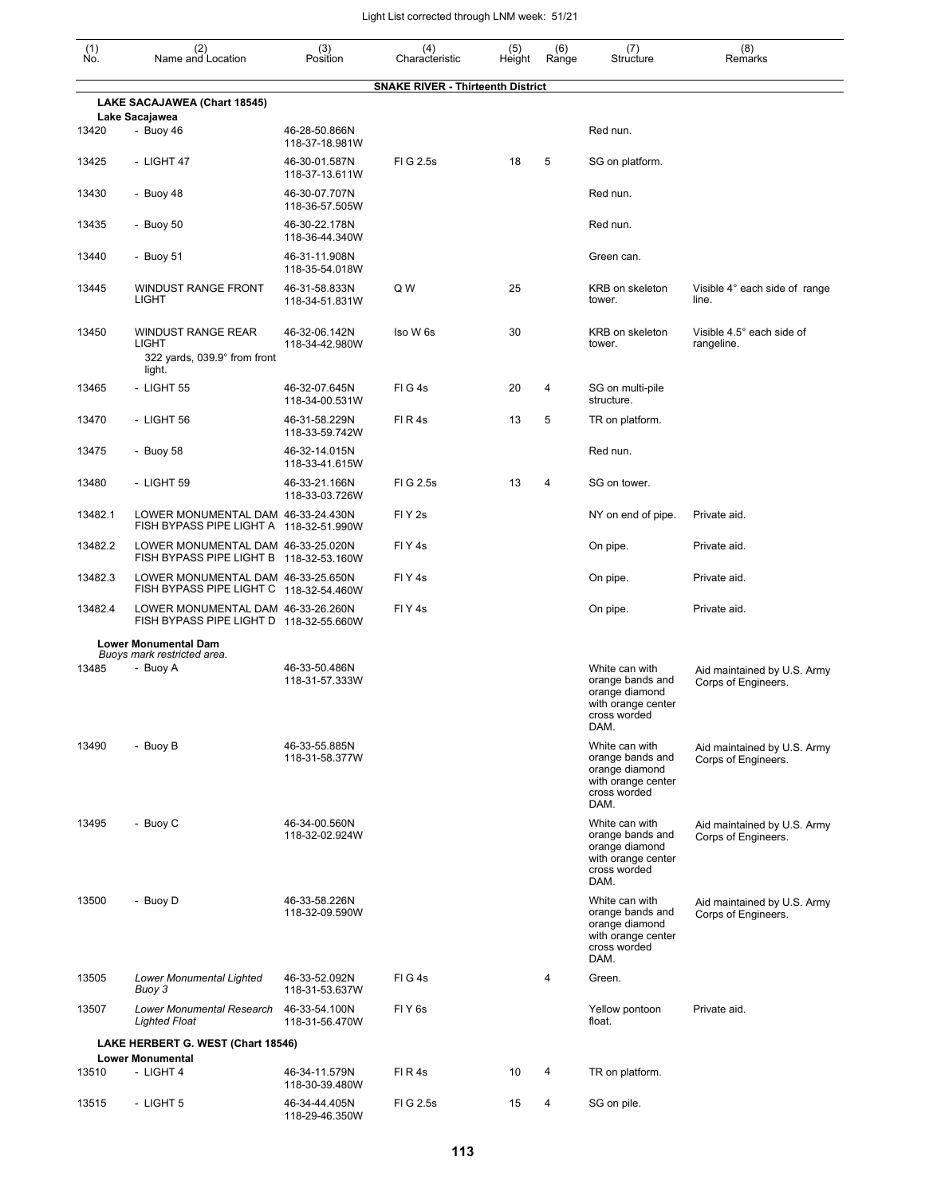| $(n)$<br>No. | (2)<br>Name and Location                                                            | (3)<br>Position                                   | (4)<br>Characteristic                    | (5)    | (6)<br>Range | (7)<br>Structure                                                                                   | (8)<br>Remarks                                     |
|--------------|-------------------------------------------------------------------------------------|---------------------------------------------------|------------------------------------------|--------|--------------|----------------------------------------------------------------------------------------------------|----------------------------------------------------|
|              |                                                                                     |                                                   | <b>SNAKE RIVER - Thirteenth District</b> | Height |              |                                                                                                    |                                                    |
|              | LAKE SACAJAWEA (Chart 18545)                                                        |                                                   |                                          |        |              |                                                                                                    |                                                    |
| 13420        | Lake Sacajawea<br>- Buoy 46                                                         | 46-28-50.866N                                     |                                          |        |              | Red nun.                                                                                           |                                                    |
| 13425        | - LIGHT 47                                                                          | 118-37-18.981W<br>46-30-01.587N                   | FIG 2.5s                                 | 18     | 5            | SG on platform.                                                                                    |                                                    |
| 13430        | - Buoy 48                                                                           | 118-37-13.611W<br>46-30-07.707N<br>118-36-57.505W |                                          |        |              | Red nun.                                                                                           |                                                    |
| 13435        | - Buoy 50                                                                           | 46-30-22.178N<br>118-36-44.340W                   |                                          |        |              | Red nun.                                                                                           |                                                    |
| 13440        | - Buoy 51                                                                           | 46-31-11.908N<br>118-35-54.018W                   |                                          |        |              | Green can.                                                                                         |                                                    |
| 13445        | <b>WINDUST RANGE FRONT</b><br><b>LIGHT</b>                                          | 46-31-58.833N<br>118-34-51.831W                   | Q W                                      | 25     |              | <b>KRB</b> on skeleton<br>tower.                                                                   | Visible 4° each side of range<br>line.             |
| 13450        | <b>WINDUST RANGE REAR</b><br><b>LIGHT</b><br>322 yards, 039.9° from front<br>light. | 46-32-06.142N<br>118-34-42.980W                   | Iso W 6s                                 | 30     |              | KRB on skeleton<br>tower.                                                                          | Visible 4.5° each side of<br>rangeline.            |
| 13465        | - LIGHT 55                                                                          | 46-32-07.645N<br>118-34-00.531W                   | FIG4s                                    | 20     | 4            | SG on multi-pile<br>structure.                                                                     |                                                    |
| 13470        | - LIGHT 56                                                                          | 46-31-58.229N<br>118-33-59.742W                   | FI R 4s                                  | 13     | 5            | TR on platform.                                                                                    |                                                    |
| 13475        | - Buoy 58                                                                           | 46-32-14.015N<br>118-33-41.615W                   |                                          |        |              | Red nun.                                                                                           |                                                    |
| 13480        | - LIGHT 59                                                                          | 46-33-21.166N<br>118-33-03.726W                   | FIG 2.5s                                 | 13     | 4            | SG on tower.                                                                                       |                                                    |
| 13482.1      | LOWER MONUMENTAL DAM 46-33-24.430N<br>FISH BYPASS PIPE LIGHT A 118-32-51.990W       |                                                   | FIY <sub>2s</sub>                        |        |              | NY on end of pipe.                                                                                 | Private aid.                                       |
| 13482.2      | LOWER MONUMENTAL DAM 46-33-25.020N<br>FISH BYPASS PIPE LIGHT B 118-32-53.160W       |                                                   | FIY <sub>4s</sub>                        |        |              | On pipe.                                                                                           | Private aid.                                       |
| 13482.3      | LOWER MONUMENTAL DAM 46-33-25.650N<br>FISH BYPASS PIPE LIGHT C 118-32-54.460W       |                                                   | FIY <sub>4s</sub>                        |        |              | On pipe.                                                                                           | Private aid.                                       |
| 13482.4      | LOWER MONUMENTAL DAM 46-33-26.260N<br>FISH BYPASS PIPE LIGHT D 118-32-55.660W       |                                                   | FIY <sub>4s</sub>                        |        |              | On pipe.                                                                                           | Private aid.                                       |
|              | <b>Lower Monumental Dam</b><br>Buoys mark restricted area.                          |                                                   |                                          |        |              |                                                                                                    |                                                    |
| 13485        | - Buoy A                                                                            | 46-33-50.486N<br>118-31-57.333W                   |                                          |        |              | White can with<br>orange bands and<br>orange diamond<br>with orange center<br>cross worded<br>DAM. | Aid maintained by U.S. Army<br>Corps of Engineers. |
| 13490        | - Buoy B                                                                            | 46-33-55.885N<br>118-31-58.377W                   |                                          |        |              | White can with<br>orange bands and<br>orange diamond<br>with orange center<br>cross worded<br>DAM. | Aid maintained by U.S. Army<br>Corps of Engineers. |
| 13495        | - Buoy C                                                                            | 46-34-00.560N<br>118-32-02.924W                   |                                          |        |              | White can with<br>orange bands and<br>orange diamond<br>with orange center<br>cross worded<br>DAM. | Aid maintained by U.S. Army<br>Corps of Engineers. |
| 13500        | - Buoy D                                                                            | 46-33-58.226N<br>118-32-09.590W                   |                                          |        |              | White can with<br>orange bands and<br>orange diamond<br>with orange center<br>cross worded<br>DAM. | Aid maintained by U.S. Army<br>Corps of Engineers. |
| 13505        | Lower Monumental Lighted<br>Buoy 3                                                  | 46-33-52.092N<br>118-31-53.637W                   | FIG4s                                    |        | 4            | Green.                                                                                             |                                                    |
| 13507        | Lower Monumental Research 46-33-54.100N<br><b>Lighted Float</b>                     | 118-31-56.470W                                    | FIY <sub>6s</sub>                        |        |              | Yellow pontoon<br>float.                                                                           | Private aid.                                       |
|              | LAKE HERBERT G. WEST (Chart 18546)<br><b>Lower Monumental</b>                       |                                                   |                                          |        |              |                                                                                                    |                                                    |
| 13510        | - LIGHT 4                                                                           | 46-34-11.579N<br>118-30-39.480W                   | FI R 4s                                  | 10     | 4            | TR on platform.                                                                                    |                                                    |
| 13515        | - LIGHT 5                                                                           | 46-34-44.405N                                     | FIG 2.5s                                 | 15     | 4            | SG on pile.                                                                                        |                                                    |

118-29-46.350W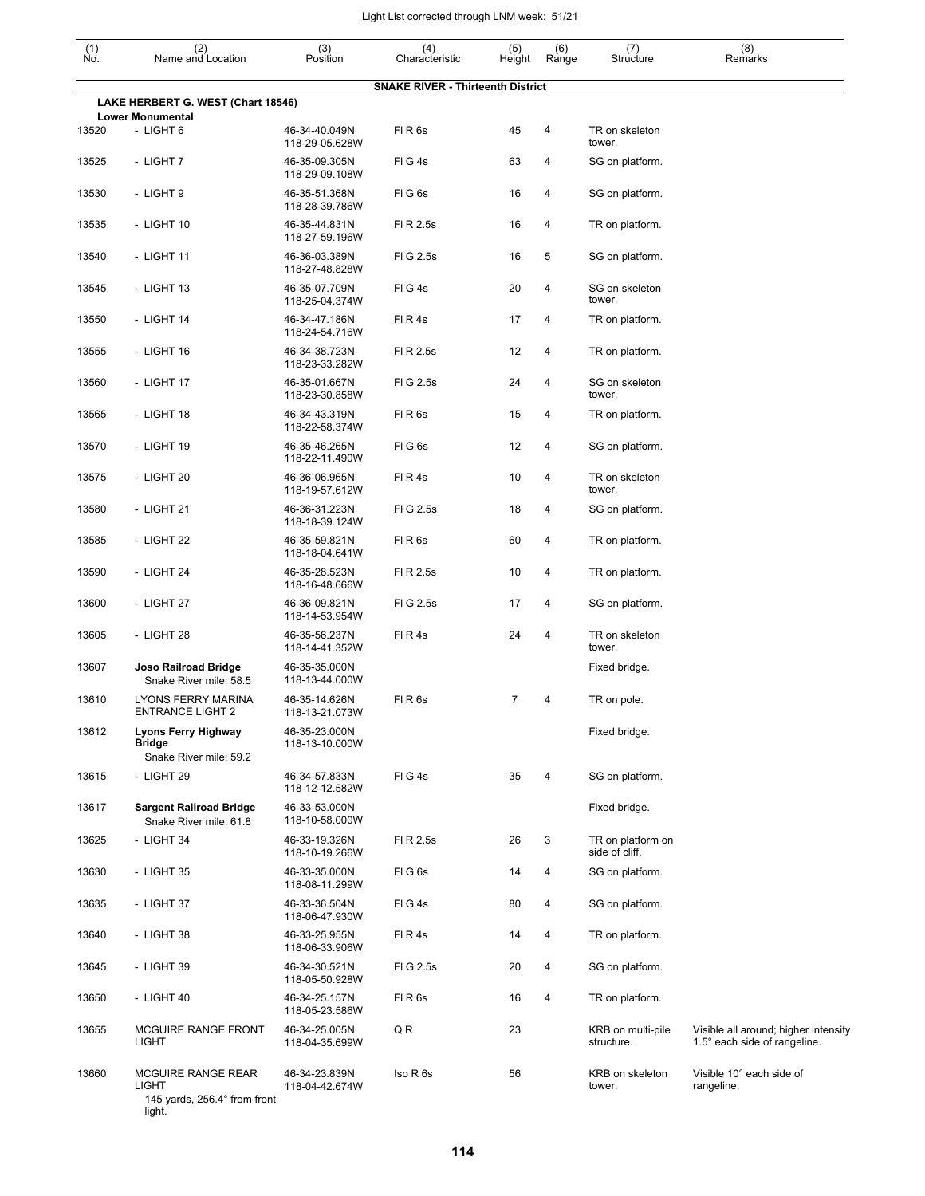| (1)<br>No. | (2)<br>Name and Location                                       | (3)<br>Position                 | (4)<br>Characteristic                    | (5)<br>Height | (6)<br>Range | (7)<br>Structure                    | (8)<br>Remarks                                                       |
|------------|----------------------------------------------------------------|---------------------------------|------------------------------------------|---------------|--------------|-------------------------------------|----------------------------------------------------------------------|
|            |                                                                |                                 | <b>SNAKE RIVER - Thirteenth District</b> |               |              |                                     |                                                                      |
|            | LAKE HERBERT G. WEST (Chart 18546)                             |                                 |                                          |               |              |                                     |                                                                      |
| 13520      | <b>Lower Monumental</b><br>- LIGHT 6                           | 46-34-40.049N<br>118-29-05.628W | FIR6s                                    | 45            | 4            | TR on skeleton<br>tower.            |                                                                      |
| 13525      | - LIGHT 7                                                      | 46-35-09.305N<br>118-29-09.108W | FIG4s                                    | 63            | 4            | SG on platform.                     |                                                                      |
| 13530      | - LIGHT 9                                                      | 46-35-51.368N<br>118-28-39.786W | FIG6s                                    | 16            | 4            | SG on platform.                     |                                                                      |
| 13535      | - LIGHT 10                                                     | 46-35-44.831N<br>118-27-59.196W | FI R 2.5s                                | 16            | 4            | TR on platform.                     |                                                                      |
| 13540      | - LIGHT 11                                                     | 46-36-03.389N<br>118-27-48.828W | FIG 2.5s                                 | 16            | 5            | SG on platform.                     |                                                                      |
| 13545      | - LIGHT 13                                                     | 46-35-07.709N<br>118-25-04.374W | FIG4s                                    | 20            | 4            | SG on skeleton<br>tower.            |                                                                      |
| 13550      | - LIGHT 14                                                     | 46-34-47.186N<br>118-24-54.716W | FIR4s                                    | 17            | 4            | TR on platform.                     |                                                                      |
| 13555      | - LIGHT 16                                                     | 46-34-38.723N<br>118-23-33.282W | FI R 2.5s                                | 12            | 4            | TR on platform.                     |                                                                      |
| 13560      | - LIGHT 17                                                     | 46-35-01.667N<br>118-23-30.858W | FIG 2.5s                                 | 24            | 4            | SG on skeleton<br>tower.            |                                                                      |
| 13565      | - LIGHT 18                                                     | 46-34-43.319N<br>118-22-58.374W | FIR6s                                    | 15            | 4            | TR on platform.                     |                                                                      |
| 13570      | - LIGHT 19                                                     | 46-35-46.265N<br>118-22-11.490W | FIG <sub>6s</sub>                        | 12            | 4            | SG on platform.                     |                                                                      |
| 13575      | - LIGHT 20                                                     | 46-36-06.965N<br>118-19-57.612W | FIR4s                                    | 10            | 4            | TR on skeleton<br>tower.            |                                                                      |
| 13580      | - LIGHT 21                                                     | 46-36-31.223N<br>118-18-39.124W | FIG 2.5s                                 | 18            | 4            | SG on platform.                     |                                                                      |
| 13585      | - LIGHT 22                                                     | 46-35-59.821N<br>118-18-04.641W | FIR6s                                    | 60            | 4            | TR on platform.                     |                                                                      |
| 13590      | - LIGHT 24                                                     | 46-35-28.523N<br>118-16-48.666W | FI R 2.5s                                | 10            | 4            | TR on platform.                     |                                                                      |
| 13600      | - LIGHT 27                                                     | 46-36-09.821N<br>118-14-53.954W | FIG 2.5s                                 | 17            | 4            | SG on platform.                     |                                                                      |
| 13605      | - LIGHT 28                                                     | 46-35-56.237N<br>118-14-41.352W | FIR4s                                    | 24            | 4            | TR on skeleton<br>tower.            |                                                                      |
| 13607      | <b>Joso Railroad Bridge</b><br>Snake River mile: 58.5          | 46-35-35.000N<br>118-13-44.000W |                                          |               |              | Fixed bridge.                       |                                                                      |
| 13610      | LYONS FERRY MARINA<br><b>ENTRANCE LIGHT 2</b>                  | 46-35-14.626N<br>118-13-21.073W | FIR6s                                    | 7             | 4            | TR on pole.                         |                                                                      |
| 13612      | Lyons Ferry Highway<br><b>Bridge</b><br>Snake River mile: 59.2 | 46-35-23.000N<br>118-13-10.000W |                                          |               |              | Fixed bridge.                       |                                                                      |
| 13615      | - LIGHT 29                                                     | 46-34-57.833N<br>118-12-12.582W | FIG4s                                    | 35            | 4            | SG on platform.                     |                                                                      |
| 13617      | <b>Sargent Railroad Bridge</b><br>Snake River mile: 61.8       | 46-33-53.000N<br>118-10-58.000W |                                          |               |              | Fixed bridge.                       |                                                                      |
| 13625      | - LIGHT 34                                                     | 46-33-19.326N<br>118-10-19.266W | FI R 2.5s                                | 26            | 3            | TR on platform on<br>side of cliff. |                                                                      |
| 13630      | - LIGHT 35                                                     | 46-33-35.000N<br>118-08-11.299W | FIG <sub>6s</sub>                        | 14            | 4            | SG on platform.                     |                                                                      |
| 13635      | - LIGHT 37                                                     | 46-33-36.504N<br>118-06-47.930W | FIG4s                                    | 80            | 4            | SG on platform.                     |                                                                      |
| 13640      | - LIGHT 38                                                     | 46-33-25.955N<br>118-06-33.906W | FIR4s                                    | 14            | 4            | TR on platform.                     |                                                                      |
| 13645      | - LIGHT 39                                                     | 46-34-30.521N<br>118-05-50.928W | FIG 2.5s                                 | 20            | 4            | SG on platform.                     |                                                                      |
| 13650      | - LIGHT 40                                                     | 46-34-25.157N<br>118-05-23.586W | FIR <sub>6s</sub>                        | 16            | 4            | TR on platform.                     |                                                                      |
| 13655      | MCGUIRE RANGE FRONT<br>LIGHT                                   | 46-34-25.005N<br>118-04-35.699W | QR                                       | 23            |              | KRB on multi-pile<br>structure.     | Visible all around; higher intensity<br>1.5° each side of rangeline. |
| 13660      | MCGUIRE RANGE REAR<br>LIGHT                                    | 46-34-23.839N<br>118-04-42.674W | Iso R 6s                                 | 56            |              | KRB on skeleton<br>tower.           | Visible 10° each side of<br>rangeline.                               |

145 yards, 256.4° from front light.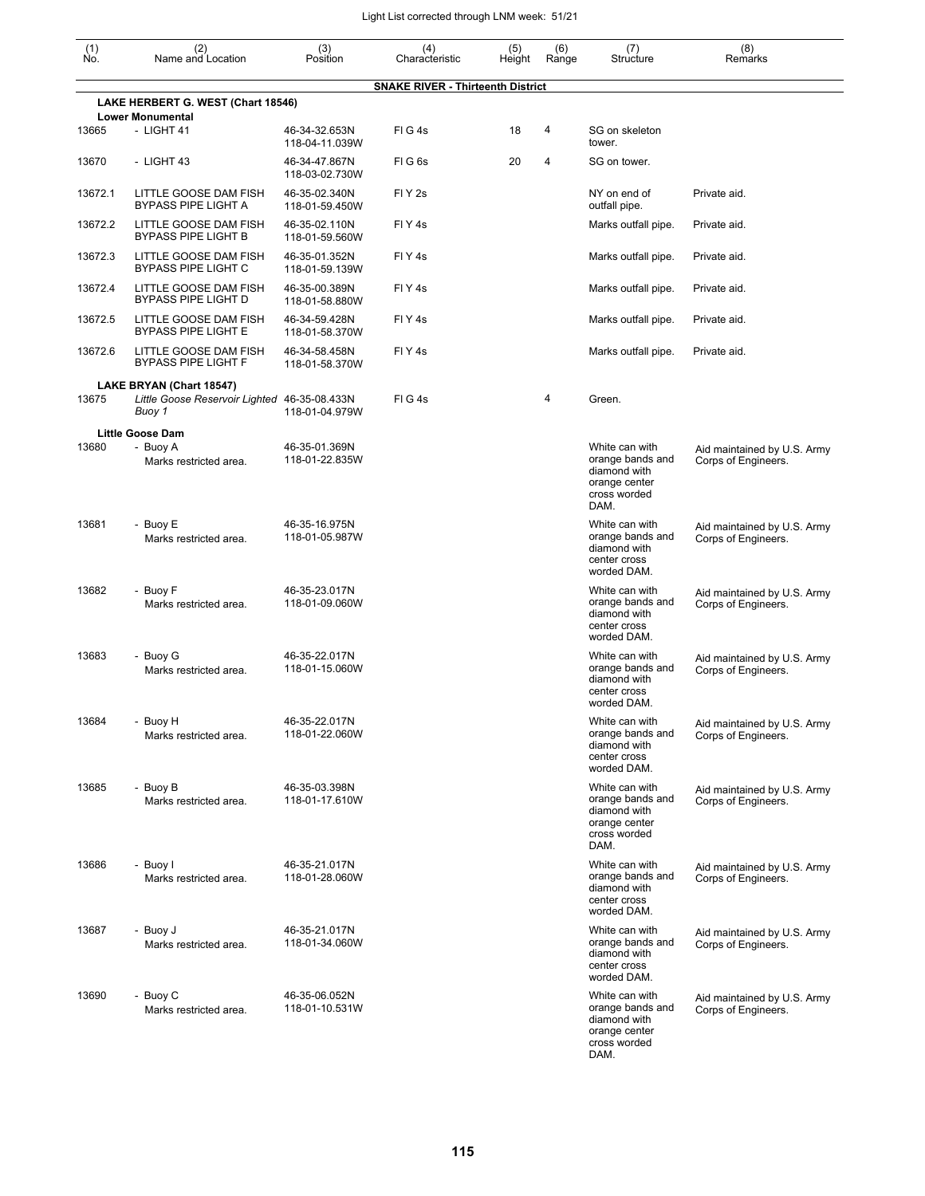| (1)<br>No. | (2)<br>Name and Location                                      | (3)<br>Position                 | (4)<br>Characteristic                    | (5)<br>Height | (6)<br>Range | (7)<br>Structure                                                                            | (8)<br>Remarks                                     |
|------------|---------------------------------------------------------------|---------------------------------|------------------------------------------|---------------|--------------|---------------------------------------------------------------------------------------------|----------------------------------------------------|
|            |                                                               |                                 | <b>SNAKE RIVER - Thirteenth District</b> |               |              |                                                                                             |                                                    |
|            | LAKE HERBERT G. WEST (Chart 18546)                            |                                 |                                          |               |              |                                                                                             |                                                    |
| 13665      | <b>Lower Monumental</b><br>- LIGHT 41                         | 46-34-32.653N<br>118-04-11.039W | FIG4s                                    | 18            | 4            | SG on skeleton<br>tower.                                                                    |                                                    |
| 13670      | - LIGHT 43                                                    | 46-34-47.867N<br>118-03-02.730W | FIG6s                                    | 20            | 4            | SG on tower.                                                                                |                                                    |
| 13672.1    | LITTLE GOOSE DAM FISH<br><b>BYPASS PIPE LIGHT A</b>           | 46-35-02.340N<br>118-01-59.450W | FIY <sub>2s</sub>                        |               |              | NY on end of<br>outfall pipe.                                                               | Private aid.                                       |
| 13672.2    | LITTLE GOOSE DAM FISH<br><b>BYPASS PIPE LIGHT B</b>           | 46-35-02.110N<br>118-01-59.560W | FIY <sub>4</sub> s                       |               |              | Marks outfall pipe.                                                                         | Private aid.                                       |
| 13672.3    | LITTLE GOOSE DAM FISH<br><b>BYPASS PIPE LIGHT C</b>           | 46-35-01.352N<br>118-01-59.139W | FIY <sub>4</sub> s                       |               |              | Marks outfall pipe.                                                                         | Private aid.                                       |
| 13672.4    | LITTLE GOOSE DAM FISH<br><b>BYPASS PIPE LIGHT D</b>           | 46-35-00.389N<br>118-01-58.880W | FIY <sub>4</sub> s                       |               |              | Marks outfall pipe.                                                                         | Private aid.                                       |
| 13672.5    | LITTLE GOOSE DAM FISH<br><b>BYPASS PIPE LIGHT E</b>           | 46-34-59.428N<br>118-01-58.370W | FIY <sub>4s</sub>                        |               |              | Marks outfall pipe.                                                                         | Private aid.                                       |
| 13672.6    | LITTLE GOOSE DAM FISH<br><b>BYPASS PIPE LIGHT F</b>           | 46-34-58.458N<br>118-01-58.370W | FIY <sub>4s</sub>                        |               |              | Marks outfall pipe.                                                                         | Private aid.                                       |
|            | LAKE BRYAN (Chart 18547)                                      |                                 |                                          |               |              |                                                                                             |                                                    |
| 13675      | Little Goose Reservoir Lighted 46-35-08.433N<br>Buoy 1        | 118-01-04.979W                  | FIG4s                                    |               | 4            | Green.                                                                                      |                                                    |
| 13680      | <b>Little Goose Dam</b><br>- Buoy A<br>Marks restricted area. | 46-35-01.369N<br>118-01-22.835W |                                          |               |              | White can with<br>orange bands and<br>diamond with<br>orange center<br>cross worded<br>DAM. | Aid maintained by U.S. Army<br>Corps of Engineers. |
| 13681      | - Buoy E<br>Marks restricted area.                            | 46-35-16.975N<br>118-01-05.987W |                                          |               |              | White can with<br>orange bands and<br>diamond with<br>center cross<br>worded DAM.           | Aid maintained by U.S. Army<br>Corps of Engineers. |
| 13682      | - Buoy F<br>Marks restricted area.                            | 46-35-23.017N<br>118-01-09.060W |                                          |               |              | White can with<br>orange bands and<br>diamond with<br>center cross<br>worded DAM.           | Aid maintained by U.S. Army<br>Corps of Engineers. |
| 13683      | - Buoy G<br>Marks restricted area.                            | 46-35-22.017N<br>118-01-15.060W |                                          |               |              | White can with<br>orange bands and<br>diamond with<br>center cross<br>worded DAM.           | Aid maintained by U.S. Army<br>Corps of Engineers. |
| 13684      | - Buoy H<br>Marks restricted area.                            | 46-35-22.017N<br>118-01-22.060W |                                          |               |              | White can with<br>orange bands and<br>diamond with<br>center cross<br>worded DAM.           | Aid maintained by U.S. Army<br>Corps of Engineers. |
| 13685      | - Buoy B<br>Marks restricted area.                            | 46-35-03.398N<br>118-01-17.610W |                                          |               |              | White can with<br>orange bands and<br>diamond with<br>orange center<br>cross worded<br>DAM. | Aid maintained by U.S. Army<br>Corps of Engineers. |
| 13686      | - Buoy I<br>Marks restricted area.                            | 46-35-21.017N<br>118-01-28.060W |                                          |               |              | White can with<br>orange bands and<br>diamond with<br>center cross<br>worded DAM.           | Aid maintained by U.S. Army<br>Corps of Engineers. |
| 13687      | - Buoy J<br>Marks restricted area.                            | 46-35-21.017N<br>118-01-34.060W |                                          |               |              | White can with<br>orange bands and<br>diamond with<br>center cross<br>worded DAM.           | Aid maintained by U.S. Army<br>Corps of Engineers. |
| 13690      | - Buoy C<br>Marks restricted area.                            | 46-35-06.052N<br>118-01-10.531W |                                          |               |              | White can with<br>orange bands and<br>diamond with<br>orange center<br>cross worded<br>DAM. | Aid maintained by U.S. Army<br>Corps of Engineers. |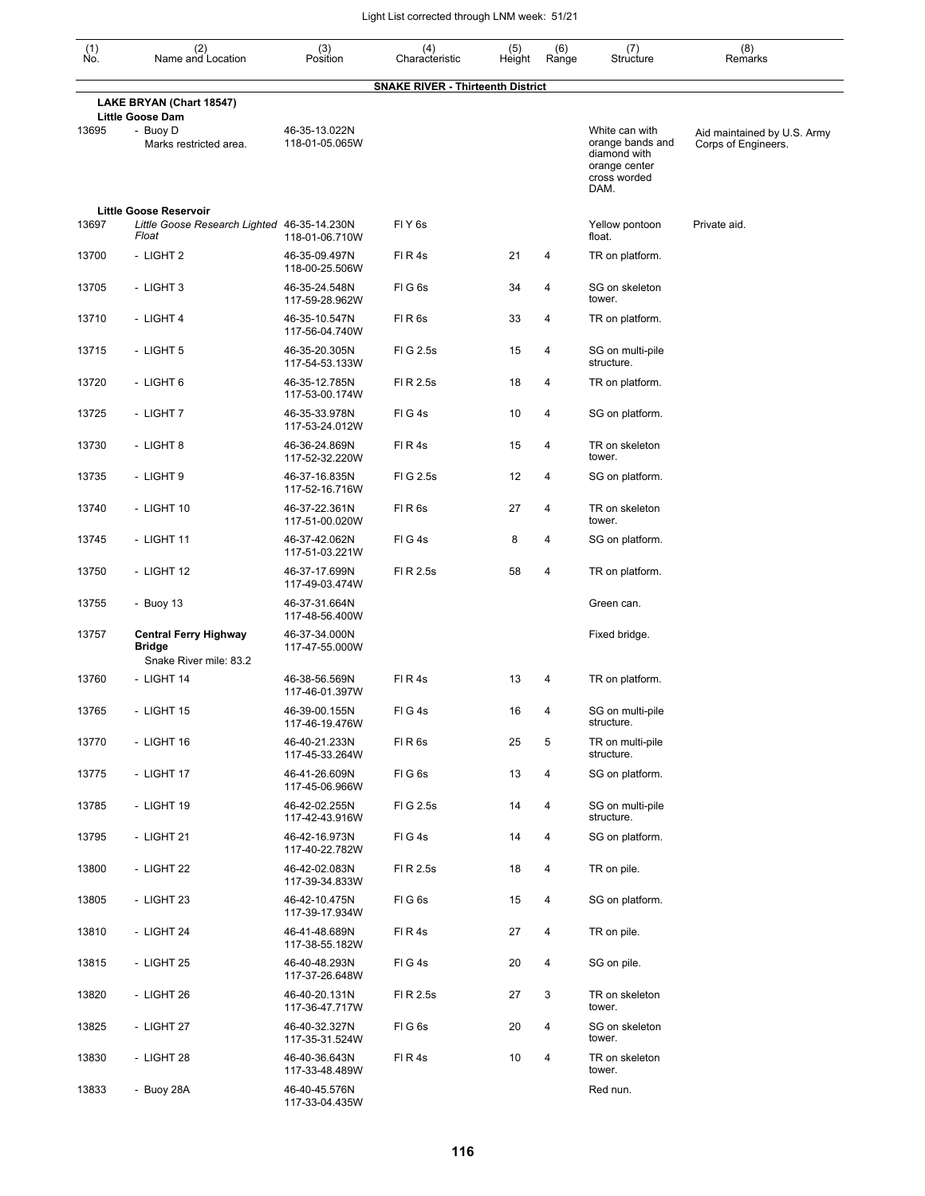| $\begin{smallmatrix} (1) \\ \mathsf{No} \end{smallmatrix}$ | (2)<br>Name and Location                                                | (3)<br>Position                 | (4)<br>Characteristic                    | (5)<br>Height | (6)<br>Range   | (7)<br>Structure                                                                            | (8)<br>Remarks                                     |
|------------------------------------------------------------|-------------------------------------------------------------------------|---------------------------------|------------------------------------------|---------------|----------------|---------------------------------------------------------------------------------------------|----------------------------------------------------|
|                                                            |                                                                         |                                 | <b>SNAKE RIVER - Thirteenth District</b> |               |                |                                                                                             |                                                    |
|                                                            | LAKE BRYAN (Chart 18547)<br><b>Little Goose Dam</b>                     |                                 |                                          |               |                |                                                                                             |                                                    |
| 13695                                                      | - Buoy D<br>Marks restricted area.                                      | 46-35-13.022N<br>118-01-05.065W |                                          |               |                | White can with<br>orange bands and<br>diamond with<br>orange center<br>cross worded<br>DAM. | Aid maintained by U.S. Army<br>Corps of Engineers. |
|                                                            | <b>Little Goose Reservoir</b>                                           |                                 |                                          |               |                |                                                                                             |                                                    |
| 13697                                                      | Little Goose Research Lighted 46-35-14.230N<br>Float                    | 118-01-06.710W                  | FIY <sub>6s</sub>                        |               |                | Yellow pontoon<br>float.                                                                    | Private aid.                                       |
| 13700                                                      | - LIGHT 2                                                               | 46-35-09.497N<br>118-00-25.506W | FIR4s                                    | 21            | 4              | TR on platform.                                                                             |                                                    |
| 13705                                                      | - LIGHT 3                                                               | 46-35-24.548N<br>117-59-28.962W | FIG <sub>6s</sub>                        | 34            | 4              | SG on skeleton<br>tower.                                                                    |                                                    |
| 13710                                                      | - LIGHT 4                                                               | 46-35-10.547N<br>117-56-04.740W | FIR6s                                    | 33            | 4              | TR on platform.                                                                             |                                                    |
| 13715                                                      | - LIGHT 5                                                               | 46-35-20.305N<br>117-54-53.133W | FIG 2.5s                                 | 15            | 4              | SG on multi-pile<br>structure.                                                              |                                                    |
| 13720                                                      | - LIGHT 6                                                               | 46-35-12.785N<br>117-53-00.174W | FI R 2.5s                                | 18            | 4              | TR on platform.                                                                             |                                                    |
| 13725                                                      | - LIGHT 7                                                               | 46-35-33.978N<br>117-53-24.012W | FIG4s                                    | 10            | $\overline{4}$ | SG on platform.                                                                             |                                                    |
| 13730                                                      | - LIGHT 8                                                               | 46-36-24.869N<br>117-52-32.220W | FIR4s                                    | 15            | 4              | TR on skeleton<br>tower.                                                                    |                                                    |
| 13735                                                      | - LIGHT 9                                                               | 46-37-16.835N<br>117-52-16.716W | FIG 2.5s                                 | 12            | $\overline{4}$ | SG on platform.                                                                             |                                                    |
| 13740                                                      | - LIGHT 10                                                              | 46-37-22.361N<br>117-51-00.020W | FIR6s                                    | 27            | 4              | TR on skeleton<br>tower.                                                                    |                                                    |
| 13745                                                      | - LIGHT 11                                                              | 46-37-42.062N<br>117-51-03.221W | FIG4s                                    | 8             | 4              | SG on platform.                                                                             |                                                    |
| 13750                                                      | - LIGHT 12                                                              | 46-37-17.699N<br>117-49-03.474W | FI R 2.5s                                | 58            | 4              | TR on platform.                                                                             |                                                    |
| 13755                                                      | - Buoy $13$                                                             | 46-37-31.664N<br>117-48-56.400W |                                          |               |                | Green can.                                                                                  |                                                    |
| 13757                                                      | <b>Central Ferry Highway</b><br><b>Bridge</b><br>Snake River mile: 83.2 | 46-37-34.000N<br>117-47-55.000W |                                          |               |                | Fixed bridge.                                                                               |                                                    |
| 13760                                                      | - LIGHT 14                                                              | 46-38-56.569N<br>117-46-01.397W | FIR4s                                    | 13            | 4              | TR on platform.                                                                             |                                                    |
| 13765                                                      | - LIGHT 15                                                              | 46-39-00.155N<br>117-46-19.476W | FIG4s                                    | 16            | 4              | SG on multi-pile<br>structure.                                                              |                                                    |
| 13770                                                      | - LIGHT 16                                                              | 46-40-21.233N<br>117-45-33.264W | FIR6s                                    | 25            | 5              | TR on multi-pile<br>structure.                                                              |                                                    |
| 13775                                                      | - LIGHT 17                                                              | 46-41-26.609N<br>117-45-06.966W | FIG6s                                    | 13            | 4              | SG on platform.                                                                             |                                                    |
| 13785                                                      | - LIGHT 19                                                              | 46-42-02.255N<br>117-42-43.916W | FIG 2.5s                                 | 14            | 4              | SG on multi-pile<br>structure.                                                              |                                                    |
| 13795                                                      | - LIGHT 21                                                              | 46-42-16.973N<br>117-40-22.782W | FIG4s                                    | 14            | 4              | SG on platform.                                                                             |                                                    |
| 13800                                                      | - LIGHT 22                                                              | 46-42-02.083N<br>117-39-34.833W | FI R 2.5s                                | 18            | 4              | TR on pile.                                                                                 |                                                    |
| 13805                                                      | - LIGHT 23                                                              | 46-42-10.475N<br>117-39-17.934W | FIG6s                                    | 15            | 4              | SG on platform.                                                                             |                                                    |
| 13810                                                      | - LIGHT 24                                                              | 46-41-48.689N<br>117-38-55.182W | FIR4s                                    | 27            | 4              | TR on pile.                                                                                 |                                                    |
| 13815                                                      | - LIGHT 25                                                              | 46-40-48.293N<br>117-37-26.648W | FIG4s                                    | 20            | 4              | SG on pile.                                                                                 |                                                    |
| 13820                                                      | - LIGHT 26                                                              | 46-40-20.131N<br>117-36-47.717W | FI R 2.5s                                | 27            | 3              | TR on skeleton<br>tower.                                                                    |                                                    |
| 13825                                                      | - LIGHT 27                                                              | 46-40-32.327N<br>117-35-31.524W | FIG6s                                    | 20            | 4              | SG on skeleton<br>tower.                                                                    |                                                    |
| 13830                                                      | - LIGHT 28                                                              | 46-40-36.643N<br>117-33-48.489W | FIR4s                                    | 10            | 4              | TR on skeleton<br>tower.                                                                    |                                                    |
| 13833                                                      | - Buoy 28A                                                              | 46-40-45.576N<br>117-33-04.435W |                                          |               |                | Red nun.                                                                                    |                                                    |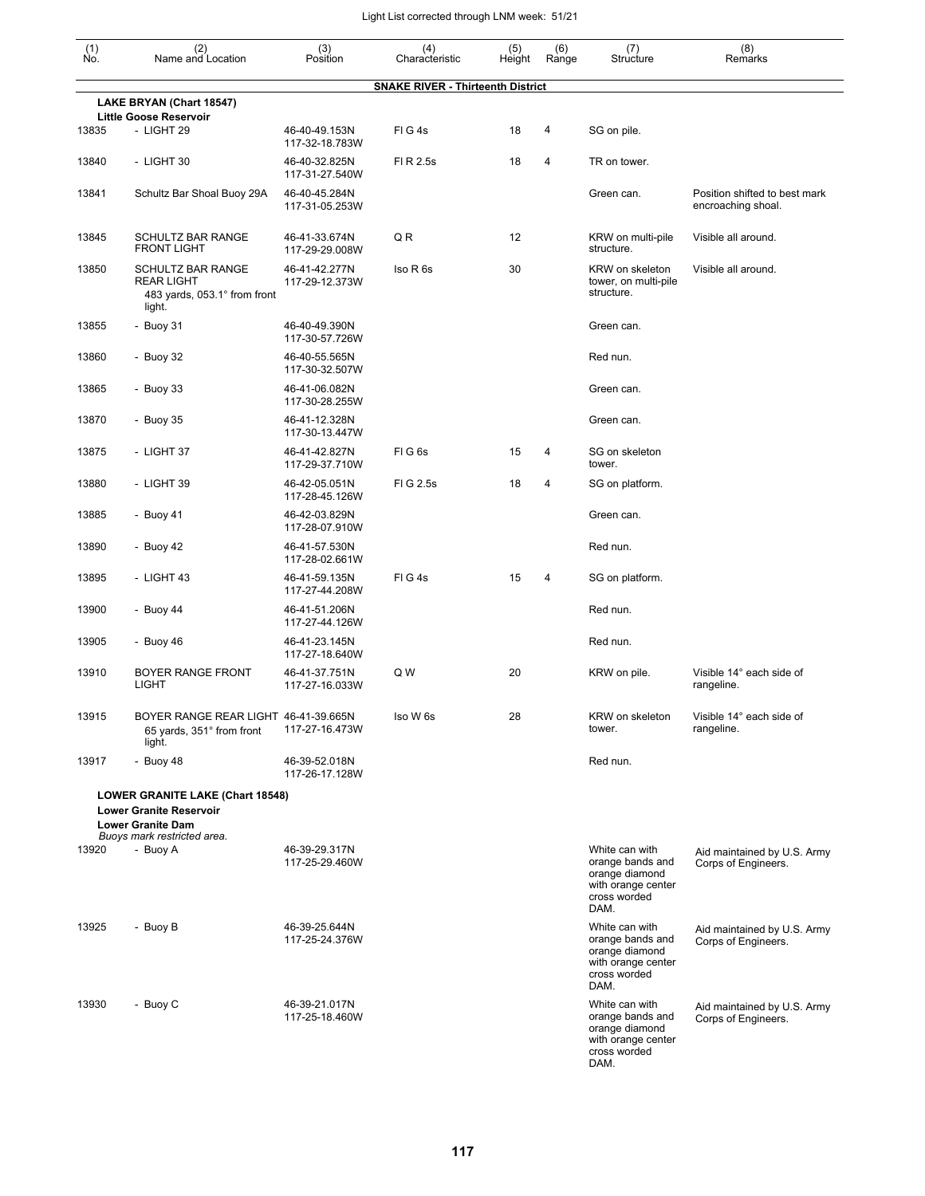| $\begin{smallmatrix} (1) \ N0. \end{smallmatrix}$ | (2)<br>Name and Location                                                                                                      | (3)<br>Position                 | (4)<br>Characteristic                    | (5)<br>Height | (6)<br>Range | (7)<br>Structure                                                                                   | (8)<br>Remarks                                      |
|---------------------------------------------------|-------------------------------------------------------------------------------------------------------------------------------|---------------------------------|------------------------------------------|---------------|--------------|----------------------------------------------------------------------------------------------------|-----------------------------------------------------|
|                                                   |                                                                                                                               |                                 | <b>SNAKE RIVER - Thirteenth District</b> |               |              |                                                                                                    |                                                     |
|                                                   | LAKE BRYAN (Chart 18547)                                                                                                      |                                 |                                          |               |              |                                                                                                    |                                                     |
| 13835                                             | <b>Little Goose Reservoir</b><br>- LIGHT 29                                                                                   | 46-40-49.153N<br>117-32-18.783W | FIG4s                                    | 18            | 4            | SG on pile.                                                                                        |                                                     |
| 13840                                             | - LIGHT 30                                                                                                                    | 46-40-32.825N<br>117-31-27.540W | FI R 2.5s                                | 18            | 4            | TR on tower.                                                                                       |                                                     |
| 13841                                             | Schultz Bar Shoal Buoy 29A                                                                                                    | 46-40-45.284N<br>117-31-05.253W |                                          |               |              | Green can.                                                                                         | Position shifted to best mark<br>encroaching shoal. |
| 13845                                             | SCHULTZ BAR RANGE<br><b>FRONT LIGHT</b>                                                                                       | 46-41-33.674N<br>117-29-29.008W | QR                                       | 12            |              | KRW on multi-pile<br>structure.                                                                    | Visible all around.                                 |
| 13850                                             | SCHULTZ BAR RANGE<br><b>REAR LIGHT</b><br>483 yards, 053.1° from front<br>light.                                              | 46-41-42.277N<br>117-29-12.373W | Iso R 6s                                 | 30            |              | KRW on skeleton<br>tower, on multi-pile<br>structure.                                              | Visible all around.                                 |
| 13855                                             | - Buoy 31                                                                                                                     | 46-40-49.390N<br>117-30-57.726W |                                          |               |              | Green can.                                                                                         |                                                     |
| 13860                                             | - Buoy 32                                                                                                                     | 46-40-55.565N<br>117-30-32.507W |                                          |               |              | Red nun.                                                                                           |                                                     |
| 13865                                             | - Buoy $33$                                                                                                                   | 46-41-06.082N<br>117-30-28.255W |                                          |               |              | Green can.                                                                                         |                                                     |
| 13870                                             | - Buoy 35                                                                                                                     | 46-41-12.328N<br>117-30-13.447W |                                          |               |              | Green can.                                                                                         |                                                     |
| 13875                                             | - LIGHT 37                                                                                                                    | 46-41-42.827N<br>117-29-37.710W | FIG6s                                    | 15            | 4            | SG on skeleton<br>tower.                                                                           |                                                     |
| 13880                                             | - LIGHT 39                                                                                                                    | 46-42-05.051N<br>117-28-45.126W | FIG 2.5s                                 | 18            | 4            | SG on platform.                                                                                    |                                                     |
| 13885                                             | - Buoy 41                                                                                                                     | 46-42-03.829N<br>117-28-07.910W |                                          |               |              | Green can.                                                                                         |                                                     |
| 13890                                             | - Buoy 42                                                                                                                     | 46-41-57.530N<br>117-28-02.661W |                                          |               |              | Red nun.                                                                                           |                                                     |
| 13895                                             | - LIGHT 43                                                                                                                    | 46-41-59.135N<br>117-27-44.208W | FIG4s                                    | 15            | 4            | SG on platform.                                                                                    |                                                     |
| 13900                                             | - Buoy $44$                                                                                                                   | 46-41-51.206N<br>117-27-44.126W |                                          |               |              | Red nun.                                                                                           |                                                     |
| 13905                                             | - Buoy $46$                                                                                                                   | 46-41-23.145N<br>117-27-18.640W |                                          |               |              | Red nun.                                                                                           |                                                     |
| 13910                                             | <b>BOYER RANGE FRONT</b><br><b>LIGHT</b>                                                                                      | 46-41-37.751N<br>117-27-16.033W | Q W                                      | 20            |              | KRW on pile.                                                                                       | Visible 14° each side of<br>rangeline.              |
| 13915                                             | BOYER RANGE REAR LIGHT 46-41-39.665N<br>65 yards, 351° from front<br>light.                                                   | 117-27-16.473W                  | Iso W 6s                                 | 28            |              | KRW on skeleton<br>tower.                                                                          | Visible 14° each side of<br>rangeline.              |
| 13917                                             | - Buoy 48                                                                                                                     | 46-39-52.018N<br>117-26-17.128W |                                          |               |              | Red nun.                                                                                           |                                                     |
|                                                   | LOWER GRANITE LAKE (Chart 18548)<br><b>Lower Granite Reservoir</b><br><b>Lower Granite Dam</b><br>Buoys mark restricted area. |                                 |                                          |               |              |                                                                                                    |                                                     |
| 13920                                             | - Buoy A                                                                                                                      | 46-39-29.317N<br>117-25-29.460W |                                          |               |              | White can with<br>orange bands and<br>orange diamond<br>with orange center<br>cross worded<br>DAM. | Aid maintained by U.S. Army<br>Corps of Engineers.  |
| 13925                                             | - Buoy B                                                                                                                      | 46-39-25.644N<br>117-25-24.376W |                                          |               |              | White can with<br>orange bands and<br>orange diamond<br>with orange center<br>cross worded<br>DAM. | Aid maintained by U.S. Army<br>Corps of Engineers.  |
| 13930                                             | - Buoy C                                                                                                                      | 46-39-21.017N<br>117-25-18.460W |                                          |               |              | White can with<br>orange bands and<br>orange diamond<br>with orange center<br>cross worded<br>DAM. | Aid maintained by U.S. Army<br>Corps of Engineers.  |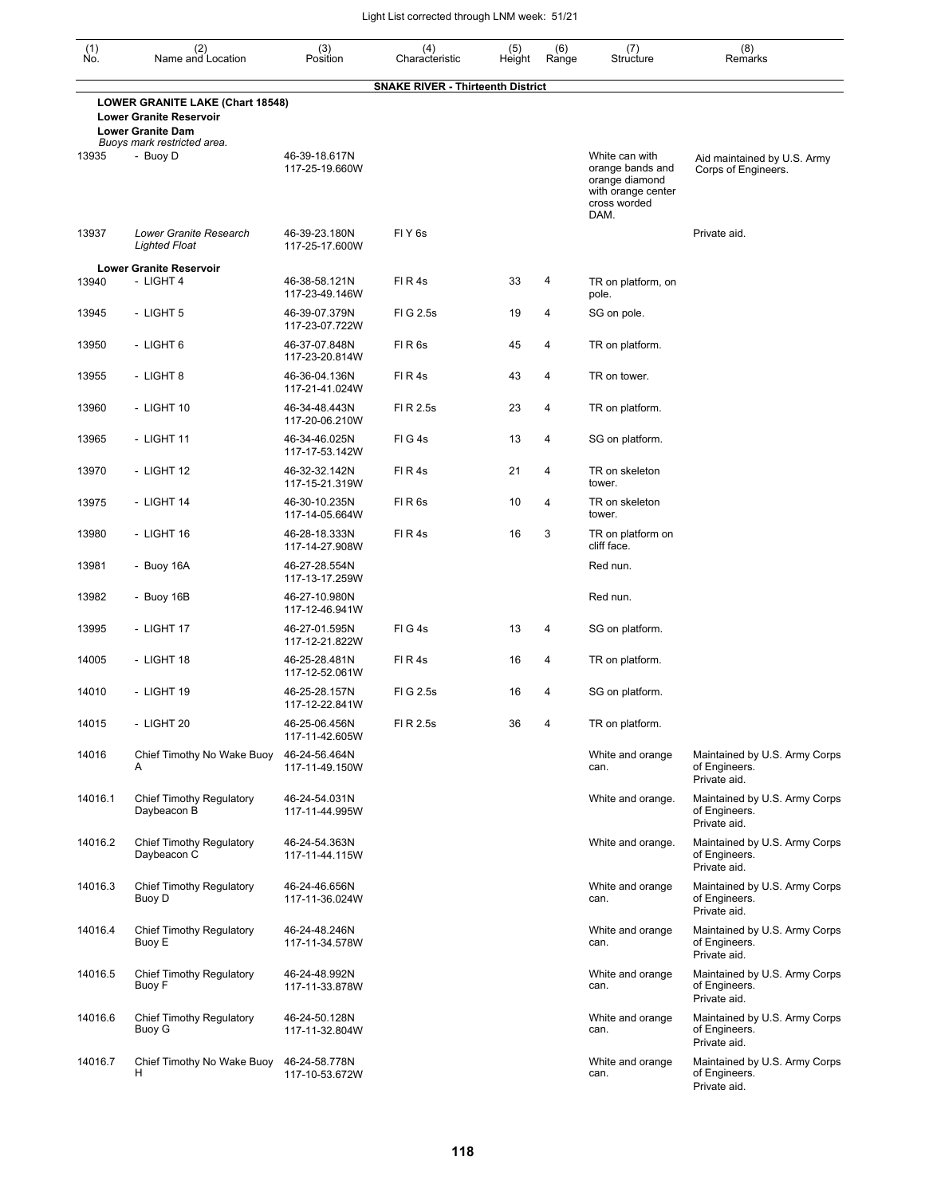| $\begin{smallmatrix} (1) \\ \mathsf{No} \end{smallmatrix}$ | (2)<br>Name and Location                                                                       | (3)<br>Position                 | (4)<br>Characteristic                    | (5)<br>Height | (6)<br>Range | (7)<br>Structure                                                                                   | (8)<br>Remarks                                                 |
|------------------------------------------------------------|------------------------------------------------------------------------------------------------|---------------------------------|------------------------------------------|---------------|--------------|----------------------------------------------------------------------------------------------------|----------------------------------------------------------------|
|                                                            |                                                                                                |                                 | <b>SNAKE RIVER - Thirteenth District</b> |               |              |                                                                                                    |                                                                |
|                                                            | LOWER GRANITE LAKE (Chart 18548)<br><b>Lower Granite Reservoir</b><br><b>Lower Granite Dam</b> |                                 |                                          |               |              |                                                                                                    |                                                                |
| 13935                                                      | Buoys mark restricted area.<br>- Buoy D                                                        | 46-39-18.617N<br>117-25-19.660W |                                          |               |              | White can with<br>orange bands and<br>orange diamond<br>with orange center<br>cross worded<br>DAM. | Aid maintained by U.S. Army<br>Corps of Engineers.             |
| 13937                                                      | Lower Granite Research<br><b>Lighted Float</b>                                                 | 46-39-23.180N<br>117-25-17.600W | FIY <sub>6s</sub>                        |               |              |                                                                                                    | Private aid.                                                   |
|                                                            | <b>Lower Granite Reservoir</b>                                                                 |                                 |                                          |               |              |                                                                                                    |                                                                |
| 13940                                                      | - LIGHT 4                                                                                      | 46-38-58.121N<br>117-23-49.146W | FIR4s                                    | 33            | 4            | TR on platform, on<br>pole.                                                                        |                                                                |
| 13945                                                      | - LIGHT 5                                                                                      | 46-39-07.379N<br>117-23-07.722W | FIG 2.5s                                 | 19            | 4            | SG on pole.                                                                                        |                                                                |
| 13950                                                      | - LIGHT 6                                                                                      | 46-37-07.848N<br>117-23-20.814W | FIR <sub>6s</sub>                        | 45            | 4            | TR on platform.                                                                                    |                                                                |
| 13955                                                      | - LIGHT 8                                                                                      | 46-36-04.136N<br>117-21-41.024W | FIR4s                                    | 43            | 4            | TR on tower.                                                                                       |                                                                |
| 13960                                                      | - LIGHT 10                                                                                     | 46-34-48.443N<br>117-20-06.210W | FI R 2.5s                                | 23            | 4            | TR on platform.                                                                                    |                                                                |
| 13965                                                      | - LIGHT 11                                                                                     | 46-34-46.025N<br>117-17-53.142W | FIG4s                                    | 13            | 4            | SG on platform.                                                                                    |                                                                |
| 13970                                                      | - LIGHT 12                                                                                     | 46-32-32.142N<br>117-15-21.319W | FIR4s                                    | 21            | 4            | TR on skeleton<br>tower.                                                                           |                                                                |
| 13975                                                      | - LIGHT 14                                                                                     | 46-30-10.235N<br>117-14-05.664W | FIR <sub>6s</sub>                        | 10            | 4            | TR on skeleton<br>tower.                                                                           |                                                                |
| 13980                                                      | - LIGHT 16                                                                                     | 46-28-18.333N<br>117-14-27.908W | FIR4s                                    | 16            | 3            | TR on platform on<br>cliff face.                                                                   |                                                                |
| 13981                                                      | - Buoy 16A                                                                                     | 46-27-28.554N<br>117-13-17.259W |                                          |               |              | Red nun.                                                                                           |                                                                |
| 13982                                                      | - Buoy 16B                                                                                     | 46-27-10.980N<br>117-12-46.941W |                                          |               |              | Red nun.                                                                                           |                                                                |
| 13995                                                      | - LIGHT 17                                                                                     | 46-27-01.595N<br>117-12-21.822W | FIG4s                                    | 13            | 4            | SG on platform.                                                                                    |                                                                |
| 14005                                                      | - LIGHT 18                                                                                     | 46-25-28.481N<br>117-12-52.061W | FIR4s                                    | 16            | 4            | TR on platform.                                                                                    |                                                                |
| 14010                                                      | - LIGHT 19                                                                                     | 46-25-28.157N<br>117-12-22.841W | FIG 2.5s                                 | 16            | 4            | SG on platform.                                                                                    |                                                                |
| 14015                                                      | - LIGHT 20                                                                                     | 46-25-06.456N<br>117-11-42.605W | FI R 2.5s                                | 36            | 4            | TR on platform.                                                                                    |                                                                |
| 14016                                                      | Chief Timothy No Wake Buoy<br>A                                                                | 46-24-56.464N<br>117-11-49.150W |                                          |               |              | White and orange<br>can.                                                                           | Maintained by U.S. Army Corps<br>of Engineers.<br>Private aid. |
| 14016.1                                                    | <b>Chief Timothy Regulatory</b><br>Daybeacon B                                                 | 46-24-54.031N<br>117-11-44.995W |                                          |               |              | White and orange.                                                                                  | Maintained by U.S. Army Corps<br>of Engineers.<br>Private aid. |
| 14016.2                                                    | Chief Timothy Regulatory<br>Daybeacon C                                                        | 46-24-54.363N<br>117-11-44.115W |                                          |               |              | White and orange.                                                                                  | Maintained by U.S. Army Corps<br>of Engineers.<br>Private aid. |
| 14016.3                                                    | <b>Chief Timothy Regulatory</b><br>Buoy D                                                      | 46-24-46.656N<br>117-11-36.024W |                                          |               |              | White and orange<br>can.                                                                           | Maintained by U.S. Army Corps<br>of Engineers.<br>Private aid. |
| 14016.4                                                    | <b>Chief Timothy Regulatory</b><br>Buoy E                                                      | 46-24-48.246N<br>117-11-34.578W |                                          |               |              | White and orange<br>can.                                                                           | Maintained by U.S. Army Corps<br>of Engineers.<br>Private aid. |
| 14016.5                                                    | <b>Chief Timothy Regulatory</b><br>Buoy F                                                      | 46-24-48.992N<br>117-11-33.878W |                                          |               |              | White and orange<br>can.                                                                           | Maintained by U.S. Army Corps<br>of Engineers.<br>Private aid. |
| 14016.6                                                    | <b>Chief Timothy Regulatory</b><br>Buoy G                                                      | 46-24-50.128N<br>117-11-32.804W |                                          |               |              | White and orange<br>can.                                                                           | Maintained by U.S. Army Corps<br>of Engineers.<br>Private aid. |
| 14016.7                                                    | Chief Timothy No Wake Buoy<br>н                                                                | 46-24-58.778N<br>117-10-53.672W |                                          |               |              | White and orange<br>can.                                                                           | Maintained by U.S. Army Corps<br>of Engineers.<br>Private aid. |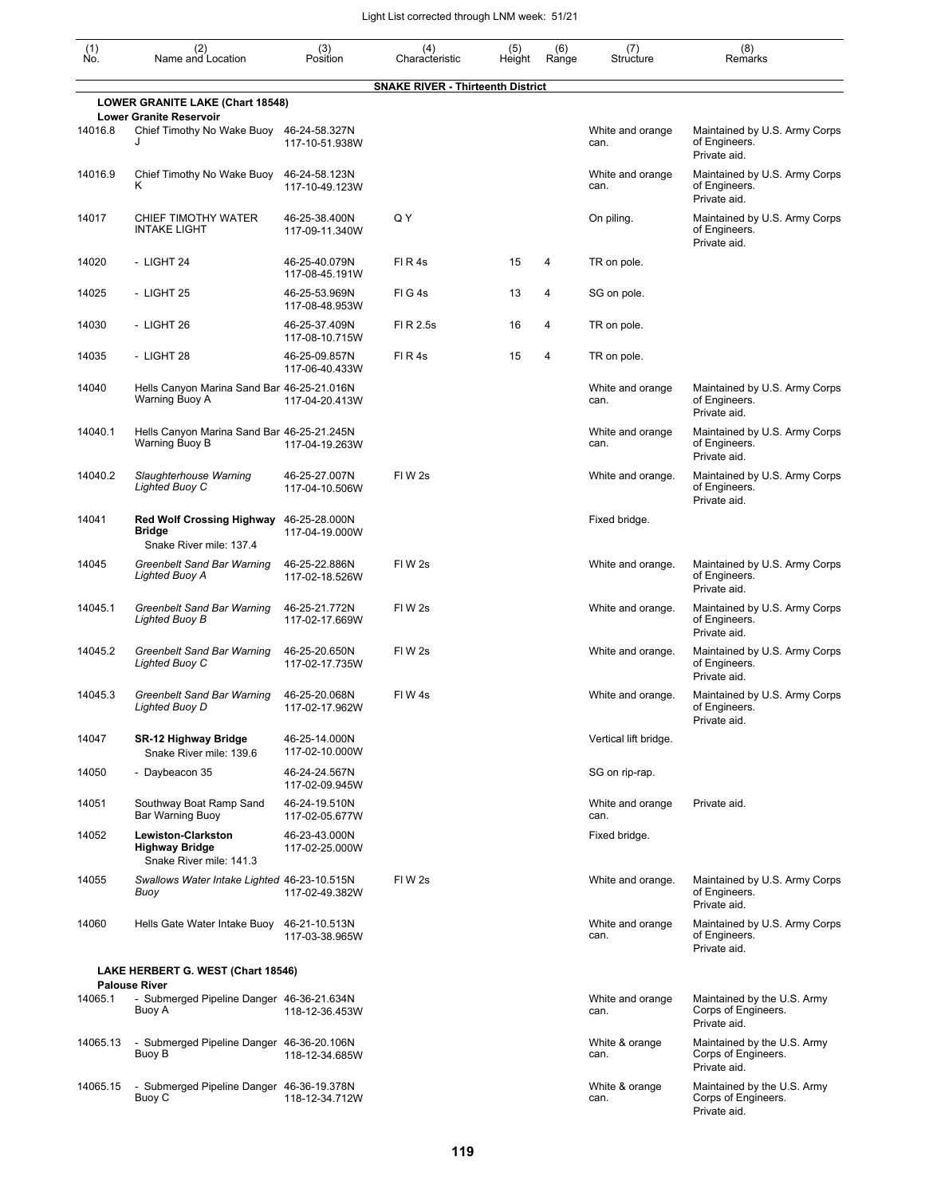| (1)<br>No. | (2)<br>Name and Location                                                     | (3)<br>Position                 | (4)<br>Characteristic                    | (5)<br>Height | (6)<br>Range | (7)<br>Structure         | (8)<br>Remarks                                                     |
|------------|------------------------------------------------------------------------------|---------------------------------|------------------------------------------|---------------|--------------|--------------------------|--------------------------------------------------------------------|
|            |                                                                              |                                 | <b>SNAKE RIVER - Thirteenth District</b> |               |              |                          |                                                                    |
|            | <b>LOWER GRANITE LAKE (Chart 18548)</b><br><b>Lower Granite Reservoir</b>    |                                 |                                          |               |              |                          |                                                                    |
| 14016.8    | Chief Timothy No Wake Buoy<br>J                                              | 46-24-58.327N<br>117-10-51.938W |                                          |               |              | White and orange<br>can. | Maintained by U.S. Army Corps<br>of Engineers.<br>Private aid.     |
| 14016.9    | Chief Timothy No Wake Buoy<br>ĸ                                              | 46-24-58.123N<br>117-10-49.123W |                                          |               |              | White and orange<br>can. | Maintained by U.S. Army Corps<br>of Engineers.<br>Private aid.     |
| 14017      | CHIEF TIMOTHY WATER<br><b>INTAKE LIGHT</b>                                   | 46-25-38.400N<br>117-09-11.340W | Q Y                                      |               |              | On piling.               | Maintained by U.S. Army Corps<br>of Engineers.<br>Private aid.     |
| 14020      | - LIGHT 24                                                                   | 46-25-40.079N<br>117-08-45.191W | FIR4s                                    | 15            | 4            | TR on pole.              |                                                                    |
| 14025      | - LIGHT 25                                                                   | 46-25-53.969N<br>117-08-48.953W | FIG4s                                    | 13            | 4            | SG on pole.              |                                                                    |
| 14030      | - LIGHT 26                                                                   | 46-25-37.409N<br>117-08-10.715W | FI R 2.5s                                | 16            | 4            | TR on pole.              |                                                                    |
| 14035      | - LIGHT 28                                                                   | 46-25-09.857N<br>117-06-40.433W | FIR4s                                    | 15            | 4            | TR on pole.              |                                                                    |
| 14040      | Hells Canyon Marina Sand Bar 46-25-21.016N<br>Warning Buoy A                 | 117-04-20.413W                  |                                          |               |              | White and orange<br>can. | Maintained by U.S. Army Corps<br>of Engineers.<br>Private aid.     |
| 14040.1    | Hells Canyon Marina Sand Bar 46-25-21.245N<br>Warning Buoy B                 | 117-04-19.263W                  |                                          |               |              | White and orange<br>can. | Maintained by U.S. Army Corps<br>of Engineers.<br>Private aid.     |
| 14040.2    | Slaughterhouse Warning<br>Lighted Buoy C                                     | 46-25-27.007N<br>117-04-10.506W | FIW <sub>2s</sub>                        |               |              | White and orange.        | Maintained by U.S. Army Corps<br>of Engineers.<br>Private aid.     |
| 14041      | <b>Red Wolf Crossing Highway</b><br><b>Bridge</b><br>Snake River mile: 137.4 | 46-25-28.000N<br>117-04-19.000W |                                          |               |              | Fixed bridge.            |                                                                    |
| 14045      | <b>Greenbelt Sand Bar Warning</b><br>Lighted Buoy A                          | 46-25-22.886N<br>117-02-18.526W | FIW <sub>2s</sub>                        |               |              | White and orange.        | Maintained by U.S. Army Corps<br>of Engineers.<br>Private aid.     |
| 14045.1    | <b>Greenbelt Sand Bar Warning</b><br>Lighted Buoy B                          | 46-25-21.772N<br>117-02-17.669W | FIW <sub>2s</sub>                        |               |              | White and orange.        | Maintained by U.S. Army Corps<br>of Engineers.<br>Private aid.     |
| 14045.2    | <b>Greenbelt Sand Bar Warning</b><br>Lighted Buoy C                          | 46-25-20.650N<br>117-02-17.735W | FIW <sub>2s</sub>                        |               |              | White and orange.        | Maintained by U.S. Army Corps<br>of Engineers.<br>Private aid.     |
| 14045.3    | <b>Greenbelt Sand Bar Warning</b><br>Lighted Buoy D                          | 46-25-20.068N<br>117-02-17.962W | FIW4s                                    |               |              | White and orange.        | Maintained by U.S. Army Corps<br>of Engineers.<br>Private aid.     |
| 14047      | SR-12 Highway Bridge<br>Snake River mile: 139.6                              | 46-25-14.000N<br>117-02-10.000W |                                          |               |              | Vertical lift bridge.    |                                                                    |
| 14050      | - Daybeacon 35                                                               | 46-24-24.567N<br>117-02-09.945W |                                          |               |              | SG on rip-rap.           |                                                                    |
| 14051      | Southway Boat Ramp Sand<br>Bar Warning Buoy                                  | 46-24-19.510N<br>117-02-05.677W |                                          |               |              | White and orange<br>can. | Private aid.                                                       |
| 14052      | Lewiston-Clarkston<br><b>Highway Bridge</b><br>Snake River mile: 141.3       | 46-23-43.000N<br>117-02-25.000W |                                          |               |              | Fixed bridge.            |                                                                    |
| 14055      | Swallows Water Intake Lighted 46-23-10.515N<br>Buoy                          | 117-02-49.382W                  | FI W 2s                                  |               |              | White and orange.        | Maintained by U.S. Army Corps<br>of Engineers.<br>Private aid.     |
| 14060      | Hells Gate Water Intake Buoy 46-21-10.513N                                   | 117-03-38.965W                  |                                          |               |              | White and orange<br>can. | Maintained by U.S. Army Corps<br>of Engineers.<br>Private aid.     |
|            | LAKE HERBERT G. WEST (Chart 18546)<br><b>Palouse River</b>                   |                                 |                                          |               |              |                          |                                                                    |
| 14065.1    | - Submerged Pipeline Danger 46-36-21.634N<br>Buoy A                          | 118-12-36.453W                  |                                          |               |              | White and orange<br>can. | Maintained by the U.S. Army<br>Corps of Engineers.                 |
| 14065.13   | - Submerged Pipeline Danger 46-36-20.106N                                    |                                 |                                          |               |              | White & orange           | Private aid.<br>Maintained by the U.S. Army                        |
|            | Buoy B                                                                       | 118-12-34.685W                  |                                          |               |              | can.                     | Corps of Engineers.<br>Private aid.                                |
| 14065.15   | - Submerged Pipeline Danger 46-36-19.378N<br>Buoy C                          | 118-12-34.712W                  |                                          |               |              | White & orange<br>can.   | Maintained by the U.S. Army<br>Corps of Engineers.<br>Private aid. |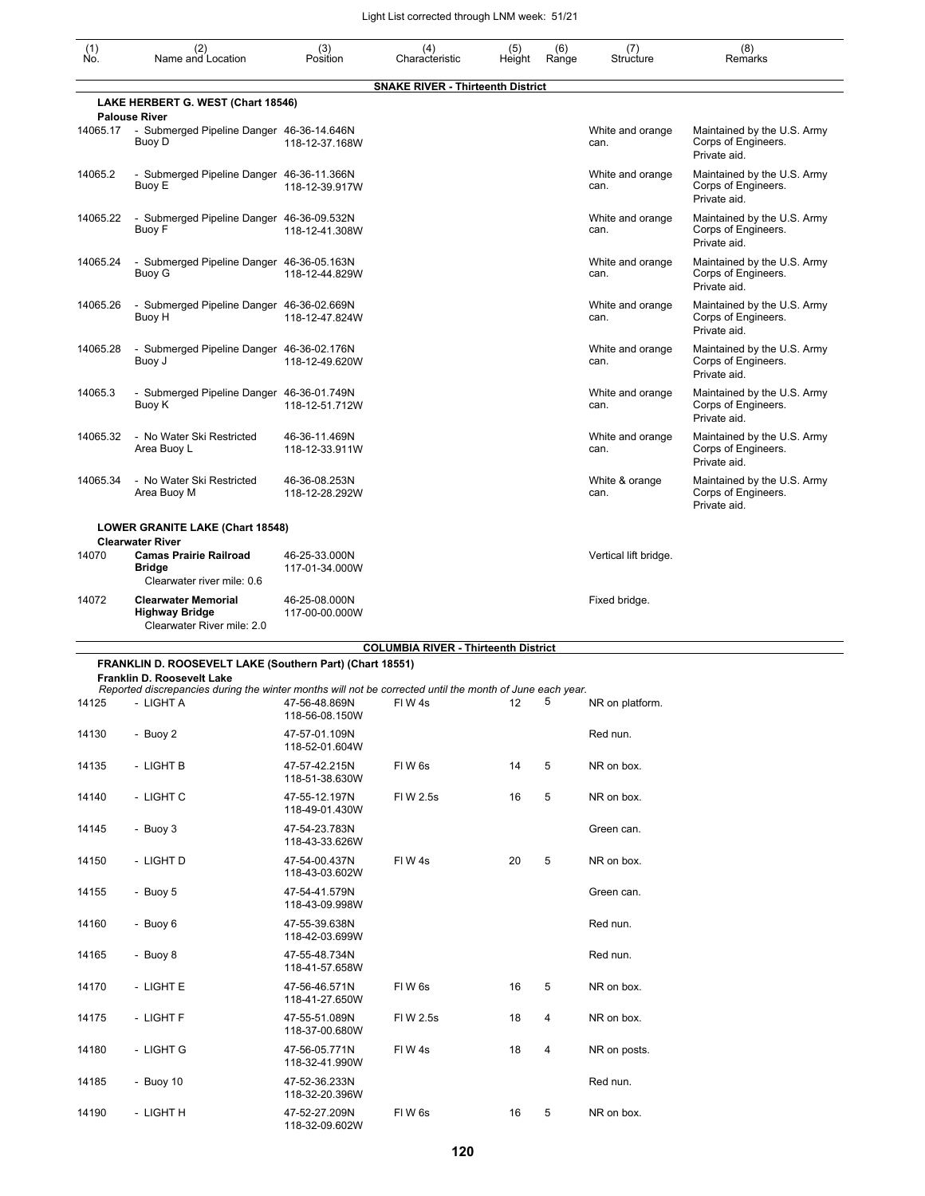| (1)<br>No. | (2)<br>Name and Location                                                                                                               | (3)<br>Position                 | (4)<br>Characteristic                       | (5)<br>Height | (6)<br>Range | (7)<br>Structure         | (8)<br>Remarks                                                     |
|------------|----------------------------------------------------------------------------------------------------------------------------------------|---------------------------------|---------------------------------------------|---------------|--------------|--------------------------|--------------------------------------------------------------------|
|            |                                                                                                                                        |                                 | <b>SNAKE RIVER - Thirteenth District</b>    |               |              |                          |                                                                    |
|            | LAKE HERBERT G. WEST (Chart 18546)<br><b>Palouse River</b>                                                                             |                                 |                                             |               |              |                          |                                                                    |
| 14065.17   | - Submerged Pipeline Danger 46-36-14.646N<br>Buoy D                                                                                    | 118-12-37.168W                  |                                             |               |              | White and orange<br>can. | Maintained by the U.S. Army<br>Corps of Engineers.<br>Private aid. |
| 14065.2    | - Submerged Pipeline Danger 46-36-11.366N<br>Buoy E                                                                                    | 118-12-39.917W                  |                                             |               |              | White and orange<br>can. | Maintained by the U.S. Army<br>Corps of Engineers.<br>Private aid. |
| 14065.22   | - Submerged Pipeline Danger 46-36-09.532N<br>Buoy F                                                                                    | 118-12-41.308W                  |                                             |               |              | White and orange<br>can. | Maintained by the U.S. Army<br>Corps of Engineers.<br>Private aid. |
| 14065.24   | - Submerged Pipeline Danger 46-36-05.163N<br>Buoy G                                                                                    | 118-12-44.829W                  |                                             |               |              | White and orange<br>can. | Maintained by the U.S. Army<br>Corps of Engineers.<br>Private aid. |
| 14065.26   | - Submerged Pipeline Danger 46-36-02.669N<br>Buoy H                                                                                    | 118-12-47.824W                  |                                             |               |              | White and orange<br>can. | Maintained by the U.S. Army<br>Corps of Engineers.<br>Private aid. |
| 14065.28   | - Submerged Pipeline Danger 46-36-02.176N<br>Buoy J                                                                                    | 118-12-49.620W                  |                                             |               |              | White and orange<br>can. | Maintained by the U.S. Army<br>Corps of Engineers.<br>Private aid. |
| 14065.3    | - Submerged Pipeline Danger 46-36-01.749N<br>Buoy K                                                                                    | 118-12-51.712W                  |                                             |               |              | White and orange<br>can. | Maintained by the U.S. Army<br>Corps of Engineers.<br>Private aid. |
| 14065.32   | - No Water Ski Restricted<br>Area Buoy L                                                                                               | 46-36-11.469N<br>118-12-33.911W |                                             |               |              | White and orange<br>can. | Maintained by the U.S. Army<br>Corps of Engineers.<br>Private aid. |
| 14065.34   | - No Water Ski Restricted<br>Area Buoy M                                                                                               | 46-36-08.253N<br>118-12-28.292W |                                             |               |              | White & orange<br>can.   | Maintained by the U.S. Army<br>Corps of Engineers.<br>Private aid. |
|            | LOWER GRANITE LAKE (Chart 18548)                                                                                                       |                                 |                                             |               |              |                          |                                                                    |
|            | <b>Clearwater River</b>                                                                                                                |                                 |                                             |               |              |                          |                                                                    |
| 14070      | <b>Camas Prairie Railroad</b><br><b>Bridge</b><br>Clearwater river mile: 0.6                                                           | 46-25-33.000N<br>117-01-34.000W |                                             |               |              | Vertical lift bridge.    |                                                                    |
| 14072      | <b>Clearwater Memorial</b><br><b>Highway Bridge</b><br>Clearwater River mile: 2.0                                                      | 46-25-08.000N<br>117-00-00.000W |                                             |               |              | Fixed bridge.            |                                                                    |
|            |                                                                                                                                        |                                 | <b>COLUMBIA RIVER - Thirteenth District</b> |               |              |                          |                                                                    |
|            | FRANKLIN D. ROOSEVELT LAKE (Southern Part) (Chart 18551)                                                                               |                                 |                                             |               |              |                          |                                                                    |
|            | Franklin D. Roosevelt Lake<br>Reported discrepancies during the winter months will not be corrected until the month of June each year. |                                 |                                             |               |              |                          |                                                                    |
| 14125      | - LIGHT A                                                                                                                              | 47-56-48.869N<br>118-56-08.150W | FIW4s                                       | 12            | 5            | NR on platform.          |                                                                    |
| 14130      | - Buoy 2                                                                                                                               | 47-57-01.109N<br>118-52-01.604W |                                             |               |              | Red nun.                 |                                                                    |
| 14135      | - LIGHT B                                                                                                                              | 47-57-42.215N<br>118-51-38.630W | FIW 6s                                      | 14            | 5            | NR on box.               |                                                                    |
| 14140      | - LIGHT C                                                                                                                              | 47-55-12.197N<br>118-49-01.430W | FIW 2.5s                                    | 16            | 5            | NR on box.               |                                                                    |
| 14145      | - Buoy 3                                                                                                                               | 47-54-23.783N<br>118-43-33.626W |                                             |               |              | Green can.               |                                                                    |
| 14150      | - LIGHT D                                                                                                                              | 47-54-00.437N<br>118-43-03.602W | FIW4s                                       | 20            | 5            | NR on box.               |                                                                    |
| 14155      | - Buoy 5                                                                                                                               | 47-54-41.579N<br>118-43-09.998W |                                             |               |              | Green can.               |                                                                    |
| 14160      | - Buoy 6                                                                                                                               | 47-55-39.638N<br>118-42-03.699W |                                             |               |              | Red nun.                 |                                                                    |
| 14165      | - Buoy 8                                                                                                                               | 47-55-48.734N<br>118-41-57.658W |                                             |               |              | Red nun.                 |                                                                    |
| 14170      | - LIGHT E                                                                                                                              | 47-56-46.571N<br>118-41-27.650W | FIW 6s                                      | 16            | 5            | NR on box.               |                                                                    |
| 14175      | - LIGHT F                                                                                                                              | 47-55-51.089N<br>118-37-00.680W | FI W 2.5s                                   | 18            | 4            | NR on box.               |                                                                    |
| 14180      | - LIGHT G                                                                                                                              | 47-56-05.771N<br>118-32-41.990W | FIW4s                                       | 18            | 4            | NR on posts.             |                                                                    |
| 14185      | - Buoy $10$                                                                                                                            | 47-52-36.233N<br>118-32-20.396W |                                             |               |              | Red nun.                 |                                                                    |
| 14190      | - LIGHT H                                                                                                                              | 47-52-27.209N                   | FIW6s                                       | 16            | 5            | NR on box.               |                                                                    |

118-32-09.602W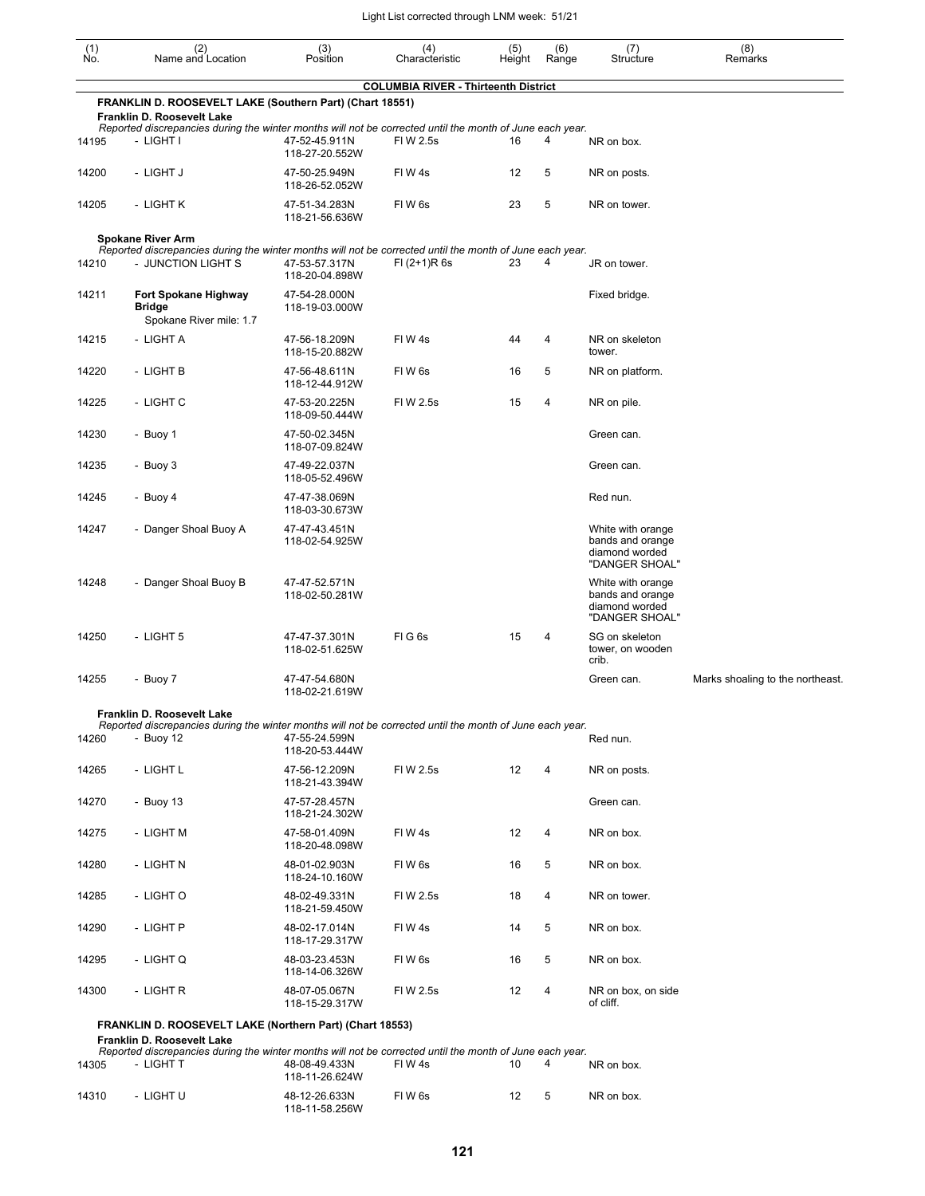| (1)<br>Ño. | (2)<br>Name and Location                                                                                                                            | (3)<br>Position                                   | (4)<br>Characteristic                       | (5)<br>Height | (6)<br>Range | (7)<br>Structure                                                          | (8)<br>Remarks                   |  |  |  |
|------------|-----------------------------------------------------------------------------------------------------------------------------------------------------|---------------------------------------------------|---------------------------------------------|---------------|--------------|---------------------------------------------------------------------------|----------------------------------|--|--|--|
|            | FRANKLIN D. ROOSEVELT LAKE (Southern Part) (Chart 18551)                                                                                            |                                                   | <b>COLUMBIA RIVER - Thirteenth District</b> |               |              |                                                                           |                                  |  |  |  |
|            | Franklin D. Roosevelt Lake                                                                                                                          |                                                   |                                             |               |              |                                                                           |                                  |  |  |  |
| 14195      | Reported discrepancies during the winter months will not be corrected until the month of June each year.<br>- LIGHT I                               | 47-52-45.911N<br>118-27-20.552W                   | FI W 2.5s                                   | 16            | 4            | NR on box.                                                                |                                  |  |  |  |
| 14200      | - LIGHT J                                                                                                                                           | 47-50-25.949N<br>118-26-52.052W                   | FIW4s                                       | 12            | 5            | NR on posts.                                                              |                                  |  |  |  |
| 14205      | - LIGHT K                                                                                                                                           | 47-51-34.283N<br>118-21-56.636W                   | FIW <sub>6s</sub>                           | 23            | 5            | NR on tower.                                                              |                                  |  |  |  |
|            | <b>Spokane River Arm</b><br>Reported discrepancies during the winter months will not be corrected until the month of June each year.                |                                                   |                                             |               |              |                                                                           |                                  |  |  |  |
| 14210      | - JUNCTION LIGHT S                                                                                                                                  | 47-53-57.317N<br>118-20-04.898W                   | $FI (2+1)R 6s$                              | 23            | 4            | JR on tower.                                                              |                                  |  |  |  |
| 14211      | Fort Spokane Highway<br><b>Bridge</b><br>Spokane River mile: 1.7                                                                                    | 47-54-28.000N<br>118-19-03.000W                   |                                             |               |              | Fixed bridge.                                                             |                                  |  |  |  |
| 14215      | - LIGHT A                                                                                                                                           | 47-56-18.209N<br>118-15-20.882W                   | FIW4s                                       | 44            | 4            | NR on skeleton<br>tower.                                                  |                                  |  |  |  |
| 14220      | - LIGHT B                                                                                                                                           | 47-56-48.611N<br>118-12-44.912W                   | FIW <sub>6s</sub>                           | 16            | 5            | NR on platform.                                                           |                                  |  |  |  |
| 14225      | - LIGHT C                                                                                                                                           | 47-53-20.225N<br>118-09-50.444W                   | FIW 2.5s                                    | 15            | 4            | NR on pile.                                                               |                                  |  |  |  |
| 14230      | - Buoy 1                                                                                                                                            | 47-50-02.345N<br>118-07-09.824W                   |                                             |               |              | Green can.                                                                |                                  |  |  |  |
| 14235      | - Buoy 3                                                                                                                                            | 47-49-22.037N<br>118-05-52.496W                   |                                             |               |              | Green can.                                                                |                                  |  |  |  |
| 14245      | - Buoy 4                                                                                                                                            | 47-47-38.069N<br>118-03-30.673W                   |                                             |               |              | Red nun.                                                                  |                                  |  |  |  |
| 14247      | - Danger Shoal Buoy A                                                                                                                               | 47-47-43.451N<br>118-02-54.925W                   |                                             |               |              | White with orange<br>bands and orange<br>diamond worded<br>"DANGER SHOAL" |                                  |  |  |  |
| 14248      | - Danger Shoal Buoy B                                                                                                                               | 47-47-52.571N<br>118-02-50.281W                   |                                             |               |              | White with orange<br>bands and orange<br>diamond worded<br>"DANGER SHOAL" |                                  |  |  |  |
| 14250      | - LIGHT 5                                                                                                                                           | 47-47-37.301N<br>118-02-51.625W                   | FIG6s                                       | 15            | 4            | SG on skeleton<br>tower, on wooden<br>crib.                               |                                  |  |  |  |
| 14255      | - Buoy 7                                                                                                                                            | 47-47-54.680N<br>118-02-21.619W                   |                                             |               |              | Green can.                                                                | Marks shoaling to the northeast. |  |  |  |
|            | Franklin D. Roosevelt Lake                                                                                                                          |                                                   |                                             |               |              |                                                                           |                                  |  |  |  |
| 14260      | Reported discrepancies during the winter months will not be corrected until the month of June each year.<br>- Buoy $12$                             | 47-55-24.599N<br>118-20-53.444W                   |                                             |               |              | Red nun.                                                                  |                                  |  |  |  |
| 14265      | - LIGHT L                                                                                                                                           | 47-56-12.209N<br>118-21-43.394W                   | FIW 2.5s                                    | 12            | 4            | NR on posts.                                                              |                                  |  |  |  |
| 14270      | - Buoy 13                                                                                                                                           | 47-57-28.457N<br>118-21-24.302W                   |                                             |               |              | Green can.                                                                |                                  |  |  |  |
| 14275      | - LIGHT M                                                                                                                                           | 47-58-01.409N<br>118-20-48.098W                   | FIW 4s                                      | 12            | 4            | NR on box.                                                                |                                  |  |  |  |
| 14280      | - LIGHT N                                                                                                                                           | 48-01-02.903N<br>118-24-10.160W                   | FIW 6s                                      | 16            | 5            | NR on box.                                                                |                                  |  |  |  |
| 14285      | - LIGHT O                                                                                                                                           | 48-02-49.331N<br>118-21-59.450W                   | FIW 2.5s                                    | 18            | 4            | NR on tower.                                                              |                                  |  |  |  |
| 14290      | - LIGHT P                                                                                                                                           | 48-02-17.014N<br>118-17-29.317W                   | FIW 4s                                      | 14            | 5            | NR on box.                                                                |                                  |  |  |  |
| 14295      | - LIGHT Q                                                                                                                                           | 48-03-23.453N<br>118-14-06.326W                   | FIW 6s                                      | 16            | 5            | NR on box.                                                                |                                  |  |  |  |
| 14300      | - LIGHT R                                                                                                                                           | 48-07-05.067N<br>118-15-29.317W                   | FIW 2.5s                                    | 12            | 4            | NR on box, on side<br>of cliff.                                           |                                  |  |  |  |
|            | FRANKLIN D. ROOSEVELT LAKE (Northern Part) (Chart 18553)                                                                                            |                                                   |                                             |               |              |                                                                           |                                  |  |  |  |
| 14305      | Franklin D. Roosevelt Lake<br>Reported discrepancies during the winter months will not be corrected until the month of June each year.<br>- LIGHT T | 48-08-49.433N                                     | FIW 4s                                      | 10            | 4            | NR on box.                                                                |                                  |  |  |  |
| 14310      | - LIGHT U                                                                                                                                           | 118-11-26.624W<br>48-12-26.633N<br>118-11-58.256W | FIW 6s                                      | 12            | 5            | NR on box.                                                                |                                  |  |  |  |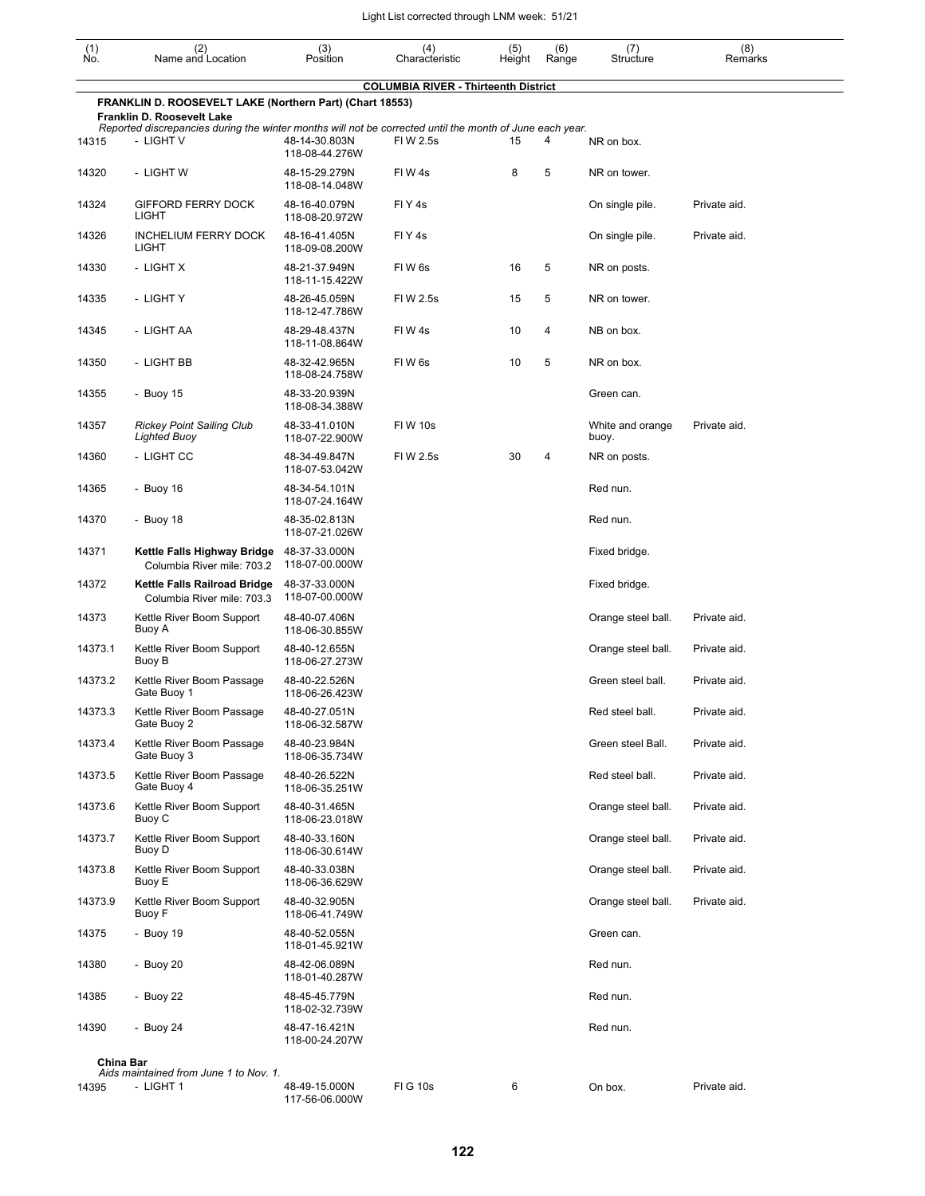| $\begin{smallmatrix} (1) \ N0. \end{smallmatrix}$                                                                                                                                                  | (2)<br>Name and Location                                   | (3)<br>Position                 | (4)<br>Characteristic                       | (5)<br>Height | (6)<br>Range | (7)<br>Structure          | (8)<br>Remarks |  |  |  |
|----------------------------------------------------------------------------------------------------------------------------------------------------------------------------------------------------|------------------------------------------------------------|---------------------------------|---------------------------------------------|---------------|--------------|---------------------------|----------------|--|--|--|
|                                                                                                                                                                                                    |                                                            |                                 | <b>COLUMBIA RIVER - Thirteenth District</b> |               |              |                           |                |  |  |  |
| FRANKLIN D. ROOSEVELT LAKE (Northern Part) (Chart 18553)<br>Franklin D. Roosevelt Lake<br>Reported discrepancies during the winter months will not be corrected until the month of June each year. |                                                            |                                 |                                             |               |              |                           |                |  |  |  |
| 14315                                                                                                                                                                                              | - LIGHT V                                                  | 48-14-30.803N<br>118-08-44.276W | FIW 2.5s                                    | 15            | 4            | NR on box.                |                |  |  |  |
| 14320                                                                                                                                                                                              | - LIGHT W                                                  | 48-15-29.279N<br>118-08-14.048W | FIW4s                                       | 8             | 5            | NR on tower.              |                |  |  |  |
| 14324                                                                                                                                                                                              | <b>GIFFORD FERRY DOCK</b><br>LIGHT                         | 48-16-40.079N<br>118-08-20.972W | FIY4s                                       |               |              | On single pile.           | Private aid.   |  |  |  |
| 14326                                                                                                                                                                                              | <b>INCHELIUM FERRY DOCK</b><br>LIGHT                       | 48-16-41.405N<br>118-09-08.200W | FIY4s                                       |               |              | On single pile.           | Private aid.   |  |  |  |
| 14330                                                                                                                                                                                              | - LIGHT X                                                  | 48-21-37.949N<br>118-11-15.422W | FIW <sub>6s</sub>                           | 16            | 5            | NR on posts.              |                |  |  |  |
| 14335                                                                                                                                                                                              | - LIGHT Y                                                  | 48-26-45.059N<br>118-12-47.786W | FIW 2.5s                                    | 15            | 5            | NR on tower.              |                |  |  |  |
| 14345                                                                                                                                                                                              | - LIGHT AA                                                 | 48-29-48.437N<br>118-11-08.864W | FIW4s                                       | 10            | 4            | NB on box.                |                |  |  |  |
| 14350                                                                                                                                                                                              | - LIGHT BB                                                 | 48-32-42.965N<br>118-08-24.758W | FIW <sub>6s</sub>                           | 10            | 5            | NR on box.                |                |  |  |  |
| 14355                                                                                                                                                                                              | - Buoy 15                                                  | 48-33-20.939N<br>118-08-34.388W |                                             |               |              | Green can.                |                |  |  |  |
| 14357                                                                                                                                                                                              | <b>Rickey Point Sailing Club</b><br><b>Lighted Buoy</b>    | 48-33-41.010N<br>118-07-22.900W | <b>FIW 10s</b>                              |               |              | White and orange<br>buoy. | Private aid.   |  |  |  |
| 14360                                                                                                                                                                                              | - LIGHT CC                                                 | 48-34-49.847N<br>118-07-53.042W | FIW 2.5s                                    | 30            | 4            | NR on posts.              |                |  |  |  |
| 14365                                                                                                                                                                                              | - Buoy 16                                                  | 48-34-54.101N<br>118-07-24.164W |                                             |               |              | Red nun.                  |                |  |  |  |
| 14370                                                                                                                                                                                              | - Buoy 18                                                  | 48-35-02.813N<br>118-07-21.026W |                                             |               |              | Red nun.                  |                |  |  |  |
| 14371                                                                                                                                                                                              | Kettle Falls Highway Bridge<br>Columbia River mile: 703.2  | 48-37-33.000N<br>118-07-00.000W |                                             |               |              | Fixed bridge.             |                |  |  |  |
| 14372                                                                                                                                                                                              | Kettle Falls Railroad Bridge<br>Columbia River mile: 703.3 | 48-37-33.000N<br>118-07-00.000W |                                             |               |              | Fixed bridge.             |                |  |  |  |
| 14373                                                                                                                                                                                              | Kettle River Boom Support<br>Buoy A                        | 48-40-07.406N<br>118-06-30.855W |                                             |               |              | Orange steel ball.        | Private aid.   |  |  |  |
| 14373.1                                                                                                                                                                                            | Kettle River Boom Support<br>Buoy B                        | 48-40-12.655N<br>118-06-27.273W |                                             |               |              | Orange steel ball.        | Private aid.   |  |  |  |
| 14373.2                                                                                                                                                                                            | Kettle River Boom Passage<br>Gate Buoy 1                   | 48-40-22.526N<br>118-06-26.423W |                                             |               |              | Green steel ball.         | Private aid.   |  |  |  |
| 14373.3                                                                                                                                                                                            | Kettle River Boom Passage<br>Gate Buoy 2                   | 48-40-27.051N<br>118-06-32.587W |                                             |               |              | Red steel ball.           | Private aid.   |  |  |  |
| 14373.4                                                                                                                                                                                            | Kettle River Boom Passage<br>Gate Buoy 3                   | 48-40-23.984N<br>118-06-35.734W |                                             |               |              | Green steel Ball.         | Private aid.   |  |  |  |
| 14373.5                                                                                                                                                                                            | Kettle River Boom Passage<br>Gate Buoy 4                   | 48-40-26.522N<br>118-06-35.251W |                                             |               |              | Red steel ball.           | Private aid.   |  |  |  |
| 14373.6                                                                                                                                                                                            | Kettle River Boom Support<br>Buoy C                        | 48-40-31.465N<br>118-06-23.018W |                                             |               |              | Orange steel ball.        | Private aid.   |  |  |  |
| 14373.7                                                                                                                                                                                            | Kettle River Boom Support<br>Buoy D                        | 48-40-33.160N<br>118-06-30.614W |                                             |               |              | Orange steel ball.        | Private aid.   |  |  |  |
| 14373.8                                                                                                                                                                                            | Kettle River Boom Support<br>Buoy E                        | 48-40-33.038N<br>118-06-36.629W |                                             |               |              | Orange steel ball.        | Private aid.   |  |  |  |
| 14373.9                                                                                                                                                                                            | Kettle River Boom Support<br>Buoy F                        | 48-40-32.905N<br>118-06-41.749W |                                             |               |              | Orange steel ball.        | Private aid.   |  |  |  |
| 14375                                                                                                                                                                                              | - Buoy 19                                                  | 48-40-52.055N<br>118-01-45.921W |                                             |               |              | Green can.                |                |  |  |  |
| 14380                                                                                                                                                                                              | - Buoy 20                                                  | 48-42-06.089N<br>118-01-40.287W |                                             |               |              | Red nun.                  |                |  |  |  |
| 14385                                                                                                                                                                                              | - Buoy 22                                                  | 48-45-45.779N<br>118-02-32.739W |                                             |               |              | Red nun.                  |                |  |  |  |
| 14390                                                                                                                                                                                              | - Buoy 24                                                  | 48-47-16.421N<br>118-00-24.207W |                                             |               |              | Red nun.                  |                |  |  |  |
| China Bar                                                                                                                                                                                          |                                                            |                                 |                                             |               |              |                           |                |  |  |  |
| 14395                                                                                                                                                                                              | Aids maintained from June 1 to Nov. 1.<br>- LIGHT 1        | 48-49-15.000N                   | <b>FIG 10s</b>                              | 6             |              | On box.                   | Private aid.   |  |  |  |
|                                                                                                                                                                                                    |                                                            | 117-56-06.000W                  |                                             |               |              |                           |                |  |  |  |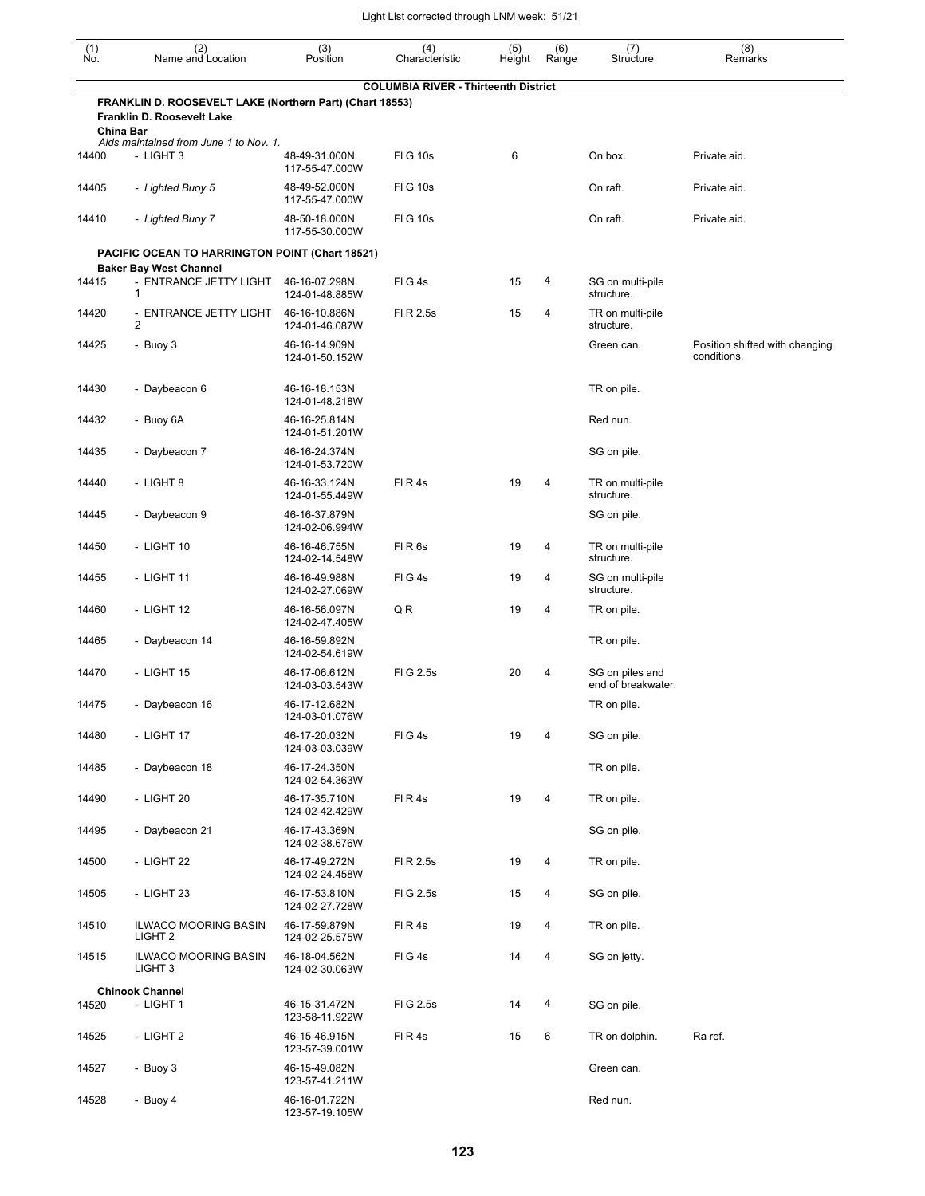| (1)<br>Ñó.       | (2)<br>Name and Location                                                               | (3)<br>Position                 | (4)<br>Characteristic                       | (5)<br>Height | (6)<br>Range | (7)<br>Structure                      | (8)<br>Remarks                                |
|------------------|----------------------------------------------------------------------------------------|---------------------------------|---------------------------------------------|---------------|--------------|---------------------------------------|-----------------------------------------------|
|                  |                                                                                        |                                 | <b>COLUMBIA RIVER - Thirteenth District</b> |               |              |                                       |                                               |
| <b>China Bar</b> | FRANKLIN D. ROOSEVELT LAKE (Northern Part) (Chart 18553)<br>Franklin D. Roosevelt Lake |                                 |                                             |               |              |                                       |                                               |
|                  | Aids maintained from June 1 to Nov. 1.                                                 |                                 |                                             |               |              |                                       |                                               |
| 14400            | - LIGHT 3                                                                              | 48-49-31.000N<br>117-55-47.000W | <b>FIG 10s</b>                              | 6             |              | On box.                               | Private aid.                                  |
| 14405            | - Lighted Buoy 5                                                                       | 48-49-52.000N<br>117-55-47.000W | <b>FIG 10s</b>                              |               |              | On raft.                              | Private aid.                                  |
| 14410            | - Lighted Buoy 7                                                                       | 48-50-18.000N<br>117-55-30.000W | <b>FIG 10s</b>                              |               |              | On raft.                              | Private aid.                                  |
|                  | <b>PACIFIC OCEAN TO HARRINGTON POINT (Chart 18521)</b>                                 |                                 |                                             |               |              |                                       |                                               |
| 14415            | <b>Baker Bay West Channel</b><br>- ENTRANCE JETTY LIGHT                                | 46-16-07.298N                   | FIG4s                                       | 15            | 4            | SG on multi-pile                      |                                               |
|                  | 1                                                                                      | 124-01-48.885W                  |                                             |               |              | structure.                            |                                               |
| 14420            | - ENTRANCE JETTY LIGHT<br>2                                                            | 46-16-10.886N<br>124-01-46.087W | FI R 2.5s                                   | 15            | 4            | TR on multi-pile<br>structure.        |                                               |
| 14425            | - Buoy 3                                                                               | 46-16-14.909N<br>124-01-50.152W |                                             |               |              | Green can.                            | Position shifted with changing<br>conditions. |
| 14430            | - Daybeacon 6                                                                          | 46-16-18.153N<br>124-01-48.218W |                                             |               |              | TR on pile.                           |                                               |
| 14432            | - Buoy 6A                                                                              | 46-16-25.814N<br>124-01-51.201W |                                             |               |              | Red nun.                              |                                               |
| 14435            | - Daybeacon 7                                                                          | 46-16-24.374N<br>124-01-53.720W |                                             |               |              | SG on pile.                           |                                               |
| 14440            | - LIGHT 8                                                                              | 46-16-33.124N<br>124-01-55.449W | FIR4s                                       | 19            | 4            | TR on multi-pile<br>structure.        |                                               |
| 14445            | - Daybeacon 9                                                                          | 46-16-37.879N<br>124-02-06.994W |                                             |               |              | SG on pile.                           |                                               |
| 14450            | - LIGHT 10                                                                             | 46-16-46.755N<br>124-02-14.548W | FIR6s                                       | 19            | 4            | TR on multi-pile<br>structure.        |                                               |
| 14455            | - LIGHT 11                                                                             | 46-16-49.988N<br>124-02-27.069W | FIG4s                                       | 19            | 4            | SG on multi-pile<br>structure.        |                                               |
| 14460            | - LIGHT 12                                                                             | 46-16-56.097N<br>124-02-47.405W | QR                                          | 19            | 4            | TR on pile.                           |                                               |
| 14465            | - Daybeacon 14                                                                         | 46-16-59.892N<br>124-02-54.619W |                                             |               |              | TR on pile.                           |                                               |
| 14470            | - LIGHT 15                                                                             | 46-17-06.612N<br>124-03-03.543W | FIG 2.5s                                    | 20            | 4            | SG on piles and<br>end of breakwater. |                                               |
| 14475            | - Daybeacon 16                                                                         | 46-17-12.682N<br>124-03-01.076W |                                             |               |              | TR on pile.                           |                                               |
| 14480            | - LIGHT 17                                                                             | 46-17-20.032N<br>124-03-03.039W | FIG4s                                       | 19            | 4            | SG on pile.                           |                                               |
| 14485            | - Daybeacon 18                                                                         | 46-17-24.350N<br>124-02-54.363W |                                             |               |              | TR on pile.                           |                                               |
| 14490            | - LIGHT 20                                                                             | 46-17-35.710N<br>124-02-42.429W | FIR4s                                       | 19            | 4            | TR on pile.                           |                                               |
| 14495            | - Daybeacon 21                                                                         | 46-17-43.369N<br>124-02-38.676W |                                             |               |              | SG on pile.                           |                                               |
| 14500            | - LIGHT 22                                                                             | 46-17-49.272N<br>124-02-24.458W | FI R 2.5s                                   | 19            | 4            | TR on pile.                           |                                               |
| 14505            | - LIGHT 23                                                                             | 46-17-53.810N<br>124-02-27.728W | FIG 2.5s                                    | 15            | 4            | SG on pile.                           |                                               |
| 14510            | <b>ILWACO MOORING BASIN</b><br>LIGHT <sub>2</sub>                                      | 46-17-59.879N<br>124-02-25.575W | FIR4s                                       | 19            | 4            | TR on pile.                           |                                               |
| 14515            | <b>ILWACO MOORING BASIN</b><br>LIGHT <sub>3</sub>                                      | 46-18-04.562N<br>124-02-30.063W | FIG4s                                       | 14            | 4            | SG on jetty.                          |                                               |
| 14520            | <b>Chinook Channel</b><br>- LIGHT 1                                                    | 46-15-31.472N<br>123-58-11.922W | FIG 2.5s                                    | 14            | 4            | SG on pile.                           |                                               |
| 14525            | - LIGHT 2                                                                              | 46-15-46.915N<br>123-57-39.001W | FIR4s                                       | 15            | 6            | TR on dolphin.                        | Ra ref.                                       |
| 14527            | - Buoy 3                                                                               | 46-15-49.082N<br>123-57-41.211W |                                             |               |              | Green can.                            |                                               |
| 14528            | - Buoy 4                                                                               | 46-16-01.722N<br>123-57-19.105W |                                             |               |              | Red nun.                              |                                               |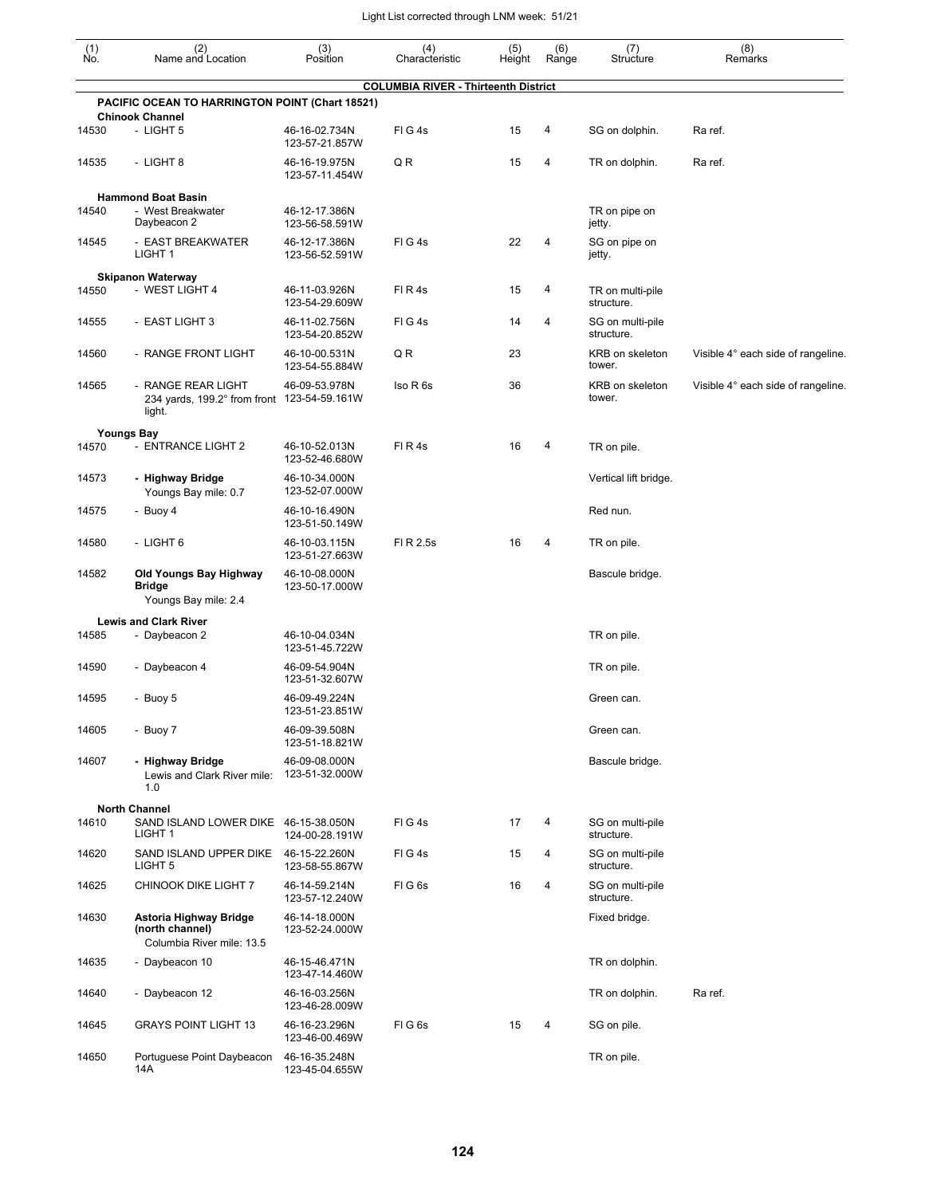| (1)<br>Ñó. | (2)<br>Name and Location                                                    | (3)<br>Position                                   | (4)<br>Characteristic                       | (5)<br>Height | (6)<br>Range | (7)<br>Structure               | (8)<br>Remarks                     |
|------------|-----------------------------------------------------------------------------|---------------------------------------------------|---------------------------------------------|---------------|--------------|--------------------------------|------------------------------------|
|            |                                                                             |                                                   | <b>COLUMBIA RIVER - Thirteenth District</b> |               |              |                                |                                    |
|            | PACIFIC OCEAN TO HARRINGTON POINT (Chart 18521)<br><b>Chinook Channel</b>   |                                                   |                                             |               |              |                                |                                    |
| 14530      | - LIGHT 5                                                                   | 46-16-02.734N<br>123-57-21.857W                   | FIG4s                                       | 15            | 4            | SG on dolphin.                 | Ra ref.                            |
| 14535      | - LIGHT 8                                                                   | 46-16-19.975N<br>123-57-11.454W                   | Q R                                         | 15            | 4            | TR on dolphin.                 | Ra ref.                            |
|            | <b>Hammond Boat Basin</b>                                                   |                                                   |                                             |               |              |                                |                                    |
| 14540      | - West Breakwater<br>Daybeacon 2                                            | 46-12-17.386N<br>123-56-58.591W                   |                                             |               |              | TR on pipe on<br>jetty.        |                                    |
| 14545      | - EAST BREAKWATER<br>LIGHT 1                                                | 46-12-17.386N<br>123-56-52.591W                   | FIG4s                                       | 22            | 4            | SG on pipe on<br>jetty.        |                                    |
| 14550      | <b>Skipanon Waterway</b><br>- WEST LIGHT 4                                  | 46-11-03.926N                                     | FIR4s                                       | 15            | 4            | TR on multi-pile<br>structure. |                                    |
| 14555      | - EAST LIGHT 3                                                              | 123-54-29.609W<br>46-11-02.756N<br>123-54-20.852W | FIG4s                                       | 14            | 4            | SG on multi-pile<br>structure. |                                    |
| 14560      | - RANGE FRONT LIGHT                                                         | 46-10-00.531N<br>123-54-55.884W                   | Q R                                         | 23            |              | KRB on skeleton<br>tower.      | Visible 4° each side of rangeline. |
| 14565      | - RANGE REAR LIGHT<br>234 yards, 199.2° from front 123-54-59.161W<br>light. | 46-09-53.978N                                     | Iso R 6s                                    | 36            |              | KRB on skeleton<br>tower.      | Visible 4° each side of rangeline. |
|            | <b>Youngs Bay</b>                                                           |                                                   |                                             |               |              |                                |                                    |
| 14570      | - ENTRANCE LIGHT 2                                                          | 46-10-52.013N<br>123-52-46.680W                   | FIR4s                                       | 16            | 4            | TR on pile.                    |                                    |
| 14573      | - Highway Bridge<br>Youngs Bay mile: 0.7                                    | 46-10-34.000N<br>123-52-07.000W                   |                                             |               |              | Vertical lift bridge.          |                                    |
| 14575      | - Buoy 4                                                                    | 46-10-16.490N<br>123-51-50.149W                   |                                             |               |              | Red nun.                       |                                    |
| 14580      | - LIGHT 6                                                                   | 46-10-03.115N<br>123-51-27.663W                   | FI R 2.5s                                   | 16            | 4            | TR on pile.                    |                                    |
| 14582      | Old Youngs Bay Highway<br>Bridge<br>Youngs Bay mile: 2.4                    | 46-10-08.000N<br>123-50-17.000W                   |                                             |               |              | Bascule bridge.                |                                    |
| 14585      | <b>Lewis and Clark River</b><br>- Daybeacon 2                               | 46-10-04.034N<br>123-51-45.722W                   |                                             |               |              | TR on pile.                    |                                    |
| 14590      | - Daybeacon 4                                                               | 46-09-54.904N<br>123-51-32.607W                   |                                             |               |              | TR on pile.                    |                                    |
| 14595      | - Buoy 5                                                                    | 46-09-49.224N<br>123-51-23.851W                   |                                             |               |              | Green can.                     |                                    |
| 14605      | - Buoy 7                                                                    | 46-09-39.508N<br>123-51-18.821W                   |                                             |               |              | Green can.                     |                                    |
| 14607      | - Highway Bridge<br>Lewis and Clark River mile:<br>1.0                      | 46-09-08.000N<br>123-51-32.000W                   |                                             |               |              | Bascule bridge.                |                                    |
|            | <b>North Channel</b>                                                        |                                                   |                                             |               |              |                                |                                    |
| 14610      | SAND ISLAND LOWER DIKE 46-15-38.050N<br>LIGHT <sub>1</sub>                  | 124-00-28.191W                                    | FIG4s                                       | 17            | 4            | SG on multi-pile<br>structure. |                                    |
| 14620      | SAND ISLAND UPPER DIKE<br>LIGHT <sub>5</sub>                                | 46-15-22.260N<br>123-58-55.867W                   | FIG4s                                       | 15            | 4            | SG on multi-pile<br>structure. |                                    |
| 14625      | CHINOOK DIKE LIGHT 7                                                        | 46-14-59.214N<br>123-57-12.240W                   | FIG6s                                       | 16            | 4            | SG on multi-pile<br>structure. |                                    |
| 14630      | Astoria Highway Bridge<br>(north channel)<br>Columbia River mile: 13.5      | 46-14-18.000N<br>123-52-24.000W                   |                                             |               |              | Fixed bridge.                  |                                    |
| 14635      | - Daybeacon 10                                                              | 46-15-46.471N<br>123-47-14.460W                   |                                             |               |              | TR on dolphin.                 |                                    |
| 14640      | - Daybeacon 12                                                              | 46-16-03.256N<br>123-46-28.009W                   |                                             |               |              | TR on dolphin.                 | Ra ref.                            |
| 14645      | <b>GRAYS POINT LIGHT 13</b>                                                 | 46-16-23.296N<br>123-46-00.469W                   | FIG6s                                       | 15            | 4            | SG on pile.                    |                                    |
| 14650      | Portuguese Point Daybeacon<br>14A                                           | 46-16-35.248N<br>123-45-04.655W                   |                                             |               |              | TR on pile.                    |                                    |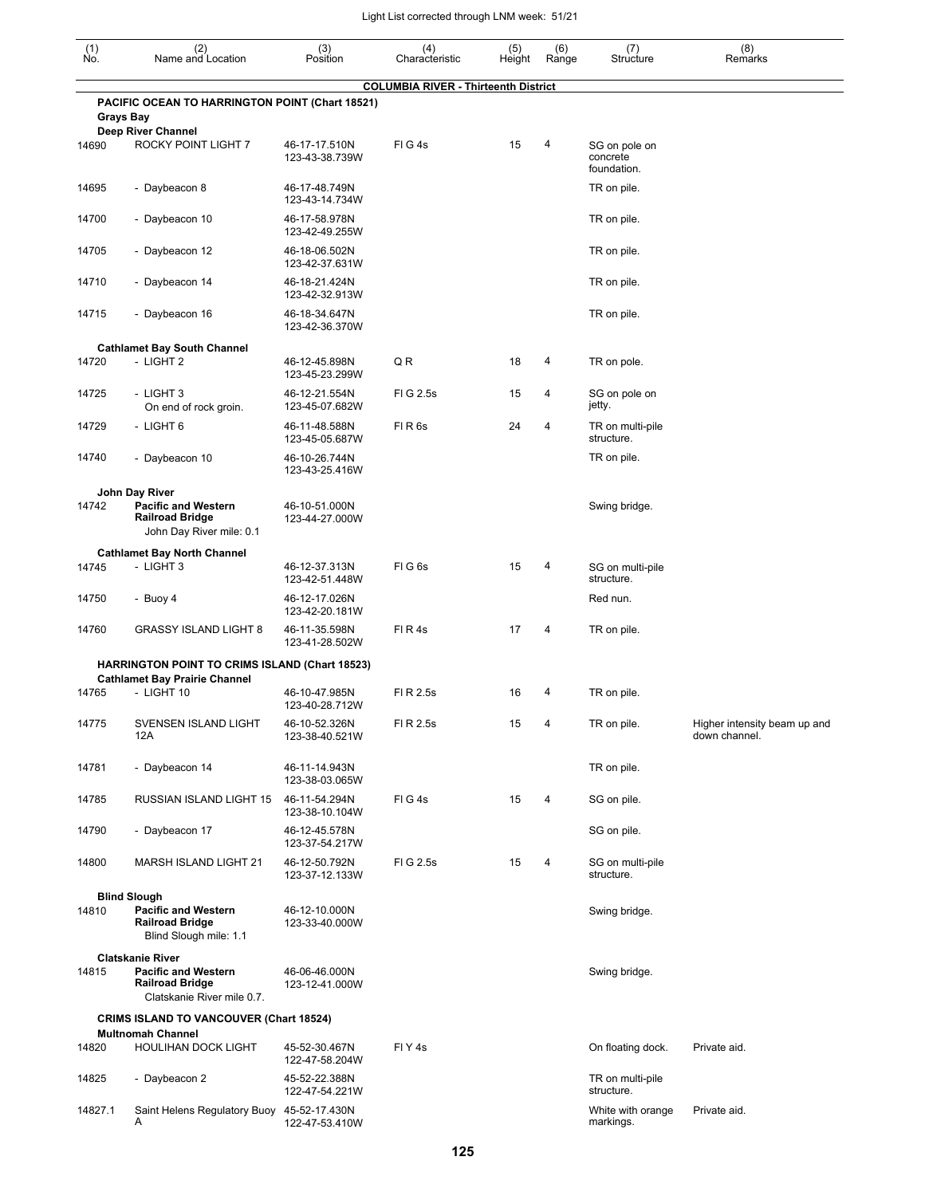| $\begin{smallmatrix} (1) \\ \mathsf{No} \end{smallmatrix}$ | (2)<br>Name and Location                                                           | (3)<br>Position                  | (4)<br>Characteristic                       | (5)<br>Height | (6)<br>Range | (7)<br>Structure                         | (8)<br>Remarks                                |
|------------------------------------------------------------|------------------------------------------------------------------------------------|----------------------------------|---------------------------------------------|---------------|--------------|------------------------------------------|-----------------------------------------------|
|                                                            | PACIFIC OCEAN TO HARRINGTON POINT (Chart 18521)<br><b>Grays Bay</b>                |                                  | <b>COLUMBIA RIVER - Thirteenth District</b> |               |              |                                          |                                               |
| 14690                                                      | <b>Deep River Channel</b><br>ROCKY POINT LIGHT 7                                   | 46-17-17.510N<br>123-43-38.739W  | FIG4s                                       | 15            | 4            | SG on pole on<br>concrete<br>foundation. |                                               |
| 14695                                                      | - Daybeacon 8                                                                      | 46-17-48.749N<br>123-43-14.734W  |                                             |               |              | TR on pile.                              |                                               |
| 14700                                                      | - Daybeacon 10                                                                     | 46-17-58.978N<br>123-42-49.255W  |                                             |               |              | TR on pile.                              |                                               |
| 14705                                                      | - Daybeacon 12                                                                     | 46-18-06.502N<br>123-42-37.631W  |                                             |               |              | TR on pile.                              |                                               |
| 14710                                                      | - Daybeacon 14                                                                     | 46-18-21.424N<br>123-42-32.913W  |                                             |               |              | TR on pile.                              |                                               |
| 14715                                                      | - Daybeacon 16                                                                     | 46-18-34.647N<br>123-42-36.370W  |                                             |               |              | TR on pile.                              |                                               |
|                                                            | <b>Cathlamet Bay South Channel</b>                                                 |                                  |                                             |               |              |                                          |                                               |
| 14720                                                      | - LIGHT 2                                                                          | 46-12-45.898N<br>123-45-23.299W  | QR                                          | 18            | 4            | TR on pole.                              |                                               |
| 14725                                                      | - LIGHT 3<br>On end of rock groin.                                                 | 46-12-21.554N<br>123-45-07.682W  | FIG 2.5s                                    | 15            | 4            | SG on pole on<br>jetty.                  |                                               |
| 14729                                                      | - LIGHT 6                                                                          | 46-11-48.588N<br>123-45-05.687W  | FIR <sub>6s</sub>                           | 24            | 4            | TR on multi-pile<br>structure.           |                                               |
| 14740                                                      | - Daybeacon 10                                                                     | 46-10-26.744N<br>123-43-25.416W  |                                             |               |              | TR on pile.                              |                                               |
|                                                            | John Day River                                                                     |                                  |                                             |               |              |                                          |                                               |
| 14742                                                      | <b>Pacific and Western</b><br><b>Railroad Bridge</b><br>John Day River mile: 0.1   | 46-10-51.000N<br>123-44-27.000W  |                                             |               |              | Swing bridge.                            |                                               |
|                                                            | <b>Cathlamet Bay North Channel</b>                                                 |                                  |                                             |               |              |                                          |                                               |
| 14745                                                      | - LIGHT 3                                                                          | 46-12-37.313N<br>123-42-51.448W  | FIG6s                                       | 15            | 4            | SG on multi-pile<br>structure.           |                                               |
| 14750                                                      | - Buoy 4                                                                           | 46-12-17.026N<br>123-42-20.181W  |                                             |               |              | Red nun.                                 |                                               |
| 14760                                                      | <b>GRASSY ISLAND LIGHT 8</b>                                                       | 46-11-35.598N<br>123-41-28.502W  | FIR4s                                       | 17            | 4            | TR on pile.                              |                                               |
|                                                            | <b>HARRINGTON POINT TO CRIMS ISLAND (Chart 18523)</b>                              |                                  |                                             |               |              |                                          |                                               |
|                                                            | <b>Cathlamet Bay Prairie Channel</b>                                               |                                  |                                             |               |              |                                          |                                               |
| 14765                                                      | - LIGHT 10                                                                         | 46-10-47.985N<br>123-40-28.712W  | FI R 2.5s                                   | 16            | 4            | TR on pile.                              |                                               |
| 14775                                                      | SVENSEN ISLAND LIGHT<br>12A                                                        | 46-10-52.326N<br>123-38-40.521W  | FI R 2.5s                                   | 15            | 4            | TR on pile.                              | Higher intensity beam up and<br>down channel. |
| 14781                                                      | - Daybeacon 14                                                                     | 46-11-14.943N<br>123-38-03.065W  |                                             |               |              | TR on pile.                              |                                               |
| 14785                                                      | RUSSIAN ISLAND LIGHT 15                                                            | 46-11-54.294N<br>123-38-10.104W  | FIG4s                                       | 15            | 4            | SG on pile.                              |                                               |
| 14790                                                      | - Daybeacon 17                                                                     | 46-12-45.578N<br>123-37-54.217W  |                                             |               |              | SG on pile.                              |                                               |
| 14800                                                      | <b>MARSH ISLAND LIGHT 21</b>                                                       | 46-12-50.792N<br>123-37-12.133W  | FIG 2.5s                                    | 15            | 4            | SG on multi-pile<br>structure.           |                                               |
|                                                            | <b>Blind Slough</b>                                                                |                                  |                                             |               |              |                                          |                                               |
| 14810                                                      | <b>Pacific and Western</b><br><b>Railroad Bridge</b><br>Blind Slough mile: 1.1     | 46-12-10.000N<br>123-33-40.000W  |                                             |               |              | Swing bridge.                            |                                               |
|                                                            | <b>Clatskanie River</b>                                                            |                                  |                                             |               |              |                                          |                                               |
| 14815                                                      | <b>Pacific and Western</b><br><b>Railroad Bridge</b><br>Clatskanie River mile 0.7. | 46-06-46.000N<br>123-12-41.000W  |                                             |               |              | Swing bridge.                            |                                               |
|                                                            | <b>CRIMS ISLAND TO VANCOUVER (Chart 18524)</b>                                     |                                  |                                             |               |              |                                          |                                               |
| 14820                                                      | <b>Multnomah Channel</b><br><b>HOULIHAN DOCK LIGHT</b>                             | 45-52-30.467N                    | FIY <sub>4s</sub>                           |               |              | On floating dock.                        | Private aid.                                  |
| 14825                                                      | - Daybeacon 2                                                                      | 122-47-58.204W<br>45-52-22.388N  |                                             |               |              | TR on multi-pile<br>structure.           |                                               |
| 14827.1                                                    | Saint Helens Regulatory Buoy 45-52-17.430N<br>A                                    | 122-47-54.221W<br>122-47-53.410W |                                             |               |              | White with orange<br>markings.           | Private aid.                                  |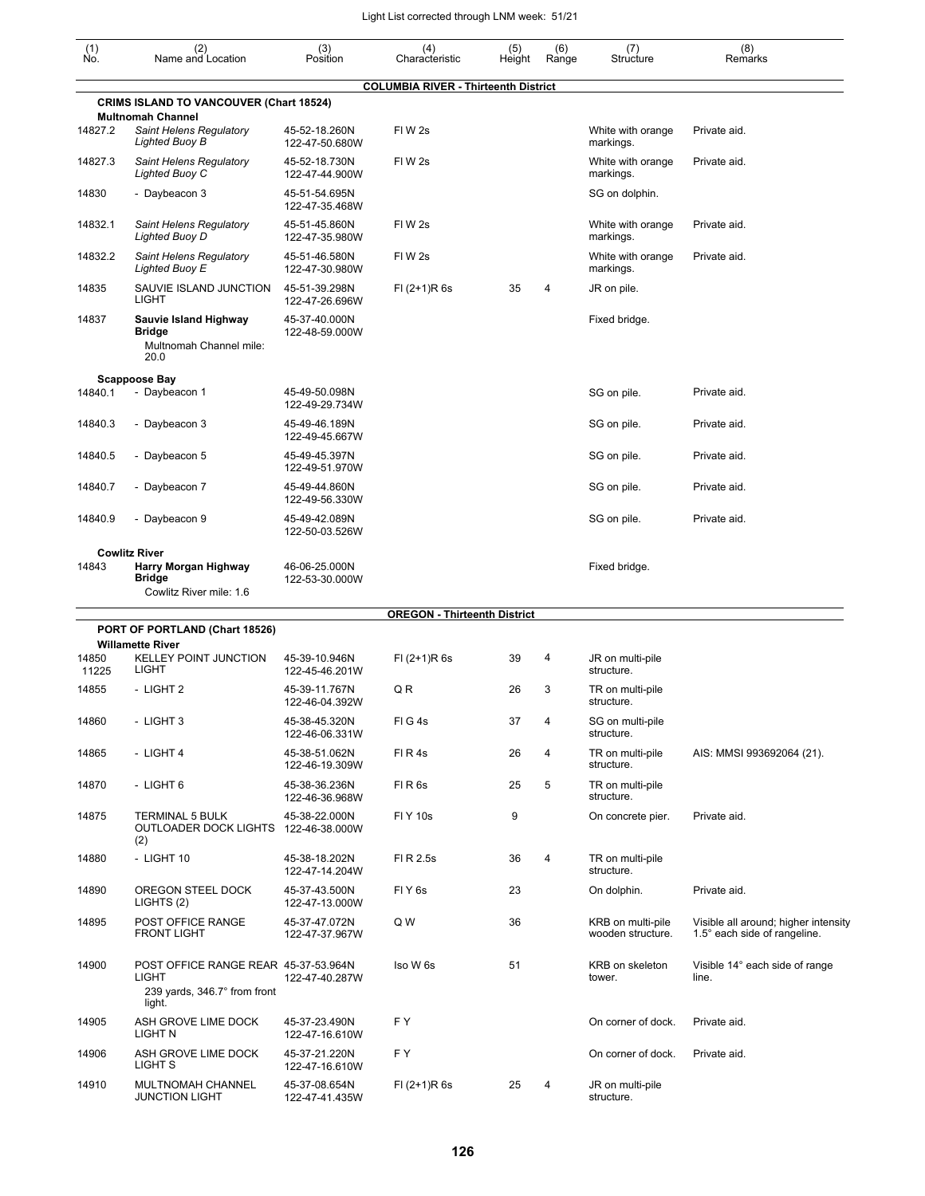| (1)<br>No.     | (2)<br>Name and Location                                                                       | (3)<br>Position                 | (4)<br>Characteristic                       | (5)<br>Height | (6)<br>Range   | (7)<br>Structure                       | (8)<br>Remarks                                                       |
|----------------|------------------------------------------------------------------------------------------------|---------------------------------|---------------------------------------------|---------------|----------------|----------------------------------------|----------------------------------------------------------------------|
|                |                                                                                                |                                 | <b>COLUMBIA RIVER - Thirteenth District</b> |               |                |                                        |                                                                      |
|                | <b>CRIMS ISLAND TO VANCOUVER (Chart 18524)</b>                                                 |                                 |                                             |               |                |                                        |                                                                      |
| 14827.2        | <b>Multnomah Channel</b><br>Saint Helens Regulatory<br><b>Lighted Buoy B</b>                   | 45-52-18.260N<br>122-47-50.680W | FIW <sub>2s</sub>                           |               |                | White with orange<br>markings.         | Private aid.                                                         |
| 14827.3        | Saint Helens Regulatory<br>Lighted Buoy C                                                      | 45-52-18.730N<br>122-47-44.900W | FIW <sub>2s</sub>                           |               |                | White with orange<br>markings.         | Private aid.                                                         |
| 14830          | - Daybeacon 3                                                                                  | 45-51-54.695N<br>122-47-35.468W |                                             |               |                | SG on dolphin.                         |                                                                      |
| 14832.1        | Saint Helens Regulatory<br><b>Lighted Buoy D</b>                                               | 45-51-45.860N<br>122-47-35.980W | FIW <sub>2s</sub>                           |               |                | White with orange<br>markings.         | Private aid.                                                         |
| 14832.2        | Saint Helens Regulatory<br>Lighted Buoy E                                                      | 45-51-46.580N<br>122-47-30.980W | FIW <sub>2s</sub>                           |               |                | White with orange<br>markings.         | Private aid.                                                         |
| 14835          | SAUVIE ISLAND JUNCTION<br><b>LIGHT</b>                                                         | 45-51-39.298N<br>122-47-26.696W | $FI (2+1)R 6s$                              | 35            | $\overline{4}$ | JR on pile.                            |                                                                      |
| 14837          | Sauvie Island Highway<br><b>Bridge</b><br>Multnomah Channel mile:<br>20.0                      | 45-37-40.000N<br>122-48-59.000W |                                             |               |                | Fixed bridge.                          |                                                                      |
|                | <b>Scappoose Bay</b>                                                                           |                                 |                                             |               |                |                                        |                                                                      |
| 14840.1        | - Daybeacon 1                                                                                  | 45-49-50.098N<br>122-49-29.734W |                                             |               |                | SG on pile.                            | Private aid.                                                         |
| 14840.3        | - Daybeacon 3                                                                                  | 45-49-46.189N<br>122-49-45.667W |                                             |               |                | SG on pile.                            | Private aid.                                                         |
| 14840.5        | - Daybeacon 5                                                                                  | 45-49-45.397N<br>122-49-51.970W |                                             |               |                | SG on pile.                            | Private aid.                                                         |
| 14840.7        | - Daybeacon 7                                                                                  | 45-49-44.860N<br>122-49-56.330W |                                             |               |                | SG on pile.                            | Private aid.                                                         |
| 14840.9        | - Daybeacon 9                                                                                  | 45-49-42.089N<br>122-50-03.526W |                                             |               |                | SG on pile.                            | Private aid.                                                         |
|                | <b>Cowlitz River</b>                                                                           |                                 |                                             |               |                |                                        |                                                                      |
| 14843          | Harry Morgan Highway<br><b>Bridge</b><br>Cowlitz River mile: 1.6                               | 46-06-25.000N<br>122-53-30.000W |                                             |               |                | Fixed bridge.                          |                                                                      |
|                |                                                                                                |                                 | <b>OREGON - Thirteenth District</b>         |               |                |                                        |                                                                      |
|                | PORT OF PORTLAND (Chart 18526)                                                                 |                                 |                                             |               |                |                                        |                                                                      |
| 14850<br>11225 | <b>Willamette River</b><br><b>KELLEY POINT JUNCTION</b><br><b>LIGHT</b>                        | 45-39-10.946N<br>122-45-46.201W | $FI (2+1)R 6s$                              | 39            | 4              | JR on multi-pile<br>structure.         |                                                                      |
| 14855          | - LIGHT 2                                                                                      | 45-39-11.767N<br>122-46-04.392W | Q R                                         | 26            | 3              | TR on multi-pile<br>structure.         |                                                                      |
| 14860          | - LIGHT 3                                                                                      | 45-38-45.320N<br>122-46-06.331W | FIG4s                                       | 37            | 4              | SG on multi-pile<br>structure.         |                                                                      |
| 14865          | - LIGHT 4                                                                                      | 45-38-51.062N<br>122-46-19.309W | FIR4s                                       | 26            | 4              | TR on multi-pile<br>structure.         | AIS: MMSI 993692064 (21).                                            |
| 14870          | - LIGHT 6                                                                                      | 45-38-36.236N<br>122-46-36.968W | FIR <sub>6s</sub>                           | 25            | 5              | TR on multi-pile<br>structure.         |                                                                      |
| 14875          | <b>TERMINAL 5 BULK</b><br>OUTLOADER DOCK LIGHTS 122-46-38.000W<br>(2)                          | 45-38-22.000N                   | <b>FIY 10s</b>                              | 9             |                | On concrete pier.                      | Private aid.                                                         |
| 14880          | - LIGHT 10                                                                                     | 45-38-18.202N<br>122-47-14.204W | FI R 2.5s                                   | 36            | $\overline{4}$ | TR on multi-pile<br>structure.         |                                                                      |
| 14890          | OREGON STEEL DOCK<br>LIGHTS (2)                                                                | 45-37-43.500N<br>122-47-13.000W | FIY <sub>6s</sub>                           | 23            |                | On dolphin.                            | Private aid.                                                         |
| 14895          | POST OFFICE RANGE<br><b>FRONT LIGHT</b>                                                        | 45-37-47.072N<br>122-47-37.967W | Q W                                         | 36            |                | KRB on multi-pile<br>wooden structure. | Visible all around; higher intensity<br>1.5° each side of rangeline. |
| 14900          | POST OFFICE RANGE REAR 45-37-53.964N<br><b>LIGHT</b><br>239 yards, 346.7° from front<br>light. | 122-47-40.287W                  | Iso W 6s                                    | 51            |                | KRB on skeleton<br>tower.              | Visible 14° each side of range<br>line.                              |
| 14905          | ASH GROVE LIME DOCK<br>LIGHT N                                                                 | 45-37-23.490N<br>122-47-16.610W | F Y                                         |               |                | On corner of dock.                     | Private aid.                                                         |
| 14906          | ASH GROVE LIME DOCK<br>LIGHT S                                                                 | 45-37-21.220N<br>122-47-16.610W | FY                                          |               |                | On corner of dock.                     | Private aid.                                                         |
| 14910          | MULTNOMAH CHANNEL<br><b>JUNCTION LIGHT</b>                                                     | 45-37-08.654N<br>122-47-41.435W | $FI (2+1)R 6s$                              | 25            | 4              | JR on multi-pile<br>structure.         |                                                                      |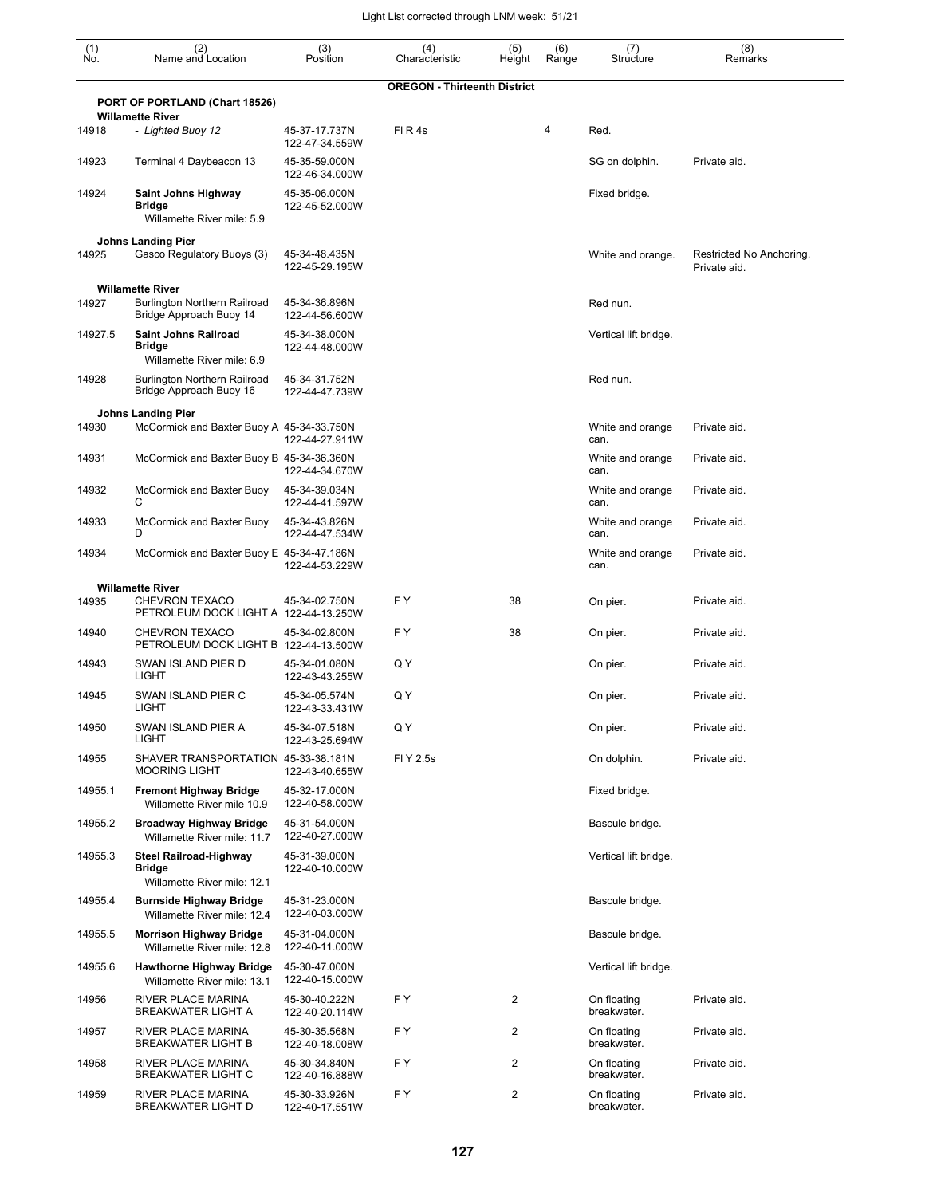| $\begin{smallmatrix} (1) \ N0. \end{smallmatrix}$ | (2)<br>Name and Location                                                      | (3)<br>Position                 | (4)<br>Characteristic               | (5)<br>Height | (6)<br>Range | (7)<br>Structure           | (8)<br>Remarks                           |
|---------------------------------------------------|-------------------------------------------------------------------------------|---------------------------------|-------------------------------------|---------------|--------------|----------------------------|------------------------------------------|
|                                                   |                                                                               |                                 | <b>OREGON - Thirteenth District</b> |               |              |                            |                                          |
|                                                   | PORT OF PORTLAND (Chart 18526)<br><b>Willamette River</b>                     |                                 |                                     |               |              |                            |                                          |
| 14918                                             | - Lighted Buoy 12                                                             | 45-37-17.737N<br>122-47-34.559W | FIR4s                               |               | 4            | Red.                       |                                          |
| 14923                                             | Terminal 4 Daybeacon 13                                                       | 45-35-59.000N<br>122-46-34.000W |                                     |               |              | SG on dolphin.             | Private aid.                             |
| 14924                                             | Saint Johns Highway<br><b>Bridge</b><br>Willamette River mile: 5.9            | 45-35-06.000N<br>122-45-52.000W |                                     |               |              | Fixed bridge.              |                                          |
| 14925                                             | <b>Johns Landing Pier</b><br>Gasco Regulatory Buoys (3)                       | 45-34-48.435N<br>122-45-29.195W |                                     |               |              | White and orange.          | Restricted No Anchoring.<br>Private aid. |
|                                                   | <b>Willamette River</b>                                                       |                                 |                                     |               |              |                            |                                          |
| 14927                                             | Burlington Northern Railroad<br>Bridge Approach Buoy 14                       | 45-34-36.896N<br>122-44-56.600W |                                     |               |              | Red nun.                   |                                          |
| 14927.5                                           | <b>Saint Johns Railroad</b><br><b>Bridge</b><br>Willamette River mile: 6.9    | 45-34-38.000N<br>122-44-48.000W |                                     |               |              | Vertical lift bridge.      |                                          |
| 14928                                             | <b>Burlington Northern Railroad</b><br>Bridge Approach Buoy 16                | 45-34-31.752N<br>122-44-47.739W |                                     |               |              | Red nun.                   |                                          |
| 14930                                             | <b>Johns Landing Pier</b><br>McCormick and Baxter Buoy A 45-34-33.750N        |                                 |                                     |               |              | White and orange           | Private aid.                             |
|                                                   |                                                                               | 122-44-27.911W                  |                                     |               |              | can.                       |                                          |
| 14931                                             | McCormick and Baxter Buoy B 45-34-36.360N                                     | 122-44-34.670W                  |                                     |               |              | White and orange<br>can.   | Private aid.                             |
| 14932                                             | McCormick and Baxter Buoy<br>С                                                | 45-34-39.034N<br>122-44-41.597W |                                     |               |              | White and orange<br>can.   | Private aid.                             |
| 14933                                             | McCormick and Baxter Buoy<br>D                                                | 45-34-43.826N<br>122-44-47.534W |                                     |               |              | White and orange<br>can.   | Private aid.                             |
| 14934                                             | McCormick and Baxter Buoy E 45-34-47.186N                                     | 122-44-53.229W                  |                                     |               |              | White and orange<br>can.   | Private aid.                             |
|                                                   | <b>Willamette River</b>                                                       |                                 |                                     |               |              |                            |                                          |
| 14935                                             | <b>CHEVRON TEXACO</b><br>PETROLEUM DOCK LIGHT A 122-44-13.250W                | 45-34-02.750N                   | F Y                                 | 38            |              | On pier.                   | Private aid.                             |
| 14940                                             | <b>CHEVRON TEXACO</b><br>PETROLEUM DOCK LIGHT B 122-44-13.500W                | 45-34-02.800N                   | F Y                                 | 38            |              | On pier.                   | Private aid.                             |
| 14943                                             | SWAN ISLAND PIER D<br>LIGHT                                                   | 45-34-01.080N<br>122-43-43.255W | Q Y                                 |               |              | On pier.                   | Private aid.                             |
| 14945                                             | SWAN ISLAND PIER C<br>LIGHT                                                   | 45-34-05.574N<br>122-43-33.431W | Q Y                                 |               |              | On pier.                   | Private aid.                             |
| 14950                                             | SWAN ISLAND PIER A<br>LIGHT                                                   | 45-34-07.518N<br>122-43-25.694W | Q Y                                 |               |              | On pier.                   | Private aid.                             |
| 14955                                             | SHAVER TRANSPORTATION 45-33-38.181N<br><b>MOORING LIGHT</b>                   | 122-43-40.655W                  | FI Y 2.5s                           |               |              | On dolphin.                | Private aid.                             |
| 14955.1                                           | <b>Fremont Highway Bridge</b><br>Willamette River mile 10.9                   | 45-32-17.000N<br>122-40-58.000W |                                     |               |              | Fixed bridge.              |                                          |
| 14955.2                                           | <b>Broadway Highway Bridge</b><br>Willamette River mile: 11.7                 | 45-31-54.000N<br>122-40-27.000W |                                     |               |              | Bascule bridge.            |                                          |
| 14955.3                                           | <b>Steel Railroad-Highway</b><br><b>Bridge</b><br>Willamette River mile: 12.1 | 45-31-39.000N<br>122-40-10.000W |                                     |               |              | Vertical lift bridge.      |                                          |
| 14955.4                                           | <b>Burnside Highway Bridge</b><br>Willamette River mile: 12.4                 | 45-31-23.000N<br>122-40-03.000W |                                     |               |              | Bascule bridge.            |                                          |
| 14955.5                                           | <b>Morrison Highway Bridge</b><br>Willamette River mile: 12.8                 | 45-31-04.000N<br>122-40-11.000W |                                     |               |              | Bascule bridge.            |                                          |
| 14955.6                                           | <b>Hawthorne Highway Bridge</b><br>Willamette River mile: 13.1                | 45-30-47.000N<br>122-40-15.000W |                                     |               |              | Vertical lift bridge.      |                                          |
| 14956                                             | RIVER PLACE MARINA<br>BREAKWATER LIGHT A                                      | 45-30-40.222N<br>122-40-20.114W | F Y                                 | 2             |              | On floating<br>breakwater. | Private aid.                             |
| 14957                                             | RIVER PLACE MARINA<br><b>BREAKWATER LIGHT B</b>                               | 45-30-35.568N<br>122-40-18.008W | F Y                                 | 2             |              | On floating<br>breakwater. | Private aid.                             |
| 14958                                             | RIVER PLACE MARINA<br><b>BREAKWATER LIGHT C</b>                               | 45-30-34.840N<br>122-40-16.888W | F Y                                 | 2             |              | On floating<br>breakwater. | Private aid.                             |
| 14959                                             | RIVER PLACE MARINA<br><b>BREAKWATER LIGHT D</b>                               | 45-30-33.926N<br>122-40-17.551W | FΥ                                  | 2             |              | On floating<br>breakwater. | Private aid.                             |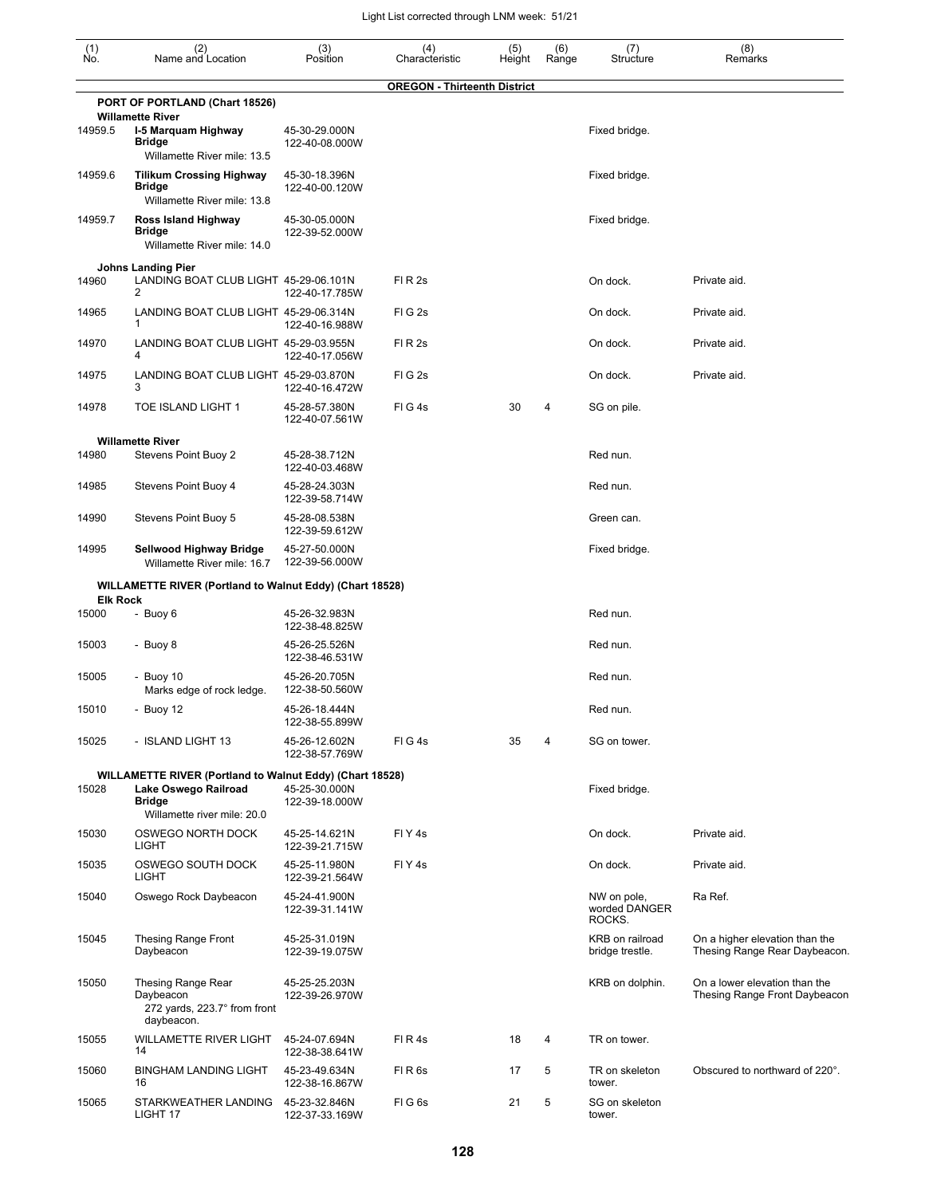| $\begin{smallmatrix} (1) \\ \mathsf{No} \end{smallmatrix}$ | (2)<br>Name and Location                                                                                                                | (3)<br>Position                 | (4)<br>Characteristic               | (5)<br>Height | (6)<br>Range | (7)<br>Structure                       | (8)<br>Remarks                                                  |
|------------------------------------------------------------|-----------------------------------------------------------------------------------------------------------------------------------------|---------------------------------|-------------------------------------|---------------|--------------|----------------------------------------|-----------------------------------------------------------------|
|                                                            |                                                                                                                                         |                                 | <b>OREGON - Thirteenth District</b> |               |              |                                        |                                                                 |
|                                                            | PORT OF PORTLAND (Chart 18526)<br><b>Willamette River</b>                                                                               |                                 |                                     |               |              |                                        |                                                                 |
| 14959.5                                                    | I-5 Marquam Highway<br><b>Bridge</b><br>Willamette River mile: 13.5                                                                     | 45-30-29.000N<br>122-40-08.000W |                                     |               |              | Fixed bridge.                          |                                                                 |
| 14959.6                                                    | <b>Tilikum Crossing Highway</b><br><b>Bridge</b>                                                                                        | 45-30-18.396N<br>122-40-00.120W |                                     |               |              | Fixed bridge.                          |                                                                 |
| 14959.7                                                    | Willamette River mile: 13.8<br>Ross Island Highway<br><b>Bridge</b><br>Willamette River mile: 14.0                                      | 45-30-05.000N<br>122-39-52.000W |                                     |               |              | Fixed bridge.                          |                                                                 |
|                                                            | <b>Johns Landing Pier</b>                                                                                                               |                                 |                                     |               |              |                                        |                                                                 |
| 14960                                                      | LANDING BOAT CLUB LIGHT 45-29-06.101N<br>2                                                                                              | 122-40-17.785W                  | FI R 2s                             |               |              | On dock.                               | Private aid.                                                    |
| 14965                                                      | LANDING BOAT CLUB LIGHT 45-29-06.314N<br>$\mathbf{1}$                                                                                   | 122-40-16.988W                  | FIG <sub>2s</sub>                   |               |              | On dock.                               | Private aid.                                                    |
| 14970                                                      | LANDING BOAT CLUB LIGHT 45-29-03.955N<br>4                                                                                              | 122-40-17.056W                  | FI R 2s                             |               |              | On dock.                               | Private aid.                                                    |
| 14975                                                      | LANDING BOAT CLUB LIGHT 45-29-03.870N<br>3                                                                                              | 122-40-16.472W                  | FIG <sub>2s</sub>                   |               |              | On dock.                               | Private aid.                                                    |
| 14978                                                      | TOE ISLAND LIGHT 1                                                                                                                      | 45-28-57.380N<br>122-40-07.561W | FIG4s                               | 30            | 4            | SG on pile.                            |                                                                 |
| 14980                                                      | <b>Willamette River</b><br>Stevens Point Buoy 2                                                                                         | 45-28-38.712N<br>122-40-03.468W |                                     |               |              | Red nun.                               |                                                                 |
| 14985                                                      | Stevens Point Buoy 4                                                                                                                    | 45-28-24.303N<br>122-39-58.714W |                                     |               |              | Red nun.                               |                                                                 |
| 14990                                                      | Stevens Point Buoy 5                                                                                                                    | 45-28-08.538N<br>122-39-59.612W |                                     |               |              | Green can.                             |                                                                 |
| 14995                                                      | Sellwood Highway Bridge<br>Willamette River mile: 16.7                                                                                  | 45-27-50.000N<br>122-39-56.000W |                                     |               |              | Fixed bridge.                          |                                                                 |
|                                                            | <b>WILLAMETTE RIVER (Portland to Walnut Eddy) (Chart 18528)</b>                                                                         |                                 |                                     |               |              |                                        |                                                                 |
| <b>Elk Rock</b><br>15000                                   | - Buoy 6                                                                                                                                | 45-26-32.983N                   |                                     |               |              | Red nun.                               |                                                                 |
|                                                            |                                                                                                                                         | 122-38-48.825W                  |                                     |               |              |                                        |                                                                 |
| 15003                                                      | - Buoy 8                                                                                                                                | 45-26-25.526N<br>122-38-46.531W |                                     |               |              | Red nun.                               |                                                                 |
| 15005                                                      | - Buoy 10<br>Marks edge of rock ledge.                                                                                                  | 45-26-20.705N<br>122-38-50.560W |                                     |               |              | Red nun.                               |                                                                 |
| 15010                                                      | - Buoy 12                                                                                                                               | 45-26-18.444N<br>122-38-55.899W |                                     |               |              | Red nun.                               |                                                                 |
| 15025                                                      | - ISLAND LIGHT 13                                                                                                                       | 45-26-12.602N<br>122-38-57.769W | FIG4s                               | 35            | 4            | SG on tower.                           |                                                                 |
| 15028                                                      | <b>WILLAMETTE RIVER (Portland to Walnut Eddy) (Chart 18528)</b><br>Lake Oswego Railroad<br><b>Bridge</b><br>Willamette river mile: 20.0 | 45-25-30.000N<br>122-39-18.000W |                                     |               |              | Fixed bridge.                          |                                                                 |
| 15030                                                      | OSWEGO NORTH DOCK<br><b>LIGHT</b>                                                                                                       | 45-25-14.621N<br>122-39-21.715W | FIY <sub>4s</sub>                   |               |              | On dock.                               | Private aid.                                                    |
| 15035                                                      | OSWEGO SOUTH DOCK<br><b>LIGHT</b>                                                                                                       | 45-25-11.980N<br>122-39-21.564W | FIY <sub>4s</sub>                   |               |              | On dock.                               | Private aid.                                                    |
| 15040                                                      | Oswego Rock Daybeacon                                                                                                                   | 45-24-41.900N<br>122-39-31.141W |                                     |               |              | NW on pole,<br>worded DANGER<br>ROCKS. | Ra Ref.                                                         |
| 15045                                                      | Thesing Range Front<br>Daybeacon                                                                                                        | 45-25-31.019N<br>122-39-19.075W |                                     |               |              | KRB on railroad<br>bridge trestle.     | On a higher elevation than the<br>Thesing Range Rear Daybeacon. |
| 15050                                                      | Thesing Range Rear<br>Daybeacon<br>272 yards, 223.7° from front<br>daybeacon.                                                           | 45-25-25.203N<br>122-39-26.970W |                                     |               |              | KRB on dolphin.                        | On a lower elevation than the<br>Thesing Range Front Daybeacon  |
| 15055                                                      | WILLAMETTE RIVER LIGHT<br>14                                                                                                            | 45-24-07.694N<br>122-38-38.641W | FIR4s                               | 18            | 4            | TR on tower.                           |                                                                 |
| 15060                                                      | <b>BINGHAM LANDING LIGHT</b><br>16                                                                                                      | 45-23-49.634N<br>122-38-16.867W | FIR <sub>6s</sub>                   | 17            | 5            | TR on skeleton<br>tower.               | Obscured to northward of 220°.                                  |
| 15065                                                      | STARKWEATHER LANDING 45-23-32.846N<br>LIGHT 17                                                                                          | 122-37-33.169W                  | FIG6s                               | 21            | 5            | SG on skeleton<br>tower.               |                                                                 |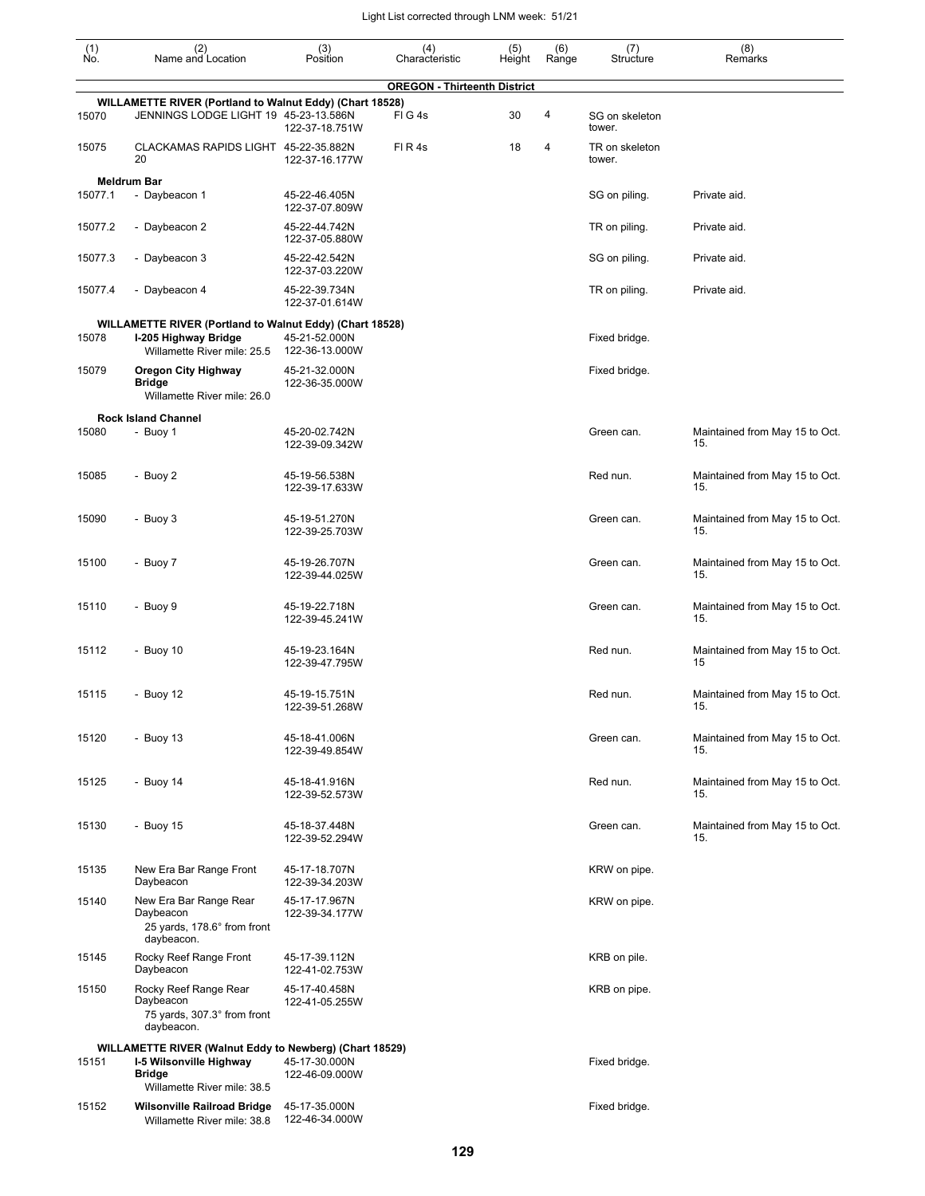| (1)<br>No. | (2)<br>Name and Location                                                                          | (3)<br>Position                 | (4)<br>Characteristic               | (5)<br>Height | (6)<br>Range | (7)<br>Structure         | (8)<br>Remarks                        |
|------------|---------------------------------------------------------------------------------------------------|---------------------------------|-------------------------------------|---------------|--------------|--------------------------|---------------------------------------|
|            |                                                                                                   |                                 | <b>OREGON - Thirteenth District</b> |               |              |                          |                                       |
| 15070      | WILLAMETTE RIVER (Portland to Walnut Eddy) (Chart 18528)<br>JENNINGS LODGE LIGHT 19 45-23-13.586N | 122-37-18.751W                  | FIG4s                               | 30            | 4            | SG on skeleton<br>tower. |                                       |
| 15075      | CLACKAMAS RAPIDS LIGHT 45-22-35.882N<br>20                                                        | 122-37-16.177W                  | FIR4s                               | 18            | 4            | TR on skeleton<br>tower. |                                       |
|            | <b>Meldrum Bar</b>                                                                                |                                 |                                     |               |              |                          |                                       |
| 15077.1    | - Daybeacon 1                                                                                     | 45-22-46.405N<br>122-37-07.809W |                                     |               |              | SG on piling.            | Private aid.                          |
| 15077.2    | - Daybeacon 2                                                                                     | 45-22-44.742N<br>122-37-05.880W |                                     |               |              | TR on piling.            | Private aid.                          |
| 15077.3    | - Daybeacon 3                                                                                     | 45-22-42.542N<br>122-37-03.220W |                                     |               |              | SG on piling.            | Private aid.                          |
| 15077.4    | - Daybeacon 4                                                                                     | 45-22-39.734N<br>122-37-01.614W |                                     |               |              | TR on piling.            | Private aid.                          |
|            | WILLAMETTE RIVER (Portland to Walnut Eddy) (Chart 18528)                                          |                                 |                                     |               |              |                          |                                       |
| 15078      | I-205 Highway Bridge<br>Willamette River mile: 25.5                                               | 45-21-52.000N<br>122-36-13.000W |                                     |               |              | Fixed bridge.            |                                       |
| 15079      | <b>Oregon City Highway</b><br><b>Bridge</b><br>Willamette River mile: 26.0                        | 45-21-32.000N<br>122-36-35.000W |                                     |               |              | Fixed bridge.            |                                       |
|            | <b>Rock Island Channel</b>                                                                        |                                 |                                     |               |              |                          |                                       |
| 15080      | - Buoy 1                                                                                          | 45-20-02.742N<br>122-39-09.342W |                                     |               |              | Green can.               | Maintained from May 15 to Oct.<br>15. |
| 15085      | - Buoy 2                                                                                          | 45-19-56.538N<br>122-39-17.633W |                                     |               |              | Red nun.                 | Maintained from May 15 to Oct.<br>15. |
| 15090      | - Buoy 3                                                                                          | 45-19-51.270N<br>122-39-25.703W |                                     |               |              | Green can.               | Maintained from May 15 to Oct.<br>15. |
| 15100      | - Buoy 7                                                                                          | 45-19-26.707N<br>122-39-44.025W |                                     |               |              | Green can.               | Maintained from May 15 to Oct.<br>15. |
| 15110      | - Buoy 9                                                                                          | 45-19-22.718N<br>122-39-45.241W |                                     |               |              | Green can.               | Maintained from May 15 to Oct.<br>15. |
| 15112      | - Buoy 10                                                                                         | 45-19-23.164N<br>122-39-47.795W |                                     |               |              | Red nun.                 | Maintained from May 15 to Oct.<br>15  |
| 15115      | - Buoy 12                                                                                         | 45-19-15.751N<br>122-39-51.268W |                                     |               |              | Red nun.                 | Maintained from May 15 to Oct.<br>15. |
| 15120      | - Buoy $13$                                                                                       | 45-18-41.006N<br>122-39-49.854W |                                     |               |              | Green can.               | Maintained from May 15 to Oct.<br>15. |
| 15125      | - Buoy 14                                                                                         | 45-18-41.916N<br>122-39-52.573W |                                     |               |              | Red nun.                 | Maintained from May 15 to Oct.<br>15. |
| 15130      | - Buoy 15                                                                                         | 45-18-37.448N<br>122-39-52.294W |                                     |               |              | Green can.               | Maintained from May 15 to Oct.<br>15. |
| 15135      | New Era Bar Range Front<br>Daybeacon                                                              | 45-17-18.707N<br>122-39-34.203W |                                     |               |              | KRW on pipe.             |                                       |
| 15140      | New Era Bar Range Rear<br>Daybeacon<br>25 yards, 178.6° from front<br>daybeacon.                  | 45-17-17.967N<br>122-39-34.177W |                                     |               |              | KRW on pipe.             |                                       |
| 15145      | Rocky Reef Range Front<br>Daybeacon                                                               | 45-17-39.112N<br>122-41-02.753W |                                     |               |              | KRB on pile.             |                                       |
| 15150      | Rocky Reef Range Rear<br>Daybeacon<br>75 yards, 307.3° from front<br>daybeacon.                   | 45-17-40.458N<br>122-41-05.255W |                                     |               |              | KRB on pipe.             |                                       |
|            | WILLAMETTE RIVER (Walnut Eddy to Newberg) (Chart 18529)                                           |                                 |                                     |               |              |                          |                                       |
| 15151      | I-5 Wilsonville Highway<br><b>Bridge</b><br>Willamette River mile: 38.5                           | 45-17-30.000N<br>122-46-09.000W |                                     |               |              | Fixed bridge.            |                                       |
| 15152      | <b>Wilsonville Railroad Bridge</b><br>Willamette River mile: 38.8                                 | 45-17-35.000N<br>122-46-34.000W |                                     |               |              | Fixed bridge.            |                                       |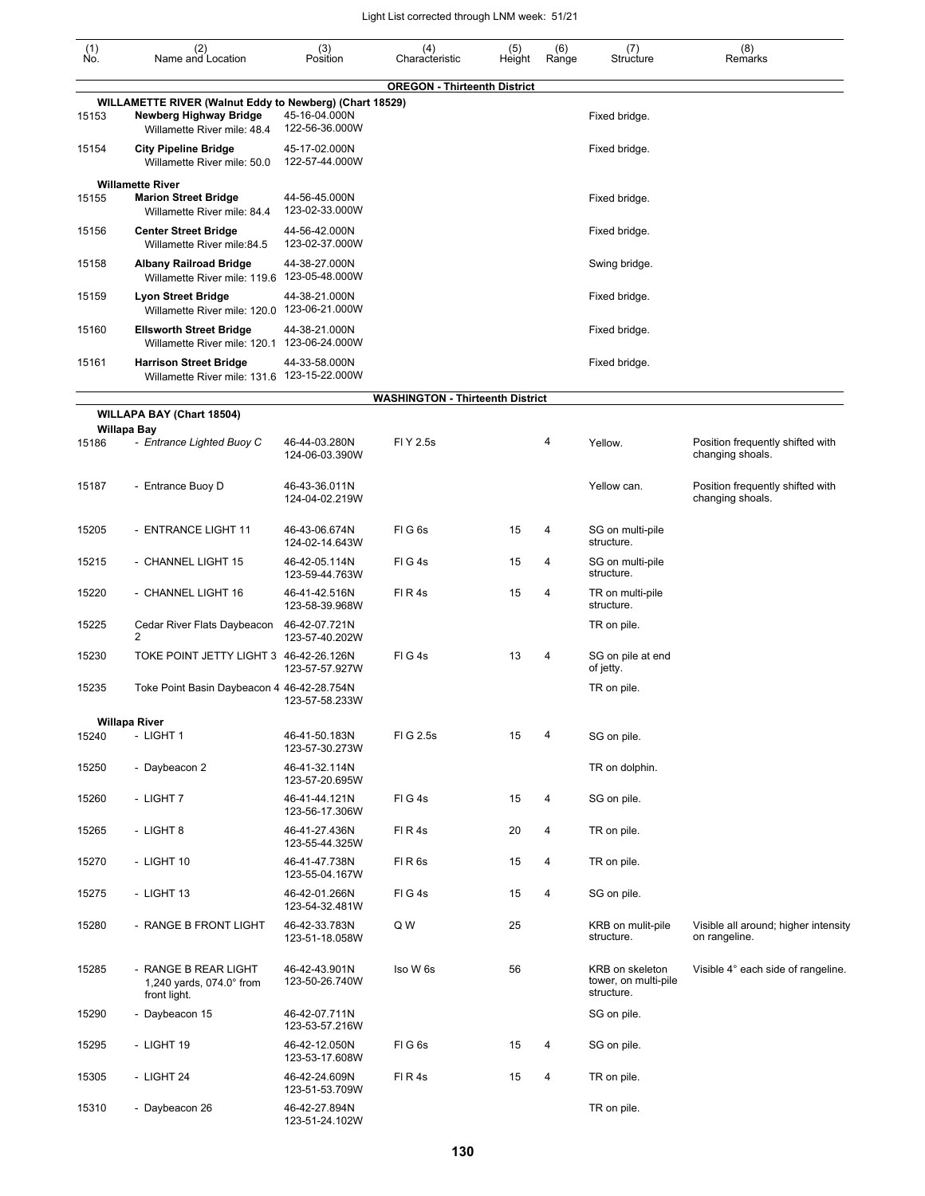| (1)<br>Ńó. | (2)<br>Name and Location                                                                                         | (3)<br>Position                 | (4)<br>Characteristic                   | (5)<br>Height | (6)<br>Range | (7)<br>Structure                                      | (8)<br>Remarks                                        |
|------------|------------------------------------------------------------------------------------------------------------------|---------------------------------|-----------------------------------------|---------------|--------------|-------------------------------------------------------|-------------------------------------------------------|
|            |                                                                                                                  |                                 | <b>OREGON - Thirteenth District</b>     |               |              |                                                       |                                                       |
| 15153      | WILLAMETTE RIVER (Walnut Eddy to Newberg) (Chart 18529)<br>Newberg Highway Bridge<br>Willamette River mile: 48.4 | 45-16-04.000N<br>122-56-36.000W |                                         |               |              | Fixed bridge.                                         |                                                       |
| 15154      | <b>City Pipeline Bridge</b><br>Willamette River mile: 50.0                                                       | 45-17-02.000N<br>122-57-44.000W |                                         |               |              | Fixed bridge.                                         |                                                       |
| 15155      | <b>Willamette River</b><br><b>Marion Street Bridge</b><br>Willamette River mile: 84.4                            | 44-56-45.000N<br>123-02-33.000W |                                         |               |              | Fixed bridge.                                         |                                                       |
| 15156      | <b>Center Street Bridge</b><br>Willamette River mile:84.5                                                        | 44-56-42.000N<br>123-02-37.000W |                                         |               |              | Fixed bridge.                                         |                                                       |
| 15158      | <b>Albany Railroad Bridge</b><br>Willamette River mile: 119.6 123-05-48.000W                                     | 44-38-27.000N                   |                                         |               |              | Swing bridge.                                         |                                                       |
| 15159      | Lyon Street Bridge<br>Willamette River mile: 120.0 123-06-21.000W                                                | 44-38-21.000N                   |                                         |               |              | Fixed bridge.                                         |                                                       |
| 15160      | <b>Ellsworth Street Bridge</b><br>Willamette River mile: 120.1                                                   | 44-38-21.000N<br>123-06-24.000W |                                         |               |              | Fixed bridge.                                         |                                                       |
| 15161      | <b>Harrison Street Bridge</b><br>Willamette River mile: 131.6 123-15-22.000W                                     | 44-33-58.000N                   |                                         |               |              | Fixed bridge.                                         |                                                       |
|            |                                                                                                                  |                                 | <b>WASHINGTON - Thirteenth District</b> |               |              |                                                       |                                                       |
|            | WILLAPA BAY (Chart 18504)<br><b>Willapa Bay</b>                                                                  |                                 |                                         |               |              |                                                       |                                                       |
| 15186      | - Entrance Lighted Buoy C                                                                                        | 46-44-03.280N<br>124-06-03.390W | FI Y 2.5s                               |               | 4            | Yellow.                                               | Position frequently shifted with<br>changing shoals.  |
| 15187      | - Entrance Buoy D                                                                                                | 46-43-36.011N<br>124-04-02.219W |                                         |               |              | Yellow can.                                           | Position frequently shifted with<br>changing shoals.  |
| 15205      | - ENTRANCE LIGHT 11                                                                                              | 46-43-06.674N<br>124-02-14.643W | FIG <sub>6s</sub>                       | 15            | 4            | SG on multi-pile<br>structure.                        |                                                       |
| 15215      | - CHANNEL LIGHT 15                                                                                               | 46-42-05.114N<br>123-59-44.763W | FIG4s                                   | 15            | 4            | SG on multi-pile<br>structure.                        |                                                       |
| 15220      | - CHANNEL LIGHT 16                                                                                               | 46-41-42.516N<br>123-58-39.968W | FIR4s                                   | 15            | 4            | TR on multi-pile<br>structure.                        |                                                       |
| 15225      | Cedar River Flats Daybeacon<br>2                                                                                 | 46-42-07.721N<br>123-57-40.202W |                                         |               |              | TR on pile.                                           |                                                       |
| 15230      | TOKE POINT JETTY LIGHT 3 46-42-26.126N                                                                           | 123-57-57.927W                  | FIG4s                                   | 13            | 4            | SG on pile at end<br>of jetty.                        |                                                       |
| 15235      | Toke Point Basin Daybeacon 4 46-42-28.754N                                                                       | 123-57-58.233W                  |                                         |               |              | TR on pile.                                           |                                                       |
|            | <b>Willapa River</b>                                                                                             |                                 |                                         |               |              |                                                       |                                                       |
| 15240      | - LIGHT 1                                                                                                        | 46-41-50.183N<br>123-57-30.273W | FIG 2.5s                                | 15            | 4            | SG on pile.                                           |                                                       |
| 15250      | - Daybeacon 2                                                                                                    | 46-41-32.114N<br>123-57-20.695W |                                         |               |              | TR on dolphin.                                        |                                                       |
| 15260      | - LIGHT 7                                                                                                        | 46-41-44.121N<br>123-56-17.306W | FIG4s                                   | 15            | 4            | SG on pile.                                           |                                                       |
| 15265      | - LIGHT 8                                                                                                        | 46-41-27.436N<br>123-55-44.325W | FIR4s                                   | 20            | 4            | TR on pile.                                           |                                                       |
| 15270      | - LIGHT 10                                                                                                       | 46-41-47.738N<br>123-55-04.167W | FIR <sub>6s</sub>                       | 15            | 4            | TR on pile.                                           |                                                       |
| 15275      | - LIGHT 13                                                                                                       | 46-42-01.266N<br>123-54-32.481W | FIG4s                                   | 15            | 4            | SG on pile.                                           |                                                       |
| 15280      | - RANGE B FRONT LIGHT                                                                                            | 46-42-33.783N<br>123-51-18.058W | Q W                                     | 25            |              | KRB on mulit-pile<br>structure.                       | Visible all around; higher intensity<br>on rangeline. |
| 15285      | - RANGE B REAR LIGHT<br>1,240 yards, $074.0^\circ$ from<br>front light.                                          | 46-42-43.901N<br>123-50-26.740W | Iso W 6s                                | 56            |              | KRB on skeleton<br>tower, on multi-pile<br>structure. | Visible 4° each side of rangeline.                    |
| 15290      | - Daybeacon 15                                                                                                   | 46-42-07.711N<br>123-53-57.216W |                                         |               |              | SG on pile.                                           |                                                       |
| 15295      | - LIGHT 19                                                                                                       | 46-42-12.050N<br>123-53-17.608W | FIG6s                                   | 15            | 4            | SG on pile.                                           |                                                       |
| 15305      | - LIGHT 24                                                                                                       | 46-42-24.609N<br>123-51-53.709W | FIR4s                                   | 15            | 4            | TR on pile.                                           |                                                       |
| 15310      | - Daybeacon 26                                                                                                   | 46-42-27.894N                   |                                         |               |              | TR on pile.                                           |                                                       |

123-51-24.102W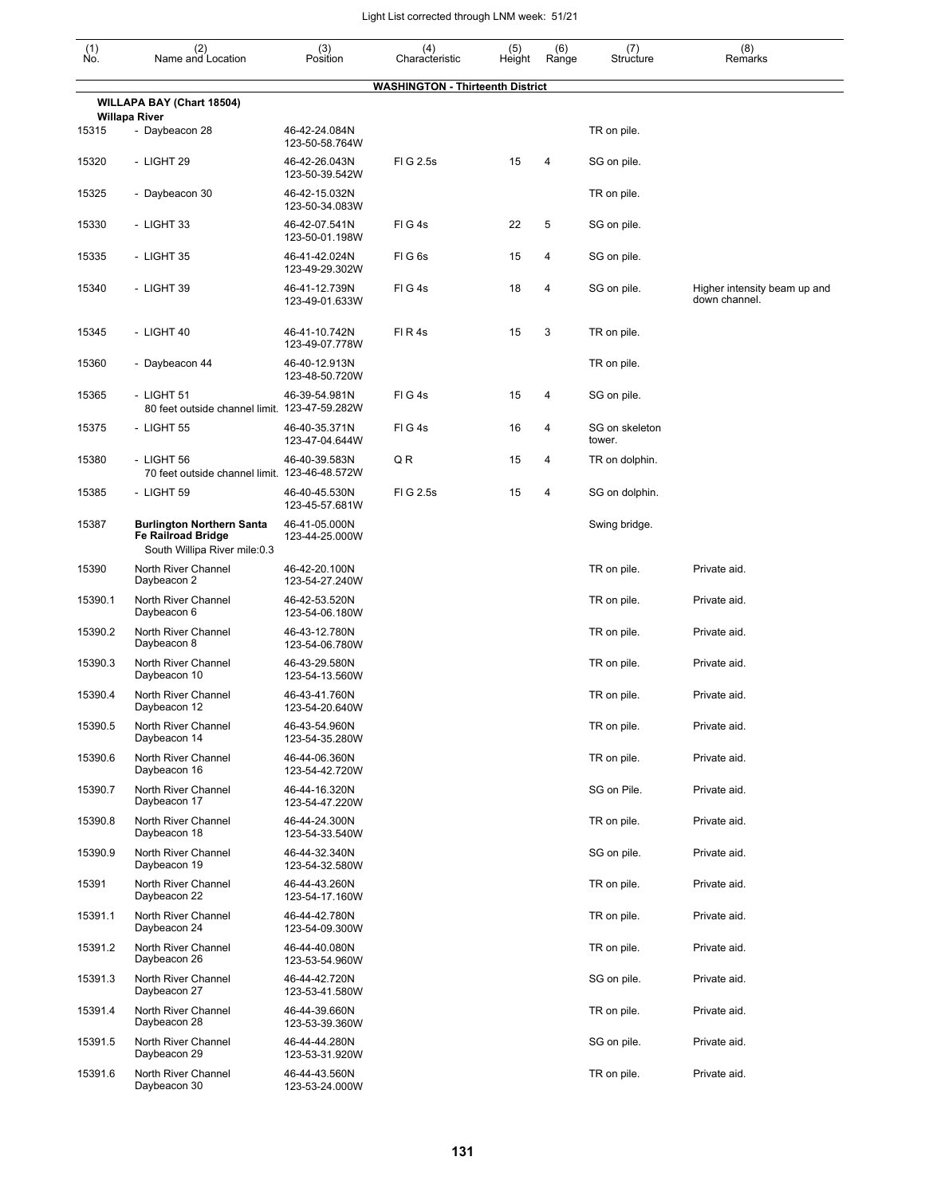| $\begin{smallmatrix} (1) \ N0. \end{smallmatrix}$ | (2)<br>Name and Location                                                                      | (3)<br>Position                                   | (4)<br>Characteristic                   | (5)<br>Height | (6)<br>Range | (7)<br>Structure         | (8)<br>Remarks                                |
|---------------------------------------------------|-----------------------------------------------------------------------------------------------|---------------------------------------------------|-----------------------------------------|---------------|--------------|--------------------------|-----------------------------------------------|
|                                                   |                                                                                               |                                                   | <b>WASHINGTON - Thirteenth District</b> |               |              |                          |                                               |
|                                                   | <b>WILLAPA BAY (Chart 18504)</b>                                                              |                                                   |                                         |               |              |                          |                                               |
| 15315                                             | <b>Willapa River</b><br>- Daybeacon 28                                                        | 46-42-24.084N                                     |                                         |               |              | TR on pile.              |                                               |
| 15320                                             | - LIGHT 29                                                                                    | 123-50-58.764W<br>46-42-26.043N<br>123-50-39.542W | FIG 2.5s                                | 15            | 4            | SG on pile.              |                                               |
| 15325                                             | - Daybeacon 30                                                                                | 46-42-15.032N<br>123-50-34.083W                   |                                         |               |              | TR on pile.              |                                               |
| 15330                                             | - LIGHT 33                                                                                    | 46-42-07.541N<br>123-50-01.198W                   | FIG4s                                   | 22            | 5            | SG on pile.              |                                               |
| 15335                                             | - LIGHT 35                                                                                    | 46-41-42.024N<br>123-49-29.302W                   | FIG6s                                   | 15            | 4            | SG on pile.              |                                               |
| 15340                                             | - LIGHT 39                                                                                    | 46-41-12.739N<br>123-49-01.633W                   | FIG4s                                   | 18            | 4            | SG on pile.              | Higher intensity beam up and<br>down channel. |
| 15345                                             | - LIGHT 40                                                                                    | 46-41-10.742N<br>123-49-07.778W                   | FIR4s                                   | 15            | 3            | TR on pile.              |                                               |
| 15360                                             | - Daybeacon 44                                                                                | 46-40-12.913N<br>123-48-50.720W                   |                                         |               |              | TR on pile.              |                                               |
| 15365                                             | - LIGHT 51<br>80 feet outside channel limit. 123-47-59.282W                                   | 46-39-54.981N                                     | FIG4s                                   | 15            | 4            | SG on pile.              |                                               |
| 15375                                             | - LIGHT 55                                                                                    | 46-40-35.371N<br>123-47-04.644W                   | FIG4s                                   | 16            | 4            | SG on skeleton<br>tower. |                                               |
| 15380                                             | - LIGHT 56<br>70 feet outside channel limit. 123-46-48.572W                                   | 46-40-39.583N                                     | Q R                                     | 15            | 4            | TR on dolphin.           |                                               |
| 15385                                             | - LIGHT 59                                                                                    | 46-40-45.530N<br>123-45-57.681W                   | FIG 2.5s                                | 15            | 4            | SG on dolphin.           |                                               |
| 15387                                             | <b>Burlington Northern Santa</b><br><b>Fe Railroad Bridge</b><br>South Willipa River mile:0.3 | 46-41-05.000N<br>123-44-25.000W                   |                                         |               |              | Swing bridge.            |                                               |
| 15390                                             | North River Channel<br>Daybeacon 2                                                            | 46-42-20.100N<br>123-54-27.240W                   |                                         |               |              | TR on pile.              | Private aid.                                  |
| 15390.1                                           | North River Channel<br>Daybeacon 6                                                            | 46-42-53.520N<br>123-54-06.180W                   |                                         |               |              | TR on pile.              | Private aid.                                  |
| 15390.2                                           | North River Channel<br>Daybeacon 8                                                            | 46-43-12.780N<br>123-54-06.780W                   |                                         |               |              | TR on pile.              | Private aid.                                  |
| 15390.3                                           | North River Channel<br>Daybeacon 10                                                           | 46-43-29.580N<br>123-54-13.560W                   |                                         |               |              | TR on pile.              | Private aid.                                  |
| 15390.4                                           | North River Channel<br>Daybeacon 12                                                           | 46-43-41.760N<br>123-54-20.640W                   |                                         |               |              | TR on pile.              | Private aid.                                  |
| 15390.5                                           | North River Channel<br>Daybeacon 14                                                           | 46-43-54.960N<br>123-54-35.280W                   |                                         |               |              | TR on pile.              | Private aid.                                  |
| 15390.6                                           | North River Channel<br>Daybeacon 16                                                           | 46-44-06.360N<br>123-54-42.720W                   |                                         |               |              | TR on pile.              | Private aid.                                  |
| 15390.7                                           | North River Channel<br>Daybeacon 17                                                           | 46-44-16.320N<br>123-54-47.220W                   |                                         |               |              | SG on Pile.              | Private aid.                                  |
| 15390.8                                           | North River Channel<br>Daybeacon 18                                                           | 46-44-24.300N<br>123-54-33.540W                   |                                         |               |              | TR on pile.              | Private aid.                                  |
| 15390.9                                           | North River Channel<br>Daybeacon 19                                                           | 46-44-32.340N<br>123-54-32.580W                   |                                         |               |              | SG on pile.              | Private aid.                                  |
| 15391                                             | North River Channel<br>Daybeacon 22                                                           | 46-44-43.260N<br>123-54-17.160W                   |                                         |               |              | TR on pile.              | Private aid.                                  |
| 15391.1                                           | North River Channel<br>Daybeacon 24                                                           | 46-44-42.780N<br>123-54-09.300W                   |                                         |               |              | TR on pile.              | Private aid.                                  |
| 15391.2                                           | North River Channel<br>Daybeacon 26                                                           | 46-44-40.080N<br>123-53-54.960W                   |                                         |               |              | TR on pile.              | Private aid.                                  |
| 15391.3                                           | North River Channel<br>Daybeacon 27                                                           | 46-44-42.720N<br>123-53-41.580W                   |                                         |               |              | SG on pile.              | Private aid.                                  |
| 15391.4                                           | North River Channel<br>Daybeacon 28                                                           | 46-44-39.660N<br>123-53-39.360W                   |                                         |               |              | TR on pile.              | Private aid.                                  |
| 15391.5                                           | North River Channel<br>Daybeacon 29                                                           | 46-44-44.280N<br>123-53-31.920W                   |                                         |               |              | SG on pile.              | Private aid.                                  |
| 15391.6                                           | North River Channel<br>Daybeacon 30                                                           | 46-44-43.560N<br>123-53-24.000W                   |                                         |               |              | TR on pile.              | Private aid.                                  |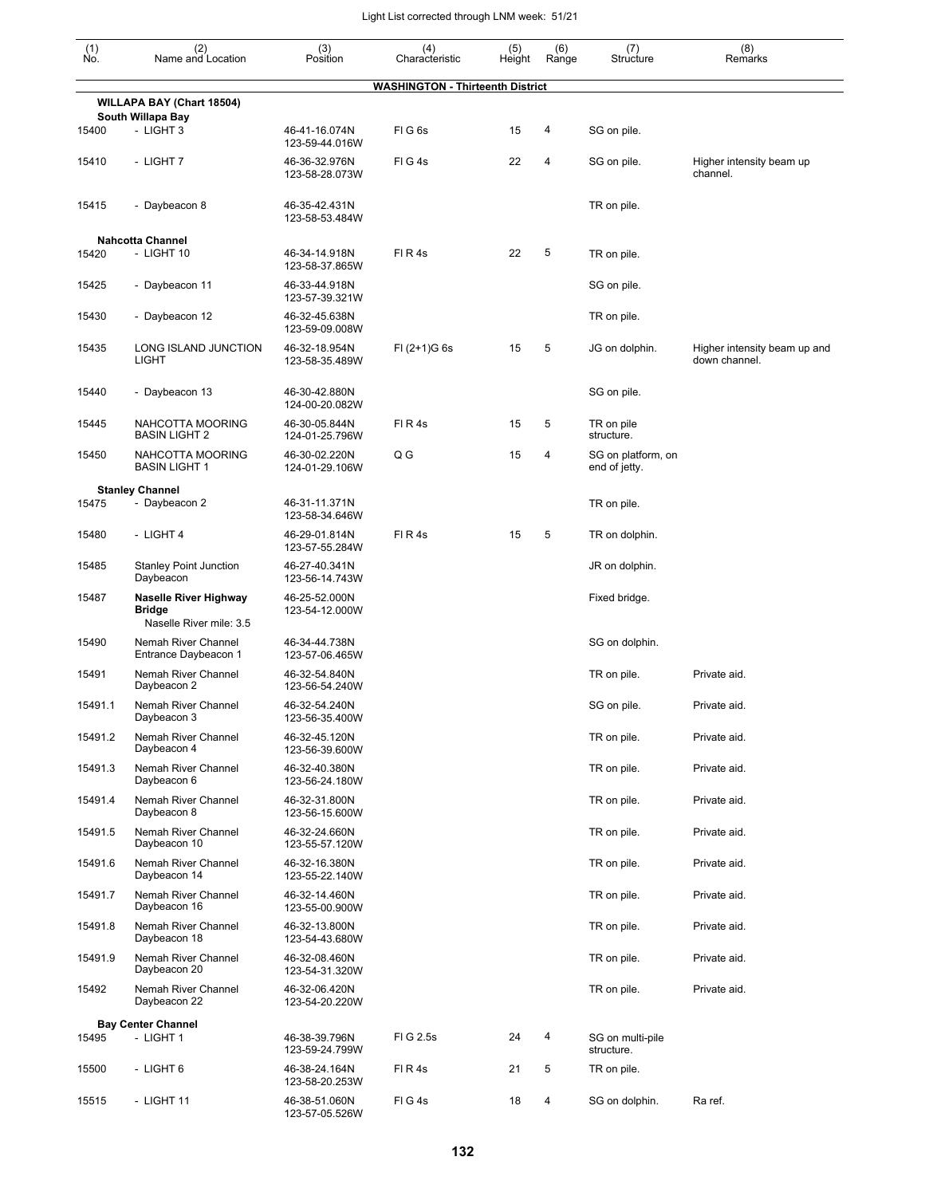| $\begin{smallmatrix} (1) \\ \mathsf{No} \end{smallmatrix}$ | (2)<br>Name and Location                                                 | (3)<br>Position                 | (4)<br>Characteristic            | (5)<br>Height | (6)<br>Range   | (7)<br>Structure                    | (8)<br>Remarks                                |
|------------------------------------------------------------|--------------------------------------------------------------------------|---------------------------------|----------------------------------|---------------|----------------|-------------------------------------|-----------------------------------------------|
|                                                            |                                                                          |                                 | WASHINGTON - Thirteenth District |               |                |                                     |                                               |
|                                                            | WILLAPA BAY (Chart 18504)                                                |                                 |                                  |               |                |                                     |                                               |
| 15400                                                      | South Willapa Bay<br>- LIGHT 3                                           | 46-41-16.074N<br>123-59-44.016W | FIG6s                            | 15            | 4              | SG on pile.                         |                                               |
| 15410                                                      | - LIGHT 7                                                                | 46-36-32.976N<br>123-58-28.073W | FIG4s                            | 22            | $\overline{4}$ | SG on pile.                         | Higher intensity beam up<br>channel.          |
| 15415                                                      | - Daybeacon 8                                                            | 46-35-42.431N<br>123-58-53.484W |                                  |               |                | TR on pile.                         |                                               |
| 15420                                                      | <b>Nahcotta Channel</b><br>- LIGHT 10                                    | 46-34-14.918N<br>123-58-37.865W | FIR4s                            | 22            | 5              | TR on pile.                         |                                               |
| 15425                                                      | - Daybeacon 11                                                           | 46-33-44.918N<br>123-57-39.321W |                                  |               |                | SG on pile.                         |                                               |
| 15430                                                      | - Daybeacon 12                                                           | 46-32-45.638N<br>123-59-09.008W |                                  |               |                | TR on pile.                         |                                               |
| 15435                                                      | LONG ISLAND JUNCTION<br><b>LIGHT</b>                                     | 46-32-18.954N<br>123-58-35.489W | $FI (2+1)G 6s$                   | 15            | 5              | JG on dolphin.                      | Higher intensity beam up and<br>down channel. |
| 15440                                                      | - Daybeacon 13                                                           | 46-30-42.880N<br>124-00-20.082W |                                  |               |                | SG on pile.                         |                                               |
| 15445                                                      | NAHCOTTA MOORING<br><b>BASIN LIGHT 2</b>                                 | 46-30-05.844N<br>124-01-25.796W | FIR4s                            | 15            | 5              | TR on pile<br>structure.            |                                               |
| 15450                                                      | NAHCOTTA MOORING<br><b>BASIN LIGHT 1</b>                                 | 46-30-02.220N<br>124-01-29.106W | Q G                              | 15            | 4              | SG on platform, on<br>end of jetty. |                                               |
| 15475                                                      | <b>Stanley Channel</b><br>- Daybeacon 2                                  | 46-31-11.371N<br>123-58-34.646W |                                  |               |                | TR on pile.                         |                                               |
| 15480                                                      | - LIGHT 4                                                                | 46-29-01.814N<br>123-57-55.284W | FIR4s                            | 15            | 5              | TR on dolphin.                      |                                               |
| 15485                                                      | <b>Stanley Point Junction</b><br>Daybeacon                               | 46-27-40.341N<br>123-56-14.743W |                                  |               |                | JR on dolphin.                      |                                               |
| 15487                                                      | <b>Naselle River Highway</b><br><b>Bridge</b><br>Naselle River mile: 3.5 | 46-25-52.000N<br>123-54-12.000W |                                  |               |                | Fixed bridge.                       |                                               |
| 15490                                                      | Nemah River Channel<br>Entrance Daybeacon 1                              | 46-34-44.738N<br>123-57-06.465W |                                  |               |                | SG on dolphin.                      |                                               |
| 15491                                                      | Nemah River Channel<br>Daybeacon 2                                       | 46-32-54.840N<br>123-56-54.240W |                                  |               |                | TR on pile.                         | Private aid.                                  |
| 15491.1                                                    | Nemah River Channel<br>Daybeacon 3                                       | 46-32-54.240N<br>123-56-35.400W |                                  |               |                | SG on pile.                         | Private aid.                                  |
| 15491.2                                                    | Nemah River Channel<br>Daybeacon 4                                       | 46-32-45.120N<br>123-56-39.600W |                                  |               |                | TR on pile.                         | Private aid.                                  |
| 15491.3                                                    | Nemah River Channel<br>Daybeacon 6                                       | 46-32-40.380N<br>123-56-24.180W |                                  |               |                | TR on pile.                         | Private aid.                                  |
| 15491.4                                                    | Nemah River Channel<br>Daybeacon 8                                       | 46-32-31.800N<br>123-56-15.600W |                                  |               |                | TR on pile.                         | Private aid.                                  |
| 15491.5                                                    | Nemah River Channel<br>Daybeacon 10                                      | 46-32-24.660N<br>123-55-57.120W |                                  |               |                | TR on pile.                         | Private aid.                                  |
| 15491.6                                                    | Nemah River Channel<br>Daybeacon 14                                      | 46-32-16.380N<br>123-55-22.140W |                                  |               |                | TR on pile.                         | Private aid.                                  |
| 15491.7                                                    | Nemah River Channel<br>Daybeacon 16                                      | 46-32-14.460N<br>123-55-00.900W |                                  |               |                | TR on pile.                         | Private aid.                                  |
| 15491.8                                                    | Nemah River Channel<br>Daybeacon 18                                      | 46-32-13.800N<br>123-54-43.680W |                                  |               |                | TR on pile.                         | Private aid.                                  |
| 15491.9                                                    | Nemah River Channel<br>Daybeacon 20                                      | 46-32-08.460N<br>123-54-31.320W |                                  |               |                | TR on pile.                         | Private aid.                                  |
| 15492                                                      | Nemah River Channel<br>Daybeacon 22                                      | 46-32-06.420N<br>123-54-20.220W |                                  |               |                | TR on pile.                         | Private aid.                                  |
| 15495                                                      | <b>Bay Center Channel</b><br>- LIGHT 1                                   | 46-38-39.796N<br>123-59-24.799W | FIG 2.5s                         | 24            | 4              | SG on multi-pile<br>structure.      |                                               |
| 15500                                                      | - LIGHT 6                                                                | 46-38-24.164N<br>123-58-20.253W | FIR4s                            | 21            | 5              | TR on pile.                         |                                               |
| 15515                                                      | - LIGHT 11                                                               | 46-38-51.060N<br>123-57-05.526W | FIG4s                            | 18            | 4              | SG on dolphin.                      | Ra ref.                                       |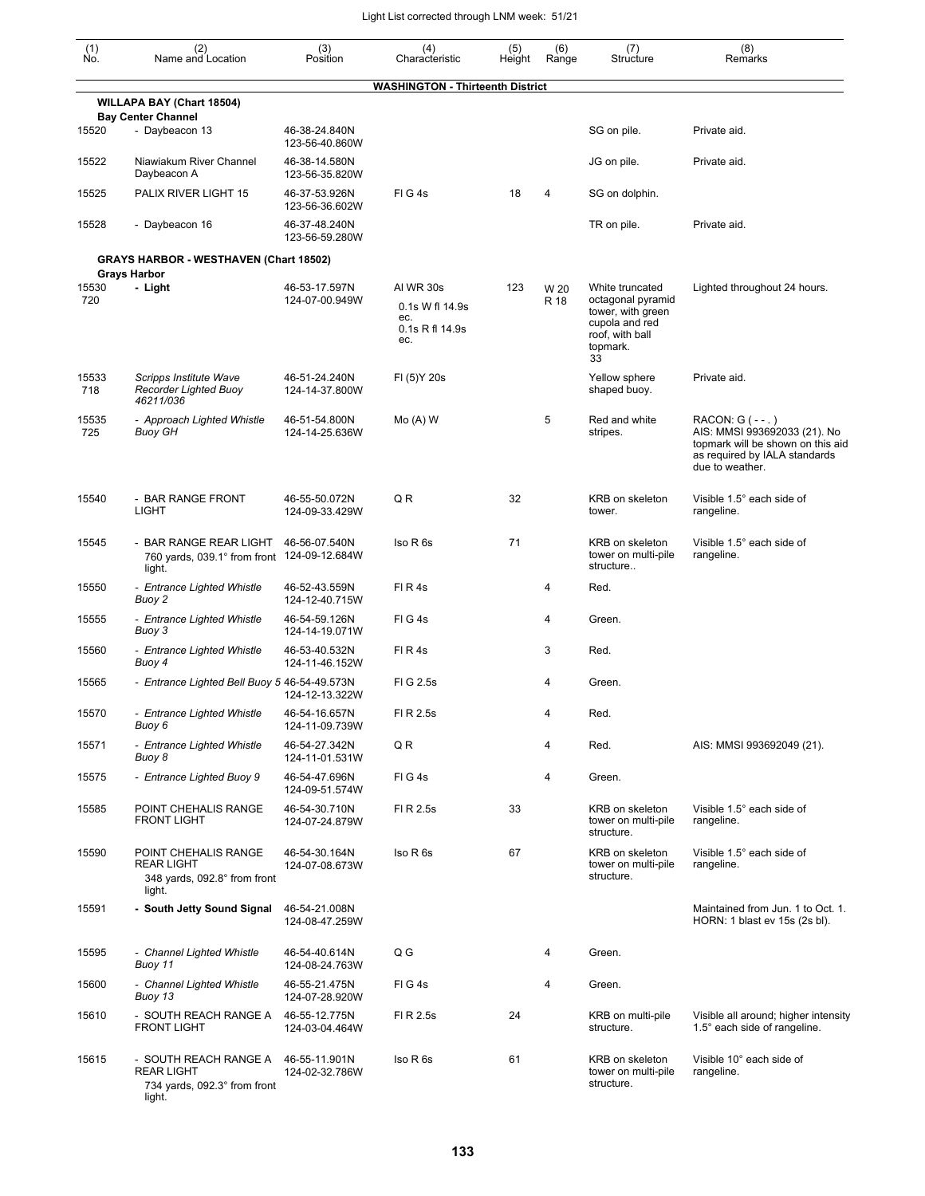| $\begin{smallmatrix} (1) \ N0. \end{smallmatrix}$ | (2)<br>Name and Location                                                             | (3)<br>Position                 | (4)<br>Characteristic                            | (5)<br>Height | (6)<br>Range | (7)<br>Structure                                                                              | (8)<br>Remarks                                                                                                                          |
|---------------------------------------------------|--------------------------------------------------------------------------------------|---------------------------------|--------------------------------------------------|---------------|--------------|-----------------------------------------------------------------------------------------------|-----------------------------------------------------------------------------------------------------------------------------------------|
|                                                   |                                                                                      |                                 | <b>WASHINGTON - Thirteenth District</b>          |               |              |                                                                                               |                                                                                                                                         |
|                                                   | WILLAPA BAY (Chart 18504)<br><b>Bay Center Channel</b>                               |                                 |                                                  |               |              |                                                                                               |                                                                                                                                         |
| 15520                                             | - Daybeacon 13                                                                       | 46-38-24.840N<br>123-56-40.860W |                                                  |               |              | SG on pile.                                                                                   | Private aid.                                                                                                                            |
| 15522                                             | Niawiakum River Channel<br>Daybeacon A                                               | 46-38-14.580N<br>123-56-35.820W |                                                  |               |              | JG on pile.                                                                                   | Private aid.                                                                                                                            |
| 15525                                             | PALIX RIVER LIGHT 15                                                                 | 46-37-53.926N<br>123-56-36.602W | FIG4s                                            | 18            | 4            | SG on dolphin.                                                                                |                                                                                                                                         |
| 15528                                             | - Daybeacon 16                                                                       | 46-37-48.240N<br>123-56-59.280W |                                                  |               |              | TR on pile.                                                                                   | Private aid.                                                                                                                            |
|                                                   | <b>GRAYS HARBOR - WESTHAVEN (Chart 18502)</b>                                        |                                 |                                                  |               |              |                                                                                               |                                                                                                                                         |
| 15530                                             | <b>Grays Harbor</b><br>- Light                                                       | 46-53-17.597N                   | AI WR 30s                                        | 123           | W 20         | White truncated                                                                               | Lighted throughout 24 hours.                                                                                                            |
| 720                                               |                                                                                      | 124-07-00.949W                  | 0.1s W fl 14.9s<br>ec.<br>0.1s R fl 14.9s<br>ec. |               | R 18         | octagonal pyramid<br>tower, with green<br>cupola and red<br>roof, with ball<br>topmark.<br>33 |                                                                                                                                         |
| 15533<br>718                                      | Scripps Institute Wave<br><b>Recorder Lighted Buoy</b><br>46211/036                  | 46-51-24.240N<br>124-14-37.800W | FI (5) Y 20s                                     |               |              | Yellow sphere<br>shaped buoy.                                                                 | Private aid.                                                                                                                            |
| 15535<br>725                                      | - Approach Lighted Whistle<br><b>Buoy GH</b>                                         | 46-51-54.800N<br>124-14-25.636W | $Mo(A)$ W                                        |               | 5            | Red and white<br>stripes.                                                                     | RACON: G (--.)<br>AIS: MMSI 993692033 (21). No<br>topmark will be shown on this aid<br>as required by IALA standards<br>due to weather. |
| 15540                                             | - BAR RANGE FRONT<br><b>LIGHT</b>                                                    | 46-55-50.072N<br>124-09-33.429W | QR                                               | 32            |              | KRB on skeleton<br>tower.                                                                     | Visible 1.5° each side of<br>rangeline.                                                                                                 |
| 15545                                             | - BAR RANGE REAR LIGHT<br>760 yards, 039.1° from front 124-09-12.684W<br>light.      | 46-56-07.540N                   | Iso R 6s                                         | 71            |              | KRB on skeleton<br>tower on multi-pile<br>structure                                           | Visible 1.5° each side of<br>rangeline.                                                                                                 |
| 15550                                             | - Entrance Lighted Whistle<br>Buoy 2                                                 | 46-52-43.559N<br>124-12-40.715W | FIR4s                                            |               | 4            | Red.                                                                                          |                                                                                                                                         |
| 15555                                             | - Entrance Lighted Whistle<br>Buoy 3                                                 | 46-54-59.126N<br>124-14-19.071W | FIG4s                                            |               | 4            | Green.                                                                                        |                                                                                                                                         |
| 15560                                             | - Entrance Lighted Whistle<br>Buoy 4                                                 | 46-53-40.532N<br>124-11-46.152W | FIR4s                                            |               | 3            | Red.                                                                                          |                                                                                                                                         |
| 15565                                             | - Entrance Lighted Bell Buoy 5 46-54-49.573N                                         | 124-12-13.322W                  | FIG 2.5s                                         |               | 4            | Green.                                                                                        |                                                                                                                                         |
| 15570                                             | - Entrance Lighted Whistle<br>Buoy 6                                                 | 46-54-16.657N<br>124-11-09.739W | FI R 2.5s                                        |               | 4            | Red.                                                                                          |                                                                                                                                         |
| 15571                                             | - Entrance Lighted Whistle<br>Buoy 8                                                 | 46-54-27.342N<br>124-11-01.531W | QR                                               |               | 4            | Red.                                                                                          | AIS: MMSI 993692049 (21).                                                                                                               |
| 15575                                             | - Entrance Lighted Buoy 9                                                            | 46-54-47.696N<br>124-09-51.574W | FIG4s                                            |               | 4            | Green.                                                                                        |                                                                                                                                         |
| 15585                                             | POINT CHEHALIS RANGE<br><b>FRONT LIGHT</b>                                           | 46-54-30.710N<br>124-07-24.879W | FI R 2.5s                                        | 33            |              | KRB on skeleton<br>tower on multi-pile<br>structure.                                          | Visible 1.5° each side of<br>rangeline.                                                                                                 |
| 15590                                             | POINT CHEHALIS RANGE<br><b>REAR LIGHT</b><br>348 yards, 092.8° from front<br>light.  | 46-54-30.164N<br>124-07-08.673W | Iso R 6s                                         | 67            |              | KRB on skeleton<br>tower on multi-pile<br>structure.                                          | Visible 1.5° each side of<br>rangeline.                                                                                                 |
| 15591                                             | - South Jetty Sound Signal                                                           | 46-54-21.008N<br>124-08-47.259W |                                                  |               |              |                                                                                               | Maintained from Jun. 1 to Oct. 1.<br>HORN: 1 blast ev 15s (2s bl).                                                                      |
| 15595                                             | - Channel Lighted Whistle<br>Buoy 11                                                 | 46-54-40.614N<br>124-08-24.763W | Q G                                              |               | 4            | Green.                                                                                        |                                                                                                                                         |
| 15600                                             | - Channel Lighted Whistle<br>Buoy 13                                                 | 46-55-21.475N<br>124-07-28.920W | FIG4s                                            |               | 4            | Green.                                                                                        |                                                                                                                                         |
| 15610                                             | - SOUTH REACH RANGE A<br><b>FRONT LIGHT</b>                                          | 46-55-12.775N<br>124-03-04.464W | FI R 2.5s                                        | 24            |              | KRB on multi-pile<br>structure.                                                               | Visible all around; higher intensity<br>1.5° each side of rangeline.                                                                    |
| 15615                                             | - SOUTH REACH RANGE A<br><b>REAR LIGHT</b><br>734 yards, 092.3° from front<br>light. | 46-55-11.901N<br>124-02-32.786W | Iso R 6s                                         | 61            |              | KRB on skeleton<br>tower on multi-pile<br>structure.                                          | Visible 10° each side of<br>rangeline.                                                                                                  |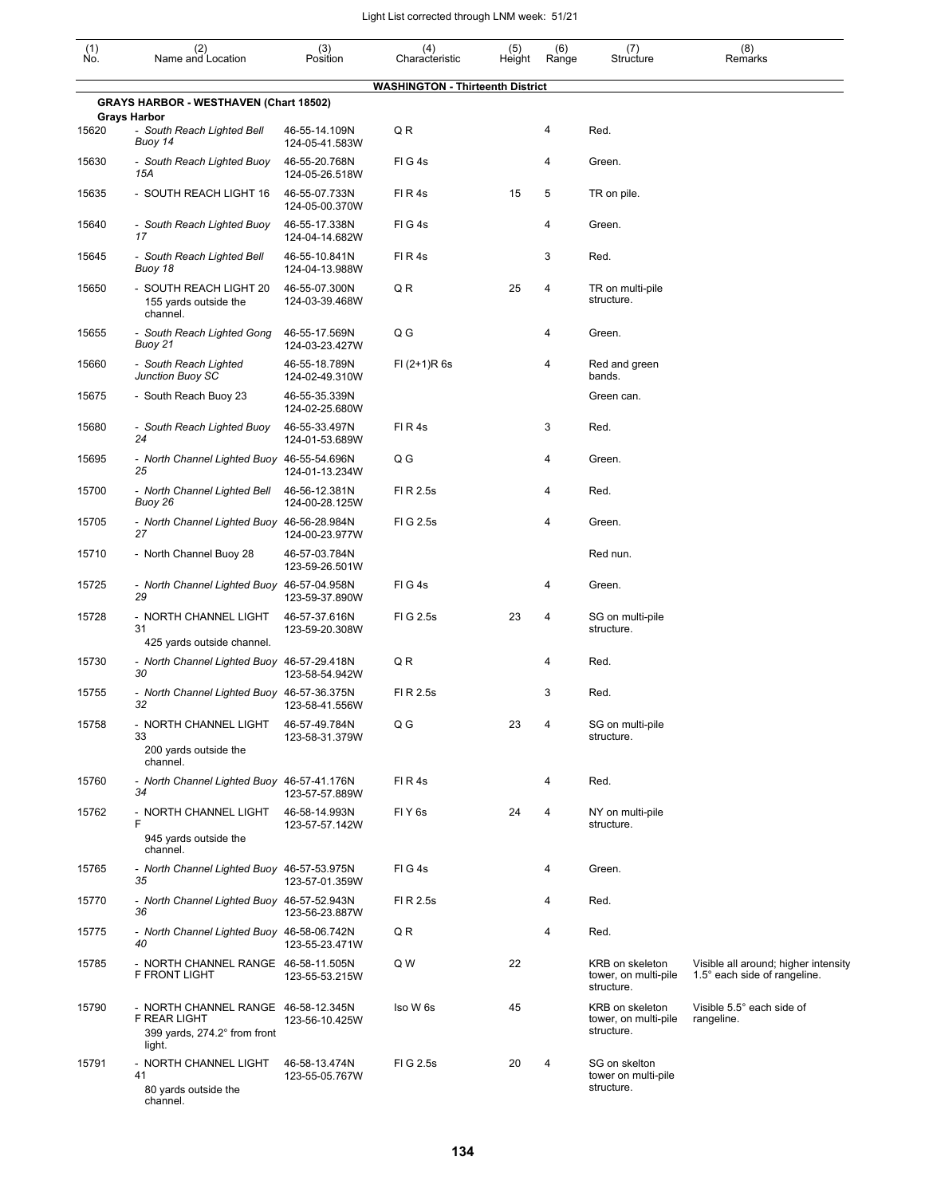| $\begin{smallmatrix} (1) \ N0. \end{smallmatrix}$ | (2)<br>Name and Location                                                                      | (3)<br>Position                 | (4)<br>Characteristic                   | (5)<br>Height | (6)<br>Range   | (7)<br>Structure                                      | (8)<br>Remarks                                                       |
|---------------------------------------------------|-----------------------------------------------------------------------------------------------|---------------------------------|-----------------------------------------|---------------|----------------|-------------------------------------------------------|----------------------------------------------------------------------|
|                                                   |                                                                                               |                                 | <b>WASHINGTON - Thirteenth District</b> |               |                |                                                       |                                                                      |
|                                                   | <b>GRAYS HARBOR - WESTHAVEN (Chart 18502)</b>                                                 |                                 |                                         |               |                |                                                       |                                                                      |
| 15620                                             | <b>Grays Harbor</b><br>- South Reach Lighted Bell<br>Buoy 14                                  | 46-55-14.109N<br>124-05-41.583W | QR                                      |               | 4              | Red.                                                  |                                                                      |
| 15630                                             | - South Reach Lighted Buoy<br>15A                                                             | 46-55-20.768N<br>124-05-26.518W | FIG4s                                   |               | 4              | Green.                                                |                                                                      |
| 15635                                             | - SOUTH REACH LIGHT 16                                                                        | 46-55-07.733N<br>124-05-00.370W | FIR4s                                   | 15            | 5              | TR on pile.                                           |                                                                      |
| 15640                                             | - South Reach Lighted Buoy<br>17                                                              | 46-55-17.338N<br>124-04-14.682W | FIG4s                                   |               | 4              | Green.                                                |                                                                      |
| 15645                                             | - South Reach Lighted Bell<br>Buoy 18                                                         | 46-55-10.841N<br>124-04-13.988W | FIR4s                                   |               | 3              | Red.                                                  |                                                                      |
| 15650                                             | - SOUTH REACH LIGHT 20<br>155 yards outside the<br>channel.                                   | 46-55-07.300N<br>124-03-39.468W | QR                                      | 25            | 4              | TR on multi-pile<br>structure.                        |                                                                      |
| 15655                                             | - South Reach Lighted Gong<br>Buoy 21                                                         | 46-55-17.569N<br>124-03-23.427W | Q G                                     |               | 4              | Green.                                                |                                                                      |
| 15660                                             | - South Reach Lighted<br>Junction Buoy SC                                                     | 46-55-18.789N<br>124-02-49.310W | $FI (2+1)R 6s$                          |               | 4              | Red and green<br>bands.                               |                                                                      |
| 15675                                             | - South Reach Buoy 23                                                                         | 46-55-35.339N<br>124-02-25.680W |                                         |               |                | Green can.                                            |                                                                      |
| 15680                                             | - South Reach Lighted Buoy<br>24                                                              | 46-55-33.497N<br>124-01-53.689W | FIR4s                                   |               | 3              | Red.                                                  |                                                                      |
| 15695                                             | - North Channel Lighted Buoy 46-55-54.696N<br>25                                              | 124-01-13.234W                  | Q G                                     |               | 4              | Green.                                                |                                                                      |
| 15700                                             | - North Channel Lighted Bell<br>Buoy 26                                                       | 46-56-12.381N<br>124-00-28.125W | FI R 2.5s                               |               | 4              | Red.                                                  |                                                                      |
| 15705                                             | - North Channel Lighted Buoy 46-56-28.984N<br>27                                              | 124-00-23.977W                  | FIG 2.5s                                |               | 4              | Green.                                                |                                                                      |
| 15710                                             | - North Channel Buoy 28                                                                       | 46-57-03.784N<br>123-59-26.501W |                                         |               |                | Red nun.                                              |                                                                      |
| 15725                                             | - North Channel Lighted Buoy 46-57-04.958N<br>29                                              | 123-59-37.890W                  | FIG4s                                   |               | 4              | Green.                                                |                                                                      |
| 15728                                             | - NORTH CHANNEL LIGHT<br>31<br>425 yards outside channel.                                     | 46-57-37.616N<br>123-59-20.308W | FIG 2.5s                                | 23            | $\overline{4}$ | SG on multi-pile<br>structure.                        |                                                                      |
| 15730                                             | - North Channel Lighted Buoy 46-57-29.418N<br>30                                              | 123-58-54.942W                  | QR                                      |               | 4              | Red.                                                  |                                                                      |
| 15755                                             | - North Channel Lighted Buoy 46-57-36.375N<br>32                                              | 123-58-41.556W                  | FI R 2.5s                               |               | 3              | Red.                                                  |                                                                      |
| 15758                                             | - NORTH CHANNEL LIGHT<br>33<br>200 yards outside the                                          | 46-57-49.784N<br>123-58-31.379W | Q G                                     | 23            | 4              | SG on multi-pile<br>structure.                        |                                                                      |
| 15760                                             | channel.<br>- North Channel Lighted Buoy 46-57-41.176N<br>34                                  |                                 | FIR4s                                   |               | 4              | Red.                                                  |                                                                      |
| 15762                                             | - NORTH CHANNEL LIGHT<br>F                                                                    | 123-57-57.889W<br>46-58-14.993N | FIY <sub>6s</sub>                       | 24            | $\overline{4}$ | NY on multi-pile<br>structure.                        |                                                                      |
|                                                   | 945 yards outside the<br>channel.                                                             | 123-57-57.142W                  |                                         |               |                |                                                       |                                                                      |
| 15765                                             | - North Channel Lighted Buoy 46-57-53.975N<br>35                                              | 123-57-01.359W                  | FIG4s                                   |               | 4              | Green.                                                |                                                                      |
| 15770                                             | - North Channel Lighted Buoy 46-57-52.943N<br>36                                              | 123-56-23.887W                  | FI R 2.5s                               |               | 4              | Red.                                                  |                                                                      |
| 15775                                             | - North Channel Lighted Buoy 46-58-06.742N<br>40                                              | 123-55-23.471W                  | Q R                                     |               | $\overline{4}$ | Red.                                                  |                                                                      |
| 15785                                             | - NORTH CHANNEL RANGE 46-58-11.505N<br>F FRONT LIGHT                                          | 123-55-53.215W                  | Q W                                     | 22            |                | KRB on skeleton<br>tower, on multi-pile<br>structure. | Visible all around; higher intensity<br>1.5° each side of rangeline. |
| 15790                                             | - NORTH CHANNEL RANGE 46-58-12.345N<br>F REAR LIGHT<br>399 yards, 274.2° from front<br>light. | 123-56-10.425W                  | Iso W 6s                                | 45            |                | KRB on skeleton<br>tower, on multi-pile<br>structure. | Visible 5.5° each side of<br>rangeline.                              |
| 15791                                             | - NORTH CHANNEL LIGHT<br>41<br>80 yards outside the<br>channel.                               | 46-58-13.474N<br>123-55-05.767W | FIG 2.5s                                | 20            | $\overline{4}$ | SG on skelton<br>tower on multi-pile<br>structure.    |                                                                      |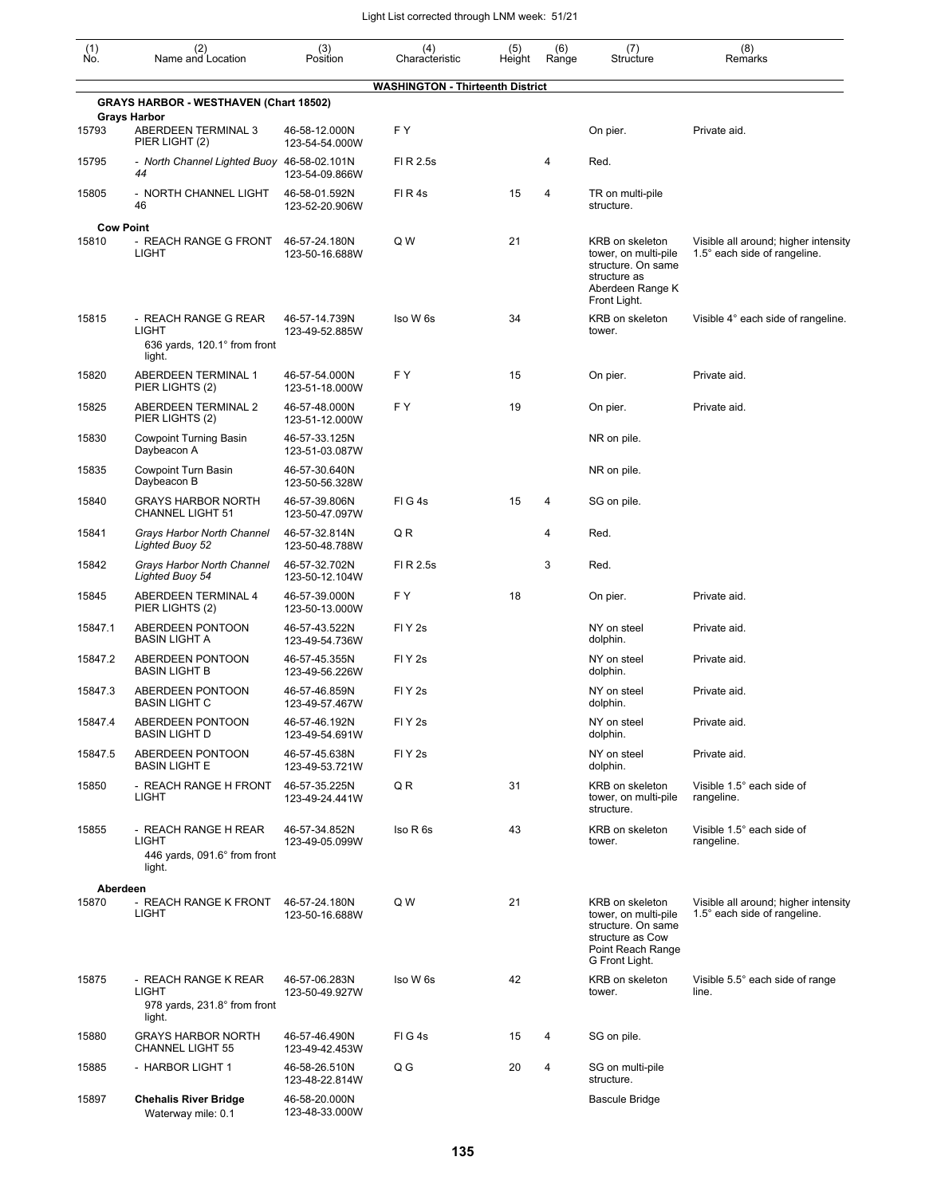| $\begin{smallmatrix} (1) \ N0. \end{smallmatrix}$ | (2)<br>Name and Location                                                       | (3)<br>Position                 | (4)<br>Characteristic                   | (5)<br>Height | (6)<br>Range | (7)<br>Structure                                                                                                         | (8)<br>Remarks                                                       |
|---------------------------------------------------|--------------------------------------------------------------------------------|---------------------------------|-----------------------------------------|---------------|--------------|--------------------------------------------------------------------------------------------------------------------------|----------------------------------------------------------------------|
|                                                   |                                                                                |                                 | <b>WASHINGTON - Thirteenth District</b> |               |              |                                                                                                                          |                                                                      |
|                                                   | <b>GRAYS HARBOR - WESTHAVEN (Chart 18502)</b>                                  |                                 |                                         |               |              |                                                                                                                          |                                                                      |
| 15793                                             | <b>Grays Harbor</b><br>ABERDEEN TERMINAL 3<br>PIER LIGHT (2)                   | 46-58-12.000N<br>123-54-54.000W | F Y                                     |               |              | On pier.                                                                                                                 | Private aid.                                                         |
| 15795                                             | - North Channel Lighted Buoy 46-58-02.101N<br>44                               | 123-54-09.866W                  | FI R 2.5s                               |               | 4            | Red.                                                                                                                     |                                                                      |
| 15805                                             | - NORTH CHANNEL LIGHT<br>46                                                    | 46-58-01.592N<br>123-52-20.906W | FIR4s                                   | 15            | 4            | TR on multi-pile<br>structure.                                                                                           |                                                                      |
|                                                   | <b>Cow Point</b>                                                               |                                 |                                         |               |              |                                                                                                                          |                                                                      |
| 15810                                             | - REACH RANGE G FRONT<br><b>LIGHT</b>                                          | 46-57-24.180N<br>123-50-16.688W | Q W                                     | 21            |              | KRB on skeleton<br>tower, on multi-pile<br>structure. On same<br>structure as<br>Aberdeen Range K<br>Front Light.        | Visible all around; higher intensity<br>1.5° each side of rangeline. |
| 15815                                             | - REACH RANGE G REAR<br><b>LIGHT</b><br>636 yards, 120.1° from front<br>light. | 46-57-14.739N<br>123-49-52.885W | Iso W 6s                                | 34            |              | KRB on skeleton<br>tower.                                                                                                | Visible 4° each side of rangeline.                                   |
| 15820                                             | <b>ABERDEEN TERMINAL 1</b><br>PIER LIGHTS (2)                                  | 46-57-54.000N<br>123-51-18.000W | FY                                      | 15            |              | On pier.                                                                                                                 | Private aid.                                                         |
| 15825                                             | <b>ABERDEEN TERMINAL 2</b><br>PIER LIGHTS (2)                                  | 46-57-48.000N<br>123-51-12.000W | F Y                                     | 19            |              | On pier.                                                                                                                 | Private aid.                                                         |
| 15830                                             | <b>Cowpoint Turning Basin</b><br>Daybeacon A                                   | 46-57-33.125N<br>123-51-03.087W |                                         |               |              | NR on pile.                                                                                                              |                                                                      |
| 15835                                             | <b>Cowpoint Turn Basin</b><br>Daybeacon B                                      | 46-57-30.640N<br>123-50-56.328W |                                         |               |              | NR on pile.                                                                                                              |                                                                      |
| 15840                                             | <b>GRAYS HARBOR NORTH</b><br><b>CHANNEL LIGHT 51</b>                           | 46-57-39.806N<br>123-50-47.097W | FIG4s                                   | 15            | 4            | SG on pile.                                                                                                              |                                                                      |
| 15841                                             | Grays Harbor North Channel<br><b>Lighted Buoy 52</b>                           | 46-57-32.814N<br>123-50-48.788W | Q R                                     |               | 4            | Red.                                                                                                                     |                                                                      |
| 15842                                             | Grays Harbor North Channel<br><b>Lighted Buoy 54</b>                           | 46-57-32.702N<br>123-50-12.104W | FI R 2.5s                               |               | 3            | Red.                                                                                                                     |                                                                      |
| 15845                                             | ABERDEEN TERMINAL 4<br>PIER LIGHTS (2)                                         | 46-57-39.000N<br>123-50-13.000W | FΥ                                      | 18            |              | On pier.                                                                                                                 | Private aid.                                                         |
| 15847.1                                           | <b>ABERDEEN PONTOON</b><br>BASIN LIGHT A                                       | 46-57-43.522N<br>123-49-54.736W | FIY <sub>2s</sub>                       |               |              | NY on steel<br>dolphin.                                                                                                  | Private aid.                                                         |
| 15847.2                                           | <b>ABERDEEN PONTOON</b><br><b>BASIN LIGHT B</b>                                | 46-57-45.355N<br>123-49-56.226W | FIY <sub>2s</sub>                       |               |              | NY on steel<br>dolphin.                                                                                                  | Private aid.                                                         |
| 15847.3                                           | <b>ABERDEEN PONTOON</b><br>BASIN LIGHT C                                       | 46-57-46.859N<br>123-49-57.467W | FIY <sub>2s</sub>                       |               |              | NY on steel<br>dolphin.                                                                                                  | Private aid.                                                         |
| 15847.4                                           | ABERDEEN PONTOON<br><b>BASIN LIGHT D</b>                                       | 46-57-46.192N<br>123-49-54.691W | FIY <sub>2s</sub>                       |               |              | NY on steel<br>dolphin.                                                                                                  | Private aid.                                                         |
| 15847.5                                           | ABERDEEN PONTOON<br><b>BASIN LIGHT E</b>                                       | 46-57-45.638N<br>123-49-53.721W | FIY <sub>2s</sub>                       |               |              | NY on steel<br>dolphin.                                                                                                  | Private aid.                                                         |
| 15850                                             | - REACH RANGE H FRONT<br>LIGHT                                                 | 46-57-35.225N<br>123-49-24.441W | QR                                      | 31            |              | KRB on skeleton<br>tower, on multi-pile<br>structure.                                                                    | Visible 1.5° each side of<br>rangeline.                              |
| 15855                                             | - REACH RANGE H REAR<br><b>LIGHT</b><br>446 yards, 091.6° from front<br>light. | 46-57-34.852N<br>123-49-05.099W | Iso R 6s                                | 43            |              | KRB on skeleton<br>tower.                                                                                                | Visible 1.5° each side of<br>rangeline.                              |
| Aberdeen                                          |                                                                                |                                 |                                         |               |              |                                                                                                                          |                                                                      |
| 15870                                             | - REACH RANGE K FRONT<br><b>LIGHT</b>                                          | 46-57-24.180N<br>123-50-16.688W | Q W                                     | 21            |              | KRB on skeleton<br>tower, on multi-pile<br>structure. On same<br>structure as Cow<br>Point Reach Range<br>G Front Light. | Visible all around; higher intensity<br>1.5° each side of rangeline. |
| 15875                                             | - REACH RANGE K REAR<br><b>LIGHT</b><br>978 yards, 231.8° from front<br>light. | 46-57-06.283N<br>123-50-49.927W | Iso W 6s                                | 42            |              | KRB on skeleton<br>tower.                                                                                                | Visible 5.5° each side of range<br>line.                             |
| 15880                                             | <b>GRAYS HARBOR NORTH</b><br><b>CHANNEL LIGHT 55</b>                           | 46-57-46.490N<br>123-49-42.453W | FIG4s                                   | 15            | 4            | SG on pile.                                                                                                              |                                                                      |
| 15885                                             | - HARBOR LIGHT 1                                                               | 46-58-26.510N<br>123-48-22.814W | Q G                                     | 20            | 4            | SG on multi-pile<br>structure.                                                                                           |                                                                      |
| 15897                                             | <b>Chehalis River Bridge</b><br>Waterway mile: 0.1                             | 46-58-20.000N<br>123-48-33.000W |                                         |               |              | <b>Bascule Bridge</b>                                                                                                    |                                                                      |

Waterway mile: 0.1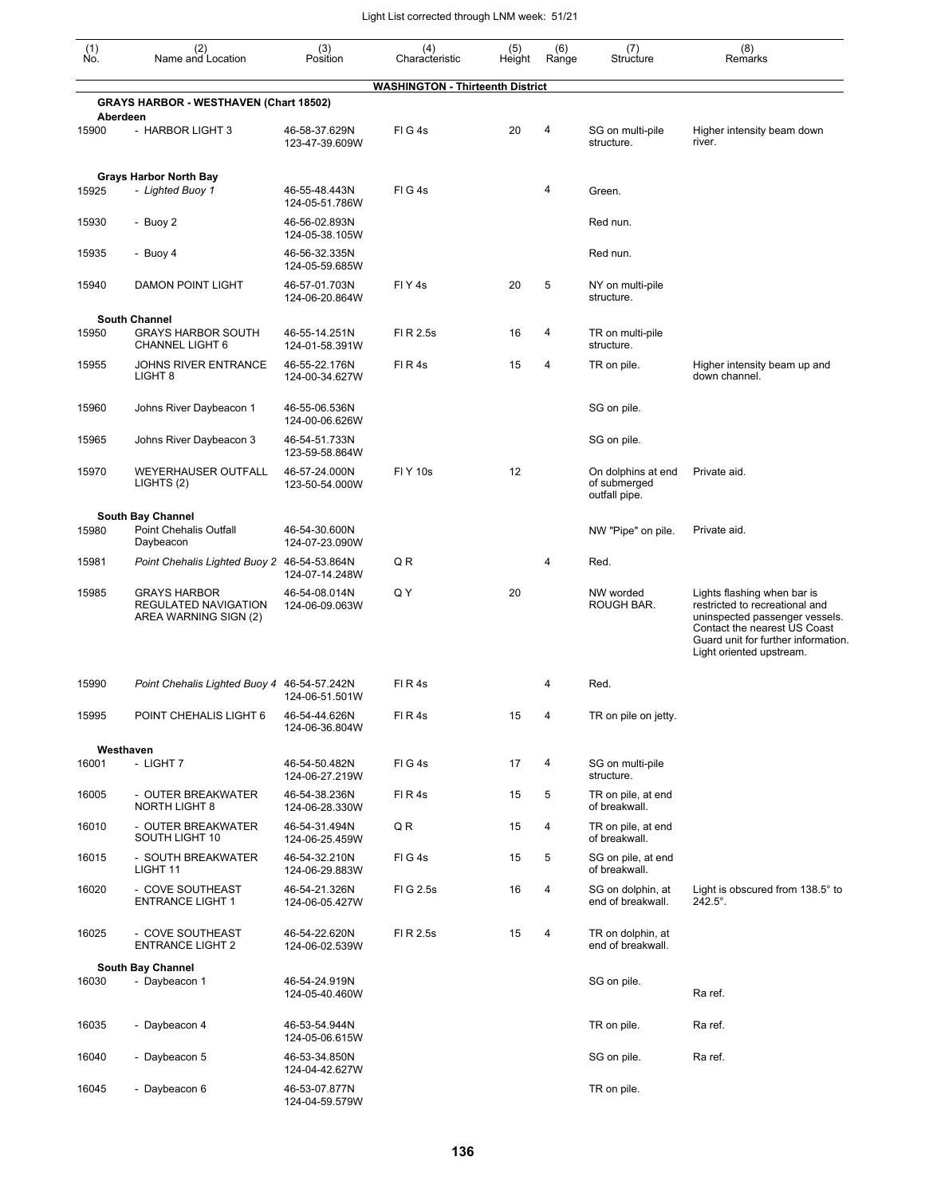| $\begin{smallmatrix} (1) \\ \mathsf{No} \end{smallmatrix}$ | (2)<br>Name and Location                                             | (3)<br>Position                 | (4)<br>Characteristic                   | (5)<br>Height | (6)<br>Range | (7)<br>Structure                                    | (8)<br>Remarks                                                                                                                                                                                     |
|------------------------------------------------------------|----------------------------------------------------------------------|---------------------------------|-----------------------------------------|---------------|--------------|-----------------------------------------------------|----------------------------------------------------------------------------------------------------------------------------------------------------------------------------------------------------|
|                                                            |                                                                      |                                 | <b>WASHINGTON - Thirteenth District</b> |               |              |                                                     |                                                                                                                                                                                                    |
|                                                            | <b>GRAYS HARBOR - WESTHAVEN (Chart 18502)</b><br>Aberdeen            |                                 |                                         |               |              |                                                     |                                                                                                                                                                                                    |
| 15900                                                      | - HARBOR LIGHT 3                                                     | 46-58-37.629N<br>123-47-39.609W | FIG4s                                   | 20            | 4            | SG on multi-pile<br>structure.                      | Higher intensity beam down<br>river.                                                                                                                                                               |
| 15925                                                      | <b>Grays Harbor North Bay</b><br>- Lighted Buoy 1                    | 46-55-48.443N<br>124-05-51.786W | FIG4s                                   |               | 4            | Green.                                              |                                                                                                                                                                                                    |
| 15930                                                      | - Buoy 2                                                             | 46-56-02.893N<br>124-05-38.105W |                                         |               |              | Red nun.                                            |                                                                                                                                                                                                    |
| 15935                                                      | - Buoy 4                                                             | 46-56-32.335N<br>124-05-59.685W |                                         |               |              | Red nun.                                            |                                                                                                                                                                                                    |
| 15940                                                      | <b>DAMON POINT LIGHT</b>                                             | 46-57-01.703N<br>124-06-20.864W | FIY4s                                   | 20            | 5            | NY on multi-pile<br>structure.                      |                                                                                                                                                                                                    |
|                                                            | <b>South Channel</b>                                                 |                                 |                                         |               |              |                                                     |                                                                                                                                                                                                    |
| 15950                                                      | <b>GRAYS HARBOR SOUTH</b><br>CHANNEL LIGHT 6                         | 46-55-14.251N<br>124-01-58.391W | FI R 2.5s                               | 16            | 4            | TR on multi-pile<br>structure.                      |                                                                                                                                                                                                    |
| 15955                                                      | JOHNS RIVER ENTRANCE<br>LIGHT <sub>8</sub>                           | 46-55-22.176N<br>124-00-34.627W | FIR4s                                   | 15            | 4            | TR on pile.                                         | Higher intensity beam up and<br>down channel.                                                                                                                                                      |
| 15960                                                      | Johns River Daybeacon 1                                              | 46-55-06.536N<br>124-00-06.626W |                                         |               |              | SG on pile.                                         |                                                                                                                                                                                                    |
| 15965                                                      | Johns River Daybeacon 3                                              | 46-54-51.733N<br>123-59-58.864W |                                         |               |              | SG on pile.                                         |                                                                                                                                                                                                    |
| 15970                                                      | <b>WEYERHAUSER OUTFALL</b><br>LIGHTS (2)                             | 46-57-24.000N<br>123-50-54.000W | <b>FIY 10s</b>                          | 12            |              | On dolphins at end<br>of submerged<br>outfall pipe. | Private aid.                                                                                                                                                                                       |
|                                                            | <b>South Bay Channel</b>                                             |                                 |                                         |               |              |                                                     |                                                                                                                                                                                                    |
| 15980                                                      | Point Chehalis Outfall<br>Daybeacon                                  | 46-54-30.600N<br>124-07-23.090W |                                         |               |              | NW "Pipe" on pile.                                  | Private aid.                                                                                                                                                                                       |
| 15981                                                      | Point Chehalis Lighted Buoy 2 46-54-53.864N                          | 124-07-14.248W                  | Q R                                     |               | 4            | Red.                                                |                                                                                                                                                                                                    |
| 15985                                                      | <b>GRAYS HARBOR</b><br>REGULATED NAVIGATION<br>AREA WARNING SIGN (2) | 46-54-08.014N<br>124-06-09.063W | QΥ                                      | 20            |              | NW worded<br>ROUGH BAR.                             | Lights flashing when bar is<br>restricted to recreational and<br>uninspected passenger vessels.<br>Contact the nearest US Coast<br>Guard unit for further information.<br>Light oriented upstream. |
| 15990                                                      | Point Chehalis Lighted Buoy 4 46-54-57.242N                          | 124-06-51.501W                  | FIR4s                                   |               | 4            | Red.                                                |                                                                                                                                                                                                    |
| 15995                                                      | POINT CHEHALIS LIGHT 6                                               | 46-54-44.626N<br>124-06-36.804W | FIR4s                                   | 15            | 4            | TR on pile on jetty.                                |                                                                                                                                                                                                    |
|                                                            | Westhaven                                                            |                                 |                                         |               |              |                                                     |                                                                                                                                                                                                    |
| 16001                                                      | - LIGHT 7                                                            | 46-54-50.482N<br>124-06-27.219W | FIG4s                                   | 17            | 4            | SG on multi-pile<br>structure.                      |                                                                                                                                                                                                    |
| 16005                                                      | - OUTER BREAKWATER<br><b>NORTH LIGHT 8</b>                           | 46-54-38.236N<br>124-06-28.330W | FIR4s                                   | 15            | 5            | TR on pile, at end<br>of breakwall.                 |                                                                                                                                                                                                    |
| 16010                                                      | - OUTER BREAKWATER<br>SOUTH LIGHT 10                                 | 46-54-31.494N<br>124-06-25.459W | Q R                                     | 15            | 4            | TR on pile, at end<br>of breakwall.                 |                                                                                                                                                                                                    |
| 16015                                                      | - SOUTH BREAKWATER<br>LIGHT 11                                       | 46-54-32.210N<br>124-06-29.883W | FIG4s                                   | 15            | 5            | SG on pile, at end<br>of breakwall.                 |                                                                                                                                                                                                    |
| 16020                                                      | - COVE SOUTHEAST<br><b>ENTRANCE LIGHT 1</b>                          | 46-54-21.326N<br>124-06-05.427W | FIG 2.5s                                | 16            | 4            | SG on dolphin, at<br>end of breakwall.              | Light is obscured from 138.5° to<br>$242.5^{\circ}$ .                                                                                                                                              |
| 16025                                                      | - COVE SOUTHEAST<br><b>ENTRANCE LIGHT 2</b>                          | 46-54-22.620N<br>124-06-02.539W | FI R 2.5s                               | 15            | 4            | TR on dolphin, at<br>end of breakwall.              |                                                                                                                                                                                                    |
|                                                            | <b>South Bay Channel</b>                                             |                                 |                                         |               |              |                                                     |                                                                                                                                                                                                    |
| 16030                                                      | - Daybeacon 1                                                        | 46-54-24.919N<br>124-05-40.460W |                                         |               |              | SG on pile.                                         | Ra ref.                                                                                                                                                                                            |
| 16035                                                      | - Daybeacon 4                                                        | 46-53-54.944N<br>124-05-06.615W |                                         |               |              | TR on pile.                                         | Ra ref.                                                                                                                                                                                            |
| 16040                                                      | - Daybeacon 5                                                        | 46-53-34.850N<br>124-04-42.627W |                                         |               |              | SG on pile.                                         | Ra ref.                                                                                                                                                                                            |
| 16045                                                      | - Daybeacon 6                                                        | 46-53-07.877N<br>124-04-59.579W |                                         |               |              | TR on pile.                                         |                                                                                                                                                                                                    |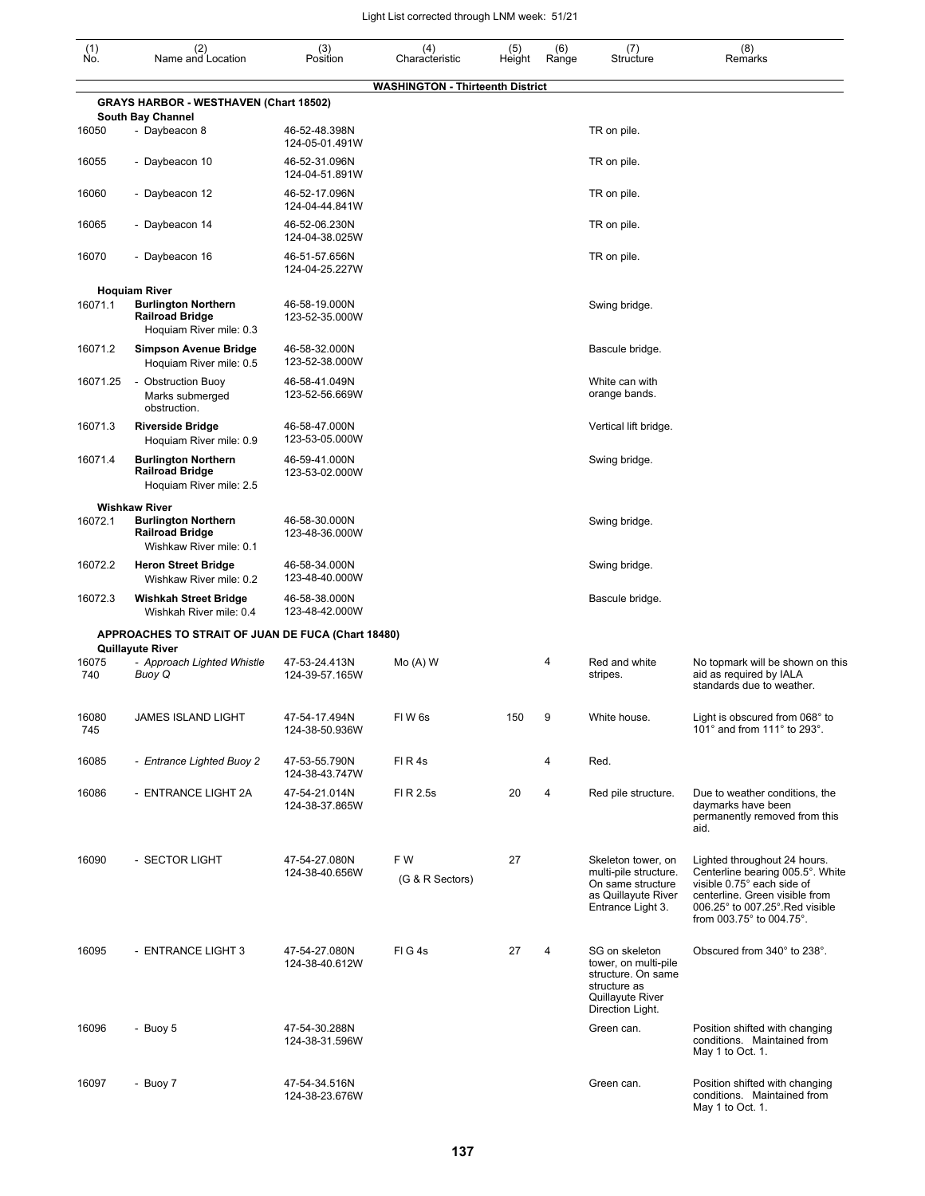| $\begin{smallmatrix} (1) \\ \mathsf{No} \end{smallmatrix}$ | (2)<br>Name and Location                                                                                | (3)<br>Position                 | (4)<br>Characteristic                   | (5)<br>Height | (6)<br>Range   | (7)<br>Structure                                                                                                     | (8)<br>Remarks                                                                                                                                                                                  |
|------------------------------------------------------------|---------------------------------------------------------------------------------------------------------|---------------------------------|-----------------------------------------|---------------|----------------|----------------------------------------------------------------------------------------------------------------------|-------------------------------------------------------------------------------------------------------------------------------------------------------------------------------------------------|
|                                                            |                                                                                                         |                                 | <b>WASHINGTON - Thirteenth District</b> |               |                |                                                                                                                      |                                                                                                                                                                                                 |
|                                                            | <b>GRAYS HARBOR - WESTHAVEN (Chart 18502)</b>                                                           |                                 |                                         |               |                |                                                                                                                      |                                                                                                                                                                                                 |
| 16050                                                      | <b>South Bay Channel</b><br>- Daybeacon 8                                                               | 46-52-48.398N<br>124-05-01.491W |                                         |               |                | TR on pile.                                                                                                          |                                                                                                                                                                                                 |
| 16055                                                      | - Daybeacon 10                                                                                          | 46-52-31.096N<br>124-04-51.891W |                                         |               |                | TR on pile.                                                                                                          |                                                                                                                                                                                                 |
| 16060                                                      | - Daybeacon 12                                                                                          | 46-52-17.096N<br>124-04-44.841W |                                         |               |                | TR on pile.                                                                                                          |                                                                                                                                                                                                 |
| 16065                                                      | - Daybeacon 14                                                                                          | 46-52-06.230N<br>124-04-38.025W |                                         |               |                | TR on pile.                                                                                                          |                                                                                                                                                                                                 |
| 16070                                                      | - Daybeacon 16                                                                                          | 46-51-57.656N<br>124-04-25.227W |                                         |               |                | TR on pile.                                                                                                          |                                                                                                                                                                                                 |
|                                                            | <b>Hoquiam River</b>                                                                                    |                                 |                                         |               |                |                                                                                                                      |                                                                                                                                                                                                 |
| 16071.1                                                    | <b>Burlington Northern</b><br><b>Railroad Bridge</b><br>Hoquiam River mile: 0.3                         | 46-58-19.000N<br>123-52-35.000W |                                         |               |                | Swing bridge.                                                                                                        |                                                                                                                                                                                                 |
| 16071.2                                                    | <b>Simpson Avenue Bridge</b><br>Hoquiam River mile: 0.5                                                 | 46-58-32.000N<br>123-52-38.000W |                                         |               |                | Bascule bridge.                                                                                                      |                                                                                                                                                                                                 |
| 16071.25                                                   | - Obstruction Buoy<br>Marks submerged<br>obstruction.                                                   | 46-58-41.049N<br>123-52-56.669W |                                         |               |                | White can with<br>orange bands.                                                                                      |                                                                                                                                                                                                 |
| 16071.3                                                    | <b>Riverside Bridge</b><br>Hoquiam River mile: 0.9                                                      | 46-58-47.000N<br>123-53-05.000W |                                         |               |                | Vertical lift bridge.                                                                                                |                                                                                                                                                                                                 |
| 16071.4                                                    | <b>Burlington Northern</b><br><b>Railroad Bridge</b><br>Hoquiam River mile: 2.5                         | 46-59-41.000N<br>123-53-02.000W |                                         |               |                | Swing bridge.                                                                                                        |                                                                                                                                                                                                 |
| 16072.1                                                    | <b>Wishkaw River</b><br><b>Burlington Northern</b><br><b>Railroad Bridge</b><br>Wishkaw River mile: 0.1 | 46-58-30.000N<br>123-48-36.000W |                                         |               |                | Swing bridge.                                                                                                        |                                                                                                                                                                                                 |
| 16072.2                                                    | <b>Heron Street Bridge</b><br>Wishkaw River mile: 0.2                                                   | 46-58-34.000N<br>123-48-40.000W |                                         |               |                | Swing bridge.                                                                                                        |                                                                                                                                                                                                 |
| 16072.3                                                    | <b>Wishkah Street Bridge</b><br>Wishkah River mile: 0.4                                                 | 46-58-38.000N<br>123-48-42.000W |                                         |               |                | Bascule bridge.                                                                                                      |                                                                                                                                                                                                 |
|                                                            | APPROACHES TO STRAIT OF JUAN DE FUCA (Chart 18480)<br><b>Quillayute River</b>                           |                                 |                                         |               |                |                                                                                                                      |                                                                                                                                                                                                 |
| 16075<br>740                                               | - Approach Lighted Whistle<br>Buoy Q                                                                    | 47-53-24.413N<br>124-39-57.165W | $Mo(A)$ W                               |               | 4              | Red and white<br>stripes.                                                                                            | No topmark will be shown on this<br>aid as required by IALA<br>standards due to weather.                                                                                                        |
| 16080<br>745                                               | <b>JAMES ISLAND LIGHT</b>                                                                               | 47-54-17.494N<br>124-38-50.936W | FIW <sub>6s</sub>                       | 150           | 9              | White house.                                                                                                         | Light is obscured from 068° to<br>101° and from 111° to 293°.                                                                                                                                   |
| 16085                                                      | - Entrance Lighted Buoy 2                                                                               | 47-53-55.790N<br>124-38-43.747W | FIR4s                                   |               | 4              | Red.                                                                                                                 |                                                                                                                                                                                                 |
| 16086                                                      | - ENTRANCE LIGHT 2A                                                                                     | 47-54-21.014N<br>124-38-37.865W | FI R 2.5s                               | 20            | $\overline{4}$ | Red pile structure.                                                                                                  | Due to weather conditions, the<br>daymarks have been<br>permanently removed from this<br>aid.                                                                                                   |
| 16090                                                      | - SECTOR LIGHT                                                                                          | 47-54-27.080N<br>124-38-40.656W | FW<br>(G & R Sectors)                   | 27            |                | Skeleton tower, on<br>multi-pile structure.<br>On same structure<br>as Quillayute River<br>Entrance Light 3.         | Lighted throughout 24 hours.<br>Centerline bearing 005.5°. White<br>visible 0.75° each side of<br>centerline. Green visible from<br>006.25° to 007.25°. Red visible<br>from 003.75° to 004.75°. |
| 16095                                                      | - ENTRANCE LIGHT 3                                                                                      | 47-54-27.080N<br>124-38-40.612W | FIG4s                                   | 27            | 4              | SG on skeleton<br>tower, on multi-pile<br>structure. On same<br>structure as<br>Quillayute River<br>Direction Light. | Obscured from 340° to 238°.                                                                                                                                                                     |
| 16096                                                      | - Buoy 5                                                                                                | 47-54-30.288N<br>124-38-31.596W |                                         |               |                | Green can.                                                                                                           | Position shifted with changing<br>conditions. Maintained from<br>May 1 to Oct. 1.                                                                                                               |
| 16097                                                      | - Buoy 7                                                                                                | 47-54-34.516N<br>124-38-23.676W |                                         |               |                | Green can.                                                                                                           | Position shifted with changing<br>conditions. Maintained from<br>May 1 to Oct. 1.                                                                                                               |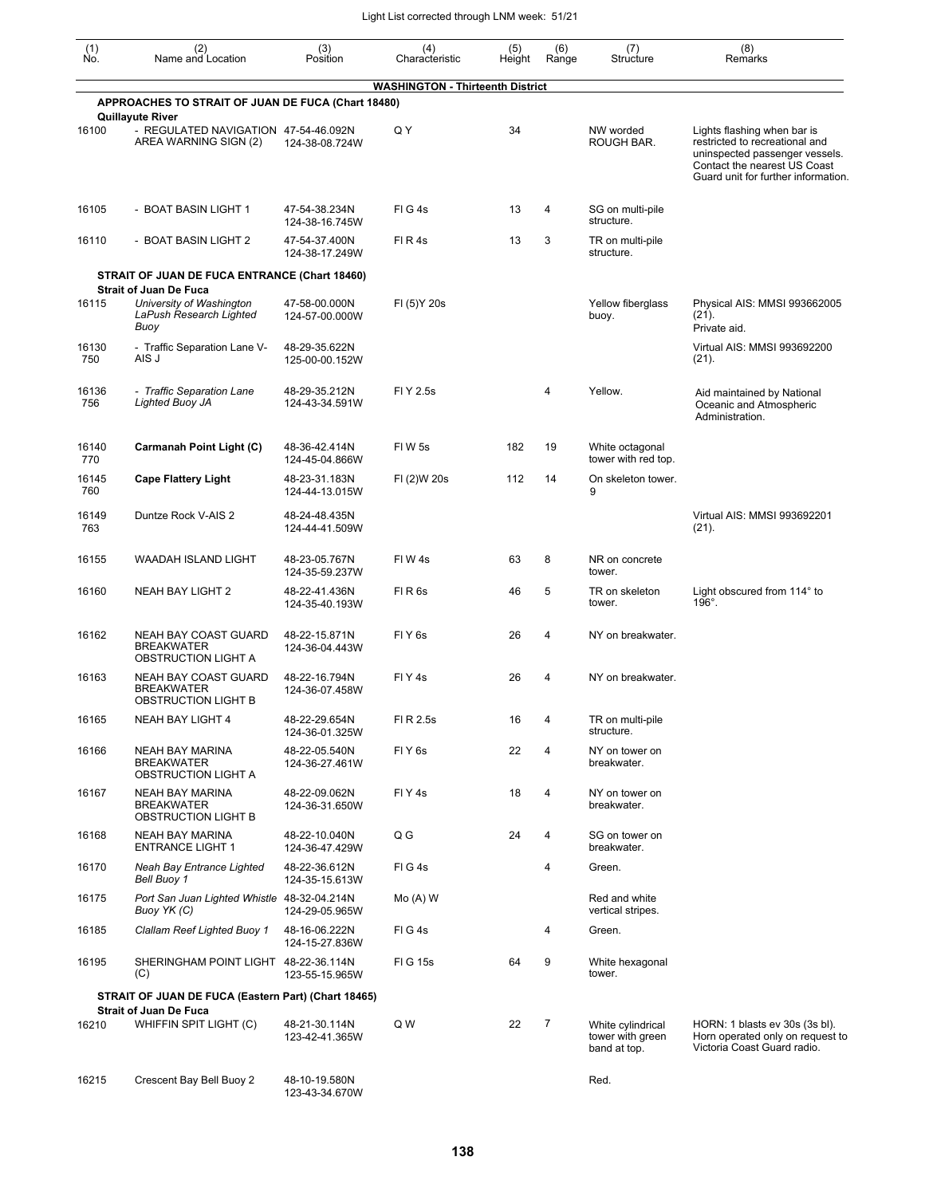| (1)<br>Ñó.   | (2)<br>Name and Location                                                                     | (3)<br>Position                 | (4)<br>Characteristic                   | (5)<br>Height | (6)<br>Range   | (7)<br>Structure                                      | (8)<br>Remarks                                                                                                                                                         |
|--------------|----------------------------------------------------------------------------------------------|---------------------------------|-----------------------------------------|---------------|----------------|-------------------------------------------------------|------------------------------------------------------------------------------------------------------------------------------------------------------------------------|
|              | APPROACHES TO STRAIT OF JUAN DE FUCA (Chart 18480)                                           |                                 | <b>WASHINGTON - Thirteenth District</b> |               |                |                                                       |                                                                                                                                                                        |
|              | <b>Quillayute River</b>                                                                      |                                 |                                         |               |                |                                                       |                                                                                                                                                                        |
| 16100        | - REGULATED NAVIGATION 47-54-46.092N<br>AREA WARNING SIGN (2)                                | 124-38-08.724W                  | Q Y                                     | 34            |                | NW worded<br>ROUGH BAR.                               | Lights flashing when bar is<br>restricted to recreational and<br>uninspected passenger vessels.<br>Contact the nearest US Coast<br>Guard unit for further information. |
| 16105        | - BOAT BASIN LIGHT 1                                                                         | 47-54-38.234N<br>124-38-16.745W | FIG4s                                   | 13            | 4              | SG on multi-pile<br>structure.                        |                                                                                                                                                                        |
| 16110        | - BOAT BASIN LIGHT 2                                                                         | 47-54-37.400N<br>124-38-17.249W | FIR4s                                   | 13            | 3              | TR on multi-pile<br>structure.                        |                                                                                                                                                                        |
|              | STRAIT OF JUAN DE FUCA ENTRANCE (Chart 18460)                                                |                                 |                                         |               |                |                                                       |                                                                                                                                                                        |
| 16115        | <b>Strait of Juan De Fuca</b><br>University of Washington<br>LaPush Research Lighted<br>Buoy | 47-58-00.000N<br>124-57-00.000W | FI (5) Y 20s                            |               |                | Yellow fiberglass<br>buoy.                            | Physical AIS: MMSI 993662005<br>(21).<br>Private aid.                                                                                                                  |
| 16130<br>750 | - Traffic Separation Lane V-<br>AIS J                                                        | 48-29-35.622N<br>125-00-00.152W |                                         |               |                |                                                       | Virtual AIS: MMSI 993692200<br>(21).                                                                                                                                   |
| 16136<br>756 | - Traffic Separation Lane<br><b>Lighted Buoy JA</b>                                          | 48-29-35.212N<br>124-43-34.591W | FI Y 2.5s                               |               | 4              | Yellow.                                               | Aid maintained by National<br>Oceanic and Atmospheric<br>Administration.                                                                                               |
| 16140<br>770 | Carmanah Point Light (C)                                                                     | 48-36-42.414N<br>124-45-04.866W | <b>FIW5s</b>                            | 182           | 19             | White octagonal<br>tower with red top.                |                                                                                                                                                                        |
| 16145<br>760 | <b>Cape Flattery Light</b>                                                                   | 48-23-31.183N<br>124-44-13.015W | FI (2)W 20s                             | 112           | 14             | On skeleton tower.<br>9                               |                                                                                                                                                                        |
| 16149<br>763 | Duntze Rock V-AIS 2                                                                          | 48-24-48.435N<br>124-44-41.509W |                                         |               |                |                                                       | Virtual AIS: MMSI 993692201<br>(21).                                                                                                                                   |
| 16155        | WAADAH ISLAND LIGHT                                                                          | 48-23-05.767N<br>124-35-59.237W | FIW4s                                   | 63            | 8              | NR on concrete<br>tower.                              |                                                                                                                                                                        |
| 16160        | NEAH BAY LIGHT 2                                                                             | 48-22-41.436N<br>124-35-40.193W | FIR <sub>6s</sub>                       | 46            | 5              | TR on skeleton<br>tower.                              | Light obscured from 114° to<br>$196^\circ$ .                                                                                                                           |
| 16162        | NEAH BAY COAST GUARD<br><b>BREAKWATER</b><br>OBSTRUCTION LIGHT A                             | 48-22-15.871N<br>124-36-04.443W | FIY <sub>6s</sub>                       | 26            | 4              | NY on breakwater.                                     |                                                                                                                                                                        |
| 16163        | <b>NEAH BAY COAST GUARD</b><br><b>BREAKWATER</b><br><b>OBSTRUCTION LIGHT B</b>               | 48-22-16.794N<br>124-36-07.458W | FIY4s                                   | 26            | 4              | NY on breakwater.                                     |                                                                                                                                                                        |
| 16165        | NEAH BAY LIGHT 4                                                                             | 48-22-29.654N<br>124-36-01.325W | FI R 2.5s                               | 16            |                | TR on multi-pile<br>structure.                        |                                                                                                                                                                        |
| 16166        | NEAH BAY MARINA<br><b>BREAKWATER</b><br>OBSTRUCTION LIGHT A                                  | 48-22-05.540N<br>124-36-27.461W | FIY6s                                   | 22            | 4              | NY on tower on<br>breakwater.                         |                                                                                                                                                                        |
| 16167        | <b>NEAH BAY MARINA</b><br><b>BREAKWATER</b><br>OBSTRUCTION LIGHT B                           | 48-22-09.062N<br>124-36-31.650W | FIY4s                                   | 18            | 4              | NY on tower on<br>breakwater.                         |                                                                                                                                                                        |
| 16168        | NEAH BAY MARINA<br><b>ENTRANCE LIGHT 1</b>                                                   | 48-22-10.040N<br>124-36-47.429W | Q G                                     | 24            | 4              | SG on tower on<br>breakwater.                         |                                                                                                                                                                        |
| 16170        | <b>Neah Bay Entrance Lighted</b><br>Bell Buoy 1                                              | 48-22-36.612N<br>124-35-15.613W | FIG4s                                   |               | 4              | Green.                                                |                                                                                                                                                                        |
| 16175        | Port San Juan Lighted Whistle 48-32-04.214N<br>Buoy YK (C)                                   | 124-29-05.965W                  | $Mo(A)$ W                               |               |                | Red and white<br>vertical stripes.                    |                                                                                                                                                                        |
| 16185        | Clallam Reef Lighted Buoy 1                                                                  | 48-16-06.222N<br>124-15-27.836W | FIG4s                                   |               | 4              | Green.                                                |                                                                                                                                                                        |
| 16195        | SHERINGHAM POINT LIGHT 48-22-36.114N<br>(C)                                                  | 123-55-15.965W                  | FIG 15s                                 | 64            | 9              | White hexagonal<br>tower.                             |                                                                                                                                                                        |
|              | STRAIT OF JUAN DE FUCA (Eastern Part) (Chart 18465)                                          |                                 |                                         |               |                |                                                       |                                                                                                                                                                        |
| 16210        | <b>Strait of Juan De Fuca</b><br>WHIFFIN SPIT LIGHT (C)                                      | 48-21-30.114N<br>123-42-41.365W | Q W                                     | 22            | $\overline{7}$ | White cylindrical<br>tower with green<br>band at top. | HORN: 1 blasts ev 30s (3s bl).<br>Horn operated only on request to<br>Victoria Coast Guard radio.                                                                      |
| 16215        | Crescent Bay Bell Buoy 2                                                                     | 48-10-19.580N<br>123-43-34.670W |                                         |               |                | Red.                                                  |                                                                                                                                                                        |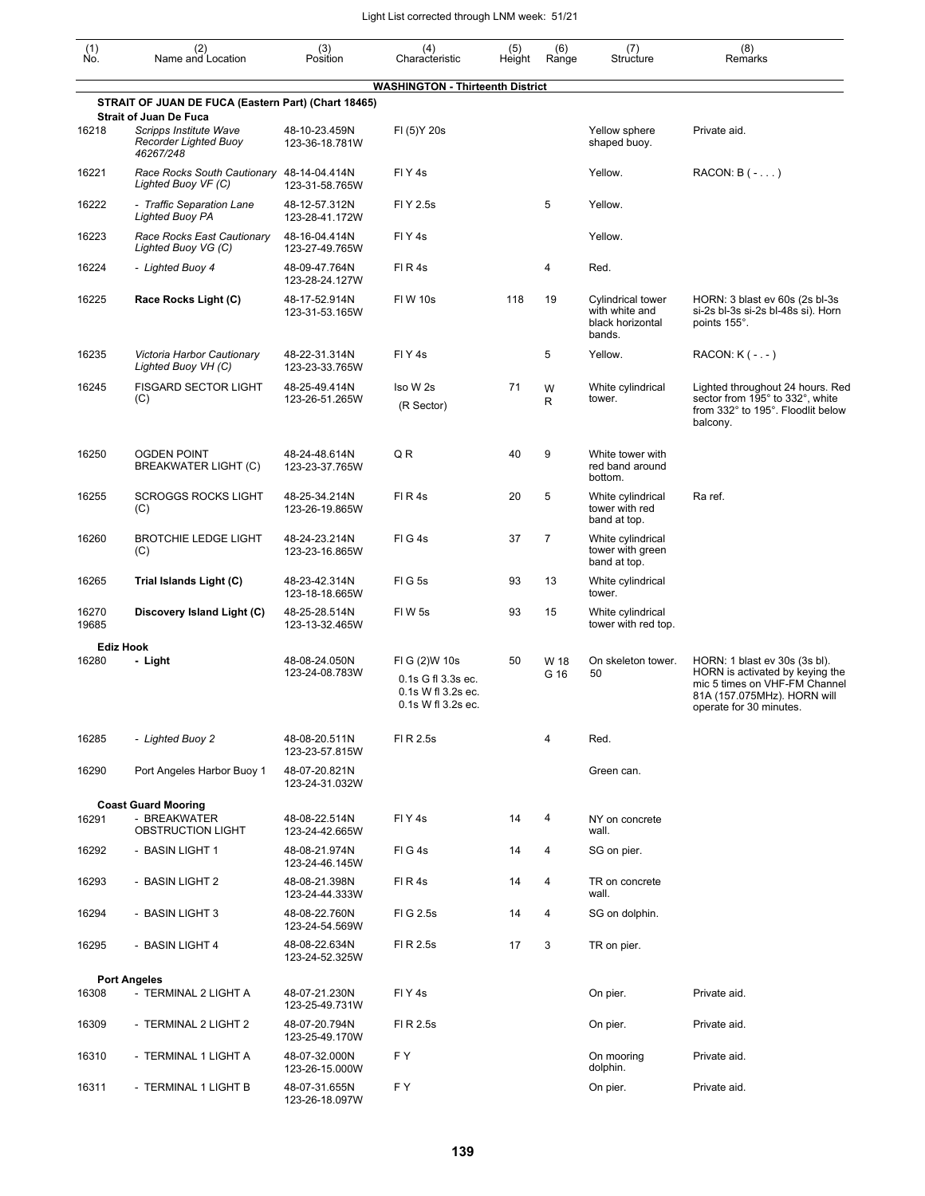| $\begin{smallmatrix} (1) \\ \mathsf{No} \end{smallmatrix}$ | (2)<br>Name and Location                                                                      | (3)<br>Position                 | (4)<br>Characteristic                                                           | (5)<br>Height | (6)<br>Range   | (7)<br>Structure                                                  | (8)<br>Remarks                                                                                                                                              |
|------------------------------------------------------------|-----------------------------------------------------------------------------------------------|---------------------------------|---------------------------------------------------------------------------------|---------------|----------------|-------------------------------------------------------------------|-------------------------------------------------------------------------------------------------------------------------------------------------------------|
|                                                            |                                                                                               |                                 | <b>WASHINGTON - Thirteenth District</b>                                         |               |                |                                                                   |                                                                                                                                                             |
|                                                            | STRAIT OF JUAN DE FUCA (Eastern Part) (Chart 18465)                                           |                                 |                                                                                 |               |                |                                                                   |                                                                                                                                                             |
| 16218                                                      | <b>Strait of Juan De Fuca</b><br>Scripps Institute Wave<br>Recorder Lighted Buoy<br>46267/248 | 48-10-23.459N<br>123-36-18.781W | FI (5) Y 20s                                                                    |               |                | Yellow sphere<br>shaped buoy.                                     | Private aid.                                                                                                                                                |
| 16221                                                      | Race Rocks South Cautionary 48-14-04.414N<br>Lighted Buoy VF (C)                              | 123-31-58.765W                  | FIY <sub>4s</sub>                                                               |               |                | Yellow.                                                           | $RACON: B(-)$                                                                                                                                               |
| 16222                                                      | - Traffic Separation Lane<br><b>Lighted Buoy PA</b>                                           | 48-12-57.312N<br>123-28-41.172W | FI Y 2.5s                                                                       |               | 5              | Yellow.                                                           |                                                                                                                                                             |
| 16223                                                      | Race Rocks East Cautionary<br>Lighted Buoy VG (C)                                             | 48-16-04.414N<br>123-27-49.765W | FIY4s                                                                           |               |                | Yellow.                                                           |                                                                                                                                                             |
| 16224                                                      | - Lighted Buoy 4                                                                              | 48-09-47.764N<br>123-28-24.127W | FIR4s                                                                           |               | 4              | Red.                                                              |                                                                                                                                                             |
| 16225                                                      | Race Rocks Light (C)                                                                          | 48-17-52.914N<br>123-31-53.165W | <b>FIW 10s</b>                                                                  | 118           | 19             | Cylindrical tower<br>with white and<br>black horizontal<br>bands. | HORN: 3 blast ev 60s (2s bl-3s)<br>si-2s bl-3s si-2s bl-48s si). Horn<br>points 155°.                                                                       |
| 16235                                                      | Victoria Harbor Cautionary<br>Lighted Buoy VH (C)                                             | 48-22-31.314N<br>123-23-33.765W | FIY <sub>4s</sub>                                                               |               | 5              | Yellow.                                                           | RACON: $K$ ( $-,-$ )                                                                                                                                        |
| 16245                                                      | <b>FISGARD SECTOR LIGHT</b><br>(C)                                                            | 48-25-49.414N<br>123-26-51.265W | Iso W 2s<br>(R Sector)                                                          | 71            | W<br>R         | White cylindrical<br>tower.                                       | Lighted throughout 24 hours. Red<br>sector from 195° to 332°, white<br>from 332° to 195°. Floodlit below<br>balcony.                                        |
| 16250                                                      | <b>OGDEN POINT</b><br>BREAKWATER LIGHT (C)                                                    | 48-24-48.614N<br>123-23-37.765W | QR                                                                              | 40            | 9              | White tower with<br>red band around<br>bottom.                    |                                                                                                                                                             |
| 16255                                                      | <b>SCROGGS ROCKS LIGHT</b><br>(C)                                                             | 48-25-34.214N<br>123-26-19.865W | FIR4s                                                                           | 20            | 5              | White cylindrical<br>tower with red<br>band at top.               | Ra ref.                                                                                                                                                     |
| 16260                                                      | <b>BROTCHIE LEDGE LIGHT</b><br>(C)                                                            | 48-24-23.214N<br>123-23-16.865W | FIG4s                                                                           | 37            | $\overline{7}$ | White cylindrical<br>tower with green<br>band at top.             |                                                                                                                                                             |
| 16265                                                      | Trial Islands Light (C)                                                                       | 48-23-42.314N<br>123-18-18.665W | FIG5s                                                                           | 93            | 13             | White cylindrical<br>tower.                                       |                                                                                                                                                             |
| 16270<br>19685                                             | Discovery Island Light (C)                                                                    | 48-25-28.514N<br>123-13-32.465W | <b>FIW5s</b>                                                                    | 93            | 15             | White cylindrical<br>tower with red top.                          |                                                                                                                                                             |
|                                                            | <b>Ediz Hook</b>                                                                              |                                 |                                                                                 |               |                |                                                                   |                                                                                                                                                             |
| 16280                                                      | - Light                                                                                       | 48-08-24.050N<br>123-24-08.783W | FI G (2)W 10s<br>0.1s G fl 3.3s ec.<br>0.1s W fl 3.2s ec.<br>0.1s W fl 3.2s ec. | 50            | W 18<br>G 16   | On skeleton tower.<br>50                                          | HORN: 1 blast ev 30s (3s bl).<br>HORN is activated by keying the<br>mic 5 times on VHF-FM Channel<br>81A (157.075MHz). HORN will<br>operate for 30 minutes. |
| 16285                                                      | - Lighted Buoy 2                                                                              | 48-08-20.511N<br>123-23-57.815W | FI R 2.5s                                                                       |               | 4              | Red.                                                              |                                                                                                                                                             |
| 16290                                                      | Port Angeles Harbor Buoy 1                                                                    | 48-07-20.821N<br>123-24-31.032W |                                                                                 |               |                | Green can.                                                        |                                                                                                                                                             |
|                                                            | <b>Coast Guard Mooring</b>                                                                    |                                 |                                                                                 |               |                |                                                                   |                                                                                                                                                             |
| 16291                                                      | - BREAKWATER<br>OBSTRUCTION LIGHT                                                             | 48-08-22.514N<br>123-24-42.665W | FIY4s                                                                           | 14            | 4              | NY on concrete<br>wall.                                           |                                                                                                                                                             |
| 16292                                                      | - BASIN LIGHT 1                                                                               | 48-08-21.974N<br>123-24-46.145W | FIG4s                                                                           | 14            | 4              | SG on pier.                                                       |                                                                                                                                                             |
| 16293                                                      | - BASIN LIGHT 2                                                                               | 48-08-21.398N<br>123-24-44.333W | FIR4s                                                                           | 14            | 4              | TR on concrete<br>wall.                                           |                                                                                                                                                             |
| 16294                                                      | - BASIN LIGHT 3                                                                               | 48-08-22.760N<br>123-24-54.569W | FIG 2.5s                                                                        | 14            | 4              | SG on dolphin.                                                    |                                                                                                                                                             |
| 16295                                                      | - BASIN LIGHT 4                                                                               | 48-08-22.634N<br>123-24-52.325W | FI R 2.5s                                                                       | 17            | 3              | TR on pier.                                                       |                                                                                                                                                             |
|                                                            | <b>Port Angeles</b>                                                                           |                                 |                                                                                 |               |                |                                                                   |                                                                                                                                                             |
| 16308                                                      | - TERMINAL 2 LIGHT A                                                                          | 48-07-21.230N<br>123-25-49.731W | FIY4s                                                                           |               |                | On pier.                                                          | Private aid.                                                                                                                                                |
| 16309                                                      | - TERMINAL 2 LIGHT 2                                                                          | 48-07-20.794N<br>123-25-49.170W | FI R 2.5s                                                                       |               |                | On pier.                                                          | Private aid.                                                                                                                                                |
| 16310                                                      | - TERMINAL 1 LIGHT A                                                                          | 48-07-32.000N<br>123-26-15.000W | F Y                                                                             |               |                | On mooring<br>dolphin.                                            | Private aid.                                                                                                                                                |
| 16311                                                      | - TERMINAL 1 LIGHT B                                                                          | 48-07-31.655N<br>123-26-18.097W | F Y                                                                             |               |                | On pier.                                                          | Private aid.                                                                                                                                                |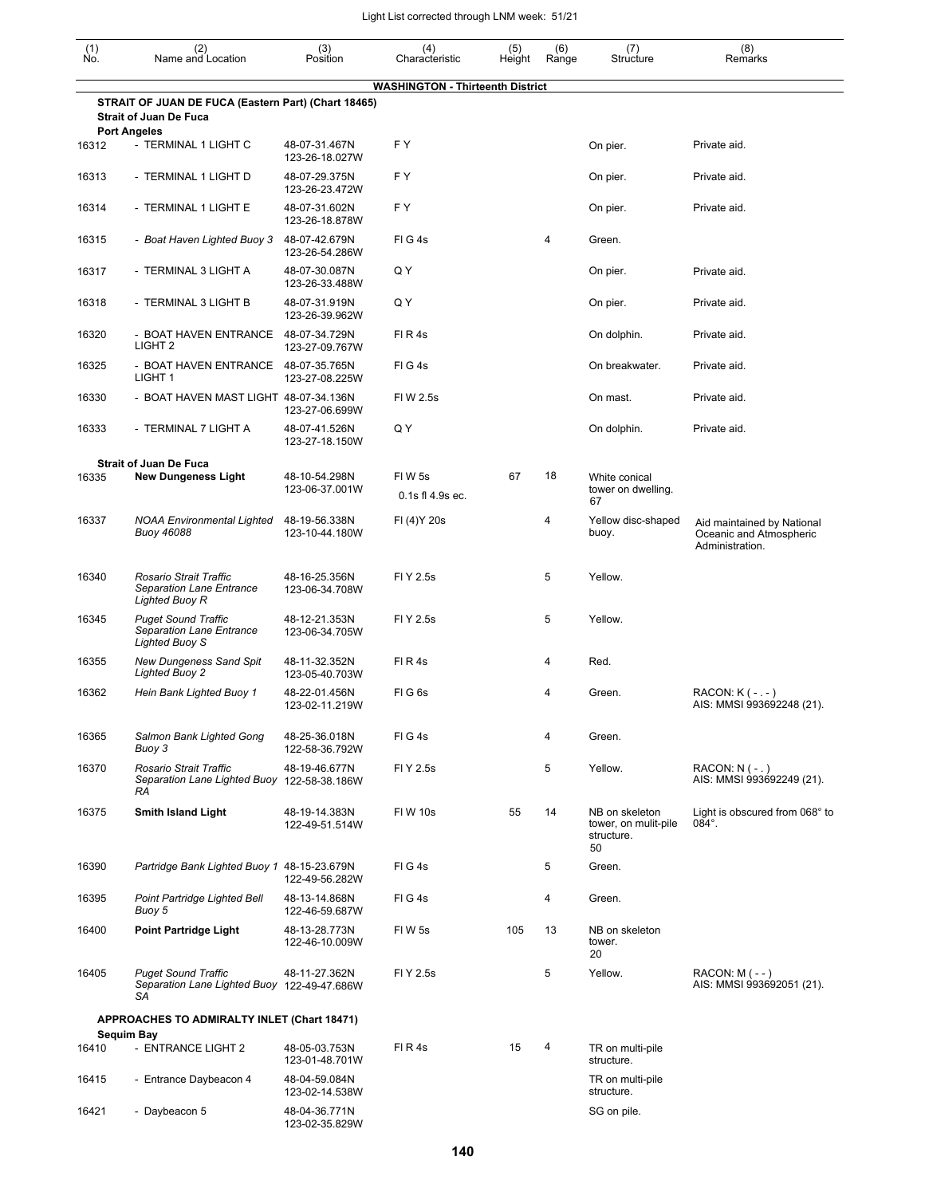| (1)<br>Ńó. | (2)<br>Name and Location                                                                                    | (3)<br>Position                                   | (4)<br>Characteristic                   | (5)<br>Height | (6)<br>Range | (7)<br>Structure                                           | (8)<br>Remarks                                                           |
|------------|-------------------------------------------------------------------------------------------------------------|---------------------------------------------------|-----------------------------------------|---------------|--------------|------------------------------------------------------------|--------------------------------------------------------------------------|
|            |                                                                                                             |                                                   | <b>WASHINGTON - Thirteenth District</b> |               |              |                                                            |                                                                          |
|            | STRAIT OF JUAN DE FUCA (Eastern Part) (Chart 18465)<br><b>Strait of Juan De Fuca</b><br><b>Port Angeles</b> |                                                   |                                         |               |              |                                                            |                                                                          |
| 16312      | - TERMINAL 1 LIGHT C                                                                                        | 48-07-31.467N<br>123-26-18.027W                   | FY.                                     |               |              | On pier.                                                   | Private aid.                                                             |
| 16313      | - TERMINAL 1 LIGHT D                                                                                        | 48-07-29.375N<br>123-26-23.472W                   | FY.                                     |               |              | On pier.                                                   | Private aid.                                                             |
| 16314      | - TERMINAL 1 LIGHT E                                                                                        | 48-07-31.602N<br>123-26-18.878W                   | F Y                                     |               |              | On pier.                                                   | Private aid.                                                             |
| 16315      | - Boat Haven Lighted Buoy 3                                                                                 | 48-07-42.679N<br>123-26-54.286W                   | FIG4s                                   |               | 4            | Green.                                                     |                                                                          |
| 16317      | - TERMINAL 3 LIGHT A                                                                                        | 48-07-30.087N<br>123-26-33.488W                   | Q Y                                     |               |              | On pier.                                                   | Private aid.                                                             |
| 16318      | - TERMINAL 3 LIGHT B                                                                                        | 48-07-31.919N<br>123-26-39.962W                   | Q Y                                     |               |              | On pier.                                                   | Private aid.                                                             |
| 16320      | - BOAT HAVEN ENTRANCE<br>LIGHT <sub>2</sub>                                                                 | 48-07-34.729N<br>123-27-09.767W                   | FIR4s                                   |               |              | On dolphin.                                                | Private aid.                                                             |
| 16325      | - BOAT HAVEN ENTRANCE<br>LIGHT <sub>1</sub>                                                                 | 48-07-35.765N<br>123-27-08.225W                   | FIG4s                                   |               |              | On breakwater.                                             | Private aid.                                                             |
| 16330      | - BOAT HAVEN MAST LIGHT 48-07-34.136N                                                                       | 123-27-06.699W                                    | FIW 2.5s                                |               |              | On mast.                                                   | Private aid.                                                             |
| 16333      | - TERMINAL 7 LIGHT A                                                                                        | 48-07-41.526N<br>123-27-18.150W                   | Q Y                                     |               |              | On dolphin.                                                | Private aid.                                                             |
|            | <b>Strait of Juan De Fuca</b>                                                                               |                                                   |                                         |               |              |                                                            |                                                                          |
| 16335      | <b>New Dungeness Light</b>                                                                                  | 48-10-54.298N<br>123-06-37.001W                   | FIW <sub>5s</sub><br>0.1s fl 4.9s ec.   | 67            | 18           | White conical<br>tower on dwelling.<br>67                  |                                                                          |
| 16337      | <b>NOAA Environmental Lighted</b><br><b>Buoy 46088</b>                                                      | 48-19-56.338N<br>123-10-44.180W                   | FI (4) Y 20s                            |               | 4            | Yellow disc-shaped<br>buoy.                                | Aid maintained by National<br>Oceanic and Atmospheric<br>Administration. |
| 16340      | Rosario Strait Traffic<br>Separation Lane Entrance<br>Lighted Buoy R                                        | 48-16-25.356N<br>123-06-34.708W                   | FI Y 2.5s                               |               | 5            | Yellow.                                                    |                                                                          |
| 16345      | <b>Puget Sound Traffic</b><br>Separation Lane Entrance<br>Lighted Buoy S                                    | 48-12-21.353N<br>123-06-34.705W                   | FI Y 2.5s                               |               | 5            | Yellow.                                                    |                                                                          |
| 16355      | <b>New Dungeness Sand Spit</b><br><b>Lighted Buoy 2</b>                                                     | 48-11-32.352N<br>123-05-40.703W                   | FIR4s                                   |               | 4            | Red.                                                       |                                                                          |
| 16362      | Hein Bank Lighted Buoy 1                                                                                    | 48-22-01.456N<br>123-02-11.219W                   | FIG6s                                   |               | 4            | Green.                                                     | $RACON: K(-,-)$<br>AIS: MMSI 993692248 (21).                             |
| 16365      | Salmon Bank Lighted Gong<br>Buoy 3                                                                          | 48-25-36.018N<br>122-58-36.792W                   | FIG4s                                   |               | 4            | Green.                                                     |                                                                          |
| 16370      | Rosario Strait Traffic<br>Separation Lane Lighted Buoy 122-58-38.186W<br>RA                                 | 48-19-46.677N                                     | FI Y 2.5s                               |               | 5            | Yellow.                                                    | $RACON: N (- . )$<br>AIS: MMSI 993692249 (21).                           |
| 16375      | <b>Smith Island Light</b>                                                                                   | 48-19-14.383N<br>122-49-51.514W                   | <b>FIW 10s</b>                          | 55            | 14           | NB on skeleton<br>tower, on mulit-pile<br>structure.<br>50 | Light is obscured from 068° to<br>$084^\circ$ .                          |
| 16390      | Partridge Bank Lighted Buoy 1 48-15-23.679N                                                                 | 122-49-56.282W                                    | FIG4s                                   |               | 5            | Green.                                                     |                                                                          |
| 16395      | Point Partridge Lighted Bell<br>Buoy 5                                                                      | 48-13-14.868N<br>122-46-59.687W                   | FIG4s                                   |               | 4            | Green.                                                     |                                                                          |
| 16400      | <b>Point Partridge Light</b>                                                                                | 48-13-28.773N<br>122-46-10.009W                   | FIW 5s                                  | 105           | 13           | NB on skeleton<br>tower.<br>20                             |                                                                          |
| 16405      | <b>Puget Sound Traffic</b><br>Separation Lane Lighted Buoy 122-49-47.686W<br>SА                             | 48-11-27.362N                                     | FI Y 2.5s                               |               | 5            | Yellow.                                                    | $RACON: M (- - )$<br>AIS: MMSI 993692051 (21).                           |
|            | APPROACHES TO ADMIRALTY INLET (Chart 18471)                                                                 |                                                   |                                         |               |              |                                                            |                                                                          |
| 16410      | Sequim Bay<br>- ENTRANCE LIGHT 2                                                                            | 48-05-03.753N                                     | FIR4s                                   | 15            | 4            | TR on multi-pile<br>structure.                             |                                                                          |
| 16415      | - Entrance Daybeacon 4                                                                                      | 123-01-48.701W<br>48-04-59.084N<br>123-02-14.538W |                                         |               |              | TR on multi-pile<br>structure.                             |                                                                          |
| 16421      | - Daybeacon 5                                                                                               | 48-04-36.771N<br>123-02-35.829W                   |                                         |               |              | SG on pile.                                                |                                                                          |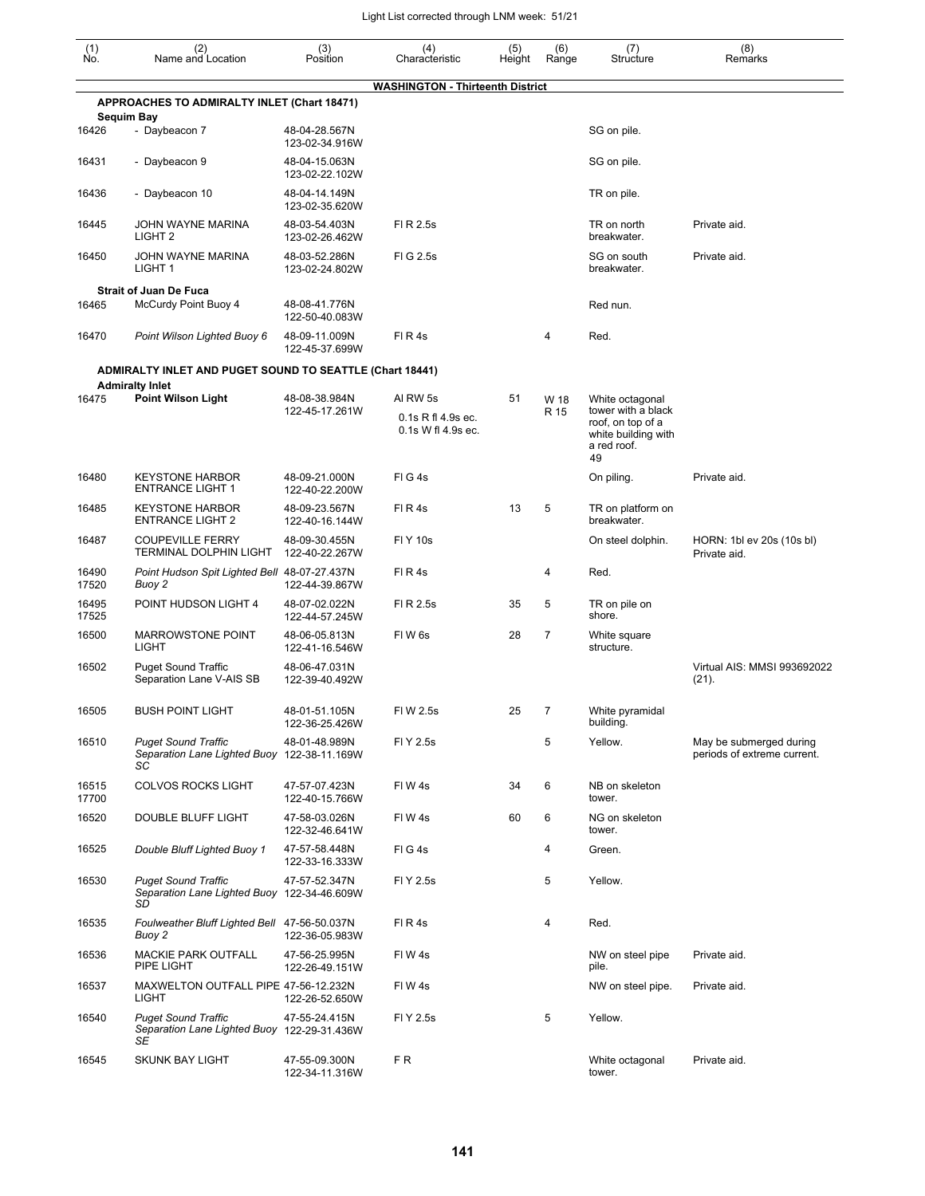| (1)<br>No.        | (2)<br>Name and Location                                                                  | (3)<br>Position                 | (4)<br>Characteristic                                | (5)<br>Height | (6)<br>Range | (7)<br>Structure                                                                                       | (8)<br>Remarks                                         |
|-------------------|-------------------------------------------------------------------------------------------|---------------------------------|------------------------------------------------------|---------------|--------------|--------------------------------------------------------------------------------------------------------|--------------------------------------------------------|
|                   |                                                                                           |                                 | <b>WASHINGTON - Thirteenth District</b>              |               |              |                                                                                                        |                                                        |
| <b>Sequim Bay</b> | <b>APPROACHES TO ADMIRALTY INLET (Chart 18471)</b>                                        |                                 |                                                      |               |              |                                                                                                        |                                                        |
| 16426             | - Daybeacon 7                                                                             | 48-04-28.567N<br>123-02-34.916W |                                                      |               |              | SG on pile.                                                                                            |                                                        |
| 16431             | - Daybeacon 9                                                                             | 48-04-15.063N<br>123-02-22.102W |                                                      |               |              | SG on pile.                                                                                            |                                                        |
| 16436             | - Daybeacon 10                                                                            | 48-04-14.149N<br>123-02-35.620W |                                                      |               |              | TR on pile.                                                                                            |                                                        |
| 16445             | JOHN WAYNE MARINA<br>LIGHT <sub>2</sub>                                                   | 48-03-54.403N<br>123-02-26.462W | FI R 2.5s                                            |               |              | TR on north<br>breakwater.                                                                             | Private aid.                                           |
| 16450             | JOHN WAYNE MARINA<br>LIGHT 1                                                              | 48-03-52.286N<br>123-02-24.802W | FIG 2.5s                                             |               |              | SG on south<br>breakwater.                                                                             | Private aid.                                           |
|                   | <b>Strait of Juan De Fuca</b>                                                             |                                 |                                                      |               |              |                                                                                                        |                                                        |
| 16465             | McCurdy Point Buoy 4                                                                      | 48-08-41.776N<br>122-50-40.083W |                                                      |               |              | Red nun.                                                                                               |                                                        |
| 16470             | Point Wilson Lighted Buoy 6                                                               | 48-09-11.009N<br>122-45-37.699W | FIR4s                                                |               | 4            | Red.                                                                                                   |                                                        |
|                   | <b>ADMIRALTY INLET AND PUGET SOUND TO SEATTLE (Chart 18441)</b><br><b>Admiralty Inlet</b> |                                 |                                                      |               |              |                                                                                                        |                                                        |
| 16475             | <b>Point Wilson Light</b>                                                                 | 48-08-38.984N<br>122-45-17.261W | AI RW 5s<br>0.1s R fl 4.9s ec.<br>0.1s W fl 4.9s ec. | 51            | W 18<br>R 15 | White octagonal<br>tower with a black<br>roof, on top of a<br>white building with<br>a red roof.<br>49 |                                                        |
| 16480             | <b>KEYSTONE HARBOR</b><br><b>ENTRANCE LIGHT 1</b>                                         | 48-09-21.000N<br>122-40-22.200W | FIG4s                                                |               |              | On piling.                                                                                             | Private aid.                                           |
| 16485             | <b>KEYSTONE HARBOR</b><br><b>ENTRANCE LIGHT 2</b>                                         | 48-09-23.567N<br>122-40-16.144W | FIR4s                                                | 13            | 5            | TR on platform on<br>breakwater.                                                                       |                                                        |
| 16487             | <b>COUPEVILLE FERRY</b><br>TERMINAL DOLPHIN LIGHT                                         | 48-09-30.455N<br>122-40-22.267W | <b>FIY 10s</b>                                       |               |              | On steel dolphin.                                                                                      | HORN: 1bl ev 20s (10s bl)<br>Private aid.              |
| 16490<br>17520    | Point Hudson Spit Lighted Bell 48-07-27.437N<br>Buoy 2                                    | 122-44-39.867W                  | FIR4s                                                |               | 4            | Red.                                                                                                   |                                                        |
| 16495<br>17525    | POINT HUDSON LIGHT 4                                                                      | 48-07-02.022N<br>122-44-57.245W | FI R 2.5s                                            | 35            | 5            | TR on pile on<br>shore.                                                                                |                                                        |
| 16500             | <b>MARROWSTONE POINT</b><br><b>LIGHT</b>                                                  | 48-06-05.813N<br>122-41-16.546W | FIW <sub>6s</sub>                                    | 28            | 7            | White square<br>structure.                                                                             |                                                        |
| 16502             | <b>Puget Sound Traffic</b><br>Separation Lane V-AIS SB                                    | 48-06-47.031N<br>122-39-40.492W |                                                      |               |              |                                                                                                        | Virtual AIS: MMSI 993692022<br>$(21)$ .                |
| 16505             | BUSH POINT LIGHT                                                                          | 48-01-51.105N<br>122-36-25.426W | FIW 2.5s                                             | 25            | 7            | White pyramidal<br>building.                                                                           |                                                        |
| 16510             | <b>Puget Sound Traffic</b><br>Separation Lane Lighted Buoy 122-38-11.169W<br>SC           | 48-01-48.989N                   | FI Y 2.5s                                            |               | 5            | Yellow.                                                                                                | May be submerged during<br>periods of extreme current. |
| 16515<br>17700    | <b>COLVOS ROCKS LIGHT</b>                                                                 | 47-57-07.423N<br>122-40-15.766W | FIW4s                                                | 34            | 6            | NB on skeleton<br>tower.                                                                               |                                                        |
| 16520             | DOUBLE BLUFF LIGHT                                                                        | 47-58-03.026N<br>122-32-46.641W | FIW4s                                                | 60            | 6            | NG on skeleton<br>tower.                                                                               |                                                        |
| 16525             | Double Bluff Lighted Buoy 1                                                               | 47-57-58.448N<br>122-33-16.333W | FIG4s                                                |               | 4            | Green.                                                                                                 |                                                        |
| 16530             | <b>Puget Sound Traffic</b><br>Separation Lane Lighted Buoy 122-34-46.609W<br>SD           | 47-57-52.347N                   | FI Y 2.5s                                            |               | 5            | Yellow.                                                                                                |                                                        |
| 16535             | Foulweather Bluff Lighted Bell 47-56-50.037N<br>Buoy 2                                    | 122-36-05.983W                  | FIR4s                                                |               | 4            | Red.                                                                                                   |                                                        |
| 16536             | <b>MACKIE PARK OUTFALL</b><br>PIPE LIGHT                                                  | 47-56-25.995N<br>122-26-49.151W | FIW4s                                                |               |              | NW on steel pipe<br>pile.                                                                              | Private aid.                                           |
| 16537             | MAXWELTON OUTFALL PIPE 47-56-12.232N<br><b>LIGHT</b>                                      | 122-26-52.650W                  | FIW4s                                                |               |              | NW on steel pipe.                                                                                      | Private aid.                                           |
| 16540             | <b>Puget Sound Traffic</b><br>Separation Lane Lighted Buoy 122-29-31.436W<br>SE           | 47-55-24.415N                   | FI Y 2.5s                                            |               | 5            | Yellow.                                                                                                |                                                        |
| 16545             | <b>SKUNK BAY LIGHT</b>                                                                    | 47-55-09.300N<br>122-34-11.316W | F R                                                  |               |              | White octagonal<br>tower.                                                                              | Private aid.                                           |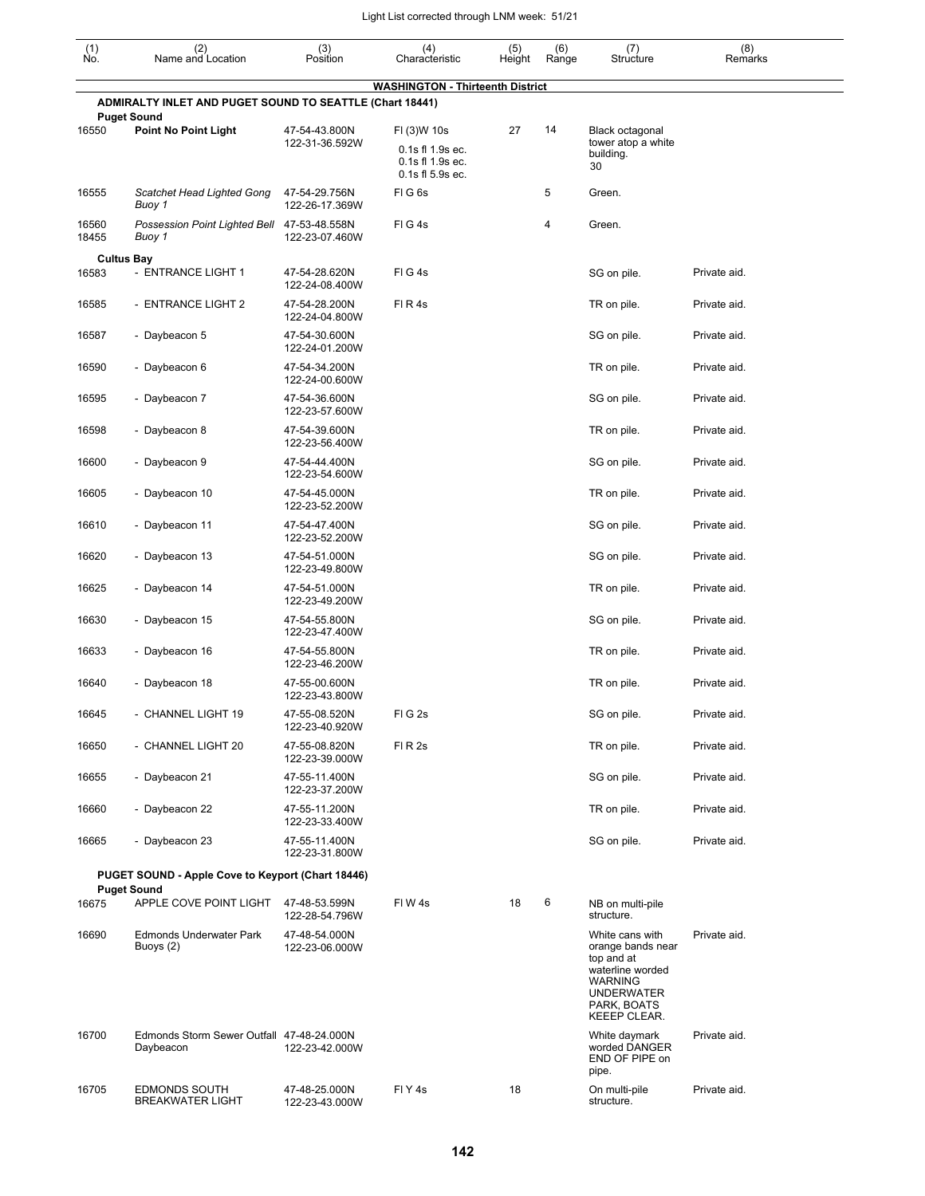| $\begin{smallmatrix} (1) \\ \mathsf{No} \end{smallmatrix}$ | (2)<br>Name and Location                                 | (3)<br>Position                 | (4)<br>Characteristic                               | (5)<br>Height | (6)<br>Range | (7)<br>Structure                                                                                                                             | (8)<br>Remarks |
|------------------------------------------------------------|----------------------------------------------------------|---------------------------------|-----------------------------------------------------|---------------|--------------|----------------------------------------------------------------------------------------------------------------------------------------------|----------------|
|                                                            | ADMIRALTY INLET AND PUGET SOUND TO SEATTLE (Chart 18441) |                                 | <b>WASHINGTON - Thirteenth District</b>             |               |              |                                                                                                                                              |                |
| 16550                                                      | <b>Puget Sound</b><br><b>Point No Point Light</b>        | 47-54-43.800N<br>122-31-36.592W | FI (3)W 10s<br>0.1s fl 1.9s ec.<br>0.1s fl 1.9s ec. | 27            | 14           | Black octagonal<br>tower atop a white<br>building.<br>30                                                                                     |                |
| 16555                                                      | Scatchet Head Lighted Gong<br>Buoy 1                     | 47-54-29.756N<br>122-26-17.369W | 0.1s fl 5.9s ec.<br>FIG6s                           |               | 5            | Green.                                                                                                                                       |                |
| 16560<br>18455                                             | Possession Point Lighted Bell<br>Buoy 1                  | 47-53-48.558N<br>122-23-07.460W | FIG4s                                               |               | 4            | Green.                                                                                                                                       |                |
|                                                            | <b>Cultus Bay</b>                                        |                                 |                                                     |               |              |                                                                                                                                              |                |
| 16583                                                      | - ENTRANCE LIGHT 1                                       | 47-54-28.620N<br>122-24-08.400W | FIG4s                                               |               |              | SG on pile.                                                                                                                                  | Private aid.   |
| 16585                                                      | - ENTRANCE LIGHT 2                                       | 47-54-28.200N<br>122-24-04.800W | FIR4s                                               |               |              | TR on pile.                                                                                                                                  | Private aid.   |
| 16587                                                      | - Daybeacon 5                                            | 47-54-30.600N<br>122-24-01.200W |                                                     |               |              | SG on pile.                                                                                                                                  | Private aid.   |
| 16590                                                      | - Daybeacon 6                                            | 47-54-34.200N<br>122-24-00.600W |                                                     |               |              | TR on pile.                                                                                                                                  | Private aid.   |
| 16595                                                      | - Daybeacon 7                                            | 47-54-36.600N<br>122-23-57.600W |                                                     |               |              | SG on pile.                                                                                                                                  | Private aid.   |
| 16598                                                      | - Daybeacon 8                                            | 47-54-39.600N<br>122-23-56.400W |                                                     |               |              | TR on pile.                                                                                                                                  | Private aid.   |
| 16600                                                      | - Daybeacon 9                                            | 47-54-44.400N<br>122-23-54.600W |                                                     |               |              | SG on pile.                                                                                                                                  | Private aid.   |
| 16605                                                      | - Daybeacon 10                                           | 47-54-45.000N<br>122-23-52.200W |                                                     |               |              | TR on pile.                                                                                                                                  | Private aid.   |
| 16610                                                      | - Daybeacon 11                                           | 47-54-47.400N<br>122-23-52.200W |                                                     |               |              | SG on pile.                                                                                                                                  | Private aid.   |
| 16620                                                      | - Daybeacon 13                                           | 47-54-51.000N<br>122-23-49.800W |                                                     |               |              | SG on pile.                                                                                                                                  | Private aid.   |
| 16625                                                      | - Daybeacon 14                                           | 47-54-51.000N<br>122-23-49.200W |                                                     |               |              | TR on pile.                                                                                                                                  | Private aid.   |
| 16630                                                      | - Daybeacon 15                                           | 47-54-55.800N<br>122-23-47.400W |                                                     |               |              | SG on pile.                                                                                                                                  | Private aid.   |
| 16633                                                      | - Daybeacon 16                                           | 47-54-55.800N<br>122-23-46.200W |                                                     |               |              | TR on pile.                                                                                                                                  | Private aid.   |
| 16640                                                      | - Daybeacon 18                                           | 47-55-00.600N<br>122-23-43.800W |                                                     |               |              | TR on pile.                                                                                                                                  | Private aid.   |
| 16645                                                      | - CHANNEL LIGHT 19                                       | 47-55-08.520N<br>122-23-40.920W | FIG <sub>2s</sub>                                   |               |              | SG on pile.                                                                                                                                  | Private aid.   |
| 16650                                                      | - CHANNEL LIGHT 20                                       | 47-55-08.820N<br>122-23-39.000W | FIR <sub>2s</sub>                                   |               |              | TR on pile.                                                                                                                                  | Private aid.   |
| 16655                                                      | - Daybeacon 21                                           | 47-55-11.400N<br>122-23-37.200W |                                                     |               |              | SG on pile.                                                                                                                                  | Private aid.   |
| 16660                                                      | - Daybeacon 22                                           | 47-55-11.200N<br>122-23-33.400W |                                                     |               |              | TR on pile.                                                                                                                                  | Private aid.   |
| 16665                                                      | - Daybeacon 23                                           | 47-55-11.400N<br>122-23-31.800W |                                                     |               |              | SG on pile.                                                                                                                                  | Private aid.   |
|                                                            | PUGET SOUND - Apple Cove to Keyport (Chart 18446)        |                                 |                                                     |               |              |                                                                                                                                              |                |
|                                                            | <b>Puget Sound</b>                                       |                                 |                                                     |               |              |                                                                                                                                              |                |
| 16675                                                      | APPLE COVE POINT LIGHT                                   | 47-48-53.599N<br>122-28-54.796W | FIW 4s                                              | 18            | 6            | NB on multi-pile<br>structure.                                                                                                               |                |
| 16690                                                      | <b>Edmonds Underwater Park</b><br>Buoys (2)              | 47-48-54.000N<br>122-23-06.000W |                                                     |               |              | White cans with<br>orange bands near<br>top and at<br>waterline worded<br><b>WARNING</b><br><b>UNDERWATER</b><br>PARK, BOATS<br>KEEEP CLEAR. | Private aid.   |
| 16700                                                      | Edmonds Storm Sewer Outfall 47-48-24.000N<br>Daybeacon   | 122-23-42.000W                  |                                                     |               |              | White daymark<br>worded DANGER<br>END OF PIPE on<br>pipe.                                                                                    | Private aid.   |
| 16705                                                      | <b>EDMONDS SOUTH</b><br><b>BREAKWATER LIGHT</b>          | 47-48-25.000N<br>122-23-43.000W | FIY4s                                               | 18            |              | On multi-pile<br>structure.                                                                                                                  | Private aid.   |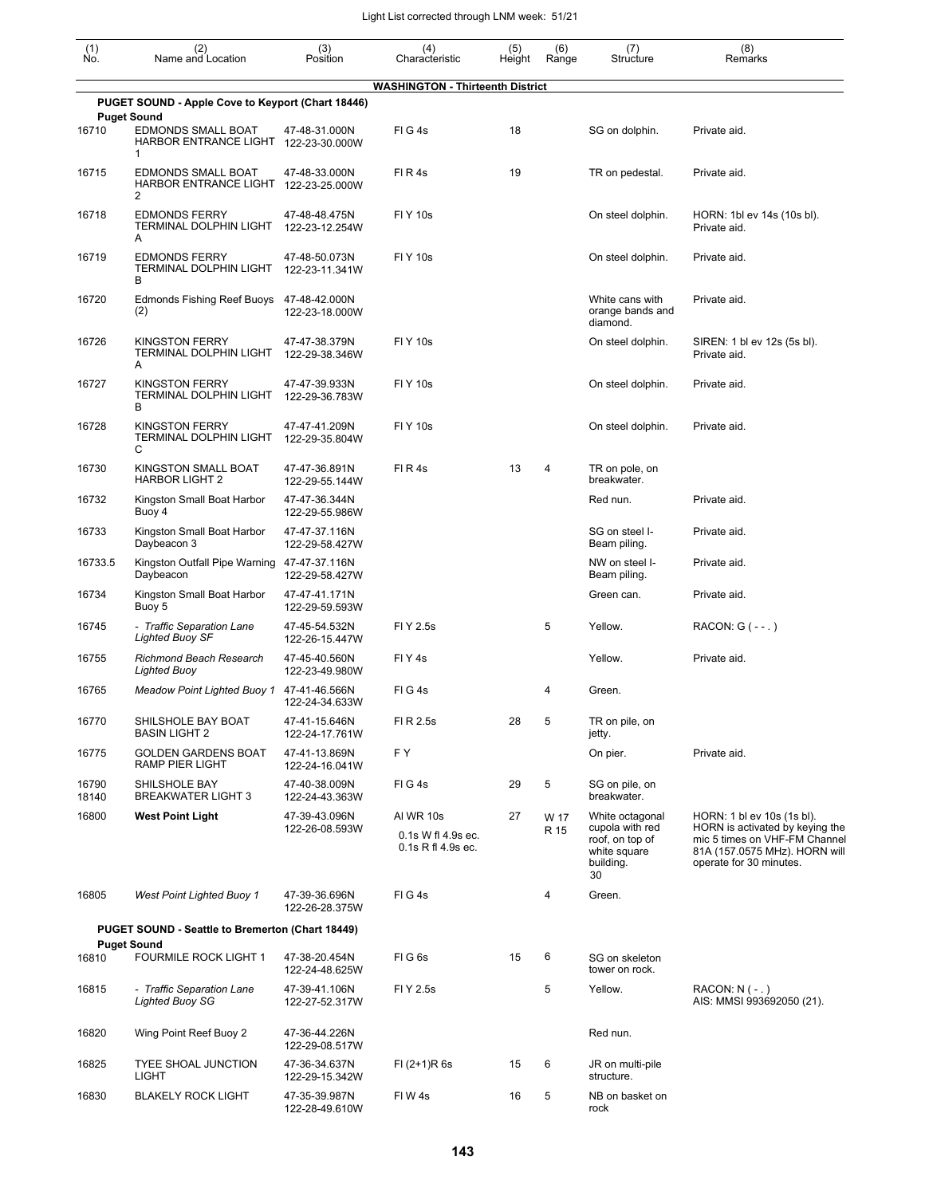| (1)<br>Ño.     | (2)<br>Name and Location                                                | (3)<br>Position                 | (4)<br>Characteristic                                           | (5)<br>Height | (6)<br>Range | (7)<br>Structure                                                                         | (8)<br>Remarks                                                                                                                                             |
|----------------|-------------------------------------------------------------------------|---------------------------------|-----------------------------------------------------------------|---------------|--------------|------------------------------------------------------------------------------------------|------------------------------------------------------------------------------------------------------------------------------------------------------------|
|                |                                                                         |                                 | <b>WASHINGTON - Thirteenth District</b>                         |               |              |                                                                                          |                                                                                                                                                            |
|                | PUGET SOUND - Apple Cove to Keyport (Chart 18446)<br><b>Puget Sound</b> |                                 |                                                                 |               |              |                                                                                          |                                                                                                                                                            |
| 16710          | <b>EDMONDS SMALL BOAT</b><br>HARBOR ENTRANCE LIGHT 122-23-30.000W<br>1  | 47-48-31.000N                   | FIG4s                                                           | 18            |              | SG on dolphin.                                                                           | Private aid.                                                                                                                                               |
| 16715          | EDMONDS SMALL BOAT<br>HARBOR ENTRANCE LIGHT 122-23-25.000W<br>2         | 47-48-33.000N                   | FIR4s                                                           | 19            |              | TR on pedestal.                                                                          | Private aid.                                                                                                                                               |
| 16718          | <b>EDMONDS FERRY</b><br>TERMINAL DOLPHIN LIGHT<br>Α                     | 47-48-48.475N<br>122-23-12.254W | <b>FIY 10s</b>                                                  |               |              | On steel dolphin.                                                                        | HORN: 1bl ev 14s (10s bl).<br>Private aid.                                                                                                                 |
| 16719          | <b>EDMONDS FERRY</b><br>TERMINAL DOLPHIN LIGHT<br>В                     | 47-48-50.073N<br>122-23-11.341W | <b>FIY 10s</b>                                                  |               |              | On steel dolphin.                                                                        | Private aid.                                                                                                                                               |
| 16720          | Edmonds Fishing Reef Buoys 47-48-42.000N<br>(2)                         | 122-23-18.000W                  |                                                                 |               |              | White cans with<br>orange bands and<br>diamond.                                          | Private aid.                                                                                                                                               |
| 16726          | <b>KINGSTON FERRY</b><br>TERMINAL DOLPHIN LIGHT<br>A                    | 47-47-38.379N<br>122-29-38.346W | <b>FIY 10s</b>                                                  |               |              | On steel dolphin.                                                                        | SIREN: 1 bl ev 12s (5s bl).<br>Private aid.                                                                                                                |
| 16727          | <b>KINGSTON FERRY</b><br>TERMINAL DOLPHIN LIGHT<br>В                    | 47-47-39.933N<br>122-29-36.783W | <b>FIY 10s</b>                                                  |               |              | On steel dolphin.                                                                        | Private aid.                                                                                                                                               |
| 16728          | <b>KINGSTON FERRY</b><br>TERMINAL DOLPHIN LIGHT<br>С                    | 47-47-41.209N<br>122-29-35.804W | <b>FIY 10s</b>                                                  |               |              | On steel dolphin.                                                                        | Private aid.                                                                                                                                               |
| 16730          | KINGSTON SMALL BOAT<br><b>HARBOR LIGHT 2</b>                            | 47-47-36.891N<br>122-29-55.144W | FIR4s                                                           | 13            | 4            | TR on pole, on<br>breakwater.                                                            |                                                                                                                                                            |
| 16732          | Kingston Small Boat Harbor<br>Buoy 4                                    | 47-47-36.344N<br>122-29-55.986W |                                                                 |               |              | Red nun.                                                                                 | Private aid.                                                                                                                                               |
| 16733          | Kingston Small Boat Harbor<br>Daybeacon 3                               | 47-47-37.116N<br>122-29-58.427W |                                                                 |               |              | SG on steel I-<br>Beam piling.                                                           | Private aid.                                                                                                                                               |
| 16733.5        | Kingston Outfall Pipe Warning 47-47-37.116N<br>Daybeacon                | 122-29-58.427W                  |                                                                 |               |              | NW on steel I-<br>Beam piling.                                                           | Private aid.                                                                                                                                               |
| 16734          | Kingston Small Boat Harbor<br>Buoy 5                                    | 47-47-41.171N<br>122-29-59.593W |                                                                 |               |              | Green can.                                                                               | Private aid.                                                                                                                                               |
| 16745          | - Traffic Separation Lane<br><b>Lighted Buoy SF</b>                     | 47-45-54.532N<br>122-26-15.447W | FI Y 2.5s                                                       |               | 5            | Yellow.                                                                                  | RACON: G (--.)                                                                                                                                             |
| 16755          | <b>Richmond Beach Research</b><br><b>Lighted Buoy</b>                   | 47-45-40.560N<br>122-23-49.980W | FIY <sub>4s</sub>                                               |               |              | Yellow.                                                                                  | Private aid.                                                                                                                                               |
| 16765          | Meadow Point Lighted Buoy 1 47-41-46.566N                               | 122-24-34.633W                  | FIG4s                                                           |               | 4            | Green.                                                                                   |                                                                                                                                                            |
| 16770          | SHILSHOLE BAY BOAT<br><b>BASIN LIGHT 2</b>                              | 47-41-15.646N<br>122-24-17.761W | FI R 2.5s                                                       | 28            | 5            | TR on pile, on<br>jetty.                                                                 |                                                                                                                                                            |
| 16775          | <b>GOLDEN GARDENS BOAT</b><br>RAMP PIER LIGHT                           | 47-41-13.869N<br>122-24-16.041W | F Y                                                             |               |              | On pier.                                                                                 | Private aid.                                                                                                                                               |
| 16790<br>18140 | SHILSHOLE BAY<br><b>BREAKWATER LIGHT 3</b>                              | 47-40-38.009N<br>122-24-43.363W | FIG4s                                                           | 29            | 5            | SG on pile, on<br>breakwater.                                                            |                                                                                                                                                            |
| 16800          | <b>West Point Light</b>                                                 | 47-39-43.096N<br>122-26-08.593W | <b>AI WR 10s</b><br>0.1s W fl 4.9s ec.<br>$0.1$ s R fl 4.9s ec. | 27            | W 17<br>R 15 | White octagonal<br>cupola with red<br>roof, on top of<br>white square<br>building.<br>30 | HORN: 1 bl ev 10s (1s bl).<br>HORN is activated by keying the<br>mic 5 times on VHF-FM Channel<br>81A (157.0575 MHz). HORN will<br>operate for 30 minutes. |
| 16805          | <b>West Point Lighted Buoy 1</b>                                        | 47-39-36.696N<br>122-26-28.375W | FIG4s                                                           |               | 4            | Green.                                                                                   |                                                                                                                                                            |
|                | PUGET SOUND - Seattle to Bremerton (Chart 18449)                        |                                 |                                                                 |               |              |                                                                                          |                                                                                                                                                            |
| 16810          | <b>Puget Sound</b><br>FOURMILE ROCK LIGHT 1                             | 47-38-20.454N<br>122-24-48.625W | FIG <sub>6s</sub>                                               | 15            | 6            | SG on skeleton<br>tower on rock.                                                         |                                                                                                                                                            |
| 16815          | - Traffic Separation Lane<br><b>Lighted Buoy SG</b>                     | 47-39-41.106N<br>122-27-52.317W | FI Y 2.5s                                                       |               | 5            | Yellow.                                                                                  | RACON: N ( - . )<br>AIS: MMSI 993692050 (21).                                                                                                              |
| 16820          | Wing Point Reef Buoy 2                                                  | 47-36-44.226N<br>122-29-08.517W |                                                                 |               |              | Red nun.                                                                                 |                                                                                                                                                            |
| 16825          | <b>TYEE SHOAL JUNCTION</b><br>LIGHT                                     | 47-36-34.637N<br>122-29-15.342W | $FI (2+1)R 6s$                                                  | 15            | 6            | JR on multi-pile<br>structure.                                                           |                                                                                                                                                            |
| 16830          | <b>BLAKELY ROCK LIGHT</b>                                               | 47-35-39.987N<br>122-28-49.610W | FIW4s                                                           | 16            | 5            | NB on basket on<br>rock                                                                  |                                                                                                                                                            |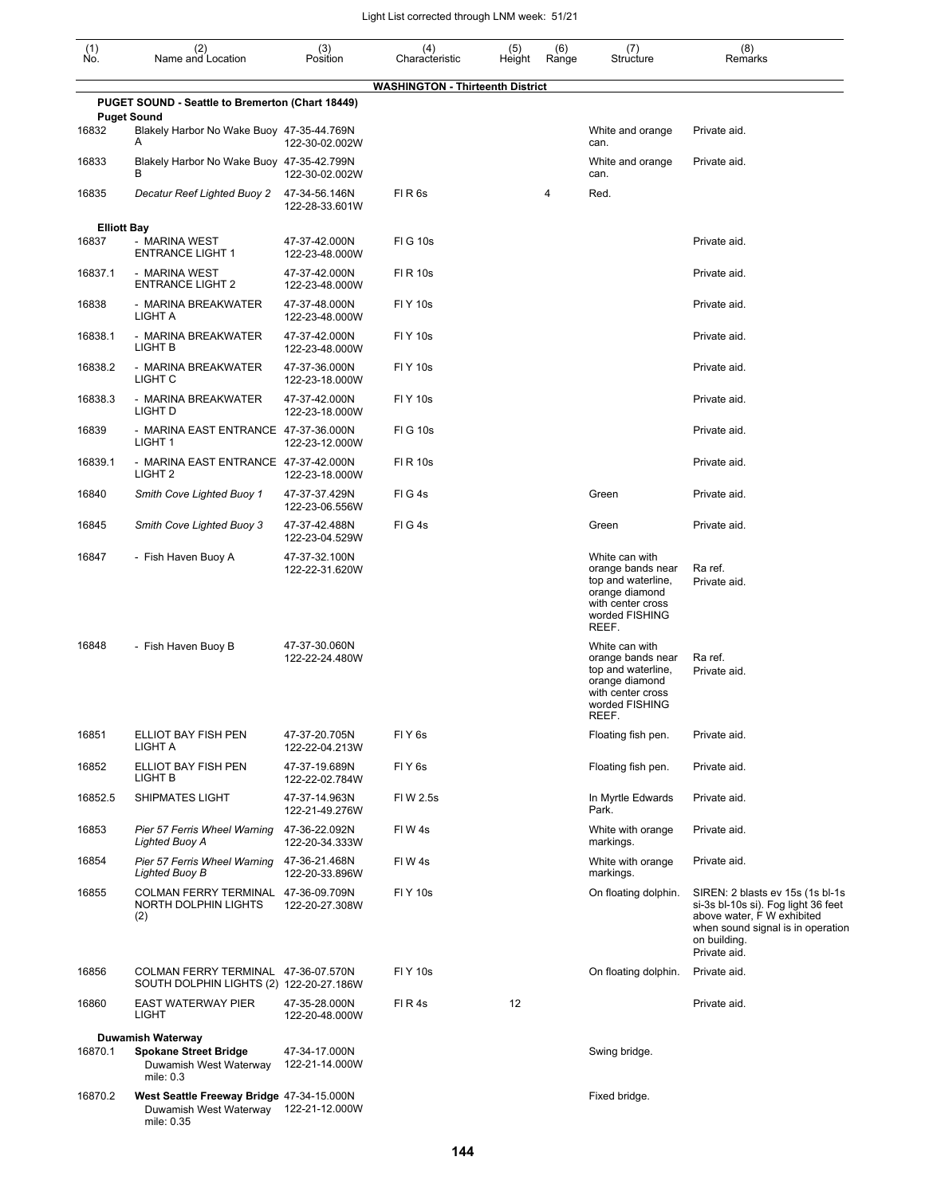| (1)<br>No.         | (2)<br>Name and Location                                                          | (3)<br>Position                 | (4)<br>Characteristic                   | (5)<br>Height | (6)<br>Range | (7)<br>Structure                                                                                                            | (8)<br>Remarks                                                                                                                                                              |
|--------------------|-----------------------------------------------------------------------------------|---------------------------------|-----------------------------------------|---------------|--------------|-----------------------------------------------------------------------------------------------------------------------------|-----------------------------------------------------------------------------------------------------------------------------------------------------------------------------|
|                    |                                                                                   |                                 | <b>WASHINGTON - Thirteenth District</b> |               |              |                                                                                                                             |                                                                                                                                                                             |
|                    | PUGET SOUND - Seattle to Bremerton (Chart 18449)<br><b>Puget Sound</b>            |                                 |                                         |               |              |                                                                                                                             |                                                                                                                                                                             |
| 16832              | Blakely Harbor No Wake Buoy 47-35-44.769N<br>Α                                    | 122-30-02.002W                  |                                         |               |              | White and orange<br>can.                                                                                                    | Private aid.                                                                                                                                                                |
| 16833              | Blakely Harbor No Wake Buoy 47-35-42.799N<br>В                                    | 122-30-02.002W                  |                                         |               |              | White and orange<br>can.                                                                                                    | Private aid.                                                                                                                                                                |
| 16835              | Decatur Reef Lighted Buoy 2                                                       | 47-34-56.146N<br>122-28-33.601W | FIR <sub>6s</sub>                       |               | 4            | Red.                                                                                                                        |                                                                                                                                                                             |
| <b>Elliott Bay</b> |                                                                                   |                                 |                                         |               |              |                                                                                                                             |                                                                                                                                                                             |
| 16837              | - MARINA WEST<br><b>ENTRANCE LIGHT 1</b>                                          | 47-37-42.000N<br>122-23-48.000W | <b>FIG 10s</b>                          |               |              |                                                                                                                             | Private aid.                                                                                                                                                                |
| 16837.1            | - MARINA WEST<br><b>ENTRANCE LIGHT 2</b>                                          | 47-37-42.000N<br>122-23-48.000W | <b>FIR 10s</b>                          |               |              |                                                                                                                             | Private aid.                                                                                                                                                                |
| 16838              | - MARINA BREAKWATER<br>LIGHT A                                                    | 47-37-48.000N<br>122-23-48.000W | <b>FIY 10s</b>                          |               |              |                                                                                                                             | Private aid.                                                                                                                                                                |
| 16838.1            | - MARINA BREAKWATER<br>LIGHT B                                                    | 47-37-42.000N<br>122-23-48.000W | <b>FIY 10s</b>                          |               |              |                                                                                                                             | Private aid.                                                                                                                                                                |
| 16838.2            | - MARINA BREAKWATER<br>LIGHT C                                                    | 47-37-36.000N<br>122-23-18.000W | <b>FIY 10s</b>                          |               |              |                                                                                                                             | Private aid.                                                                                                                                                                |
| 16838.3            | - MARINA BREAKWATER<br>LIGHT D                                                    | 47-37-42.000N<br>122-23-18.000W | <b>FIY 10s</b>                          |               |              |                                                                                                                             | Private aid.                                                                                                                                                                |
| 16839              | - MARINA EAST ENTRANCE 47-37-36.000N<br>LIGHT <sub>1</sub>                        | 122-23-12.000W                  | <b>FIG 10s</b>                          |               |              |                                                                                                                             | Private aid.                                                                                                                                                                |
| 16839.1            | - MARINA EAST ENTRANCE 47-37-42.000N<br>LIGHT <sub>2</sub>                        | 122-23-18.000W                  | FI R 10s                                |               |              |                                                                                                                             | Private aid.                                                                                                                                                                |
| 16840              | Smith Cove Lighted Buoy 1                                                         | 47-37-37.429N<br>122-23-06.556W | FIG4s                                   |               |              | Green                                                                                                                       | Private aid.                                                                                                                                                                |
| 16845              | <b>Smith Cove Lighted Buoy 3</b>                                                  | 47-37-42.488N<br>122-23-04.529W | FIG4s                                   |               |              | Green                                                                                                                       | Private aid.                                                                                                                                                                |
| 16847              | - Fish Haven Buoy A                                                               | 47-37-32.100N<br>122-22-31.620W |                                         |               |              | White can with<br>orange bands near<br>top and waterline,<br>orange diamond<br>with center cross<br>worded FISHING<br>REEF. | Ra ref.<br>Private aid.                                                                                                                                                     |
| 16848              | - Fish Haven Buoy B                                                               | 47-37-30.060N<br>122-22-24.480W |                                         |               |              | White can with<br>orange bands near<br>top and waterline.<br>orange diamond<br>with center cross<br>worded FISHING<br>REEF. | Ra ref.<br>Private aid.                                                                                                                                                     |
| 16851              | ELLIOT BAY FISH PEN<br>LIGHT A                                                    | 47-37-20.705N<br>122-22-04.213W | FIY <sub>6s</sub>                       |               |              | Floating fish pen.                                                                                                          | Private aid.                                                                                                                                                                |
| 16852              | ELLIOT BAY FISH PEN<br>LIGHT B                                                    | 47-37-19.689N<br>122-22-02.784W | FIY <sub>6s</sub>                       |               |              | Floating fish pen.                                                                                                          | Private aid.                                                                                                                                                                |
| 16852.5            | <b>SHIPMATES LIGHT</b>                                                            | 47-37-14.963N<br>122-21-49.276W | FI W 2.5s                               |               |              | In Myrtle Edwards<br>Park.                                                                                                  | Private aid.                                                                                                                                                                |
| 16853              | Pier 57 Ferris Wheel Warning<br>Lighted Buoy A                                    | 47-36-22.092N<br>122-20-34.333W | FIW4s                                   |               |              | White with orange<br>markings.                                                                                              | Private aid.                                                                                                                                                                |
| 16854              | Pier 57 Ferris Wheel Warning<br>Lighted Buoy B                                    | 47-36-21.468N<br>122-20-33.896W | FIW4s                                   |               |              | White with orange<br>markings.                                                                                              | Private aid.                                                                                                                                                                |
| 16855              | COLMAN FERRY TERMINAL 47-36-09.709N<br>NORTH DOLPHIN LIGHTS<br>(2)                | 122-20-27.308W                  | <b>FIY 10s</b>                          |               |              | On floating dolphin.                                                                                                        | SIREN: 2 blasts ev 15s (1s bl-1s)<br>si-3s bl-10s si). Fog light 36 feet<br>above water, F W exhibited<br>when sound signal is in operation<br>on building.<br>Private aid. |
| 16856              | COLMAN FERRY TERMINAL 47-36-07.570N<br>SOUTH DOLPHIN LIGHTS (2) 122-20-27.186W    |                                 | <b>FIY 10s</b>                          |               |              | On floating dolphin.                                                                                                        | Private aid.                                                                                                                                                                |
| 16860              | <b>EAST WATERWAY PIER</b><br>LIGHT                                                | 47-35-28.000N<br>122-20-48.000W | FIR4s                                   | 12            |              |                                                                                                                             | Private aid.                                                                                                                                                                |
|                    | Duwamish Waterway                                                                 |                                 |                                         |               |              |                                                                                                                             |                                                                                                                                                                             |
| 16870.1            | <b>Spokane Street Bridge</b><br>Duwamish West Waterway<br>mile: 0.3               | 47-34-17.000N<br>122-21-14.000W |                                         |               |              | Swing bridge.                                                                                                               |                                                                                                                                                                             |
| 16870.2            | West Seattle Freeway Bridge 47-34-15.000N<br>Duwamish West Waterway<br>mile: 0.35 | 122-21-12.000W                  |                                         |               |              | Fixed bridge.                                                                                                               |                                                                                                                                                                             |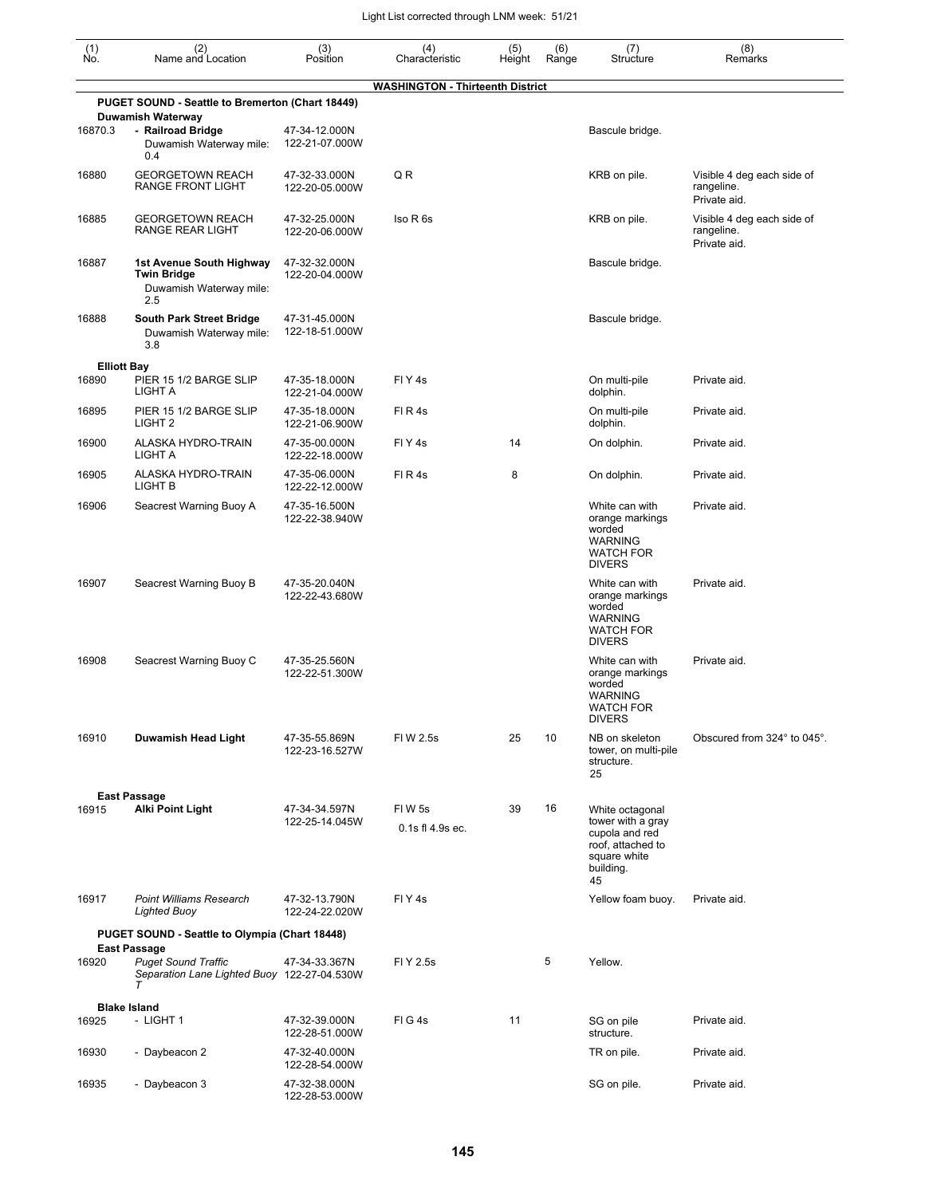| (1)<br>No.         | (2)<br>Name and Location                                                                                   | (3)<br>Position                 | (4)<br>Characteristic                   | (5)<br>Height | (6)<br>Range | (7)<br>Structure                                                                                               | (8)<br>Remarks                                           |
|--------------------|------------------------------------------------------------------------------------------------------------|---------------------------------|-----------------------------------------|---------------|--------------|----------------------------------------------------------------------------------------------------------------|----------------------------------------------------------|
|                    |                                                                                                            |                                 | <b>WASHINGTON - Thirteenth District</b> |               |              |                                                                                                                |                                                          |
|                    | PUGET SOUND - Seattle to Bremerton (Chart 18449)                                                           |                                 |                                         |               |              |                                                                                                                |                                                          |
| 16870.3            | <b>Duwamish Waterway</b><br>- Railroad Bridge<br>Duwamish Waterway mile:<br>0.4                            | 47-34-12.000N<br>122-21-07.000W |                                         |               |              | Bascule bridge.                                                                                                |                                                          |
| 16880              | <b>GEORGETOWN REACH</b><br>RANGE FRONT LIGHT                                                               | 47-32-33.000N<br>122-20-05.000W | Q R                                     |               |              | KRB on pile.                                                                                                   | Visible 4 deg each side of<br>rangeline.<br>Private aid. |
| 16885              | <b>GEORGETOWN REACH</b><br>RANGE REAR LIGHT                                                                | 47-32-25.000N<br>122-20-06.000W | Iso R 6s                                |               |              | KRB on pile.                                                                                                   | Visible 4 deg each side of<br>rangeline.<br>Private aid. |
| 16887              | 1st Avenue South Highway<br><b>Twin Bridge</b><br>Duwamish Waterway mile:<br>2.5                           | 47-32-32.000N<br>122-20-04.000W |                                         |               |              | Bascule bridge.                                                                                                |                                                          |
| 16888              | <b>South Park Street Bridge</b><br>Duwamish Waterway mile:<br>3.8                                          | 47-31-45.000N<br>122-18-51.000W |                                         |               |              | Bascule bridge.                                                                                                |                                                          |
| <b>Elliott Bay</b> |                                                                                                            |                                 |                                         |               |              |                                                                                                                |                                                          |
| 16890              | PIER 15 1/2 BARGE SLIP<br>LIGHT A                                                                          | 47-35-18.000N<br>122-21-04.000W | FIY <sub>4s</sub>                       |               |              | On multi-pile<br>dolphin.                                                                                      | Private aid.                                             |
| 16895              | PIER 15 1/2 BARGE SLIP<br>LIGHT <sub>2</sub>                                                               | 47-35-18.000N<br>122-21-06.900W | FIR4s                                   |               |              | On multi-pile<br>dolphin.                                                                                      | Private aid.                                             |
| 16900              | ALASKA HYDRO-TRAIN<br>LIGHT A                                                                              | 47-35-00.000N<br>122-22-18.000W | FIY <sub>4s</sub>                       | 14            |              | On dolphin.                                                                                                    | Private aid.                                             |
| 16905              | ALASKA HYDRO-TRAIN<br>LIGHT B                                                                              | 47-35-06.000N<br>122-22-12.000W | FIR4s                                   | 8             |              | On dolphin.                                                                                                    | Private aid.                                             |
| 16906              | Seacrest Warning Buoy A                                                                                    | 47-35-16.500N<br>122-22-38.940W |                                         |               |              | White can with<br>orange markings<br>worded<br><b>WARNING</b><br><b>WATCH FOR</b><br><b>DIVERS</b>             | Private aid.                                             |
| 16907              | Seacrest Warning Buoy B                                                                                    | 47-35-20.040N<br>122-22-43.680W |                                         |               |              | White can with<br>orange markings<br>worded<br><b>WARNING</b><br><b>WATCH FOR</b><br><b>DIVERS</b>             | Private aid.                                             |
| 16908              | Seacrest Warning Buoy C                                                                                    | 47-35-25.560N<br>122-22-51.300W |                                         |               |              | White can with<br>orange markings<br>worded<br><b>WARNING</b><br><b>WATCH FOR</b><br><b>DIVERS</b>             | Private aid.                                             |
| 16910              | Duwamish Head Light                                                                                        | 47-35-55.869N<br>122-23-16.527W | FIW 2.5s                                | 25            | 10           | NB on skeleton<br>tower, on multi-pile<br>structure.<br>25                                                     | Obscured from 324° to 045°.                              |
|                    | <b>East Passage</b>                                                                                        |                                 |                                         |               |              |                                                                                                                |                                                          |
| 16915              | Alki Point Light                                                                                           | 47-34-34.597N<br>122-25-14.045W | FIW 5s<br>$0.1s$ fl $4.9s$ ec.          | 39            | 16           | White octagonal<br>tower with a gray<br>cupola and red<br>roof, attached to<br>square white<br>building.<br>45 |                                                          |
| 16917              | <b>Point Williams Research</b><br><b>Lighted Buoy</b>                                                      | 47-32-13.790N<br>122-24-22.020W | FIY4s                                   |               |              | Yellow foam buoy.                                                                                              | Private aid.                                             |
|                    | PUGET SOUND - Seattle to Olympia (Chart 18448)                                                             |                                 |                                         |               |              |                                                                                                                |                                                          |
| 16920              | <b>East Passage</b><br><b>Puget Sound Traffic</b><br>Separation Lane Lighted Buoy 122-27-04.530W<br>$\tau$ | 47-34-33.367N                   | FI Y 2.5s                               |               | 5            | Yellow.                                                                                                        |                                                          |
|                    | <b>Blake Island</b>                                                                                        |                                 |                                         |               |              |                                                                                                                |                                                          |
| 16925              | - LIGHT 1                                                                                                  | 47-32-39.000N<br>122-28-51.000W | FIG4s                                   | 11            |              | SG on pile<br>structure.                                                                                       | Private aid.                                             |
| 16930              | - Daybeacon 2                                                                                              | 47-32-40.000N<br>122-28-54.000W |                                         |               |              | TR on pile.                                                                                                    | Private aid.                                             |
| 16935              | - Daybeacon 3                                                                                              | 47-32-38.000N<br>122-28-53.000W |                                         |               |              | SG on pile.                                                                                                    | Private aid.                                             |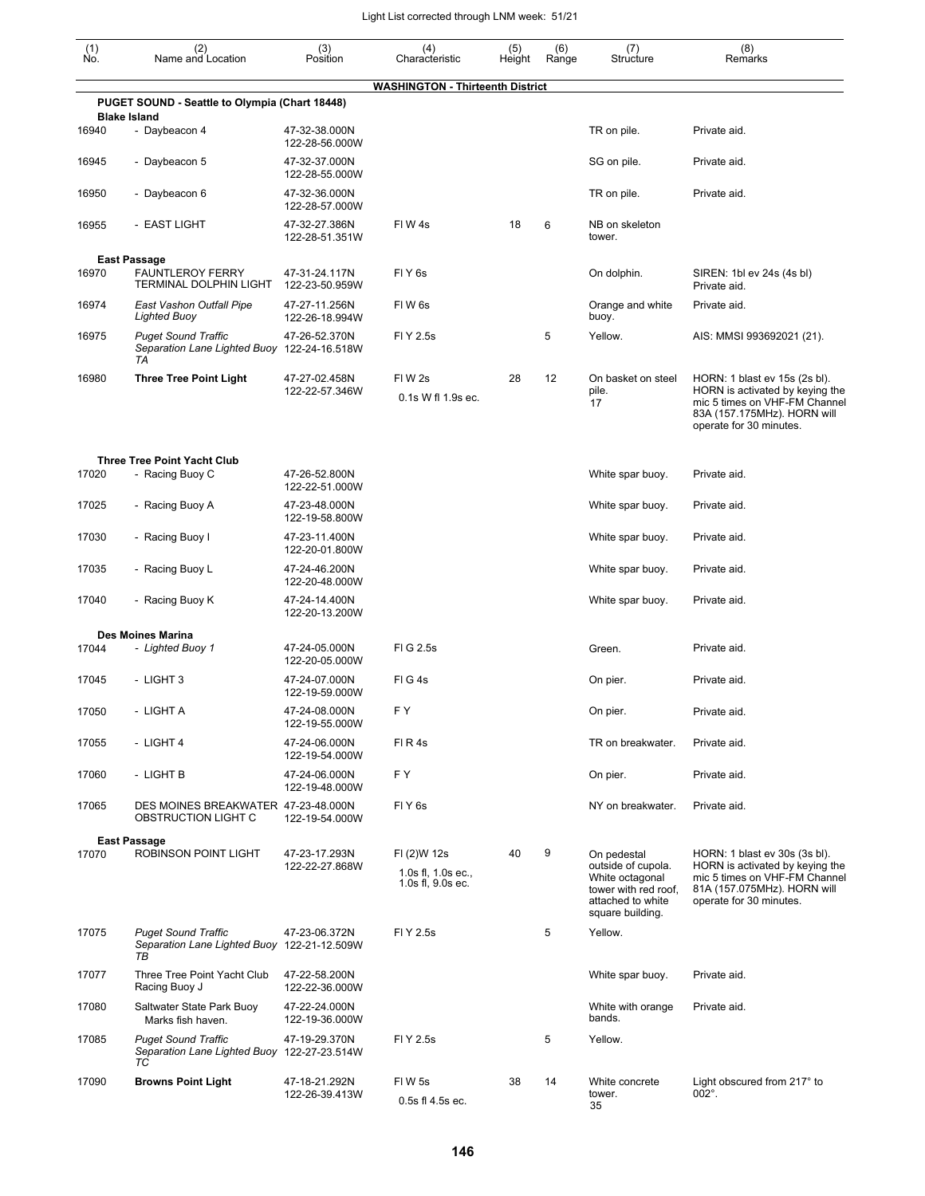| (1)<br>No. | (2)<br>Name and Location                                                        | (3)<br>Position                 | (4)<br>Characteristic                                  | (5)<br>Height | (6)<br>Range | (7)<br>Structure                                                                                                      | (8)<br>Remarks                                                                                                                                              |
|------------|---------------------------------------------------------------------------------|---------------------------------|--------------------------------------------------------|---------------|--------------|-----------------------------------------------------------------------------------------------------------------------|-------------------------------------------------------------------------------------------------------------------------------------------------------------|
|            |                                                                                 |                                 | <b>WASHINGTON - Thirteenth District</b>                |               |              |                                                                                                                       |                                                                                                                                                             |
|            | PUGET SOUND - Seattle to Olympia (Chart 18448)<br><b>Blake Island</b>           |                                 |                                                        |               |              |                                                                                                                       |                                                                                                                                                             |
| 16940      | - Daybeacon 4                                                                   | 47-32-38.000N<br>122-28-56.000W |                                                        |               |              | TR on pile.                                                                                                           | Private aid.                                                                                                                                                |
| 16945      | - Daybeacon 5                                                                   | 47-32-37.000N<br>122-28-55.000W |                                                        |               |              | SG on pile.                                                                                                           | Private aid.                                                                                                                                                |
| 16950      | - Daybeacon 6                                                                   | 47-32-36.000N<br>122-28-57.000W |                                                        |               |              | TR on pile.                                                                                                           | Private aid.                                                                                                                                                |
| 16955      | - EAST LIGHT                                                                    | 47-32-27.386N<br>122-28-51.351W | FIW4s                                                  | 18            | 6            | NB on skeleton<br>tower.                                                                                              |                                                                                                                                                             |
|            | <b>East Passage</b>                                                             |                                 |                                                        |               |              |                                                                                                                       |                                                                                                                                                             |
| 16970      | <b>FAUNTLEROY FERRY</b><br>TERMINAL DOLPHIN LIGHT                               | 47-31-24.117N<br>122-23-50.959W | FIY <sub>6s</sub>                                      |               |              | On dolphin.                                                                                                           | SIREN: 1bl ev 24s (4s bl)<br>Private aid.                                                                                                                   |
| 16974      | East Vashon Outfall Pipe<br>Lighted Buoy                                        | 47-27-11.256N<br>122-26-18.994W | FIW <sub>6s</sub>                                      |               |              | Orange and white<br>buoy.                                                                                             | Private aid.                                                                                                                                                |
| 16975      | <b>Puget Sound Traffic</b><br>Separation Lane Lighted Buoy 122-24-16.518W<br>TA | 47-26-52.370N                   | FI Y 2.5s                                              |               | 5            | Yellow.                                                                                                               | AIS: MMSI 993692021 (21).                                                                                                                                   |
| 16980      | <b>Three Tree Point Light</b>                                                   | 47-27-02.458N<br>122-22-57.346W | FIW <sub>2s</sub><br>0.1s W fl 1.9s ec.                | 28            | 12           | On basket on steel<br>pile.<br>17                                                                                     | HORN: 1 blast ev 15s (2s bl).<br>HORN is activated by keying the<br>mic 5 times on VHF-FM Channel<br>83A (157.175MHz). HORN will<br>operate for 30 minutes. |
| 17020      | <b>Three Tree Point Yacht Club</b><br>- Racing Buoy C                           | 47-26-52.800N<br>122-22-51.000W |                                                        |               |              | White spar buoy.                                                                                                      | Private aid.                                                                                                                                                |
| 17025      | - Racing Buoy A                                                                 | 47-23-48.000N<br>122-19-58.800W |                                                        |               |              | White spar buoy.                                                                                                      | Private aid.                                                                                                                                                |
| 17030      | - Racing Buoy I                                                                 | 47-23-11.400N<br>122-20-01.800W |                                                        |               |              | White spar buoy.                                                                                                      | Private aid.                                                                                                                                                |
| 17035      | - Racing Buoy L                                                                 | 47-24-46.200N<br>122-20-48.000W |                                                        |               |              | White spar buoy.                                                                                                      | Private aid.                                                                                                                                                |
| 17040      | - Racing Buoy K                                                                 | 47-24-14.400N<br>122-20-13.200W |                                                        |               |              | White spar buoy.                                                                                                      | Private aid.                                                                                                                                                |
|            | <b>Des Moines Marina</b>                                                        |                                 |                                                        |               |              |                                                                                                                       |                                                                                                                                                             |
| 17044      | - Lighted Buoy 1                                                                | 47-24-05.000N<br>122-20-05.000W | FIG 2.5s                                               |               |              | Green.                                                                                                                | Private aid.                                                                                                                                                |
| 17045      | - LIGHT 3                                                                       | 47-24-07.000N<br>122-19-59.000W | FIG4s                                                  |               |              | On pier.                                                                                                              | Private aid.                                                                                                                                                |
| 17050      | - LIGHT A                                                                       | 47-24-08.000N<br>122-19-55.000W | F Y                                                    |               |              | On pier.                                                                                                              | Private aid.                                                                                                                                                |
| 17055      | - LIGHT 4                                                                       | 47-24-06.000N<br>122-19-54.000W | FIR4s                                                  |               |              | TR on breakwater.                                                                                                     | Private aid.                                                                                                                                                |
| 17060      | - LIGHT B                                                                       | 47-24-06.000N<br>122-19-48.000W | F Y                                                    |               |              | On pier.                                                                                                              | Private aid.                                                                                                                                                |
| 17065      | DES MOINES BREAKWATER 47-23-48.000N<br>OBSTRUCTION LIGHT C                      | 122-19-54.000W                  | FIY <sub>6s</sub>                                      |               |              | NY on breakwater.                                                                                                     | Private aid.                                                                                                                                                |
|            | <b>East Passage</b>                                                             |                                 |                                                        |               |              |                                                                                                                       |                                                                                                                                                             |
| 17070      | <b>ROBINSON POINT LIGHT</b>                                                     | 47-23-17.293N<br>122-22-27.868W | FI (2)W 12s<br>1.0s fl, 1.0s ec.,<br>1.0s fl, 9.0s ec. | 40            | 9            | On pedestal<br>outside of cupola.<br>White octagonal<br>tower with red roof.<br>attached to white<br>square building. | HORN: 1 blast ev 30s (3s bl).<br>HORN is activated by keying the<br>mic 5 times on VHF-FM Channel<br>81A (157.075MHz). HORN will<br>operate for 30 minutes. |
| 17075      | <b>Puget Sound Traffic</b><br>Separation Lane Lighted Buoy 122-21-12.509W<br>ТB | 47-23-06.372N                   | FI Y 2.5s                                              |               | 5            | Yellow.                                                                                                               |                                                                                                                                                             |
| 17077      | Three Tree Point Yacht Club<br>Racing Buoy J                                    | 47-22-58.200N<br>122-22-36.000W |                                                        |               |              | White spar buoy.                                                                                                      | Private aid.                                                                                                                                                |
| 17080      | Saltwater State Park Buoy<br>Marks fish haven.                                  | 47-22-24.000N<br>122-19-36.000W |                                                        |               |              | White with orange<br>bands.                                                                                           | Private aid.                                                                                                                                                |
| 17085      | <b>Puget Sound Traffic</b><br>Separation Lane Lighted Buoy 122-27-23.514W<br>ТC | 47-19-29.370N                   | FI Y 2.5s                                              |               | 5            | Yellow.                                                                                                               |                                                                                                                                                             |
| 17090      | <b>Browns Point Light</b>                                                       | 47-18-21.292N<br>122-26-39.413W | FIW <sub>5s</sub><br>0.5s fl 4.5s ec.                  | 38            | 14           | White concrete<br>tower.<br>っこ                                                                                        | Light obscured from 217° to<br>002°.                                                                                                                        |

35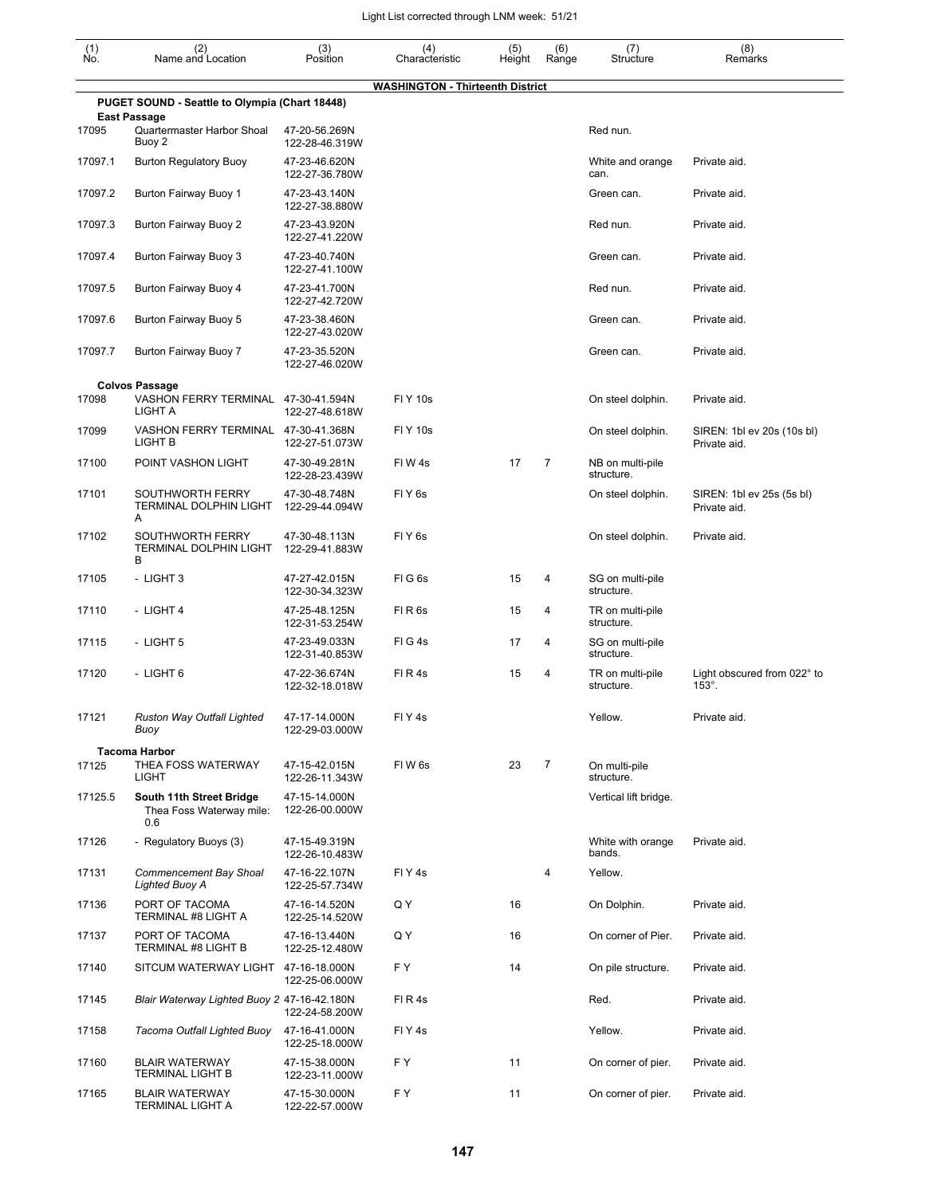| $\begin{smallmatrix} (1) \\ \mathsf{No} \end{smallmatrix}$ | (2)<br>Name and Location                                              | (3)<br>Position                 | (4)<br>Characteristic                   | (5)<br>Height | (6)<br>Range   | (7)<br>Structure               | (8)<br>Remarks                               |
|------------------------------------------------------------|-----------------------------------------------------------------------|---------------------------------|-----------------------------------------|---------------|----------------|--------------------------------|----------------------------------------------|
|                                                            |                                                                       |                                 | <b>WASHINGTON - Thirteenth District</b> |               |                |                                |                                              |
|                                                            | PUGET SOUND - Seattle to Olympia (Chart 18448)<br><b>East Passage</b> |                                 |                                         |               |                |                                |                                              |
| 17095                                                      | Quartermaster Harbor Shoal<br>Buoy 2                                  | 47-20-56.269N<br>122-28-46.319W |                                         |               |                | Red nun.                       |                                              |
| 17097.1                                                    | <b>Burton Regulatory Buoy</b>                                         | 47-23-46.620N<br>122-27-36.780W |                                         |               |                | White and orange<br>can.       | Private aid.                                 |
| 17097.2                                                    | Burton Fairway Buoy 1                                                 | 47-23-43.140N<br>122-27-38.880W |                                         |               |                | Green can.                     | Private aid.                                 |
| 17097.3                                                    | Burton Fairway Buoy 2                                                 | 47-23-43.920N<br>122-27-41.220W |                                         |               |                | Red nun.                       | Private aid.                                 |
| 17097.4                                                    | Burton Fairway Buoy 3                                                 | 47-23-40.740N<br>122-27-41.100W |                                         |               |                | Green can.                     | Private aid.                                 |
| 17097.5                                                    | Burton Fairway Buoy 4                                                 | 47-23-41.700N<br>122-27-42.720W |                                         |               |                | Red nun.                       | Private aid.                                 |
| 17097.6                                                    | Burton Fairway Buoy 5                                                 | 47-23-38.460N<br>122-27-43.020W |                                         |               |                | Green can.                     | Private aid.                                 |
| 17097.7                                                    | Burton Fairway Buoy 7                                                 | 47-23-35.520N<br>122-27-46.020W |                                         |               |                | Green can.                     | Private aid.                                 |
|                                                            | <b>Colvos Passage</b>                                                 |                                 |                                         |               |                |                                |                                              |
| 17098                                                      | VASHON FERRY TERMINAL<br>LIGHT A                                      | 47-30-41.594N<br>122-27-48.618W | <b>FIY 10s</b>                          |               |                | On steel dolphin.              | Private aid.                                 |
| 17099                                                      | VASHON FERRY TERMINAL<br>LIGHT B                                      | 47-30-41.368N<br>122-27-51.073W | <b>FIY 10s</b>                          |               |                | On steel dolphin.              | SIREN: 1bl ev 20s (10s bl)<br>Private aid.   |
| 17100                                                      | POINT VASHON LIGHT                                                    | 47-30-49.281N<br>122-28-23.439W | FIW4s                                   | 17            | 7              | NB on multi-pile<br>structure. |                                              |
| 17101                                                      | SOUTHWORTH FERRY<br><b>TERMINAL DOLPHIN LIGHT</b><br>Α                | 47-30-48.748N<br>122-29-44.094W | FIY <sub>6s</sub>                       |               |                | On steel dolphin.              | SIREN: 1bl ev 25s (5s bl)<br>Private aid.    |
| 17102                                                      | SOUTHWORTH FERRY<br><b>TERMINAL DOLPHIN LIGHT</b><br>В                | 47-30-48.113N<br>122-29-41.883W | FIY <sub>6s</sub>                       |               |                | On steel dolphin.              | Private aid.                                 |
| 17105                                                      | - LIGHT 3                                                             | 47-27-42.015N<br>122-30-34.323W | FIG6s                                   | 15            | 4              | SG on multi-pile<br>structure. |                                              |
| 17110                                                      | - LIGHT 4                                                             | 47-25-48.125N<br>122-31-53.254W | FIR6s                                   | 15            | 4              | TR on multi-pile<br>structure. |                                              |
| 17115                                                      | - LIGHT 5                                                             | 47-23-49.033N<br>122-31-40.853W | FIG4s                                   | 17            | 4              | SG on multi-pile<br>structure. |                                              |
| 17120                                                      | - LIGHT 6                                                             | 47-22-36.674N<br>122-32-18.018W | FIR4s                                   | 15            | 4              | TR on multi-pile<br>structure. | Light obscured from 022° to<br>$153^\circ$ . |
| 17121                                                      | Ruston Way Outfall Lighted<br>Buoy                                    | 47-17-14.000N<br>122-29-03.000W | FIY4s                                   |               |                | Yellow.                        | Private aid.                                 |
| 17125                                                      | <b>Tacoma Harbor</b><br>THEA FOSS WATERWAY                            | 47-15-42.015N                   | FIW 6s                                  | 23            | $\overline{7}$ | On multi-pile                  |                                              |
|                                                            | <b>LIGHT</b>                                                          | 122-26-11.343W                  |                                         |               |                | structure.                     |                                              |
| 17125.5                                                    | South 11th Street Bridge<br>Thea Foss Waterway mile:<br>0.6           | 47-15-14.000N<br>122-26-00.000W |                                         |               |                | Vertical lift bridge.          |                                              |
| 17126                                                      | - Regulatory Buoys (3)                                                | 47-15-49.319N<br>122-26-10.483W |                                         |               |                | White with orange<br>bands.    | Private aid.                                 |
| 17131                                                      | Commencement Bay Shoal<br><b>Lighted Buoy A</b>                       | 47-16-22.107N<br>122-25-57.734W | FIY <sub>4s</sub>                       |               | 4              | Yellow.                        |                                              |
| 17136                                                      | PORT OF TACOMA<br>TERMINAL #8 LIGHT A                                 | 47-16-14.520N<br>122-25-14.520W | QΥ                                      | 16            |                | On Dolphin.                    | Private aid.                                 |
| 17137                                                      | PORT OF TACOMA<br><b>TERMINAL #8 LIGHT B</b>                          | 47-16-13.440N<br>122-25-12.480W | QΥ                                      | 16            |                | On corner of Pier.             | Private aid.                                 |
| 17140                                                      | SITCUM WATERWAY LIGHT 47-16-18.000N                                   | 122-25-06.000W                  | F Y                                     | 14            |                | On pile structure.             | Private aid.                                 |
| 17145                                                      | Blair Waterway Lighted Buoy 2 47-16-42.180N                           | 122-24-58.200W                  | FIR4s                                   |               |                | Red.                           | Private aid.                                 |
| 17158                                                      | Tacoma Outfall Lighted Buoy                                           | 47-16-41.000N<br>122-25-18.000W | FIY <sub>4s</sub>                       |               |                | Yellow.                        | Private aid.                                 |
| 17160                                                      | <b>BLAIR WATERWAY</b><br><b>TERMINAL LIGHT B</b>                      | 47-15-38.000N<br>122-23-11.000W | F Y                                     | 11            |                | On corner of pier.             | Private aid.                                 |
| 17165                                                      | <b>BLAIR WATERWAY</b><br><b>TERMINAL LIGHT A</b>                      | 47-15-30.000N<br>122-22-57.000W | F Y                                     | 11            |                | On corner of pier.             | Private aid.                                 |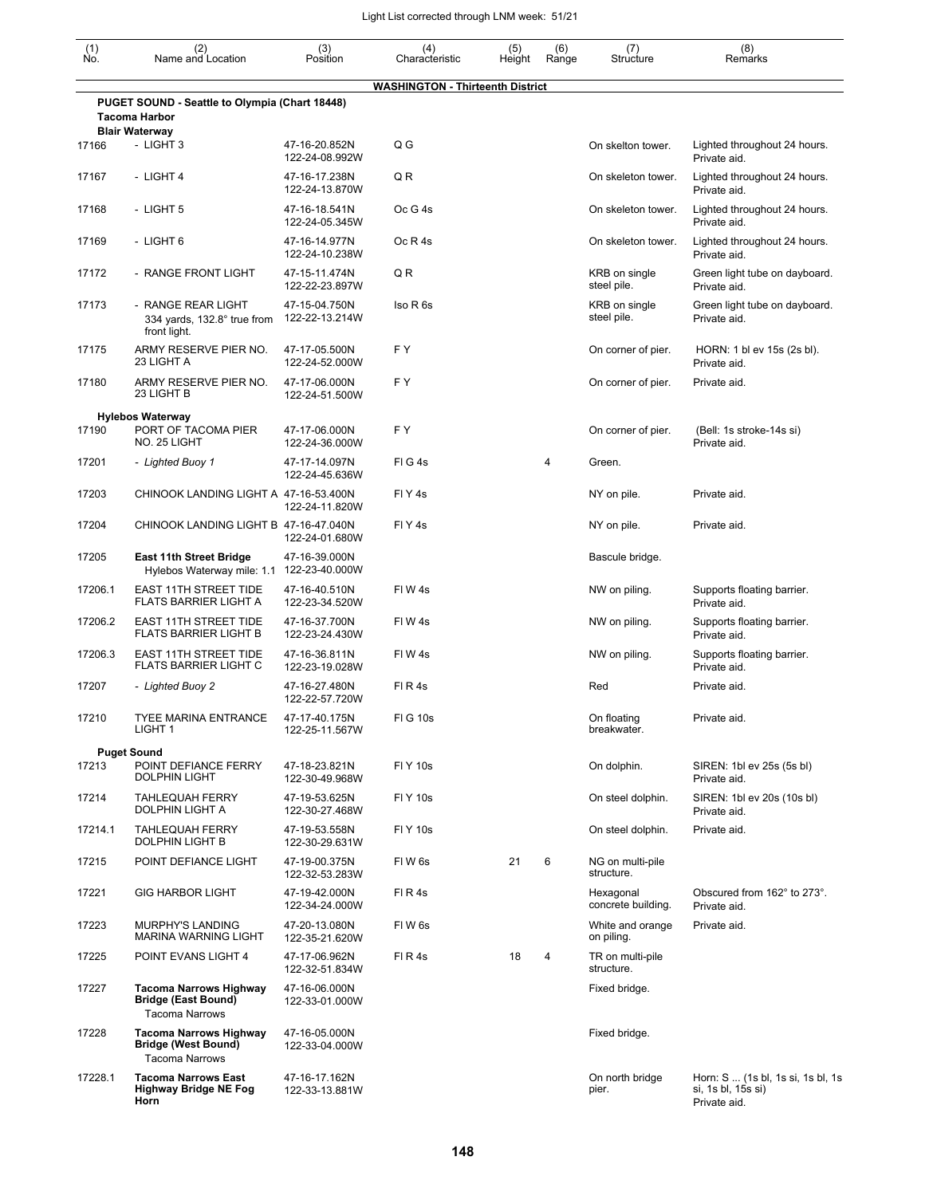| $\begin{smallmatrix} (1) \\ \mathsf{No} \end{smallmatrix}$ | (2)<br>Name and Location                                                                        | (3)<br>Position                  | (4)<br>Characteristic                   | (5)<br>Height | (6)<br>Range | (7)<br>Structure                | (8)<br>Remarks                                                          |
|------------------------------------------------------------|-------------------------------------------------------------------------------------------------|----------------------------------|-----------------------------------------|---------------|--------------|---------------------------------|-------------------------------------------------------------------------|
|                                                            |                                                                                                 |                                  | <b>WASHINGTON - Thirteenth District</b> |               |              |                                 |                                                                         |
|                                                            | PUGET SOUND - Seattle to Olympia (Chart 18448)<br><b>Tacoma Harbor</b><br><b>Blair Waterway</b> |                                  |                                         |               |              |                                 |                                                                         |
| 17166                                                      | - LIGHT 3                                                                                       | 47-16-20.852N<br>122-24-08.992W  | Q G                                     |               |              | On skelton tower.               | Lighted throughout 24 hours.<br>Private aid.                            |
| 17167                                                      | - LIGHT 4                                                                                       | 47-16-17.238N<br>122-24-13.870W  | QR                                      |               |              | On skeleton tower.              | Lighted throughout 24 hours.<br>Private aid.                            |
| 17168                                                      | - LIGHT 5                                                                                       | 47-16-18.541N<br>122-24-05.345W  | Oc G 4s                                 |               |              | On skeleton tower.              | Lighted throughout 24 hours.<br>Private aid.                            |
| 17169                                                      | - LIGHT 6                                                                                       | 47-16-14.977N<br>122-24-10.238W  | Oc R 4s                                 |               |              | On skeleton tower.              | Lighted throughout 24 hours.<br>Private aid.                            |
| 17172                                                      | - RANGE FRONT LIGHT                                                                             | 47-15-11.474N<br>122-22-23.897W  | Q R                                     |               |              | KRB on single<br>steel pile.    | Green light tube on dayboard.<br>Private aid.                           |
| 17173                                                      | - RANGE REAR LIGHT<br>334 yards, 132.8° true from<br>front light.                               | 47-15-04.750N<br>122-22-13.214W  | Iso R 6s                                |               |              | KRB on single<br>steel pile.    | Green light tube on dayboard.<br>Private aid.                           |
| 17175                                                      | ARMY RESERVE PIER NO.<br>23 LIGHT A                                                             | 47-17-05.500N<br>122-24-52.000W  | FY                                      |               |              | On corner of pier.              | HORN: 1 bl ev 15s (2s bl).<br>Private aid.                              |
| 17180                                                      | ARMY RESERVE PIER NO.<br>23 LIGHT B                                                             | 47-17-06.000N<br>122-24-51.500W  | FY.                                     |               |              | On corner of pier.              | Private aid.                                                            |
| 17190                                                      | <b>Hylebos Waterway</b><br>PORT OF TACOMA PIER                                                  | 47-17-06.000N                    | FY                                      |               |              | On corner of pier.              | (Bell: 1s stroke-14s si)                                                |
| 17201                                                      | NO. 25 LIGHT<br>- Lighted Buoy 1                                                                | 122-24-36.000W<br>47-17-14.097N  | FIG4s                                   |               | 4            | Green.                          | Private aid.                                                            |
| 17203                                                      | CHINOOK LANDING LIGHT A 47-16-53.400N                                                           | 122-24-45.636W<br>122-24-11.820W | FIY <sub>4s</sub>                       |               |              | NY on pile.                     | Private aid.                                                            |
| 17204                                                      | CHINOOK LANDING LIGHT B 47-16-47.040N                                                           | 122-24-01.680W                   | FIY <sub>4s</sub>                       |               |              | NY on pile.                     | Private aid.                                                            |
| 17205                                                      | <b>East 11th Street Bridge</b><br>Hylebos Waterway mile: 1.1 122-23-40.000W                     | 47-16-39.000N                    |                                         |               |              | Bascule bridge.                 |                                                                         |
| 17206.1                                                    | <b>EAST 11TH STREET TIDE</b><br>FLATS BARRIER LIGHT A                                           | 47-16-40.510N<br>122-23-34.520W  | FIW 4s                                  |               |              | NW on piling.                   | Supports floating barrier.<br>Private aid.                              |
| 17206.2                                                    | <b>EAST 11TH STREET TIDE</b><br><b>FLATS BARRIER LIGHT B</b>                                    | 47-16-37.700N<br>122-23-24.430W  | FIW4s                                   |               |              | NW on piling.                   | Supports floating barrier.<br>Private aid.                              |
| 17206.3                                                    | <b>EAST 11TH STREET TIDE</b><br><b>FLATS BARRIER LIGHT C</b>                                    | 47-16-36.811N<br>122-23-19.028W  | FIW4s                                   |               |              | NW on piling.                   | Supports floating barrier.<br>Private aid.                              |
| 17207                                                      | - Lighted Buoy 2                                                                                | 47-16-27.480N<br>122-22-57.720W  | FIR4s                                   |               |              | Red                             | Private aid.                                                            |
| 17210                                                      | <b>TYEE MARINA ENTRANCE</b><br>LIGHT 1                                                          | 47-17-40.175N<br>122-25-11.567W  | <b>FIG 10s</b>                          |               |              | On floating<br>breakwater.      | Private aid.                                                            |
| 17213                                                      | <b>Puget Sound</b><br>POINT DEFIANCE FERRY<br><b>DOLPHIN LIGHT</b>                              | 47-18-23.821N<br>122-30-49.968W  | <b>FIY 10s</b>                          |               |              | On dolphin.                     | SIREN: 1bl ev 25s (5s bl)<br>Private aid.                               |
| 17214                                                      | <b>TAHLEQUAH FERRY</b><br>DOLPHIN LIGHT A                                                       | 47-19-53.625N<br>122-30-27.468W  | <b>FIY 10s</b>                          |               |              | On steel dolphin.               | SIREN: 1bl ev 20s (10s bl)<br>Private aid.                              |
| 17214.1                                                    | <b>TAHLEQUAH FERRY</b><br><b>DOLPHIN LIGHT B</b>                                                | 47-19-53.558N<br>122-30-29.631W  | <b>FIY 10s</b>                          |               |              | On steel dolphin.               | Private aid.                                                            |
| 17215                                                      | POINT DEFIANCE LIGHT                                                                            | 47-19-00.375N<br>122-32-53.283W  | FIW <sub>6s</sub>                       | 21            | 6            | NG on multi-pile<br>structure.  |                                                                         |
| 17221                                                      | <b>GIG HARBOR LIGHT</b>                                                                         | 47-19-42.000N<br>122-34-24.000W  | FIR4s                                   |               |              | Hexagonal<br>concrete building. | Obscured from 162° to 273°.<br>Private aid.                             |
| 17223                                                      | MURPHY'S LANDING<br><b>MARINA WARNING LIGHT</b>                                                 | 47-20-13.080N<br>122-35-21.620W  | FIW <sub>6s</sub>                       |               |              | White and orange<br>on piling.  | Private aid.                                                            |
| 17225                                                      | POINT EVANS LIGHT 4                                                                             | 47-17-06.962N<br>122-32-51.834W  | FIR4s                                   | 18            | 4            | TR on multi-pile<br>structure.  |                                                                         |
| 17227                                                      | <b>Tacoma Narrows Highway</b><br><b>Bridge (East Bound)</b><br><b>Tacoma Narrows</b>            | 47-16-06.000N<br>122-33-01.000W  |                                         |               |              | Fixed bridge.                   |                                                                         |
| 17228                                                      | <b>Tacoma Narrows Highway</b><br><b>Bridge (West Bound)</b><br><b>Tacoma Narrows</b>            | 47-16-05.000N<br>122-33-04.000W  |                                         |               |              | Fixed bridge.                   |                                                                         |
| 17228.1                                                    | <b>Tacoma Narrows East</b><br><b>Highway Bridge NE Fog</b><br>Horn                              | 47-16-17.162N<br>122-33-13.881W  |                                         |               |              | On north bridge<br>pier.        | Horn: S  (1s bl, 1s si, 1s bl, 1s<br>si, 1s bl, 15s si)<br>Private aid. |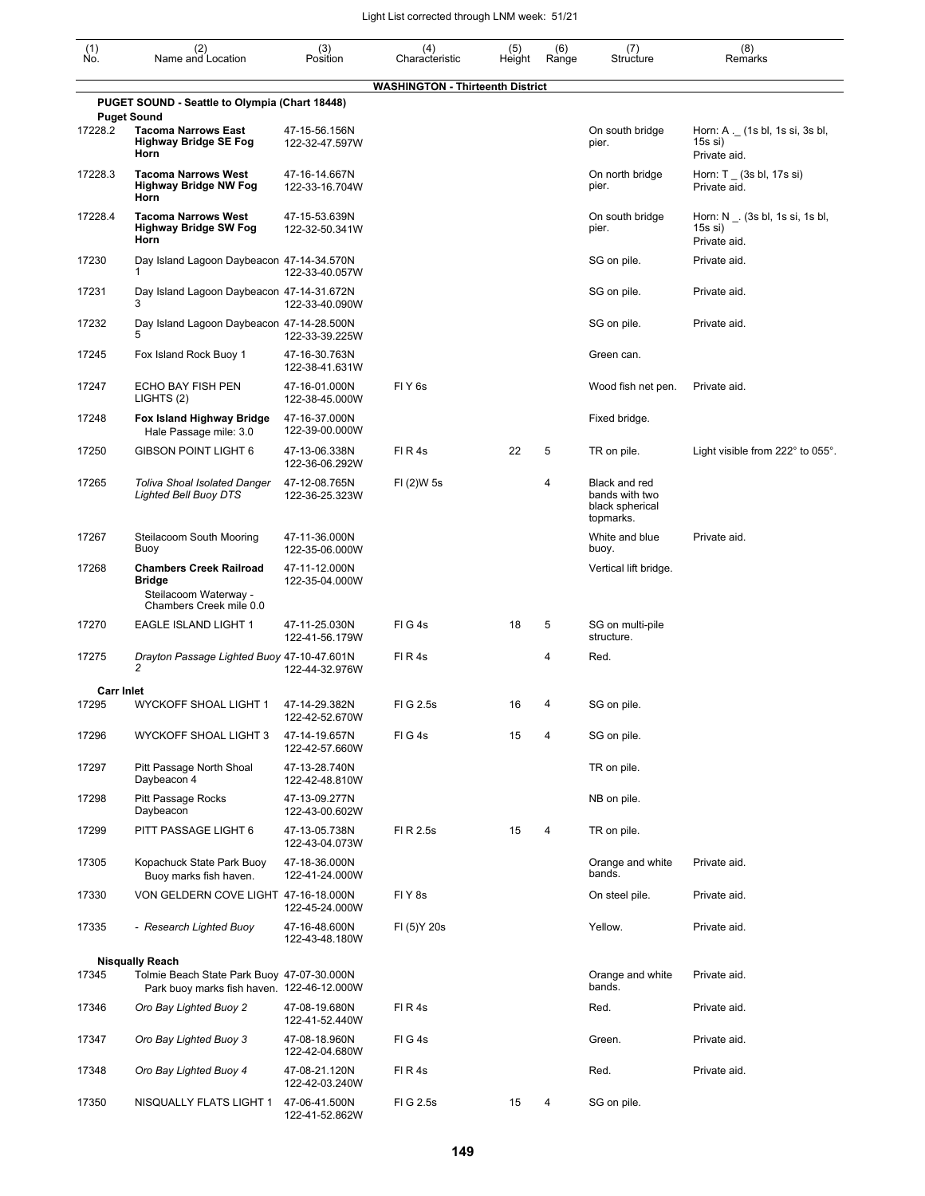| $\begin{smallmatrix} (1) \ N0. \end{smallmatrix}$ | (2)<br>Name and Location                                                                            | (3)<br>Position                 | (4)<br>Characteristic                   | (5)<br>Height | (6)<br>Range | (7)<br>Structure                                                | (8)<br>Remarks                                                  |
|---------------------------------------------------|-----------------------------------------------------------------------------------------------------|---------------------------------|-----------------------------------------|---------------|--------------|-----------------------------------------------------------------|-----------------------------------------------------------------|
|                                                   |                                                                                                     |                                 | <b>WASHINGTON - Thirteenth District</b> |               |              |                                                                 |                                                                 |
|                                                   | PUGET SOUND - Seattle to Olympia (Chart 18448)                                                      |                                 |                                         |               |              |                                                                 |                                                                 |
| 17228.2                                           | <b>Puget Sound</b><br><b>Tacoma Narrows East</b><br><b>Highway Bridge SE Fog</b><br>Horn            | 47-15-56.156N<br>122-32-47.597W |                                         |               |              | On south bridge<br>pier.                                        | Horn: A ._ (1s bl, 1s si, 3s bl,<br>$15s$ si)<br>Private aid.   |
| 17228.3                                           | <b>Tacoma Narrows West</b><br>Highway Bridge NW Fog<br>Horn                                         | 47-16-14.667N<br>122-33-16.704W |                                         |               |              | On north bridge<br>pier.                                        | Horn: $T_$ (3s bl, 17s si)<br>Private aid.                      |
| 17228.4                                           | <b>Tacoma Narrows West</b><br>Highway Bridge SW Fog<br>Horn                                         | 47-15-53.639N<br>122-32-50.341W |                                         |               |              | On south bridge<br>pier.                                        | Horn: N $\_$ . (3s bl, 1s si, 1s bl,<br>15s si)<br>Private aid. |
| 17230                                             | Day Island Lagoon Daybeacon 47-14-34.570N<br>1                                                      | 122-33-40.057W                  |                                         |               |              | SG on pile.                                                     | Private aid.                                                    |
| 17231                                             | Day Island Lagoon Daybeacon 47-14-31.672N<br>3                                                      | 122-33-40.090W                  |                                         |               |              | SG on pile.                                                     | Private aid.                                                    |
| 17232                                             | Day Island Lagoon Daybeacon 47-14-28.500N<br>5                                                      | 122-33-39.225W                  |                                         |               |              | SG on pile.                                                     | Private aid.                                                    |
| 17245                                             | Fox Island Rock Buoy 1                                                                              | 47-16-30.763N<br>122-38-41.631W |                                         |               |              | Green can.                                                      |                                                                 |
| 17247                                             | ECHO BAY FISH PEN<br>LIGHTS (2)                                                                     | 47-16-01.000N<br>122-38-45.000W | FIY <sub>6s</sub>                       |               |              | Wood fish net pen.                                              | Private aid.                                                    |
| 17248                                             | Fox Island Highway Bridge<br>Hale Passage mile: 3.0                                                 | 47-16-37.000N<br>122-39-00.000W |                                         |               |              | Fixed bridge.                                                   |                                                                 |
| 17250                                             | <b>GIBSON POINT LIGHT 6</b>                                                                         | 47-13-06.338N<br>122-36-06.292W | FIR4s                                   | 22            | 5            | TR on pile.                                                     | Light visible from $222^{\circ}$ to $055^{\circ}$ .             |
| 17265                                             | <b>Toliva Shoal Isolated Danger</b><br><b>Lighted Bell Buoy DTS</b>                                 | 47-12-08.765N<br>122-36-25.323W | FI (2)W 5s                              |               | 4            | Black and red<br>bands with two<br>black spherical<br>topmarks. |                                                                 |
| 17267                                             | Steilacoom South Mooring<br>Buoy                                                                    | 47-11-36.000N<br>122-35-06.000W |                                         |               |              | White and blue<br>buoy.                                         | Private aid.                                                    |
| 17268                                             | <b>Chambers Creek Railroad</b><br><b>Bridge</b><br>Steilacoom Waterway -<br>Chambers Creek mile 0.0 | 47-11-12.000N<br>122-35-04.000W |                                         |               |              | Vertical lift bridge.                                           |                                                                 |
| 17270                                             | <b>EAGLE ISLAND LIGHT 1</b>                                                                         | 47-11-25.030N<br>122-41-56.179W | FIG4s                                   | 18            | 5            | SG on multi-pile<br>structure.                                  |                                                                 |
| 17275                                             | Drayton Passage Lighted Buoy 47-10-47.601N<br>2                                                     | 122-44-32.976W                  | FIR4s                                   |               | 4            | Red.                                                            |                                                                 |
| <b>Carr Inlet</b>                                 |                                                                                                     |                                 |                                         |               |              |                                                                 |                                                                 |
| 17295                                             | <b>WYCKOFF SHOAL LIGHT 1</b>                                                                        | 47-14-29.382N<br>122-42-52.670W | FIG 2.5s                                | 16            | 4            | SG on pile.                                                     |                                                                 |
| 17296                                             | WYCKOFF SHOAL LIGHT 3                                                                               | 47-14-19.657N<br>122-42-57.660W | FIG4s                                   | 15            | 4            | SG on pile.                                                     |                                                                 |
| 17297                                             | Pitt Passage North Shoal<br>Daybeacon 4                                                             | 47-13-28.740N<br>122-42-48.810W |                                         |               |              | TR on pile.                                                     |                                                                 |
| 17298                                             | <b>Pitt Passage Rocks</b><br>Daybeacon                                                              | 47-13-09.277N<br>122-43-00.602W |                                         |               |              | NB on pile.                                                     |                                                                 |
| 17299                                             | PITT PASSAGE LIGHT 6                                                                                | 47-13-05.738N<br>122-43-04.073W | FI R 2.5s                               | 15            | 4            | TR on pile.                                                     |                                                                 |
| 17305                                             | Kopachuck State Park Buoy<br>Buoy marks fish haven.                                                 | 47-18-36.000N<br>122-41-24.000W |                                         |               |              | Orange and white<br>bands.                                      | Private aid.                                                    |
| 17330                                             | VON GELDERN COVE LIGHT 47-16-18.000N                                                                | 122-45-24.000W                  | FIY8s                                   |               |              | On steel pile.                                                  | Private aid.                                                    |
| 17335                                             | - Research Lighted Buoy                                                                             | 47-16-48.600N<br>122-43-48.180W | FI (5) Y 20s                            |               |              | Yellow.                                                         | Private aid.                                                    |
|                                                   | <b>Nisqually Reach</b>                                                                              |                                 |                                         |               |              |                                                                 |                                                                 |
| 17345                                             | Tolmie Beach State Park Buoy 47-07-30.000N<br>Park buoy marks fish haven. 122-46-12.000W            |                                 |                                         |               |              | Orange and white<br>bands.                                      | Private aid.                                                    |
| 17346                                             | Oro Bay Lighted Buoy 2                                                                              | 47-08-19.680N<br>122-41-52.440W | FI R 4s                                 |               |              | Red.                                                            | Private aid.                                                    |
| 17347                                             | Oro Bay Lighted Buoy 3                                                                              | 47-08-18.960N<br>122-42-04.680W | FIG4s                                   |               |              | Green.                                                          | Private aid.                                                    |
| 17348                                             | Oro Bay Lighted Buoy 4                                                                              | 47-08-21.120N<br>122-42-03.240W | FIR4s                                   |               |              | Red.                                                            | Private aid.                                                    |
| 17350                                             | NISQUALLY FLATS LIGHT 1                                                                             | 47-06-41.500N<br>122-41-52.862W | FIG 2.5s                                | 15            | 4            | SG on pile.                                                     |                                                                 |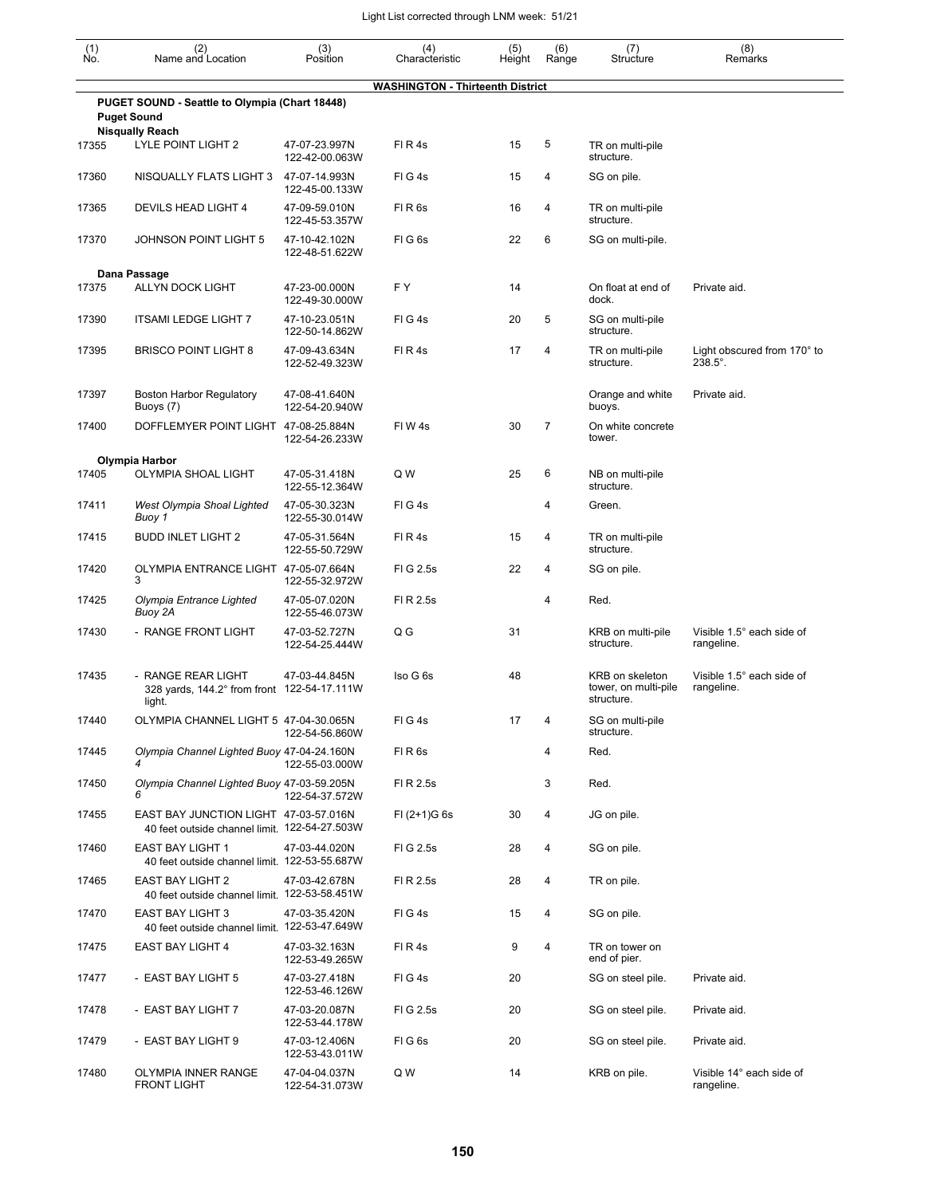| (1)<br>Ńó. | (2)<br>Name and Location                                                               | (3)<br>Position                 | (4)<br>Characteristic                   | (5)<br>Height | (6)<br>Range   | (7)<br>Structure                                      | (8)<br>Remarks                                   |
|------------|----------------------------------------------------------------------------------------|---------------------------------|-----------------------------------------|---------------|----------------|-------------------------------------------------------|--------------------------------------------------|
|            |                                                                                        |                                 | <b>WASHINGTON - Thirteenth District</b> |               |                |                                                       |                                                  |
|            | PUGET SOUND - Seattle to Olympia (Chart 18448)<br><b>Puget Sound</b>                   |                                 |                                         |               |                |                                                       |                                                  |
| 17355      | <b>Nisqually Reach</b><br>LYLE POINT LIGHT 2                                           | 47-07-23.997N<br>122-42-00.063W | FI R 4s                                 | 15            | 5              | TR on multi-pile<br>structure.                        |                                                  |
| 17360      | NISQUALLY FLATS LIGHT 3                                                                | 47-07-14.993N<br>122-45-00.133W | FIG4s                                   | 15            | 4              | SG on pile.                                           |                                                  |
| 17365      | DEVILS HEAD LIGHT 4                                                                    | 47-09-59.010N<br>122-45-53.357W | FIR <sub>6s</sub>                       | 16            | 4              | TR on multi-pile<br>structure.                        |                                                  |
| 17370      | JOHNSON POINT LIGHT 5                                                                  | 47-10-42.102N<br>122-48-51.622W | FIG <sub>6s</sub>                       | 22            | 6              | SG on multi-pile.                                     |                                                  |
|            | Dana Passage                                                                           |                                 |                                         |               |                |                                                       |                                                  |
| 17375      | <b>ALLYN DOCK LIGHT</b>                                                                | 47-23-00.000N<br>122-49-30.000W | FY                                      | 14            |                | On float at end of<br>dock.                           | Private aid.                                     |
| 17390      | <b>ITSAMI LEDGE LIGHT 7</b>                                                            | 47-10-23.051N<br>122-50-14.862W | FIG4s                                   | 20            | 5              | SG on multi-pile<br>structure.                        |                                                  |
| 17395      | <b>BRISCO POINT LIGHT 8</b>                                                            | 47-09-43.634N<br>122-52-49.323W | FI R 4s                                 | 17            | 4              | TR on multi-pile<br>structure.                        | Light obscured from 170° to<br>$238.5^{\circ}$ . |
| 17397      | <b>Boston Harbor Regulatory</b><br>Buoys (7)                                           | 47-08-41.640N<br>122-54-20.940W |                                         |               |                | Orange and white<br>buoys.                            | Private aid.                                     |
| 17400      | DOFFLEMYER POINT LIGHT 47-08-25.884N                                                   | 122-54-26.233W                  | FIW <sub>4s</sub>                       | 30            | $\overline{7}$ | On white concrete<br>tower.                           |                                                  |
|            | Olympia Harbor                                                                         |                                 |                                         |               |                |                                                       |                                                  |
| 17405      | OLYMPIA SHOAL LIGHT                                                                    | 47-05-31.418N<br>122-55-12.364W | Q W                                     | 25            | 6              | NB on multi-pile<br>structure.                        |                                                  |
| 17411      | West Olympia Shoal Lighted<br>Buoy 1                                                   | 47-05-30.323N<br>122-55-30.014W | FIG4s                                   |               | 4              | Green.                                                |                                                  |
| 17415      | <b>BUDD INLET LIGHT 2</b>                                                              | 47-05-31.564N<br>122-55-50.729W | FIR4s                                   | 15            | 4              | TR on multi-pile<br>structure.                        |                                                  |
| 17420      | OLYMPIA ENTRANCE LIGHT 47-05-07.664N<br>3                                              | 122-55-32.972W                  | FIG 2.5s                                | 22            | 4              | SG on pile.                                           |                                                  |
| 17425      | Olympia Entrance Lighted<br>Buoy 2A                                                    | 47-05-07.020N<br>122-55-46.073W | FI R 2.5s                               |               | 4              | Red.                                                  |                                                  |
| 17430      | - RANGE FRONT LIGHT                                                                    | 47-03-52.727N<br>122-54-25.444W | $Q$ $G$                                 | 31            |                | KRB on multi-pile<br>structure.                       | Visible 1.5° each side of<br>rangeline.          |
| 17435      | - RANGE REAR LIGHT<br>328 yards, 144.2° from front 122-54-17.111W<br>light.            | 47-03-44.845N                   | Iso G 6s                                | 48            |                | KRB on skeleton<br>tower, on multi-pile<br>structure. | Visible 1.5° each side of<br>rangeline.          |
| 17440      | OLYMPIA CHANNEL LIGHT 5 47-04-30.065N                                                  | 122-54-56.860W                  | FIG4s                                   | 17            | 4              | SG on multi-pile<br>structure.                        |                                                  |
| 17445      | Olympia Channel Lighted Buoy 47-04-24.160N<br>4                                        | 122-55-03.000W                  | FIR <sub>6s</sub>                       |               | 4              | Red.                                                  |                                                  |
| 17450      | Olympia Channel Lighted Buoy 47-03-59.205N                                             | 122-54-37.572W                  | FI R 2.5s                               |               | 3              | Red.                                                  |                                                  |
| 17455      | EAST BAY JUNCTION LIGHT 47-03-57.016N<br>40 feet outside channel limit. 122-54-27.503W |                                 | $FI (2+1)G 6s$                          | 30            | 4              | JG on pile.                                           |                                                  |
| 17460      | <b>EAST BAY LIGHT 1</b><br>40 feet outside channel limit. 122-53-55.687W               | 47-03-44.020N                   | FIG 2.5s                                | 28            | 4              | SG on pile.                                           |                                                  |
| 17465      | EAST BAY LIGHT 2<br>40 feet outside channel limit. 122-53-58.451W                      | 47-03-42.678N                   | FI R 2.5s                               | 28            | 4              | TR on pile.                                           |                                                  |
| 17470      | <b>EAST BAY LIGHT 3</b><br>40 feet outside channel limit. 122-53-47.649W               | 47-03-35.420N                   | FIG4s                                   | 15            | 4              | SG on pile.                                           |                                                  |
| 17475      | EAST BAY LIGHT 4                                                                       | 47-03-32.163N<br>122-53-49.265W | FIR4s                                   | 9             | 4              | TR on tower on<br>end of pier.                        |                                                  |
| 17477      | - EAST BAY LIGHT 5                                                                     | 47-03-27.418N<br>122-53-46.126W | FIG4s                                   | 20            |                | SG on steel pile.                                     | Private aid.                                     |
| 17478      | - EAST BAY LIGHT 7                                                                     | 47-03-20.087N<br>122-53-44.178W | FIG 2.5s                                | 20            |                | SG on steel pile.                                     | Private aid.                                     |
| 17479      | - EAST BAY LIGHT 9                                                                     | 47-03-12.406N<br>122-53-43.011W | FIG6s                                   | 20            |                | SG on steel pile.                                     | Private aid.                                     |
| 17480      | OLYMPIA INNER RANGE<br><b>FRONT LIGHT</b>                                              | 47-04-04.037N<br>122-54-31.073W | Q W                                     | 14            |                | KRB on pile.                                          | Visible 14° each side of<br>rangeline.           |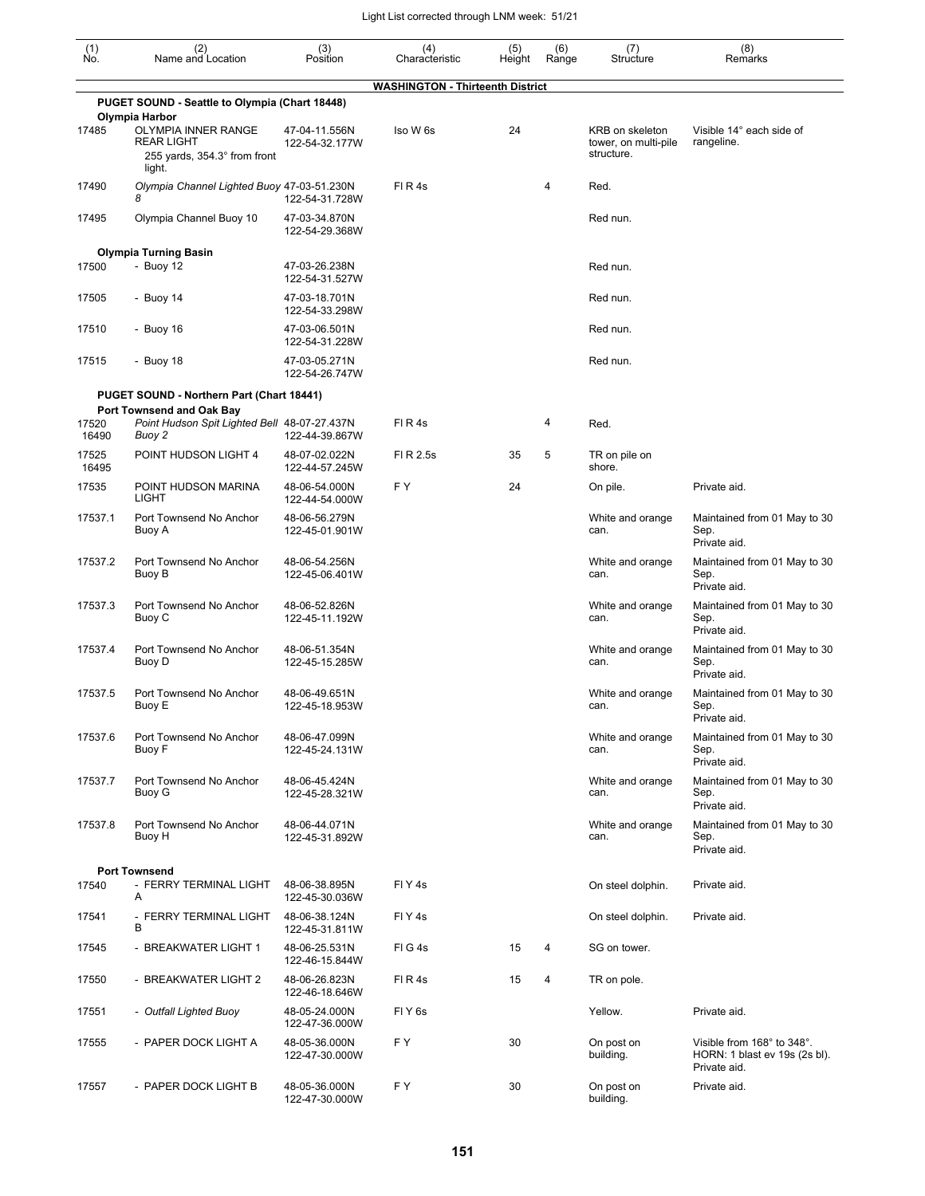| (1)<br>No.     | (2)<br>Name and Location                                                                  | (3)<br>Position                 | (4)<br>Characteristic                   | (5)<br>Height | (6)<br>Range | (7)<br>Structure                                      | (8)<br>Remarks                                                              |
|----------------|-------------------------------------------------------------------------------------------|---------------------------------|-----------------------------------------|---------------|--------------|-------------------------------------------------------|-----------------------------------------------------------------------------|
|                |                                                                                           |                                 | <b>WASHINGTON - Thirteenth District</b> |               |              |                                                       |                                                                             |
|                | PUGET SOUND - Seattle to Olympia (Chart 18448)<br>Olympia Harbor                          |                                 |                                         |               |              |                                                       |                                                                             |
| 17485          | <b>OLYMPIA INNER RANGE</b><br><b>REAR LIGHT</b><br>255 yards, 354.3° from front<br>light. | 47-04-11.556N<br>122-54-32.177W | Iso W 6s                                | 24            |              | KRB on skeleton<br>tower, on multi-pile<br>structure. | Visible 14° each side of<br>rangeline.                                      |
| 17490          | Olympia Channel Lighted Buoy 47-03-51.230N<br>8                                           | 122-54-31.728W                  | FIR4s                                   |               | 4            | Red.                                                  |                                                                             |
| 17495          | Olympia Channel Buoy 10                                                                   | 47-03-34.870N<br>122-54-29.368W |                                         |               |              | Red nun.                                              |                                                                             |
|                | <b>Olympia Turning Basin</b>                                                              |                                 |                                         |               |              |                                                       |                                                                             |
| 17500          | $-$ Buoy 12                                                                               | 47-03-26.238N<br>122-54-31.527W |                                         |               |              | Red nun.                                              |                                                                             |
| 17505          | - Buoy 14                                                                                 | 47-03-18.701N<br>122-54-33.298W |                                         |               |              | Red nun.                                              |                                                                             |
| 17510          | - Buoy 16                                                                                 | 47-03-06.501N<br>122-54-31.228W |                                         |               |              | Red nun.                                              |                                                                             |
| 17515          | - Buoy 18                                                                                 | 47-03-05.271N<br>122-54-26.747W |                                         |               |              | Red nun.                                              |                                                                             |
|                | PUGET SOUND - Northern Part (Chart 18441)                                                 |                                 |                                         |               |              |                                                       |                                                                             |
|                | Port Townsend and Oak Bay                                                                 |                                 | FIR4s                                   |               | 4            |                                                       |                                                                             |
| 17520<br>16490 | Point Hudson Spit Lighted Bell 48-07-27.437N<br>Buoy 2                                    | 122-44-39.867W                  |                                         |               |              | Red.                                                  |                                                                             |
| 17525<br>16495 | POINT HUDSON LIGHT 4                                                                      | 48-07-02.022N<br>122-44-57.245W | FI R 2.5s                               | 35            | 5            | TR on pile on<br>shore.                               |                                                                             |
| 17535          | POINT HUDSON MARINA<br><b>LIGHT</b>                                                       | 48-06-54.000N<br>122-44-54.000W | F Y                                     | 24            |              | On pile.                                              | Private aid.                                                                |
| 17537.1        | Port Townsend No Anchor<br>Buoy A                                                         | 48-06-56.279N<br>122-45-01.901W |                                         |               |              | White and orange<br>can.                              | Maintained from 01 May to 30<br>Sep.<br>Private aid.                        |
| 17537.2        | Port Townsend No Anchor<br>Buoy B                                                         | 48-06-54.256N<br>122-45-06.401W |                                         |               |              | White and orange<br>can.                              | Maintained from 01 May to 30<br>Sep.<br>Private aid.                        |
| 17537.3        | Port Townsend No Anchor<br>Buoy C                                                         | 48-06-52.826N<br>122-45-11.192W |                                         |               |              | White and orange<br>can.                              | Maintained from 01 May to 30<br>Sep.<br>Private aid.                        |
| 17537.4        | Port Townsend No Anchor<br>Buoy D                                                         | 48-06-51.354N<br>122-45-15.285W |                                         |               |              | White and orange<br>can.                              | Maintained from 01 May to 30<br>Sep.<br>Private aid.                        |
| 17537.5        | Port Townsend No Anchor<br>Buoy E                                                         | 48-06-49.651N<br>122-45-18.953W |                                         |               |              | White and orange<br>can.                              | Maintained from 01 May to 30<br>Sep.<br>Private aid.                        |
| 17537.6        | Port Townsend No Anchor<br>Buoy F                                                         | 48-06-47.099N<br>122-45-24.131W |                                         |               |              | White and orange<br>can.                              | Maintained from 01 May to 30<br>Sep.<br>Private aid.                        |
| 17537.7        | Port Townsend No Anchor<br>Buoy G                                                         | 48-06-45.424N<br>122-45-28.321W |                                         |               |              | White and orange<br>can.                              | Maintained from 01 May to 30<br>Sep.<br>Private aid.                        |
| 17537.8        | Port Townsend No Anchor<br>Buoy H                                                         | 48-06-44.071N<br>122-45-31.892W |                                         |               |              | White and orange<br>can.                              | Maintained from 01 May to 30<br>Sep.<br>Private aid.                        |
|                | <b>Port Townsend</b>                                                                      |                                 |                                         |               |              |                                                       |                                                                             |
| 17540          | - FERRY TERMINAL LIGHT<br>Α                                                               | 48-06-38.895N<br>122-45-30.036W | FIY <sub>4s</sub>                       |               |              | On steel dolphin.                                     | Private aid.                                                                |
| 17541          | - FERRY TERMINAL LIGHT<br>в                                                               | 48-06-38.124N<br>122-45-31.811W | FIY <sub>4</sub> s                      |               |              | On steel dolphin.                                     | Private aid.                                                                |
| 17545          | - BREAKWATER LIGHT 1                                                                      | 48-06-25.531N<br>122-46-15.844W | FIG4s                                   | 15            | 4            | SG on tower.                                          |                                                                             |
| 17550          | - BREAKWATER LIGHT 2                                                                      | 48-06-26.823N<br>122-46-18.646W | FIR4s                                   | 15            | 4            | TR on pole.                                           |                                                                             |
| 17551          | - Outfall Lighted Buoy                                                                    | 48-05-24.000N<br>122-47-36.000W | FIY <sub>6s</sub>                       |               |              | Yellow.                                               | Private aid.                                                                |
| 17555          | - PAPER DOCK LIGHT A                                                                      | 48-05-36.000N<br>122-47-30.000W | F Y                                     | 30            |              | On post on<br>building.                               | Visible from 168° to 348°.<br>HORN: 1 blast ev 19s (2s bl).<br>Private aid. |
| 17557          | - PAPER DOCK LIGHT B                                                                      | 48-05-36.000N<br>122-47-30.000W | FΥ                                      | 30            |              | On post on<br>building.                               | Private aid.                                                                |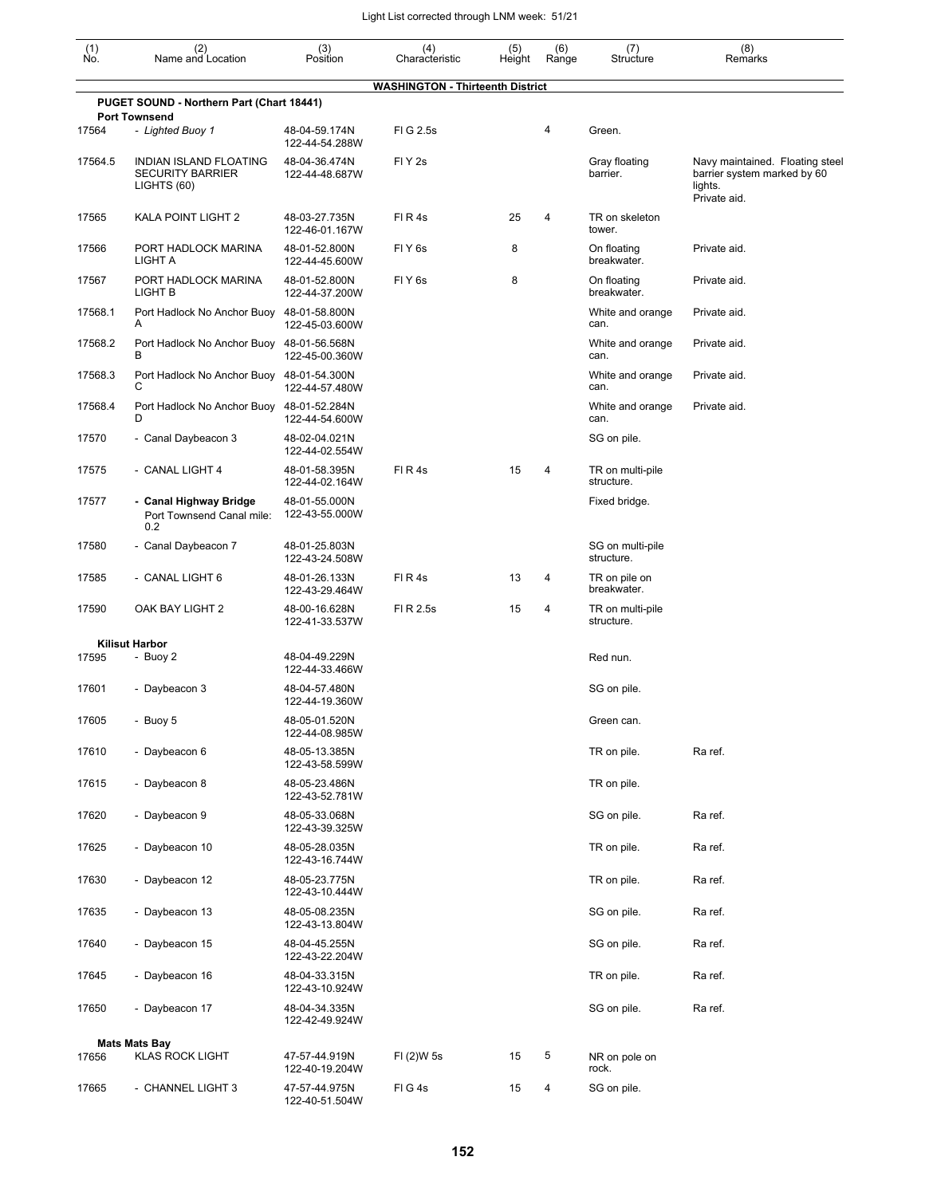| (1)<br>Ño. | (2)<br>Name and Location                                         | (3)<br>Position                 | (4)<br>Characteristic                   | (5)<br>Height | (6)<br>Range | (7)<br>Structure               | (8)<br>Remarks                                                                            |
|------------|------------------------------------------------------------------|---------------------------------|-----------------------------------------|---------------|--------------|--------------------------------|-------------------------------------------------------------------------------------------|
|            |                                                                  |                                 | <b>WASHINGTON - Thirteenth District</b> |               |              |                                |                                                                                           |
|            | PUGET SOUND - Northern Part (Chart 18441)                        |                                 |                                         |               |              |                                |                                                                                           |
| 17564      | <b>Port Townsend</b><br>- Lighted Buoy 1                         | 48-04-59.174N<br>122-44-54.288W | FIG 2.5s                                |               | 4            | Green.                         |                                                                                           |
| 17564.5    | INDIAN ISLAND FLOATING<br><b>SECURITY BARRIER</b><br>LIGHTS (60) | 48-04-36.474N<br>122-44-48.687W | FIY <sub>2s</sub>                       |               |              | Gray floating<br>barrier.      | Navy maintained. Floating steel<br>barrier system marked by 60<br>lights.<br>Private aid. |
| 17565      | KALA POINT LIGHT 2                                               | 48-03-27.735N<br>122-46-01.167W | FIR4s                                   | 25            | 4            | TR on skeleton<br>tower.       |                                                                                           |
| 17566      | PORT HADLOCK MARINA<br>LIGHT A                                   | 48-01-52.800N<br>122-44-45.600W | FIY <sub>6s</sub>                       | 8             |              | On floating<br>breakwater.     | Private aid.                                                                              |
| 17567      | PORT HADLOCK MARINA<br>LIGHT B                                   | 48-01-52.800N<br>122-44-37.200W | FIY <sub>6s</sub>                       | 8             |              | On floating<br>breakwater.     | Private aid.                                                                              |
| 17568.1    | Port Hadlock No Anchor Buoy 48-01-58.800N<br>A                   | 122-45-03.600W                  |                                         |               |              | White and orange<br>can.       | Private aid.                                                                              |
| 17568.2    | Port Hadlock No Anchor Buoy 48-01-56.568N<br>В                   | 122-45-00.360W                  |                                         |               |              | White and orange<br>can.       | Private aid.                                                                              |
| 17568.3    | Port Hadlock No Anchor Buoy 48-01-54.300N<br>С                   | 122-44-57.480W                  |                                         |               |              | White and orange<br>can.       | Private aid.                                                                              |
| 17568.4    | Port Hadlock No Anchor Buoy 48-01-52.284N<br>D                   | 122-44-54.600W                  |                                         |               |              | White and orange<br>can.       | Private aid.                                                                              |
| 17570      | - Canal Daybeacon 3                                              | 48-02-04.021N<br>122-44-02.554W |                                         |               |              | SG on pile.                    |                                                                                           |
| 17575      | - CANAL LIGHT 4                                                  | 48-01-58.395N<br>122-44-02.164W | FIR4s                                   | 15            | 4            | TR on multi-pile<br>structure. |                                                                                           |
| 17577      | - Canal Highway Bridge<br>Port Townsend Canal mile:<br>0.2       | 48-01-55.000N<br>122-43-55.000W |                                         |               |              | Fixed bridge.                  |                                                                                           |
| 17580      | - Canal Daybeacon 7                                              | 48-01-25.803N<br>122-43-24.508W |                                         |               |              | SG on multi-pile<br>structure. |                                                                                           |
| 17585      | - CANAL LIGHT 6                                                  | 48-01-26.133N<br>122-43-29.464W | FIR4s                                   | 13            | 4            | TR on pile on<br>breakwater.   |                                                                                           |
| 17590      | OAK BAY LIGHT 2                                                  | 48-00-16.628N<br>122-41-33.537W | FI R 2.5s                               | 15            | 4            | TR on multi-pile<br>structure. |                                                                                           |
|            | <b>Kilisut Harbor</b>                                            |                                 |                                         |               |              |                                |                                                                                           |
| 17595      | - Buoy 2                                                         | 48-04-49.229N<br>122-44-33.466W |                                         |               |              | Red nun.                       |                                                                                           |
| 17601      | - Daybeacon 3                                                    | 48-04-57.480N<br>122-44-19.360W |                                         |               |              | SG on pile.                    |                                                                                           |
| 17605      | - Buoy 5                                                         | 48-05-01.520N<br>122-44-08.985W |                                         |               |              | Green can.                     |                                                                                           |
| 17610      | - Daybeacon 6                                                    | 48-05-13.385N<br>122-43-58.599W |                                         |               |              | TR on pile.                    | Ra ref.                                                                                   |
| 17615      | - Daybeacon 8                                                    | 48-05-23.486N<br>122-43-52.781W |                                         |               |              | TR on pile.                    |                                                                                           |
| 17620      | - Daybeacon 9                                                    | 48-05-33.068N<br>122-43-39.325W |                                         |               |              | SG on pile.                    | Ra ref.                                                                                   |
| 17625      | - Daybeacon 10                                                   | 48-05-28.035N<br>122-43-16.744W |                                         |               |              | TR on pile.                    | Ra ref.                                                                                   |
| 17630      | - Daybeacon 12                                                   | 48-05-23.775N<br>122-43-10.444W |                                         |               |              | TR on pile.                    | Ra ref.                                                                                   |
| 17635      | - Daybeacon 13                                                   | 48-05-08.235N<br>122-43-13.804W |                                         |               |              | SG on pile.                    | Ra ref.                                                                                   |
| 17640      | - Daybeacon 15                                                   | 48-04-45.255N<br>122-43-22.204W |                                         |               |              | SG on pile.                    | Ra ref.                                                                                   |
| 17645      | - Daybeacon 16                                                   | 48-04-33.315N<br>122-43-10.924W |                                         |               |              | TR on pile.                    | Ra ref.                                                                                   |
| 17650      | - Daybeacon 17                                                   | 48-04-34.335N<br>122-42-49.924W |                                         |               |              | SG on pile.                    | Ra ref.                                                                                   |
|            | <b>Mats Mats Bay</b>                                             |                                 |                                         |               |              |                                |                                                                                           |
| 17656      | <b>KLAS ROCK LIGHT</b>                                           | 47-57-44.919N<br>122-40-19.204W | FI (2)W 5s                              | 15            | 5            | NR on pole on<br>rock.         |                                                                                           |
| 17665      | - CHANNEL LIGHT 3                                                | 47-57-44.975N<br>122-40-51.504W | FIG4s                                   | 15            | 4            | SG on pile.                    |                                                                                           |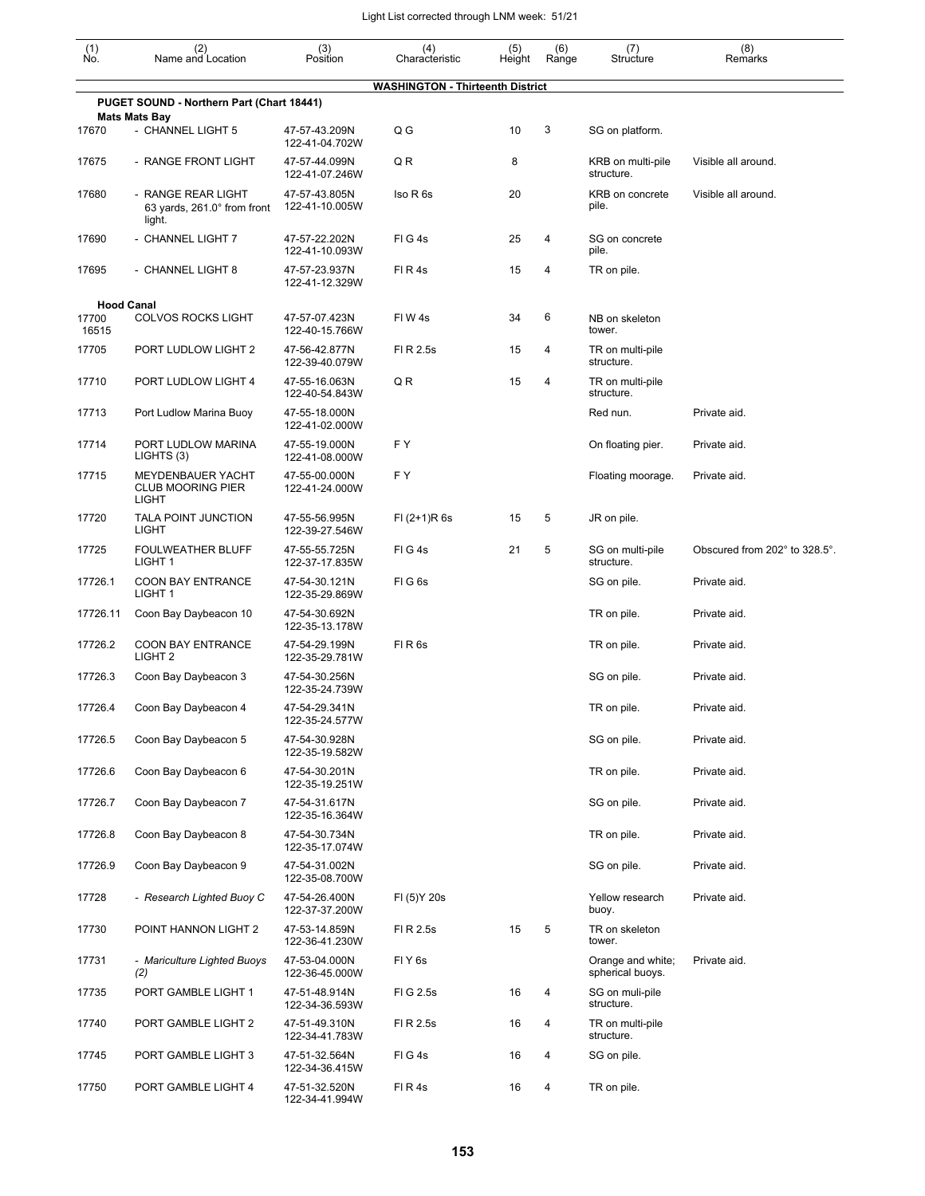| $\begin{smallmatrix} (1) \\ \mathsf{No} \end{smallmatrix}$ | (2)<br>Name and Location                                      | (3)<br>Position                 | (4)<br>Characteristic                   | (5)<br>Height | (6)<br>Range | (7)<br>Structure                      | (8)<br>Remarks                |
|------------------------------------------------------------|---------------------------------------------------------------|---------------------------------|-----------------------------------------|---------------|--------------|---------------------------------------|-------------------------------|
|                                                            |                                                               |                                 | <b>WASHINGTON - Thirteenth District</b> |               |              |                                       |                               |
|                                                            | PUGET SOUND - Northern Part (Chart 18441)                     |                                 |                                         |               |              |                                       |                               |
| 17670                                                      | <b>Mats Mats Bay</b><br>- CHANNEL LIGHT 5                     | 47-57-43.209N<br>122-41-04.702W | Q G                                     | 10            | 3            | SG on platform.                       |                               |
| 17675                                                      | - RANGE FRONT LIGHT                                           | 47-57-44.099N<br>122-41-07.246W | QR                                      | 8             |              | KRB on multi-pile<br>structure.       | Visible all around.           |
| 17680                                                      | - RANGE REAR LIGHT<br>63 yards, 261.0° from front<br>light.   | 47-57-43.805N<br>122-41-10.005W | Iso R 6s                                | 20            |              | KRB on concrete<br>pile.              | Visible all around.           |
| 17690                                                      | - CHANNEL LIGHT 7                                             | 47-57-22.202N<br>122-41-10.093W | FIG4s                                   | 25            | 4            | SG on concrete<br>pile.               |                               |
| 17695                                                      | - CHANNEL LIGHT 8                                             | 47-57-23.937N<br>122-41-12.329W | FIR4s                                   | 15            | 4            | TR on pile.                           |                               |
|                                                            | <b>Hood Canal</b>                                             |                                 |                                         |               |              |                                       |                               |
| 17700<br>16515                                             | <b>COLVOS ROCKS LIGHT</b>                                     | 47-57-07.423N<br>122-40-15.766W | FIW4s                                   | 34            | 6            | NB on skeleton<br>tower.              |                               |
| 17705                                                      | PORT LUDLOW LIGHT 2                                           | 47-56-42.877N<br>122-39-40.079W | FI R 2.5s                               | 15            | 4            | TR on multi-pile<br>structure.        |                               |
| 17710                                                      | PORT LUDLOW LIGHT 4                                           | 47-55-16.063N<br>122-40-54.843W | Q R                                     | 15            | 4            | TR on multi-pile<br>structure.        |                               |
| 17713                                                      | Port Ludlow Marina Buoy                                       | 47-55-18.000N<br>122-41-02.000W |                                         |               |              | Red nun.                              | Private aid.                  |
| 17714                                                      | PORT LUDLOW MARINA<br>LIGHTS (3)                              | 47-55-19.000N<br>122-41-08.000W | F Y                                     |               |              | On floating pier.                     | Private aid.                  |
| 17715                                                      | MEYDENBAUER YACHT<br><b>CLUB MOORING PIER</b><br><b>LIGHT</b> | 47-55-00.000N<br>122-41-24.000W | F Y                                     |               |              | Floating moorage.                     | Private aid.                  |
| 17720                                                      | TALA POINT JUNCTION<br><b>LIGHT</b>                           | 47-55-56.995N<br>122-39-27.546W | $FI (2+1)R 6s$                          | 15            | 5            | JR on pile.                           |                               |
| 17725                                                      | FOULWEATHER BLUFF<br>LIGHT <sub>1</sub>                       | 47-55-55.725N<br>122-37-17.835W | FIG4s                                   | 21            | 5            | SG on multi-pile<br>structure.        | Obscured from 202° to 328.5°. |
| 17726.1                                                    | <b>COON BAY ENTRANCE</b><br>LIGHT <sub>1</sub>                | 47-54-30.121N<br>122-35-29.869W | FIG6s                                   |               |              | SG on pile.                           | Private aid.                  |
| 17726.11                                                   | Coon Bay Daybeacon 10                                         | 47-54-30.692N<br>122-35-13.178W |                                         |               |              | TR on pile.                           | Private aid.                  |
| 17726.2                                                    | <b>COON BAY ENTRANCE</b><br>LIGHT <sub>2</sub>                | 47-54-29.199N<br>122-35-29.781W | FIR6s                                   |               |              | TR on pile.                           | Private aid.                  |
| 17726.3                                                    | Coon Bay Daybeacon 3                                          | 47-54-30.256N<br>122-35-24.739W |                                         |               |              | SG on pile.                           | Private aid.                  |
| 17726.4                                                    | Coon Bay Daybeacon 4                                          | 47-54-29.341N<br>122-35-24.577W |                                         |               |              | TR on pile.                           | Private aid.                  |
| 17726.5                                                    | Coon Bay Daybeacon 5                                          | 47-54-30.928N<br>122-35-19.582W |                                         |               |              | SG on pile.                           | Private aid.                  |
| 17726.6                                                    | Coon Bay Daybeacon 6                                          | 47-54-30.201N<br>122-35-19.251W |                                         |               |              | TR on pile.                           | Private aid.                  |
| 17726.7                                                    | Coon Bay Daybeacon 7                                          | 47-54-31.617N<br>122-35-16.364W |                                         |               |              | SG on pile.                           | Private aid.                  |
| 17726.8                                                    | Coon Bay Daybeacon 8                                          | 47-54-30.734N<br>122-35-17.074W |                                         |               |              | TR on pile.                           | Private aid.                  |
| 17726.9                                                    | Coon Bay Daybeacon 9                                          | 47-54-31.002N<br>122-35-08.700W |                                         |               |              | SG on pile.                           | Private aid.                  |
| 17728                                                      | - Research Lighted Buoy C                                     | 47-54-26.400N<br>122-37-37.200W | FI (5) Y 20s                            |               |              | Yellow research<br>buoy.              | Private aid.                  |
| 17730                                                      | POINT HANNON LIGHT 2                                          | 47-53-14.859N<br>122-36-41.230W | FI R 2.5s                               | 15            | 5            | TR on skeleton<br>tower.              |                               |
| 17731                                                      | - Mariculture Lighted Buoys<br>(2)                            | 47-53-04.000N<br>122-36-45.000W | FIY6s                                   |               |              | Orange and white;<br>spherical buoys. | Private aid.                  |
| 17735                                                      | PORT GAMBLE LIGHT 1                                           | 47-51-48.914N<br>122-34-36.593W | FIG 2.5s                                | 16            | 4            | SG on muli-pile<br>structure.         |                               |
| 17740                                                      | PORT GAMBLE LIGHT 2                                           | 47-51-49.310N<br>122-34-41.783W | FI R 2.5s                               | 16            | 4            | TR on multi-pile<br>structure.        |                               |
| 17745                                                      | PORT GAMBLE LIGHT 3                                           | 47-51-32.564N<br>122-34-36.415W | FIG4s                                   | 16            | 4            | SG on pile.                           |                               |
| 17750                                                      | PORT GAMBLE LIGHT 4                                           | 47-51-32.520N<br>122-34-41.994W | FIR4s                                   | 16            | 4            | TR on pile.                           |                               |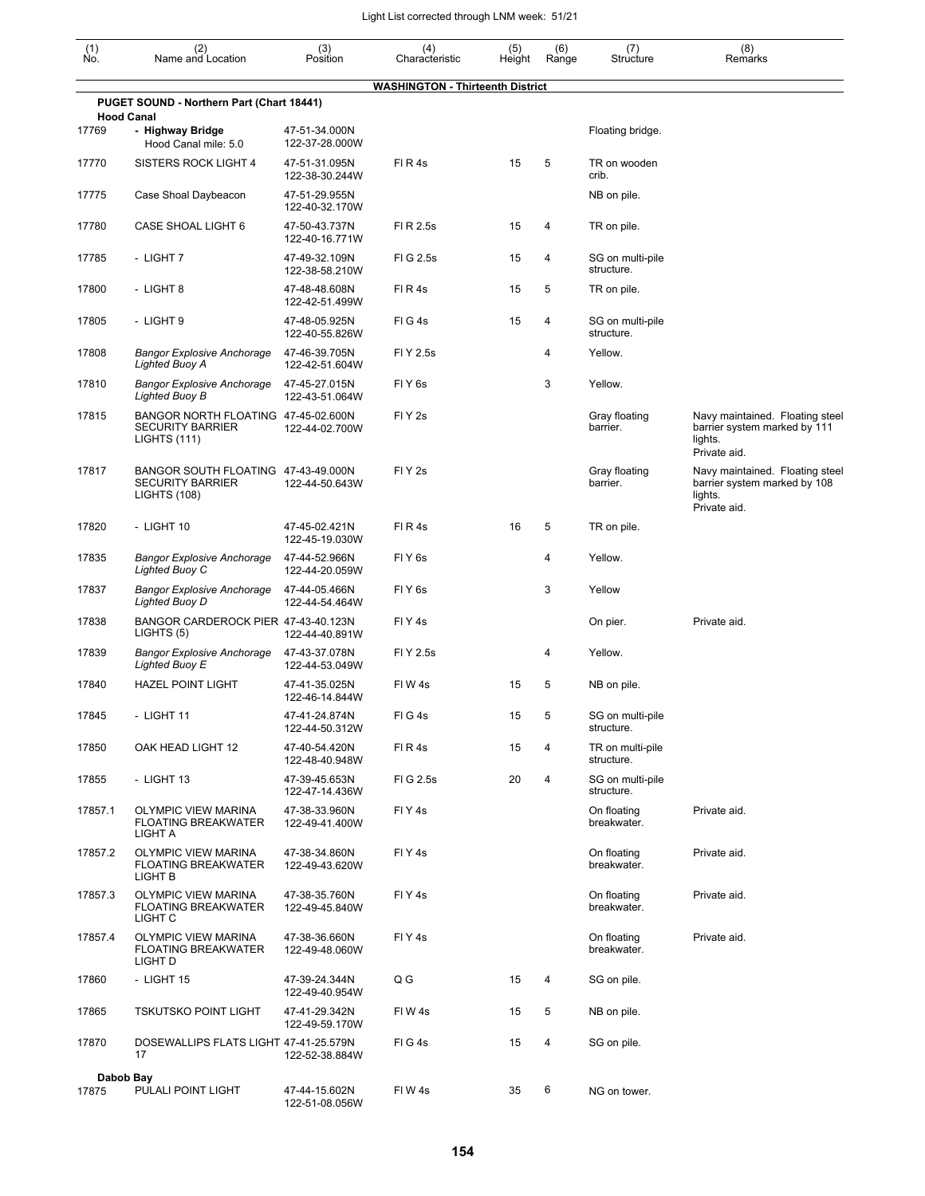| $\begin{smallmatrix} (1) \\ \mathsf{No} \end{smallmatrix}$ | (2)<br>Name and Location                                                              | (3)<br>Position                 | (4)<br>Characteristic                   | (5)<br>Height | (6)<br>Range | (7)<br>Structure               | (8)<br>Remarks                                                                             |
|------------------------------------------------------------|---------------------------------------------------------------------------------------|---------------------------------|-----------------------------------------|---------------|--------------|--------------------------------|--------------------------------------------------------------------------------------------|
|                                                            |                                                                                       |                                 | <b>WASHINGTON - Thirteenth District</b> |               |              |                                |                                                                                            |
| <b>Hood Canal</b>                                          | PUGET SOUND - Northern Part (Chart 18441)                                             |                                 |                                         |               |              |                                |                                                                                            |
| 17769                                                      | - Highway Bridge<br>Hood Canal mile: 5.0                                              | 47-51-34.000N<br>122-37-28.000W |                                         |               |              | Floating bridge.               |                                                                                            |
| 17770                                                      | SISTERS ROCK LIGHT 4                                                                  | 47-51-31.095N<br>122-38-30.244W | FIR4s                                   | 15            | 5            | TR on wooden<br>crib.          |                                                                                            |
| 17775                                                      | Case Shoal Daybeacon                                                                  | 47-51-29.955N<br>122-40-32.170W |                                         |               |              | NB on pile.                    |                                                                                            |
| 17780                                                      | CASE SHOAL LIGHT 6                                                                    | 47-50-43.737N<br>122-40-16.771W | FI R 2.5s                               | 15            | 4            | TR on pile.                    |                                                                                            |
| 17785                                                      | - LIGHT 7                                                                             | 47-49-32.109N<br>122-38-58.210W | FI G 2.5s                               | 15            | 4            | SG on multi-pile<br>structure. |                                                                                            |
| 17800                                                      | - LIGHT 8                                                                             | 47-48-48.608N<br>122-42-51.499W | FIR4s                                   | 15            | 5            | TR on pile.                    |                                                                                            |
| 17805                                                      | - LIGHT 9                                                                             | 47-48-05.925N<br>122-40-55.826W | FIG4s                                   | 15            | 4            | SG on multi-pile<br>structure. |                                                                                            |
| 17808                                                      | <b>Bangor Explosive Anchorage</b><br><b>Lighted Buoy A</b>                            | 47-46-39.705N<br>122-42-51.604W | FI Y 2.5s                               |               | 4            | Yellow.                        |                                                                                            |
| 17810                                                      | <b>Bangor Explosive Anchorage</b><br>Lighted Buoy B                                   | 47-45-27.015N<br>122-43-51.064W | FI Y 6s                                 |               | 3            | Yellow.                        |                                                                                            |
| 17815                                                      | BANGOR NORTH FLOATING 47-45-02.600N<br><b>SECURITY BARRIER</b><br>LIGHTS (111)        | 122-44-02.700W                  | FI Y 2s                                 |               |              | Gray floating<br>barrier.      | Navy maintained. Floating steel<br>barrier system marked by 111<br>lights.<br>Private aid. |
| 17817                                                      | BANGOR SOUTH FLOATING 47-43-49.000N<br><b>SECURITY BARRIER</b><br><b>LIGHTS (108)</b> | 122-44-50.643W                  | FIY <sub>2s</sub>                       |               |              | Gray floating<br>barrier.      | Navy maintained. Floating steel<br>barrier system marked by 108<br>lights.<br>Private aid. |
| 17820                                                      | - LIGHT 10                                                                            | 47-45-02.421N<br>122-45-19.030W | FIR4s                                   | 16            | 5            | TR on pile.                    |                                                                                            |
| 17835                                                      | <b>Bangor Explosive Anchorage</b><br>Lighted Buoy C                                   | 47-44-52.966N<br>122-44-20.059W | FIY <sub>6s</sub>                       |               | 4            | Yellow.                        |                                                                                            |
| 17837                                                      | <b>Bangor Explosive Anchorage</b><br>Lighted Buoy D                                   | 47-44-05.466N<br>122-44-54.464W | FIY <sub>6s</sub>                       |               | 3            | Yellow                         |                                                                                            |
| 17838                                                      | BANGOR CARDEROCK PIER 47-43-40.123N<br>LIGHTS (5)                                     | 122-44-40.891W                  | FIY <sub>4s</sub>                       |               |              | On pier.                       | Private aid.                                                                               |
| 17839                                                      | <b>Bangor Explosive Anchorage</b><br><b>Lighted Buoy E</b>                            | 47-43-37.078N<br>122-44-53.049W | FI Y 2.5s                               |               | 4            | Yellow.                        |                                                                                            |
| 17840                                                      | <b>HAZEL POINT LIGHT</b>                                                              | 47-41-35.025N<br>122-46-14.844W | FIW4s                                   | 15            | 5            | NB on pile.                    |                                                                                            |
| 17845                                                      | - LIGHT 11                                                                            | 47-41-24.874N<br>122-44-50.312W | FIG4s                                   | 15            | 5            | SG on multi-pile<br>structure. |                                                                                            |
| 17850                                                      | OAK HEAD LIGHT 12                                                                     | 47-40-54.420N<br>122-48-40.948W | FIR4s                                   | 15            | 4            | TR on multi-pile<br>structure. |                                                                                            |
| 17855                                                      | - LIGHT 13                                                                            | 47-39-45.653N<br>122-47-14.436W | FIG 2.5s                                | 20            | 4            | SG on multi-pile<br>structure. |                                                                                            |
| 17857.1                                                    | <b>OLYMPIC VIEW MARINA</b><br><b>FLOATING BREAKWATER</b><br>LIGHT A                   | 47-38-33.960N<br>122-49-41.400W | FIY <sub>4s</sub>                       |               |              | On floating<br>breakwater.     | Private aid.                                                                               |
| 17857.2                                                    | OLYMPIC VIEW MARINA<br><b>FLOATING BREAKWATER</b><br>LIGHT B                          | 47-38-34.860N<br>122-49-43.620W | FIY <sub>4s</sub>                       |               |              | On floating<br>breakwater.     | Private aid.                                                                               |
| 17857.3                                                    | <b>OLYMPIC VIEW MARINA</b><br><b>FLOATING BREAKWATER</b><br>LIGHT C                   | 47-38-35.760N<br>122-49-45.840W | FIY <sub>4s</sub>                       |               |              | On floating<br>breakwater.     | Private aid.                                                                               |
| 17857.4                                                    | <b>OLYMPIC VIEW MARINA</b><br><b>FLOATING BREAKWATER</b><br>LIGHT D                   | 47-38-36.660N<br>122-49-48.060W | FIY <sub>4s</sub>                       |               |              | On floating<br>breakwater.     | Private aid.                                                                               |
| 17860                                                      | - LIGHT 15                                                                            | 47-39-24.344N<br>122-49-40.954W | Q G                                     | 15            | 4            | SG on pile.                    |                                                                                            |
| 17865                                                      | TSKUTSKO POINT LIGHT                                                                  | 47-41-29.342N<br>122-49-59.170W | FIW4s                                   | 15            | 5            | NB on pile.                    |                                                                                            |
| 17870                                                      | DOSEWALLIPS FLATS LIGHT 47-41-25.579N<br>17                                           | 122-52-38.884W                  | FIG4s                                   | 15            | 4            | SG on pile.                    |                                                                                            |
| Dabob Bay                                                  |                                                                                       |                                 |                                         |               |              |                                |                                                                                            |
| 17875                                                      | PULALI POINT LIGHT                                                                    | 47-44-15.602N<br>122-51-08.056W | FIW4s                                   | 35            | 6            | NG on tower.                   |                                                                                            |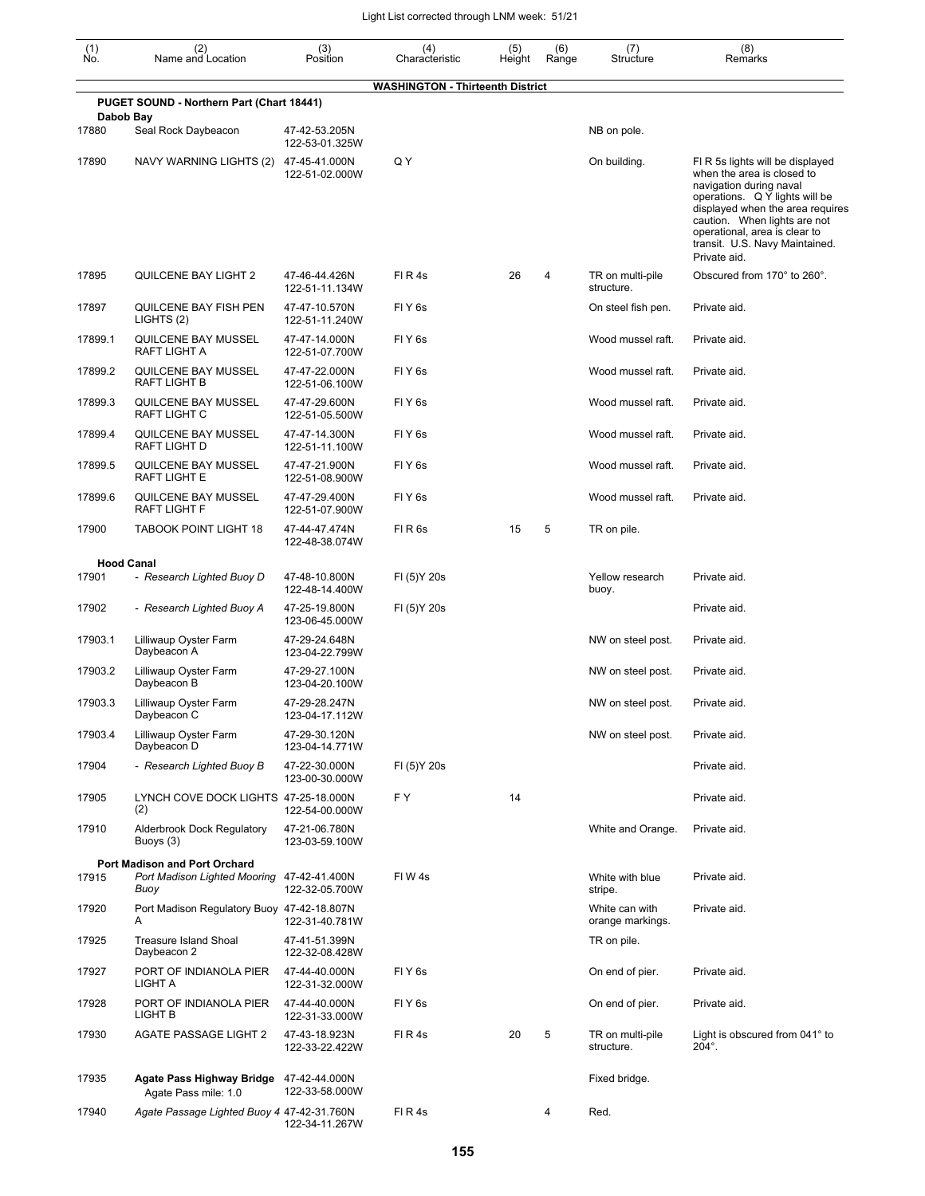| $\begin{smallmatrix} (1) \\ \mathsf{No} \end{smallmatrix}$ | (2)<br>Name and Location                                           | (3)<br>Position                 | (4)<br>Characteristic                   | (5)<br>Height | (6)<br>Range | (7)<br>Structure                   | (8)<br>Remarks                                                                                                                                                                                                                                                                     |
|------------------------------------------------------------|--------------------------------------------------------------------|---------------------------------|-----------------------------------------|---------------|--------------|------------------------------------|------------------------------------------------------------------------------------------------------------------------------------------------------------------------------------------------------------------------------------------------------------------------------------|
|                                                            |                                                                    |                                 | <b>WASHINGTON - Thirteenth District</b> |               |              |                                    |                                                                                                                                                                                                                                                                                    |
|                                                            | PUGET SOUND - Northern Part (Chart 18441)<br>Dabob Bay             |                                 |                                         |               |              |                                    |                                                                                                                                                                                                                                                                                    |
| 17880                                                      | Seal Rock Daybeacon                                                | 47-42-53.205N<br>122-53-01.325W |                                         |               |              | NB on pole.                        |                                                                                                                                                                                                                                                                                    |
| 17890                                                      | NAVY WARNING LIGHTS (2)                                            | 47-45-41.000N<br>122-51-02.000W | Q Y                                     |               |              | On building.                       | FI R 5s lights will be displayed<br>when the area is closed to<br>navigation during naval<br>operations. Q Y lights will be<br>displayed when the area requires<br>caution. When lights are not<br>operational, area is clear to<br>transit. U.S. Navy Maintained.<br>Private aid. |
| 17895                                                      | QUILCENE BAY LIGHT 2                                               | 47-46-44.426N<br>122-51-11.134W | FIR4s                                   | 26            | 4            | TR on multi-pile<br>structure.     | Obscured from 170° to 260°.                                                                                                                                                                                                                                                        |
| 17897                                                      | QUILCENE BAY FISH PEN<br>LIGHTS (2)                                | 47-47-10.570N<br>122-51-11.240W | FIY <sub>6s</sub>                       |               |              | On steel fish pen.                 | Private aid.                                                                                                                                                                                                                                                                       |
| 17899.1                                                    | QUILCENE BAY MUSSEL<br>RAFT LIGHT A                                | 47-47-14.000N<br>122-51-07.700W | FIY <sub>6s</sub>                       |               |              | Wood mussel raft.                  | Private aid.                                                                                                                                                                                                                                                                       |
| 17899.2                                                    | QUILCENE BAY MUSSEL<br>RAFT LIGHT B                                | 47-47-22.000N<br>122-51-06.100W | FIY <sub>6s</sub>                       |               |              | Wood mussel raft.                  | Private aid.                                                                                                                                                                                                                                                                       |
| 17899.3                                                    | QUILCENE BAY MUSSEL<br>RAFT LIGHT C                                | 47-47-29.600N<br>122-51-05.500W | FIY <sub>6s</sub>                       |               |              | Wood mussel raft.                  | Private aid.                                                                                                                                                                                                                                                                       |
| 17899.4                                                    | QUILCENE BAY MUSSEL<br><b>RAFT LIGHT D</b>                         | 47-47-14.300N<br>122-51-11.100W | FIY <sub>6s</sub>                       |               |              | Wood mussel raft.                  | Private aid.                                                                                                                                                                                                                                                                       |
| 17899.5                                                    | QUILCENE BAY MUSSEL<br><b>RAFT LIGHT E</b>                         | 47-47-21.900N<br>122-51-08.900W | FIY <sub>6s</sub>                       |               |              | Wood mussel raft.                  | Private aid.                                                                                                                                                                                                                                                                       |
| 17899.6                                                    | QUILCENE BAY MUSSEL<br>RAFT LIGHT F                                | 47-47-29.400N<br>122-51-07.900W | FIY <sub>6s</sub>                       |               |              | Wood mussel raft.                  | Private aid.                                                                                                                                                                                                                                                                       |
| 17900                                                      | <b>TABOOK POINT LIGHT 18</b>                                       | 47-44-47.474N<br>122-48-38.074W | FIR <sub>6s</sub>                       | 15            | 5            | TR on pile.                        |                                                                                                                                                                                                                                                                                    |
|                                                            | <b>Hood Canal</b>                                                  |                                 |                                         |               |              |                                    |                                                                                                                                                                                                                                                                                    |
| 17901                                                      | - Research Lighted Buoy D                                          | 47-48-10.800N<br>122-48-14.400W | FI (5) Y 20s                            |               |              | Yellow research<br>buoy.           | Private aid.                                                                                                                                                                                                                                                                       |
| 17902                                                      | - Research Lighted Buoy A                                          | 47-25-19.800N<br>123-06-45.000W | FI (5) Y 20s                            |               |              |                                    | Private aid.                                                                                                                                                                                                                                                                       |
| 17903.1                                                    | Lilliwaup Oyster Farm<br>Daybeacon A                               | 47-29-24.648N<br>123-04-22.799W |                                         |               |              | NW on steel post.                  | Private aid.                                                                                                                                                                                                                                                                       |
| 17903.2                                                    | Lilliwaup Oyster Farm<br>Daybeacon B                               | 47-29-27.100N<br>123-04-20.100W |                                         |               |              | NW on steel post.                  | Private aid.                                                                                                                                                                                                                                                                       |
| 17903.3                                                    | Lilliwaup Oyster Farm<br>Daybeacon C                               | 47-29-28.247N<br>123-04-17.112W |                                         |               |              | NW on steel post.                  | Private aid.                                                                                                                                                                                                                                                                       |
| 17903.4                                                    | Lilliwaup Oyster Farm<br>Daybeacon D                               | 47-29-30.120N<br>123-04-14.771W |                                         |               |              | NW on steel post.                  | Private aid.                                                                                                                                                                                                                                                                       |
| 17904                                                      | - Research Lighted Buoy B                                          | 47-22-30.000N<br>123-00-30.000W | FI (5) Y 20s                            |               |              |                                    | Private aid.                                                                                                                                                                                                                                                                       |
| 17905                                                      | LYNCH COVE DOCK LIGHTS 47-25-18.000N<br>(2)                        | 122-54-00.000W                  | F Y                                     | 14            |              |                                    | Private aid.                                                                                                                                                                                                                                                                       |
| 17910                                                      | <b>Alderbrook Dock Regulatory</b><br>Buoys (3)                     | 47-21-06.780N<br>123-03-59.100W |                                         |               |              | White and Orange.                  | Private aid.                                                                                                                                                                                                                                                                       |
|                                                            | Port Madison and Port Orchard                                      |                                 |                                         |               |              |                                    |                                                                                                                                                                                                                                                                                    |
| 17915                                                      | Port Madison Lighted Mooring 47-42-41.400N<br>Buoy                 | 122-32-05.700W                  | FIW4s                                   |               |              | White with blue<br>stripe.         | Private aid.                                                                                                                                                                                                                                                                       |
| 17920                                                      | Port Madison Regulatory Buoy 47-42-18.807N<br>A                    | 122-31-40.781W                  |                                         |               |              | White can with<br>orange markings. | Private aid.                                                                                                                                                                                                                                                                       |
| 17925                                                      | <b>Treasure Island Shoal</b><br>Daybeacon 2                        | 47-41-51.399N<br>122-32-08.428W |                                         |               |              | TR on pile.                        |                                                                                                                                                                                                                                                                                    |
| 17927                                                      | PORT OF INDIANOLA PIER<br>LIGHT A                                  | 47-44-40.000N<br>122-31-32.000W | FIY <sub>6s</sub>                       |               |              | On end of pier.                    | Private aid.                                                                                                                                                                                                                                                                       |
| 17928                                                      | PORT OF INDIANOLA PIER<br>LIGHT B                                  | 47-44-40.000N<br>122-31-33.000W | FIY <sub>6s</sub>                       |               |              | On end of pier.                    | Private aid.                                                                                                                                                                                                                                                                       |
| 17930                                                      | AGATE PASSAGE LIGHT 2                                              | 47-43-18.923N<br>122-33-22.422W | FIR4s                                   | 20            | 5            | TR on multi-pile<br>structure.     | Light is obscured from 041° to<br>$204^\circ$ .                                                                                                                                                                                                                                    |
| 17935                                                      | Agate Pass Highway Bridge 47-42-44.000N                            | 122-33-58.000W                  |                                         |               |              | Fixed bridge.                      |                                                                                                                                                                                                                                                                                    |
| 17940                                                      | Agate Pass mile: 1.0<br>Agate Passage Lighted Buoy 4 47-42-31.760N | 122-34-11.267W                  | FIR4s                                   |               | 4            | Red.                               |                                                                                                                                                                                                                                                                                    |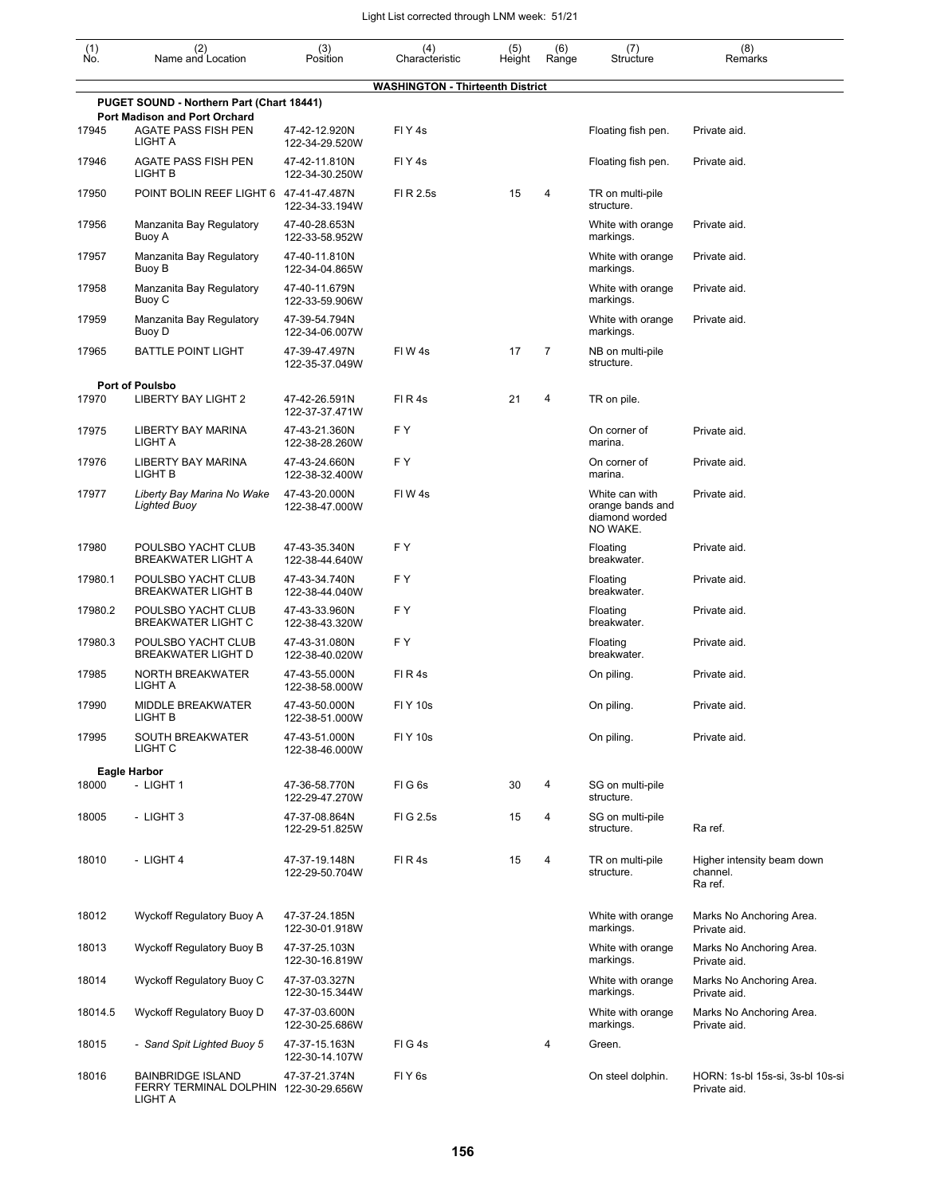| $\begin{smallmatrix} (1) \\ \mathsf{No} \end{smallmatrix}$ | (2)<br>Name and Location                                                     | (3)<br>Position                                   | (4)<br>Characteristic                   | (5)<br>Height | (6)<br>Range   | (7)<br>Structure                                                 | (8)<br>Remarks                                    |
|------------------------------------------------------------|------------------------------------------------------------------------------|---------------------------------------------------|-----------------------------------------|---------------|----------------|------------------------------------------------------------------|---------------------------------------------------|
|                                                            |                                                                              |                                                   | <b>WASHINGTON - Thirteenth District</b> |               |                |                                                                  |                                                   |
|                                                            | PUGET SOUND - Northern Part (Chart 18441)                                    |                                                   |                                         |               |                |                                                                  |                                                   |
| 17945                                                      | Port Madison and Port Orchard<br><b>AGATE PASS FISH PEN</b><br>LIGHT A       | 47-42-12.920N<br>122-34-29.520W                   | FIY <sub>4s</sub>                       |               |                | Floating fish pen.                                               | Private aid.                                      |
| 17946                                                      | AGATE PASS FISH PEN<br>LIGHT B                                               | 47-42-11.810N<br>122-34-30.250W                   | FIY <sub>4s</sub>                       |               |                | Floating fish pen.                                               | Private aid.                                      |
| 17950                                                      | POINT BOLIN REEF LIGHT 6 47-41-47.487N                                       | 122-34-33.194W                                    | FI R 2.5s                               | 15            | 4              | TR on multi-pile<br>structure.                                   |                                                   |
| 17956                                                      | Manzanita Bay Regulatory<br>Buoy A                                           | 47-40-28.653N<br>122-33-58.952W                   |                                         |               |                | White with orange<br>markings.                                   | Private aid.                                      |
| 17957                                                      | Manzanita Bay Regulatory<br>Buoy B                                           | 47-40-11.810N<br>122-34-04.865W                   |                                         |               |                | White with orange<br>markings.                                   | Private aid.                                      |
| 17958                                                      | Manzanita Bay Regulatory<br>Buoy C                                           | 47-40-11.679N<br>122-33-59.906W                   |                                         |               |                | White with orange<br>markings.                                   | Private aid.                                      |
| 17959                                                      | Manzanita Bay Regulatory<br>Buoy D                                           | 47-39-54.794N<br>122-34-06.007W                   |                                         |               |                | White with orange<br>markings.                                   | Private aid.                                      |
| 17965                                                      | <b>BATTLE POINT LIGHT</b>                                                    | 47-39-47.497N<br>122-35-37.049W                   | FIW <sub>4s</sub>                       | 17            | $\overline{7}$ | NB on multi-pile<br>structure.                                   |                                                   |
| 17970                                                      | <b>Port of Poulsbo</b><br><b>LIBERTY BAY LIGHT 2</b>                         | 47-42-26.591N                                     | FIR4s                                   | 21            | 4              | TR on pile.                                                      |                                                   |
| 17975                                                      | <b>LIBERTY BAY MARINA</b><br>LIGHT A                                         | 122-37-37.471W<br>47-43-21.360N<br>122-38-28.260W | FY.                                     |               |                | On corner of<br>marina.                                          | Private aid.                                      |
| 17976                                                      | <b>LIBERTY BAY MARINA</b><br>LIGHT B                                         | 47-43-24.660N<br>122-38-32.400W                   | FY.                                     |               |                | On corner of<br>marina.                                          | Private aid.                                      |
| 17977                                                      | Liberty Bay Marina No Wake<br><b>Lighted Buoy</b>                            | 47-43-20.000N<br>122-38-47.000W                   | FIW <sub>4s</sub>                       |               |                | White can with<br>orange bands and<br>diamond worded<br>NO WAKE. | Private aid.                                      |
| 17980                                                      | POULSBO YACHT CLUB<br><b>BREAKWATER LIGHT A</b>                              | 47-43-35.340N<br>122-38-44.640W                   | F Y                                     |               |                | Floating<br>breakwater.                                          | Private aid.                                      |
| 17980.1                                                    | POULSBO YACHT CLUB<br><b>BREAKWATER LIGHT B</b>                              | 47-43-34.740N<br>122-38-44.040W                   | F Y                                     |               |                | Floating<br>breakwater.                                          | Private aid.                                      |
| 17980.2                                                    | POULSBO YACHT CLUB<br><b>BREAKWATER LIGHT C</b>                              | 47-43-33.960N<br>122-38-43.320W                   | FY.                                     |               |                | Floating<br>breakwater.                                          | Private aid.                                      |
| 17980.3                                                    | POULSBO YACHT CLUB<br><b>BREAKWATER LIGHT D</b>                              | 47-43-31.080N<br>122-38-40.020W                   | F Y                                     |               |                | Floating<br>breakwater.                                          | Private aid.                                      |
| 17985                                                      | NORTH BREAKWATER<br>LIGHT A                                                  | 47-43-55.000N<br>122-38-58.000W                   | FIR4s                                   |               |                | On piling.                                                       | Private aid.                                      |
| 17990                                                      | MIDDLE BREAKWATER<br>LIGHT B                                                 | 47-43-50.000N<br>122-38-51.000W                   | <b>FIY 10s</b>                          |               |                | On piling.                                                       | Private aid.                                      |
| 17995                                                      | <b>SOUTH BREAKWATER</b><br>LIGHT C                                           | 47-43-51.000N<br>122-38-46.000W                   | <b>FIY 10s</b>                          |               |                | On piling.                                                       | Private aid.                                      |
| 18000                                                      | <b>Eagle Harbor</b><br>- LIGHT 1                                             | 47-36-58.770N<br>122-29-47.270W                   | FIG6s                                   | 30            | 4              | SG on multi-pile<br>structure.                                   |                                                   |
| 18005                                                      | - LIGHT 3                                                                    | 47-37-08.864N<br>122-29-51.825W                   | FIG 2.5s                                | 15            | 4              | SG on multi-pile<br>structure.                                   | Ra ref.                                           |
| 18010                                                      | - LIGHT 4                                                                    | 47-37-19.148N<br>122-29-50.704W                   | FIR4s                                   | 15            | 4              | TR on multi-pile<br>structure.                                   | Higher intensity beam down<br>channel.<br>Ra ref. |
| 18012                                                      | Wyckoff Regulatory Buoy A                                                    | 47-37-24.185N<br>122-30-01.918W                   |                                         |               |                | White with orange<br>markings.                                   | Marks No Anchoring Area.<br>Private aid.          |
| 18013                                                      | Wyckoff Regulatory Buoy B                                                    | 47-37-25.103N<br>122-30-16.819W                   |                                         |               |                | White with orange<br>markings.                                   | Marks No Anchoring Area.<br>Private aid.          |
| 18014                                                      | Wyckoff Regulatory Buoy C                                                    | 47-37-03.327N<br>122-30-15.344W                   |                                         |               |                | White with orange<br>markings.                                   | Marks No Anchoring Area.<br>Private aid.          |
| 18014.5                                                    | Wyckoff Regulatory Buoy D                                                    | 47-37-03.600N<br>122-30-25.686W                   |                                         |               |                | White with orange<br>markings.                                   | Marks No Anchoring Area.<br>Private aid.          |
| 18015                                                      | - Sand Spit Lighted Buoy 5                                                   | 47-37-15.163N<br>122-30-14.107W                   | FIG4s                                   |               | 4              | Green.                                                           |                                                   |
| 18016                                                      | <b>BAINBRIDGE ISLAND</b><br>FERRY TERMINAL DOLPHIN 122-30-29.656W<br>LIGHT A | 47-37-21.374N                                     | FIY <sub>6s</sub>                       |               |                | On steel dolphin.                                                | HORN: 1s-bl 15s-si, 3s-bl 10s-si<br>Private aid.  |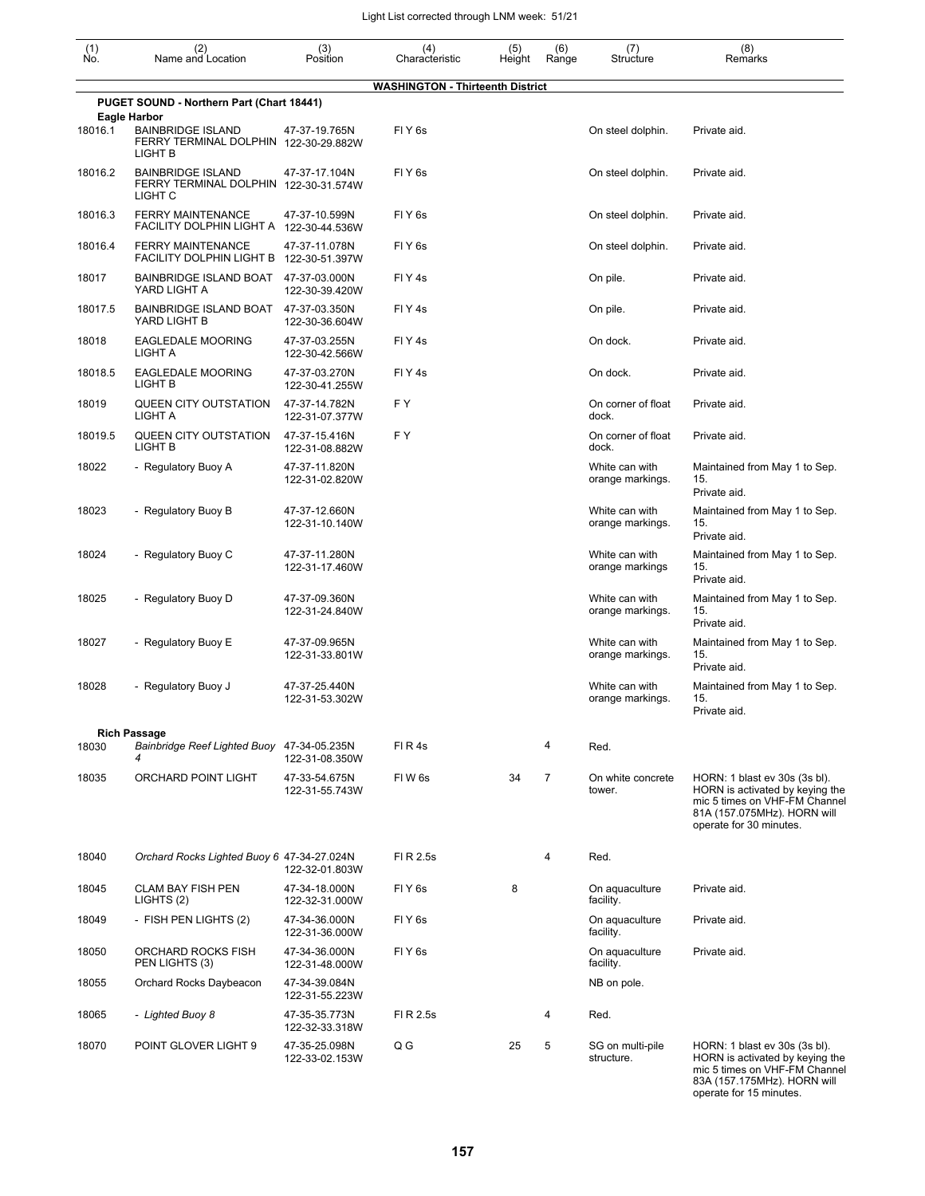| $(n)$<br>No. | (2)<br>Name and Location                                                                | (3)<br>Position                 | (4)<br>Characteristic                   | (5)<br>Height | (6)<br>Range   | (7)<br>Structure                   | (8)<br>Remarks                                                                                                                                              |
|--------------|-----------------------------------------------------------------------------------------|---------------------------------|-----------------------------------------|---------------|----------------|------------------------------------|-------------------------------------------------------------------------------------------------------------------------------------------------------------|
|              |                                                                                         |                                 | <b>WASHINGTON - Thirteenth District</b> |               |                |                                    |                                                                                                                                                             |
|              | PUGET SOUND - Northern Part (Chart 18441)<br>Eagle Harbor                               |                                 |                                         |               |                |                                    |                                                                                                                                                             |
| 18016.1      | <b>BAINBRIDGE ISLAND</b><br>FERRY TERMINAL DOLPHIN 122-30-29.882W<br>LIGHT B            | 47-37-19.765N                   | FIY <sub>6s</sub>                       |               |                | On steel dolphin.                  | Private aid.                                                                                                                                                |
| 18016.2      | <b>BAINBRIDGE ISLAND</b><br>FERRY TERMINAL DOLPHIN 122-30-31.574W<br>LIGHT <sub>C</sub> | 47-37-17.104N                   | FIY <sub>6s</sub>                       |               |                | On steel dolphin.                  | Private aid.                                                                                                                                                |
| 18016.3      | <b>FERRY MAINTENANCE</b><br>FACILITY DOLPHIN LIGHT A 122-30-44.536W                     | 47-37-10.599N                   | FIY <sub>6s</sub>                       |               |                | On steel dolphin.                  | Private aid.                                                                                                                                                |
| 18016.4      | <b>FERRY MAINTENANCE</b><br>FACILITY DOLPHIN LIGHT B 122-30-51.397W                     | 47-37-11.078N                   | FIY <sub>6s</sub>                       |               |                | On steel dolphin.                  | Private aid.                                                                                                                                                |
| 18017        | BAINBRIDGE ISLAND BOAT<br>YARD LIGHT A                                                  | 47-37-03.000N<br>122-30-39.420W | FIY <sub>4s</sub>                       |               |                | On pile.                           | Private aid.                                                                                                                                                |
| 18017.5      | BAINBRIDGE ISLAND BOAT<br>YARD LIGHT B                                                  | 47-37-03.350N<br>122-30-36.604W | FIY <sub>4s</sub>                       |               |                | On pile.                           | Private aid.                                                                                                                                                |
| 18018        | <b>EAGLEDALE MOORING</b><br>LIGHT A                                                     | 47-37-03.255N<br>122-30-42.566W | FIY <sub>4s</sub>                       |               |                | On dock.                           | Private aid.                                                                                                                                                |
| 18018.5      | <b>EAGLEDALE MOORING</b><br>LIGHT B                                                     | 47-37-03.270N<br>122-30-41.255W | FIY <sub>4s</sub>                       |               |                | On dock.                           | Private aid.                                                                                                                                                |
| 18019        | QUEEN CITY OUTSTATION<br>LIGHT A                                                        | 47-37-14.782N<br>122-31-07.377W | F Y                                     |               |                | On corner of float<br>dock.        | Private aid.                                                                                                                                                |
| 18019.5      | QUEEN CITY OUTSTATION<br>LIGHT B                                                        | 47-37-15.416N<br>122-31-08.882W | FY                                      |               |                | On corner of float<br>dock.        | Private aid.                                                                                                                                                |
| 18022        | - Regulatory Buoy A                                                                     | 47-37-11.820N<br>122-31-02.820W |                                         |               |                | White can with<br>orange markings. | Maintained from May 1 to Sep.<br>15.<br>Private aid.                                                                                                        |
| 18023        | - Regulatory Buoy B                                                                     | 47-37-12.660N<br>122-31-10.140W |                                         |               |                | White can with<br>orange markings. | Maintained from May 1 to Sep.<br>15.<br>Private aid.                                                                                                        |
| 18024        | - Regulatory Buoy C                                                                     | 47-37-11.280N<br>122-31-17.460W |                                         |               |                | White can with<br>orange markings  | Maintained from May 1 to Sep.<br>15.<br>Private aid.                                                                                                        |
| 18025        | - Regulatory Buoy D                                                                     | 47-37-09.360N<br>122-31-24.840W |                                         |               |                | White can with<br>orange markings. | Maintained from May 1 to Sep.<br>15.<br>Private aid.                                                                                                        |
| 18027        | - Regulatory Buoy E                                                                     | 47-37-09.965N<br>122-31-33.801W |                                         |               |                | White can with<br>orange markings. | Maintained from May 1 to Sep.<br>15.<br>Private aid.                                                                                                        |
| 18028        | - Regulatory Buoy J                                                                     | 47-37-25.440N<br>122-31-53.302W |                                         |               |                | White can with<br>orange markings. | Maintained from May 1 to Sep.<br>15.<br>Private aid.                                                                                                        |
|              | <b>Rich Passage</b>                                                                     |                                 |                                         |               |                |                                    |                                                                                                                                                             |
| 18030        | Bainbridge Reef Lighted Buoy 47-34-05.235N<br>4                                         | 122-31-08.350W                  | FIR4s                                   |               | 4              | Red.                               |                                                                                                                                                             |
| 18035        | ORCHARD POINT LIGHT                                                                     | 47-33-54.675N<br>122-31-55.743W | FIW <sub>6s</sub>                       | 34            | $\overline{7}$ | On white concrete<br>tower.        | HORN: 1 blast ev 30s (3s bl).<br>HORN is activated by keying the<br>mic 5 times on VHF-FM Channel<br>81A (157.075MHz). HORN will<br>operate for 30 minutes. |
| 18040        | Orchard Rocks Lighted Buoy 6 47-34-27.024N                                              | 122-32-01.803W                  | FI R 2.5s                               |               | 4              | Red.                               |                                                                                                                                                             |
| 18045        | <b>CLAM BAY FISH PEN</b><br>LIGHTS (2)                                                  | 47-34-18.000N<br>122-32-31.000W | FIY <sub>6s</sub>                       | 8             |                | On aquaculture<br>facility.        | Private aid.                                                                                                                                                |
| 18049        | - FISH PEN LIGHTS (2)                                                                   | 47-34-36.000N<br>122-31-36.000W | FIY <sub>6s</sub>                       |               |                | On aquaculture<br>facility.        | Private aid.                                                                                                                                                |
| 18050        | ORCHARD ROCKS FISH<br>PEN LIGHTS (3)                                                    | 47-34-36.000N<br>122-31-48.000W | FIY <sub>6s</sub>                       |               |                | On aquaculture<br>facility.        | Private aid.                                                                                                                                                |
| 18055        | Orchard Rocks Daybeacon                                                                 | 47-34-39.084N<br>122-31-55.223W |                                         |               |                | NB on pole.                        |                                                                                                                                                             |
| 18065        | - Lighted Buoy 8                                                                        | 47-35-35.773N<br>122-32-33.318W | FI R 2.5s                               |               | 4              | Red.                               |                                                                                                                                                             |
| 18070        | POINT GLOVER LIGHT 9                                                                    | 47-35-25.098N<br>122-33-02.153W | Q G                                     | 25            | 5              | SG on multi-pile<br>structure.     | HORN: 1 blast ev 30s (3s bl).<br>HORN is activated by keying the<br>mic 5 times on VHF-FM Channel<br>83A (157.175MHz). HORN will<br>operate for 15 minutes. |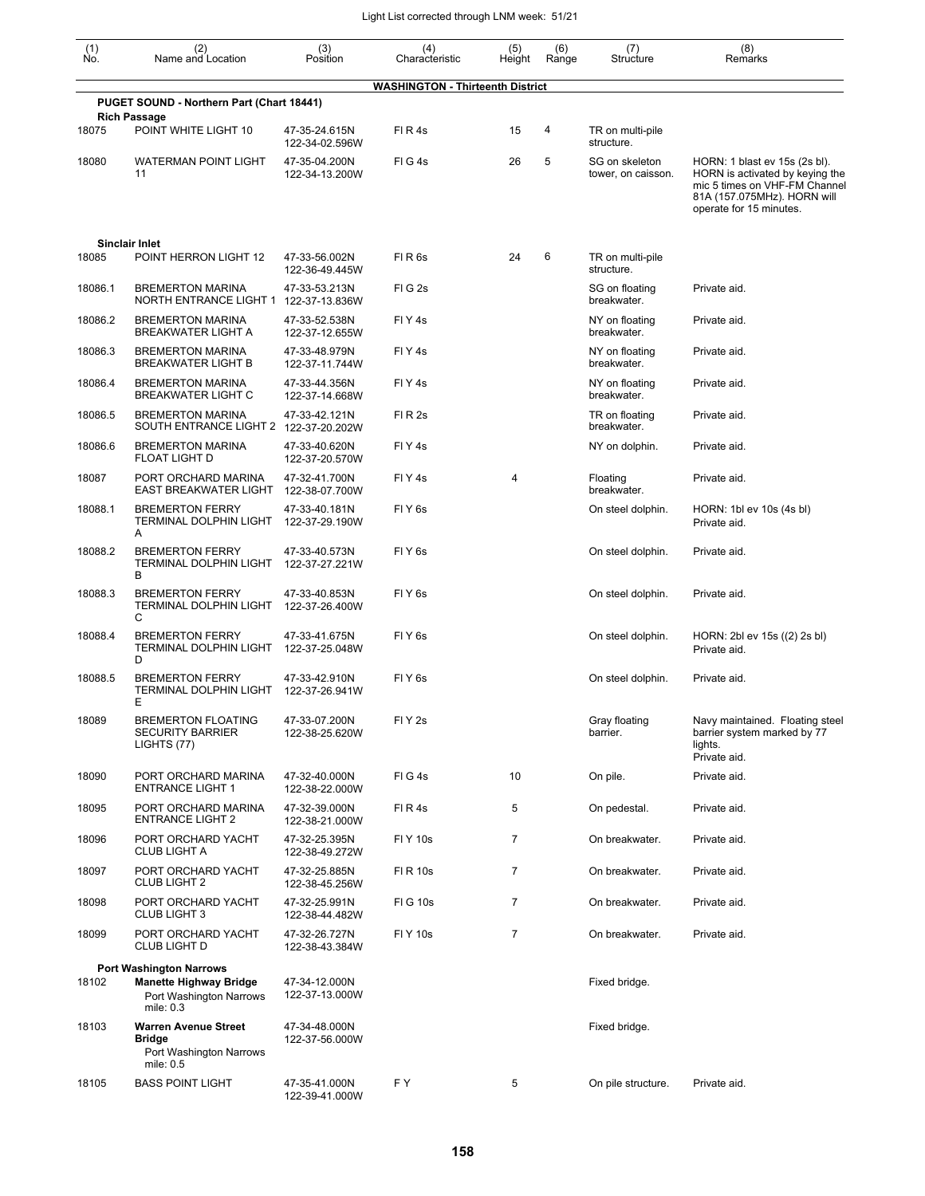| (1)<br>Ño. | (2)<br>Name and Location                                                      | (3)<br>Position                 | (4)<br>Characteristic                   | (5)<br>Height  | (6)<br>Range | (7)<br>Structure                     | (8)<br>Remarks                                                                                                                                              |
|------------|-------------------------------------------------------------------------------|---------------------------------|-----------------------------------------|----------------|--------------|--------------------------------------|-------------------------------------------------------------------------------------------------------------------------------------------------------------|
|            |                                                                               |                                 | <b>WASHINGTON - Thirteenth District</b> |                |              |                                      |                                                                                                                                                             |
|            | PUGET SOUND - Northern Part (Chart 18441)                                     |                                 |                                         |                |              |                                      |                                                                                                                                                             |
| 18075      | <b>Rich Passage</b><br>POINT WHITE LIGHT 10                                   | 47-35-24.615N<br>122-34-02.596W | FIR4s                                   | 15             | 4            | TR on multi-pile<br>structure.       |                                                                                                                                                             |
| 18080      | <b>WATERMAN POINT LIGHT</b><br>11                                             | 47-35-04.200N<br>122-34-13.200W | FIG4s                                   | 26             | 5            | SG on skeleton<br>tower, on caisson. | HORN: 1 blast ev 15s (2s bl).<br>HORN is activated by keying the<br>mic 5 times on VHF-FM Channel<br>81A (157.075MHz). HORN will<br>operate for 15 minutes. |
|            | <b>Sinclair Inlet</b>                                                         |                                 |                                         |                |              |                                      |                                                                                                                                                             |
| 18085      | POINT HERRON LIGHT 12                                                         | 47-33-56.002N<br>122-36-49.445W | FIR <sub>6s</sub>                       | 24             | 6            | TR on multi-pile<br>structure.       |                                                                                                                                                             |
| 18086.1    | <b>BREMERTON MARINA</b><br>NORTH ENTRANCE LIGHT 1 122-37-13.836W              | 47-33-53.213N                   | FIG <sub>2s</sub>                       |                |              | SG on floating<br>breakwater.        | Private aid.                                                                                                                                                |
| 18086.2    | <b>BREMERTON MARINA</b><br><b>BREAKWATER LIGHT A</b>                          | 47-33-52.538N<br>122-37-12.655W | FIY <sub>4s</sub>                       |                |              | NY on floating<br>breakwater.        | Private aid.                                                                                                                                                |
| 18086.3    | <b>BREMERTON MARINA</b><br><b>BREAKWATER LIGHT B</b>                          | 47-33-48.979N<br>122-37-11.744W | FIY <sub>4s</sub>                       |                |              | NY on floating<br>breakwater.        | Private aid.                                                                                                                                                |
| 18086.4    | <b>BREMERTON MARINA</b><br><b>BREAKWATER LIGHT C</b>                          | 47-33-44.356N<br>122-37-14.668W | FIY <sub>4s</sub>                       |                |              | NY on floating<br>breakwater.        | Private aid.                                                                                                                                                |
| 18086.5    | <b>BREMERTON MARINA</b><br>SOUTH ENTRANCE LIGHT 2                             | 47-33-42.121N<br>122-37-20.202W | FIR <sub>2s</sub>                       |                |              | TR on floating<br>breakwater.        | Private aid.                                                                                                                                                |
| 18086.6    | <b>BREMERTON MARINA</b><br><b>FLOAT LIGHT D</b>                               | 47-33-40.620N<br>122-37-20.570W | FIY <sub>4s</sub>                       |                |              | NY on dolphin.                       | Private aid.                                                                                                                                                |
| 18087      | PORT ORCHARD MARINA<br><b>EAST BREAKWATER LIGHT</b>                           | 47-32-41.700N<br>122-38-07.700W | FIY <sub>4s</sub>                       | 4              |              | Floating<br>breakwater.              | Private aid.                                                                                                                                                |
| 18088.1    | <b>BREMERTON FERRY</b><br>TERMINAL DOLPHIN LIGHT<br>Α                         | 47-33-40.181N<br>122-37-29.190W | FIY <sub>6s</sub>                       |                |              | On steel dolphin.                    | HORN: 1bl ev 10s (4s bl)<br>Private aid.                                                                                                                    |
| 18088.2    | <b>BREMERTON FERRY</b><br>TERMINAL DOLPHIN LIGHT<br>В                         | 47-33-40.573N<br>122-37-27.221W | FIY <sub>6s</sub>                       |                |              | On steel dolphin.                    | Private aid.                                                                                                                                                |
| 18088.3    | <b>BREMERTON FERRY</b><br><b>TERMINAL DOLPHIN LIGHT</b><br>С                  | 47-33-40.853N<br>122-37-26.400W | FIY <sub>6s</sub>                       |                |              | On steel dolphin.                    | Private aid.                                                                                                                                                |
| 18088.4    | <b>BREMERTON FERRY</b><br>TERMINAL DOLPHIN LIGHT<br>D                         | 47-33-41.675N<br>122-37-25.048W | FIY <sub>6s</sub>                       |                |              | On steel dolphin.                    | HORN: 2bl ev 15s ((2) 2s bl)<br>Private aid.                                                                                                                |
| 18088.5    | <b>BREMERTON FERRY</b><br>TERMINAL DOLPHIN LIGHT<br>E                         | 47-33-42.910N<br>122-37-26.941W | FIY <sub>6s</sub>                       |                |              | On steel dolphin.                    | Private aid.                                                                                                                                                |
| 18089      | <b>BREMERTON FLOATING</b><br><b>SECURITY BARRIER</b><br>LIGHTS (77)           | 47-33-07.200N<br>122-38-25.620W | FIY <sub>2s</sub>                       |                |              | Gray floating<br>barrier.            | Navy maintained. Floating steel<br>barrier system marked by 77<br>lights.<br>Private aid.                                                                   |
| 18090      | PORT ORCHARD MARINA<br><b>ENTRANCE LIGHT 1</b>                                | 47-32-40.000N<br>122-38-22.000W | FIG4s                                   | 10             |              | On pile.                             | Private aid.                                                                                                                                                |
| 18095      | PORT ORCHARD MARINA<br><b>ENTRANCE LIGHT 2</b>                                | 47-32-39.000N<br>122-38-21.000W | FIR4s                                   | 5              |              | On pedestal.                         | Private aid.                                                                                                                                                |
| 18096      | PORT ORCHARD YACHT<br>CLUB LIGHT A                                            | 47-32-25.395N<br>122-38-49.272W | <b>FIY 10s</b>                          | 7              |              | On breakwater.                       | Private aid.                                                                                                                                                |
| 18097      | PORT ORCHARD YACHT<br>CLUB LIGHT 2                                            | 47-32-25.885N<br>122-38-45.256W | <b>FI R 10s</b>                         | 7              |              | On breakwater.                       | Private aid.                                                                                                                                                |
| 18098      | PORT ORCHARD YACHT<br><b>CLUB LIGHT 3</b>                                     | 47-32-25.991N<br>122-38-44.482W | <b>FIG 10s</b>                          | $\overline{7}$ |              | On breakwater.                       | Private aid.                                                                                                                                                |
| 18099      | PORT ORCHARD YACHT<br>CLUB LIGHT D                                            | 47-32-26.727N<br>122-38-43.384W | <b>FIY 10s</b>                          | $\overline{7}$ |              | On breakwater.                       | Private aid.                                                                                                                                                |
|            | <b>Port Washington Narrows</b>                                                |                                 |                                         |                |              |                                      |                                                                                                                                                             |
| 18102      | <b>Manette Highway Bridge</b><br>Port Washington Narrows<br>mile: 0.3         | 47-34-12.000N<br>122-37-13.000W |                                         |                |              | Fixed bridge.                        |                                                                                                                                                             |
| 18103      | <b>Warren Avenue Street</b><br>Bridge<br>Port Washington Narrows<br>mile: 0.5 | 47-34-48.000N<br>122-37-56.000W |                                         |                |              | Fixed bridge.                        |                                                                                                                                                             |
| 18105      | <b>BASS POINT LIGHT</b>                                                       | 47-35-41.000N<br>122-39-41.000W | FΥ                                      | 5              |              | On pile structure.                   | Private aid.                                                                                                                                                |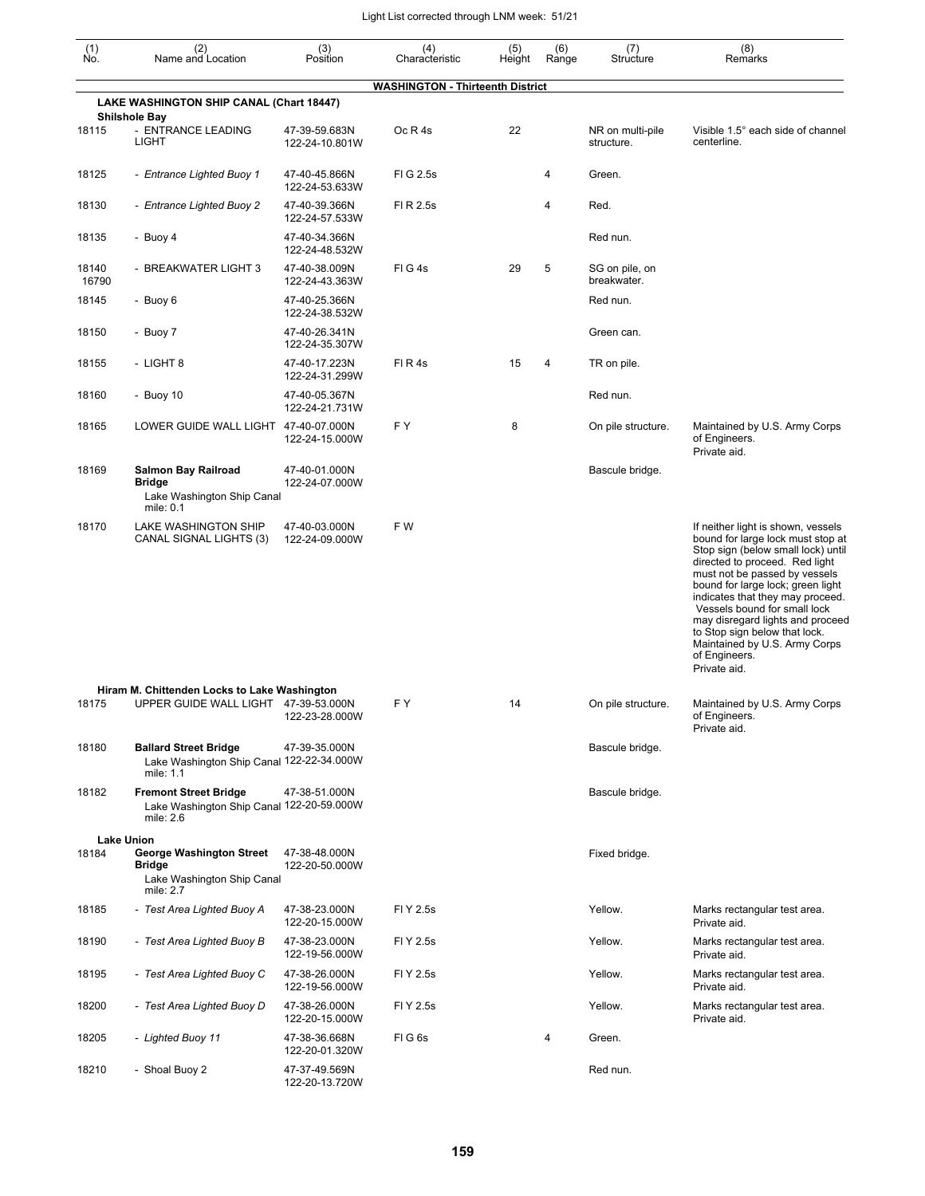| $(n)$<br>No.   | (2)<br>Name and Location                                                                           | (3)<br>Position                 | (4)<br>Characteristic                   | (5)<br>Height | (6)<br>Range   | (7)<br>Structure               | (8)<br>Remarks                                                                                                                                                                                                                                                                                                                                                                                                                   |
|----------------|----------------------------------------------------------------------------------------------------|---------------------------------|-----------------------------------------|---------------|----------------|--------------------------------|----------------------------------------------------------------------------------------------------------------------------------------------------------------------------------------------------------------------------------------------------------------------------------------------------------------------------------------------------------------------------------------------------------------------------------|
|                |                                                                                                    |                                 | <b>WASHINGTON - Thirteenth District</b> |               |                |                                |                                                                                                                                                                                                                                                                                                                                                                                                                                  |
|                | LAKE WASHINGTON SHIP CANAL (Chart 18447)<br><b>Shilshole Bay</b>                                   |                                 |                                         |               |                |                                |                                                                                                                                                                                                                                                                                                                                                                                                                                  |
| 18115          | - ENTRANCE LEADING<br><b>LIGHT</b>                                                                 | 47-39-59.683N<br>122-24-10.801W | Oc R 4s                                 | 22            |                | NR on multi-pile<br>structure. | Visible 1.5° each side of channel<br>centerline.                                                                                                                                                                                                                                                                                                                                                                                 |
| 18125          | - Entrance Lighted Buoy 1                                                                          | 47-40-45.866N<br>122-24-53.633W | FIG 2.5s                                |               | 4              | Green.                         |                                                                                                                                                                                                                                                                                                                                                                                                                                  |
| 18130          | - Entrance Lighted Buoy 2                                                                          | 47-40-39.366N<br>122-24-57.533W | FI R 2.5s                               |               | 4              | Red.                           |                                                                                                                                                                                                                                                                                                                                                                                                                                  |
| 18135          | - Buoy 4                                                                                           | 47-40-34.366N<br>122-24-48.532W |                                         |               |                | Red nun.                       |                                                                                                                                                                                                                                                                                                                                                                                                                                  |
| 18140<br>16790 | - BREAKWATER LIGHT 3                                                                               | 47-40-38.009N<br>122-24-43.363W | FIG4s                                   | 29            | 5              | SG on pile, on<br>breakwater.  |                                                                                                                                                                                                                                                                                                                                                                                                                                  |
| 18145          | - Buoy 6                                                                                           | 47-40-25.366N<br>122-24-38.532W |                                         |               |                | Red nun.                       |                                                                                                                                                                                                                                                                                                                                                                                                                                  |
| 18150          | - Buoy 7                                                                                           | 47-40-26.341N<br>122-24-35.307W |                                         |               |                | Green can.                     |                                                                                                                                                                                                                                                                                                                                                                                                                                  |
| 18155          | - LIGHT 8                                                                                          | 47-40-17.223N<br>122-24-31.299W | FIR4s                                   | 15            | $\overline{4}$ | TR on pile.                    |                                                                                                                                                                                                                                                                                                                                                                                                                                  |
| 18160          | - Buoy 10                                                                                          | 47-40-05.367N<br>122-24-21.731W |                                         |               |                | Red nun.                       |                                                                                                                                                                                                                                                                                                                                                                                                                                  |
| 18165          | LOWER GUIDE WALL LIGHT 47-40-07.000N                                                               | 122-24-15.000W                  | F Y                                     | 8             |                | On pile structure.             | Maintained by U.S. Army Corps<br>of Engineers.<br>Private aid.                                                                                                                                                                                                                                                                                                                                                                   |
| 18169          | <b>Salmon Bay Railroad</b><br>Bridge<br>Lake Washington Ship Canal<br>mile: 0.1                    | 47-40-01.000N<br>122-24-07.000W |                                         |               |                | Bascule bridge.                |                                                                                                                                                                                                                                                                                                                                                                                                                                  |
| 18170          | LAKE WASHINGTON SHIP<br>CANAL SIGNAL LIGHTS (3)                                                    | 47-40-03.000N<br>122-24-09.000W | F W                                     |               |                |                                | If neither light is shown, vessels<br>bound for large lock must stop at<br>Stop sign (below small lock) until<br>directed to proceed. Red light<br>must not be passed by vessels<br>bound for large lock; green light<br>indicates that they may proceed.<br>Vessels bound for small lock<br>may disregard lights and proceed<br>to Stop sign below that lock.<br>Maintained by U.S. Army Corps<br>of Engineers.<br>Private aid. |
| 18175          | Hiram M. Chittenden Locks to Lake Washington<br>UPPER GUIDE WALL LIGHT 47-39-53.000N               | 122-23-28.000W                  | FΥ                                      | 14            |                | On pile structure.             | Maintained by U.S. Army Corps<br>of Engineers.<br>Private aid.                                                                                                                                                                                                                                                                                                                                                                   |
| 18180          | <b>Ballard Street Bridge</b><br>Lake Washington Ship Canal 122-22-34.000W<br>mile: 1.1             | 47-39-35.000N                   |                                         |               |                | Bascule bridge.                |                                                                                                                                                                                                                                                                                                                                                                                                                                  |
| 18182          | <b>Fremont Street Bridge</b><br>Lake Washington Ship Canal 122-20-59.000W<br>mile: 2.6             | 47-38-51.000N                   |                                         |               |                | Bascule bridge.                |                                                                                                                                                                                                                                                                                                                                                                                                                                  |
| 18184          | <b>Lake Union</b><br>George Washington Street<br>Bridge<br>Lake Washington Ship Canal<br>mile: 2.7 | 47-38-48.000N<br>122-20-50.000W |                                         |               |                | Fixed bridge.                  |                                                                                                                                                                                                                                                                                                                                                                                                                                  |
| 18185          | - Test Area Lighted Buoy A                                                                         | 47-38-23.000N<br>122-20-15.000W | FI Y 2.5s                               |               |                | Yellow.                        | Marks rectangular test area.<br>Private aid.                                                                                                                                                                                                                                                                                                                                                                                     |
| 18190          | - Test Area Lighted Buoy B                                                                         | 47-38-23.000N<br>122-19-56.000W | FI Y 2.5s                               |               |                | Yellow.                        | Marks rectangular test area.<br>Private aid.                                                                                                                                                                                                                                                                                                                                                                                     |
| 18195          | - Test Area Lighted Buoy C                                                                         | 47-38-26.000N<br>122-19-56.000W | FI Y 2.5s                               |               |                | Yellow.                        | Marks rectangular test area.<br>Private aid.                                                                                                                                                                                                                                                                                                                                                                                     |
| 18200          | - Test Area Lighted Buoy D                                                                         | 47-38-26.000N<br>122-20-15.000W | FI Y 2.5s                               |               |                | Yellow.                        | Marks rectangular test area.<br>Private aid.                                                                                                                                                                                                                                                                                                                                                                                     |
| 18205          | - Lighted Buoy 11                                                                                  | 47-38-36.668N<br>122-20-01.320W | FIG6s                                   |               | 4              | Green.                         |                                                                                                                                                                                                                                                                                                                                                                                                                                  |
| 18210          | - Shoal Buoy 2                                                                                     | 47-37-49.569N<br>122-20-13.720W |                                         |               |                | Red nun.                       |                                                                                                                                                                                                                                                                                                                                                                                                                                  |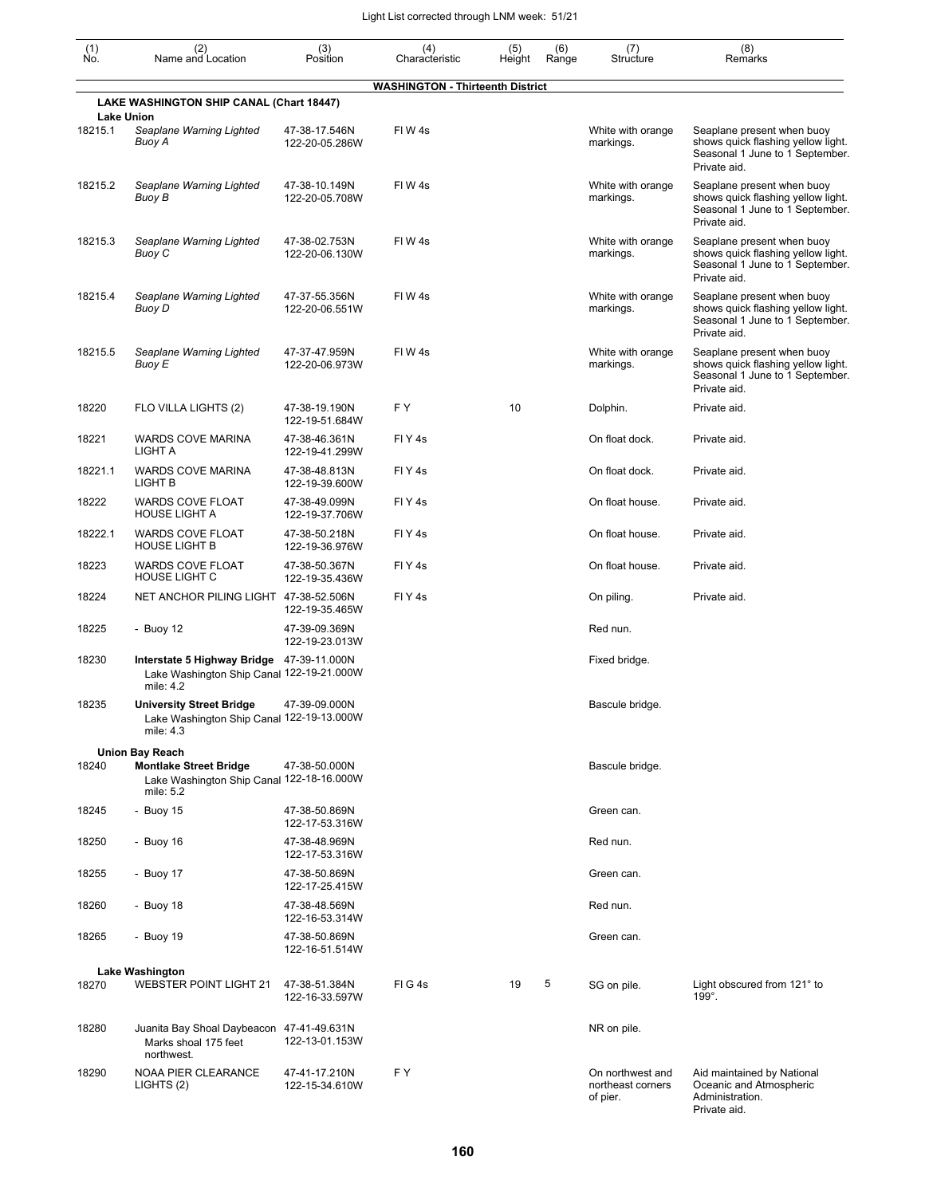| (1)<br>Ńó. | (2)<br>Name and Location                                                                            | (3)<br>Position                 | (4)<br>Characteristic                   | (5)<br>Height | (6)<br>Range | (7)<br>Structure                                  | (8)<br>Remarks                                                                                                      |
|------------|-----------------------------------------------------------------------------------------------------|---------------------------------|-----------------------------------------|---------------|--------------|---------------------------------------------------|---------------------------------------------------------------------------------------------------------------------|
|            |                                                                                                     |                                 | <b>WASHINGTON - Thirteenth District</b> |               |              |                                                   |                                                                                                                     |
|            | LAKE WASHINGTON SHIP CANAL (Chart 18447)<br><b>Lake Union</b>                                       |                                 |                                         |               |              |                                                   |                                                                                                                     |
| 18215.1    | Seaplane Warning Lighted<br>Buoy A                                                                  | 47-38-17.546N<br>122-20-05.286W | FIW4s                                   |               |              | White with orange<br>markings.                    | Seaplane present when buoy<br>shows quick flashing yellow light.<br>Seasonal 1 June to 1 September.<br>Private aid. |
| 18215.2    | Seaplane Warning Lighted<br>Buoy B                                                                  | 47-38-10.149N<br>122-20-05.708W | FIW <sub>4s</sub>                       |               |              | White with orange<br>markings.                    | Seaplane present when buoy<br>shows quick flashing yellow light.<br>Seasonal 1 June to 1 September.<br>Private aid. |
| 18215.3    | Seaplane Warning Lighted<br>Buoy C                                                                  | 47-38-02.753N<br>122-20-06.130W | FIW4s                                   |               |              | White with orange<br>markings.                    | Seaplane present when buoy<br>shows quick flashing yellow light.<br>Seasonal 1 June to 1 September.<br>Private aid. |
| 18215.4    | Seaplane Warning Lighted<br>Buoy D                                                                  | 47-37-55.356N<br>122-20-06.551W | FIW4s                                   |               |              | White with orange<br>markings.                    | Seaplane present when buoy<br>shows quick flashing yellow light.<br>Seasonal 1 June to 1 September.<br>Private aid. |
| 18215.5    | Seaplane Warning Lighted<br>Buoy E                                                                  | 47-37-47.959N<br>122-20-06.973W | FIW4s                                   |               |              | White with orange<br>markings.                    | Seaplane present when buoy<br>shows quick flashing yellow light.<br>Seasonal 1 June to 1 September.<br>Private aid. |
| 18220      | FLO VILLA LIGHTS (2)                                                                                | 47-38-19.190N<br>122-19-51.684W | FY                                      | 10            |              | Dolphin.                                          | Private aid.                                                                                                        |
| 18221      | <b>WARDS COVE MARINA</b><br>LIGHT A                                                                 | 47-38-46.361N<br>122-19-41.299W | FIY <sub>4s</sub>                       |               |              | On float dock.                                    | Private aid.                                                                                                        |
| 18221.1    | <b>WARDS COVE MARINA</b><br>LIGHT B                                                                 | 47-38-48.813N<br>122-19-39.600W | FIY <sub>4s</sub>                       |               |              | On float dock.                                    | Private aid.                                                                                                        |
| 18222      | <b>WARDS COVE FLOAT</b><br><b>HOUSE LIGHT A</b>                                                     | 47-38-49.099N<br>122-19-37.706W | FIY <sub>4s</sub>                       |               |              | On float house.                                   | Private aid.                                                                                                        |
| 18222.1    | <b>WARDS COVE FLOAT</b><br><b>HOUSE LIGHT B</b>                                                     | 47-38-50.218N<br>122-19-36.976W | FIY <sub>4s</sub>                       |               |              | On float house.                                   | Private aid.                                                                                                        |
| 18223      | WARDS COVE FLOAT<br><b>HOUSE LIGHT C</b>                                                            | 47-38-50.367N<br>122-19-35.436W | FIY <sub>4s</sub>                       |               |              | On float house.                                   | Private aid.                                                                                                        |
| 18224      | NET ANCHOR PILING LIGHT 47-38-52.506N                                                               | 122-19-35.465W                  | FIY <sub>4s</sub>                       |               |              | On piling.                                        | Private aid.                                                                                                        |
| 18225      | - Buoy 12                                                                                           | 47-39-09.369N<br>122-19-23.013W |                                         |               |              | Red nun.                                          |                                                                                                                     |
| 18230      | Interstate 5 Highway Bridge 47-39-11.000N<br>Lake Washington Ship Canal 122-19-21.000W<br>mile: 4.2 |                                 |                                         |               |              | Fixed bridge.                                     |                                                                                                                     |
| 18235      | <b>University Street Bridge</b><br>Lake Washington Ship Canal 122-19-13.000W<br>mile: 4.3           | 47-39-09.000N                   |                                         |               |              | Bascule bridge.                                   |                                                                                                                     |
|            | <b>Union Bay Reach</b>                                                                              |                                 |                                         |               |              |                                                   |                                                                                                                     |
| 18240      | <b>Montlake Street Bridge</b><br>Lake Washington Ship Canal 122-18-16.000W<br>mile: 5.2             | 47-38-50.000N                   |                                         |               |              | Bascule bridge.                                   |                                                                                                                     |
| 18245      | - Buoy 15                                                                                           | 47-38-50.869N<br>122-17-53.316W |                                         |               |              | Green can.                                        |                                                                                                                     |
| 18250      | - Buoy $16$                                                                                         | 47-38-48.969N<br>122-17-53.316W |                                         |               |              | Red nun.                                          |                                                                                                                     |
| 18255      | - Buoy 17                                                                                           | 47-38-50.869N<br>122-17-25.415W |                                         |               |              | Green can.                                        |                                                                                                                     |
| 18260      | - Buoy 18                                                                                           | 47-38-48.569N<br>122-16-53.314W |                                         |               |              | Red nun.                                          |                                                                                                                     |
| 18265      | - Buoy 19                                                                                           | 47-38-50.869N<br>122-16-51.514W |                                         |               |              | Green can.                                        |                                                                                                                     |
|            | <b>Lake Washington</b>                                                                              |                                 |                                         |               |              |                                                   |                                                                                                                     |
| 18270      | <b>WEBSTER POINT LIGHT 21</b>                                                                       | 47-38-51.384N<br>122-16-33.597W | FIG4s                                   | 19            | 5            | SG on pile.                                       | Light obscured from 121° to<br>$199^\circ$ .                                                                        |
| 18280      | Juanita Bay Shoal Daybeacon 47-41-49.631N<br>Marks shoal 175 feet<br>northwest.                     | 122-13-01.153W                  |                                         |               |              | NR on pile.                                       |                                                                                                                     |
| 18290      | <b>NOAA PIER CLEARANCE</b><br>LIGHTS (2)                                                            | 47-41-17.210N<br>122-15-34.610W | F Y                                     |               |              | On northwest and<br>northeast corners<br>of pier. | Aid maintained by National<br>Oceanic and Atmospheric<br>Administration.<br>Private aid.                            |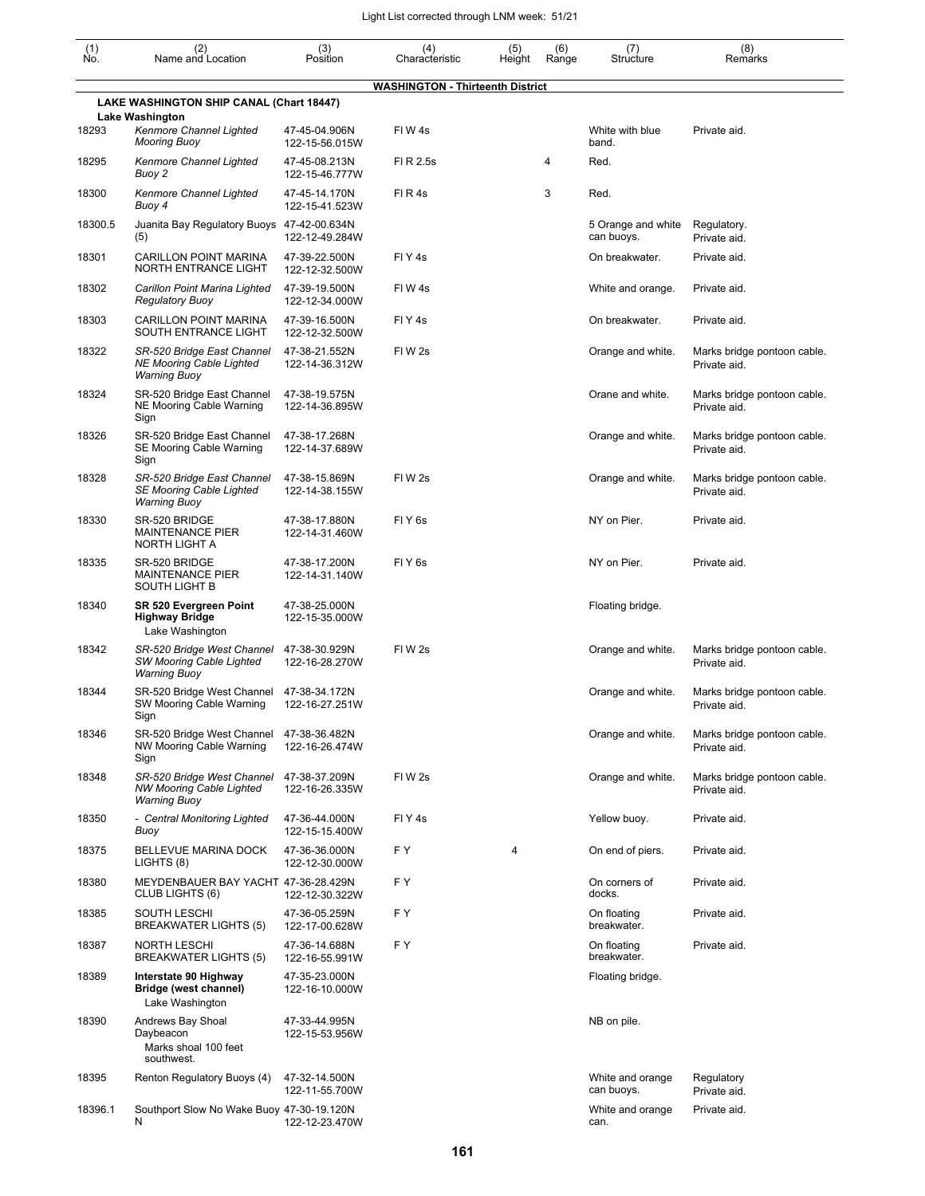| (1)<br>Ño. | (2)<br>Name and Location                                                             | (3)<br>Position                 | (4)<br>Characteristic                   | (5)<br>Height | (6)<br>Range | (7)<br>Structure                 | (8)<br>Remarks                              |
|------------|--------------------------------------------------------------------------------------|---------------------------------|-----------------------------------------|---------------|--------------|----------------------------------|---------------------------------------------|
|            |                                                                                      |                                 | <b>WASHINGTON - Thirteenth District</b> |               |              |                                  |                                             |
|            | LAKE WASHINGTON SHIP CANAL (Chart 18447)                                             |                                 |                                         |               |              |                                  |                                             |
| 18293      | <b>Lake Washington</b><br>Kenmore Channel Lighted<br><b>Mooring Buoy</b>             | 47-45-04.906N<br>122-15-56.015W | FIW4s                                   |               |              | White with blue<br>band.         | Private aid.                                |
| 18295      | Kenmore Channel Lighted<br>Buoy 2                                                    | 47-45-08.213N<br>122-15-46.777W | FI R 2.5s                               |               | 4            | Red.                             |                                             |
| 18300      | Kenmore Channel Lighted<br>Buoy 4                                                    | 47-45-14.170N<br>122-15-41.523W | FIR4s                                   |               | 3            | Red.                             |                                             |
| 18300.5    | Juanita Bay Regulatory Buoys 47-42-00.634N<br>(5)                                    | 122-12-49.284W                  |                                         |               |              | 5 Orange and white<br>can buoys. | Regulatory.<br>Private aid.                 |
| 18301      | CARILLON POINT MARINA<br>NORTH ENTRANCE LIGHT                                        | 47-39-22.500N<br>122-12-32.500W | FIY <sub>4s</sub>                       |               |              | On breakwater.                   | Private aid.                                |
| 18302      | Carillon Point Marina Lighted<br><b>Regulatory Buoy</b>                              | 47-39-19.500N<br>122-12-34.000W | FIW 4s                                  |               |              | White and orange.                | Private aid.                                |
| 18303      | <b>CARILLON POINT MARINA</b><br>SOUTH ENTRANCE LIGHT                                 | 47-39-16.500N<br>122-12-32.500W | FIY <sub>4s</sub>                       |               |              | On breakwater.                   | Private aid.                                |
| 18322      | SR-520 Bridge East Channel<br><b>NE Mooring Cable Lighted</b><br><b>Warning Buoy</b> | 47-38-21.552N<br>122-14-36.312W | FIW <sub>2s</sub>                       |               |              | Orange and white.                | Marks bridge pontoon cable.<br>Private aid. |
| 18324      | SR-520 Bridge East Channel<br>NE Mooring Cable Warning<br>Sign                       | 47-38-19.575N<br>122-14-36.895W |                                         |               |              | Orane and white.                 | Marks bridge pontoon cable.<br>Private aid. |
| 18326      | SR-520 Bridge East Channel<br>SE Mooring Cable Warning<br>Sign                       | 47-38-17.268N<br>122-14-37.689W |                                         |               |              | Orange and white.                | Marks bridge pontoon cable.<br>Private aid. |
| 18328      | SR-520 Bridge East Channel<br><b>SE Mooring Cable Lighted</b><br><b>Warning Buoy</b> | 47-38-15.869N<br>122-14-38.155W | FIW <sub>2s</sub>                       |               |              | Orange and white.                | Marks bridge pontoon cable.<br>Private aid. |
| 18330      | SR-520 BRIDGE<br><b>MAINTENANCE PIER</b><br>NORTH LIGHT A                            | 47-38-17.880N<br>122-14-31.460W | FIY <sub>6s</sub>                       |               |              | NY on Pier.                      | Private aid.                                |
| 18335      | SR-520 BRIDGE<br><b>MAINTENANCE PIER</b><br>SOUTH LIGHT B                            | 47-38-17.200N<br>122-14-31.140W | FIY <sub>6s</sub>                       |               |              | NY on Pier.                      | Private aid.                                |
| 18340      | SR 520 Evergreen Point<br><b>Highway Bridge</b><br>Lake Washington                   | 47-38-25.000N<br>122-15-35.000W |                                         |               |              | Floating bridge.                 |                                             |
| 18342      | SR-520 Bridge West Channel<br><b>SW Mooring Cable Lighted</b><br><b>Warning Buoy</b> | 47-38-30.929N<br>122-16-28.270W | FIW <sub>2s</sub>                       |               |              | Orange and white.                | Marks bridge pontoon cable.<br>Private aid. |
| 18344      | SR-520 Bridge West Channel<br>SW Mooring Cable Warning<br>Sign                       | 47-38-34.172N<br>122-16-27.251W |                                         |               |              | Orange and white.                | Marks bridge pontoon cable.<br>Private aid. |
| 18346      | SR-520 Bridge West Channel<br>NW Mooring Cable Warning<br>Sign                       | 47-38-36.482N<br>122-16-26.474W |                                         |               |              | Orange and white.                | Marks bridge pontoon cable.<br>Private aid. |
| 18348      | SR-520 Bridge West Channel<br><b>NW Mooring Cable Lighted</b><br><b>Warning Buoy</b> | 47-38-37.209N<br>122-16-26.335W | FIW <sub>2s</sub>                       |               |              | Orange and white.                | Marks bridge pontoon cable.<br>Private aid. |
| 18350      | - Central Monitoring Lighted<br>Buoy                                                 | 47-36-44.000N<br>122-15-15.400W | FIY4s                                   |               |              | Yellow buoy.                     | Private aid.                                |
| 18375      | BELLEVUE MARINA DOCK<br>LIGHTS (8)                                                   | 47-36-36.000N<br>122-12-30.000W | FΥ                                      | 4             |              | On end of piers.                 | Private aid.                                |
| 18380      | MEYDENBAUER BAY YACHT 47-36-28.429N<br>CLUB LIGHTS (6)                               | 122-12-30.322W                  | F Y                                     |               |              | On corners of<br>docks.          | Private aid.                                |
| 18385      | SOUTH LESCHI<br>BREAKWATER LIGHTS (5)                                                | 47-36-05.259N<br>122-17-00.628W | F Y                                     |               |              | On floating<br>breakwater.       | Private aid.                                |
| 18387      | <b>NORTH LESCHI</b><br>BREAKWATER LIGHTS (5)                                         | 47-36-14.688N<br>122-16-55.991W | F Y                                     |               |              | On floating<br>breakwater.       | Private aid.                                |
| 18389      | Interstate 90 Highway<br>Bridge (west channel)<br>Lake Washington                    | 47-35-23.000N<br>122-16-10.000W |                                         |               |              | Floating bridge.                 |                                             |
| 18390      | Andrews Bay Shoal<br>Daybeacon<br>Marks shoal 100 feet<br>southwest.                 | 47-33-44.995N<br>122-15-53.956W |                                         |               |              | NB on pile.                      |                                             |
| 18395      | Renton Regulatory Buoys (4)                                                          | 47-32-14.500N<br>122-11-55.700W |                                         |               |              | White and orange<br>can buoys.   | Regulatory<br>Private aid.                  |
| 18396.1    | Southport Slow No Wake Buoy 47-30-19.120N<br>N                                       | 122-12-23.470W                  |                                         |               |              | White and orange<br>can.         | Private aid.                                |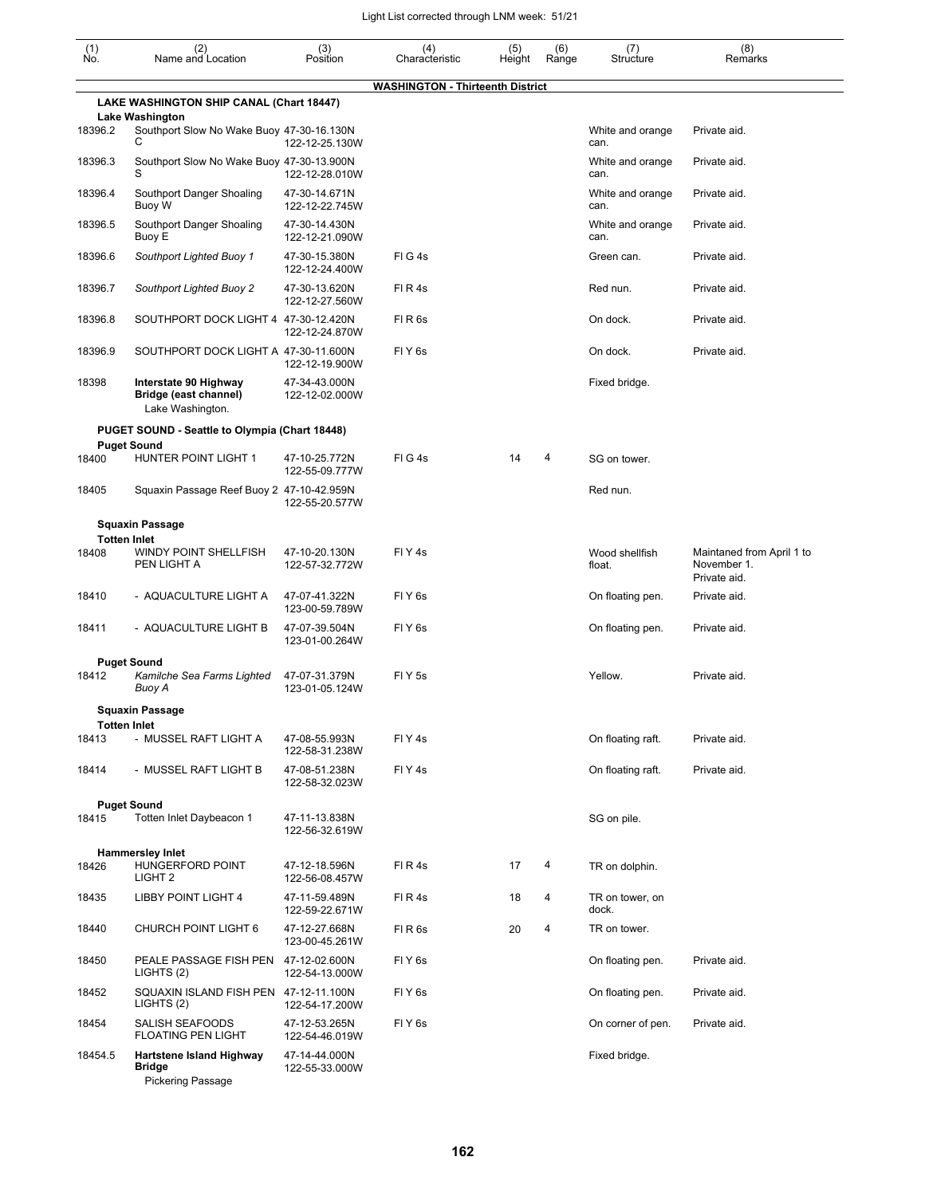| $\begin{smallmatrix} (1) \ N0. \end{smallmatrix}$ | (2)<br>Name and Location                                              | (3)<br>Position                 | (4)<br>Characteristic                   | (5)<br>Height | (6)<br>Range | (7)<br>Structure         | (8)<br>Remarks                                           |
|---------------------------------------------------|-----------------------------------------------------------------------|---------------------------------|-----------------------------------------|---------------|--------------|--------------------------|----------------------------------------------------------|
|                                                   |                                                                       |                                 | <b>WASHINGTON - Thirteenth District</b> |               |              |                          |                                                          |
|                                                   | LAKE WASHINGTON SHIP CANAL (Chart 18447)<br><b>Lake Washington</b>    |                                 |                                         |               |              |                          |                                                          |
| 18396.2                                           | Southport Slow No Wake Buoy 47-30-16.130N<br>С                        | 122-12-25.130W                  |                                         |               |              | White and orange<br>can. | Private aid.                                             |
| 18396.3                                           | Southport Slow No Wake Buoy 47-30-13.900N                             | 122-12-28.010W                  |                                         |               |              | White and orange<br>can. | Private aid.                                             |
| 18396.4                                           | Southport Danger Shoaling<br>Buoy W                                   | 47-30-14.671N<br>122-12-22.745W |                                         |               |              | White and orange<br>can. | Private aid.                                             |
| 18396.5                                           | Southport Danger Shoaling<br>Buoy E                                   | 47-30-14.430N<br>122-12-21.090W |                                         |               |              | White and orange<br>can. | Private aid.                                             |
| 18396.6                                           | Southport Lighted Buoy 1                                              | 47-30-15.380N<br>122-12-24.400W | FIG4s                                   |               |              | Green can.               | Private aid.                                             |
| 18396.7                                           | <b>Southport Lighted Buoy 2</b>                                       | 47-30-13.620N<br>122-12-27.560W | FIR4s                                   |               |              | Red nun.                 | Private aid.                                             |
| 18396.8                                           | SOUTHPORT DOCK LIGHT 4 47-30-12.420N                                  | 122-12-24.870W                  | FIR <sub>6s</sub>                       |               |              | On dock.                 | Private aid.                                             |
| 18396.9                                           | SOUTHPORT DOCK LIGHT A 47-30-11.600N                                  | 122-12-19.900W                  | FIY <sub>6s</sub>                       |               |              | On dock.                 | Private aid.                                             |
| 18398                                             | Interstate 90 Highway<br>Bridge (east channel)<br>Lake Washington.    | 47-34-43.000N<br>122-12-02.000W |                                         |               |              | Fixed bridge.            |                                                          |
|                                                   | PUGET SOUND - Seattle to Olympia (Chart 18448)                        |                                 |                                         |               |              |                          |                                                          |
| 18400                                             | <b>Puget Sound</b><br>HUNTER POINT LIGHT 1                            | 47-10-25.772N<br>122-55-09.777W | FIG4s                                   | 14            | 4            | SG on tower.             |                                                          |
| 18405                                             | Squaxin Passage Reef Buoy 2 47-10-42.959N                             | 122-55-20.577W                  |                                         |               |              | Red nun.                 |                                                          |
|                                                   | <b>Squaxin Passage</b>                                                |                                 |                                         |               |              |                          |                                                          |
| <b>Totten Inlet</b><br>18408                      | <b>WINDY POINT SHELLFISH</b><br>PEN LIGHT A                           | 47-10-20.130N<br>122-57-32.772W | FIY <sub>4s</sub>                       |               |              | Wood shellfish<br>float. | Maintaned from April 1 to<br>November 1.<br>Private aid. |
| 18410                                             | - AQUACULTURE LIGHT A                                                 | 47-07-41.322N<br>123-00-59.789W | FIY <sub>6s</sub>                       |               |              | On floating pen.         | Private aid.                                             |
| 18411                                             | - AQUACULTURE LIGHT B                                                 | 47-07-39.504N<br>123-01-00.264W | FIY <sub>6s</sub>                       |               |              | On floating pen.         | Private aid.                                             |
|                                                   | <b>Puget Sound</b>                                                    |                                 |                                         |               |              |                          |                                                          |
| 18412                                             | Kamilche Sea Farms Lighted<br>Buoy A                                  | 47-07-31.379N<br>123-01-05.124W | FIY <sub>5s</sub>                       |               |              | Yellow.                  | Private aid.                                             |
| <b>Totten Inlet</b>                               | <b>Squaxin Passage</b>                                                |                                 |                                         |               |              |                          |                                                          |
| 18413                                             | - MUSSEL RAFT LIGHT A                                                 | 47-08-55.993N<br>122-58-31.238W | FIY <sub>4s</sub>                       |               |              | On floating raft.        | Private aid.                                             |
| 18414                                             | - MUSSEL RAFT LIGHT B                                                 | 47-08-51.238N<br>122-58-32.023W | FIY <sub>4</sub> s                      |               |              | On floating raft.        | Private aid.                                             |
|                                                   | <b>Puget Sound</b>                                                    |                                 |                                         |               |              |                          |                                                          |
| 18415                                             | Totten Inlet Daybeacon 1                                              | 47-11-13.838N<br>122-56-32.619W |                                         |               |              | SG on pile.              |                                                          |
|                                                   | <b>Hammersley Inlet</b>                                               |                                 |                                         |               |              |                          |                                                          |
| 18426                                             | HUNGERFORD POINT<br>LIGHT <sub>2</sub>                                | 47-12-18.596N<br>122-56-08.457W | FIR4s                                   | 17            | 4            | TR on dolphin.           |                                                          |
| 18435                                             | <b>LIBBY POINT LIGHT 4</b>                                            | 47-11-59.489N<br>122-59-22.671W | FIR4s                                   | 18            | 4            | TR on tower, on<br>dock. |                                                          |
| 18440                                             | <b>CHURCH POINT LIGHT 6</b>                                           | 47-12-27.668N<br>123-00-45.261W | FIR <sub>6s</sub>                       | 20            | 4            | TR on tower.             |                                                          |
| 18450                                             | PEALE PASSAGE FISH PEN 47-12-02.600N<br>LIGHTS (2)                    | 122-54-13.000W                  | FIY <sub>6s</sub>                       |               |              | On floating pen.         | Private aid.                                             |
| 18452                                             | SQUAXIN ISLAND FISH PEN 47-12-11.100N<br>LIGHTS (2)                   | 122-54-17.200W                  | FIY <sub>6s</sub>                       |               |              | On floating pen.         | Private aid.                                             |
| 18454                                             | <b>SALISH SEAFOODS</b><br><b>FLOATING PEN LIGHT</b>                   | 47-12-53.265N<br>122-54-46.019W | FIY <sub>6s</sub>                       |               |              | On corner of pen.        | Private aid.                                             |
| 18454.5                                           | <b>Hartstene Island Highway</b><br>Bridge<br><b>Pickering Passage</b> | 47-14-44.000N<br>122-55-33.000W |                                         |               |              | Fixed bridge.            |                                                          |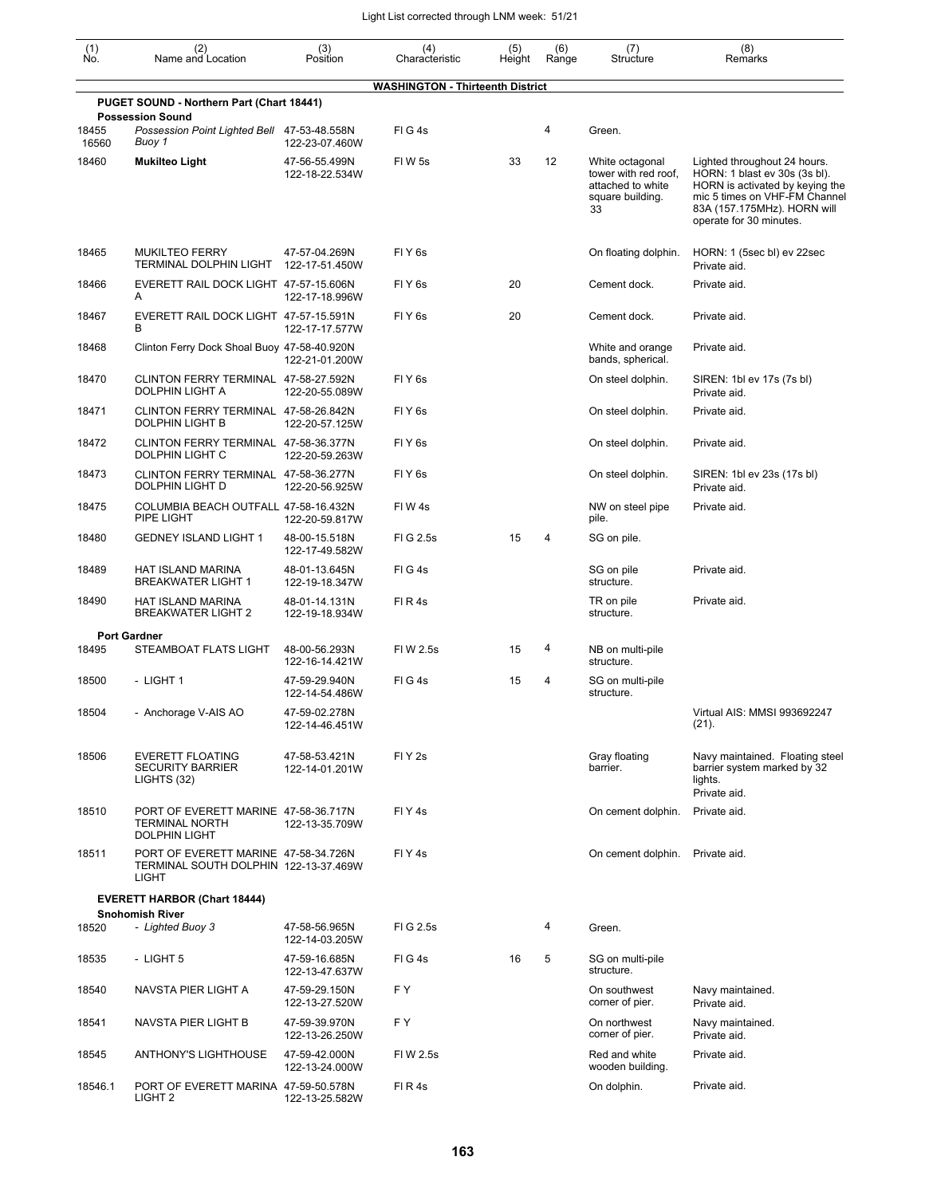| $\begin{smallmatrix} (1) \ N0. \end{smallmatrix}$ | (2)<br>Name and Location                                                                      | (3)<br>Position                                   | (4)<br>Characteristic                   | (5)<br>Height | (6)<br>Range | (7)<br>Structure                                                                       | (8)<br>Remarks                                                                                                                                                                              |
|---------------------------------------------------|-----------------------------------------------------------------------------------------------|---------------------------------------------------|-----------------------------------------|---------------|--------------|----------------------------------------------------------------------------------------|---------------------------------------------------------------------------------------------------------------------------------------------------------------------------------------------|
|                                                   |                                                                                               |                                                   | <b>WASHINGTON - Thirteenth District</b> |               |              |                                                                                        |                                                                                                                                                                                             |
|                                                   | PUGET SOUND - Northern Part (Chart 18441)                                                     |                                                   |                                         |               |              |                                                                                        |                                                                                                                                                                                             |
| 18455<br>16560                                    | <b>Possession Sound</b><br>Possession Point Lighted Bell 47-53-48.558N<br>Buoy 1              | 122-23-07.460W                                    | FIG4s                                   |               | 4            | Green.                                                                                 |                                                                                                                                                                                             |
| 18460                                             | <b>Mukilteo Light</b>                                                                         | 47-56-55.499N<br>122-18-22.534W                   | FIW 5s                                  | 33            | 12           | White octagonal<br>tower with red roof,<br>attached to white<br>square building.<br>33 | Lighted throughout 24 hours.<br>HORN: 1 blast ev 30s (3s bl).<br>HORN is activated by keying the<br>mic 5 times on VHF-FM Channel<br>83A (157.175MHz). HORN will<br>operate for 30 minutes. |
| 18465                                             | <b>MUKILTEO FERRY</b><br>TERMINAL DOLPHIN LIGHT                                               | 47-57-04.269N<br>122-17-51.450W                   | FIY <sub>6s</sub>                       |               |              | On floating dolphin.                                                                   | HORN: 1 (5sec bl) ev 22sec<br>Private aid.                                                                                                                                                  |
| 18466                                             | EVERETT RAIL DOCK LIGHT 47-57-15.606N<br>A                                                    | 122-17-18.996W                                    | FIY <sub>6s</sub>                       | 20            |              | Cement dock.                                                                           | Private aid.                                                                                                                                                                                |
| 18467                                             | EVERETT RAIL DOCK LIGHT 47-57-15.591N<br>B                                                    | 122-17-17.577W                                    | FIY <sub>6s</sub>                       | 20            |              | Cement dock.                                                                           | Private aid.                                                                                                                                                                                |
| 18468                                             | Clinton Ferry Dock Shoal Buoy 47-58-40.920N                                                   | 122-21-01.200W                                    |                                         |               |              | White and orange<br>bands, spherical.                                                  | Private aid.                                                                                                                                                                                |
| 18470                                             | CLINTON FERRY TERMINAL 47-58-27.592N<br>DOLPHIN LIGHT A                                       | 122-20-55.089W                                    | FIY <sub>6s</sub>                       |               |              | On steel dolphin.                                                                      | SIREN: 1bl ev 17s (7s bl)<br>Private aid.                                                                                                                                                   |
| 18471                                             | CLINTON FERRY TERMINAL 47-58-26.842N<br><b>DOLPHIN LIGHT B</b>                                | 122-20-57.125W                                    | FIY <sub>6s</sub>                       |               |              | On steel dolphin.                                                                      | Private aid.                                                                                                                                                                                |
| 18472                                             | CLINTON FERRY TERMINAL 47-58-36.377N<br>DOLPHIN LIGHT C                                       | 122-20-59.263W                                    | FIY <sub>6s</sub>                       |               |              | On steel dolphin.                                                                      | Private aid.                                                                                                                                                                                |
| 18473                                             | CLINTON FERRY TERMINAL 47-58-36.277N<br>DOLPHIN LIGHT D                                       | 122-20-56.925W                                    | FIY <sub>6s</sub>                       |               |              | On steel dolphin.                                                                      | SIREN: 1bl ev 23s (17s bl)<br>Private aid.                                                                                                                                                  |
| 18475                                             | COLUMBIA BEACH OUTFALL 47-58-16.432N<br>PIPE LIGHT                                            | 122-20-59.817W                                    | FIW4s                                   |               |              | NW on steel pipe<br>pile.                                                              | Private aid.                                                                                                                                                                                |
| 18480                                             | <b>GEDNEY ISLAND LIGHT 1</b>                                                                  | 48-00-15.518N<br>122-17-49.582W                   | FIG 2.5s                                | 15            | 4            | SG on pile.                                                                            |                                                                                                                                                                                             |
| 18489                                             | HAT ISLAND MARINA<br><b>BREAKWATER LIGHT 1</b>                                                | 48-01-13.645N<br>122-19-18.347W                   | FIG4s                                   |               |              | SG on pile<br>structure.                                                               | Private aid.                                                                                                                                                                                |
| 18490                                             | HAT ISLAND MARINA<br>BREAKWATER LIGHT 2                                                       | 48-01-14.131N<br>122-19-18.934W                   | FIR4s                                   |               |              | TR on pile<br>structure.                                                               | Private aid.                                                                                                                                                                                |
|                                                   | <b>Port Gardner</b>                                                                           |                                                   |                                         |               |              |                                                                                        |                                                                                                                                                                                             |
| 18495                                             | STEAMBOAT FLATS LIGHT                                                                         | 48-00-56.293N<br>122-16-14.421W                   | FIW 2.5s                                | 15            | 4            | NB on multi-pile<br>structure.                                                         |                                                                                                                                                                                             |
| 18500                                             | - LIGHT 1                                                                                     | 47-59-29.940N<br>122-14-54.486W                   | FIG4s                                   | 15            | 4            | SG on multi-pile<br>structure.                                                         |                                                                                                                                                                                             |
| 18504                                             | - Anchorage V-AIS AO                                                                          | 47-59-02.278N<br>122-14-46.451W                   |                                         |               |              |                                                                                        | Virtual AIS: MMSI 993692247<br>(21).                                                                                                                                                        |
| 18506                                             | <b>EVERETT FLOATING</b><br><b>SECURITY BARRIER</b><br>LIGHTS (32)                             | 47-58-53.421N<br>122-14-01.201W                   | FIY <sub>2s</sub>                       |               |              | Gray floating<br>barrier.                                                              | Navy maintained. Floating steel<br>barrier system marked by 32<br>lights.<br>Private aid.                                                                                                   |
| 18510                                             | PORT OF EVERETT MARINE 47-58-36.717N<br><b>TERMINAL NORTH</b><br><b>DOLPHIN LIGHT</b>         | 122-13-35.709W                                    | FIY <sub>4s</sub>                       |               |              | On cement dolphin.                                                                     | Private aid.                                                                                                                                                                                |
| 18511                                             | PORT OF EVERETT MARINE 47-58-34.726N<br>TERMINAL SOUTH DOLPHIN 122-13-37.469W<br><b>LIGHT</b> |                                                   | FIY <sub>4s</sub>                       |               |              | On cement dolphin.                                                                     | Private aid.                                                                                                                                                                                |
|                                                   | <b>EVERETT HARBOR (Chart 18444)</b>                                                           |                                                   |                                         |               |              |                                                                                        |                                                                                                                                                                                             |
| 18520                                             | <b>Snohomish River</b><br>- Lighted Buoy 3                                                    | 47-58-56.965N                                     | FIG 2.5s                                |               | 4            | Green.                                                                                 |                                                                                                                                                                                             |
| 18535                                             | - LIGHT 5                                                                                     | 122-14-03.205W<br>47-59-16.685N<br>122-13-47.637W | FIG4s                                   | 16            | 5            | SG on multi-pile<br>structure.                                                         |                                                                                                                                                                                             |
| 18540                                             | NAVSTA PIER LIGHT A                                                                           | 47-59-29.150N<br>122-13-27.520W                   | F Y                                     |               |              | On southwest<br>corner of pier.                                                        | Navy maintained.<br>Private aid.                                                                                                                                                            |
| 18541                                             | NAVSTA PIER LIGHT B                                                                           | 47-59-39.970N<br>122-13-26.250W                   | F Y                                     |               |              | On northwest<br>corner of pier.                                                        | Navy maintained.<br>Private aid.                                                                                                                                                            |
| 18545                                             | <b>ANTHONY'S LIGHTHOUSE</b>                                                                   | 47-59-42.000N<br>122-13-24.000W                   | FIW 2.5s                                |               |              | Red and white<br>wooden building.                                                      | Private aid.                                                                                                                                                                                |
| 18546.1                                           | PORT OF EVERETT MARINA 47-59-50.578N<br>LIGHT <sub>2</sub>                                    | 122-13-25.582W                                    | FIR4s                                   |               |              | On dolphin.                                                                            | Private aid.                                                                                                                                                                                |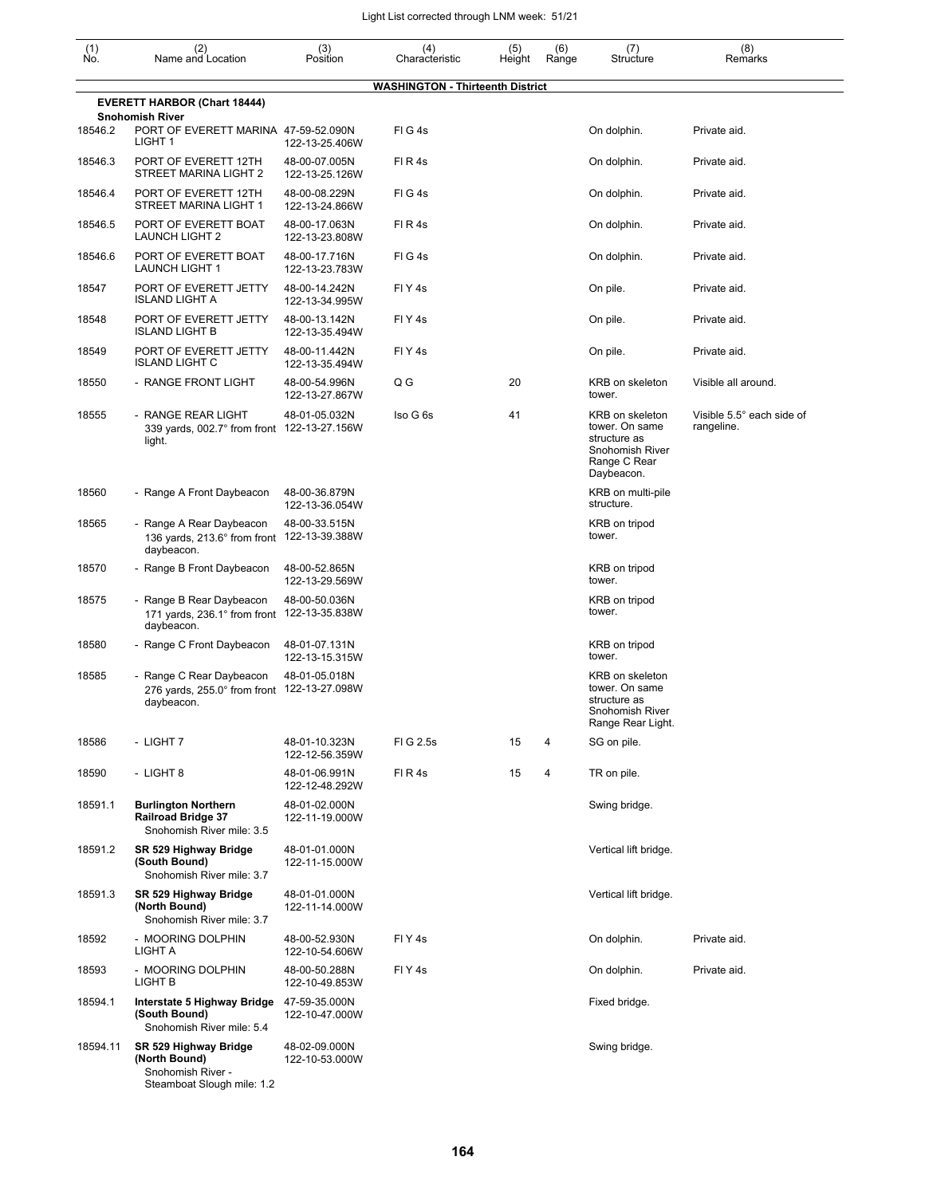| $\begin{smallmatrix} (1) \ N0. \end{smallmatrix}$ | (2)<br>Name and Location                                                                  | (3)<br>Position                 | (4)<br>Characteristic            | (5)    | (6)<br>Range | (7)<br>Structure                                                                                   | (8)<br>Remarks                          |
|---------------------------------------------------|-------------------------------------------------------------------------------------------|---------------------------------|----------------------------------|--------|--------------|----------------------------------------------------------------------------------------------------|-----------------------------------------|
|                                                   |                                                                                           |                                 |                                  | Height |              |                                                                                                    |                                         |
|                                                   | <b>EVERETT HARBOR (Chart 18444)</b>                                                       |                                 | WASHINGTON - Thirteenth District |        |              |                                                                                                    |                                         |
| 18546.2                                           | <b>Snohomish River</b><br>PORT OF EVERETT MARINA 47-59-52.090N<br>LIGHT 1                 | 122-13-25.406W                  | FIG4s                            |        |              | On dolphin.                                                                                        | Private aid.                            |
| 18546.3                                           | PORT OF EVERETT 12TH<br>STREET MARINA LIGHT 2                                             | 48-00-07.005N<br>122-13-25.126W | FIR4s                            |        |              | On dolphin.                                                                                        | Private aid.                            |
| 18546.4                                           | PORT OF EVERETT 12TH<br>STREET MARINA LIGHT 1                                             | 48-00-08.229N<br>122-13-24.866W | FIG4s                            |        |              | On dolphin.                                                                                        | Private aid.                            |
| 18546.5                                           | PORT OF EVERETT BOAT<br><b>LAUNCH LIGHT 2</b>                                             | 48-00-17.063N<br>122-13-23.808W | FIR4s                            |        |              | On dolphin.                                                                                        | Private aid.                            |
| 18546.6                                           | PORT OF EVERETT BOAT<br><b>LAUNCH LIGHT 1</b>                                             | 48-00-17.716N<br>122-13-23.783W | FIG4s                            |        |              | On dolphin.                                                                                        | Private aid.                            |
| 18547                                             | PORT OF EVERETT JETTY<br><b>ISLAND LIGHT A</b>                                            | 48-00-14.242N<br>122-13-34.995W | FIY4s                            |        |              | On pile.                                                                                           | Private aid.                            |
| 18548                                             | PORT OF EVERETT JETTY<br><b>ISLAND LIGHT B</b>                                            | 48-00-13.142N<br>122-13-35.494W | FIY <sub>4s</sub>                |        |              | On pile.                                                                                           | Private aid.                            |
| 18549                                             | PORT OF EVERETT JETTY<br><b>ISLAND LIGHT C</b>                                            | 48-00-11.442N<br>122-13-35.494W | FIY <sub>4s</sub>                |        |              | On pile.                                                                                           | Private aid.                            |
| 18550                                             | - RANGE FRONT LIGHT                                                                       | 48-00-54.996N<br>122-13-27.867W | Q G                              | 20     |              | KRB on skeleton<br>tower.                                                                          | Visible all around.                     |
| 18555                                             | - RANGE REAR LIGHT<br>339 yards, 002.7° from front 122-13-27.156W<br>light.               | 48-01-05.032N                   | Iso G 6s                         | 41     |              | KRB on skeleton<br>tower. On same<br>structure as<br>Snohomish River<br>Range C Rear<br>Daybeacon. | Visible 5.5° each side of<br>rangeline. |
| 18560                                             | - Range A Front Daybeacon                                                                 | 48-00-36.879N<br>122-13-36.054W |                                  |        |              | KRB on multi-pile<br>structure.                                                                    |                                         |
| 18565                                             | - Range A Rear Daybeacon<br>136 yards, 213.6° from front<br>daybeacon.                    | 48-00-33.515N<br>122-13-39.388W |                                  |        |              | KRB on tripod<br>tower.                                                                            |                                         |
| 18570                                             | - Range B Front Daybeacon                                                                 | 48-00-52.865N<br>122-13-29.569W |                                  |        |              | KRB on tripod<br>tower.                                                                            |                                         |
| 18575                                             | - Range B Rear Daybeacon<br>171 yards, 236.1° from front<br>daybeacon.                    | 48-00-50.036N<br>122-13-35.838W |                                  |        |              | KRB on tripod<br>tower.                                                                            |                                         |
| 18580                                             | - Range C Front Daybeacon                                                                 | 48-01-07.131N<br>122-13-15.315W |                                  |        |              | KRB on tripod<br>tower.                                                                            |                                         |
| 18585                                             | Range C Rear Daybeacon<br>276 yards, 255.0° from front<br>daybeacon.                      | 48-01-05.018N<br>122-13-27.098W |                                  |        |              | <b>KRB</b> on skeleton<br>tower. On same<br>structure as<br>Snohomish River<br>Range Rear Light.   |                                         |
| 18586                                             | - LIGHT 7                                                                                 | 48-01-10.323N<br>122-12-56.359W | FIG 2.5s                         | 15     | 4            | SG on pile.                                                                                        |                                         |
| 18590                                             | - LIGHT 8                                                                                 | 48-01-06.991N<br>122-12-48.292W | FIR4s                            | 15     | 4            | TR on pile.                                                                                        |                                         |
| 18591.1                                           | <b>Burlington Northern</b><br><b>Railroad Bridge 37</b><br>Snohomish River mile: 3.5      | 48-01-02.000N<br>122-11-19.000W |                                  |        |              | Swing bridge.                                                                                      |                                         |
| 18591.2                                           | SR 529 Highway Bridge<br>(South Bound)<br>Snohomish River mile: 3.7                       | 48-01-01.000N<br>122-11-15.000W |                                  |        |              | Vertical lift bridge.                                                                              |                                         |
| 18591.3                                           | SR 529 Highway Bridge<br>(North Bound)<br>Snohomish River mile: 3.7                       | 48-01-01.000N<br>122-11-14.000W |                                  |        |              | Vertical lift bridge.                                                                              |                                         |
| 18592                                             | - MOORING DOLPHIN<br>LIGHT A                                                              | 48-00-52.930N<br>122-10-54.606W | FIY <sub>4s</sub>                |        |              | On dolphin.                                                                                        | Private aid.                            |
| 18593                                             | - MOORING DOLPHIN<br>LIGHT B                                                              | 48-00-50.288N<br>122-10-49.853W | FIY <sub>4s</sub>                |        |              | On dolphin.                                                                                        | Private aid.                            |
| 18594.1                                           | Interstate 5 Highway Bridge<br>(South Bound)<br>Snohomish River mile: 5.4                 | 47-59-35.000N<br>122-10-47.000W |                                  |        |              | Fixed bridge.                                                                                      |                                         |
| 18594.11                                          | SR 529 Highway Bridge<br>(North Bound)<br>Snohomish River -<br>Steamboat Slough mile: 1.2 | 48-02-09.000N<br>122-10-53.000W |                                  |        |              | Swing bridge.                                                                                      |                                         |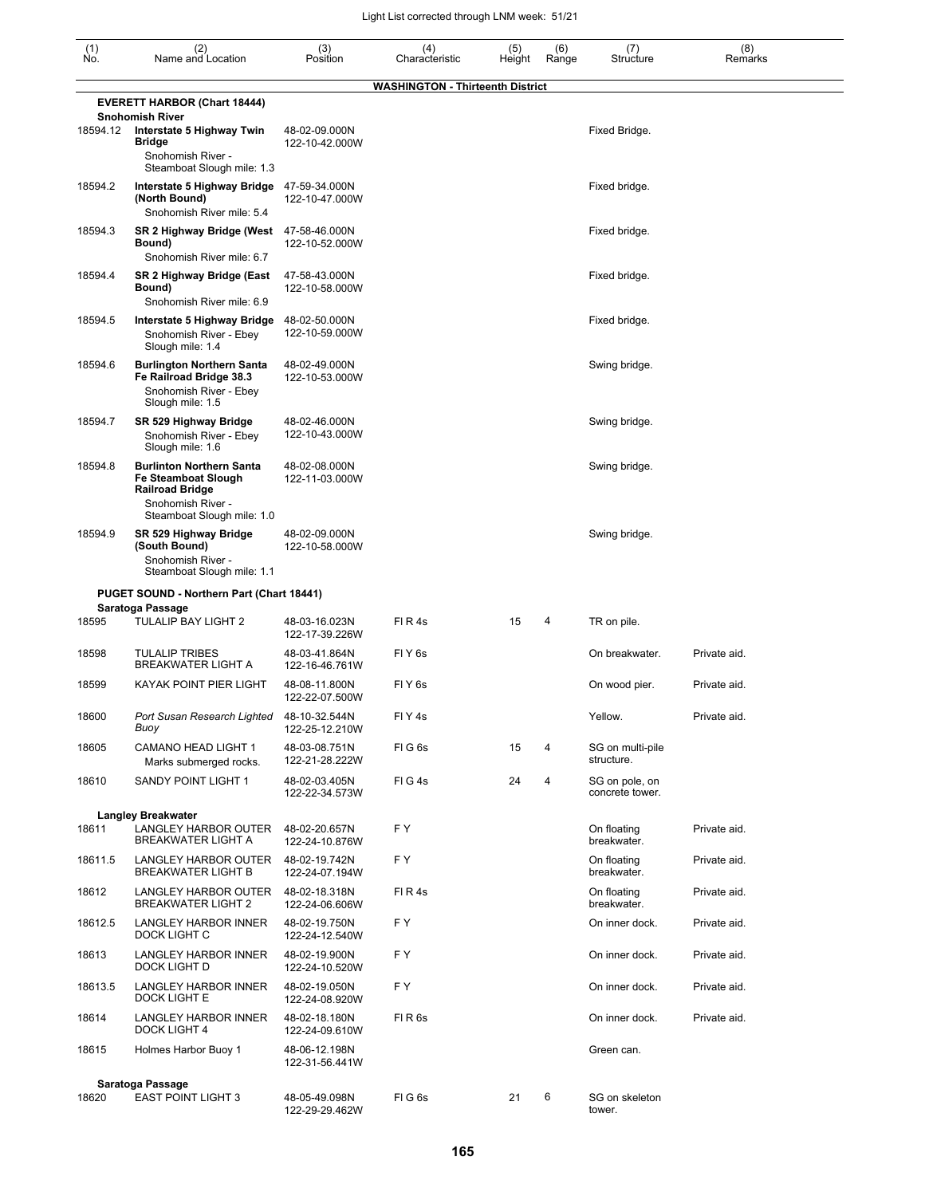| (1)<br>Ño. | (2)<br>Name and Location                                                                                                            | (3)<br>Position                 | (4)<br>Characteristic            | (5)<br>Height | (6)<br>Range | (7)<br>Structure                  | (8)<br>Remarks |
|------------|-------------------------------------------------------------------------------------------------------------------------------------|---------------------------------|----------------------------------|---------------|--------------|-----------------------------------|----------------|
|            |                                                                                                                                     |                                 | WASHINGTON - Thirteenth District |               |              |                                   |                |
|            | <b>EVERETT HARBOR (Chart 18444)</b><br><b>Snohomish River</b>                                                                       |                                 |                                  |               |              |                                   |                |
| 18594.12   | Interstate 5 Highway Twin<br><b>Bridge</b><br>Snohomish River -<br>Steamboat Slough mile: 1.3                                       | 48-02-09.000N<br>122-10-42.000W |                                  |               |              | Fixed Bridge.                     |                |
| 18594.2    | Interstate 5 Highway Bridge<br>(North Bound)<br>Snohomish River mile: 5.4                                                           | 47-59-34.000N<br>122-10-47.000W |                                  |               |              | Fixed bridge.                     |                |
| 18594.3    | SR 2 Highway Bridge (West<br>Bound)<br>Snohomish River mile: 6.7                                                                    | 47-58-46.000N<br>122-10-52.000W |                                  |               |              | Fixed bridge.                     |                |
| 18594.4    | SR 2 Highway Bridge (East<br>Bound)<br>Snohomish River mile: 6.9                                                                    | 47-58-43.000N<br>122-10-58.000W |                                  |               |              | Fixed bridge.                     |                |
| 18594.5    | Interstate 5 Highway Bridge<br>Snohomish River - Ebey<br>Slough mile: 1.4                                                           | 48-02-50.000N<br>122-10-59.000W |                                  |               |              | Fixed bridge.                     |                |
| 18594.6    | <b>Burlington Northern Santa</b><br>Fe Railroad Bridge 38.3<br>Snohomish River - Ebey<br>Slough mile: 1.5                           | 48-02-49.000N<br>122-10-53.000W |                                  |               |              | Swing bridge.                     |                |
| 18594.7    | SR 529 Highway Bridge<br>Snohomish River - Ebey<br>Slough mile: 1.6                                                                 | 48-02-46.000N<br>122-10-43.000W |                                  |               |              | Swing bridge.                     |                |
| 18594.8    | <b>Burlinton Northern Santa</b><br>Fe Steamboat Slough<br><b>Railroad Bridge</b><br>Snohomish River -<br>Steamboat Slough mile: 1.0 | 48-02-08.000N<br>122-11-03.000W |                                  |               |              | Swing bridge.                     |                |
| 18594.9    | SR 529 Highway Bridge<br>(South Bound)<br>Snohomish River -<br>Steamboat Slough mile: 1.1                                           | 48-02-09.000N<br>122-10-58.000W |                                  |               |              | Swing bridge.                     |                |
|            | PUGET SOUND - Northern Part (Chart 18441)                                                                                           |                                 |                                  |               |              |                                   |                |
| 18595      | Saratoga Passage<br>TULALIP BAY LIGHT 2                                                                                             | 48-03-16.023N<br>122-17-39.226W | FIR4s                            | 15            | 4            | TR on pile.                       |                |
| 18598      | <b>TULALIP TRIBES</b><br><b>BREAKWATER LIGHT A</b>                                                                                  | 48-03-41.864N<br>122-16-46.761W | FIY <sub>6s</sub>                |               |              | On breakwater.                    | Private aid.   |
| 18599      | KAYAK POINT PIER LIGHT                                                                                                              | 48-08-11.800N<br>122-22-07.500W | FIY <sub>6s</sub>                |               |              | On wood pier.                     | Private aid.   |
| 18600      | Port Susan Research Lighted<br>Buoy                                                                                                 | 48-10-32.544N<br>122-25-12.210W | FIY4s                            |               |              | Yellow.                           | Private aid.   |
| 18605      | CAMANO HEAD LIGHT 1<br>Marks submerged rocks.                                                                                       | 48-03-08.751N<br>122-21-28.222W | FIG <sub>6s</sub>                | 15            | 4            | SG on multi-pile<br>structure.    |                |
| 18610      | SANDY POINT LIGHT 1                                                                                                                 | 48-02-03.405N<br>122-22-34.573W | FIG4s                            | 24            | 4            | SG on pole, on<br>concrete tower. |                |
| 18611      | <b>Langley Breakwater</b><br>LANGLEY HARBOR OUTER<br><b>BREAKWATER LIGHT A</b>                                                      | 48-02-20.657N<br>122-24-10.876W | F Y                              |               |              | On floating<br>breakwater.        | Private aid.   |
| 18611.5    | LANGLEY HARBOR OUTER<br><b>BREAKWATER LIGHT B</b>                                                                                   | 48-02-19.742N<br>122-24-07.194W | F Y                              |               |              | On floating<br>breakwater.        | Private aid.   |
| 18612      | LANGLEY HARBOR OUTER<br><b>BREAKWATER LIGHT 2</b>                                                                                   | 48-02-18.318N<br>122-24-06.606W | FIR4s                            |               |              | On floating<br>breakwater.        | Private aid.   |
| 18612.5    | <b>LANGLEY HARBOR INNER</b><br>DOCK LIGHT C                                                                                         | 48-02-19.750N<br>122-24-12.540W | F Y                              |               |              | On inner dock.                    | Private aid.   |
| 18613      | <b>LANGLEY HARBOR INNER</b><br>DOCK LIGHT D                                                                                         | 48-02-19.900N<br>122-24-10.520W | F Y                              |               |              | On inner dock.                    | Private aid.   |
| 18613.5    | LANGLEY HARBOR INNER<br>DOCK LIGHT E                                                                                                | 48-02-19.050N<br>122-24-08.920W | F Y                              |               |              | On inner dock.                    | Private aid.   |
| 18614      | LANGLEY HARBOR INNER<br><b>DOCK LIGHT 4</b>                                                                                         | 48-02-18.180N<br>122-24-09.610W | FIR <sub>6s</sub>                |               |              | On inner dock.                    | Private aid.   |
| 18615      | Holmes Harbor Buoy 1                                                                                                                | 48-06-12.198N<br>122-31-56.441W |                                  |               |              | Green can.                        |                |
|            | Saratoga Passage                                                                                                                    |                                 |                                  |               |              |                                   |                |
| 18620      | <b>EAST POINT LIGHT 3</b>                                                                                                           | 48-05-49.098N<br>122-29-29.462W | FIG6s                            | 21            | 6            | SG on skeleton<br>tower.          |                |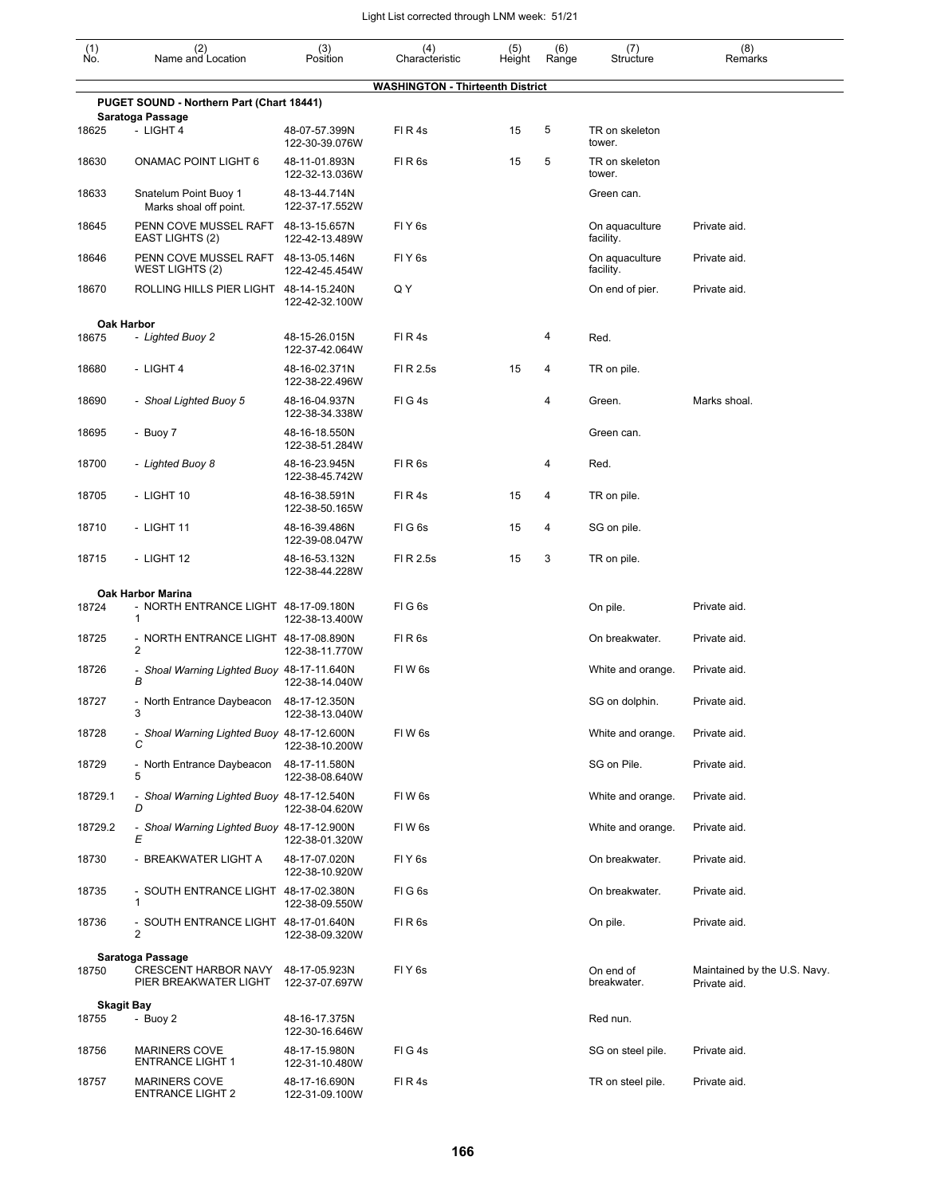| $\begin{smallmatrix} (1) \ N0. \end{smallmatrix}$ | (2)<br>Name and Location                               | (3)<br>Position                 | (4)<br>Characteristic                   | (5)<br>Height | (6)<br>Range | (7)<br>Structure            | (8)<br>Remarks                               |
|---------------------------------------------------|--------------------------------------------------------|---------------------------------|-----------------------------------------|---------------|--------------|-----------------------------|----------------------------------------------|
|                                                   |                                                        |                                 | <b>WASHINGTON - Thirteenth District</b> |               |              |                             |                                              |
|                                                   | PUGET SOUND - Northern Part (Chart 18441)              |                                 |                                         |               |              |                             |                                              |
| 18625                                             | Saratoga Passage<br>- LIGHT 4                          | 48-07-57.399N<br>122-30-39.076W | FIR4s                                   | 15            | 5            | TR on skeleton<br>tower.    |                                              |
| 18630                                             | ONAMAC POINT LIGHT 6                                   | 48-11-01.893N<br>122-32-13.036W | FIR <sub>6s</sub>                       | 15            | 5            | TR on skeleton<br>tower.    |                                              |
| 18633                                             | Snatelum Point Buoy 1<br>Marks shoal off point.        | 48-13-44.714N<br>122-37-17.552W |                                         |               |              | Green can.                  |                                              |
| 18645                                             | PENN COVE MUSSEL RAFT<br>EAST LIGHTS (2)               | 48-13-15.657N<br>122-42-13.489W | FIY <sub>6s</sub>                       |               |              | On aquaculture<br>facility. | Private aid.                                 |
| 18646                                             | PENN COVE MUSSEL RAFT 48-13-05.146N<br>WEST LIGHTS (2) | 122-42-45.454W                  | FIY <sub>6s</sub>                       |               |              | On aquaculture<br>facility. | Private aid.                                 |
| 18670                                             | ROLLING HILLS PIER LIGHT 48-14-15.240N                 | 122-42-32.100W                  | Q Y                                     |               |              | On end of pier.             | Private aid.                                 |
|                                                   | Oak Harbor                                             |                                 |                                         |               |              |                             |                                              |
| 18675                                             | - Lighted Buoy 2                                       | 48-15-26.015N<br>122-37-42.064W | FIR4s                                   |               | 4            | Red.                        |                                              |
| 18680                                             | - LIGHT 4                                              | 48-16-02.371N<br>122-38-22.496W | FI R 2.5s                               | 15            | 4            | TR on pile.                 |                                              |
| 18690                                             | - Shoal Lighted Buoy 5                                 | 48-16-04.937N<br>122-38-34.338W | FIG4s                                   |               | 4            | Green.                      | Marks shoal.                                 |
| 18695                                             | - Buoy 7                                               | 48-16-18.550N<br>122-38-51.284W |                                         |               |              | Green can.                  |                                              |
| 18700                                             | - Lighted Buoy 8                                       | 48-16-23.945N<br>122-38-45.742W | FIR6s                                   |               | 4            | Red.                        |                                              |
| 18705                                             | - LIGHT 10                                             | 48-16-38.591N<br>122-38-50.165W | FIR4s                                   | 15            | 4            | TR on pile.                 |                                              |
| 18710                                             | - LIGHT 11                                             | 48-16-39.486N<br>122-39-08.047W | FIG <sub>6s</sub>                       | 15            | 4            | SG on pile.                 |                                              |
| 18715                                             | - LIGHT 12                                             | 48-16-53.132N<br>122-38-44.228W | FI R 2.5s                               | 15            | 3            | TR on pile.                 |                                              |
|                                                   | <b>Oak Harbor Marina</b>                               |                                 |                                         |               |              |                             |                                              |
| 18724                                             | - NORTH ENTRANCE LIGHT 48-17-09.180N<br>1              | 122-38-13.400W                  | FIG <sub>6s</sub>                       |               |              | On pile.                    | Private aid.                                 |
| 18725                                             | - NORTH ENTRANCE LIGHT 48-17-08.890N<br>2              | 122-38-11.770W                  | FIR <sub>6s</sub>                       |               |              | On breakwater.              | Private aid.                                 |
| 18726                                             | - Shoal Warning Lighted Buoy 48-17-11.640N<br>в        | 122-38-14.040W                  | FIW <sub>6s</sub>                       |               |              | White and orange.           | Private aid.                                 |
| 18727                                             | - North Entrance Daybeacon 48-17-12.350N<br>3          | 122-38-13.040W                  |                                         |               |              | SG on dolphin.              | Private aid.                                 |
| 18728                                             | - Shoal Warning Lighted Buoy 48-17-12.600N<br>С        | 122-38-10.200W                  | FIW <sub>6s</sub>                       |               |              | White and orange.           | Private aid.                                 |
| 18729                                             | - North Entrance Daybeacon<br>5                        | 48-17-11.580N<br>122-38-08.640W |                                         |               |              | SG on Pile.                 | Private aid.                                 |
| 18729.1                                           | - Shoal Warning Lighted Buoy 48-17-12.540N<br>D        | 122-38-04.620W                  | FIW 6s                                  |               |              | White and orange.           | Private aid.                                 |
| 18729.2                                           | - Shoal Warning Lighted Buoy 48-17-12.900N<br>Ε        | 122-38-01.320W                  | FIW 6s                                  |               |              | White and orange.           | Private aid.                                 |
| 18730                                             | - BREAKWATER LIGHT A                                   | 48-17-07.020N<br>122-38-10.920W | FIY <sub>6s</sub>                       |               |              | On breakwater.              | Private aid.                                 |
| 18735                                             | - SOUTH ENTRANCE LIGHT 48-17-02.380N<br>1              | 122-38-09.550W                  | FIG6s                                   |               |              | On breakwater.              | Private aid.                                 |
| 18736                                             | - SOUTH ENTRANCE LIGHT 48-17-01.640N<br>$\overline{2}$ | 122-38-09.320W                  | FIR <sub>6s</sub>                       |               |              | On pile.                    | Private aid.                                 |
|                                                   | <b>Saratoga Passage</b>                                |                                 |                                         |               |              |                             |                                              |
| 18750                                             | <b>CRESCENT HARBOR NAVY</b><br>PIER BREAKWATER LIGHT   | 48-17-05.923N<br>122-37-07.697W | FIY <sub>6s</sub>                       |               |              | On end of<br>breakwater.    | Maintained by the U.S. Navy.<br>Private aid. |
|                                                   | Skagit Bay                                             |                                 |                                         |               |              |                             |                                              |
| 18755                                             | - Buoy 2                                               | 48-16-17.375N<br>122-30-16.646W |                                         |               |              | Red nun.                    |                                              |
| 18756                                             | <b>MARINERS COVE</b><br><b>ENTRANCE LIGHT 1</b>        | 48-17-15.980N<br>122-31-10.480W | FIG4s                                   |               |              | SG on steel pile.           | Private aid.                                 |
| 18757                                             | <b>MARINERS COVE</b><br><b>ENTRANCE LIGHT 2</b>        | 48-17-16.690N<br>122-31-09.100W | FIR4s                                   |               |              | TR on steel pile.           | Private aid.                                 |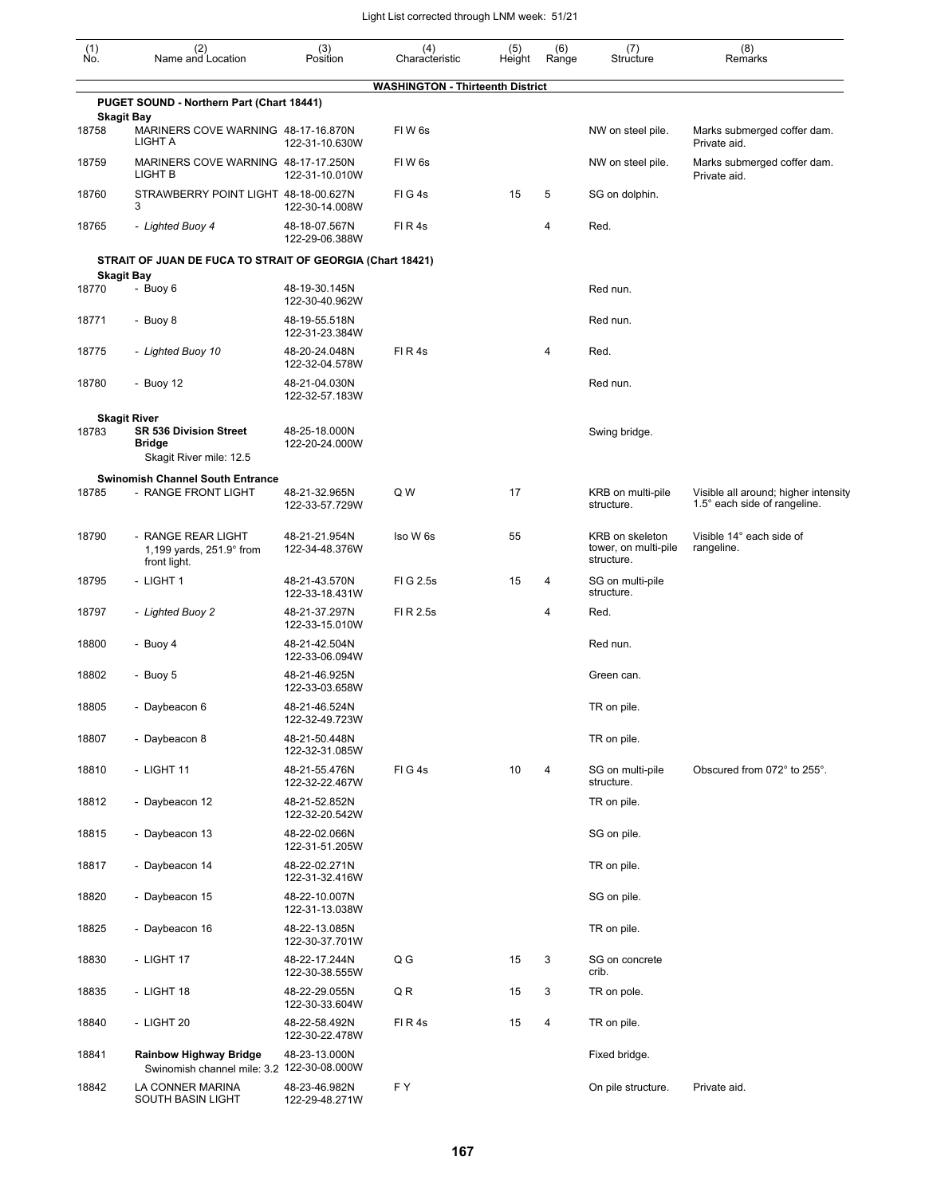| $\begin{smallmatrix} (1) \\ \mathsf{No} \end{smallmatrix}$ | (2)<br>Name and Location                                                                  | (3)<br>Position                 | (4)<br>Characteristic                   | (5)<br>Height | (6)<br>Range   | (7)<br>Structure                                      | (8)<br>Remarks                                                       |
|------------------------------------------------------------|-------------------------------------------------------------------------------------------|---------------------------------|-----------------------------------------|---------------|----------------|-------------------------------------------------------|----------------------------------------------------------------------|
|                                                            |                                                                                           |                                 | <b>WASHINGTON - Thirteenth District</b> |               |                |                                                       |                                                                      |
|                                                            | PUGET SOUND - Northern Part (Chart 18441)<br><b>Skagit Bay</b>                            |                                 |                                         |               |                |                                                       |                                                                      |
| 18758                                                      | MARINERS COVE WARNING 48-17-16.870N<br><b>LIGHT A</b>                                     | 122-31-10.630W                  | FIW6s                                   |               |                | NW on steel pile.                                     | Marks submerged coffer dam.<br>Private aid.                          |
| 18759                                                      | MARINERS COVE WARNING 48-17-17.250N<br>LIGHT B                                            | 122-31-10.010W                  | FIW <sub>6s</sub>                       |               |                | NW on steel pile.                                     | Marks submerged coffer dam.<br>Private aid.                          |
| 18760                                                      | STRAWBERRY POINT LIGHT 48-18-00.627N<br>3                                                 | 122-30-14.008W                  | FIG4s                                   | 15            | 5              | SG on dolphin.                                        |                                                                      |
| 18765                                                      | - Lighted Buoy 4                                                                          | 48-18-07.567N<br>122-29-06.388W | FIR4s                                   |               | 4              | Red.                                                  |                                                                      |
|                                                            | STRAIT OF JUAN DE FUCA TO STRAIT OF GEORGIA (Chart 18421)                                 |                                 |                                         |               |                |                                                       |                                                                      |
| 18770                                                      | <b>Skagit Bay</b><br>- Buoy 6                                                             | 48-19-30.145N                   |                                         |               |                | Red nun.                                              |                                                                      |
|                                                            |                                                                                           | 122-30-40.962W                  |                                         |               |                |                                                       |                                                                      |
| 18771                                                      | - Buoy 8                                                                                  | 48-19-55.518N<br>122-31-23.384W |                                         |               |                | Red nun.                                              |                                                                      |
| 18775                                                      | - Lighted Buoy 10                                                                         | 48-20-24.048N<br>122-32-04.578W | FIR4s                                   |               | 4              | Red.                                                  |                                                                      |
| 18780                                                      | - Buoy 12                                                                                 | 48-21-04.030N<br>122-32-57.183W |                                         |               |                | Red nun.                                              |                                                                      |
| 18783                                                      | <b>Skagit River</b><br><b>SR 536 Division Street</b><br>Bridge<br>Skagit River mile: 12.5 | 48-25-18.000N<br>122-20-24.000W |                                         |               |                | Swing bridge.                                         |                                                                      |
| 18785                                                      | <b>Swinomish Channel South Entrance</b><br>- RANGE FRONT LIGHT                            | 48-21-32.965N<br>122-33-57.729W | Q W                                     | 17            |                | KRB on multi-pile<br>structure.                       | Visible all around; higher intensity<br>1.5° each side of rangeline. |
| 18790                                                      | - RANGE REAR LIGHT<br>1,199 yards, 251.9° from<br>front light.                            | 48-21-21.954N<br>122-34-48.376W | Iso W 6s                                | 55            |                | KRB on skeleton<br>tower, on multi-pile<br>structure. | Visible 14° each side of<br>rangeline.                               |
| 18795                                                      | - LIGHT 1                                                                                 | 48-21-43.570N<br>122-33-18.431W | FIG 2.5s                                | 15            | 4              | SG on multi-pile<br>structure.                        |                                                                      |
| 18797                                                      | - Lighted Buoy 2                                                                          | 48-21-37.297N<br>122-33-15.010W | FI R 2.5s                               |               | 4              | Red.                                                  |                                                                      |
| 18800                                                      | - Buoy 4                                                                                  | 48-21-42.504N<br>122-33-06.094W |                                         |               |                | Red nun.                                              |                                                                      |
| 18802                                                      | - Buoy 5                                                                                  | 48-21-46.925N<br>122-33-03.658W |                                         |               |                | Green can.                                            |                                                                      |
| 18805                                                      | - Daybeacon 6                                                                             | 48-21-46.524N<br>122-32-49.723W |                                         |               |                | TR on pile.                                           |                                                                      |
| 18807                                                      | - Daybeacon 8                                                                             | 48-21-50.448N<br>122-32-31.085W |                                         |               |                | TR on pile.                                           |                                                                      |
| 18810                                                      | - LIGHT 11                                                                                | 48-21-55.476N<br>122-32-22.467W | FIG4s                                   | 10            | 4              | SG on multi-pile<br>structure.                        | Obscured from 072° to 255°.                                          |
| 18812                                                      | - Daybeacon 12                                                                            | 48-21-52.852N<br>122-32-20.542W |                                         |               |                | TR on pile.                                           |                                                                      |
| 18815                                                      | - Daybeacon 13                                                                            | 48-22-02.066N<br>122-31-51.205W |                                         |               |                | SG on pile.                                           |                                                                      |
| 18817                                                      | - Daybeacon 14                                                                            | 48-22-02.271N<br>122-31-32.416W |                                         |               |                | TR on pile.                                           |                                                                      |
| 18820                                                      | - Daybeacon 15                                                                            | 48-22-10.007N<br>122-31-13.038W |                                         |               |                | SG on pile.                                           |                                                                      |
| 18825                                                      | - Daybeacon 16                                                                            | 48-22-13.085N<br>122-30-37.701W |                                         |               |                | TR on pile.                                           |                                                                      |
| 18830                                                      | - LIGHT 17                                                                                | 48-22-17.244N<br>122-30-38.555W | Q G                                     | 15            | 3              | SG on concrete<br>crib.                               |                                                                      |
| 18835                                                      | - LIGHT 18                                                                                | 48-22-29.055N<br>122-30-33.604W | QR                                      | 15            | 3              | TR on pole.                                           |                                                                      |
| 18840                                                      | - LIGHT 20                                                                                | 48-22-58.492N<br>122-30-22.478W | FIR4s                                   | 15            | $\overline{4}$ | TR on pile.                                           |                                                                      |
| 18841                                                      | <b>Rainbow Highway Bridge</b><br>Swinomish channel mile: 3.2 122-30-08.000W               | 48-23-13.000N                   |                                         |               |                | Fixed bridge.                                         |                                                                      |
| 18842                                                      | LA CONNER MARINA<br>SOUTH BASIN LIGHT                                                     | 48-23-46.982N<br>122-29-48.271W | F Y                                     |               |                | On pile structure.                                    | Private aid.                                                         |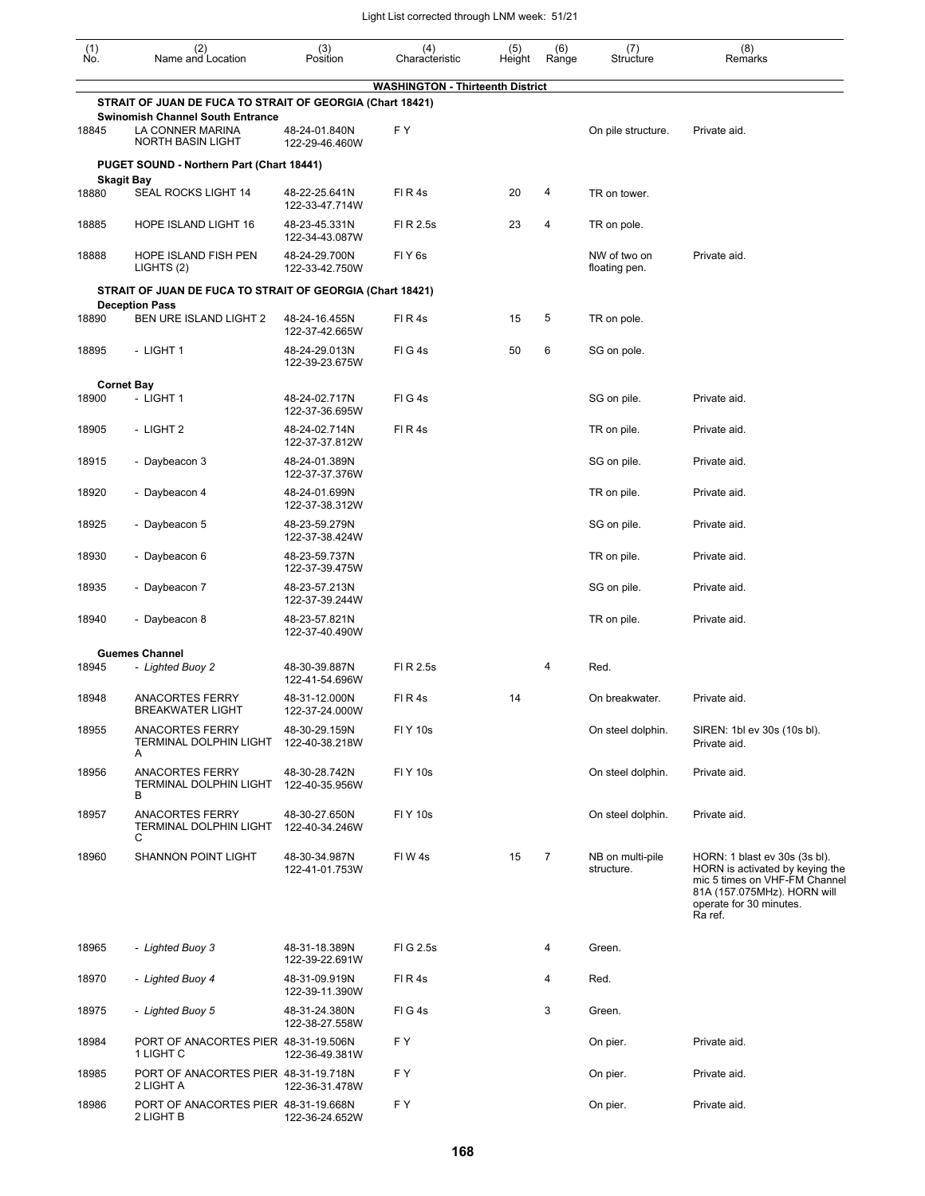| $\begin{smallmatrix} (1) \\ \mathsf{No} \end{smallmatrix}$ | (2)<br>Name and Location                                                                | (3)<br>Position                 | (4)<br>Characteristic                   | (5)<br>Height | (6)<br>Range   | (7)<br>Structure               | (8)<br>Remarks                                                                                                                                                         |
|------------------------------------------------------------|-----------------------------------------------------------------------------------------|---------------------------------|-----------------------------------------|---------------|----------------|--------------------------------|------------------------------------------------------------------------------------------------------------------------------------------------------------------------|
|                                                            | STRAIT OF JUAN DE FUCA TO STRAIT OF GEORGIA (Chart 18421)                               |                                 | <b>WASHINGTON - Thirteenth District</b> |               |                |                                |                                                                                                                                                                        |
| 18845                                                      | <b>Swinomish Channel South Entrance</b><br>LA CONNER MARINA<br><b>NORTH BASIN LIGHT</b> | 48-24-01.840N<br>122-29-46.460W | F Y                                     |               |                | On pile structure.             | Private aid.                                                                                                                                                           |
|                                                            | PUGET SOUND - Northern Part (Chart 18441)                                               |                                 |                                         |               |                |                                |                                                                                                                                                                        |
| 18880                                                      | <b>Skagit Bay</b><br>SEAL ROCKS LIGHT 14                                                | 48-22-25.641N<br>122-33-47.714W | FIR4s                                   | 20            | 4              | TR on tower.                   |                                                                                                                                                                        |
| 18885                                                      | HOPE ISLAND LIGHT 16                                                                    | 48-23-45.331N<br>122-34-43.087W | FI R 2.5s                               | 23            | 4              | TR on pole.                    |                                                                                                                                                                        |
| 18888                                                      | HOPE ISLAND FISH PEN<br>LIGHTS (2)                                                      | 48-24-29.700N<br>122-33-42.750W | FIY <sub>6s</sub>                       |               |                | NW of two on<br>floating pen.  | Private aid.                                                                                                                                                           |
|                                                            | STRAIT OF JUAN DE FUCA TO STRAIT OF GEORGIA (Chart 18421)                               |                                 |                                         |               |                |                                |                                                                                                                                                                        |
| 18890                                                      | <b>Deception Pass</b><br>BEN URE ISLAND LIGHT 2                                         | 48-24-16.455N<br>122-37-42.665W | FIR4s                                   | 15            | 5              | TR on pole.                    |                                                                                                                                                                        |
| 18895                                                      | - LIGHT 1                                                                               | 48-24-29.013N<br>122-39-23.675W | FIG4s                                   | 50            | 6              | SG on pole.                    |                                                                                                                                                                        |
|                                                            | <b>Cornet Bay</b>                                                                       |                                 |                                         |               |                |                                |                                                                                                                                                                        |
| 18900                                                      | - LIGHT 1                                                                               | 48-24-02.717N<br>122-37-36.695W | FIG4s                                   |               |                | SG on pile.                    | Private aid.                                                                                                                                                           |
| 18905                                                      | - LIGHT 2                                                                               | 48-24-02.714N<br>122-37-37.812W | FIR4s                                   |               |                | TR on pile.                    | Private aid.                                                                                                                                                           |
| 18915                                                      | - Daybeacon 3                                                                           | 48-24-01.389N<br>122-37-37.376W |                                         |               |                | SG on pile.                    | Private aid.                                                                                                                                                           |
| 18920                                                      | - Daybeacon 4                                                                           | 48-24-01.699N<br>122-37-38.312W |                                         |               |                | TR on pile.                    | Private aid.                                                                                                                                                           |
| 18925                                                      | - Daybeacon 5                                                                           | 48-23-59.279N<br>122-37-38.424W |                                         |               |                | SG on pile.                    | Private aid.                                                                                                                                                           |
| 18930                                                      | - Daybeacon 6                                                                           | 48-23-59.737N<br>122-37-39.475W |                                         |               |                | TR on pile.                    | Private aid.                                                                                                                                                           |
| 18935                                                      | - Daybeacon 7                                                                           | 48-23-57.213N<br>122-37-39.244W |                                         |               |                | SG on pile.                    | Private aid.                                                                                                                                                           |
| 18940                                                      | - Daybeacon 8                                                                           | 48-23-57.821N<br>122-37-40.490W |                                         |               |                | TR on pile.                    | Private aid.                                                                                                                                                           |
| 18945                                                      | <b>Guemes Channel</b><br>- Lighted Buoy 2                                               | 48-30-39.887N                   | FI R 2.5s                               |               | 4              | Red.                           |                                                                                                                                                                        |
| 18948                                                      | <b>ANACORTES FERRY</b>                                                                  | 122-41-54.696W<br>48-31-12.000N | FIR4s                                   | 14            |                | On breakwater.                 | Private aid.                                                                                                                                                           |
|                                                            | <b>BREAKWATER LIGHT</b>                                                                 | 122-37-24.000W                  |                                         |               |                |                                |                                                                                                                                                                        |
| 18955                                                      | <b>ANACORTES FERRY</b><br>TERMINAL DOLPHIN LIGHT<br>A                                   | 48-30-29.159N<br>122-40-38.218W | FI Y 10s                                |               |                | On steel dolphin.              | SIREN: 1bl ev 30s (10s bl).<br>Private aid.                                                                                                                            |
| 18956                                                      | <b>ANACORTES FERRY</b><br><b>TERMINAL DOLPHIN LIGHT</b><br>В                            | 48-30-28.742N<br>122-40-35.956W | <b>FIY 10s</b>                          |               |                | On steel dolphin.              | Private aid.                                                                                                                                                           |
| 18957                                                      | <b>ANACORTES FERRY</b><br><b>TERMINAL DOLPHIN LIGHT</b><br>С                            | 48-30-27.650N<br>122-40-34.246W | <b>FIY 10s</b>                          |               |                | On steel dolphin.              | Private aid.                                                                                                                                                           |
| 18960                                                      | SHANNON POINT LIGHT                                                                     | 48-30-34.987N<br>122-41-01.753W | FIW4s                                   | 15            | $\overline{7}$ | NB on multi-pile<br>structure. | HORN: 1 blast ev 30s (3s bl).<br>HORN is activated by keying the<br>mic 5 times on VHF-FM Channel<br>81A (157.075MHz). HORN will<br>operate for 30 minutes.<br>Ra ref. |
| 18965                                                      | - Lighted Buoy 3                                                                        | 48-31-18.389N<br>122-39-22.691W | FIG 2.5s                                |               | 4              | Green.                         |                                                                                                                                                                        |
| 18970                                                      | - Lighted Buoy 4                                                                        | 48-31-09.919N<br>122-39-11.390W | FIR4s                                   |               | 4              | Red.                           |                                                                                                                                                                        |
| 18975                                                      | - Lighted Buoy 5                                                                        | 48-31-24.380N<br>122-38-27.558W | FIG4s                                   |               | 3              | Green.                         |                                                                                                                                                                        |
| 18984                                                      | PORT OF ANACORTES PIER 48-31-19.506N<br>1 LIGHT C                                       | 122-36-49.381W                  | F Y                                     |               |                | On pier.                       | Private aid.                                                                                                                                                           |
| 18985                                                      | PORT OF ANACORTES PIER 48-31-19.718N<br>2 LIGHT A                                       | 122-36-31.478W                  | FΥ                                      |               |                | On pier.                       | Private aid.                                                                                                                                                           |
| 18986                                                      | PORT OF ANACORTES PIER 48-31-19.668N<br>2 LIGHT B                                       | 122-36-24.652W                  | F Y                                     |               |                | On pier.                       | Private aid.                                                                                                                                                           |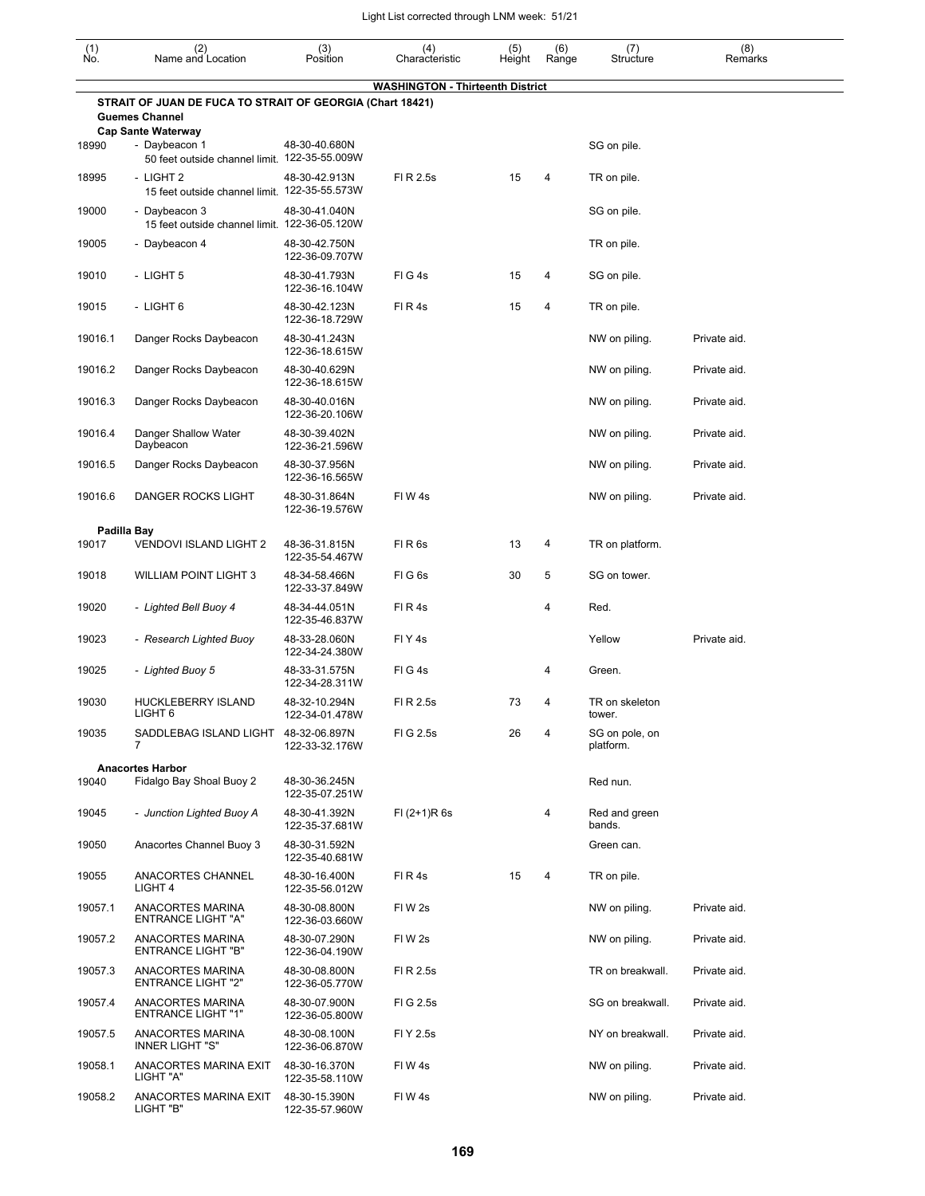| (1)<br>No.  | (2)<br>Name and Location                                                                    | (3)<br>Position                 | (4)<br>Characteristic                   | (5)<br>Height | (6)<br>Range | (7)<br>Structure            | (8)<br>Remarks |
|-------------|---------------------------------------------------------------------------------------------|---------------------------------|-----------------------------------------|---------------|--------------|-----------------------------|----------------|
|             |                                                                                             |                                 | <b>WASHINGTON - Thirteenth District</b> |               |              |                             |                |
|             | STRAIT OF JUAN DE FUCA TO STRAIT OF GEORGIA (Chart 18421)<br><b>Guemes Channel</b>          |                                 |                                         |               |              |                             |                |
| 18990       | <b>Cap Sante Waterway</b><br>- Daybeacon 1<br>50 feet outside channel limit. 122-35-55.009W | 48-30-40.680N                   |                                         |               |              | SG on pile.                 |                |
| 18995       | - LIGHT 2<br>15 feet outside channel limit. 122-35-55.573W                                  | 48-30-42.913N                   | FI R 2.5s                               | 15            | 4            | TR on pile.                 |                |
| 19000       | - Daybeacon 3<br>15 feet outside channel limit. 122-36-05.120W                              | 48-30-41.040N                   |                                         |               |              | SG on pile.                 |                |
| 19005       | - Daybeacon 4                                                                               | 48-30-42.750N<br>122-36-09.707W |                                         |               |              | TR on pile.                 |                |
| 19010       | - LIGHT 5                                                                                   | 48-30-41.793N<br>122-36-16.104W | FIG4s                                   | 15            | 4            | SG on pile.                 |                |
| 19015       | - LIGHT 6                                                                                   | 48-30-42.123N<br>122-36-18.729W | FIR4s                                   | 15            | 4            | TR on pile.                 |                |
| 19016.1     | Danger Rocks Daybeacon                                                                      | 48-30-41.243N<br>122-36-18.615W |                                         |               |              | NW on piling.               | Private aid.   |
| 19016.2     | Danger Rocks Daybeacon                                                                      | 48-30-40.629N<br>122-36-18.615W |                                         |               |              | NW on piling.               | Private aid.   |
| 19016.3     | Danger Rocks Daybeacon                                                                      | 48-30-40.016N<br>122-36-20.106W |                                         |               |              | NW on piling.               | Private aid.   |
| 19016.4     | Danger Shallow Water<br>Daybeacon                                                           | 48-30-39.402N<br>122-36-21.596W |                                         |               |              | NW on piling.               | Private aid.   |
| 19016.5     | Danger Rocks Daybeacon                                                                      | 48-30-37.956N<br>122-36-16.565W |                                         |               |              | NW on piling.               | Private aid.   |
| 19016.6     | DANGER ROCKS LIGHT                                                                          | 48-30-31.864N<br>122-36-19.576W | FIW4s                                   |               |              | NW on piling.               | Private aid.   |
| Padilla Bay |                                                                                             |                                 |                                         |               |              |                             |                |
| 19017       | VENDOVI ISLAND LIGHT 2                                                                      | 48-36-31.815N<br>122-35-54.467W | FIR <sub>6s</sub>                       | 13            | 4            | TR on platform.             |                |
| 19018       | <b>WILLIAM POINT LIGHT 3</b>                                                                | 48-34-58.466N<br>122-33-37.849W | FIG6s                                   | 30            | 5            | SG on tower.                |                |
| 19020       | - Lighted Bell Buoy 4                                                                       | 48-34-44.051N<br>122-35-46.837W | FIR4s                                   |               | 4            | Red.                        |                |
| 19023       | - Research Lighted Buoy                                                                     | 48-33-28.060N<br>122-34-24.380W | FIY <sub>4s</sub>                       |               |              | Yellow                      | Private aid.   |
| 19025       | - Lighted Buoy 5                                                                            | 48-33-31.575N<br>122-34-28.311W | FIG4s                                   |               | 4            | Green.                      |                |
| 19030       | <b>HUCKLEBERRY ISLAND</b><br>LIGHT 6                                                        | 48-32-10.294N<br>122-34-01.478W | FI R 2.5s                               | 73            | 4            | TR on skeleton<br>tower.    |                |
| 19035       | SADDLEBAG ISLAND LIGHT 48-32-06.897N<br>7                                                   | 122-33-32.176W                  | FIG 2.5s                                | 26            | 4            | SG on pole, on<br>platform. |                |
|             | <b>Anacortes Harbor</b>                                                                     |                                 |                                         |               |              |                             |                |
| 19040       | Fidalgo Bay Shoal Buoy 2                                                                    | 48-30-36.245N<br>122-35-07.251W |                                         |               |              | Red nun.                    |                |
| 19045       | - Junction Lighted Buoy A                                                                   | 48-30-41.392N<br>122-35-37.681W | $FI (2+1)R 6s$                          |               | 4            | Red and green<br>bands.     |                |
| 19050       | Anacortes Channel Buoy 3                                                                    | 48-30-31.592N<br>122-35-40.681W |                                         |               |              | Green can.                  |                |
| 19055       | ANACORTES CHANNEL<br>LIGHT <sub>4</sub>                                                     | 48-30-16.400N<br>122-35-56.012W | FIR4s                                   | 15            | 4            | TR on pile.                 |                |
| 19057.1     | ANACORTES MARINA<br><b>ENTRANCE LIGHT "A"</b>                                               | 48-30-08.800N<br>122-36-03.660W | FIW <sub>2s</sub>                       |               |              | NW on piling.               | Private aid.   |
| 19057.2     | ANACORTES MARINA<br><b>ENTRANCE LIGHT "B"</b>                                               | 48-30-07.290N<br>122-36-04.190W | FIW 2s                                  |               |              | NW on piling.               | Private aid.   |
| 19057.3     | ANACORTES MARINA<br><b>ENTRANCE LIGHT "2"</b>                                               | 48-30-08.800N<br>122-36-05.770W | FI R 2.5s                               |               |              | TR on breakwall.            | Private aid.   |
| 19057.4     | ANACORTES MARINA<br><b>ENTRANCE LIGHT "1"</b>                                               | 48-30-07.900N<br>122-36-05.800W | FIG 2.5s                                |               |              | SG on breakwall.            | Private aid.   |
| 19057.5     | ANACORTES MARINA<br><b>INNER LIGHT "S"</b>                                                  | 48-30-08.100N<br>122-36-06.870W | FI Y 2.5s                               |               |              | NY on breakwall.            | Private aid.   |
| 19058.1     | ANACORTES MARINA EXIT<br>LIGHT "A"                                                          | 48-30-16.370N<br>122-35-58.110W | FIW4s                                   |               |              | NW on piling.               | Private aid.   |
| 19058.2     | ANACORTES MARINA EXIT<br>LIGHT "B"                                                          | 48-30-15.390N<br>122-35-57.960W | FIW4s                                   |               |              | NW on piling.               | Private aid.   |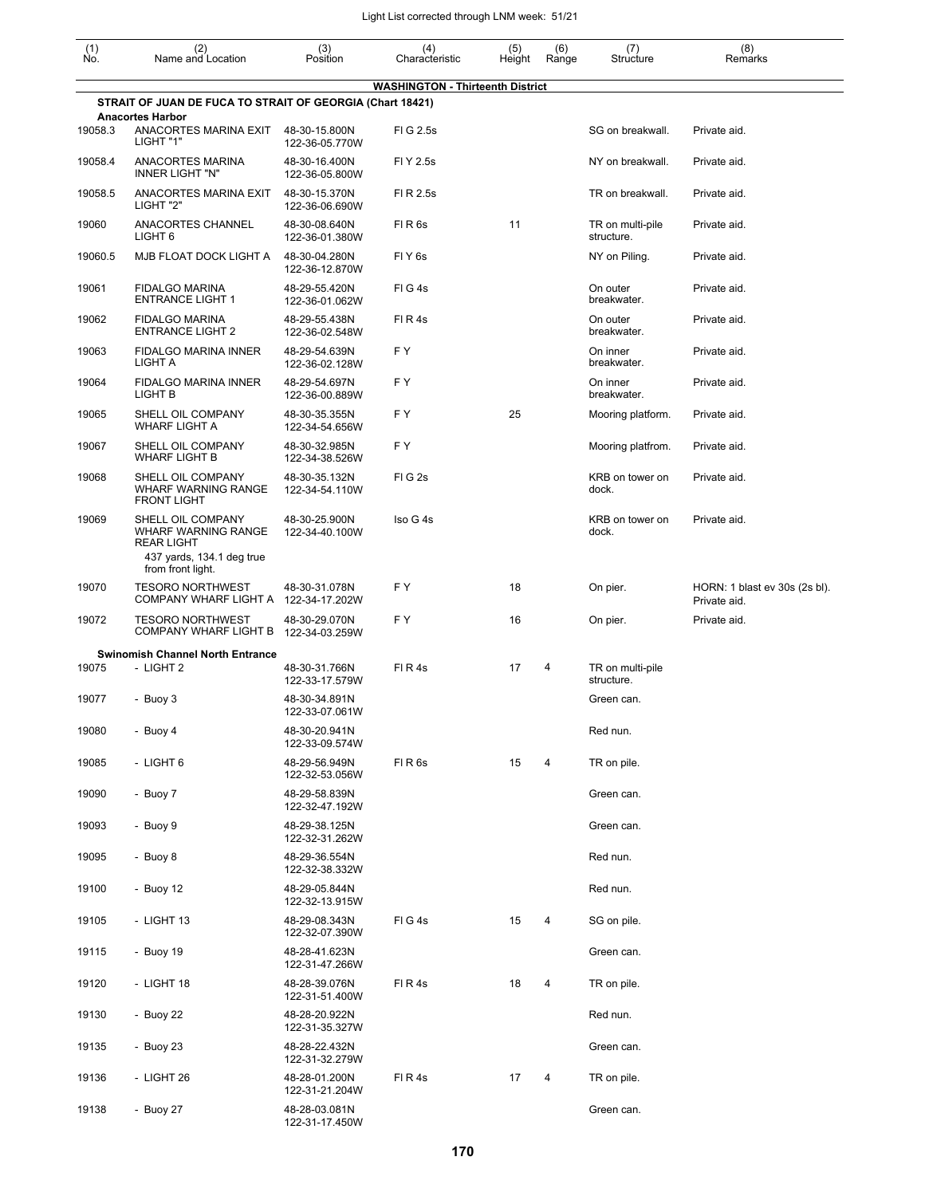| $\begin{smallmatrix} (1) \\ \mathsf{No} \end{smallmatrix}$ | (2)<br>Name and Location                                                                                               | (3)<br>Position                 | (4)<br>Characteristic                   | (5)<br>Height | (6)<br>Range | (7)<br>Structure               | (8)<br>Remarks                                |
|------------------------------------------------------------|------------------------------------------------------------------------------------------------------------------------|---------------------------------|-----------------------------------------|---------------|--------------|--------------------------------|-----------------------------------------------|
|                                                            |                                                                                                                        |                                 | <b>WASHINGTON - Thirteenth District</b> |               |              |                                |                                               |
|                                                            | STRAIT OF JUAN DE FUCA TO STRAIT OF GEORGIA (Chart 18421)                                                              |                                 |                                         |               |              |                                |                                               |
| 19058.3                                                    | <b>Anacortes Harbor</b><br>ANACORTES MARINA EXIT<br>LIGHT "1"                                                          | 48-30-15.800N<br>122-36-05.770W | FIG 2.5s                                |               |              | SG on breakwall.               | Private aid.                                  |
| 19058.4                                                    | ANACORTES MARINA<br><b>INNER LIGHT "N"</b>                                                                             | 48-30-16.400N<br>122-36-05.800W | FI Y 2.5s                               |               |              | NY on breakwall.               | Private aid.                                  |
| 19058.5                                                    | ANACORTES MARINA EXIT<br>LIGHT "2"                                                                                     | 48-30-15.370N<br>122-36-06.690W | FI R 2.5s                               |               |              | TR on breakwall.               | Private aid.                                  |
| 19060                                                      | ANACORTES CHANNEL<br>LIGHT <sub>6</sub>                                                                                | 48-30-08.640N<br>122-36-01.380W | FIR <sub>6s</sub>                       | 11            |              | TR on multi-pile<br>structure. | Private aid.                                  |
| 19060.5                                                    | MJB FLOAT DOCK LIGHT A                                                                                                 | 48-30-04.280N<br>122-36-12.870W | FIY <sub>6s</sub>                       |               |              | NY on Piling.                  | Private aid.                                  |
| 19061                                                      | <b>FIDALGO MARINA</b><br><b>ENTRANCE LIGHT 1</b>                                                                       | 48-29-55.420N<br>122-36-01.062W | FIG4s                                   |               |              | On outer<br>breakwater.        | Private aid.                                  |
| 19062                                                      | <b>FIDALGO MARINA</b><br><b>ENTRANCE LIGHT 2</b>                                                                       | 48-29-55.438N<br>122-36-02.548W | FIR4s                                   |               |              | On outer<br>breakwater.        | Private aid.                                  |
| 19063                                                      | FIDALGO MARINA INNER<br>LIGHT A                                                                                        | 48-29-54.639N<br>122-36-02.128W | F Y                                     |               |              | On inner<br>breakwater.        | Private aid.                                  |
| 19064                                                      | FIDALGO MARINA INNER<br>LIGHT B                                                                                        | 48-29-54.697N<br>122-36-00.889W | FY                                      |               |              | On inner<br>breakwater.        | Private aid.                                  |
| 19065                                                      | SHELL OIL COMPANY<br><b>WHARF LIGHT A</b>                                                                              | 48-30-35.355N<br>122-34-54.656W | FY                                      | 25            |              | Mooring platform.              | Private aid.                                  |
| 19067                                                      | SHELL OIL COMPANY<br><b>WHARF LIGHT B</b>                                                                              | 48-30-32.985N<br>122-34-38.526W | FY.                                     |               |              | Mooring platfrom.              | Private aid.                                  |
| 19068                                                      | SHELL OIL COMPANY<br><b>WHARF WARNING RANGE</b><br><b>FRONT LIGHT</b>                                                  | 48-30-35.132N<br>122-34-54.110W | FIG <sub>2s</sub>                       |               |              | KRB on tower on<br>dock.       | Private aid.                                  |
| 19069                                                      | SHELL OIL COMPANY<br><b>WHARF WARNING RANGE</b><br><b>REAR LIGHT</b><br>437 yards, 134.1 deg true<br>from front light. | 48-30-25.900N<br>122-34-40.100W | Iso G 4s                                |               |              | KRB on tower on<br>dock.       | Private aid.                                  |
| 19070                                                      | <b>TESORO NORTHWEST</b><br>COMPANY WHARF LIGHT A                                                                       | 48-30-31.078N<br>122-34-17.202W | FY                                      | 18            |              | On pier.                       | HORN: 1 blast ev 30s (2s bl).<br>Private aid. |
| 19072                                                      | <b>TESORO NORTHWEST</b><br><b>COMPANY WHARF LIGHT B</b>                                                                | 48-30-29.070N<br>122-34-03.259W | FY                                      | 16            |              | On pier.                       | Private aid.                                  |
|                                                            | <b>Swinomish Channel North Entrance</b>                                                                                |                                 |                                         |               |              |                                |                                               |
| 19075                                                      | - LIGHT 2                                                                                                              | 48-30-31.766N<br>122-33-17.579W | FIR4s                                   | 17            | 4            | TR on multi-pile<br>structure. |                                               |
| 19077                                                      | - Buoy 3                                                                                                               | 48-30-34.891N<br>122-33-07.061W |                                         |               |              | Green can.                     |                                               |
| 19080                                                      | - Buoy 4                                                                                                               | 48-30-20.941N<br>122-33-09.574W |                                         |               |              | Red nun.                       |                                               |
| 19085                                                      | - LIGHT 6                                                                                                              | 48-29-56.949N<br>122-32-53.056W | FIR6s                                   | 15            | 4            | TR on pile.                    |                                               |
| 19090                                                      | - Buoy 7                                                                                                               | 48-29-58.839N<br>122-32-47.192W |                                         |               |              | Green can.                     |                                               |
| 19093                                                      | - Buoy 9                                                                                                               | 48-29-38.125N<br>122-32-31.262W |                                         |               |              | Green can.                     |                                               |
| 19095                                                      | - Buoy 8                                                                                                               | 48-29-36.554N<br>122-32-38.332W |                                         |               |              | Red nun.                       |                                               |
| 19100                                                      | - Buoy 12                                                                                                              | 48-29-05.844N<br>122-32-13.915W |                                         |               |              | Red nun.                       |                                               |
| 19105                                                      | - LIGHT 13                                                                                                             | 48-29-08.343N<br>122-32-07.390W | FIG4s                                   | 15            | 4            | SG on pile.                    |                                               |
| 19115                                                      | - Buoy 19                                                                                                              | 48-28-41.623N<br>122-31-47.266W |                                         |               |              | Green can.                     |                                               |
| 19120                                                      | - LIGHT 18                                                                                                             | 48-28-39.076N<br>122-31-51.400W | FIR4s                                   | 18            | 4            | TR on pile.                    |                                               |
| 19130                                                      | - Buoy 22                                                                                                              | 48-28-20.922N<br>122-31-35.327W |                                         |               |              | Red nun.                       |                                               |
| 19135                                                      | - Buoy 23                                                                                                              | 48-28-22.432N<br>122-31-32.279W |                                         |               |              | Green can.                     |                                               |
| 19136                                                      | - LIGHT 26                                                                                                             | 48-28-01.200N<br>122-31-21.204W | FIR4s                                   | 17            | 4            | TR on pile.                    |                                               |
| 19138                                                      | - Buoy 27                                                                                                              | 48-28-03.081N<br>122-31-17.450W |                                         |               |              | Green can.                     |                                               |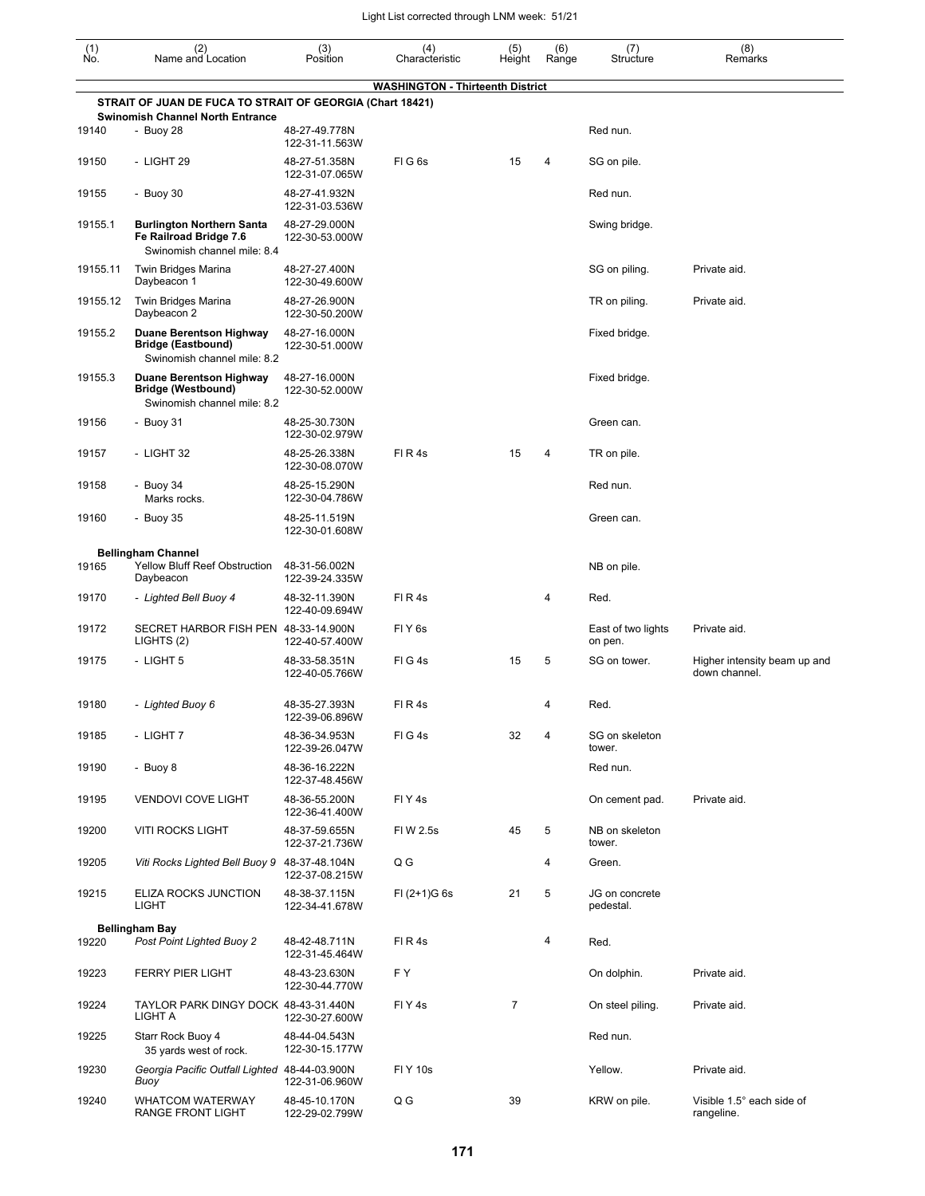| (1)<br>No. | (2)<br>Name and Location                                                                             | (3)<br>Position                 | (4)<br>Characteristic                   | (5)<br>Height  | (6)<br>Range | (7)<br>Structure              | (8)<br>Remarks                                |
|------------|------------------------------------------------------------------------------------------------------|---------------------------------|-----------------------------------------|----------------|--------------|-------------------------------|-----------------------------------------------|
|            |                                                                                                      |                                 | <b>WASHINGTON - Thirteenth District</b> |                |              |                               |                                               |
|            | STRAIT OF JUAN DE FUCA TO STRAIT OF GEORGIA (Chart 18421)<br><b>Swinomish Channel North Entrance</b> |                                 |                                         |                |              |                               |                                               |
| 19140      | - Buoy 28                                                                                            | 48-27-49.778N<br>122-31-11.563W |                                         |                |              | Red nun.                      |                                               |
| 19150      | - LIGHT 29                                                                                           | 48-27-51.358N<br>122-31-07.065W | FIG <sub>6s</sub>                       | 15             | 4            | SG on pile.                   |                                               |
| 19155      | - Buoy 30                                                                                            | 48-27-41.932N<br>122-31-03.536W |                                         |                |              | Red nun.                      |                                               |
| 19155.1    | <b>Burlington Northern Santa</b><br>Fe Railroad Bridge 7.6<br>Swinomish channel mile: 8.4            | 48-27-29.000N<br>122-30-53.000W |                                         |                |              | Swing bridge.                 |                                               |
| 19155.11   | Twin Bridges Marina<br>Daybeacon 1                                                                   | 48-27-27.400N<br>122-30-49.600W |                                         |                |              | SG on piling.                 | Private aid.                                  |
| 19155.12   | Twin Bridges Marina<br>Daybeacon 2                                                                   | 48-27-26.900N<br>122-30-50.200W |                                         |                |              | TR on piling.                 | Private aid.                                  |
| 19155.2    | <b>Duane Berentson Highway</b><br><b>Bridge (Eastbound)</b><br>Swinomish channel mile: 8.2           | 48-27-16.000N<br>122-30-51.000W |                                         |                |              | Fixed bridge.                 |                                               |
| 19155.3    | <b>Duane Berentson Highway</b><br><b>Bridge (Westbound)</b><br>Swinomish channel mile: 8.2           | 48-27-16.000N<br>122-30-52.000W |                                         |                |              | Fixed bridge.                 |                                               |
| 19156      | - Buoy 31                                                                                            | 48-25-30.730N<br>122-30-02.979W |                                         |                |              | Green can.                    |                                               |
| 19157      | - LIGHT 32                                                                                           | 48-25-26.338N<br>122-30-08.070W | FIR4s                                   | 15             | 4            | TR on pile.                   |                                               |
| 19158      | - Buoy 34<br>Marks rocks.                                                                            | 48-25-15.290N<br>122-30-04.786W |                                         |                |              | Red nun.                      |                                               |
| 19160      | - Buoy 35                                                                                            | 48-25-11.519N<br>122-30-01.608W |                                         |                |              | Green can.                    |                                               |
|            | <b>Bellingham Channel</b>                                                                            |                                 |                                         |                |              |                               |                                               |
| 19165      | Yellow Bluff Reef Obstruction<br>Daybeacon                                                           | 48-31-56.002N<br>122-39-24.335W |                                         |                |              | NB on pile.                   |                                               |
| 19170      | - Lighted Bell Buoy 4                                                                                | 48-32-11.390N<br>122-40-09.694W | FI R 4s                                 |                | 4            | Red.                          |                                               |
| 19172      | SECRET HARBOR FISH PEN 48-33-14.900N<br>LIGHTS (2)                                                   | 122-40-57.400W                  | FIY <sub>6s</sub>                       |                |              | East of two lights<br>on pen. | Private aid.                                  |
| 19175      | - LIGHT 5                                                                                            | 48-33-58.351N<br>122-40-05.766W | FIG4s                                   | 15             | 5            | SG on tower.                  | Higher intensity beam up and<br>down channel. |
| 19180      | - Lighted Buoy 6                                                                                     | 48-35-27.393N<br>122-39-06.896W | FIR4s                                   |                | 4            | Red.                          |                                               |
| 19185      | - LIGHT 7                                                                                            | 48-36-34.953N<br>122-39-26.047W | FIG4s                                   | 32             | 4            | SG on skeleton<br>tower.      |                                               |
| 19190      | - Buoy 8                                                                                             | 48-36-16.222N<br>122-37-48.456W |                                         |                |              | Red nun.                      |                                               |
| 19195      | <b>VENDOVI COVE LIGHT</b>                                                                            | 48-36-55.200N<br>122-36-41.400W | FIY4s                                   |                |              | On cement pad.                | Private aid.                                  |
| 19200      | <b>VITI ROCKS LIGHT</b>                                                                              | 48-37-59.655N<br>122-37-21.736W | FI W 2.5s                               | 45             | 5            | NB on skeleton<br>tower.      |                                               |
| 19205      | Viti Rocks Lighted Bell Buoy 9                                                                       | 48-37-48.104N<br>122-37-08.215W | Q G                                     |                | 4            | Green.                        |                                               |
| 19215      | ELIZA ROCKS JUNCTION<br><b>LIGHT</b>                                                                 | 48-38-37.115N<br>122-34-41.678W | $FI (2+1)G 6s$                          | 21             | 5            | JG on concrete<br>pedestal.   |                                               |
|            | <b>Bellingham Bay</b>                                                                                |                                 |                                         |                |              |                               |                                               |
| 19220      | Post Point Lighted Buoy 2                                                                            | 48-42-48.711N<br>122-31-45.464W | FIR4s                                   |                | 4            | Red.                          |                                               |
| 19223      | <b>FERRY PIER LIGHT</b>                                                                              | 48-43-23.630N<br>122-30-44.770W | F Y                                     |                |              | On dolphin.                   | Private aid.                                  |
| 19224      | TAYLOR PARK DINGY DOCK 48-43-31.440N<br>LIGHT A                                                      | 122-30-27.600W                  | FIY4s                                   | $\overline{7}$ |              | On steel piling.              | Private aid.                                  |
| 19225      | Starr Rock Buoy 4<br>35 yards west of rock.                                                          | 48-44-04.543N<br>122-30-15.177W |                                         |                |              | Red nun.                      |                                               |
| 19230      | Georgia Pacific Outfall Lighted 48-44-03.900N<br>Buoy                                                | 122-31-06.960W                  | <b>FIY 10s</b>                          |                |              | Yellow.                       | Private aid.                                  |
| 19240      | <b>WHATCOM WATERWAY</b><br>RANGE FRONT LIGHT                                                         | 48-45-10.170N<br>122-29-02.799W | Q G                                     | 39             |              | KRW on pile.                  | Visible 1.5° each side of<br>rangeline.       |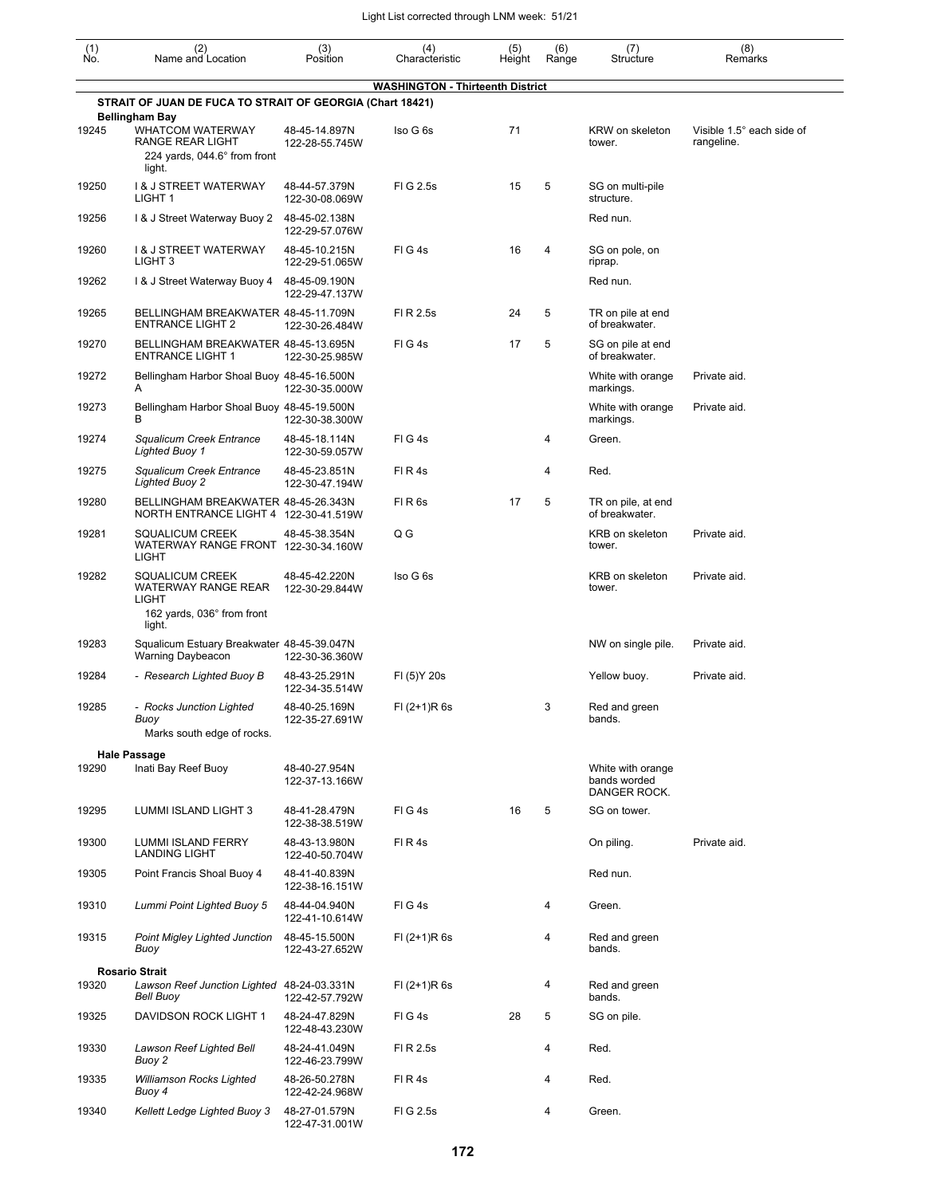| $\begin{smallmatrix} (1) \\ \mathsf{No} \end{smallmatrix}$ | (2)<br>Name and Location                                                                                       | (3)<br>Position                 | (4)<br>Characteristic                   | (5)<br>Height | (6)<br>Range | (7)<br>Structure                                  | (8)<br>Remarks                          |
|------------------------------------------------------------|----------------------------------------------------------------------------------------------------------------|---------------------------------|-----------------------------------------|---------------|--------------|---------------------------------------------------|-----------------------------------------|
|                                                            |                                                                                                                |                                 | <b>WASHINGTON - Thirteenth District</b> |               |              |                                                   |                                         |
|                                                            | STRAIT OF JUAN DE FUCA TO STRAIT OF GEORGIA (Chart 18421)                                                      |                                 |                                         |               |              |                                                   |                                         |
| 19245                                                      | <b>Bellingham Bay</b><br>WHATCOM WATERWAY<br><b>RANGE REAR LIGHT</b><br>224 yards, 044.6° from front<br>light. | 48-45-14.897N<br>122-28-55.745W | Iso G 6s                                | 71            |              | KRW on skeleton<br>tower.                         | Visible 1.5° each side of<br>rangeline. |
| 19250                                                      | <b>1&amp; J STREET WATERWAY</b><br>LIGHT <sub>1</sub>                                                          | 48-44-57.379N<br>122-30-08.069W | FIG 2.5s                                | 15            | 5            | SG on multi-pile<br>structure.                    |                                         |
| 19256                                                      | 1& J Street Waterway Buoy 2                                                                                    | 48-45-02.138N<br>122-29-57.076W |                                         |               |              | Red nun.                                          |                                         |
| 19260                                                      | <b>1&amp; J STREET WATERWAY</b><br>LIGHT <sub>3</sub>                                                          | 48-45-10.215N<br>122-29-51.065W | FIG4s                                   | 16            | 4            | SG on pole, on<br>riprap.                         |                                         |
| 19262                                                      | 1& J Street Waterway Buoy 4                                                                                    | 48-45-09.190N<br>122-29-47.137W |                                         |               |              | Red nun.                                          |                                         |
| 19265                                                      | BELLINGHAM BREAKWATER 48-45-11.709N<br><b>ENTRANCE LIGHT 2</b>                                                 | 122-30-26.484W                  | FI R 2.5s                               | 24            | 5            | TR on pile at end<br>of breakwater.               |                                         |
| 19270                                                      | BELLINGHAM BREAKWATER 48-45-13.695N<br><b>ENTRANCE LIGHT 1</b>                                                 | 122-30-25.985W                  | $FI$ G 4s                               | 17            | 5            | SG on pile at end<br>of breakwater.               |                                         |
| 19272                                                      | Bellingham Harbor Shoal Buoy 48-45-16.500N<br>A                                                                | 122-30-35.000W                  |                                         |               |              | White with orange<br>markings.                    | Private aid.                            |
| 19273                                                      | Bellingham Harbor Shoal Buoy 48-45-19.500N                                                                     | 122-30-38.300W                  |                                         |               |              | White with orange<br>markings.                    | Private aid.                            |
| 19274                                                      | Squalicum Creek Entrance<br><b>Lighted Buoy 1</b>                                                              | 48-45-18.114N<br>122-30-59.057W | FIG4s                                   |               | 4            | Green.                                            |                                         |
| 19275                                                      | Squalicum Creek Entrance<br><b>Lighted Buoy 2</b>                                                              | 48-45-23.851N<br>122-30-47.194W | FIR4s                                   |               | 4            | Red.                                              |                                         |
| 19280                                                      | BELLINGHAM BREAKWATER 48-45-26.343N<br>NORTH ENTRANCE LIGHT 4 122-30-41.519W                                   |                                 | FIR <sub>6s</sub>                       | 17            | 5            | TR on pile, at end<br>of breakwater.              |                                         |
| 19281                                                      | <b>SQUALICUM CREEK</b><br>WATERWAY RANGE FRONT 122-30-34.160W<br>LIGHT                                         | 48-45-38.354N                   | Q G                                     |               |              | KRB on skeleton<br>tower.                         | Private aid.                            |
| 19282                                                      | <b>SQUALICUM CREEK</b><br><b>WATERWAY RANGE REAR</b><br><b>LIGHT</b><br>162 yards, 036° from front<br>light.   | 48-45-42.220N<br>122-30-29.844W | Iso G 6s                                |               |              | KRB on skeleton<br>tower.                         | Private aid.                            |
| 19283                                                      | Squalicum Estuary Breakwater 48-45-39.047N<br><b>Warning Daybeacon</b>                                         | 122-30-36.360W                  |                                         |               |              | NW on single pile.                                | Private aid.                            |
| 19284                                                      | - Research Lighted Buoy B                                                                                      | 48-43-25.291N<br>122-34-35.514W | FI (5) Y 20s                            |               |              | Yellow buoy.                                      | Private aid.                            |
| 19285                                                      | - Rocks Junction Lighted<br>Buoy<br>Marks south edge of rocks.                                                 | 48-40-25.169N<br>122-35-27.691W | FI (2+1)R 6s                            |               | 3            | Red and green<br>bands.                           |                                         |
|                                                            | <b>Hale Passage</b>                                                                                            |                                 |                                         |               |              |                                                   |                                         |
| 19290                                                      | Inati Bay Reef Buoy                                                                                            | 48-40-27.954N<br>122-37-13.166W |                                         |               |              | White with orange<br>bands worded<br>DANGER ROCK. |                                         |
| 19295                                                      | LUMMI ISLAND LIGHT 3                                                                                           | 48-41-28.479N<br>122-38-38.519W | FIG4s                                   | 16            | 5            | SG on tower.                                      |                                         |
| 19300                                                      | LUMMI ISLAND FERRY<br><b>LANDING LIGHT</b>                                                                     | 48-43-13.980N<br>122-40-50.704W | FIR4s                                   |               |              | On piling.                                        | Private aid.                            |
| 19305                                                      | Point Francis Shoal Buoy 4                                                                                     | 48-41-40.839N<br>122-38-16.151W |                                         |               |              | Red nun.                                          |                                         |
| 19310                                                      | Lummi Point Lighted Buoy 5                                                                                     | 48-44-04.940N<br>122-41-10.614W | FIG4s                                   |               | 4            | Green.                                            |                                         |
| 19315                                                      | <b>Point Migley Lighted Junction</b><br>Buoy                                                                   | 48-45-15.500N<br>122-43-27.652W | $FI (2+1)R 6s$                          |               | 4            | Red and green<br>bands.                           |                                         |
| 19320                                                      | <b>Rosario Strait</b><br>Lawson Reef Junction Lighted 48-24-03.331N<br>Bell Buoy                               | 122-42-57.792W                  | $FI (2+1)R 6s$                          |               | 4            | Red and green<br>bands.                           |                                         |
| 19325                                                      | DAVIDSON ROCK LIGHT 1                                                                                          | 48-24-47.829N<br>122-48-43.230W | FIG4s                                   | 28            | 5            | SG on pile.                                       |                                         |
| 19330                                                      | Lawson Reef Lighted Bell<br>Buoy 2                                                                             | 48-24-41.049N<br>122-46-23.799W | FI R 2.5s                               |               | 4            | Red.                                              |                                         |
| 19335                                                      | Williamson Rocks Lighted<br>Buoy 4                                                                             | 48-26-50.278N<br>122-42-24.968W | FIR4s                                   |               | 4            | Red.                                              |                                         |
| 19340                                                      | Kellett Ledge Lighted Buoy 3                                                                                   | 48-27-01.579N<br>122-47-31.001W | FIG 2.5s                                |               | 4            | Green.                                            |                                         |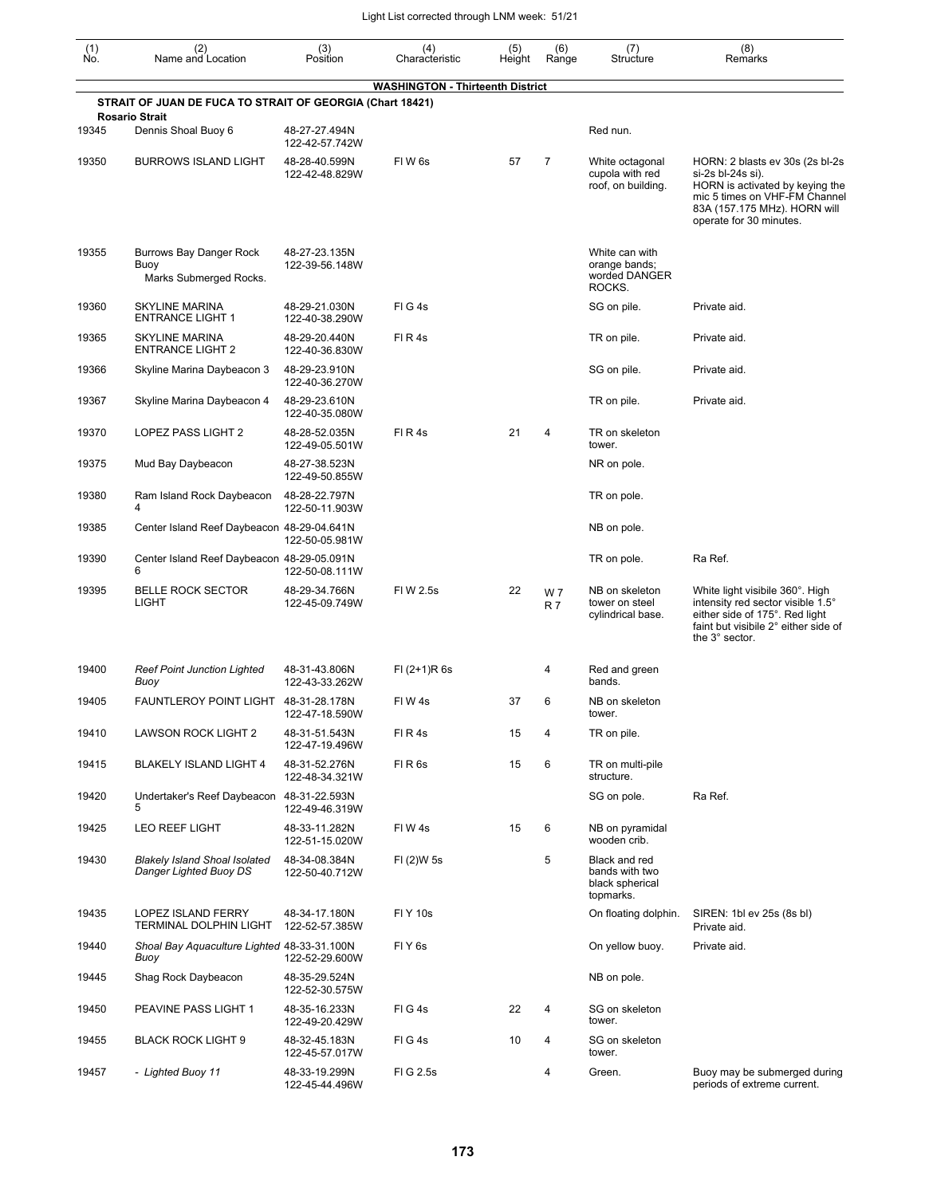| $\begin{smallmatrix} (1) \ N0. \end{smallmatrix}$ | (2)<br>Name and Location                                                           | (3)<br>Position                 | (4)<br>Characteristic                   | (5)<br>Height | (6)<br>Range          | (7)<br>Structure                                                | (8)<br>Remarks                                                                                                                                                                      |
|---------------------------------------------------|------------------------------------------------------------------------------------|---------------------------------|-----------------------------------------|---------------|-----------------------|-----------------------------------------------------------------|-------------------------------------------------------------------------------------------------------------------------------------------------------------------------------------|
|                                                   |                                                                                    |                                 | <b>WASHINGTON - Thirteenth District</b> |               |                       |                                                                 |                                                                                                                                                                                     |
|                                                   | STRAIT OF JUAN DE FUCA TO STRAIT OF GEORGIA (Chart 18421)<br><b>Rosario Strait</b> |                                 |                                         |               |                       |                                                                 |                                                                                                                                                                                     |
| 19345                                             | Dennis Shoal Buoy 6                                                                | 48-27-27.494N<br>122-42-57.742W |                                         |               |                       | Red nun.                                                        |                                                                                                                                                                                     |
| 19350                                             | <b>BURROWS ISLAND LIGHT</b>                                                        | 48-28-40.599N<br>122-42-48.829W | FIW <sub>6s</sub>                       | 57            | 7                     | White octagonal<br>cupola with red<br>roof, on building.        | HORN: 2 blasts ev 30s (2s bl-2s<br>si-2s bl-24s si).<br>HORN is activated by keying the<br>mic 5 times on VHF-FM Channel<br>83A (157.175 MHz). HORN will<br>operate for 30 minutes. |
| 19355                                             | Burrows Bay Danger Rock<br>Buoy<br>Marks Submerged Rocks.                          | 48-27-23.135N<br>122-39-56.148W |                                         |               |                       | White can with<br>orange bands;<br>worded DANGER<br>ROCKS.      |                                                                                                                                                                                     |
| 19360                                             | <b>SKYLINE MARINA</b><br><b>ENTRANCE LIGHT 1</b>                                   | 48-29-21.030N<br>122-40-38.290W | FIG4s                                   |               |                       | SG on pile.                                                     | Private aid.                                                                                                                                                                        |
| 19365                                             | <b>SKYLINE MARINA</b><br><b>ENTRANCE LIGHT 2</b>                                   | 48-29-20.440N<br>122-40-36.830W | FIR4s                                   |               |                       | TR on pile.                                                     | Private aid.                                                                                                                                                                        |
| 19366                                             | Skyline Marina Daybeacon 3                                                         | 48-29-23.910N<br>122-40-36.270W |                                         |               |                       | SG on pile.                                                     | Private aid.                                                                                                                                                                        |
| 19367                                             | Skyline Marina Daybeacon 4                                                         | 48-29-23.610N<br>122-40-35.080W |                                         |               |                       | TR on pile.                                                     | Private aid.                                                                                                                                                                        |
| 19370                                             | LOPEZ PASS LIGHT 2                                                                 | 48-28-52.035N<br>122-49-05.501W | FIR4s                                   | 21            | 4                     | TR on skeleton<br>tower.                                        |                                                                                                                                                                                     |
| 19375                                             | Mud Bay Daybeacon                                                                  | 48-27-38.523N<br>122-49-50.855W |                                         |               |                       | NR on pole.                                                     |                                                                                                                                                                                     |
| 19380                                             | Ram Island Rock Daybeacon<br>4                                                     | 48-28-22.797N<br>122-50-11.903W |                                         |               |                       | TR on pole.                                                     |                                                                                                                                                                                     |
| 19385                                             | Center Island Reef Daybeacon 48-29-04.641N                                         | 122-50-05.981W                  |                                         |               |                       | NB on pole.                                                     |                                                                                                                                                                                     |
| 19390                                             | Center Island Reef Daybeacon 48-29-05.091N<br>6                                    | 122-50-08.111W                  |                                         |               |                       | TR on pole.                                                     | Ra Ref.                                                                                                                                                                             |
| 19395                                             | <b>BELLE ROCK SECTOR</b><br><b>LIGHT</b>                                           | 48-29-34.766N<br>122-45-09.749W | FIW 2.5s                                | 22            | W 7<br>R <sub>7</sub> | NB on skeleton<br>tower on steel<br>cylindrical base.           | White light visibile 360°. High<br>intensity red sector visible 1.5°<br>either side of 175°. Red light<br>faint but visibile 2° either side of<br>the 3° sector.                    |
| 19400                                             | <b>Reef Point Junction Lighted</b><br>Buoy                                         | 48-31-43.806N<br>122-43-33.262W | $FI (2+1)R 6s$                          |               | 4                     | Red and green<br>bands.                                         |                                                                                                                                                                                     |
| 19405                                             | FAUNTLEROY POINT LIGHT 48-31-28.178N                                               | 122-47-18.590W                  | FIW4s                                   | 37            | 6                     | NB on skeleton<br>tower.                                        |                                                                                                                                                                                     |
| 19410                                             | <b>LAWSON ROCK LIGHT 2</b>                                                         | 48-31-51.543N<br>122-47-19.496W | FIR4s                                   | 15            | 4                     | TR on pile.                                                     |                                                                                                                                                                                     |
| 19415                                             | BLAKELY ISLAND LIGHT 4                                                             | 48-31-52.276N<br>122-48-34.321W | FIR6s                                   | 15            | 6                     | TR on multi-pile<br>structure.                                  |                                                                                                                                                                                     |
| 19420                                             | Undertaker's Reef Daybeacon 48-31-22.593N<br>5                                     | 122-49-46.319W                  |                                         |               |                       | SG on pole.                                                     | Ra Ref.                                                                                                                                                                             |
| 19425                                             | <b>LEO REEF LIGHT</b>                                                              | 48-33-11.282N<br>122-51-15.020W | FIW4s                                   | 15            | 6                     | NB on pyramidal<br>wooden crib.                                 |                                                                                                                                                                                     |
| 19430                                             | <b>Blakely Island Shoal Isolated</b><br>Danger Lighted Buoy DS                     | 48-34-08.384N<br>122-50-40.712W | FI (2)W 5s                              |               | 5                     | Black and red<br>bands with two<br>black spherical<br>topmarks. |                                                                                                                                                                                     |
| 19435                                             | LOPEZ ISLAND FERRY<br><b>TERMINAL DOLPHIN LIGHT</b>                                | 48-34-17.180N<br>122-52-57.385W | <b>FIY 10s</b>                          |               |                       | On floating dolphin.                                            | SIREN: 1bl ev 25s (8s bl)<br>Private aid.                                                                                                                                           |
| 19440                                             | Shoal Bay Aquaculture Lighted 48-33-31.100N<br>Buoy                                | 122-52-29.600W                  | FIY <sub>6s</sub>                       |               |                       | On yellow buoy.                                                 | Private aid.                                                                                                                                                                        |
| 19445                                             | Shag Rock Daybeacon                                                                | 48-35-29.524N<br>122-52-30.575W |                                         |               |                       | NB on pole.                                                     |                                                                                                                                                                                     |
| 19450                                             | PEAVINE PASS LIGHT 1                                                               | 48-35-16.233N<br>122-49-20.429W | FIG4s                                   | 22            | 4                     | SG on skeleton<br>tower.                                        |                                                                                                                                                                                     |
| 19455                                             | <b>BLACK ROCK LIGHT 9</b>                                                          | 48-32-45.183N<br>122-45-57.017W | FIG4s                                   | 10            | 4                     | SG on skeleton<br>tower.                                        |                                                                                                                                                                                     |
| 19457                                             | - Lighted Buoy 11                                                                  | 48-33-19.299N<br>122-45-44.496W | FIG 2.5s                                |               | 4                     | Green.                                                          | Buoy may be submerged during<br>periods of extreme current.                                                                                                                         |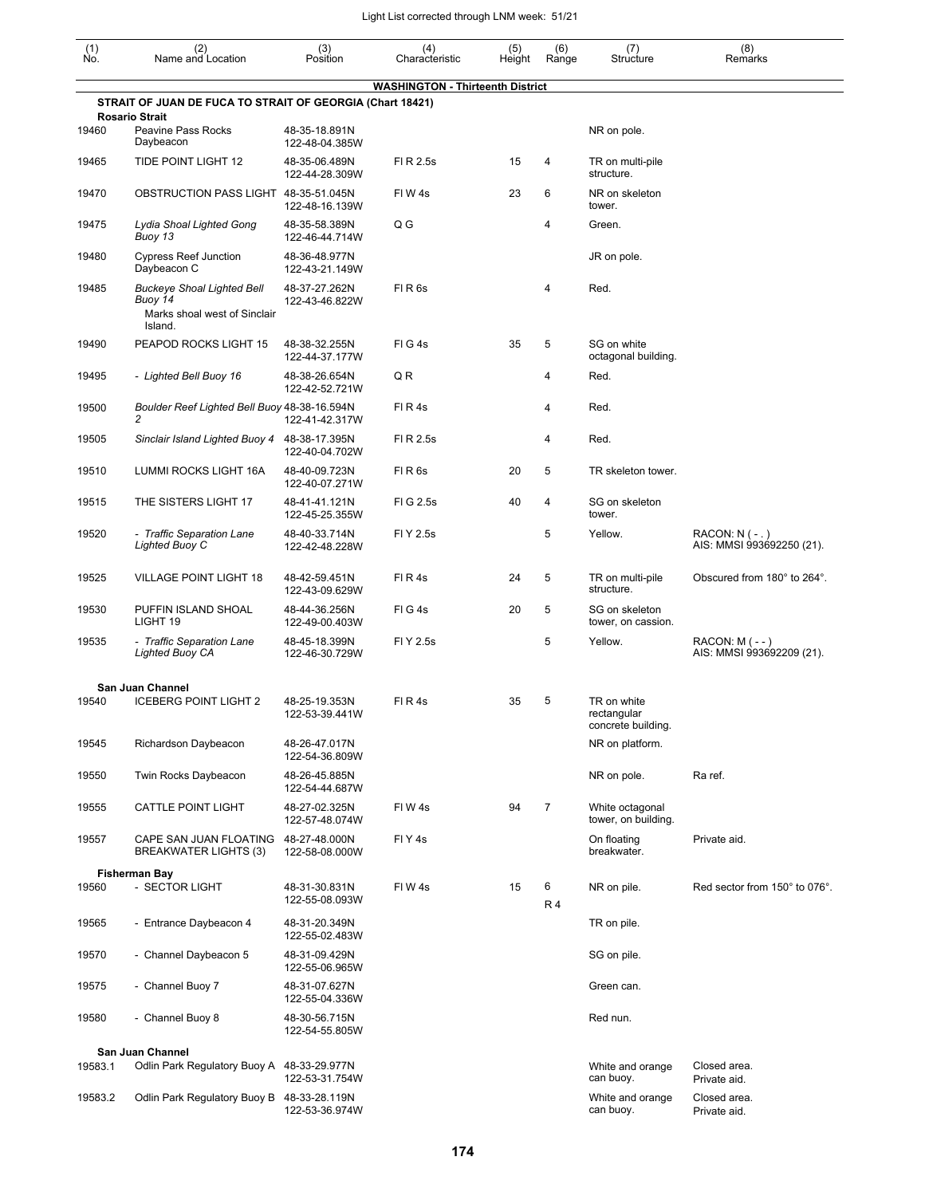| (1)<br>Ñó. | (2)<br>Name and Location                                                                | (3)<br>Position                 | (4)<br>Characteristic                   | (5)<br>Height | (6)<br>Range   | (7)<br>Structure                                 | (8)<br>Remarks                                 |
|------------|-----------------------------------------------------------------------------------------|---------------------------------|-----------------------------------------|---------------|----------------|--------------------------------------------------|------------------------------------------------|
|            |                                                                                         |                                 | <b>WASHINGTON - Thirteenth District</b> |               |                |                                                  |                                                |
|            | STRAIT OF JUAN DE FUCA TO STRAIT OF GEORGIA (Chart 18421)<br><b>Rosario Strait</b>      |                                 |                                         |               |                |                                                  |                                                |
| 19460      | <b>Peavine Pass Rocks</b><br>Daybeacon                                                  | 48-35-18.891N<br>122-48-04.385W |                                         |               |                | NR on pole.                                      |                                                |
| 19465      | <b>TIDE POINT LIGHT 12</b>                                                              | 48-35-06.489N<br>122-44-28.309W | FI R 2.5s                               | 15            | 4              | TR on multi-pile<br>structure.                   |                                                |
| 19470      | OBSTRUCTION PASS LIGHT 48-35-51.045N                                                    | 122-48-16.139W                  | FIW4s                                   | 23            | 6              | NR on skeleton<br>tower.                         |                                                |
| 19475      | Lydia Shoal Lighted Gong<br>Buoy 13                                                     | 48-35-58.389N<br>122-46-44.714W | Q G                                     |               | 4              | Green.                                           |                                                |
| 19480      | <b>Cypress Reef Junction</b><br>Daybeacon C                                             | 48-36-48.977N<br>122-43-21.149W |                                         |               |                | JR on pole.                                      |                                                |
| 19485      | <b>Buckeye Shoal Lighted Bell</b><br>Buoy 14<br>Marks shoal west of Sinclair<br>Island. | 48-37-27.262N<br>122-43-46.822W | FIR <sub>6s</sub>                       |               | 4              | Red.                                             |                                                |
| 19490      | PEAPOD ROCKS LIGHT 15                                                                   | 48-38-32.255N<br>122-44-37.177W | FIG4s                                   | 35            | 5              | SG on white<br>octagonal building.               |                                                |
| 19495      | - Lighted Bell Buoy 16                                                                  | 48-38-26.654N<br>122-42-52.721W | QR                                      |               | 4              | Red.                                             |                                                |
| 19500      | Boulder Reef Lighted Bell Buoy 48-38-16.594N<br>2                                       | 122-41-42.317W                  | FIR4s                                   |               | 4              | Red.                                             |                                                |
| 19505      | Sinclair Island Lighted Buoy 4                                                          | 48-38-17.395N<br>122-40-04.702W | FI R 2.5s                               |               | 4              | Red.                                             |                                                |
| 19510      | LUMMI ROCKS LIGHT 16A                                                                   | 48-40-09.723N<br>122-40-07.271W | FIR <sub>6s</sub>                       | 20            | 5              | TR skeleton tower.                               |                                                |
| 19515      | THE SISTERS LIGHT 17                                                                    | 48-41-41.121N<br>122-45-25.355W | FIG 2.5s                                | 40            | 4              | SG on skeleton<br>tower.                         |                                                |
| 19520      | - Traffic Separation Lane<br>Lighted Buoy C                                             | 48-40-33.714N<br>122-42-48.228W | FI Y 2.5s                               |               | 5              | Yellow.                                          | $RACON: N (- . )$<br>AIS: MMSI 993692250 (21). |
| 19525      | <b>VILLAGE POINT LIGHT 18</b>                                                           | 48-42-59.451N<br>122-43-09.629W | FIR4s                                   | 24            | 5              | TR on multi-pile<br>structure.                   | Obscured from 180° to 264°.                    |
| 19530      | PUFFIN ISLAND SHOAL<br>LIGHT 19                                                         | 48-44-36.256N<br>122-49-00.403W | FIG4s                                   | 20            | 5              | SG on skeleton<br>tower, on cassion.             |                                                |
| 19535      | - Traffic Separation Lane<br><b>Lighted Buoy CA</b>                                     | 48-45-18.399N<br>122-46-30.729W | FI Y 2.5s                               |               | 5              | Yellow.                                          | RACON: M ( - - )<br>AIS: MMSI 993692209 (21).  |
|            | San Juan Channel                                                                        |                                 |                                         |               |                |                                                  |                                                |
| 19540      | <b>ICEBERG POINT LIGHT 2</b>                                                            | 48-25-19.353N<br>122-53-39.441W | FIR4s                                   | 35            | 5              | TR on white<br>rectangular<br>concrete building. |                                                |
| 19545      | Richardson Daybeacon                                                                    | 48-26-47.017N<br>122-54-36.809W |                                         |               |                | NR on platform.                                  |                                                |
| 19550      | Twin Rocks Daybeacon                                                                    | 48-26-45.885N<br>122-54-44.687W |                                         |               |                | NR on pole.                                      | Ra ref.                                        |
| 19555      | <b>CATTLE POINT LIGHT</b>                                                               | 48-27-02.325N<br>122-57-48.074W | FIW <sub>4s</sub>                       | 94            | $\overline{7}$ | White octagonal<br>tower, on building.           |                                                |
| 19557      | CAPE SAN JUAN FLOATING<br>BREAKWATER LIGHTS (3)                                         | 48-27-48.000N<br>122-58-08.000W | FIY4s                                   |               |                | On floating<br>breakwater.                       | Private aid.                                   |
|            | <b>Fisherman Bay</b>                                                                    |                                 |                                         |               |                |                                                  |                                                |
| 19560      | - SECTOR LIGHT                                                                          | 48-31-30.831N<br>122-55-08.093W | FIW4s                                   | 15            | 6<br><b>R4</b> | NR on pile.                                      | Red sector from 150° to 076°.                  |
| 19565      | - Entrance Daybeacon 4                                                                  | 48-31-20.349N<br>122-55-02.483W |                                         |               |                | TR on pile.                                      |                                                |
| 19570      | - Channel Daybeacon 5                                                                   | 48-31-09.429N<br>122-55-06.965W |                                         |               |                | SG on pile.                                      |                                                |
| 19575      | - Channel Buoy 7                                                                        | 48-31-07.627N<br>122-55-04.336W |                                         |               |                | Green can.                                       |                                                |
| 19580      | - Channel Buoy 8                                                                        | 48-30-56.715N<br>122-54-55.805W |                                         |               |                | Red nun.                                         |                                                |
|            | San Juan Channel                                                                        |                                 |                                         |               |                |                                                  |                                                |
| 19583.1    | Odlin Park Regulatory Buoy A 48-33-29.977N                                              | 122-53-31.754W                  |                                         |               |                | White and orange<br>can buoy.                    | Closed area.<br>Private aid.                   |
| 19583.2    | Odlin Park Regulatory Buoy B 48-33-28.119N                                              | 122-53-36.974W                  |                                         |               |                | White and orange<br>can buoy.                    | Closed area.<br>Private aid.                   |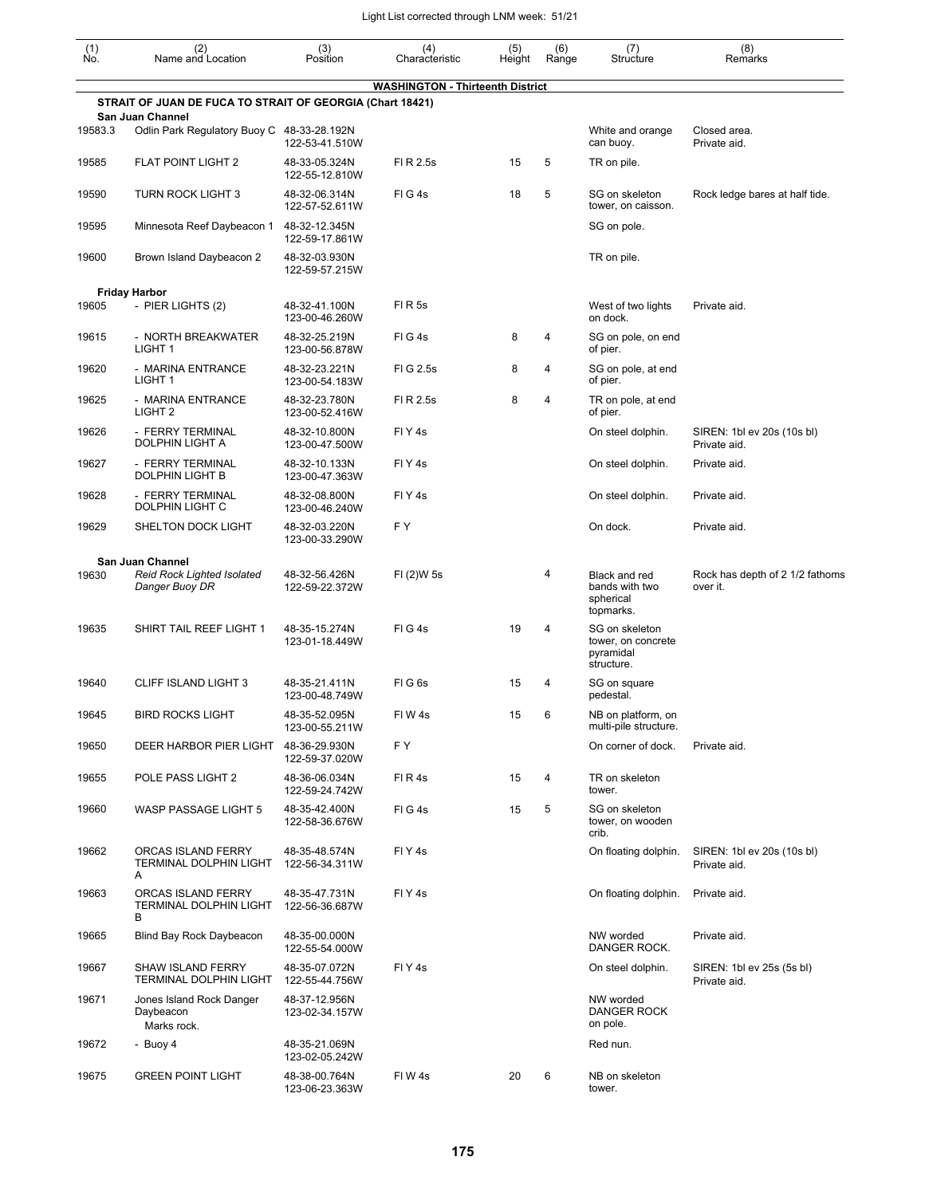| (1)<br>No. | (2)<br>Name and Location                                       | (3)<br>Position                 | (4)<br>Characteristic                   | (5)<br>Height | (6)<br>Range | (7)<br>Structure                                                | (8)<br>Remarks                              |
|------------|----------------------------------------------------------------|---------------------------------|-----------------------------------------|---------------|--------------|-----------------------------------------------------------------|---------------------------------------------|
|            |                                                                |                                 | <b>WASHINGTON - Thirteenth District</b> |               |              |                                                                 |                                             |
|            | STRAIT OF JUAN DE FUCA TO STRAIT OF GEORGIA (Chart 18421)      |                                 |                                         |               |              |                                                                 |                                             |
| 19583.3    | San Juan Channel<br>Odlin Park Regulatory Buoy C 48-33-28.192N | 122-53-41.510W                  |                                         |               |              | White and orange<br>can buoy.                                   | Closed area.<br>Private aid.                |
| 19585      | <b>FLAT POINT LIGHT 2</b>                                      | 48-33-05.324N<br>122-55-12.810W | FI R 2.5s                               | 15            | 5            | TR on pile.                                                     |                                             |
| 19590      | <b>TURN ROCK LIGHT 3</b>                                       | 48-32-06.314N<br>122-57-52.611W | FIG4s                                   | 18            | 5            | SG on skeleton<br>tower, on caisson.                            | Rock ledge bares at half tide.              |
| 19595      | Minnesota Reef Daybeacon 1                                     | 48-32-12.345N<br>122-59-17.861W |                                         |               |              | SG on pole.                                                     |                                             |
| 19600      | Brown Island Daybeacon 2                                       | 48-32-03.930N<br>122-59-57.215W |                                         |               |              | TR on pile.                                                     |                                             |
|            | <b>Friday Harbor</b>                                           |                                 |                                         |               |              |                                                                 |                                             |
| 19605      | - PIER LIGHTS (2)                                              | 48-32-41.100N<br>123-00-46.260W | <b>FIR5s</b>                            |               |              | West of two lights<br>on dock.                                  | Private aid.                                |
| 19615      | - NORTH BREAKWATER<br>LIGHT <sub>1</sub>                       | 48-32-25.219N<br>123-00-56.878W | FIG4s                                   | 8             | 4            | SG on pole, on end<br>of pier.                                  |                                             |
| 19620      | - MARINA ENTRANCE<br>LIGHT <sub>1</sub>                        | 48-32-23.221N<br>123-00-54.183W | FIG 2.5s                                | 8             | 4            | SG on pole, at end<br>of pier.                                  |                                             |
| 19625      | - MARINA ENTRANCE<br>LIGHT <sub>2</sub>                        | 48-32-23.780N<br>123-00-52.416W | FI R 2.5s                               | 8             | 4            | TR on pole, at end<br>of pier.                                  |                                             |
| 19626      | - FERRY TERMINAL<br><b>DOLPHIN LIGHT A</b>                     | 48-32-10.800N<br>123-00-47.500W | FIY <sub>4s</sub>                       |               |              | On steel dolphin.                                               | SIREN: 1bl ev 20s (10s bl)<br>Private aid.  |
| 19627      | - FERRY TERMINAL<br>DOLPHIN LIGHT B                            | 48-32-10.133N<br>123-00-47.363W | FIY <sub>4s</sub>                       |               |              | On steel dolphin.                                               | Private aid.                                |
| 19628      | - FERRY TERMINAL<br>DOLPHIN LIGHT C                            | 48-32-08.800N<br>123-00-46.240W | FIY <sub>4s</sub>                       |               |              | On steel dolphin.                                               | Private aid.                                |
| 19629      | SHELTON DOCK LIGHT                                             | 48-32-03.220N<br>123-00-33.290W | F Y                                     |               |              | On dock.                                                        | Private aid.                                |
|            | <b>San Juan Channel</b>                                        |                                 |                                         |               |              |                                                                 |                                             |
| 19630      | Reid Rock Lighted Isolated<br>Danger Buoy DR                   | 48-32-56.426N<br>122-59-22.372W | FI (2)W 5s                              |               | 4            | Black and red<br>bands with two<br>spherical<br>topmarks.       | Rock has depth of 2 1/2 fathoms<br>over it. |
| 19635      | SHIRT TAIL REEF LIGHT 1                                        | 48-35-15.274N<br>123-01-18.449W | FIG4s                                   | 19            | 4            | SG on skeleton<br>tower, on concrete<br>pyramidal<br>structure. |                                             |
| 19640      | <b>CLIFF ISLAND LIGHT 3</b>                                    | 48-35-21.411N<br>123-00-48.749W | FIG <sub>6s</sub>                       | 15            | 4            | SG on square<br>pedestal.                                       |                                             |
| 19645      | <b>BIRD ROCKS LIGHT</b>                                        | 48-35-52.095N<br>123-00-55.211W | FIW4s                                   | 15            | 6            | NB on platform, on<br>multi-pile structure.                     |                                             |
| 19650      | DEER HARBOR PIER LIGHT                                         | 48-36-29.930N<br>122-59-37.020W | FΥ                                      |               |              | On corner of dock.                                              | Private aid.                                |
| 19655      | POLE PASS LIGHT 2                                              | 48-36-06.034N<br>122-59-24.742W | FIR4s                                   | 15            | 4            | TR on skeleton<br>tower.                                        |                                             |
| 19660      | <b>WASP PASSAGE LIGHT 5</b>                                    | 48-35-42.400N<br>122-58-36.676W | FIG4s                                   | 15            | 5            | SG on skeleton<br>tower, on wooden<br>crib.                     |                                             |
| 19662      | ORCAS ISLAND FERRY<br><b>TERMINAL DOLPHIN LIGHT</b><br>A       | 48-35-48.574N<br>122-56-34.311W | FIY4s                                   |               |              | On floating dolphin.                                            | SIREN: 1bl ev 20s (10s bl)<br>Private aid.  |
| 19663      | ORCAS ISLAND FERRY<br><b>TERMINAL DOLPHIN LIGHT</b><br>В       | 48-35-47.731N<br>122-56-36.687W | FIY <sub>4s</sub>                       |               |              | On floating dolphin.                                            | Private aid.                                |
| 19665      | Blind Bay Rock Daybeacon                                       | 48-35-00.000N<br>122-55-54.000W |                                         |               |              | NW worded<br>DANGER ROCK.                                       | Private aid.                                |
| 19667      | <b>SHAW ISLAND FERRY</b><br><b>TERMINAL DOLPHIN LIGHT</b>      | 48-35-07.072N<br>122-55-44.756W | FIY <sub>4s</sub>                       |               |              | On steel dolphin.                                               | SIREN: 1bl ev 25s (5s bl)<br>Private aid.   |
| 19671      | Jones Island Rock Danger<br>Daybeacon<br>Marks rock.           | 48-37-12.956N<br>123-02-34.157W |                                         |               |              | NW worded<br>DANGER ROCK<br>on pole.                            |                                             |
| 19672      | - Buoy 4                                                       | 48-35-21.069N<br>123-02-05.242W |                                         |               |              | Red nun.                                                        |                                             |
| 19675      | <b>GREEN POINT LIGHT</b>                                       | 48-38-00.764N<br>123-06-23.363W | FIW4s                                   | 20            | 6            | NB on skeleton<br>tower.                                        |                                             |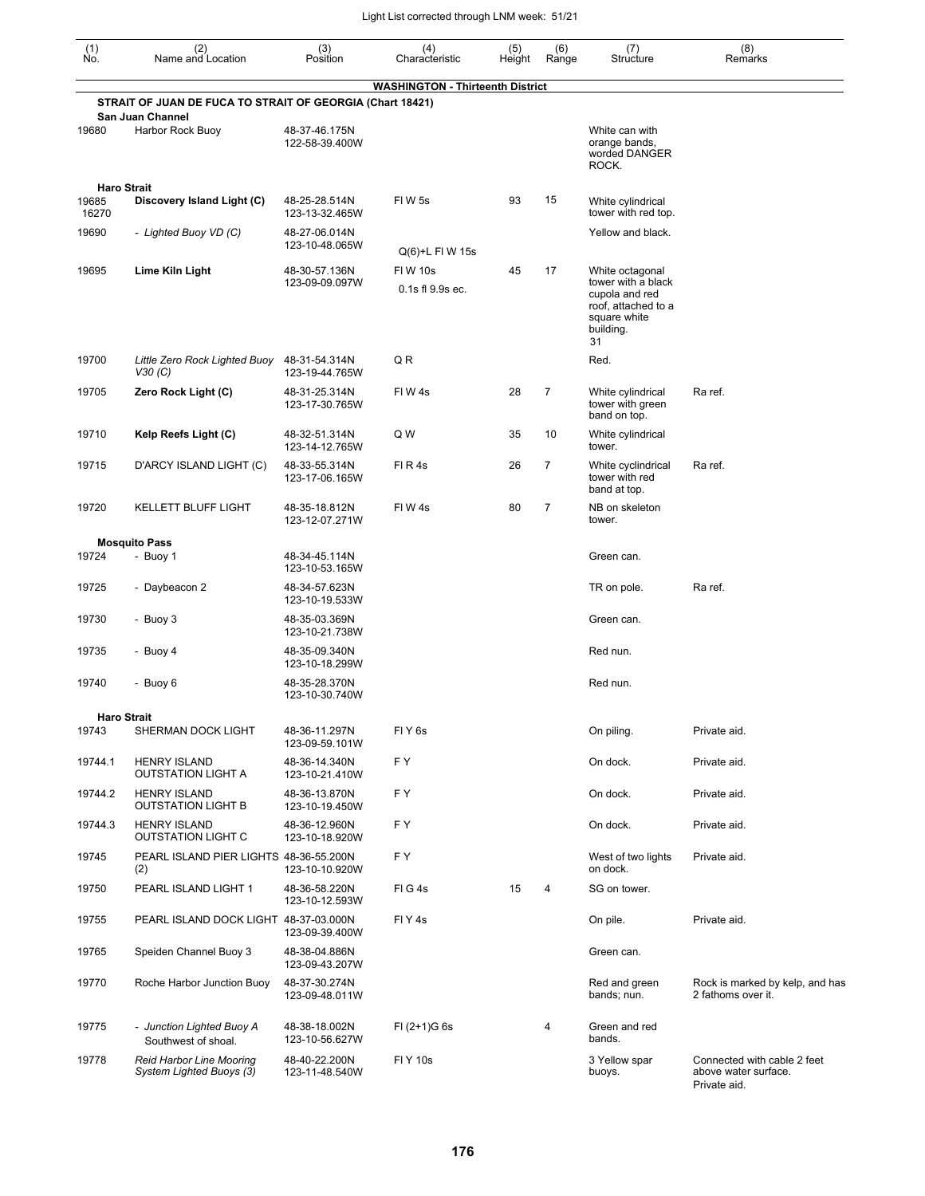| (1)<br>No. | (2)<br>Name and Location                                                      | (3)<br>Position                 | (4)<br>Characteristic                   | (5)<br>Height | (6)<br>Range   | (7)<br>Structure                                                                               | (8)<br>Remarks                                                      |
|------------|-------------------------------------------------------------------------------|---------------------------------|-----------------------------------------|---------------|----------------|------------------------------------------------------------------------------------------------|---------------------------------------------------------------------|
|            |                                                                               |                                 | <b>WASHINGTON - Thirteenth District</b> |               |                |                                                                                                |                                                                     |
|            | STRAIT OF JUAN DE FUCA TO STRAIT OF GEORGIA (Chart 18421)<br>San Juan Channel |                                 |                                         |               |                |                                                                                                |                                                                     |
| 19680      | Harbor Rock Buoy                                                              | 48-37-46.175N<br>122-58-39.400W |                                         |               |                | White can with<br>orange bands,<br>worded DANGER<br>ROCK.                                      |                                                                     |
| 19685      | <b>Haro Strait</b>                                                            |                                 |                                         |               | 15             |                                                                                                |                                                                     |
| 16270      | Discovery Island Light (C)                                                    | 48-25-28.514N<br>123-13-32.465W | <b>FIW5s</b>                            | 93            |                | White cylindrical<br>tower with red top.                                                       |                                                                     |
| 19690      | - Lighted Buoy VD (C)                                                         | 48-27-06.014N<br>123-10-48.065W | Q(6)+L FI W 15s                         |               |                | Yellow and black.                                                                              |                                                                     |
| 19695      | Lime Kiln Light                                                               | 48-30-57.136N                   | <b>FIW 10s</b>                          | 45            | 17             | White octagonal                                                                                |                                                                     |
|            |                                                                               | 123-09-09.097W                  | 0.1s fl 9.9s ec.                        |               |                | tower with a black<br>cupola and red<br>roof, attached to a<br>square white<br>building.<br>31 |                                                                     |
| 19700      | Little Zero Rock Lighted Buoy<br>V30(C)                                       | 48-31-54.314N<br>123-19-44.765W | Q R                                     |               |                | Red.                                                                                           |                                                                     |
| 19705      | Zero Rock Light (C)                                                           | 48-31-25.314N<br>123-17-30.765W | FIW4s                                   | 28            | $\overline{7}$ | White cylindrical<br>tower with green<br>band on top.                                          | Ra ref.                                                             |
| 19710      | Kelp Reefs Light (C)                                                          | 48-32-51.314N<br>123-14-12.765W | Q W                                     | 35            | 10             | White cylindrical<br>tower.                                                                    |                                                                     |
| 19715      | D'ARCY ISLAND LIGHT (C)                                                       | 48-33-55.314N<br>123-17-06.165W | FIR4s                                   | 26            | $\overline{7}$ | White cyclindrical<br>tower with red<br>band at top.                                           | Ra ref.                                                             |
| 19720      | <b>KELLETT BLUFF LIGHT</b>                                                    | 48-35-18.812N<br>123-12-07.271W | FIW4s                                   | 80            | $\overline{7}$ | NB on skeleton<br>tower.                                                                       |                                                                     |
|            | <b>Mosquito Pass</b>                                                          |                                 |                                         |               |                |                                                                                                |                                                                     |
| 19724      | - Buoy 1                                                                      | 48-34-45.114N<br>123-10-53.165W |                                         |               |                | Green can.                                                                                     |                                                                     |
| 19725      | - Daybeacon 2                                                                 | 48-34-57.623N<br>123-10-19.533W |                                         |               |                | TR on pole.                                                                                    | Ra ref.                                                             |
| 19730      | - Buoy 3                                                                      | 48-35-03.369N<br>123-10-21.738W |                                         |               |                | Green can.                                                                                     |                                                                     |
| 19735      | - Buoy 4                                                                      | 48-35-09.340N<br>123-10-18.299W |                                         |               |                | Red nun.                                                                                       |                                                                     |
| 19740      | - Buoy 6                                                                      | 48-35-28.370N<br>123-10-30.740W |                                         |               |                | Red nun.                                                                                       |                                                                     |
|            | <b>Haro Strait</b>                                                            |                                 |                                         |               |                |                                                                                                |                                                                     |
| 19743      | SHERMAN DOCK LIGHT                                                            | 48-36-11.297N<br>123-09-59.101W | FIY <sub>6s</sub>                       |               |                | On piling.                                                                                     | Private aid.                                                        |
| 19744.1    | <b>HENRY ISLAND</b><br><b>OUTSTATION LIGHT A</b>                              | 48-36-14.340N<br>123-10-21.410W | F Y                                     |               |                | On dock.                                                                                       | Private aid.                                                        |
| 19744.2    | <b>HENRY ISLAND</b><br><b>OUTSTATION LIGHT B</b>                              | 48-36-13.870N<br>123-10-19.450W | F Y                                     |               |                | On dock.                                                                                       | Private aid.                                                        |
| 19744.3    | <b>HENRY ISLAND</b><br><b>OUTSTATION LIGHT C</b>                              | 48-36-12.960N<br>123-10-18.920W | F Y                                     |               |                | On dock.                                                                                       | Private aid.                                                        |
| 19745      | PEARL ISLAND PIER LIGHTS 48-36-55.200N<br>(2)                                 | 123-10-10.920W                  | F Y                                     |               |                | West of two lights<br>on dock.                                                                 | Private aid.                                                        |
| 19750      | PEARL ISLAND LIGHT 1                                                          | 48-36-58.220N<br>123-10-12.593W | FIG4s                                   | 15            | 4              | SG on tower.                                                                                   |                                                                     |
| 19755      | PEARL ISLAND DOCK LIGHT 48-37-03.000N                                         | 123-09-39.400W                  | FIY4s                                   |               |                | On pile.                                                                                       | Private aid.                                                        |
| 19765      | Speiden Channel Buoy 3                                                        | 48-38-04.886N<br>123-09-43.207W |                                         |               |                | Green can.                                                                                     |                                                                     |
| 19770      | Roche Harbor Junction Buoy                                                    | 48-37-30.274N<br>123-09-48.011W |                                         |               |                | Red and green<br>bands; nun.                                                                   | Rock is marked by kelp, and has<br>2 fathoms over it.               |
| 19775      | - Junction Lighted Buoy A<br>Southwest of shoal.                              | 48-38-18.002N<br>123-10-56.627W | $FI (2+1)G 6s$                          |               | 4              | Green and red<br>bands.                                                                        |                                                                     |
| 19778      | <b>Reid Harbor Line Mooring</b><br>System Lighted Buoys (3)                   | 48-40-22.200N<br>123-11-48.540W | <b>FIY 10s</b>                          |               |                | 3 Yellow spar<br>buoys.                                                                        | Connected with cable 2 feet<br>above water surface.<br>Private aid. |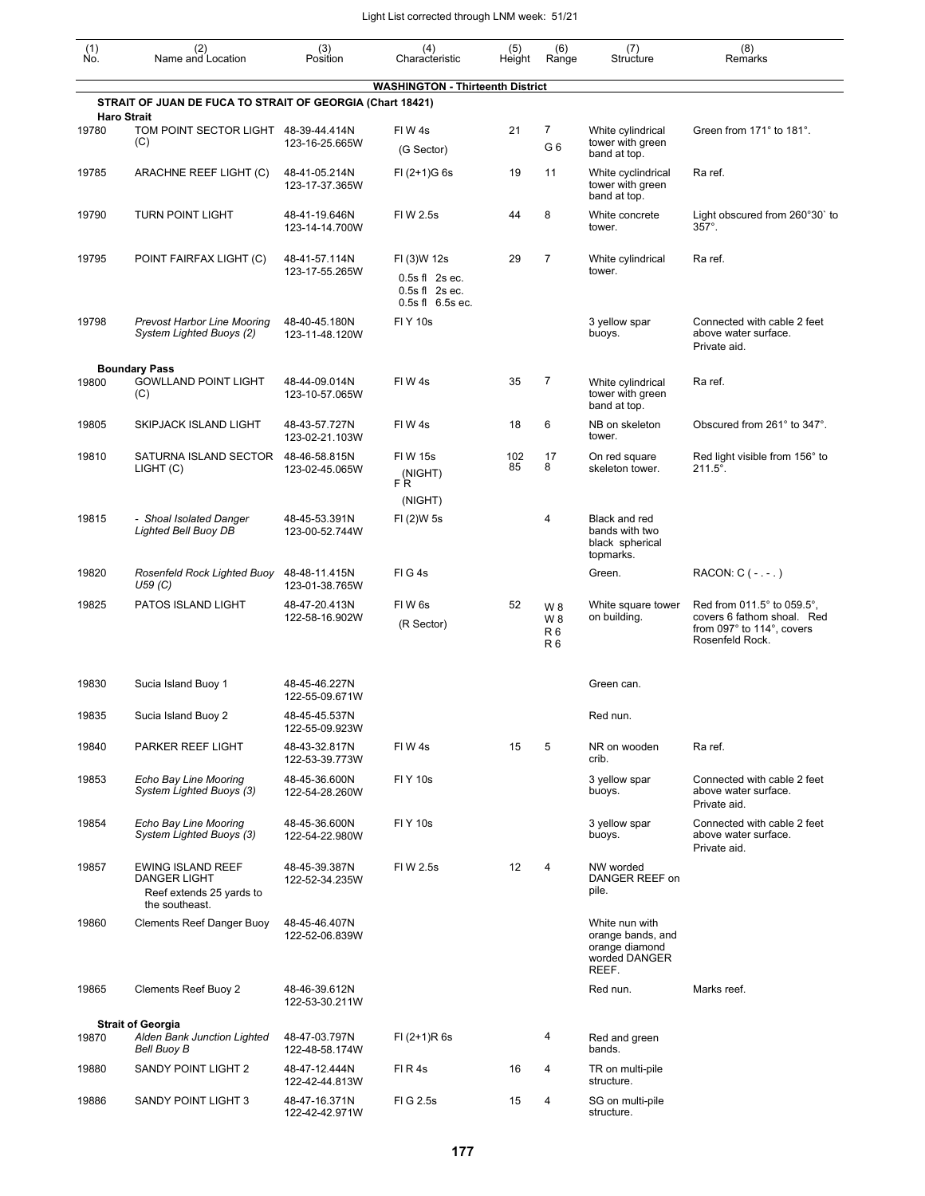| (1)<br>Ñó. | (2)<br>Name and Location                                                                      | (3)<br>Position                 | (4)<br>Characteristic                      | (5)<br>Height | (6)<br>Range                              | (7)<br>Structure                                                                | (8)<br>Remarks                                                                                           |
|------------|-----------------------------------------------------------------------------------------------|---------------------------------|--------------------------------------------|---------------|-------------------------------------------|---------------------------------------------------------------------------------|----------------------------------------------------------------------------------------------------------|
|            |                                                                                               |                                 | <b>WASHINGTON - Thirteenth District</b>    |               |                                           |                                                                                 |                                                                                                          |
|            | STRAIT OF JUAN DE FUCA TO STRAIT OF GEORGIA (Chart 18421)<br><b>Haro Strait</b>               |                                 |                                            |               |                                           |                                                                                 |                                                                                                          |
| 19780      | TOM POINT SECTOR LIGHT 48-39-44.414N<br>(C)                                                   | 123-16-25.665W                  | FIW4s<br>(G Sector)                        | 21            | 7<br>G6                                   | White cylindrical<br>tower with green<br>band at top.                           | Green from 171° to 181°.                                                                                 |
| 19785      | ARACHNE REEF LIGHT (C)                                                                        | 48-41-05.214N<br>123-17-37.365W | $FI (2+1)G 6s$                             | 19            | 11                                        | White cyclindrical<br>tower with green<br>band at top.                          | Ra ref.                                                                                                  |
| 19790      | <b>TURN POINT LIGHT</b>                                                                       | 48-41-19.646N<br>123-14-14.700W | FIW 2.5s                                   | 44            | 8                                         | White concrete<br>tower.                                                        | Light obscured from 260°30' to<br>$357^\circ$ .                                                          |
| 19795      | POINT FAIRFAX LIGHT (C)                                                                       | 48-41-57.114N<br>123-17-55.265W | FI (3)W 12s<br>$0.5s$ fl $2s$ ec.          | 29            | $\overline{7}$                            | White cylindrical<br>tower.                                                     | Ra ref.                                                                                                  |
|            |                                                                                               |                                 | $0.5s$ fl $2s$ ec.<br>0.5s fl 6.5s ec.     |               |                                           |                                                                                 |                                                                                                          |
| 19798      | <b>Prevost Harbor Line Mooring</b><br>System Lighted Buoys (2)                                | 48-40-45.180N<br>123-11-48.120W | <b>FIY 10s</b>                             |               |                                           | 3 yellow spar<br>buoys.                                                         | Connected with cable 2 feet<br>above water surface.<br>Private aid.                                      |
|            | <b>Boundary Pass</b>                                                                          |                                 |                                            |               |                                           |                                                                                 |                                                                                                          |
| 19800      | <b>GOWLLAND POINT LIGHT</b><br>(C)                                                            | 48-44-09.014N<br>123-10-57.065W | FIW4s                                      | 35            | 7                                         | White cylindrical<br>tower with green<br>band at top.                           | Ra ref.                                                                                                  |
| 19805      | SKIPJACK ISLAND LIGHT                                                                         | 48-43-57.727N<br>123-02-21.103W | FIW4s                                      | 18            | 6                                         | NB on skeleton<br>tower.                                                        | Obscured from 261° to 347°.                                                                              |
| 19810      | SATURNA ISLAND SECTOR<br>LIGHT (C)                                                            | 48-46-58.815N<br>123-02-45.065W | <b>FIW 15s</b><br>(NIGHT)<br>FR<br>(NIGHT) | 102<br>85     | 17<br>8                                   | On red square<br>skeleton tower.                                                | Red light visible from 156° to<br>$211.5^{\circ}$ .                                                      |
| 19815      | - Shoal Isolated Danger<br><b>Lighted Bell Buoy DB</b>                                        | 48-45-53.391N<br>123-00-52.744W | FI (2)W 5s                                 |               | 4                                         | Black and red<br>bands with two<br>black spherical<br>topmarks.                 |                                                                                                          |
| 19820      | Rosenfeld Rock Lighted Buoy<br>U59(C)                                                         | 48-48-11.415N<br>123-01-38.765W | FIG4s                                      |               |                                           | Green.                                                                          | RACON: $C$ ( $-$ . $-$ .)                                                                                |
| 19825      | PATOS ISLAND LIGHT                                                                            | 48-47-20.413N<br>122-58-16.902W | FIW <sub>6s</sub><br>(R Sector)            | 52            | W 8<br>W 8<br>R <sub>6</sub><br><b>R6</b> | White square tower<br>on building.                                              | Red from 011.5° to 059.5°,<br>covers 6 fathom shoal. Red<br>from 097° to 114°, covers<br>Rosenfeld Rock. |
| 19830      | Sucia Island Buoy 1                                                                           | 48-45-46.227N<br>122-55-09.671W |                                            |               |                                           | Green can.                                                                      |                                                                                                          |
| 19835      | Sucia Island Buoy 2                                                                           | 48-45-45.537N<br>122-55-09.923W |                                            |               |                                           | Red nun.                                                                        |                                                                                                          |
| 19840      | PARKER REEF LIGHT                                                                             | 48-43-32.817N<br>122-53-39.773W | FIW4s                                      | 15            | 5                                         | NR on wooden<br>crib.                                                           | Ra ref.                                                                                                  |
| 19853      | Echo Bay Line Mooring<br>System Lighted Buoys (3)                                             | 48-45-36.600N<br>122-54-28.260W | <b>FIY 10s</b>                             |               |                                           | 3 yellow spar<br>buoys.                                                         | Connected with cable 2 feet<br>above water surface.<br>Private aid.                                      |
| 19854      | Echo Bay Line Mooring<br>System Lighted Buoys (3)                                             | 48-45-36.600N<br>122-54-22.980W | <b>FIY 10s</b>                             |               |                                           | 3 yellow spar<br>buoys.                                                         | Connected with cable 2 feet<br>above water surface.<br>Private aid.                                      |
| 19857      | <b>EWING ISLAND REEF</b><br><b>DANGER LIGHT</b><br>Reef extends 25 yards to<br>the southeast. | 48-45-39.387N<br>122-52-34.235W | FIW 2.5s                                   | 12            | 4                                         | NW worded<br>DANGER REEF on<br>pile.                                            |                                                                                                          |
| 19860      | <b>Clements Reef Danger Buoy</b>                                                              | 48-45-46.407N<br>122-52-06.839W |                                            |               |                                           | White nun with<br>orange bands, and<br>orange diamond<br>worded DANGER<br>REEF. |                                                                                                          |
| 19865      | <b>Clements Reef Buoy 2</b>                                                                   | 48-46-39.612N<br>122-53-30.211W |                                            |               |                                           | Red nun.                                                                        | Marks reef.                                                                                              |
|            | <b>Strait of Georgia</b>                                                                      |                                 |                                            |               |                                           |                                                                                 |                                                                                                          |
| 19870      | Alden Bank Junction Lighted<br>Bell Buoy B                                                    | 48-47-03.797N<br>122-48-58.174W | $FI (2+1)R 6s$                             |               | 4                                         | Red and green<br>bands.                                                         |                                                                                                          |
| 19880      | SANDY POINT LIGHT 2                                                                           | 48-47-12.444N<br>122-42-44.813W | FIR4s                                      | 16            | 4                                         | TR on multi-pile<br>structure.                                                  |                                                                                                          |
| 19886      | SANDY POINT LIGHT 3                                                                           | 48-47-16.371N<br>122-42-42.971W | FIG 2.5s                                   | 15            | 4                                         | SG on multi-pile<br>structure.                                                  |                                                                                                          |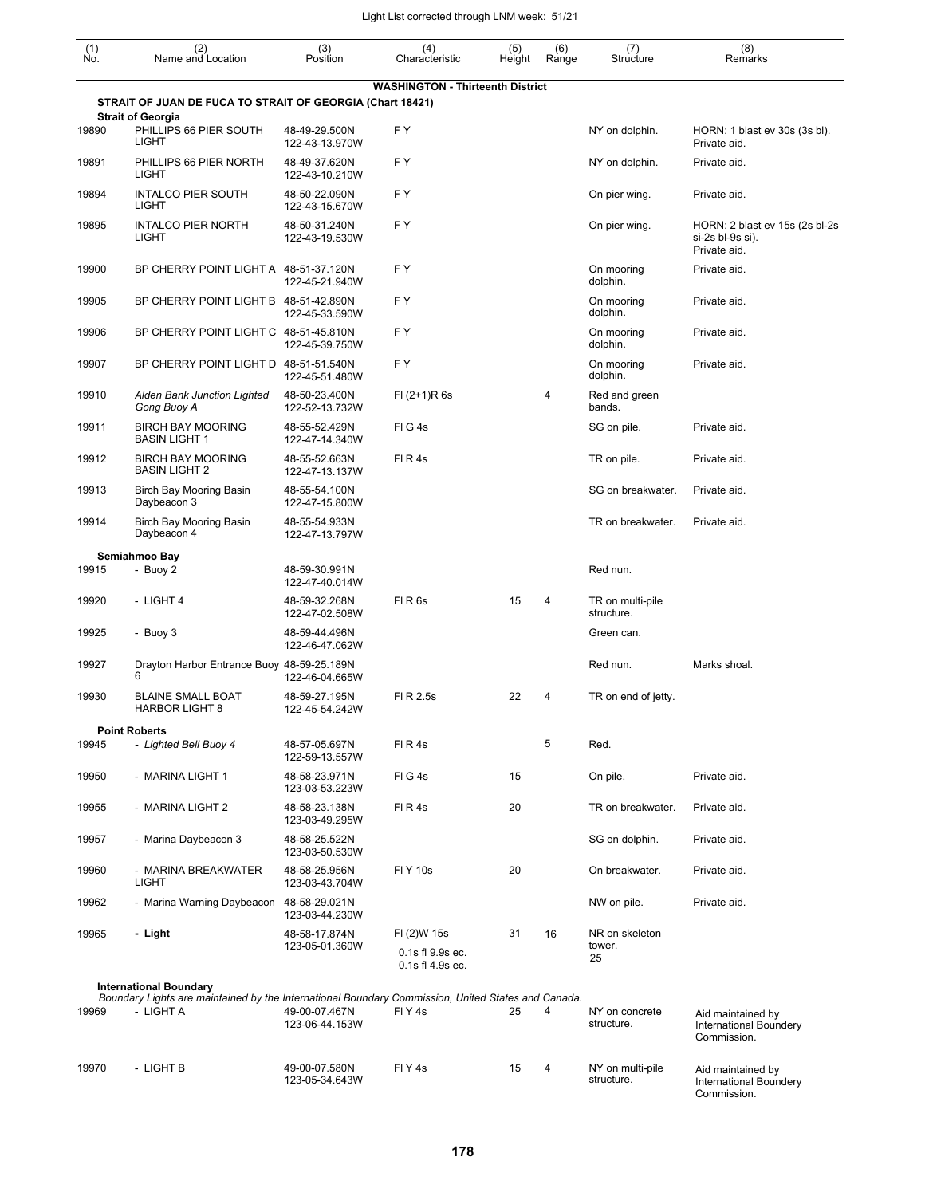| $\begin{smallmatrix} (1) \\ \mathsf{No} \end{smallmatrix}$ | (2)<br>Name and Location                                                                                        | (3)<br>Position                 | (4)<br>Characteristic                               | (5)<br>Height | (6)<br>Range | (7)<br>Structure               | (8)<br>Remarks                                                     |
|------------------------------------------------------------|-----------------------------------------------------------------------------------------------------------------|---------------------------------|-----------------------------------------------------|---------------|--------------|--------------------------------|--------------------------------------------------------------------|
|                                                            |                                                                                                                 |                                 | <b>WASHINGTON - Thirteenth District</b>             |               |              |                                |                                                                    |
|                                                            | STRAIT OF JUAN DE FUCA TO STRAIT OF GEORGIA (Chart 18421)                                                       |                                 |                                                     |               |              |                                |                                                                    |
| 19890                                                      | <b>Strait of Georgia</b><br>PHILLIPS 66 PIER SOUTH<br>LIGHT                                                     | 48-49-29.500N<br>122-43-13.970W | F Y                                                 |               |              | NY on dolphin.                 | HORN: 1 blast ev 30s (3s bl).<br>Private aid.                      |
| 19891                                                      | PHILLIPS 66 PIER NORTH<br><b>LIGHT</b>                                                                          | 48-49-37.620N<br>122-43-10.210W | F Y                                                 |               |              | NY on dolphin.                 | Private aid.                                                       |
| 19894                                                      | <b>INTALCO PIER SOUTH</b><br><b>LIGHT</b>                                                                       | 48-50-22.090N<br>122-43-15.670W | F Y                                                 |               |              | On pier wing.                  | Private aid.                                                       |
| 19895                                                      | <b>INTALCO PIER NORTH</b><br><b>LIGHT</b>                                                                       | 48-50-31.240N<br>122-43-19.530W | F Y                                                 |               |              | On pier wing.                  | HORN: 2 blast ev 15s (2s bl-2s<br>si-2s bl-9s si).<br>Private aid. |
| 19900                                                      | BP CHERRY POINT LIGHT A 48-51-37.120N                                                                           | 122-45-21.940W                  | FY.                                                 |               |              | On mooring<br>dolphin.         | Private aid.                                                       |
| 19905                                                      | BP CHERRY POINT LIGHT B 48-51-42.890N                                                                           | 122-45-33.590W                  | FY.                                                 |               |              | On mooring<br>dolphin.         | Private aid.                                                       |
| 19906                                                      | BP CHERRY POINT LIGHT C 48-51-45.810N                                                                           | 122-45-39.750W                  | F Y                                                 |               |              | On mooring<br>dolphin.         | Private aid.                                                       |
| 19907                                                      | BP CHERRY POINT LIGHT D 48-51-51.540N                                                                           | 122-45-51.480W                  | F Y                                                 |               |              | On mooring<br>dolphin.         | Private aid.                                                       |
| 19910                                                      | Alden Bank Junction Lighted<br>Gong Buoy A                                                                      | 48-50-23.400N<br>122-52-13.732W | $FI (2+1)R 6s$                                      |               | 4            | Red and green<br>bands.        |                                                                    |
| 19911                                                      | <b>BIRCH BAY MOORING</b><br><b>BASIN LIGHT 1</b>                                                                | 48-55-52.429N<br>122-47-14.340W | FIG4s                                               |               |              | SG on pile.                    | Private aid.                                                       |
| 19912                                                      | <b>BIRCH BAY MOORING</b><br><b>BASIN LIGHT 2</b>                                                                | 48-55-52.663N<br>122-47-13.137W | FIR4s                                               |               |              | TR on pile.                    | Private aid.                                                       |
| 19913                                                      | <b>Birch Bay Mooring Basin</b><br>Daybeacon 3                                                                   | 48-55-54.100N<br>122-47-15.800W |                                                     |               |              | SG on breakwater.              | Private aid.                                                       |
| 19914                                                      | Birch Bay Mooring Basin<br>Daybeacon 4                                                                          | 48-55-54.933N<br>122-47-13.797W |                                                     |               |              | TR on breakwater.              | Private aid.                                                       |
|                                                            | Semiahmoo Bay                                                                                                   |                                 |                                                     |               |              |                                |                                                                    |
| 19915                                                      | - Buoy 2                                                                                                        | 48-59-30.991N<br>122-47-40.014W |                                                     |               |              | Red nun.                       |                                                                    |
| 19920                                                      | - LIGHT 4                                                                                                       | 48-59-32.268N<br>122-47-02.508W | FIR6s                                               | 15            | 4            | TR on multi-pile<br>structure. |                                                                    |
| 19925                                                      | - Buoy 3                                                                                                        | 48-59-44.496N<br>122-46-47.062W |                                                     |               |              | Green can.                     |                                                                    |
| 19927                                                      | Drayton Harbor Entrance Buoy 48-59-25.189N<br>6                                                                 | 122-46-04.665W                  |                                                     |               |              | Red nun.                       | Marks shoal.                                                       |
| 19930                                                      | <b>BLAINE SMALL BOAT</b><br><b>HARBOR LIGHT 8</b>                                                               | 48-59-27.195N<br>122-45-54.242W | FI R 2.5s                                           | 22            | 4            | TR on end of jetty.            |                                                                    |
|                                                            | <b>Point Roberts</b>                                                                                            |                                 |                                                     |               |              |                                |                                                                    |
| 19945                                                      | - Lighted Bell Buoy 4                                                                                           | 48-57-05.697N<br>122-59-13.557W | FIR4s                                               |               | 5            | Red.                           |                                                                    |
| 19950                                                      | - MARINA LIGHT 1                                                                                                | 48-58-23.971N<br>123-03-53.223W | FIG4s                                               | 15            |              | On pile.                       | Private aid.                                                       |
| 19955                                                      | - MARINA LIGHT 2                                                                                                | 48-58-23.138N<br>123-03-49.295W | FIR4s                                               | 20            |              | TR on breakwater.              | Private aid.                                                       |
| 19957                                                      | - Marina Daybeacon 3                                                                                            | 48-58-25.522N<br>123-03-50.530W |                                                     |               |              | SG on dolphin.                 | Private aid.                                                       |
| 19960                                                      | - MARINA BREAKWATER<br>LIGHT                                                                                    | 48-58-25.956N<br>123-03-43.704W | <b>FIY 10s</b>                                      | 20            |              | On breakwater.                 | Private aid.                                                       |
| 19962                                                      | - Marina Warning Daybeacon                                                                                      | 48-58-29.021N<br>123-03-44.230W |                                                     |               |              | NW on pile.                    | Private aid.                                                       |
| 19965                                                      | - Light                                                                                                         | 48-58-17.874N<br>123-05-01.360W | FI (2)W 15s<br>0.1s fl 9.9s ec.<br>0.1s fl 4.9s ec. | 31            | 16           | NR on skeleton<br>tower.<br>25 |                                                                    |
|                                                            | <b>International Boundary</b>                                                                                   |                                 |                                                     |               |              |                                |                                                                    |
| 19969                                                      | Boundary Lights are maintained by the International Boundary Commission, United States and Canada.<br>- LIGHT A | 49-00-07.467N<br>123-06-44.153W | FIY4s                                               | 25            | 4            | NY on concrete<br>structure.   | Aid maintained by<br>International Boundery<br>Commission.         |
| 19970                                                      | - LIGHT B                                                                                                       | 49-00-07.580N<br>123-05-34.643W | FIY4s                                               | 15            | 4            | NY on multi-pile<br>structure. | Aid maintained by<br>International Boundery<br>Commission.         |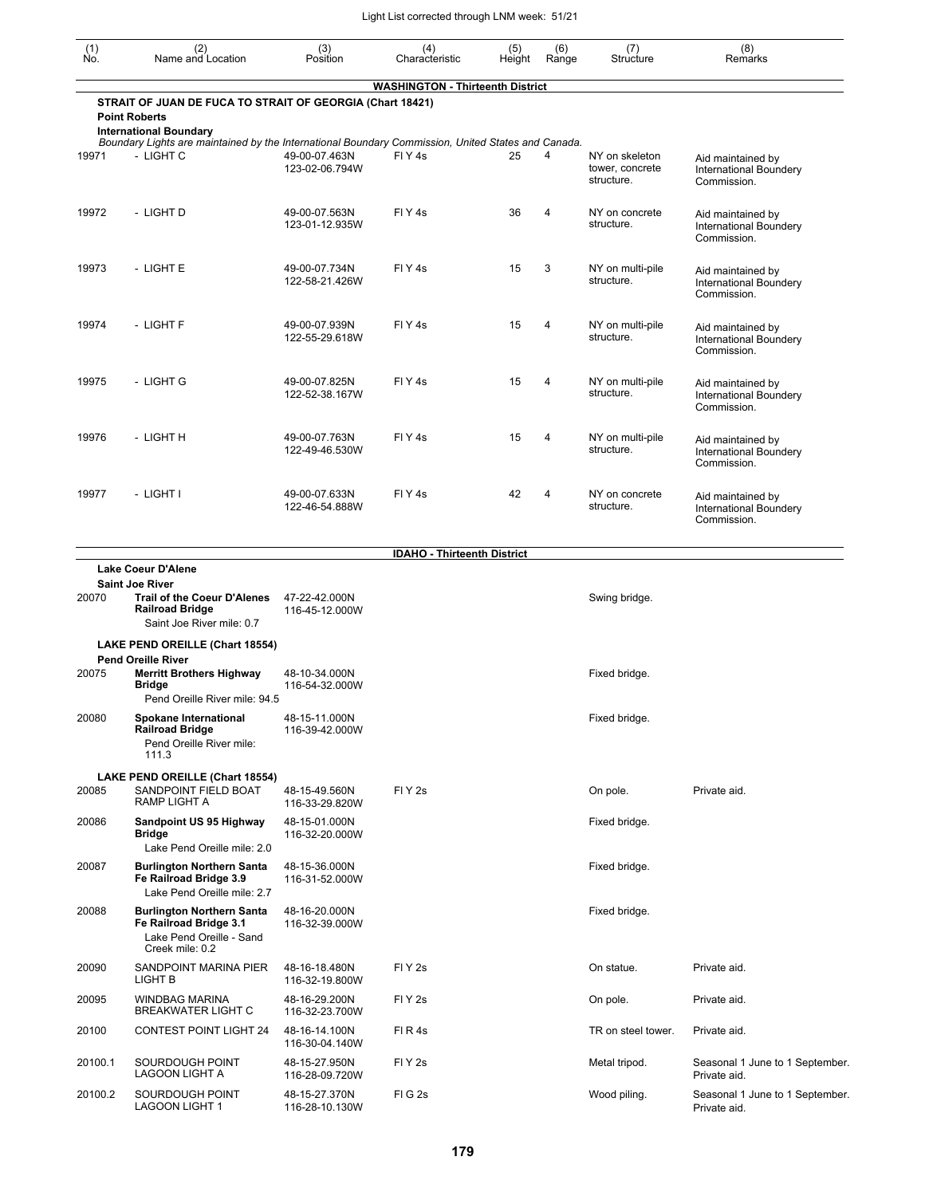| (1)<br>Ño. | (2)<br>Name and Location                                                                                        | (3)<br>Position                 | (4)<br>Characteristic                   | (5)<br>Height | (6)<br>Range   | (7)<br>Structure                                | (8)<br>Remarks                                                    |
|------------|-----------------------------------------------------------------------------------------------------------------|---------------------------------|-----------------------------------------|---------------|----------------|-------------------------------------------------|-------------------------------------------------------------------|
|            |                                                                                                                 |                                 | <b>WASHINGTON - Thirteenth District</b> |               |                |                                                 |                                                                   |
|            | STRAIT OF JUAN DE FUCA TO STRAIT OF GEORGIA (Chart 18421)                                                       |                                 |                                         |               |                |                                                 |                                                                   |
|            | <b>Point Roberts</b><br><b>International Boundary</b>                                                           |                                 |                                         |               |                |                                                 |                                                                   |
| 19971      | Boundary Lights are maintained by the International Boundary Commission, United States and Canada.<br>- LIGHT C | 49-00-07.463N<br>123-02-06.794W | FIY <sub>4s</sub>                       | 25            | 4              | NY on skeleton<br>tower, concrete<br>structure. | Aid maintained by<br>International Boundery<br>Commission.        |
| 19972      | - LIGHT D                                                                                                       | 49-00-07.563N<br>123-01-12.935W | FIY <sub>4s</sub>                       | 36            | 4              | NY on concrete<br>structure.                    | Aid maintained by<br>International Boundery<br>Commission.        |
| 19973      | - LIGHT E                                                                                                       | 49-00-07.734N<br>122-58-21.426W | FIY <sub>4s</sub>                       | 15            | 3              | NY on multi-pile<br>structure.                  | Aid maintained by<br>International Boundery<br>Commission.        |
| 19974      | - LIGHT F                                                                                                       | 49-00-07.939N<br>122-55-29.618W | FIY <sub>4s</sub>                       | 15            | 4              | NY on multi-pile<br>structure.                  | Aid maintained by<br>International Boundery<br>Commission.        |
| 19975      | - LIGHT G                                                                                                       | 49-00-07.825N<br>122-52-38.167W | FIY <sub>4</sub> s                      | 15            | $\overline{4}$ | NY on multi-pile<br>structure.                  | Aid maintained by<br>International Boundery<br>Commission.        |
| 19976      | - LIGHT H                                                                                                       | 49-00-07.763N<br>122-49-46.530W | FIY <sub>4s</sub>                       | 15            | 4              | NY on multi-pile<br>structure.                  | Aid maintained by<br>International Boundery<br>Commission.        |
| 19977      | - LIGHT I                                                                                                       | 49-00-07.633N<br>122-46-54.888W | FIY <sub>4</sub> s                      | 42            | 4              | NY on concrete<br>structure.                    | Aid maintained by<br><b>International Boundery</b><br>Commission. |
|            |                                                                                                                 |                                 | <b>IDAHO - Thirteenth District</b>      |               |                |                                                 |                                                                   |
|            | <b>Lake Coeur D'Alene</b><br><b>Saint Joe River</b>                                                             |                                 |                                         |               |                |                                                 |                                                                   |
| 20070      | <b>Trail of the Coeur D'Alenes</b><br><b>Railroad Bridge</b><br>Saint Joe River mile: 0.7                       | 47-22-42.000N<br>116-45-12.000W |                                         |               |                | Swing bridge.                                   |                                                                   |
|            | LAKE PEND OREILLE (Chart 18554)                                                                                 |                                 |                                         |               |                |                                                 |                                                                   |
| 20075      | <b>Pend Oreille River</b><br><b>Merritt Brothers Highway</b><br>Bridge<br>Pend Oreille River mile: 94.5         | 48-10-34.000N<br>116-54-32.000W |                                         |               |                | Fixed bridge.                                   |                                                                   |
| 20080      | Spokane International<br><b>Railroad Bridge</b><br>Pend Oreille River mile:<br>111.3                            | 48-15-11.000N<br>116-39-42.000W |                                         |               |                | Fixed bridge.                                   |                                                                   |
| 20085      | LAKE PEND OREILLE (Chart 18554)<br>SANDPOINT FIELD BOAT<br>RAMP LIGHT A                                         | 48-15-49.560N<br>116-33-29.820W | FIY <sub>2s</sub>                       |               |                | On pole.                                        | Private aid.                                                      |
| 20086      | Sandpoint US 95 Highway<br><b>Bridge</b><br>Lake Pend Oreille mile: 2.0                                         | 48-15-01.000N<br>116-32-20.000W |                                         |               |                | Fixed bridge.                                   |                                                                   |
| 20087      | <b>Burlington Northern Santa</b><br>Fe Railroad Bridge 3.9<br>Lake Pend Oreille mile: 2.7                       | 48-15-36.000N<br>116-31-52.000W |                                         |               |                | Fixed bridge.                                   |                                                                   |
| 20088      | <b>Burlington Northern Santa</b><br>Fe Railroad Bridge 3.1<br>Lake Pend Oreille - Sand<br>Creek mile: 0.2       | 48-16-20.000N<br>116-32-39.000W |                                         |               |                | Fixed bridge.                                   |                                                                   |
| 20090      | SANDPOINT MARINA PIER<br>LIGHT B                                                                                | 48-16-18.480N<br>116-32-19.800W | FIY <sub>2s</sub>                       |               |                | On statue.                                      | Private aid.                                                      |
| 20095      | <b>WINDBAG MARINA</b><br>BREAKWATER LIGHT C                                                                     | 48-16-29.200N<br>116-32-23.700W | FIY <sub>2s</sub>                       |               |                | On pole.                                        | Private aid.                                                      |
| 20100      | <b>CONTEST POINT LIGHT 24</b>                                                                                   | 48-16-14.100N<br>116-30-04.140W | FIR4s                                   |               |                | TR on steel tower.                              | Private aid.                                                      |
| 20100.1    | SOURDOUGH POINT<br>LAGOON LIGHT A                                                                               | 48-15-27.950N<br>116-28-09.720W | FIY <sub>2s</sub>                       |               |                | Metal tripod.                                   | Seasonal 1 June to 1 September.<br>Private aid.                   |
| 20100.2    | SOURDOUGH POINT<br>LAGOON LIGHT 1                                                                               | 48-15-27.370N<br>116-28-10.130W | FIG <sub>2s</sub>                       |               |                | Wood piling.                                    | Seasonal 1 June to 1 September.<br>Private aid.                   |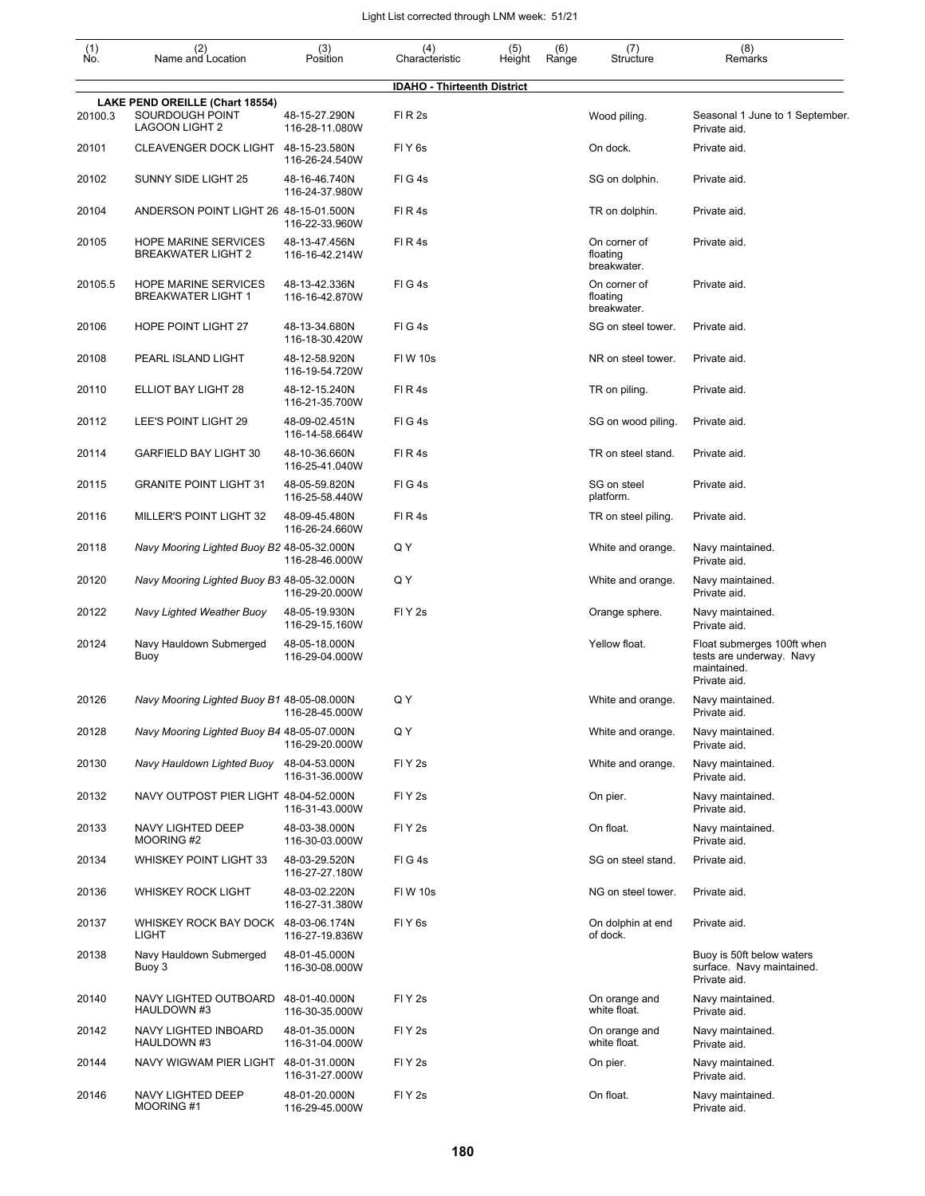| (1)<br>No. | (2)<br>Name and Location                                                    | (3)<br>Position                 | (4)<br>Characteristic              | (5)<br>Height | (6)<br>Range | (7)<br>Structure                        | (8)<br>Remarks                                                                        |
|------------|-----------------------------------------------------------------------------|---------------------------------|------------------------------------|---------------|--------------|-----------------------------------------|---------------------------------------------------------------------------------------|
|            |                                                                             |                                 | <b>IDAHO - Thirteenth District</b> |               |              |                                         |                                                                                       |
| 20100.3    | LAKE PEND OREILLE (Chart 18554)<br>SOURDOUGH POINT<br><b>LAGOON LIGHT 2</b> | 48-15-27.290N<br>116-28-11.080W | FIR <sub>2s</sub>                  |               |              | Wood piling.                            | Seasonal 1 June to 1 September.<br>Private aid.                                       |
| 20101      | CLEAVENGER DOCK LIGHT                                                       | 48-15-23.580N<br>116-26-24.540W | FIY <sub>6s</sub>                  |               |              | On dock.                                | Private aid.                                                                          |
| 20102      | SUNNY SIDE LIGHT 25                                                         | 48-16-46.740N<br>116-24-37.980W | FIG4s                              |               |              | SG on dolphin.                          | Private aid.                                                                          |
| 20104      | ANDERSON POINT LIGHT 26 48-15-01.500N                                       | 116-22-33.960W                  | FIR4s                              |               |              | TR on dolphin.                          | Private aid.                                                                          |
| 20105      | <b>HOPE MARINE SERVICES</b><br><b>BREAKWATER LIGHT 2</b>                    | 48-13-47.456N<br>116-16-42.214W | FIR4s                              |               |              | On corner of<br>floating<br>breakwater. | Private aid.                                                                          |
| 20105.5    | <b>HOPE MARINE SERVICES</b><br><b>BREAKWATER LIGHT 1</b>                    | 48-13-42.336N<br>116-16-42.870W | FIG4s                              |               |              | On corner of<br>floating<br>breakwater. | Private aid.                                                                          |
| 20106      | <b>HOPE POINT LIGHT 27</b>                                                  | 48-13-34.680N<br>116-18-30.420W | FIG4s                              |               |              | SG on steel tower.                      | Private aid.                                                                          |
| 20108      | PEARL ISLAND LIGHT                                                          | 48-12-58.920N<br>116-19-54.720W | <b>FIW 10s</b>                     |               |              | NR on steel tower.                      | Private aid.                                                                          |
| 20110      | ELLIOT BAY LIGHT 28                                                         | 48-12-15.240N<br>116-21-35.700W | FIR4s                              |               |              | TR on piling.                           | Private aid.                                                                          |
| 20112      | LEE'S POINT LIGHT 29                                                        | 48-09-02.451N<br>116-14-58.664W | FIG4s                              |               |              | SG on wood piling.                      | Private aid.                                                                          |
| 20114      | <b>GARFIELD BAY LIGHT 30</b>                                                | 48-10-36.660N<br>116-25-41.040W | FIR4s                              |               |              | TR on steel stand.                      | Private aid.                                                                          |
| 20115      | <b>GRANITE POINT LIGHT 31</b>                                               | 48-05-59.820N<br>116-25-58.440W | FIG4s                              |               |              | SG on steel<br>platform.                | Private aid.                                                                          |
| 20116      | MILLER'S POINT LIGHT 32                                                     | 48-09-45.480N<br>116-26-24.660W | FIR4s                              |               |              | TR on steel piling.                     | Private aid.                                                                          |
| 20118      | Navy Mooring Lighted Buoy B2 48-05-32.000N                                  | 116-28-46.000W                  | Q Y                                |               |              | White and orange.                       | Navy maintained.<br>Private aid.                                                      |
| 20120      | Navy Mooring Lighted Buoy B3 48-05-32.000N                                  | 116-29-20.000W                  | Q Y                                |               |              | White and orange.                       | Navy maintained.<br>Private aid.                                                      |
| 20122      | Navy Lighted Weather Buoy                                                   | 48-05-19.930N<br>116-29-15.160W | FIY <sub>2s</sub>                  |               |              | Orange sphere.                          | Navy maintained.<br>Private aid.                                                      |
| 20124      | Navy Hauldown Submerged<br>Buoy                                             | 48-05-18.000N<br>116-29-04.000W |                                    |               |              | Yellow float.                           | Float submerges 100ft when<br>tests are underway. Navy<br>maintained.<br>Private aid. |
| 20126      | Navy Mooring Lighted Buoy B1 48-05-08.000N                                  | 116-28-45.000W                  | Q Y                                |               |              | White and orange.                       | Navy maintained.<br>Private aid.                                                      |
| 20128      | Navy Mooring Lighted Buoy B4 48-05-07.000N                                  | 116-29-20.000W                  | Q Y                                |               |              | White and orange.                       | Navy maintained.<br>Private aid.                                                      |
| 20130      | Navy Hauldown Lighted Buoy                                                  | 48-04-53.000N<br>116-31-36.000W | FIY <sub>2s</sub>                  |               |              | White and orange.                       | Navy maintained.<br>Private aid.                                                      |
| 20132      | NAVY OUTPOST PIER LIGHT 48-04-52.000N                                       | 116-31-43.000W                  | FIY <sub>2s</sub>                  |               |              | On pier.                                | Navy maintained.<br>Private aid.                                                      |
| 20133      | <b>NAVY LIGHTED DEEP</b><br>MOORING #2                                      | 48-03-38.000N<br>116-30-03.000W | FIY <sub>2s</sub>                  |               |              | On float.                               | Navy maintained.<br>Private aid.                                                      |
| 20134      | WHISKEY POINT LIGHT 33                                                      | 48-03-29.520N<br>116-27-27.180W | FIG4s                              |               |              | SG on steel stand.                      | Private aid.                                                                          |
| 20136      | <b>WHISKEY ROCK LIGHT</b>                                                   | 48-03-02.220N<br>116-27-31.380W | <b>FIW 10s</b>                     |               |              | NG on steel tower.                      | Private aid.                                                                          |
| 20137      | WHISKEY ROCK BAY DOCK 48-03-06.174N<br>LIGHT                                | 116-27-19.836W                  | FIY <sub>6s</sub>                  |               |              | On dolphin at end<br>of dock.           | Private aid.                                                                          |
| 20138      | Navy Hauldown Submerged<br>Buoy 3                                           | 48-01-45.000N<br>116-30-08.000W |                                    |               |              |                                         | Buoy is 50ft below waters<br>surface. Navy maintained.<br>Private aid.                |
| 20140      | NAVY LIGHTED OUTBOARD 48-01-40.000N<br>HAULDOWN #3                          | 116-30-35.000W                  | FIY <sub>2s</sub>                  |               |              | On orange and<br>white float.           | Navy maintained.<br>Private aid.                                                      |
| 20142      | NAVY LIGHTED INBOARD<br>HAULDOWN #3                                         | 48-01-35.000N<br>116-31-04.000W | FIY <sub>2s</sub>                  |               |              | On orange and<br>white float.           | Navy maintained.<br>Private aid.                                                      |
| 20144      | NAVY WIGWAM PIER LIGHT 48-01-31.000N                                        | 116-31-27.000W                  | FIY <sub>2s</sub>                  |               |              | On pier.                                | Navy maintained.<br>Private aid.                                                      |
| 20146      | NAVY LIGHTED DEEP<br>MOORING#1                                              | 48-01-20.000N<br>116-29-45.000W | FIY <sub>2s</sub>                  |               |              | On float.                               | Navy maintained.<br>Private aid.                                                      |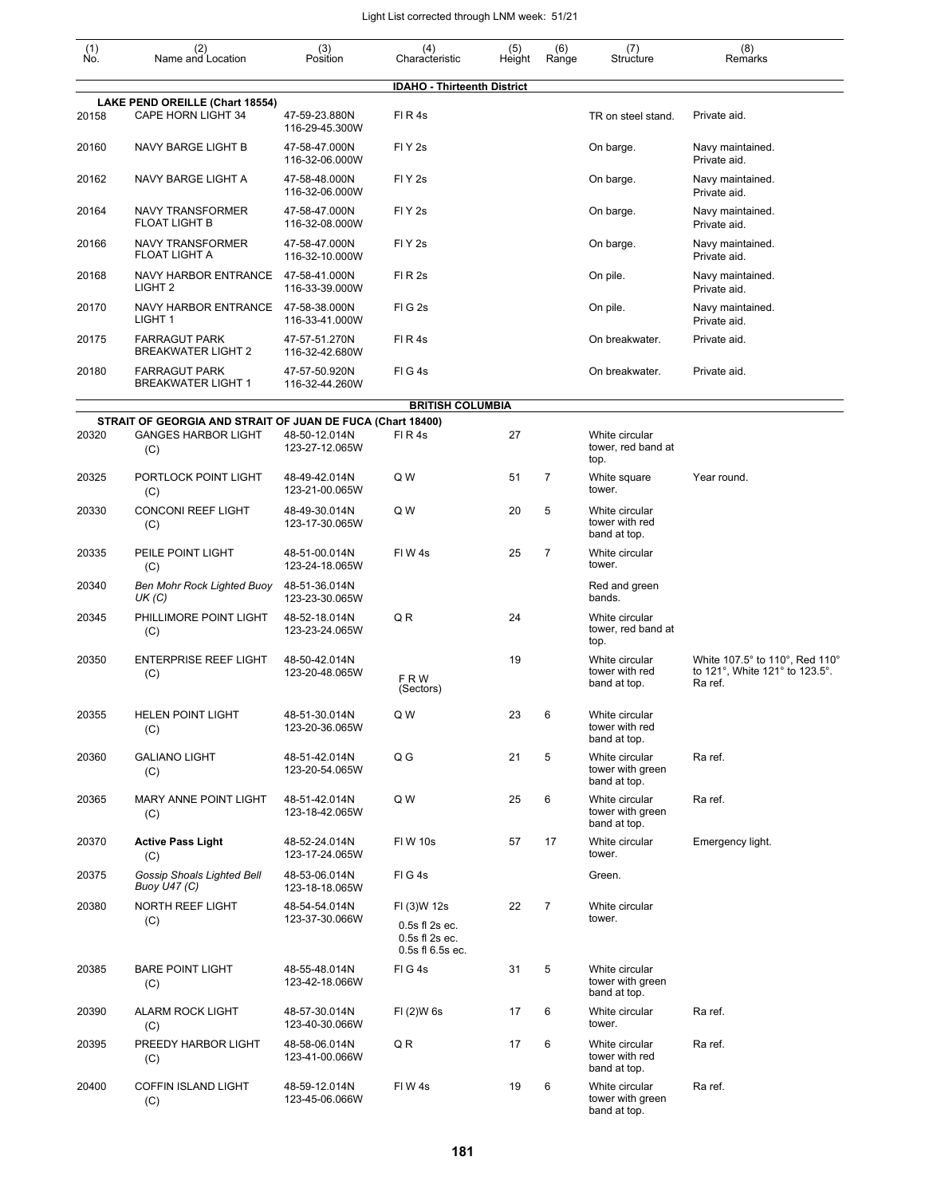| $\begin{smallmatrix} (1) \ N0. \end{smallmatrix}$ | (2)<br>Name and Location                                   | (3)<br>Position                 | (4)<br>Characteristic                                               | (5)<br>Height | (6)<br>Range   | (7)<br>Structure                                   | (8)<br>Remarks                                                              |
|---------------------------------------------------|------------------------------------------------------------|---------------------------------|---------------------------------------------------------------------|---------------|----------------|----------------------------------------------------|-----------------------------------------------------------------------------|
|                                                   |                                                            |                                 | <b>IDAHO - Thirteenth District</b>                                  |               |                |                                                    |                                                                             |
| 20158                                             | LAKE PEND OREILLE (Chart 18554)<br>CAPE HORN LIGHT 34      | 47-59-23.880N<br>116-29-45.300W | FIR4s                                                               |               |                | TR on steel stand.                                 | Private aid.                                                                |
| 20160                                             | NAVY BARGE LIGHT B                                         | 47-58-47.000N<br>116-32-06.000W | FIY <sub>2s</sub>                                                   |               |                | On barge.                                          | Navy maintained.<br>Private aid.                                            |
| 20162                                             | NAVY BARGE LIGHT A                                         | 47-58-48.000N<br>116-32-06.000W | FIY <sub>2s</sub>                                                   |               |                | On barge.                                          | Navy maintained.<br>Private aid.                                            |
| 20164                                             | <b>NAVY TRANSFORMER</b><br><b>FLOAT LIGHT B</b>            | 47-58-47.000N<br>116-32-08.000W | FIY <sub>2s</sub>                                                   |               |                | On barge.                                          | Navy maintained.<br>Private aid.                                            |
| 20166                                             | <b>NAVY TRANSFORMER</b><br><b>FLOAT LIGHT A</b>            | 47-58-47.000N<br>116-32-10.000W | FIY <sub>2s</sub>                                                   |               |                | On barge.                                          | Navy maintained.<br>Private aid.                                            |
| 20168                                             | <b>NAVY HARBOR ENTRANCE</b><br>LIGHT <sub>2</sub>          | 47-58-41.000N<br>116-33-39.000W | FI R 2s                                                             |               |                | On pile.                                           | Navy maintained.<br>Private aid.                                            |
| 20170                                             | <b>NAVY HARBOR ENTRANCE</b><br>LIGHT 1                     | 47-58-38.000N<br>116-33-41.000W | FIG <sub>2s</sub>                                                   |               |                | On pile.                                           | Navy maintained.<br>Private aid.                                            |
| 20175                                             | <b>FARRAGUT PARK</b><br><b>BREAKWATER LIGHT 2</b>          | 47-57-51.270N<br>116-32-42.680W | FIR4s                                                               |               |                | On breakwater.                                     | Private aid.                                                                |
| 20180                                             | <b>FARRAGUT PARK</b><br><b>BREAKWATER LIGHT 1</b>          | 47-57-50.920N<br>116-32-44.260W | FIG4s                                                               |               |                | On breakwater.                                     | Private aid.                                                                |
|                                                   |                                                            |                                 | <b>BRITISH COLUMBIA</b>                                             |               |                |                                                    |                                                                             |
|                                                   | STRAIT OF GEORGIA AND STRAIT OF JUAN DE FUCA (Chart 18400) |                                 |                                                                     |               |                |                                                    |                                                                             |
| 20320                                             | <b>GANGES HARBOR LIGHT</b><br>(C)                          | 48-50-12.014N<br>123-27-12.065W | FIR4s                                                               | 27            |                | White circular<br>tower, red band at<br>top.       |                                                                             |
| 20325                                             | PORTLOCK POINT LIGHT<br>(C)                                | 48-49-42.014N<br>123-21-00.065W | Q W                                                                 | 51            | 7              | White square<br>tower.                             | Year round.                                                                 |
| 20330                                             | <b>CONCONI REEF LIGHT</b><br>(C)                           | 48-49-30.014N<br>123-17-30.065W | Q W                                                                 | 20            | 5              | White circular<br>tower with red<br>band at top.   |                                                                             |
| 20335                                             | PEILE POINT LIGHT<br>(C)                                   | 48-51-00.014N<br>123-24-18.065W | FIW4s                                                               | 25            | $\overline{7}$ | White circular<br>tower.                           |                                                                             |
| 20340                                             | Ben Mohr Rock Lighted Buoy<br>UK(C)                        | 48-51-36.014N<br>123-23-30.065W |                                                                     |               |                | Red and green<br>bands.                            |                                                                             |
| 20345                                             | PHILLIMORE POINT LIGHT<br>(C)                              | 48-52-18.014N<br>123-23-24.065W | QR                                                                  | 24            |                | White circular<br>tower, red band at<br>top.       |                                                                             |
| 20350                                             | <b>ENTERPRISE REEF LIGHT</b><br>(C)                        | 48-50-42.014N<br>123-20-48.065W | <b>FRW</b><br>(Sectors)                                             | 19            |                | White circular<br>tower with red<br>band at top.   | White 107.5° to 110°, Red 110°<br>to 121°, White 121° to 123.5°.<br>Ra ref. |
| 20355                                             | <b>HELEN POINT LIGHT</b><br>(C)                            | 48-51-30.014N<br>123-20-36.065W | Q W                                                                 | 23            | 6              | White circular<br>tower with red<br>band at top.   |                                                                             |
| 20360                                             | <b>GALIANO LIGHT</b><br>(C)                                | 48-51-42.014N<br>123-20-54.065W | Q G                                                                 | 21            | 5              | White circular<br>tower with green<br>band at top. | Ra ref.                                                                     |
| 20365                                             | <b>MARY ANNE POINT LIGHT</b><br>(C)                        | 48-51-42.014N<br>123-18-42.065W | Q W                                                                 | 25            | 6              | White circular<br>tower with green<br>band at top. | Ra ref.                                                                     |
| 20370                                             | <b>Active Pass Light</b><br>(C)                            | 48-52-24.014N<br>123-17-24.065W | <b>FIW 10s</b>                                                      | 57            | 17             | White circular<br>tower.                           | Emergency light.                                                            |
| 20375                                             | Gossip Shoals Lighted Bell<br>Buoy U47 (C)                 | 48-53-06.014N<br>123-18-18.065W | FIG4s                                                               |               |                | Green.                                             |                                                                             |
| 20380                                             | <b>NORTH REEF LIGHT</b><br>(C)                             | 48-54-54.014N<br>123-37-30.066W | FI (3)W 12s<br>0.5s fl 2s ec.<br>0.5s fl 2s ec.<br>0.5s fl 6.5s ec. | 22            | 7              | White circular<br>tower.                           |                                                                             |
| 20385                                             | <b>BARE POINT LIGHT</b><br>(C)                             | 48-55-48.014N<br>123-42-18.066W | FIG4s                                                               | 31            | 5              | White circular<br>tower with green<br>band at top. |                                                                             |
| 20390                                             | <b>ALARM ROCK LIGHT</b><br>(C)                             | 48-57-30.014N<br>123-40-30.066W | FI (2) W 6s                                                         | 17            | 6              | White circular<br>tower.                           | Ra ref.                                                                     |
| 20395                                             | PREEDY HARBOR LIGHT<br>(C)                                 | 48-58-06.014N<br>123-41-00.066W | QR                                                                  | 17            | 6              | White circular<br>tower with red<br>band at top.   | Ra ref.                                                                     |
| 20400                                             | <b>COFFIN ISLAND LIGHT</b><br>(C)                          | 48-59-12.014N<br>123-45-06.066W | FIW4s                                                               | 19            | 6              | White circular<br>tower with green<br>band at top. | Ra ref.                                                                     |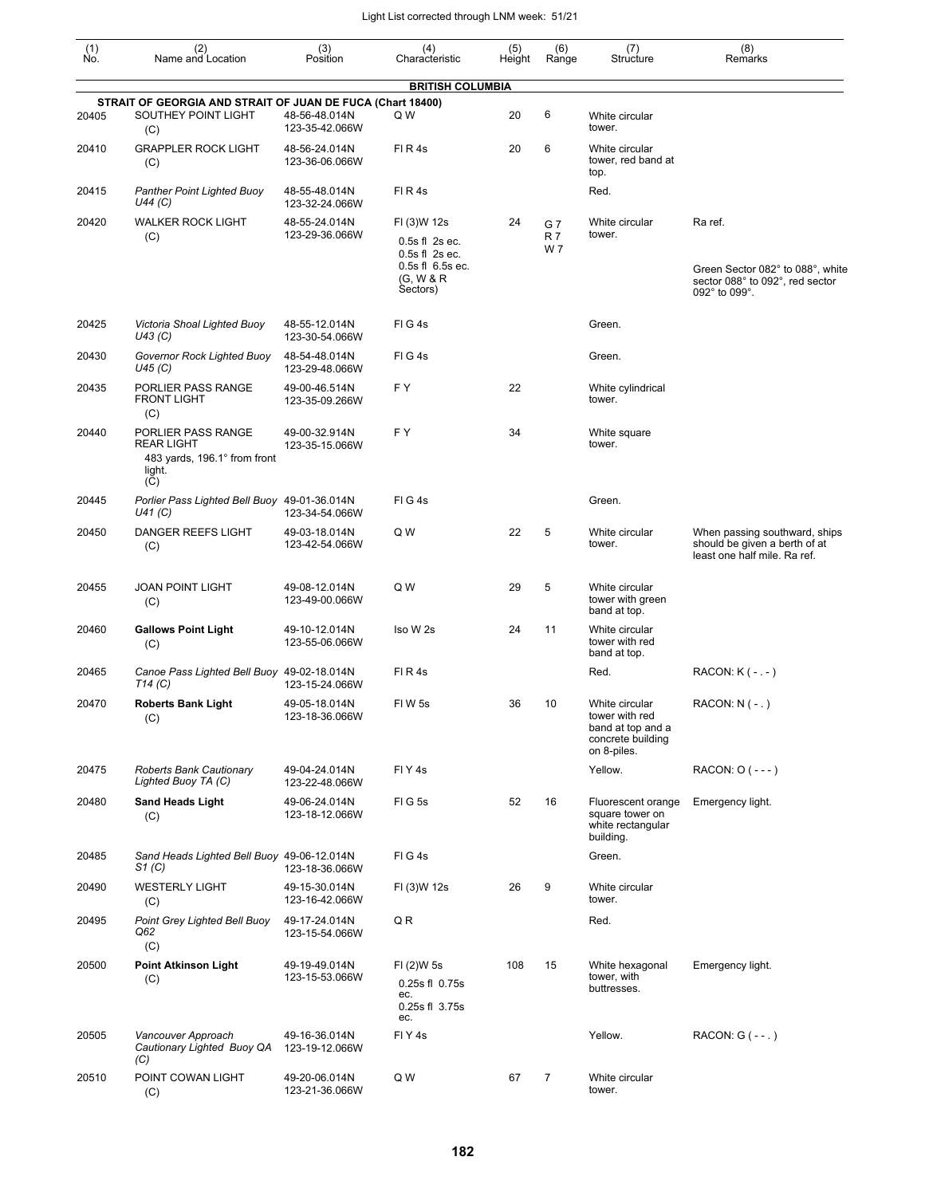| (1)<br>No. | (2)<br>Name and Location                                                                 | (3)<br>Position                 | (4)<br>Characteristic                                                                            | (5)<br>Height | (6)<br>Range            | (7)<br>Structure                                                                          | (8)<br>Remarks                                                                                  |
|------------|------------------------------------------------------------------------------------------|---------------------------------|--------------------------------------------------------------------------------------------------|---------------|-------------------------|-------------------------------------------------------------------------------------------|-------------------------------------------------------------------------------------------------|
|            |                                                                                          |                                 | <b>BRITISH COLUMBIA</b>                                                                          |               |                         |                                                                                           |                                                                                                 |
|            | STRAIT OF GEORGIA AND STRAIT OF JUAN DE FUCA (Chart 18400)                               |                                 |                                                                                                  |               |                         |                                                                                           |                                                                                                 |
| 20405      | SOUTHEY POINT LIGHT<br>(C)                                                               | 48-56-48.014N<br>123-35-42.066W | Q W                                                                                              | 20            | 6                       | White circular<br>tower.                                                                  |                                                                                                 |
| 20410      | <b>GRAPPLER ROCK LIGHT</b><br>(C)                                                        | 48-56-24.014N<br>123-36-06.066W | FIR4s                                                                                            | 20            | 6                       | White circular<br>tower, red band at<br>top.                                              |                                                                                                 |
| 20415      | Panther Point Lighted Buoy<br>U44 (C)                                                    | 48-55-48.014N<br>123-32-24.066W | FIR4s                                                                                            |               |                         | Red.                                                                                      |                                                                                                 |
| 20420      | <b>WALKER ROCK LIGHT</b><br>(C)                                                          | 48-55-24.014N<br>123-29-36.066W | FI (3)W 12s<br>$0.5s$ fl $2s$ ec.<br>0.5s fl 2s ec.<br>0.5s fl 6.5s ec.<br>(G, W & R<br>Sectors) | 24            | G 7<br><b>R7</b><br>W 7 | White circular<br>tower.                                                                  | Ra ref.<br>Green Sector 082° to 088°, white<br>sector 088° to 092°, red sector<br>092° to 099°. |
| 20425      | Victoria Shoal Lighted Buoy<br>U43 (C)                                                   | 48-55-12.014N<br>123-30-54.066W | FIG4s                                                                                            |               |                         | Green.                                                                                    |                                                                                                 |
| 20430      | Governor Rock Lighted Buoy<br>U45 (C)                                                    | 48-54-48.014N<br>123-29-48.066W | FIG4s                                                                                            |               |                         | Green.                                                                                    |                                                                                                 |
| 20435      | PORLIER PASS RANGE<br><b>FRONT LIGHT</b><br>(C)                                          | 49-00-46.514N<br>123-35-09.266W | F Y                                                                                              | 22            |                         | White cylindrical<br>tower.                                                               |                                                                                                 |
| 20440      | PORLIER PASS RANGE<br><b>REAR LIGHT</b><br>483 vards, 196.1° from front<br>light.<br>(C) | 49-00-32.914N<br>123-35-15.066W | F Y                                                                                              | 34            |                         | White square<br>tower.                                                                    |                                                                                                 |
| 20445      | Porlier Pass Lighted Bell Buoy 49-01-36.014N<br>U41 (C)                                  | 123-34-54.066W                  | FIG4s                                                                                            |               |                         | Green.                                                                                    |                                                                                                 |
| 20450      | DANGER REEFS LIGHT<br>(C)                                                                | 49-03-18.014N<br>123-42-54.066W | Q W                                                                                              | 22            | 5                       | White circular<br>tower.                                                                  | When passing southward, ships<br>should be given a berth of at<br>least one half mile. Ra ref.  |
| 20455      | <b>JOAN POINT LIGHT</b><br>(C)                                                           | 49-08-12.014N<br>123-49-00.066W | Q W                                                                                              | 29            | 5                       | White circular<br>tower with green<br>band at top.                                        |                                                                                                 |
| 20460      | <b>Gallows Point Light</b><br>(C)                                                        | 49-10-12.014N<br>123-55-06.066W | Iso W <sub>2s</sub>                                                                              | 24            | 11                      | White circular<br>tower with red<br>band at top.                                          |                                                                                                 |
| 20465      | Canoe Pass Lighted Bell Buoy 49-02-18.014N<br>T14 (C)                                    | 123-15-24.066W                  | FIR4s                                                                                            |               |                         | Red.                                                                                      | RACON: $K$ ( - . - )                                                                            |
| 20470      | <b>Roberts Bank Light</b><br>(C)                                                         | 49-05-18.014N<br>123-18-36.066W | <b>FIW5s</b>                                                                                     | 36            | 10                      | White circular<br>tower with red<br>band at top and a<br>concrete building<br>on 8-piles. | $RACON: N(-. )$                                                                                 |
| 20475      | <b>Roberts Bank Cautionary</b><br>Lighted Buoy TA (C)                                    | 49-04-24.014N<br>123-22-48.066W | FIY4s                                                                                            |               |                         | Yellow.                                                                                   | RACON: $O(---)$                                                                                 |
| 20480      | <b>Sand Heads Light</b><br>(C)                                                           | 49-06-24.014N<br>123-18-12.066W | FIG5s                                                                                            | 52            | 16                      | Fluorescent orange<br>square tower on<br>white rectangular<br>building.                   | Emergency light.                                                                                |
| 20485      | Sand Heads Lighted Bell Buoy 49-06-12.014N<br>S1 (C)                                     | 123-18-36.066W                  | FIG4s                                                                                            |               |                         | Green.                                                                                    |                                                                                                 |
| 20490      | <b>WESTERLY LIGHT</b><br>(C)                                                             | 49-15-30.014N<br>123-16-42.066W | FI (3)W 12s                                                                                      | 26            | 9                       | White circular<br>tower.                                                                  |                                                                                                 |
| 20495      | Point Grey Lighted Bell Buoy<br>Q62<br>(C)                                               | 49-17-24.014N<br>123-15-54.066W | QR                                                                                               |               |                         | Red.                                                                                      |                                                                                                 |
| 20500      | <b>Point Atkinson Light</b><br>(C)                                                       | 49-19-49.014N<br>123-15-53.066W | FI (2)W 5s<br>0.25s fl 0.75s<br>ec.<br>0.25s fl 3.75s<br>ec.                                     | 108           | 15                      | White hexagonal<br>tower, with<br>buttresses.                                             | Emergency light.                                                                                |
| 20505      | Vancouver Approach<br>Cautionary Lighted Buoy QA<br>(C)                                  | 49-16-36.014N<br>123-19-12.066W | FIY <sub>4s</sub>                                                                                |               |                         | Yellow.                                                                                   | RACON: $G$ ( $-$ -.)                                                                            |
| 20510      | POINT COWAN LIGHT<br>(C)                                                                 | 49-20-06.014N<br>123-21-36.066W | Q W                                                                                              | 67            | 7                       | White circular<br>tower.                                                                  |                                                                                                 |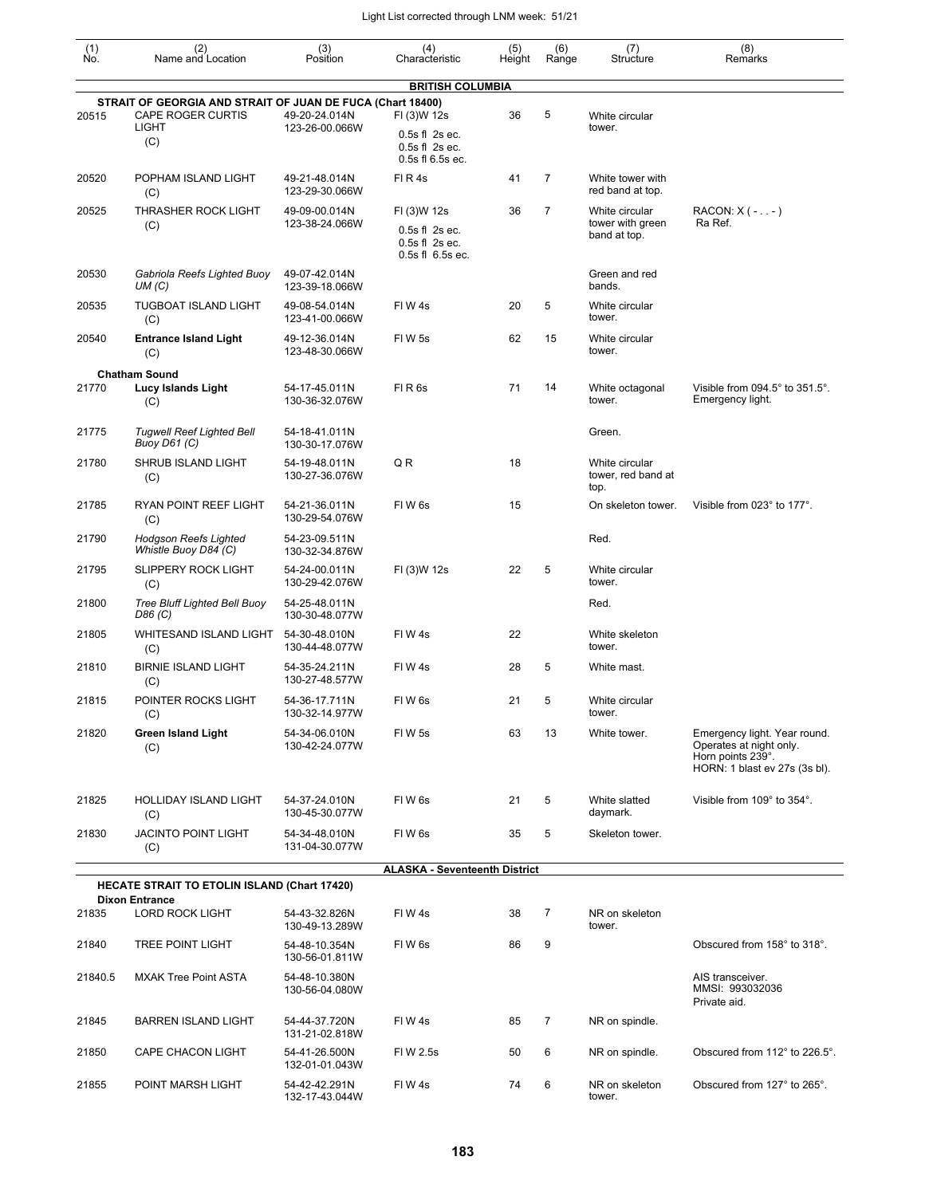| $\begin{smallmatrix} (1) \\ \mathsf{No} \end{smallmatrix}$ | (2)<br>Name and Location                                                     | (3)<br>Position                 | (4)<br>Characteristic                                        | (5)<br>Height | (6)<br>Range   | (7)<br>Structure                             | (8)<br>Remarks                                                                                                |
|------------------------------------------------------------|------------------------------------------------------------------------------|---------------------------------|--------------------------------------------------------------|---------------|----------------|----------------------------------------------|---------------------------------------------------------------------------------------------------------------|
|                                                            |                                                                              |                                 | <b>BRITISH COLUMBIA</b>                                      |               |                |                                              |                                                                                                               |
|                                                            | STRAIT OF GEORGIA AND STRAIT OF JUAN DE FUCA (Chart 18400)                   |                                 |                                                              |               |                |                                              |                                                                                                               |
| 20515                                                      | <b>CAPE ROGER CURTIS</b><br>LIGHT                                            | 49-20-24.014N<br>123-26-00.066W | FI (3)W 12s<br>$0.5s$ fl $2s$ ec.                            | 36            | 5              | White circular<br>tower.                     |                                                                                                               |
|                                                            | (C)                                                                          |                                 | $0.5s$ fl $2s$ ec.<br>0.5s fl 6.5s ec.                       |               |                |                                              |                                                                                                               |
| 20520                                                      | POPHAM ISLAND LIGHT<br>(C)                                                   | 49-21-48.014N<br>123-29-30.066W | FIR4s                                                        | 41            | $\overline{7}$ | White tower with<br>red band at top.         |                                                                                                               |
| 20525                                                      | THRASHER ROCK LIGHT                                                          | 49-09-00.014N<br>123-38-24.066W | FI (3)W 12s                                                  | 36            | 7              | White circular<br>tower with green           | RACON: $X$ ( - - )<br>Ra Ref.                                                                                 |
|                                                            | (C)                                                                          |                                 | $0.5s$ fl $2s$ ec.<br>$0.5s$ fl $2s$ ec.<br>0.5s fl 6.5s ec. |               |                | band at top.                                 |                                                                                                               |
| 20530                                                      | Gabriola Reefs Lighted Buoy<br>UM(C)                                         | 49-07-42.014N<br>123-39-18.066W |                                                              |               |                | Green and red<br>bands.                      |                                                                                                               |
| 20535                                                      | <b>TUGBOAT ISLAND LIGHT</b><br>(C)                                           | 49-08-54.014N<br>123-41-00.066W | FIW4s                                                        | 20            | 5              | White circular<br>tower.                     |                                                                                                               |
| 20540                                                      | <b>Entrance Island Light</b><br>(C)                                          | 49-12-36.014N<br>123-48-30.066W | FIW <sub>5s</sub>                                            | 62            | 15             | White circular<br>tower.                     |                                                                                                               |
|                                                            | <b>Chatham Sound</b>                                                         |                                 |                                                              |               |                |                                              |                                                                                                               |
| 21770                                                      | Lucy Islands Light<br>(C)                                                    | 54-17-45.011N<br>130-36-32.076W | FIR <sub>6s</sub>                                            | 71            | 14             | White octagonal<br>tower.                    | Visible from $094.5^\circ$ to $351.5^\circ$ .<br>Emergency light.                                             |
| 21775                                                      | <b>Tugwell Reef Lighted Bell</b><br>Buoy D61 (C)                             | 54-18-41.011N<br>130-30-17.076W |                                                              |               |                | Green.                                       |                                                                                                               |
| 21780                                                      | SHRUB ISLAND LIGHT<br>(C)                                                    | 54-19-48.011N<br>130-27-36.076W | QR                                                           | 18            |                | White circular<br>tower, red band at<br>top. |                                                                                                               |
| 21785                                                      | RYAN POINT REEF LIGHT<br>(C)                                                 | 54-21-36.011N<br>130-29-54.076W | FIW 6s                                                       | 15            |                | On skeleton tower.                           | Visible from 023° to 177°.                                                                                    |
| 21790                                                      | <b>Hodgson Reefs Lighted</b><br>Whistle Buoy D84 (C)                         | 54-23-09.511N<br>130-32-34.876W |                                                              |               |                | Red.                                         |                                                                                                               |
| 21795                                                      | <b>SLIPPERY ROCK LIGHT</b><br>(C)                                            | 54-24-00.011N<br>130-29-42.076W | FI (3)W 12s                                                  | 22            | 5              | White circular<br>tower.                     |                                                                                                               |
| 21800                                                      | <b>Tree Bluff Lighted Bell Buoy</b><br>D86 (C)                               | 54-25-48.011N<br>130-30-48.077W |                                                              |               |                | Red.                                         |                                                                                                               |
| 21805                                                      | <b>WHITESAND ISLAND LIGHT</b><br>(C)                                         | 54-30-48.010N<br>130-44-48.077W | FIW4s                                                        | 22            |                | White skeleton<br>tower.                     |                                                                                                               |
| 21810                                                      | <b>BIRNIE ISLAND LIGHT</b><br>(C)                                            | 54-35-24.211N<br>130-27-48.577W | FIW4s                                                        | 28            | 5              | White mast.                                  |                                                                                                               |
| 21815                                                      | POINTER ROCKS LIGHT<br>(C)                                                   | 54-36-17.711N<br>130-32-14.977W | FIW <sub>6s</sub>                                            | 21            | 5              | White circular<br>tower.                     |                                                                                                               |
| 21820                                                      | <b>Green Island Light</b><br>(C)                                             | 54-34-06.010N<br>130-42-24.077W | FIW 5s                                                       | 63            | 13             | White tower.                                 | Emergency light. Year round.<br>Operates at night only.<br>Horn points 239°.<br>HORN: 1 blast ev 27s (3s bl). |
| 21825                                                      | <b>HOLLIDAY ISLAND LIGHT</b><br>(C)                                          | 54-37-24.010N<br>130-45-30.077W | FIW 6s                                                       | 21            | 5              | White slatted<br>daymark.                    | Visible from 109° to 354°.                                                                                    |
| 21830                                                      | <b>JACINTO POINT LIGHT</b><br>(C)                                            | 54-34-48.010N<br>131-04-30.077W | FIW 6s                                                       | 35            | 5              | Skeleton tower.                              |                                                                                                               |
|                                                            |                                                                              |                                 | <b>ALASKA - Seventeenth District</b>                         |               |                |                                              |                                                                                                               |
|                                                            | <b>HECATE STRAIT TO ETOLIN ISLAND (Chart 17420)</b><br><b>Dixon Entrance</b> |                                 |                                                              |               |                |                                              |                                                                                                               |
| 21835                                                      | <b>LORD ROCK LIGHT</b>                                                       | 54-43-32.826N<br>130-49-13.289W | FIW4s                                                        | 38            | 7              | NR on skeleton<br>tower.                     |                                                                                                               |
| 21840                                                      | <b>TREE POINT LIGHT</b>                                                      | 54-48-10.354N<br>130-56-01.811W | FIW 6s                                                       | 86            | 9              |                                              | Obscured from 158° to 318°.                                                                                   |
| 21840.5                                                    | <b>MXAK Tree Point ASTA</b>                                                  | 54-48-10.380N<br>130-56-04.080W |                                                              |               |                |                                              | AIS transceiver.<br>MMSI: 993032036<br>Private aid.                                                           |
| 21845                                                      | <b>BARREN ISLAND LIGHT</b>                                                   | 54-44-37.720N<br>131-21-02.818W | FIW 4s                                                       | 85            | $\overline{7}$ | NR on spindle.                               |                                                                                                               |
| 21850                                                      | CAPE CHACON LIGHT                                                            | 54-41-26.500N<br>132-01-01.043W | FIW 2.5s                                                     | 50            | 6              | NR on spindle.                               | Obscured from 112° to 226.5°.                                                                                 |
| 21855                                                      | POINT MARSH LIGHT                                                            | 54-42-42.291N<br>132-17-43.044W | FIW4s                                                        | 74            | 6              | NR on skeleton<br>tower.                     | Obscured from 127° to 265°.                                                                                   |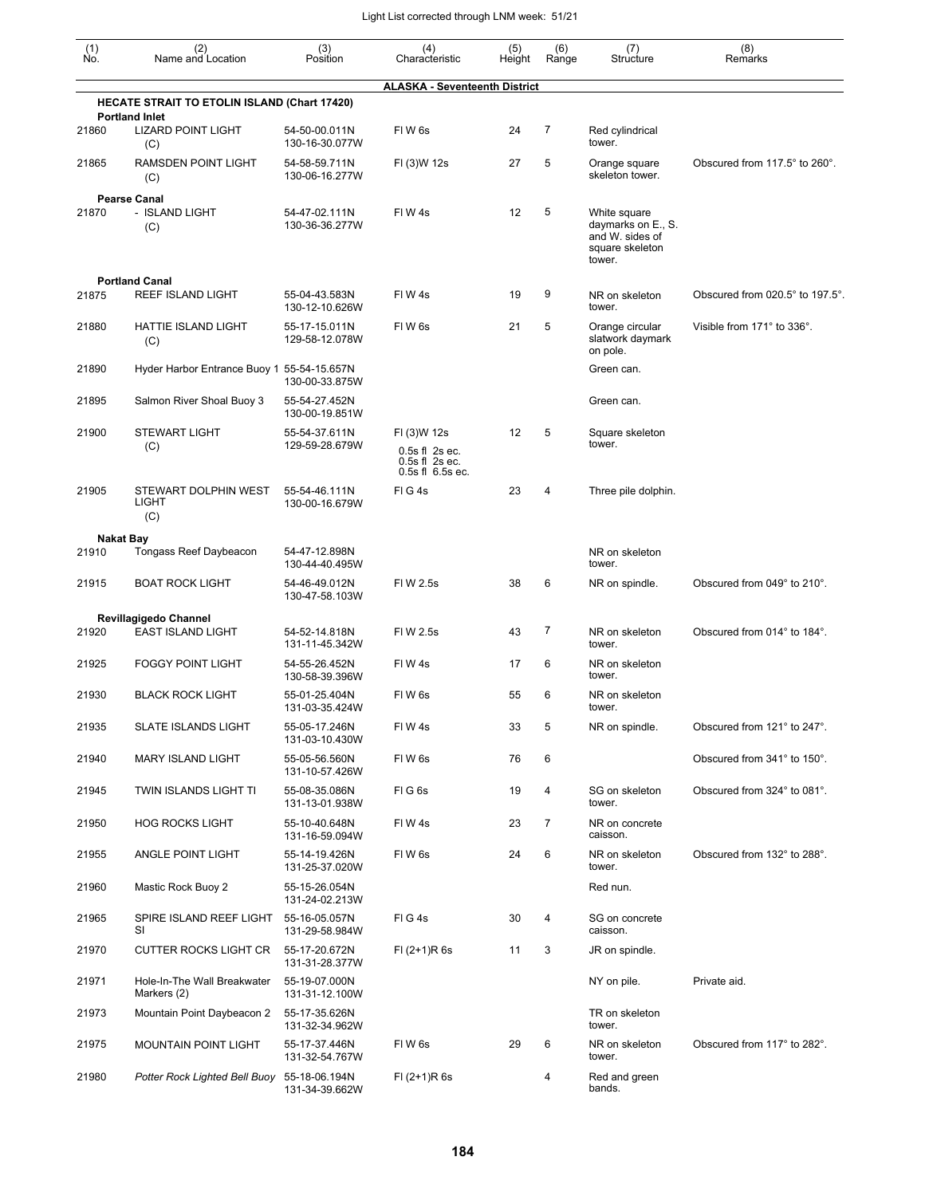| $\begin{smallmatrix} (1) \\ \mathsf{No}. \end{smallmatrix}$ | (2)<br>Name and Location                                                     | (3)<br>Position                 | (4)<br>Characteristic                                                       | (5)<br>Height | (6)<br>Range | (7)<br>Structure                                                                   | (8)<br>Remarks                  |
|-------------------------------------------------------------|------------------------------------------------------------------------------|---------------------------------|-----------------------------------------------------------------------------|---------------|--------------|------------------------------------------------------------------------------------|---------------------------------|
|                                                             |                                                                              |                                 | <b>ALASKA - Seventeenth District</b>                                        |               |              |                                                                                    |                                 |
|                                                             | <b>HECATE STRAIT TO ETOLIN ISLAND (Chart 17420)</b><br><b>Portland Inlet</b> |                                 |                                                                             |               |              |                                                                                    |                                 |
| 21860                                                       | <b>LIZARD POINT LIGHT</b><br>(C)                                             | 54-50-00.011N<br>130-16-30.077W | FIW <sub>6s</sub>                                                           | 24            | 7            | Red cylindrical<br>tower.                                                          |                                 |
| 21865                                                       | RAMSDEN POINT LIGHT<br>(C)                                                   | 54-58-59.711N<br>130-06-16.277W | FI (3)W 12s                                                                 | 27            | 5            | Orange square<br>skeleton tower.                                                   | Obscured from 117.5° to 260°.   |
| 21870                                                       | <b>Pearse Canal</b><br>- ISLAND LIGHT<br>(C)                                 | 54-47-02.111N<br>130-36-36.277W | FIW4s                                                                       | 12            | 5            | White square<br>daymarks on E., S.<br>and W. sides of<br>square skeleton<br>tower. |                                 |
| 21875                                                       | <b>Portland Canal</b><br>REEF ISLAND LIGHT                                   | 55-04-43.583N<br>130-12-10.626W | FIW4s                                                                       | 19            | 9            | NR on skeleton<br>tower.                                                           | Obscured from 020.5° to 197.5°. |
| 21880                                                       | HATTIE ISLAND LIGHT<br>(C)                                                   | 55-17-15.011N<br>129-58-12.078W | FIW <sub>6s</sub>                                                           | 21            | 5            | Orange circular<br>slatwork daymark<br>on pole.                                    | Visible from 171° to 336°.      |
| 21890                                                       | Hyder Harbor Entrance Buoy 1 55-54-15.657N                                   | 130-00-33.875W                  |                                                                             |               |              | Green can.                                                                         |                                 |
| 21895                                                       | Salmon River Shoal Buoy 3                                                    | 55-54-27.452N<br>130-00-19.851W |                                                                             |               |              | Green can.                                                                         |                                 |
| 21900                                                       | <b>STEWART LIGHT</b><br>(C)                                                  | 55-54-37.611N<br>129-59-28.679W | FI (3)W 12s<br>$0.5s$ fl $2s$ ec.<br>$0.5s$ fl $2s$ ec.<br>0.5s fl 6.5s ec. | 12            | 5            | Square skeleton<br>tower.                                                          |                                 |
| 21905                                                       | STEWART DOLPHIN WEST<br>LIGHT<br>(C)                                         | 55-54-46.111N<br>130-00-16.679W | FIG4s                                                                       | 23            | 4            | Three pile dolphin.                                                                |                                 |
|                                                             | Nakat Bay                                                                    |                                 |                                                                             |               |              |                                                                                    |                                 |
| 21910                                                       | Tongass Reef Daybeacon                                                       | 54-47-12.898N<br>130-44-40.495W |                                                                             |               |              | NR on skeleton<br>tower.                                                           |                                 |
| 21915                                                       | <b>BOAT ROCK LIGHT</b>                                                       | 54-46-49.012N<br>130-47-58.103W | FIW 2.5s                                                                    | 38            | 6            | NR on spindle.                                                                     | Obscured from 049° to 210°.     |
|                                                             | Revillagigedo Channel                                                        |                                 |                                                                             |               |              |                                                                                    |                                 |
| 21920                                                       | <b>EAST ISLAND LIGHT</b>                                                     | 54-52-14.818N<br>131-11-45.342W | FI W 2.5s                                                                   | 43            | 7            | NR on skeleton<br>tower.                                                           | Obscured from 014° to 184°.     |
| 21925                                                       | <b>FOGGY POINT LIGHT</b>                                                     | 54-55-26.452N<br>130-58-39.396W | FIW4s                                                                       | 17            | 6            | NR on skeleton<br>tower.                                                           |                                 |
| 21930                                                       | <b>BLACK ROCK LIGHT</b>                                                      | 55-01-25.404N<br>131-03-35.424W | FIW <sub>6s</sub>                                                           | 55            | 6            | NR on skeleton<br>tower.                                                           |                                 |
| 21935                                                       | <b>SLATE ISLANDS LIGHT</b>                                                   | 55-05-17.246N<br>131-03-10.430W | FIW4s                                                                       | 33            | 5            | NR on spindle.                                                                     | Obscured from 121° to 247°.     |
| 21940                                                       | <b>MARY ISLAND LIGHT</b>                                                     | 55-05-56.560N<br>131-10-57.426W | FIW6s                                                                       | 76            | 6            |                                                                                    | Obscured from 341° to 150°.     |
| 21945                                                       | TWIN ISLANDS LIGHT TI                                                        | 55-08-35.086N<br>131-13-01.938W | FIG <sub>6s</sub>                                                           | 19            | 4            | SG on skeleton<br>tower.                                                           | Obscured from 324° to 081°.     |
| 21950                                                       | <b>HOG ROCKS LIGHT</b>                                                       | 55-10-40.648N<br>131-16-59.094W | FIW4s                                                                       | 23            | 7            | NR on concrete<br>caisson.                                                         |                                 |
| 21955                                                       | ANGLE POINT LIGHT                                                            | 55-14-19.426N<br>131-25-37.020W | FIW <sub>6s</sub>                                                           | 24            | 6            | NR on skeleton<br>tower.                                                           | Obscured from 132° to 288°.     |
| 21960                                                       | Mastic Rock Buoy 2                                                           | 55-15-26.054N<br>131-24-02.213W |                                                                             |               |              | Red nun.                                                                           |                                 |
| 21965                                                       | SPIRE ISLAND REEF LIGHT<br>SI                                                | 55-16-05.057N<br>131-29-58.984W | FIG4s                                                                       | 30            | 4            | SG on concrete<br>caisson.                                                         |                                 |
| 21970                                                       | <b>CUTTER ROCKS LIGHT CR</b>                                                 | 55-17-20.672N<br>131-31-28.377W | $FI (2+1)R 6s$                                                              | 11            | 3            | JR on spindle.                                                                     |                                 |
| 21971                                                       | Hole-In-The Wall Breakwater<br>Markers (2)                                   | 55-19-07.000N<br>131-31-12.100W |                                                                             |               |              | NY on pile.                                                                        | Private aid.                    |
| 21973                                                       | Mountain Point Daybeacon 2                                                   | 55-17-35.626N<br>131-32-34.962W |                                                                             |               |              | TR on skeleton<br>tower.                                                           |                                 |
| 21975                                                       | <b>MOUNTAIN POINT LIGHT</b>                                                  | 55-17-37.446N<br>131-32-54.767W | FIW <sub>6s</sub>                                                           | 29            | 6            | NR on skeleton<br>tower.                                                           | Obscured from 117° to 282°.     |
| 21980                                                       | Potter Rock Lighted Bell Buoy 55-18-06.194N                                  | 131-34-39.662W                  | $FI (2+1)R 6s$                                                              |               | 4            | Red and green<br>bands.                                                            |                                 |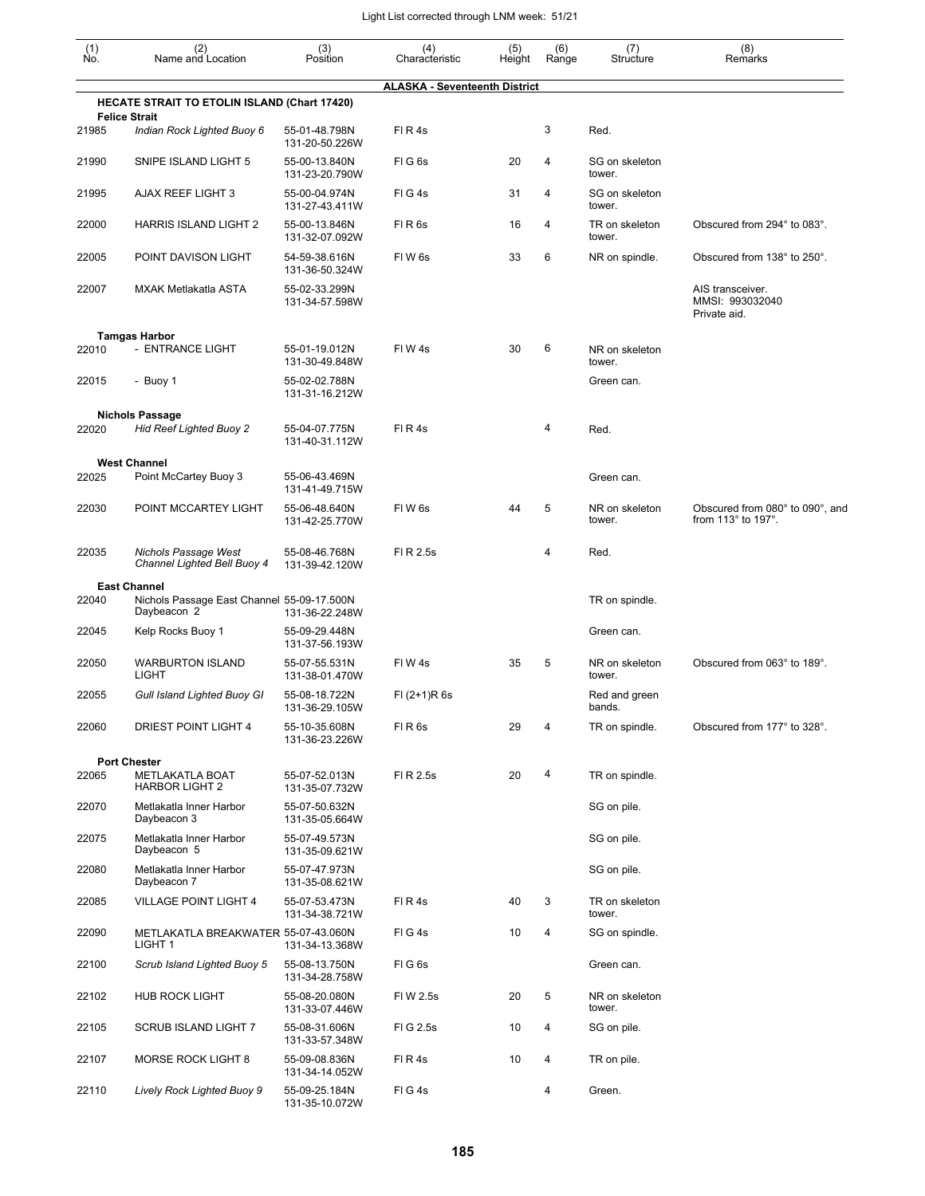| (1)   | (2)<br>Name and Location                                               | (3)<br>Position                 | (4)                                  | (5)    | (6)   | (7)                      | (8)                                                                  |
|-------|------------------------------------------------------------------------|---------------------------------|--------------------------------------|--------|-------|--------------------------|----------------------------------------------------------------------|
| Ño.   |                                                                        |                                 | Characteristic                       | Height | Range | Structure                | Remarks                                                              |
|       | <b>HECATE STRAIT TO ETOLIN ISLAND (Chart 17420)</b>                    |                                 | <b>ALASKA - Seventeenth District</b> |        |       |                          |                                                                      |
| 21985 | <b>Felice Strait</b><br>Indian Rock Lighted Buoy 6                     | 55-01-48.798N<br>131-20-50.226W | FIR4s                                |        | 3     | Red.                     |                                                                      |
| 21990 | SNIPE ISLAND LIGHT 5                                                   | 55-00-13.840N<br>131-23-20.790W | FIG6s                                | 20     | 4     | SG on skeleton<br>tower. |                                                                      |
| 21995 | <b>AJAX REEF LIGHT 3</b>                                               | 55-00-04.974N<br>131-27-43.411W | FIG4s                                | 31     | 4     | SG on skeleton<br>tower. |                                                                      |
| 22000 | <b>HARRIS ISLAND LIGHT 2</b>                                           | 55-00-13.846N<br>131-32-07.092W | FIR <sub>6s</sub>                    | 16     | 4     | TR on skeleton<br>tower. | Obscured from 294° to 083°.                                          |
| 22005 | POINT DAVISON LIGHT                                                    | 54-59-38.616N<br>131-36-50.324W | FIW <sub>6s</sub>                    | 33     | 6     | NR on spindle.           | Obscured from 138° to 250°.                                          |
| 22007 | <b>MXAK Metlakatla ASTA</b>                                            | 55-02-33.299N<br>131-34-57.598W |                                      |        |       |                          | AIS transceiver.<br>MMSI: 993032040<br>Private aid.                  |
|       | <b>Tamgas Harbor</b>                                                   |                                 |                                      |        |       |                          |                                                                      |
| 22010 | - ENTRANCE LIGHT                                                       | 55-01-19.012N<br>131-30-49.848W | FIW4s                                | 30     | 6     | NR on skeleton<br>tower. |                                                                      |
| 22015 | - Buoy 1                                                               | 55-02-02.788N<br>131-31-16.212W |                                      |        |       | Green can.               |                                                                      |
|       | <b>Nichols Passage</b>                                                 |                                 |                                      |        |       |                          |                                                                      |
| 22020 | <b>Hid Reef Lighted Buoy 2</b>                                         | 55-04-07.775N<br>131-40-31.112W | FIR4s                                |        | 4     | Red.                     |                                                                      |
| 22025 | <b>West Channel</b>                                                    |                                 |                                      |        |       |                          |                                                                      |
|       | Point McCartey Buoy 3                                                  | 55-06-43.469N<br>131-41-49.715W |                                      |        |       | Green can.               |                                                                      |
| 22030 | POINT MCCARTEY LIGHT                                                   | 55-06-48.640N<br>131-42-25.770W | FIW <sub>6s</sub>                    | 44     | 5     | NR on skeleton<br>tower. | Obscured from 080° to 090°, and<br>from $113^\circ$ to $197^\circ$ . |
| 22035 | Nichols Passage West<br>Channel Lighted Bell Buoy 4                    | 55-08-46.768N<br>131-39-42.120W | FI R 2.5s                            |        | 4     | Red.                     |                                                                      |
|       | <b>East Channel</b>                                                    |                                 |                                      |        |       |                          |                                                                      |
| 22040 | Nichols Passage East Channel 55-09-17.500N<br>Daybeacon 2              | 131-36-22.248W                  |                                      |        |       | TR on spindle.           |                                                                      |
| 22045 | Kelp Rocks Buoy 1                                                      | 55-09-29.448N<br>131-37-56.193W |                                      |        |       | Green can.               |                                                                      |
| 22050 | <b>WARBURTON ISLAND</b><br>LIGHT                                       | 55-07-55.531N<br>131-38-01.470W | FIW4s                                | 35     | 5     | NR on skeleton<br>tower. | Obscured from 063° to 189°.                                          |
| 22055 | Gull Island Lighted Buoy GI                                            | 55-08-18.722N<br>131-36-29.105W | $FI (2+1)R 6s$                       |        |       | Red and green<br>bands.  |                                                                      |
| 22060 | DRIEST POINT LIGHT 4                                                   | 55-10-35.608N<br>131-36-23.226W | FIR <sub>6s</sub>                    | 29     | 4     | TR on spindle.           | Obscured from 177° to 328°.                                          |
| 22065 | <b>Port Chester</b><br><b>METLAKATLA BOAT</b><br><b>HARBOR LIGHT 2</b> | 55-07-52.013N<br>131-35-07.732W | FI R 2.5s                            | 20     | 4     | TR on spindle.           |                                                                      |
| 22070 | Metlakatla Inner Harbor<br>Daybeacon 3                                 | 55-07-50.632N<br>131-35-05.664W |                                      |        |       | SG on pile.              |                                                                      |
| 22075 | Metlakatla Inner Harbor<br>Daybeacon 5                                 | 55-07-49.573N<br>131-35-09.621W |                                      |        |       | SG on pile.              |                                                                      |
| 22080 | Metlakatla Inner Harbor<br>Daybeacon 7                                 | 55-07-47.973N<br>131-35-08.621W |                                      |        |       | SG on pile.              |                                                                      |
| 22085 | <b>VILLAGE POINT LIGHT 4</b>                                           | 55-07-53.473N<br>131-34-38.721W | FIR4s                                | 40     | 3     | TR on skeleton<br>tower. |                                                                      |
| 22090 | METLAKATLA BREAKWATER 55-07-43.060N<br>LIGHT 1                         | 131-34-13.368W                  | FIG4s                                | 10     | 4     | SG on spindle.           |                                                                      |
| 22100 | Scrub Island Lighted Buoy 5                                            | 55-08-13.750N<br>131-34-28.758W | FIG6s                                |        |       | Green can.               |                                                                      |
| 22102 | <b>HUB ROCK LIGHT</b>                                                  | 55-08-20.080N<br>131-33-07.446W | FIW 2.5s                             | 20     | 5     | NR on skeleton<br>tower. |                                                                      |
| 22105 | <b>SCRUB ISLAND LIGHT 7</b>                                            | 55-08-31.606N<br>131-33-57.348W | FI G 2.5s                            | 10     | 4     | SG on pile.              |                                                                      |
| 22107 | <b>MORSE ROCK LIGHT 8</b>                                              | 55-09-08.836N<br>131-34-14.052W | FIR4s                                | 10     | 4     | TR on pile.              |                                                                      |
| 22110 | Lively Rock Lighted Buoy 9                                             | 55-09-25.184N<br>131-35-10.072W | FIG4s                                |        | 4     | Green.                   |                                                                      |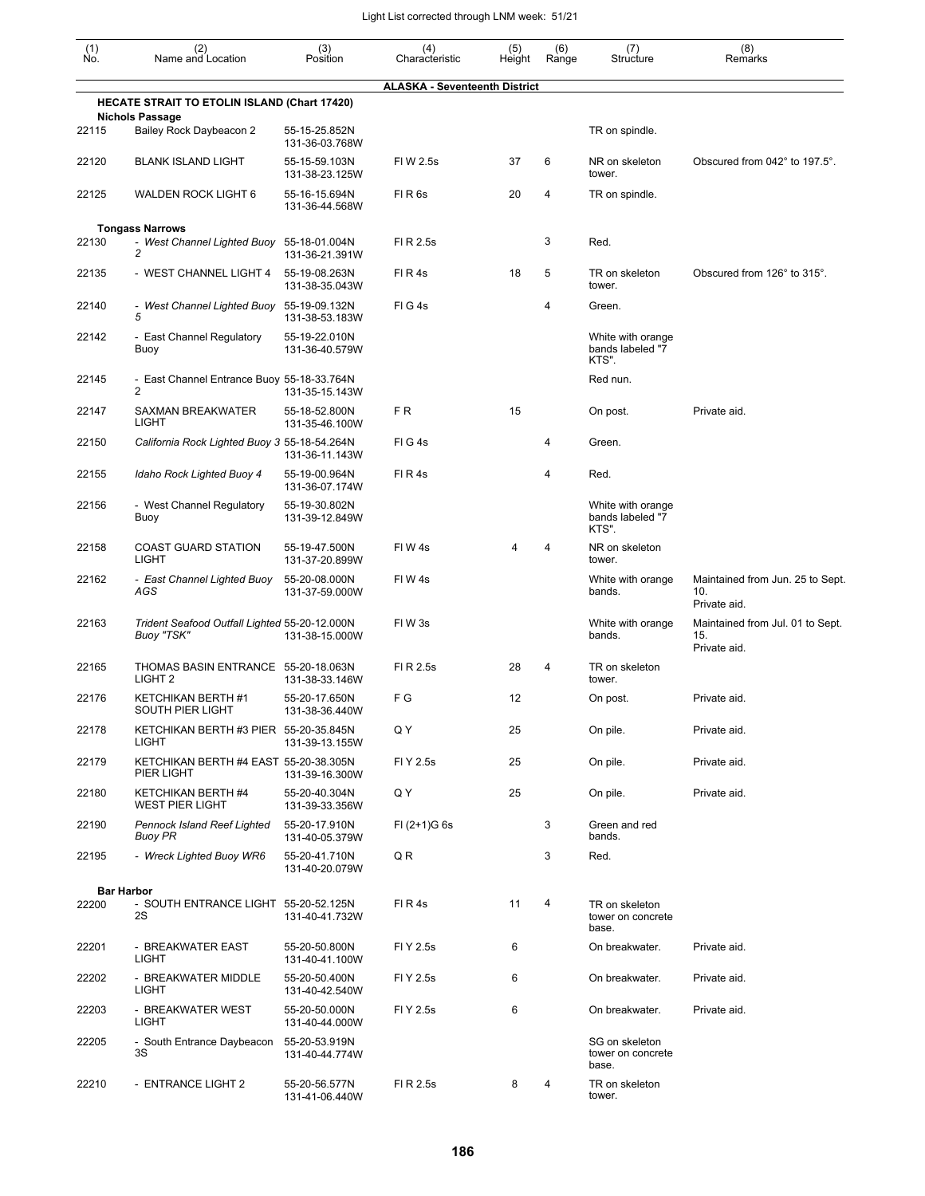| (1)<br>Ñó. | (2)<br>Name and Location                                    | (3)<br>Position                 | (4)<br>Characteristic                | (5)<br>Height | (6)<br>Range | (7)<br>Structure                               | (8)<br>Remarks                                          |
|------------|-------------------------------------------------------------|---------------------------------|--------------------------------------|---------------|--------------|------------------------------------------------|---------------------------------------------------------|
|            |                                                             |                                 | <b>ALASKA - Seventeenth District</b> |               |              |                                                |                                                         |
|            | <b>HECATE STRAIT TO ETOLIN ISLAND (Chart 17420)</b>         |                                 |                                      |               |              |                                                |                                                         |
| 22115      | <b>Nichols Passage</b><br>Bailey Rock Daybeacon 2           | 55-15-25.852N<br>131-36-03.768W |                                      |               |              | TR on spindle.                                 |                                                         |
| 22120      | <b>BLANK ISLAND LIGHT</b>                                   | 55-15-59.103N<br>131-38-23.125W | FIW 2.5s                             | 37            | 6            | NR on skeleton<br>tower.                       | Obscured from 042° to 197.5°.                           |
| 22125      | <b>WALDEN ROCK LIGHT 6</b>                                  | 55-16-15.694N<br>131-36-44.568W | FIR <sub>6s</sub>                    | 20            | 4            | TR on spindle.                                 |                                                         |
|            | <b>Tongass Narrows</b>                                      |                                 |                                      |               |              |                                                |                                                         |
| 22130      | - West Channel Lighted Buoy 55-18-01.004N<br>2              | 131-36-21.391W                  | FI R 2.5s                            |               | 3            | Red.                                           |                                                         |
| 22135      | - WEST CHANNEL LIGHT 4                                      | 55-19-08.263N<br>131-38-35.043W | FIR4s                                | 18            | 5            | TR on skeleton<br>tower.                       | Obscured from 126° to 315°.                             |
| 22140      | - West Channel Lighted Buoy 55-19-09.132N<br>5              | 131-38-53.183W                  | FIG4s                                |               | 4            | Green.                                         |                                                         |
| 22142      | - East Channel Regulatory<br>Buoy                           | 55-19-22.010N<br>131-36-40.579W |                                      |               |              | White with orange<br>bands labeled "7<br>KTS". |                                                         |
| 22145      | - East Channel Entrance Buoy 55-18-33.764N<br>2             | 131-35-15.143W                  |                                      |               |              | Red nun.                                       |                                                         |
| 22147      | SAXMAN BREAKWATER<br>LIGHT                                  | 55-18-52.800N<br>131-35-46.100W | F <sub>R</sub>                       | 15            |              | On post.                                       | Private aid.                                            |
| 22150      | California Rock Lighted Buoy 3 55-18-54.264N                | 131-36-11.143W                  | FIG4s                                |               | 4            | Green.                                         |                                                         |
| 22155      | Idaho Rock Lighted Buoy 4                                   | 55-19-00.964N<br>131-36-07.174W | FIR4s                                |               | 4            | Red.                                           |                                                         |
| 22156      | - West Channel Regulatory<br>Buoy                           | 55-19-30.802N<br>131-39-12.849W |                                      |               |              | White with orange<br>bands labeled "7<br>KTS". |                                                         |
| 22158      | <b>COAST GUARD STATION</b><br><b>LIGHT</b>                  | 55-19-47.500N<br>131-37-20.899W | FIW4s                                | 4             | 4            | NR on skeleton<br>tower.                       |                                                         |
| 22162      | - East Channel Lighted Buoy<br>AGS                          | 55-20-08.000N<br>131-37-59.000W | FIW4s                                |               |              | White with orange<br>bands.                    | Maintained from Jun. 25 to Sept.<br>10.<br>Private aid. |
| 22163      | Trident Seafood Outfall Lighted 55-20-12.000N<br>Buoy "TSK" | 131-38-15.000W                  | FIW 3s                               |               |              | White with orange<br>bands.                    | Maintained from Jul. 01 to Sept.<br>15.<br>Private aid. |
| 22165      | THOMAS BASIN ENTRANCE 55-20-18.063N<br>LIGHT <sub>2</sub>   | 131-38-33.146W                  | FI R 2.5s                            | 28            | 4            | TR on skeleton<br>tower.                       |                                                         |
| 22176      | KETCHIKAN BERTH #1<br>SOUTH PIER LIGHT                      | 55-20-17.650N<br>131-38-36.440W | F G                                  | 12            |              | On post.                                       | Private aid.                                            |
| 22178      | KETCHIKAN BERTH #3 PIER 55-20-35.845N<br><b>LIGHT</b>       | 131-39-13.155W                  | Q Y                                  | 25            |              | On pile.                                       | Private aid.                                            |
| 22179      | KETCHIKAN BERTH #4 EAST 55-20-38.305N<br>PIER LIGHT         | 131-39-16.300W                  | FI Y 2.5s                            | 25            |              | On pile.                                       | Private aid.                                            |
| 22180      | KETCHIKAN BERTH #4<br><b>WEST PIER LIGHT</b>                | 55-20-40.304N<br>131-39-33.356W | Q Y                                  | 25            |              | On pile.                                       | Private aid.                                            |
| 22190      | Pennock Island Reef Lighted<br>Buoy PR                      | 55-20-17.910N<br>131-40-05.379W | $FI (2+1)G 6s$                       |               | 3            | Green and red<br>bands.                        |                                                         |
| 22195      | - Wreck Lighted Buoy WR6                                    | 55-20-41.710N<br>131-40-20.079W | QR                                   |               | 3            | Red.                                           |                                                         |
|            | <b>Bar Harbor</b>                                           |                                 |                                      |               |              |                                                |                                                         |
| 22200      | - SOUTH ENTRANCE LIGHT 55-20-52.125N<br>2S                  | 131-40-41.732W                  | FIR4s                                | 11            | 4            | TR on skeleton<br>tower on concrete<br>base.   |                                                         |
| 22201      | - BREAKWATER EAST<br><b>LIGHT</b>                           | 55-20-50.800N<br>131-40-41.100W | FI Y 2.5s                            | 6             |              | On breakwater.                                 | Private aid.                                            |
| 22202      | - BREAKWATER MIDDLE<br><b>LIGHT</b>                         | 55-20-50.400N<br>131-40-42.540W | FI Y 2.5s                            | 6             |              | On breakwater.                                 | Private aid.                                            |
| 22203      | - BREAKWATER WEST<br><b>LIGHT</b>                           | 55-20-50.000N<br>131-40-44.000W | FI Y 2.5s                            | 6             |              | On breakwater.                                 | Private aid.                                            |
| 22205      | - South Entrance Daybeacon<br>3S                            | 55-20-53.919N<br>131-40-44.774W |                                      |               |              | SG on skeleton<br>tower on concrete<br>base.   |                                                         |
| 22210      | - ENTRANCE LIGHT 2                                          | 55-20-56.577N<br>131-41-06.440W | FI R 2.5s                            | 8             | 4            | TR on skeleton<br>tower.                       |                                                         |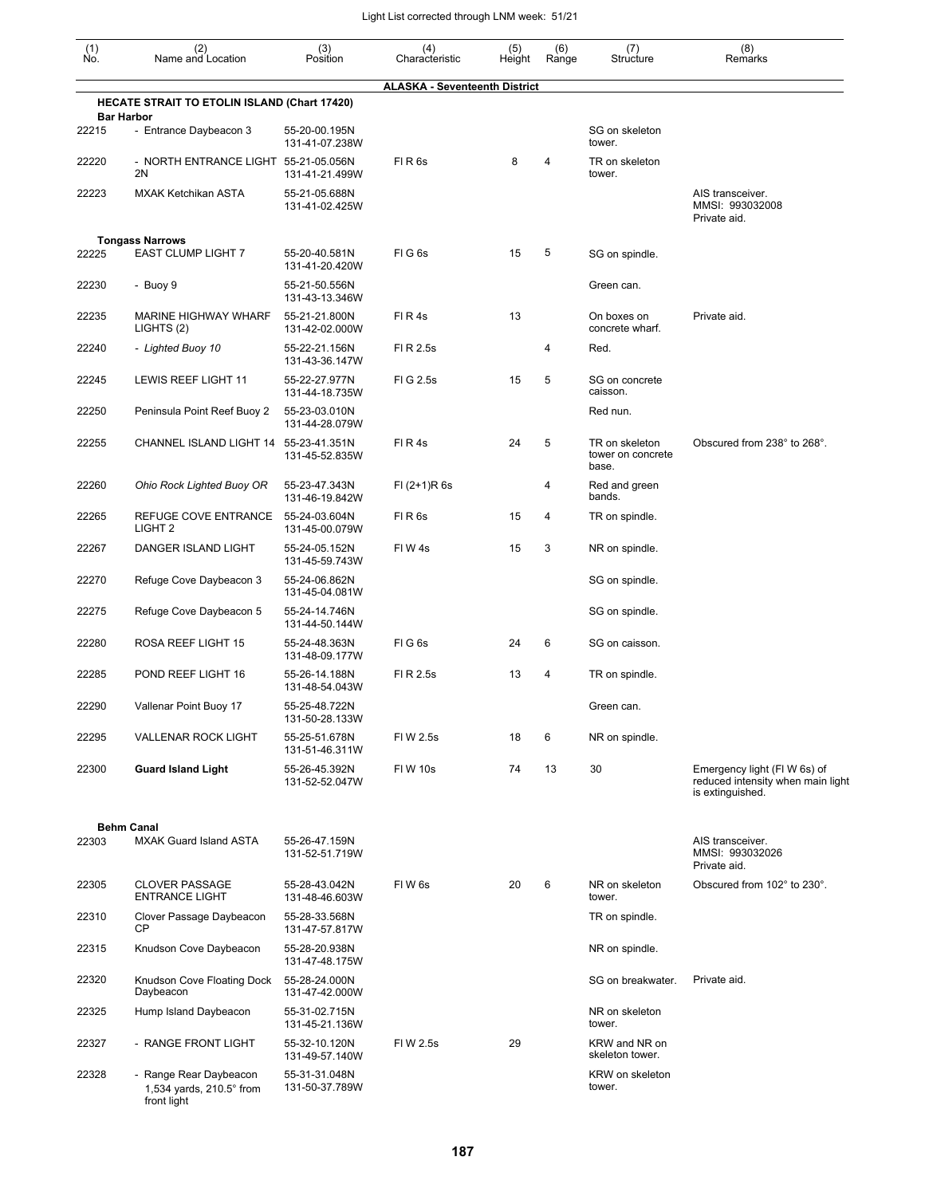| (1)<br>No. | (2)<br>Name and Location                                                   | (3)<br>Position                 | (4)<br>Characteristic                | (5)<br>Height | (6)<br>Range | (7)<br>Structure                             | (8)<br>Remarks                                                                       |
|------------|----------------------------------------------------------------------------|---------------------------------|--------------------------------------|---------------|--------------|----------------------------------------------|--------------------------------------------------------------------------------------|
|            |                                                                            |                                 | <b>ALASKA - Seventeenth District</b> |               |              |                                              |                                                                                      |
|            | HECATE STRAIT TO ETOLIN ISLAND (Chart 17420)<br><b>Bar Harbor</b>          |                                 |                                      |               |              |                                              |                                                                                      |
| 22215      | - Entrance Daybeacon 3                                                     | 55-20-00.195N<br>131-41-07.238W |                                      |               |              | SG on skeleton<br>tower.                     |                                                                                      |
| 22220      | - NORTH ENTRANCE LIGHT 55-21-05.056N<br>2N                                 | 131-41-21.499W                  | FIR6s                                | 8             | 4            | TR on skeleton<br>tower.                     |                                                                                      |
| 22223      | <b>MXAK Ketchikan ASTA</b>                                                 | 55-21-05.688N<br>131-41-02.425W |                                      |               |              |                                              | AIS transceiver.<br>MMSI: 993032008<br>Private aid.                                  |
| 22225      | <b>Tongass Narrows</b><br><b>EAST CLUMP LIGHT 7</b>                        | 55-20-40.581N                   | FIG6s                                | 15            | 5            | SG on spindle.                               |                                                                                      |
| 22230      | - Buoy 9                                                                   | 131-41-20.420W<br>55-21-50.556N |                                      |               |              | Green can.                                   |                                                                                      |
|            |                                                                            | 131-43-13.346W                  |                                      |               |              |                                              |                                                                                      |
| 22235      | <b>MARINE HIGHWAY WHARF</b><br>LIGHTS (2)                                  | 55-21-21.800N<br>131-42-02.000W | FIR4s                                | 13            |              | On boxes on<br>concrete wharf.               | Private aid.                                                                         |
| 22240      | - Lighted Buoy 10                                                          | 55-22-21.156N<br>131-43-36.147W | FI R 2.5s                            |               | 4            | Red.                                         |                                                                                      |
| 22245      | LEWIS REEF LIGHT 11                                                        | 55-22-27.977N<br>131-44-18.735W | FIG 2.5s                             | 15            | 5            | SG on concrete<br>caisson.                   |                                                                                      |
| 22250      | Peninsula Point Reef Buoy 2                                                | 55-23-03.010N<br>131-44-28.079W |                                      |               |              | Red nun.                                     |                                                                                      |
| 22255      | CHANNEL ISLAND LIGHT 14 55-23-41.351N                                      | 131-45-52.835W                  | FIR4s                                | 24            | 5            | TR on skeleton<br>tower on concrete<br>base. | Obscured from 238° to 268°.                                                          |
| 22260      | Ohio Rock Lighted Buoy OR                                                  | 55-23-47.343N<br>131-46-19.842W | $FI (2+1)R 6s$                       |               | 4            | Red and green<br>bands.                      |                                                                                      |
| 22265      | REFUGE COVE ENTRANCE<br>LIGHT <sub>2</sub>                                 | 55-24-03.604N<br>131-45-00.079W | FIR <sub>6s</sub>                    | 15            | 4            | TR on spindle.                               |                                                                                      |
| 22267      | DANGER ISLAND LIGHT                                                        | 55-24-05.152N<br>131-45-59.743W | FIW 4s                               | 15            | 3            | NR on spindle.                               |                                                                                      |
| 22270      | Refuge Cove Daybeacon 3                                                    | 55-24-06.862N<br>131-45-04.081W |                                      |               |              | SG on spindle.                               |                                                                                      |
| 22275      | Refuge Cove Daybeacon 5                                                    | 55-24-14.746N<br>131-44-50.144W |                                      |               |              | SG on spindle.                               |                                                                                      |
| 22280      | ROSA REEF LIGHT 15                                                         | 55-24-48.363N<br>131-48-09.177W | FIG6s                                | 24            | 6            | SG on caisson.                               |                                                                                      |
| 22285      | POND REEF LIGHT 16                                                         | 55-26-14.188N<br>131-48-54.043W | FI R 2.5s                            | 13            | 4            | TR on spindle.                               |                                                                                      |
| 22290      | Vallenar Point Buoy 17                                                     | 55-25-48.722N<br>131-50-28.133W |                                      |               |              | Green can.                                   |                                                                                      |
| 22295      | <b>VALLENAR ROCK LIGHT</b>                                                 | 55-25-51.678N<br>131-51-46.311W | FI W 2.5s                            | 18            | 6            | NR on spindle.                               |                                                                                      |
| 22300      | <b>Guard Island Light</b>                                                  | 55-26-45.392N<br>131-52-52.047W | FIW 10s                              | 74            | 13           | 30                                           | Emergency light (FIW 6s) of<br>reduced intensity when main light<br>is extinguished. |
|            | <b>Behm Canal</b>                                                          |                                 |                                      |               |              |                                              |                                                                                      |
| 22303      | <b>MXAK Guard Island ASTA</b>                                              | 55-26-47.159N<br>131-52-51.719W |                                      |               |              |                                              | AIS transceiver.<br>MMSI: 993032026<br>Private aid.                                  |
| 22305      | <b>CLOVER PASSAGE</b><br><b>ENTRANCE LIGHT</b>                             | 55-28-43.042N<br>131-48-46.603W | FIW <sub>6s</sub>                    | 20            | 6            | NR on skeleton<br>tower.                     | Obscured from 102° to 230°.                                                          |
| 22310      | Clover Passage Daybeacon<br><b>CP</b>                                      | 55-28-33.568N<br>131-47-57.817W |                                      |               |              | TR on spindle.                               |                                                                                      |
| 22315      | Knudson Cove Daybeacon                                                     | 55-28-20.938N<br>131-47-48.175W |                                      |               |              | NR on spindle.                               |                                                                                      |
| 22320      | Knudson Cove Floating Dock<br>Daybeacon                                    | 55-28-24.000N<br>131-47-42.000W |                                      |               |              | SG on breakwater.                            | Private aid.                                                                         |
| 22325      | Hump Island Daybeacon                                                      | 55-31-02.715N<br>131-45-21.136W |                                      |               |              | NR on skeleton<br>tower.                     |                                                                                      |
| 22327      | - RANGE FRONT LIGHT                                                        | 55-32-10.120N<br>131-49-57.140W | FI W 2.5s                            | 29            |              | KRW and NR on<br>skeleton tower.             |                                                                                      |
| 22328      | - Range Rear Daybeacon<br>1,534 yards, $210.5^{\circ}$ from<br>front light | 55-31-31.048N<br>131-50-37.789W |                                      |               |              | KRW on skeleton<br>tower.                    |                                                                                      |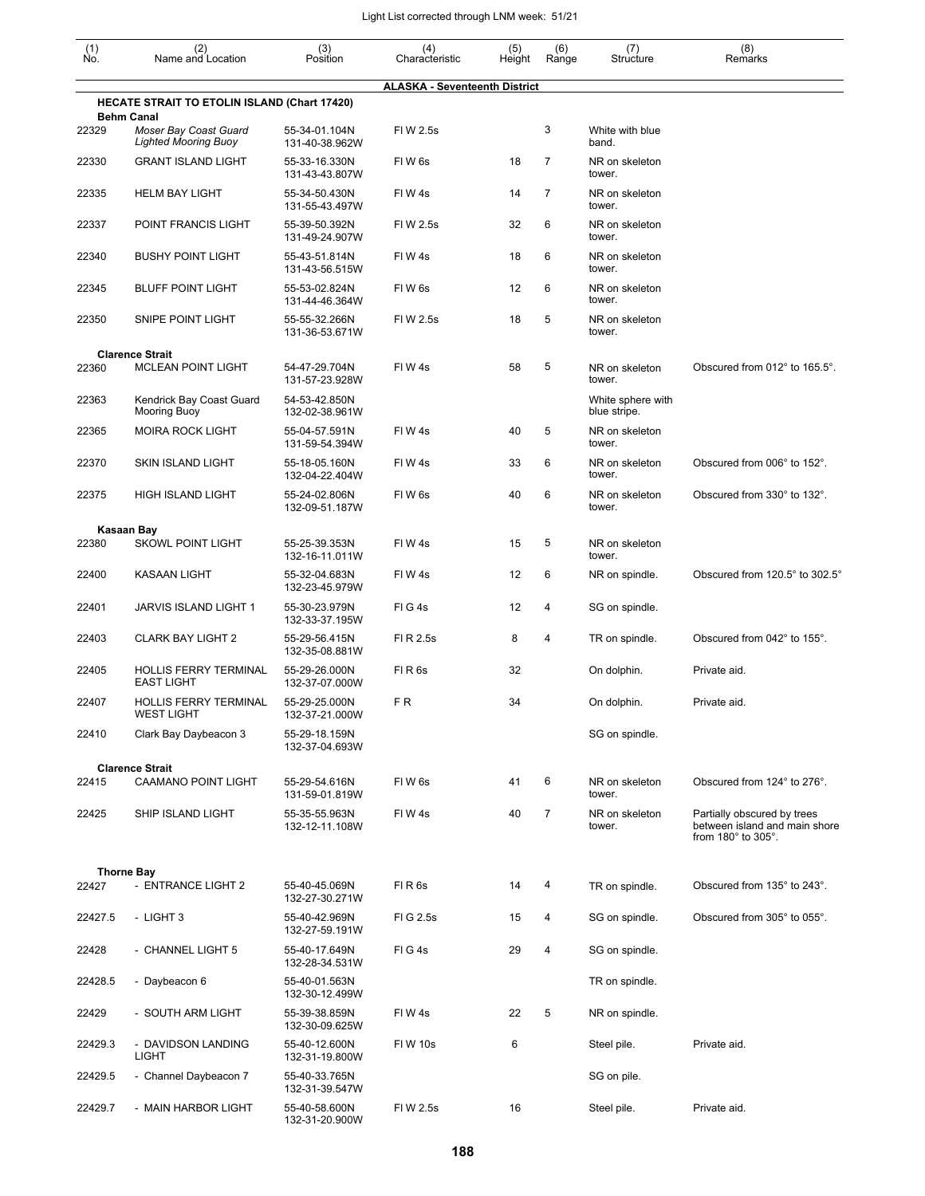| $(n)$<br>No. | (2)<br>Name and Location                                                  | (3)<br>Position                 | (4)                                  | (5)    | (6)            | (7)<br>Structure                  | (8)                                                                                |
|--------------|---------------------------------------------------------------------------|---------------------------------|--------------------------------------|--------|----------------|-----------------------------------|------------------------------------------------------------------------------------|
|              |                                                                           |                                 | Characteristic                       | Height | Range          |                                   | Remarks                                                                            |
|              | <b>HECATE STRAIT TO ETOLIN ISLAND (Chart 17420)</b>                       |                                 | <b>ALASKA - Seventeenth District</b> |        |                |                                   |                                                                                    |
| 22329        | <b>Behm Canal</b><br>Moser Bay Coast Guard<br><b>Lighted Mooring Buoy</b> | 55-34-01.104N<br>131-40-38.962W | FIW 2.5s                             |        | 3              | White with blue<br>band.          |                                                                                    |
| 22330        | <b>GRANT ISLAND LIGHT</b>                                                 | 55-33-16.330N<br>131-43-43.807W | FIW <sub>6s</sub>                    | 18     | $\overline{7}$ | NR on skeleton<br>tower.          |                                                                                    |
| 22335        | <b>HELM BAY LIGHT</b>                                                     | 55-34-50.430N<br>131-55-43.497W | FIW4s                                | 14     | 7              | NR on skeleton<br>tower.          |                                                                                    |
| 22337        | POINT FRANCIS LIGHT                                                       | 55-39-50.392N<br>131-49-24.907W | FI W 2.5s                            | 32     | 6              | NR on skeleton<br>tower.          |                                                                                    |
| 22340        | <b>BUSHY POINT LIGHT</b>                                                  | 55-43-51.814N<br>131-43-56.515W | FIW4s                                | 18     | 6              | NR on skeleton<br>tower.          |                                                                                    |
| 22345        | <b>BLUFF POINT LIGHT</b>                                                  | 55-53-02.824N<br>131-44-46.364W | FIW <sub>6s</sub>                    | 12     | 6              | NR on skeleton<br>tower.          |                                                                                    |
| 22350        | SNIPE POINT LIGHT                                                         | 55-55-32.266N<br>131-36-53.671W | FI W 2.5s                            | 18     | 5              | NR on skeleton<br>tower.          |                                                                                    |
|              | <b>Clarence Strait</b>                                                    |                                 |                                      |        | 5              |                                   |                                                                                    |
| 22360        | <b>MCLEAN POINT LIGHT</b>                                                 | 54-47-29.704N<br>131-57-23.928W | FIW4s                                | 58     |                | NR on skeleton<br>tower.          | Obscured from 012° to 165.5°.                                                      |
| 22363        | Kendrick Bay Coast Guard<br>Mooring Buoy                                  | 54-53-42.850N<br>132-02-38.961W |                                      |        |                | White sphere with<br>blue stripe. |                                                                                    |
| 22365        | <b>MOIRA ROCK LIGHT</b>                                                   | 55-04-57.591N<br>131-59-54.394W | FIW4s                                | 40     | 5              | NR on skeleton<br>tower.          |                                                                                    |
| 22370        | SKIN ISLAND LIGHT                                                         | 55-18-05.160N<br>132-04-22.404W | FIW4s                                | 33     | 6              | NR on skeleton<br>tower.          | Obscured from 006° to 152°.                                                        |
| 22375        | <b>HIGH ISLAND LIGHT</b>                                                  | 55-24-02.806N<br>132-09-51.187W | FIW 6s                               | 40     | 6              | NR on skeleton<br>tower.          | Obscured from 330° to 132°.                                                        |
|              | Kasaan Bay                                                                |                                 |                                      |        |                |                                   |                                                                                    |
| 22380        | <b>SKOWL POINT LIGHT</b>                                                  | 55-25-39.353N<br>132-16-11.011W | FIW4s                                | 15     | 5              | NR on skeleton<br>tower.          |                                                                                    |
| 22400        | <b>KASAAN LIGHT</b>                                                       | 55-32-04.683N<br>132-23-45.979W | FIW4s                                | 12     | 6              | NR on spindle.                    | Obscured from 120.5° to 302.5°                                                     |
| 22401        | JARVIS ISLAND LIGHT 1                                                     | 55-30-23.979N<br>132-33-37.195W | FIG4s                                | 12     | 4              | SG on spindle.                    |                                                                                    |
| 22403        | <b>CLARK BAY LIGHT 2</b>                                                  | 55-29-56.415N<br>132-35-08.881W | FI R 2.5s                            | 8      | 4              | TR on spindle.                    | Obscured from 042° to 155°.                                                        |
| 22405        | <b>HOLLIS FERRY TERMINAL</b><br><b>EAST LIGHT</b>                         | 55-29-26.000N<br>132-37-07.000W | FIR <sub>6s</sub>                    | 32     |                | On dolphin.                       | Private aid.                                                                       |
| 22407        | <b>HOLLIS FERRY TERMINAL</b><br>WEST LIGHT                                | 55-29-25.000N<br>132-37-21.000W | F <sub>R</sub>                       | 34     |                | On dolphin.                       | Private aid.                                                                       |
| 22410        | Clark Bay Daybeacon 3                                                     | 55-29-18.159N<br>132-37-04.693W |                                      |        |                | SG on spindle.                    |                                                                                    |
|              | <b>Clarence Strait</b>                                                    |                                 |                                      |        |                |                                   |                                                                                    |
| 22415        | CAAMANO POINT LIGHT                                                       | 55-29-54.616N<br>131-59-01.819W | FIW 6s                               | 41     | 6              | NR on skeleton<br>tower.          | Obscured from 124° to 276°.                                                        |
| 22425        | SHIP ISLAND LIGHT                                                         | 55-35-55.963N<br>132-12-11.108W | FIW 4s                               | 40     | $\overline{7}$ | NR on skeleton<br>tower.          | Partially obscured by trees<br>between island and main shore<br>from 180° to 305°. |
|              |                                                                           |                                 |                                      |        |                |                                   |                                                                                    |
| 22427        | <b>Thorne Bay</b><br>- ENTRANCE LIGHT 2                                   | 55-40-45.069N<br>132-27-30.271W | FIR <sub>6s</sub>                    | 14     | 4              | TR on spindle.                    | Obscured from 135° to 243°.                                                        |
| 22427.5      | - LIGHT 3                                                                 | 55-40-42.969N<br>132-27-59.191W | FIG 2.5s                             | 15     | 4              | SG on spindle.                    | Obscured from 305° to 055°.                                                        |
| 22428        | - CHANNEL LIGHT 5                                                         | 55-40-17.649N<br>132-28-34.531W | FIG4s                                | 29     | 4              | SG on spindle.                    |                                                                                    |
| 22428.5      | - Daybeacon 6                                                             | 55-40-01.563N<br>132-30-12.499W |                                      |        |                | TR on spindle.                    |                                                                                    |
| 22429        | - SOUTH ARM LIGHT                                                         | 55-39-38.859N<br>132-30-09.625W | FIW 4s                               | 22     | 5              | NR on spindle.                    |                                                                                    |
| 22429.3      | - DAVIDSON LANDING<br><b>LIGHT</b>                                        | 55-40-12.600N<br>132-31-19.800W | <b>FIW 10s</b>                       | 6      |                | Steel pile.                       | Private aid.                                                                       |
| 22429.5      | - Channel Daybeacon 7                                                     | 55-40-33.765N<br>132-31-39.547W |                                      |        |                | SG on pile.                       |                                                                                    |
| 22429.7      | - MAIN HARBOR LIGHT                                                       | 55-40-58.600N<br>132-31-20.900W | FIW 2.5s                             | 16     |                | Steel pile.                       | Private aid.                                                                       |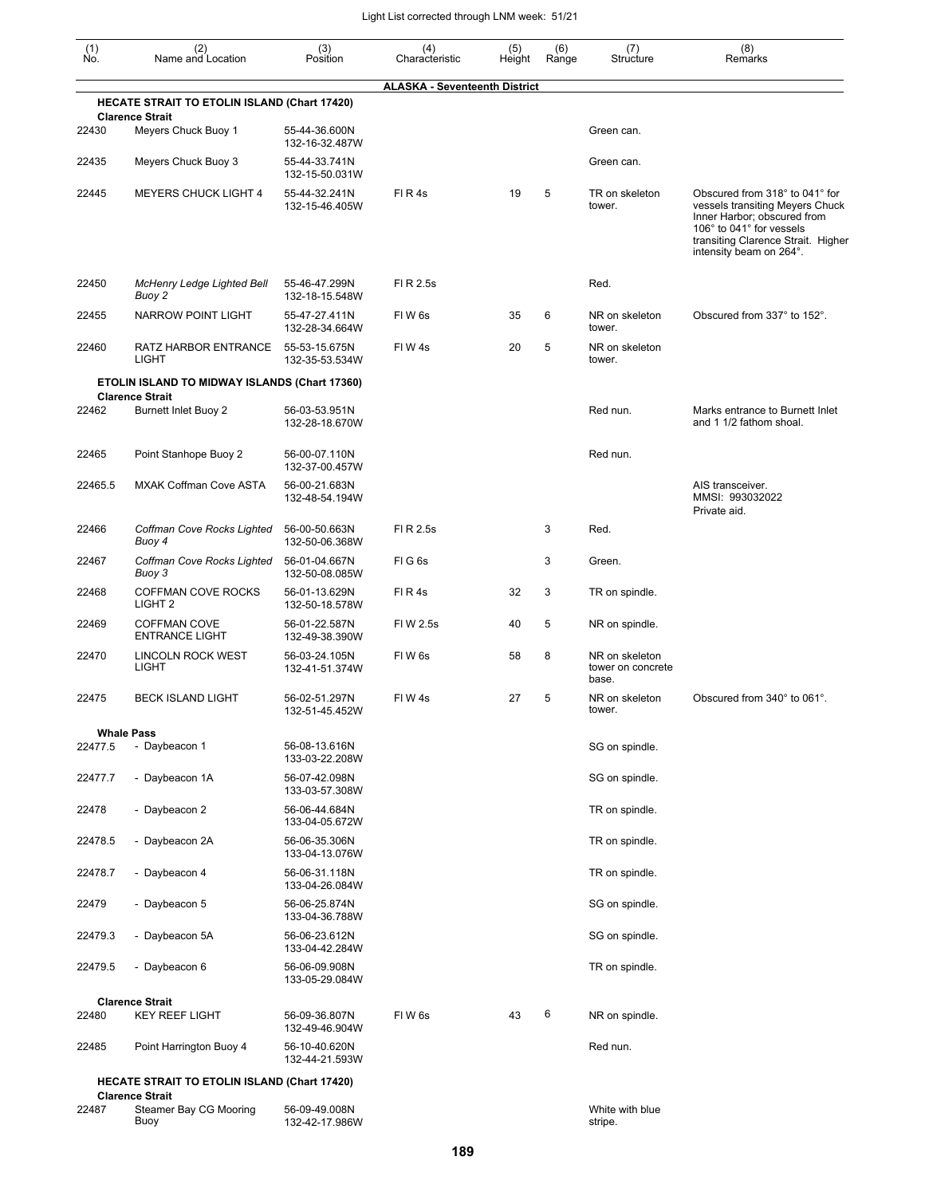| (1)<br>Ño. | (2)<br>Name and Location                                 | (3)<br>Position                 | (4)<br>Characteristic                | (5)<br>Height | (6)<br>Range | (7)<br>Structure                             | (8)<br>Remarks                                                                                                                                                                                |
|------------|----------------------------------------------------------|---------------------------------|--------------------------------------|---------------|--------------|----------------------------------------------|-----------------------------------------------------------------------------------------------------------------------------------------------------------------------------------------------|
|            |                                                          |                                 | <b>ALASKA - Seventeenth District</b> |               |              |                                              |                                                                                                                                                                                               |
|            | <b>HECATE STRAIT TO ETOLIN ISLAND (Chart 17420)</b>      |                                 |                                      |               |              |                                              |                                                                                                                                                                                               |
| 22430      | <b>Clarence Strait</b><br>Meyers Chuck Buoy 1            | 55-44-36.600N<br>132-16-32.487W |                                      |               |              | Green can.                                   |                                                                                                                                                                                               |
| 22435      | Meyers Chuck Buoy 3                                      | 55-44-33.741N<br>132-15-50.031W |                                      |               |              | Green can.                                   |                                                                                                                                                                                               |
| 22445      | <b>MEYERS CHUCK LIGHT 4</b>                              | 55-44-32.241N<br>132-15-46.405W | FIR4s                                | 19            | 5            | TR on skeleton<br>tower.                     | Obscured from 318° to 041° for<br>vessels transiting Meyers Chuck<br>Inner Harbor; obscured from<br>106° to 041° for vessels<br>transiting Clarence Strait. Higher<br>intensity beam on 264°. |
| 22450      | McHenry Ledge Lighted Bell<br>Buoy 2                     | 55-46-47.299N<br>132-18-15.548W | FI R 2.5s                            |               |              | Red.                                         |                                                                                                                                                                                               |
| 22455      | <b>NARROW POINT LIGHT</b>                                | 55-47-27.411N<br>132-28-34.664W | FIW <sub>6s</sub>                    | 35            | 6            | NR on skeleton<br>tower.                     | Obscured from 337° to 152°.                                                                                                                                                                   |
| 22460      | RATZ HARBOR ENTRANCE<br>LIGHT                            | 55-53-15.675N<br>132-35-53.534W | FIW4s                                | 20            | 5            | NR on skeleton<br>tower.                     |                                                                                                                                                                                               |
|            | ETOLIN ISLAND TO MIDWAY ISLANDS (Chart 17360)            |                                 |                                      |               |              |                                              |                                                                                                                                                                                               |
| 22462      | <b>Clarence Strait</b><br><b>Burnett Inlet Buoy 2</b>    | 56-03-53.951N<br>132-28-18.670W |                                      |               |              | Red nun.                                     | Marks entrance to Burnett Inlet<br>and 1 1/2 fathom shoal.                                                                                                                                    |
| 22465      | Point Stanhope Buoy 2                                    | 56-00-07.110N<br>132-37-00.457W |                                      |               |              | Red nun.                                     |                                                                                                                                                                                               |
| 22465.5    | <b>MXAK Coffman Cove ASTA</b>                            | 56-00-21.683N<br>132-48-54.194W |                                      |               |              |                                              | AIS transceiver.<br>MMSI: 993032022<br>Private aid.                                                                                                                                           |
| 22466      | Coffman Cove Rocks Lighted<br>Buoy 4                     | 56-00-50.663N<br>132-50-06.368W | FI R 2.5s                            |               | 3            | Red.                                         |                                                                                                                                                                                               |
| 22467      | Coffman Cove Rocks Lighted<br>Buoy 3                     | 56-01-04.667N<br>132-50-08.085W | FIG <sub>6s</sub>                    |               | 3            | Green.                                       |                                                                                                                                                                                               |
| 22468      | <b>COFFMAN COVE ROCKS</b><br>LIGHT <sub>2</sub>          | 56-01-13.629N<br>132-50-18.578W | FIR4s                                | 32            | 3            | TR on spindle.                               |                                                                                                                                                                                               |
| 22469      | <b>COFFMAN COVE</b><br><b>ENTRANCE LIGHT</b>             | 56-01-22.587N<br>132-49-38.390W | FI W 2.5s                            | 40            | 5            | NR on spindle.                               |                                                                                                                                                                                               |
| 22470      | <b>LINCOLN ROCK WEST</b><br>LIGHT                        | 56-03-24.105N<br>132-41-51.374W | FIW <sub>6s</sub>                    | 58            | 8            | NR on skeleton<br>tower on concrete<br>base. |                                                                                                                                                                                               |
| 22475      | <b>BECK ISLAND LIGHT</b>                                 | 56-02-51.297N<br>132-51-45.452W | FIW4s                                | 27            | 5            | NR on skeleton<br>tower.                     | Obscured from 340° to 061°.                                                                                                                                                                   |
|            | <b>Whale Pass</b>                                        |                                 |                                      |               |              |                                              |                                                                                                                                                                                               |
| 22477.5    | - Daybeacon 1                                            | 56-08-13.616N<br>133-03-22.208W |                                      |               |              | SG on spindle.                               |                                                                                                                                                                                               |
| 22477.7    | - Daybeacon 1A                                           | 56-07-42.098N<br>133-03-57.308W |                                      |               |              | SG on spindle.                               |                                                                                                                                                                                               |
| 22478      | - Daybeacon 2                                            | 56-06-44.684N<br>133-04-05.672W |                                      |               |              | TR on spindle.                               |                                                                                                                                                                                               |
| 22478.5    | - Daybeacon 2A                                           | 56-06-35.306N<br>133-04-13.076W |                                      |               |              | TR on spindle.                               |                                                                                                                                                                                               |
| 22478.7    | - Daybeacon 4                                            | 56-06-31.118N<br>133-04-26.084W |                                      |               |              | TR on spindle.                               |                                                                                                                                                                                               |
| 22479      | - Daybeacon 5                                            | 56-06-25.874N<br>133-04-36.788W |                                      |               |              | SG on spindle.                               |                                                                                                                                                                                               |
| 22479.3    | - Daybeacon 5A                                           | 56-06-23.612N<br>133-04-42.284W |                                      |               |              | SG on spindle.                               |                                                                                                                                                                                               |
| 22479.5    | - Daybeacon 6                                            | 56-06-09.908N<br>133-05-29.084W |                                      |               |              | TR on spindle.                               |                                                                                                                                                                                               |
|            | <b>Clarence Strait</b>                                   |                                 |                                      |               |              |                                              |                                                                                                                                                                                               |
| 22480      | <b>KEY REEF LIGHT</b>                                    | 56-09-36.807N<br>132-49-46.904W | FIW 6s                               | 43            | 6            | NR on spindle.                               |                                                                                                                                                                                               |
| 22485      | Point Harrington Buoy 4                                  | 56-10-40.620N<br>132-44-21.593W |                                      |               |              | Red nun.                                     |                                                                                                                                                                                               |
|            | <b>HECATE STRAIT TO ETOLIN ISLAND (Chart 17420)</b>      |                                 |                                      |               |              |                                              |                                                                                                                                                                                               |
| 22487      | <b>Clarence Strait</b><br>Steamer Bay CG Mooring<br>Buoy | 56-09-49.008N<br>132-42-17.986W |                                      |               |              | White with blue<br>stripe.                   |                                                                                                                                                                                               |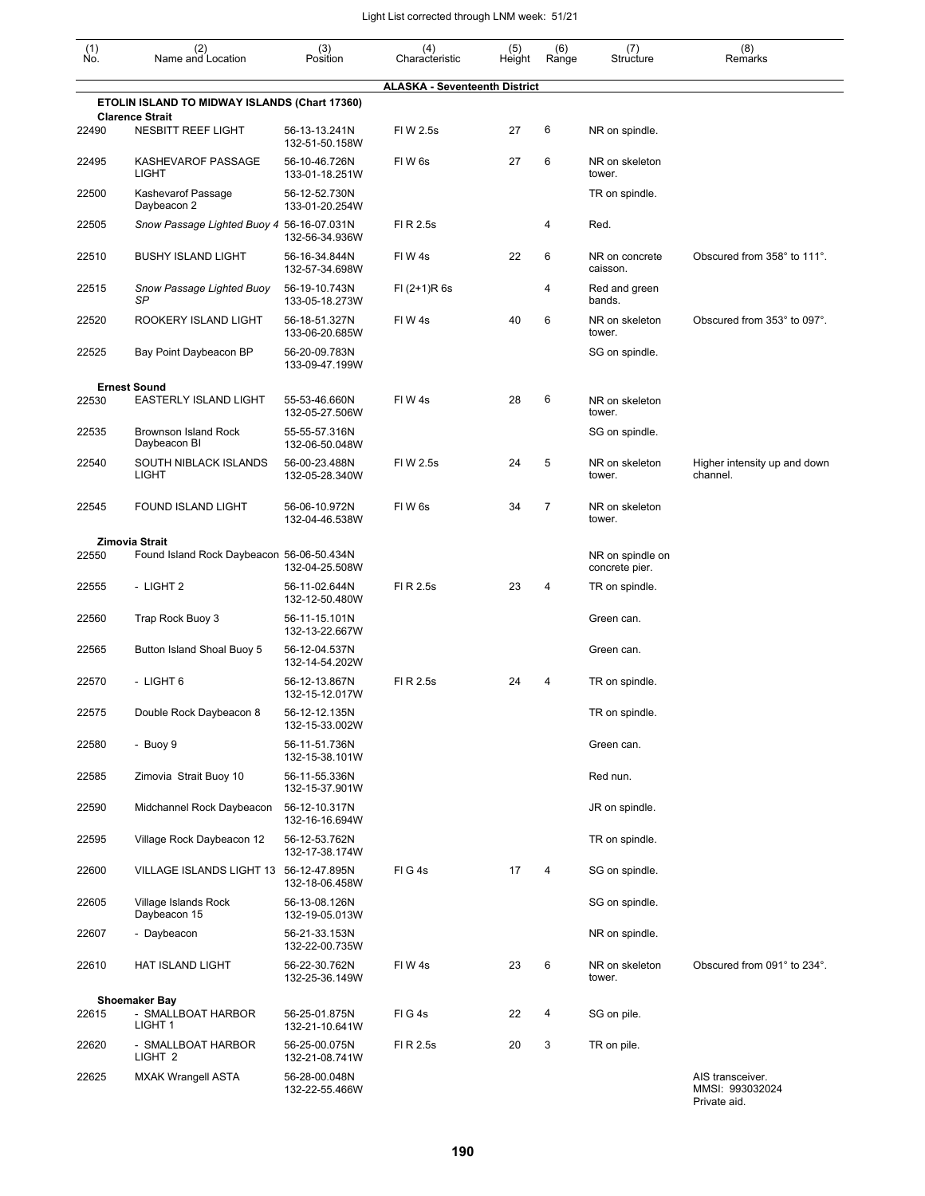| (1)   | (2)                                           | (3)                             | (4)                                  | (5)    | (6)            | (7)                                | (8)                                                 |
|-------|-----------------------------------------------|---------------------------------|--------------------------------------|--------|----------------|------------------------------------|-----------------------------------------------------|
| No.   | Name and Location                             | Position                        | Characteristic                       | Height | Range          | Structure                          | Remarks                                             |
|       | ETOLIN ISLAND TO MIDWAY ISLANDS (Chart 17360) |                                 | <b>ALASKA - Seventeenth District</b> |        |                |                                    |                                                     |
|       | <b>Clarence Strait</b>                        |                                 |                                      |        |                |                                    |                                                     |
| 22490 | <b>NESBITT REEF LIGHT</b>                     | 56-13-13.241N<br>132-51-50.158W | FIW 2.5s                             | 27     | 6              | NR on spindle.                     |                                                     |
| 22495 | KASHEVAROF PASSAGE<br>LIGHT                   | 56-10-46.726N<br>133-01-18.251W | FIW <sub>6s</sub>                    | 27     | 6              | NR on skeleton<br>tower.           |                                                     |
| 22500 | Kashevarof Passage<br>Daybeacon 2             | 56-12-52.730N<br>133-01-20.254W |                                      |        |                | TR on spindle.                     |                                                     |
| 22505 | Snow Passage Lighted Buoy 4 56-16-07.031N     | 132-56-34.936W                  | FI R 2.5s                            |        | 4              | Red.                               |                                                     |
| 22510 | <b>BUSHY ISLAND LIGHT</b>                     | 56-16-34.844N<br>132-57-34.698W | FIW4s                                | 22     | 6              | NR on concrete<br>caisson.         | Obscured from 358° to 111°.                         |
| 22515 | Snow Passage Lighted Buoy<br>SP               | 56-19-10.743N<br>133-05-18.273W | $FI (2+1)R 6s$                       |        | 4              | Red and green<br>bands.            |                                                     |
| 22520 | ROOKERY ISLAND LIGHT                          | 56-18-51.327N<br>133-06-20.685W | FIW4s                                | 40     | 6              | NR on skeleton<br>tower.           | Obscured from 353° to 097°.                         |
| 22525 | Bay Point Daybeacon BP                        | 56-20-09.783N<br>133-09-47.199W |                                      |        |                | SG on spindle.                     |                                                     |
|       | <b>Ernest Sound</b>                           |                                 |                                      |        |                |                                    |                                                     |
| 22530 | <b>EASTERLY ISLAND LIGHT</b>                  | 55-53-46.660N<br>132-05-27.506W | FIW4s                                | 28     | 6              | NR on skeleton<br>tower.           |                                                     |
| 22535 | <b>Brownson Island Rock</b><br>Daybeacon BI   | 55-55-57.316N<br>132-06-50.048W |                                      |        |                | SG on spindle.                     |                                                     |
| 22540 | SOUTH NIBLACK ISLANDS<br>LIGHT                | 56-00-23.488N<br>132-05-28.340W | FIW 2.5s                             | 24     | 5              | NR on skeleton<br>tower.           | Higher intensity up and down<br>channel.            |
| 22545 | <b>FOUND ISLAND LIGHT</b>                     | 56-06-10.972N<br>132-04-46.538W | FIW <sub>6s</sub>                    | 34     | $\overline{7}$ | NR on skeleton<br>tower.           |                                                     |
|       | <b>Zimovia Strait</b>                         |                                 |                                      |        |                |                                    |                                                     |
| 22550 | Found Island Rock Daybeacon 56-06-50.434N     | 132-04-25.508W                  |                                      |        |                | NR on spindle on<br>concrete pier. |                                                     |
| 22555 | - LIGHT 2                                     | 56-11-02.644N<br>132-12-50.480W | FI R 2.5s                            | 23     | 4              | TR on spindle.                     |                                                     |
| 22560 | Trap Rock Buoy 3                              | 56-11-15.101N<br>132-13-22.667W |                                      |        |                | Green can.                         |                                                     |
| 22565 | Button Island Shoal Buoy 5                    | 56-12-04.537N<br>132-14-54.202W |                                      |        |                | Green can.                         |                                                     |
| 22570 | - LIGHT 6                                     | 56-12-13.867N<br>132-15-12.017W | FI R 2.5s                            | 24     | 4              | TR on spindle.                     |                                                     |
| 22575 | Double Rock Daybeacon 8                       | 56-12-12.135N<br>132-15-33.002W |                                      |        |                | TR on spindle.                     |                                                     |
| 22580 | - Buoy 9                                      | 56-11-51.736N<br>132-15-38.101W |                                      |        |                | Green can.                         |                                                     |
| 22585 | Zimovia Strait Buoy 10                        | 56-11-55.336N<br>132-15-37.901W |                                      |        |                | Red nun.                           |                                                     |
| 22590 | Midchannel Rock Daybeacon                     | 56-12-10.317N<br>132-16-16.694W |                                      |        |                | JR on spindle.                     |                                                     |
| 22595 | Village Rock Daybeacon 12                     | 56-12-53.762N<br>132-17-38.174W |                                      |        |                | TR on spindle.                     |                                                     |
| 22600 | VILLAGE ISLANDS LIGHT 13 56-12-47.895N        | 132-18-06.458W                  | FIG4s                                | 17     | 4              | SG on spindle.                     |                                                     |
| 22605 | Village Islands Rock<br>Daybeacon 15          | 56-13-08.126N<br>132-19-05.013W |                                      |        |                | SG on spindle.                     |                                                     |
| 22607 | - Daybeacon                                   | 56-21-33.153N<br>132-22-00.735W |                                      |        |                | NR on spindle.                     |                                                     |
| 22610 | HAT ISLAND LIGHT                              | 56-22-30.762N<br>132-25-36.149W | FIW4s                                | 23     | 6              | NR on skeleton<br>tower.           | Obscured from 091° to 234°.                         |
|       | <b>Shoemaker Bay</b>                          |                                 |                                      |        |                |                                    |                                                     |
| 22615 | - SMALLBOAT HARBOR<br>LIGHT 1                 | 56-25-01.875N<br>132-21-10.641W | FIG4s                                | 22     | 4              | SG on pile.                        |                                                     |
| 22620 | - SMALLBOAT HARBOR<br>LIGHT <sub>2</sub>      | 56-25-00.075N<br>132-21-08.741W | FI R 2.5s                            | 20     | 3              | TR on pile.                        |                                                     |
| 22625 | <b>MXAK Wrangell ASTA</b>                     | 56-28-00.048N<br>132-22-55.466W |                                      |        |                |                                    | AIS transceiver.<br>MMSI: 993032024<br>Private aid. |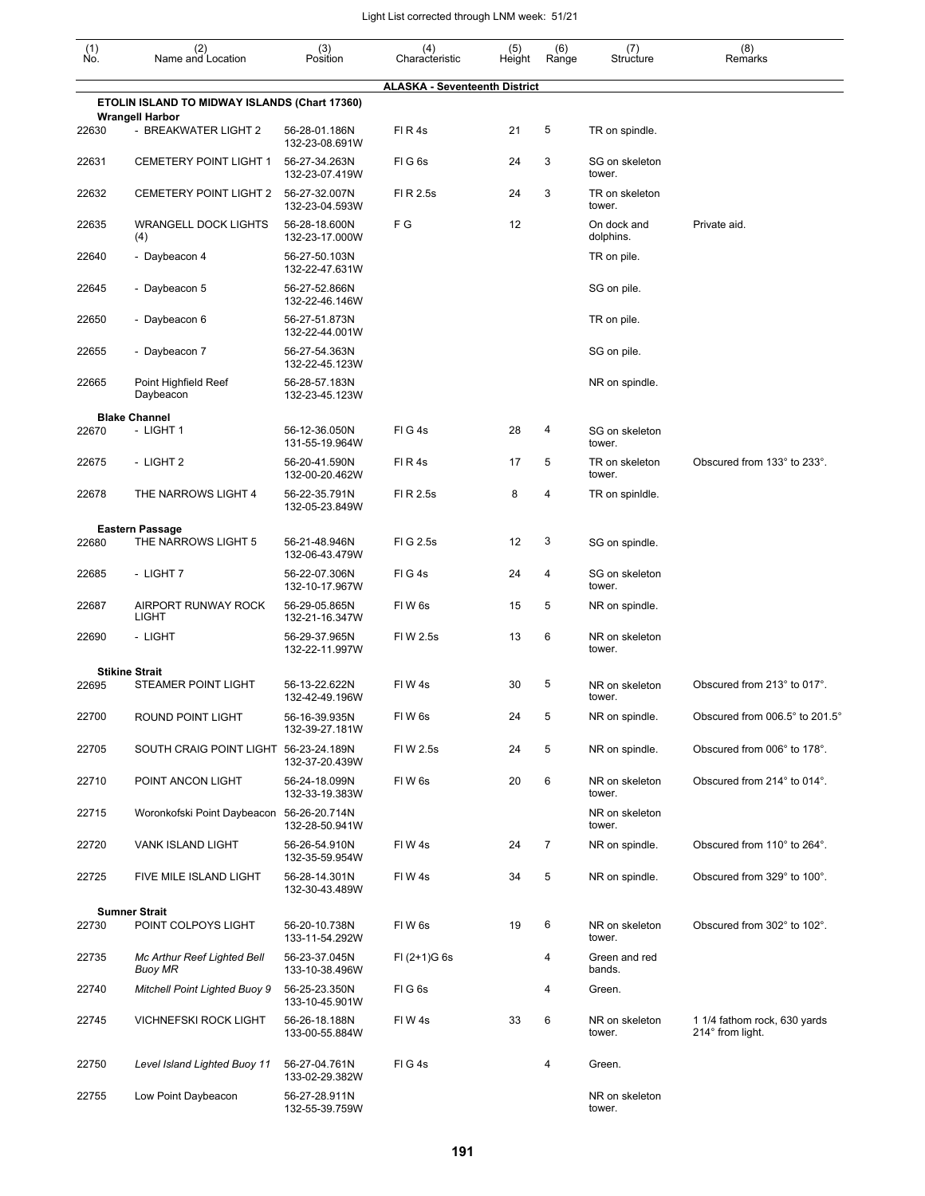| (1)<br>Ño. | (2)<br>Name and Location                            | (3)<br>Position                 | (4)<br>Characteristic                | (5)<br>Height | (6)<br>Range   | (7)<br>Structure         | (8)<br>Remarks                                   |
|------------|-----------------------------------------------------|---------------------------------|--------------------------------------|---------------|----------------|--------------------------|--------------------------------------------------|
|            |                                                     |                                 | <b>ALASKA - Seventeenth District</b> |               |                |                          |                                                  |
|            | ETOLIN ISLAND TO MIDWAY ISLANDS (Chart 17360)       |                                 |                                      |               |                |                          |                                                  |
| 22630      | <b>Wrangell Harbor</b><br>- BREAKWATER LIGHT 2      | 56-28-01.186N<br>132-23-08.691W | FIR4s                                | 21            | 5              | TR on spindle.           |                                                  |
| 22631      | <b>CEMETERY POINT LIGHT 1</b>                       | 56-27-34.263N<br>132-23-07.419W | FIG <sub>6s</sub>                    | 24            | 3              | SG on skeleton<br>tower. |                                                  |
| 22632      | <b>CEMETERY POINT LIGHT 2</b>                       | 56-27-32.007N<br>132-23-04.593W | FI R 2.5s                            | 24            | 3              | TR on skeleton<br>tower. |                                                  |
| 22635      | <b>WRANGELL DOCK LIGHTS</b><br>(4)                  | 56-28-18.600N<br>132-23-17.000W | F G                                  | 12            |                | On dock and<br>dolphins. | Private aid.                                     |
| 22640      | - Daybeacon 4                                       | 56-27-50.103N<br>132-22-47.631W |                                      |               |                | TR on pile.              |                                                  |
| 22645      | - Daybeacon 5                                       | 56-27-52.866N<br>132-22-46.146W |                                      |               |                | SG on pile.              |                                                  |
| 22650      | - Daybeacon 6                                       | 56-27-51.873N<br>132-22-44.001W |                                      |               |                | TR on pile.              |                                                  |
| 22655      | - Daybeacon 7                                       | 56-27-54.363N<br>132-22-45.123W |                                      |               |                | SG on pile.              |                                                  |
| 22665      | Point Highfield Reef<br>Daybeacon                   | 56-28-57.183N<br>132-23-45.123W |                                      |               |                | NR on spindle.           |                                                  |
| 22670      | <b>Blake Channel</b><br>- LIGHT 1                   | 56-12-36.050N<br>131-55-19.964W | FIG4s                                | 28            | 4              | SG on skeleton<br>tower. |                                                  |
| 22675      | - LIGHT 2                                           | 56-20-41.590N<br>132-00-20.462W | FIR4s                                | 17            | 5              | TR on skeleton<br>tower. | Obscured from 133° to 233°.                      |
| 22678      | THE NARROWS LIGHT 4                                 | 56-22-35.791N<br>132-05-23.849W | FI R 2.5s                            | 8             | 4              | TR on spinidle.          |                                                  |
|            | <b>Eastern Passage</b>                              |                                 |                                      |               |                |                          |                                                  |
| 22680      | THE NARROWS LIGHT 5                                 | 56-21-48.946N<br>132-06-43.479W | FIG 2.5s                             | 12            | 3              | SG on spindle.           |                                                  |
| 22685      | - LIGHT 7                                           | 56-22-07.306N<br>132-10-17.967W | FIG4s                                | 24            | 4              | SG on skeleton<br>tower. |                                                  |
| 22687      | AIRPORT RUNWAY ROCK<br>LIGHT                        | 56-29-05.865N<br>132-21-16.347W | FIW <sub>6s</sub>                    | 15            | 5              | NR on spindle.           |                                                  |
| 22690      | - LIGHT                                             | 56-29-37.965N<br>132-22-11.997W | FIW 2.5s                             | 13            | 6              | NR on skeleton<br>tower. |                                                  |
|            | <b>Stikine Strait</b><br><b>STEAMER POINT LIGHT</b> | 56-13-22.622N                   | FIW4s                                | 30            | 5              | NR on skeleton           | Obscured from 213° to 017°.                      |
| 22695      |                                                     | 132-42-49.196W                  |                                      |               |                | tower.                   |                                                  |
| 22700      | ROUND POINT LIGHT                                   | 56-16-39.935N<br>132-39-27.181W | FIW 6s                               | 24            | 5              | NR on spindle.           | Obscured from $006.5^{\circ}$ to $201.5^{\circ}$ |
| 22705      | SOUTH CRAIG POINT LIGHT 56-23-24.189N               | 132-37-20.439W                  | FIW 2.5s                             | 24            | 5              | NR on spindle.           | Obscured from 006° to 178°.                      |
| 22710      | POINT ANCON LIGHT                                   | 56-24-18.099N<br>132-33-19.383W | FIW <sub>6s</sub>                    | 20            | 6              | NR on skeleton<br>tower. | Obscured from 214° to 014°.                      |
| 22715      | Woronkofski Point Daybeacon 56-26-20.714N           | 132-28-50.941W                  |                                      |               |                | NR on skeleton<br>tower. |                                                  |
| 22720      | VANK ISLAND LIGHT                                   | 56-26-54.910N<br>132-35-59.954W | FIW4s                                | 24            | $\overline{7}$ | NR on spindle.           | Obscured from 110° to 264°.                      |
| 22725      | FIVE MILE ISLAND LIGHT                              | 56-28-14.301N<br>132-30-43.489W | FIW4s                                | 34            | 5              | NR on spindle.           | Obscured from 329° to 100°.                      |
| 22730      | <b>Sumner Strait</b><br>POINT COLPOYS LIGHT         | 56-20-10.738N<br>133-11-54.292W | FIW <sub>6s</sub>                    | 19            | 6              | NR on skeleton<br>tower. | Obscured from 302° to 102°.                      |
| 22735      | Mc Arthur Reef Lighted Bell<br>Buoy MR              | 56-23-37.045N<br>133-10-38.496W | $FI (2+1)G 6s$                       |               | 4              | Green and red<br>bands.  |                                                  |
| 22740      | <b>Mitchell Point Lighted Buoy 9</b>                | 56-25-23.350N<br>133-10-45.901W | FIG6s                                |               | 4              | Green.                   |                                                  |
| 22745      | <b>VICHNEFSKI ROCK LIGHT</b>                        | 56-26-18.188N<br>133-00-55.884W | FIW4s                                | 33            | 6              | NR on skeleton<br>tower. | 1 1/4 fathom rock, 630 yards<br>214° from light. |
| 22750      | Level Island Lighted Buoy 11                        | 56-27-04.761N<br>133-02-29.382W | FIG4s                                |               | 4              | Green.                   |                                                  |
| 22755      | Low Point Daybeacon                                 | 56-27-28.911N<br>132-55-39.759W |                                      |               |                | NR on skeleton<br>tower. |                                                  |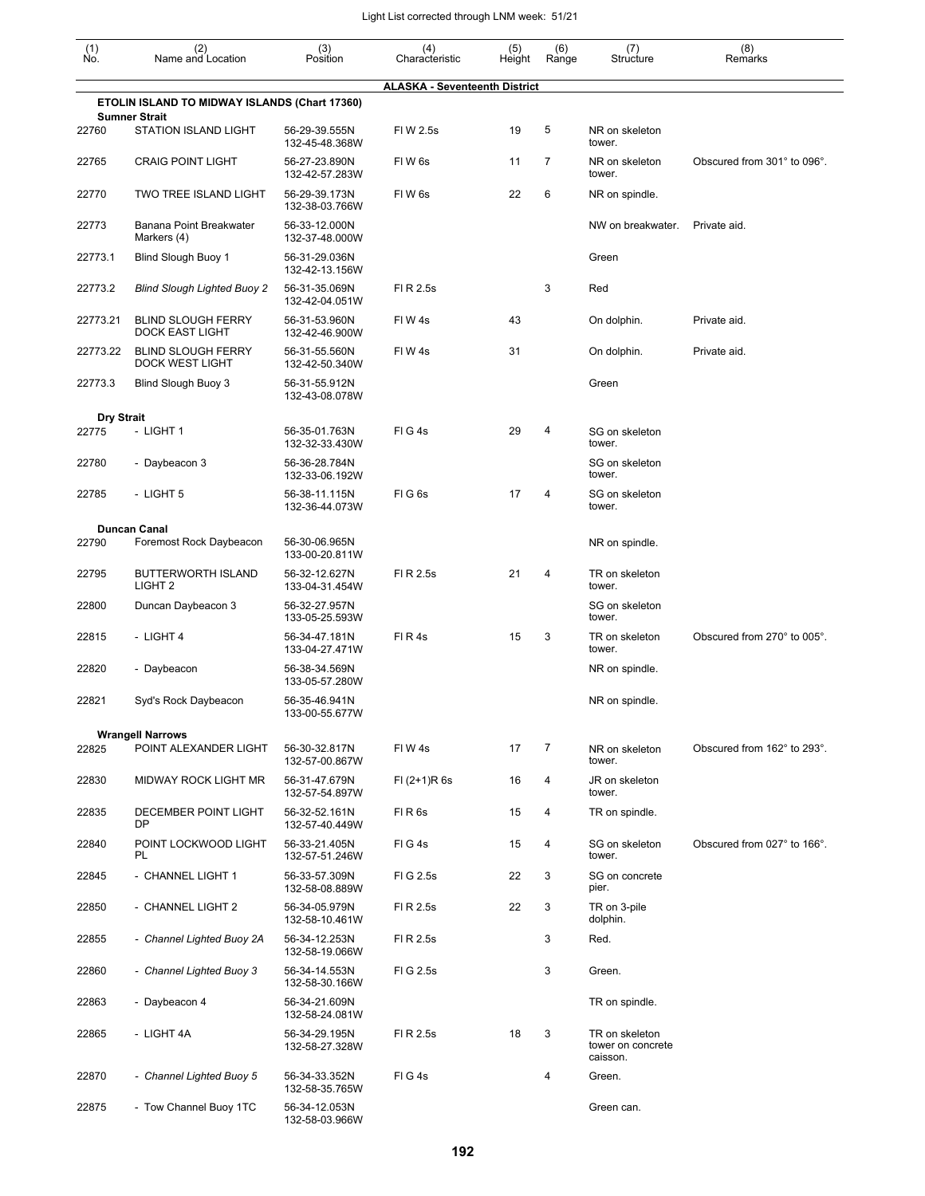| (1)<br>Ño.                 | (2)<br>Name and Location                            | (3)<br>Position                                   | (4)<br>Characteristic                | (5)<br>Height | (6)<br>Range   | (7)<br>Structure                                | (8)<br>Remarks              |
|----------------------------|-----------------------------------------------------|---------------------------------------------------|--------------------------------------|---------------|----------------|-------------------------------------------------|-----------------------------|
|                            |                                                     |                                                   | <b>ALASKA - Seventeenth District</b> |               |                |                                                 |                             |
|                            | ETOLIN ISLAND TO MIDWAY ISLANDS (Chart 17360)       |                                                   |                                      |               |                |                                                 |                             |
| 22760                      | <b>Sumner Strait</b><br><b>STATION ISLAND LIGHT</b> | 56-29-39.555N<br>132-45-48.368W                   | FIW 2.5s                             | 19            | 5              | NR on skeleton<br>tower.                        |                             |
| 22765                      | <b>CRAIG POINT LIGHT</b>                            | 56-27-23.890N<br>132-42-57.283W                   | FIW <sub>6s</sub>                    | 11            | 7              | NR on skeleton<br>tower.                        | Obscured from 301° to 096°. |
| 22770                      | <b>TWO TREE ISLAND LIGHT</b>                        | 56-29-39.173N<br>132-38-03.766W                   | FIW <sub>6s</sub>                    | 22            | 6              | NR on spindle.                                  |                             |
| 22773                      | Banana Point Breakwater<br>Markers (4)              | 56-33-12.000N<br>132-37-48.000W                   |                                      |               |                | NW on breakwater.                               | Private aid.                |
| 22773.1                    | Blind Slough Buoy 1                                 | 56-31-29.036N<br>132-42-13.156W                   |                                      |               |                | Green                                           |                             |
| 22773.2                    | <b>Blind Slough Lighted Buoy 2</b>                  | 56-31-35.069N<br>132-42-04.051W                   | FI R 2.5s                            |               | 3              | Red                                             |                             |
| 22773.21                   | <b>BLIND SLOUGH FERRY</b><br><b>DOCK EAST LIGHT</b> | 56-31-53.960N<br>132-42-46.900W                   | FIW4s                                | 43            |                | On dolphin.                                     | Private aid.                |
| 22773.22                   | <b>BLIND SLOUGH FERRY</b><br><b>DOCK WEST LIGHT</b> | 56-31-55.560N<br>132-42-50.340W                   | FIW4s                                | 31            |                | On dolphin.                                     | Private aid.                |
| 22773.3                    | Blind Slough Buoy 3                                 | 56-31-55.912N<br>132-43-08.078W                   |                                      |               |                | Green                                           |                             |
| <b>Dry Strait</b><br>22775 | - LIGHT 1                                           | 56-35-01.763N<br>132-32-33.430W                   | FIG4s                                | 29            | 4              | SG on skeleton<br>tower.                        |                             |
| 22780                      | - Daybeacon 3                                       | 56-36-28.784N<br>132-33-06.192W                   |                                      |               |                | SG on skeleton<br>tower.                        |                             |
| 22785                      | - LIGHT 5                                           | 56-38-11.115N<br>132-36-44.073W                   | FIG <sub>6s</sub>                    | 17            | 4              | SG on skeleton<br>tower.                        |                             |
| 22790                      | <b>Duncan Canal</b><br>Foremost Rock Daybeacon      | 56-30-06.965N                                     |                                      |               |                | NR on spindle.                                  |                             |
| 22795                      | <b>BUTTERWORTH ISLAND</b><br>LIGHT <sub>2</sub>     | 133-00-20.811W<br>56-32-12.627N                   | FI R 2.5s                            | 21            | 4              | TR on skeleton<br>tower.                        |                             |
| 22800                      | Duncan Daybeacon 3                                  | 133-04-31.454W<br>56-32-27.957N<br>133-05-25.593W |                                      |               |                | SG on skeleton<br>tower.                        |                             |
| 22815                      | - LIGHT 4                                           | 56-34-47.181N<br>133-04-27.471W                   | FIR4s                                | 15            | 3              | TR on skeleton<br>tower.                        | Obscured from 270° to 005°. |
| 22820                      | - Daybeacon                                         | 56-38-34.569N<br>133-05-57.280W                   |                                      |               |                | NR on spindle.                                  |                             |
| 22821                      | Syd's Rock Daybeacon                                | 56-35-46.941N<br>133-00-55.677W                   |                                      |               |                | NR on spindle.                                  |                             |
|                            | <b>Wrangell Narrows</b>                             |                                                   |                                      |               |                |                                                 |                             |
| 22825                      | POINT ALEXANDER LIGHT                               | 56-30-32.817N<br>132-57-00.867W                   | FIW4s                                | 17            | $\overline{7}$ | NR on skeleton<br>tower.                        | Obscured from 162° to 293°. |
| 22830                      | MIDWAY ROCK LIGHT MR                                | 56-31-47.679N<br>132-57-54.897W                   | FI (2+1)R 6s                         | 16            | 4              | JR on skeleton<br>tower.                        |                             |
| 22835                      | DECEMBER POINT LIGHT<br>DP                          | 56-32-52.161N<br>132-57-40.449W                   | FIR6s                                | 15            | 4              | TR on spindle.                                  |                             |
| 22840                      | POINT LOCKWOOD LIGHT<br>PL                          | 56-33-21.405N<br>132-57-51.246W                   | FIG4s                                | 15            | 4              | SG on skeleton<br>tower.                        | Obscured from 027° to 166°. |
| 22845                      | - CHANNEL LIGHT 1                                   | 56-33-57.309N<br>132-58-08.889W                   | FIG 2.5s                             | 22            | 3              | SG on concrete<br>pier.                         |                             |
| 22850                      | - CHANNEL LIGHT 2                                   | 56-34-05.979N<br>132-58-10.461W                   | FI R 2.5s                            | 22            | 3              | TR on 3-pile<br>dolphin.                        |                             |
| 22855                      | - Channel Lighted Buoy 2A                           | 56-34-12.253N<br>132-58-19.066W                   | FI R 2.5s                            |               | 3              | Red.                                            |                             |
| 22860                      | - Channel Lighted Buoy 3                            | 56-34-14.553N<br>132-58-30.166W                   | FIG 2.5s                             |               | 3              | Green.                                          |                             |
| 22863                      | - Daybeacon 4                                       | 56-34-21.609N<br>132-58-24.081W                   |                                      |               |                | TR on spindle.                                  |                             |
| 22865                      | - LIGHT 4A                                          | 56-34-29.195N<br>132-58-27.328W                   | FI R 2.5s                            | 18            | 3              | TR on skeleton<br>tower on concrete<br>caisson. |                             |
| 22870                      | - Channel Lighted Buoy 5                            | 56-34-33.352N<br>132-58-35.765W                   | FIG4s                                |               | 4              | Green.                                          |                             |
| 22875                      | - Tow Channel Buoy 1TC                              | 56-34-12.053N<br>132-58-03.966W                   |                                      |               |                | Green can.                                      |                             |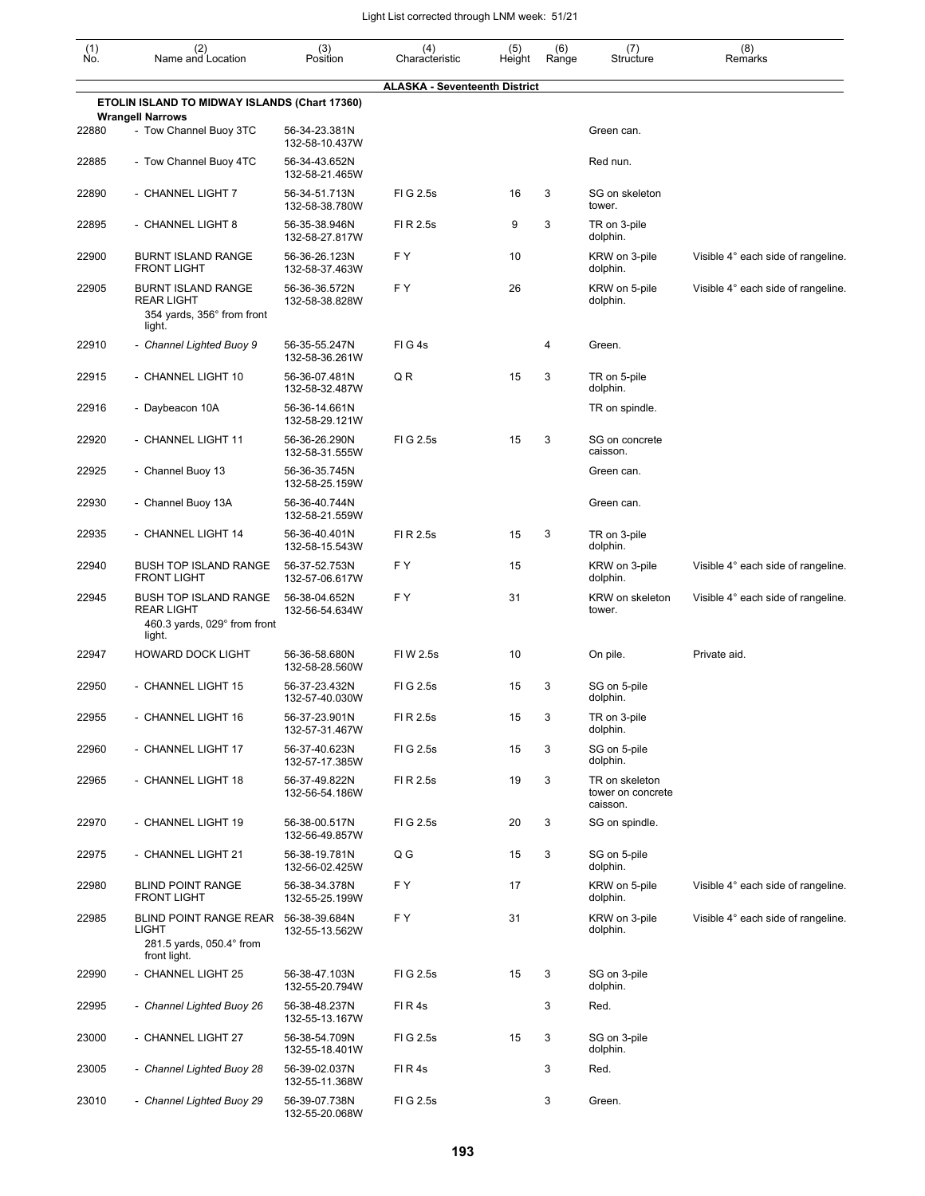| $\begin{smallmatrix} (1) \\ \mathsf{No} \end{smallmatrix}$ | (2)<br>Name and Location                                                               | (3)<br>Position                 | (4)<br>Characteristic                | (5)<br>Height | (6)<br>Range | (7)<br>Structure                                | (8)<br>Remarks                     |
|------------------------------------------------------------|----------------------------------------------------------------------------------------|---------------------------------|--------------------------------------|---------------|--------------|-------------------------------------------------|------------------------------------|
|                                                            |                                                                                        |                                 | <b>ALASKA - Seventeenth District</b> |               |              |                                                 |                                    |
|                                                            | ETOLIN ISLAND TO MIDWAY ISLANDS (Chart 17360)                                          |                                 |                                      |               |              |                                                 |                                    |
| 22880                                                      | <b>Wrangell Narrows</b><br>- Tow Channel Buoy 3TC                                      | 56-34-23.381N<br>132-58-10.437W |                                      |               |              | Green can.                                      |                                    |
| 22885                                                      | - Tow Channel Buoy 4TC                                                                 | 56-34-43.652N<br>132-58-21.465W |                                      |               |              | Red nun.                                        |                                    |
| 22890                                                      | - CHANNEL LIGHT 7                                                                      | 56-34-51.713N<br>132-58-38.780W | FIG 2.5s                             | 16            | 3            | SG on skeleton<br>tower.                        |                                    |
| 22895                                                      | - CHANNEL LIGHT 8                                                                      | 56-35-38.946N<br>132-58-27.817W | FI R 2.5s                            | 9             | 3            | TR on 3-pile<br>dolphin.                        |                                    |
| 22900                                                      | <b>BURNT ISLAND RANGE</b><br><b>FRONT LIGHT</b>                                        | 56-36-26.123N<br>132-58-37.463W | F Y                                  | 10            |              | KRW on 3-pile<br>dolphin.                       | Visible 4° each side of rangeline. |
| 22905                                                      | <b>BURNT ISLAND RANGE</b><br><b>REAR LIGHT</b><br>354 yards, 356° from front<br>light. | 56-36-36.572N<br>132-58-38.828W | F Y                                  | 26            |              | KRW on 5-pile<br>dolphin.                       | Visible 4° each side of rangeline. |
| 22910                                                      | - Channel Lighted Buoy 9                                                               | 56-35-55.247N<br>132-58-36.261W | FIG4s                                |               | 4            | Green.                                          |                                    |
| 22915                                                      | - CHANNEL LIGHT 10                                                                     | 56-36-07.481N<br>132-58-32.487W | QR                                   | 15            | 3            | TR on 5-pile<br>dolphin.                        |                                    |
| 22916                                                      | - Daybeacon 10A                                                                        | 56-36-14.661N<br>132-58-29.121W |                                      |               |              | TR on spindle.                                  |                                    |
| 22920                                                      | - CHANNEL LIGHT 11                                                                     | 56-36-26.290N<br>132-58-31.555W | FIG 2.5s                             | 15            | 3            | SG on concrete<br>caisson.                      |                                    |
| 22925                                                      | - Channel Buoy 13                                                                      | 56-36-35.745N<br>132-58-25.159W |                                      |               |              | Green can.                                      |                                    |
| 22930                                                      | - Channel Buoy 13A                                                                     | 56-36-40.744N<br>132-58-21.559W |                                      |               |              | Green can.                                      |                                    |
| 22935                                                      | - CHANNEL LIGHT 14                                                                     | 56-36-40.401N<br>132-58-15.543W | FI R 2.5s                            | 15            | 3            | TR on 3-pile<br>dolphin.                        |                                    |
| 22940                                                      | <b>BUSH TOP ISLAND RANGE</b><br><b>FRONT LIGHT</b>                                     | 56-37-52.753N<br>132-57-06.617W | F Y                                  | 15            |              | KRW on 3-pile<br>dolphin.                       | Visible 4° each side of rangeline. |
| 22945                                                      | <b>BUSH TOP ISLAND RANGE</b><br>REAR LIGHT<br>460.3 yards, 029° from front<br>light.   | 56-38-04.652N<br>132-56-54.634W | F Y                                  | 31            |              | KRW on skeleton<br>tower.                       | Visible 4° each side of rangeline. |
| 22947                                                      | <b>HOWARD DOCK LIGHT</b>                                                               | 56-36-58.680N<br>132-58-28.560W | FIW 2.5s                             | 10            |              | On pile.                                        | Private aid.                       |
| 22950                                                      | - CHANNEL LIGHT 15                                                                     | 56-37-23.432N<br>132-57-40.030W | FIG 2.5s                             | 15            | 3            | SG on 5-pile<br>dolphin.                        |                                    |
| 22955                                                      | - CHANNEL LIGHT 16                                                                     | 56-37-23.901N<br>132-57-31.467W | FI R 2.5s                            | 15            | 3            | TR on 3-pile<br>dolphin.                        |                                    |
| 22960                                                      | - CHANNEL LIGHT 17                                                                     | 56-37-40.623N<br>132-57-17.385W | FIG 2.5s                             | 15            | 3            | SG on 5-pile<br>dolphin.                        |                                    |
| 22965                                                      | - CHANNEL LIGHT 18                                                                     | 56-37-49.822N<br>132-56-54.186W | FI R 2.5s                            | 19            | 3            | TR on skeleton<br>tower on concrete<br>caisson. |                                    |
| 22970                                                      | - CHANNEL LIGHT 19                                                                     | 56-38-00.517N<br>132-56-49.857W | FIG 2.5s                             | 20            | 3            | SG on spindle.                                  |                                    |
| 22975                                                      | - CHANNEL LIGHT 21                                                                     | 56-38-19.781N<br>132-56-02.425W | Q G                                  | 15            | 3            | SG on 5-pile<br>dolphin.                        |                                    |
| 22980                                                      | <b>BLIND POINT RANGE</b><br><b>FRONT LIGHT</b>                                         | 56-38-34.378N<br>132-55-25.199W | F Y                                  | 17            |              | KRW on 5-pile<br>dolphin.                       | Visible 4° each side of rangeline. |
| 22985                                                      | BLIND POINT RANGE REAR<br>LIGHT<br>281.5 yards, 050.4° from<br>front light.            | 56-38-39.684N<br>132-55-13.562W | F Y                                  | 31            |              | KRW on 3-pile<br>dolphin.                       | Visible 4° each side of rangeline. |
| 22990                                                      | - CHANNEL LIGHT 25                                                                     | 56-38-47.103N<br>132-55-20.794W | FIG 2.5s                             | 15            | 3            | SG on 3-pile<br>dolphin.                        |                                    |
| 22995                                                      | - Channel Lighted Buoy 26                                                              | 56-38-48.237N<br>132-55-13.167W | FIR4s                                |               | 3            | Red.                                            |                                    |
| 23000                                                      | - CHANNEL LIGHT 27                                                                     | 56-38-54.709N<br>132-55-18.401W | FIG 2.5s                             | 15            | 3            | SG on 3-pile<br>dolphin.                        |                                    |
| 23005                                                      | - Channel Lighted Buoy 28                                                              | 56-39-02.037N<br>132-55-11.368W | FIR4s                                |               | 3            | Red.                                            |                                    |
| 23010                                                      | - Channel Lighted Buoy 29                                                              | 56-39-07.738N<br>132-55-20.068W | FIG 2.5s                             |               | 3            | Green.                                          |                                    |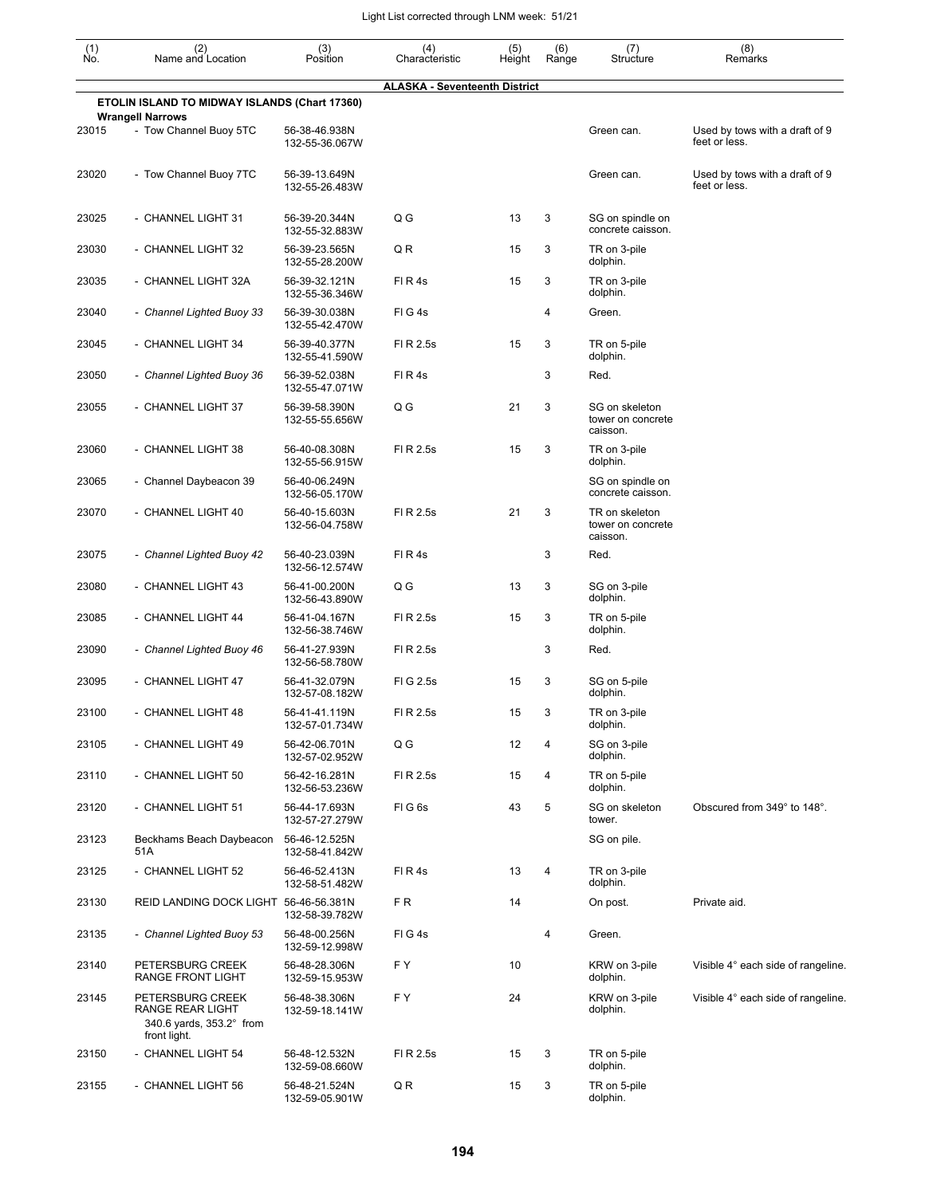| (1)<br>Ño. | (2)<br>Name and Location                                                         | (3)<br>Position                 | (4)<br>Characteristic                | (5)<br>Height | (6)<br>Range | (7)<br>Structure                                | (8)<br>Remarks                                  |
|------------|----------------------------------------------------------------------------------|---------------------------------|--------------------------------------|---------------|--------------|-------------------------------------------------|-------------------------------------------------|
|            |                                                                                  |                                 | <b>ALASKA - Seventeenth District</b> |               |              |                                                 |                                                 |
|            | ETOLIN ISLAND TO MIDWAY ISLANDS (Chart 17360)                                    |                                 |                                      |               |              |                                                 |                                                 |
| 23015      | <b>Wrangell Narrows</b><br>- Tow Channel Buoy 5TC                                | 56-38-46.938N<br>132-55-36.067W |                                      |               |              | Green can.                                      | Used by tows with a draft of 9<br>feet or less. |
| 23020      | - Tow Channel Buoy 7TC                                                           | 56-39-13.649N<br>132-55-26.483W |                                      |               |              | Green can.                                      | Used by tows with a draft of 9<br>feet or less. |
| 23025      | - CHANNEL LIGHT 31                                                               | 56-39-20.344N<br>132-55-32.883W | Q G                                  | 13            | 3            | SG on spindle on<br>concrete caisson.           |                                                 |
| 23030      | - CHANNEL LIGHT 32                                                               | 56-39-23.565N<br>132-55-28.200W | Q R                                  | 15            | 3            | TR on 3-pile<br>dolphin.                        |                                                 |
| 23035      | - CHANNEL LIGHT 32A                                                              | 56-39-32.121N<br>132-55-36.346W | FIR4s                                | 15            | 3            | TR on 3-pile<br>dolphin.                        |                                                 |
| 23040      | - Channel Lighted Buoy 33                                                        | 56-39-30.038N<br>132-55-42.470W | FIG4s                                |               | 4            | Green.                                          |                                                 |
| 23045      | - CHANNEL LIGHT 34                                                               | 56-39-40.377N<br>132-55-41.590W | FI R 2.5s                            | 15            | 3            | TR on 5-pile<br>dolphin.                        |                                                 |
| 23050      | - Channel Lighted Buoy 36                                                        | 56-39-52.038N<br>132-55-47.071W | FIR4s                                |               | 3            | Red.                                            |                                                 |
| 23055      | - CHANNEL LIGHT 37                                                               | 56-39-58.390N<br>132-55-55.656W | Q G                                  | 21            | 3            | SG on skeleton<br>tower on concrete<br>caisson. |                                                 |
| 23060      | - CHANNEL LIGHT 38                                                               | 56-40-08.308N<br>132-55-56.915W | FI R 2.5s                            | 15            | 3            | TR on 3-pile<br>dolphin.                        |                                                 |
| 23065      | - Channel Daybeacon 39                                                           | 56-40-06.249N<br>132-56-05.170W |                                      |               |              | SG on spindle on<br>concrete caisson.           |                                                 |
| 23070      | - CHANNEL LIGHT 40                                                               | 56-40-15.603N<br>132-56-04.758W | FI R 2.5s                            | 21            | 3            | TR on skeleton<br>tower on concrete<br>caisson. |                                                 |
| 23075      | - Channel Lighted Buoy 42                                                        | 56-40-23.039N<br>132-56-12.574W | FI R 4s                              |               | 3            | Red.                                            |                                                 |
| 23080      | - CHANNEL LIGHT 43                                                               | 56-41-00.200N<br>132-56-43.890W | Q G                                  | 13            | 3            | SG on 3-pile<br>dolphin.                        |                                                 |
| 23085      | - CHANNEL LIGHT 44                                                               | 56-41-04.167N<br>132-56-38.746W | FI R 2.5s                            | 15            | 3            | TR on 5-pile<br>dolphin.                        |                                                 |
| 23090      | - Channel Lighted Buoy 46                                                        | 56-41-27.939N<br>132-56-58.780W | FI R 2.5s                            |               | 3            | Red.                                            |                                                 |
| 23095      | - CHANNEL LIGHT 47                                                               | 56-41-32.079N<br>132-57-08.182W | FIG 2.5s                             | 15            | 3            | SG on 5-pile<br>dolphin.                        |                                                 |
| 23100      | CHANNEL LIGHT 48                                                                 | 56-41-41.119N<br>132-57-01.734W | FI R 2.5s                            | 15            | 3            | TR on 3-pile<br>dolphin.                        |                                                 |
| 23105      | - CHANNEL LIGHT 49                                                               | 56-42-06.701N<br>132-57-02.952W | Q G                                  | 12            | 4            | SG on 3-pile<br>dolphin.                        |                                                 |
| 23110      | - CHANNEL LIGHT 50                                                               | 56-42-16.281N<br>132-56-53.236W | FI R 2.5s                            | 15            | 4            | TR on 5-pile<br>dolphin.                        |                                                 |
| 23120      | - CHANNEL LIGHT 51                                                               | 56-44-17.693N<br>132-57-27.279W | FIG6s                                | 43            | 5            | SG on skeleton<br>tower.                        | Obscured from 349° to 148°.                     |
| 23123      | Beckhams Beach Daybeacon<br>51A                                                  | 56-46-12.525N<br>132-58-41.842W |                                      |               |              | SG on pile.                                     |                                                 |
| 23125      | - CHANNEL LIGHT 52                                                               | 56-46-52.413N<br>132-58-51.482W | FIR4s                                | 13            | 4            | TR on 3-pile<br>dolphin.                        |                                                 |
| 23130      | REID LANDING DOCK LIGHT 56-46-56.381N                                            | 132-58-39.782W                  | FR.                                  | 14            |              | On post.                                        | Private aid.                                    |
| 23135      | - Channel Lighted Buoy 53                                                        | 56-48-00.256N<br>132-59-12.998W | FIG4s                                |               | 4            | Green.                                          |                                                 |
| 23140      | PETERSBURG CREEK<br>RANGE FRONT LIGHT                                            | 56-48-28.306N<br>132-59-15.953W | F Y                                  | 10            |              | KRW on 3-pile<br>dolphin.                       | Visible 4° each side of rangeline.              |
| 23145      | PETERSBURG CREEK<br>RANGE REAR LIGHT<br>340.6 yards, 353.2° from<br>front light. | 56-48-38.306N<br>132-59-18.141W | FY                                   | 24            |              | KRW on 3-pile<br>dolphin.                       | Visible 4° each side of rangeline.              |
| 23150      | - CHANNEL LIGHT 54                                                               | 56-48-12.532N<br>132-59-08.660W | FI R 2.5s                            | 15            | 3            | TR on 5-pile<br>dolphin.                        |                                                 |
| 23155      | - CHANNEL LIGHT 56                                                               | 56-48-21.524N<br>132-59-05.901W | Q R                                  | 15            | 3            | TR on 5-pile<br>dolphin.                        |                                                 |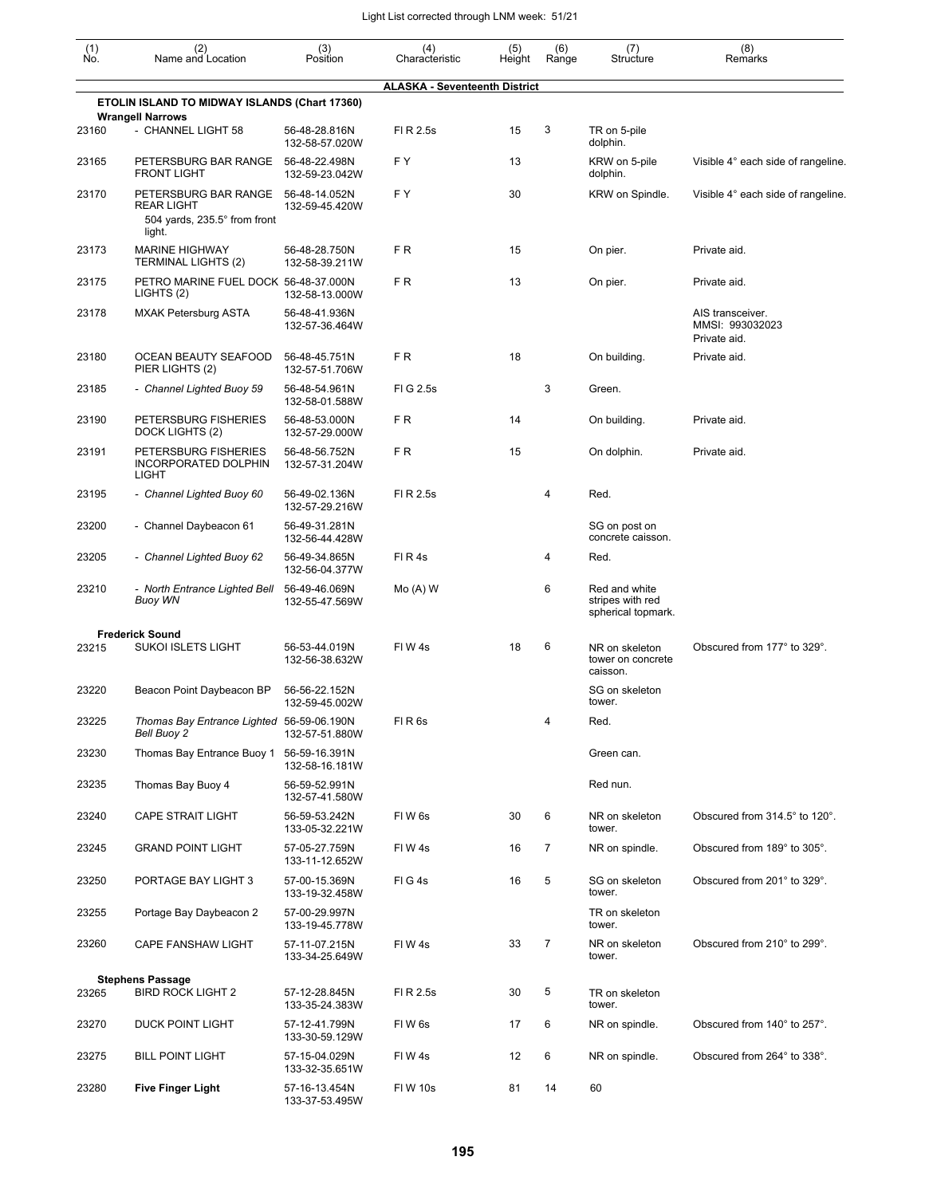| (1)<br>Ño. | (2)<br>Name and Location                                                            | (3)<br>Position                 | (4)<br>Characteristic                | (5)<br>Height | (6)<br>Range   | (7)<br>Structure                                        | (8)<br>Remarks                                      |
|------------|-------------------------------------------------------------------------------------|---------------------------------|--------------------------------------|---------------|----------------|---------------------------------------------------------|-----------------------------------------------------|
|            |                                                                                     |                                 | <b>ALASKA - Seventeenth District</b> |               |                |                                                         |                                                     |
|            | ETOLIN ISLAND TO MIDWAY ISLANDS (Chart 17360)                                       |                                 |                                      |               |                |                                                         |                                                     |
| 23160      | <b>Wrangell Narrows</b><br>- CHANNEL LIGHT 58                                       | 56-48-28.816N<br>132-58-57.020W | FI R 2.5s                            | 15            | 3              | TR on 5-pile<br>dolphin.                                |                                                     |
| 23165      | PETERSBURG BAR RANGE<br><b>FRONT LIGHT</b>                                          | 56-48-22.498N<br>132-59-23.042W | FΥ                                   | 13            |                | KRW on 5-pile<br>dolphin.                               | Visible 4° each side of rangeline.                  |
| 23170      | PETERSBURG BAR RANGE<br><b>REAR LIGHT</b><br>504 yards, 235.5° from front<br>light. | 56-48-14.052N<br>132-59-45.420W | F Y                                  | 30            |                | KRW on Spindle.                                         | Visible 4° each side of rangeline.                  |
| 23173      | <b>MARINE HIGHWAY</b><br><b>TERMINAL LIGHTS (2)</b>                                 | 56-48-28.750N<br>132-58-39.211W | F R                                  | 15            |                | On pier.                                                | Private aid.                                        |
| 23175      | PETRO MARINE FUEL DOCK 56-48-37.000N<br>LIGHTS (2)                                  | 132-58-13.000W                  | F R                                  | 13            |                | On pier.                                                | Private aid.                                        |
| 23178      | <b>MXAK Petersburg ASTA</b>                                                         | 56-48-41.936N<br>132-57-36.464W |                                      |               |                |                                                         | AIS transceiver.<br>MMSI: 993032023<br>Private aid. |
| 23180      | OCEAN BEAUTY SEAFOOD<br>PIER LIGHTS (2)                                             | 56-48-45.751N<br>132-57-51.706W | FR                                   | 18            |                | On building.                                            | Private aid.                                        |
| 23185      | - Channel Lighted Buoy 59                                                           | 56-48-54.961N<br>132-58-01.588W | FIG 2.5s                             |               | 3              | Green.                                                  |                                                     |
| 23190      | PETERSBURG FISHERIES<br>DOCK LIGHTS (2)                                             | 56-48-53.000N<br>132-57-29.000W | FR                                   | 14            |                | On building.                                            | Private aid.                                        |
| 23191      | PETERSBURG FISHERIES<br>INCORPORATED DOLPHIN<br><b>LIGHT</b>                        | 56-48-56.752N<br>132-57-31.204W | FR                                   | 15            |                | On dolphin.                                             | Private aid.                                        |
| 23195      | - Channel Lighted Buoy 60                                                           | 56-49-02.136N<br>132-57-29.216W | FI R 2.5s                            |               | 4              | Red.                                                    |                                                     |
| 23200      | - Channel Daybeacon 61                                                              | 56-49-31.281N<br>132-56-44.428W |                                      |               |                | SG on post on<br>concrete caisson.                      |                                                     |
| 23205      | - Channel Lighted Buoy 62                                                           | 56-49-34.865N<br>132-56-04.377W | FIR4s                                |               | 4              | Red.                                                    |                                                     |
| 23210      | - North Entrance Lighted Bell<br><b>Buoy WN</b>                                     | 56-49-46.069N<br>132-55-47.569W | $Mo(A)$ W                            |               | 6              | Red and white<br>stripes with red<br>spherical topmark. |                                                     |
|            | <b>Frederick Sound</b>                                                              |                                 |                                      |               |                |                                                         |                                                     |
| 23215      | <b>SUKOI ISLETS LIGHT</b>                                                           | 56-53-44.019N<br>132-56-38.632W | FIW4s                                | 18            | 6              | NR on skeleton<br>tower on concrete<br>caisson.         | Obscured from 177° to 329°.                         |
| 23220      | Beacon Point Daybeacon BP                                                           | 56-56-22.152N<br>132-59-45.002W |                                      |               |                | SG on skeleton<br>tower.                                |                                                     |
| 23225      | Thomas Bay Entrance Lighted 56-59-06.190N<br>Bell Buoy 2                            | 132-57-51.880W                  | FIR <sub>6s</sub>                    |               | 4              | Red.                                                    |                                                     |
| 23230      | Thomas Bay Entrance Buoy 1                                                          | 56-59-16.391N<br>132-58-16.181W |                                      |               |                | Green can.                                              |                                                     |
| 23235      | Thomas Bay Buoy 4                                                                   | 56-59-52.991N<br>132-57-41.580W |                                      |               |                | Red nun.                                                |                                                     |
| 23240      | <b>CAPE STRAIT LIGHT</b>                                                            | 56-59-53.242N<br>133-05-32.221W | FIW <sub>6s</sub>                    | 30            | 6              | NR on skeleton<br>tower.                                | Obscured from 314.5° to 120°.                       |
| 23245      | <b>GRAND POINT LIGHT</b>                                                            | 57-05-27.759N<br>133-11-12.652W | FIW4s                                | 16            | $\overline{7}$ | NR on spindle.                                          | Obscured from 189° to 305°.                         |
| 23250      | PORTAGE BAY LIGHT 3                                                                 | 57-00-15.369N<br>133-19-32.458W | FIG4s                                | 16            | 5              | SG on skeleton<br>tower.                                | Obscured from 201° to 329°.                         |
| 23255      | Portage Bay Daybeacon 2                                                             | 57-00-29.997N<br>133-19-45.778W |                                      |               |                | TR on skeleton<br>tower.                                |                                                     |
| 23260      | CAPE FANSHAW LIGHT                                                                  | 57-11-07.215N<br>133-34-25.649W | FIW4s                                | 33            | $\overline{7}$ | NR on skeleton<br>tower.                                | Obscured from 210° to 299°.                         |
|            | <b>Stephens Passage</b>                                                             |                                 |                                      |               |                |                                                         |                                                     |
| 23265      | <b>BIRD ROCK LIGHT 2</b>                                                            | 57-12-28.845N<br>133-35-24.383W | FI R 2.5s                            | 30            | 5              | TR on skeleton<br>tower.                                |                                                     |
| 23270      | DUCK POINT LIGHT                                                                    | 57-12-41.799N<br>133-30-59.129W | FIW <sub>6s</sub>                    | 17            | 6              | NR on spindle.                                          | Obscured from 140° to 257°.                         |
| 23275      | <b>BILL POINT LIGHT</b>                                                             | 57-15-04.029N<br>133-32-35.651W | FIW4s                                | 12            | 6              | NR on spindle.                                          | Obscured from 264° to 338°.                         |
| 23280      | <b>Five Finger Light</b>                                                            | 57-16-13.454N<br>133-37-53.495W | FIW 10s                              | 81            | 14             | 60                                                      |                                                     |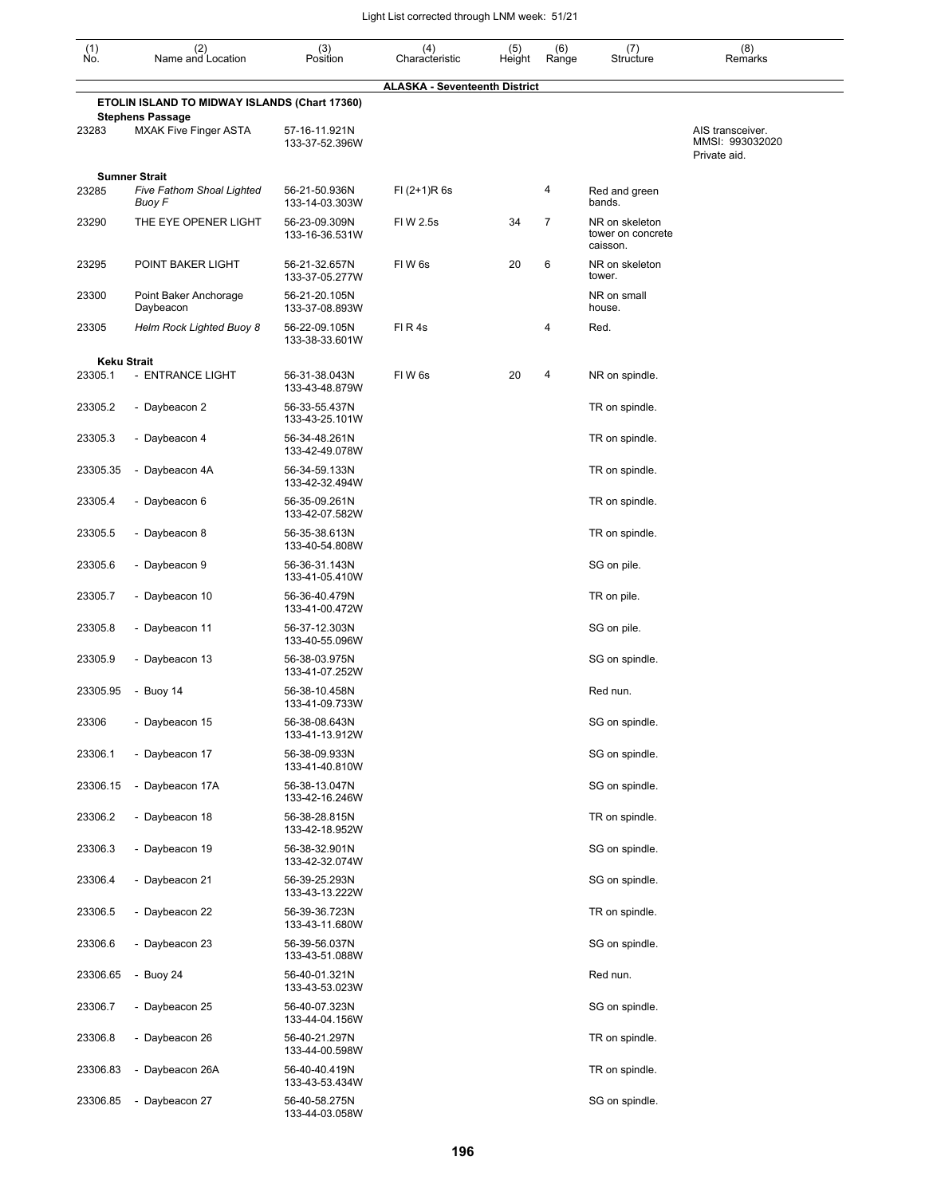| $\begin{smallmatrix} (1) \ N0. \end{smallmatrix}$ | (2)<br>Name and Location                                                 | (3)<br>Position                 | (4)<br>Characteristic                | (5)<br>Height | (6)<br>Range   | (7)<br>Structure                                | (8)<br>Remarks                                      |
|---------------------------------------------------|--------------------------------------------------------------------------|---------------------------------|--------------------------------------|---------------|----------------|-------------------------------------------------|-----------------------------------------------------|
|                                                   |                                                                          |                                 | <b>ALASKA - Seventeenth District</b> |               |                |                                                 |                                                     |
|                                                   | ETOLIN ISLAND TO MIDWAY ISLANDS (Chart 17360)<br><b>Stephens Passage</b> |                                 |                                      |               |                |                                                 |                                                     |
| 23283                                             | <b>MXAK Five Finger ASTA</b>                                             | 57-16-11.921N<br>133-37-52.396W |                                      |               |                |                                                 | AIS transceiver.<br>MMSI: 993032020<br>Private aid. |
| 23285                                             | <b>Sumner Strait</b><br>Five Fathom Shoal Lighted<br>Buoy F              | 56-21-50.936N<br>133-14-03.303W | $FI (2+1)R 6s$                       |               | 4              | Red and green<br>bands.                         |                                                     |
| 23290                                             | THE EYE OPENER LIGHT                                                     | 56-23-09.309N<br>133-16-36.531W | FIW 2.5s                             | 34            | $\overline{7}$ | NR on skeleton<br>tower on concrete<br>caisson. |                                                     |
| 23295                                             | POINT BAKER LIGHT                                                        | 56-21-32.657N<br>133-37-05.277W | FIW <sub>6s</sub>                    | 20            | 6              | NR on skeleton<br>tower.                        |                                                     |
| 23300                                             | Point Baker Anchorage<br>Daybeacon                                       | 56-21-20.105N<br>133-37-08.893W |                                      |               |                | NR on small<br>house.                           |                                                     |
| 23305                                             | Helm Rock Lighted Buoy 8                                                 | 56-22-09.105N<br>133-38-33.601W | FIR4s                                |               | 4              | Red.                                            |                                                     |
| <b>Keku Strait</b>                                |                                                                          |                                 |                                      |               |                |                                                 |                                                     |
| 23305.1                                           | - ENTRANCE LIGHT                                                         | 56-31-38.043N<br>133-43-48.879W | FIW6s                                | 20            | 4              | NR on spindle.                                  |                                                     |
| 23305.2                                           | - Daybeacon 2                                                            | 56-33-55.437N<br>133-43-25.101W |                                      |               |                | TR on spindle.                                  |                                                     |
| 23305.3                                           | - Daybeacon 4                                                            | 56-34-48.261N<br>133-42-49.078W |                                      |               |                | TR on spindle.                                  |                                                     |
| 23305.35                                          | - Daybeacon 4A                                                           | 56-34-59.133N<br>133-42-32.494W |                                      |               |                | TR on spindle.                                  |                                                     |
| 23305.4                                           | - Daybeacon 6                                                            | 56-35-09.261N<br>133-42-07.582W |                                      |               |                | TR on spindle.                                  |                                                     |
| 23305.5                                           | - Daybeacon 8                                                            | 56-35-38.613N<br>133-40-54.808W |                                      |               |                | TR on spindle.                                  |                                                     |
| 23305.6                                           | - Daybeacon 9                                                            | 56-36-31.143N<br>133-41-05.410W |                                      |               |                | SG on pile.                                     |                                                     |
| 23305.7                                           | - Daybeacon 10                                                           | 56-36-40.479N<br>133-41-00.472W |                                      |               |                | TR on pile.                                     |                                                     |
| 23305.8                                           | - Daybeacon 11                                                           | 56-37-12.303N<br>133-40-55.096W |                                      |               |                | SG on pile.                                     |                                                     |
| 23305.9                                           | - Daybeacon 13                                                           | 56-38-03.975N<br>133-41-07.252W |                                      |               |                | SG on spindle.                                  |                                                     |
| 23305.95                                          | - Buoy $14$                                                              | 56-38-10.458N<br>133-41-09.733W |                                      |               |                | Red nun.                                        |                                                     |
| 23306                                             | - Daybeacon 15                                                           | 56-38-08.643N<br>133-41-13.912W |                                      |               |                | SG on spindle.                                  |                                                     |
| 23306.1                                           | - Daybeacon 17                                                           | 56-38-09.933N<br>133-41-40.810W |                                      |               |                | SG on spindle.                                  |                                                     |
| 23306.15                                          | - Daybeacon 17A                                                          | 56-38-13.047N<br>133-42-16.246W |                                      |               |                | SG on spindle.                                  |                                                     |
| 23306.2                                           | - Daybeacon 18                                                           | 56-38-28.815N<br>133-42-18.952W |                                      |               |                | TR on spindle.                                  |                                                     |
| 23306.3                                           | - Daybeacon 19                                                           | 56-38-32.901N<br>133-42-32.074W |                                      |               |                | SG on spindle.                                  |                                                     |
| 23306.4                                           | - Daybeacon 21                                                           | 56-39-25.293N<br>133-43-13.222W |                                      |               |                | SG on spindle.                                  |                                                     |
| 23306.5                                           | - Daybeacon 22                                                           | 56-39-36.723N<br>133-43-11.680W |                                      |               |                | TR on spindle.                                  |                                                     |
| 23306.6                                           | - Daybeacon 23                                                           | 56-39-56.037N<br>133-43-51.088W |                                      |               |                | SG on spindle.                                  |                                                     |
| 23306.65                                          | - Buoy 24                                                                | 56-40-01.321N<br>133-43-53.023W |                                      |               |                | Red nun.                                        |                                                     |
| 23306.7                                           | - Daybeacon 25                                                           | 56-40-07.323N<br>133-44-04.156W |                                      |               |                | SG on spindle.                                  |                                                     |
| 23306.8                                           | - Daybeacon 26                                                           | 56-40-21.297N<br>133-44-00.598W |                                      |               |                | TR on spindle.                                  |                                                     |
| 23306.83                                          | - Daybeacon 26A                                                          | 56-40-40.419N<br>133-43-53.434W |                                      |               |                | TR on spindle.                                  |                                                     |
| 23306.85                                          | Daybeacon 27<br>$\overline{\phantom{a}}$                                 | 56-40-58.275N<br>133-44-03.058W |                                      |               |                | SG on spindle.                                  |                                                     |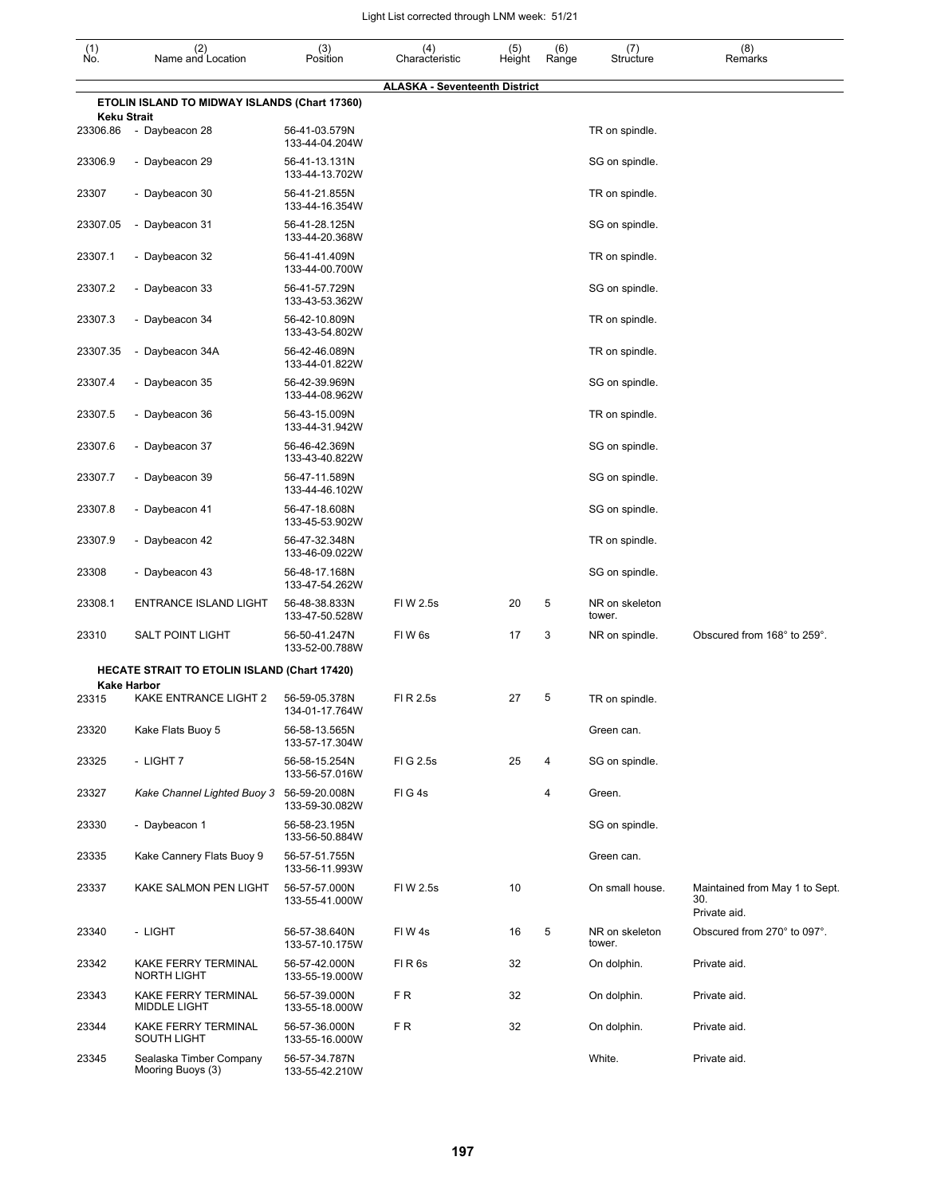| $\begin{smallmatrix} (1) \ N0. \end{smallmatrix}$ | (2)<br>Name and Location                            | (3)<br>Position                 | (4)<br>Characteristic                | (5)<br>Height | (6)<br>Range | (7)<br>Structure         | (8)<br>Remarks                                        |
|---------------------------------------------------|-----------------------------------------------------|---------------------------------|--------------------------------------|---------------|--------------|--------------------------|-------------------------------------------------------|
|                                                   |                                                     |                                 | <b>ALASKA - Seventeenth District</b> |               |              |                          |                                                       |
| <b>Keku Strait</b>                                | ETOLIN ISLAND TO MIDWAY ISLANDS (Chart 17360)       |                                 |                                      |               |              |                          |                                                       |
| 23306.86                                          | - Daybeacon 28                                      | 56-41-03.579N<br>133-44-04.204W |                                      |               |              | TR on spindle.           |                                                       |
| 23306.9                                           | - Daybeacon 29                                      | 56-41-13.131N<br>133-44-13.702W |                                      |               |              | SG on spindle.           |                                                       |
| 23307                                             | - Daybeacon 30                                      | 56-41-21.855N<br>133-44-16.354W |                                      |               |              | TR on spindle.           |                                                       |
| 23307.05                                          | - Daybeacon 31                                      | 56-41-28.125N<br>133-44-20.368W |                                      |               |              | SG on spindle.           |                                                       |
| 23307.1                                           | - Daybeacon 32                                      | 56-41-41.409N<br>133-44-00.700W |                                      |               |              | TR on spindle.           |                                                       |
| 23307.2                                           | - Daybeacon 33                                      | 56-41-57.729N<br>133-43-53.362W |                                      |               |              | SG on spindle.           |                                                       |
| 23307.3                                           | - Daybeacon 34                                      | 56-42-10.809N<br>133-43-54.802W |                                      |               |              | TR on spindle.           |                                                       |
| 23307.35                                          | - Daybeacon 34A                                     | 56-42-46.089N<br>133-44-01.822W |                                      |               |              | TR on spindle.           |                                                       |
| 23307.4                                           | - Daybeacon 35                                      | 56-42-39.969N<br>133-44-08.962W |                                      |               |              | SG on spindle.           |                                                       |
| 23307.5                                           | - Daybeacon 36                                      | 56-43-15.009N<br>133-44-31.942W |                                      |               |              | TR on spindle.           |                                                       |
| 23307.6                                           | - Daybeacon 37                                      | 56-46-42.369N<br>133-43-40.822W |                                      |               |              | SG on spindle.           |                                                       |
| 23307.7                                           | - Daybeacon 39                                      | 56-47-11.589N<br>133-44-46.102W |                                      |               |              | SG on spindle.           |                                                       |
| 23307.8                                           | - Daybeacon 41                                      | 56-47-18.608N<br>133-45-53.902W |                                      |               |              | SG on spindle.           |                                                       |
| 23307.9                                           | - Daybeacon 42                                      | 56-47-32.348N<br>133-46-09.022W |                                      |               |              | TR on spindle.           |                                                       |
| 23308                                             | - Daybeacon 43                                      | 56-48-17.168N<br>133-47-54.262W |                                      |               |              | SG on spindle.           |                                                       |
| 23308.1                                           | <b>ENTRANCE ISLAND LIGHT</b>                        | 56-48-38.833N<br>133-47-50.528W | FIW 2.5s                             | 20            | 5            | NR on skeleton<br>tower. |                                                       |
| 23310                                             | <b>SALT POINT LIGHT</b>                             | 56-50-41.247N<br>133-52-00.788W | FIW6s                                | 17            | 3            | NR on spindle.           | Obscured from 168° to 259°.                           |
|                                                   | <b>HECATE STRAIT TO ETOLIN ISLAND (Chart 17420)</b> |                                 |                                      |               |              |                          |                                                       |
| 23315                                             | <b>Kake Harbor</b><br>KAKE ENTRANCE LIGHT 2         | 56-59-05.378N<br>134-01-17.764W | FI R 2.5s                            | 27            | 5            | TR on spindle.           |                                                       |
| 23320                                             | Kake Flats Buoy 5                                   | 56-58-13.565N<br>133-57-17.304W |                                      |               |              | Green can.               |                                                       |
| 23325                                             | - LIGHT 7                                           | 56-58-15.254N<br>133-56-57.016W | FIG 2.5s                             | 25            | 4            | SG on spindle.           |                                                       |
| 23327                                             | Kake Channel Lighted Buoy 3                         | 56-59-20.008N<br>133-59-30.082W | FIG4s                                |               | 4            | Green.                   |                                                       |
| 23330                                             | - Daybeacon 1                                       | 56-58-23.195N<br>133-56-50.884W |                                      |               |              | SG on spindle.           |                                                       |
| 23335                                             | Kake Cannery Flats Buoy 9                           | 56-57-51.755N<br>133-56-11.993W |                                      |               |              | Green can.               |                                                       |
| 23337                                             | KAKE SALMON PEN LIGHT                               | 56-57-57.000N<br>133-55-41.000W | FIW 2.5s                             | 10            |              | On small house.          | Maintained from May 1 to Sept.<br>30.<br>Private aid. |
| 23340                                             | - LIGHT                                             | 56-57-38.640N<br>133-57-10.175W | FIW4s                                | 16            | 5            | NR on skeleton<br>tower. | Obscured from 270° to 097°.                           |
| 23342                                             | KAKE FERRY TERMINAL<br><b>NORTH LIGHT</b>           | 56-57-42.000N<br>133-55-19.000W | FIR <sub>6s</sub>                    | 32            |              | On dolphin.              | Private aid.                                          |
| 23343                                             | KAKE FERRY TERMINAL<br><b>MIDDLE LIGHT</b>          | 56-57-39.000N<br>133-55-18.000W | F R                                  | 32            |              | On dolphin.              | Private aid.                                          |
| 23344                                             | KAKE FERRY TERMINAL<br><b>SOUTH LIGHT</b>           | 56-57-36.000N<br>133-55-16.000W | FR.                                  | 32            |              | On dolphin.              | Private aid.                                          |
| 23345                                             | Sealaska Timber Company<br>Mooring Buoys (3)        | 56-57-34.787N<br>133-55-42.210W |                                      |               |              | White.                   | Private aid.                                          |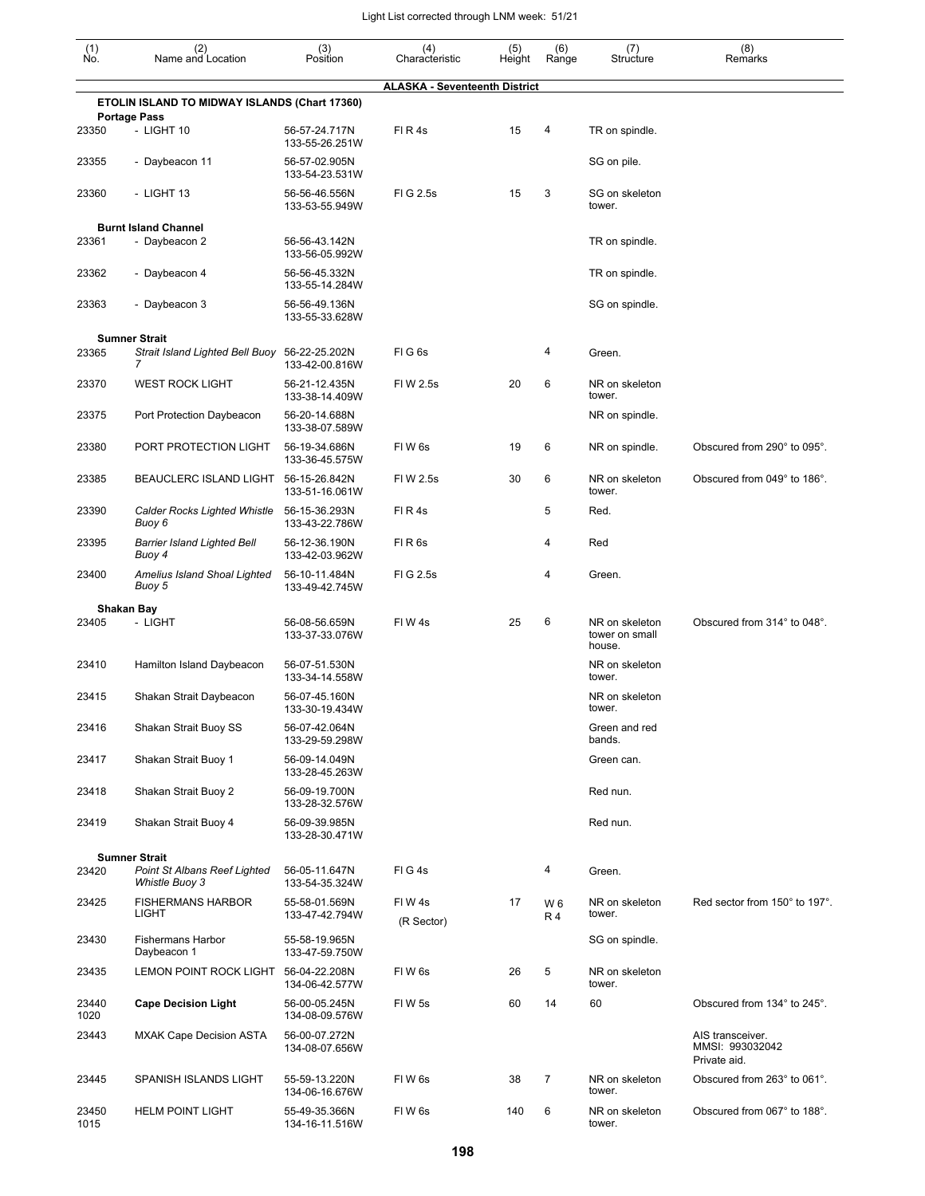| (1)<br>Ño.    | (2)<br>Name and Location                           | (3)<br>Position                 | (4)<br>Characteristic                | (5)<br>Height | (6)<br>Range     | (7)<br>Structure                           | (8)<br>Remarks                              |
|---------------|----------------------------------------------------|---------------------------------|--------------------------------------|---------------|------------------|--------------------------------------------|---------------------------------------------|
|               |                                                    |                                 | <b>ALASKA - Seventeenth District</b> |               |                  |                                            |                                             |
|               | ETOLIN ISLAND TO MIDWAY ISLANDS (Chart 17360)      |                                 |                                      |               |                  |                                            |                                             |
| 23350         | <b>Portage Pass</b><br>- LIGHT 10                  | 56-57-24.717N<br>133-55-26.251W | FIR4s                                | 15            | 4                | TR on spindle.                             |                                             |
| 23355         | - Daybeacon 11                                     | 56-57-02.905N<br>133-54-23.531W |                                      |               |                  | SG on pile.                                |                                             |
| 23360         | - LIGHT 13                                         | 56-56-46.556N<br>133-53-55.949W | FIG 2.5s                             | 15            | 3                | SG on skeleton<br>tower.                   |                                             |
|               | <b>Burnt Island Channel</b>                        |                                 |                                      |               |                  |                                            |                                             |
| 23361         | - Daybeacon 2                                      | 56-56-43.142N<br>133-56-05.992W |                                      |               |                  | TR on spindle.                             |                                             |
| 23362         | - Daybeacon 4                                      | 56-56-45.332N<br>133-55-14.284W |                                      |               |                  | TR on spindle.                             |                                             |
| 23363         | - Daybeacon 3                                      | 56-56-49.136N<br>133-55-33.628W |                                      |               |                  | SG on spindle.                             |                                             |
|               | <b>Sumner Strait</b>                               |                                 |                                      |               |                  |                                            |                                             |
| 23365         | Strait Island Lighted Bell Buoy 56-22-25.202N<br>7 | 133-42-00.816W                  | FIG <sub>6s</sub>                    |               | 4                | Green.                                     |                                             |
| 23370         | <b>WEST ROCK LIGHT</b>                             | 56-21-12.435N<br>133-38-14.409W | FIW 2.5s                             | 20            | 6                | NR on skeleton<br>tower.                   |                                             |
| 23375         | Port Protection Daybeacon                          | 56-20-14.688N<br>133-38-07.589W |                                      |               |                  | NR on spindle.                             |                                             |
| 23380         | PORT PROTECTION LIGHT                              | 56-19-34.686N<br>133-36-45.575W | FIW <sub>6s</sub>                    | 19            | 6                | NR on spindle.                             | Obscured from 290° to 095°.                 |
| 23385         | BEAUCLERC ISLAND LIGHT                             | 56-15-26.842N<br>133-51-16.061W | FIW 2.5s                             | 30            | 6                | NR on skeleton<br>tower.                   | Obscured from 049° to 186°.                 |
| 23390         | Calder Rocks Lighted Whistle<br>Buoy 6             | 56-15-36.293N<br>133-43-22.786W | FIR4s                                |               | 5                | Red.                                       |                                             |
| 23395         | <b>Barrier Island Lighted Bell</b><br>Buoy 4       | 56-12-36.190N<br>133-42-03.962W | FIR <sub>6s</sub>                    |               | 4                | Red                                        |                                             |
| 23400         | Amelius Island Shoal Lighted<br>Buoy 5             | 56-10-11.484N<br>133-49-42.745W | FIG 2.5s                             |               | 4                | Green.                                     |                                             |
|               | <b>Shakan Bay</b>                                  |                                 |                                      |               |                  |                                            |                                             |
| 23405         | - LIGHT                                            | 56-08-56.659N<br>133-37-33.076W | FIW 4s                               | 25            | 6                | NR on skeleton<br>tower on small<br>house. | Obscured from 314° to 048°.                 |
| 23410         | Hamilton Island Daybeacon                          | 56-07-51.530N<br>133-34-14.558W |                                      |               |                  | NR on skeleton<br>tower.                   |                                             |
| 23415         | Shakan Strait Daybeacon                            | 56-07-45.160N<br>133-30-19.434W |                                      |               |                  | NR on skeleton<br>tower.                   |                                             |
| 23416         | Shakan Strait Buoy SS                              | 56-07-42.064N<br>133-29-59.298W |                                      |               |                  | Green and red<br>bands.                    |                                             |
| 23417         | Shakan Strait Buoy 1                               | 56-09-14.049N<br>133-28-45.263W |                                      |               |                  | Green can.                                 |                                             |
| 23418         | Shakan Strait Buoy 2                               | 56-09-19.700N<br>133-28-32.576W |                                      |               |                  | Red nun.                                   |                                             |
| 23419         | Shakan Strait Buoy 4                               | 56-09-39.985N<br>133-28-30.471W |                                      |               |                  | Red nun.                                   |                                             |
|               | <b>Sumner Strait</b>                               |                                 |                                      |               |                  |                                            |                                             |
| 23420         | Point St Albans Reef Lighted<br>Whistle Buoy 3     | 56-05-11.647N<br>133-54-35.324W | FIG4s                                |               | 4                | Green.                                     |                                             |
| 23425         | <b>FISHERMANS HARBOR</b><br><b>LIGHT</b>           | 55-58-01.569N<br>133-47-42.794W | FIW 4s<br>(R Sector)                 | 17            | W 6<br><b>R4</b> | NR on skeleton<br>tower.                   | Red sector from 150° to 197°.               |
| 23430         | <b>Fishermans Harbor</b><br>Daybeacon 1            | 55-58-19.965N<br>133-47-59.750W |                                      |               |                  | SG on spindle.                             |                                             |
| 23435         | LEMON POINT ROCK LIGHT                             | 56-04-22.208N<br>134-06-42.577W | FIW <sub>6s</sub>                    | 26            | 5                | NR on skeleton<br>tower.                   |                                             |
| 23440<br>1020 | <b>Cape Decision Light</b>                         | 56-00-05.245N<br>134-08-09.576W | FIW 5s                               | 60            | 14               | 60                                         | Obscured from 134° to 245°.                 |
| 23443         | <b>MXAK Cape Decision ASTA</b>                     | 56-00-07.272N<br>134-08-07.656W |                                      |               |                  |                                            | AIS transceiver.<br>MMSI: 993032042         |
| 23445         | SPANISH ISLANDS LIGHT                              | 55-59-13.220N                   | FIW <sub>6s</sub>                    | 38            | 7                | NR on skeleton                             | Private aid.<br>Obscured from 263° to 061°. |
| 23450         | <b>HELM POINT LIGHT</b>                            | 134-06-16.676W<br>55-49-35.366N | FIW <sub>6s</sub>                    | 140           | 6                | tower.<br>NR on skeleton                   | Obscured from 067° to 188°.                 |
| 1015          |                                                    | 134-16-11.516W                  |                                      |               |                  | tower.                                     |                                             |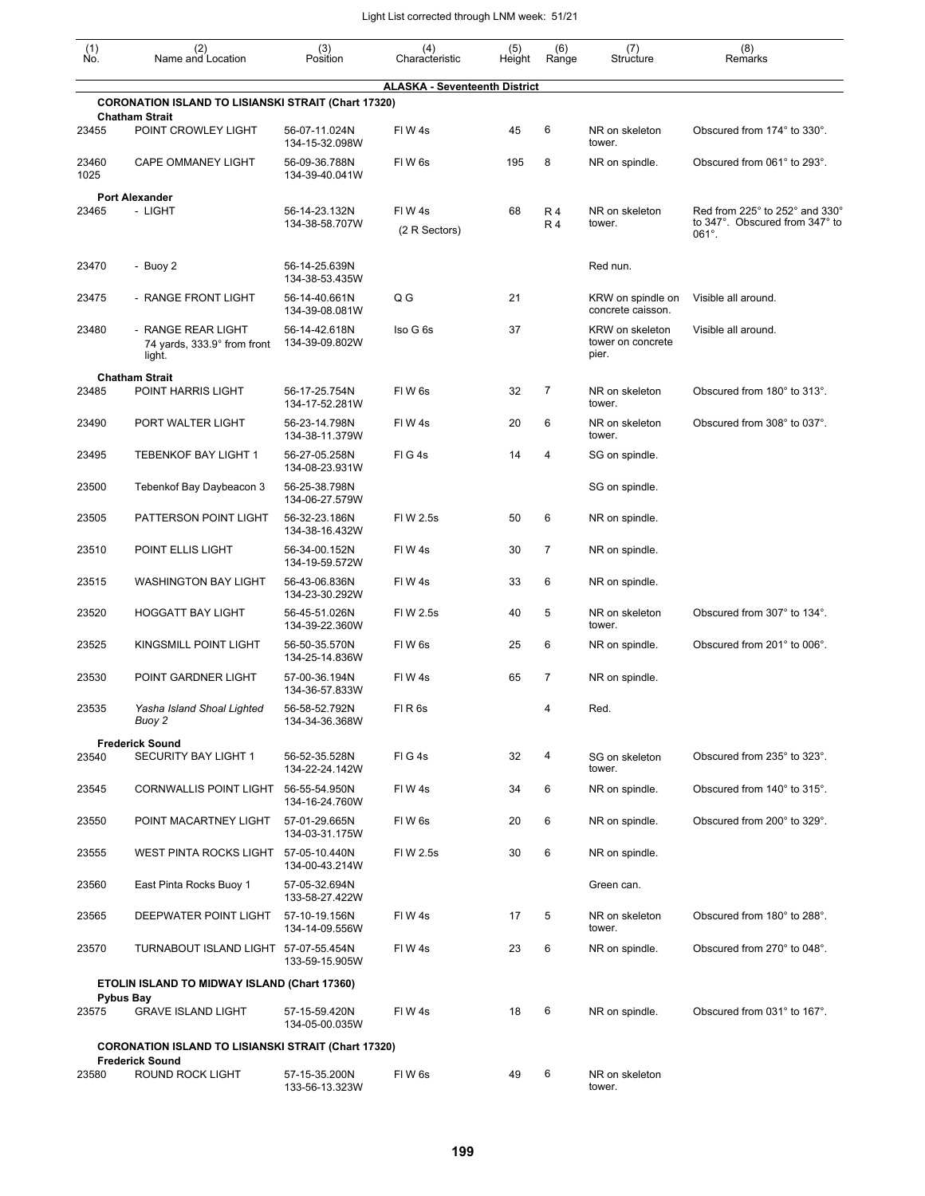| $\begin{smallmatrix} (1) \\ \mathsf{No} \end{smallmatrix}$ | (2)<br>Name and Location                                                             | (3)<br>Position                 | (4)<br>Characteristic                | (5)<br>Height | (6)<br>Range           | (7)<br>Structure                              | (8)<br>Remarks                                                                      |
|------------------------------------------------------------|--------------------------------------------------------------------------------------|---------------------------------|--------------------------------------|---------------|------------------------|-----------------------------------------------|-------------------------------------------------------------------------------------|
|                                                            |                                                                                      |                                 | <b>ALASKA - Seventeenth District</b> |               |                        |                                               |                                                                                     |
|                                                            | <b>CORONATION ISLAND TO LISIANSKI STRAIT (Chart 17320)</b>                           |                                 |                                      |               |                        |                                               |                                                                                     |
| 23455                                                      | <b>Chatham Strait</b><br>POINT CROWLEY LIGHT                                         | 56-07-11.024N<br>134-15-32.098W | FIW4s                                | 45            | 6                      | NR on skeleton<br>tower.                      | Obscured from 174° to 330°.                                                         |
| 23460<br>1025                                              | <b>CAPE OMMANEY LIGHT</b>                                                            | 56-09-36.788N<br>134-39-40.041W | FIW <sub>6s</sub>                    | 195           | 8                      | NR on spindle.                                | Obscured from 061° to 293°.                                                         |
|                                                            | <b>Port Alexander</b>                                                                |                                 |                                      |               |                        |                                               |                                                                                     |
| 23465                                                      | - LIGHT                                                                              | 56-14-23.132N<br>134-38-58.707W | FIW4s<br>(2 R Sectors)               | 68            | <b>R4</b><br><b>R4</b> | NR on skeleton<br>tower.                      | Red from 225° to 252° and 330°<br>to 347°. Obscured from 347° to<br>$061^{\circ}$ . |
| 23470                                                      | - Buoy 2                                                                             | 56-14-25.639N<br>134-38-53.435W |                                      |               |                        | Red nun.                                      |                                                                                     |
| 23475                                                      | - RANGE FRONT LIGHT                                                                  | 56-14-40.661N<br>134-39-08.081W | Q G                                  | 21            |                        | KRW on spindle on<br>concrete caisson.        | Visible all around.                                                                 |
| 23480                                                      | - RANGE REAR LIGHT<br>74 yards, 333.9° from front<br>light.                          | 56-14-42.618N<br>134-39-09.802W | Iso G 6s                             | 37            |                        | KRW on skeleton<br>tower on concrete<br>pier. | Visible all around.                                                                 |
|                                                            | <b>Chatham Strait</b>                                                                |                                 |                                      |               |                        |                                               |                                                                                     |
| 23485                                                      | POINT HARRIS LIGHT                                                                   | 56-17-25.754N<br>134-17-52.281W | FIW <sub>6s</sub>                    | 32            | 7                      | NR on skeleton<br>tower.                      | Obscured from 180° to 313°.                                                         |
| 23490                                                      | PORT WALTER LIGHT                                                                    | 56-23-14.798N<br>134-38-11.379W | FIW4s                                | 20            | 6                      | NR on skeleton<br>tower.                      | Obscured from 308° to 037°.                                                         |
| 23495                                                      | <b>TEBENKOF BAY LIGHT 1</b>                                                          | 56-27-05.258N<br>134-08-23.931W | FIG4s                                | 14            | 4                      | SG on spindle.                                |                                                                                     |
| 23500                                                      | Tebenkof Bay Daybeacon 3                                                             | 56-25-38.798N<br>134-06-27.579W |                                      |               |                        | SG on spindle.                                |                                                                                     |
| 23505                                                      | PATTERSON POINT LIGHT                                                                | 56-32-23.186N<br>134-38-16.432W | FIW 2.5s                             | 50            | 6                      | NR on spindle.                                |                                                                                     |
| 23510                                                      | POINT ELLIS LIGHT                                                                    | 56-34-00.152N<br>134-19-59.572W | FIW4s                                | 30            | $\overline{7}$         | NR on spindle.                                |                                                                                     |
| 23515                                                      | <b>WASHINGTON BAY LIGHT</b>                                                          | 56-43-06.836N<br>134-23-30.292W | FIW4s                                | 33            | 6                      | NR on spindle.                                |                                                                                     |
| 23520                                                      | <b>HOGGATT BAY LIGHT</b>                                                             | 56-45-51.026N<br>134-39-22.360W | FIW 2.5s                             | 40            | 5                      | NR on skeleton<br>tower.                      | Obscured from 307° to 134°.                                                         |
| 23525                                                      | KINGSMILL POINT LIGHT                                                                | 56-50-35.570N<br>134-25-14.836W | FIW <sub>6s</sub>                    | 25            | 6                      | NR on spindle.                                | Obscured from 201° to 006°.                                                         |
| 23530                                                      | POINT GARDNER LIGHT                                                                  | 57-00-36.194N<br>134-36-57.833W | FIW4s                                | 65            | 7                      | NR on spindle.                                |                                                                                     |
| 23535                                                      | Yasha Island Shoal Lighted<br>Buoy 2                                                 | 56-58-52 792N<br>134-34-36.368W | FIR6s                                |               | 4                      | Red.                                          |                                                                                     |
| 23540                                                      | <b>Frederick Sound</b><br>SECURITY BAY LIGHT 1                                       | 56-52-35.528N                   | FIG4s                                | 32            | 4                      | SG on skeleton                                | Obscured from 235° to 323°.                                                         |
| 23545                                                      | CORNWALLIS POINT LIGHT 56-55-54.950N                                                 | 134-22-24.142W                  | FIW4s                                | 34            | 6                      | tower.<br>NR on spindle.                      | Obscured from 140° to 315°.                                                         |
| 23550                                                      | POINT MACARTNEY LIGHT                                                                | 134-16-24.760W<br>57-01-29.665N | FIW 6s                               | 20            | 6                      | NR on spindle.                                | Obscured from 200° to 329°.                                                         |
| 23555                                                      | WEST PINTA ROCKS LIGHT                                                               | 134-03-31.175W<br>57-05-10.440N | FIW 2.5s                             | 30            | 6                      | NR on spindle.                                |                                                                                     |
| 23560                                                      | East Pinta Rocks Buoy 1                                                              | 134-00-43.214W<br>57-05-32.694N |                                      |               |                        | Green can.                                    |                                                                                     |
| 23565                                                      | DEEPWATER POINT LIGHT                                                                | 133-58-27.422W<br>57-10-19.156N | FIW4s                                | 17            | 5                      | NR on skeleton                                | Obscured from 180° to 288°.                                                         |
| 23570                                                      | TURNABOUT ISLAND LIGHT 57-07-55.454N                                                 | 134-14-09.556W                  | FIW4s                                | 23            | 6                      | tower.<br>NR on spindle.                      | Obscured from 270° to 048°.                                                         |
|                                                            | ETOLIN ISLAND TO MIDWAY ISLAND (Chart 17360)                                         | 133-59-15.905W                  |                                      |               |                        |                                               |                                                                                     |
| 23575                                                      | <b>Pybus Bay</b><br><b>GRAVE ISLAND LIGHT</b>                                        | 57-15-59.420N                   | FIW4s                                | 18            | 6                      | NR on spindle.                                | Obscured from 031° to 167°.                                                         |
|                                                            |                                                                                      | 134-05-00.035W                  |                                      |               |                        |                                               |                                                                                     |
|                                                            | <b>CORONATION ISLAND TO LISIANSKI STRAIT (Chart 17320)</b><br><b>Frederick Sound</b> |                                 |                                      |               |                        |                                               |                                                                                     |
| 23580                                                      | ROUND ROCK LIGHT                                                                     | 57-15-35.200N<br>133-56-13.323W | FIW 6s                               | 49            | 6                      | NR on skeleton<br>tower.                      |                                                                                     |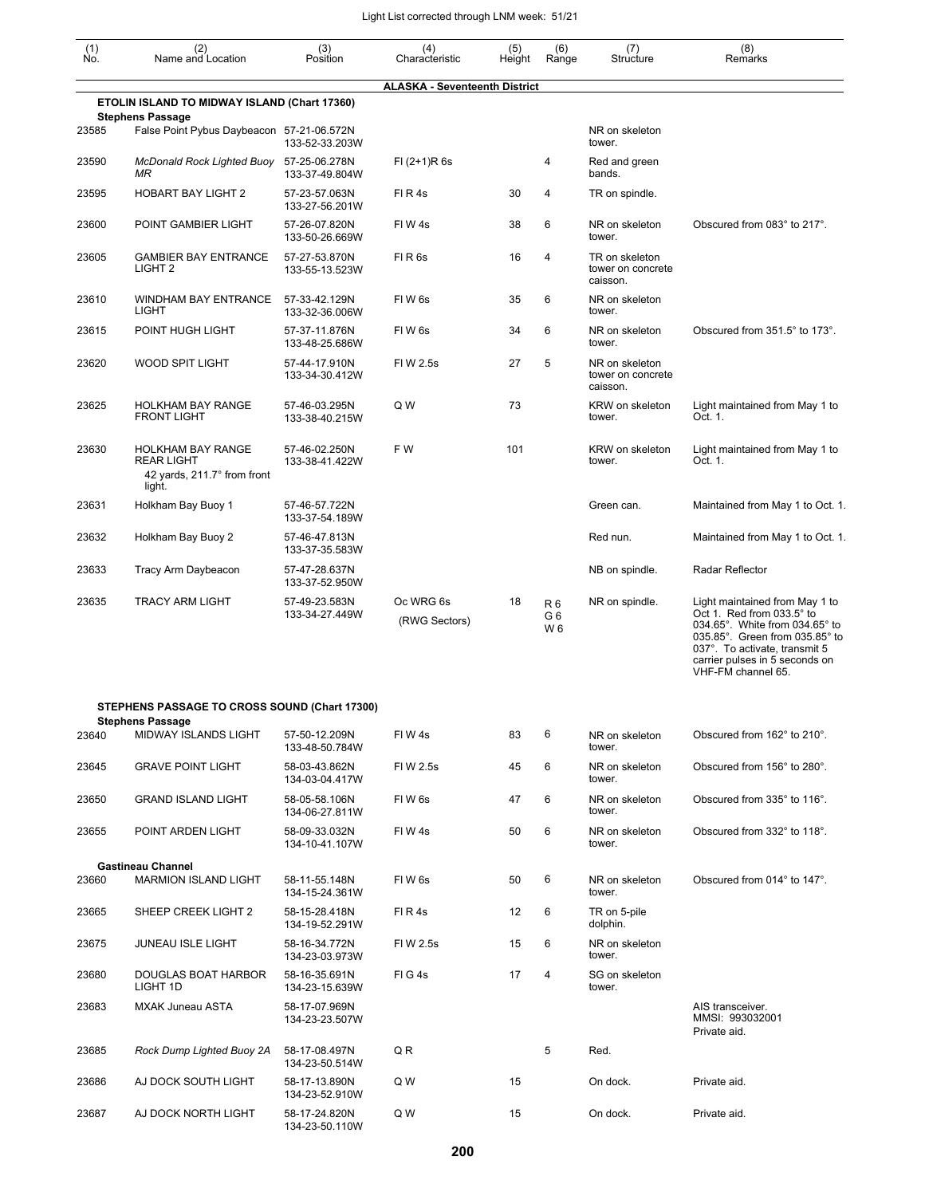| $\begin{smallmatrix} (1) \\ \mathsf{No} \end{smallmatrix}$ | (2)<br>Name and Location                                                               | (3)<br>Position                 | (4)<br>Characteristic                | (5)<br>Height | (6)<br>Range                           | (7)<br>Structure                                | (8)<br>Remarks                                                                                                                                                                                                           |
|------------------------------------------------------------|----------------------------------------------------------------------------------------|---------------------------------|--------------------------------------|---------------|----------------------------------------|-------------------------------------------------|--------------------------------------------------------------------------------------------------------------------------------------------------------------------------------------------------------------------------|
|                                                            |                                                                                        |                                 | <b>ALASKA - Seventeenth District</b> |               |                                        |                                                 |                                                                                                                                                                                                                          |
|                                                            | ETOLIN ISLAND TO MIDWAY ISLAND (Chart 17360)<br><b>Stephens Passage</b>                |                                 |                                      |               |                                        |                                                 |                                                                                                                                                                                                                          |
| 23585                                                      | False Point Pybus Daybeacon 57-21-06.572N                                              | 133-52-33.203W                  |                                      |               |                                        | NR on skeleton<br>tower.                        |                                                                                                                                                                                                                          |
| 23590                                                      | McDonald Rock Lighted Buoy 57-25-06.278N<br>ΜR                                         | 133-37-49.804W                  | $FI (2+1)R 6s$                       |               | 4                                      | Red and green<br>bands.                         |                                                                                                                                                                                                                          |
| 23595                                                      | HOBART BAY LIGHT 2                                                                     | 57-23-57.063N<br>133-27-56.201W | FIR4s                                | 30            | 4                                      | TR on spindle.                                  |                                                                                                                                                                                                                          |
| 23600                                                      | POINT GAMBIER LIGHT                                                                    | 57-26-07.820N<br>133-50-26.669W | FIW4s                                | 38            | 6                                      | NR on skeleton<br>tower.                        | Obscured from 083° to 217°.                                                                                                                                                                                              |
| 23605                                                      | <b>GAMBIER BAY ENTRANCE</b><br>LIGHT <sub>2</sub>                                      | 57-27-53.870N<br>133-55-13.523W | FIR <sub>6s</sub>                    | 16            | 4                                      | TR on skeleton<br>tower on concrete<br>caisson. |                                                                                                                                                                                                                          |
| 23610                                                      | WINDHAM BAY ENTRANCE<br><b>LIGHT</b>                                                   | 57-33-42.129N<br>133-32-36.006W | FIW <sub>6s</sub>                    | 35            | 6                                      | NR on skeleton<br>tower.                        |                                                                                                                                                                                                                          |
| 23615                                                      | POINT HUGH LIGHT                                                                       | 57-37-11.876N<br>133-48-25.686W | FIW <sub>6s</sub>                    | 34            | 6                                      | NR on skeleton<br>tower.                        | Obscured from 351.5° to 173°.                                                                                                                                                                                            |
| 23620                                                      | WOOD SPIT LIGHT                                                                        | 57-44-17.910N<br>133-34-30.412W | FIW 2.5s                             | 27            | 5                                      | NR on skeleton<br>tower on concrete<br>caisson. |                                                                                                                                                                                                                          |
| 23625                                                      | <b>HOLKHAM BAY RANGE</b><br><b>FRONT LIGHT</b>                                         | 57-46-03.295N<br>133-38-40.215W | Q W                                  | 73            |                                        | KRW on skeleton<br>tower.                       | Light maintained from May 1 to<br>Oct. 1.                                                                                                                                                                                |
| 23630                                                      | <b>HOLKHAM BAY RANGE</b><br><b>REAR LIGHT</b><br>42 yards, 211.7° from front<br>light. | 57-46-02.250N<br>133-38-41.422W | F W                                  | 101           |                                        | KRW on skeleton<br>tower.                       | Light maintained from May 1 to<br>Oct. 1.                                                                                                                                                                                |
| 23631                                                      | Holkham Bay Buoy 1                                                                     | 57-46-57.722N<br>133-37-54.189W |                                      |               |                                        | Green can.                                      | Maintained from May 1 to Oct. 1.                                                                                                                                                                                         |
| 23632                                                      | Holkham Bay Buoy 2                                                                     | 57-46-47.813N<br>133-37-35.583W |                                      |               |                                        | Red nun.                                        | Maintained from May 1 to Oct. 1.                                                                                                                                                                                         |
| 23633                                                      | Tracy Arm Daybeacon                                                                    | 57-47-28.637N<br>133-37-52.950W |                                      |               |                                        | NB on spindle.                                  | Radar Reflector                                                                                                                                                                                                          |
| 23635                                                      | <b>TRACY ARM LIGHT</b>                                                                 | 57-49-23.583N<br>133-34-27.449W | Oc WRG 6s<br>(RWG Sectors)           | 18            | R <sub>6</sub><br>G6<br>W <sub>6</sub> | NR on spindle.                                  | Light maintained from May 1 to<br>Oct 1. Red from 033.5° to<br>034.65°. White from 034.65° to<br>035.85°. Green from 035.85° to<br>037°. To activate, transmit 5<br>carrier pulses in 5 seconds on<br>VHF-FM channel 65. |
|                                                            | STEPHENS PASSAGE TO CROSS SOUND (Chart 17300)                                          |                                 |                                      |               |                                        |                                                 |                                                                                                                                                                                                                          |
|                                                            | <b>Stephens Passage</b>                                                                |                                 |                                      |               | 6                                      |                                                 |                                                                                                                                                                                                                          |
| 23640                                                      | MIDWAY ISLANDS LIGHT                                                                   | 57-50-12.209N<br>133-48-50.784W | FIW4s                                | 83            |                                        | NR on skeleton<br>tower.                        | Obscured from 162° to 210°.                                                                                                                                                                                              |
| 23645                                                      | <b>GRAVE POINT LIGHT</b>                                                               | 58-03-43.862N<br>134-03-04.417W | FI W 2.5s                            | 45            | 6                                      | NR on skeleton<br>tower.                        | Obscured from 156° to 280°.                                                                                                                                                                                              |
| 23650                                                      | <b>GRAND ISLAND LIGHT</b>                                                              | 58-05-58.106N<br>134-06-27.811W | FIW <sub>6s</sub>                    | 47            | 6                                      | NR on skeleton<br>tower.                        | Obscured from 335° to 116°.                                                                                                                                                                                              |
| 23655                                                      | POINT ARDEN LIGHT                                                                      | 58-09-33.032N<br>134-10-41.107W | FIW4s                                | 50            | 6                                      | NR on skeleton<br>tower.                        | Obscured from 332° to 118°.                                                                                                                                                                                              |
|                                                            | <b>Gastineau Channel</b>                                                               |                                 |                                      |               |                                        |                                                 |                                                                                                                                                                                                                          |
| 23660                                                      | <b>MARMION ISLAND LIGHT</b>                                                            | 58-11-55.148N<br>134-15-24.361W | FIW <sub>6s</sub>                    | 50            | 6                                      | NR on skeleton<br>tower.                        | Obscured from 014° to 147°.                                                                                                                                                                                              |
| 23665                                                      | SHEEP CREEK LIGHT 2                                                                    | 58-15-28.418N<br>134-19-52.291W | FIR4s                                | 12            | 6                                      | TR on 5-pile<br>dolphin.                        |                                                                                                                                                                                                                          |
| 23675                                                      | <b>JUNEAU ISLE LIGHT</b>                                                               | 58-16-34.772N<br>134-23-03.973W | FIW 2.5s                             | 15            | 6                                      | NR on skeleton<br>tower.                        |                                                                                                                                                                                                                          |
| 23680                                                      | DOUGLAS BOAT HARBOR<br>LIGHT 1D                                                        | 58-16-35.691N<br>134-23-15.639W | FIG4s                                | 17            | 4                                      | SG on skeleton<br>tower.                        |                                                                                                                                                                                                                          |
| 23683                                                      | <b>MXAK Juneau ASTA</b>                                                                | 58-17-07.969N<br>134-23-23.507W |                                      |               |                                        |                                                 | AIS transceiver.<br>MMSI: 993032001<br>Private aid.                                                                                                                                                                      |
| 23685                                                      | Rock Dump Lighted Buoy 2A                                                              | 58-17-08.497N<br>134-23-50.514W | Q R                                  |               | 5                                      | Red.                                            |                                                                                                                                                                                                                          |
| 23686                                                      | AJ DOCK SOUTH LIGHT                                                                    | 58-17-13.890N<br>134-23-52.910W | Q W                                  | 15            |                                        | On dock.                                        | Private aid.                                                                                                                                                                                                             |
| 23687                                                      | AJ DOCK NORTH LIGHT                                                                    | 58-17-24.820N<br>134-23-50.110W | Q W                                  | 15            |                                        | On dock.                                        | Private aid.                                                                                                                                                                                                             |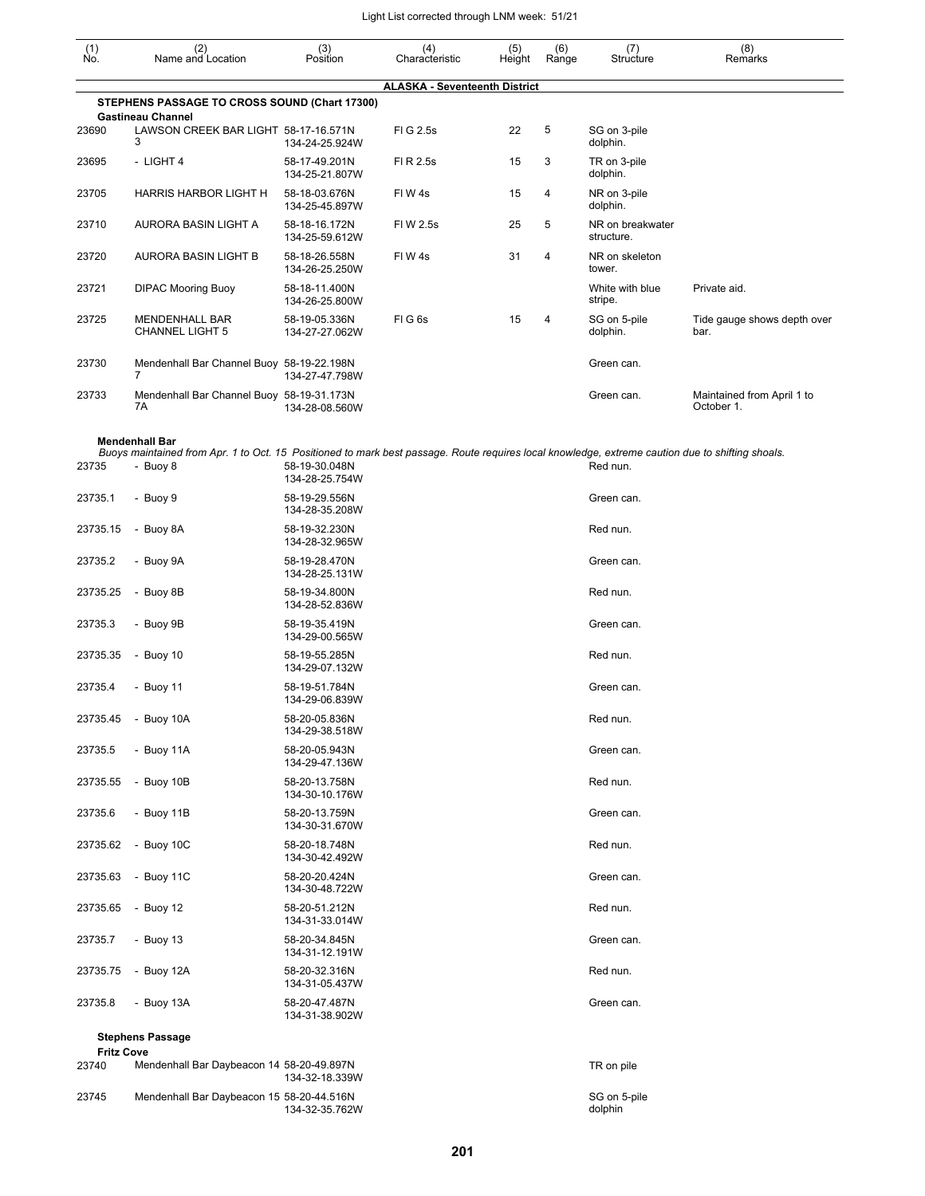| $\begin{smallmatrix} (1) \ N0. \end{smallmatrix}$ | (2)<br>Name and Location                                                                                                                                     | (3)<br>Position                 | (4)<br>Characteristic                | (5)<br>Height | (6)<br>Range | (7)<br>Structure               | (8)<br>Remarks                           |
|---------------------------------------------------|--------------------------------------------------------------------------------------------------------------------------------------------------------------|---------------------------------|--------------------------------------|---------------|--------------|--------------------------------|------------------------------------------|
|                                                   |                                                                                                                                                              |                                 | <b>ALASKA - Seventeenth District</b> |               |              |                                |                                          |
|                                                   | STEPHENS PASSAGE TO CROSS SOUND (Chart 17300)<br><b>Gastineau Channel</b>                                                                                    |                                 |                                      |               |              |                                |                                          |
| 23690                                             | LAWSON CREEK BAR LIGHT 58-17-16.571N<br>3                                                                                                                    | 134-24-25.924W                  | FIG 2.5s                             | 22            | 5            | SG on 3-pile<br>dolphin.       |                                          |
| 23695                                             | - LIGHT 4                                                                                                                                                    | 58-17-49.201N<br>134-25-21.807W | FI R 2.5s                            | 15            | 3            | TR on 3-pile<br>dolphin.       |                                          |
| 23705                                             | HARRIS HARBOR LIGHT H                                                                                                                                        | 58-18-03.676N<br>134-25-45.897W | FIW 4s                               | 15            | 4            | NR on 3-pile<br>dolphin.       |                                          |
| 23710                                             | AURORA BASIN LIGHT A                                                                                                                                         | 58-18-16.172N<br>134-25-59.612W | FIW 2.5s                             | 25            | 5            | NR on breakwater<br>structure. |                                          |
| 23720                                             | AURORA BASIN LIGHT B                                                                                                                                         | 58-18-26.558N<br>134-26-25.250W | FIW 4s                               | 31            | 4            | NR on skeleton<br>tower.       |                                          |
| 23721                                             | <b>DIPAC Mooring Buoy</b>                                                                                                                                    | 58-18-11.400N<br>134-26-25.800W |                                      |               |              | White with blue<br>stripe.     | Private aid.                             |
| 23725                                             | MENDENHALL BAR<br><b>CHANNEL LIGHT 5</b>                                                                                                                     | 58-19-05.336N<br>134-27-27.062W | FIG6s                                | 15            | 4            | SG on 5-pile<br>dolphin.       | Tide gauge shows depth over<br>bar.      |
| 23730                                             | Mendenhall Bar Channel Buoy 58-19-22.198N<br>7                                                                                                               | 134-27-47.798W                  |                                      |               |              | Green can.                     |                                          |
| 23733                                             | Mendenhall Bar Channel Buoy 58-19-31.173N<br>7A                                                                                                              | 134-28-08.560W                  |                                      |               |              | Green can.                     | Maintained from April 1 to<br>October 1. |
|                                                   | <b>Mendenhall Bar</b>                                                                                                                                        |                                 |                                      |               |              |                                |                                          |
| 23735                                             | Buoys maintained from Apr. 1 to Oct. 15 Positioned to mark best passage. Route requires local knowledge, extreme caution due to shifting shoals.<br>- Buoy 8 | 58-19-30.048N<br>134-28-25.754W |                                      |               |              | Red nun.                       |                                          |
| 23735.1                                           | - Buoy 9                                                                                                                                                     | 58-19-29.556N<br>134-28-35.208W |                                      |               |              | Green can.                     |                                          |
| 23735.15                                          | - Buoy 8A                                                                                                                                                    | 58-19-32.230N<br>134-28-32.965W |                                      |               |              | Red nun.                       |                                          |
| 23735.2                                           | - Buoy 9A                                                                                                                                                    | 58-19-28.470N<br>134-28-25.131W |                                      |               |              | Green can.                     |                                          |
| 23735.25                                          | - Buoy 8B                                                                                                                                                    | 58-19-34.800N<br>134-28-52.836W |                                      |               |              | Red nun.                       |                                          |
| 23735.3                                           | - Buoy 9B                                                                                                                                                    | 58-19-35.419N<br>134-29-00.565W |                                      |               |              | Green can.                     |                                          |
| 23735.35                                          | - Buoy $10$                                                                                                                                                  | 58-19-55.285N<br>134-29-07.132W |                                      |               |              | Red nun.                       |                                          |
| 23735.4                                           | - Buoy 11                                                                                                                                                    | 58-19-51.784N<br>134-29-06.839W |                                      |               |              | Green can.                     |                                          |
|                                                   | 23735.45 - Buoy 10A                                                                                                                                          | 58-20-05.836N<br>134-29-38.518W |                                      |               |              | Red nun.                       |                                          |
| 23735.5                                           | - Buoy 11A                                                                                                                                                   | 58-20-05.943N<br>134-29-47.136W |                                      |               |              | Green can.                     |                                          |
| 23735.55                                          | - Buoy 10B                                                                                                                                                   | 58-20-13.758N<br>134-30-10.176W |                                      |               |              | Red nun.                       |                                          |
| 23735.6                                           | - Buoy 11B                                                                                                                                                   | 58-20-13.759N<br>134-30-31.670W |                                      |               |              | Green can.                     |                                          |
| 23735.62                                          | - Buoy $10C$                                                                                                                                                 | 58-20-18.748N<br>134-30-42.492W |                                      |               |              | Red nun.                       |                                          |
| 23735.63                                          | - Buoy 11C                                                                                                                                                   | 58-20-20.424N<br>134-30-48.722W |                                      |               |              | Green can.                     |                                          |
| 23735.65                                          | - Buoy 12                                                                                                                                                    | 58-20-51.212N<br>134-31-33.014W |                                      |               |              | Red nun.                       |                                          |
| 23735.7                                           | - Buoy $13$                                                                                                                                                  | 58-20-34.845N<br>134-31-12.191W |                                      |               |              | Green can.                     |                                          |
| 23735.75                                          | - Buoy 12A                                                                                                                                                   | 58-20-32.316N<br>134-31-05.437W |                                      |               |              | Red nun.                       |                                          |
| 23735.8                                           | - Buoy 13A                                                                                                                                                   | 58-20-47.487N<br>134-31-38.902W |                                      |               |              | Green can.                     |                                          |
| <b>Fritz Cove</b>                                 | <b>Stephens Passage</b>                                                                                                                                      |                                 |                                      |               |              |                                |                                          |
| 23740                                             | Mendenhall Bar Daybeacon 14 58-20-49.897N                                                                                                                    | 134-32-18.339W                  |                                      |               |              | TR on pile                     |                                          |
| 23745                                             | Mendenhall Bar Daybeacon 15 58-20-44.516N                                                                                                                    | 134-32-35.762W                  |                                      |               |              | SG on 5-pile<br>dolphin        |                                          |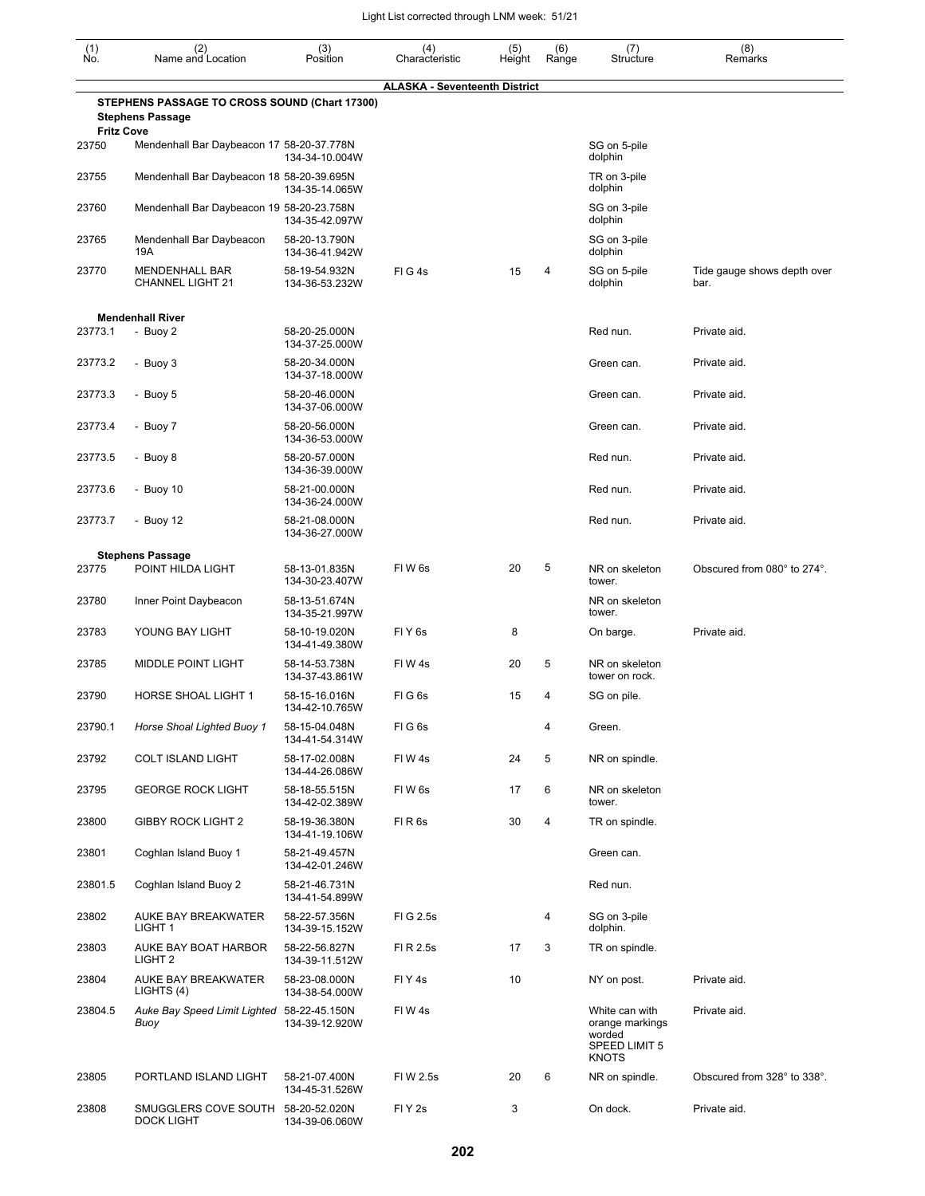| (1)<br>Ño.                 | (2)<br>Name and Location                                                 | (3)<br>Position                                   | (4)<br>Characteristic                | (5)<br>Height | (6)<br>Range | (7)<br>Structure                                                             | (8)<br>Remarks                      |
|----------------------------|--------------------------------------------------------------------------|---------------------------------------------------|--------------------------------------|---------------|--------------|------------------------------------------------------------------------------|-------------------------------------|
|                            | STEPHENS PASSAGE TO CROSS SOUND (Chart 17300)<br><b>Stephens Passage</b> |                                                   | <b>ALASKA - Seventeenth District</b> |               |              |                                                                              |                                     |
| <b>Fritz Cove</b><br>23750 | Mendenhall Bar Daybeacon 17 58-20-37.778N                                | 134-34-10.004W                                    |                                      |               |              | SG on 5-pile<br>dolphin                                                      |                                     |
| 23755                      | Mendenhall Bar Daybeacon 18 58-20-39.695N                                | 134-35-14.065W                                    |                                      |               |              | TR on 3-pile<br>dolphin                                                      |                                     |
| 23760                      | Mendenhall Bar Daybeacon 19 58-20-23.758N                                | 134-35-42.097W                                    |                                      |               |              | SG on 3-pile<br>dolphin                                                      |                                     |
| 23765                      | Mendenhall Bar Daybeacon<br>19A                                          | 58-20-13.790N<br>134-36-41.942W                   |                                      |               |              | SG on 3-pile<br>dolphin                                                      |                                     |
| 23770                      | MENDENHALL BAR<br>CHANNEL LIGHT 21                                       | 58-19-54.932N<br>134-36-53.232W                   | FIG4s                                | 15            | 4            | SG on 5-pile<br>dolphin                                                      | Tide gauge shows depth over<br>bar. |
|                            |                                                                          |                                                   |                                      |               |              |                                                                              |                                     |
| 23773.1                    | <b>Mendenhall River</b><br>- Buoy 2                                      | 58-20-25.000N                                     |                                      |               |              | Red nun.                                                                     | Private aid.                        |
| 23773.2                    | - Buoy 3                                                                 | 134-37-25.000W<br>58-20-34.000N                   |                                      |               |              | Green can.                                                                   | Private aid.                        |
| 23773.3                    | - Buoy 5                                                                 | 134-37-18.000W<br>58-20-46.000N                   |                                      |               |              | Green can.                                                                   | Private aid.                        |
| 23773.4                    | - Buoy 7                                                                 | 134-37-06.000W<br>58-20-56.000N                   |                                      |               |              | Green can.                                                                   | Private aid.                        |
| 23773.5                    | - Buoy 8                                                                 | 134-36-53.000W<br>58-20-57.000N<br>134-36-39.000W |                                      |               |              | Red nun.                                                                     | Private aid.                        |
| 23773.6                    | - Buoy 10                                                                | 58-21-00.000N<br>134-36-24.000W                   |                                      |               |              | Red nun.                                                                     | Private aid.                        |
| 23773.7                    | - Buoy 12                                                                | 58-21-08.000N<br>134-36-27.000W                   |                                      |               |              | Red nun.                                                                     | Private aid.                        |
|                            | <b>Stephens Passage</b>                                                  |                                                   |                                      |               |              |                                                                              |                                     |
| 23775                      | POINT HILDA LIGHT                                                        | 58-13-01.835N<br>134-30-23.407W                   | FIW <sub>6s</sub>                    | 20            | 5            | NR on skeleton<br>tower.                                                     | Obscured from 080° to 274°.         |
| 23780                      | Inner Point Daybeacon                                                    | 58-13-51.674N<br>134-35-21.997W                   |                                      |               |              | NR on skeleton<br>tower.                                                     |                                     |
| 23783                      | YOUNG BAY LIGHT                                                          | 58-10-19.020N<br>134-41-49.380W                   | FIY <sub>6s</sub>                    | 8             |              | On barge.                                                                    | Private aid.                        |
| 23785                      | <b>MIDDLE POINT LIGHT</b>                                                | 58-14-53.738N<br>134-37-43.861W                   | FIW4s                                | 20            | 5            | NR on skeleton<br>tower on rock.                                             |                                     |
| 23790                      | HORSE SHOAL LIGHT 1                                                      | 58-15-16.016N<br>134-42-10.765W                   | FIG6s                                | 15            | 4            | SG on pile.                                                                  |                                     |
| 23790.1                    | Horse Shoal Lighted Buoy 1                                               | 58-15-04.048N<br>134-41-54.314W                   | FIG6s                                |               | 4            | Green.                                                                       |                                     |
| 23792                      | <b>COLT ISLAND LIGHT</b>                                                 | 58-17-02.008N<br>134-44-26.086W                   | FIW4s                                | 24            | 5            | NR on spindle.                                                               |                                     |
| 23795                      | <b>GEORGE ROCK LIGHT</b>                                                 | 58-18-55.515N<br>134-42-02.389W                   | FIW6s                                | 17            | 6            | NR on skeleton<br>tower.                                                     |                                     |
| 23800                      | <b>GIBBY ROCK LIGHT 2</b>                                                | 58-19-36.380N<br>134-41-19.106W                   | FIR <sub>6s</sub>                    | 30            | 4            | TR on spindle.                                                               |                                     |
| 23801                      | Coghlan Island Buoy 1                                                    | 58-21-49.457N<br>134-42-01.246W                   |                                      |               |              | Green can.                                                                   |                                     |
| 23801.5                    | Coghlan Island Buoy 2                                                    | 58-21-46.731N<br>134-41-54.899W                   |                                      |               |              | Red nun.                                                                     |                                     |
| 23802                      | AUKE BAY BREAKWATER<br>LIGHT 1                                           | 58-22-57.356N<br>134-39-15.152W                   | FIG 2.5s                             |               | 4            | SG on 3-pile<br>dolphin.                                                     |                                     |
| 23803                      | AUKE BAY BOAT HARBOR<br>LIGHT <sub>2</sub>                               | 58-22-56.827N<br>134-39-11.512W                   | FI R 2.5s                            | 17            | 3            | TR on spindle.                                                               |                                     |
| 23804                      | AUKE BAY BREAKWATER<br>LIGHTS (4)                                        | 58-23-08.000N<br>134-38-54.000W                   | FIY4s                                | 10            |              | NY on post.                                                                  | Private aid.                        |
| 23804.5                    | Auke Bay Speed Limit Lighted 58-22-45.150N<br>Buoy                       | 134-39-12.920W                                    | FIW4s                                |               |              | White can with<br>orange markings<br>worded<br>SPEED LIMIT 5<br><b>KNOTS</b> | Private aid.                        |
| 23805                      | PORTLAND ISLAND LIGHT                                                    | 58-21-07.400N<br>134-45-31.526W                   | FIW 2.5s                             | 20            | 6            | NR on spindle.                                                               | Obscured from 328° to 338°.         |
| 23808                      | SMUGGLERS COVE SOUTH<br><b>DOCK LIGHT</b>                                | 58-20-52.020N<br>134-39-06.060W                   | FIY <sub>2s</sub>                    | 3             |              | On dock.                                                                     | Private aid.                        |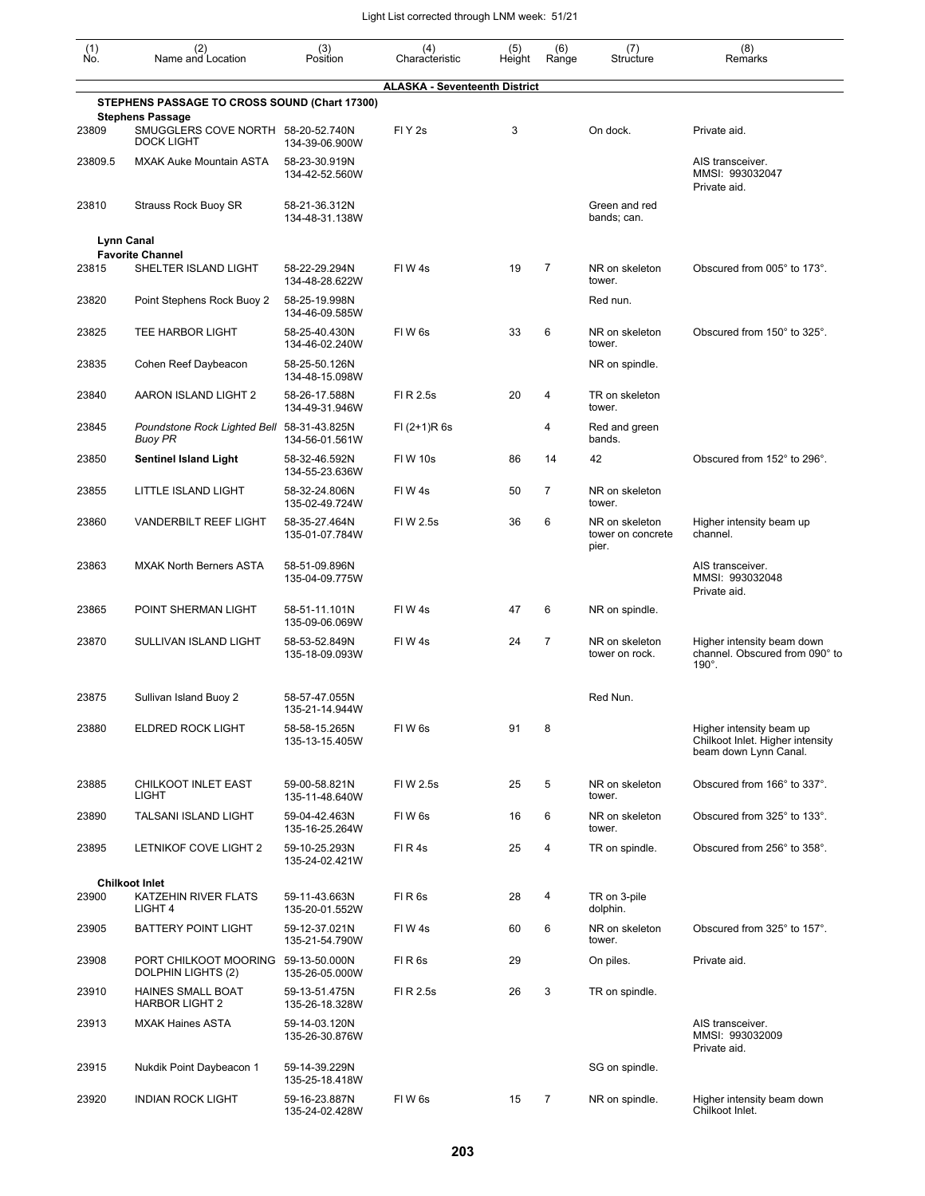| (1)<br>Ñó. | (2)<br>Name and Location                                                 | (3)<br>Position                 | (4)<br>Characteristic                | (5)<br>Height | (6)<br>Range   | (7)<br>Structure                             | (8)<br>Remarks                                                                        |
|------------|--------------------------------------------------------------------------|---------------------------------|--------------------------------------|---------------|----------------|----------------------------------------------|---------------------------------------------------------------------------------------|
|            |                                                                          |                                 | <b>ALASKA - Seventeenth District</b> |               |                |                                              |                                                                                       |
|            | STEPHENS PASSAGE TO CROSS SOUND (Chart 17300)<br><b>Stephens Passage</b> |                                 |                                      |               |                |                                              |                                                                                       |
| 23809      | SMUGGLERS COVE NORTH 58-20-52.740N<br><b>DOCK LIGHT</b>                  | 134-39-06.900W                  | FIY <sub>2s</sub>                    | 3             |                | On dock.                                     | Private aid.                                                                          |
| 23809.5    | <b>MXAK Auke Mountain ASTA</b>                                           | 58-23-30.919N<br>134-42-52.560W |                                      |               |                |                                              | AIS transceiver.<br>MMSI: 993032047<br>Private aid.                                   |
| 23810      | Strauss Rock Buoy SR                                                     | 58-21-36.312N<br>134-48-31.138W |                                      |               |                | Green and red<br>bands; can.                 |                                                                                       |
|            | <b>Lynn Canal</b>                                                        |                                 |                                      |               |                |                                              |                                                                                       |
| 23815      | <b>Favorite Channel</b><br>SHELTER ISLAND LIGHT                          | 58-22-29.294N<br>134-48-28.622W | FIW4s                                | 19            | $\overline{7}$ | NR on skeleton<br>tower.                     | Obscured from 005° to 173°.                                                           |
| 23820      | Point Stephens Rock Buoy 2                                               | 58-25-19.998N<br>134-46-09.585W |                                      |               |                | Red nun.                                     |                                                                                       |
| 23825      | TEE HARBOR LIGHT                                                         | 58-25-40.430N<br>134-46-02.240W | FIW <sub>6s</sub>                    | 33            | 6              | NR on skeleton<br>tower.                     | Obscured from 150° to 325°.                                                           |
| 23835      | Cohen Reef Daybeacon                                                     | 58-25-50.126N<br>134-48-15.098W |                                      |               |                | NR on spindle.                               |                                                                                       |
| 23840      | AARON ISLAND LIGHT 2                                                     | 58-26-17.588N<br>134-49-31.946W | FI R 2.5s                            | 20            | 4              | TR on skeleton<br>tower.                     |                                                                                       |
| 23845      | Poundstone Rock Lighted Bell 58-31-43.825N<br><b>Buoy PR</b>             | 134-56-01.561W                  | $FI (2+1)R 6s$                       |               | 4              | Red and green<br>bands.                      |                                                                                       |
| 23850      | <b>Sentinel Island Light</b>                                             | 58-32-46.592N<br>134-55-23.636W | <b>FIW 10s</b>                       | 86            | 14             | 42                                           | Obscured from 152° to 296°.                                                           |
| 23855      | LITTLE ISLAND LIGHT                                                      | 58-32-24.806N<br>135-02-49.724W | FIW4s                                | 50            | 7              | NR on skeleton<br>tower.                     |                                                                                       |
| 23860      | <b>VANDERBILT REEF LIGHT</b>                                             | 58-35-27.464N<br>135-01-07.784W | FIW 2.5s                             | 36            | 6              | NR on skeleton<br>tower on concrete<br>pier. | Higher intensity beam up<br>channel.                                                  |
| 23863      | <b>MXAK North Berners ASTA</b>                                           | 58-51-09.896N<br>135-04-09.775W |                                      |               |                |                                              | AIS transceiver.<br>MMSI: 993032048<br>Private aid.                                   |
| 23865      | POINT SHERMAN LIGHT                                                      | 58-51-11.101N<br>135-09-06.069W | FIW4s                                | 47            | 6              | NR on spindle.                               |                                                                                       |
| 23870      | SULLIVAN ISLAND LIGHT                                                    | 58-53-52.849N<br>135-18-09.093W | FIW4s                                | 24            | $\overline{7}$ | NR on skeleton<br>tower on rock.             | Higher intensity beam down<br>channel. Obscured from 090° to<br>$190^\circ$ .         |
| 23875      | Sullivan Island Buoy 2                                                   | 58-57-47.055N<br>135-21-14.944W |                                      |               |                | Red Nun.                                     |                                                                                       |
| 23880      | <b>ELDRED ROCK LIGHT</b>                                                 | 58-58-15.265N<br>135-13-15.405W | FIW <sub>6s</sub>                    | 91            | 8              |                                              | Higher intensity beam up<br>Chilkoot Inlet. Higher intensity<br>beam down Lynn Canal. |
| 23885      | CHILKOOT INLET EAST<br>LIGHT                                             | 59-00-58.821N<br>135-11-48.640W | FIW 2.5s                             | 25            | 5              | NR on skeleton<br>tower.                     | Obscured from 166° to 337°.                                                           |
| 23890      | <b>TALSANI ISLAND LIGHT</b>                                              | 59-04-42.463N<br>135-16-25.264W | FIW <sub>6s</sub>                    | 16            | 6              | NR on skeleton<br>tower.                     | Obscured from 325° to 133°.                                                           |
| 23895      | LETNIKOF COVE LIGHT 2                                                    | 59-10-25.293N<br>135-24-02.421W | FIR4s                                | 25            | 4              | TR on spindle.                               | Obscured from 256° to 358°.                                                           |
|            | <b>Chilkoot Inlet</b>                                                    |                                 |                                      |               |                |                                              |                                                                                       |
| 23900      | KATZEHIN RIVER FLATS<br>LIGHT 4                                          | 59-11-43.663N<br>135-20-01.552W | FIR <sub>6s</sub>                    | 28            | 4              | TR on 3-pile<br>dolphin.                     |                                                                                       |
| 23905      | <b>BATTERY POINT LIGHT</b>                                               | 59-12-37.021N<br>135-21-54.790W | FIW4s                                | 60            | 6              | NR on skeleton<br>tower.                     | Obscured from 325° to 157°.                                                           |
| 23908      | PORT CHILKOOT MOORING 59-13-50.000N<br>DOLPHIN LIGHTS (2)                | 135-26-05.000W                  | FIR <sub>6s</sub>                    | 29            |                | On piles.                                    | Private aid.                                                                          |
| 23910      | <b>HAINES SMALL BOAT</b><br><b>HARBOR LIGHT 2</b>                        | 59-13-51.475N<br>135-26-18.328W | FI R 2.5s                            | 26            | 3              | TR on spindle.                               |                                                                                       |
| 23913      | <b>MXAK Haines ASTA</b>                                                  | 59-14-03.120N<br>135-26-30.876W |                                      |               |                |                                              | AIS transceiver.<br>MMSI: 993032009<br>Private aid.                                   |
| 23915      | Nukdik Point Daybeacon 1                                                 | 59-14-39.229N<br>135-25-18.418W |                                      |               |                | SG on spindle.                               |                                                                                       |
| 23920      | <b>INDIAN ROCK LIGHT</b>                                                 | 59-16-23.887N<br>135-24-02.428W | FIW <sub>6s</sub>                    | 15            | $\overline{7}$ | NR on spindle.                               | Higher intensity beam down<br>Chilkoot Inlet.                                         |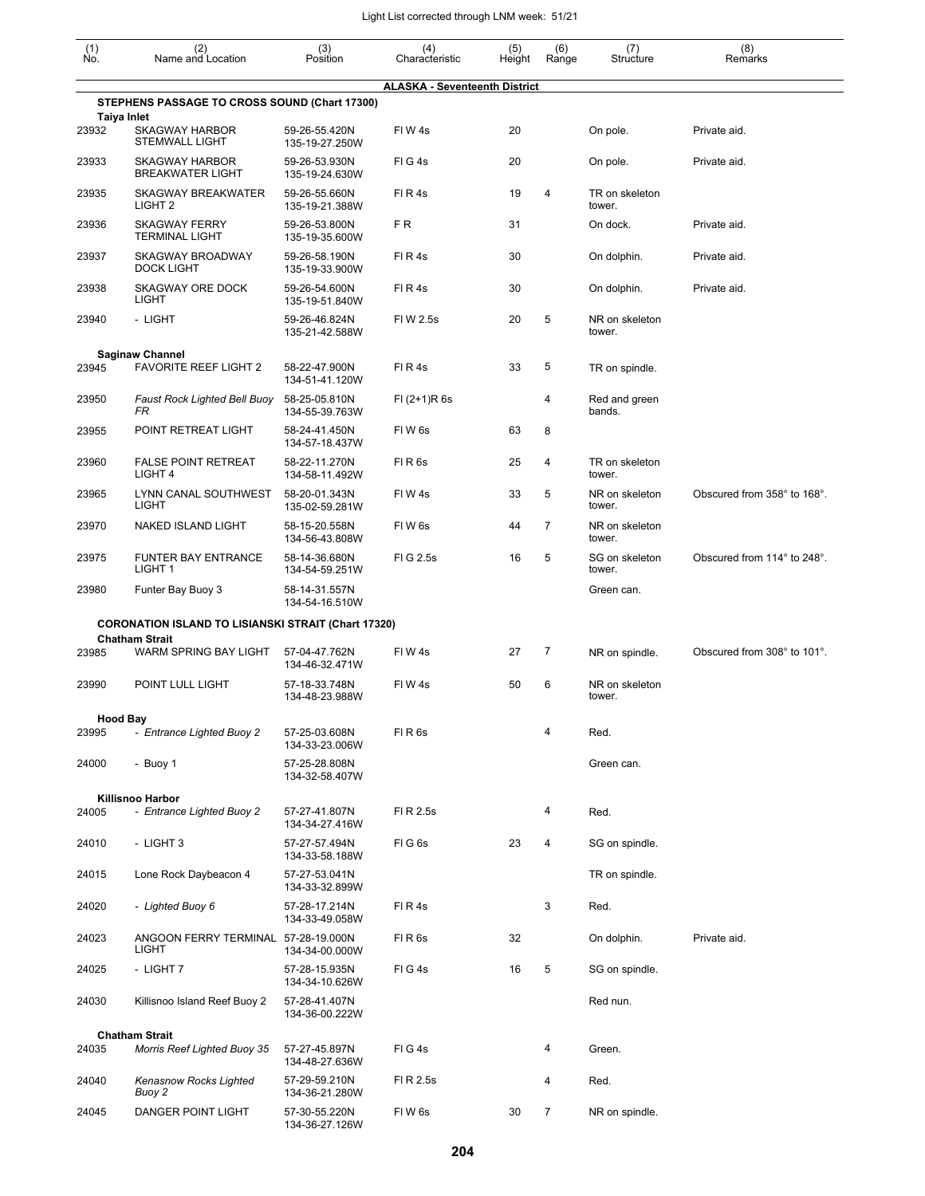| $\begin{smallmatrix} (1) \\ \mathsf{No} \end{smallmatrix}$ | (2)<br>Name and Location                                                            | (3)<br>Position                 | (4)<br>Characteristic                | (5)<br>Height | (6)<br>Range | (7)<br>Structure         | (8)<br>Remarks              |
|------------------------------------------------------------|-------------------------------------------------------------------------------------|---------------------------------|--------------------------------------|---------------|--------------|--------------------------|-----------------------------|
|                                                            |                                                                                     |                                 | <b>ALASKA - Seventeenth District</b> |               |              |                          |                             |
|                                                            | STEPHENS PASSAGE TO CROSS SOUND (Chart 17300)                                       |                                 |                                      |               |              |                          |                             |
| 23932                                                      | <b>Taiya Inlet</b><br><b>SKAGWAY HARBOR</b><br><b>STEMWALL LIGHT</b>                | 59-26-55.420N<br>135-19-27.250W | FIW4s                                | 20            |              | On pole.                 | Private aid.                |
| 23933                                                      | <b>SKAGWAY HARBOR</b><br><b>BREAKWATER LIGHT</b>                                    | 59-26-53.930N<br>135-19-24.630W | FIG4s                                | 20            |              | On pole.                 | Private aid.                |
| 23935                                                      | <b>SKAGWAY BREAKWATER</b><br>LIGHT <sub>2</sub>                                     | 59-26-55.660N<br>135-19-21.388W | FIR4s                                | 19            | 4            | TR on skeleton<br>tower. |                             |
| 23936                                                      | <b>SKAGWAY FERRY</b><br><b>TERMINAL LIGHT</b>                                       | 59-26-53.800N<br>135-19-35.600W | FR.                                  | 31            |              | On dock.                 | Private aid.                |
| 23937                                                      | <b>SKAGWAY BROADWAY</b><br><b>DOCK LIGHT</b>                                        | 59-26-58.190N<br>135-19-33.900W | FIR4s                                | 30            |              | On dolphin.              | Private aid.                |
| 23938                                                      | SKAGWAY ORE DOCK<br>LIGHT                                                           | 59-26-54.600N<br>135-19-51.840W | FIR4s                                | 30            |              | On dolphin.              | Private aid.                |
| 23940                                                      | - LIGHT                                                                             | 59-26-46.824N<br>135-21-42.588W | FIW 2.5s                             | 20            | 5            | NR on skeleton<br>tower. |                             |
|                                                            | <b>Saginaw Channel</b>                                                              |                                 |                                      |               |              |                          |                             |
| 23945                                                      | FAVORITE REEF LIGHT 2                                                               | 58-22-47.900N<br>134-51-41.120W | FIR4s                                | 33            | 5            | TR on spindle.           |                             |
| 23950                                                      | Faust Rock Lighted Bell Buoy<br>FR                                                  | 58-25-05.810N<br>134-55-39.763W | $FI (2+1)R 6s$                       |               | 4            | Red and green<br>bands.  |                             |
| 23955                                                      | POINT RETREAT LIGHT                                                                 | 58-24-41.450N<br>134-57-18.437W | FIW <sub>6s</sub>                    | 63            | 8            |                          |                             |
| 23960                                                      | <b>FALSE POINT RETREAT</b><br>LIGHT <sub>4</sub>                                    | 58-22-11.270N<br>134-58-11.492W | FIR6s                                | 25            | 4            | TR on skeleton<br>tower. |                             |
| 23965                                                      | LYNN CANAL SOUTHWEST<br>LIGHT                                                       | 58-20-01.343N<br>135-02-59.281W | FIW4s                                | 33            | 5            | NR on skeleton<br>tower. | Obscured from 358° to 168°. |
| 23970                                                      | NAKED ISLAND LIGHT                                                                  | 58-15-20.558N<br>134-56-43.808W | FIW <sub>6s</sub>                    | 44            | 7            | NR on skeleton<br>tower. |                             |
| 23975                                                      | <b>FUNTER BAY ENTRANCE</b><br>LIGHT <sub>1</sub>                                    | 58-14-36.680N<br>134-54-59.251W | FIG 2.5s                             | 16            | 5            | SG on skeleton<br>tower. | Obscured from 114° to 248°. |
| 23980                                                      | Funter Bay Buoy 3                                                                   | 58-14-31.557N<br>134-54-16.510W |                                      |               |              | Green can.               |                             |
|                                                            | <b>CORONATION ISLAND TO LISIANSKI STRAIT (Chart 17320)</b><br><b>Chatham Strait</b> |                                 |                                      |               |              |                          |                             |
| 23985                                                      | WARM SPRING BAY LIGHT                                                               | 57-04-47.762N<br>134-46-32.471W | FIW4s                                | 27            | 7            | NR on spindle.           | Obscured from 308° to 101°. |
| 23990                                                      | POINT LULL LIGHT                                                                    | 57-18-33.748N<br>134-48-23.988W | FIW4s                                | 50            | 6            | NR on skeleton<br>tower. |                             |
|                                                            | <b>Hood Bay</b>                                                                     |                                 |                                      |               |              |                          |                             |
| 23995                                                      | - Entrance Lighted Buoy 2                                                           | 57-25-03.608N<br>134-33-23.006W | FIR6s                                |               | 4            | Red.                     |                             |
| 24000                                                      | - Buoy 1                                                                            | 57-25-28.808N<br>134-32-58.407W |                                      |               |              | Green can.               |                             |
|                                                            | Killisnoo Harbor                                                                    |                                 |                                      |               | 4            |                          |                             |
| 24005                                                      | - Entrance Lighted Buoy 2                                                           | 57-27-41.807N<br>134-34-27.416W | FI R 2.5s                            |               |              | Red.                     |                             |
| 24010                                                      | - LIGHT 3                                                                           | 57-27-57.494N<br>134-33-58.188W | FIG6s                                | 23            | 4            | SG on spindle.           |                             |
| 24015                                                      | Lone Rock Daybeacon 4                                                               | 57-27-53.041N<br>134-33-32.899W |                                      |               |              | TR on spindle.           |                             |
| 24020                                                      | - Lighted Buoy 6                                                                    | 57-28-17.214N<br>134-33-49.058W | FIR4s                                |               | 3            | Red.                     |                             |
| 24023                                                      | ANGOON FERRY TERMINAL 57-28-19.000N<br>LIGHT                                        | 134-34-00.000W                  | FIR6s                                | 32            |              | On dolphin.              | Private aid.                |
| 24025                                                      | - LIGHT 7                                                                           | 57-28-15.935N<br>134-34-10.626W | FIG4s                                | 16            | 5            | SG on spindle.           |                             |
| 24030                                                      | Killisnoo Island Reef Buoy 2                                                        | 57-28-41.407N<br>134-36-00.222W |                                      |               |              | Red nun.                 |                             |
|                                                            | <b>Chatham Strait</b>                                                               |                                 |                                      |               |              |                          |                             |
| 24035                                                      | <b>Morris Reef Lighted Buoy 35</b>                                                  | 57-27-45.897N<br>134-48-27.636W | FIG4s                                |               | 4            | Green.                   |                             |
| 24040                                                      | Kenasnow Rocks Lighted<br>Buoy 2                                                    | 57-29-59.210N<br>134-36-21.280W | FI R 2.5s                            |               | 4            | Red.                     |                             |
| 24045                                                      | DANGER POINT LIGHT                                                                  | 57-30-55.220N<br>134-36-27.126W | FIW6s                                | 30            | 7            | NR on spindle.           |                             |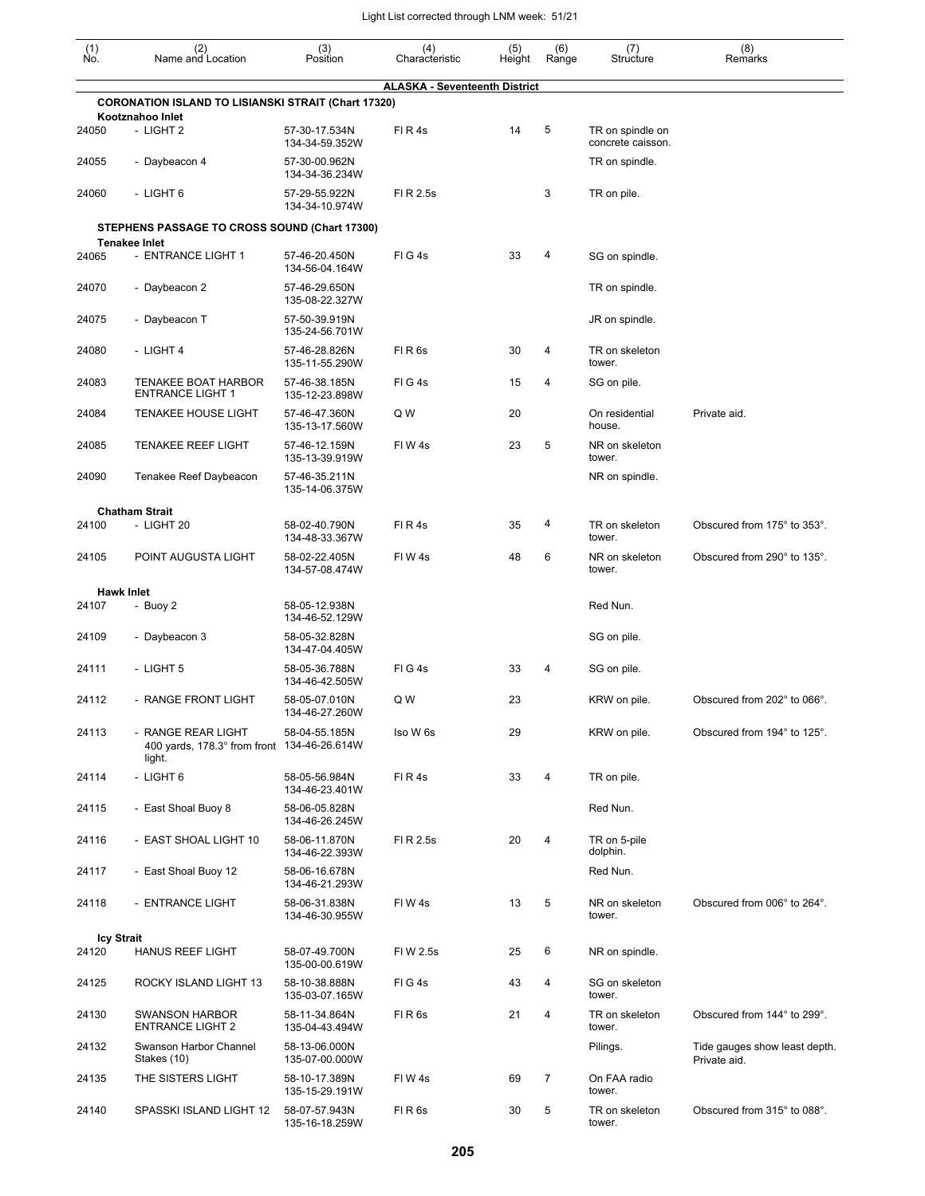| $(n)$<br>No.      | (2)<br>Name and Location                                                       | (3)<br>Position                 | (4)<br>Characteristic                | (5)<br>Height | (6)<br>Range | (7)<br>Structure                      | (8)<br>Remarks                                |
|-------------------|--------------------------------------------------------------------------------|---------------------------------|--------------------------------------|---------------|--------------|---------------------------------------|-----------------------------------------------|
|                   |                                                                                |                                 | <b>ALASKA - Seventeenth District</b> |               |              |                                       |                                               |
|                   | <b>CORONATION ISLAND TO LISIANSKI STRAIT (Chart 17320)</b><br>Kootznahoo Inlet |                                 |                                      |               |              |                                       |                                               |
| 24050             | - LIGHT 2                                                                      | 57-30-17.534N<br>134-34-59.352W | FIR4s                                | 14            | 5            | TR on spindle on<br>concrete caisson. |                                               |
| 24055             | - Daybeacon 4                                                                  | 57-30-00.962N<br>134-34-36.234W |                                      |               |              | TR on spindle.                        |                                               |
| 24060             | - LIGHT 6                                                                      | 57-29-55.922N<br>134-34-10.974W | FI R 2.5s                            |               | 3            | TR on pile.                           |                                               |
|                   | STEPHENS PASSAGE TO CROSS SOUND (Chart 17300)                                  |                                 |                                      |               |              |                                       |                                               |
| 24065             | <b>Tenakee Inlet</b><br>- ENTRANCE LIGHT 1                                     | 57-46-20.450N<br>134-56-04.164W | FIG4s                                | 33            | 4            | SG on spindle.                        |                                               |
| 24070             | - Daybeacon 2                                                                  | 57-46-29.650N<br>135-08-22.327W |                                      |               |              | TR on spindle.                        |                                               |
| 24075             | - Daybeacon T                                                                  | 57-50-39.919N<br>135-24-56.701W |                                      |               |              | JR on spindle.                        |                                               |
| 24080             | - LIGHT 4                                                                      | 57-46-28.826N<br>135-11-55.290W | FIR <sub>6s</sub>                    | 30            | 4            | TR on skeleton<br>tower.              |                                               |
| 24083             | <b>TENAKEE BOAT HARBOR</b><br><b>ENTRANCE LIGHT 1</b>                          | 57-46-38.185N<br>135-12-23.898W | FIG4s                                | 15            | 4            | SG on pile.                           |                                               |
| 24084             | <b>TENAKEE HOUSE LIGHT</b>                                                     | 57-46-47.360N<br>135-13-17.560W | Q W                                  | 20            |              | On residential<br>house.              | Private aid.                                  |
| 24085             | <b>TENAKEE REEF LIGHT</b>                                                      | 57-46-12.159N<br>135-13-39.919W | FIW4s                                | 23            | 5            | NR on skeleton<br>tower.              |                                               |
| 24090             | Tenakee Reef Daybeacon                                                         | 57-46-35.211N<br>135-14-06.375W |                                      |               |              | NR on spindle.                        |                                               |
|                   | <b>Chatham Strait</b>                                                          |                                 |                                      |               |              |                                       |                                               |
| 24100             | - LIGHT 20                                                                     | 58-02-40.790N<br>134-48-33.367W | FIR4s                                | 35            | 4            | TR on skeleton<br>tower.              | Obscured from 175° to 353°.                   |
| 24105             | POINT AUGUSTA LIGHT                                                            | 58-02-22.405N<br>134-57-08.474W | FIW4s                                | 48            | 6            | NR on skeleton<br>tower.              | Obscured from 290° to 135°.                   |
|                   | <b>Hawk Inlet</b>                                                              |                                 |                                      |               |              |                                       |                                               |
| 24107             | - Buoy 2                                                                       | 58-05-12.938N<br>134-46-52.129W |                                      |               |              | Red Nun.                              |                                               |
| 24109             | - Daybeacon 3                                                                  | 58-05-32.828N<br>134-47-04.405W |                                      |               |              | SG on pile.                           |                                               |
| 24111             | - LIGHT 5                                                                      | 58-05-36.788N<br>134-46-42.505W | FIG4s                                | 33            | 4            | SG on pile.                           |                                               |
| 24112             | - RANGE FRONT LIGHT                                                            | 58-05-07.010N<br>134-46-27.260W | Q W                                  | 23            |              | KRW on pile.                          | Obscured from 202° to 066°.                   |
| 24113             | - RANGE REAR LIGHT<br>400 yards, 178.3° from front<br>light.                   | 58-04-55.185N<br>134-46-26.614W | Iso W 6s                             | 29            |              | KRW on pile.                          | Obscured from 194° to 125°.                   |
| 24114             | - LIGHT 6                                                                      | 58-05-56.984N<br>134-46-23.401W | FIR4s                                | 33            | 4            | TR on pile.                           |                                               |
| 24115             | - East Shoal Buoy 8                                                            | 58-06-05.828N<br>134-46-26.245W |                                      |               |              | Red Nun.                              |                                               |
| 24116             | - EAST SHOAL LIGHT 10                                                          | 58-06-11.870N<br>134-46-22.393W | FI R 2.5s                            | 20            | 4            | TR on 5-pile<br>dolphin.              |                                               |
| 24117             | - East Shoal Buoy 12                                                           | 58-06-16.678N<br>134-46-21.293W |                                      |               |              | Red Nun.                              |                                               |
| 24118             | - ENTRANCE LIGHT                                                               | 58-06-31.838N<br>134-46-30.955W | FIW4s                                | 13            | 5            | NR on skeleton<br>tower.              | Obscured from 006° to 264°.                   |
| <b>Icy Strait</b> |                                                                                |                                 |                                      |               |              |                                       |                                               |
| 24120             | HANUS REEF LIGHT                                                               | 58-07-49.700N<br>135-00-00.619W | FI W 2.5s                            | 25            | 6            | NR on spindle.                        |                                               |
| 24125             | ROCKY ISLAND LIGHT 13                                                          | 58-10-38.888N<br>135-03-07.165W | FIG4s                                | 43            | 4            | SG on skeleton<br>tower.              |                                               |
| 24130             | <b>SWANSON HARBOR</b><br><b>ENTRANCE LIGHT 2</b>                               | 58-11-34.864N<br>135-04-43.494W | FIR6s                                | 21            | 4            | TR on skeleton<br>tower.              | Obscured from 144° to 299°.                   |
| 24132             | Swanson Harbor Channel<br>Stakes (10)                                          | 58-13-06.000N<br>135-07-00.000W |                                      |               |              | Pilings.                              | Tide gauges show least depth.<br>Private aid. |
| 24135             | THE SISTERS LIGHT                                                              | 58-10-17.389N<br>135-15-29.191W | FIW4s                                | 69            | 7            | On FAA radio<br>tower.                |                                               |
| 24140             | SPASSKI ISLAND LIGHT 12                                                        | 58-07-57.943N<br>135-16-18.259W | FIR <sub>6s</sub>                    | 30            | 5            | TR on skeleton<br>tower.              | Obscured from 315° to 088°.                   |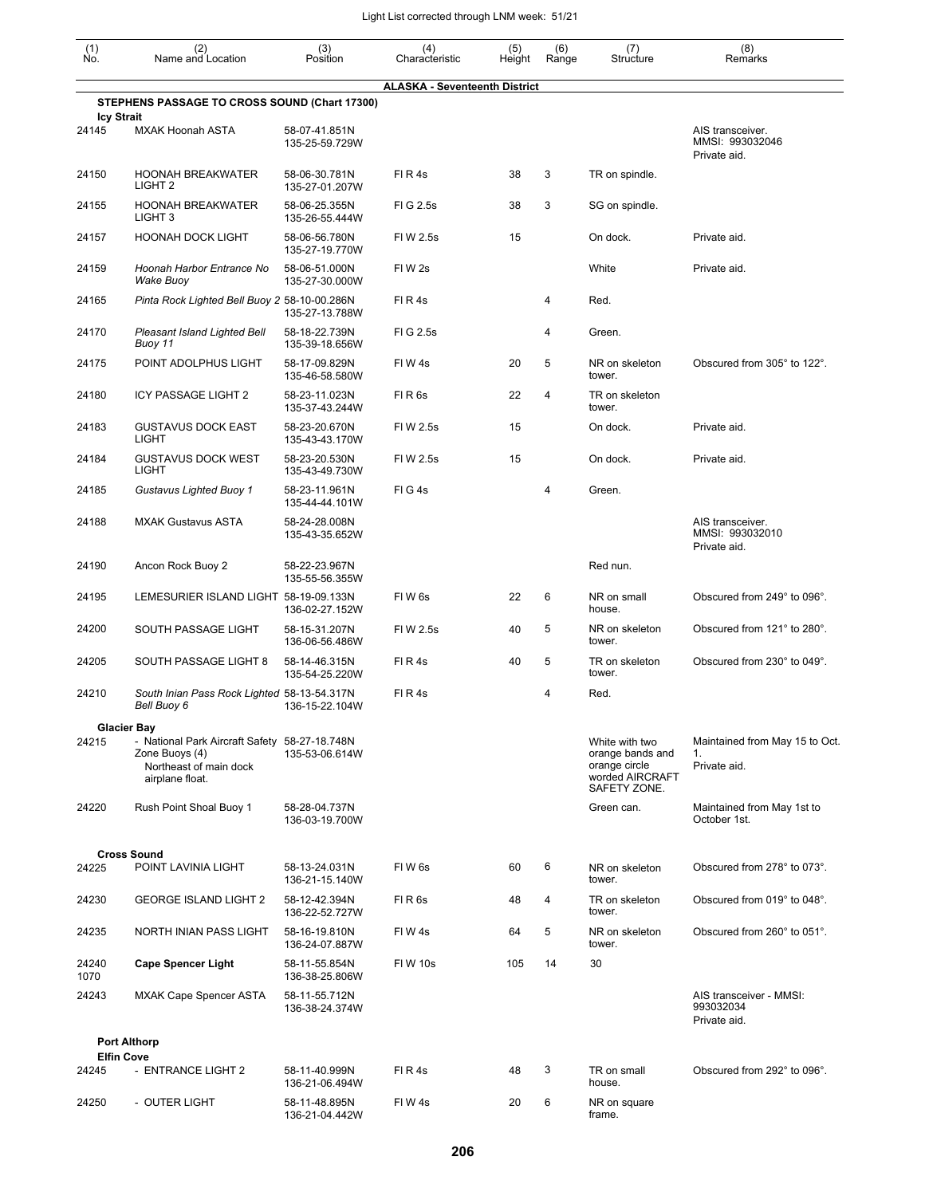| $\begin{smallmatrix} (1) \ N0. \end{smallmatrix}$ | (2)<br>Name and Location                                                                                     | (3)<br>Position                 | (4)<br>Characteristic                | (5)<br>Height | (6)<br>Range | (7)<br>Structure                                                                       | (8)<br>Remarks                                       |
|---------------------------------------------------|--------------------------------------------------------------------------------------------------------------|---------------------------------|--------------------------------------|---------------|--------------|----------------------------------------------------------------------------------------|------------------------------------------------------|
|                                                   |                                                                                                              |                                 | <b>ALASKA - Seventeenth District</b> |               |              |                                                                                        |                                                      |
| <b>Icy Strait</b>                                 | STEPHENS PASSAGE TO CROSS SOUND (Chart 17300)                                                                |                                 |                                      |               |              |                                                                                        |                                                      |
| 24145                                             | <b>MXAK Hoonah ASTA</b>                                                                                      | 58-07-41.851N<br>135-25-59.729W |                                      |               |              |                                                                                        | AIS transceiver.<br>MMSI: 993032046<br>Private aid.  |
| 24150                                             | <b>HOONAH BREAKWATER</b><br>LIGHT <sub>2</sub>                                                               | 58-06-30.781N<br>135-27-01.207W | FIR4s                                | 38            | 3            | TR on spindle.                                                                         |                                                      |
| 24155                                             | <b>HOONAH BREAKWATER</b><br>LIGHT <sub>3</sub>                                                               | 58-06-25.355N<br>135-26-55.444W | FIG 2.5s                             | 38            | 3            | SG on spindle.                                                                         |                                                      |
| 24157                                             | <b>HOONAH DOCK LIGHT</b>                                                                                     | 58-06-56.780N<br>135-27-19.770W | FIW 2.5s                             | 15            |              | On dock.                                                                               | Private aid.                                         |
| 24159                                             | Hoonah Harbor Entrance No<br>Wake Buoy                                                                       | 58-06-51.000N<br>135-27-30.000W | FIW <sub>2s</sub>                    |               |              | White                                                                                  | Private aid.                                         |
| 24165                                             | Pinta Rock Lighted Bell Buoy 2 58-10-00.286N                                                                 | 135-27-13.788W                  | FIR4s                                |               | 4            | Red.                                                                                   |                                                      |
| 24170                                             | Pleasant Island Lighted Bell<br>Buoy 11                                                                      | 58-18-22.739N<br>135-39-18.656W | FIG 2.5s                             |               | 4            | Green.                                                                                 |                                                      |
| 24175                                             | POINT ADOLPHUS LIGHT                                                                                         | 58-17-09.829N<br>135-46-58.580W | FIW4s                                | 20            | 5            | NR on skeleton<br>tower.                                                               | Obscured from 305° to 122°.                          |
| 24180                                             | ICY PASSAGE LIGHT 2                                                                                          | 58-23-11.023N<br>135-37-43.244W | FIR <sub>6s</sub>                    | 22            | 4            | TR on skeleton<br>tower.                                                               |                                                      |
| 24183                                             | <b>GUSTAVUS DOCK EAST</b><br><b>LIGHT</b>                                                                    | 58-23-20.670N<br>135-43-43.170W | FI W 2.5s                            | 15            |              | On dock.                                                                               | Private aid.                                         |
| 24184                                             | <b>GUSTAVUS DOCK WEST</b><br><b>LIGHT</b>                                                                    | 58-23-20.530N<br>135-43-49.730W | FIW 2.5s                             | 15            |              | On dock.                                                                               | Private aid.                                         |
| 24185                                             | Gustavus Lighted Buoy 1                                                                                      | 58-23-11.961N<br>135-44-44.101W | FIG4s                                |               | 4            | Green.                                                                                 |                                                      |
| 24188                                             | <b>MXAK Gustavus ASTA</b>                                                                                    | 58-24-28.008N<br>135-43-35.652W |                                      |               |              |                                                                                        | AIS transceiver.<br>MMSI: 993032010<br>Private aid.  |
| 24190                                             | Ancon Rock Buoy 2                                                                                            | 58-22-23.967N<br>135-55-56.355W |                                      |               |              | Red nun.                                                                               |                                                      |
| 24195                                             | LEMESURIER ISLAND LIGHT 58-19-09.133N                                                                        | 136-02-27.152W                  | FIW <sub>6s</sub>                    | 22            | 6            | NR on small<br>house.                                                                  | Obscured from 249° to 096°.                          |
| 24200                                             | SOUTH PASSAGE LIGHT                                                                                          | 58-15-31.207N<br>136-06-56.486W | FI W 2.5s                            | 40            | 5            | NR on skeleton<br>tower.                                                               | Obscured from 121° to 280°.                          |
| 24205                                             | SOUTH PASSAGE LIGHT 8                                                                                        | 58-14-46.315N<br>135-54-25.220W | FIR4s                                | 40            | 5            | TR on skeleton<br>tower.                                                               | Obscured from 230° to 049°.                          |
| 24210                                             | South Inian Pass Rock Lighted 58-13-54.317N<br>Bell Buoy 6                                                   | 136-15-22.104W                  | FIR4s                                |               | 4            | Red.                                                                                   |                                                      |
|                                                   | <b>Glacier Bay</b>                                                                                           |                                 |                                      |               |              |                                                                                        |                                                      |
| 24215                                             | - National Park Aircraft Safety 58-27-18.748N<br>Zone Buoys (4)<br>Northeast of main dock<br>airplane float. | 135-53-06.614W                  |                                      |               |              | White with two<br>orange bands and<br>orange circle<br>worded AIRCRAFT<br>SAFETY ZONE. | Maintained from May 15 to Oct.<br>1.<br>Private aid. |
| 24220                                             | Rush Point Shoal Buoy 1                                                                                      | 58-28-04.737N<br>136-03-19.700W |                                      |               |              | Green can.                                                                             | Maintained from May 1st to<br>October 1st.           |
|                                                   | <b>Cross Sound</b>                                                                                           |                                 |                                      |               |              |                                                                                        |                                                      |
| 24225                                             | POINT LAVINIA LIGHT                                                                                          | 58-13-24.031N<br>136-21-15.140W | FIW <sub>6s</sub>                    | 60            | 6            | NR on skeleton<br>tower.                                                               | Obscured from 278° to 073°.                          |
| 24230                                             | <b>GEORGE ISLAND LIGHT 2</b>                                                                                 | 58-12-42.394N<br>136-22-52.727W | FIR <sub>6s</sub>                    | 48            | 4            | TR on skeleton<br>tower.                                                               | Obscured from 019° to 048°.                          |
| 24235                                             | NORTH INIAN PASS LIGHT                                                                                       | 58-16-19.810N<br>136-24-07.887W | FIW4s                                | 64            | 5            | NR on skeleton<br>tower.                                                               | Obscured from 260° to 051°.                          |
| 24240<br>1070                                     | <b>Cape Spencer Light</b>                                                                                    | 58-11-55.854N<br>136-38-25.806W | FIW 10s                              | 105           | 14           | 30                                                                                     |                                                      |
| 24243                                             | <b>MXAK Cape Spencer ASTA</b>                                                                                | 58-11-55.712N<br>136-38-24.374W |                                      |               |              |                                                                                        | AIS transceiver - MMSI:<br>993032034<br>Private aid. |
|                                                   | <b>Port Althorp</b>                                                                                          |                                 |                                      |               |              |                                                                                        |                                                      |
|                                                   | <b>Elfin Cove</b>                                                                                            |                                 |                                      |               |              |                                                                                        |                                                      |
| 24245                                             | - ENTRANCE LIGHT 2                                                                                           | 58-11-40.999N<br>136-21-06.494W | FIR4s                                | 48            | 3            | TR on small<br>house.                                                                  | Obscured from 292° to 096°.                          |
| 24250                                             | - OUTER LIGHT                                                                                                | 58-11-48.895N<br>136-21-04.442W | FIW4s                                | 20            | 6            | NR on square<br>frame.                                                                 |                                                      |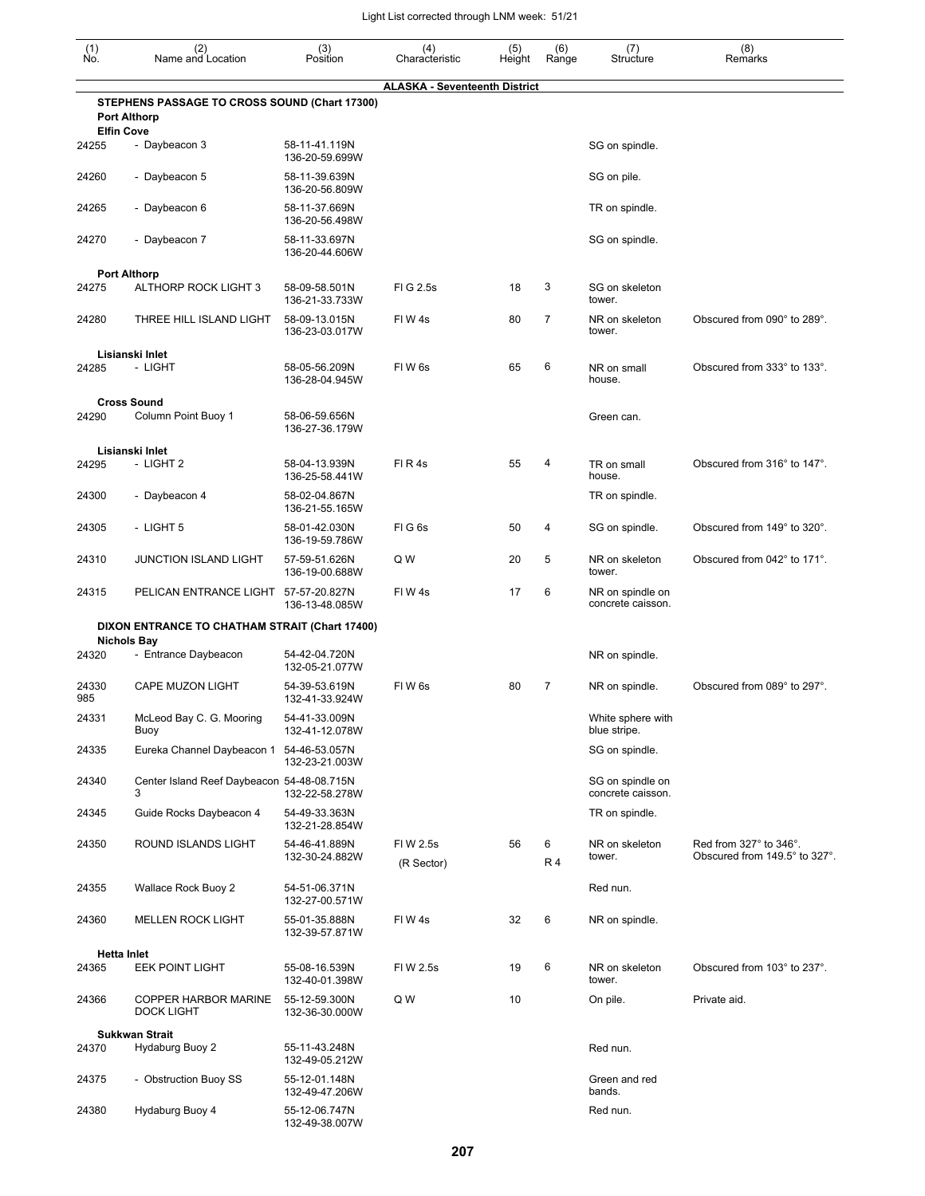| $\begin{smallmatrix} (1) \\ \mathsf{No} \end{smallmatrix}$ | (2)<br>Name and Location                                             | (3)<br>Position                 | (4)<br>Characteristic                | (5)<br>Height | (6)<br>Range   | (7)<br>Structure                      | (8)<br>Remarks                                          |
|------------------------------------------------------------|----------------------------------------------------------------------|---------------------------------|--------------------------------------|---------------|----------------|---------------------------------------|---------------------------------------------------------|
|                                                            |                                                                      |                                 | <b>ALASKA - Seventeenth District</b> |               |                |                                       |                                                         |
| <b>Elfin Cove</b>                                          | STEPHENS PASSAGE TO CROSS SOUND (Chart 17300)<br><b>Port Althorp</b> |                                 |                                      |               |                |                                       |                                                         |
| 24255                                                      | - Daybeacon 3                                                        | 58-11-41.119N<br>136-20-59.699W |                                      |               |                | SG on spindle.                        |                                                         |
| 24260                                                      | - Daybeacon 5                                                        | 58-11-39.639N<br>136-20-56.809W |                                      |               |                | SG on pile.                           |                                                         |
| 24265                                                      | - Daybeacon 6                                                        | 58-11-37.669N<br>136-20-56.498W |                                      |               |                | TR on spindle.                        |                                                         |
| 24270                                                      | - Daybeacon 7                                                        | 58-11-33.697N<br>136-20-44.606W |                                      |               |                | SG on spindle.                        |                                                         |
|                                                            | <b>Port Althorp</b>                                                  |                                 |                                      |               |                |                                       |                                                         |
| 24275                                                      | ALTHORP ROCK LIGHT 3                                                 | 58-09-58.501N<br>136-21-33.733W | FIG 2.5s                             | 18            | 3              | SG on skeleton<br>tower.              |                                                         |
| 24280                                                      | THREE HILL ISLAND LIGHT                                              | 58-09-13.015N<br>136-23-03.017W | FIW4s                                | 80            | $\overline{7}$ | NR on skeleton<br>tower.              | Obscured from 090° to 289°.                             |
|                                                            | Lisianski Inlet                                                      |                                 |                                      |               |                |                                       |                                                         |
| 24285                                                      | - LIGHT                                                              | 58-05-56.209N<br>136-28-04.945W | FIW <sub>6s</sub>                    | 65            | 6              | NR on small<br>house.                 | Obscured from 333° to 133°.                             |
|                                                            | <b>Cross Sound</b>                                                   |                                 |                                      |               |                |                                       |                                                         |
| 24290                                                      | Column Point Buoy 1                                                  | 58-06-59.656N<br>136-27-36.179W |                                      |               |                | Green can.                            |                                                         |
|                                                            | Lisianski Inlet                                                      |                                 |                                      |               |                |                                       |                                                         |
| 24295                                                      | - LIGHT 2                                                            | 58-04-13.939N<br>136-25-58.441W | FIR4s                                | 55            | 4              | TR on small<br>house.                 | Obscured from 316° to 147°.                             |
| 24300                                                      | - Daybeacon 4                                                        | 58-02-04.867N<br>136-21-55.165W |                                      |               |                | TR on spindle.                        |                                                         |
| 24305                                                      | - LIGHT 5                                                            | 58-01-42.030N<br>136-19-59.786W | FIG6s                                | 50            | 4              | SG on spindle.                        | Obscured from 149° to 320°.                             |
| 24310                                                      | <b>JUNCTION ISLAND LIGHT</b>                                         | 57-59-51.626N<br>136-19-00.688W | Q W                                  | 20            | 5              | NR on skeleton<br>tower.              | Obscured from 042° to 171°.                             |
| 24315                                                      | PELICAN ENTRANCE LIGHT                                               | 57-57-20.827N<br>136-13-48.085W | FIW 4s                               | 17            | 6              | NR on spindle on<br>concrete caisson. |                                                         |
|                                                            | DIXON ENTRANCE TO CHATHAM STRAIT (Chart 17400)                       |                                 |                                      |               |                |                                       |                                                         |
|                                                            | <b>Nichols Bay</b>                                                   |                                 |                                      |               |                |                                       |                                                         |
| 24320                                                      | - Entrance Daybeacon                                                 | 54-42-04.720N<br>132-05-21.077W |                                      |               |                | NR on spindle.                        |                                                         |
| 24330<br>985                                               | CAPE MUZON LIGHT                                                     | 54-39-53.619N<br>132-41-33.924W | FIW <sub>6s</sub>                    | 80            | 7              | NR on spindle.                        | Obscured from 089° to 297°.                             |
| 24331                                                      | McLeod Bay C. G. Mooring<br>Buoy                                     | 54-41-33.009N<br>132-41-12.078W |                                      |               |                | White sphere with<br>blue stripe.     |                                                         |
| 24335                                                      | Eureka Channel Daybeacon 1                                           | 54-46-53.057N<br>132-23-21.003W |                                      |               |                | SG on spindle.                        |                                                         |
| 24340                                                      | Center Island Reef Daybeacon 54-48-08.715N<br>3                      | 132-22-58.278W                  |                                      |               |                | SG on spindle on<br>concrete caisson. |                                                         |
| 24345                                                      | Guide Rocks Daybeacon 4                                              | 54-49-33.363N<br>132-21-28.854W |                                      |               |                | TR on spindle.                        |                                                         |
| 24350                                                      | ROUND ISLANDS LIGHT                                                  | 54-46-41.889N<br>132-30-24.882W | FIW 2.5s<br>(R Sector)               | 56            | 6<br><b>R4</b> | NR on skeleton<br>tower.              | Red from 327° to 346°.<br>Obscured from 149.5° to 327°. |
| 24355                                                      | Wallace Rock Buoy 2                                                  | 54-51-06.371N<br>132-27-00.571W |                                      |               |                | Red nun.                              |                                                         |
| 24360                                                      | <b>MELLEN ROCK LIGHT</b>                                             | 55-01-35.888N<br>132-39-57.871W | FIW 4s                               | 32            | 6              | NR on spindle.                        |                                                         |
| <b>Hetta Inlet</b>                                         |                                                                      |                                 |                                      |               |                |                                       |                                                         |
| 24365                                                      | <b>EEK POINT LIGHT</b>                                               | 55-08-16.539N<br>132-40-01.398W | FIW 2.5s                             | 19            | 6              | NR on skeleton<br>tower.              | Obscured from 103° to 237°.                             |
| 24366                                                      | <b>COPPER HARBOR MARINE</b><br><b>DOCK LIGHT</b>                     | 55-12-59.300N<br>132-36-30.000W | Q W                                  | 10            |                | On pile.                              | Private aid.                                            |
|                                                            | <b>Sukkwan Strait</b>                                                |                                 |                                      |               |                |                                       |                                                         |
| 24370                                                      | Hydaburg Buoy 2                                                      | 55-11-43.248N<br>132-49-05.212W |                                      |               |                | Red nun.                              |                                                         |
| 24375                                                      | - Obstruction Buoy SS                                                | 55-12-01.148N<br>132-49-47.206W |                                      |               |                | Green and red<br>bands.               |                                                         |
| 24380                                                      | Hydaburg Buoy 4                                                      | 55-12-06.747N                   |                                      |               |                | Red nun.                              |                                                         |

132-49-38.007W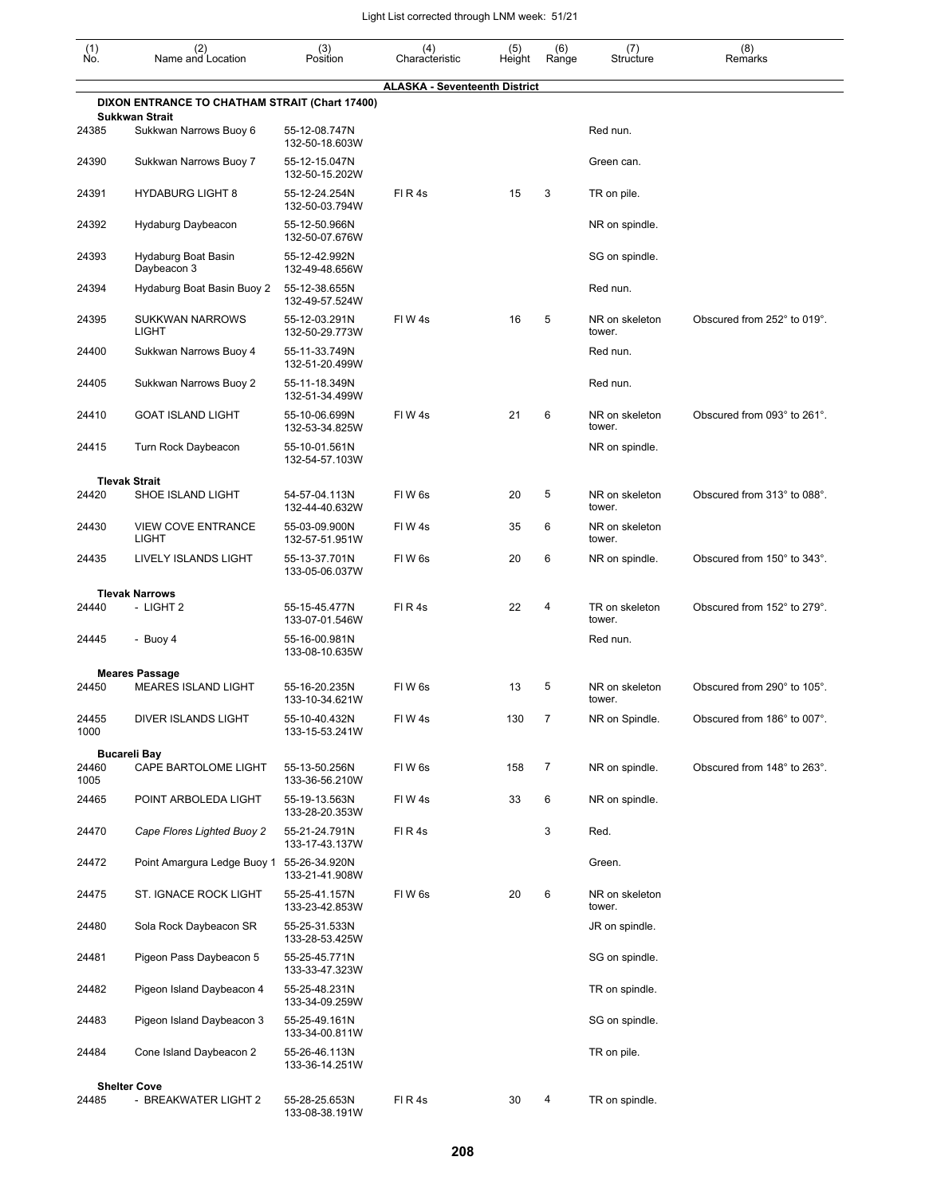| $\begin{smallmatrix} (1) \ N0. \end{smallmatrix}$ | (2)<br>Name and Location                                                | (3)<br>Position                 | (4)<br>Characteristic                | (5)<br>Height | (6)<br>Range   | (7)<br>Structure         | (8)<br>Remarks              |
|---------------------------------------------------|-------------------------------------------------------------------------|---------------------------------|--------------------------------------|---------------|----------------|--------------------------|-----------------------------|
|                                                   |                                                                         |                                 | <b>ALASKA - Seventeenth District</b> |               |                |                          |                             |
|                                                   | DIXON ENTRANCE TO CHATHAM STRAIT (Chart 17400)<br><b>Sukkwan Strait</b> |                                 |                                      |               |                |                          |                             |
| 24385                                             | Sukkwan Narrows Buoy 6                                                  | 55-12-08.747N<br>132-50-18.603W |                                      |               |                | Red nun.                 |                             |
| 24390                                             | Sukkwan Narrows Buoy 7                                                  | 55-12-15.047N<br>132-50-15.202W |                                      |               |                | Green can.               |                             |
| 24391                                             | <b>HYDABURG LIGHT 8</b>                                                 | 55-12-24.254N<br>132-50-03.794W | FIR4s                                | 15            | 3              | TR on pile.              |                             |
| 24392                                             | Hydaburg Daybeacon                                                      | 55-12-50.966N<br>132-50-07.676W |                                      |               |                | NR on spindle.           |                             |
| 24393                                             | Hydaburg Boat Basin<br>Daybeacon 3                                      | 55-12-42.992N<br>132-49-48.656W |                                      |               |                | SG on spindle.           |                             |
| 24394                                             | Hydaburg Boat Basin Buoy 2                                              | 55-12-38.655N<br>132-49-57.524W |                                      |               |                | Red nun.                 |                             |
| 24395                                             | <b>SUKKWAN NARROWS</b><br><b>LIGHT</b>                                  | 55-12-03.291N<br>132-50-29.773W | FIW <sub>4s</sub>                    | 16            | 5              | NR on skeleton<br>tower. | Obscured from 252° to 019°. |
| 24400                                             | Sukkwan Narrows Buoy 4                                                  | 55-11-33.749N<br>132-51-20.499W |                                      |               |                | Red nun.                 |                             |
| 24405                                             | Sukkwan Narrows Buoy 2                                                  | 55-11-18.349N<br>132-51-34.499W |                                      |               |                | Red nun.                 |                             |
| 24410                                             | <b>GOAT ISLAND LIGHT</b>                                                | 55-10-06.699N<br>132-53-34.825W | FIW <sub>4s</sub>                    | 21            | 6              | NR on skeleton<br>tower. | Obscured from 093° to 261°. |
| 24415                                             | Turn Rock Daybeacon                                                     | 55-10-01.561N<br>132-54-57.103W |                                      |               |                | NR on spindle.           |                             |
| 24420                                             | <b>Tlevak Strait</b><br>SHOE ISLAND LIGHT                               | 54-57-04.113N                   | FIW <sub>6s</sub>                    | 20            | 5              | NR on skeleton           | Obscured from 313° to 088°. |
| 24430                                             | <b>VIEW COVE ENTRANCE</b>                                               | 132-44-40.632W<br>55-03-09.900N | FIW4s                                | 35            | 6              | tower.<br>NR on skeleton |                             |
| 24435                                             | <b>LIGHT</b><br>LIVELY ISLANDS LIGHT                                    | 132-57-51.951W<br>55-13-37.701N | FIW <sub>6s</sub>                    | 20            | 6              | tower.<br>NR on spindle. | Obscured from 150° to 343°. |
|                                                   |                                                                         | 133-05-06.037W                  |                                      |               |                |                          |                             |
| 24440                                             | <b>Tlevak Narrows</b><br>- LIGHT 2                                      | 55-15-45.477N<br>133-07-01.546W | FIR4s                                | 22            | 4              | TR on skeleton<br>tower. | Obscured from 152° to 279°. |
| 24445                                             | - Buoy 4                                                                | 55-16-00.981N<br>133-08-10.635W |                                      |               |                | Red nun.                 |                             |
|                                                   | <b>Meares Passage</b>                                                   |                                 |                                      |               |                |                          |                             |
| 24450                                             | <b>MEARES ISLAND LIGHT</b>                                              | 55-16-20.235N<br>133-10-34.621W | FIW <sub>6s</sub>                    | 13            | 5              | NR on skeleton<br>tower. | Obscured from 290° to 105°. |
| 24455<br>1000                                     | DIVER ISLANDS LIGHT                                                     | 55-10-40.432N<br>133-15-53.241W | FIW4s                                | 130           | $\overline{7}$ | NR on Spindle.           | Obscured from 186° to 007°. |
|                                                   | <b>Bucareli Bay</b>                                                     |                                 |                                      |               |                |                          |                             |
| 24460<br>1005                                     | CAPE BARTOLOME LIGHT                                                    | 55-13-50.256N<br>133-36-56.210W | FIW6s                                | 158           | 7              | NR on spindle.           | Obscured from 148° to 263°. |
| 24465                                             | POINT ARBOLEDA LIGHT                                                    | 55-19-13.563N<br>133-28-20.353W | FIW4s                                | 33            | 6              | NR on spindle.           |                             |
| 24470                                             | Cape Flores Lighted Buoy 2                                              | 55-21-24.791N<br>133-17-43.137W | FIR4s                                |               | 3              | Red.                     |                             |
| 24472                                             | Point Amargura Ledge Buoy 1                                             | 55-26-34.920N<br>133-21-41.908W |                                      |               |                | Green.                   |                             |
| 24475                                             | ST. IGNACE ROCK LIGHT                                                   | 55-25-41.157N<br>133-23-42.853W | FIW <sub>6s</sub>                    | 20            | 6              | NR on skeleton<br>tower. |                             |
| 24480                                             | Sola Rock Daybeacon SR                                                  | 55-25-31.533N<br>133-28-53.425W |                                      |               |                | JR on spindle.           |                             |
| 24481                                             | Pigeon Pass Daybeacon 5                                                 | 55-25-45.771N<br>133-33-47.323W |                                      |               |                | SG on spindle.           |                             |
| 24482                                             | Pigeon Island Daybeacon 4                                               | 55-25-48.231N<br>133-34-09.259W |                                      |               |                | TR on spindle.           |                             |
| 24483                                             | Pigeon Island Daybeacon 3                                               | 55-25-49.161N<br>133-34-00.811W |                                      |               |                | SG on spindle.           |                             |
| 24484                                             | Cone Island Daybeacon 2                                                 | 55-26-46.113N<br>133-36-14.251W |                                      |               |                | TR on pile.              |                             |
|                                                   | <b>Shelter Cove</b>                                                     |                                 |                                      |               |                |                          |                             |
| 24485                                             | - BREAKWATER LIGHT 2                                                    | 55-28-25.653N<br>133-08-38.191W | FIR4s                                | 30            | 4              | TR on spindle.           |                             |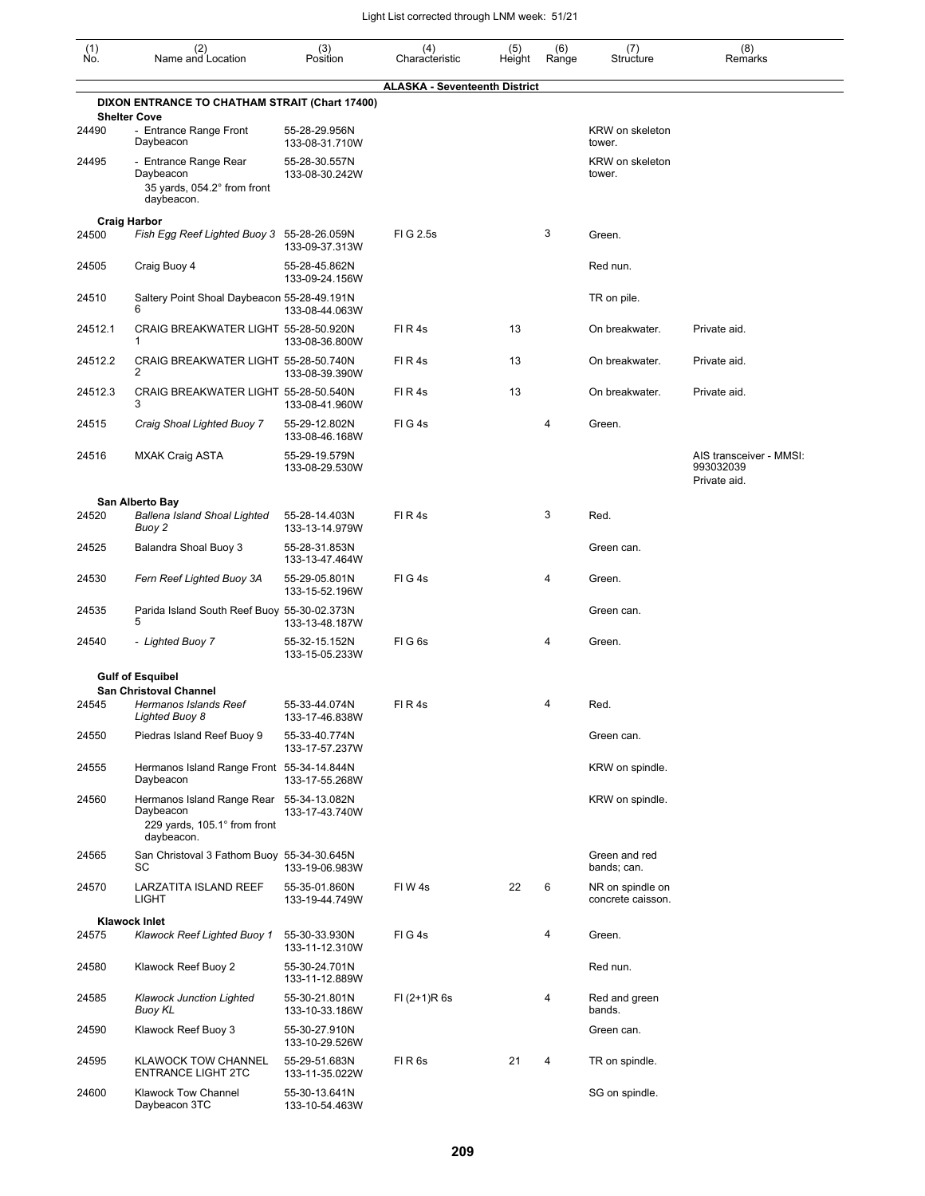| $\begin{smallmatrix} (1) \\ \mathsf{No} \end{smallmatrix}$ | (2)<br>Name and Location                                                                            | (3)<br>Position                 | (4)<br>Characteristic                | (5)<br>Height | (6)<br>Range | (7)<br>Structure                      | (8)<br>Remarks                                       |
|------------------------------------------------------------|-----------------------------------------------------------------------------------------------------|---------------------------------|--------------------------------------|---------------|--------------|---------------------------------------|------------------------------------------------------|
|                                                            | DIXON ENTRANCE TO CHATHAM STRAIT (Chart 17400)                                                      |                                 | <b>ALASKA - Seventeenth District</b> |               |              |                                       |                                                      |
|                                                            | <b>Shelter Cove</b>                                                                                 |                                 |                                      |               |              |                                       |                                                      |
| 24490                                                      | - Entrance Range Front<br>Daybeacon                                                                 | 55-28-29.956N<br>133-08-31.710W |                                      |               |              | KRW on skeleton<br>tower.             |                                                      |
| 24495                                                      | - Entrance Range Rear<br>Daybeacon<br>35 yards, 054.2° from front<br>daybeacon.                     | 55-28-30.557N<br>133-08-30.242W |                                      |               |              | KRW on skeleton<br>tower.             |                                                      |
|                                                            | <b>Craig Harbor</b>                                                                                 |                                 |                                      |               |              |                                       |                                                      |
| 24500                                                      | Fish Egg Reef Lighted Buoy 3 55-28-26.059N                                                          | 133-09-37.313W                  | FIG 2.5s                             |               | 3            | Green.                                |                                                      |
| 24505                                                      | Craig Buoy 4                                                                                        | 55-28-45.862N<br>133-09-24.156W |                                      |               |              | Red nun.                              |                                                      |
| 24510                                                      | Saltery Point Shoal Daybeacon 55-28-49.191N<br>6                                                    | 133-08-44.063W                  |                                      |               |              | TR on pile.                           |                                                      |
| 24512.1                                                    | CRAIG BREAKWATER LIGHT 55-28-50.920N<br>1                                                           | 133-08-36.800W                  | FIR4s                                | 13            |              | On breakwater.                        | Private aid.                                         |
| 24512.2                                                    | CRAIG BREAKWATER LIGHT 55-28-50.740N<br>2                                                           | 133-08-39.390W                  | FIR4s                                | 13            |              | On breakwater.                        | Private aid.                                         |
| 24512.3                                                    | CRAIG BREAKWATER LIGHT 55-28-50.540N<br>3                                                           | 133-08-41.960W                  | FIR4s                                | 13            |              | On breakwater.                        | Private aid.                                         |
| 24515                                                      | Craig Shoal Lighted Buoy 7                                                                          | 55-29-12.802N<br>133-08-46.168W | FIG4s                                |               | 4            | Green.                                |                                                      |
| 24516                                                      | MXAK Craig ASTA                                                                                     | 55-29-19.579N<br>133-08-29.530W |                                      |               |              |                                       | AIS transceiver - MMSI:<br>993032039<br>Private aid. |
|                                                            | San Alberto Bay                                                                                     |                                 |                                      |               |              |                                       |                                                      |
| 24520                                                      | Ballena Island Shoal Lighted<br>Buoy 2                                                              | 55-28-14.403N<br>133-13-14.979W | FIR4s                                |               | 3            | Red.                                  |                                                      |
| 24525                                                      | Balandra Shoal Buoy 3                                                                               | 55-28-31.853N<br>133-13-47.464W |                                      |               |              | Green can.                            |                                                      |
| 24530                                                      | Fern Reef Lighted Buoy 3A                                                                           | 55-29-05.801N<br>133-15-52.196W | FIG4s                                |               | 4            | Green.                                |                                                      |
| 24535                                                      | Parida Island South Reef Buoy 55-30-02.373N<br>5                                                    | 133-13-48.187W                  |                                      |               |              | Green can.                            |                                                      |
| 24540                                                      | - Lighted Buoy 7                                                                                    | 55-32-15.152N<br>133-15-05.233W | FIG <sub>6s</sub>                    |               | 4            | Green.                                |                                                      |
|                                                            | <b>Gulf of Esquibel</b>                                                                             |                                 |                                      |               |              |                                       |                                                      |
|                                                            | <b>San Christoval Channel</b>                                                                       |                                 |                                      |               |              |                                       |                                                      |
| 24545                                                      | Hermanos Islands Reef<br>Lighted Buoy 8                                                             | 55-33-44.074N<br>133-17-46.838W | FIR4s                                |               | 4            | Red.                                  |                                                      |
| 24550                                                      | Piedras Island Reef Buoy 9                                                                          | 55-33-40.774N<br>133-17-57.237W |                                      |               |              | Green can.                            |                                                      |
| 24555                                                      | Hermanos Island Range Front 55-34-14.844N<br>Daybeacon                                              | 133-17-55.268W                  |                                      |               |              | KRW on spindle.                       |                                                      |
| 24560                                                      | Hermanos Island Range Rear 55-34-13.082N<br>Daybeacon<br>229 yards, 105.1° from front<br>daybeacon. | 133-17-43.740W                  |                                      |               |              | KRW on spindle.                       |                                                      |
| 24565                                                      | San Christoval 3 Fathom Buoy 55-34-30.645N<br>SC                                                    | 133-19-06.983W                  |                                      |               |              | Green and red<br>bands; can.          |                                                      |
| 24570                                                      | LARZATITA ISLAND REEF<br><b>LIGHT</b>                                                               | 55-35-01.860N<br>133-19-44.749W | FIW4s                                | 22            | 6            | NR on spindle on<br>concrete caisson. |                                                      |
|                                                            | <b>Klawock Inlet</b>                                                                                |                                 |                                      |               |              |                                       |                                                      |
| 24575                                                      | Klawock Reef Lighted Buoy 1                                                                         | 55-30-33.930N<br>133-11-12.310W | FIG4s                                |               | 4            | Green.                                |                                                      |
| 24580                                                      | Klawock Reef Buoy 2                                                                                 | 55-30-24.701N<br>133-11-12.889W |                                      |               |              | Red nun.                              |                                                      |
| 24585                                                      | <b>Klawock Junction Lighted</b><br>Buoy KL                                                          | 55-30-21.801N<br>133-10-33.186W | $FI (2+1)R 6s$                       |               | 4            | Red and green<br>bands.               |                                                      |
| 24590                                                      | Klawock Reef Buoy 3                                                                                 | 55-30-27.910N<br>133-10-29.526W |                                      |               |              | Green can.                            |                                                      |
| 24595                                                      | <b>KLAWOCK TOW CHANNEL</b><br><b>ENTRANCE LIGHT 2TC</b>                                             | 55-29-51.683N<br>133-11-35.022W | FIR6s                                | 21            | 4            | TR on spindle.                        |                                                      |
| 24600                                                      | <b>Klawock Tow Channel</b><br>Daybeacon 3TC                                                         | 55-30-13.641N<br>133-10-54.463W |                                      |               |              | SG on spindle.                        |                                                      |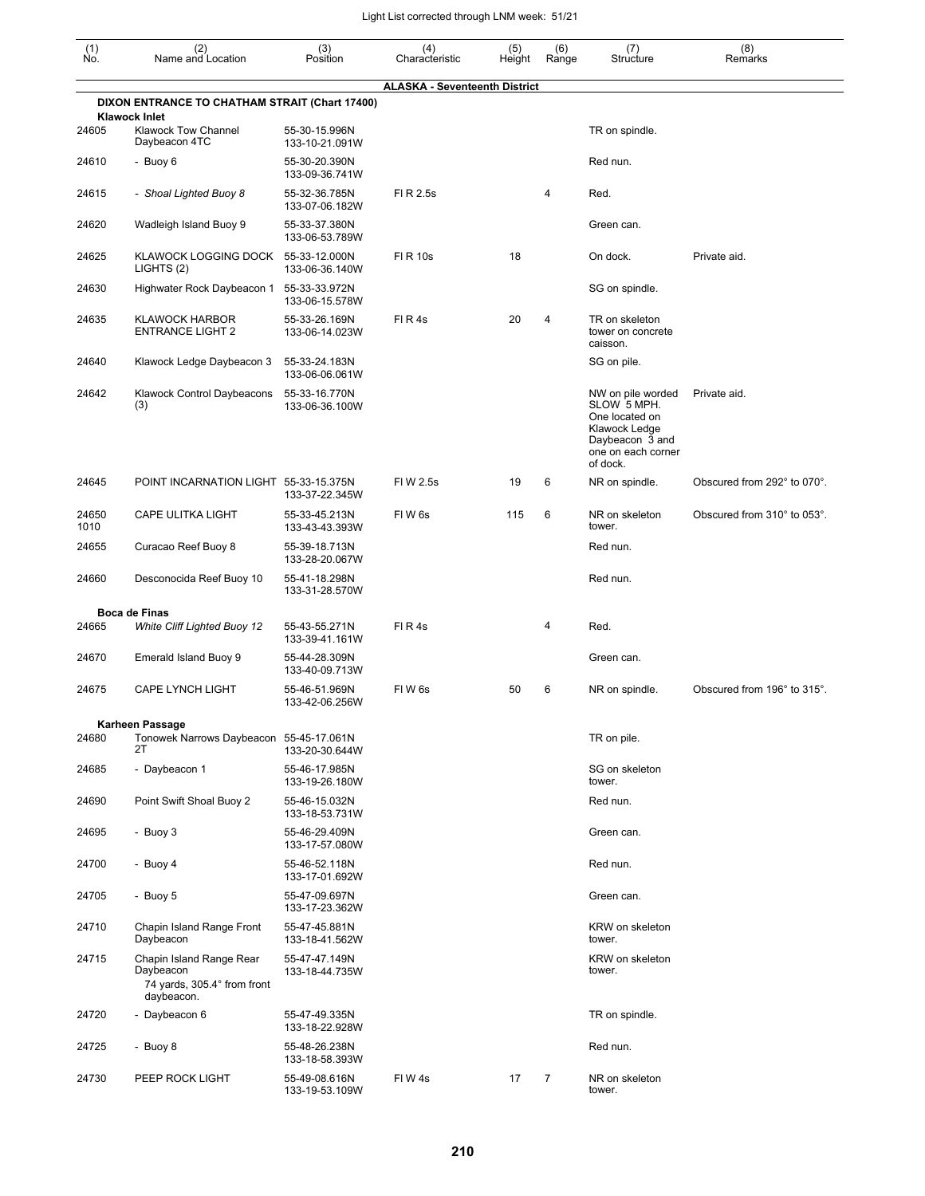| $\begin{smallmatrix} (1) \ N0. \end{smallmatrix}$ | (2)<br>Name and Location                                                           | (3)<br>Position                 | (4)<br>Characteristic                | (5)<br>Height | (6)<br>Range | (7)<br>Structure                                                                                                         | (8)<br>Remarks              |
|---------------------------------------------------|------------------------------------------------------------------------------------|---------------------------------|--------------------------------------|---------------|--------------|--------------------------------------------------------------------------------------------------------------------------|-----------------------------|
|                                                   |                                                                                    |                                 | <b>ALASKA - Seventeenth District</b> |               |              |                                                                                                                          |                             |
|                                                   | DIXON ENTRANCE TO CHATHAM STRAIT (Chart 17400)                                     |                                 |                                      |               |              |                                                                                                                          |                             |
| 24605                                             | <b>Klawock Inlet</b><br><b>Klawock Tow Channel</b><br>Daybeacon 4TC                | 55-30-15.996N<br>133-10-21.091W |                                      |               |              | TR on spindle.                                                                                                           |                             |
| 24610                                             | - Buoy 6                                                                           | 55-30-20.390N<br>133-09-36.741W |                                      |               |              | Red nun.                                                                                                                 |                             |
| 24615                                             | - Shoal Lighted Buoy 8                                                             | 55-32-36.785N<br>133-07-06.182W | FI R 2.5s                            |               | 4            | Red.                                                                                                                     |                             |
| 24620                                             | Wadleigh Island Buoy 9                                                             | 55-33-37.380N<br>133-06-53.789W |                                      |               |              | Green can.                                                                                                               |                             |
| 24625                                             | KLAWOCK LOGGING DOCK<br>LIGHTS (2)                                                 | 55-33-12.000N<br>133-06-36.140W | <b>FIR 10s</b>                       | 18            |              | On dock.                                                                                                                 | Private aid.                |
| 24630                                             | Highwater Rock Daybeacon 1                                                         | 55-33-33.972N<br>133-06-15.578W |                                      |               |              | SG on spindle.                                                                                                           |                             |
| 24635                                             | <b>KLAWOCK HARBOR</b><br><b>ENTRANCE LIGHT 2</b>                                   | 55-33-26.169N<br>133-06-14.023W | FIR4s                                | 20            | 4            | TR on skeleton<br>tower on concrete<br>caisson.                                                                          |                             |
| 24640                                             | Klawock Ledge Daybeacon 3                                                          | 55-33-24.183N<br>133-06-06.061W |                                      |               |              | SG on pile.                                                                                                              |                             |
| 24642                                             | Klawock Control Daybeacons<br>(3)                                                  | 55-33-16.770N<br>133-06-36.100W |                                      |               |              | NW on pile worded<br>SLOW 5 MPH.<br>One located on<br>Klawock Ledge<br>Daybeacon 3 and<br>one on each corner<br>of dock. | Private aid.                |
| 24645                                             | POINT INCARNATION LIGHT 55-33-15.375N                                              | 133-37-22.345W                  | FIW 2.5s                             | 19            | 6            | NR on spindle.                                                                                                           | Obscured from 292° to 070°. |
| 24650<br>1010                                     | CAPE ULITKA LIGHT                                                                  | 55-33-45.213N<br>133-43-43.393W | FIW <sub>6s</sub>                    | 115           | 6            | NR on skeleton<br>tower.                                                                                                 | Obscured from 310° to 053°. |
| 24655                                             | Curacao Reef Buoy 8                                                                | 55-39-18.713N<br>133-28-20.067W |                                      |               |              | Red nun.                                                                                                                 |                             |
| 24660                                             | Desconocida Reef Buoy 10                                                           | 55-41-18.298N<br>133-31-28.570W |                                      |               |              | Red nun.                                                                                                                 |                             |
| 24665                                             | <b>Boca de Finas</b>                                                               |                                 | FIR4s                                |               | 4            | Red.                                                                                                                     |                             |
|                                                   | <b>White Cliff Lighted Buoy 12</b>                                                 | 55-43-55.271N<br>133-39-41.161W |                                      |               |              |                                                                                                                          |                             |
| 24670                                             | Emerald Island Buoy 9                                                              | 55-44-28.309N<br>133-40-09.713W |                                      |               |              | Green can.                                                                                                               |                             |
| 24675                                             | <b>CAPE LYNCH LIGHT</b>                                                            | 55-46-51.969N<br>133-42-06.256W | FIW <sub>6s</sub>                    | 50            | 6            | NR on spindle.                                                                                                           | Obscured from 196° to 315°. |
| 24680                                             | <b>Karheen Passage</b><br>Tonowek Narrows Daybeacon 55-45-17.061N<br>2T            | 133-20-30.644W                  |                                      |               |              | TR on pile.                                                                                                              |                             |
| 24685                                             | - Daybeacon 1                                                                      | 55-46-17.985N<br>133-19-26.180W |                                      |               |              | SG on skeleton<br>tower.                                                                                                 |                             |
| 24690                                             | Point Swift Shoal Buoy 2                                                           | 55-46-15.032N<br>133-18-53.731W |                                      |               |              | Red nun.                                                                                                                 |                             |
| 24695                                             | - Buoy 3                                                                           | 55-46-29.409N<br>133-17-57.080W |                                      |               |              | Green can.                                                                                                               |                             |
| 24700                                             | - Buoy 4                                                                           | 55-46-52.118N<br>133-17-01.692W |                                      |               |              | Red nun.                                                                                                                 |                             |
| 24705                                             | - Buoy 5                                                                           | 55-47-09.697N<br>133-17-23.362W |                                      |               |              | Green can.                                                                                                               |                             |
| 24710                                             | Chapin Island Range Front<br>Daybeacon                                             | 55-47-45.881N<br>133-18-41.562W |                                      |               |              | KRW on skeleton<br>tower.                                                                                                |                             |
| 24715                                             | Chapin Island Range Rear<br>Daybeacon<br>74 yards, 305.4° from front<br>daybeacon. | 55-47-47.149N<br>133-18-44.735W |                                      |               |              | KRW on skeleton<br>tower.                                                                                                |                             |
| 24720                                             | - Daybeacon 6                                                                      | 55-47-49.335N<br>133-18-22.928W |                                      |               |              | TR on spindle.                                                                                                           |                             |
| 24725                                             | - Buoy 8                                                                           | 55-48-26.238N<br>133-18-58.393W |                                      |               |              | Red nun.                                                                                                                 |                             |
| 24730                                             | PEEP ROCK LIGHT                                                                    | 55-49-08.616N<br>133-19-53.109W | FIW4s                                | 17            | 7            | NR on skeleton<br>tower.                                                                                                 |                             |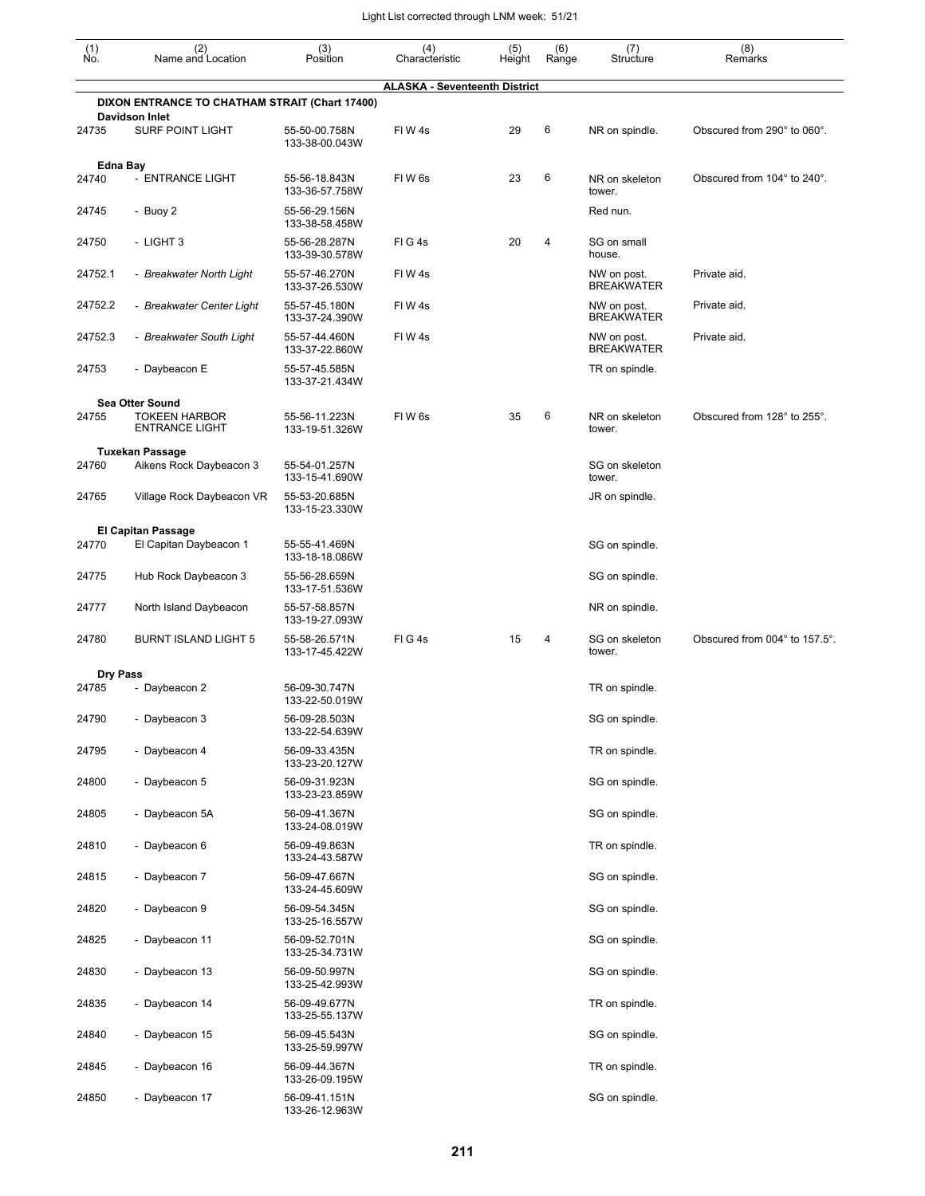| (1)<br>No. | (2)<br>Name and Location                         | (3)<br>Position                 | (4)<br>Characteristic                | (5)<br>Height | (6)<br>Range | (7)<br>Structure                 | (8)<br>Remarks                |
|------------|--------------------------------------------------|---------------------------------|--------------------------------------|---------------|--------------|----------------------------------|-------------------------------|
|            |                                                  |                                 | <b>ALASKA - Seventeenth District</b> |               |              |                                  |                               |
|            | DIXON ENTRANCE TO CHATHAM STRAIT (Chart 17400)   |                                 |                                      |               |              |                                  |                               |
| 24735      | <b>Davidson Inlet</b><br><b>SURF POINT LIGHT</b> | 55-50-00.758N<br>133-38-00.043W | FIW4s                                | 29            | 6            | NR on spindle.                   | Obscured from 290° to 060°.   |
|            | Edna Bay                                         |                                 |                                      |               |              |                                  |                               |
| 24740      | - ENTRANCE LIGHT                                 | 55-56-18.843N<br>133-36-57.758W | FIW <sub>6s</sub>                    | 23            | 6            | NR on skeleton<br>tower.         | Obscured from 104° to 240°.   |
| 24745      | - Buoy 2                                         | 55-56-29.156N<br>133-38-58.458W |                                      |               |              | Red nun.                         |                               |
| 24750      | - LIGHT 3                                        | 55-56-28.287N<br>133-39-30.578W | FIG4s                                | 20            | 4            | SG on small<br>house.            |                               |
| 24752.1    | - Breakwater North Light                         | 55-57-46.270N<br>133-37-26.530W | FIW4s                                |               |              | NW on post.<br><b>BREAKWATER</b> | Private aid.                  |
| 24752.2    | - Breakwater Center Light                        | 55-57-45.180N<br>133-37-24.390W | FIW4s                                |               |              | NW on post.<br><b>BREAKWATER</b> | Private aid.                  |
| 24752.3    | - Breakwater South Light                         | 55-57-44.460N<br>133-37-22.860W | FIW4s                                |               |              | NW on post.<br><b>BREAKWATER</b> | Private aid.                  |
| 24753      | - Daybeacon E                                    | 55-57-45.585N<br>133-37-21.434W |                                      |               |              | TR on spindle.                   |                               |
|            | <b>Sea Otter Sound</b>                           |                                 |                                      |               |              |                                  |                               |
| 24755      | <b>TOKEEN HARBOR</b><br><b>ENTRANCE LIGHT</b>    | 55-56-11.223N<br>133-19-51.326W | FIW <sub>6s</sub>                    | 35            | 6            | NR on skeleton<br>tower.         | Obscured from 128° to 255°.   |
|            | <b>Tuxekan Passage</b>                           |                                 |                                      |               |              |                                  |                               |
| 24760      | Aikens Rock Daybeacon 3                          | 55-54-01.257N<br>133-15-41.690W |                                      |               |              | SG on skeleton<br>tower.         |                               |
| 24765      | Village Rock Daybeacon VR                        | 55-53-20.685N<br>133-15-23.330W |                                      |               |              | JR on spindle.                   |                               |
| 24770      | El Capitan Passage<br>El Capitan Daybeacon 1     | 55-55-41.469N<br>133-18-18.086W |                                      |               |              | SG on spindle.                   |                               |
| 24775      | Hub Rock Daybeacon 3                             | 55-56-28.659N<br>133-17-51.536W |                                      |               |              | SG on spindle.                   |                               |
| 24777      | North Island Daybeacon                           | 55-57-58.857N<br>133-19-27.093W |                                      |               |              | NR on spindle.                   |                               |
| 24780      | <b>BURNT ISLAND LIGHT 5</b>                      | 55-58-26.571N<br>133-17-45.422W | FIG4s                                | 15            | 4            | SG on skeleton<br>tower.         | Obscured from 004° to 157.5°. |
| Dry Pass   |                                                  |                                 |                                      |               |              |                                  |                               |
| 24785      | Daybeacon 2                                      | 56-09-30.747N<br>133-22-50.019W |                                      |               |              | TR on spindle.                   |                               |
| 24790      | - Daybeacon 3                                    | 56-09-28.503N<br>133-22-54.639W |                                      |               |              | SG on spindle.                   |                               |
| 24795      | - Daybeacon 4                                    | 56-09-33.435N<br>133-23-20.127W |                                      |               |              | TR on spindle.                   |                               |
| 24800      | - Daybeacon 5                                    | 56-09-31.923N<br>133-23-23.859W |                                      |               |              | SG on spindle.                   |                               |
| 24805      | - Daybeacon 5A                                   | 56-09-41.367N<br>133-24-08.019W |                                      |               |              | SG on spindle.                   |                               |
| 24810      | - Daybeacon 6                                    | 56-09-49.863N<br>133-24-43.587W |                                      |               |              | TR on spindle.                   |                               |
| 24815      | - Daybeacon 7                                    | 56-09-47.667N<br>133-24-45.609W |                                      |               |              | SG on spindle.                   |                               |
| 24820      | - Daybeacon 9                                    | 56-09-54.345N<br>133-25-16.557W |                                      |               |              | SG on spindle.                   |                               |
| 24825      | - Daybeacon 11                                   | 56-09-52.701N<br>133-25-34.731W |                                      |               |              | SG on spindle.                   |                               |
| 24830      | - Daybeacon 13                                   | 56-09-50.997N<br>133-25-42.993W |                                      |               |              | SG on spindle.                   |                               |
| 24835      | - Daybeacon 14                                   | 56-09-49.677N<br>133-25-55.137W |                                      |               |              | TR on spindle.                   |                               |
| 24840      | - Daybeacon 15                                   | 56-09-45.543N<br>133-25-59.997W |                                      |               |              | SG on spindle.                   |                               |
| 24845      | - Daybeacon 16                                   | 56-09-44.367N<br>133-26-09.195W |                                      |               |              | TR on spindle.                   |                               |
| 24850      | - Daybeacon 17                                   | 56-09-41.151N<br>133-26-12.963W |                                      |               |              | SG on spindle.                   |                               |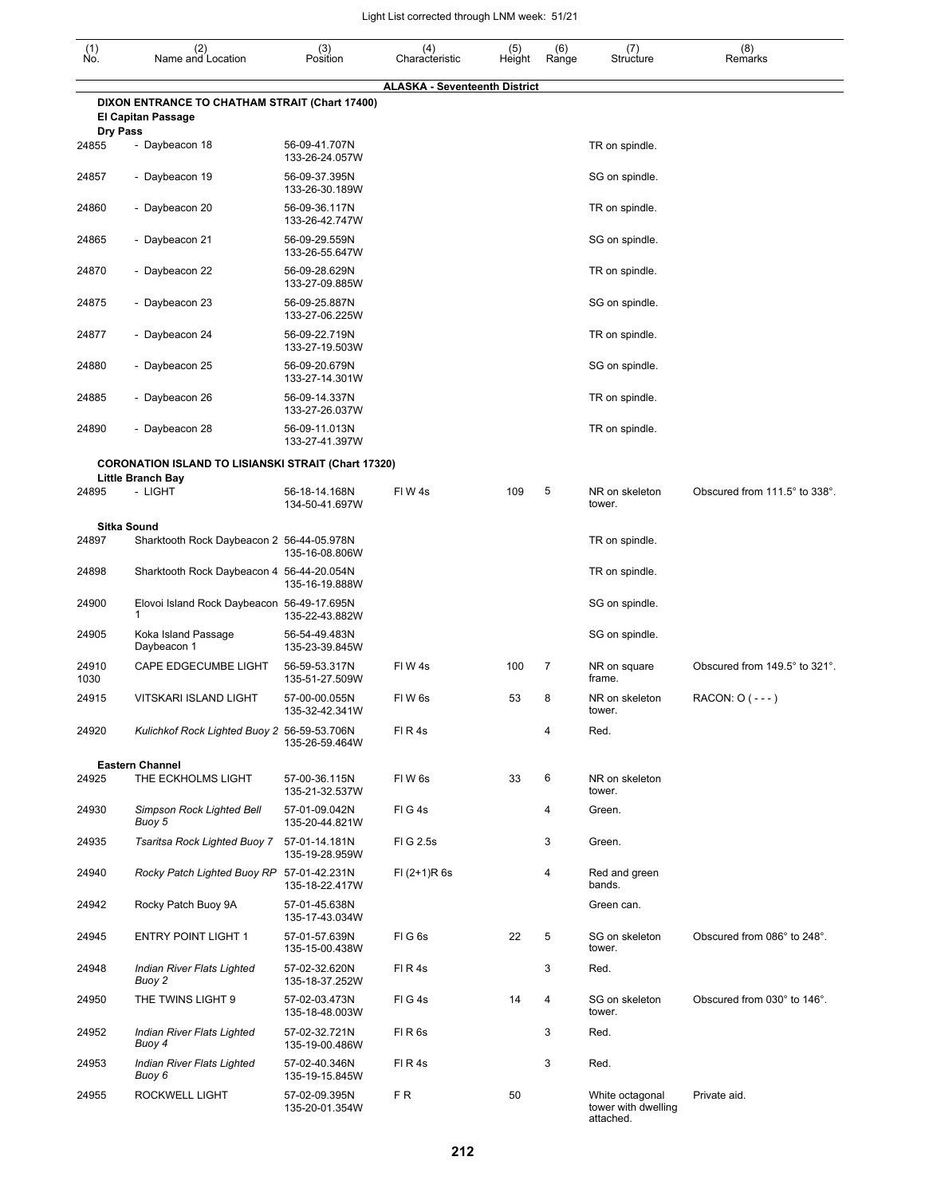| (1)<br>Ño.               | (2)<br>Name and Location                                                    | (3)<br>Position                  | (4)<br>Characteristic                | (5)<br>Height | (6)<br>Range | (7)<br>Structure                                    | (8)<br>Remarks                |
|--------------------------|-----------------------------------------------------------------------------|----------------------------------|--------------------------------------|---------------|--------------|-----------------------------------------------------|-------------------------------|
|                          |                                                                             |                                  | <b>ALASKA - Seventeenth District</b> |               |              |                                                     |                               |
|                          | DIXON ENTRANCE TO CHATHAM STRAIT (Chart 17400)<br><b>El Capitan Passage</b> |                                  |                                      |               |              |                                                     |                               |
| <b>Dry Pass</b><br>24855 | - Daybeacon 18                                                              | 56-09-41.707N<br>133-26-24.057W  |                                      |               |              | TR on spindle.                                      |                               |
| 24857                    | - Daybeacon 19                                                              | 56-09-37.395N<br>133-26-30.189W  |                                      |               |              | SG on spindle.                                      |                               |
| 24860                    | - Daybeacon 20                                                              | 56-09-36.117N<br>133-26-42.747W  |                                      |               |              | TR on spindle.                                      |                               |
| 24865                    | - Daybeacon 21                                                              | 56-09-29.559N<br>133-26-55.647W  |                                      |               |              | SG on spindle.                                      |                               |
| 24870                    | - Daybeacon 22                                                              | 56-09-28.629N<br>133-27-09.885W  |                                      |               |              | TR on spindle.                                      |                               |
| 24875                    | - Daybeacon 23                                                              | 56-09-25.887N<br>133-27-06.225W  |                                      |               |              | SG on spindle.                                      |                               |
| 24877                    | - Daybeacon 24                                                              | 56-09-22.719N<br>133-27-19.503W  |                                      |               |              | TR on spindle.                                      |                               |
| 24880                    | - Daybeacon 25                                                              | 56-09-20.679N<br>133-27-14.301W  |                                      |               |              | SG on spindle.                                      |                               |
| 24885                    | - Daybeacon 26                                                              | 56-09-14.337N<br>133-27-26.037W  |                                      |               |              | TR on spindle.                                      |                               |
| 24890                    | - Daybeacon 28                                                              | 56-09-11.013N<br>133-27-41.397W  |                                      |               |              | TR on spindle.                                      |                               |
|                          | <b>CORONATION ISLAND TO LISIANSKI STRAIT (Chart 17320)</b>                  |                                  |                                      |               |              |                                                     |                               |
| 24895                    | Little Branch Bay<br>- LIGHT                                                | 56-18-14.168N<br>134-50-41.697W  | FIW4s                                | 109           | 5            | NR on skeleton<br>tower.                            | Obscured from 111.5° to 338°. |
| 24897                    | <b>Sitka Sound</b><br>Sharktooth Rock Daybeacon 2 56-44-05.978N             |                                  |                                      |               |              | TR on spindle.                                      |                               |
| 24898                    | Sharktooth Rock Daybeacon 4 56-44-20.054N                                   | 135-16-08.806W                   |                                      |               |              | TR on spindle.                                      |                               |
| 24900                    | Elovoi Island Rock Daybeacon 56-49-17.695N                                  | 135-16-19.888W                   |                                      |               |              | SG on spindle.                                      |                               |
| 24905                    | 1<br>Koka Island Passage                                                    | 135-22-43.882W<br>56-54-49.483N  |                                      |               |              | SG on spindle.                                      |                               |
| 24910                    | Daybeacon 1<br>CAPE EDGECUMBE LIGHT                                         | 135-23-39.845W<br>56-59-53.317N  | FIW4s                                | 100           | 7            | NR on square<br>frame.                              | Obscured from 149.5° to 321°. |
| 1030<br>24915            | VITSKARI ISLAND LIGHT                                                       | 135-51-27.509W<br>57-00-00.055N  | FIW <sub>6s</sub>                    | 53            | 8            | NR on skeleton                                      | RACON: 0 (---)                |
| 24920                    | Kulichkof Rock Lighted Buoy 2 56-59-53.706N                                 | 135-32-42.341W<br>135-26-59.464W | FIR4s                                |               | 4            | tower.<br>Red.                                      |                               |
|                          | <b>Eastern Channel</b>                                                      |                                  |                                      |               |              |                                                     |                               |
| 24925                    | THE ECKHOLMS LIGHT                                                          | 57-00-36.115N<br>135-21-32.537W  | FIW <sub>6s</sub>                    | 33            | 6            | NR on skeleton<br>tower.                            |                               |
| 24930                    | Simpson Rock Lighted Bell<br>Buoy 5                                         | 57-01-09.042N<br>135-20-44.821W  | FIG4s                                |               | 4            | Green.                                              |                               |
| 24935                    | Tsaritsa Rock Lighted Buoy 7                                                | 57-01-14.181N<br>135-19-28.959W  | FIG 2.5s                             |               | 3            | Green.                                              |                               |
| 24940                    | Rocky Patch Lighted Buoy RP 57-01-42.231N                                   | 135-18-22.417W                   | $FI (2+1)R 6s$                       |               | 4            | Red and green<br>bands.                             |                               |
| 24942                    | Rocky Patch Buoy 9A                                                         | 57-01-45.638N<br>135-17-43.034W  |                                      |               |              | Green can.                                          |                               |
| 24945                    | <b>ENTRY POINT LIGHT 1</b>                                                  | 57-01-57.639N<br>135-15-00.438W  | FIG6s                                | 22            | 5            | SG on skeleton<br>tower.                            | Obscured from 086° to 248°.   |
| 24948                    | Indian River Flats Lighted<br>Buoy 2                                        | 57-02-32.620N<br>135-18-37.252W  | FIR4s                                |               | 3            | Red.                                                |                               |
| 24950                    | THE TWINS LIGHT 9                                                           | 57-02-03.473N<br>135-18-48.003W  | FIG4s                                | 14            | 4            | SG on skeleton<br>tower.                            | Obscured from 030° to 146°.   |
| 24952                    | Indian River Flats Lighted<br>Buoy 4                                        | 57-02-32.721N<br>135-19-00.486W  | FIR6s                                |               | 3            | Red.                                                |                               |
| 24953                    | Indian River Flats Lighted<br>Buoy 6                                        | 57-02-40.346N<br>135-19-15.845W  | FIR4s                                |               | 3            | Red.                                                |                               |
| 24955                    | ROCKWELL LIGHT                                                              | 57-02-09.395N<br>135-20-01.354W  | F R                                  | 50            |              | White octagonal<br>tower with dwelling<br>attached. | Private aid.                  |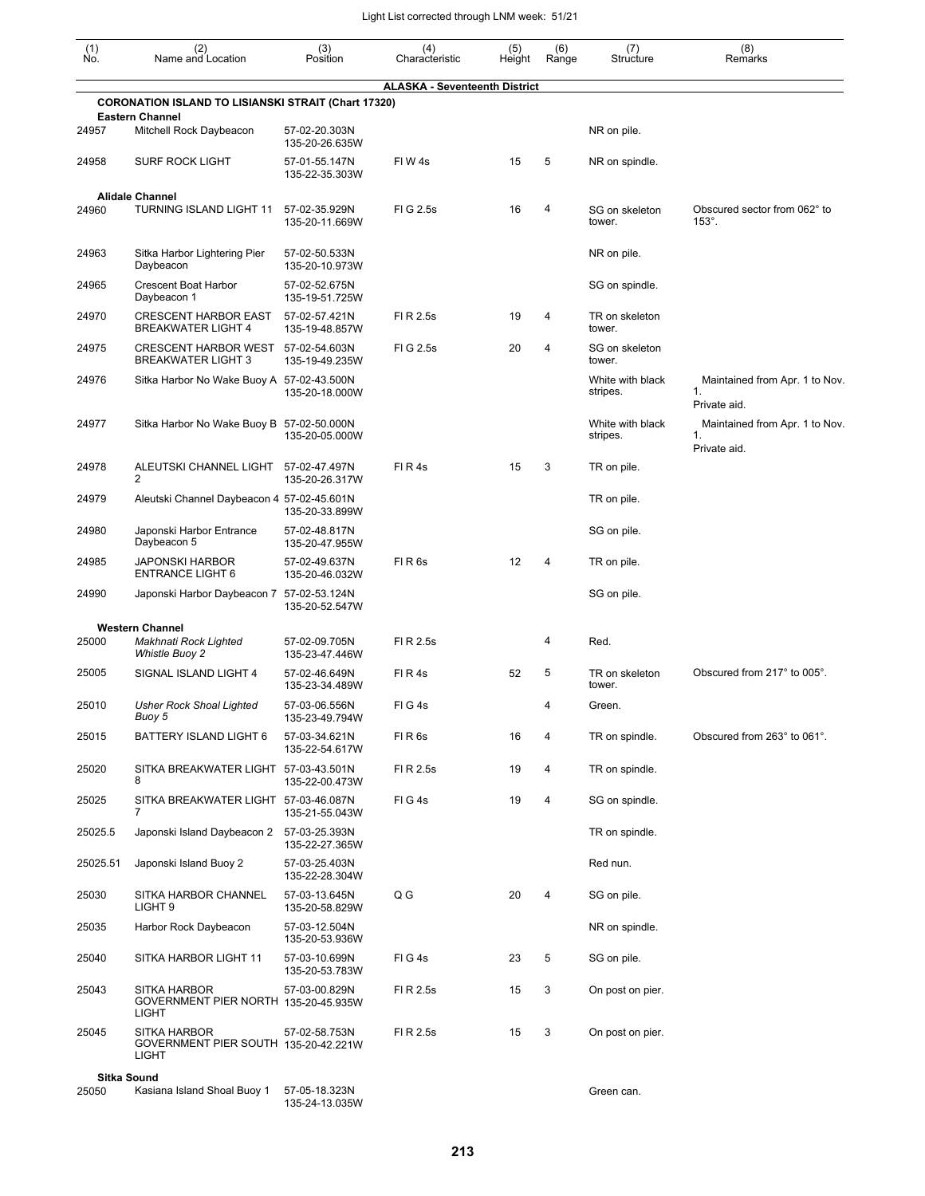| (1)<br>Ñó. | (2)<br>Name and Location                                                    | (3)<br>Position                 | (4)<br>Characteristic                | (5)<br>Height | (6)<br>Range | (7)<br>Structure             | (8)<br>Remarks                                       |
|------------|-----------------------------------------------------------------------------|---------------------------------|--------------------------------------|---------------|--------------|------------------------------|------------------------------------------------------|
|            | <b>CORONATION ISLAND TO LISIANSKI STRAIT (Chart 17320)</b>                  |                                 | <b>ALASKA - Seventeenth District</b> |               |              |                              |                                                      |
|            | <b>Eastern Channel</b>                                                      |                                 |                                      |               |              |                              |                                                      |
| 24957      | Mitchell Rock Daybeacon                                                     | 57-02-20.303N<br>135-20-26.635W |                                      |               |              | NR on pile.                  |                                                      |
| 24958      | <b>SURF ROCK LIGHT</b>                                                      | 57-01-55.147N<br>135-22-35.303W | FIW4s                                | 15            | 5            | NR on spindle.               |                                                      |
| 24960      | <b>Alidale Channel</b><br>TURNING ISLAND LIGHT 11                           | 57-02-35.929N<br>135-20-11.669W | FIG 2.5s                             | 16            | 4            | SG on skeleton<br>tower.     | Obscured sector from 062° to<br>$153^\circ$ .        |
| 24963      | Sitka Harbor Lightering Pier<br>Daybeacon                                   | 57-02-50.533N<br>135-20-10.973W |                                      |               |              | NR on pile.                  |                                                      |
| 24965      | <b>Crescent Boat Harbor</b><br>Daybeacon 1                                  | 57-02-52.675N<br>135-19-51.725W |                                      |               |              | SG on spindle.               |                                                      |
| 24970      | <b>CRESCENT HARBOR EAST</b><br><b>BREAKWATER LIGHT 4</b>                    | 57-02-57.421N<br>135-19-48.857W | FI R 2.5s                            | 19            | 4            | TR on skeleton<br>tower.     |                                                      |
| 24975      | <b>CRESCENT HARBOR WEST</b><br><b>BREAKWATER LIGHT 3</b>                    | 57-02-54.603N<br>135-19-49.235W | FIG 2.5s                             | 20            | 4            | SG on skeleton<br>tower.     |                                                      |
| 24976      | Sitka Harbor No Wake Buoy A 57-02-43.500N                                   | 135-20-18.000W                  |                                      |               |              | White with black<br>stripes. | Maintained from Apr. 1 to Nov.<br>1.<br>Private aid. |
| 24977      | Sitka Harbor No Wake Buoy B 57-02-50.000N                                   | 135-20-05.000W                  |                                      |               |              | White with black<br>stripes. | Maintained from Apr. 1 to Nov.<br>1.<br>Private aid. |
| 24978      | ALEUTSKI CHANNEL LIGHT<br>2                                                 | 57-02-47.497N<br>135-20-26.317W | FIR4s                                | 15            | 3            | TR on pile.                  |                                                      |
| 24979      | Aleutski Channel Daybeacon 4 57-02-45.601N                                  | 135-20-33.899W                  |                                      |               |              | TR on pile.                  |                                                      |
| 24980      | Japonski Harbor Entrance<br>Daybeacon 5                                     | 57-02-48.817N<br>135-20-47.955W |                                      |               |              | SG on pile.                  |                                                      |
| 24985      | <b>JAPONSKI HARBOR</b><br><b>ENTRANCE LIGHT 6</b>                           | 57-02-49.637N<br>135-20-46.032W | FIR <sub>6s</sub>                    | 12            | 4            | TR on pile.                  |                                                      |
| 24990      | Japonski Harbor Daybeacon 7 57-02-53.124N                                   | 135-20-52.547W                  |                                      |               |              | SG on pile.                  |                                                      |
| 25000      | <b>Western Channel</b><br>Makhnati Rock Lighted                             | 57-02-09.705N                   | FI R 2.5s                            |               | 4            | Red.                         |                                                      |
|            | <b>Whistle Buoy 2</b>                                                       | 135-23-47.446W                  |                                      |               |              |                              |                                                      |
| 25005      | SIGNAL ISLAND LIGHT 4                                                       | 57-02-46.649N<br>135-23-34.489W | FIR4s                                | 52            | 5            | TR on skeleton<br>tower.     | Obscured from 217° to 005°.                          |
| 25010      | Usher Rock Shoal Lighted<br>Buoy 5                                          | 57-03-06.556N<br>135-23-49.794W | FIG4s                                |               | 4            | Green.                       |                                                      |
| 25015      | BATTERY ISLAND LIGHT 6                                                      | 57-03-34.621N<br>135-22-54.617W | FIR6s                                | 16            | 4            | TR on spindle.               | Obscured from 263° to 061°.                          |
| 25020      | SITKA BREAKWATER LIGHT 57-03-43.501N<br>8                                   | 135-22-00.473W                  | FI R 2.5s                            | 19            | 4            | TR on spindle.               |                                                      |
| 25025      | SITKA BREAKWATER LIGHT 57-03-46.087N<br>7                                   | 135-21-55.043W                  | FIG4s                                | 19            | 4            | SG on spindle.               |                                                      |
| 25025.5    | Japonski Island Daybeacon 2                                                 | 57-03-25.393N<br>135-22-27.365W |                                      |               |              | TR on spindle.               |                                                      |
| 25025.51   | Japonski Island Buoy 2                                                      | 57-03-25.403N<br>135-22-28.304W |                                      |               |              | Red nun.                     |                                                      |
| 25030      | SITKA HARBOR CHANNEL<br>LIGHT <sub>9</sub>                                  | 57-03-13.645N<br>135-20-58.829W | Q G                                  | 20            | 4            | SG on pile.                  |                                                      |
| 25035      | Harbor Rock Daybeacon                                                       | 57-03-12.504N<br>135-20-53.936W |                                      |               |              | NR on spindle.               |                                                      |
| 25040      | SITKA HARBOR LIGHT 11                                                       | 57-03-10.699N<br>135-20-53.783W | FIG4s                                | 23            | 5            | SG on pile.                  |                                                      |
| 25043      | SITKA HARBOR<br>GOVERNMENT PIER NORTH 135-20-45.935W<br><b>LIGHT</b>        | 57-03-00.829N                   | FI R 2.5s                            | 15            | 3            | On post on pier.             |                                                      |
| 25045      | <b>SITKA HARBOR</b><br>GOVERNMENT PIER SOUTH 135-20-42.221W<br><b>LIGHT</b> | 57-02-58.753N                   | FI R 2.5s                            | 15            | 3            | On post on pier.             |                                                      |
|            | <b>Sitka Sound</b>                                                          |                                 |                                      |               |              |                              |                                                      |
| 25050      | Kasiana Island Shoal Buoy 1                                                 | 57-05-18.323N<br>135-24-13.035W |                                      |               |              | Green can.                   |                                                      |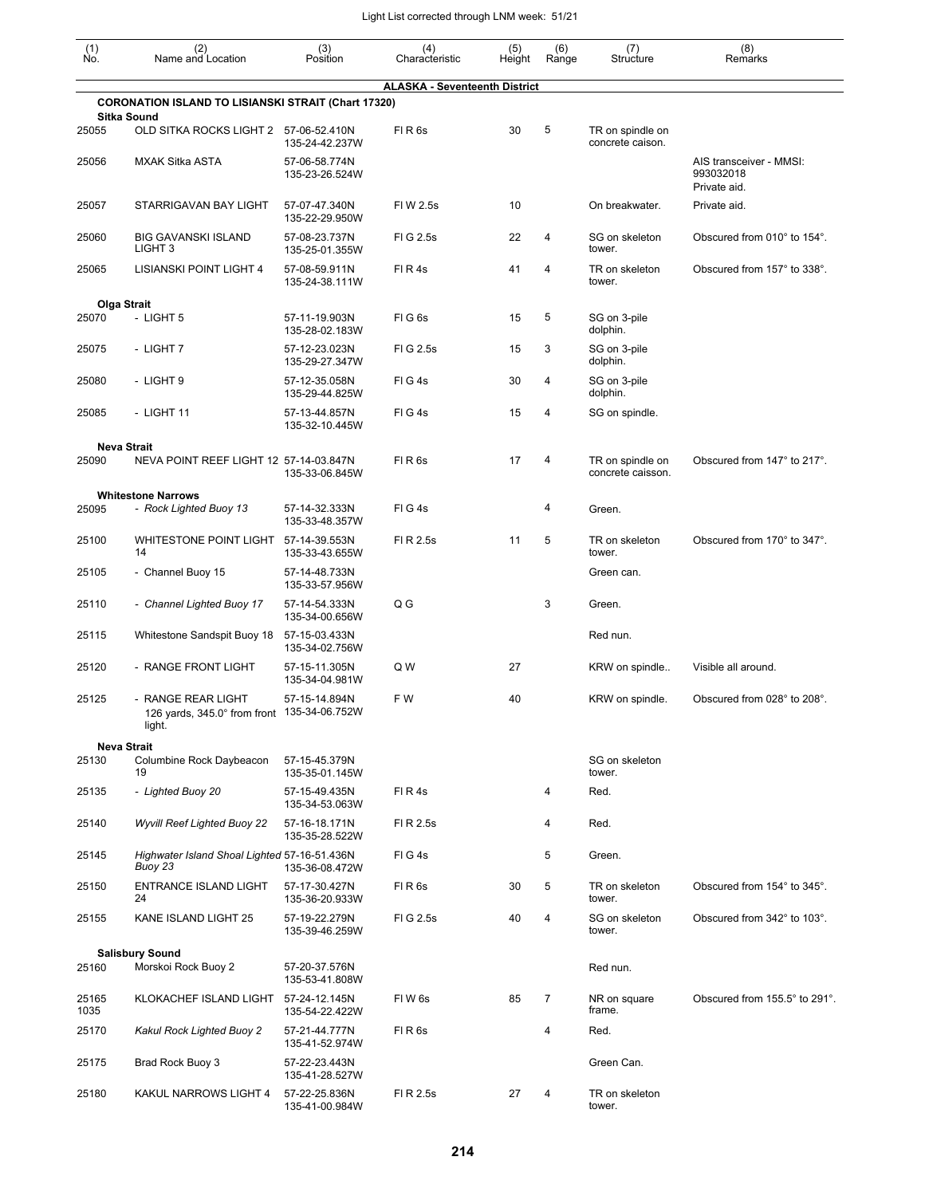| $\begin{smallmatrix} (1) \ N0. \end{smallmatrix}$ | (2)<br>Name and Location                                                    | (3)<br>Position                                   | (4)<br>Characteristic                | (5)<br>Height | (6)<br>Range   | (7)<br>Structure                      | (8)<br>Remarks                       |
|---------------------------------------------------|-----------------------------------------------------------------------------|---------------------------------------------------|--------------------------------------|---------------|----------------|---------------------------------------|--------------------------------------|
|                                                   | <b>CORONATION ISLAND TO LISIANSKI STRAIT (Chart 17320)</b>                  |                                                   | <b>ALASKA - Seventeenth District</b> |               |                |                                       |                                      |
| 25055                                             | <b>Sitka Sound</b><br>OLD SITKA ROCKS LIGHT 2                               | 57-06-52.410N                                     | FIR6s                                | 30            | 5              | TR on spindle on                      |                                      |
| 25056                                             | <b>MXAK Sitka ASTA</b>                                                      | 135-24-42.237W<br>57-06-58.774N<br>135-23-26.524W |                                      |               |                | concrete caison.                      | AIS transceiver - MMSI:<br>993032018 |
| 25057                                             | STARRIGAVAN BAY LIGHT                                                       | 57-07-47.340N                                     | FIW 2.5s                             | 10            |                | On breakwater.                        | Private aid.<br>Private aid.         |
| 25060                                             | <b>BIG GAVANSKI ISLAND</b>                                                  | 135-22-29.950W<br>57-08-23.737N                   | FIG 2.5s                             | 22            | 4              | SG on skeleton                        | Obscured from 010° to 154°.          |
| 25065                                             | LIGHT <sub>3</sub><br>LISIANSKI POINT LIGHT 4                               | 135-25-01.355W<br>57-08-59.911N                   | FIR4s                                | 41            | 4              | tower.<br>TR on skeleton              | Obscured from 157° to 338°.          |
|                                                   |                                                                             | 135-24-38.111W                                    |                                      |               |                | tower.                                |                                      |
| 25070                                             | Olga Strait<br>- LIGHT 5                                                    | 57-11-19.903N<br>135-28-02.183W                   | FIG6s                                | 15            | 5              | SG on 3-pile<br>dolphin.              |                                      |
| 25075                                             | - LIGHT 7                                                                   | 57-12-23.023N<br>135-29-27.347W                   | FIG 2.5s                             | 15            | 3              | SG on 3-pile<br>dolphin.              |                                      |
| 25080                                             | - LIGHT 9                                                                   | 57-12-35.058N<br>135-29-44.825W                   | FIG4s                                | 30            | 4              | SG on 3-pile<br>dolphin.              |                                      |
| 25085                                             | - LIGHT 11                                                                  | 57-13-44.857N<br>135-32-10.445W                   | FIG4s                                | 15            | 4              | SG on spindle.                        |                                      |
|                                                   | <b>Neva Strait</b>                                                          |                                                   |                                      |               |                |                                       |                                      |
| 25090                                             | NEVA POINT REEF LIGHT 12 57-14-03.847N                                      | 135-33-06.845W                                    | FIR <sub>6s</sub>                    | 17            | 4              | TR on spindle on<br>concrete caisson. | Obscured from 147° to 217°.          |
|                                                   | <b>Whitestone Narrows</b>                                                   |                                                   |                                      |               |                |                                       |                                      |
| 25095                                             | - Rock Lighted Buoy 13                                                      | 57-14-32.333N<br>135-33-48.357W                   | FIG4s                                |               | 4              | Green.                                |                                      |
| 25100                                             | WHITESTONE POINT LIGHT<br>14                                                | 57-14-39.553N<br>135-33-43.655W                   | FI R 2.5s                            | 11            | 5              | TR on skeleton<br>tower.              | Obscured from 170° to 347°.          |
| 25105                                             | - Channel Buoy 15                                                           | 57-14-48.733N<br>135-33-57.956W                   |                                      |               |                | Green can.                            |                                      |
| 25110                                             | - Channel Lighted Buoy 17                                                   | 57-14-54.333N<br>135-34-00.656W                   | Q G                                  |               | 3              | Green.                                |                                      |
| 25115                                             | Whitestone Sandspit Buoy 18                                                 | 57-15-03.433N<br>135-34-02.756W                   |                                      |               |                | Red nun.                              |                                      |
| 25120                                             | - RANGE FRONT LIGHT                                                         | 57-15-11.305N<br>135-34-04.981W                   | Q W                                  | 27            |                | KRW on spindle                        | Visible all around.                  |
| 25125                                             | - RANGE REAR LIGHT<br>126 yards, 345.0° from front 135-34-06.752W<br>light. | 57-15-14.894N                                     | F W                                  | 40            |                | KRW on spindle.                       | Obscured from 028° to 208°.          |
|                                                   | <b>Neva Strait</b>                                                          |                                                   |                                      |               |                |                                       |                                      |
| 25130                                             | Columbine Rock Daybeacon<br>19                                              | 57-15-45.379N<br>135-35-01.145W                   |                                      |               |                | SG on skeleton<br>tower.              |                                      |
| 25135                                             | - Lighted Buoy 20                                                           | 57-15-49.435N<br>135-34-53.063W                   | FIR4s                                |               | 4              | Red.                                  |                                      |
| 25140                                             | <b>Wyvill Reef Lighted Buoy 22</b>                                          | 57-16-18.171N<br>135-35-28.522W                   | FI R 2.5s                            |               | 4              | Red.                                  |                                      |
| 25145                                             | Highwater Island Shoal Lighted 57-16-51.436N<br>Buoy 23                     | 135-36-08.472W                                    | FIG4s                                |               | 5              | Green.                                |                                      |
| 25150                                             | <b>ENTRANCE ISLAND LIGHT</b><br>24                                          | 57-17-30.427N<br>135-36-20.933W                   | FIR6s                                | 30            | 5              | TR on skeleton<br>tower.              | Obscured from 154° to 345°.          |
| 25155                                             | KANE ISLAND LIGHT 25                                                        | 57-19-22.279N<br>135-39-46.259W                   | FIG 2.5s                             | 40            | 4              | SG on skeleton<br>tower.              | Obscured from 342° to 103°.          |
|                                                   | <b>Salisbury Sound</b>                                                      |                                                   |                                      |               |                |                                       |                                      |
| 25160                                             | Morskoi Rock Buoy 2                                                         | 57-20-37.576N<br>135-53-41.808W                   |                                      |               |                | Red nun.                              |                                      |
| 25165<br>1035                                     | KLOKACHEF ISLAND LIGHT                                                      | 57-24-12.145N<br>135-54-22.422W                   | FIW <sub>6s</sub>                    | 85            | $\overline{7}$ | NR on square<br>frame.                | Obscured from 155.5° to 291°.        |
| 25170                                             | Kakul Rock Lighted Buoy 2                                                   | 57-21-44.777N<br>135-41-52.974W                   | FIR <sub>6s</sub>                    |               | 4              | Red.                                  |                                      |
| 25175                                             | Brad Rock Buoy 3                                                            | 57-22-23.443N<br>135-41-28.527W                   |                                      |               |                | Green Can.                            |                                      |
| 25180                                             | KAKUL NARROWS LIGHT 4                                                       | 57-22-25.836N<br>135-41-00.984W                   | FI R 2.5s                            | 27            | 4              | TR on skeleton<br>tower.              |                                      |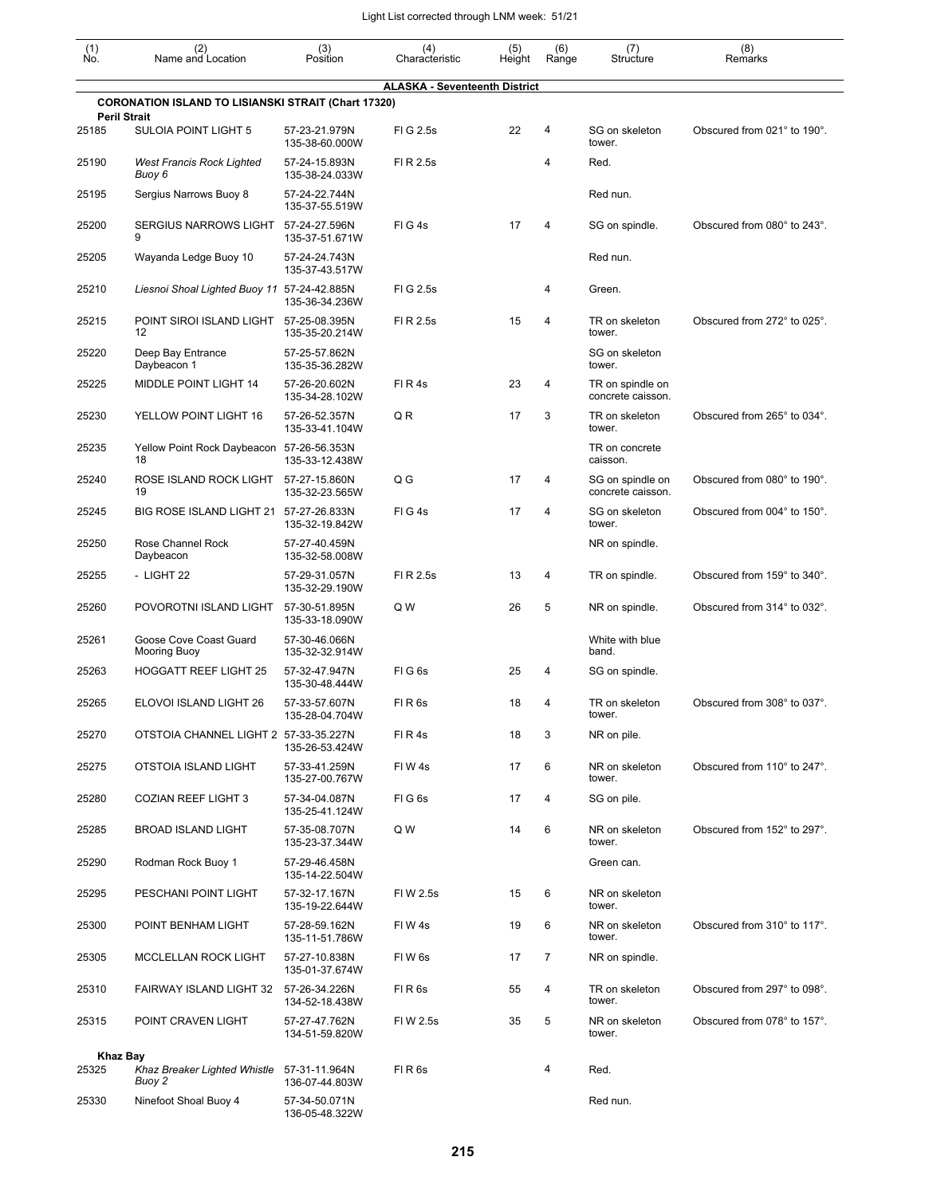| $\begin{smallmatrix} (1) \\ \mathsf{No} \end{smallmatrix}$ | (2)<br>Name and Location                                                          | (3)<br>Position                 | (4)<br>Characteristic                | (5)<br>Height | (6)<br>Range | (7)<br>Structure                      | (8)<br>Remarks              |
|------------------------------------------------------------|-----------------------------------------------------------------------------------|---------------------------------|--------------------------------------|---------------|--------------|---------------------------------------|-----------------------------|
|                                                            |                                                                                   |                                 | <b>ALASKA - Seventeenth District</b> |               |              |                                       |                             |
|                                                            | <b>CORONATION ISLAND TO LISIANSKI STRAIT (Chart 17320)</b><br><b>Peril Strait</b> |                                 |                                      |               |              |                                       |                             |
| 25185                                                      | <b>SULOIA POINT LIGHT 5</b>                                                       | 57-23-21.979N<br>135-38-60.000W | FIG 2.5s                             | 22            | 4            | SG on skeleton<br>tower.              | Obscured from 021° to 190°. |
| 25190                                                      | <b>West Francis Rock Lighted</b><br>Buoy 6                                        | 57-24-15.893N<br>135-38-24.033W | FI R 2.5s                            |               | 4            | Red.                                  |                             |
| 25195                                                      | Sergius Narrows Buoy 8                                                            | 57-24-22.744N<br>135-37-55.519W |                                      |               |              | Red nun.                              |                             |
| 25200                                                      | <b>SERGIUS NARROWS LIGHT</b><br>9                                                 | 57-24-27.596N<br>135-37-51.671W | FIG4s                                | 17            | 4            | SG on spindle.                        | Obscured from 080° to 243°. |
| 25205                                                      | Wayanda Ledge Buoy 10                                                             | 57-24-24.743N<br>135-37-43.517W |                                      |               |              | Red nun.                              |                             |
| 25210                                                      | Liesnoi Shoal Lighted Buoy 11 57-24-42.885N                                       | 135-36-34.236W                  | FIG 2.5s                             |               | 4            | Green.                                |                             |
| 25215                                                      | POINT SIROI ISLAND LIGHT<br>12                                                    | 57-25-08.395N<br>135-35-20.214W | FI R 2.5s                            | 15            | 4            | TR on skeleton<br>tower.              | Obscured from 272° to 025°. |
| 25220                                                      | Deep Bay Entrance<br>Daybeacon 1                                                  | 57-25-57.862N<br>135-35-36.282W |                                      |               |              | SG on skeleton<br>tower.              |                             |
| 25225                                                      | MIDDLE POINT LIGHT 14                                                             | 57-26-20.602N<br>135-34-28.102W | FIR4s                                | 23            | 4            | TR on spindle on<br>concrete caisson. |                             |
| 25230                                                      | YELLOW POINT LIGHT 16                                                             | 57-26-52.357N<br>135-33-41.104W | QR                                   | 17            | 3            | TR on skeleton<br>tower.              | Obscured from 265° to 034°. |
| 25235                                                      | Yellow Point Rock Daybeacon 57-26-56.353N<br>18                                   | 135-33-12.438W                  |                                      |               |              | TR on concrete<br>caisson.            |                             |
| 25240                                                      | ROSE ISLAND ROCK LIGHT<br>19                                                      | 57-27-15.860N<br>135-32-23.565W | Q G                                  | 17            | 4            | SG on spindle on<br>concrete caisson. | Obscured from 080° to 190°. |
| 25245                                                      | BIG ROSE ISLAND LIGHT 21                                                          | 57-27-26.833N<br>135-32-19.842W | FIG4s                                | 17            | 4            | SG on skeleton<br>tower.              | Obscured from 004° to 150°. |
| 25250                                                      | Rose Channel Rock<br>Daybeacon                                                    | 57-27-40.459N<br>135-32-58.008W |                                      |               |              | NR on spindle.                        |                             |
| 25255                                                      | - LIGHT 22                                                                        | 57-29-31.057N<br>135-32-29.190W | FI R 2.5s                            | 13            | 4            | TR on spindle.                        | Obscured from 159° to 340°. |
| 25260                                                      | POVOROTNI ISLAND LIGHT                                                            | 57-30-51.895N<br>135-33-18.090W | Q W                                  | 26            | 5            | NR on spindle.                        | Obscured from 314° to 032°. |
| 25261                                                      | Goose Cove Coast Guard<br>Mooring Buoy                                            | 57-30-46.066N<br>135-32-32.914W |                                      |               |              | White with blue<br>band.              |                             |
| 25263                                                      | <b>HOGGATT REEF LIGHT 25</b>                                                      | 57-32-47.947N<br>135-30-48.444W | FIG <sub>6s</sub>                    | 25            | 4            | SG on spindle.                        |                             |
| 25265                                                      | ELOVOI ISLAND LIGHT 26                                                            | 57-33-57.607N<br>135-28-04.704W | FIR <sub>6s</sub>                    | 18            | 4            | TR on skeleton<br>tower.              | Obscured from 308° to 037°. |
| 25270                                                      | OTSTOIA CHANNEL LIGHT 2 57-33-35.227N                                             | 135-26-53.424W                  | FIR4s                                | 18            | 3            | NR on pile.                           |                             |
| 25275                                                      | OTSTOIA ISLAND LIGHT                                                              | 57-33-41.259N<br>135-27-00.767W | FIW4s                                | 17            | 6            | NR on skeleton<br>tower.              | Obscured from 110° to 247°. |
| 25280                                                      | <b>COZIAN REEF LIGHT 3</b>                                                        | 57-34-04.087N<br>135-25-41.124W | FIG <sub>6s</sub>                    | 17            | 4            | SG on pile.                           |                             |
| 25285                                                      | <b>BROAD ISLAND LIGHT</b>                                                         | 57-35-08.707N<br>135-23-37.344W | Q W                                  | 14            | 6            | NR on skeleton<br>tower.              | Obscured from 152° to 297°. |
| 25290                                                      | Rodman Rock Buoy 1                                                                | 57-29-46.458N<br>135-14-22.504W |                                      |               |              | Green can.                            |                             |
| 25295                                                      | PESCHANI POINT LIGHT                                                              | 57-32-17.167N<br>135-19-22.644W | FIW 2.5s                             | 15            | 6            | NR on skeleton<br>tower.              |                             |
| 25300                                                      | POINT BENHAM LIGHT                                                                | 57-28-59.162N<br>135-11-51.786W | FIW4s                                | 19            | 6            | NR on skeleton<br>tower.              | Obscured from 310° to 117°. |
| 25305                                                      | MCCLELLAN ROCK LIGHT                                                              | 57-27-10.838N<br>135-01-37.674W | FIW <sub>6s</sub>                    | 17            | 7            | NR on spindle.                        |                             |
| 25310                                                      | FAIRWAY ISLAND LIGHT 32                                                           | 57-26-34.226N<br>134-52-18.438W | FIR <sub>6s</sub>                    | 55            | 4            | TR on skeleton<br>tower.              | Obscured from 297° to 098°. |
| 25315                                                      | POINT CRAVEN LIGHT                                                                | 57-27-47.762N<br>134-51-59.820W | FI W 2.5s                            | 35            | 5            | NR on skeleton<br>tower.              | Obscured from 078° to 157°. |
| <b>Khaz Bay</b>                                            |                                                                                   |                                 |                                      |               |              |                                       |                             |
| 25325                                                      | Khaz Breaker Lighted Whistle<br>Buoy 2                                            | 57-31-11.964N<br>136-07-44.803W | FIR <sub>6s</sub>                    |               | 4            | Red.                                  |                             |
| 25330                                                      | Ninefoot Shoal Buoy 4                                                             | 57-34-50.071N<br>136-05-48.322W |                                      |               |              | Red nun.                              |                             |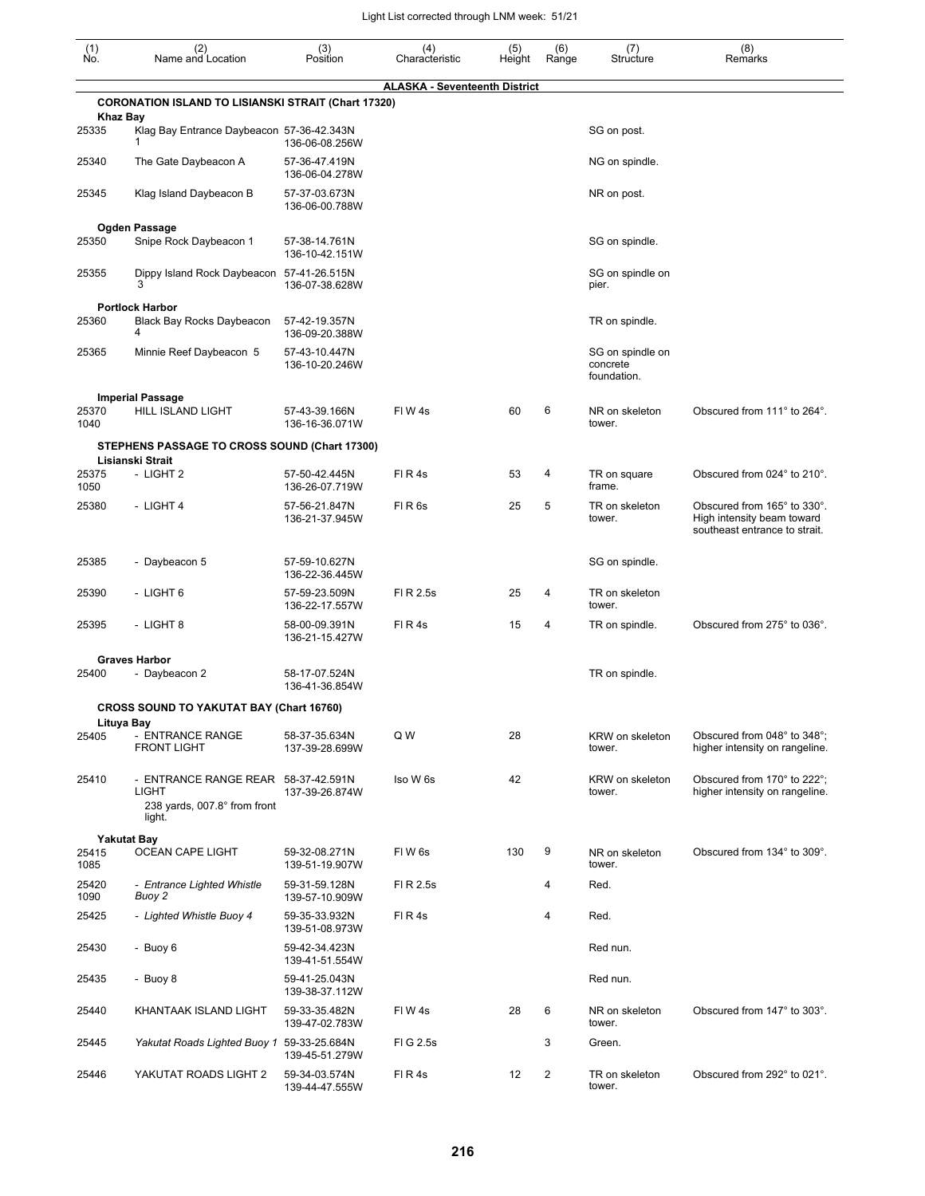| (1)<br>Ño.      | (2)<br>Name and Location                                                                      | (3)<br>Position                 | (4)<br>Characteristic                | (5)<br>Height | (6)<br>Range | (7)<br>Structure                            | (8)<br>Remarks                                                                             |
|-----------------|-----------------------------------------------------------------------------------------------|---------------------------------|--------------------------------------|---------------|--------------|---------------------------------------------|--------------------------------------------------------------------------------------------|
|                 |                                                                                               |                                 | <b>ALASKA - Seventeenth District</b> |               |              |                                             |                                                                                            |
| <b>Khaz Bay</b> | <b>CORONATION ISLAND TO LISIANSKI STRAIT (Chart 17320)</b>                                    |                                 |                                      |               |              |                                             |                                                                                            |
| 25335           | Klag Bay Entrance Daybeacon 57-36-42.343N                                                     | 136-06-08.256W                  |                                      |               |              | SG on post.                                 |                                                                                            |
| 25340           | The Gate Daybeacon A                                                                          | 57-36-47.419N<br>136-06-04.278W |                                      |               |              | NG on spindle.                              |                                                                                            |
| 25345           | Klag Island Daybeacon B                                                                       | 57-37-03.673N<br>136-06-00.788W |                                      |               |              | NR on post.                                 |                                                                                            |
|                 | Ogden Passage                                                                                 |                                 |                                      |               |              |                                             |                                                                                            |
| 25350           | Snipe Rock Daybeacon 1                                                                        | 57-38-14.761N<br>136-10-42.151W |                                      |               |              | SG on spindle.                              |                                                                                            |
| 25355           | Dippy Island Rock Daybeacon<br>3                                                              | 57-41-26.515N<br>136-07-38.628W |                                      |               |              | SG on spindle on<br>pier.                   |                                                                                            |
|                 | <b>Portlock Harbor</b>                                                                        |                                 |                                      |               |              |                                             |                                                                                            |
| 25360           | Black Bay Rocks Daybeacon<br>4                                                                | 57-42-19.357N<br>136-09-20.388W |                                      |               |              | TR on spindle.                              |                                                                                            |
| 25365           | Minnie Reef Daybeacon 5                                                                       | 57-43-10.447N<br>136-10-20.246W |                                      |               |              | SG on spindle on<br>concrete<br>foundation. |                                                                                            |
|                 | <b>Imperial Passage</b>                                                                       |                                 |                                      |               |              |                                             |                                                                                            |
| 25370<br>1040   | <b>HILL ISLAND LIGHT</b>                                                                      | 57-43-39.166N<br>136-16-36.071W | FIW4s                                | 60            | 6            | NR on skeleton<br>tower.                    | Obscured from 111° to 264°.                                                                |
|                 | STEPHENS PASSAGE TO CROSS SOUND (Chart 17300)                                                 |                                 |                                      |               |              |                                             |                                                                                            |
| 25375<br>1050   | Lisianski Strait<br>- LIGHT 2                                                                 | 57-50-42.445N<br>136-26-07.719W | FIR4s                                | 53            | 4            | TR on square<br>frame.                      | Obscured from 024° to 210°.                                                                |
| 25380           | - LIGHT 4                                                                                     | 57-56-21.847N<br>136-21-37.945W | FIR <sub>6s</sub>                    | 25            | 5            | TR on skeleton<br>tower.                    | Obscured from 165° to 330°.<br>High intensity beam toward<br>southeast entrance to strait. |
| 25385           | - Daybeacon 5                                                                                 | 57-59-10.627N<br>136-22-36.445W |                                      |               |              | SG on spindle.                              |                                                                                            |
| 25390           | - LIGHT 6                                                                                     | 57-59-23.509N<br>136-22-17.557W | FI R 2.5s                            | 25            | 4            | TR on skeleton<br>tower.                    |                                                                                            |
| 25395           | - LIGHT 8                                                                                     | 58-00-09.391N<br>136-21-15.427W | FIR4s                                | 15            | 4            | TR on spindle.                              | Obscured from 275° to 036°.                                                                |
|                 | <b>Graves Harbor</b>                                                                          |                                 |                                      |               |              |                                             |                                                                                            |
| 25400           | - Daybeacon 2                                                                                 | 58-17-07.524N<br>136-41-36.854W |                                      |               |              | TR on spindle.                              |                                                                                            |
|                 | <b>CROSS SOUND TO YAKUTAT BAY (Chart 16760)</b>                                               |                                 |                                      |               |              |                                             |                                                                                            |
| Lituya Bay      | - ENTRANCE RANGE                                                                              | 58-37-35.634N                   | Q W                                  | 28            |              | KRW on skeleton                             | Obscured from 048° to 348°;                                                                |
| 25405           | <b>FRONT LIGHT</b>                                                                            | 137-39-28.699W                  |                                      |               |              | tower.                                      | higher intensity on rangeline.                                                             |
| 25410           | - ENTRANCE RANGE REAR 58-37-42.591N<br><b>LIGHT</b><br>238 yards, 007.8° from front<br>light. | 137-39-26.874W                  | Iso W 6s                             | 42            |              | KRW on skeleton<br>tower.                   | Obscured from 170° to 222°;<br>higher intensity on rangeline.                              |
|                 |                                                                                               |                                 |                                      |               |              |                                             |                                                                                            |
| 25415<br>1085   | <b>Yakutat Bay</b><br>OCEAN CAPE LIGHT                                                        | 59-32-08.271N<br>139-51-19.907W | FIW <sub>6s</sub>                    | 130           | 9            | NR on skeleton<br>tower.                    | Obscured from 134° to 309°.                                                                |
| 25420<br>1090   | - Entrance Lighted Whistle<br>Buoy 2                                                          | 59-31-59.128N<br>139-57-10.909W | FI R 2.5s                            |               | 4            | Red.                                        |                                                                                            |
| 25425           | - Lighted Whistle Buoy 4                                                                      | 59-35-33.932N<br>139-51-08.973W | FIR4s                                |               | 4            | Red.                                        |                                                                                            |
| 25430           | - Buoy 6                                                                                      | 59-42-34.423N<br>139-41-51.554W |                                      |               |              | Red nun.                                    |                                                                                            |
| 25435           | - Buoy 8                                                                                      | 59-41-25.043N<br>139-38-37.112W |                                      |               |              | Red nun.                                    |                                                                                            |
| 25440           | KHANTAAK ISLAND LIGHT                                                                         | 59-33-35.482N<br>139-47-02.783W | FIW4s                                | 28            | 6            | NR on skeleton<br>tower.                    | Obscured from 147° to 303°.                                                                |
| 25445           | Yakutat Roads Lighted Buoy 1                                                                  | 59-33-25.684N<br>139-45-51.279W | FIG 2.5s                             |               | 3            | Green.                                      |                                                                                            |
| 25446           | YAKUTAT ROADS LIGHT 2                                                                         | 59-34-03.574N<br>139-44-47.555W | FIR4s                                | 12            | 2            | TR on skeleton<br>tower.                    | Obscured from 292° to 021°.                                                                |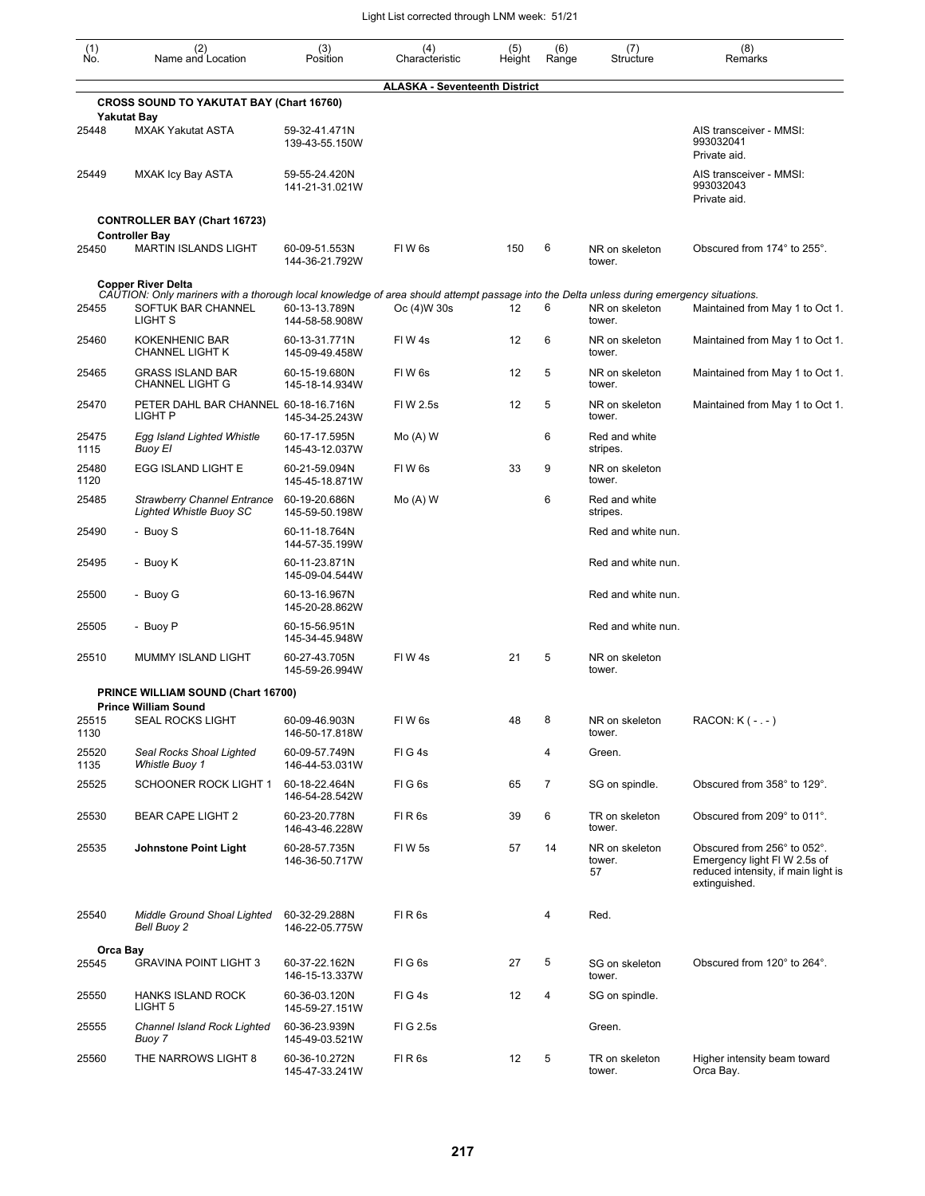| (1)<br>Ño.        | (2)<br>Name and Location                                                                                                                                                  | (3)<br>Position                 | (4)<br>Characteristic                | (5)<br>Height | (6)<br>Range | (7)<br>Structure               | (8)<br>Remarks                                                                                                     |
|-------------------|---------------------------------------------------------------------------------------------------------------------------------------------------------------------------|---------------------------------|--------------------------------------|---------------|--------------|--------------------------------|--------------------------------------------------------------------------------------------------------------------|
|                   |                                                                                                                                                                           |                                 | <b>ALASKA - Seventeenth District</b> |               |              |                                |                                                                                                                    |
|                   | <b>CROSS SOUND TO YAKUTAT BAY (Chart 16760)</b><br><b>Yakutat Bay</b>                                                                                                     |                                 |                                      |               |              |                                |                                                                                                                    |
| 25448             | <b>MXAK Yakutat ASTA</b>                                                                                                                                                  | 59-32-41.471N<br>139-43-55.150W |                                      |               |              |                                | AIS transceiver - MMSI:<br>993032041<br>Private aid.                                                               |
| 25449             | <b>MXAK Icy Bay ASTA</b>                                                                                                                                                  | 59-55-24.420N<br>141-21-31.021W |                                      |               |              |                                | AIS transceiver - MMSI:<br>993032043<br>Private aid.                                                               |
|                   | <b>CONTROLLER BAY (Chart 16723)</b>                                                                                                                                       |                                 |                                      |               |              |                                |                                                                                                                    |
| 25450             | <b>Controller Bay</b><br>MARTIN ISLANDS LIGHT                                                                                                                             | 60-09-51.553N<br>144-36-21.792W | FIW <sub>6s</sub>                    | 150           | 6            | NR on skeleton<br>tower.       | Obscured from 174° to 255°.                                                                                        |
|                   | <b>Copper River Delta</b>                                                                                                                                                 |                                 |                                      |               |              |                                |                                                                                                                    |
| 25455             | CAUTION: Only mariners with a thorough local knowledge of area should attempt passage into the Delta unless during emergency situations.<br>SOFTUK BAR CHANNEL<br>LIGHT S | 60-13-13.789N<br>144-58-58.908W | Oc (4) W 30s                         | 12            | 6            | NR on skeleton<br>tower.       | Maintained from May 1 to Oct 1.                                                                                    |
| 25460             | <b>KOKENHENIC BAR</b><br><b>CHANNEL LIGHT K</b>                                                                                                                           | 60-13-31.771N<br>145-09-49.458W | FIW 4s                               | 12            | 6            | NR on skeleton<br>tower.       | Maintained from May 1 to Oct 1.                                                                                    |
| 25465             | <b>GRASS ISLAND BAR</b><br><b>CHANNEL LIGHT G</b>                                                                                                                         | 60-15-19.680N<br>145-18-14.934W | FIW <sub>6s</sub>                    | 12            | 5            | NR on skeleton<br>tower.       | Maintained from May 1 to Oct 1.                                                                                    |
| 25470             | PETER DAHL BAR CHANNEL 60-18-16.716N<br>LIGHT P                                                                                                                           | 145-34-25.243W                  | FI W 2.5s                            | 12            | 5            | NR on skeleton<br>tower.       | Maintained from May 1 to Oct 1.                                                                                    |
| 25475<br>1115     | Egg Island Lighted Whistle<br>Buoy El                                                                                                                                     | 60-17-17.595N<br>145-43-12.037W | $Mo(A)$ W                            |               | 6            | Red and white<br>stripes.      |                                                                                                                    |
| 25480<br>1120     | EGG ISLAND LIGHT E                                                                                                                                                        | 60-21-59.094N<br>145-45-18.871W | FIW <sub>6s</sub>                    | 33            | 9            | NR on skeleton<br>tower.       |                                                                                                                    |
| 25485             | <b>Strawberry Channel Entrance</b><br><b>Lighted Whistle Buoy SC</b>                                                                                                      | 60-19-20.686N<br>145-59-50.198W | $Mo(A)$ W                            |               | 6            | Red and white<br>stripes.      |                                                                                                                    |
| 25490             | - Buoy S                                                                                                                                                                  | 60-11-18.764N<br>144-57-35.199W |                                      |               |              | Red and white nun.             |                                                                                                                    |
| 25495             | - Buoy K                                                                                                                                                                  | 60-11-23.871N<br>145-09-04.544W |                                      |               |              | Red and white nun.             |                                                                                                                    |
| 25500             | - Buoy G                                                                                                                                                                  | 60-13-16.967N<br>145-20-28.862W |                                      |               |              | Red and white nun.             |                                                                                                                    |
| 25505             | - Buoy P                                                                                                                                                                  | 60-15-56.951N<br>145-34-45.948W |                                      |               |              | Red and white nun.             |                                                                                                                    |
| 25510             | MUMMY ISLAND LIGHT                                                                                                                                                        | 60-27-43.705N<br>145-59-26.994W | FIW 4s                               | 21            | 5            | NR on skeleton<br>tower.       |                                                                                                                    |
|                   | PRINCE WILLIAM SOUND (Chart 16700)                                                                                                                                        |                                 |                                      |               |              |                                |                                                                                                                    |
| 25515             | <b>Prince William Sound</b><br><b>SEAL ROCKS LIGHT</b>                                                                                                                    | 60-09-46.903N                   | FIW 6s                               | 48            | 8            | NR on skeleton                 | $RACON: K(-,-)$                                                                                                    |
| 1130              |                                                                                                                                                                           | 146-50-17.818W                  |                                      |               |              | tower.                         |                                                                                                                    |
| 25520<br>1135     | Seal Rocks Shoal Lighted<br>Whistle Buoy 1                                                                                                                                | 60-09-57.749N<br>146-44-53.031W | FIG4s                                |               | 4            | Green.                         |                                                                                                                    |
| 25525             | <b>SCHOONER ROCK LIGHT 1</b>                                                                                                                                              | 60-18-22.464N<br>146-54-28.542W | FIG6s                                | 65            | 7            | SG on spindle.                 | Obscured from 358° to 129°.                                                                                        |
| 25530             | <b>BEAR CAPE LIGHT 2</b>                                                                                                                                                  | 60-23-20.778N<br>146-43-46.228W | FIR <sub>6s</sub>                    | 39            | 6            | TR on skeleton<br>tower.       | Obscured from 209° to 011°.                                                                                        |
| 25535             | <b>Johnstone Point Light</b>                                                                                                                                              | 60-28-57.735N<br>146-36-50.717W | FIW 5s                               | 57            | 14           | NR on skeleton<br>tower.<br>57 | Obscured from 256° to 052°.<br>Emergency light FIW 2.5s of<br>reduced intensity, if main light is<br>extinguished. |
| 25540             | Middle Ground Shoal Lighted<br>Bell Buoy 2                                                                                                                                | 60-32-29.288N<br>146-22-05.775W | FIR <sub>6s</sub>                    |               | 4            | Red.                           |                                                                                                                    |
| Orca Bay<br>25545 |                                                                                                                                                                           |                                 | FIG <sub>6s</sub>                    | 27            | 5            | SG on skeleton                 | Obscured from 120° to 264°.                                                                                        |
|                   | <b>GRAVINA POINT LIGHT 3</b>                                                                                                                                              | 60-37-22.162N<br>146-15-13.337W |                                      |               |              | tower.                         |                                                                                                                    |
| 25550             | <b>HANKS ISLAND ROCK</b><br>LIGHT <sub>5</sub>                                                                                                                            | 60-36-03.120N<br>145-59-27.151W | FIG4s                                | 12            | 4            | SG on spindle.                 |                                                                                                                    |
| 25555             | Channel Island Rock Lighted<br>Buoy 7                                                                                                                                     | 60-36-23.939N<br>145-49-03.521W | FIG 2.5s                             |               |              | Green.                         |                                                                                                                    |
| 25560             | THE NARROWS LIGHT 8                                                                                                                                                       | 60-36-10.272N<br>145-47-33.241W | FIR <sub>6s</sub>                    | 12            | 5            | TR on skeleton<br>tower.       | Higher intensity beam toward<br>Orca Bay.                                                                          |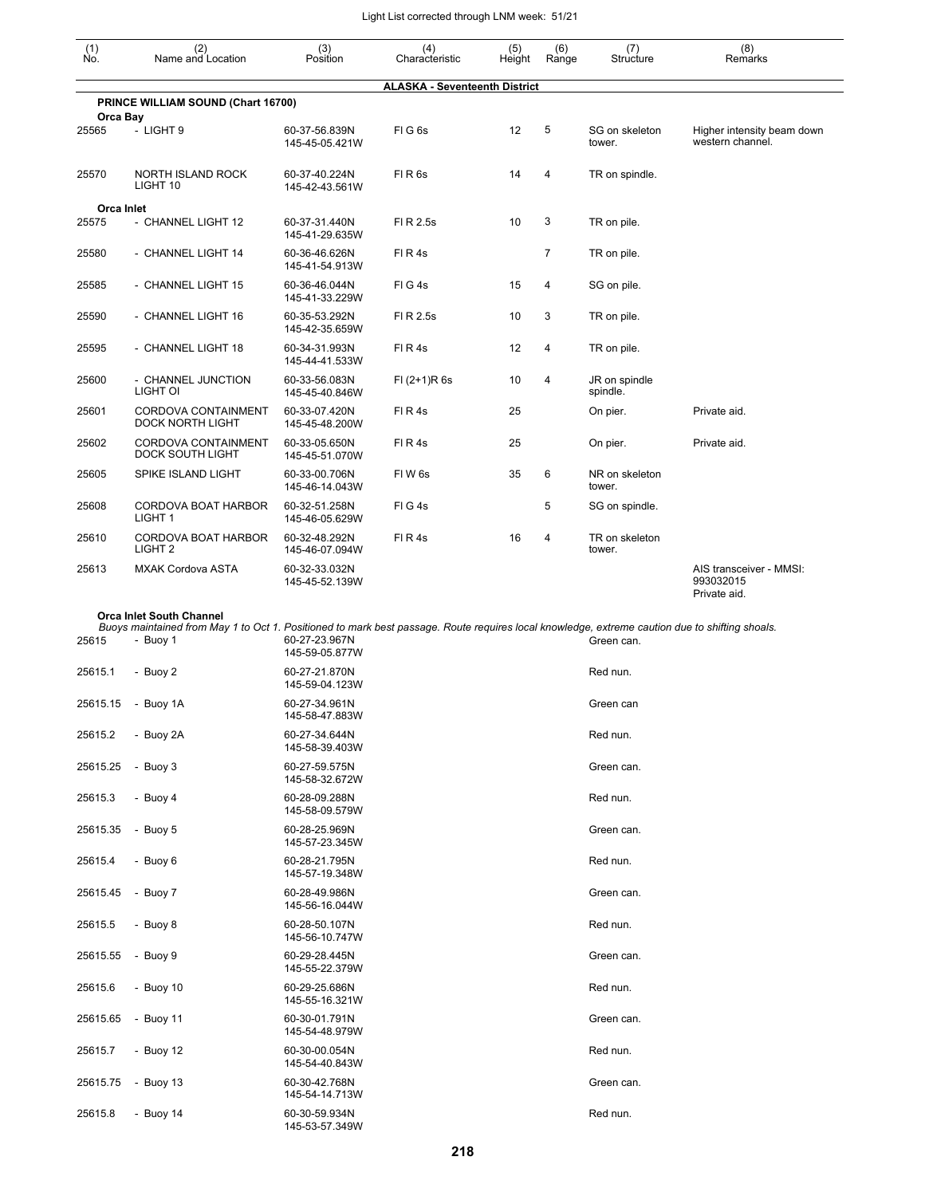| $\begin{smallmatrix} (1) \\ \mathsf{No} \end{smallmatrix}$ | (2)<br>Name and Location                                                                                                                                                          | (3)<br>Position                 | (4)<br>Characteristic                | (5)<br>Height | (6)<br>Range   | (7)<br>Structure          | (8)<br>Remarks                                       |
|------------------------------------------------------------|-----------------------------------------------------------------------------------------------------------------------------------------------------------------------------------|---------------------------------|--------------------------------------|---------------|----------------|---------------------------|------------------------------------------------------|
|                                                            |                                                                                                                                                                                   |                                 | <b>ALASKA - Seventeenth District</b> |               |                |                           |                                                      |
|                                                            | PRINCE WILLIAM SOUND (Chart 16700)                                                                                                                                                |                                 |                                      |               |                |                           |                                                      |
| Orca Bay<br>25565                                          | - LIGHT 9                                                                                                                                                                         | 60-37-56.839N<br>145-45-05.421W | FIG6s                                | 12            | 5              | SG on skeleton<br>tower.  | Higher intensity beam down<br>western channel.       |
| 25570                                                      | <b>NORTH ISLAND ROCK</b><br>LIGHT 10                                                                                                                                              | 60-37-40.224N<br>145-42-43.561W | FIR6s                                | 14            | 4              | TR on spindle.            |                                                      |
| Orca Inlet                                                 |                                                                                                                                                                                   |                                 |                                      |               |                |                           |                                                      |
| 25575                                                      | - CHANNEL LIGHT 12                                                                                                                                                                | 60-37-31.440N<br>145-41-29.635W | FI R 2.5s                            | 10            | 3              | TR on pile.               |                                                      |
| 25580                                                      | - CHANNEL LIGHT 14                                                                                                                                                                | 60-36-46.626N<br>145-41-54.913W | FIR4s                                |               | $\overline{7}$ | TR on pile.               |                                                      |
| 25585                                                      | - CHANNEL LIGHT 15                                                                                                                                                                | 60-36-46.044N<br>145-41-33.229W | FIG4s                                | 15            | 4              | SG on pile.               |                                                      |
| 25590                                                      | - CHANNEL LIGHT 16                                                                                                                                                                | 60-35-53.292N<br>145-42-35.659W | FI R 2.5s                            | 10            | 3              | TR on pile.               |                                                      |
| 25595                                                      | - CHANNEL LIGHT 18                                                                                                                                                                | 60-34-31.993N<br>145-44-41.533W | FIR4s                                | 12            | 4              | TR on pile.               |                                                      |
| 25600                                                      | - CHANNEL JUNCTION<br>LIGHT OI                                                                                                                                                    | 60-33-56.083N<br>145-45-40.846W | $FI (2+1)R 6s$                       | 10            | 4              | JR on spindle<br>spindle. |                                                      |
| 25601                                                      | CORDOVA CONTAINMENT<br><b>DOCK NORTH LIGHT</b>                                                                                                                                    | 60-33-07.420N<br>145-45-48.200W | FIR4s                                | 25            |                | On pier.                  | Private aid.                                         |
| 25602                                                      | CORDOVA CONTAINMENT<br>DOCK SOUTH LIGHT                                                                                                                                           | 60-33-05.650N<br>145-45-51.070W | FIR4s                                | 25            |                | On pier.                  | Private aid.                                         |
| 25605                                                      | SPIKE ISLAND LIGHT                                                                                                                                                                | 60-33-00.706N<br>145-46-14.043W | FIW <sub>6s</sub>                    | 35            | 6              | NR on skeleton<br>tower.  |                                                      |
| 25608                                                      | CORDOVA BOAT HARBOR<br>LIGHT <sub>1</sub>                                                                                                                                         | 60-32-51.258N<br>145-46-05.629W | FIG4s                                |               | 5              | SG on spindle.            |                                                      |
| 25610                                                      | CORDOVA BOAT HARBOR<br>LIGHT <sub>2</sub>                                                                                                                                         | 60-32-48.292N<br>145-46-07.094W | FIR4s                                | 16            | 4              | TR on skeleton<br>tower.  |                                                      |
| 25613                                                      | <b>MXAK Cordova ASTA</b>                                                                                                                                                          | 60-32-33.032N<br>145-45-52.139W |                                      |               |                |                           | AIS transceiver - MMSI:<br>993032015<br>Private aid. |
|                                                            | <b>Orca Inlet South Channel</b><br>Buoys maintained from May 1 to Oct 1. Positioned to mark best passage. Route requires local knowledge, extreme caution due to shifting shoals. |                                 |                                      |               |                |                           |                                                      |
| 25615                                                      | - Buoy 1                                                                                                                                                                          | 60-27-23.967N<br>145-59-05.877W |                                      |               |                | Green can.                |                                                      |
| 25615.1                                                    | - Buoy 2                                                                                                                                                                          | 60-27-21.870N<br>145-59-04.123W |                                      |               |                | Red nun.                  |                                                      |
| 25615.15                                                   | - Buoy 1A                                                                                                                                                                         | 60-27-34.961N<br>145-58-47.883W |                                      |               |                | Green can                 |                                                      |
| 25615.2                                                    | - Buoy 2A                                                                                                                                                                         | 60-27-34.644N<br>145-58-39.403W |                                      |               |                | Red nun.                  |                                                      |
| 25615.25                                                   | - Buoy 3                                                                                                                                                                          | 60-27-59.575N<br>145-58-32.672W |                                      |               |                | Green can.                |                                                      |
| 25615.3                                                    | - Buoy 4                                                                                                                                                                          | 60-28-09.288N<br>145-58-09.579W |                                      |               |                | Red nun.                  |                                                      |
| 25615.35                                                   | - Buoy 5                                                                                                                                                                          | 60-28-25.969N<br>145-57-23.345W |                                      |               |                | Green can.                |                                                      |
| 25615.4                                                    | - Buoy 6                                                                                                                                                                          | 60-28-21.795N<br>145-57-19.348W |                                      |               |                | Red nun.                  |                                                      |
| 25615.45                                                   | - Buoy 7                                                                                                                                                                          | 60-28-49.986N<br>145-56-16.044W |                                      |               |                | Green can.                |                                                      |
| 25615.5                                                    | - Buoy 8                                                                                                                                                                          | 60-28-50.107N<br>145-56-10.747W |                                      |               |                | Red nun.                  |                                                      |
| 25615.55                                                   | - Buoy 9                                                                                                                                                                          | 60-29-28.445N<br>145-55-22.379W |                                      |               |                | Green can.                |                                                      |
| 25615.6                                                    | - Buoy 10                                                                                                                                                                         | 60-29-25.686N<br>145-55-16.321W |                                      |               |                | Red nun.                  |                                                      |
| 25615.65                                                   | - Buoy 11                                                                                                                                                                         | 60-30-01.791N<br>145-54-48.979W |                                      |               |                | Green can.                |                                                      |
| 25615.7                                                    | - Buoy 12                                                                                                                                                                         | 60-30-00.054N<br>145-54-40.843W |                                      |               |                | Red nun.                  |                                                      |
| 25615.75                                                   | - Buoy 13                                                                                                                                                                         | 60-30-42.768N<br>145-54-14.713W |                                      |               |                | Green can.                |                                                      |
| 25615.8                                                    | - Buoy $14$                                                                                                                                                                       | 60-30-59.934N<br>145-53-57.349W |                                      |               |                | Red nun.                  |                                                      |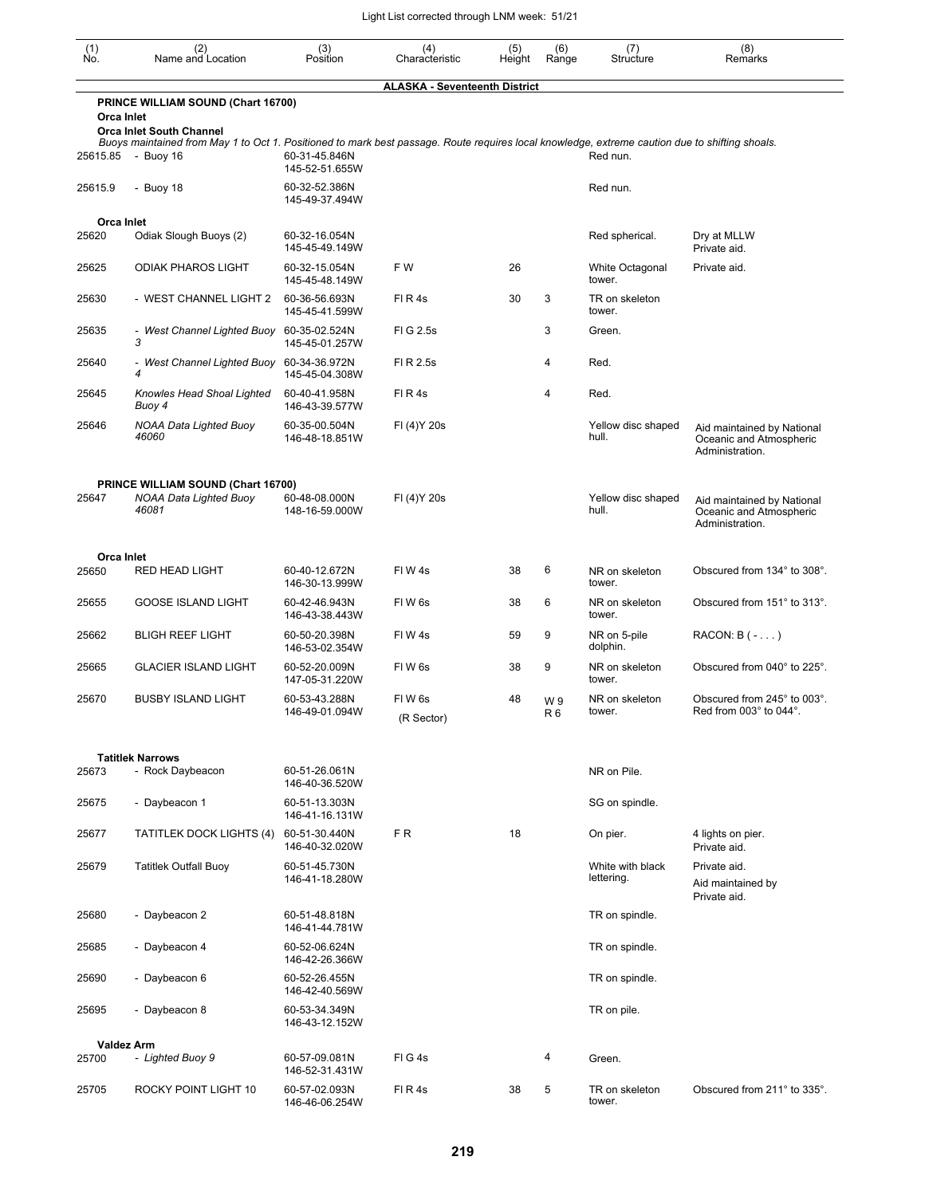| (1)<br>No.        | (2)<br>Name and Location                                                                                                                                                          | (3)<br>Position                 | (4)<br>Characteristic                | (5)<br>Height | (6)<br>Range         | (7)<br>Structure               | (8)<br>Remarks                                                           |
|-------------------|-----------------------------------------------------------------------------------------------------------------------------------------------------------------------------------|---------------------------------|--------------------------------------|---------------|----------------------|--------------------------------|--------------------------------------------------------------------------|
|                   |                                                                                                                                                                                   |                                 | <b>ALASKA - Seventeenth District</b> |               |                      |                                |                                                                          |
| Orca Inlet        | PRINCE WILLIAM SOUND (Chart 16700)                                                                                                                                                |                                 |                                      |               |                      |                                |                                                                          |
|                   | <b>Orca Inlet South Channel</b><br>Buoys maintained from May 1 to Oct 1. Positioned to mark best passage. Route requires local knowledge, extreme caution due to shifting shoals. |                                 |                                      |               |                      |                                |                                                                          |
| 25615.85          | - Buoy 16                                                                                                                                                                         | 60-31-45.846N<br>145-52-51.655W |                                      |               |                      | Red nun.                       |                                                                          |
| 25615.9           | - Buoy 18                                                                                                                                                                         | 60-32-52.386N<br>145-49-37.494W |                                      |               |                      | Red nun.                       |                                                                          |
| Orca Inlet        |                                                                                                                                                                                   |                                 |                                      |               |                      |                                |                                                                          |
| 25620             | Odiak Slough Buoys (2)                                                                                                                                                            | 60-32-16.054N<br>145-45-49.149W |                                      |               |                      | Red spherical.                 | Dry at MLLW<br>Private aid.                                              |
| 25625             | <b>ODIAK PHAROS LIGHT</b>                                                                                                                                                         | 60-32-15.054N<br>145-45-48.149W | FW                                   | 26            |                      | White Octagonal<br>tower.      | Private aid.                                                             |
| 25630             | - WEST CHANNEL LIGHT 2                                                                                                                                                            | 60-36-56.693N<br>145-45-41.599W | FIR4s                                | 30            | 3                    | TR on skeleton<br>tower.       |                                                                          |
| 25635             | - West Channel Lighted Buoy 60-35-02.524N<br>3                                                                                                                                    | 145-45-01.257W                  | FIG 2.5s                             |               | 3                    | Green.                         |                                                                          |
| 25640             | - West Channel Lighted Buoy<br>4                                                                                                                                                  | 60-34-36.972N<br>145-45-04.308W | FI R 2.5s                            |               | 4                    | Red.                           |                                                                          |
| 25645             | Knowles Head Shoal Lighted<br>Buoy 4                                                                                                                                              | 60-40-41.958N<br>146-43-39.577W | FIR4s                                |               | 4                    | Red.                           |                                                                          |
| 25646             | <b>NOAA Data Lighted Buoy</b><br>46060                                                                                                                                            | 60-35-00.504N<br>146-48-18.851W | FI (4) Y 20s                         |               |                      | Yellow disc shaped<br>hull.    | Aid maintained by National<br>Oceanic and Atmospheric<br>Administration. |
| 25647             | PRINCE WILLIAM SOUND (Chart 16700)<br><b>NOAA Data Lighted Buoy</b><br>46081                                                                                                      | 60-48-08.000N<br>148-16-59.000W | FI (4) Y 20s                         |               |                      | Yellow disc shaped<br>hull.    | Aid maintained by National<br>Oceanic and Atmospheric<br>Administration. |
| <b>Orca Inlet</b> |                                                                                                                                                                                   |                                 |                                      |               |                      |                                |                                                                          |
| 25650             | RED HEAD LIGHT                                                                                                                                                                    | 60-40-12.672N<br>146-30-13.999W | FIW4s                                | 38            | 6                    | NR on skeleton<br>tower.       | Obscured from 134° to 308°.                                              |
| 25655             | <b>GOOSE ISLAND LIGHT</b>                                                                                                                                                         | 60-42-46.943N<br>146-43-38.443W | FIW <sub>6s</sub>                    | 38            | 6                    | NR on skeleton<br>tower.       | Obscured from 151° to 313°.                                              |
| 25662             | <b>BLIGH REEF LIGHT</b>                                                                                                                                                           | 60-50-20.398N<br>146-53-02.354W | FIW4s                                | 59            | 9                    | NR on 5-pile<br>dolphin.       | $RACON: B(-)$                                                            |
| 25665             | <b>GLACIER ISLAND LIGHT</b>                                                                                                                                                       | 60-52-20.009N<br>147-05-31.220W | FIW <sub>6s</sub>                    | 38            | 9                    | NR on skeleton<br>tower.       | Obscured from 040° to 225°.                                              |
| 25670             | <b>BUSBY ISLAND LIGHT</b>                                                                                                                                                         | 60-53-43.288N<br>146-49-01.094W | FIW <sub>6s</sub><br>(R Sector)      | 48            | W9<br>R <sub>6</sub> | NR on skeleton<br>tower.       | Obscured from 245° to 003°.<br>Red from $003^\circ$ to $044^\circ$ .     |
|                   | <b>Tatitlek Narrows</b>                                                                                                                                                           |                                 |                                      |               |                      |                                |                                                                          |
| 25673             | - Rock Daybeacon                                                                                                                                                                  | 60-51-26.061N<br>146-40-36.520W |                                      |               |                      | NR on Pile.                    |                                                                          |
| 25675             | - Daybeacon 1                                                                                                                                                                     | 60-51-13.303N<br>146-41-16.131W |                                      |               |                      | SG on spindle.                 |                                                                          |
| 25677             | <b>TATITLEK DOCK LIGHTS (4)</b>                                                                                                                                                   | 60-51-30.440N<br>146-40-32.020W | FR.                                  | 18            |                      | On pier.                       | 4 lights on pier.<br>Private aid.                                        |
| 25679             | <b>Tatitlek Outfall Buoy</b>                                                                                                                                                      | 60-51-45.730N<br>146-41-18.280W |                                      |               |                      | White with black<br>lettering. | Private aid.<br>Aid maintained by<br>Private aid.                        |
| 25680             | - Daybeacon 2                                                                                                                                                                     | 60-51-48.818N<br>146-41-44.781W |                                      |               |                      | TR on spindle.                 |                                                                          |
| 25685             | - Daybeacon 4                                                                                                                                                                     | 60-52-06.624N<br>146-42-26.366W |                                      |               |                      | TR on spindle.                 |                                                                          |
| 25690             | - Daybeacon 6                                                                                                                                                                     | 60-52-26.455N<br>146-42-40.569W |                                      |               |                      | TR on spindle.                 |                                                                          |
| 25695             | - Daybeacon 8                                                                                                                                                                     | 60-53-34.349N<br>146-43-12.152W |                                      |               |                      | TR on pile.                    |                                                                          |
|                   | <b>Valdez Arm</b>                                                                                                                                                                 |                                 |                                      |               |                      |                                |                                                                          |
| 25700             | - Lighted Buoy 9                                                                                                                                                                  | 60-57-09.081N<br>146-52-31.431W | FIG4s                                |               | 4                    | Green.                         |                                                                          |
| 25705             | ROCKY POINT LIGHT 10                                                                                                                                                              | 60-57-02.093N<br>146-46-06.254W | FIR4s                                | 38            | 5                    | TR on skeleton<br>tower.       | Obscured from 211° to 335°.                                              |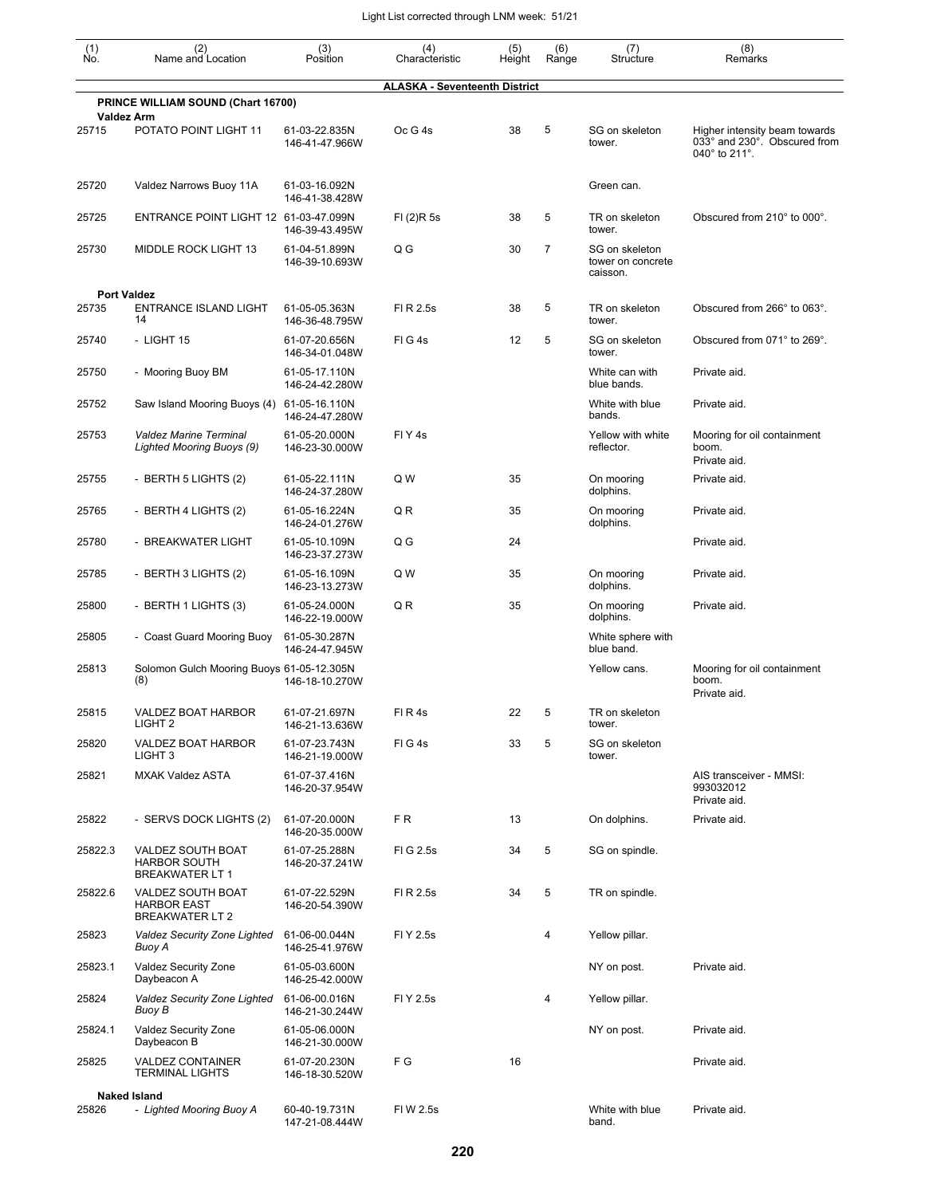| $\begin{smallmatrix} (1) \ N0. \end{smallmatrix}$ | (2)<br>Name and Location                                           | (3)<br>Position                 | (4)<br>Characteristic                | (5)<br>Height | (6)<br>Range | (7)<br>Structure                                | (8)<br>Remarks                                                                 |
|---------------------------------------------------|--------------------------------------------------------------------|---------------------------------|--------------------------------------|---------------|--------------|-------------------------------------------------|--------------------------------------------------------------------------------|
|                                                   |                                                                    |                                 | <b>ALASKA - Seventeenth District</b> |               |              |                                                 |                                                                                |
|                                                   | PRINCE WILLIAM SOUND (Chart 16700)                                 |                                 |                                      |               |              |                                                 |                                                                                |
| <b>Valdez Arm</b><br>25715                        | POTATO POINT LIGHT 11                                              | 61-03-22.835N<br>146-41-47.966W | Oc G 4s                              | 38            | 5            | SG on skeleton<br>tower.                        | Higher intensity beam towards<br>033° and 230°. Obscured from<br>040° to 211°. |
| 25720                                             | Valdez Narrows Buoy 11A                                            | 61-03-16.092N<br>146-41-38.428W |                                      |               |              | Green can.                                      |                                                                                |
| 25725                                             | ENTRANCE POINT LIGHT 12 61-03-47.099N                              | 146-39-43.495W                  | FI(2)R5s                             | 38            | 5            | TR on skeleton<br>tower.                        | Obscured from 210° to 000°.                                                    |
| 25730                                             | MIDDLE ROCK LIGHT 13                                               | 61-04-51.899N<br>146-39-10.693W | Q G                                  | 30            | 7            | SG on skeleton<br>tower on concrete<br>caisson. |                                                                                |
| 25735                                             | <b>Port Valdez</b><br><b>ENTRANCE ISLAND LIGHT</b>                 | 61-05-05.363N                   | FI R 2.5s                            | 38            | 5            | TR on skeleton                                  | Obscured from 266° to 063°.                                                    |
| 25740                                             | 14<br>- LIGHT 15                                                   | 146-36-48.795W<br>61-07-20.656N | $FI$ G 4s                            | 12            | 5            | tower.<br>SG on skeleton                        | Obscured from 071° to 269°.                                                    |
| 25750                                             | - Mooring Buoy BM                                                  | 146-34-01.048W<br>61-05-17.110N |                                      |               |              | tower.<br>White can with                        | Private aid.                                                                   |
|                                                   |                                                                    | 146-24-42.280W                  |                                      |               |              | blue bands.                                     |                                                                                |
| 25752                                             | Saw Island Mooring Buoys (4)                                       | 61-05-16.110N<br>146-24-47.280W |                                      |               |              | White with blue<br>bands.                       | Private aid.                                                                   |
| 25753                                             | <b>Valdez Marine Terminal</b><br>Lighted Mooring Buoys (9)         | 61-05-20.000N<br>146-23-30.000W | FIY <sub>4s</sub>                    |               |              | Yellow with white<br>reflector.                 | Mooring for oil containment<br>boom.<br>Private aid.                           |
| 25755                                             | - BERTH 5 LIGHTS (2)                                               | 61-05-22.111N<br>146-24-37.280W | Q W                                  | 35            |              | On mooring<br>dolphins.                         | Private aid.                                                                   |
| 25765                                             | - BERTH 4 LIGHTS (2)                                               | 61-05-16.224N<br>146-24-01.276W | Q R                                  | 35            |              | On mooring<br>dolphins.                         | Private aid.                                                                   |
| 25780                                             | - BREAKWATER LIGHT                                                 | 61-05-10.109N<br>146-23-37.273W | Q G                                  | 24            |              |                                                 | Private aid.                                                                   |
| 25785                                             | - BERTH 3 LIGHTS (2)                                               | 61-05-16.109N<br>146-23-13.273W | Q W                                  | 35            |              | On mooring<br>dolphins.                         | Private aid.                                                                   |
| 25800                                             | - BERTH 1 LIGHTS (3)                                               | 61-05-24.000N<br>146-22-19.000W | Q R                                  | 35            |              | On mooring<br>dolphins.                         | Private aid.                                                                   |
| 25805                                             | - Coast Guard Mooring Buoy                                         | 61-05-30.287N<br>146-24-47.945W |                                      |               |              | White sphere with<br>blue band.                 |                                                                                |
| 25813                                             | Solomon Gulch Mooring Buoys 61-05-12.305N<br>(8)                   | 146-18-10.270W                  |                                      |               |              | Yellow cans.                                    | Mooring for oil containment<br>boom.<br>Private aid.                           |
| 25815                                             | VALDEZ BOAT HARBOR<br>LIGHT <sub>2</sub>                           | 61-07-21.697N<br>146-21-13.636W | FIR4s                                | 22            | b            | TR on skeleton<br>tower.                        |                                                                                |
| 25820                                             | VALDEZ BOAT HARBOR<br>LIGHT <sub>3</sub>                           | 61-07-23.743N<br>146-21-19.000W | FIG4s                                | 33            | 5            | SG on skeleton<br>tower.                        |                                                                                |
| 25821                                             | <b>MXAK Valdez ASTA</b>                                            | 61-07-37.416N<br>146-20-37.954W |                                      |               |              |                                                 | AIS transceiver - MMSI:<br>993032012<br>Private aid.                           |
| 25822                                             | - SERVS DOCK LIGHTS (2)                                            | 61-07-20.000N<br>146-20-35.000W | FR.                                  | 13            |              | On dolphins.                                    | Private aid.                                                                   |
| 25822.3                                           | VALDEZ SOUTH BOAT<br><b>HARBOR SOUTH</b><br><b>BREAKWATER LT 1</b> | 61-07-25.288N<br>146-20-37.241W | FIG 2.5s                             | 34            | 5            | SG on spindle.                                  |                                                                                |
| 25822.6                                           | VALDEZ SOUTH BOAT<br><b>HARBOR EAST</b><br><b>BREAKWATER LT 2</b>  | 61-07-22.529N<br>146-20-54.390W | FI R 2.5s                            | 34            | 5            | TR on spindle.                                  |                                                                                |
| 25823                                             | Valdez Security Zone Lighted<br>Buoy A                             | 61-06-00.044N<br>146-25-41.976W | FI Y 2.5s                            |               | 4            | Yellow pillar.                                  |                                                                                |
| 25823.1                                           | Valdez Security Zone<br>Daybeacon A                                | 61-05-03.600N<br>146-25-42.000W |                                      |               |              | NY on post.                                     | Private aid.                                                                   |
| 25824                                             | Valdez Security Zone Lighted<br>Buoy B                             | 61-06-00.016N<br>146-21-30.244W | FI Y 2.5s                            |               | 4            | Yellow pillar.                                  |                                                                                |
| 25824.1                                           | Valdez Security Zone<br>Daybeacon B                                | 61-05-06.000N<br>146-21-30.000W |                                      |               |              | NY on post.                                     | Private aid.                                                                   |
| 25825                                             | <b>VALDEZ CONTAINER</b><br><b>TERMINAL LIGHTS</b>                  | 61-07-20.230N<br>146-18-30.520W | F G                                  | 16            |              |                                                 | Private aid.                                                                   |
| 25826                                             | <b>Naked Island</b><br>- Lighted Mooring Buoy A                    | 60-40-19.731N                   | FI W 2.5s                            |               |              | White with blue                                 | Private aid.                                                                   |
|                                                   |                                                                    | 147-21-08.444W                  |                                      |               |              | band.                                           |                                                                                |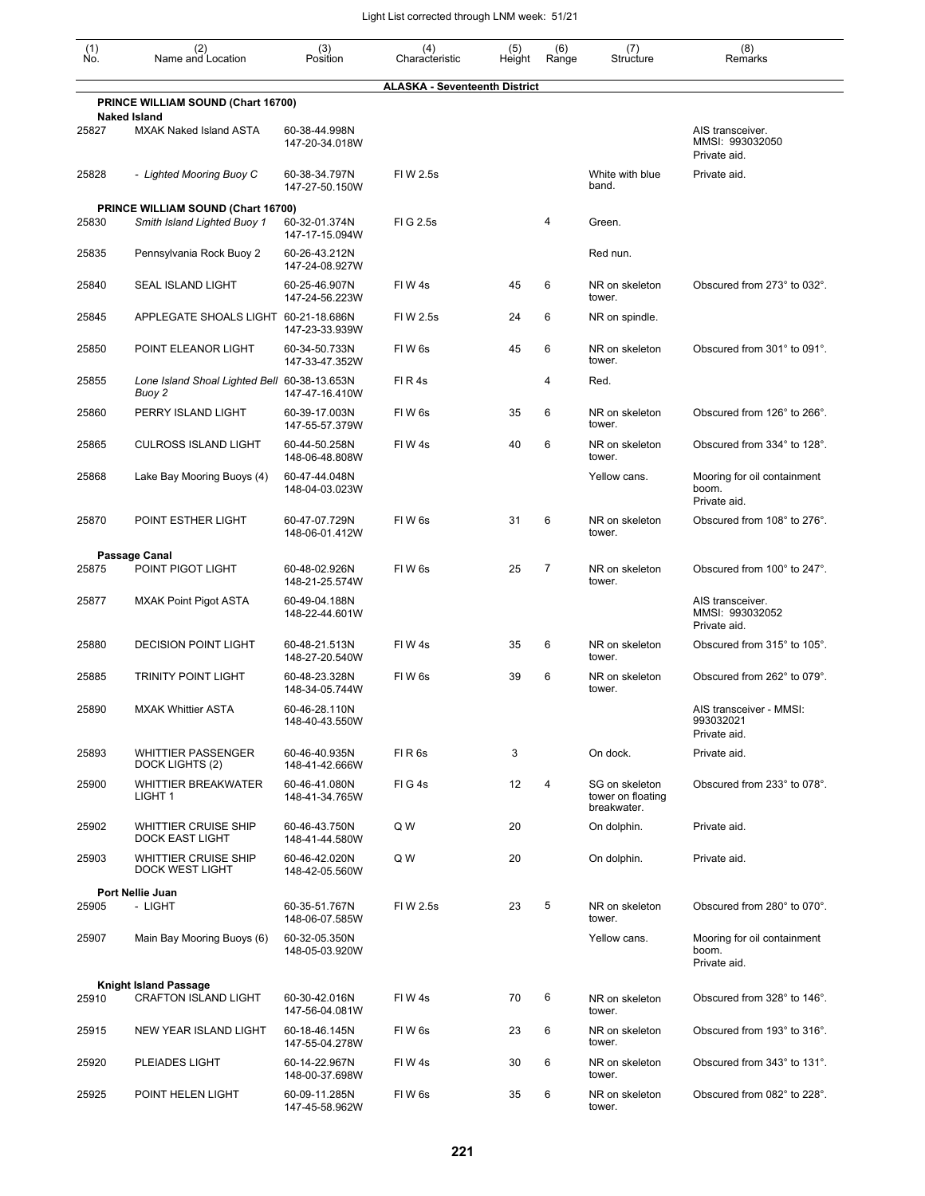| (1)<br>No. | (2)<br>Name and Location                                          | (3)<br>Position                 | (4)<br>Characteristic                | (5)<br>Height | (6)<br>Range | (7)<br>Structure                                   | (8)<br>Remarks                                       |
|------------|-------------------------------------------------------------------|---------------------------------|--------------------------------------|---------------|--------------|----------------------------------------------------|------------------------------------------------------|
|            |                                                                   |                                 | <b>ALASKA - Seventeenth District</b> |               |              |                                                    |                                                      |
|            | PRINCE WILLIAM SOUND (Chart 16700)                                |                                 |                                      |               |              |                                                    |                                                      |
| 25827      | <b>Naked Island</b><br><b>MXAK Naked Island ASTA</b>              | 60-38-44.998N<br>147-20-34.018W |                                      |               |              |                                                    | AIS transceiver.<br>MMSI: 993032050<br>Private aid.  |
| 25828      | - Lighted Mooring Buoy C                                          | 60-38-34.797N<br>147-27-50.150W | FI W 2.5s                            |               |              | White with blue<br>band.                           | Private aid.                                         |
| 25830      | PRINCE WILLIAM SOUND (Chart 16700)<br>Smith Island Lighted Buoy 1 | 60-32-01.374N<br>147-17-15.094W | FIG 2.5s                             |               | 4            | Green.                                             |                                                      |
| 25835      | Pennsylvania Rock Buoy 2                                          | 60-26-43.212N<br>147-24-08.927W |                                      |               |              | Red nun.                                           |                                                      |
| 25840      | <b>SEAL ISLAND LIGHT</b>                                          | 60-25-46.907N<br>147-24-56.223W | FIW4s                                | 45            | 6            | NR on skeleton<br>tower.                           | Obscured from 273° to 032°.                          |
| 25845      | APPLEGATE SHOALS LIGHT 60-21-18.686N                              | 147-23-33.939W                  | FIW 2.5s                             | 24            | 6            | NR on spindle.                                     |                                                      |
| 25850      | POINT ELEANOR LIGHT                                               | 60-34-50.733N<br>147-33-47.352W | FIW <sub>6s</sub>                    | 45            | 6            | NR on skeleton<br>tower.                           | Obscured from 301° to 091°.                          |
| 25855      | Lone Island Shoal Lighted Bell 60-38-13.653N<br>Buoy 2            | 147-47-16.410W                  | FIR4s                                |               | 4            | Red.                                               |                                                      |
| 25860      | PERRY ISLAND LIGHT                                                | 60-39-17.003N<br>147-55-57.379W | FIW <sub>6s</sub>                    | 35            | 6            | NR on skeleton<br>tower.                           | Obscured from 126° to 266°.                          |
| 25865      | <b>CULROSS ISLAND LIGHT</b>                                       | 60-44-50.258N<br>148-06-48.808W | FIW4s                                | 40            | 6            | NR on skeleton<br>tower.                           | Obscured from 334° to 128°.                          |
| 25868      | Lake Bay Mooring Buoys (4)                                        | 60-47-44.048N<br>148-04-03.023W |                                      |               |              | Yellow cans.                                       | Mooring for oil containment<br>boom.<br>Private aid. |
| 25870      | POINT ESTHER LIGHT                                                | 60-47-07.729N<br>148-06-01.412W | FIW <sub>6s</sub>                    | 31            | 6            | NR on skeleton<br>tower.                           | Obscured from 108° to 276°.                          |
| 25875      | Passage Canal<br>POINT PIGOT LIGHT                                | 60-48-02.926N<br>148-21-25.574W | FIW <sub>6s</sub>                    | 25            | 7            | NR on skeleton<br>tower.                           | Obscured from 100° to 247°.                          |
| 25877      | MXAK Point Pigot ASTA                                             | 60-49-04.188N<br>148-22-44.601W |                                      |               |              |                                                    | AIS transceiver.<br>MMSI: 993032052<br>Private aid.  |
| 25880      | <b>DECISION POINT LIGHT</b>                                       | 60-48-21.513N<br>148-27-20.540W | FIW4s                                | 35            | 6            | NR on skeleton<br>tower.                           | Obscured from 315° to 105°.                          |
| 25885      | <b>TRINITY POINT LIGHT</b>                                        | 60-48-23.328N<br>148-34-05.744W | FIW <sub>6s</sub>                    | 39            | 6            | NR on skeleton<br>tower.                           | Obscured from 262° to 079°.                          |
| 25890      | <b>MXAK Whittier ASTA</b>                                         | 60-46-28.110N<br>148-40-43.550W |                                      |               |              |                                                    | AIS transceiver - MMSI:<br>993032021<br>Private aid. |
| 25893      | <b>WHITTIER PASSENGER</b><br>DOCK LIGHTS (2)                      | 60-46-40.935N<br>148-41-42.666W | FIR <sub>6s</sub>                    | 3             |              | On dock.                                           | Private aid.                                         |
| 25900      | <b>WHITTIER BREAKWATER</b><br>LIGHT 1                             | 60-46-41.080N<br>148-41-34.765W | FIG4s                                | 12            | 4            | SG on skeleton<br>tower on floating<br>breakwater. | Obscured from 233° to 078°.                          |
| 25902      | <b>WHITTIER CRUISE SHIP</b><br><b>DOCK EAST LIGHT</b>             | 60-46-43.750N<br>148-41-44.580W | Q W                                  | 20            |              | On dolphin.                                        | Private aid.                                         |
| 25903      | <b>WHITTIER CRUISE SHIP</b><br>DOCK WEST LIGHT                    | 60-46-42.020N<br>148-42-05.560W | Q W                                  | 20            |              | On dolphin.                                        | Private aid.                                         |
| 25905      | <b>Port Nellie Juan</b><br>- LIGHT                                | 60-35-51.767N<br>148-06-07.585W | FIW 2.5s                             | 23            | 5            | NR on skeleton<br>tower.                           | Obscured from 280° to 070°.                          |
| 25907      | Main Bay Mooring Buoys (6)                                        | 60-32-05.350N<br>148-05-03.920W |                                      |               |              | Yellow cans.                                       | Mooring for oil containment<br>boom.<br>Private aid. |
| 25910      | Knight Island Passage<br><b>CRAFTON ISLAND LIGHT</b>              | 60-30-42.016N<br>147-56-04.081W | FIW4s                                | 70            | 6            | NR on skeleton<br>tower.                           | Obscured from 328° to 146°.                          |
| 25915      | NEW YEAR ISLAND LIGHT                                             | 60-18-46.145N<br>147-55-04.278W | FIW <sub>6s</sub>                    | 23            | 6            | NR on skeleton<br>tower.                           | Obscured from 193° to 316°.                          |
| 25920      | PLEIADES LIGHT                                                    | 60-14-22.967N<br>148-00-37.698W | FIW4s                                | 30            | 6            | NR on skeleton<br>tower.                           | Obscured from 343° to 131°.                          |
| 25925      | POINT HELEN LIGHT                                                 | 60-09-11.285N<br>147-45-58.962W | FIW <sub>6s</sub>                    | 35            | 6            | NR on skeleton<br>tower.                           | Obscured from 082° to 228°.                          |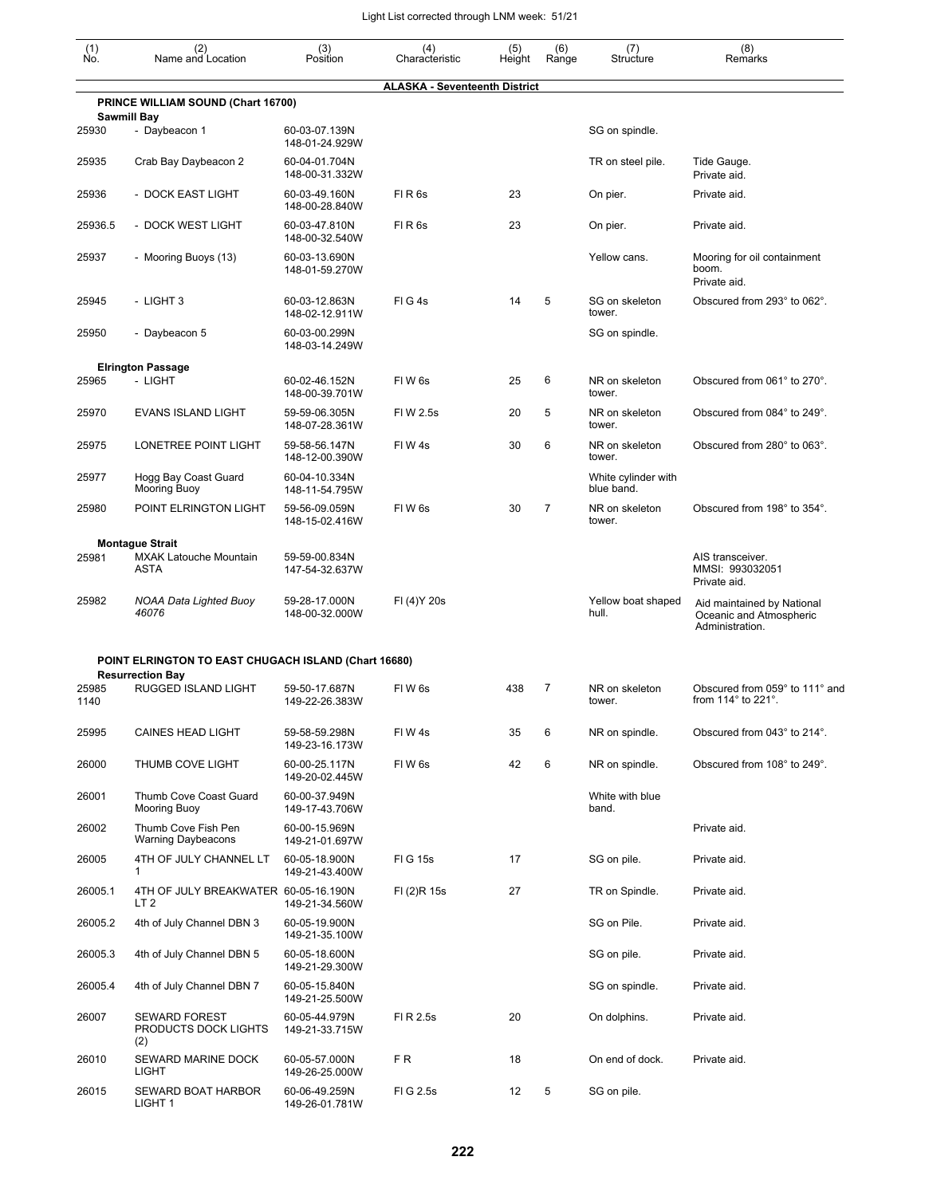| (1)<br>Ńó. | (2)<br>Name and Location                                | (3)<br>Position                 | (4)<br>Characteristic                | (5)<br>Height | (6)<br>Range   | (7)<br>Structure                  | (8)<br>Remarks                                                           |
|------------|---------------------------------------------------------|---------------------------------|--------------------------------------|---------------|----------------|-----------------------------------|--------------------------------------------------------------------------|
|            | PRINCE WILLIAM SOUND (Chart 16700)                      |                                 | <b>ALASKA - Seventeenth District</b> |               |                |                                   |                                                                          |
|            | <b>Sawmill Bay</b>                                      |                                 |                                      |               |                |                                   |                                                                          |
| 25930      | - Daybeacon 1                                           | 60-03-07.139N<br>148-01-24.929W |                                      |               |                | SG on spindle.                    |                                                                          |
| 25935      | Crab Bay Daybeacon 2                                    | 60-04-01.704N<br>148-00-31.332W |                                      |               |                | TR on steel pile.                 | Tide Gauge.<br>Private aid.                                              |
| 25936      | - DOCK EAST LIGHT                                       | 60-03-49.160N<br>148-00-28.840W | FIR <sub>6s</sub>                    | 23            |                | On pier.                          | Private aid.                                                             |
| 25936.5    | - DOCK WEST LIGHT                                       | 60-03-47.810N<br>148-00-32.540W | FIR <sub>6s</sub>                    | 23            |                | On pier.                          | Private aid.                                                             |
| 25937      | - Mooring Buoys (13)                                    | 60-03-13.690N<br>148-01-59.270W |                                      |               |                | Yellow cans.                      | Mooring for oil containment<br>boom.<br>Private aid.                     |
| 25945      | - LIGHT 3                                               | 60-03-12.863N<br>148-02-12.911W | FIG4s                                | 14            | 5              | SG on skeleton<br>tower.          | Obscured from 293° to 062°.                                              |
| 25950      | - Daybeacon 5                                           | 60-03-00.299N<br>148-03-14.249W |                                      |               |                | SG on spindle.                    |                                                                          |
|            | <b>Elrington Passage</b>                                |                                 |                                      |               |                |                                   |                                                                          |
| 25965      | - LIGHT                                                 | 60-02-46.152N<br>148-00-39.701W | FIW <sub>6s</sub>                    | 25            | 6              | NR on skeleton<br>tower.          | Obscured from 061° to 270°.                                              |
| 25970      | <b>EVANS ISLAND LIGHT</b>                               | 59-59-06.305N<br>148-07-28.361W | FI W 2.5s                            | 20            | 5              | NR on skeleton<br>tower.          | Obscured from 084° to 249°.                                              |
| 25975      | LONETREE POINT LIGHT                                    | 59-58-56.147N<br>148-12-00.390W | FIW4s                                | 30            | 6              | NR on skeleton<br>tower.          | Obscured from 280° to 063°.                                              |
| 25977      | Hogg Bay Coast Guard<br>Mooring Buoy                    | 60-04-10.334N<br>148-11-54.795W |                                      |               |                | White cylinder with<br>blue band. |                                                                          |
| 25980      | POINT ELRINGTON LIGHT                                   | 59-56-09.059N<br>148-15-02.416W | FIW <sub>6s</sub>                    | 30            | $\overline{7}$ | NR on skeleton<br>tower.          | Obscured from 198° to 354°.                                              |
|            | <b>Montague Strait</b>                                  |                                 |                                      |               |                |                                   |                                                                          |
| 25981      | <b>MXAK Latouche Mountain</b><br><b>ASTA</b>            | 59-59-00.834N<br>147-54-32.637W |                                      |               |                |                                   | AIS transceiver.<br>MMSI: 993032051<br>Private aid.                      |
| 25982      | <b>NOAA Data Lighted Buoy</b><br>46076                  | 59-28-17.000N<br>148-00-32.000W | FI (4) Y 20s                         |               |                | Yellow boat shaped<br>hull.       | Aid maintained by National<br>Oceanic and Atmospheric<br>Administration. |
|            | POINT ELRINGTON TO EAST CHUGACH ISLAND (Chart 16680)    |                                 |                                      |               |                |                                   |                                                                          |
| 25985      | <b>Resurrection Bay</b><br>RUGGED ISLAND LIGHT          | 59-50-17.687N                   | FIW <sub>6s</sub>                    | 438           | 7              | NR on skeleton                    | Obscured from 059° to 111° and                                           |
| 1140       |                                                         | 149-22-26.383W                  |                                      |               |                | tower.                            | from 114° to 221°.                                                       |
| 25995      | <b>CAINES HEAD LIGHT</b>                                | 59-58-59.298N<br>149-23-16.173W | FIW 4s                               | 35            | 6              | NR on spindle.                    | Obscured from 043° to 214°.                                              |
| 26000      | THUMB COVE LIGHT                                        | 60-00-25.117N<br>149-20-02.445W | FIW <sub>6s</sub>                    | 42            | 6              | NR on spindle.                    | Obscured from 108° to 249°.                                              |
| 26001      | Thumb Cove Coast Guard<br>Mooring Buoy                  | 60-00-37.949N<br>149-17-43.706W |                                      |               |                | White with blue<br>band.          |                                                                          |
| 26002      | Thumb Cove Fish Pen<br><b>Warning Daybeacons</b>        | 60-00-15.969N<br>149-21-01.697W |                                      |               |                |                                   | Private aid.                                                             |
| 26005      | 4TH OF JULY CHANNEL LT<br>1                             | 60-05-18.900N<br>149-21-43.400W | <b>FIG 15s</b>                       | 17            |                | SG on pile.                       | Private aid.                                                             |
| 26005.1    | 4TH OF JULY BREAKWATER 60-05-16.190N<br>LT <sub>2</sub> | 149-21-34.560W                  | FI (2)R 15s                          | 27            |                | TR on Spindle.                    | Private aid.                                                             |
| 26005.2    | 4th of July Channel DBN 3                               | 60-05-19.900N<br>149-21-35.100W |                                      |               |                | SG on Pile.                       | Private aid.                                                             |
| 26005.3    | 4th of July Channel DBN 5                               | 60-05-18.600N<br>149-21-29.300W |                                      |               |                | SG on pile.                       | Private aid.                                                             |
| 26005.4    | 4th of July Channel DBN 7                               | 60-05-15.840N<br>149-21-25.500W |                                      |               |                | SG on spindle.                    | Private aid.                                                             |
| 26007      | <b>SEWARD FOREST</b><br>PRODUCTS DOCK LIGHTS<br>(2)     | 60-05-44.979N<br>149-21-33.715W | FI R 2.5s                            | 20            |                | On dolphins.                      | Private aid.                                                             |
| 26010      | SEWARD MARINE DOCK<br>LIGHT                             | 60-05-57.000N<br>149-26-25.000W | FR.                                  | 18            |                | On end of dock.                   | Private aid.                                                             |
| 26015      | SEWARD BOAT HARBOR<br>LIGHT 1                           | 60-06-49.259N<br>149-26-01.781W | FIG 2.5s                             | 12            | 5              | SG on pile.                       |                                                                          |

149-26-01.781W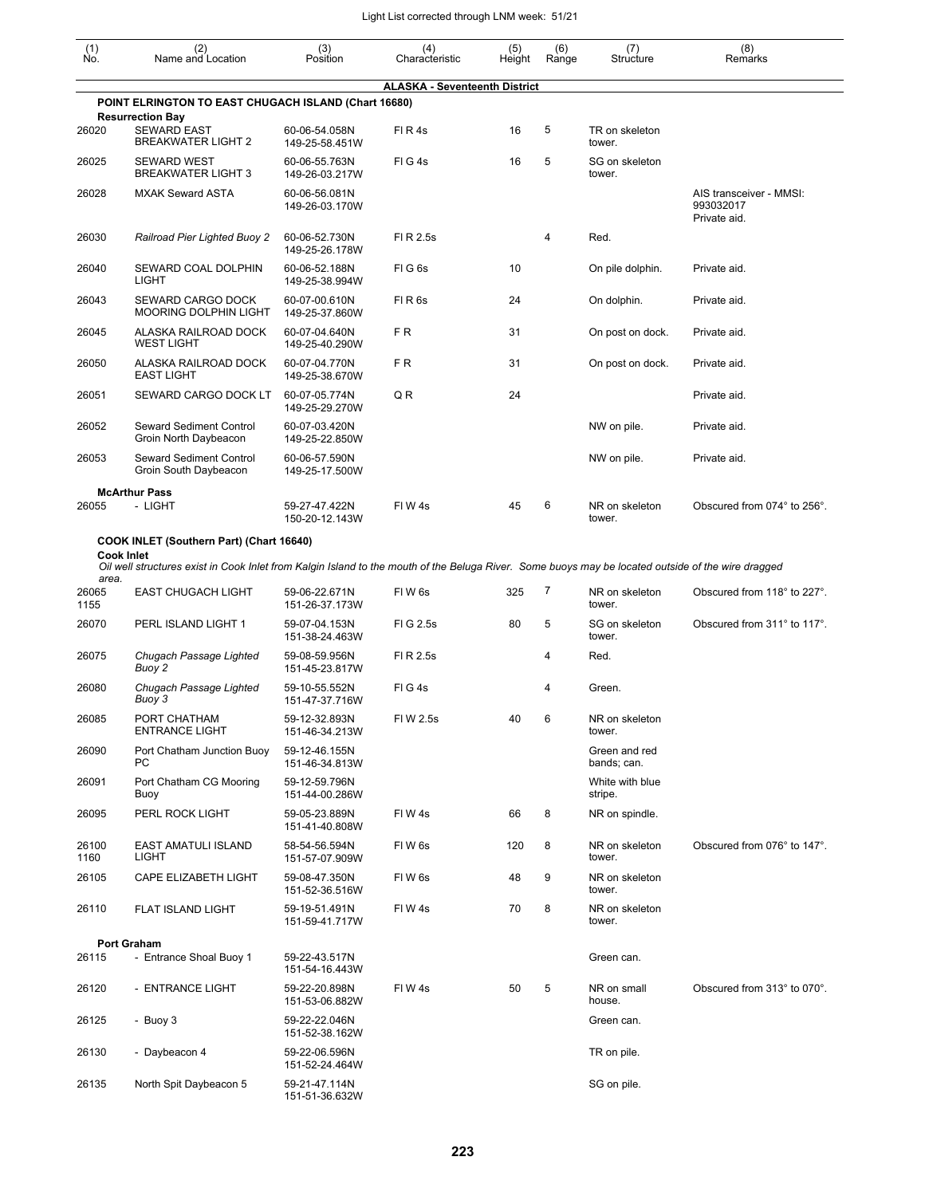| (1)<br>Ño.                 | (2)<br>Name and Location                                                                                                                           | (3)<br>Position                 | (4)<br>Characteristic                | (5)<br>Height | (6)<br>Range | (7)<br>Structure             | (8)<br>Remarks                                       |
|----------------------------|----------------------------------------------------------------------------------------------------------------------------------------------------|---------------------------------|--------------------------------------|---------------|--------------|------------------------------|------------------------------------------------------|
|                            |                                                                                                                                                    |                                 | <b>ALASKA - Seventeenth District</b> |               |              |                              |                                                      |
|                            | POINT ELRINGTON TO EAST CHUGACH ISLAND (Chart 16680)<br><b>Resurrection Bay</b>                                                                    |                                 |                                      |               |              |                              |                                                      |
| 26020                      | <b>SEWARD EAST</b><br><b>BREAKWATER LIGHT 2</b>                                                                                                    | 60-06-54.058N<br>149-25-58.451W | FIR4s                                | 16            | 5            | TR on skeleton<br>tower.     |                                                      |
| 26025                      | <b>SEWARD WEST</b><br><b>BREAKWATER LIGHT 3</b>                                                                                                    | 60-06-55.763N<br>149-26-03.217W | FIG4s                                | 16            | 5            | SG on skeleton<br>tower.     |                                                      |
| 26028                      | <b>MXAK Seward ASTA</b>                                                                                                                            | 60-06-56.081N<br>149-26-03.170W |                                      |               |              |                              | AIS transceiver - MMSI:<br>993032017<br>Private aid. |
| 26030                      | Railroad Pier Lighted Buoy 2                                                                                                                       | 60-06-52.730N<br>149-25-26.178W | FI R 2.5s                            |               | 4            | Red.                         |                                                      |
| 26040                      | SEWARD COAL DOLPHIN<br>LIGHT                                                                                                                       | 60-06-52.188N<br>149-25-38.994W | FIG <sub>6s</sub>                    | 10            |              | On pile dolphin.             | Private aid.                                         |
| 26043                      | SEWARD CARGO DOCK<br><b>MOORING DOLPHIN LIGHT</b>                                                                                                  | 60-07-00.610N<br>149-25-37.860W | FIR <sub>6s</sub>                    | 24            |              | On dolphin.                  | Private aid.                                         |
| 26045                      | ALASKA RAILROAD DOCK<br><b>WEST LIGHT</b>                                                                                                          | 60-07-04.640N<br>149-25-40.290W | FR.                                  | 31            |              | On post on dock.             | Private aid.                                         |
| 26050                      | ALASKA RAILROAD DOCK<br><b>EAST LIGHT</b>                                                                                                          | 60-07-04.770N<br>149-25-38.670W | F <sub>R</sub>                       | 31            |              | On post on dock.             | Private aid.                                         |
| 26051                      | SEWARD CARGO DOCK LT                                                                                                                               | 60-07-05.774N<br>149-25-29.270W | QR                                   | 24            |              |                              | Private aid.                                         |
| 26052                      | Seward Sediment Control<br>Groin North Daybeacon                                                                                                   | 60-07-03.420N<br>149-25-22.850W |                                      |               |              | NW on pile.                  | Private aid.                                         |
| 26053                      | Seward Sediment Control<br>Groin South Daybeacon                                                                                                   | 60-06-57.590N<br>149-25-17.500W |                                      |               |              | NW on pile.                  | Private aid.                                         |
|                            | <b>McArthur Pass</b>                                                                                                                               |                                 |                                      |               |              |                              |                                                      |
| 26055                      | - LIGHT                                                                                                                                            | 59-27-47.422N<br>150-20-12.143W | FIW4s                                | 45            | 6            | NR on skeleton<br>tower.     | Obscured from 074° to 256°.                          |
|                            | COOK INLET (Southern Part) (Chart 16640)                                                                                                           |                                 |                                      |               |              |                              |                                                      |
| <b>Cook Inlet</b><br>area. | Oil well structures exist in Cook Inlet from Kalgin Island to the mouth of the Beluga River. Some buoys may be located outside of the wire dragged |                                 |                                      |               |              |                              |                                                      |
| 26065<br>1155              | <b>EAST CHUGACH LIGHT</b>                                                                                                                          | 59-06-22.671N<br>151-26-37.173W | FIW <sub>6s</sub>                    | 325           | 7            | NR on skeleton<br>tower.     | Obscured from 118° to 227°.                          |
| 26070                      | PERL ISLAND LIGHT 1                                                                                                                                | 59-07-04.153N<br>151-38-24.463W | FIG 2.5s                             | 80            | 5            | SG on skeleton<br>tower.     | Obscured from 311° to 117°.                          |
| 26075                      | Chugach Passage Lighted<br>Buoy 2                                                                                                                  | 59-08-59.956N<br>151-45-23.817W | FI R 2.5s                            |               | 4            | Red.                         |                                                      |
| 26080                      | Chugach Passage Lighted<br>Buoy 3                                                                                                                  | 59-10-55.552N<br>151-47-37.716W | FIG4s                                |               | 4            | Green.                       |                                                      |
| 26085                      | PORT CHATHAM<br><b>ENTRANCE LIGHT</b>                                                                                                              | 59-12-32.893N<br>151-46-34.213W | FIW 2.5s                             | 40            | 6            | NR on skeleton<br>tower.     |                                                      |
| 26090                      | Port Chatham Junction Buoy<br>PС                                                                                                                   | 59-12-46.155N<br>151-46-34.813W |                                      |               |              | Green and red<br>bands; can. |                                                      |
| 26091                      | Port Chatham CG Mooring<br>Buoy                                                                                                                    | 59-12-59.796N<br>151-44-00.286W |                                      |               |              | White with blue<br>stripe.   |                                                      |
| 26095                      | PERL ROCK LIGHT                                                                                                                                    | 59-05-23.889N<br>151-41-40.808W | FIW4s                                | 66            | 8            | NR on spindle.               |                                                      |
| 26100<br>1160              | EAST AMATULI ISLAND<br><b>LIGHT</b>                                                                                                                | 58-54-56.594N<br>151-57-07.909W | FIW <sub>6s</sub>                    | 120           | 8            | NR on skeleton<br>tower.     | Obscured from 076° to 147°.                          |
| 26105                      | CAPE ELIZABETH LIGHT                                                                                                                               | 59-08-47.350N<br>151-52-36.516W | FIW 6s                               | 48            | 9            | NR on skeleton<br>tower.     |                                                      |
| 26110                      | FLAT ISLAND LIGHT                                                                                                                                  | 59-19-51.491N<br>151-59-41.717W | FIW4s                                | 70            | 8            | NR on skeleton<br>tower.     |                                                      |
|                            | <b>Port Graham</b>                                                                                                                                 |                                 |                                      |               |              |                              |                                                      |
| 26115                      | - Entrance Shoal Buoy 1                                                                                                                            | 59-22-43.517N<br>151-54-16.443W |                                      |               |              | Green can.                   |                                                      |
| 26120                      | - ENTRANCE LIGHT                                                                                                                                   | 59-22-20.898N<br>151-53-06.882W | FIW 4s                               | 50            | 5            | NR on small<br>house.        | Obscured from 313° to 070°.                          |
| 26125                      | - Buoy 3                                                                                                                                           | 59-22-22.046N<br>151-52-38.162W |                                      |               |              | Green can.                   |                                                      |
| 26130                      | - Daybeacon 4                                                                                                                                      | 59-22-06.596N<br>151-52-24.464W |                                      |               |              | TR on pile.                  |                                                      |
| 26135                      | North Spit Daybeacon 5                                                                                                                             | 59-21-47.114N<br>151-51-36.632W |                                      |               |              | SG on pile.                  |                                                      |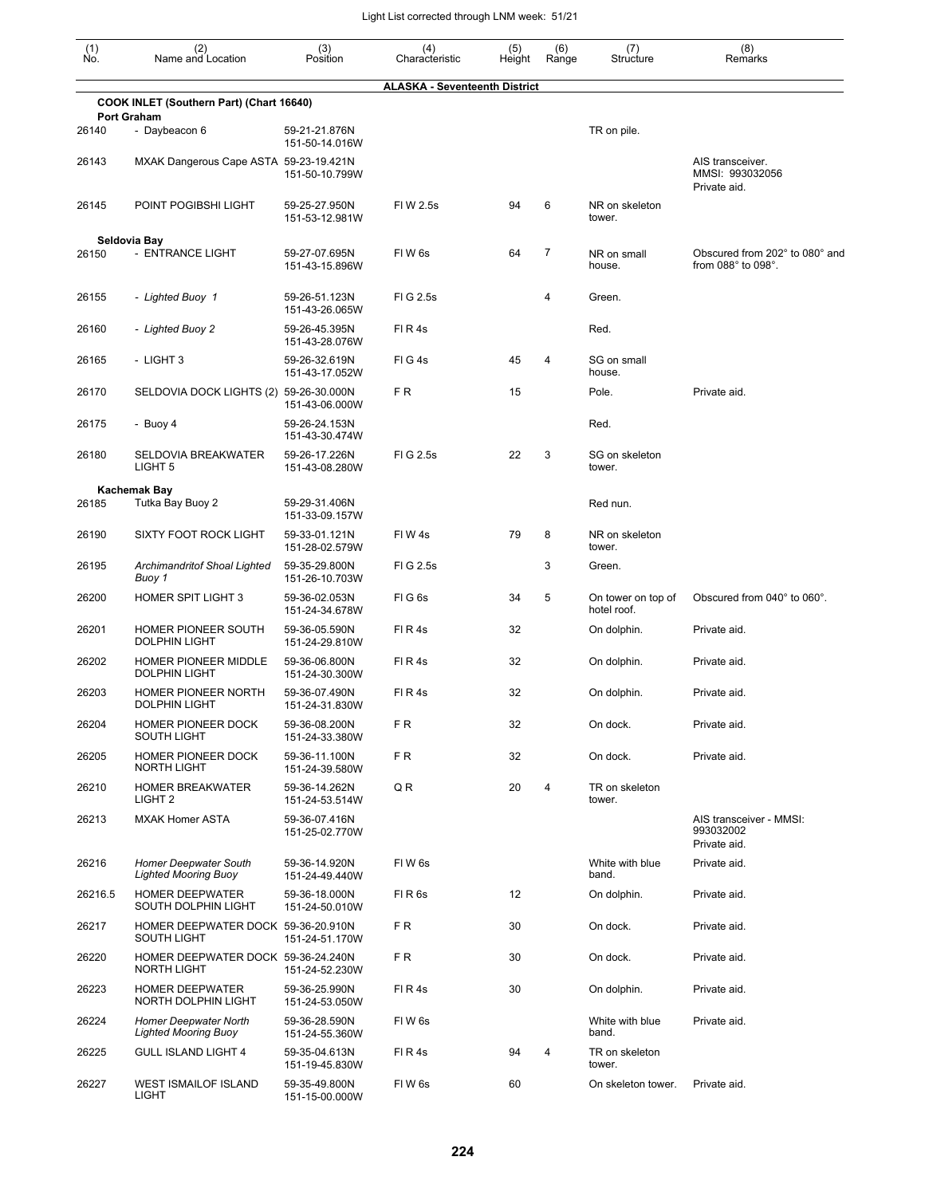| (1)<br>Ño. | (2)<br>Name and Location                                    | (3)<br>Position                 | (4)<br>Characteristic                | (5)<br>Height | (6)<br>Range | (7)<br>Structure                  | (8)<br>Remarks                                                      |
|------------|-------------------------------------------------------------|---------------------------------|--------------------------------------|---------------|--------------|-----------------------------------|---------------------------------------------------------------------|
|            |                                                             |                                 | <b>ALASKA - Seventeenth District</b> |               |              |                                   |                                                                     |
|            | COOK INLET (Southern Part) (Chart 16640)                    |                                 |                                      |               |              |                                   |                                                                     |
| 26140      | <b>Port Graham</b><br>- Daybeacon 6                         | 59-21-21.876N<br>151-50-14.016W |                                      |               |              | TR on pile.                       |                                                                     |
| 26143      | MXAK Dangerous Cape ASTA 59-23-19.421N                      | 151-50-10.799W                  |                                      |               |              |                                   | AIS transceiver.<br>MMSI: 993032056<br>Private aid.                 |
| 26145      | POINT POGIBSHI LIGHT                                        | 59-25-27.950N<br>151-53-12.981W | FIW 2.5s                             | 94            | 6            | NR on skeleton<br>tower.          |                                                                     |
|            | Seldovia Bay                                                |                                 |                                      |               |              |                                   |                                                                     |
| 26150      | - ENTRANCE LIGHT                                            | 59-27-07.695N<br>151-43-15.896W | FIW <sub>6s</sub>                    | 64            | 7            | NR on small<br>house.             | Obscured from 202° to 080° and<br>from $088^\circ$ to $098^\circ$ . |
| 26155      | - Lighted Buoy 1                                            | 59-26-51.123N<br>151-43-26.065W | FIG 2.5s                             |               | 4            | Green.                            |                                                                     |
| 26160      | - Lighted Buoy 2                                            | 59-26-45.395N<br>151-43-28.076W | FIR4s                                |               |              | Red.                              |                                                                     |
| 26165      | - LIGHT 3                                                   | 59-26-32.619N<br>151-43-17.052W | FIG4s                                | 45            | 4            | SG on small<br>house.             |                                                                     |
| 26170      | SELDOVIA DOCK LIGHTS (2) 59-26-30.000N                      | 151-43-06.000W                  | F R                                  | 15            |              | Pole.                             | Private aid.                                                        |
| 26175      | - Buoy 4                                                    | 59-26-24.153N<br>151-43-30.474W |                                      |               |              | Red.                              |                                                                     |
| 26180      | SELDOVIA BREAKWATER<br>LIGHT <sub>5</sub>                   | 59-26-17.226N<br>151-43-08.280W | FIG 2.5s                             | 22            | 3            | SG on skeleton<br>tower.          |                                                                     |
|            | Kachemak Bay                                                |                                 |                                      |               |              |                                   |                                                                     |
| 26185      | Tutka Bay Buoy 2                                            | 59-29-31.406N<br>151-33-09.157W |                                      |               |              | Red nun.                          |                                                                     |
| 26190      | <b>SIXTY FOOT ROCK LIGHT</b>                                | 59-33-01.121N<br>151-28-02.579W | FIW4s                                | 79            | 8            | NR on skeleton<br>tower.          |                                                                     |
| 26195      | Archimandritof Shoal Lighted<br>Buoy 1                      | 59-35-29.800N<br>151-26-10.703W | FIG 2.5s                             |               | 3            | Green.                            |                                                                     |
| 26200      | <b>HOMER SPIT LIGHT 3</b>                                   | 59-36-02.053N<br>151-24-34.678W | FIG6s                                | 34            | 5            | On tower on top of<br>hotel roof. | Obscured from 040° to 060°.                                         |
| 26201      | HOMER PIONEER SOUTH<br><b>DOLPHIN LIGHT</b>                 | 59-36-05.590N<br>151-24-29.810W | FIR4s                                | 32            |              | On dolphin.                       | Private aid.                                                        |
| 26202      | HOMER PIONEER MIDDLE<br><b>DOLPHIN LIGHT</b>                | 59-36-06.800N<br>151-24-30.300W | FIR4s                                | 32            |              | On dolphin.                       | Private aid.                                                        |
| 26203      | HOMER PIONEER NORTH<br><b>DOLPHIN LIGHT</b>                 | 59-36-07.490N<br>151-24-31.830W | FIR4s                                | 32            |              | On dolphin.                       | Private aid.                                                        |
| 26204      | HOMER PIONEER DOCK<br><b>SOUTH LIGHT</b>                    | 59-36-08.200N<br>151-24-33.380W | F R                                  | 32            |              | On dock.                          | Private aid.                                                        |
| 26205      | HOMER PIONEER DOCK<br><b>NORTH LIGHT</b>                    | 59-36-11.100N<br>151-24-39.580W | F R                                  | 32            |              | On dock.                          | Private aid.                                                        |
| 26210      | <b>HOMER BREAKWATER</b><br>LIGHT <sub>2</sub>               | 59-36-14.262N<br>151-24-53.514W | Q R                                  | 20            | 4            | TR on skeleton<br>tower.          |                                                                     |
| 26213      | <b>MXAK Homer ASTA</b>                                      | 59-36-07.416N<br>151-25-02.770W |                                      |               |              |                                   | AIS transceiver - MMSI:<br>993032002<br>Private aid.                |
| 26216      | <b>Homer Deepwater South</b><br><b>Lighted Mooring Buoy</b> | 59-36-14.920N<br>151-24-49.440W | FIW <sub>6s</sub>                    |               |              | White with blue<br>band.          | Private aid.                                                        |
| 26216.5    | <b>HOMER DEEPWATER</b><br>SOUTH DOLPHIN LIGHT               | 59-36-18.000N<br>151-24-50.010W | FIR <sub>6s</sub>                    | 12            |              | On dolphin.                       | Private aid.                                                        |
| 26217      | HOMER DEEPWATER DOCK 59-36-20.910N<br>SOUTH LIGHT           | 151-24-51.170W                  | F R                                  | 30            |              | On dock.                          | Private aid.                                                        |
| 26220      | HOMER DEEPWATER DOCK 59-36-24.240N<br><b>NORTH LIGHT</b>    | 151-24-52.230W                  | F R                                  | 30            |              | On dock.                          | Private aid.                                                        |
| 26223      | <b>HOMER DEEPWATER</b><br>NORTH DOLPHIN LIGHT               | 59-36-25.990N<br>151-24-53.050W | FIR4s                                | 30            |              | On dolphin.                       | Private aid.                                                        |
| 26224      | <b>Homer Deepwater North</b><br><b>Lighted Mooring Buoy</b> | 59-36-28.590N<br>151-24-55.360W | FIW <sub>6s</sub>                    |               |              | White with blue<br>band.          | Private aid.                                                        |
| 26225      | <b>GULL ISLAND LIGHT 4</b>                                  | 59-35-04.613N<br>151-19-45.830W | FIR4s                                | 94            | 4            | TR on skeleton<br>tower.          |                                                                     |
| 26227      | <b>WEST ISMAILOF ISLAND</b><br><b>LIGHT</b>                 | 59-35-49.800N<br>151-15-00.000W | FIW <sub>6s</sub>                    | 60            |              | On skeleton tower.                | Private aid.                                                        |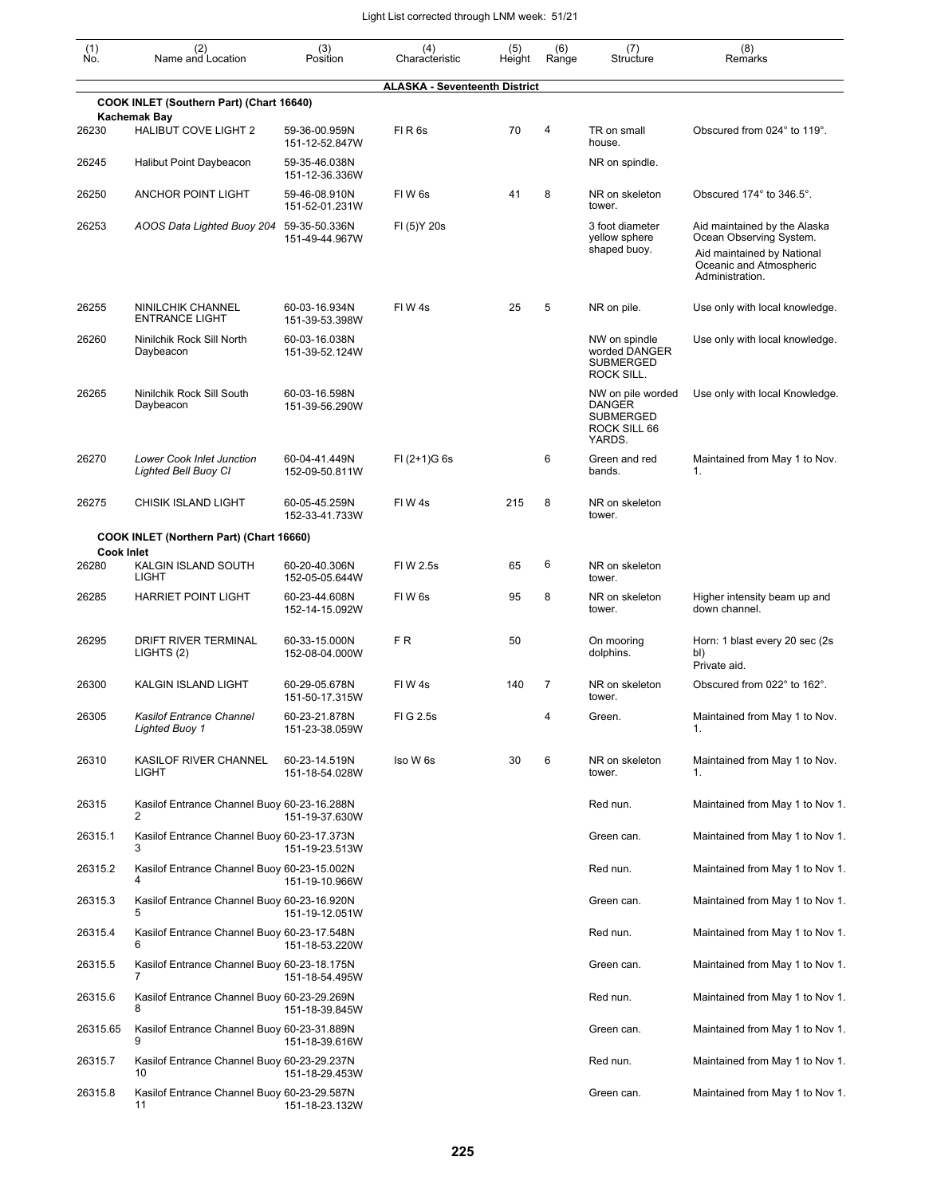| (1)<br>Ño.        | (2)<br>Name and Location                                 | (3)<br>Position                 | (4)<br>Characteristic                | (5)<br>Height | (6)<br>Range | (7)<br>Structure                                                                 | (8)<br>Remarks                                                                                                                      |
|-------------------|----------------------------------------------------------|---------------------------------|--------------------------------------|---------------|--------------|----------------------------------------------------------------------------------|-------------------------------------------------------------------------------------------------------------------------------------|
|                   |                                                          |                                 | <b>ALASKA - Seventeenth District</b> |               |              |                                                                                  |                                                                                                                                     |
|                   | COOK INLET (Southern Part) (Chart 16640)<br>Kachemak Bay |                                 |                                      |               |              |                                                                                  |                                                                                                                                     |
| 26230             | <b>HALIBUT COVE LIGHT 2</b>                              | 59-36-00.959N<br>151-12-52.847W | FIR <sub>6s</sub>                    | 70            | 4            | TR on small<br>house.                                                            | Obscured from 024° to 119°.                                                                                                         |
| 26245             | Halibut Point Daybeacon                                  | 59-35-46.038N<br>151-12-36.336W |                                      |               |              | NR on spindle.                                                                   |                                                                                                                                     |
| 26250             | <b>ANCHOR POINT LIGHT</b>                                | 59-46-08.910N<br>151-52-01.231W | FIW <sub>6s</sub>                    | 41            | 8            | NR on skeleton<br>tower.                                                         | Obscured 174° to 346.5°.                                                                                                            |
| 26253             | AOOS Data Lighted Buoy 204 59-35-50.336N                 | 151-49-44.967W                  | FI (5) Y 20s                         |               |              | 3 foot diameter<br>yellow sphere<br>shaped buoy.                                 | Aid maintained by the Alaska<br>Ocean Observing System.<br>Aid maintained by National<br>Oceanic and Atmospheric<br>Administration. |
| 26255             | NINILCHIK CHANNEL<br><b>ENTRANCE LIGHT</b>               | 60-03-16.934N<br>151-39-53.398W | FIW 4s                               | 25            | 5            | NR on pile.                                                                      | Use only with local knowledge.                                                                                                      |
| 26260             | Ninilchik Rock Sill North<br>Daybeacon                   | 60-03-16.038N<br>151-39-52.124W |                                      |               |              | NW on spindle<br>worded DANGER<br><b>SUBMERGED</b><br>ROCK SILL.                 | Use only with local knowledge.                                                                                                      |
| 26265             | Ninilchik Rock Sill South<br>Daybeacon                   | 60-03-16.598N<br>151-39-56.290W |                                      |               |              | NW on pile worded<br><b>DANGER</b><br><b>SUBMERGED</b><br>ROCK SILL 66<br>YARDS. | Use only with local Knowledge.                                                                                                      |
| 26270             | Lower Cook Inlet Junction<br><b>Lighted Bell Buoy CI</b> | 60-04-41.449N<br>152-09-50.811W | $FI (2+1)G 6s$                       |               | 6            | Green and red<br>bands.                                                          | Maintained from May 1 to Nov.<br>1.                                                                                                 |
| 26275             | CHISIK ISLAND LIGHT                                      | 60-05-45.259N<br>152-33-41.733W | FIW <sub>4s</sub>                    | 215           | 8            | NR on skeleton<br>tower.                                                         |                                                                                                                                     |
| <b>Cook Inlet</b> | COOK INLET (Northern Part) (Chart 16660)                 |                                 |                                      |               |              |                                                                                  |                                                                                                                                     |
| 26280             | KALGIN ISLAND SOUTH<br><b>LIGHT</b>                      | 60-20-40.306N<br>152-05-05.644W | FIW 2.5s                             | 65            | 6            | NR on skeleton<br>tower.                                                         |                                                                                                                                     |
| 26285             | <b>HARRIET POINT LIGHT</b>                               | 60-23-44.608N<br>152-14-15.092W | FIW <sub>6s</sub>                    | 95            | 8            | NR on skeleton<br>tower.                                                         | Higher intensity beam up and<br>down channel.                                                                                       |
| 26295             | DRIFT RIVER TERMINAL<br>LIGHTS (2)                       | 60-33-15.000N<br>152-08-04.000W | FR.                                  | 50            |              | On mooring<br>dolphins.                                                          | Horn: 1 blast every 20 sec (2s)<br>bl)<br>Private aid.                                                                              |
| 26300             | KALGIN ISLAND LIGHT                                      | 60-29-05.678N<br>151-50-17.315W | FIW 4s                               | 140           | 7            | NR on skeleton<br>tower.                                                         | Obscured from 022° to 162°.                                                                                                         |
| 26305             | <b>Kasilof Entrance Channel</b><br><b>Lighted Buoy 1</b> | 60-23-21.878N<br>151-23-38.059W | FI G 2.5s                            |               |              | Green.                                                                           | Maintained from May 1 to Nov.<br>1.                                                                                                 |
| 26310             | KASILOF RIVER CHANNEL<br>LIGHT                           | 60-23-14.519N<br>151-18-54.028W | Iso W 6s                             | 30            | 6            | NR on skeleton<br>tower.                                                         | Maintained from May 1 to Nov.<br>1.                                                                                                 |
| 26315             | Kasilof Entrance Channel Buoy 60-23-16.288N<br>2         | 151-19-37.630W                  |                                      |               |              | Red nun.                                                                         | Maintained from May 1 to Nov 1.                                                                                                     |
| 26315.1           | Kasilof Entrance Channel Buoy 60-23-17.373N<br>3         | 151-19-23.513W                  |                                      |               |              | Green can.                                                                       | Maintained from May 1 to Nov 1.                                                                                                     |
| 26315.2           | Kasilof Entrance Channel Buoy 60-23-15.002N<br>4         | 151-19-10.966W                  |                                      |               |              | Red nun.                                                                         | Maintained from May 1 to Nov 1.                                                                                                     |
| 26315.3           | Kasilof Entrance Channel Buoy 60-23-16.920N<br>5         | 151-19-12.051W                  |                                      |               |              | Green can.                                                                       | Maintained from May 1 to Nov 1.                                                                                                     |
| 26315.4           | Kasilof Entrance Channel Buoy 60-23-17.548N<br>6         | 151-18-53.220W                  |                                      |               |              | Red nun.                                                                         | Maintained from May 1 to Nov 1.                                                                                                     |
| 26315.5           | Kasilof Entrance Channel Buoy 60-23-18.175N<br>7         | 151-18-54.495W                  |                                      |               |              | Green can.                                                                       | Maintained from May 1 to Nov 1.                                                                                                     |
| 26315.6           | Kasilof Entrance Channel Buoy 60-23-29.269N<br>8         | 151-18-39.845W                  |                                      |               |              | Red nun.                                                                         | Maintained from May 1 to Nov 1.                                                                                                     |
| 26315.65          | Kasilof Entrance Channel Buoy 60-23-31.889N<br>9         | 151-18-39.616W                  |                                      |               |              | Green can.                                                                       | Maintained from May 1 to Nov 1.                                                                                                     |
| 26315.7           | Kasilof Entrance Channel Buoy 60-23-29.237N<br>10        | 151-18-29.453W                  |                                      |               |              | Red nun.                                                                         | Maintained from May 1 to Nov 1.                                                                                                     |
| 26315.8           | Kasilof Entrance Channel Buoy 60-23-29.587N<br>11        | 151-18-23.132W                  |                                      |               |              | Green can.                                                                       | Maintained from May 1 to Nov 1.                                                                                                     |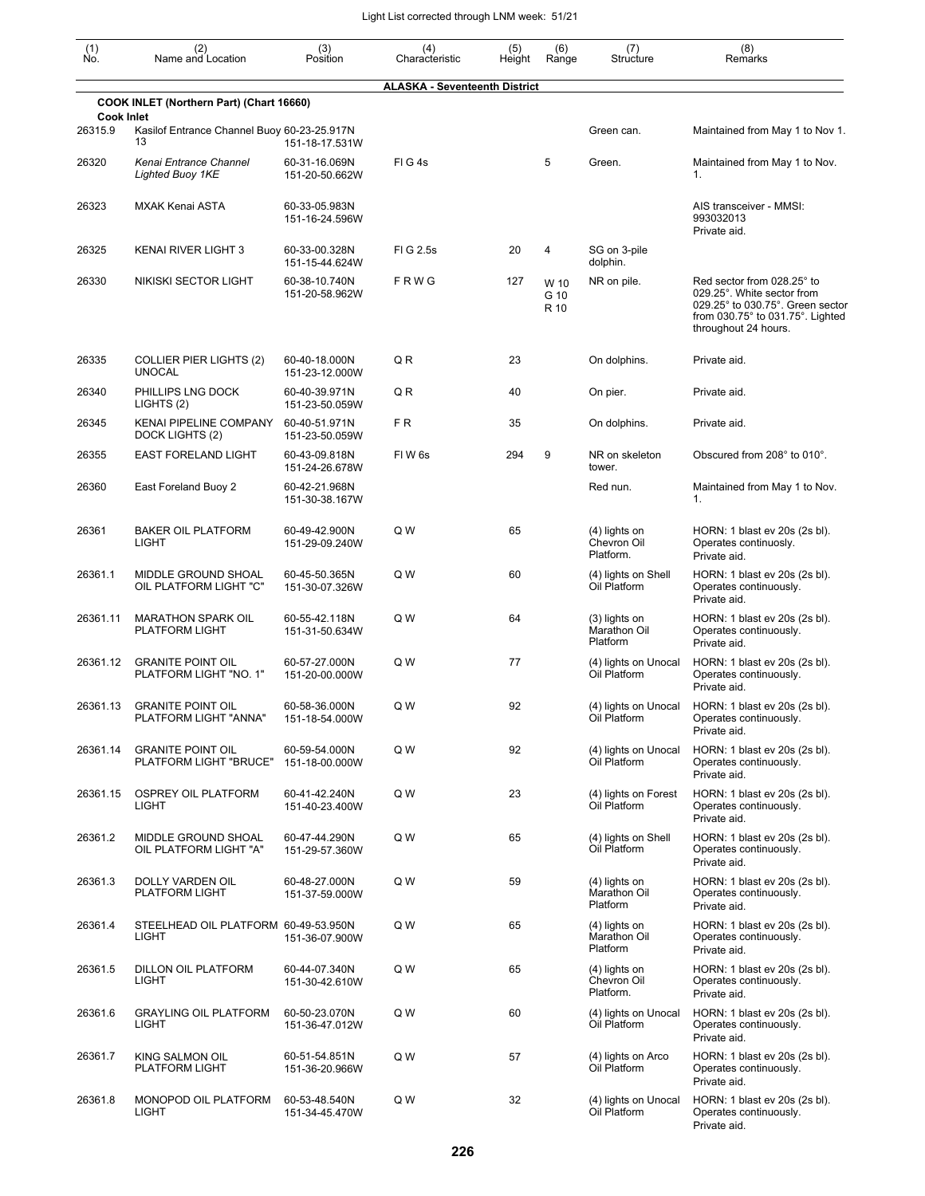| (1)<br>Ńó.        | (2)<br>Name and Location                           | (3)<br>Position                 | (4)<br>Characteristic                | (5)<br>Height | (6)<br>Range         | (7)<br>Structure                          | (8)<br>Remarks                                                                                                                                                          |
|-------------------|----------------------------------------------------|---------------------------------|--------------------------------------|---------------|----------------------|-------------------------------------------|-------------------------------------------------------------------------------------------------------------------------------------------------------------------------|
|                   |                                                    |                                 | <b>ALASKA - Seventeenth District</b> |               |                      |                                           |                                                                                                                                                                         |
| <b>Cook Inlet</b> | COOK INLET (Northern Part) (Chart 16660)           |                                 |                                      |               |                      |                                           |                                                                                                                                                                         |
| 26315.9           | Kasilof Entrance Channel Buoy 60-23-25.917N<br>13  | 151-18-17.531W                  |                                      |               |                      | Green can.                                | Maintained from May 1 to Nov 1.                                                                                                                                         |
| 26320             | Kenai Entrance Channel<br>Lighted Buoy 1KE         | 60-31-16.069N<br>151-20-50.662W | FIG4s                                |               | 5                    | Green.                                    | Maintained from May 1 to Nov.<br>1.                                                                                                                                     |
| 26323             | <b>MXAK Kenai ASTA</b>                             | 60-33-05.983N<br>151-16-24.596W |                                      |               |                      |                                           | AIS transceiver - MMSI:<br>993032013<br>Private aid.                                                                                                                    |
| 26325             | KENAI RIVER LIGHT 3                                | 60-33-00.328N<br>151-15-44.624W | FIG 2.5s                             | 20            | 4                    | SG on 3-pile<br>dolphin.                  |                                                                                                                                                                         |
| 26330             | NIKISKI SECTOR LIGHT                               | 60-38-10.740N<br>151-20-58.962W | FRWG                                 | 127           | W 10<br>G 10<br>R 10 | NR on pile.                               | Red sector from 028.25° to<br>029.25°. White sector from<br>029.25° to 030.75°. Green sector<br>from $030.75^\circ$ to $031.75^\circ$ . Lighted<br>throughout 24 hours. |
| 26335             | COLLIER PIER LIGHTS (2)<br><b>UNOCAL</b>           | 60-40-18.000N<br>151-23-12.000W | QR                                   | 23            |                      | On dolphins.                              | Private aid.                                                                                                                                                            |
| 26340             | PHILLIPS LNG DOCK<br>LIGHTS (2)                    | 60-40-39.971N<br>151-23-50.059W | QR                                   | 40            |                      | On pier.                                  | Private aid.                                                                                                                                                            |
| 26345             | <b>KENAI PIPELINE COMPANY</b><br>DOCK LIGHTS (2)   | 60-40-51.971N<br>151-23-50.059W | FR                                   | 35            |                      | On dolphins.                              | Private aid.                                                                                                                                                            |
| 26355             | EAST FORELAND LIGHT                                | 60-43-09.818N<br>151-24-26.678W | FIW <sub>6s</sub>                    | 294           | 9                    | NR on skeleton<br>tower.                  | Obscured from 208° to 010°.                                                                                                                                             |
| 26360             | East Foreland Buoy 2                               | 60-42-21.968N<br>151-30-38.167W |                                      |               |                      | Red nun.                                  | Maintained from May 1 to Nov.<br>1.                                                                                                                                     |
| 26361             | <b>BAKER OIL PLATFORM</b><br>LIGHT                 | 60-49-42.900N<br>151-29-09.240W | Q W                                  | 65            |                      | (4) lights on<br>Chevron Oil<br>Platform. | HORN: 1 blast ev 20s (2s bl).<br>Operates continuosly.<br>Private aid.                                                                                                  |
| 26361.1           | MIDDLE GROUND SHOAL<br>OIL PLATFORM LIGHT "C"      | 60-45-50.365N<br>151-30-07.326W | Q W                                  | 60            |                      | (4) lights on Shell<br>Oil Platform       | HORN: 1 blast ev 20s (2s bl).<br>Operates continuously.<br>Private aid.                                                                                                 |
| 26361.11          | <b>MARATHON SPARK OIL</b><br>PLATFORM LIGHT        | 60-55-42.118N<br>151-31-50.634W | Q W                                  | 64            |                      | (3) lights on<br>Marathon Oil<br>Platform | HORN: 1 blast ev 20s (2s bl).<br>Operates continuously.<br>Private aid.                                                                                                 |
| 26361.12          | <b>GRANITE POINT OIL</b><br>PLATFORM LIGHT "NO. 1" | 60-57-27.000N<br>151-20-00.000W | Q W                                  | 77            |                      | (4) lights on Unocal<br>Oil Platform      | HORN: 1 blast ev 20s (2s bl).<br>Operates continuously.<br>Private aid.                                                                                                 |
| 26361.13          | <b>GRANITE POINT OIL</b><br>PLATFORM LIGHT "ANNA"  | 60-58-36.000N<br>151-18-54.000W | Q W                                  | 92            |                      | (4) lights on Unocal<br>Oil Platform      | HORN: 1 blast ev 20s (2s bl).<br>Operates continuously.<br>Private aid.                                                                                                 |
| 26361.14          | <b>GRANITE POINT OIL</b><br>PLATFORM LIGHT "BRUCE" | 60-59-54.000N<br>151-18-00.000W | Q W                                  | 92            |                      | (4) lights on Unocal<br>Oil Platform      | HORN: 1 blast ev 20s (2s bl).<br>Operates continuously.<br>Private aid.                                                                                                 |
| 26361.15          | <b>OSPREY OIL PLATFORM</b><br>LIGHT                | 60-41-42.240N<br>151-40-23.400W | Q W                                  | 23            |                      | (4) lights on Forest<br>Oil Platform      | HORN: 1 blast ev 20s (2s bl).<br>Operates continuously.<br>Private aid.                                                                                                 |
| 26361.2           | MIDDLE GROUND SHOAL<br>OIL PLATFORM LIGHT "A"      | 60-47-44.290N<br>151-29-57.360W | Q W                                  | 65            |                      | (4) lights on Shell<br>Oil Platform       | HORN: 1 blast ev 20s (2s bl).<br>Operates continuously.<br>Private aid.                                                                                                 |
| 26361.3           | DOLLY VARDEN OIL<br>PLATFORM LIGHT                 | 60-48-27.000N<br>151-37-59.000W | Q W                                  | 59            |                      | (4) lights on<br>Marathon Oil<br>Platform | HORN: 1 blast ev 20s (2s bl).<br>Operates continuously.<br>Private aid.                                                                                                 |
| 26361.4           | STEELHEAD OIL PLATFORM 60-49-53.950N<br>LIGHT      | 151-36-07.900W                  | Q W                                  | 65            |                      | (4) lights on<br>Marathon Oil<br>Platform | HORN: 1 blast ev 20s (2s bl).<br>Operates continuously.<br>Private aid.                                                                                                 |
| 26361.5           | DILLON OIL PLATFORM<br>LIGHT                       | 60-44-07.340N<br>151-30-42.610W | Q W                                  | 65            |                      | (4) lights on<br>Chevron Oil<br>Platform. | HORN: 1 blast ev 20s (2s bl).<br>Operates continuously.<br>Private aid.                                                                                                 |
| 26361.6           | <b>GRAYLING OIL PLATFORM</b><br>LIGHT              | 60-50-23.070N<br>151-36-47.012W | Q W                                  | 60            |                      | (4) lights on Unocal<br>Oil Platform      | HORN: 1 blast ev 20s (2s bl).<br>Operates continuously.<br>Private aid.                                                                                                 |
| 26361.7           | KING SALMON OIL<br>PLATFORM LIGHT                  | 60-51-54.851N<br>151-36-20.966W | Q W                                  | 57            |                      | (4) lights on Arco<br>Oil Platform        | HORN: 1 blast ev 20s (2s bl).<br>Operates continuously.<br>Private aid.                                                                                                 |
| 26361.8           | MONOPOD OIL PLATFORM<br><b>LIGHT</b>               | 60-53-48.540N<br>151-34-45.470W | Q W                                  | 32            |                      | (4) lights on Unocal<br>Oil Platform      | HORN: 1 blast ev 20s (2s bl).<br>Operates continuously.<br>Private aid.                                                                                                 |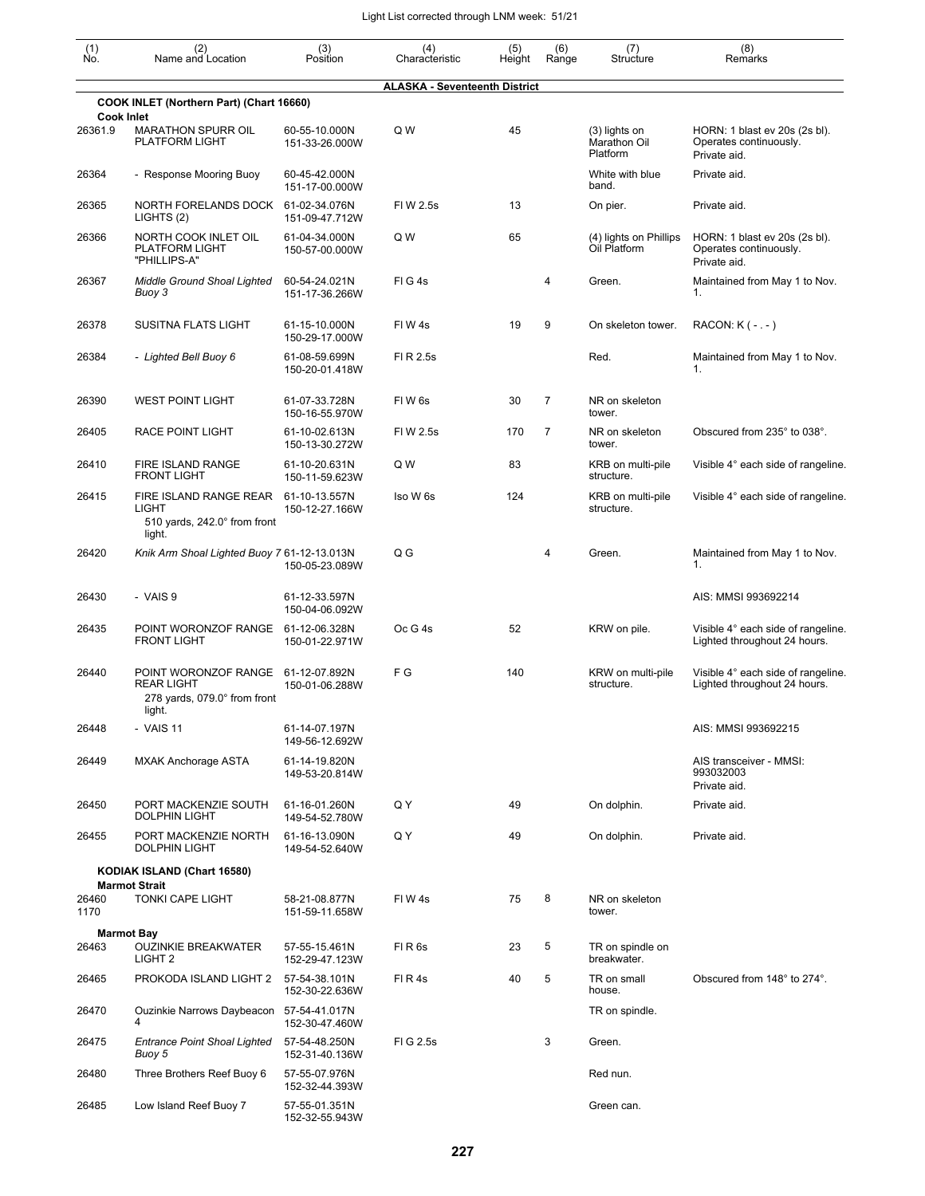| (1)<br>Ño.                   | (2)<br>Name and Location                                                            | (3)<br>Position                 | (4)<br>Characteristic                | (5)<br>Height | (6)<br>Range   | (7)<br>Structure                            | (8)<br>Remarks                                                          |
|------------------------------|-------------------------------------------------------------------------------------|---------------------------------|--------------------------------------|---------------|----------------|---------------------------------------------|-------------------------------------------------------------------------|
|                              |                                                                                     |                                 | <b>ALASKA - Seventeenth District</b> |               |                |                                             |                                                                         |
|                              | COOK INLET (Northern Part) (Chart 16660)                                            |                                 |                                      |               |                |                                             |                                                                         |
| <b>Cook Inlet</b><br>26361.9 | <b>MARATHON SPURR OIL</b><br><b>PLATFORM LIGHT</b>                                  | 60-55-10.000N<br>151-33-26.000W | Q W                                  | 45            |                | $(3)$ lights on<br>Marathon Oil<br>Platform | HORN: 1 blast ev 20s (2s bl).<br>Operates continuously.<br>Private aid. |
| 26364                        | - Response Mooring Buoy                                                             | 60-45-42.000N<br>151-17-00.000W |                                      |               |                | White with blue<br>band.                    | Private aid.                                                            |
| 26365                        | NORTH FORELANDS DOCK<br>LIGHTS (2)                                                  | 61-02-34.076N<br>151-09-47.712W | FIW 2.5s                             | 13            |                | On pier.                                    | Private aid.                                                            |
| 26366                        | NORTH COOK INLET OIL<br><b>PLATFORM LIGHT</b><br>"PHILLIPS-A"                       | 61-04-34.000N<br>150-57-00.000W | Q W                                  | 65            |                | (4) lights on Phillips<br>Oil Platform      | HORN: 1 blast ev 20s (2s bl).<br>Operates continuously.<br>Private aid. |
| 26367                        | Middle Ground Shoal Lighted<br>Buoy 3                                               | 60-54-24.021N<br>151-17-36.266W | FIG4s                                |               | 4              | Green.                                      | Maintained from May 1 to Nov.<br>1.                                     |
| 26378                        | <b>SUSITNA FLATS LIGHT</b>                                                          | 61-15-10.000N<br>150-29-17.000W | FIW4s                                | 19            | 9              | On skeleton tower.                          | RACON: $K$ ( $-,-$ )                                                    |
| 26384                        | - Lighted Bell Buoy 6                                                               | 61-08-59.699N<br>150-20-01.418W | FI R 2.5s                            |               |                | Red.                                        | Maintained from May 1 to Nov.<br>1.                                     |
| 26390                        | <b>WEST POINT LIGHT</b>                                                             | 61-07-33.728N<br>150-16-55.970W | FIW <sub>6s</sub>                    | 30            | $\overline{7}$ | NR on skeleton<br>tower.                    |                                                                         |
| 26405                        | <b>RACE POINT LIGHT</b>                                                             | 61-10-02.613N<br>150-13-30.272W | FIW 2.5s                             | 170           | 7              | NR on skeleton<br>tower.                    | Obscured from 235° to 038°.                                             |
| 26410                        | <b>FIRE ISLAND RANGE</b><br><b>FRONT LIGHT</b>                                      | 61-10-20.631N<br>150-11-59.623W | Q W                                  | 83            |                | KRB on multi-pile<br>structure.             | Visible 4° each side of rangeline.                                      |
| 26415                        | FIRE ISLAND RANGE REAR<br><b>LIGHT</b><br>510 yards, 242.0° from front<br>light.    | 61-10-13.557N<br>150-12-27.166W | Iso W 6s                             | 124           |                | KRB on multi-pile<br>structure.             | Visible 4° each side of rangeline.                                      |
| 26420                        | Knik Arm Shoal Lighted Buoy 7 61-12-13.013N                                         | 150-05-23.089W                  | Q G                                  |               | 4              | Green.                                      | Maintained from May 1 to Nov.<br>1.                                     |
| 26430                        | - VAIS 9                                                                            | 61-12-33.597N<br>150-04-06.092W |                                      |               |                |                                             | AIS: MMSI 993692214                                                     |
| 26435                        | POINT WORONZOF RANGE<br><b>FRONT LIGHT</b>                                          | 61-12-06.328N<br>150-01-22.971W | $Oc$ G 4s                            | 52            |                | KRW on pile.                                | Visible 4° each side of rangeline.<br>Lighted throughout 24 hours.      |
| 26440                        | POINT WORONZOF RANGE<br><b>REAR LIGHT</b><br>278 yards, 079.0° from front<br>light. | 61-12-07.892N<br>150-01-06.288W | F G                                  | 140           |                | KRW on multi-pile<br>structure.             | Visible 4° each side of rangeline.<br>Lighted throughout 24 hours.      |
| 26448                        | - VAIS 11                                                                           | 61-14-07.197N<br>149-56-12.692W |                                      |               |                |                                             | AIS: MMSI 993692215                                                     |
| 26449                        | <b>MXAK Anchorage ASTA</b>                                                          | 61-14-19.820N<br>149-53-20.814W |                                      |               |                |                                             | AIS transceiver - MMSI:<br>993032003<br>Private aid.                    |
| 26450                        | PORT MACKENZIE SOUTH<br><b>DOLPHIN LIGHT</b>                                        | 61-16-01.260N<br>149-54-52.780W | Q Y                                  | 49            |                | On dolphin.                                 | Private aid.                                                            |
| 26455                        | PORT MACKENZIE NORTH<br><b>DOLPHIN LIGHT</b>                                        | 61-16-13.090N<br>149-54-52.640W | Q Y                                  | 49            |                | On dolphin.                                 | Private aid.                                                            |
|                              | KODIAK ISLAND (Chart 16580)                                                         |                                 |                                      |               |                |                                             |                                                                         |
| 26460<br>1170                | <b>Marmot Strait</b><br><b>TONKI CAPE LIGHT</b>                                     | 58-21-08.877N<br>151-59-11.658W | FIW4s                                | 75            | 8              | NR on skeleton<br>tower.                    |                                                                         |
|                              | <b>Marmot Bay</b>                                                                   |                                 |                                      |               | 5              |                                             |                                                                         |
| 26463                        | <b>OUZINKIE BREAKWATER</b><br>LIGHT <sub>2</sub>                                    | 57-55-15.461N<br>152-29-47.123W | FIR <sub>6s</sub>                    | 23            |                | TR on spindle on<br>breakwater.             |                                                                         |
| 26465                        | PROKODA ISLAND LIGHT 2                                                              | 57-54-38.101N<br>152-30-22.636W | FIR4s                                | 40            | 5              | TR on small<br>house.                       | Obscured from 148° to 274°.                                             |
| 26470                        | Ouzinkie Narrows Daybeacon 57-54-41.017N<br>4                                       | 152-30-47.460W                  |                                      |               |                | TR on spindle.                              |                                                                         |
| 26475                        | <b>Entrance Point Shoal Lighted</b><br>Buoy 5                                       | 57-54-48.250N<br>152-31-40.136W | FIG 2.5s                             |               | 3              | Green.                                      |                                                                         |
| 26480                        | Three Brothers Reef Buoy 6                                                          | 57-55-07.976N<br>152-32-44.393W |                                      |               |                | Red nun.                                    |                                                                         |
| 26485                        | Low Island Reef Buoy 7                                                              | 57-55-01.351N<br>152-32-55.943W |                                      |               |                | Green can.                                  |                                                                         |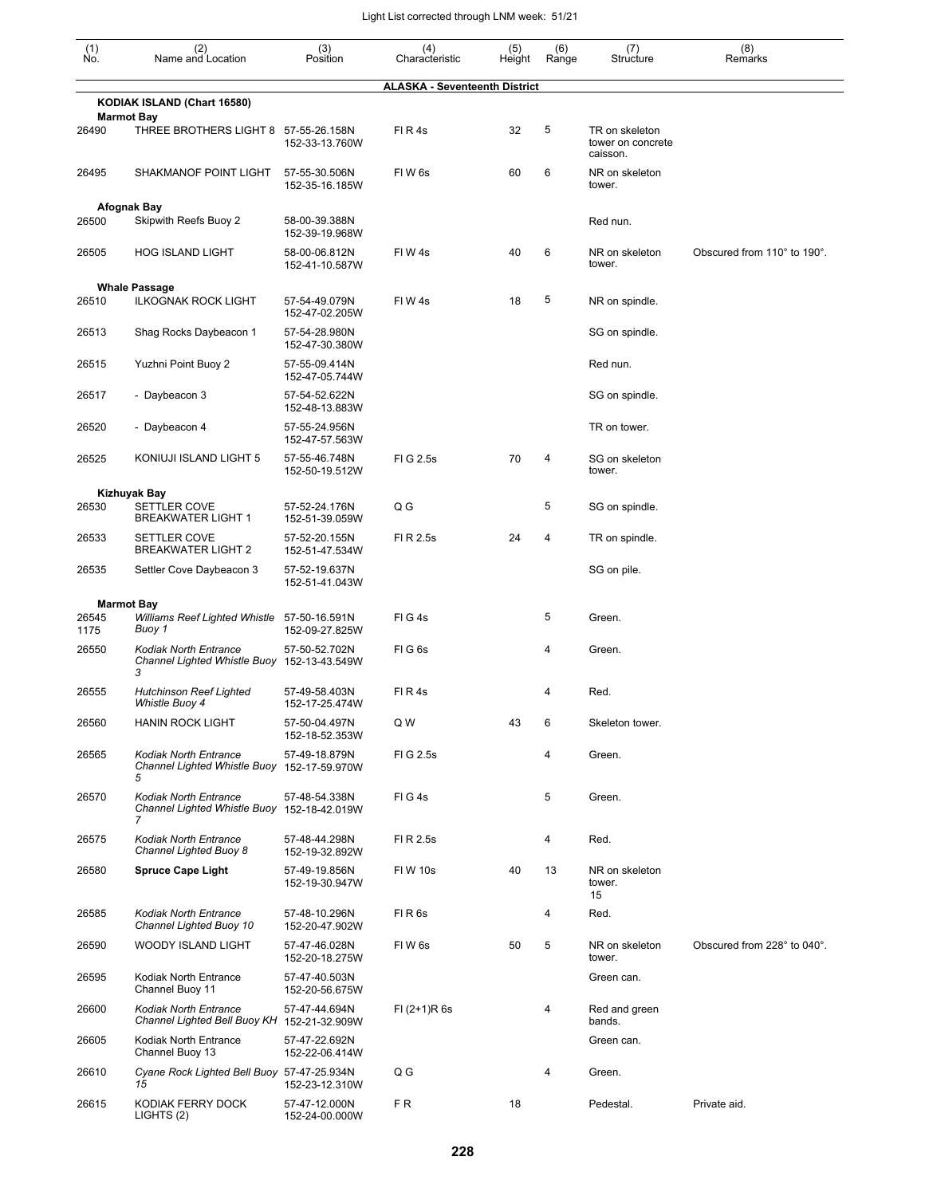| (1)<br>Ñó.    | (2)<br>Name and Location                                                         | (3)<br>Position                 | (4)<br>Characteristic                | (5)<br>Height | (6)<br>Range | (7)<br>Structure                                | (8)<br>Remarks              |
|---------------|----------------------------------------------------------------------------------|---------------------------------|--------------------------------------|---------------|--------------|-------------------------------------------------|-----------------------------|
|               |                                                                                  |                                 | <b>ALASKA - Seventeenth District</b> |               |              |                                                 |                             |
|               | KODIAK ISLAND (Chart 16580)                                                      |                                 |                                      |               |              |                                                 |                             |
| 26490         | <b>Marmot Bay</b><br>THREE BROTHERS LIGHT 8                                      | 57-55-26.158N<br>152-33-13.760W | FIR4s                                | 32            | 5            | TR on skeleton<br>tower on concrete<br>caisson. |                             |
| 26495         | SHAKMANOF POINT LIGHT                                                            | 57-55-30.506N<br>152-35-16.185W | FIW <sub>6s</sub>                    | 60            | 6            | NR on skeleton<br>tower.                        |                             |
|               | <b>Afognak Bay</b>                                                               |                                 |                                      |               |              |                                                 |                             |
| 26500         | Skipwith Reefs Buoy 2                                                            | 58-00-39.388N<br>152-39-19.968W |                                      |               |              | Red nun.                                        |                             |
| 26505         | <b>HOG ISLAND LIGHT</b>                                                          | 58-00-06.812N<br>152-41-10.587W | FIW4s                                | 40            | 6            | NR on skeleton<br>tower.                        | Obscured from 110° to 190°. |
| 26510         | <b>Whale Passage</b><br><b>ILKOGNAK ROCK LIGHT</b>                               | 57-54-49.079N                   | FIW4s                                | 18            | 5            | NR on spindle.                                  |                             |
| 26513         | Shag Rocks Daybeacon 1                                                           | 152-47-02.205W<br>57-54-28.980N |                                      |               |              | SG on spindle.                                  |                             |
|               |                                                                                  | 152-47-30.380W                  |                                      |               |              |                                                 |                             |
| 26515         | Yuzhni Point Buoy 2                                                              | 57-55-09.414N<br>152-47-05.744W |                                      |               |              | Red nun.                                        |                             |
| 26517         | - Daybeacon 3                                                                    | 57-54-52.622N<br>152-48-13.883W |                                      |               |              | SG on spindle.                                  |                             |
| 26520         | - Daybeacon 4                                                                    | 57-55-24.956N<br>152-47-57.563W |                                      |               |              | TR on tower.                                    |                             |
| 26525         | KONIUJI ISLAND LIGHT 5                                                           | 57-55-46.748N<br>152-50-19.512W | FIG 2.5s                             | 70            | 4            | SG on skeleton<br>tower.                        |                             |
|               | <b>Kizhuyak Bay</b>                                                              |                                 |                                      |               |              |                                                 |                             |
| 26530         | SETTLER COVE<br><b>BREAKWATER LIGHT 1</b>                                        | 57-52-24.176N<br>152-51-39.059W | Q G                                  |               | 5            | SG on spindle.                                  |                             |
| 26533         | SETTLER COVE<br><b>BREAKWATER LIGHT 2</b>                                        | 57-52-20.155N<br>152-51-47.534W | FI R 2.5s                            | 24            | 4            | TR on spindle.                                  |                             |
| 26535         | Settler Cove Daybeacon 3                                                         | 57-52-19.637N<br>152-51-41.043W |                                      |               |              | SG on pile.                                     |                             |
|               | <b>Marmot Bay</b>                                                                |                                 |                                      |               |              |                                                 |                             |
| 26545<br>1175 | Williams Reef Lighted Whistle<br>Buoy 1                                          | 57-50-16.591N<br>152-09-27.825W | FIG4s                                |               | 5            | Green.                                          |                             |
| 26550         | <b>Kodiak North Entrance</b><br>Channel Lighted Whistle Buoy 152-13-43.549W<br>3 | 57-50-52.702N                   | FIG6s                                |               | 4            | Green.                                          |                             |
| 26555         | <b>Hutchinson Reef Lighted</b><br>Whistle Buoy 4                                 | 57-49-58.403N<br>152-17-25.474W | FIR4s                                |               | 4            | Red.                                            |                             |
| 26560         | <b>HANIN ROCK LIGHT</b>                                                          | 57-50-04.497N<br>152-18-52.353W | Q W                                  | 43            | 6            | Skeleton tower.                                 |                             |
| 26565         | <b>Kodiak North Entrance</b><br>Channel Lighted Whistle Buoy 152-17-59.970W<br>5 | 57-49-18.879N                   | FIG 2.5s                             |               | 4            | Green.                                          |                             |
| 26570         | <b>Kodiak North Entrance</b><br>Channel Lighted Whistle Buoy<br>7                | 57-48-54.338N<br>152-18-42.019W | FIG4s                                |               | 5            | Green.                                          |                             |
| 26575         | <b>Kodiak North Entrance</b><br>Channel Lighted Buoy 8                           | 57-48-44.298N<br>152-19-32.892W | FI R 2.5s                            |               | 4            | Red.                                            |                             |
| 26580         | <b>Spruce Cape Light</b>                                                         | 57-49-19.856N<br>152-19-30.947W | <b>FIW 10s</b>                       | 40            | 13           | NR on skeleton<br>tower.<br>15                  |                             |
| 26585         | <b>Kodiak North Entrance</b><br>Channel Lighted Buoy 10                          | 57-48-10.296N<br>152-20-47.902W | FIR <sub>6s</sub>                    |               | 4            | Red.                                            |                             |
| 26590         | <b>WOODY ISLAND LIGHT</b>                                                        | 57-47-46.028N<br>152-20-18.275W | FIW <sub>6s</sub>                    | 50            | 5            | NR on skeleton<br>tower.                        | Obscured from 228° to 040°. |
| 26595         | Kodiak North Entrance<br>Channel Buoy 11                                         | 57-47-40.503N<br>152-20-56.675W |                                      |               |              | Green can.                                      |                             |
| 26600         | <b>Kodiak North Entrance</b><br>Channel Lighted Bell Buoy KH 152-21-32.909W      | 57-47-44.694N                   | $FI (2+1)R 6s$                       |               | 4            | Red and green<br>bands.                         |                             |
| 26605         | Kodiak North Entrance<br>Channel Buoy 13                                         | 57-47-22.692N<br>152-22-06.414W |                                      |               |              | Green can.                                      |                             |
| 26610         | Cyane Rock Lighted Bell Buoy 57-47-25.934N<br>15                                 | 152-23-12.310W                  | Q G                                  |               | 4            | Green.                                          |                             |
| 26615         | KODIAK FERRY DOCK<br>LIGHTS (2)                                                  | 57-47-12.000N<br>152-24-00.000W | FR.                                  | 18            |              | Pedestal.                                       | Private aid.                |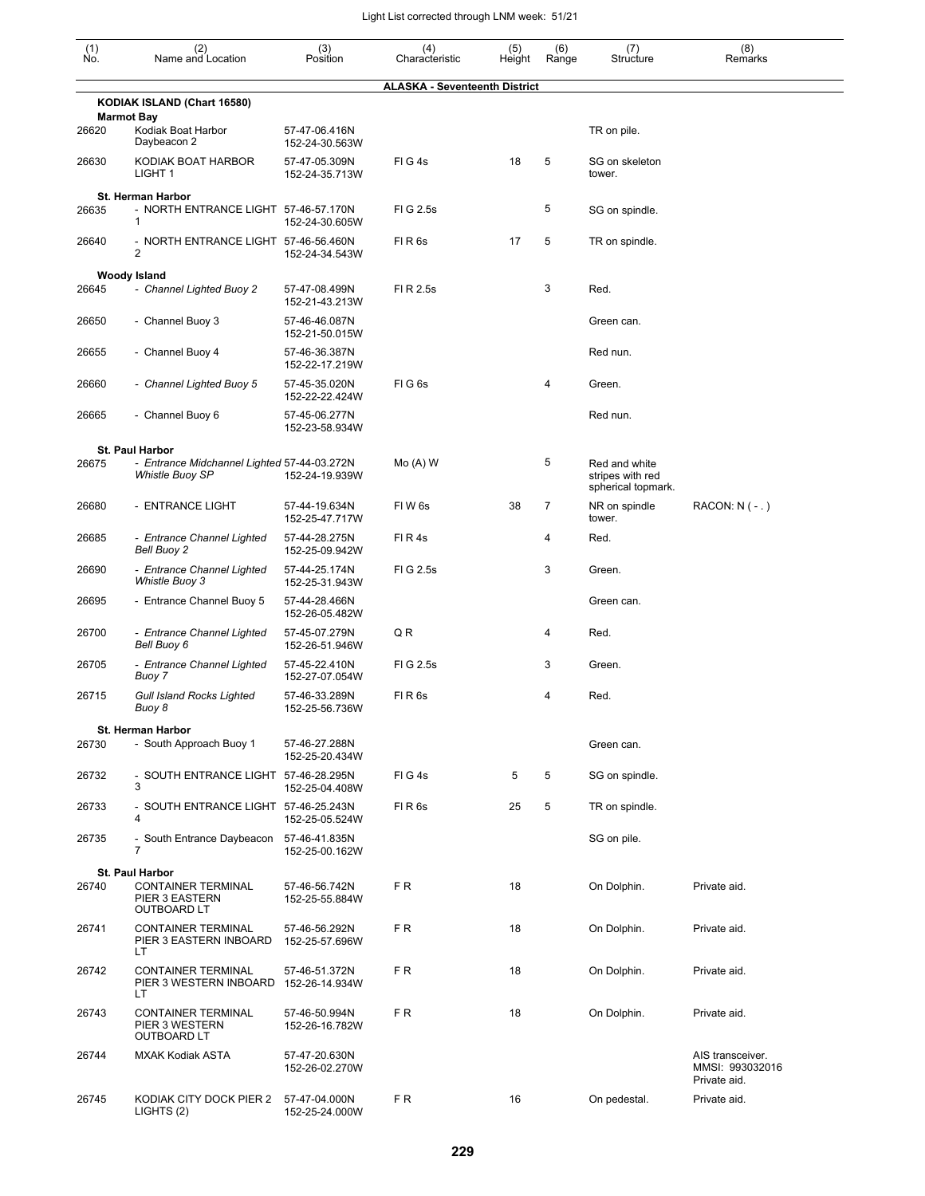| $\begin{smallmatrix} (1) \ N0. \end{smallmatrix}$ | (2)<br>Name and Location                                                  | (3)<br>Position                 | (4)<br>Characteristic                | (5)<br>Height | (6)<br>Range | (7)<br>Structure                                        | (8)<br>Remarks                                      |
|---------------------------------------------------|---------------------------------------------------------------------------|---------------------------------|--------------------------------------|---------------|--------------|---------------------------------------------------------|-----------------------------------------------------|
|                                                   |                                                                           |                                 | <b>ALASKA - Seventeenth District</b> |               |              |                                                         |                                                     |
|                                                   | KODIAK ISLAND (Chart 16580)                                               |                                 |                                      |               |              |                                                         |                                                     |
| 26620                                             | <b>Marmot Bay</b><br>Kodiak Boat Harbor<br>Daybeacon 2                    | 57-47-06.416N<br>152-24-30.563W |                                      |               |              | TR on pile.                                             |                                                     |
| 26630                                             | KODIAK BOAT HARBOR<br>LIGHT 1                                             | 57-47-05.309N<br>152-24-35.713W | FIG4s                                | 18            | 5            | SG on skeleton<br>tower.                                |                                                     |
| 26635                                             | St. Herman Harbor<br>- NORTH ENTRANCE LIGHT 57-46-57.170N<br>$\mathbf{1}$ | 152-24-30.605W                  | FIG 2.5s                             |               | 5            | SG on spindle.                                          |                                                     |
| 26640                                             | - NORTH ENTRANCE LIGHT 57-46-56.460N<br>$\overline{2}$                    | 152-24-34.543W                  | FIR <sub>6s</sub>                    | 17            | 5            | TR on spindle.                                          |                                                     |
|                                                   | <b>Woody Island</b>                                                       |                                 |                                      |               |              |                                                         |                                                     |
| 26645                                             | - Channel Lighted Buoy 2                                                  | 57-47-08.499N<br>152-21-43.213W | FI R 2.5s                            |               | 3            | Red.                                                    |                                                     |
| 26650                                             | - Channel Buoy 3                                                          | 57-46-46.087N<br>152-21-50.015W |                                      |               |              | Green can.                                              |                                                     |
| 26655                                             | - Channel Buoy 4                                                          | 57-46-36.387N<br>152-22-17.219W |                                      |               |              | Red nun.                                                |                                                     |
| 26660                                             | - Channel Lighted Buoy 5                                                  | 57-45-35.020N<br>152-22-22.424W | FIG6s                                |               | 4            | Green.                                                  |                                                     |
| 26665                                             | - Channel Buoy 6                                                          | 57-45-06.277N<br>152-23-58.934W |                                      |               |              | Red nun.                                                |                                                     |
|                                                   | St. Paul Harbor                                                           |                                 |                                      |               |              |                                                         |                                                     |
| 26675                                             | - Entrance Midchannel Lighted 57-44-03.272N<br><b>Whistle Buoy SP</b>     | 152-24-19.939W                  | $Mo(A)$ W                            |               | 5            | Red and white<br>stripes with red<br>spherical topmark. |                                                     |
| 26680                                             | - ENTRANCE LIGHT                                                          | 57-44-19.634N<br>152-25-47.717W | FIW <sub>6s</sub>                    | 38            | 7            | NR on spindle<br>tower.                                 | $RACON: N (- . )$                                   |
| 26685                                             | - Entrance Channel Lighted<br>Bell Buoy 2                                 | 57-44-28.275N<br>152-25-09.942W | FIR4s                                |               | 4            | Red.                                                    |                                                     |
| 26690                                             | - Entrance Channel Lighted<br>Whistle Buoy 3                              | 57-44-25.174N<br>152-25-31.943W | FIG 2.5s                             |               | 3            | Green.                                                  |                                                     |
| 26695                                             | - Entrance Channel Buoy 5                                                 | 57-44-28.466N<br>152-26-05.482W |                                      |               |              | Green can.                                              |                                                     |
| 26700                                             | - Entrance Channel Lighted<br>Bell Buoy 6                                 | 57-45-07.279N<br>152-26-51.946W | QR                                   |               | 4            | Red.                                                    |                                                     |
| 26705                                             | - Entrance Channel Lighted<br>Buoy 7                                      | 57-45-22.410N<br>152-27-07.054W | FI G 2.5s                            |               | 3            | Green.                                                  |                                                     |
| 26715                                             | <b>Gull Island Rocks Lighted</b><br>Buoy 8                                | 57-46-33.289N<br>152-25-56.736W | FIR <sub>6s</sub>                    |               | 4            | Red.                                                    |                                                     |
|                                                   | St. Herman Harbor                                                         |                                 |                                      |               |              |                                                         |                                                     |
| 26730                                             | - South Approach Buoy 1                                                   | 57-46-27.288N<br>152-25-20.434W |                                      |               |              | Green can.                                              |                                                     |
| 26732                                             | - SOUTH ENTRANCE LIGHT 57-46-28.295N<br>3                                 | 152-25-04.408W                  | FIG4s                                | 5             | 5            | SG on spindle.                                          |                                                     |
| 26733                                             | - SOUTH ENTRANCE LIGHT 57-46-25.243N<br>4                                 | 152-25-05.524W                  | FIR <sub>6s</sub>                    | 25            | 5            | TR on spindle.                                          |                                                     |
| 26735                                             | - South Entrance Daybeacon 57-46-41.835N<br>$\overline{7}$                | 152-25-00.162W                  |                                      |               |              | SG on pile.                                             |                                                     |
|                                                   | St. Paul Harbor                                                           |                                 |                                      |               |              |                                                         |                                                     |
| 26740                                             | <b>CONTAINER TERMINAL</b><br>PIER 3 EASTERN<br>OUTBOARD LT                | 57-46-56.742N<br>152-25-55.884W | FR.                                  | 18            |              | On Dolphin.                                             | Private aid.                                        |
| 26741                                             | <b>CONTAINER TERMINAL</b><br>PIER 3 EASTERN INBOARD<br>LT.                | 57-46-56.292N<br>152-25-57.696W | F R                                  | 18            |              | On Dolphin.                                             | Private aid.                                        |
| 26742                                             | <b>CONTAINER TERMINAL</b><br>PIER 3 WESTERN INBOARD<br>LT.                | 57-46-51.372N<br>152-26-14.934W | FR.                                  | 18            |              | On Dolphin.                                             | Private aid.                                        |
| 26743                                             | <b>CONTAINER TERMINAL</b><br>PIER 3 WESTERN<br>OUTBOARD LT                | 57-46-50.994N<br>152-26-16.782W | FR.                                  | 18            |              | On Dolphin.                                             | Private aid.                                        |
| 26744                                             | MXAK Kodiak ASTA                                                          | 57-47-20.630N<br>152-26-02.270W |                                      |               |              |                                                         | AIS transceiver.<br>MMSI: 993032016<br>Private aid. |
| 26745                                             | KODIAK CITY DOCK PIER 2<br>LIGHTS (2)                                     | 57-47-04.000N<br>152-25-24.000W | FR.                                  | 16            |              | On pedestal.                                            | Private aid.                                        |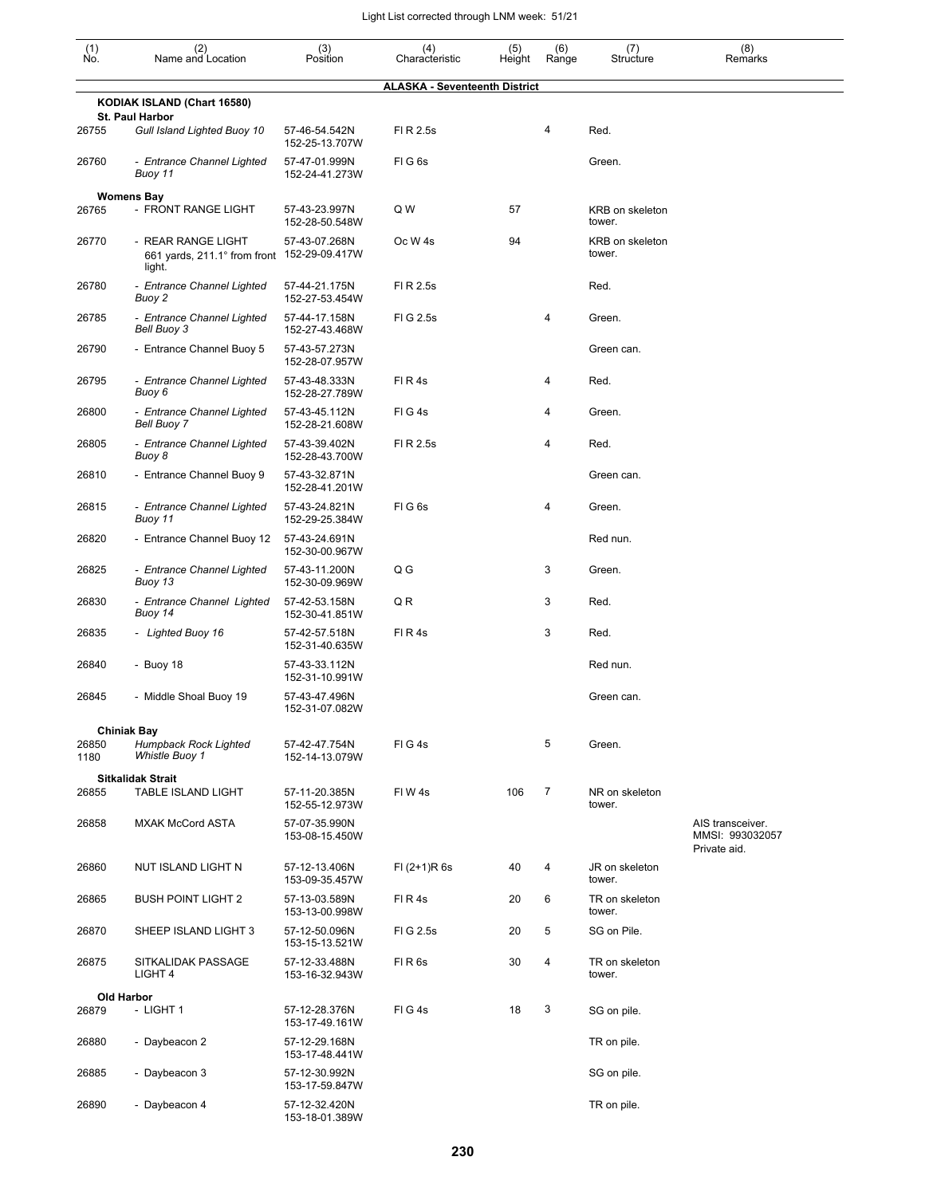| $(n)$<br>No.  | (2)<br>Name and Location                                                    | (3)<br>Position                 | (4)<br>Characteristic                | (5)<br>Height | (6)<br>Range | (7)<br>Structure          | (8)<br>Remarks                                      |
|---------------|-----------------------------------------------------------------------------|---------------------------------|--------------------------------------|---------------|--------------|---------------------------|-----------------------------------------------------|
|               |                                                                             |                                 | <b>ALASKA - Seventeenth District</b> |               |              |                           |                                                     |
|               | KODIAK ISLAND (Chart 16580)<br>St. Paul Harbor                              |                                 |                                      |               |              |                           |                                                     |
| 26755         | Gull Island Lighted Buoy 10                                                 | 57-46-54.542N<br>152-25-13.707W | FI R 2.5s                            |               | 4            | Red.                      |                                                     |
| 26760         | - Entrance Channel Lighted<br>Buoy 11                                       | 57-47-01.999N<br>152-24-41.273W | FIG <sub>6s</sub>                    |               |              | Green.                    |                                                     |
|               | <b>Womens Bay</b>                                                           |                                 |                                      |               |              |                           |                                                     |
| 26765         | - FRONT RANGE LIGHT                                                         | 57-43-23.997N<br>152-28-50.548W | Q W                                  | 57            |              | KRB on skeleton<br>tower. |                                                     |
| 26770         | - REAR RANGE LIGHT<br>661 yards, 211.1° from front 152-29-09.417W<br>light. | 57-43-07.268N                   | Oc W <sub>4s</sub>                   | 94            |              | KRB on skeleton<br>tower. |                                                     |
| 26780         | - Entrance Channel Lighted<br>Buoy 2                                        | 57-44-21.175N<br>152-27-53.454W | FI R 2.5s                            |               |              | Red.                      |                                                     |
| 26785         | - Entrance Channel Lighted<br>Bell Buoy 3                                   | 57-44-17.158N<br>152-27-43.468W | FIG 2.5s                             |               | 4            | Green.                    |                                                     |
| 26790         | - Entrance Channel Buoy 5                                                   | 57-43-57.273N<br>152-28-07.957W |                                      |               |              | Green can.                |                                                     |
| 26795         | - Entrance Channel Lighted<br>Buoy 6                                        | 57-43-48.333N<br>152-28-27.789W | FI R 4s                              |               | 4            | Red.                      |                                                     |
| 26800         | - Entrance Channel Lighted<br><b>Bell Buoy 7</b>                            | 57-43-45.112N<br>152-28-21.608W | FIG4s                                |               | 4            | Green.                    |                                                     |
| 26805         | - Entrance Channel Lighted<br>Buoy 8                                        | 57-43-39.402N<br>152-28-43.700W | FI R 2.5s                            |               | 4            | Red.                      |                                                     |
| 26810         | - Entrance Channel Buoy 9                                                   | 57-43-32.871N<br>152-28-41.201W |                                      |               |              | Green can.                |                                                     |
| 26815         | - Entrance Channel Lighted<br>Buoy 11                                       | 57-43-24.821N<br>152-29-25.384W | FIG <sub>6s</sub>                    |               | 4            | Green.                    |                                                     |
| 26820         | - Entrance Channel Buoy 12                                                  | 57-43-24.691N<br>152-30-00.967W |                                      |               |              | Red nun.                  |                                                     |
| 26825         | - Entrance Channel Lighted<br>Buoy 13                                       | 57-43-11.200N<br>152-30-09.969W | $Q$ $G$                              |               | 3            | Green.                    |                                                     |
| 26830         | - Entrance Channel Lighted<br>Buoy 14                                       | 57-42-53.158N<br>152-30-41.851W | QR                                   |               | 3            | Red.                      |                                                     |
| 26835         | - Lighted Buoy 16                                                           | 57-42-57.518N<br>152-31-40.635W | FIR4s                                |               | 3            | Red.                      |                                                     |
| 26840         | - Buoy 18                                                                   | 57-43-33.112N<br>152-31-10.991W |                                      |               |              | Red nun.                  |                                                     |
| 26845         | - Middle Shoal Buoy 19                                                      | 57-43-47.496N<br>152-31-07.082W |                                      |               |              | Green can.                |                                                     |
|               | <b>Chiniak Bay</b>                                                          |                                 |                                      |               |              |                           |                                                     |
| 26850<br>1180 | Humpback Rock Lighted<br>Whistle Buoy 1                                     | 57-42-47.754N<br>152-14-13.079W | FIG4s                                |               | 5            | Green.                    |                                                     |
|               | <b>Sitkalidak Strait</b>                                                    |                                 |                                      |               |              |                           |                                                     |
| 26855         | <b>TABLE ISLAND LIGHT</b>                                                   | 57-11-20.385N<br>152-55-12.973W | FIW4s                                | 106           | 7            | NR on skeleton<br>tower.  |                                                     |
| 26858         | <b>MXAK McCord ASTA</b>                                                     | 57-07-35.990N<br>153-08-15.450W |                                      |               |              |                           | AIS transceiver.<br>MMSI: 993032057<br>Private aid. |
| 26860         | NUT ISLAND LIGHT N                                                          | 57-12-13.406N<br>153-09-35.457W | $FI (2+1)R 6s$                       | 40            | 4            | JR on skeleton<br>tower.  |                                                     |
| 26865         | <b>BUSH POINT LIGHT 2</b>                                                   | 57-13-03.589N<br>153-13-00.998W | FIR4s                                | 20            | 6            | TR on skeleton<br>tower.  |                                                     |
| 26870         | SHEEP ISLAND LIGHT 3                                                        | 57-12-50.096N<br>153-15-13.521W | FIG 2.5s                             | 20            | 5            | SG on Pile.               |                                                     |
| 26875         | SITKALIDAK PASSAGE<br>LIGHT 4                                               | 57-12-33.488N<br>153-16-32.943W | FIR <sub>6s</sub>                    | 30            | 4            | TR on skeleton<br>tower.  |                                                     |
|               | Old Harbor                                                                  |                                 |                                      |               |              |                           |                                                     |
| 26879         | - LIGHT 1                                                                   | 57-12-28.376N<br>153-17-49.161W | FIG4s                                | 18            | 3            | SG on pile.               |                                                     |
| 26880         | - Daybeacon 2                                                               | 57-12-29.168N<br>153-17-48.441W |                                      |               |              | TR on pile.               |                                                     |
| 26885         | - Daybeacon 3                                                               | 57-12-30.992N<br>153-17-59.847W |                                      |               |              | SG on pile.               |                                                     |
| 26890         | - Daybeacon 4                                                               | 57-12-32.420N<br>153-18-01.389W |                                      |               |              | TR on pile.               |                                                     |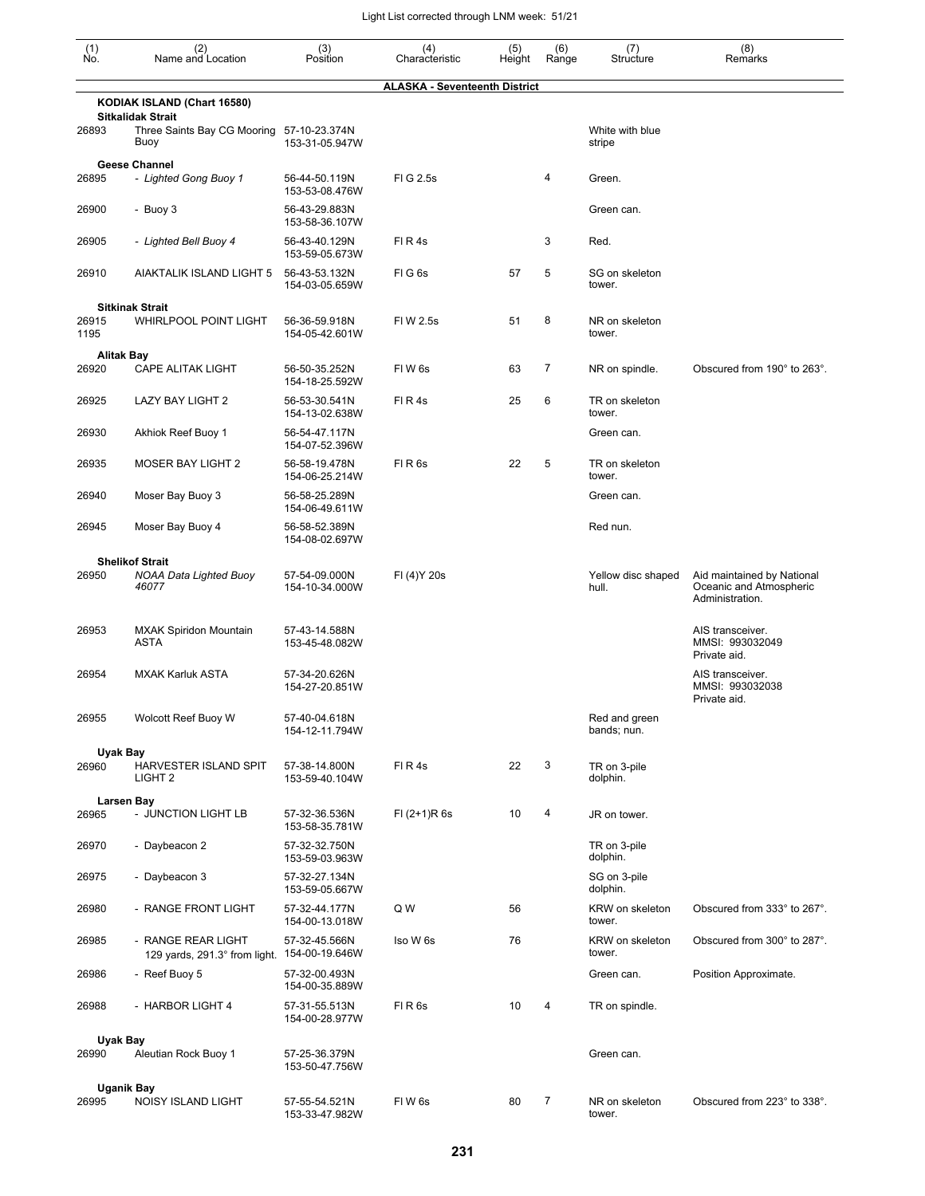| (1)<br>Ño.        | (2)<br>Name and Location                                | (3)<br>Position                 | (4)<br>Characteristic                | (5)<br>Height | (6)<br>Range | (7)<br>Structure             | (8)<br>Remarks                                                           |
|-------------------|---------------------------------------------------------|---------------------------------|--------------------------------------|---------------|--------------|------------------------------|--------------------------------------------------------------------------|
|                   |                                                         |                                 | <b>ALASKA - Seventeenth District</b> |               |              |                              |                                                                          |
|                   | KODIAK ISLAND (Chart 16580)<br><b>Sitkalidak Strait</b> |                                 |                                      |               |              |                              |                                                                          |
| 26893             | Three Saints Bay CG Mooring<br>Buoy                     | 57-10-23.374N<br>153-31-05.947W |                                      |               |              | White with blue<br>stripe    |                                                                          |
|                   | <b>Geese Channel</b>                                    |                                 |                                      |               |              |                              |                                                                          |
| 26895             | - Lighted Gong Buoy 1                                   | 56-44-50.119N<br>153-53-08.476W | FIG 2.5s                             |               | 4            | Green.                       |                                                                          |
| 26900             | - Buoy 3                                                | 56-43-29.883N<br>153-58-36.107W |                                      |               |              | Green can.                   |                                                                          |
| 26905             | - Lighted Bell Buoy 4                                   | 56-43-40.129N<br>153-59-05.673W | FIR4s                                |               | 3            | Red.                         |                                                                          |
| 26910             | AIAKTALIK ISLAND LIGHT 5                                | 56-43-53.132N<br>154-03-05.659W | FIG6s                                | 57            | 5            | SG on skeleton<br>tower.     |                                                                          |
|                   | <b>Sitkinak Strait</b>                                  |                                 |                                      |               |              |                              |                                                                          |
| 26915<br>1195     | <b>WHIRLPOOL POINT LIGHT</b>                            | 56-36-59.918N<br>154-05-42.601W | FIW 2.5s                             | 51            | 8            | NR on skeleton<br>tower.     |                                                                          |
| <b>Alitak Bay</b> |                                                         |                                 |                                      |               |              |                              |                                                                          |
| 26920             | <b>CAPE ALITAK LIGHT</b>                                | 56-50-35.252N<br>154-18-25.592W | FIW <sub>6s</sub>                    | 63            | 7            | NR on spindle.               | Obscured from 190° to 263°.                                              |
| 26925             | LAZY BAY LIGHT 2                                        | 56-53-30.541N<br>154-13-02.638W | FIR4s                                | 25            | 6            | TR on skeleton<br>tower.     |                                                                          |
| 26930             | Akhiok Reef Buoy 1                                      | 56-54-47.117N<br>154-07-52.396W |                                      |               |              | Green can.                   |                                                                          |
| 26935             | <b>MOSER BAY LIGHT 2</b>                                | 56-58-19.478N<br>154-06-25.214W | FIR <sub>6s</sub>                    | 22            | 5            | TR on skeleton<br>tower.     |                                                                          |
| 26940             | Moser Bay Buoy 3                                        | 56-58-25.289N<br>154-06-49.611W |                                      |               |              | Green can.                   |                                                                          |
| 26945             | Moser Bay Buoy 4                                        | 56-58-52.389N<br>154-08-02.697W |                                      |               |              | Red nun.                     |                                                                          |
|                   | <b>Shelikof Strait</b>                                  |                                 |                                      |               |              |                              |                                                                          |
| 26950             | <b>NOAA Data Lighted Buoy</b><br>46077                  | 57-54-09.000N<br>154-10-34.000W | FI (4) Y 20s                         |               |              | Yellow disc shaped<br>hull.  | Aid maintained by National<br>Oceanic and Atmospheric<br>Administration. |
| 26953             | <b>MXAK Spiridon Mountain</b><br><b>ASTA</b>            | 57-43-14.588N<br>153-45-48.082W |                                      |               |              |                              | AIS transceiver.<br>MMSI: 993032049<br>Private aid.                      |
| 26954             | <b>MXAK Karluk ASTA</b>                                 | 57-34-20.626N<br>154-27-20.851W |                                      |               |              |                              | AIS transceiver.<br>MMSI: 993032038<br>Private aid.                      |
| 26955             | Wolcott Reef Buoy W                                     | 57-40-04.618N<br>154-12-11.794W |                                      |               |              | Red and green<br>bands; nun. |                                                                          |
| Uyak Bay          |                                                         |                                 |                                      |               |              |                              |                                                                          |
| 26960             | <b>HARVESTER ISLAND SPIT</b><br>LIGHT <sub>2</sub>      | 57-38-14.800N<br>153-59-40.104W | FIR4s                                | 22            | 3            | TR on 3-pile<br>dolphin.     |                                                                          |
|                   | <b>Larsen Bay</b>                                       |                                 |                                      |               |              |                              |                                                                          |
| 26965             | - JUNCTION LIGHT LB                                     | 57-32-36.536N<br>153-58-35.781W | $FI (2+1)R 6s$                       | 10            | 4            | JR on tower.                 |                                                                          |
| 26970             | - Daybeacon 2                                           | 57-32-32.750N<br>153-59-03.963W |                                      |               |              | TR on 3-pile<br>dolphin.     |                                                                          |
| 26975             | - Daybeacon 3                                           | 57-32-27.134N<br>153-59-05.667W |                                      |               |              | SG on 3-pile<br>dolphin.     |                                                                          |
| 26980             | - RANGE FRONT LIGHT                                     | 57-32-44.177N<br>154-00-13.018W | Q W                                  | 56            |              | KRW on skeleton<br>tower.    | Obscured from 333° to 267°.                                              |
| 26985             | - RANGE REAR LIGHT<br>129 yards, 291.3° from light.     | 57-32-45.566N<br>154-00-19.646W | Iso W 6s                             | 76            |              | KRW on skeleton<br>tower.    | Obscured from 300° to 287°.                                              |
| 26986             | - Reef Buoy 5                                           | 57-32-00.493N<br>154-00-35.889W |                                      |               |              | Green can.                   | Position Approximate.                                                    |
| 26988             | - HARBOR LIGHT 4                                        | 57-31-55.513N<br>154-00-28.977W | FIR6s                                | 10            | 4            | TR on spindle.               |                                                                          |
| Uyak Bay          |                                                         |                                 |                                      |               |              |                              |                                                                          |
| 26990             | Aleutian Rock Buoy 1                                    | 57-25-36.379N<br>153-50-47.756W |                                      |               |              | Green can.                   |                                                                          |
|                   | <b>Uganik Bay</b>                                       |                                 |                                      |               |              |                              |                                                                          |
| 26995             | NOISY ISLAND LIGHT                                      | 57-55-54.521N<br>153-33-47.982W | FIW <sub>6s</sub>                    | 80            | 7            | NR on skeleton<br>tower.     | Obscured from 223° to 338°.                                              |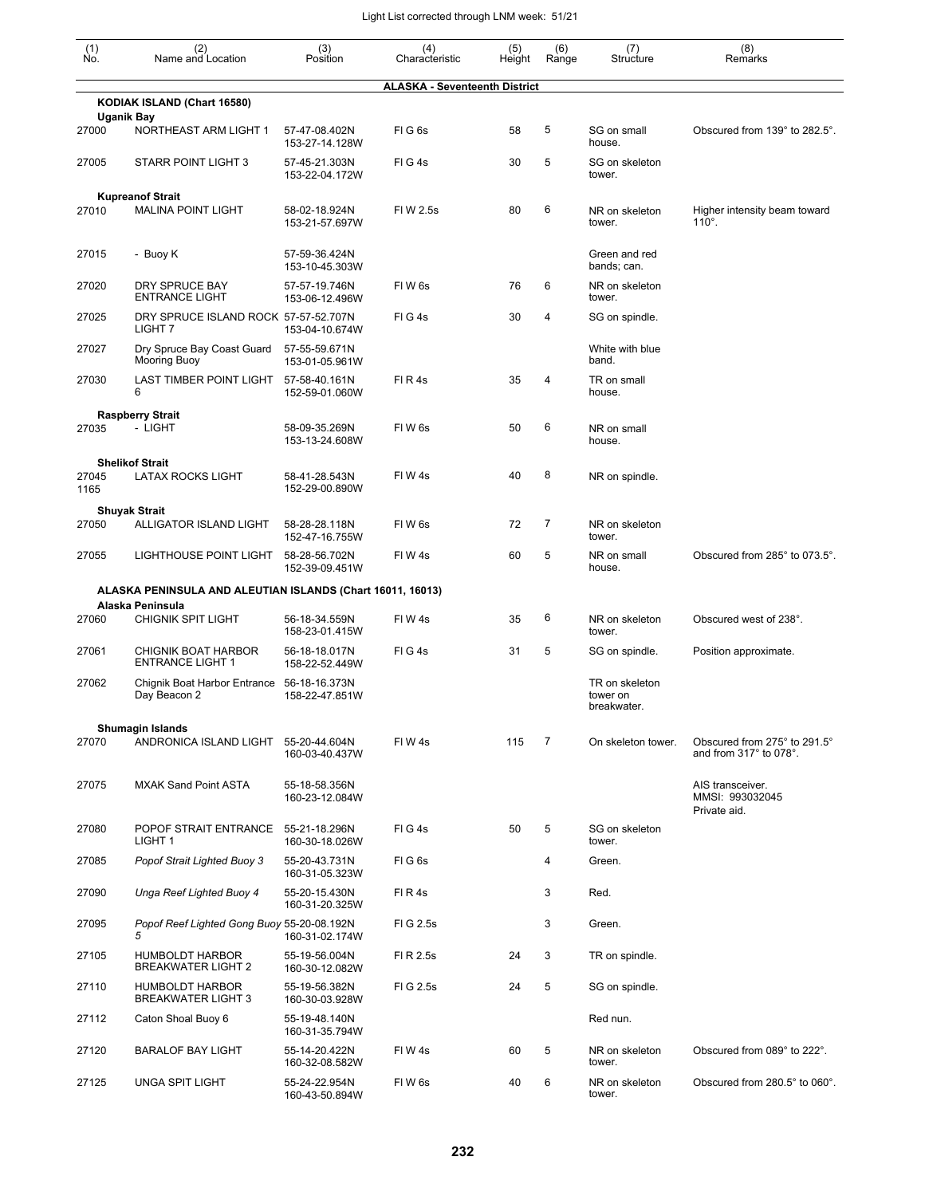| (1)<br>Ño.    | (2)<br>Name and Location                                                       | (3)<br>Position                 | (4)<br>Characteristic                | (5)<br>Height | (6)<br>Range | (7)<br>Structure                          | (8)<br>Remarks                                         |
|---------------|--------------------------------------------------------------------------------|---------------------------------|--------------------------------------|---------------|--------------|-------------------------------------------|--------------------------------------------------------|
|               |                                                                                |                                 | <b>ALASKA - Seventeenth District</b> |               |              |                                           |                                                        |
|               | KODIAK ISLAND (Chart 16580)                                                    |                                 |                                      |               |              |                                           |                                                        |
| 27000         | Uganik Bay<br>NORTHEAST ARM LIGHT 1                                            | 57-47-08.402N<br>153-27-14.128W | FIG6s                                | 58            | 5            | SG on small<br>house.                     | Obscured from 139° to 282.5°.                          |
| 27005         | STARR POINT LIGHT 3                                                            | 57-45-21.303N<br>153-22-04.172W | FIG4s                                | 30            | 5            | SG on skeleton<br>tower.                  |                                                        |
|               | <b>Kupreanof Strait</b>                                                        |                                 |                                      |               |              |                                           |                                                        |
| 27010         | <b>MALINA POINT LIGHT</b>                                                      | 58-02-18.924N<br>153-21-57.697W | FIW 2.5s                             | 80            | 6            | NR on skeleton<br>tower.                  | Higher intensity beam toward<br>$110^\circ$ .          |
| 27015         | - Buoy K                                                                       | 57-59-36.424N<br>153-10-45.303W |                                      |               |              | Green and red<br>bands; can.              |                                                        |
| 27020         | DRY SPRUCE BAY<br><b>ENTRANCE LIGHT</b>                                        | 57-57-19.746N<br>153-06-12.496W | FIW <sub>6s</sub>                    | 76            | 6            | NR on skeleton<br>tower.                  |                                                        |
| 27025         | DRY SPRUCE ISLAND ROCK 57-57-52.707N<br>LIGHT <sub>7</sub>                     | 153-04-10.674W                  | FIG4s                                | 30            | 4            | SG on spindle.                            |                                                        |
| 27027         | Dry Spruce Bay Coast Guard<br>Mooring Buoy                                     | 57-55-59.671N<br>153-01-05.961W |                                      |               |              | White with blue<br>band.                  |                                                        |
| 27030         | LAST TIMBER POINT LIGHT<br>6                                                   | 57-58-40.161N<br>152-59-01.060W | FIR4s                                | 35            | 4            | TR on small<br>house.                     |                                                        |
| 27035         | <b>Raspberry Strait</b><br>- LIGHT                                             | 58-09-35.269N<br>153-13-24.608W | FIW <sub>6s</sub>                    | 50            | 6            | NR on small<br>house.                     |                                                        |
| 27045<br>1165 | <b>Shelikof Strait</b><br><b>LATAX ROCKS LIGHT</b>                             | 58-41-28.543N<br>152-29-00.890W | FIW4s                                | 40            | 8            | NR on spindle.                            |                                                        |
|               | <b>Shuyak Strait</b>                                                           |                                 |                                      |               |              |                                           |                                                        |
| 27050         | ALLIGATOR ISLAND LIGHT                                                         | 58-28-28.118N<br>152-47-16.755W | FIW <sub>6s</sub>                    | 72            | 7            | NR on skeleton<br>tower.                  |                                                        |
| 27055         | LIGHTHOUSE POINT LIGHT                                                         | 58-28-56.702N<br>152-39-09.451W | FIW4s                                | 60            | 5            | NR on small<br>house.                     | Obscured from 285° to 073.5°.                          |
|               | ALASKA PENINSULA AND ALEUTIAN ISLANDS (Chart 16011, 16013)<br>Alaska Peninsula |                                 |                                      |               |              |                                           |                                                        |
| 27060         | <b>CHIGNIK SPIT LIGHT</b>                                                      | 56-18-34.559N<br>158-23-01.415W | FIW4s                                | 35            | 6            | NR on skeleton<br>tower.                  | Obscured west of 238°.                                 |
| 27061         | CHIGNIK BOAT HARBOR<br><b>ENTRANCE LIGHT 1</b>                                 | 56-18-18.017N<br>158-22-52.449W | FIG4s                                | 31            | 5            | SG on spindle.                            | Position approximate.                                  |
| 27062         | Chignik Boat Harbor Entrance<br>Day Beacon 2                                   | 56-18-16.373N<br>158-22-47.851W |                                      |               |              | TR on skeleton<br>tower on<br>breakwater. |                                                        |
| 27070         | <b>Shumagin Islands</b><br>ANDRONICA ISLAND LIGHT                              | 55-20-44.604N<br>160-03-40.437W | FIW4s                                | 115           | 7            | On skeleton tower.                        | Obscured from 275° to 291.5°<br>and from 317° to 078°. |
| 27075         | <b>MXAK Sand Point ASTA</b>                                                    | 55-18-58.356N<br>160-23-12.084W |                                      |               |              |                                           | AIS transceiver.<br>MMSI: 993032045<br>Private aid.    |
| 27080         | POPOF STRAIT ENTRANCE<br>LIGHT <sub>1</sub>                                    | 55-21-18.296N<br>160-30-18.026W | FIG4s                                | 50            | 5            | SG on skeleton<br>tower.                  |                                                        |
| 27085         | Popof Strait Lighted Buoy 3                                                    | 55-20-43.731N<br>160-31-05.323W | FIG6s                                |               | 4            | Green.                                    |                                                        |
| 27090         | Unga Reef Lighted Buoy 4                                                       | 55-20-15.430N<br>160-31-20.325W | FIR4s                                |               | 3            | Red.                                      |                                                        |
| 27095         | Popof Reef Lighted Gong Buoy 55-20-08.192N<br>5                                | 160-31-02.174W                  | FIG 2.5s                             |               | 3            | Green.                                    |                                                        |
| 27105         | <b>HUMBOLDT HARBOR</b><br><b>BREAKWATER LIGHT 2</b>                            | 55-19-56.004N<br>160-30-12.082W | FI R 2.5s                            | 24            | 3            | TR on spindle.                            |                                                        |
| 27110         | <b>HUMBOLDT HARBOR</b><br><b>BREAKWATER LIGHT 3</b>                            | 55-19-56.382N<br>160-30-03.928W | FIG 2.5s                             | 24            | 5            | SG on spindle.                            |                                                        |
| 27112         | Caton Shoal Buoy 6                                                             | 55-19-48.140N<br>160-31-35.794W |                                      |               |              | Red nun.                                  |                                                        |
| 27120         | <b>BARALOF BAY LIGHT</b>                                                       | 55-14-20.422N<br>160-32-08.582W | FIW4s                                | 60            | 5            | NR on skeleton<br>tower.                  | Obscured from 089° to 222°.                            |
| 27125         | <b>UNGA SPIT LIGHT</b>                                                         | 55-24-22.954N<br>160-43-50.894W | FIW <sub>6s</sub>                    | 40            | 6            | NR on skeleton<br>tower.                  | Obscured from 280.5° to 060°.                          |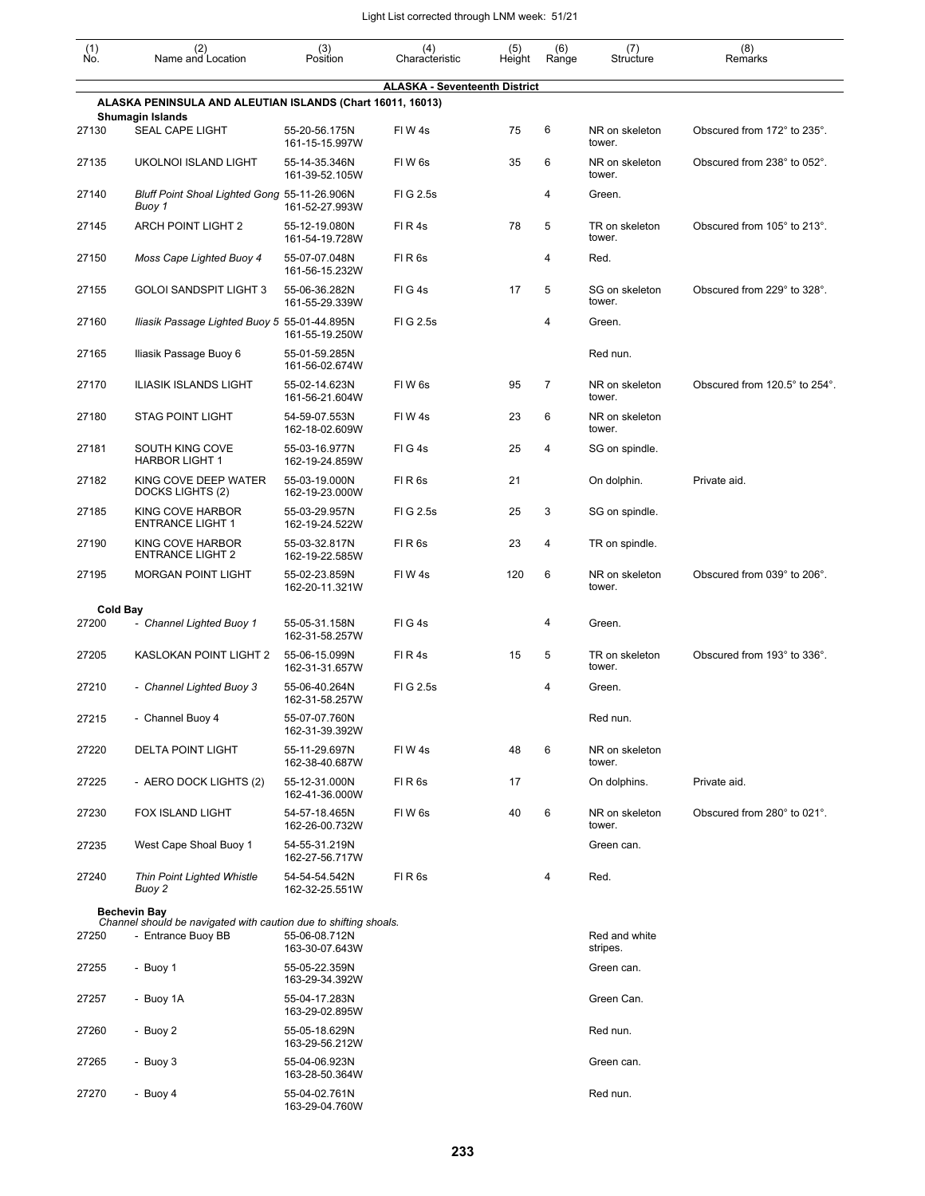| $\begin{smallmatrix} (1) \\ \mathsf{No} \end{smallmatrix}$ | (2)<br>Name and Location                                                               | (3)<br>Position                 | (4)<br>Characteristic                | (5)<br>Height | (6)<br>Range   | (7)<br>Structure          | (8)<br>Remarks                |
|------------------------------------------------------------|----------------------------------------------------------------------------------------|---------------------------------|--------------------------------------|---------------|----------------|---------------------------|-------------------------------|
|                                                            |                                                                                        |                                 | <b>ALASKA - Seventeenth District</b> |               |                |                           |                               |
|                                                            | ALASKA PENINSULA AND ALEUTIAN ISLANDS (Chart 16011, 16013)<br><b>Shumagin Islands</b>  |                                 |                                      |               |                |                           |                               |
| 27130                                                      | <b>SEAL CAPE LIGHT</b>                                                                 | 55-20-56.175N<br>161-15-15.997W | FIW4s                                | 75            | 6              | NR on skeleton<br>tower.  | Obscured from 172° to 235°.   |
| 27135                                                      | UKOLNOI ISLAND LIGHT                                                                   | 55-14-35.346N<br>161-39-52.105W | FIW <sub>6s</sub>                    | 35            | 6              | NR on skeleton<br>tower.  | Obscured from 238° to 052°.   |
| 27140                                                      | Bluff Point Shoal Lighted Gong 55-11-26.906N<br>Buoy 1                                 | 161-52-27.993W                  | FIG 2.5s                             |               | 4              | Green.                    |                               |
| 27145                                                      | <b>ARCH POINT LIGHT 2</b>                                                              | 55-12-19.080N<br>161-54-19.728W | FIR4s                                | 78            | 5              | TR on skeleton<br>tower.  | Obscured from 105° to 213°.   |
| 27150                                                      | Moss Cape Lighted Buoy 4                                                               | 55-07-07.048N<br>161-56-15.232W | FIR <sub>6s</sub>                    |               | $\overline{4}$ | Red.                      |                               |
| 27155                                                      | <b>GOLOI SANDSPIT LIGHT 3</b>                                                          | 55-06-36.282N<br>161-55-29.339W | FIG4s                                | 17            | 5              | SG on skeleton<br>tower.  | Obscured from 229° to 328°.   |
| 27160                                                      | Iliasik Passage Lighted Buoy 5 55-01-44.895N                                           | 161-55-19.250W                  | FIG 2.5s                             |               | 4              | Green.                    |                               |
| 27165                                                      | Iliasik Passage Buoy 6                                                                 | 55-01-59.285N<br>161-56-02.674W |                                      |               |                | Red nun.                  |                               |
| 27170                                                      | <b>ILIASIK ISLANDS LIGHT</b>                                                           | 55-02-14.623N<br>161-56-21.604W | FIW <sub>6s</sub>                    | 95            | $\overline{7}$ | NR on skeleton<br>tower.  | Obscured from 120.5° to 254°. |
| 27180                                                      | <b>STAG POINT LIGHT</b>                                                                | 54-59-07.553N<br>162-18-02.609W | FIW4s                                | 23            | 6              | NR on skeleton<br>tower.  |                               |
| 27181                                                      | SOUTH KING COVE<br><b>HARBOR LIGHT 1</b>                                               | 55-03-16.977N<br>162-19-24.859W | FIG4s                                | 25            | $\overline{4}$ | SG on spindle.            |                               |
| 27182                                                      | KING COVE DEEP WATER<br>DOCKS LIGHTS (2)                                               | 55-03-19.000N<br>162-19-23.000W | FIR <sub>6s</sub>                    | 21            |                | On dolphin.               | Private aid.                  |
| 27185                                                      | KING COVE HARBOR<br><b>ENTRANCE LIGHT 1</b>                                            | 55-03-29.957N<br>162-19-24.522W | FIG 2.5s                             | 25            | 3              | SG on spindle.            |                               |
| 27190                                                      | KING COVE HARBOR<br><b>ENTRANCE LIGHT 2</b>                                            | 55-03-32.817N<br>162-19-22.585W | FIR <sub>6s</sub>                    | 23            | $\overline{4}$ | TR on spindle.            |                               |
| 27195                                                      | <b>MORGAN POINT LIGHT</b>                                                              | 55-02-23.859N<br>162-20-11.321W | FIW4s                                | 120           | 6              | NR on skeleton<br>tower.  | Obscured from 039° to 206°.   |
| <b>Cold Bay</b>                                            |                                                                                        |                                 |                                      |               |                |                           |                               |
| 27200                                                      | - Channel Lighted Buoy 1                                                               | 55-05-31.158N<br>162-31-58.257W | FIG4s                                |               | 4              | Green.                    |                               |
| 27205                                                      | KASLOKAN POINT LIGHT 2                                                                 | 55-06-15.099N<br>162-31-31.657W | FIR4s                                | 15            | 5              | TR on skeleton<br>tower.  | Obscured from 193° to 336°.   |
| 27210                                                      | - Channel Lighted Buoy 3                                                               | 55-06-40.264N<br>162-31-58.257W | FIG 2.5s                             |               | 4              | Green.                    |                               |
| 27215                                                      | - Channel Buoy 4                                                                       | 55-07-07.760N<br>162-31-39.392W |                                      |               |                | Red nun.                  |                               |
| 27220                                                      | <b>DELTA POINT LIGHT</b>                                                               | 55-11-29.697N<br>162-38-40.687W | FIW 4s                               | 48            | 6              | NR on skeleton<br>tower.  |                               |
| 27225                                                      | - AERO DOCK LIGHTS (2)                                                                 | 55-12-31.000N<br>162-41-36.000W | FIR <sub>6s</sub>                    | 17            |                | On dolphins.              | Private aid.                  |
| 27230                                                      | FOX ISLAND LIGHT                                                                       | 54-57-18.465N<br>162-26-00.732W | FIW 6s                               | 40            | 6              | NR on skeleton<br>tower.  | Obscured from 280° to 021°.   |
| 27235                                                      | West Cape Shoal Buoy 1                                                                 | 54-55-31.219N<br>162-27-56.717W |                                      |               |                | Green can.                |                               |
| 27240                                                      | Thin Point Lighted Whistle<br>Buoy 2                                                   | 54-54-54.542N<br>162-32-25.551W | FIR <sub>6s</sub>                    |               | 4              | Red.                      |                               |
|                                                            | <b>Bechevin Bay</b>                                                                    |                                 |                                      |               |                |                           |                               |
| 27250                                                      | Channel should be navigated with caution due to shifting shoals.<br>- Entrance Buoy BB | 55-06-08.712N<br>163-30-07.643W |                                      |               |                | Red and white<br>stripes. |                               |
| 27255                                                      | - Buoy 1                                                                               | 55-05-22.359N<br>163-29-34.392W |                                      |               |                | Green can.                |                               |
| 27257                                                      | - Buoy 1A                                                                              | 55-04-17.283N<br>163-29-02.895W |                                      |               |                | Green Can.                |                               |
| 27260                                                      | - Buoy 2                                                                               | 55-05-18.629N<br>163-29-56.212W |                                      |               |                | Red nun.                  |                               |
| 27265                                                      | - Buoy 3                                                                               | 55-04-06.923N<br>163-28-50.364W |                                      |               |                | Green can.                |                               |
| 27270                                                      | - Buoy 4                                                                               | 55-04-02.761N<br>163-29-04.760W |                                      |               |                | Red nun.                  |                               |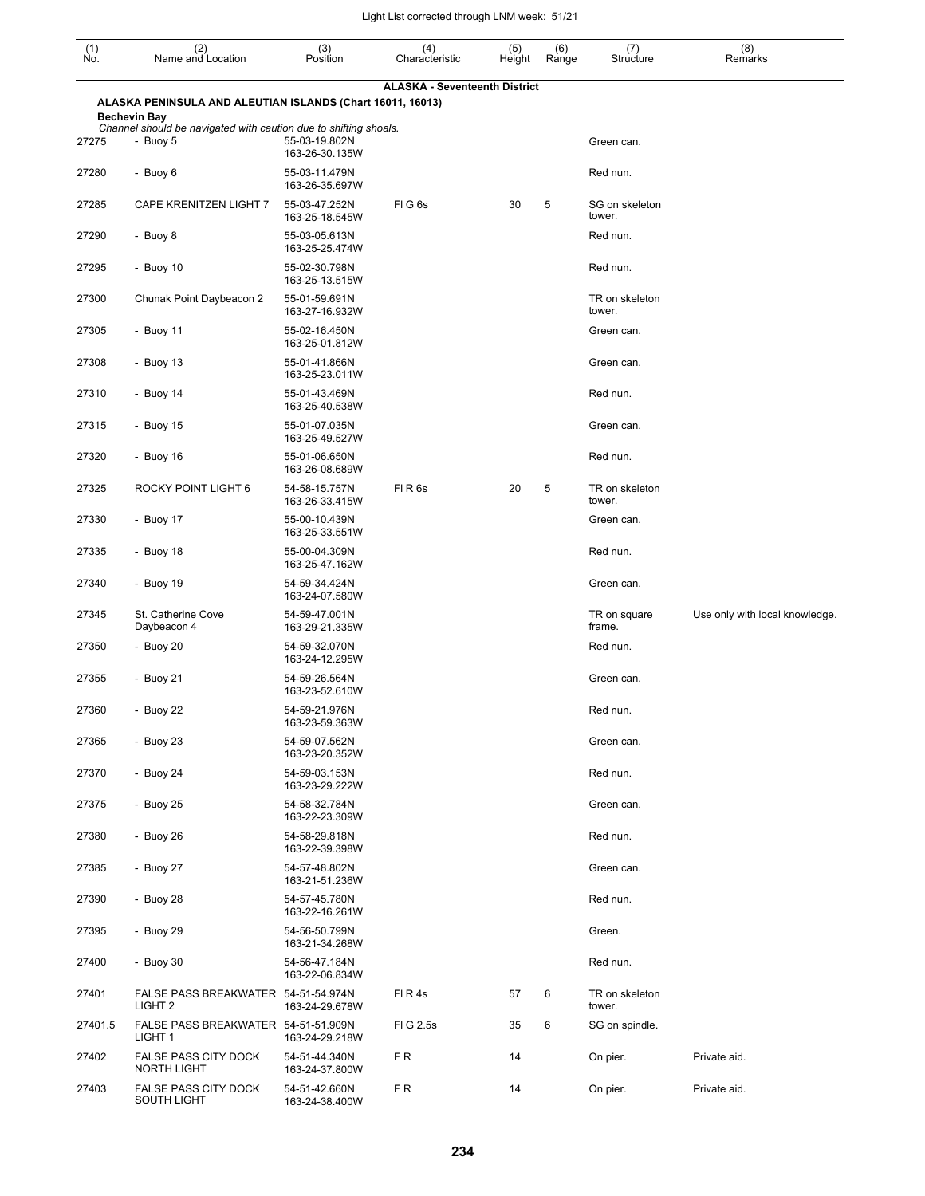| (1)<br>Ño. | (2)<br>Name and Location                                                          | (3)<br>Position                 | (4)<br>Characteristic                | (5)<br>Height | (6)<br>Range | (7)<br>Structure         | (8)<br>Remarks                 |
|------------|-----------------------------------------------------------------------------------|---------------------------------|--------------------------------------|---------------|--------------|--------------------------|--------------------------------|
|            |                                                                                   |                                 | <b>ALASKA - Seventeenth District</b> |               |              |                          |                                |
|            | ALASKA PENINSULA AND ALEUTIAN ISLANDS (Chart 16011, 16013)<br><b>Bechevin Bay</b> |                                 |                                      |               |              |                          |                                |
| 27275      | Channel should be navigated with caution due to shifting shoals.<br>- Buoy 5      | 55-03-19.802N<br>163-26-30.135W |                                      |               |              | Green can.               |                                |
| 27280      | - Buoy 6                                                                          | 55-03-11.479N<br>163-26-35.697W |                                      |               |              | Red nun.                 |                                |
| 27285      | CAPE KRENITZEN LIGHT 7                                                            | 55-03-47.252N<br>163-25-18.545W | FIG <sub>6s</sub>                    | 30            | 5            | SG on skeleton<br>tower. |                                |
| 27290      | - Buoy 8                                                                          | 55-03-05.613N<br>163-25-25.474W |                                      |               |              | Red nun.                 |                                |
| 27295      | - Buoy 10                                                                         | 55-02-30.798N<br>163-25-13.515W |                                      |               |              | Red nun.                 |                                |
| 27300      | Chunak Point Daybeacon 2                                                          | 55-01-59.691N<br>163-27-16.932W |                                      |               |              | TR on skeleton<br>tower. |                                |
| 27305      | - Buoy 11                                                                         | 55-02-16.450N<br>163-25-01.812W |                                      |               |              | Green can.               |                                |
| 27308      | - Buoy $13$                                                                       | 55-01-41.866N<br>163-25-23.011W |                                      |               |              | Green can.               |                                |
| 27310      | - Buoy $14$                                                                       | 55-01-43.469N<br>163-25-40.538W |                                      |               |              | Red nun.                 |                                |
| 27315      | - Buoy 15                                                                         | 55-01-07.035N<br>163-25-49.527W |                                      |               |              | Green can.               |                                |
| 27320      | - Buoy 16                                                                         | 55-01-06.650N<br>163-26-08.689W |                                      |               |              | Red nun.                 |                                |
| 27325      | ROCKY POINT LIGHT 6                                                               | 54-58-15.757N<br>163-26-33.415W | FIR <sub>6s</sub>                    | 20            | 5            | TR on skeleton<br>tower. |                                |
| 27330      | - Buoy 17                                                                         | 55-00-10.439N<br>163-25-33.551W |                                      |               |              | Green can.               |                                |
| 27335      | - Buoy 18                                                                         | 55-00-04.309N<br>163-25-47.162W |                                      |               |              | Red nun.                 |                                |
| 27340      | - Buoy 19                                                                         | 54-59-34.424N<br>163-24-07.580W |                                      |               |              | Green can.               |                                |
| 27345      | St. Catherine Cove<br>Daybeacon 4                                                 | 54-59-47.001N<br>163-29-21.335W |                                      |               |              | TR on square<br>frame.   | Use only with local knowledge. |
| 27350      | - Buoy 20                                                                         | 54-59-32.070N<br>163-24-12.295W |                                      |               |              | Red nun.                 |                                |
| 27355      | - Buoy 21                                                                         | 54-59-26.564N<br>163-23-52.610W |                                      |               |              | Green can.               |                                |
| 27360      | - Buoy 22                                                                         | 54-59-21.976N<br>163-23-59.363W |                                      |               |              | Red nun.                 |                                |
| 27365      | - Buoy 23                                                                         | 54-59-07.562N<br>163-23-20.352W |                                      |               |              | Green can.               |                                |
| 27370      | - Buoy 24                                                                         | 54-59-03.153N<br>163-23-29.222W |                                      |               |              | Red nun.                 |                                |
| 27375      | - Buoy 25                                                                         | 54-58-32.784N<br>163-22-23.309W |                                      |               |              | Green can.               |                                |
| 27380      | - Buoy 26                                                                         | 54-58-29.818N<br>163-22-39.398W |                                      |               |              | Red nun.                 |                                |
| 27385      | - Buoy 27                                                                         | 54-57-48.802N<br>163-21-51.236W |                                      |               |              | Green can.               |                                |
| 27390      | - Buoy 28                                                                         | 54-57-45.780N<br>163-22-16.261W |                                      |               |              | Red nun.                 |                                |
| 27395      | - Buoy 29                                                                         | 54-56-50.799N<br>163-21-34.268W |                                      |               |              | Green.                   |                                |
| 27400      | - Buoy 30                                                                         | 54-56-47.184N<br>163-22-06.834W |                                      |               |              | Red nun.                 |                                |
| 27401      | FALSE PASS BREAKWATER 54-51-54.974N<br>LIGHT <sub>2</sub>                         | 163-24-29.678W                  | FIR4s                                | 57            | 6            | TR on skeleton<br>tower. |                                |
| 27401.5    | FALSE PASS BREAKWATER 54-51-51.909N<br>LIGHT 1                                    | 163-24-29.218W                  | FIG 2.5s                             | 35            | 6            | SG on spindle.           |                                |
| 27402      | FALSE PASS CITY DOCK<br>NORTH LIGHT                                               | 54-51-44.340N<br>163-24-37.800W | FR.                                  | 14            |              | On pier.                 | Private aid.                   |
| 27403      | <b>FALSE PASS CITY DOCK</b><br>SOUTH LIGHT                                        | 54-51-42.660N<br>163-24-38.400W | FR.                                  | 14            |              | On pier.                 | Private aid.                   |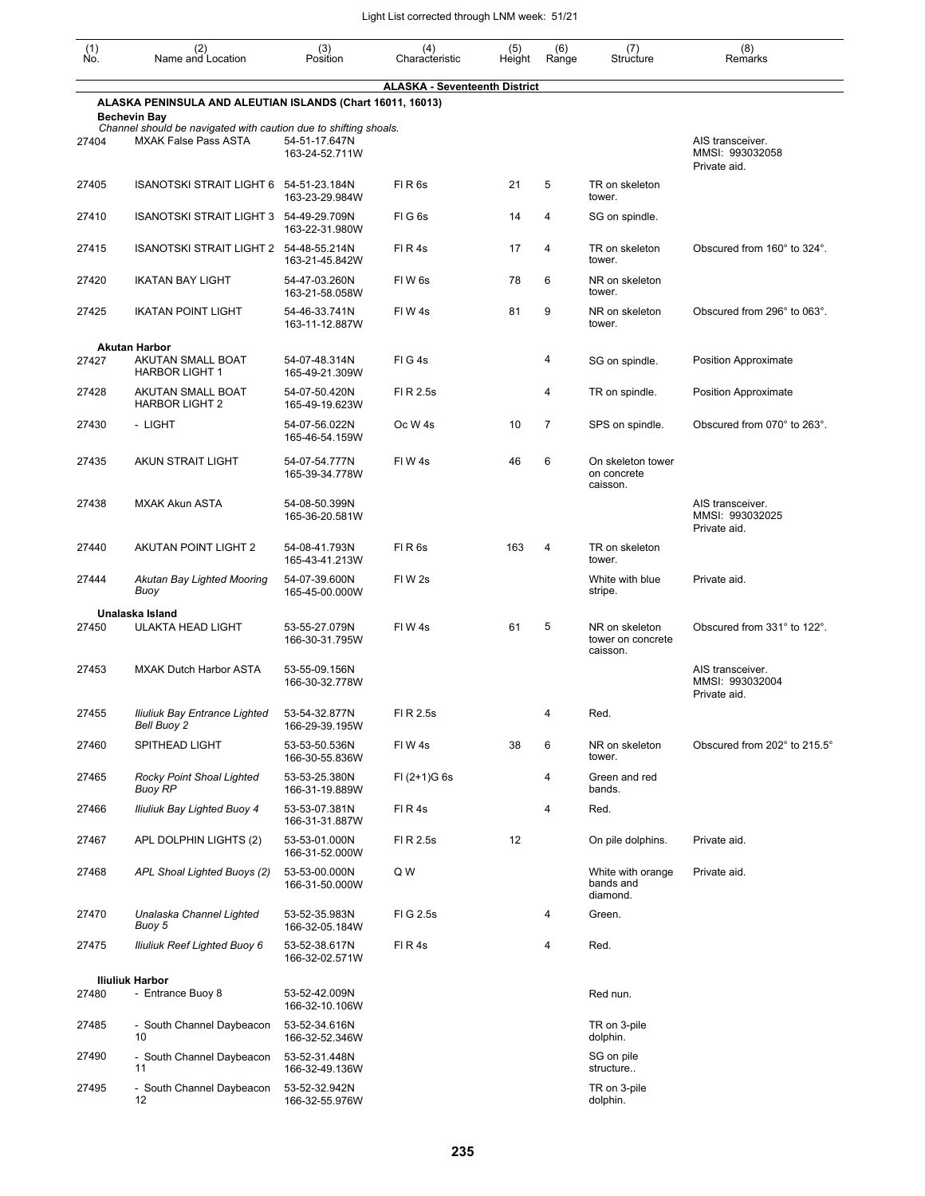| $\begin{smallmatrix} (1) \\ \mathsf{No} \end{smallmatrix}$ | (2)<br>Name and Location                                                                | (3)<br>Position                 | (4)<br>Characteristic                | (5)<br>Height | (6)<br>Range   | (7)<br>Structure                                | (8)<br>Remarks                                      |
|------------------------------------------------------------|-----------------------------------------------------------------------------------------|---------------------------------|--------------------------------------|---------------|----------------|-------------------------------------------------|-----------------------------------------------------|
|                                                            |                                                                                         |                                 | <b>ALASKA - Seventeenth District</b> |               |                |                                                 |                                                     |
|                                                            | ALASKA PENINSULA AND ALEUTIAN ISLANDS (Chart 16011, 16013)                              |                                 |                                      |               |                |                                                 |                                                     |
|                                                            | <b>Bechevin Bay</b><br>Channel should be navigated with caution due to shifting shoals. |                                 |                                      |               |                |                                                 |                                                     |
| 27404                                                      | <b>MXAK False Pass ASTA</b>                                                             | 54-51-17.647N<br>163-24-52.711W |                                      |               |                |                                                 | AIS transceiver.<br>MMSI: 993032058<br>Private aid. |
| 27405                                                      | ISANOTSKI STRAIT LIGHT 6 54-51-23.184N                                                  | 163-23-29.984W                  | FIR <sub>6s</sub>                    | 21            | 5              | TR on skeleton<br>tower.                        |                                                     |
| 27410                                                      | ISANOTSKI STRAIT LIGHT 3 54-49-29.709N                                                  | 163-22-31.980W                  | FIG <sub>6s</sub>                    | 14            | 4              | SG on spindle.                                  |                                                     |
| 27415                                                      | <b>ISANOTSKI STRAIT LIGHT 2</b>                                                         | 54-48-55.214N<br>163-21-45.842W | FIR4s                                | 17            | 4              | TR on skeleton<br>tower.                        | Obscured from 160° to 324°.                         |
| 27420                                                      | <b>IKATAN BAY LIGHT</b>                                                                 | 54-47-03.260N<br>163-21-58.058W | FIW 6s                               | 78            | 6              | NR on skeleton<br>tower.                        |                                                     |
| 27425                                                      | <b>IKATAN POINT LIGHT</b>                                                               | 54-46-33.741N<br>163-11-12.887W | FIW4s                                | 81            | 9              | NR on skeleton<br>tower.                        | Obscured from 296° to 063°.                         |
|                                                            | <b>Akutan Harbor</b>                                                                    |                                 |                                      |               |                |                                                 |                                                     |
| 27427                                                      | AKUTAN SMALL BOAT<br><b>HARBOR LIGHT 1</b>                                              | 54-07-48.314N<br>165-49-21.309W | FIG4s                                |               | 4              | SG on spindle.                                  | Position Approximate                                |
| 27428                                                      | AKUTAN SMALL BOAT<br><b>HARBOR LIGHT 2</b>                                              | 54-07-50.420N<br>165-49-19.623W | FI R 2.5s                            |               | 4              | TR on spindle.                                  | <b>Position Approximate</b>                         |
| 27430                                                      | - LIGHT                                                                                 | 54-07-56.022N<br>165-46-54.159W | Oc W <sub>4s</sub>                   | 10            | $\overline{7}$ | SPS on spindle.                                 | Obscured from 070° to 263°.                         |
| 27435                                                      | AKUN STRAIT LIGHT                                                                       | 54-07-54.777N<br>165-39-34.778W | FIW4s                                | 46            | 6              | On skeleton tower<br>on concrete<br>caisson.    |                                                     |
| 27438                                                      | <b>MXAK Akun ASTA</b>                                                                   | 54-08-50.399N<br>165-36-20.581W |                                      |               |                |                                                 | AIS transceiver.<br>MMSI: 993032025<br>Private aid. |
| 27440                                                      | AKUTAN POINT LIGHT 2                                                                    | 54-08-41.793N<br>165-43-41.213W | FIR <sub>6s</sub>                    | 163           | 4              | TR on skeleton<br>tower.                        |                                                     |
| 27444                                                      | Akutan Bay Lighted Mooring<br>Buoy                                                      | 54-07-39.600N<br>165-45-00.000W | FIW <sub>2s</sub>                    |               |                | White with blue<br>stripe.                      | Private aid.                                        |
|                                                            | Unalaska Island                                                                         |                                 |                                      |               |                |                                                 |                                                     |
| 27450                                                      | <b>ULAKTA HEAD LIGHT</b>                                                                | 53-55-27.079N<br>166-30-31.795W | FIW 4s                               | 61            | 5              | NR on skeleton<br>tower on concrete<br>caisson. | Obscured from 331° to 122°.                         |
| 27453                                                      | <b>MXAK Dutch Harbor ASTA</b>                                                           | 53-55-09.156N<br>166-30-32.778W |                                      |               |                |                                                 | AIS transceiver.<br>MMSI: 993032004<br>Private aid. |
| 27455                                                      | Iliuliuk Bay Entrance Lighted<br>Bell Buoy 2                                            | 53-54-32.877N<br>166-29-39.195W | FI R 2.5s                            |               | 4              | Red.                                            |                                                     |
| 27460                                                      | SPITHEAD LIGHT                                                                          | 53-53-50.536N<br>166-30-55.836W | FIW4s                                | 38            | 6              | NR on skeleton<br>tower.                        | Obscured from 202° to 215.5°                        |
| 27465                                                      | Rocky Point Shoal Lighted<br><b>Buoy RP</b>                                             | 53-53-25.380N<br>166-31-19.889W | $FI (2+1)G 6s$                       |               | 4              | Green and red<br>bands.                         |                                                     |
| 27466                                                      | <b>Iliuliuk Bay Lighted Buoy 4</b>                                                      | 53-53-07.381N<br>166-31-31.887W | FIR4s                                |               | 4              | Red.                                            |                                                     |
| 27467                                                      | APL DOLPHIN LIGHTS (2)                                                                  | 53-53-01.000N<br>166-31-52.000W | FI R 2.5s                            | 12            |                | On pile dolphins.                               | Private aid.                                        |
| 27468                                                      | APL Shoal Lighted Buoys (2)                                                             | 53-53-00.000N<br>166-31-50.000W | Q W                                  |               |                | White with orange<br>bands and<br>diamond.      | Private aid.                                        |
| 27470                                                      | Unalaska Channel Lighted<br>Buoy 5                                                      | 53-52-35.983N<br>166-32-05.184W | FIG 2.5s                             |               | 4              | Green.                                          |                                                     |
| 27475                                                      | <b>Iliuliuk Reef Lighted Buoy 6</b>                                                     | 53-52-38.617N<br>166-32-02.571W | FIR4s                                |               | 4              | Red.                                            |                                                     |
|                                                            | <b>Iliuliuk Harbor</b>                                                                  |                                 |                                      |               |                |                                                 |                                                     |
| 27480                                                      | - Entrance Buoy 8                                                                       | 53-52-42.009N<br>166-32-10.106W |                                      |               |                | Red nun.                                        |                                                     |
| 27485                                                      | - South Channel Daybeacon<br>10                                                         | 53-52-34.616N<br>166-32-52.346W |                                      |               |                | TR on 3-pile<br>dolphin.                        |                                                     |
| 27490                                                      | - South Channel Daybeacon<br>11                                                         | 53-52-31.448N<br>166-32-49.136W |                                      |               |                | SG on pile<br>structure                         |                                                     |
| 27495                                                      | - South Channel Daybeacon<br>12                                                         | 53-52-32.942N<br>166-32-55.976W |                                      |               |                | TR on 3-pile<br>dolphin.                        |                                                     |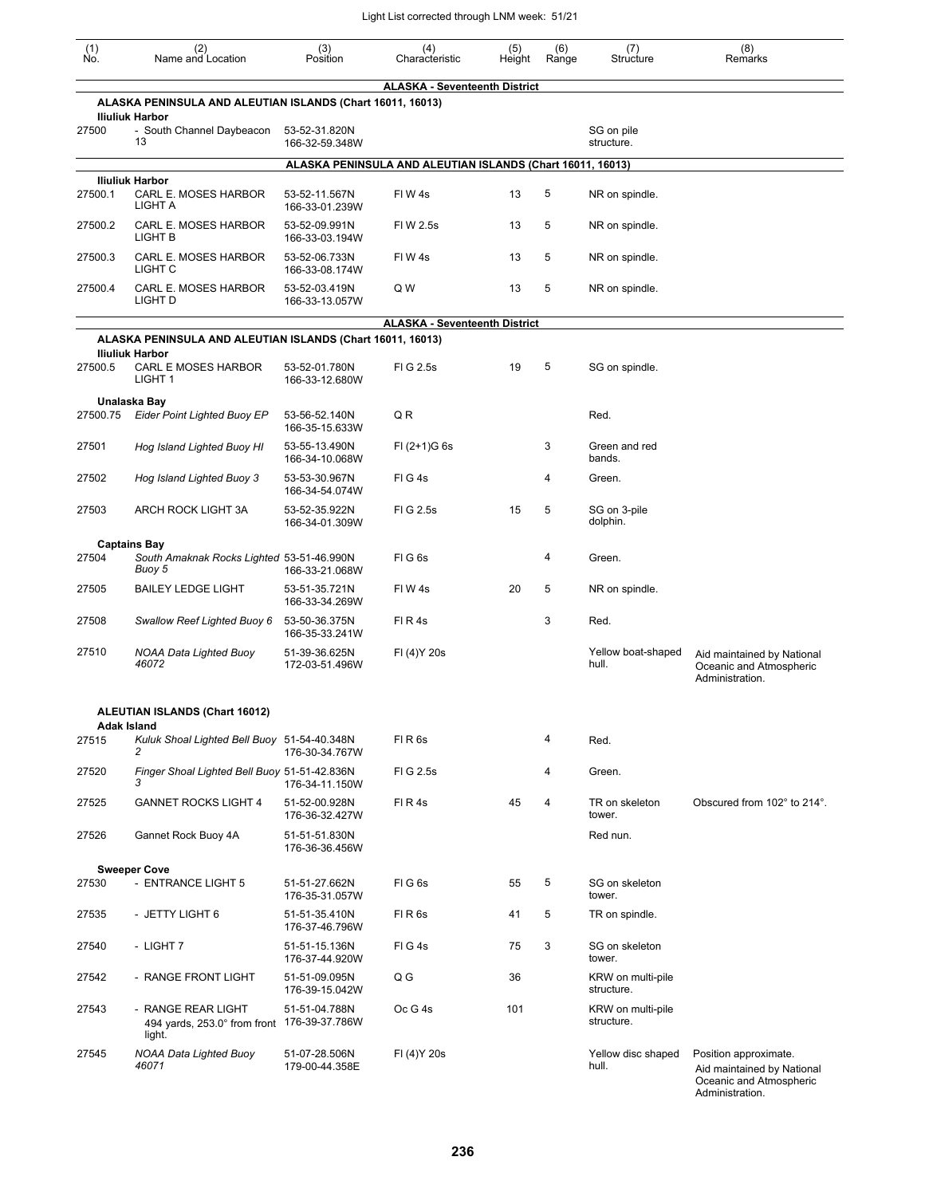| (1)<br>No. | (2)<br>Name and Location                                                             | (3)<br>Position                                            | (4)<br>Characteristic                | (5)<br>Height | (6)<br>Range | (7)<br>Structure                | (8)<br>Remarks                                                                                    |
|------------|--------------------------------------------------------------------------------------|------------------------------------------------------------|--------------------------------------|---------------|--------------|---------------------------------|---------------------------------------------------------------------------------------------------|
|            |                                                                                      |                                                            | <b>ALASKA - Seventeenth District</b> |               |              |                                 |                                                                                                   |
|            | ALASKA PENINSULA AND ALEUTIAN ISLANDS (Chart 16011, 16013)<br><b>Iliuliuk Harbor</b> |                                                            |                                      |               |              |                                 |                                                                                                   |
| 27500      | - South Channel Daybeacon<br>13                                                      | 53-52-31.820N<br>166-32-59.348W                            |                                      |               |              | SG on pile<br>structure.        |                                                                                                   |
|            |                                                                                      | ALASKA PENINSULA AND ALEUTIAN ISLANDS (Chart 16011, 16013) |                                      |               |              |                                 |                                                                                                   |
| 27500.1    | <b>Iliuliuk Harbor</b><br>CARL E. MOSES HARBOR<br>LIGHT A                            | 53-52-11.567N<br>166-33-01.239W                            | FIW4s                                | 13            | 5            | NR on spindle.                  |                                                                                                   |
| 27500.2    | CARL E. MOSES HARBOR<br>LIGHT B                                                      | 53-52-09.991N<br>166-33-03.194W                            | FIW 2.5s                             | 13            | 5            | NR on spindle.                  |                                                                                                   |
| 27500.3    | CARL E. MOSES HARBOR<br>LIGHT C                                                      | 53-52-06.733N<br>166-33-08.174W                            | FIW 4s                               | 13            | 5            | NR on spindle.                  |                                                                                                   |
| 27500.4    | CARL E. MOSES HARBOR<br>LIGHT D                                                      | 53-52-03.419N<br>166-33-13.057W                            | Q W                                  | 13            | 5            | NR on spindle.                  |                                                                                                   |
|            |                                                                                      |                                                            | <b>ALASKA - Seventeenth District</b> |               |              |                                 |                                                                                                   |
|            | ALASKA PENINSULA AND ALEUTIAN ISLANDS (Chart 16011, 16013)<br><b>Iliuliuk Harbor</b> |                                                            |                                      |               |              |                                 |                                                                                                   |
| 27500.5    | CARL E MOSES HARBOR<br>LIGHT <sub>1</sub>                                            | 53-52-01.780N<br>166-33-12.680W                            | FIG 2.5s                             | 19            | 5            | SG on spindle.                  |                                                                                                   |
| 27500.75   | Unalaska Bay<br><b>Eider Point Lighted Buoy EP</b>                                   | 53-56-52.140N<br>166-35-15.633W                            | QR                                   |               |              | Red.                            |                                                                                                   |
| 27501      | Hog Island Lighted Buoy HI                                                           | 53-55-13.490N<br>166-34-10.068W                            | $FI (2+1)G 6s$                       |               | 3            | Green and red<br>bands.         |                                                                                                   |
| 27502      | Hog Island Lighted Buoy 3                                                            | 53-53-30.967N<br>166-34-54.074W                            | FIG4s                                |               | 4            | Green.                          |                                                                                                   |
| 27503      | ARCH ROCK LIGHT 3A                                                                   | 53-52-35.922N<br>166-34-01.309W                            | FIG 2.5s                             | 15            | 5            | SG on 3-pile<br>dolphin.        |                                                                                                   |
|            | <b>Captains Bay</b>                                                                  |                                                            |                                      |               |              |                                 |                                                                                                   |
| 27504      | South Amaknak Rocks Lighted 53-51-46.990N<br>Buoy 5                                  | 166-33-21.068W                                             | FIG6s                                |               | 4            | Green.                          |                                                                                                   |
| 27505      | <b>BAILEY LEDGE LIGHT</b>                                                            | 53-51-35.721N<br>166-33-34.269W                            | FIW <sub>4s</sub>                    | 20            | 5            | NR on spindle.                  |                                                                                                   |
| 27508      | Swallow Reef Lighted Buoy 6                                                          | 53-50-36.375N<br>166-35-33.241W                            | FIR <sub>4s</sub>                    |               | 3            | Red.                            |                                                                                                   |
| 27510      | <b>NOAA Data Lighted Buoy</b><br>46072                                               | 51-39-36.625N<br>172-03-51.496W                            | FI (4) Y 20s                         |               |              | Yellow boat-shaped<br>hull.     | Aid maintained by National<br>Oceanic and Atmospheric<br>Administration.                          |
|            | ALEUTIAN ISLANDS (Chart 16012)<br><b>Adak Island</b>                                 |                                                            |                                      |               |              |                                 |                                                                                                   |
| 27515      | Kuluk Shoal Lighted Bell Buoy 51-54-40.348N<br>2                                     | 176-30-34.767W                                             | FIR <sub>6s</sub>                    |               | 4            | Red.                            |                                                                                                   |
| 27520      | Finger Shoal Lighted Bell Buoy 51-51-42.836N<br>3                                    | 176-34-11.150W                                             | FIG 2.5s                             |               | 4            | Green.                          |                                                                                                   |
| 27525      | <b>GANNET ROCKS LIGHT 4</b>                                                          | 51-52-00.928N<br>176-36-32.427W                            | FIR4s                                | 45            | 4            | TR on skeleton<br>tower.        | Obscured from 102° to 214°.                                                                       |
| 27526      | Gannet Rock Buoy 4A                                                                  | 51-51-51.830N<br>176-36-36.456W                            |                                      |               |              | Red nun.                        |                                                                                                   |
| 27530      | <b>Sweeper Cove</b><br>- ENTRANCE LIGHT 5                                            | 51-51-27.662N<br>176-35-31.057W                            | FIG6s                                | 55            | 5            | SG on skeleton<br>tower.        |                                                                                                   |
| 27535      | - JETTY LIGHT 6                                                                      | 51-51-35.410N<br>176-37-46.796W                            | FIR <sub>6s</sub>                    | 41            | 5            | TR on spindle.                  |                                                                                                   |
| 27540      | - LIGHT 7                                                                            | 51-51-15.136N<br>176-37-44.920W                            | FIG4s                                | 75            | 3            | SG on skeleton<br>tower.        |                                                                                                   |
| 27542      | - RANGE FRONT LIGHT                                                                  | 51-51-09.095N<br>176-39-15.042W                            | Q G                                  | 36            |              | KRW on multi-pile<br>structure. |                                                                                                   |
| 27543      | - RANGE REAR LIGHT<br>494 yards, 253.0° from front<br>light.                         | 51-51-04.788N<br>176-39-37.786W                            | Oc G 4s                              | 101           |              | KRW on multi-pile<br>structure. |                                                                                                   |
| 27545      | <b>NOAA Data Lighted Buoy</b><br>46071                                               | 51-07-28.506N<br>179-00-44.358E                            | FI (4) Y 20s                         |               |              | Yellow disc shaped<br>hull.     | Position approximate.<br>Aid maintained by National<br>Oceanic and Atmospheric<br>Administration. |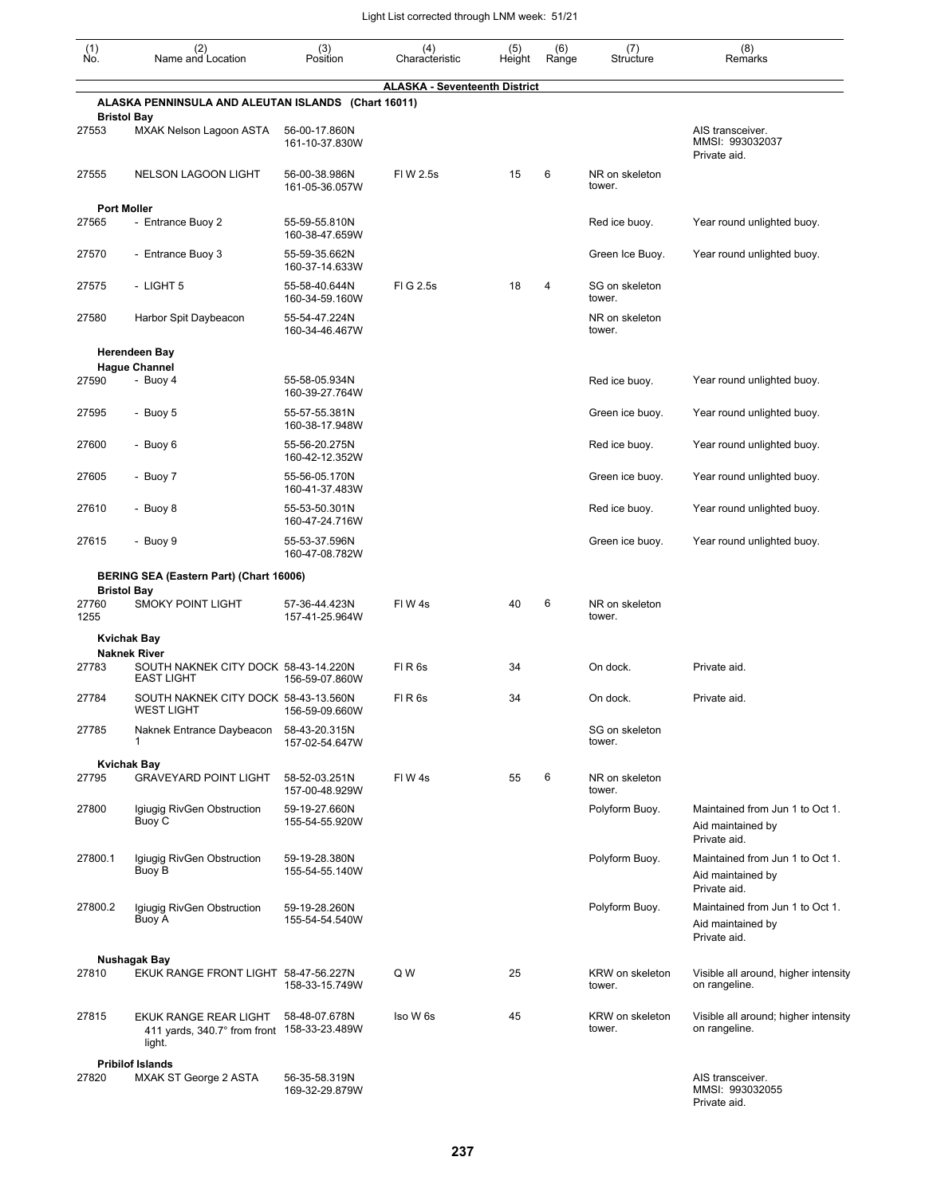| (1)<br>Ño.                  | (2)<br>Name and Location                                                         | (3)<br>Position                 | (4)<br>Characteristic                | (5)<br>Height | (6)<br>Range | (7)<br>Structure          | (8)<br>Remarks                                                       |
|-----------------------------|----------------------------------------------------------------------------------|---------------------------------|--------------------------------------|---------------|--------------|---------------------------|----------------------------------------------------------------------|
|                             | ALASKA PENNINSULA AND ALEUTAN ISLANDS (Chart 16011)                              |                                 | <b>ALASKA - Seventeenth District</b> |               |              |                           |                                                                      |
| 27553                       | <b>Bristol Bay</b><br>MXAK Nelson Lagoon ASTA                                    | 56-00-17.860N<br>161-10-37.830W |                                      |               |              |                           | AIS transceiver.<br>MMSI: 993032037                                  |
| 27555                       | <b>NELSON LAGOON LIGHT</b>                                                       | 56-00-38.986N                   | FIW 2.5s                             | 15            | 6            | NR on skeleton            | Private aid.                                                         |
|                             |                                                                                  | 161-05-36.057W                  |                                      |               |              | tower.                    |                                                                      |
| <b>Port Moller</b><br>27565 | - Entrance Buoy 2                                                                | 55-59-55.810N<br>160-38-47.659W |                                      |               |              | Red ice buoy.             | Year round unlighted buoy.                                           |
| 27570                       | - Entrance Buoy 3                                                                | 55-59-35.662N<br>160-37-14.633W |                                      |               |              | Green Ice Buoy.           | Year round unlighted buoy.                                           |
| 27575                       | - LIGHT 5                                                                        | 55-58-40.644N<br>160-34-59.160W | FIG 2.5s                             | 18            | 4            | SG on skeleton<br>tower.  |                                                                      |
| 27580                       | Harbor Spit Daybeacon                                                            | 55-54-47.224N<br>160-34-46.467W |                                      |               |              | NR on skeleton<br>tower.  |                                                                      |
|                             | <b>Herendeen Bay</b><br><b>Hague Channel</b>                                     |                                 |                                      |               |              |                           |                                                                      |
| 27590                       | - Buoy 4                                                                         | 55-58-05.934N<br>160-39-27.764W |                                      |               |              | Red ice buoy.             | Year round unlighted buoy.                                           |
| 27595                       | - Buoy 5                                                                         | 55-57-55.381N<br>160-38-17.948W |                                      |               |              | Green ice buoy.           | Year round unlighted buoy.                                           |
| 27600                       | - Buoy 6                                                                         | 55-56-20.275N<br>160-42-12.352W |                                      |               |              | Red ice buoy.             | Year round unlighted buoy.                                           |
| 27605                       | - Buoy 7                                                                         | 55-56-05.170N<br>160-41-37.483W |                                      |               |              | Green ice buoy.           | Year round unlighted buoy.                                           |
| 27610                       | - Buoy 8                                                                         | 55-53-50.301N<br>160-47-24.716W |                                      |               |              | Red ice buoy.             | Year round unlighted buoy.                                           |
| 27615                       | - Buoy 9                                                                         | 55-53-37.596N<br>160-47-08.782W |                                      |               |              | Green ice buoy.           | Year round unlighted buoy.                                           |
|                             | BERING SEA (Eastern Part) (Chart 16006)                                          |                                 |                                      |               |              |                           |                                                                      |
| 27760<br>1255               | <b>Bristol Bay</b><br><b>SMOKY POINT LIGHT</b>                                   | 57-36-44.423N<br>157-41-25.964W | FIW4s                                | 40            | 6            | NR on skeleton<br>tower.  |                                                                      |
|                             | <b>Kvichak Bay</b>                                                               |                                 |                                      |               |              |                           |                                                                      |
| 27783                       | <b>Naknek River</b><br>SOUTH NAKNEK CITY DOCK 58-43-14.220N<br><b>EAST LIGHT</b> | 156-59-07.860W                  | FIR <sub>6s</sub>                    | 34            |              | On dock.                  | Private aid.                                                         |
| 27784                       | SOUTH NAKNEK CITY DOCK 58-43-13.560N<br><b>WEST LIGHT</b>                        | 156-59-09.660W                  | FIR6s                                | 34            |              | On dock.                  | Private aid.                                                         |
| 27785                       | Naknek Entrance Daybeacon<br>1                                                   | 58-43-20.315N<br>157-02-54.647W |                                      |               |              | SG on skeleton<br>tower.  |                                                                      |
|                             | <b>Kvichak Bay</b>                                                               |                                 |                                      |               |              |                           |                                                                      |
| 27795                       | <b>GRAVEYARD POINT LIGHT</b>                                                     | 58-52-03.251N<br>157-00-48.929W | FIW <sub>4s</sub>                    | 55            | 6            | NR on skeleton<br>tower.  |                                                                      |
| 27800                       | Igiugig RivGen Obstruction<br>Buoy C                                             | 59-19-27.660N<br>155-54-55.920W |                                      |               |              | Polyform Buoy.            | Maintained from Jun 1 to Oct 1.<br>Aid maintained by<br>Private aid. |
| 27800.1                     | Igiugig RivGen Obstruction<br>Buoy B                                             | 59-19-28.380N<br>155-54-55.140W |                                      |               |              | Polyform Buoy.            | Maintained from Jun 1 to Oct 1.<br>Aid maintained by<br>Private aid. |
| 27800.2                     | Igiugig RivGen Obstruction<br>Buoy A                                             | 59-19-28.260N<br>155-54-54.540W |                                      |               |              | Polyform Buoy.            | Maintained from Jun 1 to Oct 1.<br>Aid maintained by<br>Private aid. |
| 27810                       | Nushagak Bay<br>EKUK RANGE FRONT LIGHT 58-47-56.227N                             | 158-33-15.749W                  | Q W                                  | 25            |              | KRW on skeleton<br>tower. | Visible all around, higher intensity<br>on rangeline.                |
| 27815                       | EKUK RANGE REAR LIGHT<br>411 yards, 340.7° from front 158-33-23.489W<br>light.   | 58-48-07.678N                   | Iso W 6s                             | 45            |              | KRW on skeleton<br>tower. | Visible all around; higher intensity<br>on rangeline.                |
|                             | <b>Pribilof Islands</b>                                                          |                                 |                                      |               |              |                           |                                                                      |
| 27820                       | MXAK ST George 2 ASTA                                                            | 56-35-58.319N<br>169-32-29.879W |                                      |               |              |                           | AIS transceiver.<br>MMSI: 993032055<br>Private aid.                  |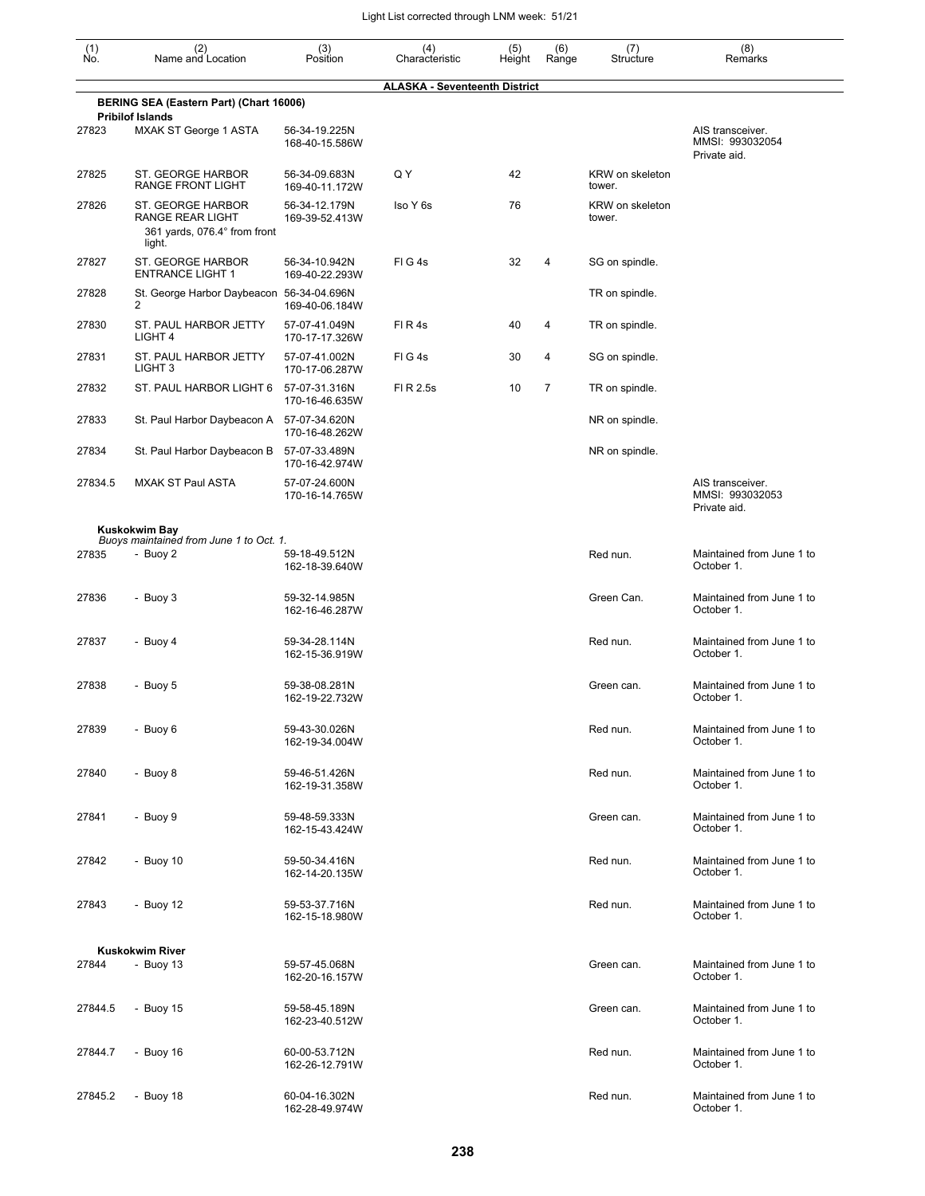| (1)<br>Ñó. | (2)<br>Name and Location                                                               | (3)<br>Position                 | (4)<br>Characteristic                | (5)<br>Height | (6)<br>Range   | (7)<br>Structure          | (8)<br>Remarks                                      |
|------------|----------------------------------------------------------------------------------------|---------------------------------|--------------------------------------|---------------|----------------|---------------------------|-----------------------------------------------------|
|            |                                                                                        |                                 | <b>ALASKA - Seventeenth District</b> |               |                |                           |                                                     |
|            | BERING SEA (Eastern Part) (Chart 16006)<br><b>Pribilof Islands</b>                     |                                 |                                      |               |                |                           |                                                     |
| 27823      | <b>MXAK ST George 1 ASTA</b>                                                           | 56-34-19.225N<br>168-40-15.586W |                                      |               |                |                           | AIS transceiver.<br>MMSI: 993032054<br>Private aid. |
| 27825      | <b>ST. GEORGE HARBOR</b><br><b>RANGE FRONT LIGHT</b>                                   | 56-34-09.683N<br>169-40-11.172W | Q Y                                  | 42            |                | KRW on skeleton<br>tower. |                                                     |
| 27826      | ST. GEORGE HARBOR<br><b>RANGE REAR LIGHT</b><br>361 yards, 076.4° from front<br>light. | 56-34-12.179N<br>169-39-52.413W | Iso Y 6s                             | 76            |                | KRW on skeleton<br>tower. |                                                     |
| 27827      | ST. GEORGE HARBOR<br><b>ENTRANCE LIGHT 1</b>                                           | 56-34-10.942N<br>169-40-22.293W | FIG4s                                | 32            | 4              | SG on spindle.            |                                                     |
| 27828      | St. George Harbor Daybeacon 56-34-04.696N<br>2                                         | 169-40-06.184W                  |                                      |               |                | TR on spindle.            |                                                     |
| 27830      | ST. PAUL HARBOR JETTY<br>LIGHT 4                                                       | 57-07-41.049N<br>170-17-17.326W | FIR4s                                | 40            | 4              | TR on spindle.            |                                                     |
| 27831      | ST. PAUL HARBOR JETTY<br>LIGHT <sub>3</sub>                                            | 57-07-41.002N<br>170-17-06.287W | FIG4s                                | 30            | 4              | SG on spindle.            |                                                     |
| 27832      | ST. PAUL HARBOR LIGHT 6                                                                | 57-07-31.316N<br>170-16-46.635W | FI R 2.5s                            | 10            | $\overline{7}$ | TR on spindle.            |                                                     |
| 27833      | St. Paul Harbor Daybeacon A                                                            | 57-07-34.620N<br>170-16-48.262W |                                      |               |                | NR on spindle.            |                                                     |
| 27834      | St. Paul Harbor Daybeacon B                                                            | 57-07-33.489N<br>170-16-42.974W |                                      |               |                | NR on spindle.            |                                                     |
| 27834.5    | <b>MXAK ST Paul ASTA</b>                                                               | 57-07-24.600N<br>170-16-14.765W |                                      |               |                |                           | AIS transceiver.<br>MMSI: 993032053<br>Private aid. |
|            | <b>Kuskokwim Bay</b><br>Buoys maintained from June 1 to Oct. 1.                        |                                 |                                      |               |                |                           |                                                     |
| 27835      | - Buoy 2                                                                               | 59-18-49.512N<br>162-18-39.640W |                                      |               |                | Red nun.                  | Maintained from June 1 to<br>October 1.             |
| 27836      | - Buoy 3                                                                               | 59-32-14.985N<br>162-16-46.287W |                                      |               |                | Green Can.                | Maintained from June 1 to<br>October 1.             |
| 27837      | - Buoy 4                                                                               | 59-34-28.114N<br>162-15-36.919W |                                      |               |                | Red nun.                  | Maintained from June 1 to<br>October 1.             |
| 27838      | - Buoy 5                                                                               | 59-38-08.281N<br>162-19-22.732W |                                      |               |                | Green can.                | Maintained from June 1 to<br>October 1.             |
| 27839      | - Buoy 6                                                                               | 59-43-30.026N<br>162-19-34.004W |                                      |               |                | Red nun.                  | Maintained from June 1 to<br>October 1.             |
| 27840      | - Buoy 8                                                                               | 59-46-51.426N<br>162-19-31.358W |                                      |               |                | Red nun.                  | Maintained from June 1 to<br>October 1.             |
| 27841      | - Buoy 9                                                                               | 59-48-59.333N<br>162-15-43.424W |                                      |               |                | Green can.                | Maintained from June 1 to<br>October 1.             |
| 27842      | - Buoy $10$                                                                            | 59-50-34.416N<br>162-14-20.135W |                                      |               |                | Red nun.                  | Maintained from June 1 to<br>October 1.             |
| 27843      | - Buoy 12                                                                              | 59-53-37.716N<br>162-15-18.980W |                                      |               |                | Red nun.                  | Maintained from June 1 to<br>October 1.             |
|            | <b>Kuskokwim River</b>                                                                 |                                 |                                      |               |                |                           |                                                     |
| 27844      | - Buoy $13$                                                                            | 59-57-45.068N<br>162-20-16.157W |                                      |               |                | Green can.                | Maintained from June 1 to<br>October 1.             |
| 27844.5    | - Buoy 15                                                                              | 59-58-45.189N<br>162-23-40.512W |                                      |               |                | Green can.                | Maintained from June 1 to<br>October 1.             |
| 27844.7    | - Buoy $16$                                                                            | 60-00-53.712N<br>162-26-12.791W |                                      |               |                | Red nun.                  | Maintained from June 1 to<br>October 1.             |
| 27845.2    | - Buoy 18                                                                              | 60-04-16.302N<br>162-28-49.974W |                                      |               |                | Red nun.                  | Maintained from June 1 to<br>October 1.             |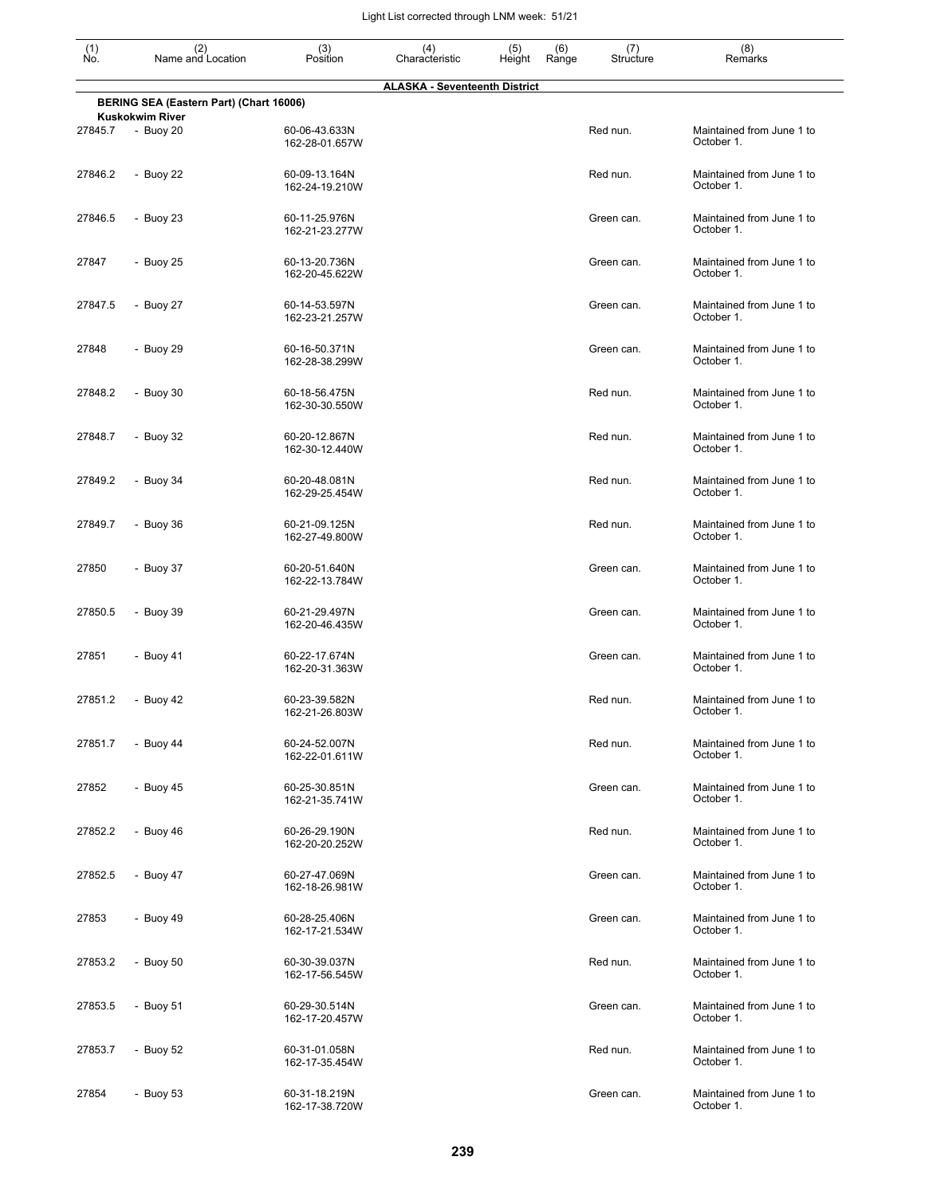| $\begin{smallmatrix} (1) \\ \mathsf{No} \end{smallmatrix}$                      | (2)<br>Name and Location              | (3)<br>Position                 | (4)<br>Characteristic | (5)<br>Height | (6)<br>Range | (7)<br>Structure | (8)<br>Remarks                          |  |  |  |
|---------------------------------------------------------------------------------|---------------------------------------|---------------------------------|-----------------------|---------------|--------------|------------------|-----------------------------------------|--|--|--|
| <b>ALASKA - Seventeenth District</b><br>BERING SEA (Eastern Part) (Chart 16006) |                                       |                                 |                       |               |              |                  |                                         |  |  |  |
| 27845.7                                                                         | <b>Kuskokwim River</b><br>$-$ Buoy 20 | 60-06-43.633N                   |                       |               |              | Red nun.         | Maintained from June 1 to               |  |  |  |
|                                                                                 |                                       | 162-28-01.657W                  |                       |               |              |                  | October 1.                              |  |  |  |
| 27846.2                                                                         | - Buoy 22                             | 60-09-13.164N<br>162-24-19.210W |                       |               |              | Red nun.         | Maintained from June 1 to<br>October 1. |  |  |  |
| 27846.5                                                                         | - Buoy 23                             | 60-11-25.976N<br>162-21-23.277W |                       |               |              | Green can.       | Maintained from June 1 to<br>October 1. |  |  |  |
| 27847                                                                           | - Buoy 25                             | 60-13-20.736N<br>162-20-45.622W |                       |               |              | Green can.       | Maintained from June 1 to<br>October 1. |  |  |  |
| 27847.5                                                                         | - Buoy 27                             | 60-14-53.597N<br>162-23-21.257W |                       |               |              | Green can.       | Maintained from June 1 to<br>October 1. |  |  |  |
| 27848                                                                           | - Buoy 29                             | 60-16-50.371N<br>162-28-38.299W |                       |               |              | Green can.       | Maintained from June 1 to<br>October 1. |  |  |  |
| 27848.2                                                                         | - Buoy 30                             | 60-18-56.475N<br>162-30-30.550W |                       |               |              | Red nun.         | Maintained from June 1 to<br>October 1. |  |  |  |
| 27848.7                                                                         | - Buoy 32                             | 60-20-12.867N<br>162-30-12.440W |                       |               |              | Red nun.         | Maintained from June 1 to<br>October 1. |  |  |  |
| 27849.2                                                                         | - Buoy 34                             | 60-20-48.081N<br>162-29-25.454W |                       |               |              | Red nun.         | Maintained from June 1 to<br>October 1. |  |  |  |
| 27849.7                                                                         | - Buoy 36                             | 60-21-09.125N<br>162-27-49.800W |                       |               |              | Red nun.         | Maintained from June 1 to<br>October 1. |  |  |  |
| 27850                                                                           | - Buoy 37                             | 60-20-51.640N<br>162-22-13.784W |                       |               |              | Green can.       | Maintained from June 1 to<br>October 1. |  |  |  |
| 27850.5                                                                         | - Buoy 39                             | 60-21-29.497N<br>162-20-46.435W |                       |               |              | Green can.       | Maintained from June 1 to<br>October 1. |  |  |  |
| 27851                                                                           | - Buoy 41                             | 60-22-17.674N<br>162-20-31.363W |                       |               |              | Green can.       | Maintained from June 1 to<br>October 1. |  |  |  |
| 27851.2                                                                         | - Buoy 42                             | 60-23-39.582N<br>162-21-26.803W |                       |               |              | Red nun.         | Maintained from June 1 to<br>October 1. |  |  |  |
| 27851.7                                                                         | - Buoy $44$                           | 60-24-52.007N<br>162-22-01.611W |                       |               |              | Red nun.         | Maintained from June 1 to<br>October 1. |  |  |  |
| 27852                                                                           | - Buoy $45$                           | 60-25-30.851N<br>162-21-35.741W |                       |               |              | Green can.       | Maintained from June 1 to<br>October 1. |  |  |  |
| 27852.2                                                                         | - Buoy 46                             | 60-26-29.190N<br>162-20-20.252W |                       |               |              | Red nun.         | Maintained from June 1 to<br>October 1. |  |  |  |
| 27852.5                                                                         | - Buoy 47                             | 60-27-47.069N<br>162-18-26.981W |                       |               |              | Green can.       | Maintained from June 1 to<br>October 1. |  |  |  |
| 27853                                                                           | - Buoy 49                             | 60-28-25.406N<br>162-17-21.534W |                       |               |              | Green can.       | Maintained from June 1 to<br>October 1. |  |  |  |
| 27853.2                                                                         | - Buoy 50                             | 60-30-39.037N<br>162-17-56.545W |                       |               |              | Red nun.         | Maintained from June 1 to<br>October 1. |  |  |  |
| 27853.5                                                                         | - Buoy 51                             | 60-29-30.514N<br>162-17-20.457W |                       |               |              | Green can.       | Maintained from June 1 to<br>October 1. |  |  |  |
| 27853.7                                                                         | - Buoy 52                             | 60-31-01.058N<br>162-17-35.454W |                       |               |              | Red nun.         | Maintained from June 1 to<br>October 1. |  |  |  |
| 27854                                                                           | - Buoy 53                             | 60-31-18.219N<br>162-17-38.720W |                       |               |              | Green can.       | Maintained from June 1 to<br>October 1. |  |  |  |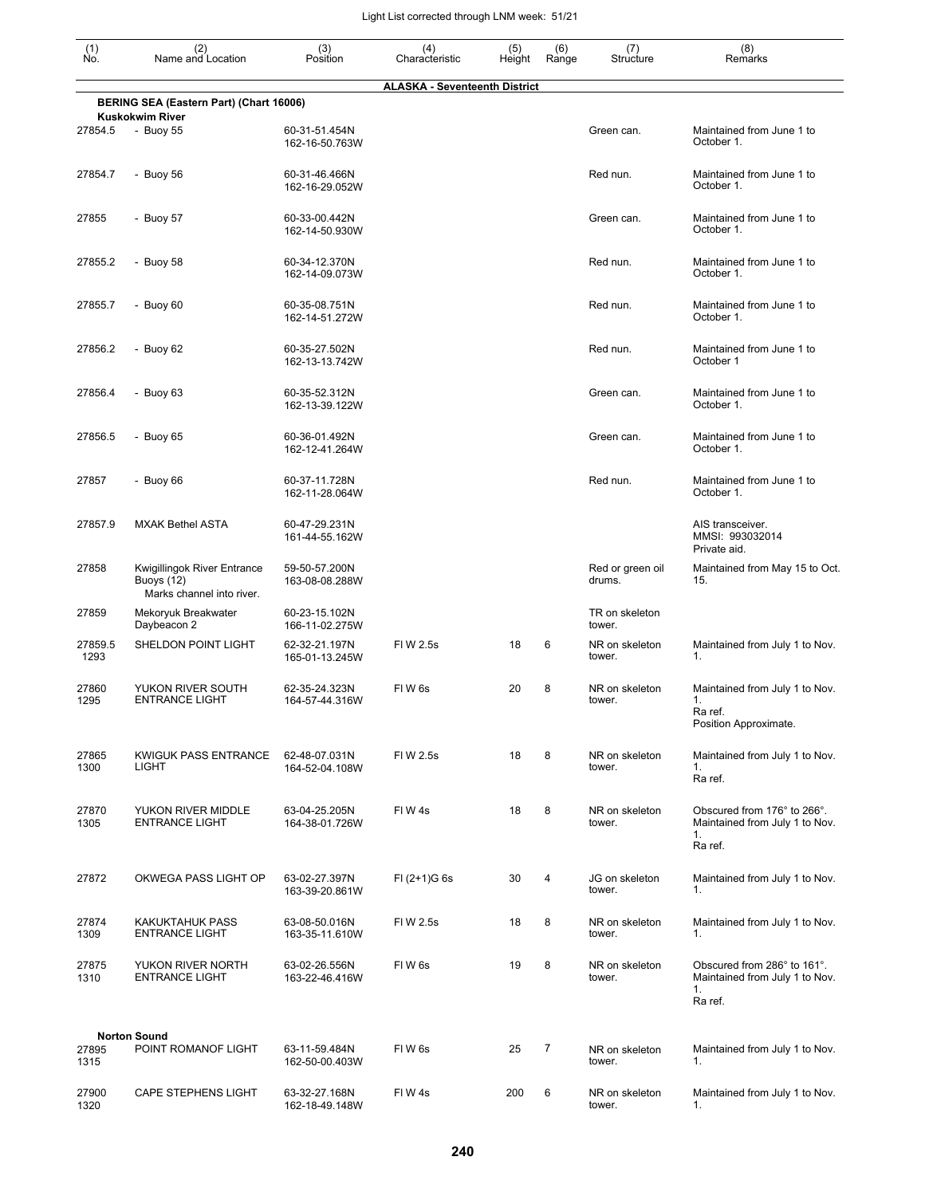| $\begin{smallmatrix} (1) \ N0. \end{smallmatrix}$ | (2)<br>Name and Location                                                      | (3)<br>Position                 | (4)<br>Characteristic                | (5)<br>Height | (6)<br>Range | (7)<br>Structure           | (8)<br>Remarks                                                                 |
|---------------------------------------------------|-------------------------------------------------------------------------------|---------------------------------|--------------------------------------|---------------|--------------|----------------------------|--------------------------------------------------------------------------------|
|                                                   |                                                                               |                                 | <b>ALASKA - Seventeenth District</b> |               |              |                            |                                                                                |
|                                                   | BERING SEA (Eastern Part) (Chart 16006)<br><b>Kuskokwim River</b>             |                                 |                                      |               |              |                            |                                                                                |
| 27854.5                                           | - Buoy 55                                                                     | 60-31-51.454N<br>162-16-50.763W |                                      |               |              | Green can.                 | Maintained from June 1 to<br>October 1.                                        |
| 27854.7                                           | - Buoy 56                                                                     | 60-31-46.466N<br>162-16-29.052W |                                      |               |              | Red nun.                   | Maintained from June 1 to<br>October 1.                                        |
| 27855                                             | - Buoy 57                                                                     | 60-33-00.442N<br>162-14-50.930W |                                      |               |              | Green can.                 | Maintained from June 1 to<br>October 1.                                        |
| 27855.2                                           | - Buoy 58                                                                     | 60-34-12.370N<br>162-14-09.073W |                                      |               |              | Red nun.                   | Maintained from June 1 to<br>October 1.                                        |
| 27855.7                                           | - Buoy $60$                                                                   | 60-35-08.751N<br>162-14-51.272W |                                      |               |              | Red nun.                   | Maintained from June 1 to<br>October 1.                                        |
| 27856.2                                           | - Buoy 62                                                                     | 60-35-27.502N<br>162-13-13.742W |                                      |               |              | Red nun.                   | Maintained from June 1 to<br>October 1                                         |
| 27856.4                                           | - Buoy 63                                                                     | 60-35-52.312N<br>162-13-39.122W |                                      |               |              | Green can.                 | Maintained from June 1 to<br>October 1.                                        |
| 27856.5                                           | - Buoy 65                                                                     | 60-36-01.492N<br>162-12-41.264W |                                      |               |              | Green can.                 | Maintained from June 1 to<br>October 1.                                        |
| 27857                                             | - Buoy $66$                                                                   | 60-37-11.728N<br>162-11-28.064W |                                      |               |              | Red nun.                   | Maintained from June 1 to<br>October 1.                                        |
| 27857.9                                           | <b>MXAK Bethel ASTA</b>                                                       | 60-47-29.231N<br>161-44-55.162W |                                      |               |              |                            | AIS transceiver.<br>MMSI: 993032014<br>Private aid.                            |
| 27858                                             | Kwigillingok River Entrance<br><b>Buoys</b> (12)<br>Marks channel into river. | 59-50-57.200N<br>163-08-08.288W |                                      |               |              | Red or green oil<br>drums. | Maintained from May 15 to Oct.<br>15.                                          |
| 27859                                             | Mekoryuk Breakwater<br>Daybeacon 2                                            | 60-23-15.102N<br>166-11-02.275W |                                      |               |              | TR on skeleton<br>tower.   |                                                                                |
| 27859.5<br>1293                                   | SHELDON POINT LIGHT                                                           | 62-32-21.197N<br>165-01-13.245W | FI W 2.5s                            | 18            | 6            | NR on skeleton<br>tower.   | Maintained from July 1 to Nov.<br>1.                                           |
| 27860<br>1295                                     | YUKON RIVER SOUTH<br>ENTRANCE LIGHT                                           | 62-35-24.323N<br>164-57-44.316W | FIW <sub>6s</sub>                    | 20            | 8            | NR on skeleton<br>tower.   | Maintained from July 1 to Nov.<br>1.<br>Ra ref.<br>Position Approximate.       |
| 27865<br>1300                                     | <b>KWIGUK PASS ENTRANCE</b><br>LIGHT                                          | 62-48-07.031N<br>164-52-04.108W | FIW 2.5s                             | 18            | 8            | NR on skeleton<br>tower.   | Maintained from July 1 to Nov.<br>1.<br>Ra ref.                                |
| 27870<br>1305                                     | YUKON RIVER MIDDLE<br><b>ENTRANCE LIGHT</b>                                   | 63-04-25.205N<br>164-38-01.726W | FIW4s                                | 18            | 8            | NR on skeleton<br>tower.   | Obscured from 176° to 266°.<br>Maintained from July 1 to Nov.<br>1.<br>Ra ref. |
| 27872                                             | OKWEGA PASS LIGHT OP                                                          | 63-02-27.397N<br>163-39-20.861W | $FI (2+1)G 6s$                       | 30            | 4            | JG on skeleton<br>tower.   | Maintained from July 1 to Nov.<br>1.                                           |
| 27874<br>1309                                     | <b>KAKUKTAHUK PASS</b><br><b>ENTRANCE LIGHT</b>                               | 63-08-50.016N<br>163-35-11.610W | FIW 2.5s                             | 18            | 8            | NR on skeleton<br>tower.   | Maintained from July 1 to Nov.<br>1.                                           |
| 27875<br>1310                                     | YUKON RIVER NORTH<br><b>ENTRANCE LIGHT</b>                                    | 63-02-26.556N<br>163-22-46.416W | FIW <sub>6s</sub>                    | 19            | 8            | NR on skeleton<br>tower.   | Obscured from 286° to 161°.<br>Maintained from July 1 to Nov.<br>1.<br>Ra ref. |
|                                                   | <b>Norton Sound</b>                                                           |                                 |                                      |               |              |                            |                                                                                |
| 27895<br>1315                                     | POINT ROMANOF LIGHT                                                           | 63-11-59.484N<br>162-50-00.403W | FIW <sub>6s</sub>                    | 25            | 7            | NR on skeleton<br>tower.   | Maintained from July 1 to Nov.<br>1.                                           |
| 27900<br>1320                                     | <b>CAPE STEPHENS LIGHT</b>                                                    | 63-32-27.168N<br>162-18-49.148W | FIW4s                                | 200           | 6            | NR on skeleton<br>tower.   | Maintained from July 1 to Nov.<br>1.                                           |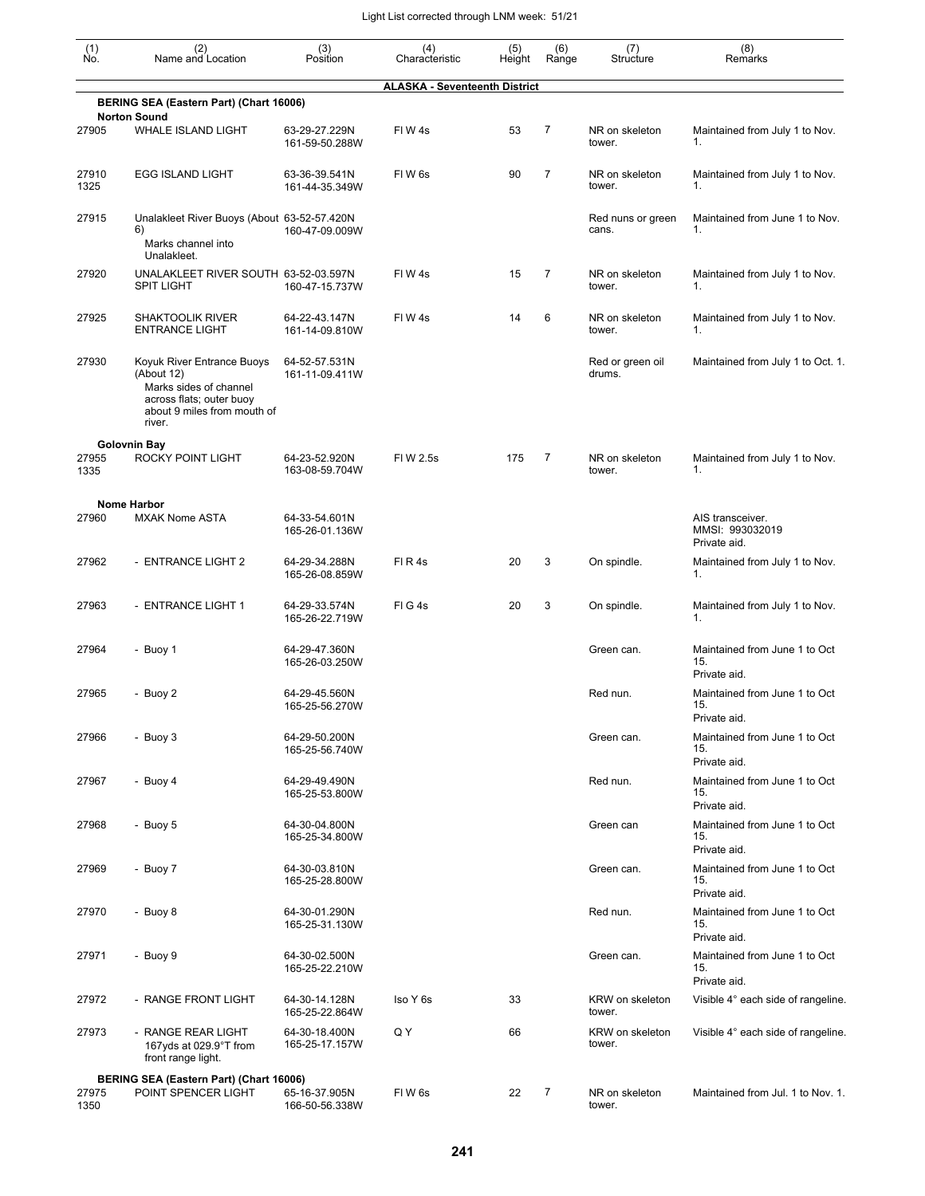| (1)<br>No.    | (2)<br>Name and Location                                                                                                                | (3)<br>Position                 | (4)<br>Characteristic                | (5)<br>Height | (6)<br>Range   | (7)<br>Structure           | (8)<br>Remarks                                                       |
|---------------|-----------------------------------------------------------------------------------------------------------------------------------------|---------------------------------|--------------------------------------|---------------|----------------|----------------------------|----------------------------------------------------------------------|
|               |                                                                                                                                         |                                 | <b>ALASKA - Seventeenth District</b> |               |                |                            |                                                                      |
|               | BERING SEA (Eastern Part) (Chart 16006)                                                                                                 |                                 |                                      |               |                |                            |                                                                      |
| 27905         | <b>Norton Sound</b><br><b>WHALE ISLAND LIGHT</b>                                                                                        | 63-29-27.229N<br>161-59-50.288W | FIW4s                                | 53            | $\overline{7}$ | NR on skeleton<br>tower.   | Maintained from July 1 to Nov.<br>1.                                 |
| 27910<br>1325 | <b>EGG ISLAND LIGHT</b>                                                                                                                 | 63-36-39.541N<br>161-44-35.349W | FIW <sub>6s</sub>                    | 90            | $\overline{7}$ | NR on skeleton<br>tower.   | Maintained from July 1 to Nov.<br>1.                                 |
| 27915         | Unalakleet River Buoys (About 63-52-57.420N<br>6)<br>Marks channel into<br>Unalakleet.                                                  | 160-47-09.009W                  |                                      |               |                | Red nuns or green<br>cans. | Maintained from June 1 to Nov.<br>1.                                 |
| 27920         | UNALAKLEET RIVER SOUTH 63-52-03.597N<br><b>SPIT LIGHT</b>                                                                               | 160-47-15.737W                  | FIW4s                                | 15            | 7              | NR on skeleton<br>tower.   | Maintained from July 1 to Nov.<br>1.                                 |
| 27925         | <b>SHAKTOOLIK RIVER</b><br><b>ENTRANCE LIGHT</b>                                                                                        | 64-22-43.147N<br>161-14-09.810W | FIW4s                                | 14            | 6              | NR on skeleton<br>tower.   | Maintained from July 1 to Nov.<br>1.                                 |
| 27930         | Koyuk River Entrance Buoys<br>(About 12)<br>Marks sides of channel<br>across flats; outer buoy<br>about 9 miles from mouth of<br>river. | 64-52-57.531N<br>161-11-09.411W |                                      |               |                | Red or green oil<br>drums. | Maintained from July 1 to Oct. 1.                                    |
| 27955<br>1335 | <b>Golovnin Bay</b><br>ROCKY POINT LIGHT                                                                                                | 64-23-52.920N<br>163-08-59.704W | FIW 2.5s                             | 175           | 7              | NR on skeleton<br>tower.   | Maintained from July 1 to Nov.<br>1.                                 |
| 27960         | <b>Nome Harbor</b><br><b>MXAK Nome ASTA</b>                                                                                             | 64-33-54.601N<br>165-26-01.136W |                                      |               |                |                            | AIS transceiver.<br>MMSI: 993032019<br>Private aid.                  |
| 27962         | - ENTRANCE LIGHT 2                                                                                                                      | 64-29-34.288N<br>165-26-08.859W | FIR4s                                | 20            | 3              | On spindle.                | Maintained from July 1 to Nov.<br>1.                                 |
| 27963         | - ENTRANCE LIGHT 1                                                                                                                      | 64-29-33.574N<br>165-26-22.719W | FIG4s                                | 20            | 3              | On spindle.                | Maintained from July 1 to Nov.<br>1.                                 |
| 27964         | - Buoy 1                                                                                                                                | 64-29-47.360N<br>165-26-03.250W |                                      |               |                | Green can.                 | Maintained from June 1 to Oct<br>15.<br>Private aid.                 |
| 27965         | - Buoy 2                                                                                                                                | 64-29-45.560N<br>165-25-56.270W |                                      |               |                | Red nun.                   | Maintained from June 1 to Oct<br>15.                                 |
| 27966         | - Buoy 3                                                                                                                                | 64-29-50.200N<br>165-25-56.740W |                                      |               |                | Green can.                 | Private aid.<br>Maintained from June 1 to Oct<br>15.                 |
| 27967         | - Buoy 4                                                                                                                                | 64-29-49.490N<br>165-25-53.800W |                                      |               |                | Red nun.                   | Private aid.<br>Maintained from June 1 to Oct<br>15.<br>Private aid. |
| 27968         | - Buoy 5                                                                                                                                | 64-30-04.800N<br>165-25-34.800W |                                      |               |                | Green can                  | Maintained from June 1 to Oct<br>15.<br>Private aid.                 |
| 27969         | - Buoy 7                                                                                                                                | 64-30-03.810N<br>165-25-28.800W |                                      |               |                | Green can.                 | Maintained from June 1 to Oct<br>15.<br>Private aid.                 |
| 27970         | - Buoy 8                                                                                                                                | 64-30-01.290N<br>165-25-31.130W |                                      |               |                | Red nun.                   | Maintained from June 1 to Oct<br>15.<br>Private aid.                 |
| 27971         | - Buoy 9                                                                                                                                | 64-30-02.500N<br>165-25-22.210W |                                      |               |                | Green can.                 | Maintained from June 1 to Oct<br>15.<br>Private aid.                 |
| 27972         | - RANGE FRONT LIGHT                                                                                                                     | 64-30-14.128N<br>165-25-22.864W | Iso Y 6s                             | 33            |                | KRW on skeleton<br>tower.  | Visible 4° each side of rangeline.                                   |
| 27973         | - RANGE REAR LIGHT<br>167yds at 029.9°T from<br>front range light.                                                                      | 64-30-18.400N<br>165-25-17.157W | Q Y                                  | 66            |                | KRW on skeleton<br>tower.  | Visible 4° each side of rangeline.                                   |
|               | BERING SEA (Eastern Part) (Chart 16006)                                                                                                 |                                 |                                      |               |                |                            |                                                                      |
| 27975<br>1350 | POINT SPENCER LIGHT                                                                                                                     | 65-16-37.905N<br>166-50-56.338W | FIW <sub>6s</sub>                    | 22            | 7              | NR on skeleton<br>tower.   | Maintained from Jul. 1 to Nov. 1.                                    |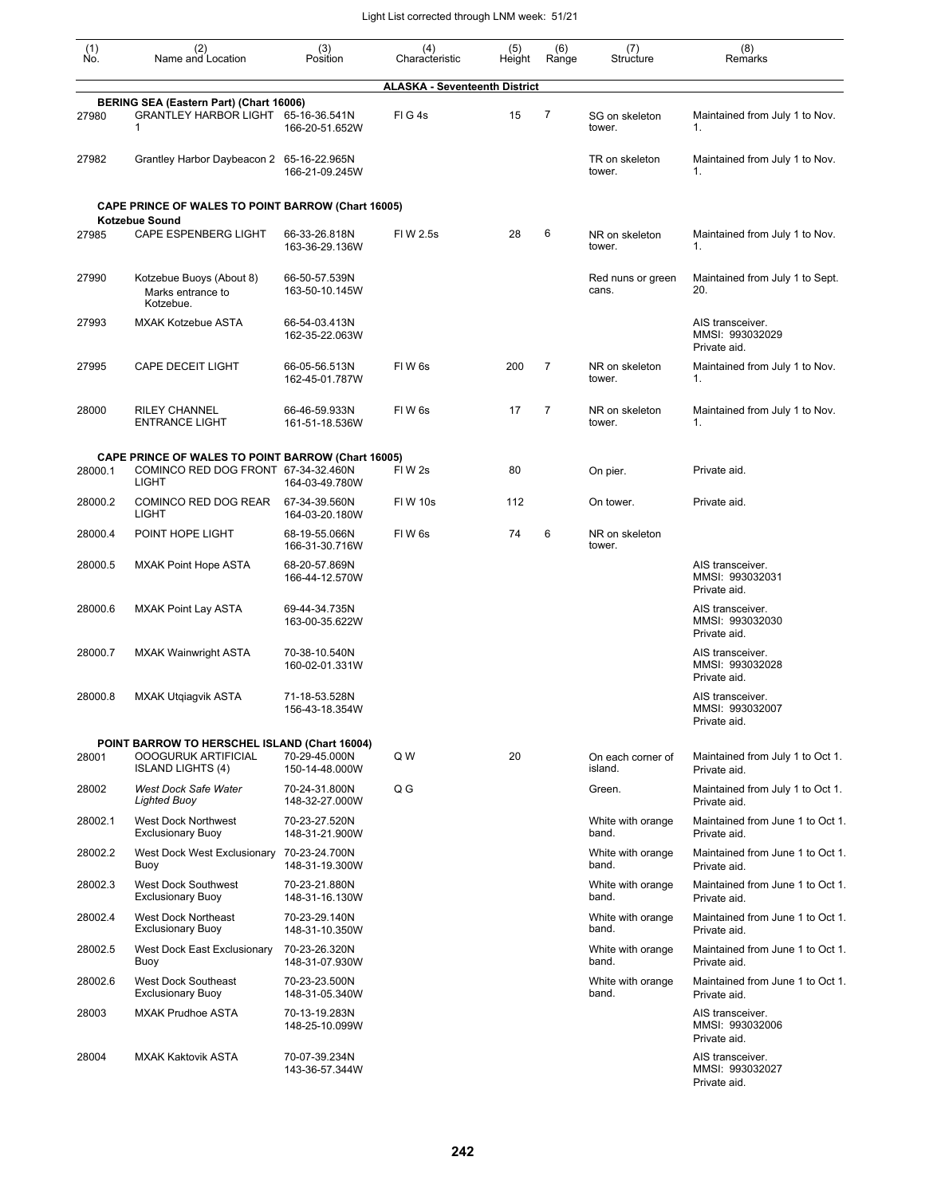| (1)<br>Ño. | (2)<br>Name and Location                                                                                         | (3)<br>Position                 | (4)<br>Characteristic                | (5)<br>Height | (6)<br>Range | (7)<br>Structure             | (8)<br>Remarks                                      |
|------------|------------------------------------------------------------------------------------------------------------------|---------------------------------|--------------------------------------|---------------|--------------|------------------------------|-----------------------------------------------------|
|            |                                                                                                                  |                                 | <b>ALASKA - Seventeenth District</b> |               |              |                              |                                                     |
| 27980      | BERING SEA (Eastern Part) (Chart 16006)<br>GRANTLEY HARBOR LIGHT 65-16-36.541N<br>1                              | 166-20-51.652W                  | FIG4s                                | 15            | 7            | SG on skeleton<br>tower.     | Maintained from July 1 to Nov.<br>1.                |
| 27982      | Grantley Harbor Daybeacon 2 65-16-22.965N                                                                        | 166-21-09.245W                  |                                      |               |              | TR on skeleton<br>tower.     | Maintained from July 1 to Nov.<br>1.                |
|            | <b>CAPE PRINCE OF WALES TO POINT BARROW (Chart 16005)</b><br><b>Kotzebue Sound</b>                               |                                 |                                      |               |              |                              |                                                     |
| 27985      | <b>CAPE ESPENBERG LIGHT</b>                                                                                      | 66-33-26.818N<br>163-36-29.136W | FI W 2.5s                            | 28            | 6            | NR on skeleton<br>tower.     | Maintained from July 1 to Nov.<br>1.                |
| 27990      | Kotzebue Buoys (About 8)<br>Marks entrance to<br>Kotzebue.                                                       | 66-50-57.539N<br>163-50-10.145W |                                      |               |              | Red nuns or green<br>cans.   | Maintained from July 1 to Sept.<br>20.              |
| 27993      | <b>MXAK Kotzebue ASTA</b>                                                                                        | 66-54-03.413N<br>162-35-22.063W |                                      |               |              |                              | AIS transceiver.<br>MMSI: 993032029<br>Private aid. |
| 27995      | <b>CAPE DECEIT LIGHT</b>                                                                                         | 66-05-56.513N<br>162-45-01.787W | FIW <sub>6s</sub>                    | 200           | 7            | NR on skeleton<br>tower.     | Maintained from July 1 to Nov.<br>1.                |
| 28000      | <b>RILEY CHANNEL</b><br><b>ENTRANCE LIGHT</b>                                                                    | 66-46-59.933N<br>161-51-18.536W | FIW <sub>6s</sub>                    | 17            | 7            | NR on skeleton<br>tower.     | Maintained from July 1 to Nov.<br>1.                |
| 28000.1    | <b>CAPE PRINCE OF WALES TO POINT BARROW (Chart 16005)</b><br>COMINCO RED DOG FRONT 67-34-32.460N<br><b>LIGHT</b> | 164-03-49.780W                  | FIW <sub>2s</sub>                    | 80            |              | On pier.                     | Private aid.                                        |
| 28000.2    | COMINCO RED DOG REAR<br><b>LIGHT</b>                                                                             | 67-34-39.560N<br>164-03-20.180W | <b>FIW 10s</b>                       | 112           |              | On tower.                    | Private aid.                                        |
| 28000.4    | POINT HOPE LIGHT                                                                                                 | 68-19-55.066N<br>166-31-30.716W | FIW <sub>6s</sub>                    | 74            | 6            | NR on skeleton<br>tower.     |                                                     |
| 28000.5    | <b>MXAK Point Hope ASTA</b>                                                                                      | 68-20-57.869N<br>166-44-12.570W |                                      |               |              |                              | AIS transceiver.<br>MMSI: 993032031<br>Private aid. |
| 28000.6    | <b>MXAK Point Lay ASTA</b>                                                                                       | 69-44-34.735N<br>163-00-35.622W |                                      |               |              |                              | AIS transceiver.<br>MMSI: 993032030<br>Private aid. |
| 28000.7    | MXAK Wainwright ASTA                                                                                             | 70-38-10.540N<br>160-02-01.331W |                                      |               |              |                              | AIS transceiver.<br>MMSI: 993032028<br>Private aid. |
| 28000.8    | <b>MXAK Utgiagvik ASTA</b>                                                                                       | 71-18-53.528N<br>156-43-18.354W |                                      |               |              |                              | AIS transceiver.<br>MMSI: 993032007<br>Private aid. |
|            | POINT BARROW TO HERSCHEL ISLAND (Chart 16004)                                                                    |                                 |                                      |               |              |                              |                                                     |
| 28001      | <b>OOOGURUK ARTIFICIAL</b><br><b>ISLAND LIGHTS (4)</b>                                                           | 70-29-45.000N<br>150-14-48.000W | Q W                                  | 20            |              | On each corner of<br>island. | Maintained from July 1 to Oct 1.<br>Private aid.    |
| 28002      | West Dock Safe Water<br><b>Lighted Buoy</b>                                                                      | 70-24-31.800N<br>148-32-27.000W | Q G                                  |               |              | Green.                       | Maintained from July 1 to Oct 1.<br>Private aid.    |
| 28002.1    | <b>West Dock Northwest</b><br><b>Exclusionary Buoy</b>                                                           | 70-23-27.520N<br>148-31-21.900W |                                      |               |              | White with orange<br>band.   | Maintained from June 1 to Oct 1.<br>Private aid.    |
| 28002.2    | West Dock West Exclusionary 70-23-24.700N<br>Buoy                                                                | 148-31-19.300W                  |                                      |               |              | White with orange<br>band.   | Maintained from June 1 to Oct 1.<br>Private aid.    |
| 28002.3    | West Dock Southwest<br><b>Exclusionary Buoy</b>                                                                  | 70-23-21.880N<br>148-31-16.130W |                                      |               |              | White with orange<br>band.   | Maintained from June 1 to Oct 1.<br>Private aid.    |
| 28002.4    | West Dock Northeast<br><b>Exclusionary Buoy</b>                                                                  | 70-23-29.140N<br>148-31-10.350W |                                      |               |              | White with orange<br>band.   | Maintained from June 1 to Oct 1.<br>Private aid.    |
| 28002.5    | West Dock East Exclusionary<br>Buoy                                                                              | 70-23-26.320N<br>148-31-07.930W |                                      |               |              | White with orange<br>band.   | Maintained from June 1 to Oct 1.<br>Private aid.    |
| 28002.6    | <b>West Dock Southeast</b><br><b>Exclusionary Buoy</b>                                                           | 70-23-23.500N<br>148-31-05.340W |                                      |               |              | White with orange<br>band.   | Maintained from June 1 to Oct 1.<br>Private aid.    |
| 28003      | <b>MXAK Prudhoe ASTA</b>                                                                                         | 70-13-19.283N<br>148-25-10.099W |                                      |               |              |                              | AIS transceiver.<br>MMSI: 993032006<br>Private aid. |
| 28004      | <b>MXAK Kaktovik ASTA</b>                                                                                        | 70-07-39.234N<br>143-36-57.344W |                                      |               |              |                              | AIS transceiver.<br>MMSI: 993032027<br>Private aid. |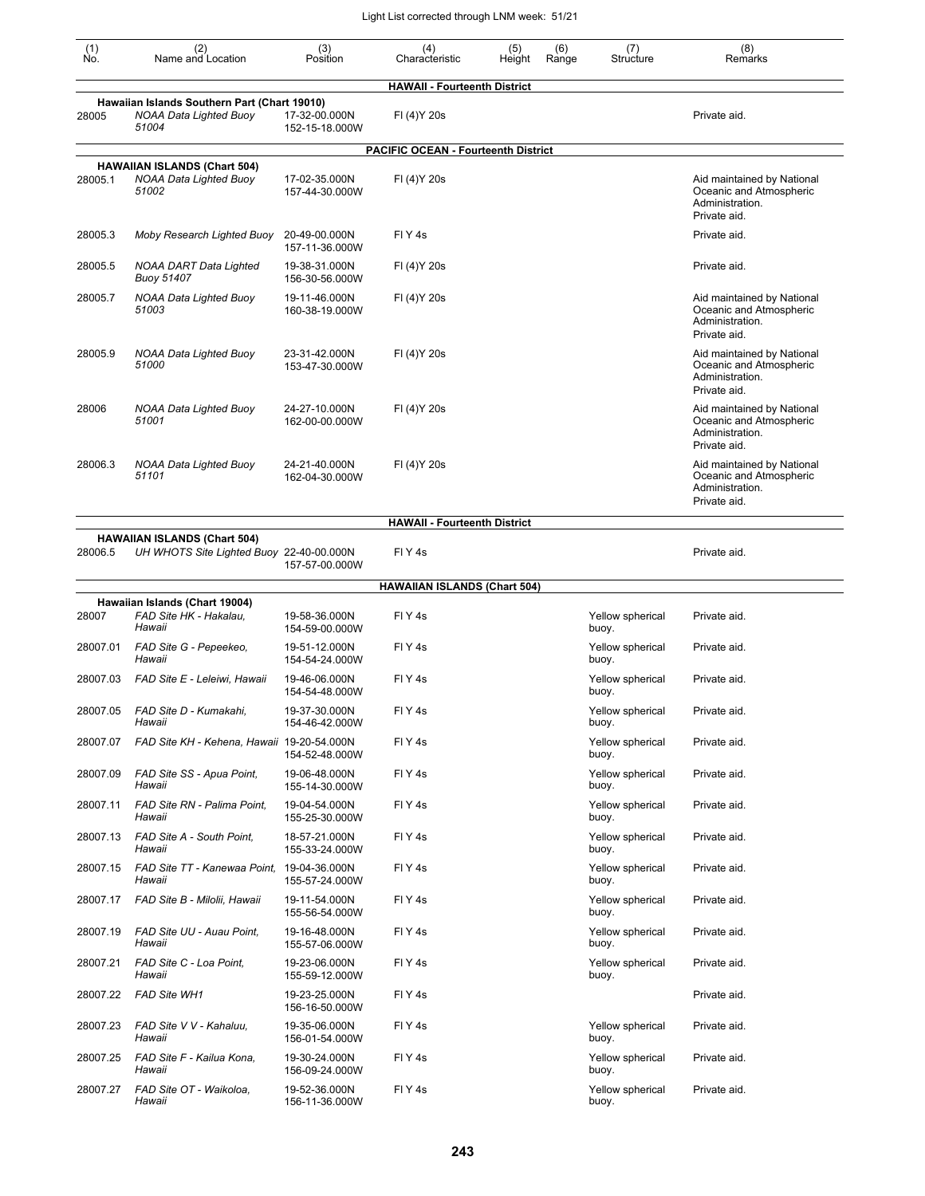| (1)<br>Ño. | (2)<br>Name and Location                                                               | (3)<br>Position                 | (4)<br>Characteristic                      | (5)<br>Height | (6)<br>Range | (7)<br>Structure          | (8)<br>Remarks                                                                           |
|------------|----------------------------------------------------------------------------------------|---------------------------------|--------------------------------------------|---------------|--------------|---------------------------|------------------------------------------------------------------------------------------|
|            |                                                                                        |                                 | <b>HAWAII - Fourteenth District</b>        |               |              |                           |                                                                                          |
| 28005      | Hawaiian Islands Southern Part (Chart 19010)<br><b>NOAA Data Lighted Buoy</b><br>51004 | 17-32-00.000N<br>152-15-18.000W | FI (4) Y 20s                               |               |              |                           | Private aid.                                                                             |
|            |                                                                                        |                                 | <b>PACIFIC OCEAN - Fourteenth District</b> |               |              |                           |                                                                                          |
| 28005.1    | <b>HAWAIIAN ISLANDS (Chart 504)</b><br>NOAA Data Lighted Buoy<br>51002                 | 17-02-35.000N<br>157-44-30.000W | FI (4) Y 20s                               |               |              |                           | Aid maintained by National<br>Oceanic and Atmospheric<br>Administration.<br>Private aid. |
| 28005.3    | Moby Research Lighted Buoy                                                             | 20-49-00.000N<br>157-11-36.000W | FIY <sub>4</sub> s                         |               |              |                           | Private aid.                                                                             |
| 28005.5    | NOAA DART Data Lighted<br><b>Buoy 51407</b>                                            | 19-38-31.000N<br>156-30-56.000W | FI (4) Y 20s                               |               |              |                           | Private aid.                                                                             |
| 28005.7    | NOAA Data Lighted Buoy<br>51003                                                        | 19-11-46.000N<br>160-38-19.000W | FI (4) Y 20s                               |               |              |                           | Aid maintained by National<br>Oceanic and Atmospheric<br>Administration.<br>Private aid. |
| 28005.9    | <b>NOAA Data Lighted Buoy</b><br>51000                                                 | 23-31-42.000N<br>153-47-30.000W | FI (4) Y 20s                               |               |              |                           | Aid maintained by National<br>Oceanic and Atmospheric<br>Administration.<br>Private aid. |
| 28006      | NOAA Data Lighted Buoy<br>51001                                                        | 24-27-10.000N<br>162-00-00.000W | FI (4) Y 20s                               |               |              |                           | Aid maintained by National<br>Oceanic and Atmospheric<br>Administration.<br>Private aid. |
| 28006.3    | NOAA Data Lighted Buoy<br>51101                                                        | 24-21-40.000N<br>162-04-30.000W | FI (4) Y 20s                               |               |              |                           | Aid maintained by National<br>Oceanic and Atmospheric<br>Administration.<br>Private aid. |
|            |                                                                                        |                                 | <b>HAWAII - Fourteenth District</b>        |               |              |                           |                                                                                          |
| 28006.5    | <b>HAWAIIAN ISLANDS (Chart 504)</b><br>UH WHOTS Site Lighted Buoy 22-40-00.000N        | 157-57-00.000W                  | FIY <sub>4</sub> s                         |               |              |                           | Private aid.                                                                             |
|            |                                                                                        |                                 | <b>HAWAIIAN ISLANDS (Chart 504)</b>        |               |              |                           |                                                                                          |
| 28007      | Hawaiian Islands (Chart 19004)<br>FAD Site HK - Hakalau,<br>Hawaii                     | 19-58-36.000N<br>154-59-00.000W | FIY <sub>4</sub> s                         |               |              | Yellow spherical<br>buoy. | Private aid.                                                                             |
| 28007.01   | FAD Site G - Pepeekeo.<br>Hawaii                                                       | 19-51-12.000N<br>154-54-24.000W | FIY <sub>4</sub> s                         |               |              | Yellow spherical<br>buoy. | Private aid.                                                                             |
| 28007.03   | FAD Site E - Leleiwi, Hawaii                                                           | 19-46-06.000N<br>154-54-48.000W | FIY <sub>4</sub> s                         |               |              | Yellow spherical<br>buoy. | Private aid.                                                                             |
| 28007.05   | FAD Site D - Kumakahi,<br>Hawaii                                                       | 19-37-30.000N<br>154-46-42.000W | FIY <sub>4s</sub>                          |               |              | Yellow spherical<br>buoy. | Private aid.                                                                             |
| 28007.07   | FAD Site KH - Kehena, Hawaii 19-20-54.000N                                             | 154-52-48.000W                  | FIY <sub>4</sub> s                         |               |              | Yellow spherical<br>buoy. | Private aid.                                                                             |
| 28007.09   | FAD Site SS - Apua Point,<br>Hawaii                                                    | 19-06-48.000N<br>155-14-30.000W | FIY <sub>4</sub> s                         |               |              | Yellow spherical<br>buoy. | Private aid.                                                                             |
| 28007.11   | FAD Site RN - Palima Point,<br>Hawaii                                                  | 19-04-54.000N<br>155-25-30.000W | FIY <sub>4</sub> s                         |               |              | Yellow spherical<br>buoy. | Private aid.                                                                             |
| 28007.13   | FAD Site A - South Point,<br>Hawaii                                                    | 18-57-21.000N<br>155-33-24.000W | FIY <sub>4</sub> s                         |               |              | Yellow spherical<br>buoy. | Private aid.                                                                             |
| 28007.15   | FAD Site TT - Kanewaa Point,<br>Hawaii                                                 | 19-04-36.000N<br>155-57-24.000W | FIY <sub>4s</sub>                          |               |              | Yellow spherical<br>buoy. | Private aid.                                                                             |
| 28007.17   | FAD Site B - Milolii, Hawaii                                                           | 19-11-54.000N<br>155-56-54.000W | FIY <sub>4s</sub>                          |               |              | Yellow spherical<br>buoy. | Private aid.                                                                             |
| 28007.19   | FAD Site UU - Auau Point,<br>Hawaii                                                    | 19-16-48.000N<br>155-57-06.000W | FIY <sub>4</sub> s                         |               |              | Yellow spherical<br>buoy. | Private aid.                                                                             |
| 28007.21   | FAD Site C - Loa Point,<br>Hawaii                                                      | 19-23-06.000N<br>155-59-12.000W | FIY <sub>4</sub> s                         |               |              | Yellow spherical<br>buoy. | Private aid.                                                                             |
| 28007.22   | <b>FAD Site WH1</b>                                                                    | 19-23-25.000N<br>156-16-50.000W | FIY <sub>4</sub> s                         |               |              |                           | Private aid.                                                                             |
| 28007.23   | FAD Site V V - Kahaluu,<br>Hawaii                                                      | 19-35-06.000N<br>156-01-54.000W | FIY <sub>4</sub> s                         |               |              | Yellow spherical<br>buoy. | Private aid.                                                                             |
| 28007.25   | FAD Site F - Kailua Kona,<br>Hawaii                                                    | 19-30-24.000N<br>156-09-24.000W | FIY <sub>4</sub> s                         |               |              | Yellow spherical<br>buoy. | Private aid.                                                                             |
| 28007.27   | FAD Site OT - Waikoloa,<br>Hawaii                                                      | 19-52-36.000N<br>156-11-36.000W | FIY <sub>4</sub> s                         |               |              | Yellow spherical<br>buoy. | Private aid.                                                                             |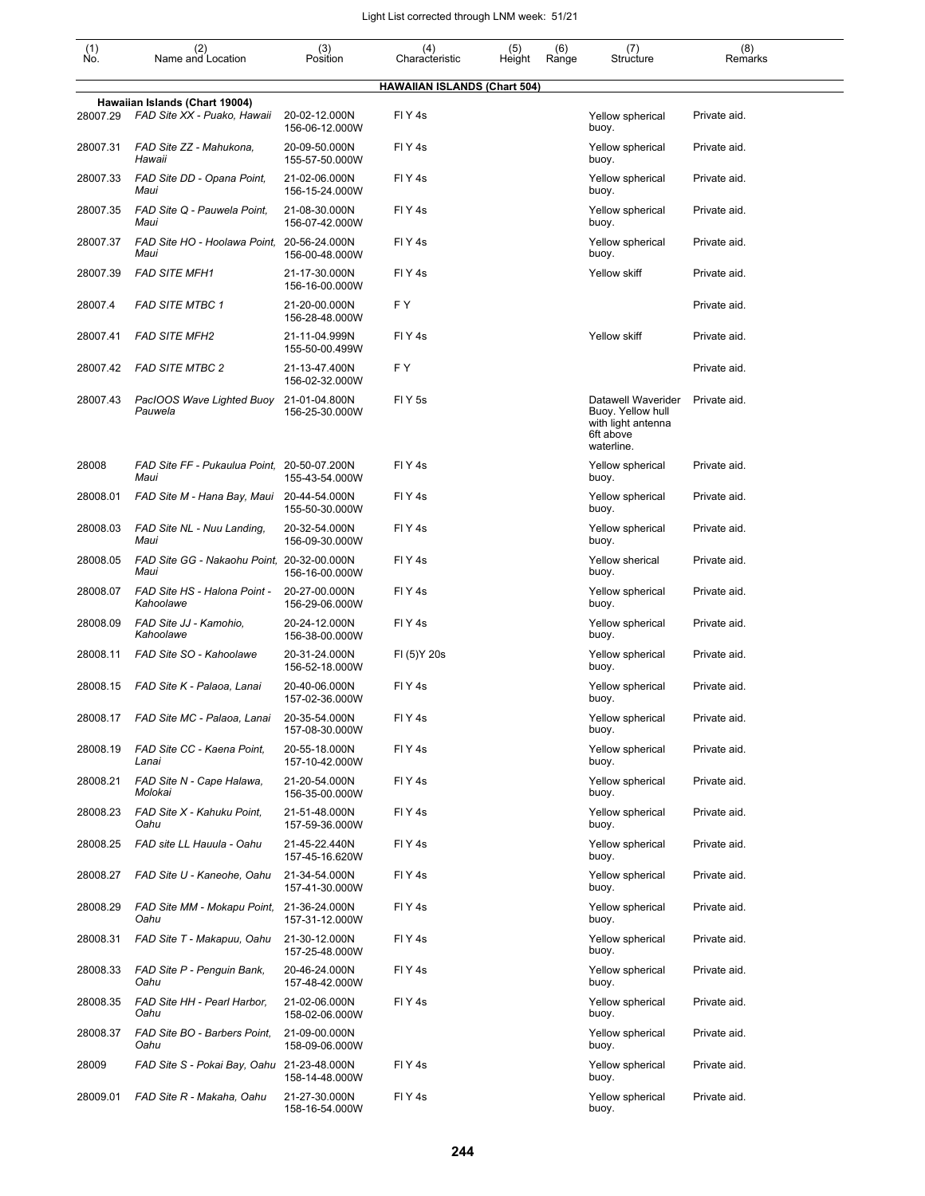| $(n)$<br>No. | (2)<br>Name and Location                                      | (3)<br>Position                 | (4)<br>Characteristic               | (5)<br>Height | (6)<br>Range | (7)<br>Structure                                                                         | (8)<br>Remarks |
|--------------|---------------------------------------------------------------|---------------------------------|-------------------------------------|---------------|--------------|------------------------------------------------------------------------------------------|----------------|
|              |                                                               |                                 | <b>HAWAIIAN ISLANDS (Chart 504)</b> |               |              |                                                                                          |                |
| 28007.29     | Hawaiian Islands (Chart 19004)<br>FAD Site XX - Puako, Hawaii | 20-02-12.000N<br>156-06-12.000W | FIY <sub>4s</sub>                   |               |              | Yellow spherical<br>buoy.                                                                | Private aid.   |
| 28007.31     | FAD Site ZZ - Mahukona,<br>Hawaii                             | 20-09-50.000N<br>155-57-50.000W | FIY <sub>4s</sub>                   |               |              | Yellow spherical<br>buoy.                                                                | Private aid.   |
| 28007.33     | FAD Site DD - Opana Point,<br>Maui                            | 21-02-06.000N<br>156-15-24.000W | FIY <sub>4s</sub>                   |               |              | Yellow spherical<br>buoy.                                                                | Private aid.   |
| 28007.35     | FAD Site Q - Pauwela Point,<br>Maui                           | 21-08-30.000N<br>156-07-42.000W | FIY <sub>4s</sub>                   |               |              | Yellow spherical<br>buoy.                                                                | Private aid.   |
| 28007.37     | FAD Site HO - Hoolawa Point,<br>Maui                          | 20-56-24.000N<br>156-00-48.000W | FIY <sub>4s</sub>                   |               |              | Yellow spherical<br>buoy.                                                                | Private aid.   |
| 28007.39     | <b>FAD SITE MFH1</b>                                          | 21-17-30.000N<br>156-16-00.000W | FIY <sub>4s</sub>                   |               |              | Yellow skiff                                                                             | Private aid.   |
| 28007.4      | <b>FAD SITE MTBC 1</b>                                        | 21-20-00.000N<br>156-28-48.000W | FY.                                 |               |              |                                                                                          | Private aid.   |
| 28007.41     | <b>FAD SITE MFH2</b>                                          | 21-11-04.999N<br>155-50-00.499W | FIY <sub>4</sub> s                  |               |              | Yellow skiff                                                                             | Private aid.   |
| 28007.42     | <b>FAD SITE MTBC 2</b>                                        | 21-13-47.400N<br>156-02-32.000W | F Y                                 |               |              |                                                                                          | Private aid.   |
| 28007.43     | PacIOOS Wave Lighted Buoy<br>Pauwela                          | 21-01-04.800N<br>156-25-30.000W | FIY <sub>5s</sub>                   |               |              | Datawell Waverider<br>Buoy. Yellow hull<br>with light antenna<br>6ft above<br>waterline. | Private aid.   |
| 28008        | FAD Site FF - Pukaulua Point, 20-50-07.200N<br>Maui           | 155-43-54.000W                  | FIY4s                               |               |              | Yellow spherical<br>buoy.                                                                | Private aid.   |
| 28008.01     | FAD Site M - Hana Bay, Maui                                   | 20-44-54.000N<br>155-50-30.000W | FIY <sub>4s</sub>                   |               |              | Yellow spherical<br>buoy.                                                                | Private aid.   |
| 28008.03     | FAD Site NL - Nuu Landing,<br>Maui                            | 20-32-54.000N<br>156-09-30.000W | FIY <sub>4</sub> s                  |               |              | Yellow spherical<br>buoy.                                                                | Private aid.   |
| 28008.05     | FAD Site GG - Nakaohu Point, 20-32-00.000N<br>Maui            | 156-16-00.000W                  | FIY <sub>4</sub> s                  |               |              | Yellow sherical<br>buoy.                                                                 | Private aid.   |
| 28008.07     | FAD Site HS - Halona Point -<br>Kahoolawe                     | 20-27-00.000N<br>156-29-06.000W | FIY <sub>4s</sub>                   |               |              | Yellow spherical<br>buoy.                                                                | Private aid.   |
| 28008.09     | FAD Site JJ - Kamohio,<br>Kahoolawe                           | 20-24-12.000N<br>156-38-00.000W | FIY <sub>4s</sub>                   |               |              | Yellow spherical<br>buoy.                                                                | Private aid.   |
| 28008.11     | FAD Site SO - Kahoolawe                                       | 20-31-24.000N<br>156-52-18.000W | FI (5) Y 20s                        |               |              | Yellow spherical<br>buoy.                                                                | Private aid.   |
| 28008.15     | FAD Site K - Palaoa, Lanai                                    | 20-40-06.000N<br>157-02-36.000W | FIY <sub>4s</sub>                   |               |              | Yellow spherical<br>buoy.                                                                | Private aid.   |
| 28008.17     | FAD Site MC - Palaoa, Lanai                                   | 20-35-54.000N<br>157-08-30.000W | FIY <sub>4s</sub>                   |               |              | Yellow spherical<br>buoy.                                                                | Private aid.   |
| 28008.19     | FAD Site CC - Kaena Point,<br>Lanai                           | 20-55-18.000N<br>157-10-42.000W | FIY <sub>4s</sub>                   |               |              | Yellow spherical<br>buoy.                                                                | Private aid.   |
| 28008.21     | FAD Site N - Cape Halawa,<br>Molokai                          | 21-20-54.000N<br>156-35-00.000W | FIY <sub>4</sub> s                  |               |              | Yellow spherical<br>buoy.                                                                | Private aid.   |
| 28008.23     | FAD Site X - Kahuku Point,<br>Oahu                            | 21-51-48.000N<br>157-59-36.000W | FIY <sub>4</sub> s                  |               |              | Yellow spherical<br>buoy.                                                                | Private aid.   |
| 28008.25     | FAD site LL Hauula - Oahu                                     | 21-45-22.440N<br>157-45-16.620W | FIY <sub>4</sub> s                  |               |              | Yellow spherical<br>buoy.                                                                | Private aid.   |
| 28008.27     | FAD Site U - Kaneohe, Oahu                                    | 21-34-54.000N<br>157-41-30.000W | FIY <sub>4</sub> s                  |               |              | Yellow spherical<br>buoy.                                                                | Private aid.   |
| 28008.29     | FAD Site MM - Mokapu Point,<br>Oahu                           | 21-36-24.000N<br>157-31-12.000W | FIY <sub>4</sub> s                  |               |              | Yellow spherical<br>buoy.                                                                | Private aid.   |
| 28008.31     | FAD Site T - Makapuu, Oahu                                    | 21-30-12.000N<br>157-25-48.000W | FIY <sub>4</sub> s                  |               |              | Yellow spherical<br>buoy.                                                                | Private aid.   |
| 28008.33     | FAD Site P - Penguin Bank,<br>Oahu                            | 20-46-24.000N<br>157-48-42.000W | FIY <sub>4</sub> s                  |               |              | Yellow spherical<br>buoy.                                                                | Private aid.   |
| 28008.35     | FAD Site HH - Pearl Harbor,<br>Oahu                           | 21-02-06.000N<br>158-02-06.000W | FIY <sub>4</sub> s                  |               |              | Yellow spherical<br>buoy.                                                                | Private aid.   |
| 28008.37     | FAD Site BO - Barbers Point,<br>Oahu                          | 21-09-00.000N<br>158-09-06.000W |                                     |               |              | Yellow spherical<br>buoy.                                                                | Private aid.   |
| 28009        | FAD Site S - Pokai Bay, Oahu 21-23-48.000N                    | 158-14-48.000W                  | FIY <sub>4</sub> s                  |               |              | Yellow spherical<br>buoy.                                                                | Private aid.   |
| 28009.01     | FAD Site R - Makaha, Oahu                                     | 21-27-30.000N<br>158-16-54.000W | FIY4s                               |               |              | Yellow spherical<br>buoy.                                                                | Private aid.   |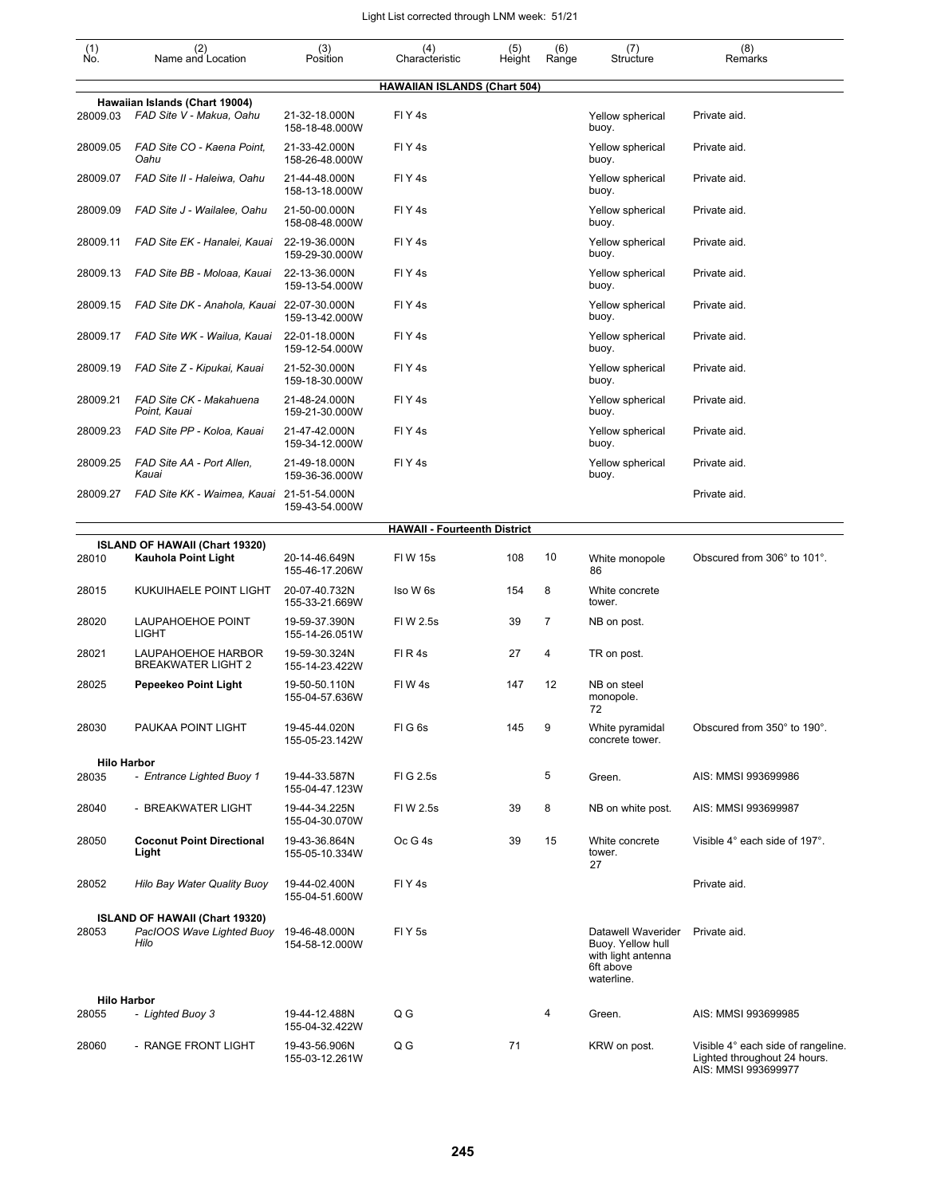| $\begin{smallmatrix} (1) \\ \mathsf{No} \end{smallmatrix}$ | (2)<br>Name and Location                                            | (3)<br>Position                 | (4)<br>Characteristic               | (5)<br>Height | (6)<br>Range   | (7)<br>Structure                                                                         | (8)<br>Remarks                                                                            |
|------------------------------------------------------------|---------------------------------------------------------------------|---------------------------------|-------------------------------------|---------------|----------------|------------------------------------------------------------------------------------------|-------------------------------------------------------------------------------------------|
|                                                            |                                                                     |                                 | <b>HAWAIIAN ISLANDS (Chart 504)</b> |               |                |                                                                                          |                                                                                           |
| 28009.03                                                   | Hawaiian Islands (Chart 19004)<br>FAD Site V - Makua, Oahu          | 21-32-18.000N<br>158-18-48.000W | FIY <sub>4s</sub>                   |               |                | Yellow spherical<br>buoy.                                                                | Private aid.                                                                              |
| 28009.05                                                   | FAD Site CO - Kaena Point,<br>Oahu                                  | 21-33-42.000N<br>158-26-48.000W | FIY <sub>4s</sub>                   |               |                | Yellow spherical<br>buoy.                                                                | Private aid.                                                                              |
| 28009.07                                                   | FAD Site II - Haleiwa, Oahu                                         | 21-44-48.000N<br>158-13-18.000W | FIY <sub>4s</sub>                   |               |                | Yellow spherical<br>buoy.                                                                | Private aid.                                                                              |
| 28009.09                                                   | FAD Site J - Wailalee, Oahu                                         | 21-50-00.000N<br>158-08-48.000W | FIY <sub>4s</sub>                   |               |                | Yellow spherical<br>buoy.                                                                | Private aid.                                                                              |
| 28009.11                                                   | FAD Site EK - Hanalei, Kauai                                        | 22-19-36.000N<br>159-29-30.000W | FIY <sub>4s</sub>                   |               |                | Yellow spherical<br>buoy.                                                                | Private aid.                                                                              |
| 28009.13                                                   | FAD Site BB - Moloaa, Kauai                                         | 22-13-36.000N<br>159-13-54.000W | FIY <sub>4s</sub>                   |               |                | Yellow spherical<br>buoy.                                                                | Private aid.                                                                              |
| 28009.15                                                   | FAD Site DK - Anahola, Kauai 22-07-30.000N                          | 159-13-42.000W                  | FIY <sub>4s</sub>                   |               |                | Yellow spherical<br>buoy.                                                                | Private aid.                                                                              |
| 28009.17                                                   | FAD Site WK - Wailua, Kauai                                         | 22-01-18.000N<br>159-12-54.000W | FIY <sub>4S</sub>                   |               |                | Yellow spherical<br>buoy.                                                                | Private aid.                                                                              |
| 28009.19                                                   | FAD Site Z - Kipukai, Kauai                                         | 21-52-30.000N<br>159-18-30.000W | FIY <sub>4s</sub>                   |               |                | Yellow spherical<br>buoy.                                                                | Private aid.                                                                              |
| 28009.21                                                   | FAD Site CK - Makahuena<br>Point, Kauai                             | 21-48-24.000N<br>159-21-30.000W | FIY <sub>4s</sub>                   |               |                | Yellow spherical<br>buoy.                                                                | Private aid.                                                                              |
| 28009.23                                                   | FAD Site PP - Koloa, Kauai                                          | 21-47-42.000N<br>159-34-12.000W | FIY <sub>4s</sub>                   |               |                | Yellow spherical<br>buoy.                                                                | Private aid.                                                                              |
| 28009.25                                                   | FAD Site AA - Port Allen,<br>Kauai                                  | 21-49-18.000N<br>159-36-36.000W | FIY <sub>4s</sub>                   |               |                | Yellow spherical<br>buoy.                                                                | Private aid.                                                                              |
| 28009.27                                                   | FAD Site KK - Waimea, Kauai 21-51-54.000N                           | 159-43-54.000W                  |                                     |               |                |                                                                                          | Private aid.                                                                              |
|                                                            |                                                                     |                                 | <b>HAWAII - Fourteenth District</b> |               |                |                                                                                          |                                                                                           |
| 28010                                                      | <b>ISLAND OF HAWAII (Chart 19320)</b><br><b>Kauhola Point Light</b> | 20-14-46.649N<br>155-46-17.206W | <b>FIW 15s</b>                      | 108           | 10             | White monopole<br>86                                                                     | Obscured from 306° to 101°.                                                               |
| 28015                                                      | KUKUIHAELE POINT LIGHT                                              | 20-07-40.732N<br>155-33-21.669W | Iso W 6s                            | 154           | 8              | White concrete<br>tower.                                                                 |                                                                                           |
| 28020                                                      | LAUPAHOEHOE POINT<br><b>LIGHT</b>                                   | 19-59-37.390N<br>155-14-26.051W | FIW 2.5s                            | 39            | $\overline{7}$ | NB on post.                                                                              |                                                                                           |
| 28021                                                      | LAUPAHOEHOE HARBOR<br><b>BREAKWATER LIGHT 2</b>                     | 19-59-30.324N<br>155-14-23.422W | FIR4s                               | 27            | 4              | TR on post.                                                                              |                                                                                           |
| 28025                                                      | Pepeekeo Point Light                                                | 19-50-50.110N<br>155-04-57.636W | FIW4s                               | 147           | 12             | NB on steel<br>monopole.<br>72                                                           |                                                                                           |
| 28030                                                      | PAUKAA POINT LIGHT                                                  | 19-45-44.020N<br>155-05-23.142W | FIG <sub>6s</sub>                   | 145           | 9              | White pyramidal<br>concrete tower.                                                       | Obscured from 350° to 190°.                                                               |
|                                                            | <b>Hilo Harbor</b><br>- Entrance Lighted Buoy 1                     |                                 |                                     |               | 5              |                                                                                          |                                                                                           |
| 28035                                                      |                                                                     | 19-44-33.587N<br>155-04-47.123W | FIG 2.5s                            |               |                | Green.                                                                                   | AIS: MMSI 993699986                                                                       |
| 28040                                                      | - BREAKWATER LIGHT                                                  | 19-44-34.225N<br>155-04-30.070W | FIW 2.5s                            | 39            | 8              | NB on white post.                                                                        | AIS: MMSI 993699987                                                                       |
| 28050                                                      | <b>Coconut Point Directional</b><br>Light                           | 19-43-36.864N<br>155-05-10.334W | Oc G 4s                             | 39            | 15             | White concrete<br>tower.<br>27                                                           | Visible 4° each side of 197°.                                                             |
| 28052                                                      | Hilo Bay Water Quality Buoy                                         | 19-44-02.400N<br>155-04-51.600W | FIY <sub>4s</sub>                   |               |                |                                                                                          | Private aid.                                                                              |
| 28053                                                      | ISLAND OF HAWAII (Chart 19320)<br>PacIOOS Wave Lighted Buoy<br>Hilo | 19-46-48.000N<br>154-58-12.000W | FIY <sub>5s</sub>                   |               |                | Datawell Waverider<br>Buoy. Yellow hull<br>with light antenna<br>6ft above<br>waterline. | Private aid.                                                                              |
| 28055                                                      | <b>Hilo Harbor</b><br>- Lighted Buoy 3                              | 19-44-12.488N                   | $Q$ $G$                             |               | 4              | Green.                                                                                   | AIS: MMSI 993699985                                                                       |
|                                                            |                                                                     | 155-04-32.422W                  |                                     |               |                |                                                                                          |                                                                                           |
| 28060                                                      | - RANGE FRONT LIGHT                                                 | 19-43-56.906N<br>155-03-12.261W | Q G                                 | 71            |                | KRW on post.                                                                             | Visible 4° each side of rangeline.<br>Lighted throughout 24 hours.<br>AIS: MMSI 993699977 |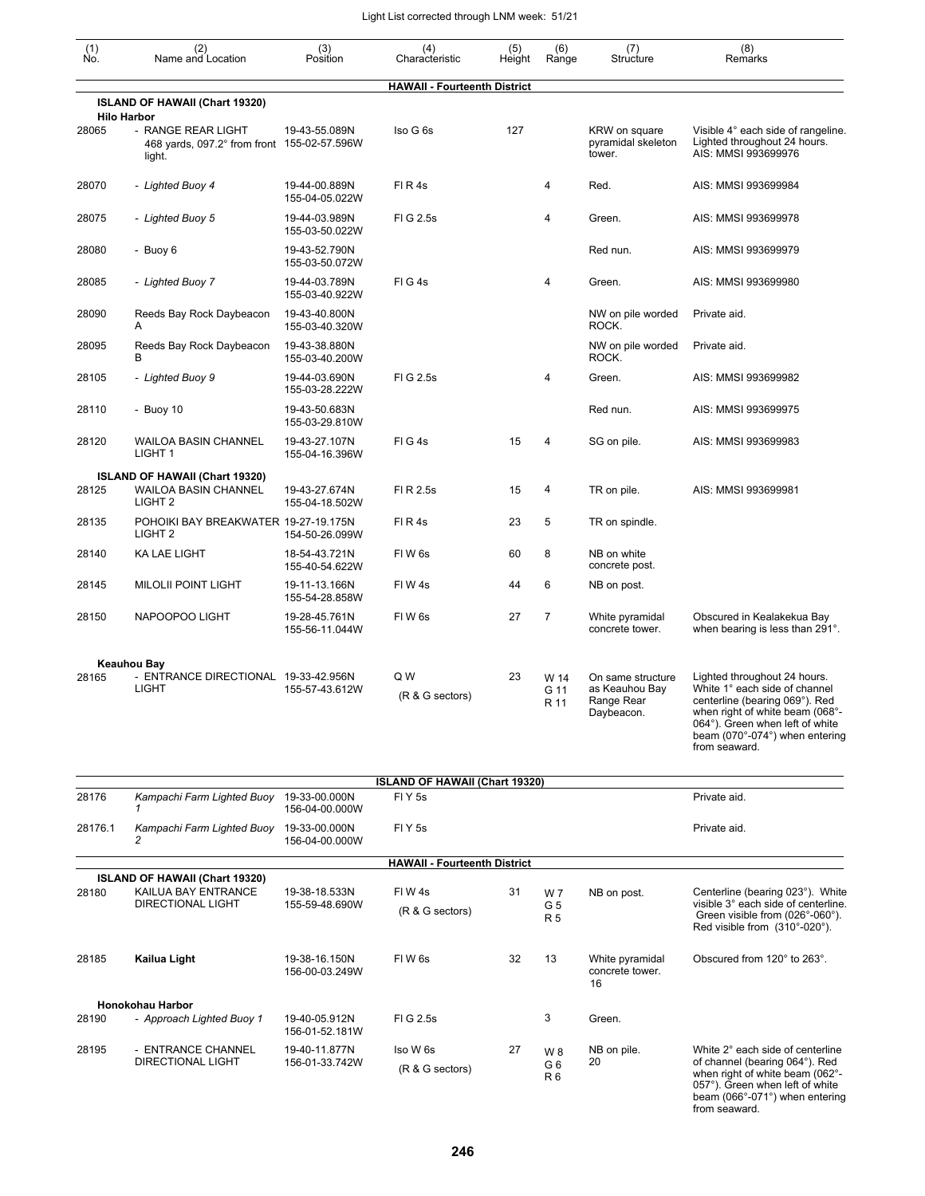| (1)<br>Ño. | (2)<br>Name and Location                                                         | (3)<br>Position                                   | (4)<br>Characteristic                 | (5)<br>Height | (6)<br>Range                | (7)<br>Structure                                                | (8)<br>Remarks                                                                                                                                                                                                           |
|------------|----------------------------------------------------------------------------------|---------------------------------------------------|---------------------------------------|---------------|-----------------------------|-----------------------------------------------------------------|--------------------------------------------------------------------------------------------------------------------------------------------------------------------------------------------------------------------------|
|            |                                                                                  |                                                   | <b>HAWAII - Fourteenth District</b>   |               |                             |                                                                 |                                                                                                                                                                                                                          |
|            | ISLAND OF HAWAII (Chart 19320)<br><b>Hilo Harbor</b>                             |                                                   |                                       |               |                             |                                                                 |                                                                                                                                                                                                                          |
| 28065      | - RANGE REAR LIGHT<br>468 yards, 097.2° from front 155-02-57.596W<br>light.      | 19-43-55.089N                                     | Iso G 6s                              | 127           |                             | KRW on square<br>pyramidal skeleton<br>tower.                   | Visible 4° each side of rangeline.<br>Lighted throughout 24 hours.<br>AIS: MMSI 993699976                                                                                                                                |
| 28070      | - Lighted Buoy 4                                                                 | 19-44-00.889N<br>155-04-05.022W                   | FIR4s                                 |               | 4                           | Red.                                                            | AIS: MMSI 993699984                                                                                                                                                                                                      |
| 28075      | - Lighted Buoy 5                                                                 | 19-44-03.989N<br>155-03-50.022W                   | FIG 2.5s                              |               | 4                           | Green.                                                          | AIS: MMSI 993699978                                                                                                                                                                                                      |
| 28080      | - Buoy 6                                                                         | 19-43-52.790N<br>155-03-50.072W                   |                                       |               |                             | Red nun.                                                        | AIS: MMSI 993699979                                                                                                                                                                                                      |
| 28085      | - Lighted Buoy 7                                                                 | 19-44-03.789N<br>155-03-40.922W                   | FIG4s                                 |               | 4                           | Green.                                                          | AIS: MMSI 993699980                                                                                                                                                                                                      |
| 28090      | Reeds Bay Rock Daybeacon<br>A                                                    | 19-43-40.800N<br>155-03-40.320W                   |                                       |               |                             | NW on pile worded<br>ROCK.                                      | Private aid.                                                                                                                                                                                                             |
| 28095      | Reeds Bay Rock Daybeacon<br>B                                                    | 19-43-38.880N<br>155-03-40.200W                   |                                       |               |                             | NW on pile worded<br>ROCK.                                      | Private aid.                                                                                                                                                                                                             |
| 28105      | - Lighted Buoy 9                                                                 | 19-44-03.690N<br>155-03-28.222W                   | FIG 2.5s                              |               | 4                           | Green.                                                          | AIS: MMSI 993699982                                                                                                                                                                                                      |
| 28110      | - Buoy $10$                                                                      | 19-43-50.683N<br>155-03-29.810W                   |                                       |               |                             | Red nun.                                                        | AIS: MMSI 993699975                                                                                                                                                                                                      |
| 28120      | <b>WAILOA BASIN CHANNEL</b><br>LIGHT 1                                           | 19-43-27.107N<br>155-04-16.396W                   | FIG4s                                 | 15            | 4                           | SG on pile.                                                     | AIS: MMSI 993699983                                                                                                                                                                                                      |
| 28125      | ISLAND OF HAWAII (Chart 19320)<br><b>WAILOA BASIN CHANNEL</b>                    | 19-43-27.674N                                     | FI R 2.5s                             | 15            | 4                           | TR on pile.                                                     | AIS: MMSI 993699981                                                                                                                                                                                                      |
| 28135      | LIGHT <sub>2</sub><br>POHOIKI BAY BREAKWATER 19-27-19.175N<br>LIGHT <sub>2</sub> | 155-04-18.502W                                    | FIR4s                                 | 23            | 5                           | TR on spindle.                                                  |                                                                                                                                                                                                                          |
| 28140      | <b>KA LAE LIGHT</b>                                                              | 154-50-26.099W<br>18-54-43.721N<br>155-40-54.622W | FIW <sub>6s</sub>                     | 60            | 8                           | NB on white<br>concrete post.                                   |                                                                                                                                                                                                                          |
| 28145      | <b>MILOLII POINT LIGHT</b>                                                       | 19-11-13.166N<br>155-54-28.858W                   | FIW4s                                 | 44            | 6                           | NB on post.                                                     |                                                                                                                                                                                                                          |
| 28150      | NAPOOPOO LIGHT                                                                   | 19-28-45.761N<br>155-56-11.044W                   | FIW <sub>6s</sub>                     | 27            | $\overline{7}$              | White pyramidal<br>concrete tower.                              | Obscured in Kealakekua Bay<br>when bearing is less than 291°.                                                                                                                                                            |
|            | Keauhou Bay                                                                      |                                                   |                                       |               |                             |                                                                 |                                                                                                                                                                                                                          |
| 28165      | - ENTRANCE DIRECTIONAL 19-33-42.956N<br><b>LIGHT</b>                             | 155-57-43.612W                                    | Q W<br>(R & G sectors)                | 23            | W 14<br>G 11<br>R 11        | On same structure<br>as Keauhou Bay<br>Range Rear<br>Daybeacon. | Lighted throughout 24 hours.<br>White 1° each side of channel<br>centerline (bearing 069°). Red<br>when right of white beam (068°-<br>064°). Green when left of white<br>beam (070°-074°) when entering<br>from seaward. |
|            |                                                                                  |                                                   | <b>ISLAND OF HAWAII (Chart 19320)</b> |               |                             |                                                                 |                                                                                                                                                                                                                          |
| 28176      | Kampachi Farm Lighted Buoy 19-33-00.000N                                         | 156-04-00.000W                                    | FIY <sub>5s</sub>                     |               |                             |                                                                 | Private aid.                                                                                                                                                                                                             |
| 28176.1    | Kampachi Farm Lighted Buoy 19-33-00.000N<br>2                                    | 156-04-00.000W                                    | FIY <sub>5s</sub>                     |               |                             |                                                                 | Private aid.                                                                                                                                                                                                             |
|            |                                                                                  |                                                   | <b>HAWAII - Fourteenth District</b>   |               |                             |                                                                 |                                                                                                                                                                                                                          |
| 28180      | ISLAND OF HAWAII (Chart 19320)<br>KAILUA BAY ENTRANCE                            | 19-38-18.533N                                     | FIW4s                                 | 31            | W 7                         | NB on post.                                                     | Centerline (bearing 023°). White                                                                                                                                                                                         |
|            | DIRECTIONAL LIGHT                                                                | 155-59-48.690W                                    | (R & G sectors)                       |               | G <sub>5</sub><br><b>R5</b> |                                                                 | visible 3° each side of centerline.<br>Green visible from (026°-060°).<br>Red visible from (310°-020°).                                                                                                                  |
| 28185      | Kailua Light                                                                     | 19-38-16.150N<br>156-00-03.249W                   | FIW <sub>6s</sub>                     | 32            | 13                          | White pyramidal<br>concrete tower.<br>16                        | Obscured from 120° to 263°.                                                                                                                                                                                              |
|            | Honokohau Harbor                                                                 |                                                   |                                       |               |                             |                                                                 |                                                                                                                                                                                                                          |
| 28190      | - Approach Lighted Buoy 1                                                        | 19-40-05.912N<br>156-01-52.181W                   | FIG 2.5s                              |               | 3                           | Green.                                                          |                                                                                                                                                                                                                          |
| 28195      | - ENTRANCE CHANNEL<br>DIRECTIONAL LIGHT                                          | 19-40-11.877N<br>156-01-33.742W                   | Iso W 6s<br>(R & G sectors)           | 27            | W 8<br>G6<br>R <sub>6</sub> | NB on pile.<br>20                                               | White 2° each side of centerline<br>of channel (bearing 064°). Red<br>when right of white beam (062°-<br>057°). Green when left of white<br>beam (066°-071°) when entering<br>from seaward.                              |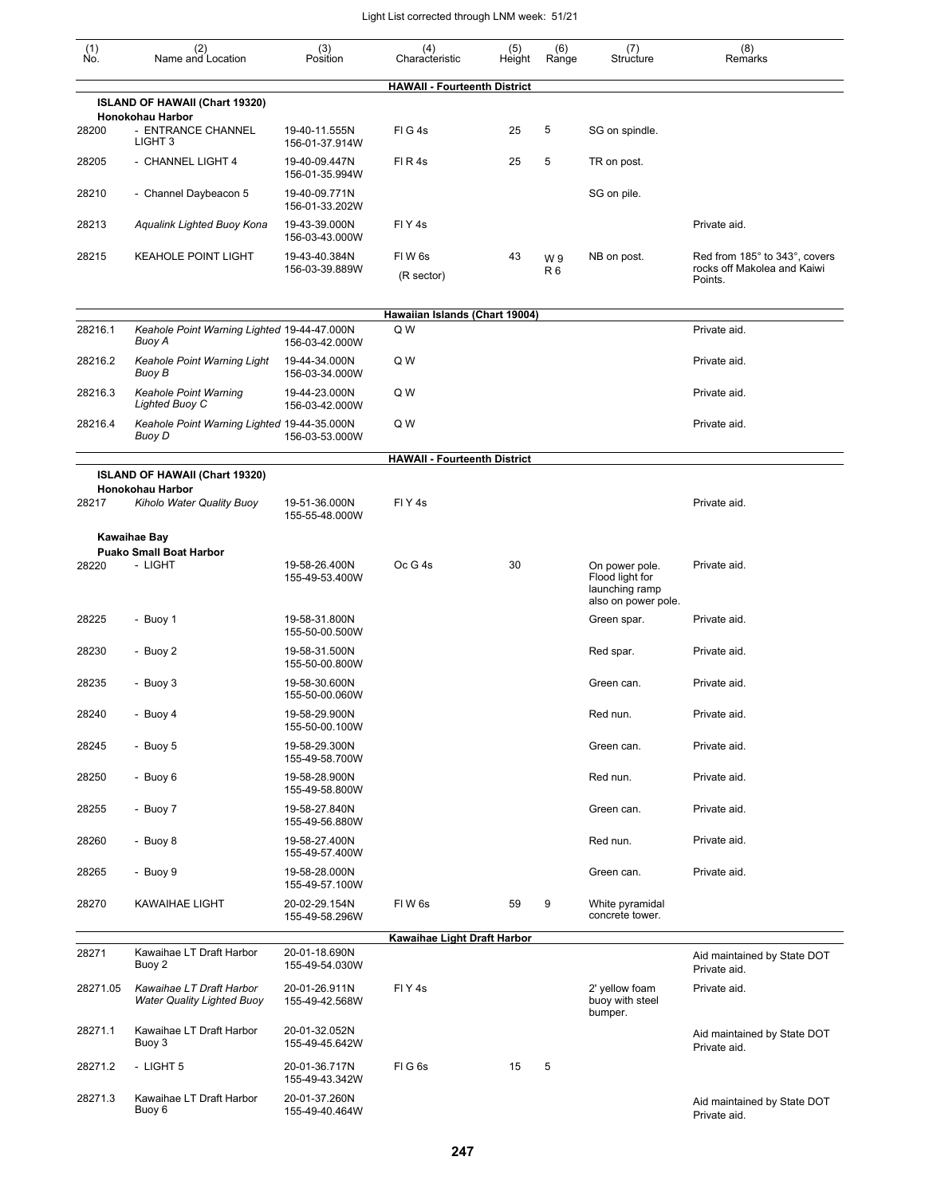| (1)<br>No. | (2)<br>Name and Location                                      | (3)<br>Position                 | (4)<br>Characteristic               | (5)<br>Height | (6)<br>Range         | (7)<br>Structure                                                           | (8)<br>Remarks                                                          |
|------------|---------------------------------------------------------------|---------------------------------|-------------------------------------|---------------|----------------------|----------------------------------------------------------------------------|-------------------------------------------------------------------------|
|            |                                                               |                                 | <b>HAWAII - Fourteenth District</b> |               |                      |                                                                            |                                                                         |
|            | ISLAND OF HAWAII (Chart 19320)<br>Honokohau Harbor            |                                 |                                     |               |                      |                                                                            |                                                                         |
| 28200      | - ENTRANCE CHANNEL<br>LIGHT <sub>3</sub>                      | 19-40-11.555N<br>156-01-37.914W | FIG4s                               | 25            | 5                    | SG on spindle.                                                             |                                                                         |
| 28205      | - CHANNEL LIGHT 4                                             | 19-40-09.447N<br>156-01-35.994W | FIR4s                               | 25            | 5                    | TR on post.                                                                |                                                                         |
| 28210      | - Channel Daybeacon 5                                         | 19-40-09.771N<br>156-01-33.202W |                                     |               |                      | SG on pile.                                                                |                                                                         |
| 28213      | Aqualink Lighted Buoy Kona                                    | 19-43-39.000N<br>156-03-43.000W | FIY <sub>4s</sub>                   |               |                      |                                                                            | Private aid.                                                            |
| 28215      | <b>KEAHOLE POINT LIGHT</b>                                    | 19-43-40.384N<br>156-03-39.889W | FIW <sub>6s</sub><br>(R sector)     | 43            | W9<br>R <sub>6</sub> | NB on post.                                                                | Red from 185° to 343°, covers<br>rocks off Makolea and Kaiwi<br>Points. |
|            |                                                               |                                 | Hawaiian Islands (Chart 19004)      |               |                      |                                                                            |                                                                         |
| 28216.1    | Keahole Point Warning Lighted 19-44-47.000N<br>Buoy A         | 156-03-42.000W                  | Q W                                 |               |                      |                                                                            | Private aid.                                                            |
| 28216.2    | <b>Keahole Point Warning Light</b><br>Buoy B                  | 19-44-34.000N<br>156-03-34.000W | Q W                                 |               |                      |                                                                            | Private aid.                                                            |
| 28216.3    | <b>Keahole Point Warning</b><br>Lighted Buoy C                | 19-44-23.000N<br>156-03-42.000W | Q W                                 |               |                      |                                                                            | Private aid.                                                            |
| 28216.4    | Keahole Point Warning Lighted 19-44-35.000N<br>Buoy D         | 156-03-53.000W                  | Q W                                 |               |                      |                                                                            | Private aid.                                                            |
|            |                                                               |                                 | <b>HAWAII - Fourteenth District</b> |               |                      |                                                                            |                                                                         |
|            | ISLAND OF HAWAII (Chart 19320)<br>Honokohau Harbor            |                                 |                                     |               |                      |                                                                            |                                                                         |
| 28217      | Kiholo Water Quality Buoy                                     | 19-51-36.000N<br>155-55-48.000W | FIY <sub>4</sub> s                  |               |                      |                                                                            | Private aid.                                                            |
|            | Kawaihae Bay                                                  |                                 |                                     |               |                      |                                                                            |                                                                         |
|            | <b>Puako Small Boat Harbor</b>                                |                                 |                                     |               |                      |                                                                            |                                                                         |
| 28220      | - LIGHT                                                       | 19-58-26.400N<br>155-49-53.400W | Oc G 4s                             | 30            |                      | On power pole.<br>Flood light for<br>launching ramp<br>also on power pole. | Private aid.                                                            |
| 28225      | - Buoy 1                                                      | 19-58-31.800N<br>155-50-00.500W |                                     |               |                      | Green spar.                                                                | Private aid.                                                            |
| 28230      | - Buoy 2                                                      | 19-58-31.500N<br>155-50-00.800W |                                     |               |                      | Red spar.                                                                  | Private aid.                                                            |
| 28235      | - Buoy 3                                                      | 19-58-30.600N<br>155-50-00.060W |                                     |               |                      | Green can.                                                                 | Private aid.                                                            |
| 28240      | - Buoy 4                                                      | 19-58-29.900N<br>155-50-00.100W |                                     |               |                      | Red nun.                                                                   | Private aid.                                                            |
| 28245      | - Buoy 5                                                      | 19-58-29.300N<br>155-49-58.700W |                                     |               |                      | Green can.                                                                 | Private aid.                                                            |
| 28250      | - Buoy 6                                                      | 19-58-28.900N<br>155-49-58.800W |                                     |               |                      | Red nun.                                                                   | Private aid.                                                            |
| 28255      | - Buoy 7                                                      | 19-58-27.840N<br>155-49-56.880W |                                     |               |                      | Green can.                                                                 | Private aid.                                                            |
| 28260      | - Buoy 8                                                      | 19-58-27.400N<br>155-49-57.400W |                                     |               |                      | Red nun.                                                                   | Private aid.                                                            |
| 28265      | - Buoy 9                                                      | 19-58-28.000N<br>155-49-57.100W |                                     |               |                      | Green can.                                                                 | Private aid.                                                            |
| 28270      | <b>KAWAIHAE LIGHT</b>                                         | 20-02-29.154N<br>155-49-58.296W | FIW 6s                              | 59            | 9                    | White pyramidal<br>concrete tower.                                         |                                                                         |
|            |                                                               |                                 | Kawaihae Light Draft Harbor         |               |                      |                                                                            |                                                                         |
| 28271      | Kawaihae LT Draft Harbor<br>Buoy 2                            | 20-01-18.690N<br>155-49-54.030W |                                     |               |                      |                                                                            | Aid maintained by State DOT<br>Private aid.                             |
| 28271.05   | Kawaihae LT Draft Harbor<br><b>Water Quality Lighted Buoy</b> | 20-01-26.911N<br>155-49-42.568W | FIY <sub>4s</sub>                   |               |                      | 2' yellow foam<br>buoy with steel<br>bumper.                               | Private aid.                                                            |
| 28271.1    | Kawaihae LT Draft Harbor<br>Buoy 3                            | 20-01-32.052N<br>155-49-45.642W |                                     |               |                      |                                                                            | Aid maintained by State DOT<br>Private aid.                             |
| 28271.2    | - LIGHT 5                                                     | 20-01-36.717N<br>155-49-43.342W | FIG6s                               | 15            | 5                    |                                                                            |                                                                         |
| 28271.3    | Kawaihae LT Draft Harbor<br>Buoy 6                            | 20-01-37.260N<br>155-49-40.464W |                                     |               |                      |                                                                            | Aid maintained by State DOT<br>Private aid.                             |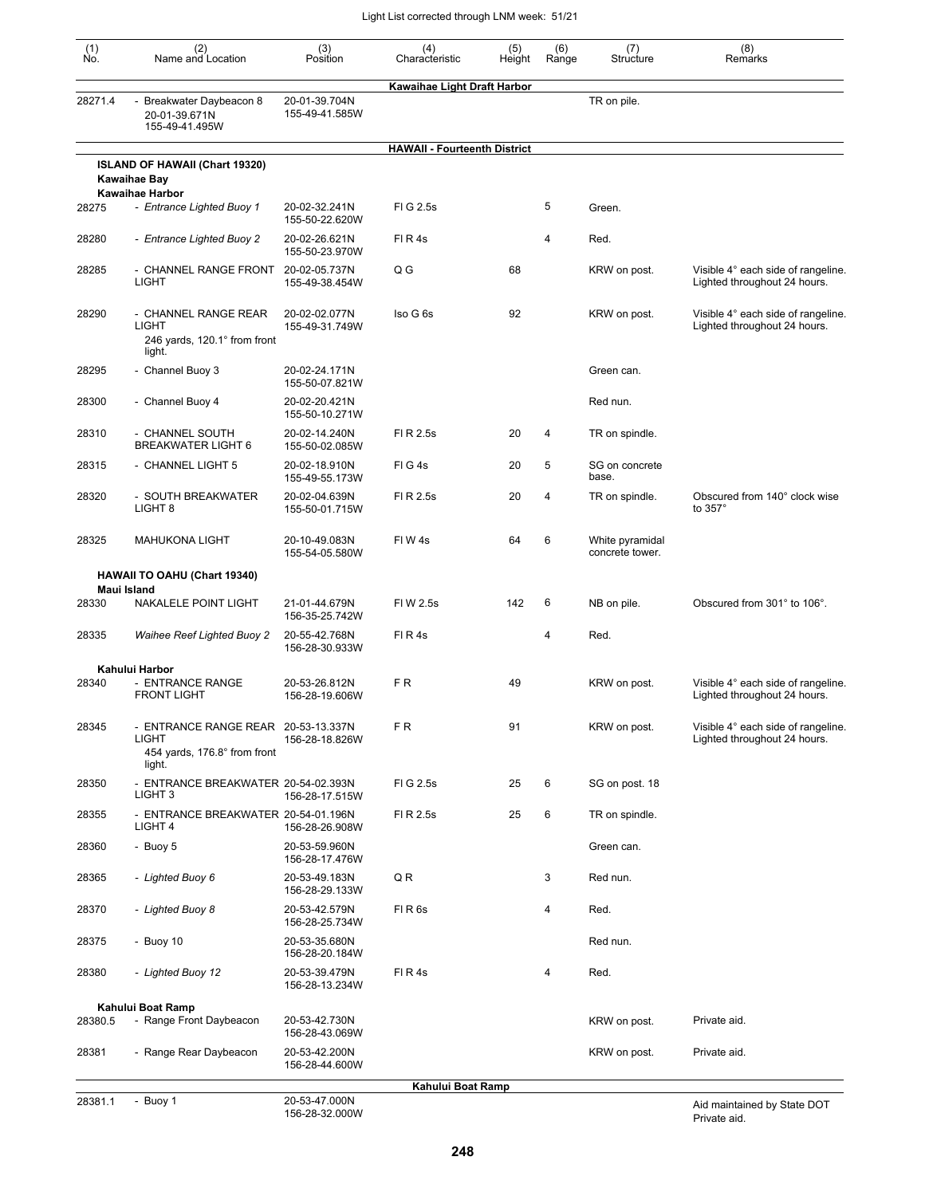| (1)<br>Ńó. | (2)<br>Name and Location                                                                      | (3)<br>Position                 | (4)<br>Characteristic               | (5)<br>Height | (6)<br>Range   | (7)<br>Structure                   | (8)<br>Remarks                                                     |
|------------|-----------------------------------------------------------------------------------------------|---------------------------------|-------------------------------------|---------------|----------------|------------------------------------|--------------------------------------------------------------------|
|            |                                                                                               |                                 | Kawaihae Light Draft Harbor         |               |                |                                    |                                                                    |
| 28271.4    | - Breakwater Daybeacon 8<br>20-01-39.671N<br>155-49-41.495W                                   | 20-01-39.704N<br>155-49-41.585W |                                     |               |                | TR on pile.                        |                                                                    |
|            |                                                                                               |                                 | <b>HAWAII - Fourteenth District</b> |               |                |                                    |                                                                    |
|            | ISLAND OF HAWAII (Chart 19320)<br><b>Kawaihae Bay</b>                                         |                                 |                                     |               |                |                                    |                                                                    |
| 28275      | <b>Kawaihae Harbor</b><br>- Entrance Lighted Buoy 1                                           | 20-02-32.241N<br>155-50-22.620W | FIG 2.5s                            |               | 5              | Green.                             |                                                                    |
| 28280      | - Entrance Lighted Buoy 2                                                                     | 20-02-26.621N<br>155-50-23.970W | FIR4s                               |               | $\overline{4}$ | Red.                               |                                                                    |
| 28285      | - CHANNEL RANGE FRONT<br><b>LIGHT</b>                                                         | 20-02-05.737N<br>155-49-38.454W | Q G                                 | 68            |                | KRW on post.                       | Visible 4° each side of rangeline.<br>Lighted throughout 24 hours. |
| 28290      | - CHANNEL RANGE REAR<br><b>LIGHT</b><br>246 yards, 120.1° from front<br>light.                | 20-02-02.077N<br>155-49-31.749W | Iso G 6s                            | 92            |                | KRW on post.                       | Visible 4° each side of rangeline.<br>Lighted throughout 24 hours. |
| 28295      | - Channel Buoy 3                                                                              | 20-02-24.171N<br>155-50-07.821W |                                     |               |                | Green can.                         |                                                                    |
| 28300      | - Channel Buoy 4                                                                              | 20-02-20.421N<br>155-50-10.271W |                                     |               |                | Red nun.                           |                                                                    |
| 28310      | - CHANNEL SOUTH<br><b>BREAKWATER LIGHT 6</b>                                                  | 20-02-14.240N<br>155-50-02.085W | FI R 2.5s                           | 20            | 4              | TR on spindle.                     |                                                                    |
| 28315      | - CHANNEL LIGHT 5                                                                             | 20-02-18.910N<br>155-49-55.173W | FIG4s                               | 20            | 5              | SG on concrete<br>base.            |                                                                    |
| 28320      | - SOUTH BREAKWATER<br>LIGHT 8                                                                 | 20-02-04.639N<br>155-50-01.715W | FI R 2.5s                           | 20            | $\overline{4}$ | TR on spindle.                     | Obscured from 140° clock wise<br>to 357°                           |
| 28325      | <b>MAHUKONA LIGHT</b>                                                                         | 20-10-49.083N<br>155-54-05.580W | FIW4s                               | 64            | 6              | White pyramidal<br>concrete tower. |                                                                    |
|            | <b>HAWAII TO OAHU (Chart 19340)</b><br>Maui Island                                            |                                 |                                     |               |                |                                    |                                                                    |
| 28330      | NAKALELE POINT LIGHT                                                                          | 21-01-44.679N<br>156-35-25.742W | FIW 2.5s                            | 142           | 6              | NB on pile.                        | Obscured from 301° to 106°.                                        |
| 28335      | <b>Waihee Reef Lighted Buoy 2</b>                                                             | 20-55-42.768N<br>156-28-30.933W | FIR4s                               |               | 4              | Red.                               |                                                                    |
|            | Kahului Harbor                                                                                |                                 |                                     |               |                |                                    |                                                                    |
| 28340      | - ENTRANCE RANGE<br><b>FRONT LIGHT</b>                                                        | 20-53-26.812N<br>156-28-19.606W | F R                                 | 49            |                | KRW on post.                       | Visible 4° each side of rangeline.<br>Lighted throughout 24 hours. |
| 28345      | - ENTRANCE RANGE REAR 20-53-13.337N<br><b>LIGHT</b><br>454 yards, 176.8° from front<br>light. | 156-28-18.826W                  | FR.                                 | 91            |                | KRW on post.                       | Visible 4° each side of rangeline.<br>Lighted throughout 24 hours. |
| 28350      | - ENTRANCE BREAKWATER 20-54-02.393N<br>LIGHT <sub>3</sub>                                     | 156-28-17.515W                  | FIG 2.5s                            | 25            | 6              | SG on post. 18                     |                                                                    |
| 28355      | - ENTRANCE BREAKWATER 20-54-01.196N<br>LIGHT 4                                                | 156-28-26.908W                  | FI R 2.5s                           | 25            | 6              | TR on spindle.                     |                                                                    |
| 28360      | - Buoy 5                                                                                      | 20-53-59.960N<br>156-28-17.476W |                                     |               |                | Green can.                         |                                                                    |
| 28365      | - Lighted Buoy 6                                                                              | 20-53-49.183N<br>156-28-29.133W | QR                                  |               | 3              | Red nun.                           |                                                                    |
| 28370      | - Lighted Buoy 8                                                                              | 20-53-42.579N<br>156-28-25.734W | FIR <sub>6s</sub>                   |               | 4              | Red.                               |                                                                    |
| 28375      | - Buoy 10                                                                                     | 20-53-35.680N<br>156-28-20.184W |                                     |               |                | Red nun.                           |                                                                    |
| 28380      | - Lighted Buoy 12                                                                             | 20-53-39.479N<br>156-28-13.234W | FIR4s                               |               | 4              | Red.                               |                                                                    |
|            | Kahului Boat Ramp                                                                             |                                 |                                     |               |                |                                    |                                                                    |
| 28380.5    | - Range Front Daybeacon                                                                       | 20-53-42.730N<br>156-28-43.069W |                                     |               |                | KRW on post.                       | Private aid.                                                       |
| 28381      | - Range Rear Daybeacon                                                                        | 20-53-42.200N<br>156-28-44.600W |                                     |               |                | KRW on post.                       | Private aid.                                                       |
|            |                                                                                               |                                 | Kahului Boat Ramp                   |               |                |                                    |                                                                    |
| 28381.1    | - Buoy 1                                                                                      | 20-53-47.000N                   |                                     |               |                |                                    | Aid maintained by State DOT                                        |

20-53-47.000N 156-28-32.000W

Aid maintained by State DOT Private aid.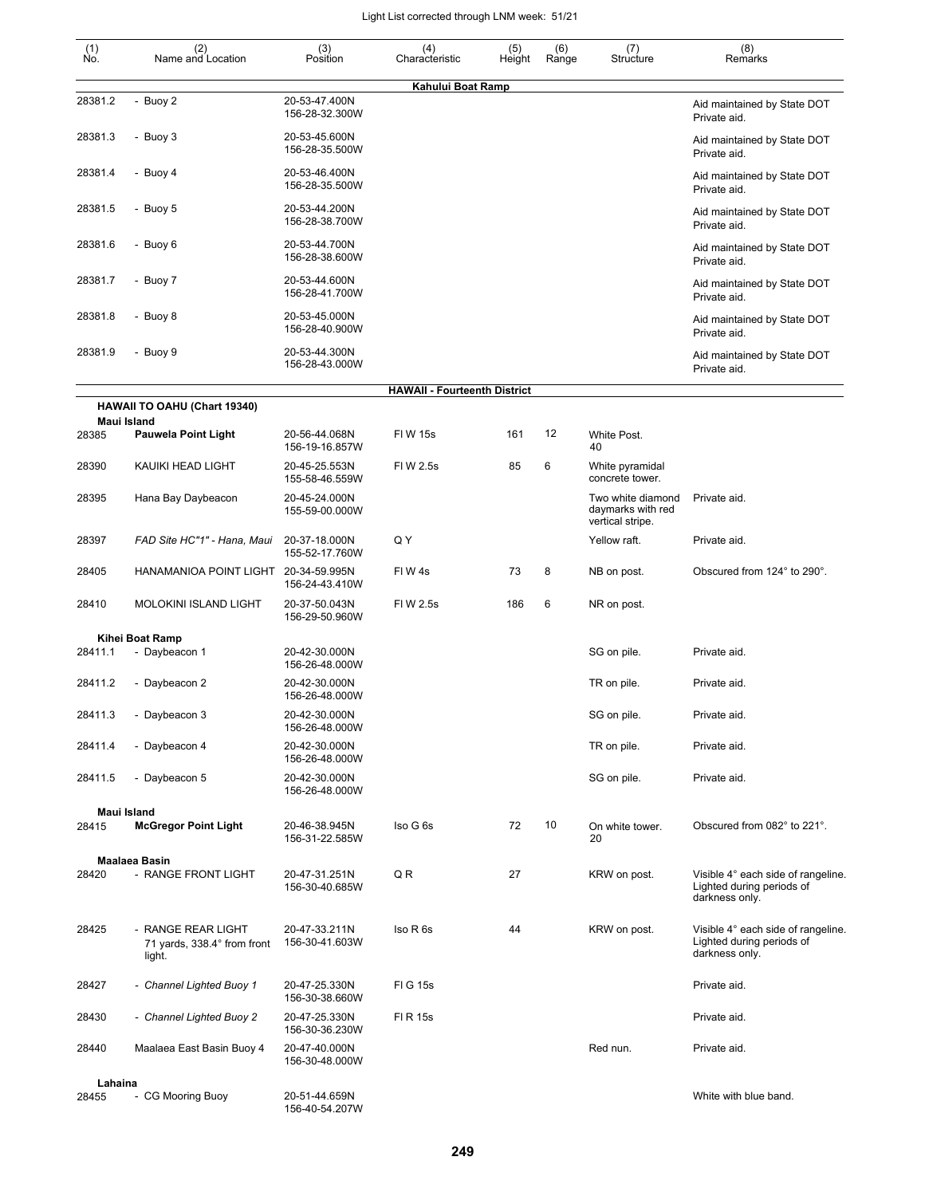| (1)<br>Ño. | (2)<br>Name and Location                                    | (3)<br>Position                 | (4)<br>Characteristic               | (5)<br>Height | (6)<br>Range | (7)<br>Structure                                           | (8)<br>Remarks                                                                    |
|------------|-------------------------------------------------------------|---------------------------------|-------------------------------------|---------------|--------------|------------------------------------------------------------|-----------------------------------------------------------------------------------|
| 28381.2    | - Buoy 2                                                    | 20-53-47.400N                   | Kahului Boat Ramp                   |               |              |                                                            |                                                                                   |
|            |                                                             | 156-28-32.300W                  |                                     |               |              |                                                            | Aid maintained by State DOT<br>Private aid.                                       |
| 28381.3    | - Buoy 3                                                    | 20-53-45.600N<br>156-28-35.500W |                                     |               |              |                                                            | Aid maintained by State DOT<br>Private aid.                                       |
| 28381.4    | - Buoy 4                                                    | 20-53-46.400N<br>156-28-35.500W |                                     |               |              |                                                            | Aid maintained by State DOT<br>Private aid.                                       |
| 28381.5    | - Buoy 5                                                    | 20-53-44.200N<br>156-28-38.700W |                                     |               |              |                                                            | Aid maintained by State DOT<br>Private aid.                                       |
| 28381.6    | - Buoy 6                                                    | 20-53-44.700N<br>156-28-38.600W |                                     |               |              |                                                            | Aid maintained by State DOT<br>Private aid.                                       |
| 28381.7    | - Buoy 7                                                    | 20-53-44.600N<br>156-28-41.700W |                                     |               |              |                                                            | Aid maintained by State DOT<br>Private aid.                                       |
| 28381.8    | - Buoy 8                                                    | 20-53-45.000N<br>156-28-40.900W |                                     |               |              |                                                            | Aid maintained by State DOT<br>Private aid.                                       |
| 28381.9    | - Buoy 9                                                    | 20-53-44.300N<br>156-28-43.000W |                                     |               |              |                                                            | Aid maintained by State DOT<br>Private aid.                                       |
|            | HAWAII TO OAHU (Chart 19340)                                |                                 | <b>HAWAII - Fourteenth District</b> |               |              |                                                            |                                                                                   |
|            | <b>Maui Island</b>                                          |                                 |                                     |               |              |                                                            |                                                                                   |
| 28385      | <b>Pauwela Point Light</b>                                  | 20-56-44.068N<br>156-19-16.857W | <b>FIW 15s</b>                      | 161           | 12           | White Post.<br>40                                          |                                                                                   |
| 28390      | KAUIKI HEAD LIGHT                                           | 20-45-25.553N<br>155-58-46.559W | FIW 2.5s                            | 85            | 6            | White pyramidal<br>concrete tower.                         |                                                                                   |
| 28395      | Hana Bay Daybeacon                                          | 20-45-24.000N<br>155-59-00.000W |                                     |               |              | Two white diamond<br>daymarks with red<br>vertical stripe. | Private aid.                                                                      |
| 28397      | FAD Site HC"1" - Hana, Maui                                 | 20-37-18.000N<br>155-52-17.760W | Q Y                                 |               |              | Yellow raft.                                               | Private aid.                                                                      |
| 28405      | HANAMANIOA POINT LIGHT                                      | 20-34-59.995N<br>156-24-43.410W | FIW4s                               | 73            | 8            | NB on post.                                                | Obscured from 124° to 290°.                                                       |
| 28410      | <b>MOLOKINI ISLAND LIGHT</b>                                | 20-37-50.043N<br>156-29-50.960W | FIW 2.5s                            | 186           | 6            | NR on post.                                                |                                                                                   |
|            | Kihei Boat Ramp                                             |                                 |                                     |               |              |                                                            |                                                                                   |
| 28411.1    | - Daybeacon 1                                               | 20-42-30.000N<br>156-26-48.000W |                                     |               |              | SG on pile.                                                | Private aid.                                                                      |
| 28411.2    | - Daybeacon 2                                               | 20-42-30.000N<br>156-26-48.000W |                                     |               |              | TR on pile.                                                | Private aid.                                                                      |
| 28411.3    | - Daybeacon 3                                               | 20-42-30.000N<br>156-26-48.000W |                                     |               |              | SG on pile.                                                | Private aid.                                                                      |
| 28411.4    | - Daybeacon 4                                               | 20-42-30.000N<br>156-26-48.000W |                                     |               |              | TR on pile.                                                | Private aid.                                                                      |
| 28411.5    | - Daybeacon 5                                               | 20-42-30.000N<br>156-26-48.000W |                                     |               |              | SG on pile.                                                | Private aid.                                                                      |
|            | Maui Island                                                 |                                 |                                     |               |              |                                                            |                                                                                   |
| 28415      | <b>McGregor Point Light</b>                                 | 20-46-38.945N<br>156-31-22.585W | Iso G 6s                            | 72            | 10           | On white tower.<br>20                                      | Obscured from 082° to 221°.                                                       |
|            | <b>Maalaea Basin</b>                                        |                                 |                                     |               |              |                                                            |                                                                                   |
| 28420      | - RANGE FRONT LIGHT                                         | 20-47-31.251N<br>156-30-40.685W | QR                                  | 27            |              | KRW on post.                                               | Visible 4° each side of rangeline.<br>Lighted during periods of<br>darkness only. |
| 28425      | - RANGE REAR LIGHT<br>71 yards, 338.4° from front<br>light. | 20-47-33.211N<br>156-30-41.603W | Iso R 6s                            | 44            |              | KRW on post.                                               | Visible 4° each side of rangeline.<br>Lighted during periods of<br>darkness only. |
| 28427      | - Channel Lighted Buoy 1                                    | 20-47-25.330N<br>156-30-38.660W | FI G 15s                            |               |              |                                                            | Private aid.                                                                      |
| 28430      | - Channel Lighted Buoy 2                                    | 20-47-25.330N<br>156-30-36.230W | FI R 15s                            |               |              |                                                            | Private aid.                                                                      |
| 28440      | Maalaea East Basin Buoy 4                                   | 20-47-40.000N<br>156-30-48.000W |                                     |               |              | Red nun.                                                   | Private aid.                                                                      |
| Lahaina    |                                                             |                                 |                                     |               |              |                                                            |                                                                                   |
| 28455      | - CG Mooring Buoy                                           | 20-51-44.659N<br>156-40-54.207W |                                     |               |              |                                                            | White with blue band.                                                             |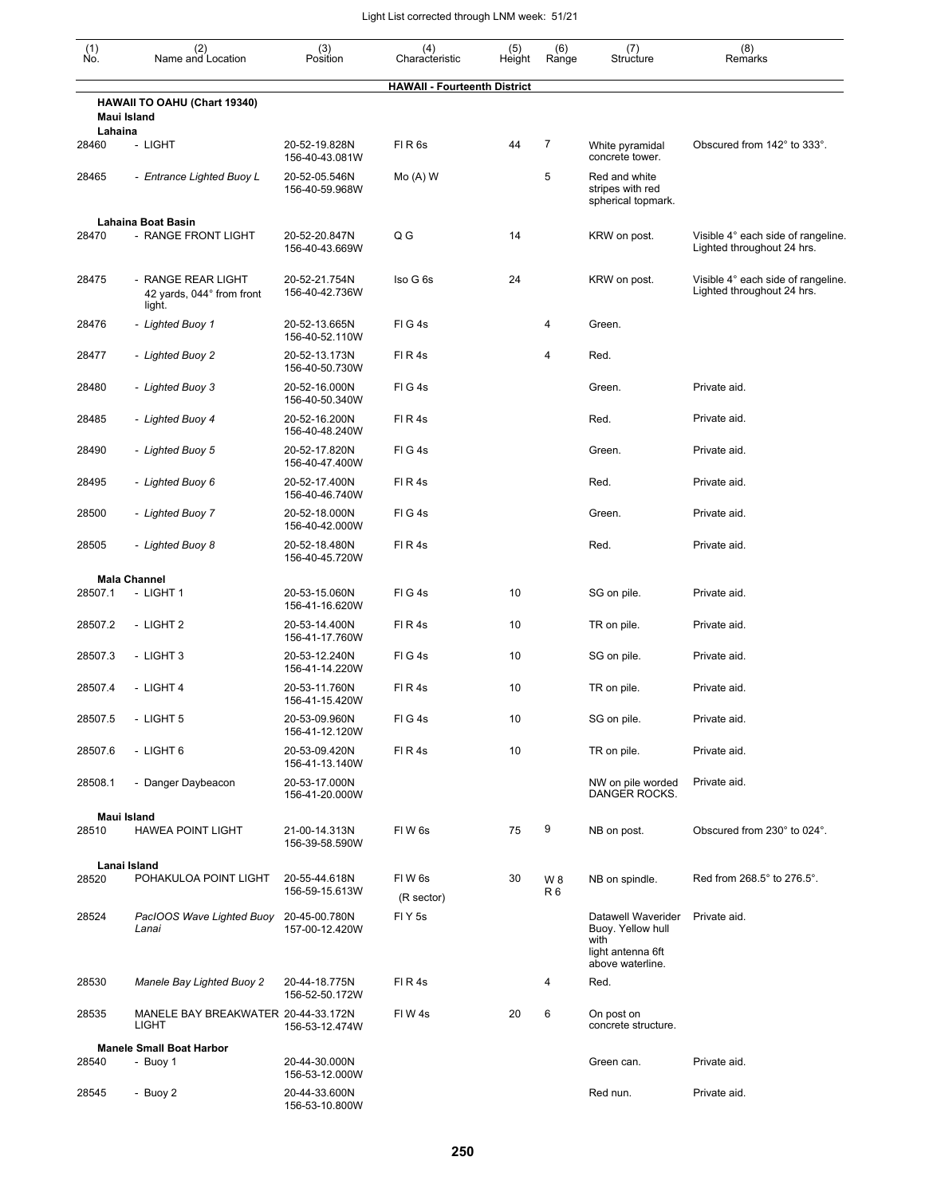| $(n)$<br>No. | (2)<br>Name and Location                                  | (3)<br>Position                 | (4)<br>Characteristic               | (5)<br>Height | (6)<br>Range          | (7)<br>Structure                                                                         | (8)<br>Remarks                                                   |
|--------------|-----------------------------------------------------------|---------------------------------|-------------------------------------|---------------|-----------------------|------------------------------------------------------------------------------------------|------------------------------------------------------------------|
|              |                                                           |                                 | <b>HAWAII - Fourteenth District</b> |               |                       |                                                                                          |                                                                  |
| Lahaina      | <b>HAWAII TO OAHU (Chart 19340)</b><br>Maui Island        |                                 |                                     |               |                       |                                                                                          |                                                                  |
| 28460        | - LIGHT                                                   | 20-52-19.828N<br>156-40-43.081W | FIR6s                               | 44            | 7                     | White pyramidal<br>concrete tower.                                                       | Obscured from 142° to 333°.                                      |
| 28465        | - Entrance Lighted Buoy L                                 | 20-52-05.546N<br>156-40-59.968W | $Mo(A)$ W                           |               | 5                     | Red and white<br>stripes with red<br>spherical topmark.                                  |                                                                  |
|              | <b>Lahaina Boat Basin</b>                                 |                                 |                                     |               |                       |                                                                                          |                                                                  |
| 28470        | - RANGE FRONT LIGHT                                       | 20-52-20.847N<br>156-40-43.669W | Q G                                 | 14            |                       | KRW on post.                                                                             | Visible 4° each side of rangeline.<br>Lighted throughout 24 hrs. |
| 28475        | - RANGE REAR LIGHT<br>42 yards, 044° from front<br>light. | 20-52-21.754N<br>156-40-42.736W | Iso G 6s                            | 24            |                       | KRW on post.                                                                             | Visible 4° each side of rangeline.<br>Lighted throughout 24 hrs. |
| 28476        | - Lighted Buoy 1                                          | 20-52-13.665N<br>156-40-52.110W | FIG4s                               |               | 4                     | Green.                                                                                   |                                                                  |
| 28477        | - Lighted Buoy 2                                          | 20-52-13.173N<br>156-40-50.730W | FIR4s                               |               | 4                     | Red.                                                                                     |                                                                  |
| 28480        | - Lighted Buoy 3                                          | 20-52-16.000N<br>156-40-50.340W | FIG4s                               |               |                       | Green.                                                                                   | Private aid.                                                     |
| 28485        | - Lighted Buoy 4                                          | 20-52-16.200N<br>156-40-48.240W | FIR4s                               |               |                       | Red.                                                                                     | Private aid.                                                     |
| 28490        | - Lighted Buoy 5                                          | 20-52-17.820N<br>156-40-47.400W | FIG4s                               |               |                       | Green.                                                                                   | Private aid.                                                     |
| 28495        | - Lighted Buoy 6                                          | 20-52-17.400N<br>156-40-46.740W | FIR4s                               |               |                       | Red.                                                                                     | Private aid.                                                     |
| 28500        | - Lighted Buoy 7                                          | 20-52-18.000N<br>156-40-42.000W | FIG4s                               |               |                       | Green.                                                                                   | Private aid.                                                     |
| 28505        | - Lighted Buoy 8                                          | 20-52-18.480N<br>156-40-45.720W | FIR4s                               |               |                       | Red.                                                                                     | Private aid.                                                     |
|              | <b>Mala Channel</b>                                       |                                 |                                     |               |                       |                                                                                          |                                                                  |
| 28507.1      | - LIGHT 1                                                 | 20-53-15.060N<br>156-41-16.620W | FIG4s                               | 10            |                       | SG on pile.                                                                              | Private aid.                                                     |
| 28507.2      | - LIGHT 2                                                 | 20-53-14.400N<br>156-41-17.760W | FIR4s                               | 10            |                       | TR on pile.                                                                              | Private aid.                                                     |
| 28507.3      | - LIGHT 3                                                 | 20-53-12.240N<br>156-41-14.220W | FIG4s                               | 10            |                       | SG on pile.                                                                              | Private aid.                                                     |
| 28507.4      | - LIGHT 4                                                 | 20-53-11.760N<br>156-41-15.420W | FIR4s                               | 10            |                       | TR on pile.                                                                              | Private aid.                                                     |
| 28507.5      | - LIGHT 5                                                 | 20-53-09.960N<br>156-41-12.120W | FIG4s                               | 10            |                       | SG on pile.                                                                              | Private aid.                                                     |
| 28507.6      | - LIGHT 6                                                 | 20-53-09.420N<br>156-41-13.140W | FIR4s                               | 10            |                       | TR on pile.                                                                              | Private aid.                                                     |
| 28508.1      | - Danger Daybeacon                                        | 20-53-17.000N<br>156-41-20.000W |                                     |               |                       | NW on pile worded<br><b>DANGER ROCKS.</b>                                                | Private aid.                                                     |
|              | Maui Island                                               |                                 |                                     |               |                       |                                                                                          |                                                                  |
| 28510        | <b>HAWEA POINT LIGHT</b>                                  | 21-00-14.313N<br>156-39-58.590W | FIW <sub>6s</sub>                   | 75            | 9                     | NB on post.                                                                              | Obscured from 230° to 024°.                                      |
|              | Lanai Island                                              |                                 |                                     |               |                       |                                                                                          |                                                                  |
| 28520        | POHAKULOA POINT LIGHT                                     | 20-55-44.618N<br>156-59-15.613W | FIW <sub>6s</sub><br>(R sector)     | 30            | W 8<br>R <sub>6</sub> | NB on spindle.                                                                           | Red from 268.5° to 276.5°.                                       |
| 28524        | PacIOOS Wave Lighted Buoy<br>Lanai                        | 20-45-00.780N<br>157-00-12.420W | FIY <sub>5s</sub>                   |               |                       | Datawell Waverider<br>Buoy. Yellow hull<br>with<br>light antenna 6ft<br>above waterline. | Private aid.                                                     |
| 28530        | Manele Bay Lighted Buoy 2                                 | 20-44-18.775N<br>156-52-50.172W | FIR4s                               |               | 4                     | Red.                                                                                     |                                                                  |
| 28535        | MANELE BAY BREAKWATER 20-44-33.172N<br><b>LIGHT</b>       | 156-53-12.474W                  | FIW4s                               | 20            | 6                     | On post on<br>concrete structure.                                                        |                                                                  |
|              | <b>Manele Small Boat Harbor</b>                           |                                 |                                     |               |                       |                                                                                          |                                                                  |
| 28540        | - Buoy 1                                                  | 20-44-30.000N<br>156-53-12.000W |                                     |               |                       | Green can.                                                                               | Private aid.                                                     |
| 28545        | - Buoy 2                                                  | 20-44-33.600N<br>156-53-10.800W |                                     |               |                       | Red nun.                                                                                 | Private aid.                                                     |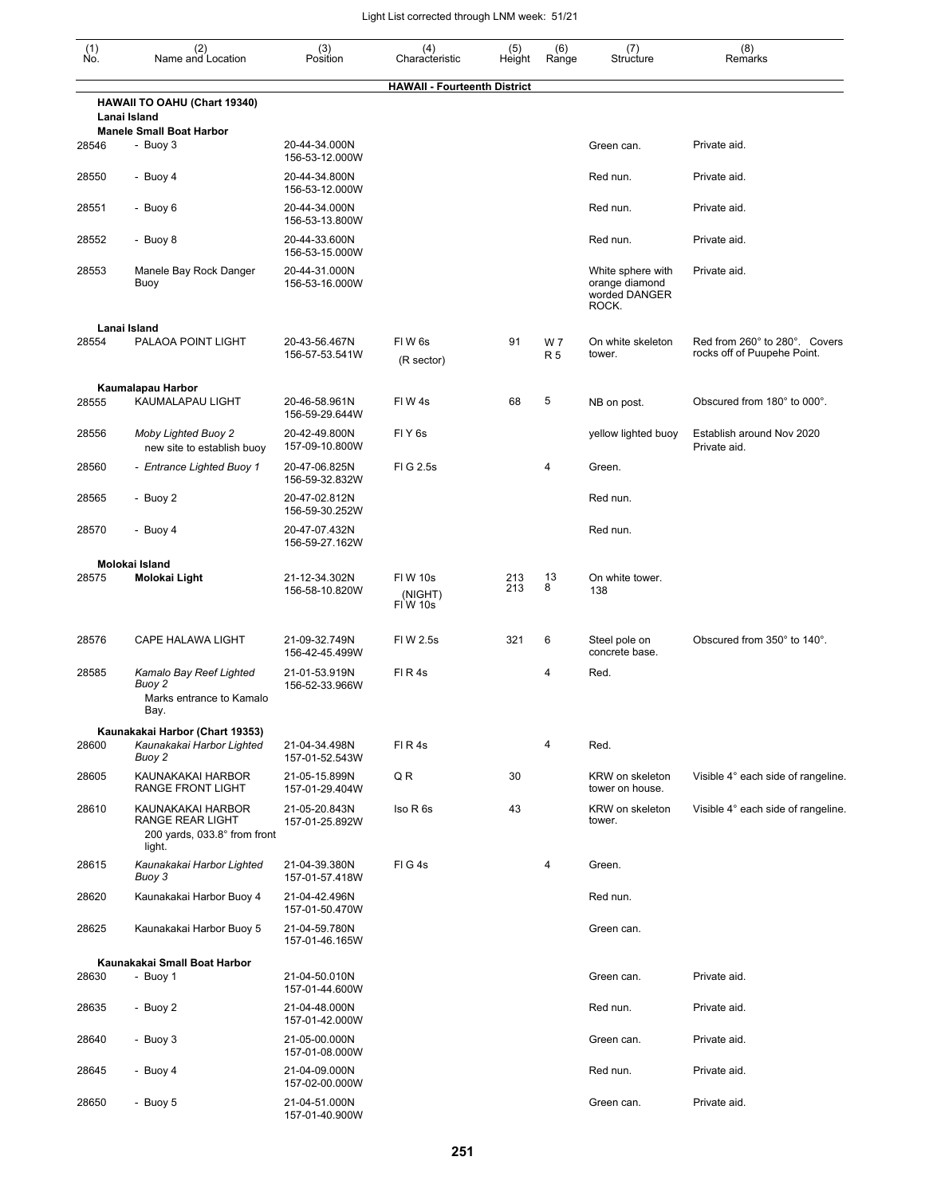| (1)<br>No. | (2)<br>Name and Location                                                        | (3)<br>Position                 | (4)<br>Characteristic                | (5)<br>Height | (6)<br>Range           | (7)<br>Structure                                              | (8)<br>Remarks                                               |
|------------|---------------------------------------------------------------------------------|---------------------------------|--------------------------------------|---------------|------------------------|---------------------------------------------------------------|--------------------------------------------------------------|
|            |                                                                                 |                                 | <b>HAWAII - Fourteenth District</b>  |               |                        |                                                               |                                                              |
|            | HAWAII TO OAHU (Chart 19340)<br>Lanai Island                                    |                                 |                                      |               |                        |                                                               |                                                              |
| 28546      | <b>Manele Small Boat Harbor</b><br>- Buoy 3                                     | 20-44-34.000N<br>156-53-12.000W |                                      |               |                        | Green can.                                                    | Private aid.                                                 |
| 28550      | - Buoy 4                                                                        | 20-44-34.800N<br>156-53-12.000W |                                      |               |                        | Red nun.                                                      | Private aid.                                                 |
| 28551      | - Buoy 6                                                                        | 20-44-34.000N<br>156-53-13.800W |                                      |               |                        | Red nun.                                                      | Private aid.                                                 |
| 28552      | - Buoy 8                                                                        | 20-44-33.600N<br>156-53-15.000W |                                      |               |                        | Red nun.                                                      | Private aid.                                                 |
| 28553      | Manele Bay Rock Danger<br>Buoy                                                  | 20-44-31.000N<br>156-53-16.000W |                                      |               |                        | White sphere with<br>orange diamond<br>worded DANGER<br>ROCK. | Private aid.                                                 |
|            | Lanai Island                                                                    |                                 |                                      |               |                        |                                                               |                                                              |
| 28554      | PALAOA POINT LIGHT                                                              | 20-43-56.467N<br>156-57-53.541W | FIW <sub>6s</sub><br>(R sector)      | 91            | <b>W7</b><br><b>R5</b> | On white skeleton<br>tower.                                   | Red from 260° to 280°. Covers<br>rocks off of Puupehe Point. |
|            | Kaumalapau Harbor                                                               |                                 |                                      |               |                        |                                                               |                                                              |
| 28555      | KAUMALAPAU LIGHT                                                                | 20-46-58.961N<br>156-59-29.644W | FIW <sub>4s</sub>                    | 68            | 5                      | NB on post.                                                   | Obscured from 180° to 000°.                                  |
| 28556      | <b>Moby Lighted Buoy 2</b><br>new site to establish buoy                        | 20-42-49.800N<br>157-09-10.800W | FIY <sub>6s</sub>                    |               |                        | yellow lighted buoy                                           | Establish around Nov 2020<br>Private aid.                    |
| 28560      | - Entrance Lighted Buoy 1                                                       | 20-47-06.825N<br>156-59-32.832W | FIG 2.5s                             |               | 4                      | Green.                                                        |                                                              |
| 28565      | - Buoy 2                                                                        | 20-47-02.812N<br>156-59-30.252W |                                      |               |                        | Red nun.                                                      |                                                              |
| 28570      | - Buoy 4                                                                        | 20-47-07.432N<br>156-59-27.162W |                                      |               |                        | Red nun.                                                      |                                                              |
|            | Molokai Island                                                                  |                                 |                                      |               |                        |                                                               |                                                              |
| 28575      | Molokai Light                                                                   | 21-12-34.302N<br>156-58-10.820W | <b>FIW 10s</b><br>(NIGHT)<br>FIW 10s | 213<br>213    | 13<br>8                | On white tower.<br>138                                        |                                                              |
| 28576      | CAPE HALAWA LIGHT                                                               | 21-09-32.749N<br>156-42-45.499W | FIW 2.5s                             | 321           | 6                      | Steel pole on<br>concrete base.                               | Obscured from 350° to 140°.                                  |
| 28585      | Kamalo Bay Reef Lighted<br>Buoy 2<br>Marks entrance to Kamalo<br>Bay.           | 21-01-53.919N<br>156-52-33.966W | FIR4s                                |               | 4                      | Red.                                                          |                                                              |
|            | Kaunakakai Harbor (Chart 19353)                                                 |                                 |                                      |               |                        |                                                               |                                                              |
| 28600      | Kaunakakai Harbor Lighted<br>Buoy 2                                             | 21-04-34.498N<br>157-01-52.543W | FIR4s                                |               | 4                      | Red.                                                          |                                                              |
| 28605      | KAUNAKAKAI HARBOR<br>RANGE FRONT LIGHT                                          | 21-05-15.899N<br>157-01-29.404W | QR                                   | 30            |                        | KRW on skeleton<br>tower on house.                            | Visible 4° each side of rangeline.                           |
| 28610      | KAUNAKAKAI HARBOR<br>RANGE REAR LIGHT<br>200 yards, 033.8° from front<br>light. | 21-05-20.843N<br>157-01-25.892W | Iso R 6s                             | 43            |                        | KRW on skeleton<br>tower.                                     | Visible 4° each side of rangeline.                           |
| 28615      | Kaunakakai Harbor Lighted<br>Buoy 3                                             | 21-04-39.380N<br>157-01-57.418W | FIG4s                                |               | 4                      | Green.                                                        |                                                              |
| 28620      | Kaunakakai Harbor Buoy 4                                                        | 21-04-42.496N<br>157-01-50.470W |                                      |               |                        | Red nun.                                                      |                                                              |
| 28625      | Kaunakakai Harbor Buoy 5                                                        | 21-04-59.780N<br>157-01-46.165W |                                      |               |                        | Green can.                                                    |                                                              |
|            | Kaunakakai Small Boat Harbor                                                    |                                 |                                      |               |                        |                                                               |                                                              |
| 28630      | - Buoy 1                                                                        | 21-04-50.010N<br>157-01-44.600W |                                      |               |                        | Green can.                                                    | Private aid.                                                 |
| 28635      | - Buoy 2                                                                        | 21-04-48.000N<br>157-01-42.000W |                                      |               |                        | Red nun.                                                      | Private aid.                                                 |
| 28640      | - Buoy 3                                                                        | 21-05-00.000N<br>157-01-08.000W |                                      |               |                        | Green can.                                                    | Private aid.                                                 |
| 28645      | - Buoy 4                                                                        | 21-04-09.000N<br>157-02-00.000W |                                      |               |                        | Red nun.                                                      | Private aid.                                                 |
| 28650      | - Buoy 5                                                                        | 21-04-51.000N<br>157-01-40.900W |                                      |               |                        | Green can.                                                    | Private aid.                                                 |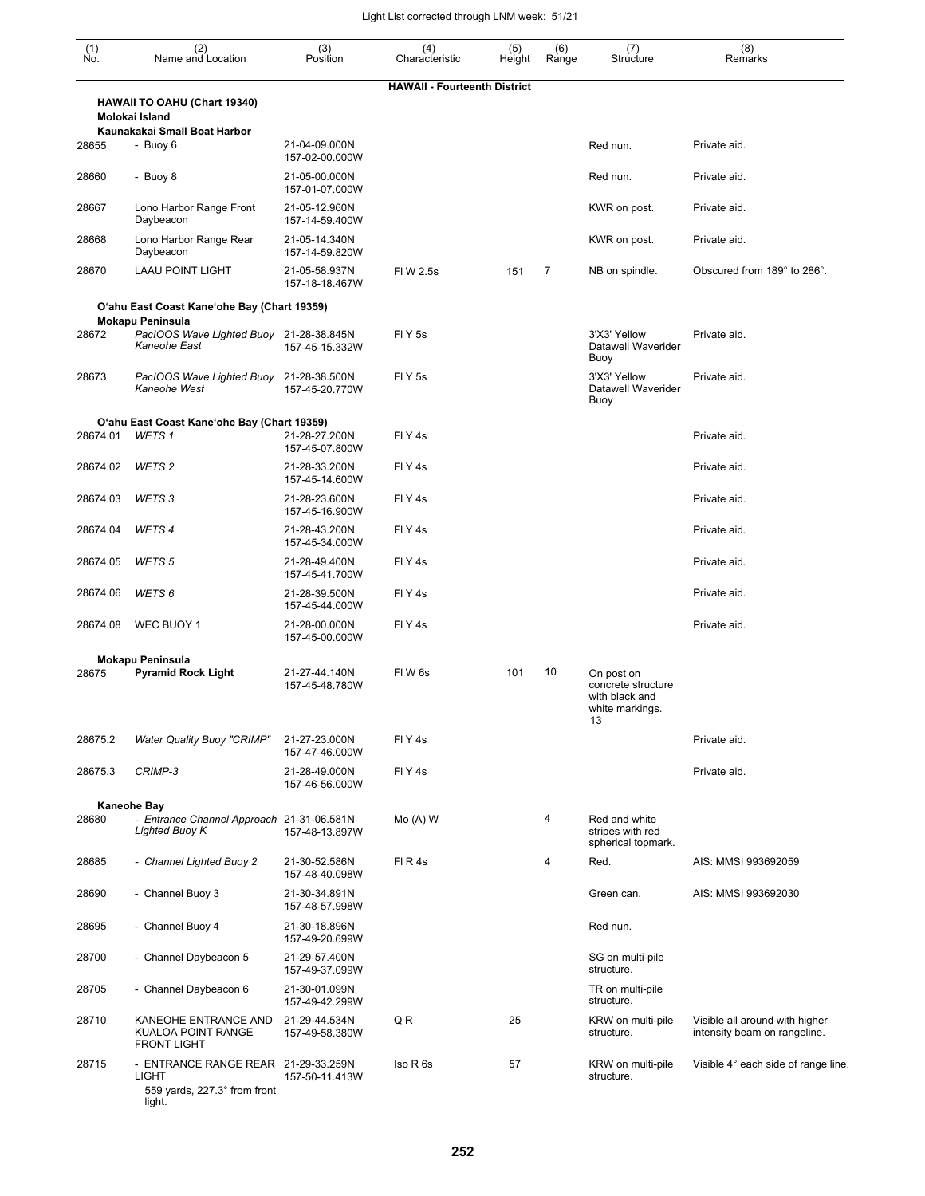| $\begin{smallmatrix} (1) \\ \mathsf{No} \end{smallmatrix}$ | (2)<br>Name and Location                                                               | (3)<br>Position                 | (4)<br>Characteristic               | (5)<br>Height | (6)<br>Range | (7)<br>Structure                                                            | (8)<br>Remarks                                                 |
|------------------------------------------------------------|----------------------------------------------------------------------------------------|---------------------------------|-------------------------------------|---------------|--------------|-----------------------------------------------------------------------------|----------------------------------------------------------------|
|                                                            |                                                                                        |                                 | <b>HAWAII - Fourteenth District</b> |               |              |                                                                             |                                                                |
|                                                            | HAWAII TO OAHU (Chart 19340)<br>Molokai Island                                         |                                 |                                     |               |              |                                                                             |                                                                |
| 28655                                                      | Kaunakakai Small Boat Harbor<br>- Buoy 6                                               | 21-04-09.000N<br>157-02-00.000W |                                     |               |              | Red nun.                                                                    | Private aid.                                                   |
| 28660                                                      | - Buoy 8                                                                               | 21-05-00.000N<br>157-01-07.000W |                                     |               |              | Red nun.                                                                    | Private aid.                                                   |
| 28667                                                      | Lono Harbor Range Front<br>Daybeacon                                                   | 21-05-12.960N<br>157-14-59.400W |                                     |               |              | KWR on post.                                                                | Private aid.                                                   |
| 28668                                                      | Lono Harbor Range Rear<br>Daybeacon                                                    | 21-05-14.340N<br>157-14-59.820W |                                     |               |              | KWR on post.                                                                | Private aid.                                                   |
| 28670                                                      | <b>LAAU POINT LIGHT</b>                                                                | 21-05-58.937N<br>157-18-18.467W | FIW 2.5s                            | 151           | 7            | NB on spindle.                                                              | Obscured from 189° to 286°.                                    |
|                                                            | O'ahu East Coast Kane'ohe Bay (Chart 19359)                                            |                                 |                                     |               |              |                                                                             |                                                                |
| 28672                                                      | <b>Mokapu Peninsula</b><br>PacIOOS Wave Lighted Buoy 21-28-38.845N                     |                                 | FIY <sub>5s</sub>                   |               |              | 3'X3' Yellow                                                                | Private aid.                                                   |
|                                                            | Kaneohe East                                                                           | 157-45-15.332W                  |                                     |               |              | Datawell Waverider<br>Buoy                                                  |                                                                |
| 28673                                                      | PacIOOS Wave Lighted Buoy 21-28-38.500N<br>Kaneohe West                                | 157-45-20.770W                  | FI Y 5s                             |               |              | 3'X3' Yellow<br>Datawell Waverider<br>Buoy                                  | Private aid.                                                   |
| 28674.01                                                   | O'ahu East Coast Kane'ohe Bay (Chart 19359)<br>WETS <sub>1</sub>                       | 21-28-27.200N<br>157-45-07.800W | FIY <sub>4s</sub>                   |               |              |                                                                             | Private aid.                                                   |
| 28674.02                                                   | WETS <sub>2</sub>                                                                      | 21-28-33.200N<br>157-45-14.600W | FIY <sub>4s</sub>                   |               |              |                                                                             | Private aid.                                                   |
| 28674.03                                                   | WETS 3                                                                                 | 21-28-23.600N<br>157-45-16.900W | FIY <sub>4s</sub>                   |               |              |                                                                             | Private aid.                                                   |
| 28674.04                                                   | WETS <sub>4</sub>                                                                      | 21-28-43.200N<br>157-45-34.000W | FIY <sub>4s</sub>                   |               |              |                                                                             | Private aid.                                                   |
| 28674.05                                                   | WETS <sub>5</sub>                                                                      | 21-28-49.400N<br>157-45-41.700W | FIY <sub>4s</sub>                   |               |              |                                                                             | Private aid.                                                   |
| 28674.06                                                   | WETS 6                                                                                 | 21-28-39.500N<br>157-45-44.000W | FIY <sub>4s</sub>                   |               |              |                                                                             | Private aid.                                                   |
| 28674.08                                                   | WEC BUOY 1                                                                             | 21-28-00.000N<br>157-45-00.000W | FIY <sub>4s</sub>                   |               |              |                                                                             | Private aid.                                                   |
|                                                            | <b>Mokapu Peninsula</b>                                                                |                                 |                                     |               |              |                                                                             |                                                                |
| 28675                                                      | <b>Pyramid Rock Light</b>                                                              | 21-27-44.140N<br>157-45-48.780W | FIW <sub>6s</sub>                   | 101           | 10           | On post on<br>concrete structure<br>with black and<br>white markings.<br>13 |                                                                |
| 28675.2                                                    | <b>Water Quality Buoy "CRIMP"</b>                                                      | 21-27-23.000N<br>157-47-46.000W | FIY4s                               |               |              |                                                                             | Private aid.                                                   |
| 28675.3                                                    | CRIMP-3                                                                                | 21-28-49.000N<br>157-46-56.000W | FIY <sub>4s</sub>                   |               |              |                                                                             | Private aid.                                                   |
|                                                            | Kaneohe Bay                                                                            |                                 |                                     |               |              |                                                                             |                                                                |
| 28680                                                      | - Entrance Channel Approach 21-31-06.581N<br>Lighted Buoy K                            | 157-48-13.897W                  | $Mo(A)$ W                           |               | 4            | Red and white<br>stripes with red<br>spherical topmark.                     |                                                                |
| 28685                                                      | - Channel Lighted Buoy 2                                                               | 21-30-52.586N<br>157-48-40.098W | FIR4s                               |               | 4            | Red.                                                                        | AIS: MMSI 993692059                                            |
| 28690                                                      | - Channel Buoy 3                                                                       | 21-30-34.891N<br>157-48-57.998W |                                     |               |              | Green can.                                                                  | AIS: MMSI 993692030                                            |
| 28695                                                      | - Channel Buoy 4                                                                       | 21-30-18.896N<br>157-49-20.699W |                                     |               |              | Red nun.                                                                    |                                                                |
| 28700                                                      | - Channel Daybeacon 5                                                                  | 21-29-57.400N<br>157-49-37.099W |                                     |               |              | SG on multi-pile<br>structure.                                              |                                                                |
| 28705                                                      | - Channel Daybeacon 6                                                                  | 21-30-01.099N<br>157-49-42.299W |                                     |               |              | TR on multi-pile<br>structure.                                              |                                                                |
| 28710                                                      | KANEOHE ENTRANCE AND<br>KUALOA POINT RANGE<br><b>FRONT LIGHT</b>                       | 21-29-44.534N<br>157-49-58.380W | Q R                                 | 25            |              | KRW on multi-pile<br>structure.                                             | Visible all around with higher<br>intensity beam on rangeline. |
| 28715                                                      | - ENTRANCE RANGE REAR 21-29-33.259N<br>LIGHT<br>559 yards, 227.3° from front<br>light. | 157-50-11.413W                  | Iso R <sub>6s</sub>                 | 57            |              | KRW on multi-pile<br>structure.                                             | Visible 4° each side of range line.                            |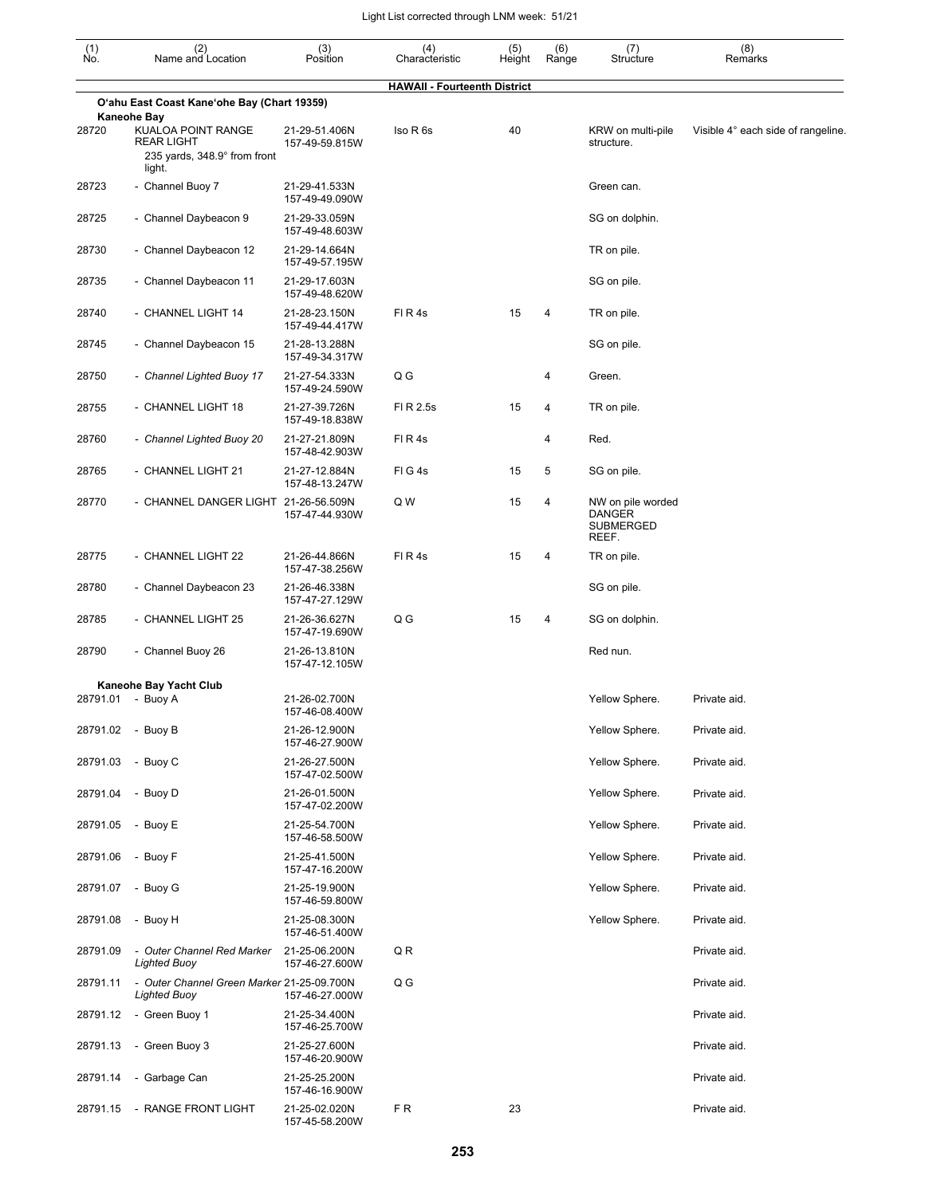| $\begin{smallmatrix} (1) \\ \mathsf{No} \end{smallmatrix}$ | (2)<br>Name and Location                                                          | (3)<br>Position                 | (4)<br>Characteristic               | (5)<br>Height | (6)<br>Range | (7)<br>Structure                                         | (8)<br>Remarks                     |
|------------------------------------------------------------|-----------------------------------------------------------------------------------|---------------------------------|-------------------------------------|---------------|--------------|----------------------------------------------------------|------------------------------------|
|                                                            |                                                                                   |                                 | <b>HAWAII - Fourteenth District</b> |               |              |                                                          |                                    |
|                                                            | O'ahu East Coast Kane'ohe Bay (Chart 19359)<br>Kaneohe Bay                        |                                 |                                     |               |              |                                                          |                                    |
| 28720                                                      | KUALOA POINT RANGE<br><b>REAR LIGHT</b><br>235 yards, 348.9° from front<br>light. | 21-29-51.406N<br>157-49-59.815W | Iso R 6s                            | 40            |              | KRW on multi-pile<br>structure.                          | Visible 4° each side of rangeline. |
| 28723                                                      | - Channel Buoy 7                                                                  | 21-29-41.533N<br>157-49-49.090W |                                     |               |              | Green can.                                               |                                    |
| 28725                                                      | - Channel Daybeacon 9                                                             | 21-29-33.059N<br>157-49-48.603W |                                     |               |              | SG on dolphin.                                           |                                    |
| 28730                                                      | - Channel Daybeacon 12                                                            | 21-29-14.664N<br>157-49-57.195W |                                     |               |              | TR on pile.                                              |                                    |
| 28735                                                      | - Channel Daybeacon 11                                                            | 21-29-17.603N<br>157-49-48.620W |                                     |               |              | SG on pile.                                              |                                    |
| 28740                                                      | - CHANNEL LIGHT 14                                                                | 21-28-23.150N<br>157-49-44.417W | FIR4s                               | 15            | 4            | TR on pile.                                              |                                    |
| 28745                                                      | - Channel Daybeacon 15                                                            | 21-28-13.288N<br>157-49-34.317W |                                     |               |              | SG on pile.                                              |                                    |
| 28750                                                      | - Channel Lighted Buoy 17                                                         | 21-27-54.333N<br>157-49-24.590W | Q G                                 |               | 4            | Green.                                                   |                                    |
| 28755                                                      | - CHANNEL LIGHT 18                                                                | 21-27-39.726N<br>157-49-18.838W | FI R 2.5s                           | 15            | 4            | TR on pile.                                              |                                    |
| 28760                                                      | - Channel Lighted Buoy 20                                                         | 21-27-21.809N<br>157-48-42.903W | FIR4s                               |               | 4            | Red.                                                     |                                    |
| 28765                                                      | - CHANNEL LIGHT 21                                                                | 21-27-12.884N<br>157-48-13.247W | FIG4s                               | 15            | 5            | SG on pile.                                              |                                    |
| 28770                                                      | - CHANNEL DANGER LIGHT 21-26-56.509N                                              | 157-47-44.930W                  | Q W                                 | 15            | 4            | NW on pile worded<br><b>DANGER</b><br>SUBMERGED<br>REEF. |                                    |
| 28775                                                      | - CHANNEL LIGHT 22                                                                | 21-26-44.866N<br>157-47-38.256W | FIR4s                               | 15            | 4            | TR on pile.                                              |                                    |
| 28780                                                      | - Channel Daybeacon 23                                                            | 21-26-46.338N<br>157-47-27.129W |                                     |               |              | SG on pile.                                              |                                    |
| 28785                                                      | - CHANNEL LIGHT 25                                                                | 21-26-36.627N<br>157-47-19.690W | Q G                                 | 15            | 4            | SG on dolphin.                                           |                                    |
| 28790                                                      | - Channel Buoy 26                                                                 | 21-26-13.810N<br>157-47-12.105W |                                     |               |              | Red nun.                                                 |                                    |
|                                                            | Kaneohe Bay Yacht Club                                                            |                                 |                                     |               |              |                                                          |                                    |
|                                                            | 28791.01 - Buoy A                                                                 | 21-26-02.700N<br>157-46-08.400W |                                     |               |              | Yellow Sphere.                                           | Private aid.                       |
|                                                            | 28791.02 - Buoy B                                                                 | 21-26-12.900N<br>157-46-27.900W |                                     |               |              | Yellow Sphere.                                           | Private aid.                       |
| 28791.03                                                   | - Buoy C                                                                          | 21-26-27.500N<br>157-47-02.500W |                                     |               |              | Yellow Sphere.                                           | Private aid.                       |
| 28791.04                                                   | - Buoy D                                                                          | 21-26-01.500N<br>157-47-02.200W |                                     |               |              | Yellow Sphere.                                           | Private aid.                       |
| 28791.05                                                   | - Buoy E                                                                          | 21-25-54.700N<br>157-46-58.500W |                                     |               |              | Yellow Sphere.                                           | Private aid.                       |
| 28791.06                                                   | - Buoy F                                                                          | 21-25-41.500N<br>157-47-16.200W |                                     |               |              | Yellow Sphere.                                           | Private aid.                       |
| 28791.07                                                   | - Buoy G                                                                          | 21-25-19.900N<br>157-46-59.800W |                                     |               |              | Yellow Sphere.                                           | Private aid.                       |
| 28791.08                                                   | - Buoy H                                                                          | 21-25-08.300N<br>157-46-51.400W |                                     |               |              | Yellow Sphere.                                           | Private aid.                       |
| 28791.09                                                   | - Outer Channel Red Marker<br><b>Lighted Buoy</b>                                 | 21-25-06.200N<br>157-46-27.600W | QR                                  |               |              |                                                          | Private aid.                       |
| 28791.11                                                   | - Outer Channel Green Marker 21-25-09.700N<br><b>Lighted Buoy</b>                 | 157-46-27.000W                  | Q G                                 |               |              |                                                          | Private aid.                       |
| 28791.12                                                   | - Green Buoy 1                                                                    | 21-25-34.400N<br>157-46-25.700W |                                     |               |              |                                                          | Private aid.                       |
| 28791.13                                                   | - Green Buoy 3                                                                    | 21-25-27.600N<br>157-46-20.900W |                                     |               |              |                                                          | Private aid.                       |
| 28791.14                                                   | - Garbage Can                                                                     | 21-25-25.200N<br>157-46-16.900W |                                     |               |              |                                                          | Private aid.                       |
| 28791.15                                                   | - RANGE FRONT LIGHT                                                               | 21-25-02.020N<br>157-45-58.200W | FR                                  | 23            |              |                                                          | Private aid.                       |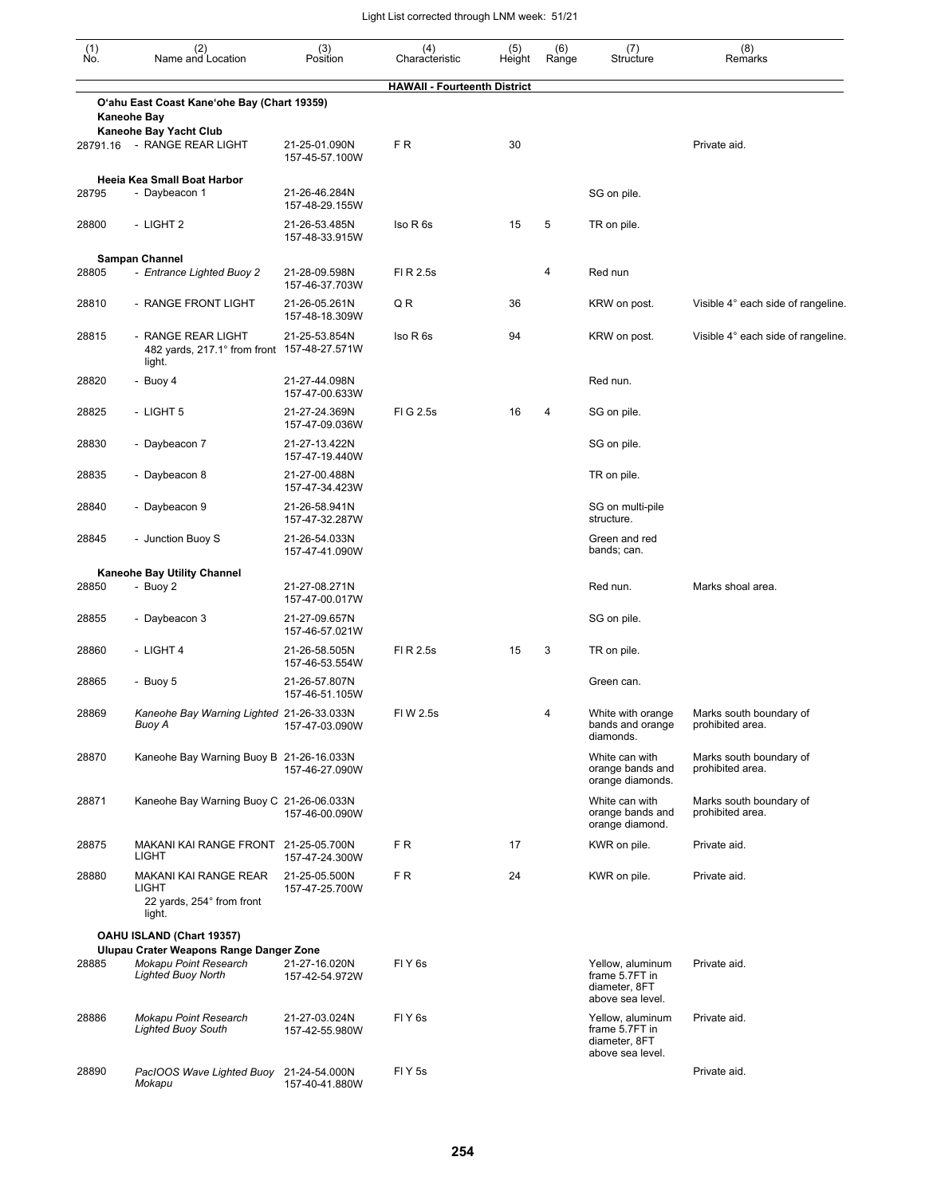| $\begin{smallmatrix} (1) \ N0. \end{smallmatrix}$ | (2)<br>Name and Location                                                                      | (3)<br>Position                 | (4)<br>Characteristic               | (5)<br>Height | (6)<br>Range | (7)<br>Structure                                                        | (8)<br>Remarks                              |
|---------------------------------------------------|-----------------------------------------------------------------------------------------------|---------------------------------|-------------------------------------|---------------|--------------|-------------------------------------------------------------------------|---------------------------------------------|
|                                                   |                                                                                               |                                 | <b>HAWAII - Fourteenth District</b> |               |              |                                                                         |                                             |
|                                                   | O'ahu East Coast Kane'ohe Bay (Chart 19359)                                                   |                                 |                                     |               |              |                                                                         |                                             |
|                                                   | <b>Kaneohe Bay</b><br>Kaneohe Bay Yacht Club                                                  |                                 |                                     |               |              |                                                                         |                                             |
| 28791.16                                          | - RANGE REAR LIGHT                                                                            | 21-25-01.090N<br>157-45-57.100W | FR.                                 | 30            |              |                                                                         | Private aid.                                |
| 28795                                             | Heeia Kea Small Boat Harbor<br>- Daybeacon 1                                                  | 21-26-46.284N<br>157-48-29.155W |                                     |               |              | SG on pile.                                                             |                                             |
| 28800                                             | - LIGHT 2                                                                                     | 21-26-53.485N<br>157-48-33.915W | Iso R 6s                            | 15            | 5            | TR on pile.                                                             |                                             |
|                                                   | <b>Sampan Channel</b>                                                                         |                                 |                                     |               |              |                                                                         |                                             |
| 28805                                             | - Entrance Lighted Buoy 2                                                                     | 21-28-09.598N<br>157-46-37.703W | FI R 2.5s                           |               | 4            | Red nun                                                                 |                                             |
| 28810                                             | - RANGE FRONT LIGHT                                                                           | 21-26-05.261N<br>157-48-18.309W | QR                                  | 36            |              | KRW on post.                                                            | Visible 4° each side of rangeline.          |
| 28815                                             | - RANGE REAR LIGHT<br>482 yards, 217.1° from front 157-48-27.571W<br>light.                   | 21-25-53.854N                   | Iso R 6s                            | 94            |              | KRW on post.                                                            | Visible 4° each side of rangeline.          |
| 28820                                             | - Buoy 4                                                                                      | 21-27-44.098N<br>157-47-00.633W |                                     |               |              | Red nun.                                                                |                                             |
| 28825                                             | - LIGHT 5                                                                                     | 21-27-24.369N<br>157-47-09.036W | FIG 2.5s                            | 16            | 4            | SG on pile.                                                             |                                             |
| 28830                                             | - Daybeacon 7                                                                                 | 21-27-13.422N<br>157-47-19.440W |                                     |               |              | SG on pile.                                                             |                                             |
| 28835                                             | - Daybeacon 8                                                                                 | 21-27-00.488N<br>157-47-34.423W |                                     |               |              | TR on pile.                                                             |                                             |
| 28840                                             | - Daybeacon 9                                                                                 | 21-26-58.941N<br>157-47-32.287W |                                     |               |              | SG on multi-pile<br>structure.                                          |                                             |
| 28845                                             | - Junction Buoy S                                                                             | 21-26-54.033N<br>157-47-41.090W |                                     |               |              | Green and red<br>bands; can.                                            |                                             |
|                                                   | Kaneohe Bay Utility Channel                                                                   |                                 |                                     |               |              |                                                                         |                                             |
| 28850                                             | - Buoy 2                                                                                      | 21-27-08.271N<br>157-47-00.017W |                                     |               |              | Red nun.                                                                | Marks shoal area.                           |
| 28855                                             | - Daybeacon 3                                                                                 | 21-27-09.657N<br>157-46-57.021W |                                     |               |              | SG on pile.                                                             |                                             |
| 28860                                             | - LIGHT 4                                                                                     | 21-26-58.505N<br>157-46-53.554W | FI R 2.5s                           | 15            | 3            | TR on pile.                                                             |                                             |
| 28865                                             | - Buoy 5                                                                                      | 21-26-57.807N<br>157-46-51.105W |                                     |               |              | Green can.                                                              |                                             |
| 28869                                             | Kaneohe Bay Warning Lighted 21-26-33.033N<br>Buoy A                                           | 157-47-03.090W                  | FIW 2.5s                            |               | 4            | White with orange<br>bands and orange<br>diamonds.                      | Marks south boundary of<br>prohibited area. |
| 28870                                             | Kaneohe Bay Warning Buoy B 21-26-16.033N                                                      | 157-46-27.090W                  |                                     |               |              | White can with<br>orange bands and<br>orange diamonds.                  | Marks south boundary of<br>prohibited area. |
| 28871                                             | Kaneohe Bay Warning Buoy C 21-26-06.033N                                                      | 157-46-00.090W                  |                                     |               |              | White can with<br>orange bands and<br>orange diamond.                   | Marks south boundary of<br>prohibited area. |
| 28875                                             | MAKANI KAI RANGE FRONT 21-25-05.700N<br>LIGHT                                                 | 157-47-24.300W                  | FR.                                 | 17            |              | KWR on pile.                                                            | Private aid.                                |
| 28880                                             | MAKANI KAI RANGE REAR<br>LIGHT<br>22 yards, 254° from front<br>light.                         | 21-25-05.500N<br>157-47-25.700W | FR.                                 | 24            |              | KWR on pile.                                                            | Private aid.                                |
|                                                   | OAHU ISLAND (Chart 19357)                                                                     |                                 |                                     |               |              |                                                                         |                                             |
| 28885                                             | Ulupau Crater Weapons Range Danger Zone<br>Mokapu Point Research<br><b>Lighted Buoy North</b> | 21-27-16.020N<br>157-42-54.972W | FIY <sub>6s</sub>                   |               |              | Yellow, aluminum<br>frame 5.7FT in<br>diameter, 8FT<br>above sea level. | Private aid.                                |
| 28886                                             | <b>Mokapu Point Research</b><br><b>Lighted Buoy South</b>                                     | 21-27-03.024N<br>157-42-55.980W | FIY <sub>6s</sub>                   |               |              | Yellow, aluminum<br>frame 5.7FT in<br>diameter, 8FT<br>above sea level. | Private aid.                                |
| 28890                                             | PacIOOS Wave Lighted Buoy 21-24-54.000N<br>Mokapu                                             | 157-40-41.880W                  | FIY <sub>5s</sub>                   |               |              |                                                                         | Private aid.                                |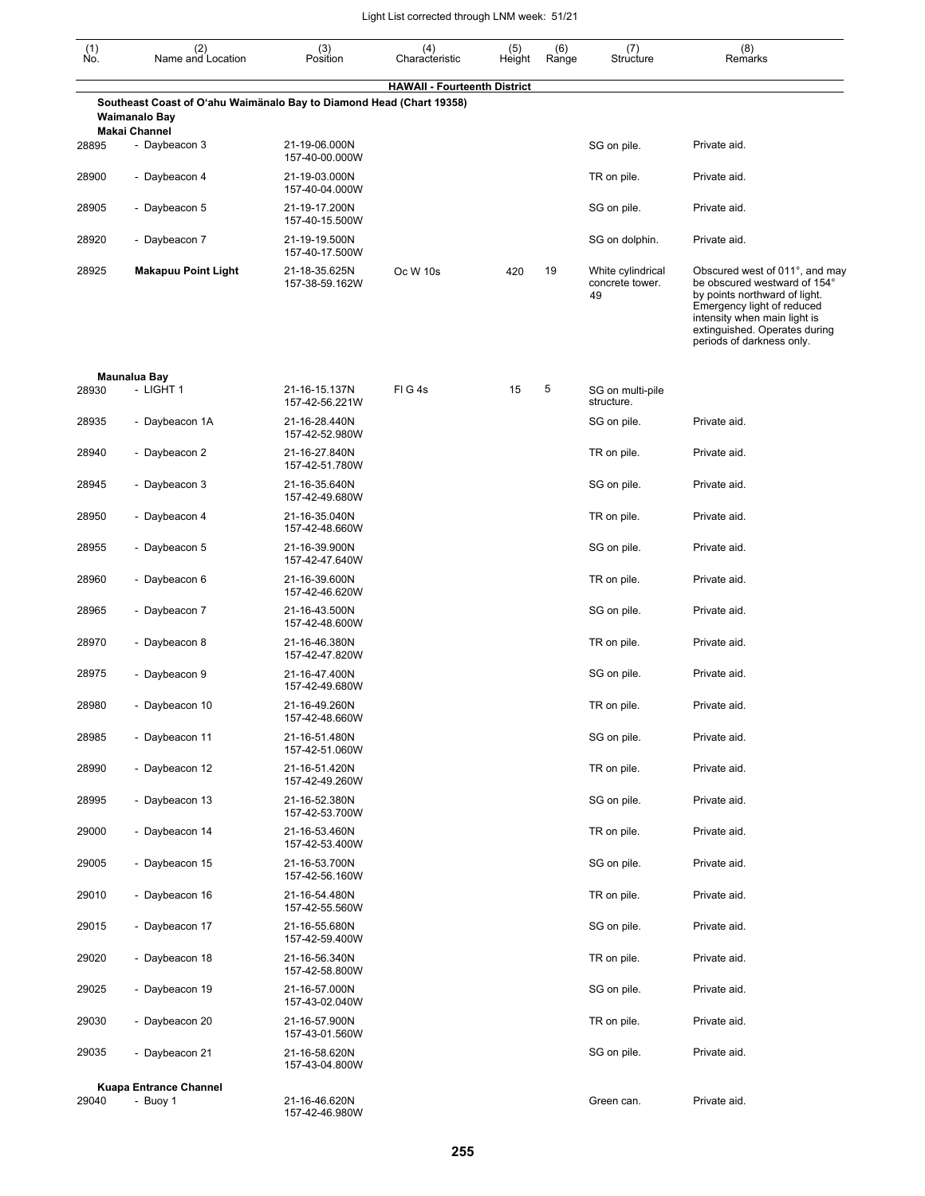| $(n)$<br>No. | (2)<br>Name and Location                                                                                             | (3)<br>Position                 | (4)<br>Characteristic               | (5)<br>Height | (6)<br>Range | (7)<br>Structure                           | (8)<br>Remarks                                                                                                                                                                                                              |
|--------------|----------------------------------------------------------------------------------------------------------------------|---------------------------------|-------------------------------------|---------------|--------------|--------------------------------------------|-----------------------------------------------------------------------------------------------------------------------------------------------------------------------------------------------------------------------------|
|              |                                                                                                                      |                                 | <b>HAWAII - Fourteenth District</b> |               |              |                                            |                                                                                                                                                                                                                             |
|              | Southeast Coast of O'ahu Waimänalo Bay to Diamond Head (Chart 19358)<br><b>Waimanalo Bay</b><br><b>Makai Channel</b> |                                 |                                     |               |              |                                            |                                                                                                                                                                                                                             |
| 28895        | - Daybeacon 3                                                                                                        | 21-19-06.000N<br>157-40-00.000W |                                     |               |              | SG on pile.                                | Private aid.                                                                                                                                                                                                                |
| 28900        | - Daybeacon 4                                                                                                        | 21-19-03.000N<br>157-40-04.000W |                                     |               |              | TR on pile.                                | Private aid.                                                                                                                                                                                                                |
| 28905        | - Daybeacon 5                                                                                                        | 21-19-17.200N<br>157-40-15.500W |                                     |               |              | SG on pile.                                | Private aid.                                                                                                                                                                                                                |
| 28920        | - Daybeacon 7                                                                                                        | 21-19-19.500N<br>157-40-17.500W |                                     |               |              | SG on dolphin.                             | Private aid.                                                                                                                                                                                                                |
| 28925        | <b>Makapuu Point Light</b>                                                                                           | 21-18-35.625N<br>157-38-59.162W | Oc W 10s                            | 420           | 19           | White cylindrical<br>concrete tower.<br>49 | Obscured west of 011°, and may<br>be obscured westward of 154°<br>by points northward of light.<br>Emergency light of reduced<br>intensity when main light is<br>extinguished. Operates during<br>periods of darkness only. |
| 28930        | Maunalua Bay<br>- LIGHT 1                                                                                            | 21-16-15.137N<br>157-42-56.221W | FIG4s                               | 15            | 5            | SG on multi-pile<br>structure.             |                                                                                                                                                                                                                             |
| 28935        | - Daybeacon 1A                                                                                                       | 21-16-28.440N<br>157-42-52.980W |                                     |               |              | SG on pile.                                | Private aid.                                                                                                                                                                                                                |
| 28940        | - Daybeacon 2                                                                                                        | 21-16-27.840N<br>157-42-51.780W |                                     |               |              | TR on pile.                                | Private aid.                                                                                                                                                                                                                |
| 28945        | - Daybeacon 3                                                                                                        | 21-16-35.640N<br>157-42-49.680W |                                     |               |              | SG on pile.                                | Private aid.                                                                                                                                                                                                                |
| 28950        | - Daybeacon 4                                                                                                        | 21-16-35.040N<br>157-42-48.660W |                                     |               |              | TR on pile.                                | Private aid.                                                                                                                                                                                                                |
| 28955        | - Daybeacon 5                                                                                                        | 21-16-39.900N<br>157-42-47.640W |                                     |               |              | SG on pile.                                | Private aid.                                                                                                                                                                                                                |
| 28960        | - Daybeacon 6                                                                                                        | 21-16-39.600N<br>157-42-46.620W |                                     |               |              | TR on pile.                                | Private aid.                                                                                                                                                                                                                |
| 28965        | - Daybeacon 7                                                                                                        | 21-16-43.500N<br>157-42-48.600W |                                     |               |              | SG on pile.                                | Private aid.                                                                                                                                                                                                                |
| 28970        | - Daybeacon 8                                                                                                        | 21-16-46.380N<br>157-42-47.820W |                                     |               |              | TR on pile.                                | Private aid.                                                                                                                                                                                                                |
| 28975        | - Daybeacon 9                                                                                                        | 21-16-47.400N<br>157-42-49.680W |                                     |               |              | SG on pile.                                | Private aid.                                                                                                                                                                                                                |
| 28980        | - Daybeacon 10                                                                                                       | 21-16-49.260N<br>157-42-48.660W |                                     |               |              | TR on pile.                                | Private aid.                                                                                                                                                                                                                |
| 28985        | - Daybeacon 11                                                                                                       | 21-16-51.480N<br>157-42-51.060W |                                     |               |              | SG on pile.                                | Private aid.                                                                                                                                                                                                                |
| 28990        | - Daybeacon 12                                                                                                       | 21-16-51.420N<br>157-42-49.260W |                                     |               |              | TR on pile.                                | Private aid.                                                                                                                                                                                                                |
| 28995        | - Daybeacon 13                                                                                                       | 21-16-52.380N<br>157-42-53.700W |                                     |               |              | SG on pile.                                | Private aid.                                                                                                                                                                                                                |
| 29000        | - Daybeacon 14                                                                                                       | 21-16-53.460N<br>157-42-53.400W |                                     |               |              | TR on pile.                                | Private aid.                                                                                                                                                                                                                |
| 29005        | - Daybeacon 15                                                                                                       | 21-16-53.700N<br>157-42-56.160W |                                     |               |              | SG on pile.                                | Private aid.                                                                                                                                                                                                                |
| 29010        | - Daybeacon 16                                                                                                       | 21-16-54.480N<br>157-42-55.560W |                                     |               |              | TR on pile.                                | Private aid.                                                                                                                                                                                                                |
| 29015        | - Daybeacon 17                                                                                                       | 21-16-55.680N<br>157-42-59.400W |                                     |               |              | SG on pile.                                | Private aid.                                                                                                                                                                                                                |
| 29020        | - Daybeacon 18                                                                                                       | 21-16-56.340N<br>157-42-58.800W |                                     |               |              | TR on pile.                                | Private aid.                                                                                                                                                                                                                |
| 29025        | - Daybeacon 19                                                                                                       | 21-16-57.000N<br>157-43-02.040W |                                     |               |              | SG on pile.                                | Private aid.                                                                                                                                                                                                                |
| 29030        | - Daybeacon 20                                                                                                       | 21-16-57.900N<br>157-43-01.560W |                                     |               |              | TR on pile.                                | Private aid.                                                                                                                                                                                                                |
| 29035        | - Daybeacon 21                                                                                                       | 21-16-58.620N<br>157-43-04.800W |                                     |               |              | SG on pile.                                | Private aid.                                                                                                                                                                                                                |
| 29040        | <b>Kuapa Entrance Channel</b><br>- Buoy 1                                                                            | 21-16-46.620N<br>157-42-46.980W |                                     |               |              | Green can.                                 | Private aid.                                                                                                                                                                                                                |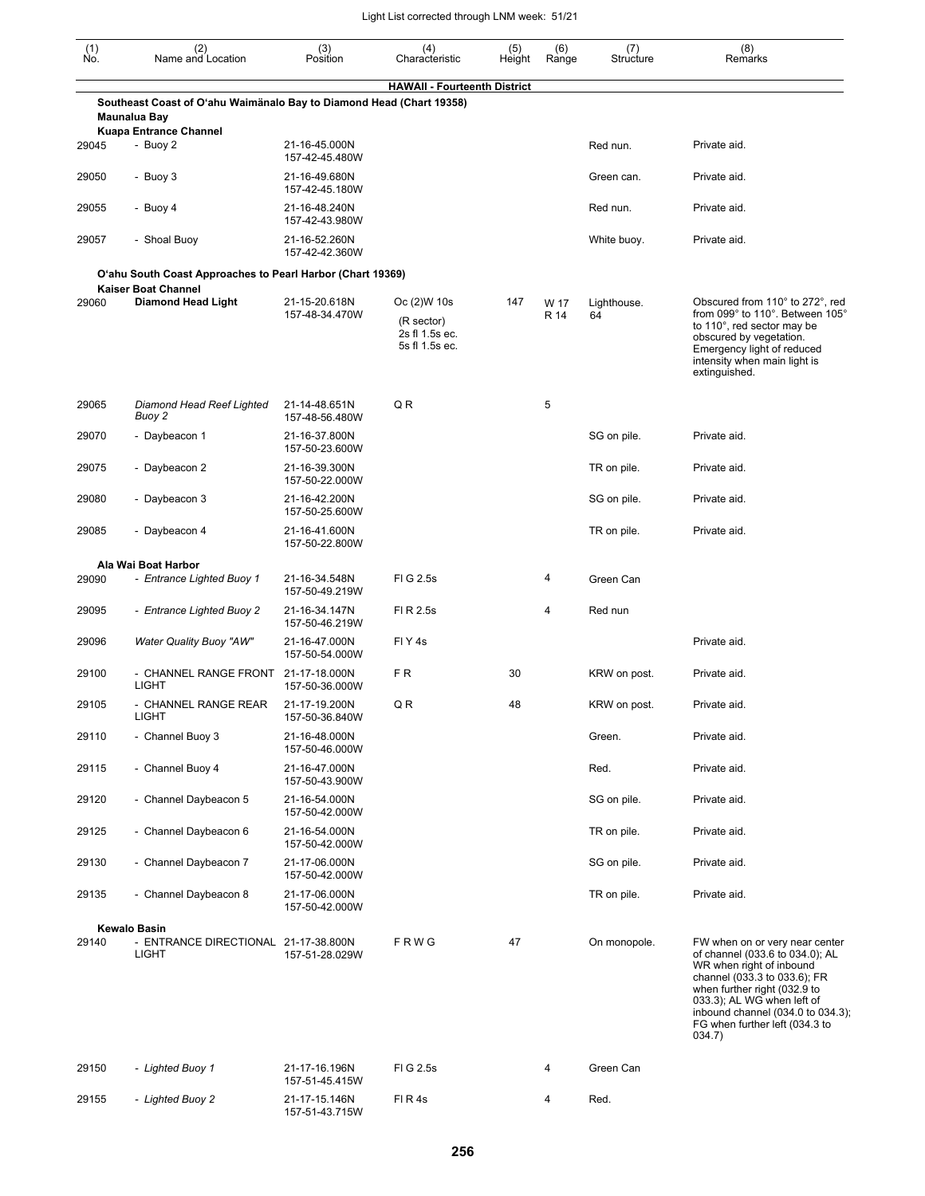| $\begin{smallmatrix} (1) \\ \mathsf{No} \end{smallmatrix}$ | (2)<br>Name and Location                                                                                              | (3)<br>Position                 | (4)<br>Characteristic                                          | (5)<br>Height | (6)<br>Range | (7)<br>Structure  | (8)<br>Remarks                                                                                                                                                                                                                                                               |
|------------------------------------------------------------|-----------------------------------------------------------------------------------------------------------------------|---------------------------------|----------------------------------------------------------------|---------------|--------------|-------------------|------------------------------------------------------------------------------------------------------------------------------------------------------------------------------------------------------------------------------------------------------------------------------|
|                                                            |                                                                                                                       |                                 | <b>HAWAII - Fourteenth District</b>                            |               |              |                   |                                                                                                                                                                                                                                                                              |
|                                                            | Southeast Coast of O'ahu Waimänalo Bay to Diamond Head (Chart 19358)<br>Maunalua Bay<br><b>Kuapa Entrance Channel</b> |                                 |                                                                |               |              |                   |                                                                                                                                                                                                                                                                              |
| 29045                                                      | - Buoy 2                                                                                                              | 21-16-45.000N<br>157-42-45.480W |                                                                |               |              | Red nun.          | Private aid.                                                                                                                                                                                                                                                                 |
| 29050                                                      | - Buoy 3                                                                                                              | 21-16-49.680N<br>157-42-45.180W |                                                                |               |              | Green can.        | Private aid.                                                                                                                                                                                                                                                                 |
| 29055                                                      | - Buoy 4                                                                                                              | 21-16-48.240N<br>157-42-43.980W |                                                                |               |              | Red nun.          | Private aid.                                                                                                                                                                                                                                                                 |
| 29057                                                      | - Shoal Buoy                                                                                                          | 21-16-52.260N<br>157-42-42.360W |                                                                |               |              | White buoy.       | Private aid.                                                                                                                                                                                                                                                                 |
|                                                            | O'ahu South Coast Approaches to Pearl Harbor (Chart 19369)                                                            |                                 |                                                                |               |              |                   |                                                                                                                                                                                                                                                                              |
| 29060                                                      | <b>Kaiser Boat Channel</b><br><b>Diamond Head Light</b>                                                               | 21-15-20.618N<br>157-48-34.470W | Oc (2) W 10s<br>(R sector)<br>2s fl 1.5s ec.<br>5s fl 1.5s ec. | 147           | W 17<br>R 14 | Lighthouse.<br>64 | Obscured from 110° to 272°, red<br>from 099° to 110°. Between 105°<br>to 110°, red sector may be<br>obscured by vegetation.<br>Emergency light of reduced<br>intensity when main light is<br>extinguished.                                                                   |
| 29065                                                      | Diamond Head Reef Lighted<br>Buoy 2                                                                                   | 21-14-48.651N<br>157-48-56.480W | QR                                                             |               | 5            |                   |                                                                                                                                                                                                                                                                              |
| 29070                                                      | - Daybeacon 1                                                                                                         | 21-16-37.800N<br>157-50-23.600W |                                                                |               |              | SG on pile.       | Private aid.                                                                                                                                                                                                                                                                 |
| 29075                                                      | - Daybeacon 2                                                                                                         | 21-16-39.300N<br>157-50-22.000W |                                                                |               |              | TR on pile.       | Private aid.                                                                                                                                                                                                                                                                 |
| 29080                                                      | - Daybeacon 3                                                                                                         | 21-16-42.200N<br>157-50-25.600W |                                                                |               |              | SG on pile.       | Private aid.                                                                                                                                                                                                                                                                 |
| 29085                                                      | - Daybeacon 4                                                                                                         | 21-16-41.600N<br>157-50-22.800W |                                                                |               |              | TR on pile.       | Private aid.                                                                                                                                                                                                                                                                 |
|                                                            | Ala Wai Boat Harbor                                                                                                   |                                 |                                                                |               |              |                   |                                                                                                                                                                                                                                                                              |
| 29090                                                      | - Entrance Lighted Buoy 1                                                                                             | 21-16-34.548N<br>157-50-49.219W | FIG 2.5s                                                       |               | 4            | Green Can         |                                                                                                                                                                                                                                                                              |
| 29095                                                      | - Entrance Lighted Buoy 2                                                                                             | 21-16-34.147N<br>157-50-46.219W | FI R 2.5s                                                      |               | 4            | Red nun           |                                                                                                                                                                                                                                                                              |
| 29096                                                      | <b>Water Quality Buoy "AW"</b>                                                                                        | 21-16-47.000N<br>157-50-54.000W | FIY <sub>4s</sub>                                              |               |              |                   | Private aid.                                                                                                                                                                                                                                                                 |
| 29100                                                      | - CHANNEL RANGE FRONT<br>LIGHT                                                                                        | 21-17-18.000N<br>157-50-36.000W | FR.                                                            | 30            |              | KRW on post.      | Private aid.                                                                                                                                                                                                                                                                 |
| 29105                                                      | - CHANNEL RANGE REAR<br>LIGHT                                                                                         | 21-17-19.200N<br>157-50-36.840W | QR                                                             | 48            |              | KRW on post.      | Private aid.                                                                                                                                                                                                                                                                 |
| 29110                                                      | - Channel Buoy 3                                                                                                      | 21-16-48.000N<br>157-50-46.000W |                                                                |               |              | Green.            | Private aid.                                                                                                                                                                                                                                                                 |
| 29115                                                      | - Channel Buoy 4                                                                                                      | 21-16-47.000N<br>157-50-43.900W |                                                                |               |              | Red.              | Private aid.                                                                                                                                                                                                                                                                 |
| 29120                                                      | - Channel Daybeacon 5                                                                                                 | 21-16-54.000N<br>157-50-42.000W |                                                                |               |              | SG on pile.       | Private aid.                                                                                                                                                                                                                                                                 |
| 29125                                                      | - Channel Daybeacon 6                                                                                                 | 21-16-54.000N<br>157-50-42.000W |                                                                |               |              | TR on pile.       | Private aid.                                                                                                                                                                                                                                                                 |
| 29130                                                      | - Channel Daybeacon 7                                                                                                 | 21-17-06.000N<br>157-50-42.000W |                                                                |               |              | SG on pile.       | Private aid.                                                                                                                                                                                                                                                                 |
| 29135                                                      | - Channel Daybeacon 8                                                                                                 | 21-17-06.000N<br>157-50-42.000W |                                                                |               |              | TR on pile.       | Private aid.                                                                                                                                                                                                                                                                 |
|                                                            | <b>Kewalo Basin</b>                                                                                                   |                                 |                                                                |               |              |                   |                                                                                                                                                                                                                                                                              |
| 29140                                                      | - ENTRANCE DIRECTIONAL 21-17-38.800N<br>LIGHT                                                                         | 157-51-28.029W                  | FRWG                                                           | 47            |              | On monopole.      | FW when on or very near center<br>of channel (033.6 to 034.0); AL<br>WR when right of inbound<br>channel (033.3 to 033.6); FR<br>when further right (032.9 to<br>033.3); AL WG when left of<br>inbound channel (034.0 to 034.3);<br>FG when further left (034.3 to<br>034.7) |
| 29150                                                      | - Lighted Buoy 1                                                                                                      | 21-17-16.196N<br>157-51-45.415W | FIG 2.5s                                                       |               | 4            | Green Can         |                                                                                                                                                                                                                                                                              |
| 29155                                                      | - Lighted Buoy 2                                                                                                      | 21-17-15.146N<br>157-51-43.715W | FIR4s                                                          |               | 4            | Red.              |                                                                                                                                                                                                                                                                              |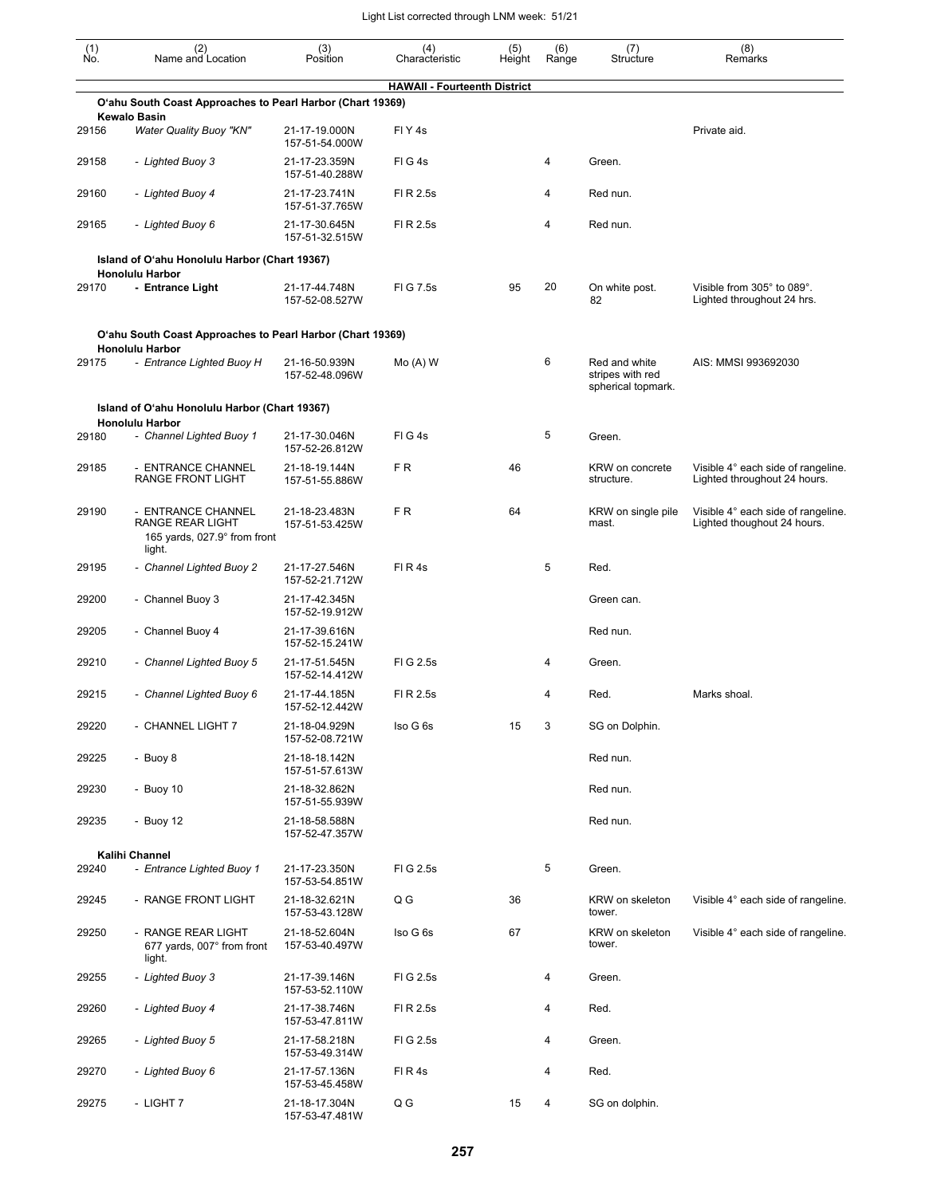| $\begin{smallmatrix} (1) \\ \mathsf{No} \end{smallmatrix}$ | (2)<br>Name and Location                                                         | (3)<br>Position                 | (4)<br>Characteristic               | (5)<br>Height | (6)<br>Range | (7)<br>Structure                                        | (8)<br>Remarks                                                     |
|------------------------------------------------------------|----------------------------------------------------------------------------------|---------------------------------|-------------------------------------|---------------|--------------|---------------------------------------------------------|--------------------------------------------------------------------|
|                                                            |                                                                                  |                                 | <b>HAWAII - Fourteenth District</b> |               |              |                                                         |                                                                    |
|                                                            | O'ahu South Coast Approaches to Pearl Harbor (Chart 19369)                       |                                 |                                     |               |              |                                                         |                                                                    |
| 29156                                                      | <b>Kewalo Basin</b><br><b>Water Quality Buoy "KN"</b>                            | 21-17-19.000N<br>157-51-54.000W | FIY <sub>4s</sub>                   |               |              |                                                         | Private aid.                                                       |
| 29158                                                      | - Lighted Buoy 3                                                                 | 21-17-23.359N<br>157-51-40.288W | FIG4s                               |               | 4            | Green.                                                  |                                                                    |
| 29160                                                      | - Lighted Buoy 4                                                                 | 21-17-23.741N<br>157-51-37.765W | FI R 2.5s                           |               | 4            | Red nun.                                                |                                                                    |
| 29165                                                      | - Lighted Buoy 6                                                                 | 21-17-30.645N<br>157-51-32.515W | FI R 2.5s                           |               | 4            | Red nun.                                                |                                                                    |
|                                                            | Island of O'ahu Honolulu Harbor (Chart 19367)<br><b>Honolulu Harbor</b>          |                                 |                                     |               |              |                                                         |                                                                    |
| 29170                                                      | - Entrance Light                                                                 | 21-17-44.748N<br>157-52-08.527W | FIG 7.5s                            | 95            | 20           | On white post.<br>82                                    | Visible from 305° to 089°.<br>Lighted throughout 24 hrs.           |
|                                                            | O'ahu South Coast Approaches to Pearl Harbor (Chart 19369)                       |                                 |                                     |               |              |                                                         |                                                                    |
| 29175                                                      | <b>Honolulu Harbor</b><br>- Entrance Lighted Buoy H                              | 21-16-50.939N<br>157-52-48.096W | $Mo(A)$ W                           |               | 6            | Red and white<br>stripes with red<br>spherical topmark. | AIS: MMSI 993692030                                                |
|                                                            | Island of O'ahu Honolulu Harbor (Chart 19367)                                    |                                 |                                     |               |              |                                                         |                                                                    |
| 29180                                                      | <b>Honolulu Harbor</b><br>- Channel Lighted Buoy 1                               | 21-17-30.046N<br>157-52-26.812W | FIG4s                               |               | 5            | Green.                                                  |                                                                    |
| 29185                                                      | - ENTRANCE CHANNEL<br>RANGE FRONT LIGHT                                          | 21-18-19.144N<br>157-51-55.886W | F <sub>R</sub>                      | 46            |              | KRW on concrete<br>structure.                           | Visible 4° each side of rangeline.<br>Lighted throughout 24 hours. |
| 29190                                                      | - ENTRANCE CHANNEL<br>RANGE REAR LIGHT<br>165 yards, 027.9° from front<br>light. | 21-18-23.483N<br>157-51-53.425W | FR.                                 | 64            |              | KRW on single pile<br>mast.                             | Visible 4° each side of rangeline.<br>Lighted thoughout 24 hours.  |
| 29195                                                      | - Channel Lighted Buoy 2                                                         | 21-17-27.546N<br>157-52-21.712W | FIR4s                               |               | 5            | Red.                                                    |                                                                    |
| 29200                                                      | - Channel Buoy 3                                                                 | 21-17-42.345N<br>157-52-19.912W |                                     |               |              | Green can.                                              |                                                                    |
| 29205                                                      | - Channel Buoy 4                                                                 | 21-17-39.616N<br>157-52-15.241W |                                     |               |              | Red nun.                                                |                                                                    |
| 29210                                                      | - Channel Lighted Buoy 5                                                         | 21-17-51.545N<br>157-52-14.412W | FIG 2.5s                            |               | 4            | Green.                                                  |                                                                    |
| 29215                                                      | - Channel Lighted Buoy 6                                                         | 21-17-44.185N<br>157-52-12.442W | FI R 2.5s                           |               | 4            | Red.                                                    | Marks shoal.                                                       |
| 29220                                                      | - CHANNEL LIGHT 7                                                                | 21-18-04.929N<br>157-52-08.721W | Iso G 6s                            | 15            | 3            | SG on Dolphin.                                          |                                                                    |
| 29225                                                      | - Buoy 8                                                                         | 21-18-18.142N<br>157-51-57.613W |                                     |               |              | Red nun.                                                |                                                                    |
| 29230                                                      | - Buoy 10                                                                        | 21-18-32.862N<br>157-51-55.939W |                                     |               |              | Red nun.                                                |                                                                    |
| 29235                                                      | - Buoy 12                                                                        | 21-18-58.588N<br>157-52-47.357W |                                     |               |              | Red nun.                                                |                                                                    |
| 29240                                                      | Kalihi Channel<br>- Entrance Lighted Buoy 1                                      | 21-17-23.350N                   | FIG 2.5s                            |               | 5            | Green.                                                  |                                                                    |
| 29245                                                      | - RANGE FRONT LIGHT                                                              | 157-53-54.851W<br>21-18-32.621N | Q G                                 | 36            |              | KRW on skeleton                                         | Visible 4° each side of rangeline.                                 |
|                                                            |                                                                                  | 157-53-43.128W                  |                                     |               |              | tower.                                                  |                                                                    |
| 29250                                                      | - RANGE REAR LIGHT<br>677 yards, 007° from front<br>light.                       | 21-18-52.604N<br>157-53-40.497W | Iso G 6s                            | 67            |              | KRW on skeleton<br>tower.                               | Visible 4° each side of rangeline.                                 |
| 29255                                                      | - Lighted Buoy 3                                                                 | 21-17-39.146N<br>157-53-52.110W | FIG 2.5s                            |               | 4            | Green.                                                  |                                                                    |
| 29260                                                      | - Lighted Buoy 4                                                                 | 21-17-38.746N<br>157-53-47.811W | FI R 2.5s                           |               | 4            | Red.                                                    |                                                                    |
| 29265                                                      | - Lighted Buoy 5                                                                 | 21-17-58.218N<br>157-53-49.314W | FIG 2.5s                            |               | 4            | Green.                                                  |                                                                    |
| 29270                                                      | - Lighted Buoy 6                                                                 | 21-17-57.136N<br>157-53-45.458W | FIR4s                               |               | 4            | Red.                                                    |                                                                    |
| 29275                                                      | - LIGHT 7                                                                        | 21-18-17.304N<br>157-53-47.481W | Q G                                 | 15            | 4            | SG on dolphin.                                          |                                                                    |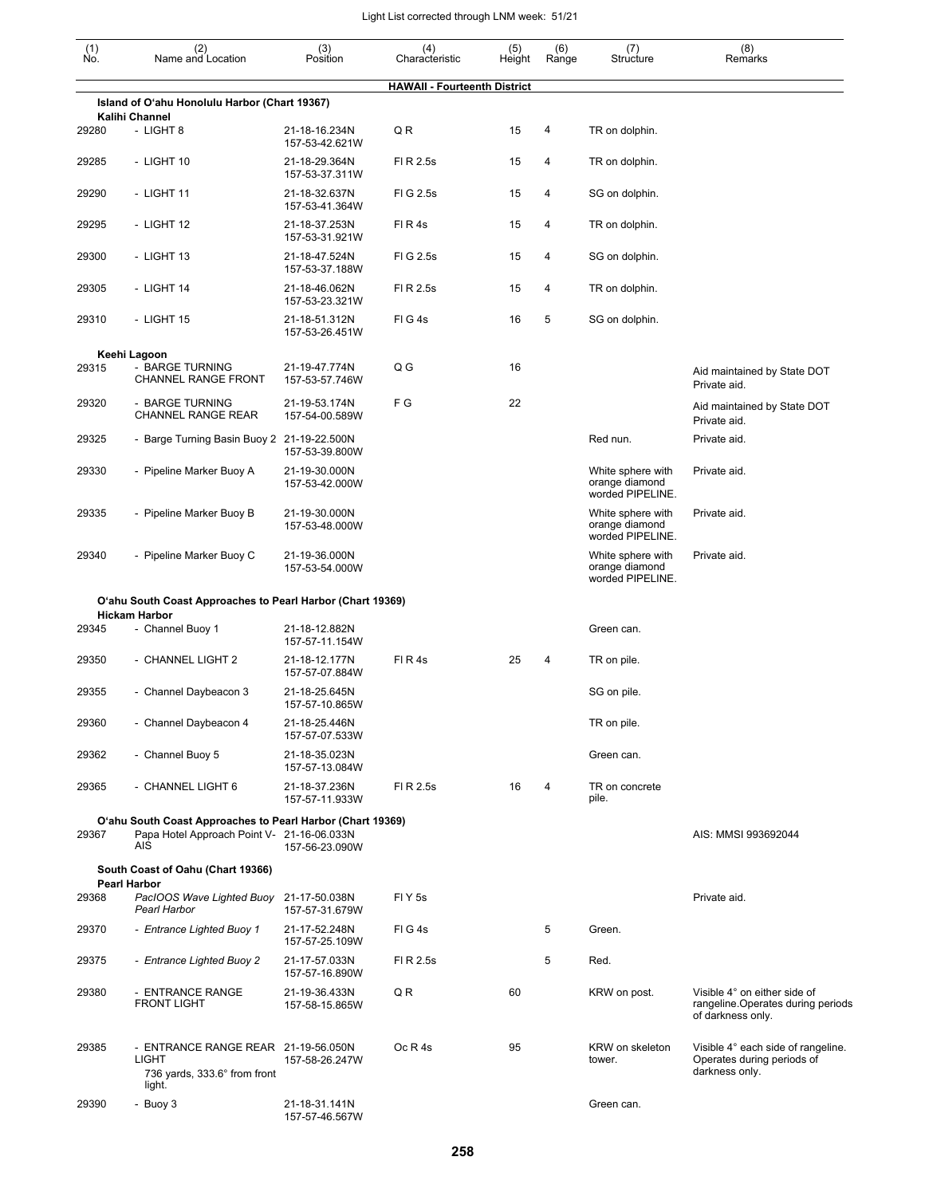| (1)<br>No. | (2)<br>Name and Location                                                                                        | (3)<br>Position                 | (4)<br>Characteristic               | (5)    | (6)<br>Range | (7)<br>Structure                                        | (8)<br>Remarks                                                                          |
|------------|-----------------------------------------------------------------------------------------------------------------|---------------------------------|-------------------------------------|--------|--------------|---------------------------------------------------------|-----------------------------------------------------------------------------------------|
|            |                                                                                                                 |                                 |                                     | Height |              |                                                         |                                                                                         |
|            | Island of O'ahu Honolulu Harbor (Chart 19367)                                                                   |                                 | <b>HAWAII - Fourteenth District</b> |        |              |                                                         |                                                                                         |
| 29280      | <b>Kalihi Channel</b><br>- LIGHT 8                                                                              | 21-18-16.234N<br>157-53-42.621W | QR                                  | 15     | 4            | TR on dolphin.                                          |                                                                                         |
| 29285      | - LIGHT 10                                                                                                      | 21-18-29.364N<br>157-53-37.311W | FI R 2.5s                           | 15     | 4            | TR on dolphin.                                          |                                                                                         |
| 29290      | - LIGHT 11                                                                                                      | 21-18-32.637N<br>157-53-41.364W | FIG 2.5s                            | 15     | 4            | SG on dolphin.                                          |                                                                                         |
| 29295      | - LIGHT 12                                                                                                      | 21-18-37.253N<br>157-53-31.921W | FIR4s                               | 15     | 4            | TR on dolphin.                                          |                                                                                         |
| 29300      | - LIGHT 13                                                                                                      | 21-18-47.524N<br>157-53-37.188W | FIG 2.5s                            | 15     | 4            | SG on dolphin.                                          |                                                                                         |
| 29305      | - LIGHT 14                                                                                                      | 21-18-46.062N<br>157-53-23.321W | FI R 2.5s                           | 15     | 4            | TR on dolphin.                                          |                                                                                         |
| 29310      | - LIGHT 15                                                                                                      | 21-18-51.312N<br>157-53-26.451W | FIG4s                               | 16     | 5            | SG on dolphin.                                          |                                                                                         |
|            | Keehi Lagoon                                                                                                    |                                 |                                     |        |              |                                                         |                                                                                         |
| 29315      | - BARGE TURNING<br>CHANNEL RANGE FRONT                                                                          | 21-19-47.774N<br>157-53-57.746W | Q G                                 | 16     |              |                                                         | Aid maintained by State DOT<br>Private aid.                                             |
| 29320      | - BARGE TURNING<br>CHANNEL RANGE REAR                                                                           | 21-19-53.174N<br>157-54-00.589W | F G                                 | 22     |              |                                                         | Aid maintained by State DOT<br>Private aid.                                             |
| 29325      | - Barge Turning Basin Buoy 2 21-19-22.500N                                                                      | 157-53-39.800W                  |                                     |        |              | Red nun.                                                | Private aid.                                                                            |
| 29330      | - Pipeline Marker Buoy A                                                                                        | 21-19-30.000N<br>157-53-42.000W |                                     |        |              | White sphere with<br>orange diamond<br>worded PIPELINE. | Private aid.                                                                            |
| 29335      | - Pipeline Marker Buoy B                                                                                        | 21-19-30.000N<br>157-53-48.000W |                                     |        |              | White sphere with<br>orange diamond<br>worded PIPELINE. | Private aid.                                                                            |
| 29340      | - Pipeline Marker Buoy C                                                                                        | 21-19-36.000N<br>157-53-54.000W |                                     |        |              | White sphere with<br>orange diamond<br>worded PIPELINE. | Private aid.                                                                            |
|            | O'ahu South Coast Approaches to Pearl Harbor (Chart 19369)<br><b>Hickam Harbor</b>                              |                                 |                                     |        |              |                                                         |                                                                                         |
| 29345      | - Channel Buoy 1                                                                                                | 21-18-12.882N<br>157-57-11.154W |                                     |        |              | Green can.                                              |                                                                                         |
| 29350      | - CHANNEL LIGHT 2                                                                                               | 21-18-12.177N<br>157-57-07.884W | FIR4s                               | 25     | 4            | TR on pile.                                             |                                                                                         |
| 29355      | - Channel Daybeacon 3                                                                                           | 21-18-25.645N<br>157-57-10.865W |                                     |        |              | SG on pile.                                             |                                                                                         |
| 29360      | - Channel Daybeacon 4                                                                                           | 21-18-25.446N<br>157-57-07.533W |                                     |        |              | TR on pile.                                             |                                                                                         |
| 29362      | - Channel Buoy 5                                                                                                | 21-18-35.023N<br>157-57-13.084W |                                     |        |              | Green can.                                              |                                                                                         |
| 29365      | - CHANNEL LIGHT 6                                                                                               | 21-18-37.236N<br>157-57-11.933W | FI R 2.5s                           | 16     | 4            | TR on concrete<br>pile.                                 |                                                                                         |
| 29367      | O'ahu South Coast Approaches to Pearl Harbor (Chart 19369)<br>Papa Hotel Approach Point V- 21-16-06.033N<br>AIS | 157-56-23.090W                  |                                     |        |              |                                                         | AIS: MMSI 993692044                                                                     |
|            | South Coast of Oahu (Chart 19366)                                                                               |                                 |                                     |        |              |                                                         |                                                                                         |
| 29368      | <b>Pearl Harbor</b><br>PacIOOS Wave Lighted Buoy 21-17-50.038N<br><b>Pearl Harbor</b>                           | 157-57-31.679W                  | FIY <sub>5s</sub>                   |        |              |                                                         | Private aid.                                                                            |
| 29370      | - Entrance Lighted Buoy 1                                                                                       | 21-17-52.248N<br>157-57-25.109W | FIG4s                               |        | 5            | Green.                                                  |                                                                                         |
| 29375      | - Entrance Lighted Buoy 2                                                                                       | 21-17-57.033N<br>157-57-16.890W | FI R 2.5s                           |        | 5            | Red.                                                    |                                                                                         |
| 29380      | - ENTRANCE RANGE<br><b>FRONT LIGHT</b>                                                                          | 21-19-36.433N<br>157-58-15.865W | Q R                                 | 60     |              | KRW on post.                                            | Visible 4° on either side of<br>rangeline. Operates during periods<br>of darkness only. |
| 29385      | - ENTRANCE RANGE REAR 21-19-56.050N<br><b>LIGHT</b><br>736 yards, 333.6° from front<br>light.                   | 157-58-26.247W                  | Oc R 4s                             | 95     |              | KRW on skeleton<br>tower.                               | Visible 4° each side of rangeline.<br>Operates during periods of<br>darkness only.      |
| 29390      | - Buoy 3                                                                                                        | 21-18-31.141N                   |                                     |        |              | Green can.                                              |                                                                                         |

157-57-46.567W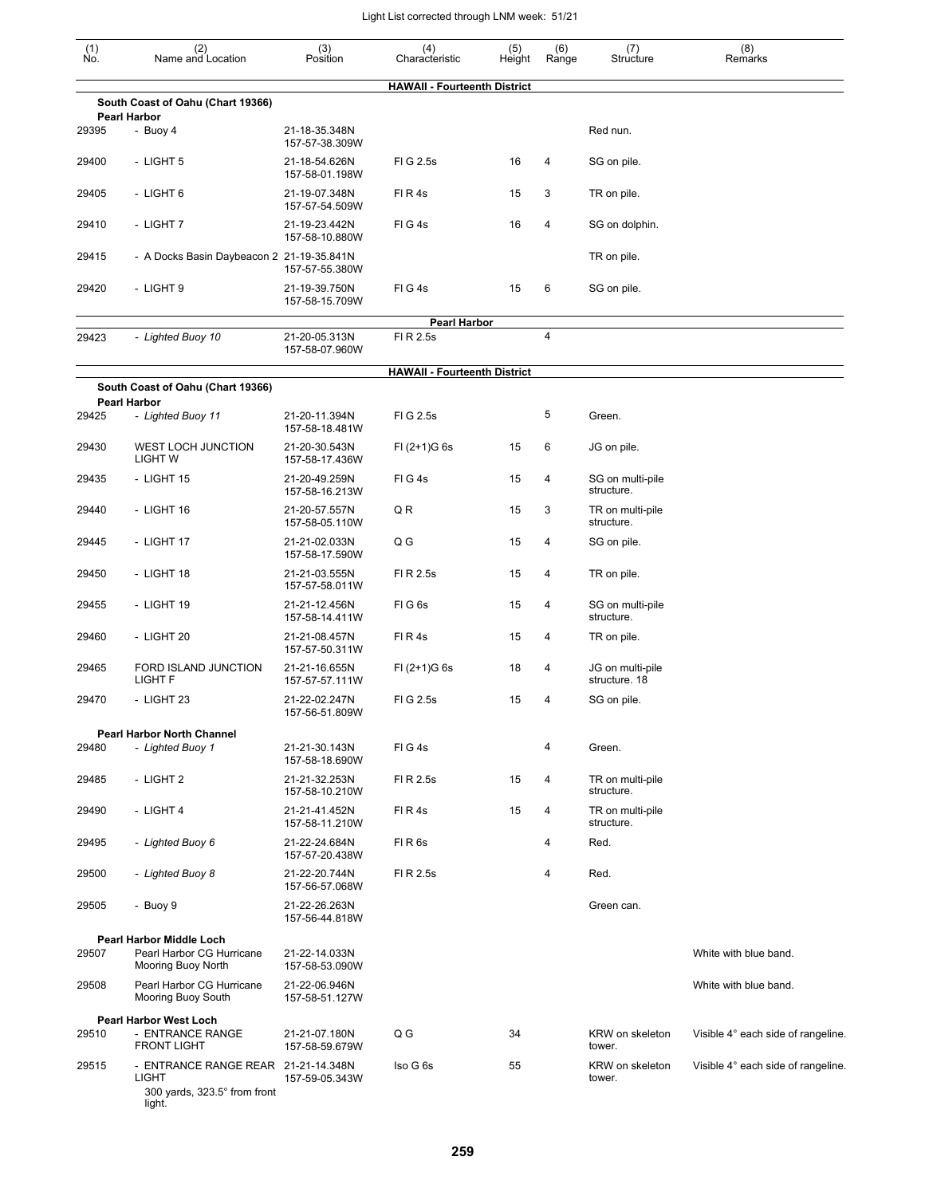| $\begin{smallmatrix} (1) \\ \mathsf{No} \end{smallmatrix}$ | (2)<br>Name and Location                                                                      | (3)<br>Position                 | (4)<br>Characteristic               | (5)<br>Height | (6)<br>Range   | (7)<br>Structure                  | (8)<br>Remarks                     |
|------------------------------------------------------------|-----------------------------------------------------------------------------------------------|---------------------------------|-------------------------------------|---------------|----------------|-----------------------------------|------------------------------------|
|                                                            |                                                                                               |                                 | <b>HAWAII - Fourteenth District</b> |               |                |                                   |                                    |
|                                                            | South Coast of Oahu (Chart 19366)<br><b>Pearl Harbor</b>                                      |                                 |                                     |               |                |                                   |                                    |
| 29395                                                      | - Buoy 4                                                                                      | 21-18-35.348N<br>157-57-38.309W |                                     |               |                | Red nun.                          |                                    |
| 29400                                                      | - LIGHT 5                                                                                     | 21-18-54.626N<br>157-58-01.198W | FIG 2.5s                            | 16            | 4              | SG on pile.                       |                                    |
| 29405                                                      | - LIGHT 6                                                                                     | 21-19-07.348N<br>157-57-54.509W | FIR4s                               | 15            | 3              | TR on pile.                       |                                    |
| 29410                                                      | - LIGHT 7                                                                                     | 21-19-23.442N<br>157-58-10.880W | FIG4s                               | 16            | 4              | SG on dolphin.                    |                                    |
| 29415                                                      | - A Docks Basin Daybeacon 2 21-19-35.841N                                                     | 157-57-55.380W                  |                                     |               |                | TR on pile.                       |                                    |
| 29420                                                      | - LIGHT 9                                                                                     | 21-19-39.750N<br>157-58-15.709W | FIG4s                               | 15            | 6              | SG on pile.                       |                                    |
|                                                            |                                                                                               |                                 | <b>Pearl Harbor</b>                 |               |                |                                   |                                    |
| 29423                                                      | - Lighted Buoy 10                                                                             | 21-20-05.313N<br>157-58-07.960W | FI R 2.5s                           |               | $\overline{4}$ |                                   |                                    |
|                                                            |                                                                                               |                                 | <b>HAWAII - Fourteenth District</b> |               |                |                                   |                                    |
|                                                            | South Coast of Oahu (Chart 19366)<br><b>Pearl Harbor</b>                                      |                                 |                                     |               |                |                                   |                                    |
| 29425                                                      | - Lighted Buoy 11                                                                             | 21-20-11.394N<br>157-58-18.481W | FIG 2.5s                            |               | 5              | Green.                            |                                    |
| 29430                                                      | <b>WEST LOCH JUNCTION</b><br><b>LIGHT W</b>                                                   | 21-20-30.543N<br>157-58-17.436W | $FI (2+1)G 6s$                      | 15            | 6              | JG on pile.                       |                                    |
| 29435                                                      | - LIGHT 15                                                                                    | 21-20-49.259N<br>157-58-16.213W | FIG4s                               | 15            | 4              | SG on multi-pile<br>structure.    |                                    |
| 29440                                                      | - LIGHT 16                                                                                    | 21-20-57.557N<br>157-58-05.110W | Q R                                 | 15            | 3              | TR on multi-pile<br>structure.    |                                    |
| 29445                                                      | - LIGHT 17                                                                                    | 21-21-02.033N<br>157-58-17.590W | Q G                                 | 15            | 4              | SG on pile.                       |                                    |
| 29450                                                      | - LIGHT 18                                                                                    | 21-21-03.555N<br>157-57-58.011W | FI R 2.5s                           | 15            | 4              | TR on pile.                       |                                    |
| 29455                                                      | - LIGHT 19                                                                                    | 21-21-12.456N<br>157-58-14.411W | FIG6s                               | 15            | 4              | SG on multi-pile<br>structure.    |                                    |
| 29460                                                      | - LIGHT 20                                                                                    | 21-21-08.457N<br>157-57-50.311W | FIR4s                               | 15            | 4              | TR on pile.                       |                                    |
| 29465                                                      | FORD ISLAND JUNCTION<br>LIGHT F                                                               | 21-21-16.655N<br>157-57-57.111W | $FI (2+1)G 6s$                      | 18            | 4              | JG on multi-pile<br>structure. 18 |                                    |
| 29470                                                      | - LIGHT 23                                                                                    | 21-22-02.247N<br>157-56-51.809W | FIG 2.5s                            | 15            | 4              | SG on pile.                       |                                    |
|                                                            | <b>Pearl Harbor North Channel</b><br>- Lighted Buoy 1                                         | 21-21-30.143N                   | FIG4s                               |               | 4              |                                   |                                    |
| 29480                                                      |                                                                                               | 157-58-18.690W                  |                                     |               |                | Green.                            |                                    |
| 29485                                                      | - LIGHT 2                                                                                     | 21-21-32.253N<br>157-58-10.210W | FI R 2.5s                           | 15            | 4              | TR on multi-pile<br>structure.    |                                    |
| 29490                                                      | - LIGHT 4                                                                                     | 21-21-41.452N<br>157-58-11.210W | FIR4s                               | 15            | 4              | TR on multi-pile<br>structure.    |                                    |
| 29495                                                      | - Lighted Buoy 6                                                                              | 21-22-24.684N<br>157-57-20.438W | FIR <sub>6s</sub>                   |               | $\overline{4}$ | Red.                              |                                    |
| 29500                                                      | - Lighted Buoy 8                                                                              | 21-22-20.744N<br>157-56-57.068W | FI R 2.5s                           |               | $\overline{4}$ | Red.                              |                                    |
| 29505                                                      | - Buoy 9                                                                                      | 21-22-26.263N<br>157-56-44.818W |                                     |               |                | Green can.                        |                                    |
|                                                            | <b>Pearl Harbor Middle Loch</b>                                                               |                                 |                                     |               |                |                                   |                                    |
| 29507                                                      | Pearl Harbor CG Hurricane<br>Mooring Buoy North                                               | 21-22-14.033N<br>157-58-53.090W |                                     |               |                |                                   | White with blue band.              |
| 29508                                                      | Pearl Harbor CG Hurricane<br>Mooring Buoy South                                               | 21-22-06.946N<br>157-58-51.127W |                                     |               |                |                                   | White with blue band.              |
|                                                            | <b>Pearl Harbor West Loch</b>                                                                 |                                 |                                     |               |                |                                   |                                    |
| 29510                                                      | - ENTRANCE RANGE<br><b>FRONT LIGHT</b>                                                        | 21-21-07.180N<br>157-58-59.679W | Q G                                 | 34            |                | KRW on skeleton<br>tower.         | Visible 4° each side of rangeline. |
| 29515                                                      | - ENTRANCE RANGE REAR 21-21-14.348N<br><b>LIGHT</b><br>300 yards, 323.5° from front<br>light. | 157-59-05.343W                  | Iso G 6s                            | 55            |                | KRW on skeleton<br>tower.         | Visible 4° each side of rangeline. |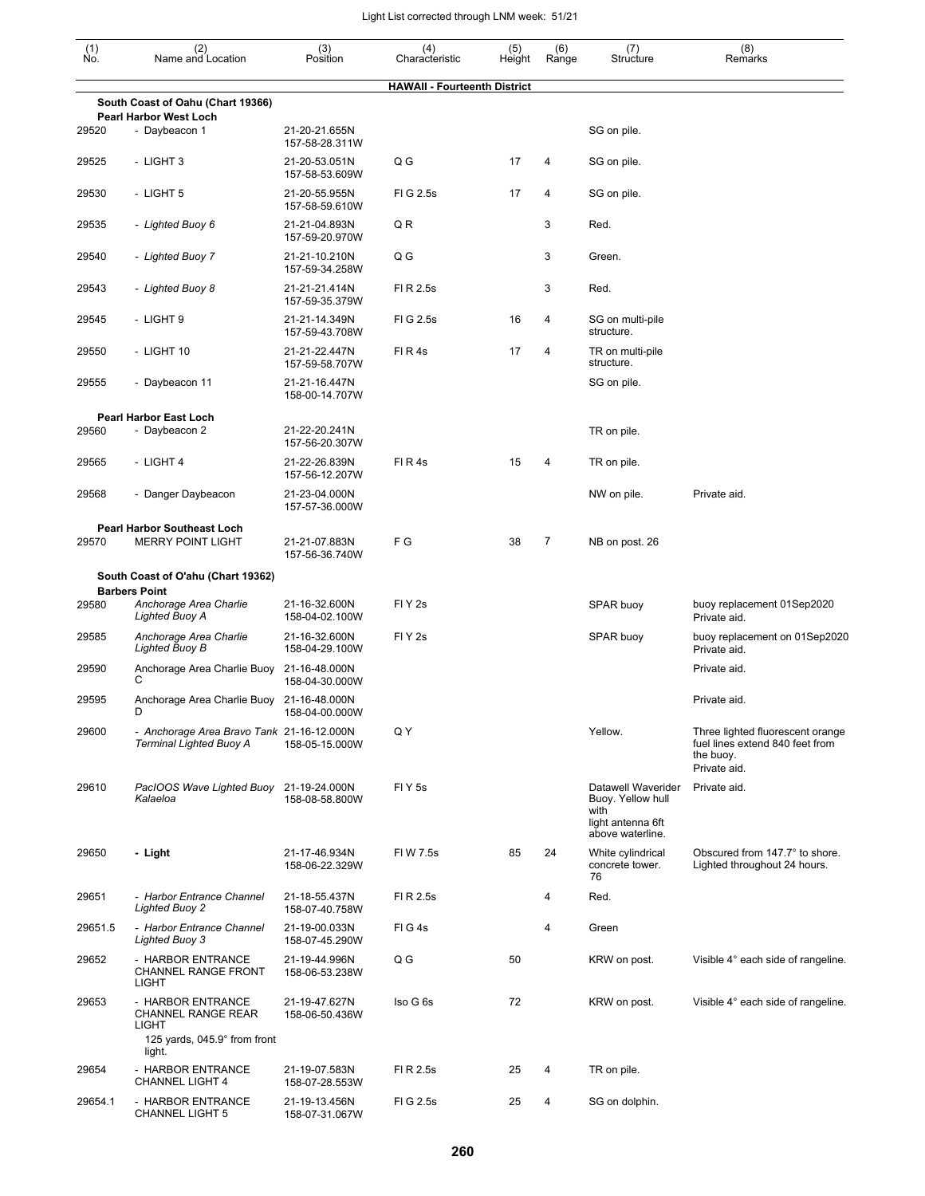|                                                   |                                                                                         |                                 |                                     | (5)    |              |                                                                      |                                                                                                  |
|---------------------------------------------------|-----------------------------------------------------------------------------------------|---------------------------------|-------------------------------------|--------|--------------|----------------------------------------------------------------------|--------------------------------------------------------------------------------------------------|
| $\begin{smallmatrix} (1) \ N0. \end{smallmatrix}$ | (2)<br>Name and Location                                                                | (3)<br>Position                 | (4)<br>Characteristic               | Height | (6)<br>Range | (7)<br>Structure                                                     | (8)<br>Remarks                                                                                   |
|                                                   |                                                                                         |                                 | <b>HAWAII - Fourteenth District</b> |        |              |                                                                      |                                                                                                  |
|                                                   | South Coast of Oahu (Chart 19366)<br><b>Pearl Harbor West Loch</b>                      |                                 |                                     |        |              |                                                                      |                                                                                                  |
| 29520                                             | - Daybeacon 1                                                                           | 21-20-21.655N<br>157-58-28.311W |                                     |        |              | SG on pile.                                                          |                                                                                                  |
| 29525                                             | - LIGHT 3                                                                               | 21-20-53.051N<br>157-58-53.609W | Q G                                 | 17     | 4            | SG on pile.                                                          |                                                                                                  |
| 29530                                             | - LIGHT 5                                                                               | 21-20-55.955N<br>157-58-59.610W | FIG 2.5s                            | 17     | 4            | SG on pile.                                                          |                                                                                                  |
| 29535                                             | - Lighted Buoy 6                                                                        | 21-21-04.893N<br>157-59-20.970W | QR                                  |        | 3            | Red.                                                                 |                                                                                                  |
| 29540                                             | - Lighted Buoy 7                                                                        | 21-21-10.210N<br>157-59-34.258W | Q G                                 |        | 3            | Green.                                                               |                                                                                                  |
| 29543                                             | - Lighted Buoy 8                                                                        | 21-21-21.414N<br>157-59-35.379W | FI R 2.5s                           |        | 3            | Red.                                                                 |                                                                                                  |
| 29545                                             | - LIGHT 9                                                                               | 21-21-14.349N<br>157-59-43.708W | FIG 2.5s                            | 16     | 4            | SG on multi-pile<br>structure.                                       |                                                                                                  |
| 29550                                             | - LIGHT 10                                                                              | 21-21-22.447N<br>157-59-58.707W | FIR4s                               | 17     | 4            | TR on multi-pile<br>structure.                                       |                                                                                                  |
| 29555                                             | - Daybeacon 11                                                                          | 21-21-16.447N<br>158-00-14.707W |                                     |        |              | SG on pile.                                                          |                                                                                                  |
|                                                   | <b>Pearl Harbor East Loch</b>                                                           |                                 |                                     |        |              |                                                                      |                                                                                                  |
| 29560                                             | - Daybeacon 2                                                                           | 21-22-20.241N<br>157-56-20.307W |                                     |        |              | TR on pile.                                                          |                                                                                                  |
| 29565                                             | - LIGHT 4                                                                               | 21-22-26.839N<br>157-56-12.207W | FIR4s                               | 15     | 4            | TR on pile.                                                          |                                                                                                  |
| 29568                                             | - Danger Daybeacon                                                                      | 21-23-04.000N<br>157-57-36.000W |                                     |        |              | NW on pile.                                                          | Private aid.                                                                                     |
| 29570                                             | <b>Pearl Harbor Southeast Loch</b><br><b>MERRY POINT LIGHT</b>                          | 21-21-07.883N<br>157-56-36.740W | F G                                 | 38     | 7            | NB on post. 26                                                       |                                                                                                  |
|                                                   | South Coast of O'ahu (Chart 19362)                                                      |                                 |                                     |        |              |                                                                      |                                                                                                  |
| 29580                                             | <b>Barbers Point</b><br>Anchorage Area Charlie<br>Lighted Buoy A                        | 21-16-32.600N<br>158-04-02.100W | FIY <sub>2s</sub>                   |        |              | SPAR buoy                                                            | buoy replacement 01Sep2020<br>Private aid.                                                       |
| 29585                                             | Anchorage Area Charlie<br>Lighted Buoy B                                                | 21-16-32.600N<br>158-04-29.100W | FIY <sub>2s</sub>                   |        |              | SPAR buoy                                                            | buoy replacement on 01Sep2020<br>Private aid.                                                    |
| 29590                                             | Anchorage Area Charlie Buoy<br>С                                                        | 21-16-48.000N<br>158-04-30.000W |                                     |        |              |                                                                      | Private aid.                                                                                     |
| 29595                                             | Anchorage Area Charlie Buoy 21-16-48.000N<br>D                                          | 158-04-00.000W                  |                                     |        |              |                                                                      | Private aid.                                                                                     |
| 29600                                             | - Anchorage Area Bravo Tank 21-16-12.000N<br><b>Terminal Lighted Buoy A</b>             | 158-05-15.000W                  | Q Y                                 |        |              | Yellow.                                                              | Three lighted fluorescent orange<br>fuel lines extend 840 feet from<br>the buoy.<br>Private aid. |
| 29610                                             | PacIOOS Wave Lighted Buoy<br>Kalaeloa                                                   | 21-19-24.000N<br>158-08-58.800W | <b>FIY5s</b>                        |        |              | Datawell Waverider<br>Buoy. Yellow hull<br>with<br>light antenna 6ft | Private aid.                                                                                     |
| 29650                                             | - Light                                                                                 | 21-17-46.934N<br>158-06-22.329W | FI W 7.5s                           | 85     | 24           | above waterline.<br>White cylindrical<br>concrete tower.<br>76       | Obscured from 147.7° to shore.<br>Lighted throughout 24 hours.                                   |
| 29651                                             | - Harbor Entrance Channel<br><b>Lighted Buoy 2</b>                                      | 21-18-55.437N<br>158-07-40.758W | FI R 2.5s                           |        | 4            | Red.                                                                 |                                                                                                  |
| 29651.5                                           | - Harbor Entrance Channel<br><b>Lighted Buoy 3</b>                                      | 21-19-00.033N<br>158-07-45.290W | FIG4s                               |        | 4            | Green                                                                |                                                                                                  |
| 29652                                             | - HARBOR ENTRANCE<br>CHANNEL RANGE FRONT<br><b>LIGHT</b>                                | 21-19-44.996N<br>158-06-53.238W | Q G                                 | 50     |              | KRW on post.                                                         | Visible 4° each side of rangeline.                                                               |
| 29653                                             | - HARBOR ENTRANCE<br>CHANNEL RANGE REAR<br>LIGHT<br>125 yards, $045.9^\circ$ from front | 21-19-47.627N<br>158-06-50.436W | Iso G 6s                            | 72     |              | KRW on post.                                                         | Visible 4° each side of rangeline.                                                               |
| 29654                                             | light.<br>- HARBOR ENTRANCE                                                             | 21-19-07.583N                   | FI R 2.5s                           | 25     | 4            | TR on pile.                                                          |                                                                                                  |
| 29654.1                                           | <b>CHANNEL LIGHT 4</b><br>- HARBOR ENTRANCE                                             | 158-07-28.553W<br>21-19-13.456N | FIG 2.5s                            | 25     | 4            | SG on dolphin.                                                       |                                                                                                  |
|                                                   | <b>CHANNEL LIGHT 5</b>                                                                  | 158-07-31.067W                  |                                     |        |              |                                                                      |                                                                                                  |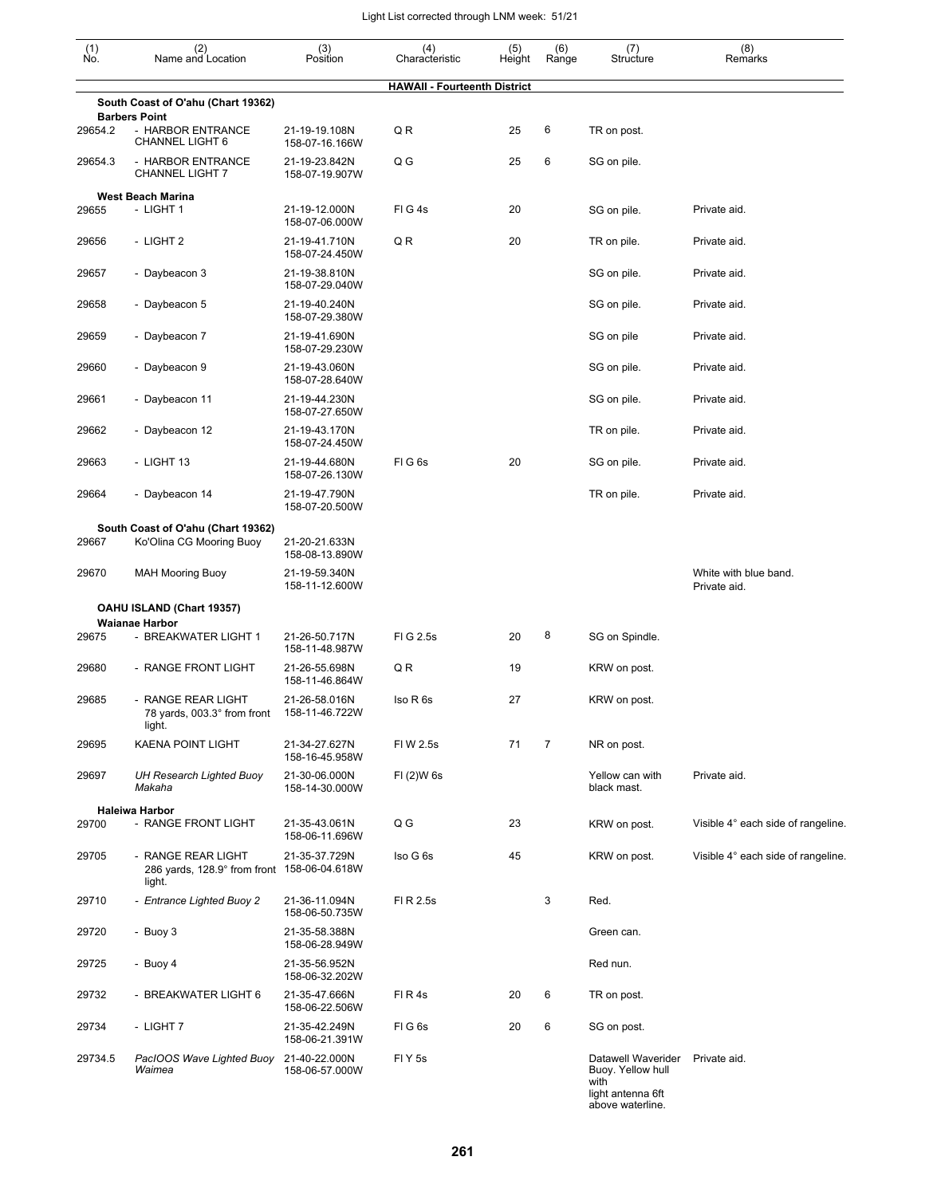| $\begin{smallmatrix} (1) \\ \mathsf{No} \end{smallmatrix}$ | (2)<br>Name and Location                                     | (3)<br>Position                 | (4)<br>Characteristic               | (5)<br>Height | (6)<br>Range | (7)<br>Structure                                                                         | (8)<br>Remarks                        |
|------------------------------------------------------------|--------------------------------------------------------------|---------------------------------|-------------------------------------|---------------|--------------|------------------------------------------------------------------------------------------|---------------------------------------|
|                                                            |                                                              |                                 | <b>HAWAII - Fourteenth District</b> |               |              |                                                                                          |                                       |
|                                                            | South Coast of O'ahu (Chart 19362)<br><b>Barbers Point</b>   |                                 |                                     |               |              |                                                                                          |                                       |
| 29654.2                                                    | - HARBOR ENTRANCE<br><b>CHANNEL LIGHT 6</b>                  | 21-19-19.108N<br>158-07-16.166W | Q R                                 | 25            | 6            | TR on post.                                                                              |                                       |
| 29654.3                                                    | - HARBOR ENTRANCE<br><b>CHANNEL LIGHT 7</b>                  | 21-19-23.842N<br>158-07-19.907W | Q G                                 | 25            | 6            | SG on pile.                                                                              |                                       |
|                                                            | <b>West Beach Marina</b>                                     |                                 |                                     |               |              |                                                                                          |                                       |
| 29655                                                      | - LIGHT 1                                                    | 21-19-12.000N<br>158-07-06.000W | FIG4s                               | 20            |              | SG on pile.                                                                              | Private aid.                          |
| 29656                                                      | - LIGHT 2                                                    | 21-19-41.710N<br>158-07-24.450W | Q R                                 | 20            |              | TR on pile.                                                                              | Private aid.                          |
| 29657                                                      | - Daybeacon 3                                                | 21-19-38.810N<br>158-07-29.040W |                                     |               |              | SG on pile.                                                                              | Private aid.                          |
| 29658                                                      | - Daybeacon 5                                                | 21-19-40.240N<br>158-07-29.380W |                                     |               |              | SG on pile.                                                                              | Private aid.                          |
| 29659                                                      | - Daybeacon 7                                                | 21-19-41.690N<br>158-07-29.230W |                                     |               |              | SG on pile                                                                               | Private aid.                          |
| 29660                                                      | - Daybeacon 9                                                | 21-19-43.060N<br>158-07-28.640W |                                     |               |              | SG on pile.                                                                              | Private aid.                          |
| 29661                                                      | - Daybeacon 11                                               | 21-19-44.230N<br>158-07-27.650W |                                     |               |              | SG on pile.                                                                              | Private aid.                          |
| 29662                                                      | - Daybeacon 12                                               | 21-19-43.170N<br>158-07-24.450W |                                     |               |              | TR on pile.                                                                              | Private aid.                          |
| 29663                                                      | - LIGHT 13                                                   | 21-19-44.680N<br>158-07-26.130W | FIG6s                               | 20            |              | SG on pile.                                                                              | Private aid.                          |
| 29664                                                      | - Daybeacon 14                                               | 21-19-47.790N<br>158-07-20.500W |                                     |               |              | TR on pile.                                                                              | Private aid.                          |
|                                                            | South Coast of O'ahu (Chart 19362)                           |                                 |                                     |               |              |                                                                                          |                                       |
| 29667                                                      | Ko'Olina CG Mooring Buoy                                     | 21-20-21.633N<br>158-08-13.890W |                                     |               |              |                                                                                          |                                       |
| 29670                                                      | <b>MAH Mooring Buoy</b>                                      | 21-19-59.340N<br>158-11-12.600W |                                     |               |              |                                                                                          | White with blue band.<br>Private aid. |
|                                                            | OAHU ISLAND (Chart 19357)                                    |                                 |                                     |               |              |                                                                                          |                                       |
| 29675                                                      | <b>Waianae Harbor</b><br>- BREAKWATER LIGHT 1                | 21-26-50.717N                   | FIG 2.5s                            | 20            | 8            | SG on Spindle.                                                                           |                                       |
|                                                            |                                                              | 158-11-48.987W                  |                                     |               |              |                                                                                          |                                       |
| 29680                                                      | - RANGE FRONT LIGHT                                          | 21-26-55.698N<br>158-11-46.864W | Q R                                 | 19            |              | KRW on post.                                                                             |                                       |
| 29685                                                      | - RANGE REAR LIGHT<br>78 yards, 003.3° from front<br>light.  | 21-26-58.016N<br>158-11-46.722W | Iso R 6s                            | 27            |              | KRW on post.                                                                             |                                       |
| 29695                                                      | <b>KAENA POINT LIGHT</b>                                     | 21-34-27.627N<br>158-16-45.958W | FIW 2.5s                            | 71            | 7            | NR on post.                                                                              |                                       |
| 29697                                                      | UH Research Lighted Buoy<br>Makaha                           | 21-30-06.000N<br>158-14-30.000W | FI (2)W 6s                          |               |              | Yellow can with<br>black mast.                                                           | Private aid.                          |
|                                                            | <b>Haleiwa Harbor</b>                                        |                                 |                                     |               |              |                                                                                          |                                       |
| 29700                                                      | - RANGE FRONT LIGHT                                          | 21-35-43.061N<br>158-06-11.696W | Q G                                 | 23            |              | KRW on post.                                                                             | Visible 4° each side of rangeline.    |
| 29705                                                      | - RANGE REAR LIGHT<br>286 yards, 128.9° from front<br>light. | 21-35-37.729N<br>158-06-04.618W | Iso G 6s                            | 45            |              | KRW on post.                                                                             | Visible 4° each side of rangeline.    |
| 29710                                                      | - Entrance Lighted Buoy 2                                    | 21-36-11.094N<br>158-06-50.735W | FI R 2.5s                           |               | 3            | Red.                                                                                     |                                       |
| 29720                                                      | - Buoy 3                                                     | 21-35-58.388N<br>158-06-28.949W |                                     |               |              | Green can.                                                                               |                                       |
| 29725                                                      | - Buoy 4                                                     | 21-35-56.952N<br>158-06-32.202W |                                     |               |              | Red nun.                                                                                 |                                       |
| 29732                                                      | - BREAKWATER LIGHT 6                                         | 21-35-47.666N<br>158-06-22.506W | FIR4s                               | 20            | 6            | TR on post.                                                                              |                                       |
| 29734                                                      | - LIGHT 7                                                    | 21-35-42.249N<br>158-06-21.391W | FIG6s                               | 20            | 6            | SG on post.                                                                              |                                       |
| 29734.5                                                    | PacIOOS Wave Lighted Buoy<br>Waimea                          | 21-40-22.000N<br>158-06-57.000W | FI Y 5s                             |               |              | Datawell Waverider<br>Buoy. Yellow hull<br>with<br>light antenna 6ft<br>above waterline. | Private aid.                          |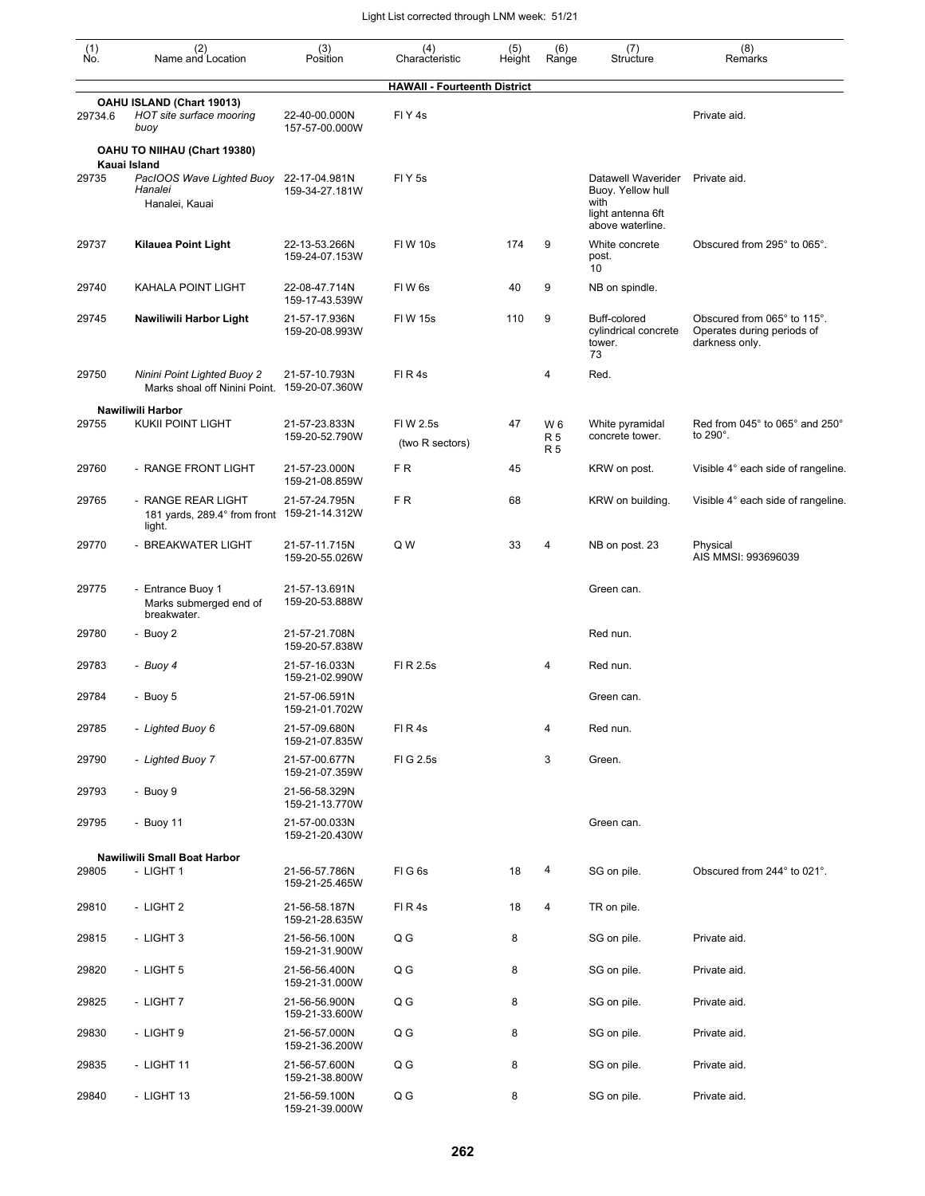| (1)<br>Ńó. | (2)<br>Name and Location                                                    | (3)<br>Position                 | (4)<br>Characteristic               | (5)<br>Height | (6)<br>Range                  | (7)<br>Structure                                                     | (8)<br>Remarks                                                              |
|------------|-----------------------------------------------------------------------------|---------------------------------|-------------------------------------|---------------|-------------------------------|----------------------------------------------------------------------|-----------------------------------------------------------------------------|
|            |                                                                             |                                 | <b>HAWAII - Fourteenth District</b> |               |                               |                                                                      |                                                                             |
| 29734.6    | OAHU ISLAND (Chart 19013)<br>HOT site surface mooring<br>buoy               | 22-40-00.000N<br>157-57-00.000W | FIY <sub>4s</sub>                   |               |                               |                                                                      | Private aid.                                                                |
|            | OAHU TO NIIHAU (Chart 19380)                                                |                                 |                                     |               |                               |                                                                      |                                                                             |
| 29735      | Kauai Island<br>PacIOOS Wave Lighted Buoy<br>Hanalei<br>Hanalei, Kauai      | 22-17-04.981N<br>159-34-27.181W | FI Y 5s                             |               |                               | Datawell Waverider<br>Buoy. Yellow hull<br>with<br>light antenna 6ft | Private aid.                                                                |
| 29737      | <b>Kilauea Point Light</b>                                                  | 22-13-53.266N<br>159-24-07.153W | <b>FIW 10s</b>                      | 174           | 9                             | above waterline.<br>White concrete<br>post.                          | Obscured from 295° to 065°.                                                 |
| 29740      | KAHALA POINT LIGHT                                                          | 22-08-47.714N<br>159-17-43.539W | FIW <sub>6s</sub>                   | 40            | 9                             | 10<br>NB on spindle.                                                 |                                                                             |
| 29745      | Nawiliwili Harbor Light                                                     | 21-57-17.936N<br>159-20-08.993W | <b>FIW 15s</b>                      | 110           | 9                             | Buff-colored<br>cylindrical concrete<br>tower.<br>73                 | Obscured from 065° to 115°.<br>Operates during periods of<br>darkness only. |
| 29750      | Ninini Point Lighted Buoy 2<br>Marks shoal off Ninini Point.                | 21-57-10.793N<br>159-20-07.360W | FIR4s                               |               | 4                             | Red.                                                                 |                                                                             |
|            | Nawiliwili Harbor                                                           |                                 |                                     |               |                               |                                                                      |                                                                             |
| 29755      | <b>KUKII POINT LIGHT</b>                                                    | 21-57-23.833N<br>159-20-52.790W | FIW 2.5s<br>(two R sectors)         | 47            | W 6<br><b>R5</b><br><b>R5</b> | White pyramidal<br>concrete tower.                                   | Red from 045° to 065° and 250°<br>to 290°.                                  |
| 29760      | - RANGE FRONT LIGHT                                                         | 21-57-23.000N<br>159-21-08.859W | FR.                                 | 45            |                               | KRW on post.                                                         | Visible 4° each side of rangeline.                                          |
| 29765      | - RANGE REAR LIGHT<br>181 yards, 289.4° from front 159-21-14.312W<br>light. | 21-57-24.795N                   | F <sub>R</sub>                      | 68            |                               | KRW on building.                                                     | Visible 4° each side of rangeline.                                          |
| 29770      | - BREAKWATER LIGHT                                                          | 21-57-11.715N<br>159-20-55.026W | Q W                                 | 33            | 4                             | NB on post. 23                                                       | Physical<br>AIS MMSI: 993696039                                             |
| 29775      | - Entrance Buoy 1<br>Marks submerged end of<br>breakwater.                  | 21-57-13.691N<br>159-20-53.888W |                                     |               |                               | Green can.                                                           |                                                                             |
| 29780      | - Buoy 2                                                                    | 21-57-21.708N<br>159-20-57.838W |                                     |               |                               | Red nun.                                                             |                                                                             |
| 29783      | - Buoy 4                                                                    | 21-57-16.033N<br>159-21-02.990W | FI R 2.5s                           |               | 4                             | Red nun.                                                             |                                                                             |
| 29784      | - Buoy 5                                                                    | 21-57-06.591N<br>159-21-01.702W |                                     |               |                               | Green can.                                                           |                                                                             |
| 29785      | - Lighted Buoy 6                                                            | 21-57-09.680N<br>159-21-07.835W | FIR4s                               |               | 4                             | Red nun.                                                             |                                                                             |
| 29790      | - Lighted Buoy 7                                                            | 21-57-00.677N<br>159-21-07.359W | FIG 2.5s                            |               | 3                             | Green.                                                               |                                                                             |
| 29793      | - Buoy 9                                                                    | 21-56-58.329N<br>159-21-13.770W |                                     |               |                               |                                                                      |                                                                             |
| 29795      | - Buoy 11                                                                   | 21-57-00.033N<br>159-21-20.430W |                                     |               |                               | Green can.                                                           |                                                                             |
|            | Nawiliwili Small Boat Harbor                                                |                                 |                                     |               |                               |                                                                      |                                                                             |
| 29805      | - LIGHT 1                                                                   | 21-56-57.786N<br>159-21-25.465W | FIG6s                               | 18            | 4                             | SG on pile.                                                          | Obscured from 244° to 021°.                                                 |
| 29810      | - LIGHT 2                                                                   | 21-56-58.187N<br>159-21-28.635W | FIR4s                               | 18            | 4                             | TR on pile.                                                          |                                                                             |
| 29815      | - LIGHT 3                                                                   | 21-56-56.100N<br>159-21-31.900W | Q G                                 | 8             |                               | SG on pile.                                                          | Private aid.                                                                |
| 29820      | - LIGHT 5                                                                   | 21-56-56.400N<br>159-21-31.000W | Q G                                 | 8             |                               | SG on pile.                                                          | Private aid.                                                                |
| 29825      | - LIGHT 7                                                                   | 21-56-56.900N<br>159-21-33.600W | Q G                                 | 8             |                               | SG on pile.                                                          | Private aid.                                                                |
| 29830      | - LIGHT 9                                                                   | 21-56-57.000N<br>159-21-36.200W | Q G                                 | 8             |                               | SG on pile.                                                          | Private aid.                                                                |
| 29835      | - LIGHT 11                                                                  | 21-56-57.600N<br>159-21-38.800W | Q G                                 | 8             |                               | SG on pile.                                                          | Private aid.                                                                |
| 29840      | - LIGHT 13                                                                  | 21-56-59.100N<br>159-21-39.000W | Q G                                 | 8             |                               | SG on pile.                                                          | Private aid.                                                                |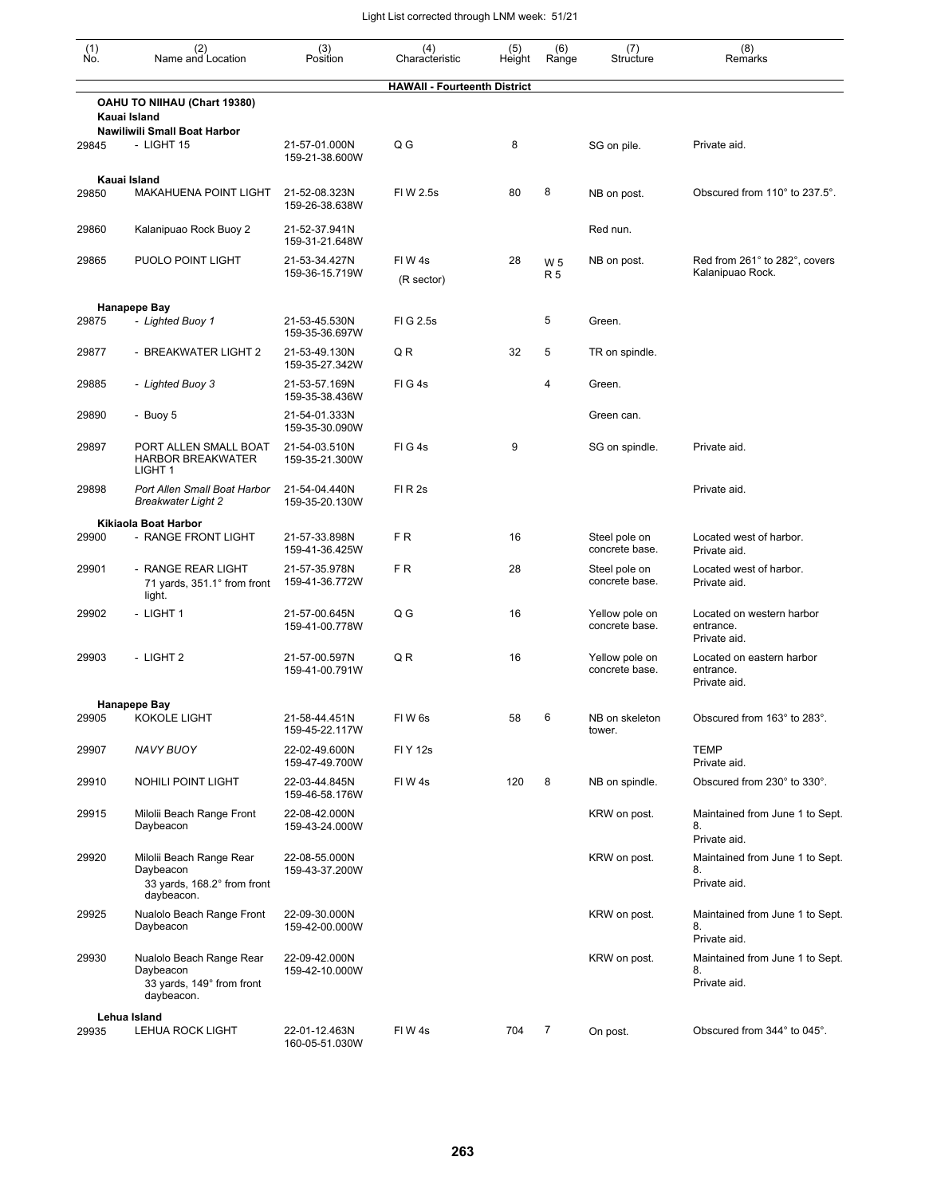| $\begin{smallmatrix} (1) \\ \mathsf{No} \end{smallmatrix}$ | (2)<br>Name and Location                                                           | (3)<br>Position                 | (4)<br>Characteristic               | (5)<br>Height | (6)<br>Range                | (7)<br>Structure                 | (8)<br>Remarks                                         |
|------------------------------------------------------------|------------------------------------------------------------------------------------|---------------------------------|-------------------------------------|---------------|-----------------------------|----------------------------------|--------------------------------------------------------|
|                                                            |                                                                                    |                                 | <b>HAWAII - Fourteenth District</b> |               |                             |                                  |                                                        |
|                                                            | OAHU TO NIIHAU (Chart 19380)<br>Kauai Island                                       |                                 |                                     |               |                             |                                  |                                                        |
| 29845                                                      | Nawiliwili Small Boat Harbor<br>- LIGHT 15                                         | 21-57-01.000N<br>159-21-38.600W | Q G                                 | 8             |                             | SG on pile.                      | Private aid.                                           |
| 29850                                                      | Kauai Island<br><b>MAKAHUENA POINT LIGHT</b>                                       | 21-52-08.323N<br>159-26-38.638W | FIW 2.5s                            | 80            | 8                           | NB on post.                      | Obscured from 110° to 237.5°.                          |
| 29860                                                      | Kalanipuao Rock Buoy 2                                                             | 21-52-37.941N<br>159-31-21.648W |                                     |               |                             | Red nun.                         |                                                        |
| 29865                                                      | PUOLO POINT LIGHT                                                                  | 21-53-34.427N<br>159-36-15.719W | FIW4s<br>(R sector)                 | 28            | W <sub>5</sub><br><b>R5</b> | NB on post.                      | Red from 261° to 282°, covers<br>Kalanipuao Rock.      |
|                                                            |                                                                                    |                                 |                                     |               |                             |                                  |                                                        |
| 29875                                                      | Hanapepe Bay<br>- Lighted Buoy 1                                                   | 21-53-45.530N<br>159-35-36.697W | FIG 2.5s                            |               | 5                           | Green.                           |                                                        |
| 29877                                                      | - BREAKWATER LIGHT 2                                                               | 21-53-49.130N<br>159-35-27.342W | QR                                  | 32            | 5                           | TR on spindle.                   |                                                        |
| 29885                                                      | - Lighted Buoy 3                                                                   | 21-53-57.169N<br>159-35-38.436W | $FI$ G 4s                           |               | 4                           | Green.                           |                                                        |
| 29890                                                      | - Buoy 5                                                                           | 21-54-01.333N<br>159-35-30.090W |                                     |               |                             | Green can.                       |                                                        |
| 29897                                                      | PORT ALLEN SMALL BOAT<br><b>HARBOR BREAKWATER</b><br>LIGHT <sub>1</sub>            | 21-54-03.510N<br>159-35-21.300W | FIG4s                               | 9             |                             | SG on spindle.                   | Private aid.                                           |
| 29898                                                      | Port Allen Small Boat Harbor<br>Breakwater Light 2                                 | 21-54-04.440N<br>159-35-20.130W | FIR <sub>2s</sub>                   |               |                             |                                  | Private aid.                                           |
|                                                            | Kikiaola Boat Harbor                                                               |                                 |                                     |               |                             |                                  |                                                        |
| 29900                                                      | - RANGE FRONT LIGHT                                                                | 21-57-33.898N<br>159-41-36.425W | FR.                                 | 16            |                             | Steel pole on<br>concrete base.  | Located west of harbor.<br>Private aid.                |
| 29901                                                      | - RANGE REAR LIGHT<br>71 yards, 351.1° from front<br>light.                        | 21-57-35.978N<br>159-41-36.772W | FR.                                 | 28            |                             | Steel pole on<br>concrete base.  | Located west of harbor.<br>Private aid.                |
| 29902                                                      | - LIGHT 1                                                                          | 21-57-00.645N<br>159-41-00.778W | Q G                                 | 16            |                             | Yellow pole on<br>concrete base. | Located on western harbor<br>entrance.<br>Private aid. |
| 29903                                                      | - LIGHT 2                                                                          | 21-57-00.597N<br>159-41-00.791W | Q R                                 | 16            |                             | Yellow pole on<br>concrete base. | Located on eastern harbor<br>entrance.<br>Private aid. |
|                                                            | <b>Hanapepe Bay</b>                                                                |                                 |                                     |               |                             |                                  |                                                        |
| 29905                                                      | KOKOLE LIGHT                                                                       | 21-58-44.451N<br>159-45-22.117W | FIW6s                               | 58            | 6                           | NB on skeleton<br>tower.         | Obscured from 163° to 283°.                            |
| 29907                                                      | NAVY BUOY                                                                          | 22-02-49.600N<br>159-47-49.700W | <b>FIY 12s</b>                      |               |                             |                                  | TEMP<br>Private aid.                                   |
| 29910                                                      | <b>NOHILI POINT LIGHT</b>                                                          | 22-03-44.845N<br>159-46-58.176W | FIW4s                               | 120           | 8                           | NB on spindle.                   | Obscured from 230° to 330°.                            |
| 29915                                                      | Milolii Beach Range Front<br>Daybeacon                                             | 22-08-42.000N<br>159-43-24.000W |                                     |               |                             | KRW on post.                     | Maintained from June 1 to Sept.<br>8.<br>Private aid.  |
| 29920                                                      | Milolii Beach Range Rear<br>Daybeacon<br>33 yards, 168.2° from front<br>daybeacon. | 22-08-55.000N<br>159-43-37.200W |                                     |               |                             | KRW on post.                     | Maintained from June 1 to Sept.<br>8.<br>Private aid.  |
| 29925                                                      | Nualolo Beach Range Front<br>Daybeacon                                             | 22-09-30.000N<br>159-42-00.000W |                                     |               |                             | KRW on post.                     | Maintained from June 1 to Sept.<br>8.<br>Private aid.  |
| 29930                                                      | Nualolo Beach Range Rear<br>Daybeacon<br>33 yards, 149° from front<br>daybeacon.   | 22-09-42.000N<br>159-42-10.000W |                                     |               |                             | KRW on post.                     | Maintained from June 1 to Sept.<br>8.<br>Private aid.  |
|                                                            | Lehua Island                                                                       |                                 |                                     |               |                             |                                  |                                                        |
| 29935                                                      | LEHUA ROCK LIGHT                                                                   | 22-01-12.463N<br>160-05-51.030W | FIW4s                               | 704           | 7                           | On post.                         | Obscured from 344° to 045°.                            |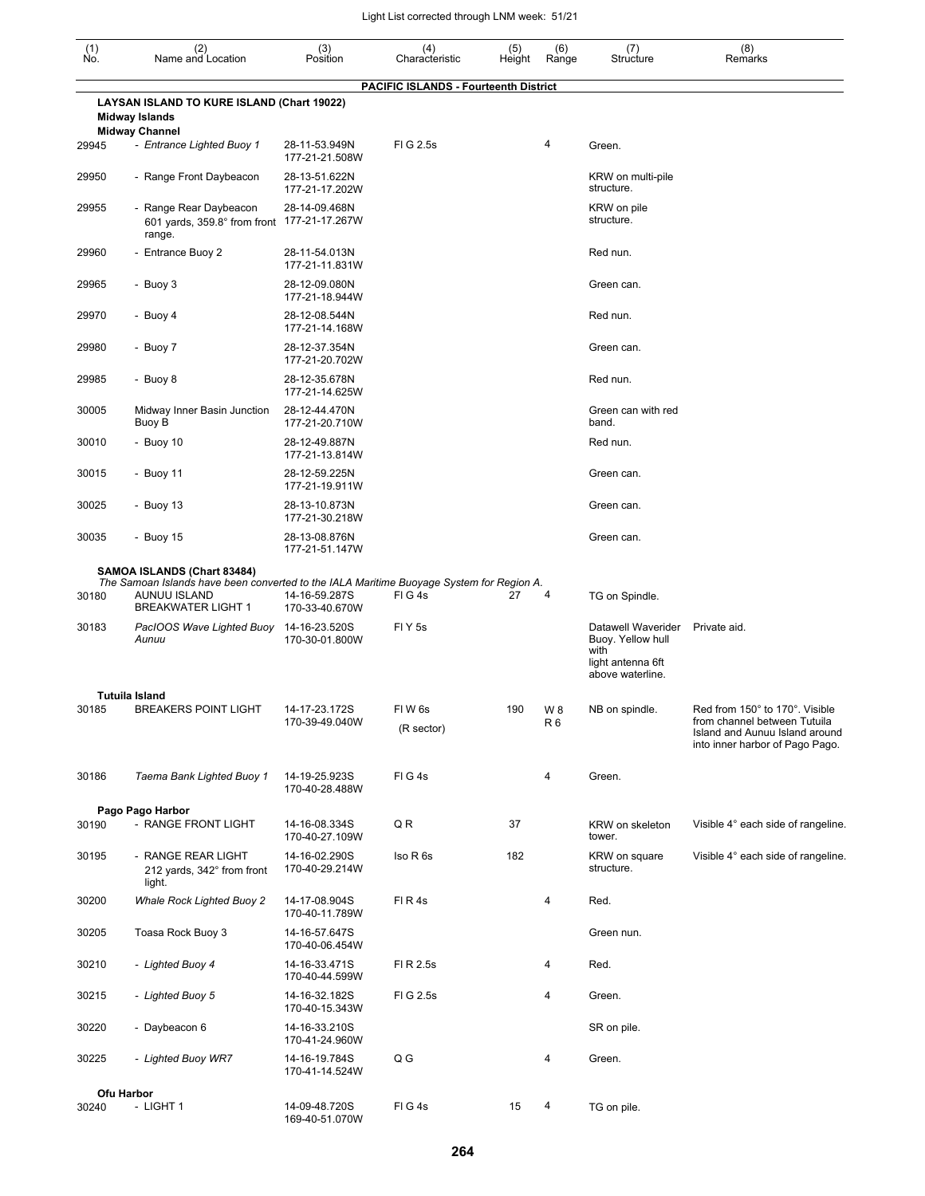| (1)<br>No. | (2)<br>Name and Location                                                                                                              | (3)<br>Position                 | (4)<br>Characteristic                        | (5)<br>Height | (6)<br>Range          | (7)<br>Structure                                                     | (8)<br>Remarks                                                                                                                      |
|------------|---------------------------------------------------------------------------------------------------------------------------------------|---------------------------------|----------------------------------------------|---------------|-----------------------|----------------------------------------------------------------------|-------------------------------------------------------------------------------------------------------------------------------------|
|            | LAYSAN ISLAND TO KURE ISLAND (Chart 19022)<br><b>Midway Islands</b>                                                                   |                                 | <b>PACIFIC ISLANDS - Fourteenth District</b> |               |                       |                                                                      |                                                                                                                                     |
|            | <b>Midway Channel</b>                                                                                                                 |                                 |                                              |               |                       |                                                                      |                                                                                                                                     |
| 29945      | - Entrance Lighted Buoy 1                                                                                                             | 28-11-53.949N<br>177-21-21.508W | FIG 2.5s                                     |               | 4                     | Green.                                                               |                                                                                                                                     |
| 29950      | - Range Front Daybeacon                                                                                                               | 28-13-51.622N<br>177-21-17.202W |                                              |               |                       | KRW on multi-pile<br>structure.                                      |                                                                                                                                     |
| 29955      | - Range Rear Daybeacon<br>601 yards, 359.8° from front 177-21-17.267W<br>range.                                                       | 28-14-09.468N                   |                                              |               |                       | KRW on pile<br>structure.                                            |                                                                                                                                     |
| 29960      | - Entrance Buoy 2                                                                                                                     | 28-11-54.013N<br>177-21-11.831W |                                              |               |                       | Red nun.                                                             |                                                                                                                                     |
| 29965      | - Buoy 3                                                                                                                              | 28-12-09.080N<br>177-21-18.944W |                                              |               |                       | Green can.                                                           |                                                                                                                                     |
| 29970      | - Buoy 4                                                                                                                              | 28-12-08.544N<br>177-21-14.168W |                                              |               |                       | Red nun.                                                             |                                                                                                                                     |
| 29980      | - Buoy 7                                                                                                                              | 28-12-37.354N<br>177-21-20.702W |                                              |               |                       | Green can.                                                           |                                                                                                                                     |
| 29985      | - Buoy 8                                                                                                                              | 28-12-35.678N<br>177-21-14.625W |                                              |               |                       | Red nun.                                                             |                                                                                                                                     |
| 30005      | Midway Inner Basin Junction<br>Buoy B                                                                                                 | 28-12-44.470N<br>177-21-20.710W |                                              |               |                       | Green can with red<br>band.                                          |                                                                                                                                     |
| 30010      | - Buoy $10$                                                                                                                           | 28-12-49.887N<br>177-21-13.814W |                                              |               |                       | Red nun.                                                             |                                                                                                                                     |
| 30015      | - Buoy 11                                                                                                                             | 28-12-59.225N<br>177-21-19.911W |                                              |               |                       | Green can.                                                           |                                                                                                                                     |
| 30025      | - Buoy 13                                                                                                                             | 28-13-10.873N<br>177-21-30.218W |                                              |               |                       | Green can.                                                           |                                                                                                                                     |
| 30035      | - Buoy 15                                                                                                                             | 28-13-08.876N<br>177-21-51.147W |                                              |               |                       | Green can.                                                           |                                                                                                                                     |
|            | SAMOA ISLANDS (Chart 83484)                                                                                                           |                                 |                                              |               |                       |                                                                      |                                                                                                                                     |
| 30180      | The Samoan Islands have been converted to the IALA Maritime Buoyage System for Region A.<br>AUNUU ISLAND<br><b>BREAKWATER LIGHT 1</b> | 14-16-59.287S<br>170-33-40.670W | FIG4s                                        | 27            | 4                     | TG on Spindle.                                                       |                                                                                                                                     |
| 30183      | PacIOOS Wave Lighted Buoy<br>Aunuu                                                                                                    | 14-16-23.520S<br>170-30-01.800W | FIY <sub>5s</sub>                            |               |                       | Datawell Waverider<br>Buoy. Yellow hull<br>with<br>light antenna 6ft | Private aid.                                                                                                                        |
|            |                                                                                                                                       |                                 |                                              |               |                       | above waterline.                                                     |                                                                                                                                     |
| 30185      | <b>Tutuila Island</b><br><b>BREAKERS POINT LIGHT</b>                                                                                  | 14-17-23.172S<br>170-39-49.040W | FIW 6s<br>(R sector)                         | 190           | W 8<br>R <sub>6</sub> | NB on spindle.                                                       | Red from 150° to 170°. Visible<br>from channel between Tutuila<br>Island and Aunuu Island around<br>into inner harbor of Pago Pago. |
| 30186      | Taema Bank Lighted Buoy 1                                                                                                             | 14-19-25.923S<br>170-40-28.488W | FIG4s                                        |               | 4                     | Green.                                                               |                                                                                                                                     |
|            | Pago Pago Harbor                                                                                                                      |                                 |                                              |               |                       |                                                                      |                                                                                                                                     |
| 30190      | - RANGE FRONT LIGHT                                                                                                                   | 14-16-08.334S<br>170-40-27.109W | QR                                           | 37            |                       | KRW on skeleton<br>tower.                                            | Visible 4° each side of rangeline.                                                                                                  |
| 30195      | - RANGE REAR LIGHT<br>212 yards, 342° from front<br>light.                                                                            | 14-16-02.290S<br>170-40-29.214W | Iso R 6s                                     | 182           |                       | KRW on square<br>structure.                                          | Visible 4° each side of rangeline.                                                                                                  |
| 30200      | Whale Rock Lighted Buoy 2                                                                                                             | 14-17-08.904S<br>170-40-11.789W | FIR4s                                        |               | 4                     | Red.                                                                 |                                                                                                                                     |
| 30205      | Toasa Rock Buoy 3                                                                                                                     | 14-16-57.647S<br>170-40-06.454W |                                              |               |                       | Green nun.                                                           |                                                                                                                                     |
| 30210      | - Lighted Buoy 4                                                                                                                      | 14-16-33.471S<br>170-40-44.599W | FI R 2.5s                                    |               | 4                     | Red.                                                                 |                                                                                                                                     |
| 30215      | - Lighted Buoy 5                                                                                                                      | 14-16-32.182S<br>170-40-15.343W | FIG 2.5s                                     |               | 4                     | Green.                                                               |                                                                                                                                     |
| 30220      | - Daybeacon 6                                                                                                                         | 14-16-33.210S<br>170-41-24.960W |                                              |               |                       | SR on pile.                                                          |                                                                                                                                     |
| 30225      | - Lighted Buoy WR7                                                                                                                    | 14-16-19.784S<br>170-41-14.524W | Q G                                          |               | 4                     | Green.                                                               |                                                                                                                                     |
|            | Ofu Harbor                                                                                                                            |                                 |                                              |               |                       |                                                                      |                                                                                                                                     |
| 30240      | - LIGHT 1                                                                                                                             | 14-09-48.720S<br>169-40-51.070W | FIG4s                                        | 15            | 4                     | TG on pile.                                                          |                                                                                                                                     |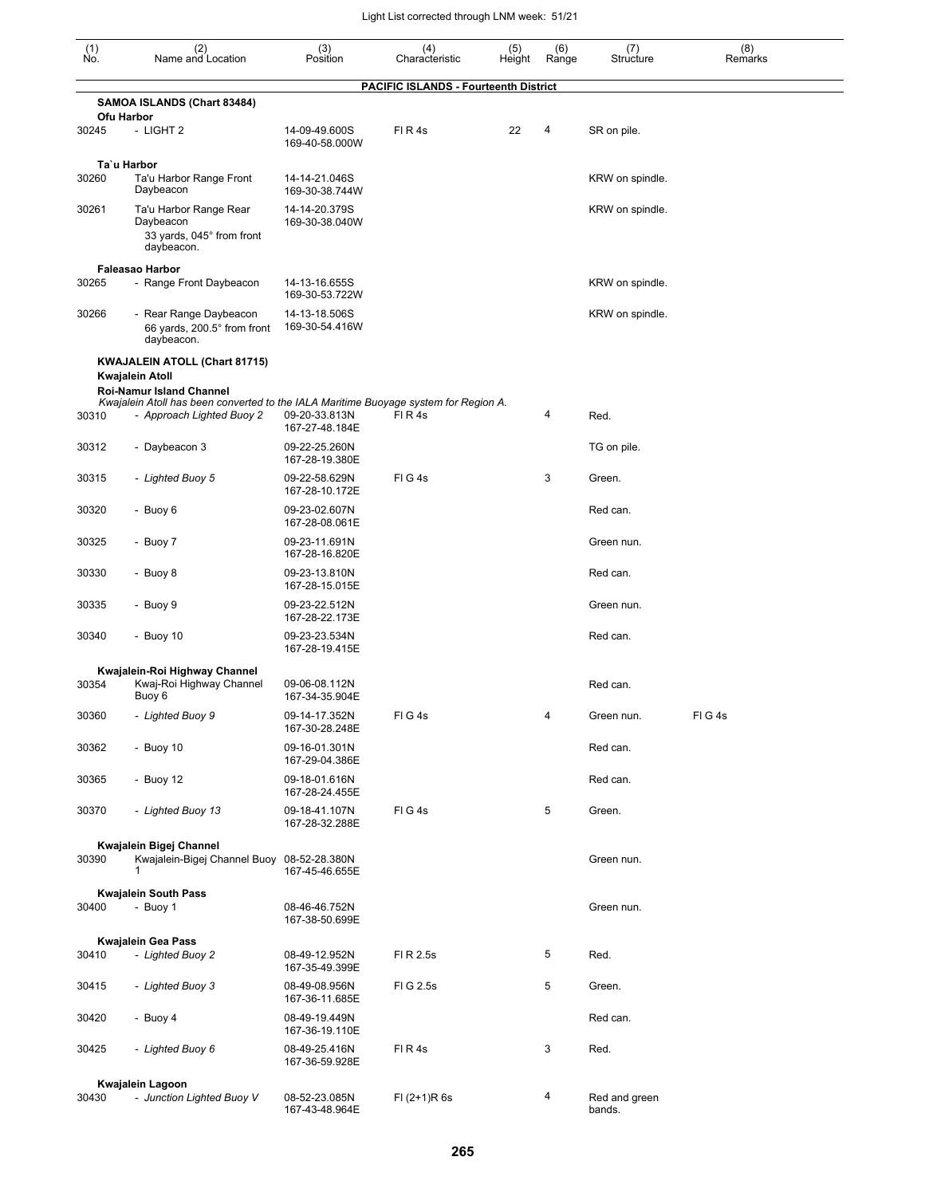| $\begin{smallmatrix} (1) \\ \mathsf{No} \end{smallmatrix}$ | (2)<br>Name and Location                                                                                                | (3)<br>Position                 | (4)<br>Characteristic                        | (5)<br>Height | (6)<br>Range | (7)<br>Structure        | (8)<br>Remarks |
|------------------------------------------------------------|-------------------------------------------------------------------------------------------------------------------------|---------------------------------|----------------------------------------------|---------------|--------------|-------------------------|----------------|
|                                                            |                                                                                                                         |                                 | <b>PACIFIC ISLANDS - Fourteenth District</b> |               |              |                         |                |
|                                                            | SAMOA ISLANDS (Chart 83484)<br><b>Ofu Harbor</b>                                                                        |                                 |                                              |               |              |                         |                |
| 30245                                                      | - LIGHT 2                                                                                                               | 14-09-49.600S<br>169-40-58.000W | FIR4s                                        | 22            | 4            | SR on pile.             |                |
| 30260                                                      | Ta`u Harbor<br>Ta'u Harbor Range Front                                                                                  | 14-14-21.046S                   |                                              |               |              | KRW on spindle.         |                |
| 30261                                                      | Daybeacon<br>Ta'u Harbor Range Rear                                                                                     | 169-30-38.744W<br>14-14-20.379S |                                              |               |              | KRW on spindle.         |                |
|                                                            | Daybeacon<br>33 yards, 045° from front<br>daybeacon.                                                                    | 169-30-38.040W                  |                                              |               |              |                         |                |
|                                                            | <b>Faleasao Harbor</b>                                                                                                  |                                 |                                              |               |              |                         |                |
| 30265                                                      | - Range Front Daybeacon                                                                                                 | 14-13-16.655S<br>169-30-53.722W |                                              |               |              | KRW on spindle.         |                |
| 30266                                                      | - Rear Range Daybeacon<br>66 yards, 200.5° from front<br>daybeacon.                                                     | 14-13-18.506S<br>169-30-54.416W |                                              |               |              | KRW on spindle.         |                |
|                                                            | KWAJALEIN ATOLL (Chart 81715)<br>Kwajalein Atoll                                                                        |                                 |                                              |               |              |                         |                |
|                                                            | <b>Roi-Namur Island Channel</b><br>Kwajalein Atoll has been converted to the IALA Maritime Buoyage system for Region A. |                                 |                                              |               |              |                         |                |
| 30310                                                      | - Approach Lighted Buoy 2                                                                                               | 09-20-33.813N<br>167-27-48.184E | FI R 4s                                      |               | 4            | Red.                    |                |
| 30312                                                      | - Daybeacon 3                                                                                                           | 09-22-25.260N<br>167-28-19.380E |                                              |               |              | TG on pile.             |                |
| 30315                                                      | - Lighted Buoy 5                                                                                                        | 09-22-58.629N<br>167-28-10.172E | FIG4s                                        |               | 3            | Green.                  |                |
| 30320                                                      | - Buoy 6                                                                                                                | 09-23-02.607N<br>167-28-08.061E |                                              |               |              | Red can.                |                |
| 30325                                                      | - Buoy 7                                                                                                                | 09-23-11.691N<br>167-28-16.820E |                                              |               |              | Green nun.              |                |
| 30330                                                      | - Buoy 8                                                                                                                | 09-23-13.810N<br>167-28-15.015E |                                              |               |              | Red can.                |                |
| 30335                                                      | - Buoy 9                                                                                                                | 09-23-22.512N<br>167-28-22.173E |                                              |               |              | Green nun.              |                |
| 30340                                                      | - Buoy $10$                                                                                                             | 09-23-23.534N<br>167-28-19.415E |                                              |               |              | Red can.                |                |
|                                                            | Kwajalein-Roi Highway Channel                                                                                           |                                 |                                              |               |              |                         |                |
| 30354                                                      | Kwaj-Roi Highway Channel<br>Buoy 6                                                                                      | 09-06-08.112N<br>167-34-35.904E |                                              |               |              | Red can.                |                |
| 30360                                                      | - Lighted Buoy 9                                                                                                        | 09-14-17.352N<br>167-30-28.248E | FIG4s                                        |               | 4            | Green nun.              | FIG4s          |
| 30362                                                      | - Buoy 10                                                                                                               | 09-16-01.301N<br>167-29-04.386E |                                              |               |              | Red can.                |                |
| 30365                                                      | - Buoy 12                                                                                                               | 09-18-01.616N<br>167-28-24.455E |                                              |               |              | Red can.                |                |
| 30370                                                      | - Lighted Buoy 13                                                                                                       | 09-18-41.107N<br>167-28-32.288E | FIG4s                                        |               | 5            | Green.                  |                |
| 30390                                                      | Kwajalein Bigej Channel<br>Kwajalein-Bigej Channel Buoy 08-52-28.380N<br>1                                              | 167-45-46.655E                  |                                              |               |              | Green nun.              |                |
| 30400                                                      | Kwajalein South Pass<br>- Buoy 1                                                                                        | 08-46-46.752N<br>167-38-50.699E |                                              |               |              | Green nun.              |                |
| 30410                                                      | <b>Kwajalein Gea Pass</b><br>- Lighted Buoy 2                                                                           | 08-49-12.952N<br>167-35-49.399E | FI R 2.5s                                    |               | 5            | Red.                    |                |
| 30415                                                      | - Lighted Buoy 3                                                                                                        | 08-49-08.956N<br>167-36-11.685E | FIG 2.5s                                     |               | 5            | Green.                  |                |
| 30420                                                      | - Buoy 4                                                                                                                | 08-49-19.449N<br>167-36-19.110E |                                              |               |              | Red can.                |                |
| 30425                                                      | - Lighted Buoy 6                                                                                                        | 08-49-25.416N<br>167-36-59.928E | FIR4s                                        |               | 3            | Red.                    |                |
|                                                            | Kwajalein Lagoon                                                                                                        |                                 |                                              |               |              |                         |                |
| 30430                                                      | - Junction Lighted Buoy V                                                                                               | 08-52-23.085N<br>167-43-48.964E | $FI (2+1)R 6s$                               |               | 4            | Red and green<br>bands. |                |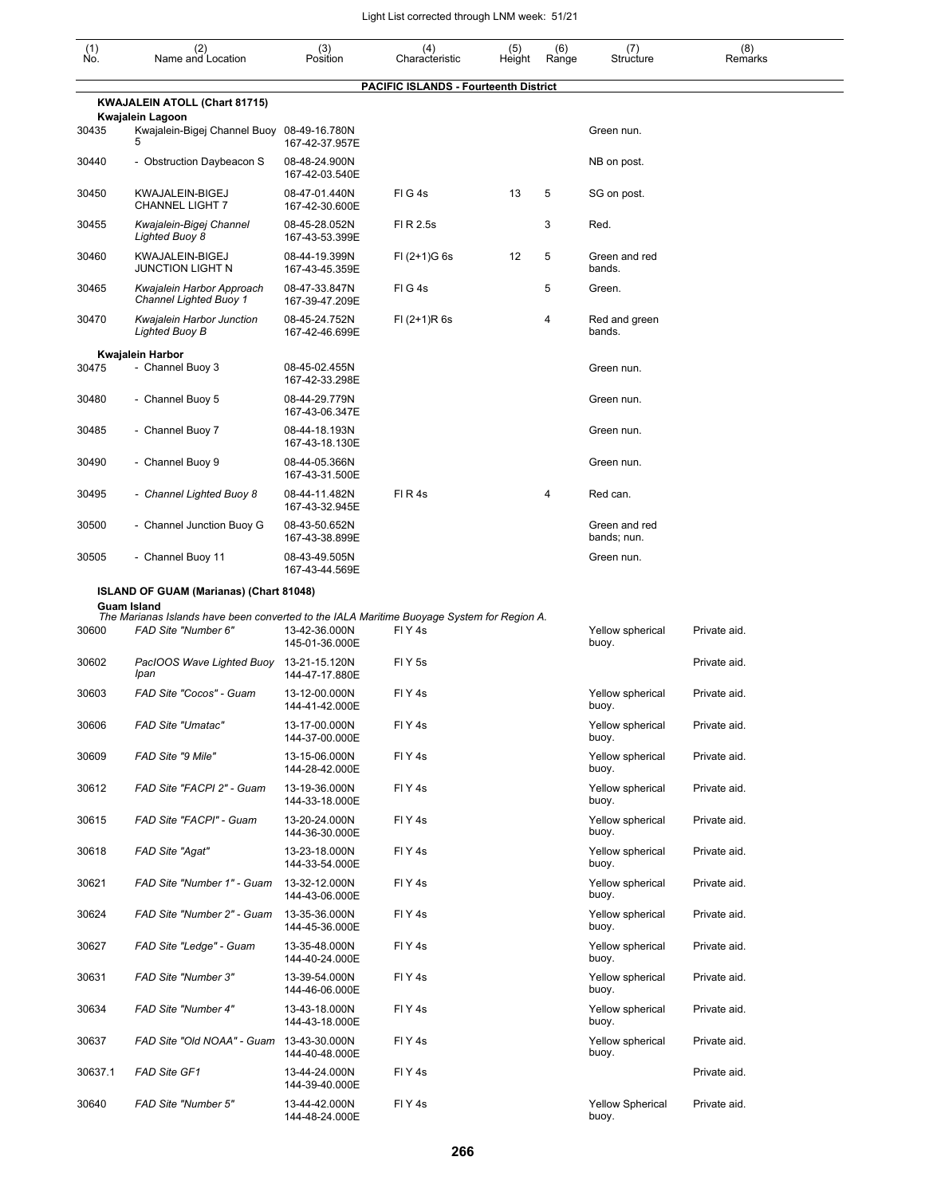| $\begin{smallmatrix} (1) \\ \mathsf{No} \end{smallmatrix}$ | (2)<br>Name and Location                                   | (3)<br>Position                 | (4)<br>Characteristic | (5)<br>Height | (6)<br>Range | (7)<br>Structure             | (8)<br>Remarks |  |  |
|------------------------------------------------------------|------------------------------------------------------------|---------------------------------|-----------------------|---------------|--------------|------------------------------|----------------|--|--|
| <b>PACIFIC ISLANDS - Fourteenth District</b>               |                                                            |                                 |                       |               |              |                              |                |  |  |
|                                                            | KWAJALEIN ATOLL (Chart 81715)                              |                                 |                       |               |              |                              |                |  |  |
|                                                            | <b>Kwajalein Lagoon</b>                                    |                                 |                       |               |              |                              |                |  |  |
| 30435                                                      | Kwajalein-Bigej Channel Buoy 08-49-16.780N<br>5            | 167-42-37.957E                  |                       |               |              | Green nun.                   |                |  |  |
| 30440                                                      | - Obstruction Daybeacon S                                  | 08-48-24.900N<br>167-42-03.540E |                       |               |              | NB on post.                  |                |  |  |
| 30450                                                      | KWAJALEIN-BIGEJ<br><b>CHANNEL LIGHT 7</b>                  | 08-47-01.440N<br>167-42-30.600E | FIG4s                 | 13            | 5            | SG on post.                  |                |  |  |
| 30455                                                      | Kwajalein-Bigej Channel<br>Lighted Buoy 8                  | 08-45-28.052N<br>167-43-53.399E | FI R 2.5s             |               | 3            | Red.                         |                |  |  |
| 30460                                                      | KWAJALEIN-BIGEJ<br><b>JUNCTION LIGHT N</b>                 | 08-44-19.399N<br>167-43-45.359E | $FI (2+1)G 6s$        | 12            | 5            | Green and red<br>bands.      |                |  |  |
| 30465                                                      | Kwajalein Harbor Approach<br><b>Channel Lighted Buoy 1</b> | 08-47-33.847N<br>167-39-47.209E | FIG4s                 |               | 5            | Green.                       |                |  |  |
| 30470                                                      | Kwajalein Harbor Junction<br>Lighted Buoy B                | 08-45-24.752N<br>167-42-46.699E | $FI (2+1)R 6s$        |               | 4            | Red and green<br>bands.      |                |  |  |
|                                                            | Kwajalein Harbor                                           |                                 |                       |               |              |                              |                |  |  |
| 30475                                                      | - Channel Buoy 3                                           | 08-45-02.455N<br>167-42-33.298E |                       |               |              | Green nun.                   |                |  |  |
| 30480                                                      | - Channel Buoy 5                                           | 08-44-29.779N<br>167-43-06.347E |                       |               |              | Green nun.                   |                |  |  |
| 30485                                                      | - Channel Buoy 7                                           | 08-44-18.193N<br>167-43-18.130E |                       |               |              | Green nun.                   |                |  |  |
| 30490                                                      | - Channel Buoy 9                                           | 08-44-05.366N<br>167-43-31.500E |                       |               |              | Green nun.                   |                |  |  |
| 30495                                                      | - Channel Lighted Buoy 8                                   | 08-44-11.482N<br>167-43-32.945E | FIR4s                 |               | 4            | Red can.                     |                |  |  |
| 30500                                                      | - Channel Junction Buoy G                                  | 08-43-50.652N<br>167-43-38.899E |                       |               |              | Green and red<br>bands; nun. |                |  |  |
| 30505                                                      | - Channel Buoy 11                                          | 08-43-49.505N<br>167-43-44.569E |                       |               |              | Green nun.                   |                |  |  |
|                                                            | ISLAND OF GUAM (Marianas) (Chart 81048)                    |                                 |                       |               |              |                              |                |  |  |

|         | <b>Guam Island</b>                |                                 | The Marianas Islands have been converted to the IALA Maritime Buoyage System for Region A. |                                  |              |
|---------|-----------------------------------|---------------------------------|--------------------------------------------------------------------------------------------|----------------------------------|--------------|
| 30600   | FAD Site "Number 6"               | 13-42-36.000N<br>145-01-36.000E | FIY <sub>4s</sub>                                                                          | Yellow spherical<br>buoy.        | Private aid. |
| 30602   | PacIOOS Wave Lighted Buoy<br>Ipan | 13-21-15.120N<br>144-47-17.880E | FIY <sub>5s</sub>                                                                          |                                  | Private aid. |
| 30603   | FAD Site "Cocos" - Guam           | 13-12-00.000N<br>144-41-42.000E | FIY <sub>4s</sub>                                                                          | Yellow spherical<br>buoy.        | Private aid. |
| 30606   | <b>FAD Site "Umatac"</b>          | 13-17-00.000N<br>144-37-00.000E | FIY <sub>4s</sub>                                                                          | Yellow spherical<br>buoy.        | Private aid. |
| 30609   | FAD Site "9 Mile"                 | 13-15-06.000N<br>144-28-42.000E | FIY4s                                                                                      | Yellow spherical<br>buoy.        | Private aid. |
| 30612   | FAD Site "FACPI 2" - Guam         | 13-19-36.000N<br>144-33-18.000E | FIY <sub>4s</sub>                                                                          | Yellow spherical<br>buoy.        | Private aid. |
| 30615   | FAD Site "FACPI" - Guam           | 13-20-24.000N<br>144-36-30.000E | FIY <sub>4s</sub>                                                                          | Yellow spherical<br>buoy.        | Private aid. |
| 30618   | FAD Site "Agat"                   | 13-23-18.000N<br>144-33-54.000E | FIY <sub>4s</sub>                                                                          | Yellow spherical<br>buoy.        | Private aid. |
| 30621   | FAD Site "Number 1" - Guam        | 13-32-12.000N<br>144-43-06.000E | FIY <sub>4s</sub>                                                                          | Yellow spherical<br>buoy.        | Private aid. |
| 30624   | FAD Site "Number 2" - Guam        | 13-35-36.000N<br>144-45-36.000E | FIY <sub>4s</sub>                                                                          | Yellow spherical<br>buoy.        | Private aid. |
| 30627   | FAD Site "Ledge" - Guam           | 13-35-48.000N<br>144-40-24.000E | FIY4s                                                                                      | Yellow spherical<br>buoy.        | Private aid. |
| 30631   | FAD Site "Number 3"               | 13-39-54.000N<br>144-46-06.000E | FIY <sub>4s</sub>                                                                          | Yellow spherical<br>buoy.        | Private aid. |
| 30634   | FAD Site "Number 4"               | 13-43-18.000N<br>144-43-18.000E | FIY <sub>4s</sub>                                                                          | Yellow spherical<br>buoy.        | Private aid. |
| 30637   | FAD Site "Old NOAA" - Guam        | 13-43-30.000N<br>144-40-48.000E | FIY <sub>4s</sub>                                                                          | Yellow spherical<br>buoy.        | Private aid. |
| 30637.1 | <b>FAD Site GF1</b>               | 13-44-24.000N<br>144-39-40.000E | FIY4s                                                                                      |                                  | Private aid. |
| 30640   | FAD Site "Number 5"               | 13-44-42.000N<br>144-48-24.000E | FIY <sub>4S</sub>                                                                          | <b>Yellow Spherical</b><br>buoy. | Private aid. |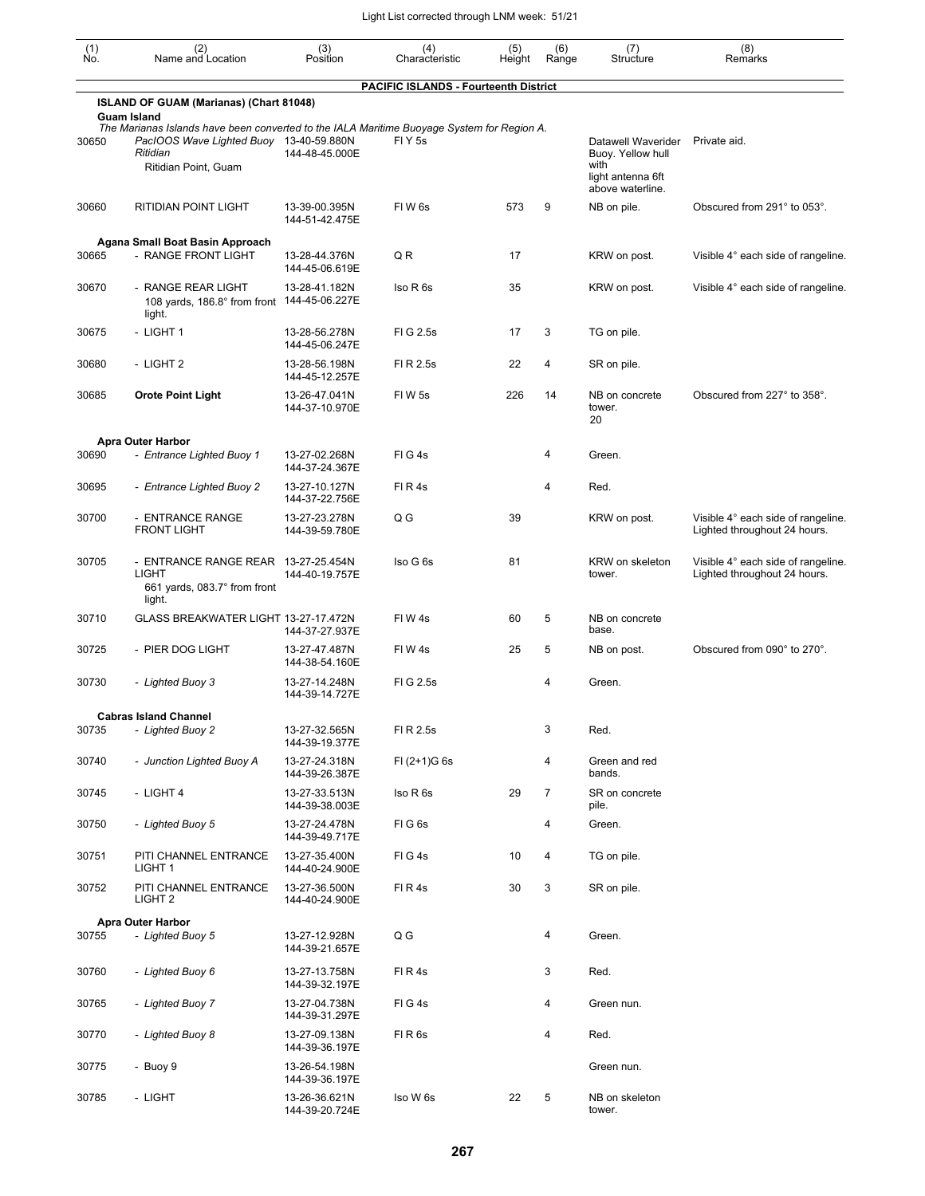| $\begin{smallmatrix} (1) \\ \mathsf{No} \end{smallmatrix}$ | (2)<br>Name and Location                                                                                                                                                  | (3)<br>Position                 | (4)<br>Characteristic                        | (5)<br>Height | (6)<br>Range   | (7)<br>Structure                                                     | (8)<br>Remarks                                                     |
|------------------------------------------------------------|---------------------------------------------------------------------------------------------------------------------------------------------------------------------------|---------------------------------|----------------------------------------------|---------------|----------------|----------------------------------------------------------------------|--------------------------------------------------------------------|
|                                                            |                                                                                                                                                                           |                                 | <b>PACIFIC ISLANDS - Fourteenth District</b> |               |                |                                                                      |                                                                    |
|                                                            | ISLAND OF GUAM (Marianas) (Chart 81048)<br><b>Guam Island</b>                                                                                                             |                                 |                                              |               |                |                                                                      |                                                                    |
| 30650                                                      | The Marianas Islands have been converted to the IALA Maritime Buoyage System for Region A.<br>PacIOOS Wave Lighted Buoy 13-40-59.880N<br>Ritidian<br>Ritidian Point, Guam | 144-48-45.000E                  | FIY5s                                        |               |                | Datawell Waverider<br>Buoy. Yellow hull<br>with<br>light antenna 6ft | Private aid.                                                       |
| 30660                                                      | RITIDIAN POINT LIGHT                                                                                                                                                      | 13-39-00.395N<br>144-51-42.475E | FIW <sub>6s</sub>                            | 573           | 9              | above waterline.<br>NB on pile.                                      | Obscured from 291° to 053°.                                        |
| 30665                                                      | Agana Small Boat Basin Approach<br>- RANGE FRONT LIGHT                                                                                                                    | 13-28-44.376N<br>144-45-06.619E | QR                                           | 17            |                | KRW on post.                                                         | Visible 4° each side of rangeline.                                 |
| 30670                                                      | - RANGE REAR LIGHT<br>108 yards, 186.8° from front<br>light.                                                                                                              | 13-28-41.182N<br>144-45-06.227E | Iso R 6s                                     | 35            |                | KRW on post.                                                         | Visible 4° each side of rangeline.                                 |
| 30675                                                      | - LIGHT 1                                                                                                                                                                 | 13-28-56.278N<br>144-45-06.247E | FIG 2.5s                                     | 17            | 3              | TG on pile.                                                          |                                                                    |
| 30680                                                      | - LIGHT 2                                                                                                                                                                 | 13-28-56.198N<br>144-45-12.257E | FI R 2.5s                                    | 22            | 4              | SR on pile.                                                          |                                                                    |
| 30685                                                      | <b>Orote Point Light</b>                                                                                                                                                  | 13-26-47.041N<br>144-37-10.970E | FIW <sub>5s</sub>                            | 226           | 14             | NB on concrete<br>tower.<br>20                                       | Obscured from 227° to 358°.                                        |
|                                                            | <b>Apra Outer Harbor</b>                                                                                                                                                  |                                 |                                              |               |                |                                                                      |                                                                    |
| 30690                                                      | - Entrance Lighted Buoy 1                                                                                                                                                 | 13-27-02.268N<br>144-37-24.367E | FIG4s                                        |               | 4              | Green.                                                               |                                                                    |
| 30695                                                      | - Entrance Lighted Buoy 2                                                                                                                                                 | 13-27-10.127N<br>144-37-22.756E | FIR4s                                        |               | 4              | Red.                                                                 |                                                                    |
| 30700                                                      | - ENTRANCE RANGE<br><b>FRONT LIGHT</b>                                                                                                                                    | 13-27-23.278N<br>144-39-59.780E | $Q$ $G$                                      | 39            |                | KRW on post.                                                         | Visible 4° each side of rangeline.<br>Lighted throughout 24 hours. |
| 30705                                                      | - ENTRANCE RANGE REAR 13-27-25.454N<br><b>LIGHT</b><br>661 yards, 083.7° from front<br>light.                                                                             | 144-40-19.757E                  | Iso G 6s                                     | 81            |                | KRW on skeleton<br>tower.                                            | Visible 4° each side of rangeline.<br>Lighted throughout 24 hours. |
| 30710                                                      | GLASS BREAKWATER LIGHT 13-27-17.472N                                                                                                                                      | 144-37-27.937E                  | FIW <sub>4s</sub>                            | 60            | 5              | NB on concrete<br>base.                                              |                                                                    |
| 30725                                                      | - PIER DOG LIGHT                                                                                                                                                          | 13-27-47.487N<br>144-38-54.160E | FIW 4s                                       | 25            | 5              | NB on post.                                                          | Obscured from 090° to 270°.                                        |
| 30730                                                      | - Lighted Buoy 3                                                                                                                                                          | 13-27-14.248N<br>144-39-14.727E | FI G 2.5s                                    |               | 4              | Green.                                                               |                                                                    |
|                                                            | <b>Cabras Island Channel</b>                                                                                                                                              |                                 |                                              |               |                |                                                                      |                                                                    |
| 30735                                                      | - Lighted Buoy 2                                                                                                                                                          | 13-27-32.565N<br>144-39-19.377E | FI R 2.5s                                    |               | 3              | Red.                                                                 |                                                                    |
| 30740                                                      | - Junction Lighted Buoy A                                                                                                                                                 | 13-27-24.318N<br>144-39-26.387E | $FI (2+1)G 6s$                               |               | 4              | Green and red<br>bands.                                              |                                                                    |
| 30745                                                      | - LIGHT 4                                                                                                                                                                 | 13-27-33.513N<br>144-39-38.003E | Iso R 6s                                     | 29            | $\overline{7}$ | SR on concrete<br>pile.                                              |                                                                    |
| 30750                                                      | - Lighted Buoy 5                                                                                                                                                          | 13-27-24.478N<br>144-39-49.717E | FIG6s                                        |               | 4              | Green.                                                               |                                                                    |
| 30751                                                      | PITI CHANNEL ENTRANCE<br>LIGHT 1                                                                                                                                          | 13-27-35.400N<br>144-40-24.900E | FIG4s                                        | 10            | 4              | TG on pile.                                                          |                                                                    |
| 30752                                                      | PITI CHANNEL ENTRANCE<br>LIGHT <sub>2</sub>                                                                                                                               | 13-27-36.500N<br>144-40-24.900E | FIR4s                                        | 30            | 3              | SR on pile.                                                          |                                                                    |
| 30755                                                      | <b>Apra Outer Harbor</b><br>- Lighted Buoy 5                                                                                                                              | 13-27-12.928N<br>144-39-21.657E | Q G                                          |               | 4              | Green.                                                               |                                                                    |
| 30760                                                      | - Lighted Buoy 6                                                                                                                                                          | 13-27-13.758N<br>144-39-32.197E | FIR4s                                        |               | 3              | Red.                                                                 |                                                                    |
| 30765                                                      | - Lighted Buoy 7                                                                                                                                                          | 13-27-04.738N<br>144-39-31.297E | FIG4s                                        |               | 4              | Green nun.                                                           |                                                                    |
| 30770                                                      | - Lighted Buoy 8                                                                                                                                                          | 13-27-09.138N<br>144-39-36.197E | FIR6s                                        |               | 4              | Red.                                                                 |                                                                    |
| 30775                                                      | - Buoy 9                                                                                                                                                                  | 13-26-54.198N<br>144-39-36.197E |                                              |               |                | Green nun.                                                           |                                                                    |
| 30785                                                      | - LIGHT                                                                                                                                                                   | 13-26-36.621N<br>144-39-20.724E | Iso W 6s                                     | 22            | 5              | NB on skeleton<br>tower.                                             |                                                                    |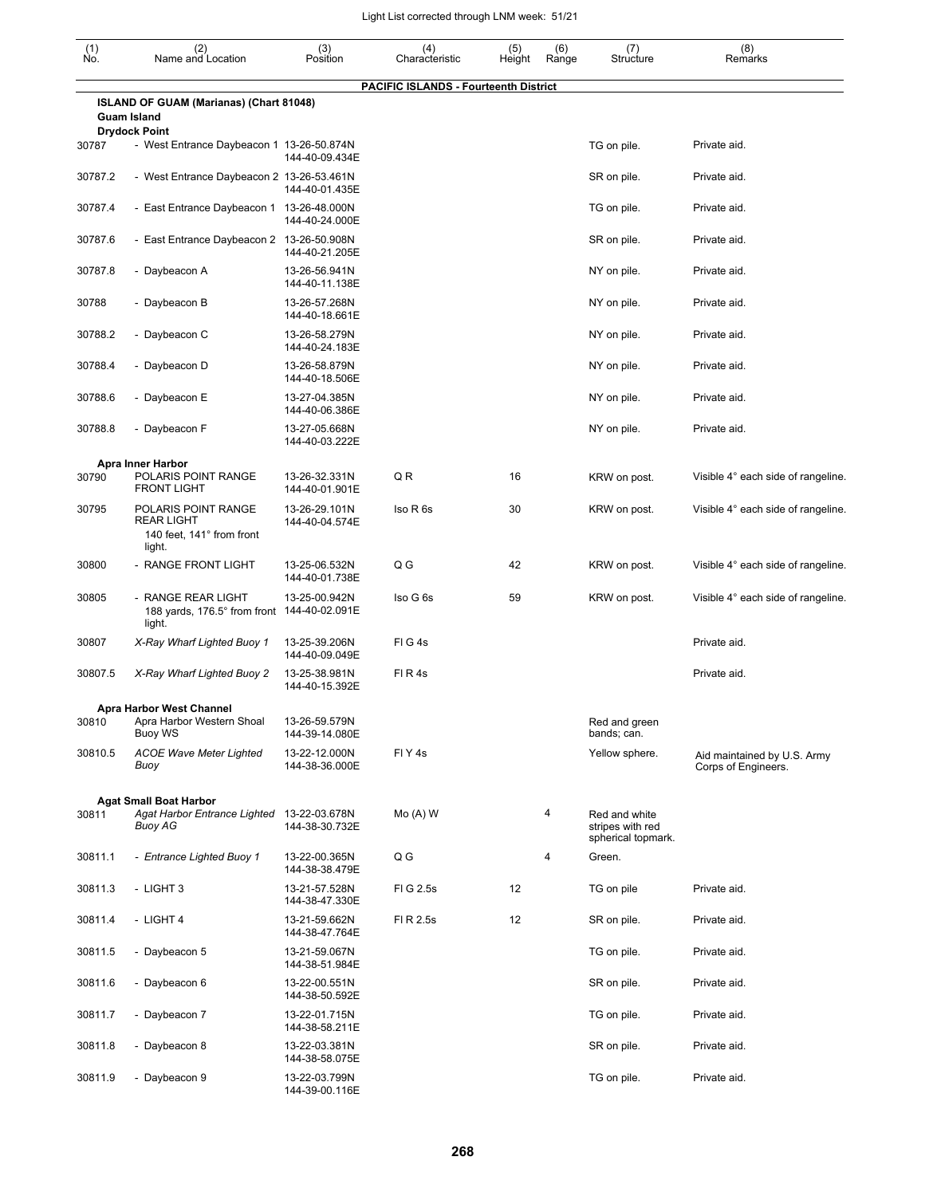| $\begin{smallmatrix} (1) \ N0. \end{smallmatrix}$ | (2)<br>Name and Location                                                               | (3)<br>Position                 | (4)<br>Characteristic                        | (5)<br>Height | (6)<br>Range | (7)<br>Structure                                        | (8)<br>Remarks                                     |
|---------------------------------------------------|----------------------------------------------------------------------------------------|---------------------------------|----------------------------------------------|---------------|--------------|---------------------------------------------------------|----------------------------------------------------|
|                                                   |                                                                                        |                                 | <b>PACIFIC ISLANDS - Fourteenth District</b> |               |              |                                                         |                                                    |
|                                                   | ISLAND OF GUAM (Marianas) (Chart 81048)                                                |                                 |                                              |               |              |                                                         |                                                    |
|                                                   | <b>Guam Island</b><br><b>Drydock Point</b>                                             |                                 |                                              |               |              |                                                         |                                                    |
| 30787                                             | - West Entrance Daybeacon 1 13-26-50.874N                                              | 144-40-09.434E                  |                                              |               |              | TG on pile.                                             | Private aid.                                       |
| 30787.2                                           | - West Entrance Daybeacon 2 13-26-53.461N                                              | 144-40-01.435E                  |                                              |               |              | SR on pile.                                             | Private aid.                                       |
| 30787.4                                           | - East Entrance Daybeacon 1 13-26-48.000N                                              | 144-40-24.000E                  |                                              |               |              | TG on pile.                                             | Private aid.                                       |
| 30787.6                                           | - East Entrance Daybeacon 2 13-26-50.908N                                              | 144-40-21.205E                  |                                              |               |              | SR on pile.                                             | Private aid.                                       |
| 30787.8                                           | - Daybeacon A                                                                          | 13-26-56.941N<br>144-40-11.138E |                                              |               |              | NY on pile.                                             | Private aid.                                       |
| 30788                                             | - Daybeacon B                                                                          | 13-26-57.268N<br>144-40-18.661E |                                              |               |              | NY on pile.                                             | Private aid.                                       |
| 30788.2                                           | - Daybeacon C                                                                          | 13-26-58.279N<br>144-40-24.183E |                                              |               |              | NY on pile.                                             | Private aid.                                       |
| 30788.4                                           | - Daybeacon D                                                                          | 13-26-58.879N<br>144-40-18.506E |                                              |               |              | NY on pile.                                             | Private aid.                                       |
| 30788.6                                           | - Daybeacon E                                                                          | 13-27-04.385N<br>144-40-06.386E |                                              |               |              | NY on pile.                                             | Private aid.                                       |
| 30788.8                                           | - Daybeacon F                                                                          | 13-27-05.668N<br>144-40-03.222E |                                              |               |              | NY on pile.                                             | Private aid.                                       |
|                                                   | Apra Inner Harbor                                                                      |                                 |                                              |               |              |                                                         |                                                    |
| 30790                                             | POLARIS POINT RANGE<br><b>FRONT LIGHT</b>                                              | 13-26-32.331N<br>144-40-01.901E | QR                                           | 16            |              | KRW on post.                                            | Visible 4° each side of rangeline.                 |
| 30795                                             | POLARIS POINT RANGE<br><b>REAR LIGHT</b><br>140 feet, 141° from front                  | 13-26-29.101N<br>144-40-04.574E | Iso R 6s                                     | 30            |              | KRW on post.                                            | Visible 4° each side of rangeline.                 |
|                                                   | light.                                                                                 |                                 |                                              |               |              |                                                         |                                                    |
| 30800                                             | - RANGE FRONT LIGHT                                                                    | 13-25-06.532N<br>144-40-01.738E | $Q$ $G$                                      | 42            |              | KRW on post.                                            | Visible 4° each side of rangeline.                 |
| 30805                                             | - RANGE REAR LIGHT<br>188 yards, 176.5° from front<br>light.                           | 13-25-00.942N<br>144-40-02.091E | Iso G 6s                                     | 59            |              | KRW on post.                                            | Visible 4° each side of rangeline.                 |
| 30807                                             | X-Ray Wharf Lighted Buoy 1                                                             | 13-25-39.206N<br>144-40-09.049E | FIG4s                                        |               |              |                                                         | Private aid.                                       |
| 30807.5                                           | X-Ray Wharf Lighted Buoy 2                                                             | 13-25-38.981N<br>144-40-15.392E | FIR4s                                        |               |              |                                                         | Private aid.                                       |
|                                                   | <b>Apra Harbor West Channel</b>                                                        |                                 |                                              |               |              |                                                         |                                                    |
| 30810                                             | Apra Harbor Western Shoal<br>Buoy WS                                                   | 13-26-59.579N<br>144-39-14.080E |                                              |               |              | Red and green<br>bands; can.                            |                                                    |
| 30810.5                                           | <b>ACOE Wave Meter Lighted</b><br>Buoy                                                 | 13-22-12.000N<br>144-38-36.000E | FIY <sub>4s</sub>                            |               |              | Yellow sphere.                                          | Aid maintained by U.S. Army<br>Corps of Engineers. |
|                                                   |                                                                                        |                                 |                                              |               |              |                                                         |                                                    |
| 30811                                             | <b>Agat Small Boat Harbor</b><br>Agat Harbor Entrance Lighted 13-22-03.678N<br>Buoy AG | 144-38-30.732E                  | $Mo(A)$ W                                    |               | 4            | Red and white<br>stripes with red<br>spherical topmark. |                                                    |
| 30811.1                                           | - Entrance Lighted Buoy 1                                                              | 13-22-00.365N<br>144-38-38.479E | Q G                                          |               | 4            | Green.                                                  |                                                    |
| 30811.3                                           | - LIGHT 3                                                                              | 13-21-57.528N<br>144-38-47.330E | FIG 2.5s                                     | 12            |              | TG on pile                                              | Private aid.                                       |
| 30811.4                                           | - LIGHT 4                                                                              | 13-21-59.662N<br>144-38-47.764E | FI R 2.5s                                    | 12            |              | SR on pile.                                             | Private aid.                                       |
| 30811.5                                           | - Daybeacon 5                                                                          | 13-21-59.067N<br>144-38-51.984E |                                              |               |              | TG on pile.                                             | Private aid.                                       |
| 30811.6                                           | - Daybeacon 6                                                                          | 13-22-00.551N<br>144-38-50.592E |                                              |               |              | SR on pile.                                             | Private aid.                                       |
| 30811.7                                           | - Daybeacon 7                                                                          | 13-22-01.715N<br>144-38-58.211E |                                              |               |              | TG on pile.                                             | Private aid.                                       |
| 30811.8                                           | - Daybeacon 8                                                                          | 13-22-03.381N<br>144-38-58.075E |                                              |               |              | SR on pile.                                             | Private aid.                                       |
| 30811.9                                           | - Daybeacon 9                                                                          | 13-22-03.799N<br>144-39-00.116E |                                              |               |              | TG on pile.                                             | Private aid.                                       |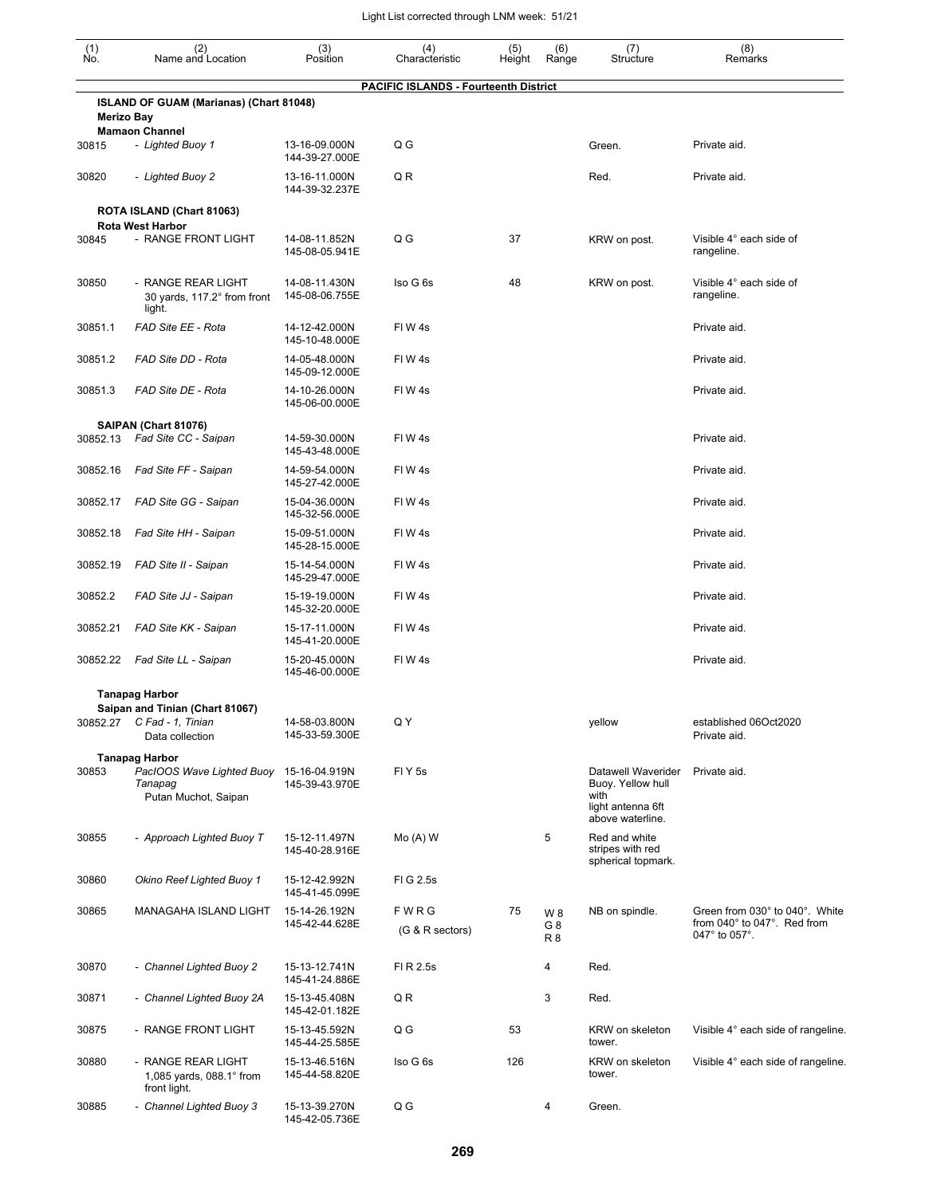| $\begin{smallmatrix} (1) \\ \mathsf{No} \end{smallmatrix}$ | (2)<br>Name and Location                                                         | (3)<br>Position                 | (4)                                          | (5)    | (6)                         | (7)                                                     | (8)                                                                            |
|------------------------------------------------------------|----------------------------------------------------------------------------------|---------------------------------|----------------------------------------------|--------|-----------------------------|---------------------------------------------------------|--------------------------------------------------------------------------------|
|                                                            |                                                                                  |                                 | Characteristic                               | Height | Range                       | Structure                                               | Remarks                                                                        |
|                                                            | ISLAND OF GUAM (Marianas) (Chart 81048)                                          |                                 | <b>PACIFIC ISLANDS - Fourteenth District</b> |        |                             |                                                         |                                                                                |
| <b>Merizo Bay</b>                                          | <b>Mamaon Channel</b>                                                            |                                 |                                              |        |                             |                                                         |                                                                                |
| 30815                                                      | - Lighted Buoy 1                                                                 | 13-16-09.000N<br>144-39-27.000E | Q G                                          |        |                             | Green.                                                  | Private aid.                                                                   |
| 30820                                                      | - Lighted Buoy 2                                                                 | 13-16-11.000N<br>144-39-32.237E | Q R                                          |        |                             | Red.                                                    | Private aid.                                                                   |
|                                                            | ROTA ISLAND (Chart 81063)<br><b>Rota West Harbor</b>                             |                                 |                                              |        |                             |                                                         |                                                                                |
| 30845                                                      | - RANGE FRONT LIGHT                                                              | 14-08-11.852N<br>145-08-05.941E | Q G                                          | 37     |                             | KRW on post.                                            | Visible 4° each side of<br>rangeline.                                          |
| 30850                                                      | - RANGE REAR LIGHT<br>30 yards, 117.2° from front<br>light.                      | 14-08-11.430N<br>145-08-06.755E | Iso G 6s                                     | 48     |                             | KRW on post.                                            | Visible 4° each side of<br>rangeline.                                          |
| 30851.1                                                    | FAD Site EE - Rota                                                               | 14-12-42.000N<br>145-10-48.000E | FIW4s                                        |        |                             |                                                         | Private aid.                                                                   |
| 30851.2                                                    | FAD Site DD - Rota                                                               | 14-05-48.000N<br>145-09-12.000E | FIW4s                                        |        |                             |                                                         | Private aid.                                                                   |
| 30851.3                                                    | FAD Site DE - Rota                                                               | 14-10-26.000N<br>145-06-00.000E | FIW4s                                        |        |                             |                                                         | Private aid.                                                                   |
| 30852.13                                                   | SAIPAN (Chart 81076)<br>Fad Site CC - Saipan                                     | 14-59-30.000N<br>145-43-48.000E | FIW4s                                        |        |                             |                                                         | Private aid.                                                                   |
| 30852.16                                                   | Fad Site FF - Saipan                                                             | 14-59-54.000N<br>145-27-42.000E | FIW4s                                        |        |                             |                                                         | Private aid.                                                                   |
| 30852.17                                                   | FAD Site GG - Saipan                                                             | 15-04-36.000N<br>145-32-56.000E | FIW4s                                        |        |                             |                                                         | Private aid.                                                                   |
| 30852.18                                                   | Fad Site HH - Saipan                                                             | 15-09-51.000N<br>145-28-15.000E | FIW4s                                        |        |                             |                                                         | Private aid.                                                                   |
| 30852.19                                                   | FAD Site II - Saipan                                                             | 15-14-54.000N<br>145-29-47.000E | FIW4s                                        |        |                             |                                                         | Private aid.                                                                   |
| 30852.2                                                    | FAD Site JJ - Saipan                                                             | 15-19-19.000N<br>145-32-20.000E | FIW4s                                        |        |                             |                                                         | Private aid.                                                                   |
| 30852.21                                                   | FAD Site KK - Saipan                                                             | 15-17-11.000N<br>145-41-20.000E | FIW4s                                        |        |                             |                                                         | Private aid.                                                                   |
|                                                            | 30852.22 Fad Site LL - Saipan                                                    | 15-20-45.000N<br>145-46-00.000E | FIW <sub>4s</sub>                            |        |                             |                                                         | Private aid.                                                                   |
|                                                            | <b>Tanapag Harbor</b>                                                            |                                 |                                              |        |                             |                                                         |                                                                                |
|                                                            | Saipan and Tinian (Chart 81067)<br>30852.27 C Fad - 1, Tinian<br>Data collection | 14-58-03.800N<br>145-33-59.300E | Q Y                                          |        |                             | yellow                                                  | established 06Oct2020<br>Private aid.                                          |
|                                                            | <b>Tanapag Harbor</b>                                                            |                                 |                                              |        |                             |                                                         |                                                                                |
| 30853                                                      | PacIOOS Wave Lighted Buoy<br>Tanapag<br>Putan Muchot, Saipan                     | 15-16-04.919N<br>145-39-43.970E | FIY <sub>5s</sub>                            |        |                             | Datawell Waverider<br>Buoy. Yellow hull<br>with         | Private aid.                                                                   |
|                                                            |                                                                                  |                                 |                                              |        |                             | light antenna 6ft<br>above waterline.                   |                                                                                |
| 30855                                                      | - Approach Lighted Buoy T                                                        | 15-12-11.497N<br>145-40-28.916E | $Mo(A)$ W                                    |        | 5                           | Red and white<br>stripes with red<br>spherical topmark. |                                                                                |
| 30860                                                      | Okino Reef Lighted Buoy 1                                                        | 15-12-42.992N<br>145-41-45.099E | FIG 2.5s                                     |        |                             |                                                         |                                                                                |
| 30865                                                      | MANAGAHA ISLAND LIGHT                                                            | 15-14-26.192N<br>145-42-44.628E | FWRG<br>(G & R sectors)                      | 75     | W 8<br>G8<br>R <sub>8</sub> | NB on spindle.                                          | Green from 030° to 040°. White<br>from 040° to 047°. Red from<br>047° to 057°. |
| 30870                                                      | - Channel Lighted Buoy 2                                                         | 15-13-12.741N<br>145-41-24.886E | FI R 2.5s                                    |        | 4                           | Red.                                                    |                                                                                |
| 30871                                                      | - Channel Lighted Buoy 2A                                                        | 15-13-45.408N<br>145-42-01.182E | QR                                           |        | 3                           | Red.                                                    |                                                                                |
| 30875                                                      | - RANGE FRONT LIGHT                                                              | 15-13-45.592N<br>145-44-25.585E | Q G                                          | 53     |                             | KRW on skeleton<br>tower.                               | Visible 4° each side of rangeline.                                             |
| 30880                                                      | - RANGE REAR LIGHT<br>1,085 yards, 088.1° from<br>front light.                   | 15-13-46.516N<br>145-44-58.820E | Iso G 6s                                     | 126    |                             | KRW on skeleton<br>tower.                               | Visible 4° each side of rangeline.                                             |
| 30885                                                      | - Channel Lighted Buoy 3                                                         | 15-13-39.270N<br>145-42-05.736E | Q G                                          |        | 4                           | Green.                                                  |                                                                                |